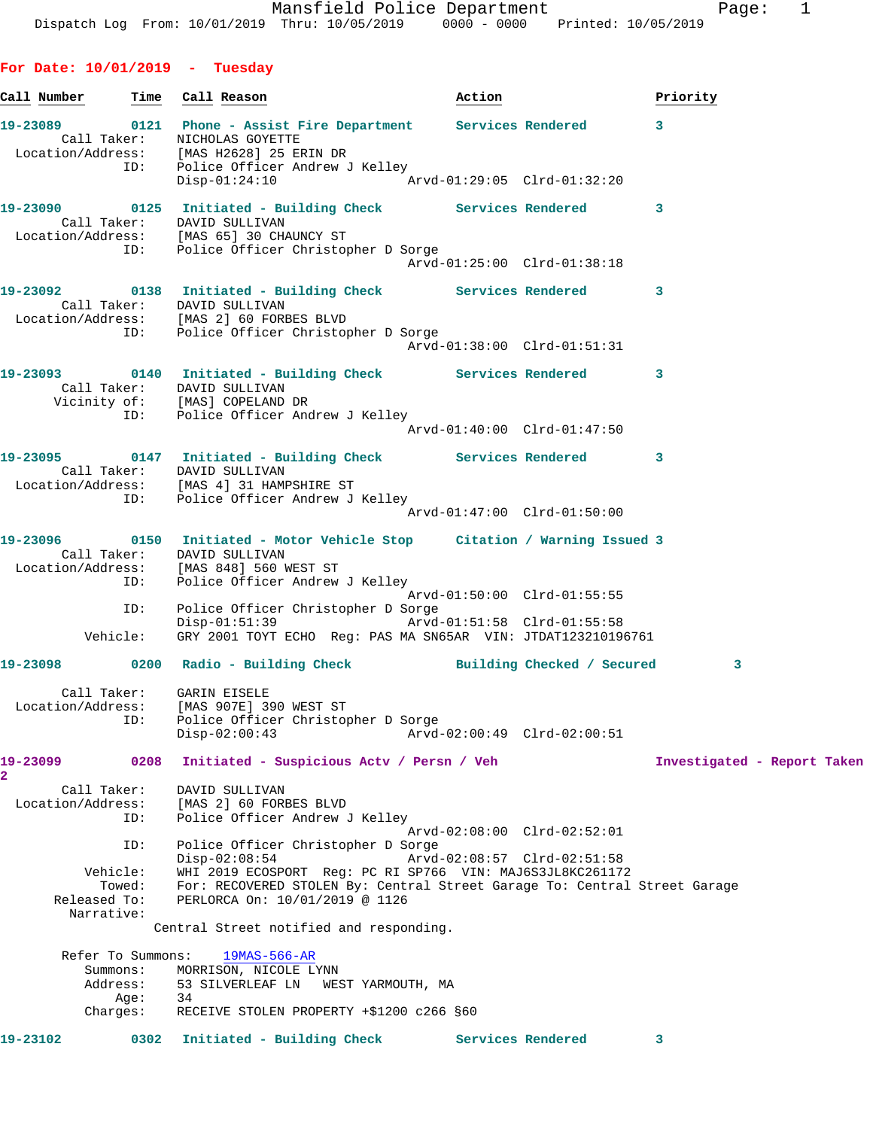**For Date: 10/01/2019 - Tuesday Call Number Time Call Reason Action Priority 19-23089 0121 Phone - Assist Fire Department Services Rendered 3**  Call Taker: NICHOLAS GOYETTE Location/Address: [MAS H2628] 25 ERIN DR ID: Police Officer Andrew J Kelley Disp-01:24:10 Arvd-01:29:05 Clrd-01:32:20 **19-23090 0125 Initiated - Building Check Services Rendered 3**  Call Taker: DAVID SULLIVAN Location/Address: [MAS 65] 30 CHAUNCY ST ID: Police Officer Christopher D Sorge Arvd-01:25:00 Clrd-01:38:18 **19-23092 0138 Initiated - Building Check Services Rendered 3**  Call Taker: DAVID SULLIVAN<br>Location/Address: Times I Location/Address: [MAS 2] 60 FORBES BLVD ID: Police Officer Christopher D Sorge Arvd-01:38:00 Clrd-01:51:31 **19-23093 0140 Initiated - Building Check Services Rendered 3**  Call Taker: DAVID SULLIVAN Vicinity of: [MAS] COPELAND DR ID: Police Officer Andrew J Kelley Arvd-01:40:00 Clrd-01:47:50 **19-23095 0147 Initiated - Building Check Services Rendered 3**  Call Taker: DAVID SULLIVAN Location/Address: [MAS 4] 31 HAMPSHIRE ST ID: Police Officer Andrew J Kelley Arvd-01:47:00 Clrd-01:50:00 **19-23096 0150 Initiated - Motor Vehicle Stop Citation / Warning Issued 3**  Call Taker: DAVID SULLIVAN Location/Address: [MAS 848] 560 WEST ST ID: Police Officer Andrew J Kelley Arvd-01:50:00 Clrd-01:55:55 ID: Police Officer Christopher D Sorge Disp-01:51:39 Arvd-01:51:58 Clrd-01:55:58 Vehicle: GRY 2001 TOYT ECHO Reg: PAS MA SN65AR VIN: JTDAT123210196761 **19-23098 0200 Radio - Building Check Building Checked / Secured 3** Call Taker: GARIN EISELE Location/Address: [MAS 907E] 390 WEST ST ID: Police Officer Christopher D Sorge Disp-02:00:43 Arvd-02:00:49 Clrd-02:00:51 **19-23099 0208 Initiated - Suspicious Actv / Persn / Veh Investigated - Report Taken 2**  Call Taker: DAVID SULLIVAN Location/Address: [MAS 2] 60 FORBES BLVD ID: Police Officer Andrew J Kelley Arvd-02:08:00 Clrd-02:52:01 ID: Police Officer Christopher D Sorge Disp-02:08:54 Arvd-02:08:57 Clrd-02:51:58 Vehicle: WHI 2019 ECOSPORT Reg: PC RI SP766 VIN: MAJ6S3JL8KC261172 Towed: For: RECOVERED STOLEN By: Central Street Garage To: Central Street Garage Released To: PERLORCA On: 10/01/2019<sup>6</sup> 1126 Narrative: Central Street notified and responding. Refer To Summons: 19MAS-566-AR Summons: MORRISON, NICOLE LYNN Address: 53 SILVERLEAF LN WEST YARMOUTH, MA Age: 34 Charges: RECEIVE STOLEN PROPERTY +\$1200 c266 §60 **19-23102 0302 Initiated - Building Check Services Rendered 3**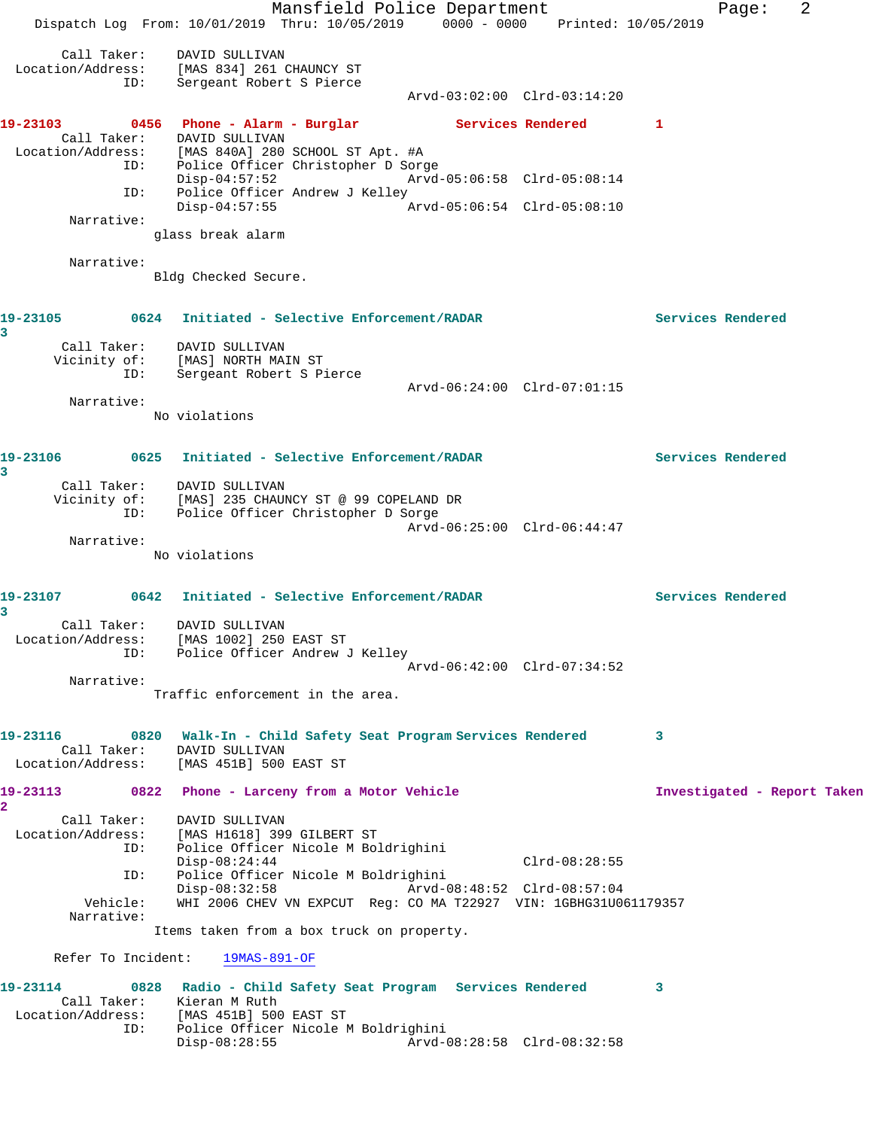Mansfield Police Department Fage: 2 Dispatch Log From: 10/01/2019 Thru: 10/05/2019 0000 - 0000 Printed: 10/05/2019 Call Taker: DAVID SULLIVAN Location/Address: [MAS 834] 261 CHAUNCY ST ID: Sergeant Robert S Pierce Arvd-03:02:00 Clrd-03:14:20 19-23103 0456 Phone - Alarm - Burglar **Services Rendered** 1 Call Taker: DAVID SULLIVAN Location/Address: [MAS 840A] 280 SCHOOL ST Apt. #A ID: Police Officer Christopher D Sorge Disp-04:57:52 Arvd-05:06:58 Clrd-05:08:14 ID: Police Officer Andrew J Kelley<br>Disp-04:57:55 Disp-04:57:55 Arvd-05:06:54 Clrd-05:08:10 Narrative: glass break alarm Narrative: Bldg Checked Secure. **19-23105 0624 Initiated - Selective Enforcement/RADAR Services Rendered 3**  Call Taker: DAVID SULLIVAN Vicinity of: [MAS] NORTH MAIN ST ID: Sergeant Robert S Pierce Arvd-06:24:00 Clrd-07:01:15 Narrative: No violations **19-23106 0625 Initiated - Selective Enforcement/RADAR Services Rendered 3**  Call Taker: DAVID SULLIVAN Vicinity of: [MAS] 235 CHAUNCY ST @ 99 COPELAND DR ID: Police Officer Christopher D Sorge Arvd-06:25:00 Clrd-06:44:47 Narrative: No violations **19-23107 0642 Initiated - Selective Enforcement/RADAR Services Rendered 3**  Call Taker: DAVID SULLIVAN Location/Address: [MAS 1002] 250 EAST ST ID: Police Officer Andrew J Kelley Arvd-06:42:00 Clrd-07:34:52 Narrative: Traffic enforcement in the area. **19-23116 0820 Walk-In - Child Safety Seat Program Services Rendered 3**  Call Taker: DAVID SULLIVAN Location/Address: [MAS 451B] 500 EAST ST 19-23113 0822 Phone - Larceny from a Motor Vehicle **Investigated - Report Taken 2**  Call Taker: DAVID SULLIVAN Location/Address: [MAS H1618] 399 GILBERT ST ID: Police Officer Nicole M Boldrighini Disp-08:24:44 Clrd-08:28:55 ID: Police Officer Nicole M Boldrighini Disp-08:32:58 Arvd-08:48:52 Clrd-08:57:04 Vehicle: WHI 2006 CHEV VN EXPCUT Reg: CO MA T22927 VIN: 1GBHG31U061179357 Narrative: Items taken from a box truck on property. Refer To Incident: 19MAS-891-OF **19-23114 0828 Radio - Child Safety Seat Program Services Rendered 3**  Call Taker: Kieran M Ruth Location/Address: [MAS 451B] 500 EAST ST Police Officer Nicole M Boldrighini<br>Disp-08:28:55 Arvd-0 Disp-08:28:55 Arvd-08:28:58 Clrd-08:32:58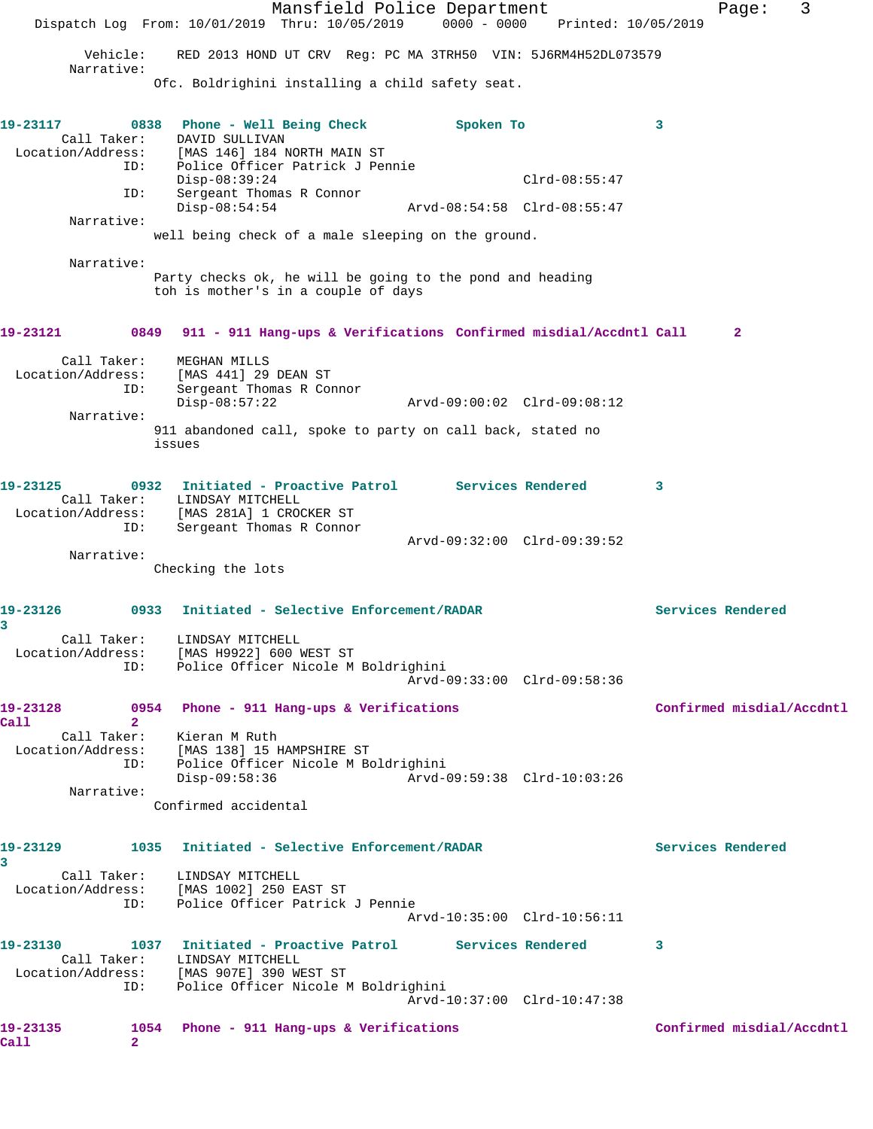|                                  | Mansfield Police Department<br>Dispatch Log From: 10/01/2019 Thru: 10/05/2019                                        | 0000 - 0000 Printed: 10/05/2019 | 3<br>Page:                |
|----------------------------------|----------------------------------------------------------------------------------------------------------------------|---------------------------------|---------------------------|
|                                  |                                                                                                                      |                                 |                           |
| Vehicle:<br>Narrative:           | RED 2013 HOND UT CRV Reg: PC MA 3TRH50 VIN: 5J6RM4H52DL073579                                                        |                                 |                           |
|                                  | Ofc. Boldrighini installing a child safety seat.                                                                     |                                 |                           |
| 19-23117                         | 0838 Phone - Well Being Check                                                                                        | Spoken To                       | 3                         |
| Call Taker:                      | DAVID SULLIVAN                                                                                                       |                                 |                           |
|                                  | Location/Address: [MAS 146] 184 NORTH MAIN ST<br>ID: Police Officer Patrick J Per<br>Police Officer Patrick J Pennie |                                 |                           |
| ID:                              | $Disp-08:39:24$<br>Sergeant Thomas R Connor                                                                          | $Clrd-08:55:47$                 |                           |
| Narrative:                       | $Disp-08:54:54$                                                                                                      | Arvd-08:54:58 Clrd-08:55:47     |                           |
|                                  | well being check of a male sleeping on the ground.                                                                   |                                 |                           |
| Narrative:                       |                                                                                                                      |                                 |                           |
|                                  | Party checks ok, he will be going to the pond and heading<br>toh is mother's in a couple of days                     |                                 |                           |
| 19-23121                         | 0849 911 - 911 Hang-ups & Verifications Confirmed misdial/Accdntl Call                                               |                                 | $\mathbf{2}$              |
| Call Taker:<br>Location/Address: | MEGHAN MILLS<br>[MAS 441] 29 DEAN ST                                                                                 |                                 |                           |
| ID:                              | Sergeant Thomas R Connor<br>$Disp-08:57:22$                                                                          | Arvd-09:00:02 Clrd-09:08:12     |                           |
| Narrative:                       |                                                                                                                      |                                 |                           |
|                                  | 911 abandoned call, spoke to party on call back, stated no<br>issues                                                 |                                 |                           |
| 19-23125                         | 0932 Initiated - Proactive Patrol Services Rendered                                                                  |                                 | 3                         |
|                                  | Call Taker: LINDSAY MITCHELL<br>Location/Address: [MAS 281A] 1 CROCKER ST                                            |                                 |                           |
| ID:                              | Sergeant Thomas R Connor                                                                                             | Arvd-09:32:00 Clrd-09:39:52     |                           |
| Narrative:                       | Checking the lots                                                                                                    |                                 |                           |
|                                  |                                                                                                                      |                                 |                           |
| 19-23126<br>3                    | 0933<br>Initiated - Selective Enforcement/RADAR                                                                      |                                 | Services Rendered         |
| Location/Address:                | Call Taker: LINDSAY MITCHELL<br>[MAS H9922] 600 WEST ST                                                              |                                 |                           |
| ID:                              | Police Officer Nicole M Boldrighini                                                                                  | Arvd-09:33:00 Clrd-09:58:36     |                           |
|                                  |                                                                                                                      |                                 |                           |
| 19-23128<br>Call<br>$\mathbf{2}$ | 0954 Phone - 911 Hang-ups & Verifications                                                                            |                                 | Confirmed misdial/Accdntl |
| Call Taker:                      | Kieran M Ruth<br>Location/Address: [MAS 138] 15 HAMPSHIRE ST                                                         |                                 |                           |
| ID:                              | Police Officer Nicole M Boldrighini                                                                                  |                                 |                           |
| Narrative:                       | $Disp-09:58:36$                                                                                                      | Arvd-09:59:38 Clrd-10:03:26     |                           |
|                                  | Confirmed accidental                                                                                                 |                                 |                           |
| 19-23129<br>3                    | 1035 Initiated - Selective Enforcement/RADAR                                                                         |                                 | Services Rendered         |
|                                  | Call Taker: LINDSAY MITCHELL                                                                                         |                                 |                           |
| ID:                              | Location/Address: [MAS 1002] 250 EAST ST<br>Police Officer Patrick J Pennie                                          | Arvd-10:35:00 Clrd-10:56:11     |                           |
| 19-23130                         | 1037 Initiated - Proactive Patrol Services Rendered                                                                  |                                 | 3                         |
|                                  | Call Taker: LINDSAY MITCHELL                                                                                         |                                 |                           |
|                                  | Location/Address: [MAS 907E] 390 WEST ST<br>ID: Police Officer Nicole I<br>Police Officer Nicole M Boldrighini       | Arvd-10:37:00 Clrd-10:47:38     |                           |
|                                  |                                                                                                                      |                                 |                           |
| 19-23135<br>Call<br>2            | 1054 Phone - 911 Hang-ups & Verifications                                                                            |                                 | Confirmed misdial/Accdntl |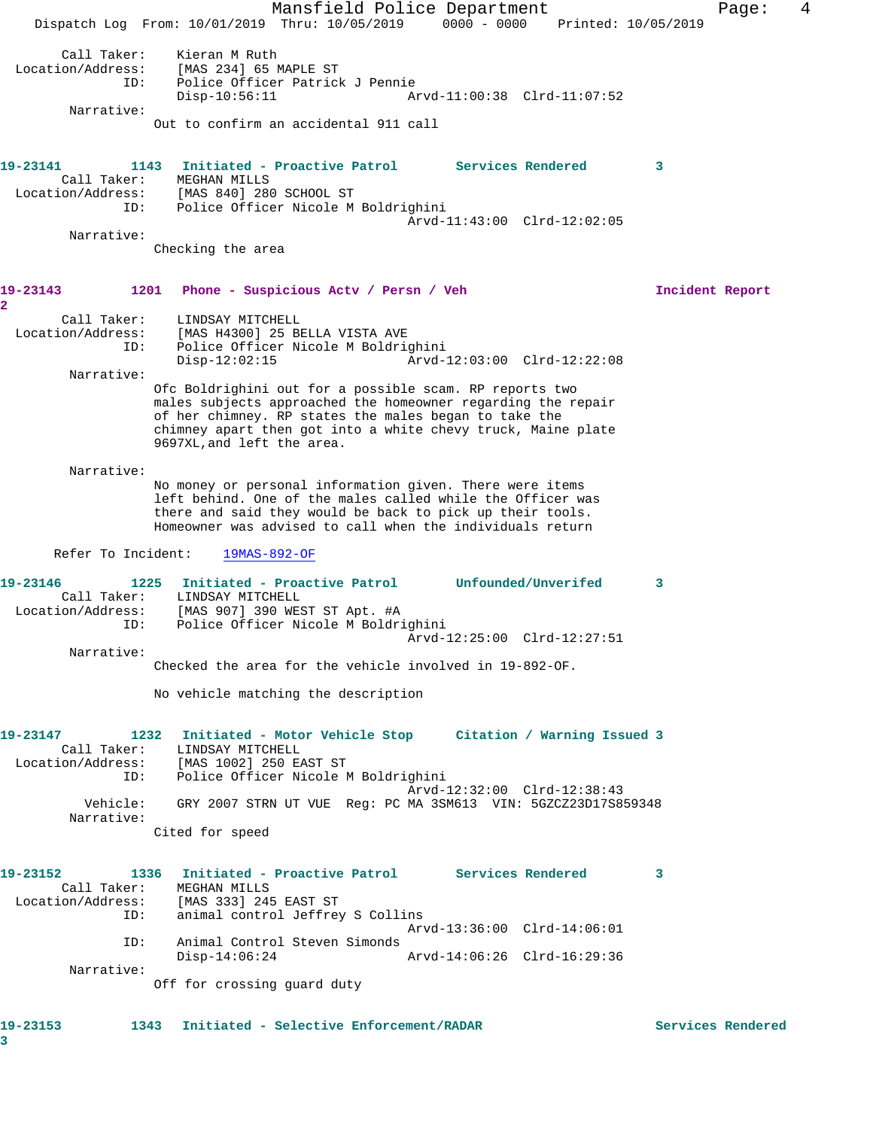Mansfield Police Department Fage: 4 Dispatch Log From: 10/01/2019 Thru: 10/05/2019 0000 - 0000 Printed: 10/05/2019 Call Taker: Kieran M Ruth Location/Address: [MAS 234] 65 MAPLE ST ID: Police Officer Patrick J Pennie Disp-10:56:11 Arvd-11:00:38 Clrd-11:07:52 Narrative: Out to confirm an accidental 911 call **19-23141 1143 Initiated - Proactive Patrol Services Rendered 3**  Call Taker: MEGHAN MILLS Location/Address: [MAS 840] 280 SCHOOL ST ID: Police Officer Nicole M Boldrighini Arvd-11:43:00 Clrd-12:02:05 Narrative: Checking the area **19-23143 1201 Phone - Suspicious Actv / Persn / Veh Incident Report 2**  Call Taker: LINDSAY MITCHELL Location/Address: [MAS H4300] 25 BELLA VISTA AVE ID: Police Officer Nicole M Boldrighini Disp-12:02:15 Arvd-12:03:00 Clrd-12:22:08 Narrative: Ofc Boldrighini out for a possible scam. RP reports two males subjects approached the homeowner regarding the repair of her chimney. RP states the males began to take the chimney apart then got into a white chevy truck, Maine plate 9697XL,and left the area. Narrative: No money or personal information given. There were items left behind. One of the males called while the Officer was there and said they would be back to pick up their tools. Homeowner was advised to call when the individuals return Refer To Incident: 19MAS-892-OF **19-23146 1225 Initiated - Proactive Patrol Unfounded/Unverifed 3**  Call Taker: LINDSAY MITCHELL Location/Address: [MAS 907] 390 WEST ST Apt. #A ID: Police Officer Nicole M Boldrighini Arvd-12:25:00 Clrd-12:27:51 Narrative: Checked the area for the vehicle involved in 19-892-OF. No vehicle matching the description **19-23147 1232 Initiated - Motor Vehicle Stop Citation / Warning Issued 3**  Call Taker: LINDSAY MITCHELL Location/Address: [MAS 1002] 250 EAST ST ID: Police Officer Nicole M Boldrighini Arvd-12:32:00 Clrd-12:38:43 Vehicle: GRY 2007 STRN UT VUE Reg: PC MA 3SM613 VIN: 5GZCZ23D17S859348 Narrative: Cited for speed **19-23152 1336 Initiated - Proactive Patrol Services Rendered 3**  Call Taker: MEGHAN MILLS Location/Address: [MAS 333] 245 EAST ST ID: animal control Jeffrey S Collins Arvd-13:36:00 Clrd-14:06:01 ID: Animal Control Steven Simonds<br>Disp-14:06:24 Disp-14:06:24 Arvd-14:06:26 Clrd-16:29:36 Narrative: Off for crossing guard duty **19-23153 1343 Initiated - Selective Enforcement/RADAR Services Rendered**

**3**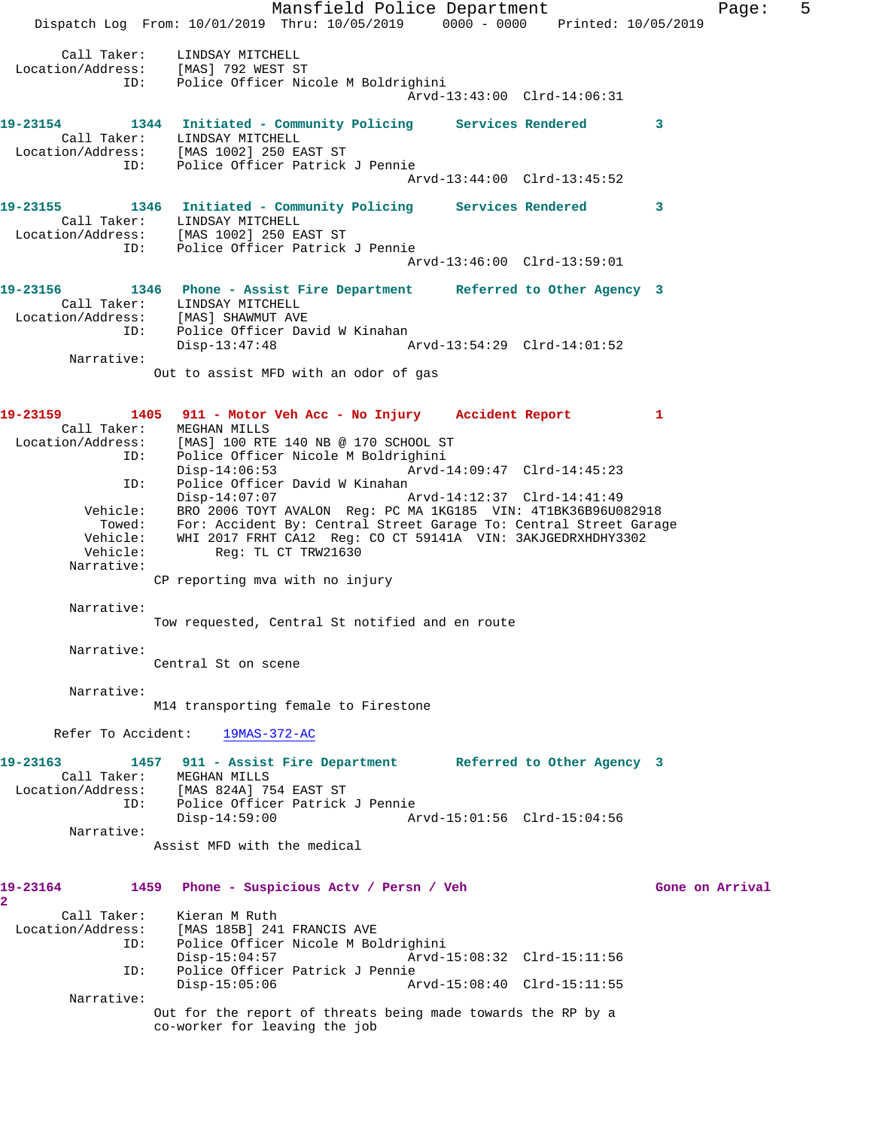Mansfield Police Department Fage: 5 Dispatch Log From: 10/01/2019 Thru: 10/05/2019 0000 - 0000 Printed: 10/05/2019 Call Taker: LINDSAY MITCHELL Location/Address: [MAS] 792 WEST ST ID: Police Officer Nicole M Boldrighini Arvd-13:43:00 Clrd-14:06:31 **19-23154 1344 Initiated - Community Policing Services Rendered 3**  Call Taker: LINDSAY MITCHELL Location/Address: [MAS 1002] 250 EAST ST Police Officer Patrick J Pennie Arvd-13:44:00 Clrd-13:45:52 **19-23155 1346 Initiated - Community Policing Services Rendered 3**  Call Taker: LINDSAY MITCHELL Location/Address: [MAS 1002] 250 EAST ST ID: Police Officer Patrick J Pennie Arvd-13:46:00 Clrd-13:59:01 **19-23156 1346 Phone - Assist Fire Department Referred to Other Agency 3**  Call Taker: LINDSAY MITCHELL Location/Address: [MAS] SHAWMUT AVE ID: Police Officer David W Kinahan Disp-13:47:48 Arvd-13:54:29 Clrd-14:01:52 Narrative: Out to assist MFD with an odor of gas **19-23159 1405 911 - Motor Veh Acc - No Injury Accident Report 1**  Call Taker: MEGHAN MILLS Location/Address: [MAS] 100 RTE 140 NB @ 170 SCHOOL ST ID: Police Officer Nicole M Boldrighini Disp-14:06:53 Arvd-14:09:47 Clrd-14:45:23 ID: Police Officer David W Kinahan Disp-14:07:07 Arvd-14:12:37 Clrd-14:41:49 Vehicle: BRO 2006 TOYT AVALON Reg: PC MA 1KG185 VIN: 4T1BK36B96U082918 Towed: For: Accident By: Central Street Garage To: Central Street Garage Vehicle: WHI 2017 FRHT CA12 Reg: CO CT 59141A VIN: 3AKJGEDRXHDHY3302 Vehicle: Reg: TL CT TRW21630 Narrative: CP reporting mva with no injury Narrative: Tow requested, Central St notified and en route Narrative: Central St on scene Narrative: M14 transporting female to Firestone Refer To Accident: 19MAS-372-AC **19-23163 1457 911 - Assist Fire Department Referred to Other Agency 3**  Call Taker: MEGHAN MILLS Location/Address: [MAS 824A] 754 EAST ST ID: Police Officer Patrick J Pennie Disp-14:59:00 Arvd-15:01:56 Clrd-15:04:56 Narrative: Assist MFD with the medical **19-23164 1459 Phone - Suspicious Actv / Persn / Veh Gone on Arrival 2**  Call Taker: Kieran M Ruth Location/Address: [MAS 185B] 241 FRANCIS AVE ID: Police Officer Nicole M Boldrighini Disp-15:04:57 Arvd-15:08:32 Clrd-15:11:56<br>ID: Police Officer Patrick J Pennie Police Officer Patrick J Pennie<br>Disp-15:05:06 Ar Disp-15:05:06 Arvd-15:08:40 Clrd-15:11:55 Narrative: Out for the report of threats being made towards the RP by a co-worker for leaving the job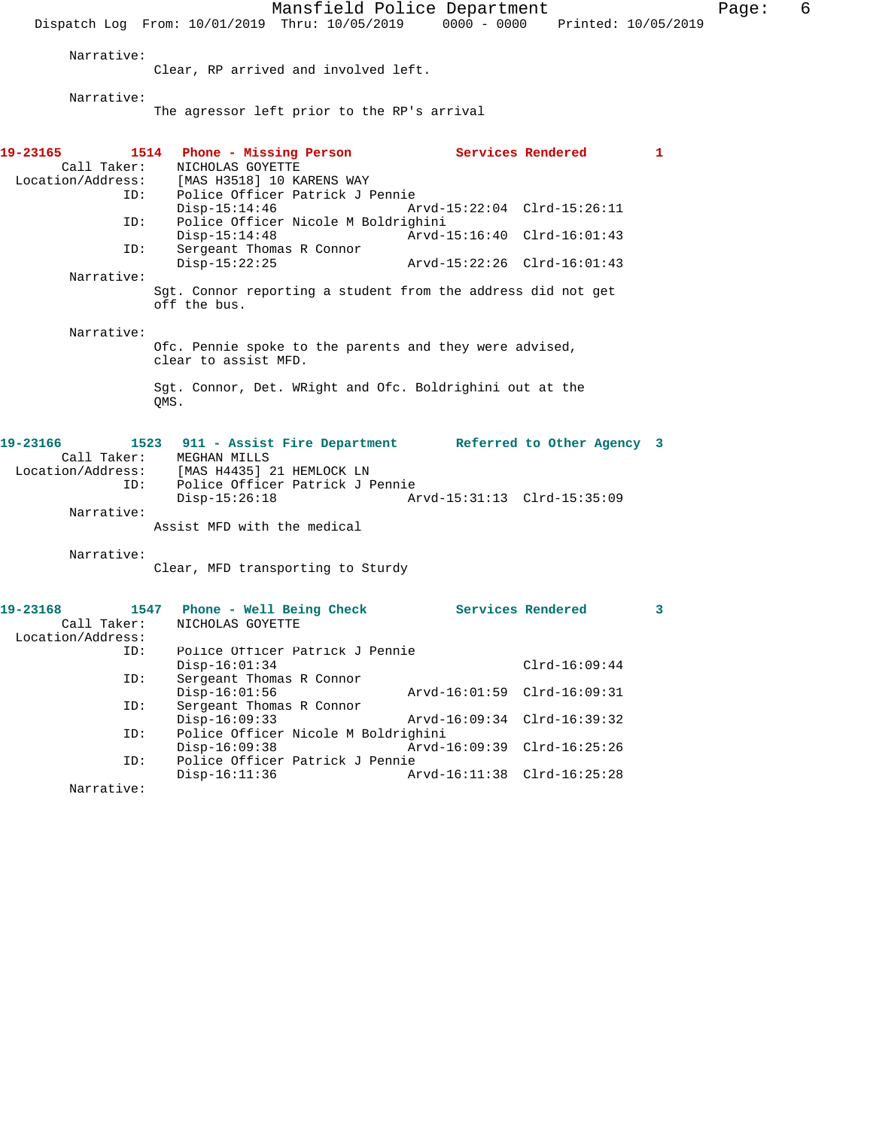Mansfield Police Department Fage: 6 Dispatch Log From: 10/01/2019 Thru: 10/05/2019 0000 - 0000 Printed: 10/05/2019 Narrative: Clear, RP arrived and involved left. Narrative: The agressor left prior to the RP's arrival **19-23165 1514 Phone - Missing Person Services Rendered 1**  Call Taker: NICHOLAS GOYETTE<br>Location/Address: [MAS H3518] 10 K لمسجدة المحدد المحدد المحدد .<br>Ess: [MAS H3518] 10 KARENS WAY<br>ID: Police Officer Patrick J P Police Officer Patrick J Pennie<br>Disp-15:14:46 A Disp-15:14:46 Arvd-15:22:04 Clrd-15:26:11 ID: Police Officer Nicole M Boldrighini Disp-15:14:48 <br>Th: Sergeant Thomas R Connor <br>Displacement Thomas R Connor Sergeant Thomas R Connor<br>Disp-15:22:25 Disp-15:22:25 Arvd-15:22:26 Clrd-16:01:43 Narrative: Sgt. Connor reporting a student from the address did not get off the bus. Narrative: Ofc. Pennie spoke to the parents and they were advised, clear to assist MFD. Sgt. Connor, Det. WRight and Ofc. Boldrighini out at the QMS. **19-23166 1523 911 - Assist Fire Department Referred to Other Agency 3**  Call Taker: MEGHAN MILLS Location/Address: [MAS H4435] 21 HEMLOCK LN ID: Police Officer Patrick J Pennie Disp-15:26:18 Arvd-15:31:13 Clrd-15:35:09 Narrative: Assist MFD with the medical Narrative: Clear, MFD transporting to Sturdy 19-23168 1547 Phone - Well Being Check Services Rendered 3 Call Taker: NICHOLAS GOYETTE Location/Address: Police Officer Patrick J Pennie Disp-16:01:34 Clrd-16:09:44<br>TD: Sergeant Thomas R Connor Sergeant Thomas R Connor<br>Disp-16:01:56 Disp-16:01:56 Arvd-16:01:59 Clrd-16:09:31<br>ID: Sergeant Thomas R Connor Sergeant Thomas R Connor<br>Disp-16:09:33 Disp-16:09:33 Arvd-16:09:34 Clrd-16:39:32 ID: Police Officer Nicole M Boldrighini Disp-16:09:38 Arvd-16:09:39 Clrd-16:25:26 ID: Police Officer Patrick J Pennie

Narrative:

Arvd-16:11:38 Clrd-16:25:28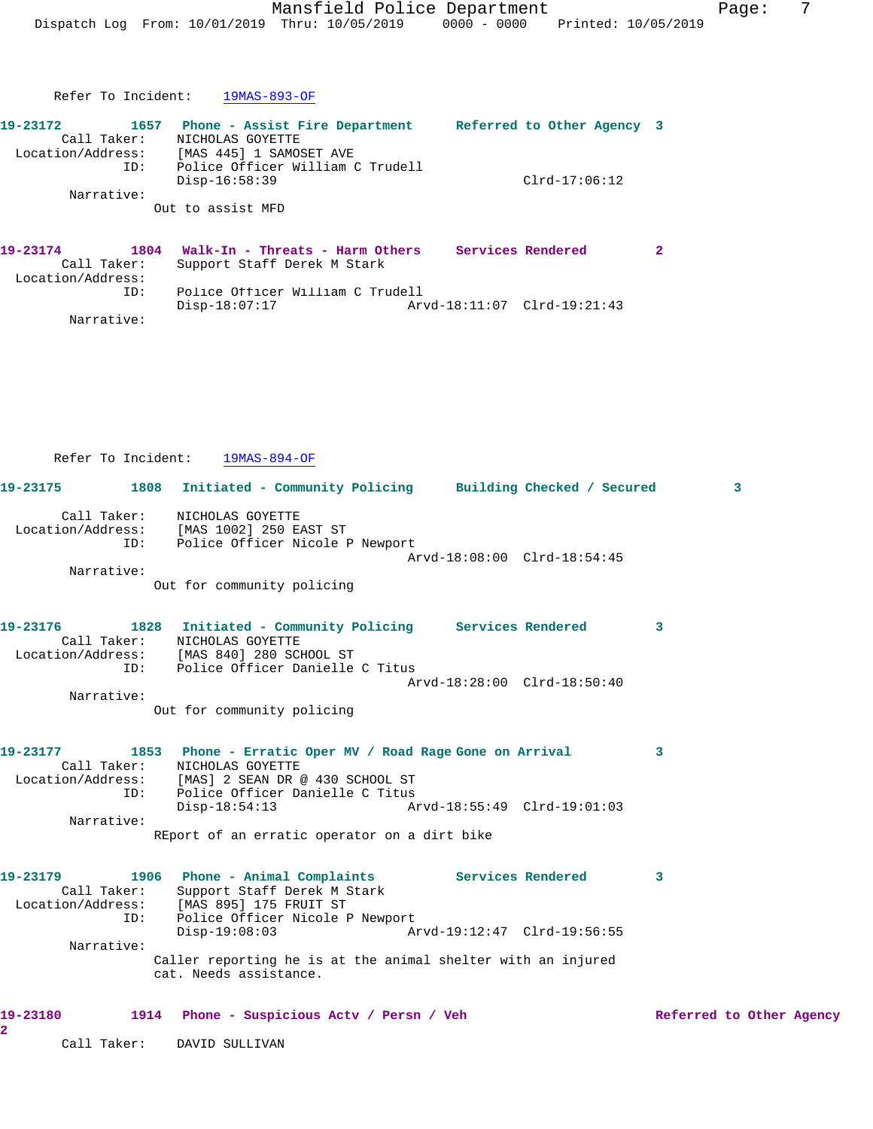| 19-23172          | 1657 | Phone - Assist Fire Department   | Referred to Other Agency 3 |                 |  |
|-------------------|------|----------------------------------|----------------------------|-----------------|--|
| Call Taker:       |      | NICHOLAS GOYETTE                 |                            |                 |  |
| Location/Address: |      | [MAS 445] 1 SAMOSET AVE          |                            |                 |  |
|                   | ID:  | Police Officer William C Trudell |                            |                 |  |
|                   |      | Disp-16:58:39                    |                            | $Clrd-17:06:12$ |  |
| Narrative:        |      |                                  |                            |                 |  |
|                   |      | Out to assist MFD                |                            |                 |  |
|                   |      |                                  |                            |                 |  |

| 19-23174          |             | 1804 Walk-In - Threats - Harm Others | Services Rendered |  |
|-------------------|-------------|--------------------------------------|-------------------|--|
|                   | Call Taker: | Support Staff Derek M Stark          |                   |  |
| Location/Address: |             |                                      |                   |  |
|                   | TD:         | Police Officer William C Trudell     |                   |  |
|                   |             | Disp-18:07:17                        |                   |  |
|                   | Narrative:  |                                      |                   |  |

|                            | Refer To Incident: | 19MAS-894-OF                                                                                                                                                             |                             |                          |
|----------------------------|--------------------|--------------------------------------------------------------------------------------------------------------------------------------------------------------------------|-----------------------------|--------------------------|
| 19-23175                   |                    | 1808 Initiated - Community Policing Building Checked / Secured                                                                                                           |                             | $\overline{\mathbf{3}}$  |
|                            |                    | Call Taker: NICHOLAS GOYETTE<br>Location/Address: [MAS 1002] 250 EAST ST<br>ID: Police Officer Nicole P Newport                                                          |                             |                          |
| Narrative:                 |                    |                                                                                                                                                                          | Arvd-18:08:00 Clrd-18:54:45 |                          |
|                            |                    | Out for community policing                                                                                                                                               |                             |                          |
| 19-23176                   | Call Taker:        | 1828 Initiated - Community Policing Services Rendered<br>NICHOLAS GOYETTE<br>Location/Address: [MAS 840] 280 SCHOOL ST<br>ID: Police Officer Danielle C Titus            |                             | 3                        |
| Narrative:                 |                    |                                                                                                                                                                          | Arvd-18:28:00 Clrd-18:50:40 |                          |
|                            |                    | Out for community policing                                                                                                                                               |                             |                          |
| 19-23177                   | Call Taker:        | 1853 Phone - Erratic Oper MV / Road Rage Gone on Arrival<br>NICHOLAS GOYETTE<br>Location/Address: [MAS] 2 SEAN DR @ 430 SCHOOL ST<br>ID: Police Officer Danielle C Titus |                             | 3                        |
| Narrative:                 |                    | Disp-18:54:13                                                                                                                                                            |                             |                          |
|                            |                    | REport of an erratic operator on a dirt bike                                                                                                                             |                             |                          |
| 19-23179                   | Call Taker:<br>ID: | 1906 Phone - Animal Complaints Services Rendered<br>Support Staff Derek M Stark<br>Location/Address: [MAS 895] 175 FRUIT ST<br>Police Officer Nicole P Newport           |                             | 3                        |
|                            |                    | $Disp-19:08:03$                                                                                                                                                          | Arvd-19:12:47 Clrd-19:56:55 |                          |
| Narrative:                 |                    | Caller reporting he is at the animal shelter with an injured<br>cat. Needs assistance.                                                                                   |                             |                          |
| 19-23180<br>$\overline{a}$ |                    | 1914 Phone - Suspicious Actv / Persn / Veh                                                                                                                               |                             | Referred to Other Agency |

Call Taker: DAVID SULLIVAN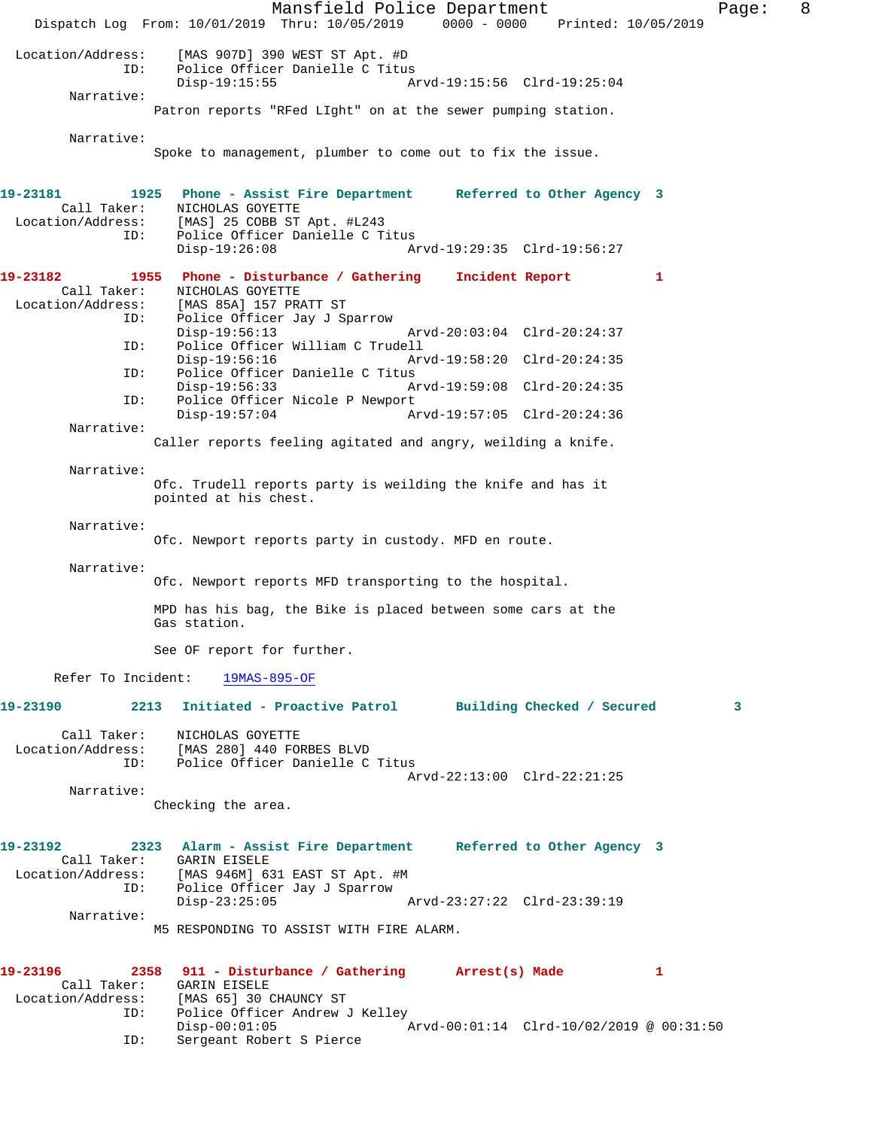Mansfield Police Department Form Page: 8 Dispatch Log From: 10/01/2019 Thru: 10/05/2019 0000 - 0000 Printed: 10/05/2019 Location/Address: [MAS 907D] 390 WEST ST Apt. #D Police Officer Danielle C Titus<br>Disp-19:15:55 A Arvd-19:15:56 Clrd-19:25:04 Narrative: Patron reports "RFed LIght" on at the sewer pumping station. Narrative: Spoke to management, plumber to come out to fix the issue. **19-23181 1925 Phone - Assist Fire Department Referred to Other Agency 3**  Call Taker: NICHOLAS GOYETTE Location/Address: [MAS] 25 COBB ST Apt. #L243 ID: Police Officer Danielle C Titus Disp-19:26:08 Arvd-19:29:35 Clrd-19:56:27 **19-23182 1955 Phone - Disturbance / Gathering Incident Report 1**  Call Taker: <br>
MICHOLAS GOYETTE<br>
Location/Address: [MAS 85A] 157 PR. [MAS 85A] 157 PRATT ST ID: Police Officer Jay J Sparrow Arvd-20:03:04 Clrd-20:24:37 ID: Police Officer William C Trudell Disp-19:56:16 Arvd-19:58:20 Clrd-20:24:35<br>TD: Police Officer Danielle C Titus Police Officer Danielle C Titus Disp-19:56:33 Arvd-19:59:08 Clrd-20:24:35 ID: Police Officer Nicole P Newport Disp-19:57:04 Arvd-19:57:05 Clrd-20:24:36 Narrative: Caller reports feeling agitated and angry, weilding a knife. Narrative: Ofc. Trudell reports party is weilding the knife and has it pointed at his chest. Narrative: Ofc. Newport reports party in custody. MFD en route. Narrative: Ofc. Newport reports MFD transporting to the hospital. MPD has his bag, the Bike is placed between some cars at the Gas station. See OF report for further. Refer To Incident: 19MAS-895-OF **19-23190 2213 Initiated - Proactive Patrol Building Checked / Secured 3** Call Taker: NICHOLAS GOYETTE Location/Address: [MAS 280] 440 FORBES BLVD ID: Police Officer Danielle C Titus Arvd-22:13:00 Clrd-22:21:25 Narrative: Checking the area. **19-23192 2323 Alarm - Assist Fire Department Referred to Other Agency 3**  Call Taker: GARIN EISELE Location/Address: [MAS 946M] 631 EAST ST Apt. #M ID: Police Officer Jay J Sparrow Disp-23:25:05 Arvd-23:27:22 Clrd-23:39:19 Narrative: M5 RESPONDING TO ASSIST WITH FIRE ALARM. **19-23196 2358 911 - Disturbance / Gathering Arrest(s) Made 1**  Call Taker: GARIN EISELE<br>Location/Address: [MAS 65] 30 [MAS 65] 30 CHAUNCY ST ID: Police Officer Andrew J Kelley<br>Disp-00:01:05 Disp-00:01:05 Arvd-00:01:14 Clrd-10/02/2019 @ 00:31:50<br>TD: Sergeant Robert S Pierce Sergeant Robert S Pierce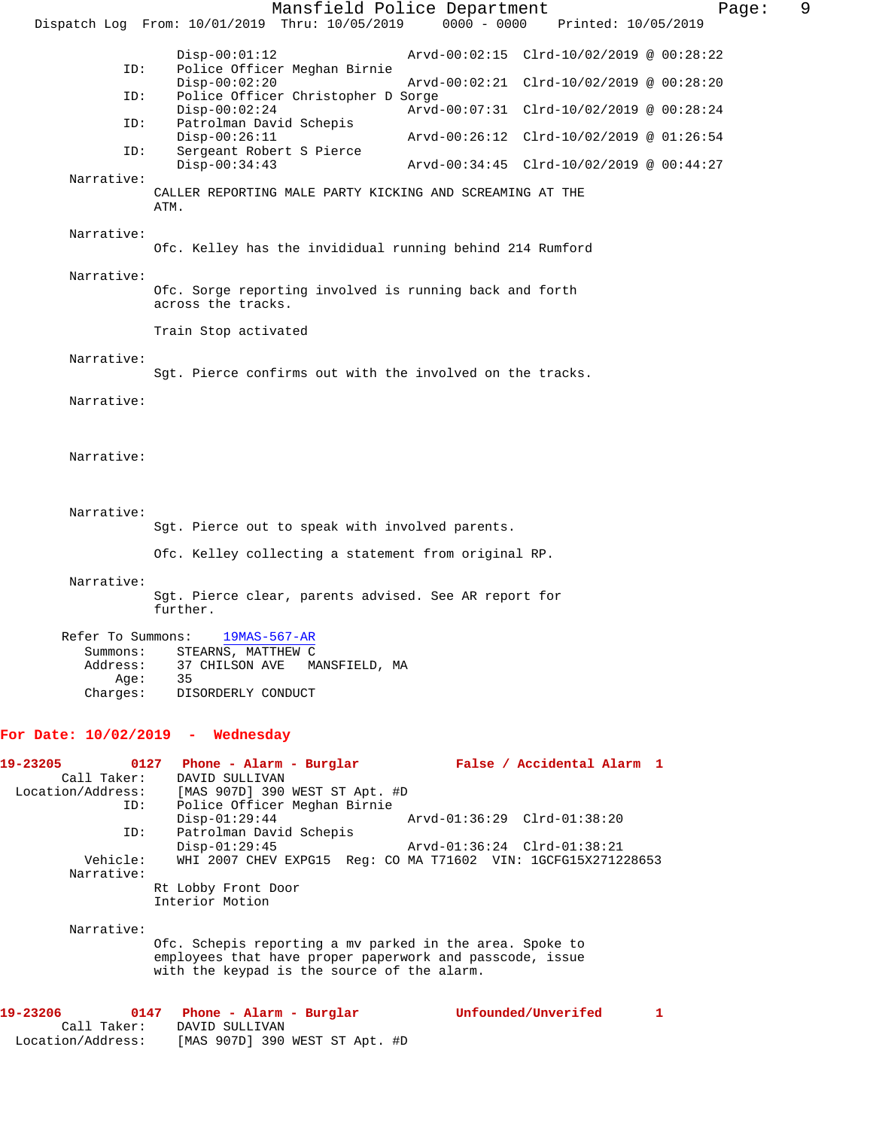Mansfield Police Department Fage: 9 Dispatch Log From: 10/01/2019 Thru: 10/05/2019 0000 - 0000 Printed: 10/05/2019 Disp-00:01:12 Arvd-00:02:15 Clrd-10/02/2019 @ 00:28:22<br>ID: Police Officer Meghan Birnie Police Officer Meghan Birnie<br>Disp-00:02:20 Disp-00:02:20 Arvd-00:02:21 Clrd-10/02/2019 @ 00:28:20 ID: Police Officer Christopher D Sorge Disp-00:02:24 Arvd-00:07:31 Clrd-10/02/2019 @ 00:28:24 ID: Patrolman David Schepis Disp-00:26:11 Arvd-00:26:12 Clrd-10/02/2019 @ 01:26:54<br>ID: Sergeant Robert S Pierce Sergeant Robert S Pierce<br>Disp-00:34:43 Disp-00:34:43 Arvd-00:34:45 Clrd-10/02/2019 @ 00:44:27 Narrative: CALLER REPORTING MALE PARTY KICKING AND SCREAMING AT THE ATM. Narrative: Ofc. Kelley has the invididual running behind 214 Rumford Narrative: Ofc. Sorge reporting involved is running back and forth across the tracks. Train Stop activated Narrative: Sgt. Pierce confirms out with the involved on the tracks. Narrative: Narrative: Narrative: Sgt. Pierce out to speak with involved parents. Ofc. Kelley collecting a statement from original RP. Narrative: Sgt. Pierce clear, parents advised. See AR report for further. Refer To Summons: 19MAS-567-AR Summons: STEARNS, MATTHEW C<br>Address: 37 CHILSON AVE MA 37 CHILSON AVE MANSFIELD, MA<br>35 Age:<br>:Charges DISORDERLY CONDUCT **For Date: 10/02/2019 - Wednesday 19-23205 0127 Phone - Alarm - Burglar False / Accidental Alarm 1**  Call Taker: DAVID SULLIVAN<br>Location/Address: [MAS 907D] 390 SS: [MAS 907D] 390 WEST ST Apt. #D<br>ID: Police Officer Meghan Birnie Police Officer Meghan Birnie Disp-01:29:44 Arvd-01:36:29 Clrd-01:38:20 ID: Patrolman David Schepis Disp-01:29:45 Arvd-01:36:24 Clrd-01:38:21<br>Vehicle: WHI 2007 CHEV EXPG15 Req: CO MA T71602 VIN: 1GCFG15X2712 WHI 2007 CHEV EXPG15 Reg: CO MA T71602 VIN: 1GCFG15X271228653 Narrative: Rt Lobby Front Door Interior Motion Narrative: Ofc. Schepis reporting a mv parked in the area. Spoke to employees that have proper paperwork and passcode, issue with the keypad is the source of the alarm. **19-23206 0147 Phone - Alarm - Burglar Unfounded/Unverifed 1**  DAVID SULLIVAN Location/Address: [MAS 907D] 390 WEST ST Apt. #D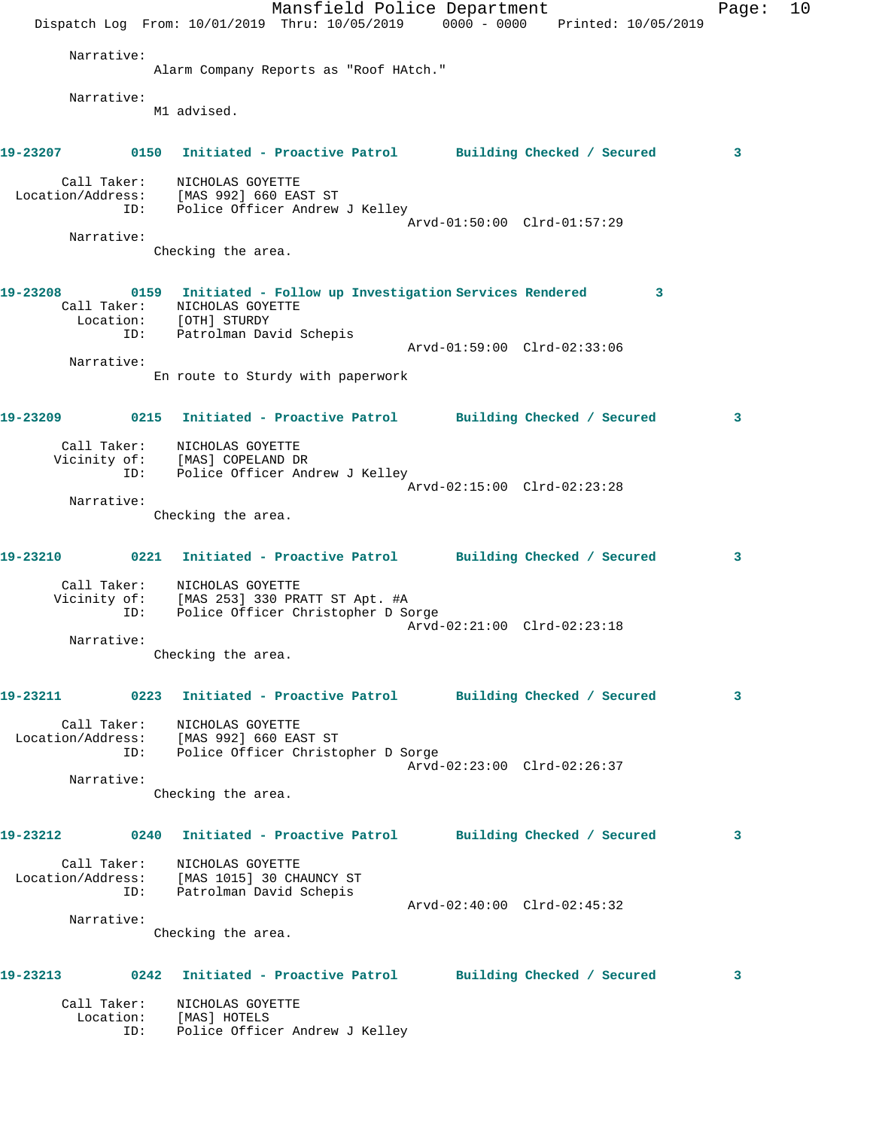|          |                                 |                                                                                                                                              | Mansfield Police Department<br>Dispatch Log From: 10/01/2019 Thru: 10/05/2019 0000 - 0000 Printed: 10/05/2019 |                            | Page: | 10 |
|----------|---------------------------------|----------------------------------------------------------------------------------------------------------------------------------------------|---------------------------------------------------------------------------------------------------------------|----------------------------|-------|----|
|          | Narrative:                      |                                                                                                                                              |                                                                                                               |                            |       |    |
|          |                                 | Alarm Company Reports as "Roof HAtch."                                                                                                       |                                                                                                               |                            |       |    |
|          | Narrative:                      | M1 advised.                                                                                                                                  |                                                                                                               |                            |       |    |
|          |                                 |                                                                                                                                              | 19-23207 0150 Initiated - Proactive Patrol Building Checked / Secured                                         |                            | 3     |    |
|          | Call Taker:                     | NICHOLAS GOYETTE<br>Location/Address: [MAS 992] 660 EAST ST<br>ID: Police Officer Andrew J Kelley                                            |                                                                                                               |                            |       |    |
|          | Narrative:                      |                                                                                                                                              | Arvd-01:50:00 Clrd-01:57:29                                                                                   |                            |       |    |
|          |                                 | Checking the area.                                                                                                                           |                                                                                                               |                            |       |    |
| 19-23208 | ID:                             | Call Taker: NICHOLAS GOYETTE<br>Location: [OTH] STURDY<br>Patrolman David Schepis                                                            | 0159 Initiated - Follow up Investigation Services Rendered 3                                                  |                            |       |    |
|          |                                 |                                                                                                                                              | Arvd-01:59:00 Clrd-02:33:06                                                                                   |                            |       |    |
|          | Narrative:                      | En route to Sturdy with paperwork                                                                                                            |                                                                                                               |                            |       |    |
| 19-23209 |                                 |                                                                                                                                              | 0215 Initiated - Proactive Patrol Building Checked / Secured                                                  |                            | 3     |    |
|          | Call Taker:<br>ID:              | NICHOLAS GOYETTE<br>Vicinity of: [MAS] COPELAND DR<br>Police Officer Andrew J Kelley                                                         |                                                                                                               |                            |       |    |
|          |                                 |                                                                                                                                              | Arvd-02:15:00 Clrd-02:23:28                                                                                   |                            |       |    |
|          | Narrative:                      | Checking the area.                                                                                                                           |                                                                                                               |                            |       |    |
| 19-23210 |                                 |                                                                                                                                              | 0221 Initiated - Proactive Patrol Building Checked / Secured                                                  |                            | 3     |    |
|          | Call Taker:<br>ID:              | NICHOLAS GOYETTE<br>Vicinity of: [MAS 253] 330 PRATT ST Apt. #A<br>ID: Police Officer Christopher D So<br>Police Officer Christopher D Sorge |                                                                                                               |                            |       |    |
|          | Narrative:                      |                                                                                                                                              | Arvd-02:21:00 Clrd-02:23:18                                                                                   |                            |       |    |
|          |                                 | Checking the area.                                                                                                                           |                                                                                                               |                            |       |    |
| 19-23211 |                                 |                                                                                                                                              | 0223 Initiated - Proactive Patrol Building Checked / Secured                                                  |                            | 3     |    |
|          | Call Taker:<br>ID:              | NICHOLAS GOYETTE<br>Location/Address: [MAS 992] 660 EAST ST<br>Police Officer Christopher D Sorge                                            | Arvd-02:23:00 Clrd-02:26:37                                                                                   |                            |       |    |
|          | Narrative:                      |                                                                                                                                              |                                                                                                               |                            |       |    |
|          |                                 | Checking the area.                                                                                                                           |                                                                                                               |                            |       |    |
| 19-23212 |                                 |                                                                                                                                              | 0240 Initiated - Proactive Patrol Building Checked / Secured                                                  |                            | 3     |    |
|          | Call Taker:<br>ID:              | NICHOLAS GOYETTE<br>Location/Address: [MAS 1015] 30 CHAUNCY ST<br>Patrolman David Schepis                                                    |                                                                                                               |                            |       |    |
|          | Narrative:                      |                                                                                                                                              | Arvd-02:40:00 Clrd-02:45:32                                                                                   |                            |       |    |
|          |                                 | Checking the area.                                                                                                                           |                                                                                                               |                            |       |    |
| 19-23213 |                                 | 0242 Initiated - Proactive Patrol                                                                                                            |                                                                                                               | Building Checked / Secured | 3     |    |
|          | Call Taker:<br>Location:<br>ID: | NICHOLAS GOYETTE<br>[MAS] HOTELS<br>Police Officer Andrew J Kelley                                                                           |                                                                                                               |                            |       |    |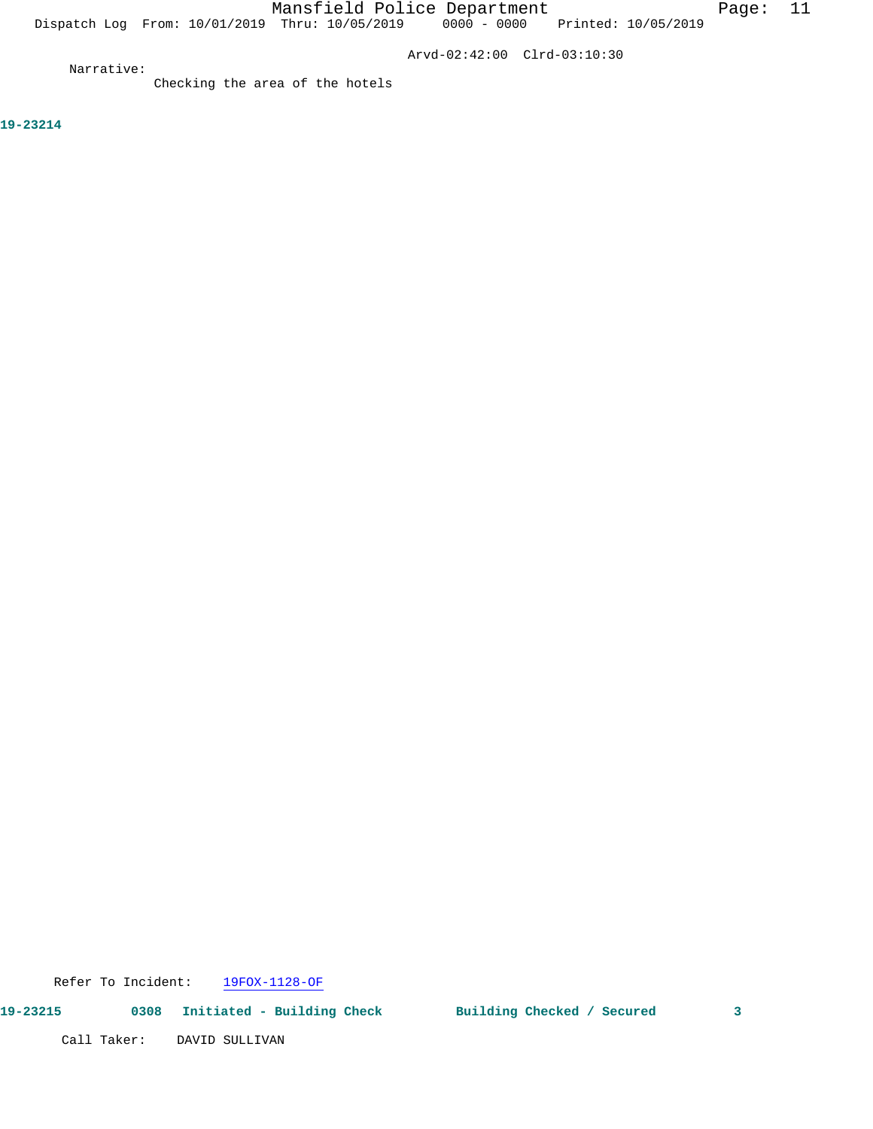Dispatch Log From: 10/01/2019 Thru: 10/05/2019 0000 - 0000 Printed: 10/05/2019

Arvd-02:42:00 Clrd-03:10:30

Narrative:

Checking the area of the hotels

**19-23214** 

Call Taker: DAVID SULLIVAN

Refer To Incident: 19FOX-1128-OF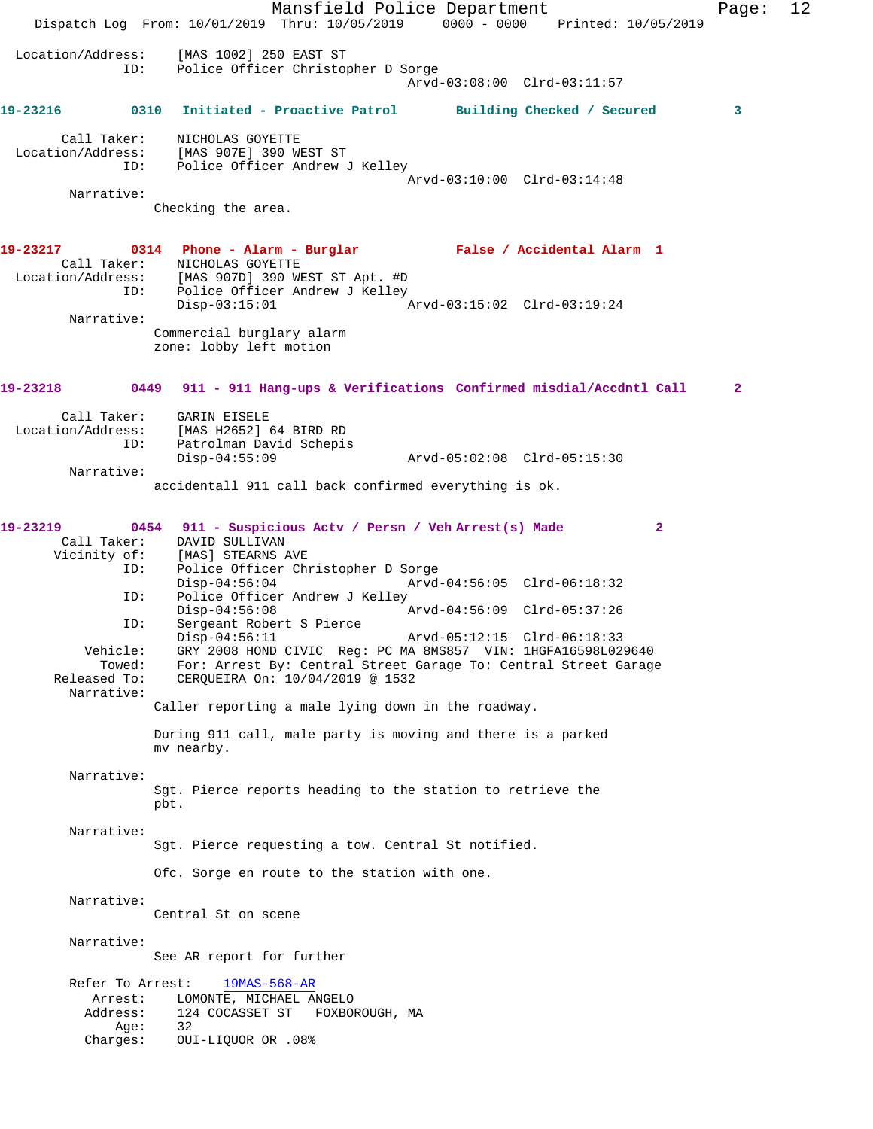Mansfield Police Department Page: 12 Dispatch Log From: 10/01/2019 Thru: 10/05/2019 0000 - 0000 Printed: 10/05/2019 Location/Address: [MAS 1002] 250 EAST ST Police Officer Christopher D Sorge Arvd-03:08:00 Clrd-03:11:57 **19-23216 0310 Initiated - Proactive Patrol Building Checked / Secured 3** Call Taker: NICHOLAS GOYETTE Location/Address: [MAS 907E] 390 WEST ST ID: Police Officer Andrew J Kelley Arvd-03:10:00 Clrd-03:14:48 Narrative: Checking the area. **19-23217 0314 Phone - Alarm - Burglar False / Accidental Alarm 1**  Call Taker: NICHOLAS GOYETTE Location/Address: [MAS 907D] 390 WEST ST Apt. #D ess: العامل المصدر مطالع<br>ID: Police Officer Andrew J Kelley<br>Disp-03:15:01 Disp-03:15:01 Arvd-03:15:02 Clrd-03:19:24 Narrative: Commercial burglary alarm zone: lobby left motion **19-23218 0449 911 - 911 Hang-ups & Verifications Confirmed misdial/Accdntl Call 2** Call Taker: GARIN EISELE Location/Address: [MAS H2652] 64 BIRD RD Patrolman David Schepis Disp-04:55:09 Arvd-05:02:08 Clrd-05:15:30 Narrative: accidentall 911 call back confirmed everything is ok. **19-23219 0454 911 - Suspicious Actv / Persn / Veh Arrest(s) Made 2**  Call Taker: DAVID SULLIVAN Vicinity of: [MAS] STEARNS AVE ID: Police Officer Christopher D Sorge Disp-04:56:04 Arvd-04:56:05 Clrd-06:18:32<br>ID: Police Officer Andrew J Kelley Police Officer Andrew J Kelley<br>Disp-04:56:08 Disp-04:56:08 Arvd-04:56:09 Clrd-05:37:26 ID: Sergeant Robert S Pierce Disp-04:56:11 Arvd-05:12:15 Clrd-06:18:33<br>Vehicle: GRY 2008 HOND CIVIC Req: PC MA 8MS857 VIN: 1HGFA16598L02 GRY 2008 HOND CIVIC Reg: PC MA 8MS857 VIN: 1HGFA16598L029640 Towed: For: Arrest By: Central Street Garage To: Central Street Garage Released To: CERQUEIRA On:  $10/04/2019 \text{ } \textcircled$  1532 CERQUEIRA On: 10/04/2019 @ 1532 Narrative: Caller reporting a male lying down in the roadway. During 911 call, male party is moving and there is a parked mv nearby. Narrative: Sgt. Pierce reports heading to the station to retrieve the pbt. Narrative: Sgt. Pierce requesting a tow. Central St notified. Ofc. Sorge en route to the station with one. Narrative: Central St on scene Narrative: See AR report for further Refer To Arrest: 19MAS-568-AR Arrest: LOMONTE, MICHAEL ANGELO<br>Address: 124 COCASSET ST FOXBO 124 COCASSET ST FOXBOROUGH, MA<br>32 Age: Charges: OUI-LIQUOR OR .08%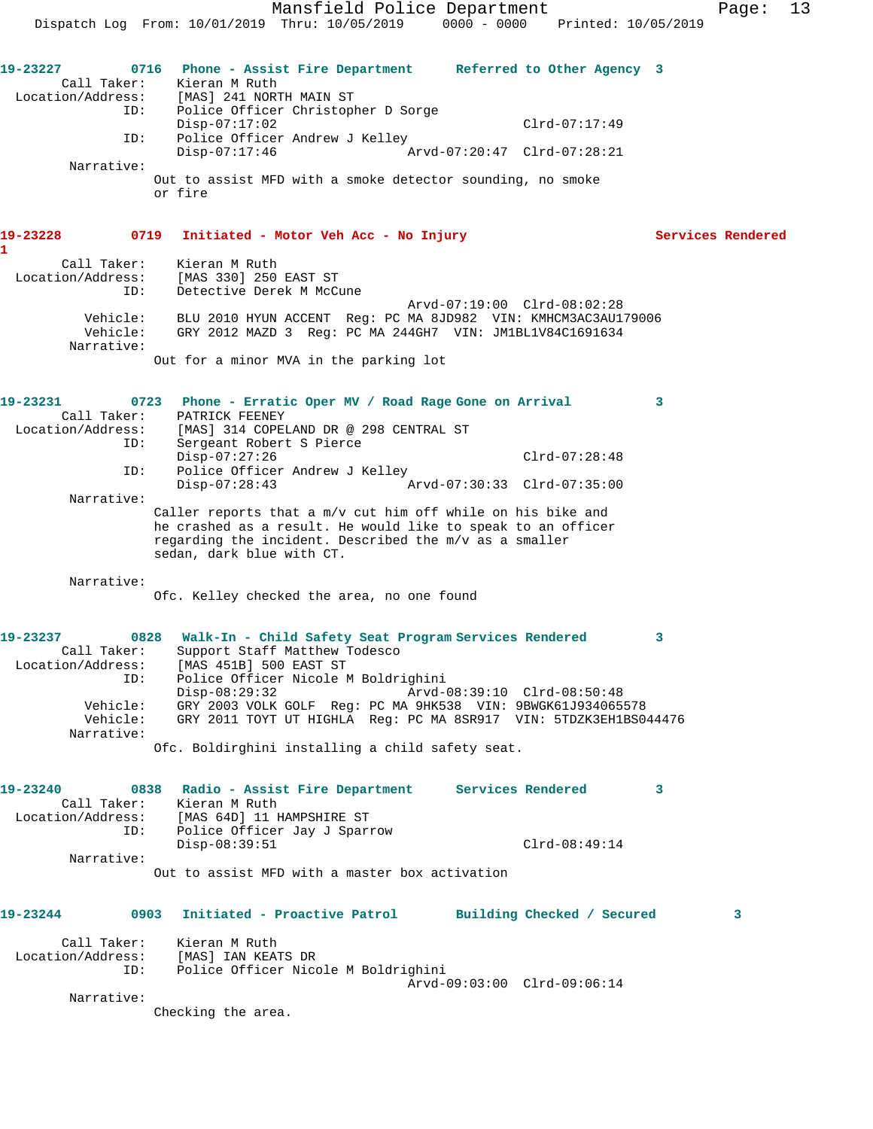Mansfield Police Department Fage: 13 Dispatch Log From: 10/01/2019 Thru: 10/05/2019 0000 - 0000 Printed: 10/05/2019 **19-23227 0716 Phone - Assist Fire Department Referred to Other Agency 3**  Call Taker: Kieran M Ruth Location/Address: [MAS] 241 NORTH MAIN ST ID: Police Officer Christopher D Sorge Disp-07:17:02 Clrd-07:17:49 ID: Police Officer Andrew J Kelley<br>Disp-07:17:46 Ar Disp-07:17:46 Arvd-07:20:47 Clrd-07:28:21 Narrative: Out to assist MFD with a smoke detector sounding, no smoke or fire **19-23228 0719 Initiated - Motor Veh Acc - No Injury Services Rendered 1**  Call Taker: Kieran M Ruth Location/Address: [MAS 330] 250 EAST ST ID: Detective Derek M McCune Arvd-07:19:00 Clrd-08:02:28 Vehicle: BLU 2010 HYUN ACCENT Reg: PC MA 8JD982 VIN: KMHCM3AC3AU179006 Vehicle: GRY 2012 MAZD 3 Reg: PC MA 244GH7 VIN: JM1BL1V84C1691634 Narrative: Out for a minor MVA in the parking lot **19-23231 0723 Phone - Erratic Oper MV / Road Rage Gone on Arrival 3**  Call Taker: PATRICK FEENEY Location/Address: [MAS] 314 COPELAND DR @ 298 CENTRAL ST ID: Sergeant Robert S Pierce Disp-07:27:26 Clrd-07:28:48 ID: Police Officer Andrew J Kelley<br>Disp-07:28:43 Arv Arvd-07:30:33 Clrd-07:35:00 Narrative: Caller reports that a m/v cut him off while on his bike and he crashed as a result. He would like to speak to an officer regarding the incident. Described the m/v as a smaller sedan, dark blue with CT. Narrative: Ofc. Kelley checked the area, no one found **19-23237 0828 Walk-In - Child Safety Seat Program Services Rendered 3**  Call Taker: Support Staff Matthew Todesco Location/Address: [MAS 451B] 500 EAST ST ID: Police Officer Nicole M Boldrighini Disp-08:29:32 Arvd-08:39:10 Clrd-08:50:48 Vehicle: GRY 2003 VOLK GOLF Reg: PC MA 9HK538 VIN: 9BWGK61J934065578 Vehicle: GRY 2011 TOYT UT HIGHLA Reg: PC MA 8SR917 VIN: 5TDZK3EH1BS044476 Narrative: Ofc. Boldirghini installing a child safety seat. **19-23240 0838 Radio - Assist Fire Department Services Rendered 3**  Call Taker: Kieran M Ruth Location/Address: [MAS 64D] 11 HAMPSHIRE ST ID: Police Officer Jay J Sparrow Disp-08:39:51 Clrd-08:49:14 Narrative: Out to assist MFD with a master box activation **19-23244 0903 Initiated - Proactive Patrol Building Checked / Secured 3** Call Taker: Kieran M Ruth Location/Address: [MAS] IAN KEATS DR ID: Police Officer Nicole M Boldrighini Arvd-09:03:00 Clrd-09:06:14 Narrative: Checking the area.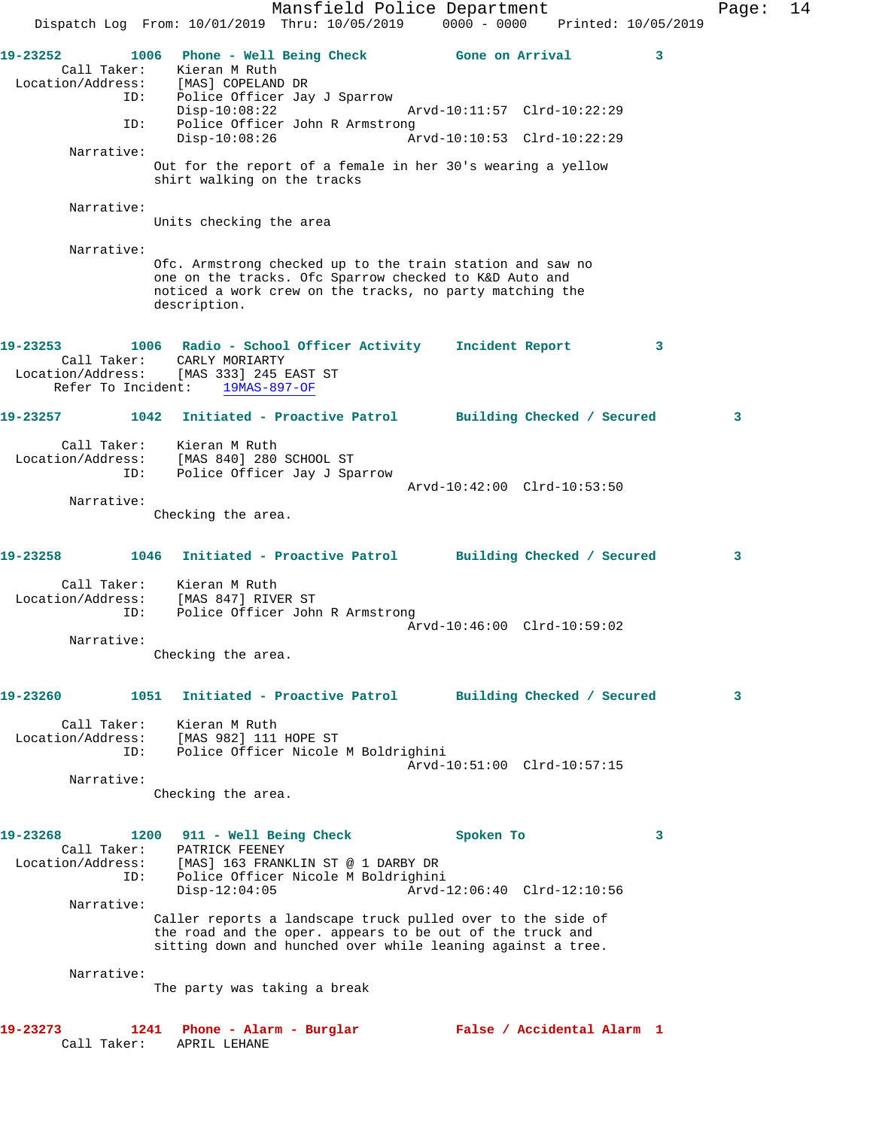Mansfield Police Department Fage: 14 Dispatch Log From: 10/01/2019 Thru: 10/05/2019 0000 - 0000 Printed: 10/05/2019 **19-23252 1006 Phone - Well Being Check Gone on Arrival 3**  Call Taker: Kieran M Ruth Location/Address: [MAS] COPELAND DR ID: Police Officer Jay J Sparrow Disp-10:08:22 Arvd-10:11:57 Clrd-10:22:29 ID: Police Officer John R Armstrong<br>Disp-10:08:26 Ar Disp-10:08:26 Arvd-10:10:53 Clrd-10:22:29 Narrative: Out for the report of a female in her 30's wearing a yellow shirt walking on the tracks Narrative: Units checking the area Narrative: Ofc. Armstrong checked up to the train station and saw no one on the tracks. Ofc Sparrow checked to K&D Auto and noticed a work crew on the tracks, no party matching the description. **19-23253 1006 Radio - School Officer Activity Incident Report 3**  Call Taker: CARLY MORIARTY Location/Address: [MAS 333] 245 EAST ST Refer To Incident: 19MAS-897-OF **19-23257 1042 Initiated - Proactive Patrol Building Checked / Secured 3** Call Taker: Kieran M Ruth Location/Address: [MAS 840] 280 SCHOOL ST ID: Police Officer Jay J Sparrow Arvd-10:42:00 Clrd-10:53:50 Narrative: Checking the area. **19-23258 1046 Initiated - Proactive Patrol Building Checked / Secured 3** Call Taker: Kieran M Ruth Location/Address: [MAS 847] RIVER ST ID: Police Officer John R Armstrong Arvd-10:46:00 Clrd-10:59:02 Narrative: Checking the area. **19-23260 1051 Initiated - Proactive Patrol Building Checked / Secured 3** Call Taker: Kieran M Ruth Location/Address: [MAS 982] 111 HOPE ST ID: Police Officer Nicole M Boldrighini Arvd-10:51:00 Clrd-10:57:15 Narrative: Checking the area. **19-23268 1200 911 - Well Being Check Spoken To 3**  Call Taker: PATRICK FEENEY Location/Address: [MAS] 163 FRANKLIN ST @ 1 DARBY DR ID: Police Officer Nicole M Boldrighini Disp-12:04:05 Arvd-12:06:40 Clrd-12:10:56 Narrative: Caller reports a landscape truck pulled over to the side of the road and the oper. appears to be out of the truck and sitting down and hunched over while leaning against a tree. Narrative: The party was taking a break **19-23273 1241 Phone - Alarm - Burglar False / Accidental Alarm 1**  Call Taker: APRIL LEHANE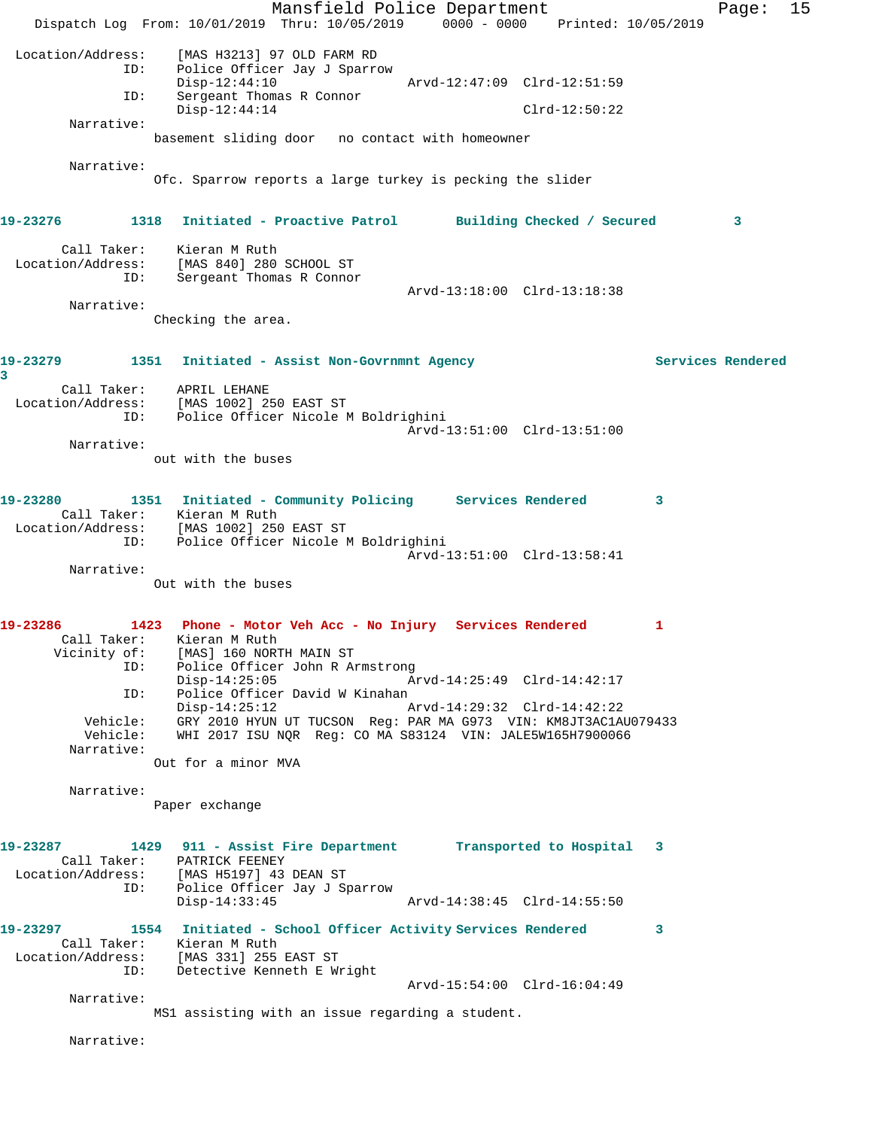Mansfield Police Department Fage: 15 Dispatch Log From: 10/01/2019 Thru: 10/05/2019 0000 - 0000 Printed: 10/05/2019 Location/Address: [MAS H3213] 97 OLD FARM RD Police Officer Jay J Sparrow<br>Disp-12:44:10 Disp-12:44:10 Arvd-12:47:09 Clrd-12:51:59 ID: Sergeant Thomas R Connor Disp-12:44:14 Clrd-12:50:22 Narrative: basement sliding door no contact with homeowner Narrative: Ofc. Sparrow reports a large turkey is pecking the slider **19-23276 1318 Initiated - Proactive Patrol Building Checked / Secured 3** Call Taker: Kieran M Ruth Location/Address: [MAS 840] 280 SCHOOL ST ID: Sergeant Thomas R Connor Arvd-13:18:00 Clrd-13:18:38 Narrative: Checking the area. **19-23279 1351 Initiated - Assist Non-Govrnmnt Agency Services Rendered 3**  Call Taker: APRIL LEHANE Location/Address: [MAS 1002] 250 EAST ST ID: Police Officer Nicole M Boldrighini Arvd-13:51:00 Clrd-13:51:00 Narrative: out with the buses **19-23280 1351 Initiated - Community Policing Services Rendered 3**  Call Taker: Kieran M Ruth Location/Address: [MAS 1002] 250 EAST ST ID: Police Officer Nicole M Boldrighini Arvd-13:51:00 Clrd-13:58:41 Narrative: Out with the buses **19-23286 1423 Phone - Motor Veh Acc - No Injury Services Rendered 1**  Call Taker: Kieran M Ruth Vicinity of: [MAS] 160 NORTH MAIN ST ID: Police Officer John R Armstrong<br>Disp-14:25:05 Ar Disp-14:25:05 Arvd-14:25:49 Clrd-14:42:17 ID: Police Officer David W Kinahan Disp-14:25:12 Arvd-14:29:32 Clrd-14:42:22 Vehicle: GRY 2010 HYUN UT TUCSON Reg: PAR MA G973 VIN: KM8JT3AC1AU079433 Vehicle: WHI 2017 ISU NQR Reg: CO MA S83124 VIN: JALE5W165H7900066 Narrative: Out for a minor MVA Narrative: Paper exchange **19-23287 1429 911 - Assist Fire Department Transported to Hospital 3**  Call Taker: PATRICK FEENEY Location/Address: [MAS H5197] 43 DEAN ST<br>ID: Police Officer Jay J Sp Police Officer Jay J Sparrow Disp-14:33:45 Arvd-14:38:45 Clrd-14:55:50 **19-23297 1554 Initiated - School Officer Activity Services Rendered 3**  Call Taker: Kieran M Ruth Location/Address: [MAS 331] 255 EAST ST ID: Detective Kenneth E Wright Arvd-15:54:00 Clrd-16:04:49 Narrative: MS1 assisting with an issue regarding a student.

Narrative: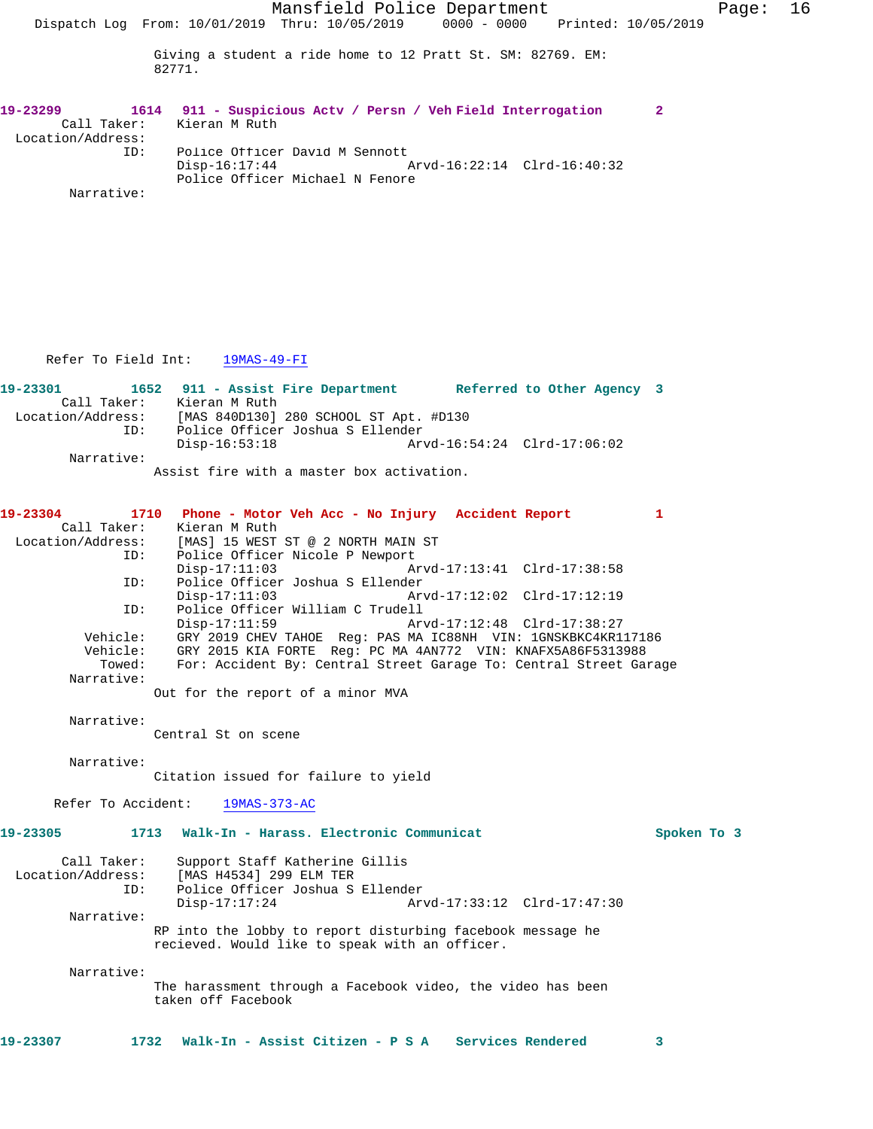| 19-23299          |            | 1614 911 - Suspicious Actv / Persn / Veh Field Interrogation |  |
|-------------------|------------|--------------------------------------------------------------|--|
|                   |            | Call Taker: Kieran M Ruth                                    |  |
| Location/Address: |            |                                                              |  |
|                   | TD:        | Police Officer David M Sennott                               |  |
|                   |            | Arvd-16:22:14 Clrd-16:40:32<br>Disp-16:17:44                 |  |
|                   |            | Police Officer Michael N Fenore                              |  |
|                   | Narrative: |                                                              |  |

## Refer To Field Int: 19MAS-49-FI

| 19-23301          |             | 1652 911 - Assist Fire Department         |                                        | Referred to Other Agency 3  |  |  |
|-------------------|-------------|-------------------------------------------|----------------------------------------|-----------------------------|--|--|
|                   | Call Taker: | Kieran M Ruth                             |                                        |                             |  |  |
| Location/Address: |             |                                           | [MAS 840D130] 280 SCHOOL ST Apt. #D130 |                             |  |  |
|                   | ID:         |                                           | Police Officer Joshua S Ellender       |                             |  |  |
|                   |             | Disp-16:53:18                             |                                        | Arvd-16:54:24 Clrd-17:06:02 |  |  |
|                   | Narrative:  |                                           |                                        |                             |  |  |
|                   |             | Assist fire with a master box activation. |                                        |                             |  |  |

**19-23304 1710 Phone - Motor Veh Acc - No Injury Accident Report 1**  Call Taker: Kieran M Ruth<br>Location/Address: [MAS] 15 WEST [MAS] 15 WEST ST @ 2 NORTH MAIN ST

ID: Police Officer Nicole P Newport<br>Disp-17:11:03 Disp-17:11:03 Arvd-17:13:41 Clrd-17:38:58<br>ID: Police Officer Joshua S Ellender Police Officer Joshua S Ellender<br>Disp-17:11:03 Arv Disp-17:11:03 Arvd-17:12:02 Clrd-17:12:19<br>ID: Police Officer William C Trudell Police Officer William C Trudell Disp-17:11:59 Arvd-17:12:48 Clrd-17:38:27<br>Vehicle: GRY 2019 CHEV TAHOE Req: PAS MA IC88NH VIN: 1GNSKBKC4KR1 GRY 2019 CHEV TAHOE Reg: PAS MA IC88NH VIN: 1GNSKBKC4KR117186 Vehicle: GRY 2015 KIA FORTE Reg: PC MA 4AN772 VIN: KNAFX5A86F5313988 For: Accident By: Central Street Garage To: Central Street Garage

Out for the report of a minor MVA

Narrative:

Narrative:

Central St on scene

 Narrative: Citation issued for failure to yield

Refer To Accident: 19MAS-373-AC

## **19-23305 1713 Walk-In - Harass. Electronic Communicat Spoken To 3**

| Call Taker:       | Support Staff Katherine Gillis                                                                               |                             |  |
|-------------------|--------------------------------------------------------------------------------------------------------------|-----------------------------|--|
| Location/Address: | [MAS H4534] 299 ELM TER                                                                                      |                             |  |
| ID:               | Police Officer Joshua S Ellender                                                                             |                             |  |
|                   | Disp-17:17:24                                                                                                | Arvd-17:33:12 Clrd-17:47:30 |  |
| Narrative:        |                                                                                                              |                             |  |
|                   | RP into the lobby to report disturbing facebook message he<br>recieved. Would like to speak with an officer. |                             |  |

Narrative:

The harassment through a Facebook video, the video has been taken off Facebook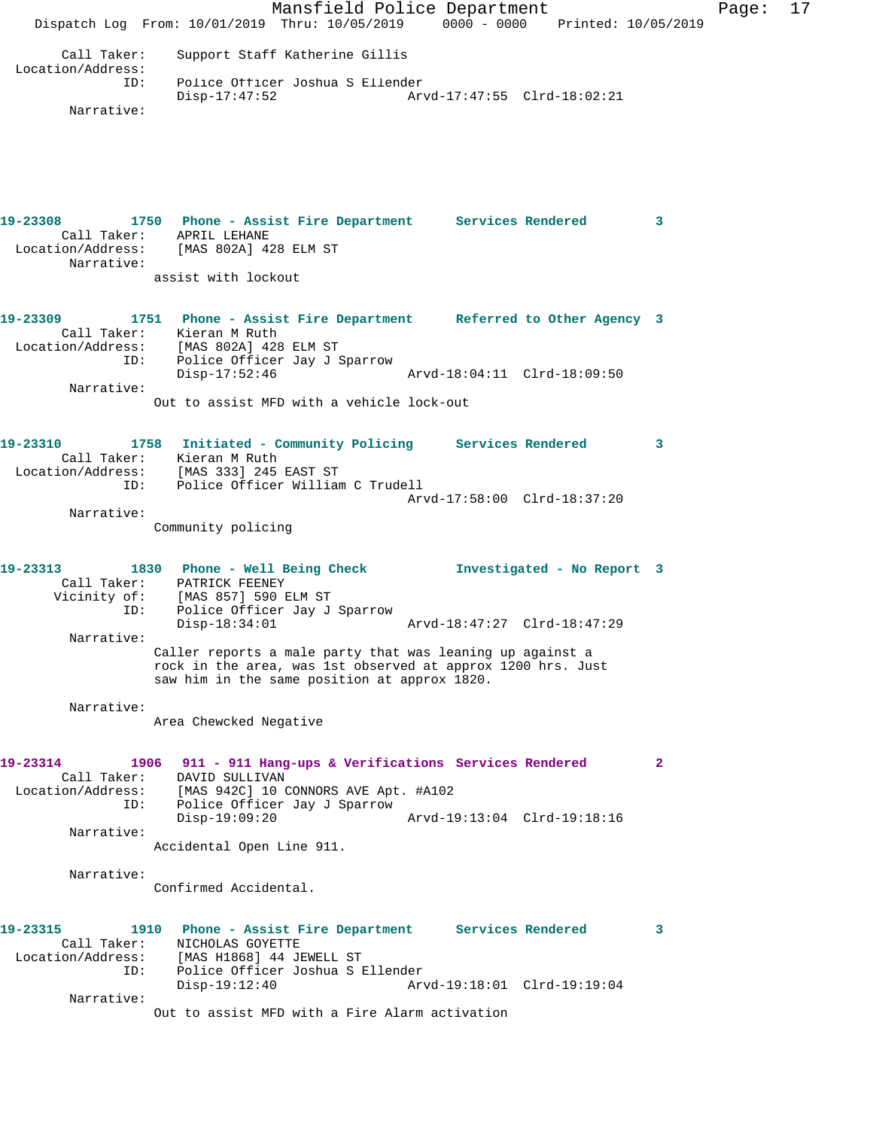Mansfield Police Department Fage: 17 Dispatch Log From: 10/01/2019 Thru: 10/05/2019 0000 - 0000 Printed: 10/05/2019 Call Taker: Support Staff Katherine Gillis Location/Address: Police Officer Joshua S Ellender Disp-17:47:52 Arvd-17:47:55 Clrd-18:02:21 Narrative: **19-23308 1750 Phone - Assist Fire Department Services Rendered 3**  Call Taker: APRIL LEHANE Location/Address: [MAS 802A] 428 ELM ST Narrative: assist with lockout **19-23309 1751 Phone - Assist Fire Department Referred to Other Agency 3**  Call Taker: Kieran M Ruth Location/Address: [MAS 802A] 428 ELM ST ID: Police Officer Jay J Sparrow Disp-17:52:46 Arvd-18:04:11 Clrd-18:09:50 Narrative: Out to assist MFD with a vehicle lock-out **19-23310 1758 Initiated - Community Policing Services Rendered 3**  Call Taker: Kieran M Ruth Location/Address: [MAS 333] 245 EAST ST ID: Police Officer William C Trudell Arvd-17:58:00 Clrd-18:37:20 Narrative: Community policing **19-23313 1830 Phone - Well Being Check Investigated - No Report 3**  Call Taker: PATRICK FEENEY Vicinity of: [MAS 857] 590 ELM ST ID: Police Officer Jay J Sparrow Disp-18:34:01 Arvd-18:47:27 Clrd-18:47:29 Narrative: Caller reports a male party that was leaning up against a rock in the area, was 1st observed at approx 1200 hrs. Just saw him in the same position at approx 1820. Narrative: Area Chewcked Negative **19-23314 1906 911 - 911 Hang-ups & Verifications Services Rendered 2**  Call Taker: DAVID SULLIVAN Location/Address: [MAS 942C] 10 CONNORS AVE Apt. #A102 ID: Police Officer Jay J Sparrow Disp-19:09:20 Arvd-19:13:04 Clrd-19:18:16 Narrative: Accidental Open Line 911. Narrative: Confirmed Accidental. **19-23315 1910 Phone - Assist Fire Department Services Rendered 3**  Call Taker: NICHOLAS GOYETTE Location/Address: [MAS H1868] 44 JEWELL ST ID: Police Officer Joshua S Ellender Disp-19:12:40 Arvd-19:18:01 Clrd-19:19:04 Narrative: Out to assist MFD with a Fire Alarm activation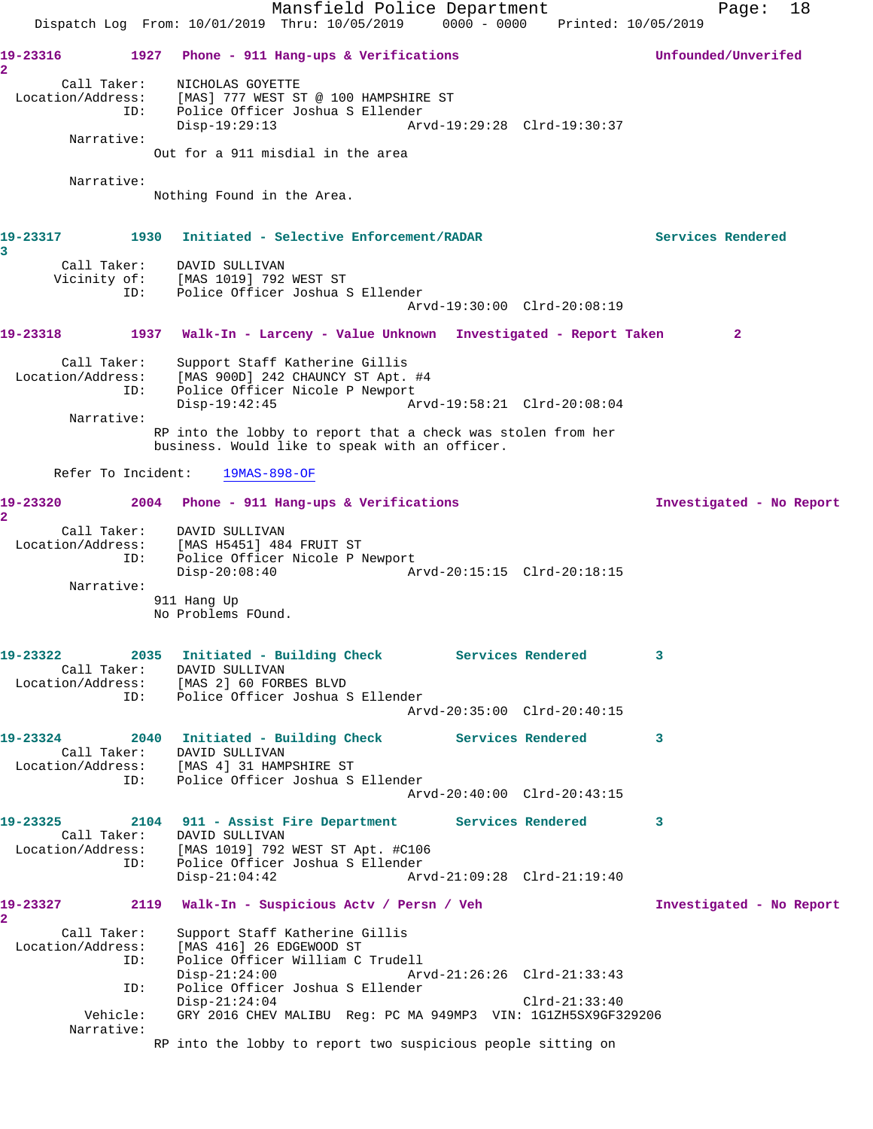Mansfield Police Department Page: 18 Dispatch Log From: 10/01/2019 Thru: 10/05/2019 0000 - 0000 Printed: 10/05/2019 **19-23316 1927 Phone - 911 Hang-ups & Verifications Unfounded/Unverifed 2**  Call Taker: NICHOLAS GOYETTE Location/Address: [MAS] 777 WEST ST @ 100 HAMPSHIRE ST ID: Police Officer Joshua S Ellender Disp-19:29:13 Arvd-19:29:28 Clrd-19:30:37 Narrative: Out for a 911 misdial in the area Narrative: Nothing Found in the Area. **19-23317 1930 Initiated - Selective Enforcement/RADAR Services Rendered 3**  Call Taker: DAVID SULLIVAN Vicinity of: [MAS 1019] 792 WEST ST ID: Police Officer Joshua S Ellender Arvd-19:30:00 Clrd-20:08:19 **19-23318 1937 Walk-In - Larceny - Value Unknown Investigated - Report Taken 2** Call Taker: Support Staff Katherine Gillis Location/Address: [MAS 900D] 242 CHAUNCY ST Apt. #4 ID: Police Officer Nicole P Newport Disp-19:42:45 Arvd-19:58:21 Clrd-20:08:04 Narrative: RP into the lobby to report that a check was stolen from her business. Would like to speak with an officer. Refer To Incident: 19MAS-898-OF **19-23320 2004 Phone - 911 Hang-ups & Verifications Investigated - No Report 2**  Call Taker: DAVID SULLIVAN Location/Address: [MAS H5451] 484 FRUIT ST ID: Police Officer Nicole P Newport Disp-20:08:40 Arvd-20:15:15 Clrd-20:18:15 Narrative: 911 Hang Up No Problems FOund. **19-23322 2035 Initiated - Building Check Services Rendered 3**  Call Taker: DAVID SULLIVAN Location/Address: [MAS 2] 60 FORBES BLVD ESS: IPHO 2, 30 ISSENCERT JOSHUA S Ellender Arvd-20:35:00 Clrd-20:40:15 **19-23324 2040 Initiated - Building Check Services Rendered 3**  Call Taker: DAVID SULLIVAN Location/Address: [MAS 4] 31 HAMPSHIRE ST ID: Police Officer Joshua S Ellender Arvd-20:40:00 Clrd-20:43:15 **19-23325 2104 911 - Assist Fire Department Services Rendered 3**  Call Taker: DAVID SULLIVAN Location/Address: [MAS 1019] 792 WEST ST Apt. #C106 ID: Police Officer Joshua S Ellender<br>Disp-21:04:42 Arv Disp-21:04:42 Arvd-21:09:28 Clrd-21:19:40 **19-23327 2119 Walk-In - Suspicious Actv / Persn / Veh Investigated - No Report 2**  Call Taker: Support Staff Katherine Gillis Location/Address: [MAS 416] 26 EDGEWOOD ST ID: Police Officer William C Trudell Disp-21:24:00 Arvd-21:26:26 Clrd-21:33:43 ID: Police Officer Joshua S Ellender Disp-21:24:04 Clrd-21:33:40 Vehicle: GRY 2016 CHEV MALIBU Reg: PC MA 949MP3 VIN: 1G1ZH5SX9GF329206 Narrative: RP into the lobby to report two suspicious people sitting on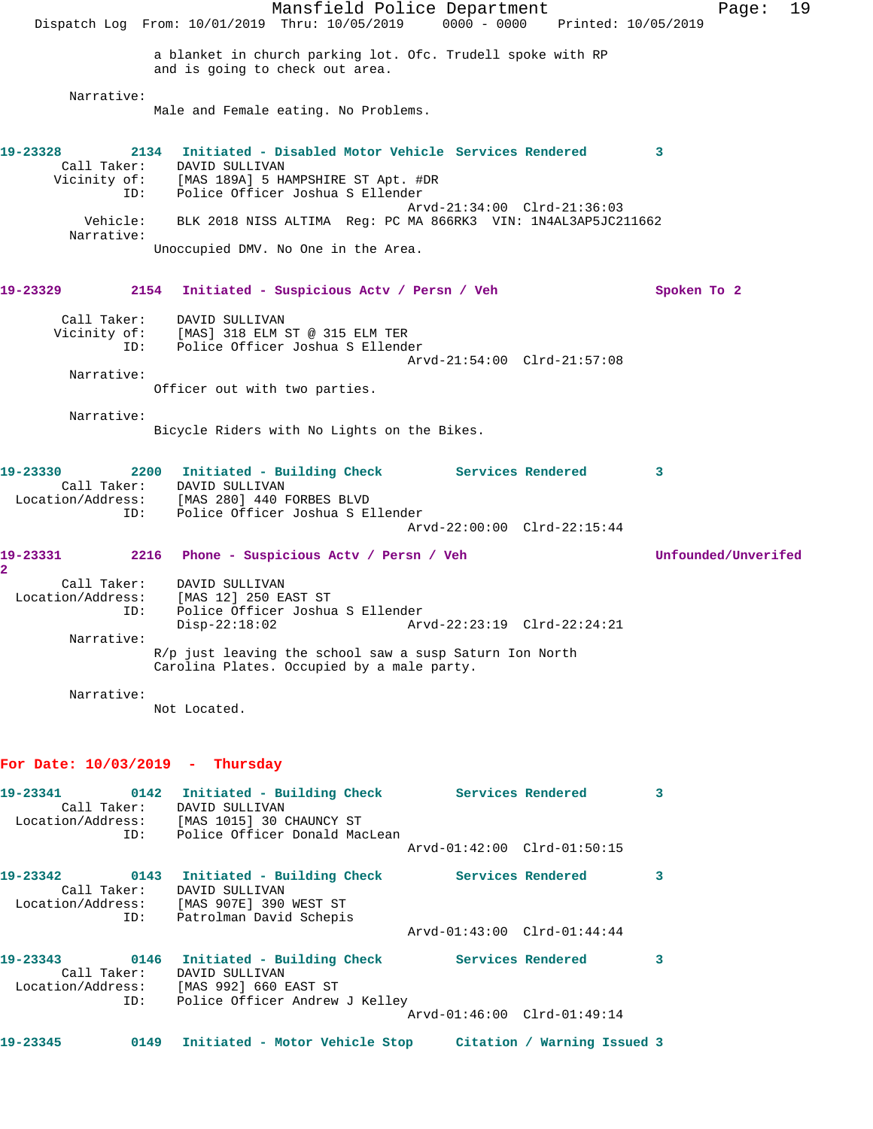Mansfield Police Department Fage: 19 Dispatch Log From: 10/01/2019 Thru: 10/05/2019 0000 - 0000 Printed: 10/05/2019 a blanket in church parking lot. Ofc. Trudell spoke with RP and is going to check out area. Narrative: Male and Female eating. No Problems. **19-23328 2134 Initiated - Disabled Motor Vehicle Services Rendered 3**  Call Taker: DAVID SULLIVAN Vicinity of: [MAS 189A] 5 HAMPSHIRE ST Apt. #DR ID: Police Officer Joshua S Ellender Arvd-21:34:00 Clrd-21:36:03 Vehicle: BLK 2018 NISS ALTIMA Reg: PC MA 866RK3 VIN: 1N4AL3AP5JC211662 Narrative: Unoccupied DMV. No One in the Area. **19-23329 2154 Initiated - Suspicious Actv / Persn / Veh Spoken To 2** Call Taker: DAVID SULLIVAN Vicinity of: [MAS] 318 ELM ST @ 315 ELM TER ID: Police Officer Joshua S Ellender Arvd-21:54:00 Clrd-21:57:08 Narrative: Officer out with two parties. Narrative: Bicycle Riders with No Lights on the Bikes. **19-23330 2200 Initiated - Building Check Services Rendered 3**  Call Taker: DAVID SULLIVAN Location/Address: [MAS 280] 440 FORBES BLVD ID: Police Officer Joshua S Ellender Arvd-22:00:00 Clrd-22:15:44 **19-23331 2216 Phone - Suspicious Actv / Persn / Veh Unfounded/Unverifed 2**  Call Taker: DAVID SULLIVAN Location/Address: [MAS 12] 250 EAST ST ID: Police Officer Joshua S Ellender Disp-22:18:02 Arvd-22:23:19 Clrd-22:24:21 Narrative: R/p just leaving the school saw a susp Saturn Ion North Carolina Plates. Occupied by a male party. Narrative: Not Located. **For Date: 10/03/2019 - Thursday 19-23341 0142 Initiated - Building Check Services Rendered 3**  Call Taker: DAVID SULLIVAN Location/Address: [MAS 1015] 30 CHAUNCY ST ID: Police Officer Donald MacLean Arvd-01:42:00 Clrd-01:50:15 **19-23342 0143 Initiated - Building Check Services Rendered 3**  Call Taker: DAVID SULLIVAN Location/Address: [MAS 907E] 390 WEST ST ID: Patrolman David Schepis Arvd-01:43:00 Clrd-01:44:44 **19-23343 0146 Initiated - Building Check Services Rendered 3**  Call Taker: DAVID SULLIVAN Location/Address: [MAS 992] 660 EAST ST ID: Police Officer Andrew J Kelley Arvd-01:46:00 Clrd-01:49:14 **19-23345 0149 Initiated - Motor Vehicle Stop Citation / Warning Issued 3**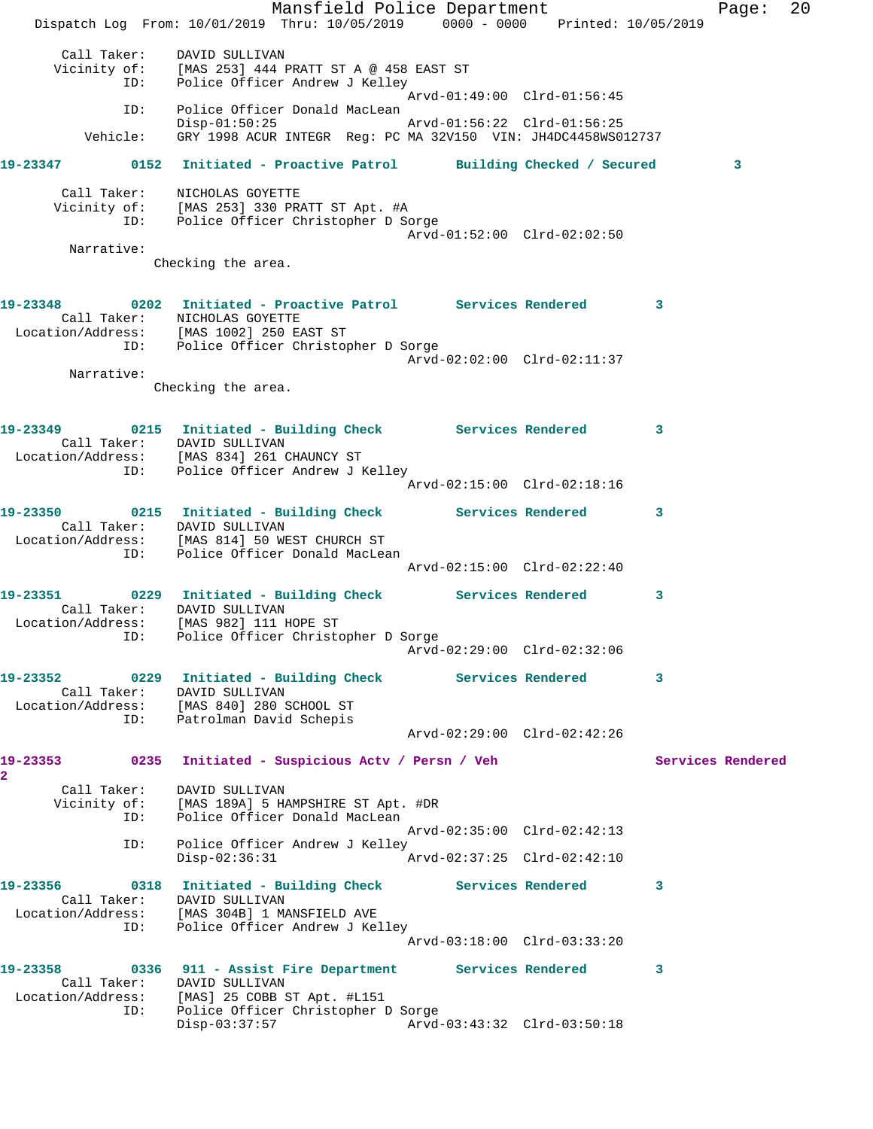Mansfield Police Department Fage: 20 Dispatch Log From: 10/01/2019 Thru: 10/05/2019 0000 - 0000 Printed: 10/05/2019 Call Taker: DAVID SULLIVAN Vicinity of: [MAS 253] 444 PRATT ST A @ 458 EAST ST ID: Police Officer Andrew J Kelley Arvd-01:49:00 Clrd-01:56:45 ID: Police Officer Donald MacLean<br>Disp-01:50:25 Disp-01:50:25 Arvd-01:56:22 Clrd-01:56:25 Vehicle: GRY 1998 ACUR INTEGR Reg: PC MA 32V150 VIN: JH4DC4458WS012737 **19-23347 0152 Initiated - Proactive Patrol Building Checked / Secured 3** Call Taker: NICHOLAS GOYETTE Vicinity of: [MAS 253] 330 PRATT ST Apt. #A ID: Police Officer Christopher D Sorge Arvd-01:52:00 Clrd-02:02:50 Narrative: Checking the area. **19-23348 0202 Initiated - Proactive Patrol Services Rendered 3**  Call Taker: NICHOLAS GOYETTE Location/Address: [MAS 1002] 250 EAST ST ID: Police Officer Christopher D Sorge Arvd-02:02:00 Clrd-02:11:37 Narrative: Checking the area. **19-23349 0215 Initiated - Building Check Services Rendered 3**  Call Taker: DAVID SULLIVAN Location/Address: [MAS 834] 261 CHAUNCY ST ID: Police Officer Andrew J Kelley Arvd-02:15:00 Clrd-02:18:16 **19-23350 0215 Initiated - Building Check Services Rendered 3**  Call Taker: DAVID SULLIVAN Location/Address: [MAS 814] 50 WEST CHURCH ST ID: Police Officer Donald MacLean Arvd-02:15:00 Clrd-02:22:40 **19-23351 0229 Initiated - Building Check Services Rendered 3**  Call Taker: DAVID SULLIVAN Location/Address: [MAS 982] 111 HOPE ST ID: Police Officer Christopher D Sorge Arvd-02:29:00 Clrd-02:32:06 **19-23352 0229 Initiated - Building Check Services Rendered 3**  Call Taker: DAVID SULLIVAN Location/Address: [MAS 840] 280 SCHOOL ST ID: Patrolman David Schepis Arvd-02:29:00 Clrd-02:42:26 19-23353 **10235 1918** 19-23353 **11** O235 **Initiated** - Suspicious Actv / Persn / Veh Services Rendered **2**  Call Taker: DAVID SULLIVAN Vicinity of: [MAS 189A] 5 HAMPSHIRE ST Apt. #DR ID: Police Officer Donald MacLean Arvd-02:35:00 Clrd-02:42:13 ID: Police Officer Andrew J Kelley<br>Disp-02:36:31 Disp-02:36:31 Arvd-02:37:25 Clrd-02:42:10 **19-23356 0318 Initiated - Building Check Services Rendered 3**  Call Taker: DAVID SULLIVAN Location/Address: [MAS 304B] 1 MANSFIELD AVE ID: Police Officer Andrew J Kelley Arvd-03:18:00 Clrd-03:33:20 **19-23358 0336 911 - Assist Fire Department Services Rendered 3**  Call Taker: DAVID SULLIVAN Location/Address: [MAS] 25 COBB ST Apt. #L151 ID: Police Officer Christopher D Sorge Disp-03:37:57 Arvd-03:43:32 Clrd-03:50:18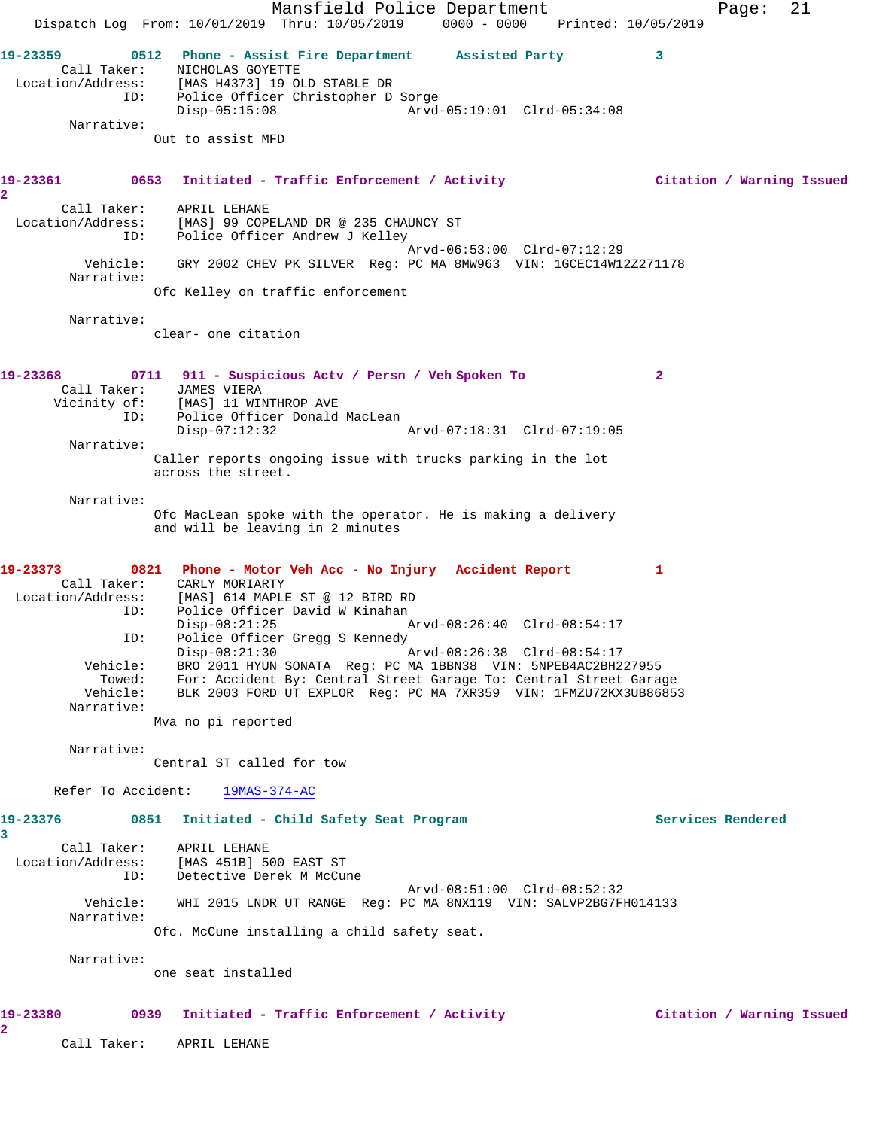Mansfield Police Department Page: 21 Dispatch Log From: 10/01/2019 Thru: 10/05/2019 0000 - 0000 Printed: 10/05/2019 **19-23359 0512 Phone - Assist Fire Department Assisted Party 3**  Call Taker: NICHOLAS GOYETTE Location/Address: [MAS H4373] 19 OLD STABLE DR ID: Police Officer Christopher D Sorge Disp-05:15:08 Arvd-05:19:01 Clrd-05:34:08 Narrative: Out to assist MFD **19-23361 0653 Initiated - Traffic Enforcement / Activity Citation / Warning Issued 2**  Call Taker: APRIL LEHANE Location/Address: [MAS] 99 COPELAND DR @ 235 CHAUNCY ST ID: Police Officer Andrew J Kelley Arvd-06:53:00 Clrd-07:12:29 Vehicle: GRY 2002 CHEV PK SILVER Reg: PC MA 8MW963 VIN: 1GCEC14W12Z271178 Narrative: Ofc Kelley on traffic enforcement Narrative: clear- one citation **19-23368 0711 911 - Suspicious Actv / Persn / Veh Spoken To 2**  Call Taker: JAMES VIERA Vicinity of: [MAS] 11 WINTHROP AVE ID: Police Officer Donald MacLean Disp-07:12:32 Arvd-07:18:31 Clrd-07:19:05 Narrative: Caller reports ongoing issue with trucks parking in the lot across the street. Narrative: Ofc MacLean spoke with the operator. He is making a delivery and will be leaving in 2 minutes **19-23373 0821 Phone - Motor Veh Acc - No Injury Accident Report 1**  Call Taker: CARLY MORIARTY Location/Address: [MAS] 614 MAPLE ST @ 12 BIRD RD ID: Police Officer David W Kinahan Disp-08:21:25 Arvd-08:26:40 Clrd-08:54:17 ID: Police Officer Gregg S Kennedy Disp-08:21:30 Arvd-08:26:38 Clrd-08:54:17 Vehicle: BRO 2011 HYUN SONATA Reg: PC MA 1BBN38 VIN: 5NPEB4AC2BH227955 Towed: For: Accident By: Central Street Garage To: Central Street Garage Vehicle: BLK 2003 FORD UT EXPLOR Reg: PC MA 7XR359 VIN: 1FMZU72KX3UB86853 Narrative: Mva no pi reported Narrative: Central ST called for tow Refer To Accident: 19MAS-374-AC **19-23376 0851 Initiated - Child Safety Seat Program Services Rendered 3**  Call Taker: APRIL LEHANE Location/Address: [MAS 451B] 500 EAST ST ID: Detective Derek M McCune Arvd-08:51:00 Clrd-08:52:32 Vehicle: WHI 2015 LNDR UT RANGE Reg: PC MA 8NX119 VIN: SALVP2BG7FH014133 Narrative: Ofc. McCune installing a child safety seat. Narrative: one seat installed **19-23380 0939 Initiated - Traffic Enforcement / Activity Citation / Warning Issued 2** 

Call Taker: APRIL LEHANE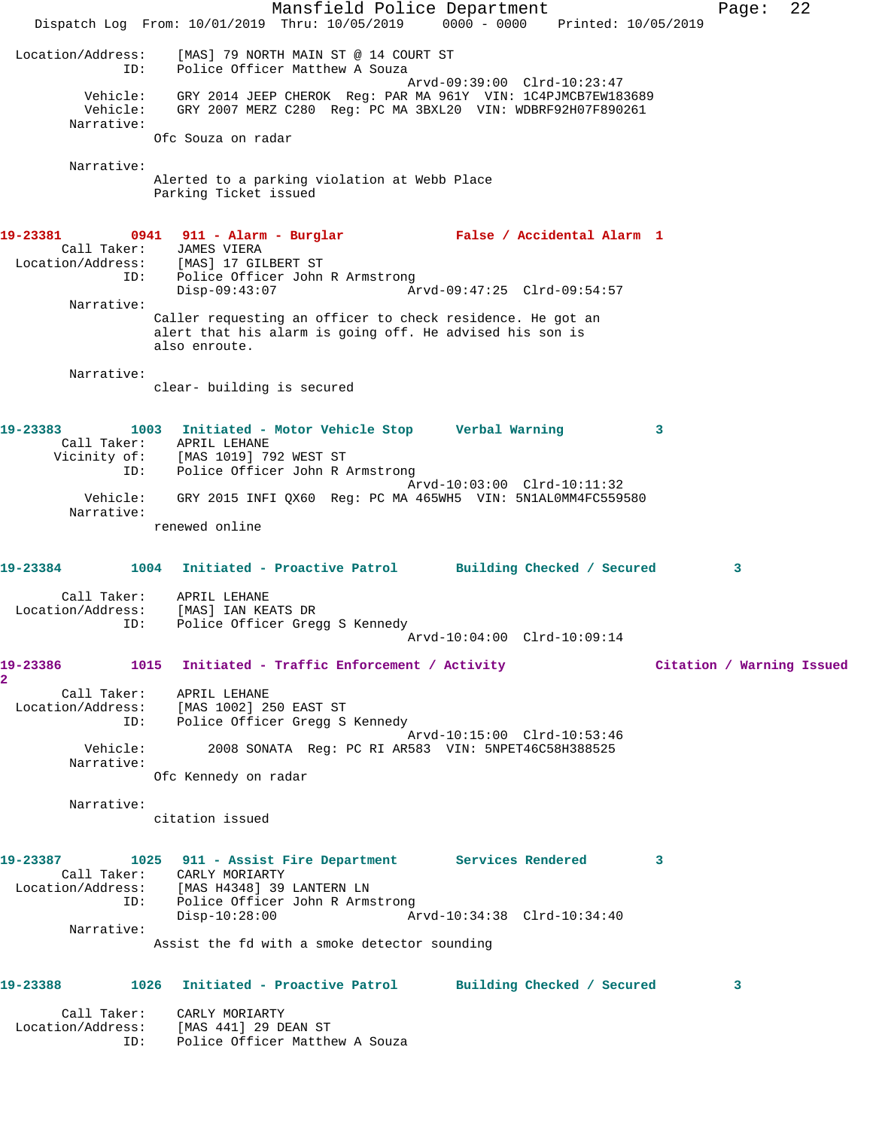Mansfield Police Department Page: 22 Dispatch Log From: 10/01/2019 Thru: 10/05/2019 0000 - 0000 Printed: 10/05/2019 Location/Address: [MAS] 79 NORTH MAIN ST @ 14 COURT ST ID: Police Officer Matthew A Souza Arvd-09:39:00 Clrd-10:23:47 Vehicle: GRY 2014 JEEP CHEROK Reg: PAR MA 961Y VIN: 1C4PJMCB7EW183689 Vehicle: GRY 2007 MERZ C280 Reg: PC MA 3BXL20 VIN: WDBRF92H07F890261 Narrative: Ofc Souza on radar Narrative: Alerted to a parking violation at Webb Place Parking Ticket issued **19-23381 0941 911 - Alarm - Burglar False / Accidental Alarm 1**  Call Taker: JAMES VIERA Location/Address: [MAS] 17 GILBERT ST ID: Police Officer John R Armstrong Disp-09:43:07 Arvd-09:47:25 Clrd-09:54:57 Narrative: Caller requesting an officer to check residence. He got an alert that his alarm is going off. He advised his son is also enroute. Narrative: clear- building is secured **19-23383 1003 Initiated - Motor Vehicle Stop Verbal Warning 3**  Call Taker: APRIL LEHANE Vicinity of: [MAS 1019] 792 WEST ST ID: Police Officer John R Armstrong Arvd-10:03:00 Clrd-10:11:32 Vehicle: GRY 2015 INFI QX60 Reg: PC MA 465WH5 VIN: 5N1AL0MM4FC559580 Narrative: renewed online **19-23384 1004 Initiated - Proactive Patrol Building Checked / Secured 3** Call Taker: APRIL LEHANE Location/Address: [MAS] IAN KEATS DR ID: Police Officer Gregg S Kennedy Arvd-10:04:00 Clrd-10:09:14 **19-23386 1015 Initiated - Traffic Enforcement / Activity Citation / Warning Issued 2**  Call Taker: APRIL LEHANE Location/Address: [MAS 1002] 250 EAST ST ID: Police Officer Gregg S Kennedy Arvd-10:15:00 Clrd-10:53:46<br>Vehicle: 2008 SONATA Reg: PC RI AR583 VIN: 5NPET46C58H388525 2008 SONATA Reg: PC RI AR583 VIN: 5NPET46C58H388525 Narrative: Ofc Kennedy on radar Narrative: citation issued **19-23387 1025 911 - Assist Fire Department Services Rendered 3**  Call Taker: CARLY MORIARTY Location/Address: [MAS H4348] 39 LANTERN LN ID: Police Officer John R Armstrong Disp-10:28:00 Arvd-10:34:38 Clrd-10:34:40 Narrative: Assist the fd with a smoke detector sounding **19-23388 1026 Initiated - Proactive Patrol Building Checked / Secured 3** Call Taker: CARLY MORIARTY Location/Address: [MAS 441] 29 DEAN ST ID: Police Officer Matthew A Souza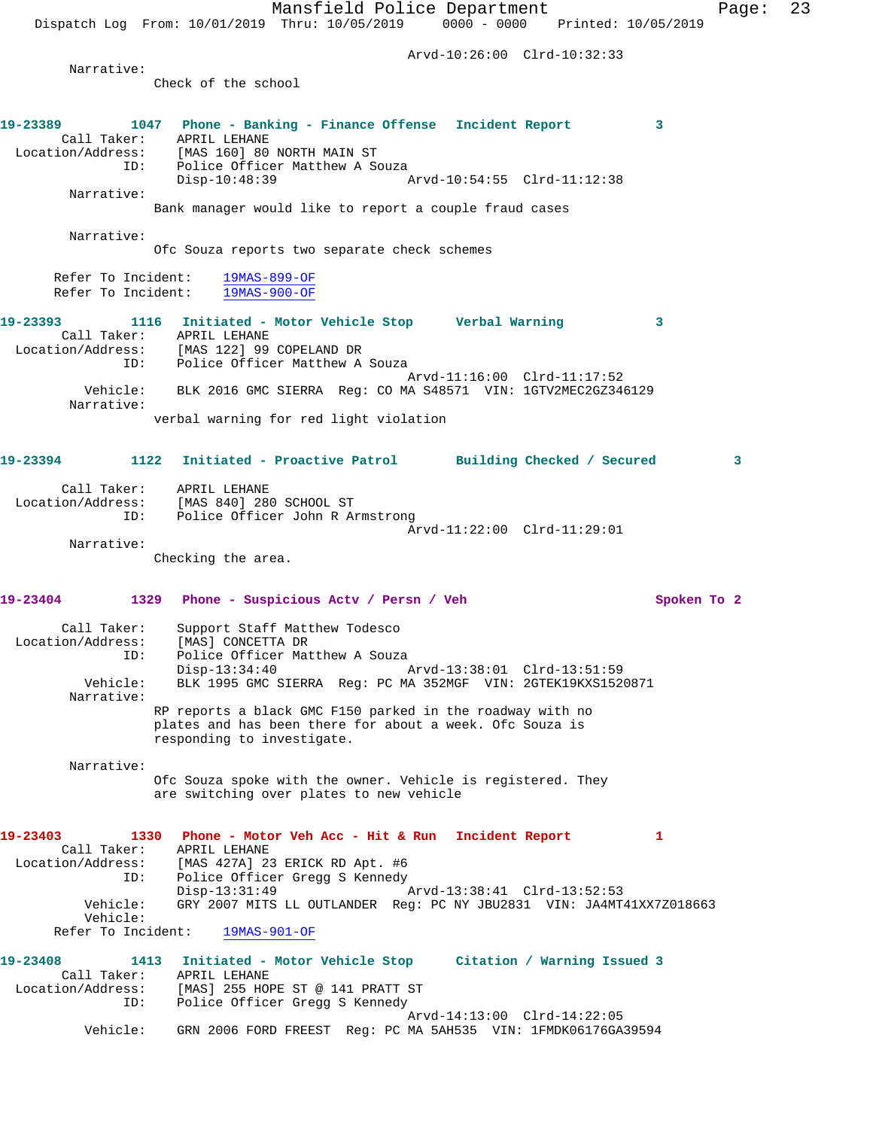Mansfield Police Department Page: 23 Dispatch Log From: 10/01/2019 Thru: 10/05/2019 0000 - 0000 Printed: 10/05/2019 Arvd-10:26:00 Clrd-10:32:33 Narrative: Check of the school **19-23389 1047 Phone - Banking - Finance Offense Incident Report 3**  Call Taker: APRIL LEHANE Location/Address: [MAS 160] 80 NORTH MAIN ST ID: Police Officer Matthew A Souza Disp-10:48:39 Arvd-10:54:55 Clrd-11:12:38 Narrative: Bank manager would like to report a couple fraud cases Narrative: Ofc Souza reports two separate check schemes Refer To Incident: 19MAS-899-OF Refer To Incident: 19MAS-900-OF **19-23393 1116 Initiated - Motor Vehicle Stop Verbal Warning 3**  Call Taker: APRIL LEHANE Location/Address: [MAS 122] 99 COPELAND DR ID: Police Officer Matthew A Souza Arvd-11:16:00 Clrd-11:17:52 Vehicle: BLK 2016 GMC SIERRA Reg: CO MA S48571 VIN: 1GTV2MEC2GZ346129 Narrative: verbal warning for red light violation **19-23394 1122 Initiated - Proactive Patrol Building Checked / Secured 3** Call Taker: APRIL LEHANE Location/Address: [MAS 840] 280 SCHOOL ST ID: Police Officer John R Armstrong Arvd-11:22:00 Clrd-11:29:01 Narrative: Checking the area. **19-23404 1329 Phone - Suspicious Actv / Persn / Veh Spoken To 2** Call Taker: Support Staff Matthew Todesco Location/Address: [MAS] CONCETTA DR ID: Police Officer Matthew A Souza Disp-13:34:40 Arvd-13:38:01 Clrd-13:51:59 Vehicle: BLK 1995 GMC SIERRA Reg: PC MA 352MGF VIN: 2GTEK19KXS1520871 Narrative: RP reports a black GMC F150 parked in the roadway with no plates and has been there for about a week. Ofc Souza is responding to investigate. Narrative: Ofc Souza spoke with the owner. Vehicle is registered. They are switching over plates to new vehicle **19-23403 1330 Phone - Motor Veh Acc - Hit & Run Incident Report 1**  Call Taker: APRIL LEHANE Location/Address: [MAS 427A] 23 ERICK RD Apt. #6 ID: Police Officer Gregg S Kennedy<br>Disp-13:31:49 Disp-13:31:49 Arvd-13:38:41 Clrd-13:52:53 Vehicle: GRY 2007 MITS LL OUTLANDER Reg: PC NY JBU2831 VIN: JA4MT41XX7Z018663 Vehicle: Refer To Incident: 19MAS-901-OF **19-23408 1413 Initiated - Motor Vehicle Stop Citation / Warning Issued 3**  Call Taker: APRIL LEHANE Location/Address: [MAS] 255 HOPE ST @ 141 PRATT ST ID: Police Officer Gregg S Kennedy

Vehicle: GRN 2006 FORD FREEST Reg: PC MA 5AH535 VIN: 1FMDK06176GA39594

Arvd-14:13:00 Clrd-14:22:05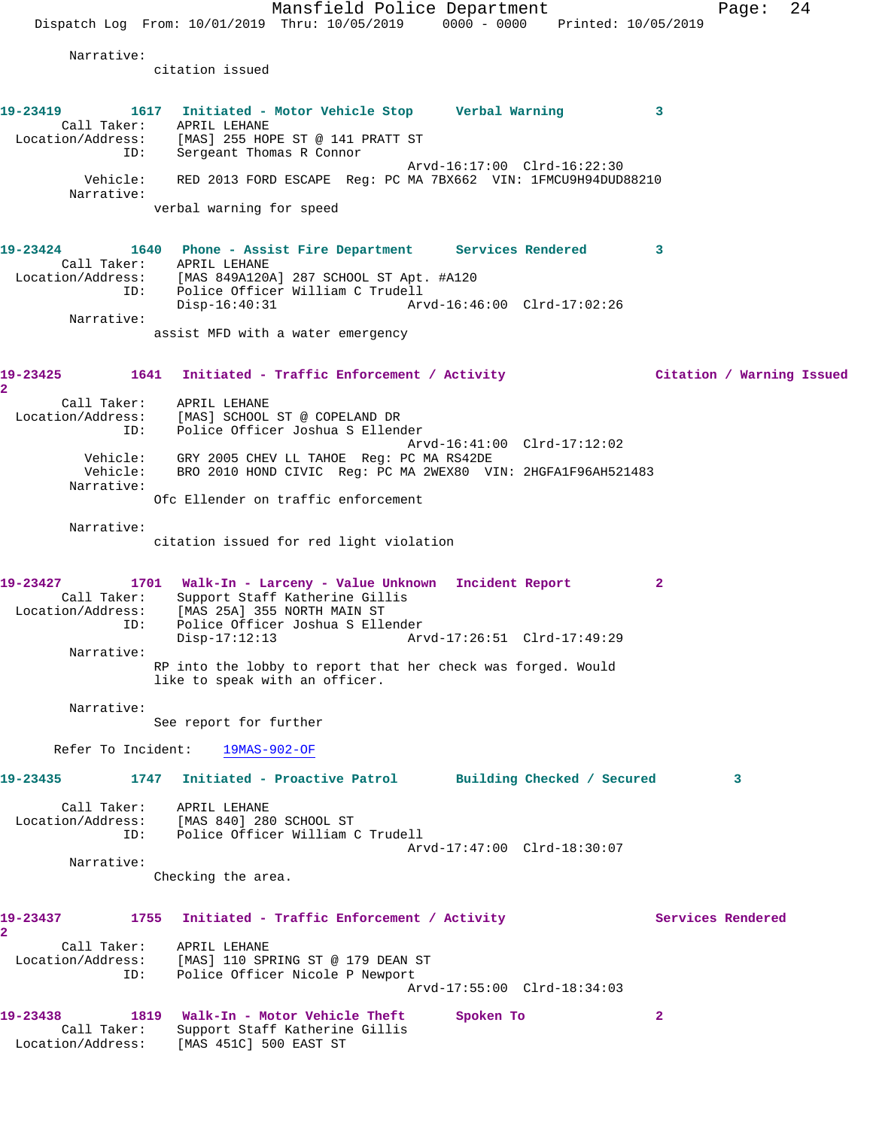Mansfield Police Department Fage: 24 Dispatch Log From: 10/01/2019 Thru: 10/05/2019 0000 - 0000 Printed: 10/05/2019 Narrative: citation issued **19-23419 1617 Initiated - Motor Vehicle Stop Verbal Warning 3**  Call Taker: APRIL LEHANE Location/Address: [MAS] 255 HOPE ST @ 141 PRATT ST ID: Sergeant Thomas R Connor Arvd-16:17:00 Clrd-16:22:30 Vehicle: RED 2013 FORD ESCAPE Reg: PC MA 7BX662 VIN: 1FMCU9H94DUD88210 Narrative: verbal warning for speed **19-23424 1640 Phone - Assist Fire Department Services Rendered 3**  Call Taker: APRIL LEHANE Location/Address: [MAS 849A120A] 287 SCHOOL ST Apt. #A120 ID: Police Officer William C Trudell Disp-16:40:31 Arvd-16:46:00 Clrd-17:02:26 Narrative: assist MFD with a water emergency **19-23425 1641 Initiated - Traffic Enforcement / Activity Citation / Warning Issued 2**  Call Taker: APRIL LEHANE Location/Address: [MAS] SCHOOL ST @ COPELAND DR ID: Police Officer Joshua S Ellender Arvd-16:41:00 Clrd-17:12:02 Vehicle: GRY 2005 CHEV LL TAHOE Reg: PC MA RS42DE Vehicle: BRO 2010 HOND CIVIC Reg: PC MA 2WEX80 VIN: 2HGFA1F96AH521483 Narrative: Ofc Ellender on traffic enforcement Narrative: citation issued for red light violation **19-23427 1701 Walk-In - Larceny - Value Unknown Incident Report 2**  Call Taker: Support Staff Katherine Gillis Location/Address: [MAS 25A] 355 NORTH MAIN ST ID: Police Officer Joshua S Ellender Disp-17:12:13 Arvd-17:26:51 Clrd-17:49:29 Narrative: RP into the lobby to report that her check was forged. Would like to speak with an officer. Narrative: See report for further Refer To Incident: 19MAS-902-OF **19-23435 1747 Initiated - Proactive Patrol Building Checked / Secured 3** Call Taker: APRIL LEHANE Location/Address: [MAS 840] 280 SCHOOL ST ID: Police Officer William C Trudell Arvd-17:47:00 Clrd-18:30:07 Narrative: Checking the area. 19-23437 1755 Initiated - Traffic Enforcement / Activity **Services Rendered 2**  Call Taker: APRIL LEHANE Location/Address: [MAS] 110 SPRING ST @ 179 DEAN ST ID: Police Officer Nicole P Newport Arvd-17:55:00 Clrd-18:34:03 **19-23438 1819 Walk-In - Motor Vehicle Theft Spoken To 2**  Call Taker: Support Staff Katherine Gillis Location/Address: [MAS 451C] 500 EAST ST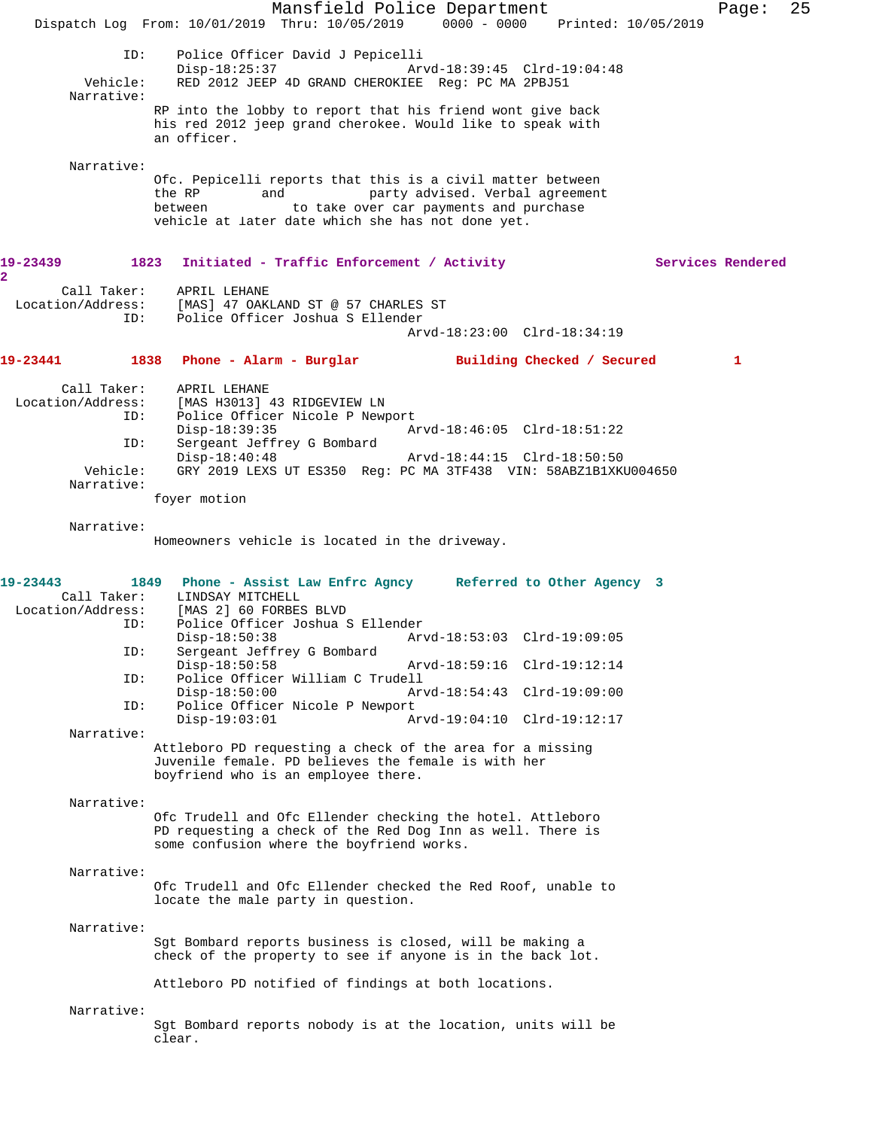Mansfield Police Department Fage: 25 Dispatch Log From: 10/01/2019 Thru: 10/05/2019 0000 - 0000 Printed: 10/05/2019 ID: Police Officer David J Pepicelli Disp-18:25:37 <br>Vehicle: RED 2012 JEEP 4D GRAND CHEROKIEE Req: PC MA 2PBJ51 RED 2012 JEEP 4D GRAND CHEROKIEE Reg: PC MA 2PBJ51 Narrative: RP into the lobby to report that his friend wont give back his red 2012 jeep grand cherokee. Would like to speak with an officer. Narrative: Ofc. Pepicelli reports that this is a civil matter between the RP and party advised. Verbal agreement between to take over car payments and purchase vehicle at later date which she has not done yet. 19-23439 1823 Initiated - Traffic Enforcement / Activity **Services Rendered**  Call Taker: APRIL LEHANE Location/Address: [MAS] 47 OAKLAND ST @ 57 CHARLES ST ID: Police Officer Joshua S Ellender Arvd-18:23:00 Clrd-18:34:19 **19-23441 1838 Phone - Alarm - Burglar Building Checked / Secured 1** Call Taker: APRIL LEHANE Location/Address: [MAS H3013] 43 RIDGEVIEW LN ID: Police Officer Nicole P Newport<br>Disp-18:39:35 A Disp-18:39:35 Arvd-18:46:05 Clrd-18:51:22<br>ID: Sergeant Jeffrey G Bombard Sergeant Jeffrey G Bombard Disp-18:40:48 Arvd-18:44:15 Clrd-18:50:50 Vehicle: GRY 2019 LEXS UT ES350 Reg: PC MA 3TF438 VIN: 58ABZ1B1XKU004650 Narrative: foyer motion Narrative: Homeowners vehicle is located in the driveway. **19-23443 1849 Phone - Assist Law Enfrc Agncy Referred to Other Agency 3**  Call Taker: LINDSAY MITCHELL<br>Location/Address: [MAS 2] 60 FORBES [MAS 2] 60 FORBES BLVD ID: Police Officer Joshua S Ellender Disp-18:50:38 Arvd-18:53:03 Clrd-19:09:05<br>ID: Sergeant Jeffrey G Bombard Sergeant Jeffrey G Bombard<br>Disp-18:50:58 Disp-18:50:58 Arvd-18:59:16 Clrd-19:12:14<br>TD: Police Officer William C Trudell Police Officer William C Trudell Disp-18:50:00 Arvd-18:54:43 Clrd-19:09:00<br>TD: Police Officer Nicole P Newport Police Officer Nicole P Newport<br>Disp-19:03:01 A Disp-19:03:01 Arvd-19:04:10 Clrd-19:12:17 Narrative: Attleboro PD requesting a check of the area for a missing Juvenile female. PD believes the female is with her boyfriend who is an employee there. Narrative: Ofc Trudell and Ofc Ellender checking the hotel. Attleboro PD requesting a check of the Red Dog Inn as well. There is some confusion where the boyfriend works. Narrative: Ofc Trudell and Ofc Ellender checked the Red Roof, unable to locate the male party in question. Narrative: Sgt Bombard reports business is closed, will be making a check of the property to see if anyone is in the back lot. Attleboro PD notified of findings at both locations. Narrative: Sgt Bombard reports nobody is at the location, units will be clear.

**2**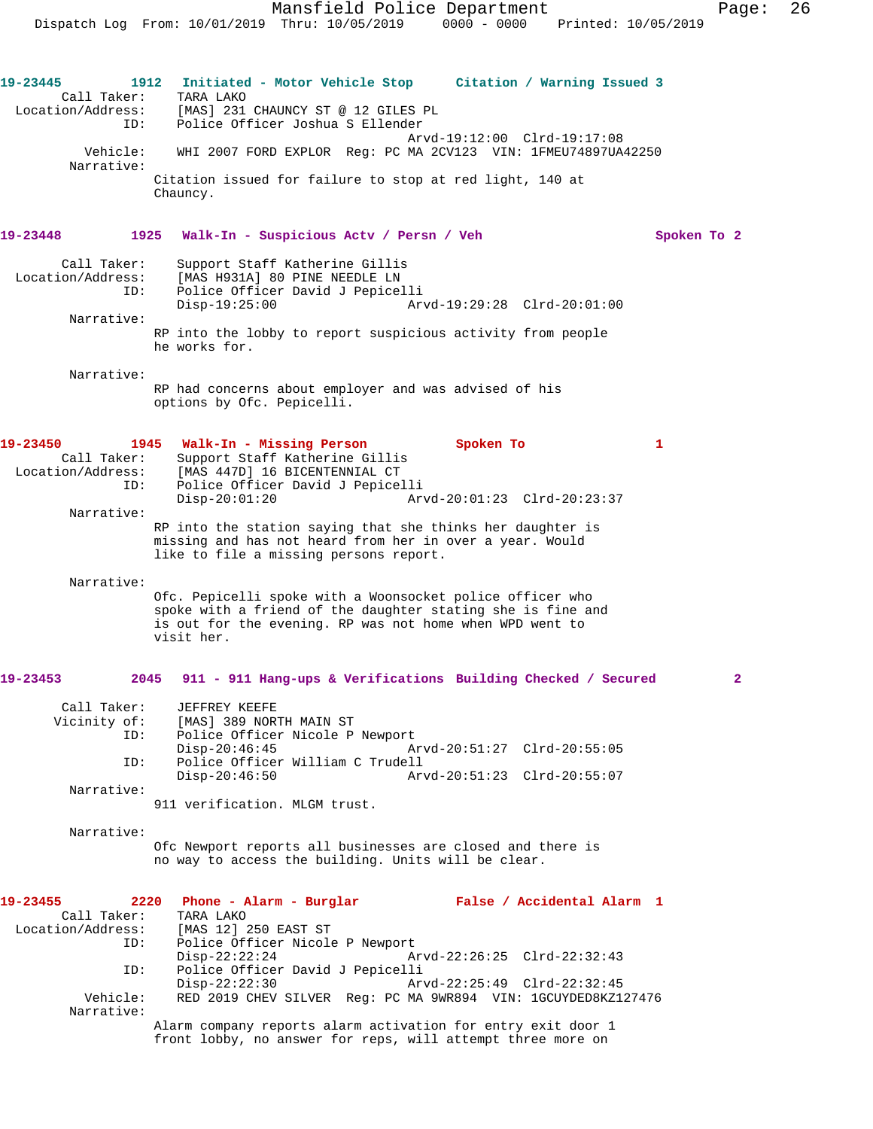Mansfield Police Department Fage: 26 Dispatch Log From: 10/01/2019 Thru: 10/05/2019 0000 - 0000 Printed: 10/05/2019 **19-23445 1912 Initiated - Motor Vehicle Stop Citation / Warning Issued 3**  Call Taker: TARA LAKO<br>Location/Address: [MAS] 231 [MAS] 231 CHAUNCY ST @ 12 GILES PL ID: Police Officer Joshua S Ellender Arvd-19:12:00 Clrd-19:17:08 Vehicle: WHI 2007 FORD EXPLOR Reg: PC MA 2CV123 VIN: 1FMEU74897UA42250 Narrative: Citation issued for failure to stop at red light, 140 at Chauncy. **19-23448 1925 Walk-In - Suspicious Actv / Persn / Veh Spoken To 2** Call Taker: Support Staff Katherine Gillis Location/Address: [MAS H931A] 80 PINE NEEDLE LN<br>ID: Police Officer David J Bonice Police Officer David J Pepicelli<br>Disp-19:25:00 Ar Disp-19:25:00 Arvd-19:29:28 Clrd-20:01:00 Narrative: RP into the lobby to report suspicious activity from people he works for. Narrative: RP had concerns about employer and was advised of his options by Ofc. Pepicelli. **19-23450 1945 Walk-In - Missing Person Spoken To 1**  Call Taker: Support Staff Katherine Gillis Location/Address: [MAS 447D] 16 BICENTENNIAL CT ID: Police Officer David J Pepicelli Disp-20:01:20 Arvd-20:01:23 Clrd-20:23:37 Narrative: RP into the station saying that she thinks her daughter is missing and has not heard from her in over a year. Would like to file a missing persons report. Narrative: Ofc. Pepicelli spoke with a Woonsocket police officer who spoke with a friend of the daughter stating she is fine and is out for the evening. RP was not home when WPD went to visit her. **19-23453 2045 911 - 911 Hang-ups & Verifications Building Checked / Secured 2** Call Taker: JEFFREY KEEFE<br>Vicinity of: [MAS] 389 NOR [MAS] 389 NORTH MAIN ST

ID: Police Officer Nicole P Newport<br>Disp-20:46:45 Disp-20:46:45 Arvd-20:51:27 Clrd-20:55:05 ID: Police Officer William C Trudell Disp-20:46:50 Arvd-20:51:23 Clrd-20:55:07 Narrative:

911 verification. MLGM trust.

 Narrative: Ofc Newport reports all businesses are closed and there is no way to access the building. Units will be clear.

front lobby, no answer for reps, will attempt three more on

| 19-23455          |          | 2220 Phone - Alarm - Burglar                                  |  | False / Accidental Alarm 1  |  |
|-------------------|----------|---------------------------------------------------------------|--|-----------------------------|--|
| Call Taker:       |          | TARA LAKO                                                     |  |                             |  |
| Location/Address: |          | [MAS 12] 250 EAST ST                                          |  |                             |  |
|                   | ID:      | Police Officer Nicole P Newport                               |  |                             |  |
|                   |          | $Disp-22:22:24$                                               |  | Arvd-22:26:25 Clrd-22:32:43 |  |
|                   | ID:      | Police Officer David J Pepicelli                              |  |                             |  |
|                   |          | $Disp-22:22:30$                                               |  | Arvd-22:25:49 Clrd-22:32:45 |  |
|                   | Vehicle: | RED 2019 CHEV SILVER Req: PC MA 9WR894 VIN: 1GCUYDED8KZ127476 |  |                             |  |
| Narrative:        |          |                                                               |  |                             |  |
|                   |          | Alarm company reports alarm activation for entry exit door 1  |  |                             |  |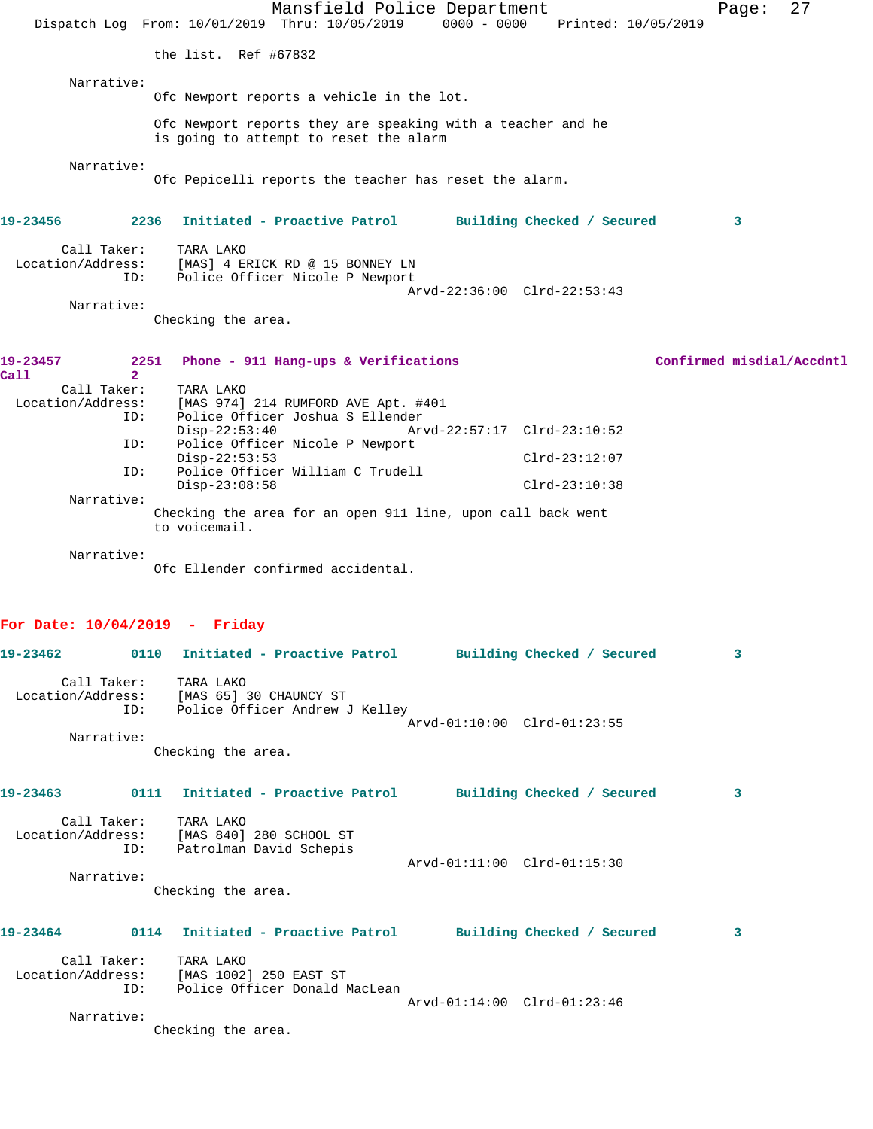|                                                                           |                             | Mansfield Police Department<br>Dispatch Log From: 10/01/2019 Thru: 10/05/2019                         | $0000 - 0000$               | Printed: 10/05/2019        |                           | Page: | 27 |
|---------------------------------------------------------------------------|-----------------------------|-------------------------------------------------------------------------------------------------------|-----------------------------|----------------------------|---------------------------|-------|----|
|                                                                           | the list. Ref #67832        |                                                                                                       |                             |                            |                           |       |    |
| Narrative:                                                                |                             |                                                                                                       |                             |                            |                           |       |    |
|                                                                           |                             | Ofc Newport reports a vehicle in the lot.                                                             |                             |                            |                           |       |    |
|                                                                           |                             | Ofc Newport reports they are speaking with a teacher and he<br>is going to attempt to reset the alarm |                             |                            |                           |       |    |
| Narrative:                                                                |                             | Ofc Pepicelli reports the teacher has reset the alarm.                                                |                             |                            |                           |       |    |
| 19-23456                                                                  | 2236                        | Initiated - Proactive Patrol                                                                          |                             | Building Checked / Secured |                           | 3     |    |
| Call Taker:<br>Location/Address:<br>ID:                                   | TARA LAKO                   | [MAS] 4 ERICK RD @ 15 BONNEY LN<br>Police Officer Nicole P Newport                                    |                             |                            |                           |       |    |
| Narrative:                                                                |                             |                                                                                                       | Arvd-22:36:00 Clrd-22:53:43 |                            |                           |       |    |
|                                                                           | Checking the area.          |                                                                                                       |                             |                            |                           |       |    |
| 19-23457                                                                  | 2251                        | Phone - 911 Hang-ups & Verifications                                                                  |                             |                            | Confirmed misdial/Accdntl |       |    |
| $\overline{2}$<br>Call<br>Call Taker:                                     | TARA LAKO                   |                                                                                                       |                             |                            |                           |       |    |
| Location/Address:                                                         |                             | [MAS 974] 214 RUMFORD AVE Apt. #401                                                                   |                             |                            |                           |       |    |
| ID:                                                                       |                             | Police Officer Joshua S Ellender                                                                      |                             |                            |                           |       |    |
| ID:                                                                       | $Disp-22:53:40$             | Police Officer Nicole P Newport                                                                       | Arvd-22:57:17 Clrd-23:10:52 |                            |                           |       |    |
| ID:                                                                       | $Disp-22:53:53$             | Police Officer William C Trudell                                                                      |                             | $Clrd-23:12:07$            |                           |       |    |
|                                                                           | $Disp-23:08:58$             |                                                                                                       |                             | $Clrd-23:10:38$            |                           |       |    |
| Narrative:                                                                | to voicemail.               | Checking the area for an open 911 line, upon call back went                                           |                             |                            |                           |       |    |
| Narrative:                                                                |                             | Ofc Ellender confirmed accidental.                                                                    |                             |                            |                           |       |    |
| For Date: $10/04/2019$ - Friday                                           |                             |                                                                                                       |                             |                            |                           |       |    |
| 19-23462                                                                  |                             | 0110 Initiated - Proactive Patrol Building Checked / Secured                                          |                             |                            |                           | 3     |    |
| Location/Address: [MAS 65] 30 CHAUNCY ST                                  | Call Taker: TARA LAKO       |                                                                                                       |                             |                            |                           |       |    |
|                                                                           |                             | ID: Police Officer Andrew J Kelley                                                                    | Arvd-01:10:00 Clrd-01:23:55 |                            |                           |       |    |
| Narrative:                                                                |                             |                                                                                                       |                             |                            |                           |       |    |
|                                                                           | Checking the area.          |                                                                                                       |                             |                            |                           |       |    |
| 19-23463   0111 Initiated - Proactive Patrol   Building Checked / Secured |                             |                                                                                                       |                             |                            |                           | 3     |    |
|                                                                           | Call Taker: TARA LAKO       |                                                                                                       |                             |                            |                           |       |    |
| Location/Address: [MAS 840] 280 SCHOOL ST                                 | ID: Patrolman David Schepis |                                                                                                       |                             |                            |                           |       |    |
|                                                                           |                             |                                                                                                       | Arvd-01:11:00 Clrd-01:15:30 |                            |                           |       |    |
| Narrative:                                                                | Checking the area.          |                                                                                                       |                             |                            |                           |       |    |
| 19-23464 0114 Initiated - Proactive Patrol Building Checked / Secured     |                             |                                                                                                       |                             |                            |                           | 3     |    |
|                                                                           | Call Taker: TARA LAKO       |                                                                                                       |                             |                            |                           |       |    |
| Location/Address: [MAS 1002] 250 EAST ST                                  |                             | ID: Police Officer Donald MacLean                                                                     |                             |                            |                           |       |    |
|                                                                           |                             |                                                                                                       | Arvd-01:14:00 Clrd-01:23:46 |                            |                           |       |    |
| Narrative:                                                                |                             |                                                                                                       |                             |                            |                           |       |    |
|                                                                           | Checking the area.          |                                                                                                       |                             |                            |                           |       |    |
|                                                                           |                             |                                                                                                       |                             |                            |                           |       |    |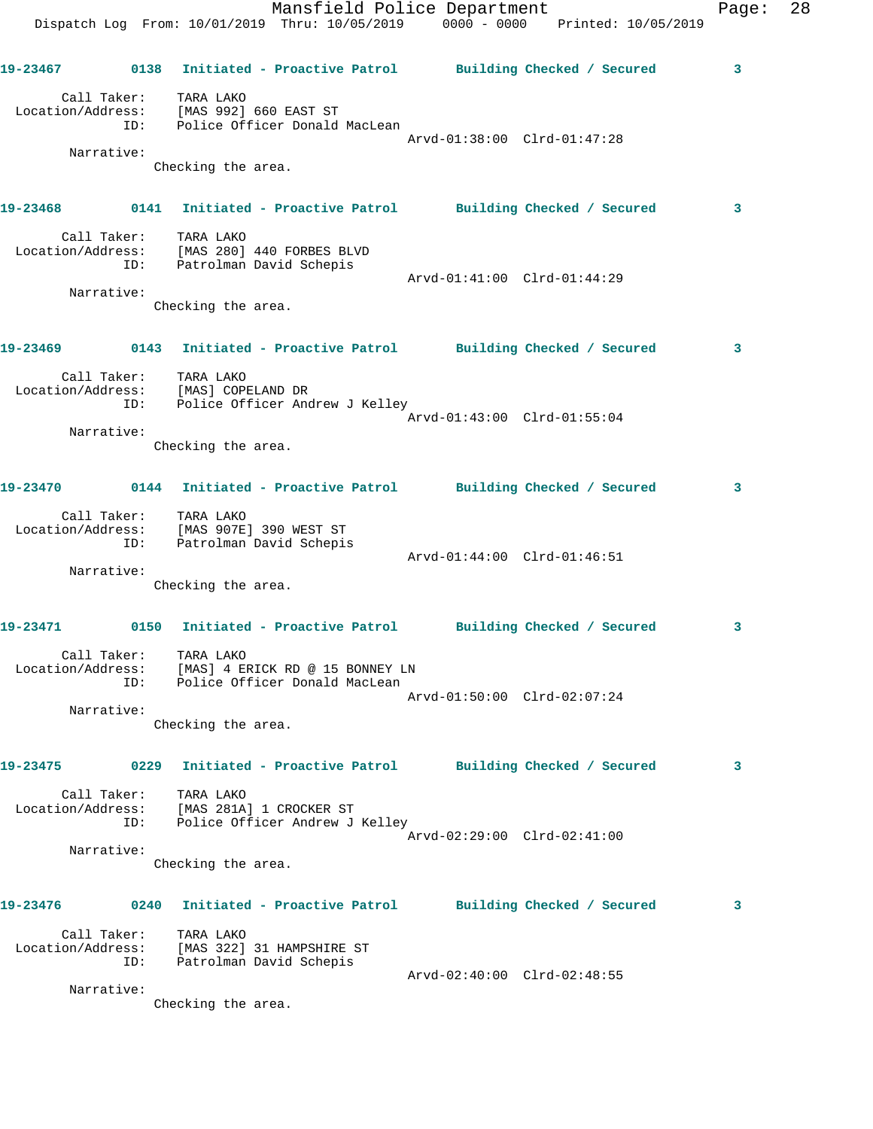|                   |                    | Dispatch Log From: 10/01/2019 Thru: 10/05/2019 0000 - 0000 Printed: 10/05/2019                      | Mansfield Police Department | Page: | 28 |
|-------------------|--------------------|-----------------------------------------------------------------------------------------------------|-----------------------------|-------|----|
|                   |                    | 19-23467      0138  Initiated - Proactive Patrol     Building Checked / Secured                     |                             | 3     |    |
|                   | Call Taker:        | TARA LAKO<br>Location/Address: [MAS 992] 660 EAST ST<br>ID: Police Officer Donald MacLean           | Arvd-01:38:00 Clrd-01:47:28 |       |    |
|                   | Narrative:         |                                                                                                     |                             |       |    |
|                   |                    | Checking the area.                                                                                  |                             |       |    |
|                   |                    | 19-23468 0141 Initiated - Proactive Patrol Building Checked / Secured                               |                             | 3     |    |
|                   |                    | Call Taker: TARA LAKO<br>Location/Address: [MAS 280] 440 FORBES BLVD<br>ID: Patrolman David Schepis | Arvd-01:41:00 Clrd-01:44:29 |       |    |
|                   | Narrative:         |                                                                                                     |                             |       |    |
|                   |                    | Checking the area.                                                                                  |                             |       |    |
|                   |                    | 19-23469      0143  Initiated - Proactive Patrol     Building Checked / Secured                     |                             | 3     |    |
|                   | ID:                | Call Taker: TARA LAKO<br>Location/Address: [MAS] COPELAND DR<br>Police Officer Andrew J Kelley      |                             |       |    |
|                   | Narrative:         |                                                                                                     | Arvd-01:43:00 Clrd-01:55:04 |       |    |
|                   |                    | Checking the area.                                                                                  |                             |       |    |
| 19-23470          |                    | 0144 Initiated - Proactive Patrol Building Checked / Secured                                        |                             | 3     |    |
|                   | ID:                | Call Taker: TARA LAKO<br>Location/Address: [MAS 907E] 390 WEST ST<br>Patrolman David Schepis        | Arvd-01:44:00 Clrd-01:46:51 |       |    |
|                   | Narrative:         |                                                                                                     |                             |       |    |
|                   |                    | Checking the area.                                                                                  |                             |       |    |
| 19-23471          |                    | 0150 Initiated - Proactive Patrol Building Checked / Secured                                        |                             | 3     |    |
|                   | Call Taker:        | TARA LAKO<br>Location/Address: [MAS] 4 ERICK RD @ 15 BONNEY LN<br>ID: Police Officer Donald MacLean | Arvd-01:50:00 Clrd-02:07:24 |       |    |
|                   | Narrative:         |                                                                                                     |                             |       |    |
|                   |                    | Checking the area.                                                                                  |                             |       |    |
| 19-23475          |                    | 0229 Initiated - Proactive Patrol Building Checked / Secured                                        |                             | 3     |    |
|                   | Call Taker:<br>ID: | TARA LAKO<br>Location/Address: [MAS 281A] 1 CROCKER ST<br>Police Officer Andrew J Kelley            |                             |       |    |
|                   | Narrative:         |                                                                                                     | Arvd-02:29:00 Clrd-02:41:00 |       |    |
|                   |                    | Checking the area.                                                                                  |                             |       |    |
| 19-23476          |                    | 0240 Initiated - Proactive Patrol Building Checked / Secured                                        |                             | 3     |    |
| Location/Address: | Call Taker:<br>ID: | TARA LAKO<br>[MAS 322] 31 HAMPSHIRE ST<br>Patrolman David Schepis                                   |                             |       |    |
|                   | Narrative:         |                                                                                                     | Arvd-02:40:00 Clrd-02:48:55 |       |    |
|                   |                    |                                                                                                     |                             |       |    |

Checking the area.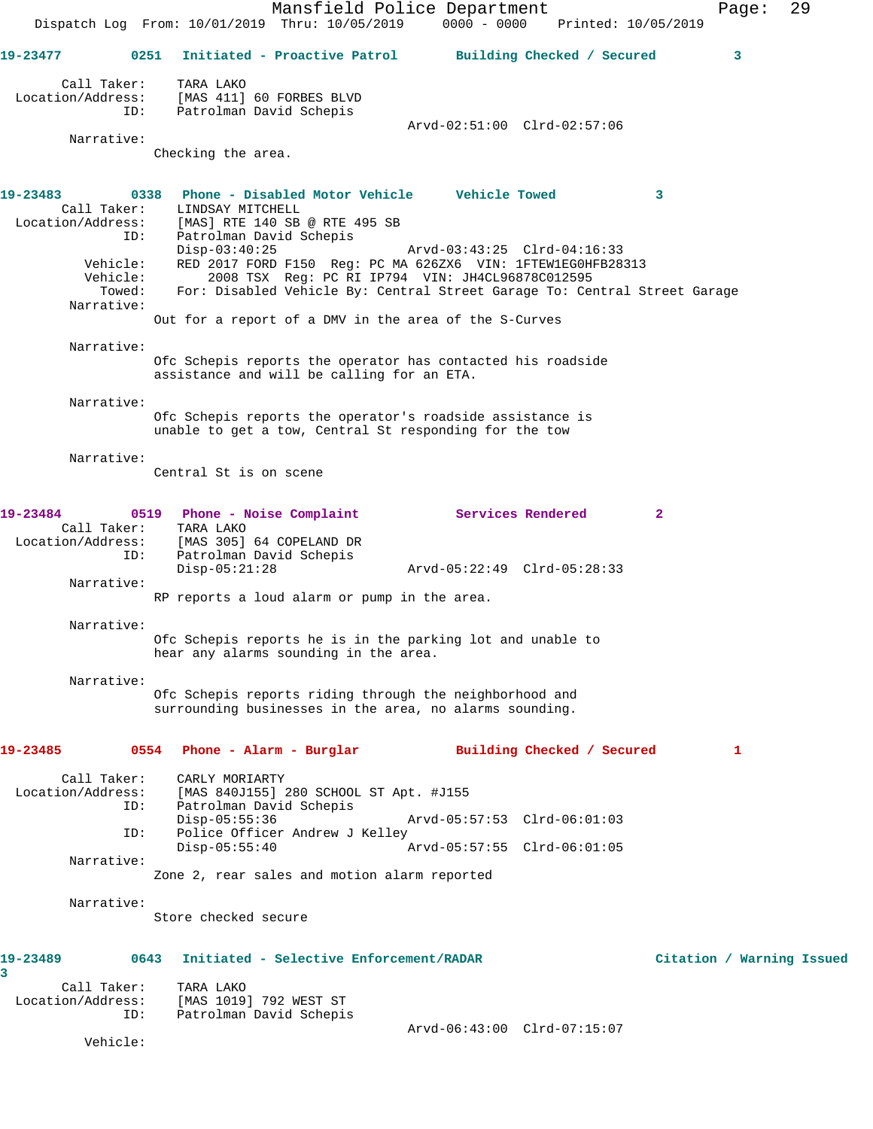Mansfield Police Department Fage: 29 Dispatch Log From: 10/01/2019 Thru: 10/05/2019 0000 - 0000 Printed: 10/05/2019 **19-23477 0251 Initiated - Proactive Patrol Building Checked / Secured 3** Call Taker: TARA LAKO Location/Address: [MAS 411] 60 FORBES BLVD ID: Patrolman David Schepis Arvd-02:51:00 Clrd-02:57:06 Narrative: Checking the area. **19-23483 0338 Phone - Disabled Motor Vehicle Vehicle Towed 3**  Call Taker: LINDSAY MITCHELL Location/Address: [MAS] RTE 140 SB @ RTE 495 SB ID: Patrolman David Schepis Disp-03:40:25 Arvd-03:43:25 Clrd-04:16:33 Vehicle: RED 2017 FORD F150 Reg: PC MA 626ZX6 VIN: 1FTEW1EG0HFB28313 Vehicle: 2008 TSX Reg: PC RI IP794 VIN: JH4CL96878C012595 Towed: For: Disabled Vehicle By: Central Street Garage To: Central Street Garage Narrative: Out for a report of a DMV in the area of the S-Curves Narrative: Ofc Schepis reports the operator has contacted his roadside assistance and will be calling for an ETA. Narrative: Ofc Schepis reports the operator's roadside assistance is unable to get a tow, Central St responding for the tow Narrative: Central St is on scene **19-23484 0519 Phone - Noise Complaint Services Rendered 2**  Call Taker: TARA LAKO Location/Address: [MAS 305] 64 COPELAND DR ID: Patrolman David Schepis Disp-05:21:28 Arvd-05:22:49 Clrd-05:28:33 Narrative: RP reports a loud alarm or pump in the area. Narrative: Ofc Schepis reports he is in the parking lot and unable to hear any alarms sounding in the area. Narrative: Ofc Schepis reports riding through the neighborhood and surrounding businesses in the area, no alarms sounding. **19-23485 0554 Phone - Alarm - Burglar Building Checked / Secured 1** Call Taker: CARLY MORIARTY Location/Address: [MAS 840J155] 280 SCHOOL ST Apt. #J155 Patrolman David Schepis<br>Disp-05:55:36 Arvd-05:57:53 Clrd-06:01:03 ID: Police Officer Andrew J Kelley<br>Disp-05:55:40 Disp-05:55:40 Arvd-05:57:55 Clrd-06:01:05 Narrative: Zone 2, rear sales and motion alarm reported Narrative: Store checked secure **19-23489 0643 Initiated - Selective Enforcement/RADAR Citation / Warning Issued 3**  Call Taker: TARA LAKO<br>.on/Address: [MAS 1019] 792 WEST ST Location/Address:<br>ID: Patrolman David Schepis Arvd-06:43:00 Clrd-07:15:07

Vehicle: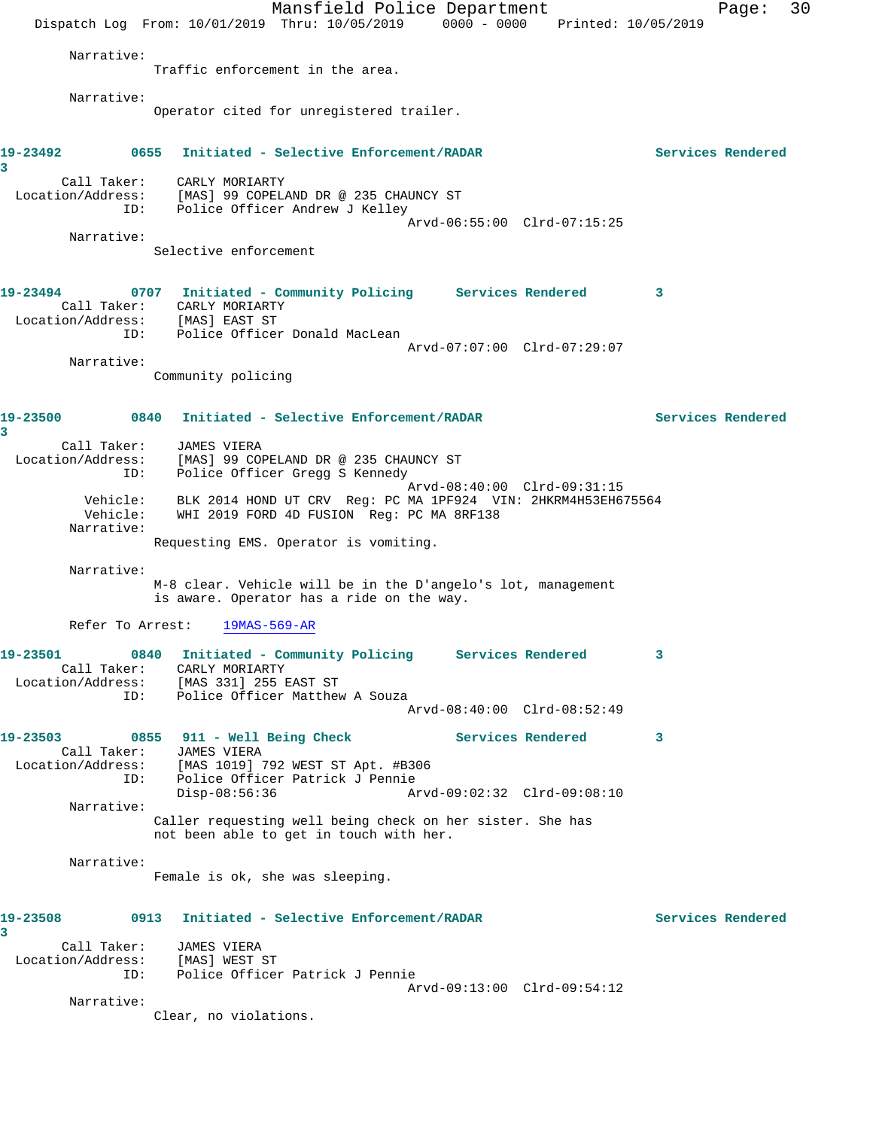Mansfield Police Department Page: 30 Dispatch Log From: 10/01/2019 Thru: 10/05/2019 0000 - 0000 Printed: 10/05/2019 Narrative: Traffic enforcement in the area. Narrative: Operator cited for unregistered trailer. **19-23492 0655 Initiated - Selective Enforcement/RADAR Services Rendered 3**  Call Taker: CARLY MORIARTY Location/Address: [MAS] 99 COPELAND DR @ 235 CHAUNCY ST ID: Police Officer Andrew J Kelley Arvd-06:55:00 Clrd-07:15:25 Narrative: Selective enforcement **19-23494 0707 Initiated - Community Policing Services Rendered 3**  Call Taker: CARLY MORIARTY Location/Address: [MAS] EAST ST ID: Police Officer Donald MacLean Arvd-07:07:00 Clrd-07:29:07 Narrative: Community policing **19-23500 0840 Initiated - Selective Enforcement/RADAR Services Rendered 3**  Call Taker: JAMES VIERA Location/Address: [MAS] 99 COPELAND DR @ 235 CHAUNCY ST ID: Police Officer Gregg S Kennedy Arvd-08:40:00 Clrd-09:31:15 Vehicle: BLK 2014 HOND UT CRV Reg: PC MA 1PF924 VIN: 2HKRM4H53EH675564 Vehicle: WHI 2019 FORD 4D FUSION Reg: PC MA 8RF138 Narrative: Requesting EMS. Operator is vomiting. Narrative: M-8 clear. Vehicle will be in the D'angelo's lot, management is aware. Operator has a ride on the way. Refer To Arrest: 19MAS-569-AR **19-23501 0840 Initiated - Community Policing Services Rendered 3**  Call Taker: CARLY MORIARTY Location/Address: [MAS 331] 255 EAST ST ID: Police Officer Matthew A Souza Arvd-08:40:00 Clrd-08:52:49 19-23503 0855 911 - Well Being Check **Services Rendered** 3 Call Taker: JAMES VIERA Location/Address: [MAS 1019] 792 WEST ST Apt. #B306 ID: Police Officer Patrick J Pennie Disp-08:56:36 Arvd-09:02:32 Clrd-09:08:10 Narrative: Caller requesting well being check on her sister. She has not been able to get in touch with her. Narrative: Female is ok, she was sleeping. **19-23508 0913 Initiated - Selective Enforcement/RADAR Services Rendered 3**  Call Taker: JAMES VIERA Location/Address: [MAS] WEST ST ID: Police Officer Patrick J Pennie Arvd-09:13:00 Clrd-09:54:12 Narrative: Clear, no violations.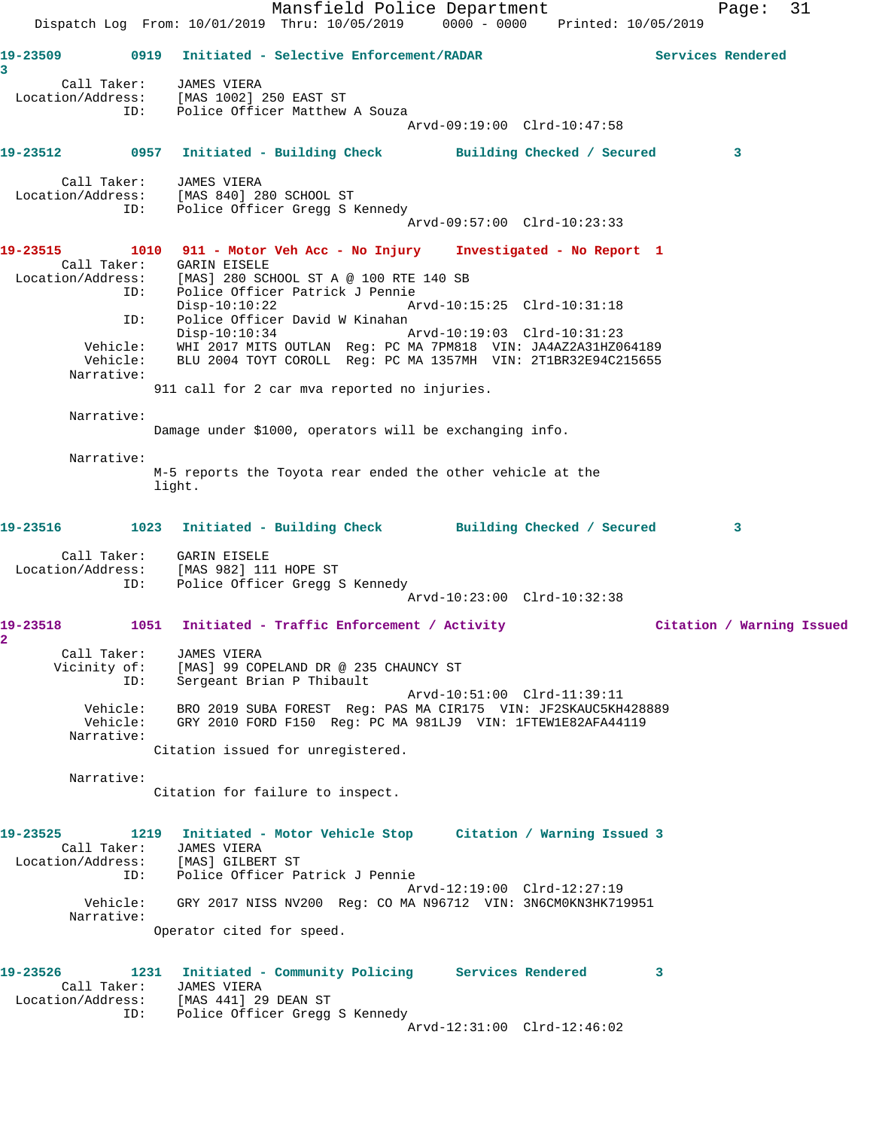Mansfield Police Department Fage: 31 Dispatch Log From: 10/01/2019 Thru: 10/05/2019 0000 - 0000 Printed: 10/05/2019 **19-23509 0919 Initiated - Selective Enforcement/RADAR Services Rendered 3**  Call Taker: JAMES VIERA Location/Address: [MAS 1002] 250 EAST ST ID: Police Officer Matthew A Souza Arvd-09:19:00 Clrd-10:47:58 **19-23512 0957 Initiated - Building Check Building Checked / Secured 3** Call Taker: JAMES VIERA Location/Address: [MAS 840] 280 SCHOOL ST ID: Police Officer Gregg S Kennedy Arvd-09:57:00 Clrd-10:23:33 **19-23515 1010 911 - Motor Veh Acc - No Injury Investigated - No Report 1**  Call Taker: GARIN EISELE Location/Address: [MAS] 280 SCHOOL ST A @ 100 RTE 140 SB ID: Police Officer Patrick J Pennie Disp-10:10:22 Arvd-10:15:25 Clrd-10:31:18 ID: Police Officer David W Kinahan Disp-10:10:34 Arvd-10:19:03 Clrd-10:31:23 Vehicle: WHI 2017 MITS OUTLAN Reg: PC MA 7PM818 VIN: JA4AZ2A31HZ064189 Vehicle: BLU 2004 TOYT COROLL Reg: PC MA 1357MH VIN: 2T1BR32E94C215655 Narrative: 911 call for 2 car mva reported no injuries. Narrative: Damage under \$1000, operators will be exchanging info. Narrative: M-5 reports the Toyota rear ended the other vehicle at the light. **19-23516 1023 Initiated - Building Check Building Checked / Secured 3** Call Taker: GARIN EISELE Location/Address: [MAS 982] 111 HOPE ST ID: Police Officer Gregg S Kennedy Arvd-10:23:00 Clrd-10:32:38 **19-23518 1051 Initiated - Traffic Enforcement / Activity Citation / Warning Issued 2**  Call Taker: JAMES VIERA Vicinity of: [MAS] 99 COPELAND DR @ 235 CHAUNCY ST ID: Sergeant Brian P Thibault Arvd-10:51:00 Clrd-11:39:11 Vehicle: BRO 2019 SUBA FOREST Reg: PAS MA CIR175 VIN: JF2SKAUC5KH428889 Vehicle: GRY 2010 FORD F150 Reg: PC MA 981LJ9 VIN: 1FTEW1E82AFA44119 Narrative: Citation issued for unregistered. Narrative: Citation for failure to inspect. **19-23525 1219 Initiated - Motor Vehicle Stop Citation / Warning Issued 3**  Call Taker: JAMES VIERA Location/Address: [MAS] GILBERT ST ID: Police Officer Patrick J Pennie Arvd-12:19:00 Clrd-12:27:19 Vehicle: GRY 2017 NISS NV200 Reg: CO MA N96712 VIN: 3N6CM0KN3HK719951 Narrative: Operator cited for speed. **19-23526 1231 Initiated - Community Policing Services Rendered 3**  Call Taker: JAMES VIERA Location/Address: [MAS 441] 29 DEAN ST ID: Police Officer Gregg S Kennedy Arvd-12:31:00 Clrd-12:46:02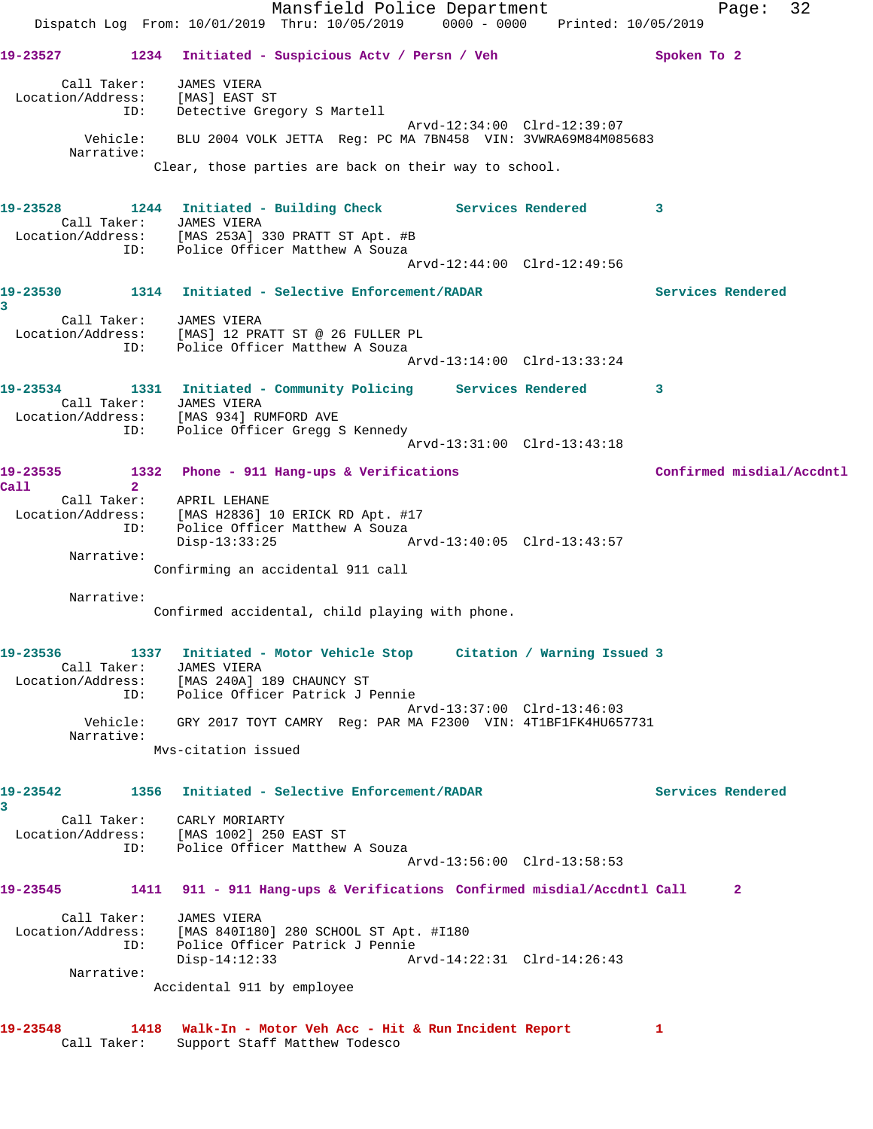Mansfield Police Department Page: 32 Dispatch Log From: 10/01/2019 Thru: 10/05/2019 0000 - 0000 Printed: 10/05/2019 **19-23527 1234 Initiated - Suspicious Actv / Persn / Veh Spoken To 2** Call Taker: JAMES VIERA Location/Address: [MAS] EAST ST ID: Detective Gregory S Martell Arvd-12:34:00 Clrd-12:39:07 Vehicle: BLU 2004 VOLK JETTA Reg: PC MA 7BN458 VIN: 3VWRA69M84M085683 Narrative: Clear, those parties are back on their way to school. **19-23528 1244 Initiated - Building Check Services Rendered 3**  Call Taker: JAMES VIERA Location/Address: [MAS 253A] 330 PRATT ST Apt. #B ID: Police Officer Matthew A Souza Arvd-12:44:00 Clrd-12:49:56 **19-23530 1314 Initiated - Selective Enforcement/RADAR Services Rendered 3**  Call Taker: JAMES VIERA Location/Address: [MAS] 12 PRATT ST @ 26 FULLER PL ID: Police Officer Matthew A Souza Arvd-13:14:00 Clrd-13:33:24 **19-23534 1331 Initiated - Community Policing Services Rendered 3**  Call Taker: JAMES VIERA Location/Address: [MAS 934] RUMFORD AVE ID: Police Officer Gregg S Kennedy Arvd-13:31:00 Clrd-13:43:18 **19-23535 1332 Phone - 911 Hang-ups & Verifications Confirmed misdial/Accdntl Call 2**  Call Taker: APRIL LEHANE Location/Address: [MAS H2836] 10 ERICK RD Apt. #17 ID: Police Officer Matthew A Souza Disp-13:33:25 Arvd-13:40:05 Clrd-13:43:57 Narrative: Confirming an accidental 911 call Narrative: Confirmed accidental, child playing with phone. **19-23536 1337 Initiated - Motor Vehicle Stop Citation / Warning Issued 3**  Call Taker: JAMES VIERA Location/Address: [MAS 240A] 189 CHAUNCY ST ID: Police Officer Patrick J Pennie Arvd-13:37:00 Clrd-13:46:03 Vehicle: GRY 2017 TOYT CAMRY Reg: PAR MA F2300 VIN: 4T1BF1FK4HU657731 Narrative: Mvs-citation issued **19-23542 1356 Initiated - Selective Enforcement/RADAR Services Rendered 3**  Call Taker: CARLY MORIARTY Location/Address: [MAS 1002] 250 EAST ST ID: Police Officer Matthew A Souza Arvd-13:56:00 Clrd-13:58:53 **19-23545 1411 911 - 911 Hang-ups & Verifications Confirmed misdial/Accdntl Call 2** Call Taker: JAMES VIERA Location/Address: [MAS 840I180] 280 SCHOOL ST Apt. #I180 ID: Police Officer Patrick J Pennie Disp-14:12:33 Arvd-14:22:31 Clrd-14:26:43 Narrative: Accidental 911 by employee **19-23548 1418 Walk-In - Motor Veh Acc - Hit & Run Incident Report 1**  Call Taker: Support Staff Matthew Todesco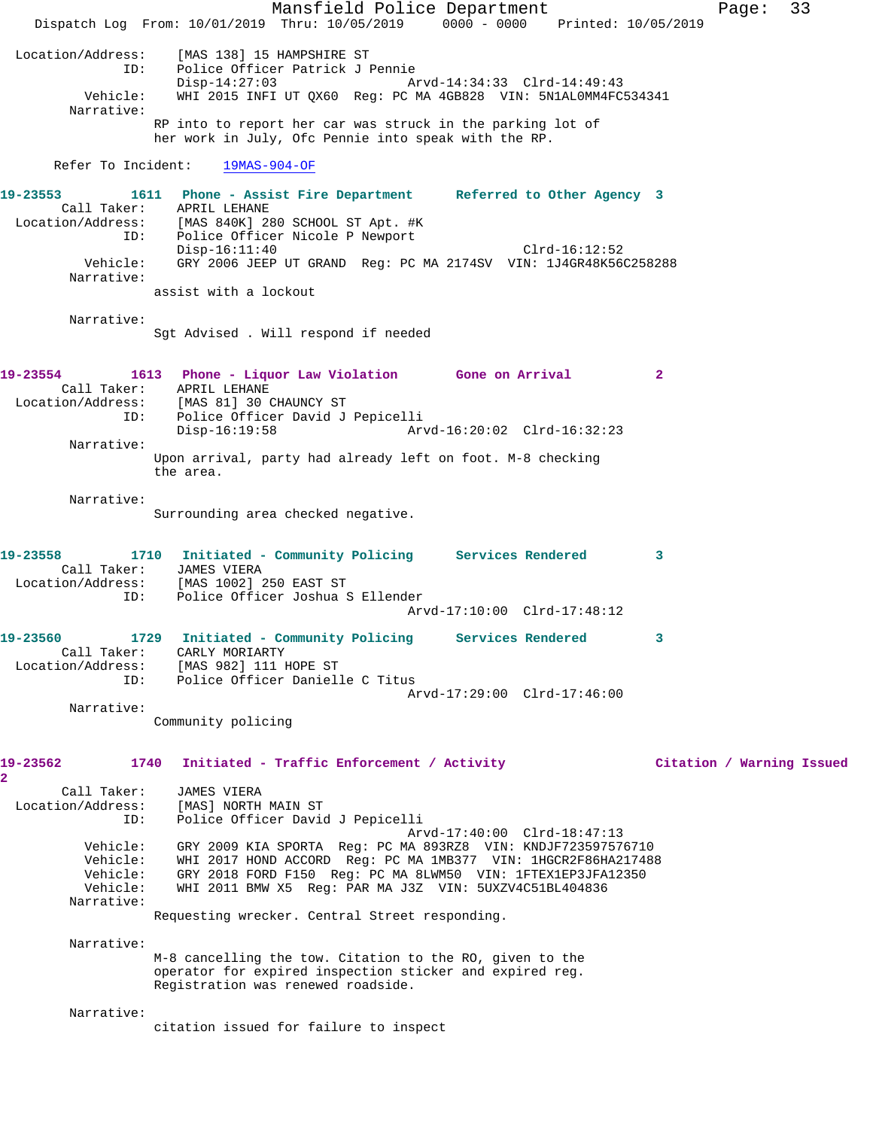Mansfield Police Department Fage: 33 Dispatch Log From: 10/01/2019 Thru: 10/05/2019 0000 - 0000 Printed: 10/05/2019 Location/Address: [MAS 138] 15 HAMPSHIRE ST ID: Police Officer Patrick J Pennie Disp-14:27:03 Arvd-14:34:33 Clrd-14:49:43 Vehicle: WHI 2015 INFI UT QX60 Reg: PC MA 4GB828 VIN: 5N1AL0MM4FC534341 Narrative: RP into to report her car was struck in the parking lot of her work in July, Ofc Pennie into speak with the RP. Refer To Incident: 19MAS-904-OF **19-23553 1611 Phone - Assist Fire Department Referred to Other Agency 3**  Call Taker: APRIL LEHANE Location/Address: [MAS 840K] 280 SCHOOL ST Apt. #K ID: Police Officer Nicole P Newport Disp-16:11:40 Clrd-16:12:52 Vehicle: GRY 2006 JEEP UT GRAND Reg: PC MA 2174SV VIN: 1J4GR48K56C258288 Narrative: assist with a lockout Narrative: Sgt Advised . Will respond if needed **19-23554 1613 Phone - Liquor Law Violation Gone on Arrival 2**  Call Taker: APRIL LEHANE Location/Address: [MAS 81] 30 CHAUNCY ST ID: Police Officer David J Pepicelli Disp-16:19:58 Arvd-16:20:02 Clrd-16:32:23 Narrative: Upon arrival, party had already left on foot. M-8 checking the area. Narrative: Surrounding area checked negative. **19-23558 1710 Initiated - Community Policing Services Rendered 3**  Call Taker: JAMES VIERA Location/Address: [MAS 1002] 250 EAST ST ID: Police Officer Joshua S Ellender Arvd-17:10:00 Clrd-17:48:12 **19-23560 1729 Initiated - Community Policing Services Rendered 3**  Call Taker: CARLY MORIARTY Location/Address: [MAS 982] 111 HOPE ST ID: Police Officer Danielle C Titus Arvd-17:29:00 Clrd-17:46:00 Narrative: Community policing **19-23562 1740 Initiated - Traffic Enforcement / Activity Citation / Warning Issued 2**  Call Taker: JAMES VIERA Location/Address: [MAS] NORTH MAIN ST ID: Police Officer David J Pepicelli Arvd-17:40:00 Clrd-18:47:13 Vehicle: GRY 2009 KIA SPORTA Reg: PC MA 893RZ8 VIN: KNDJF723597576710 Vehicle: WHI 2017 HOND ACCORD Reg: PC MA 1MB377 VIN: 1HGCR2F86HA217488 Vehicle: GRY 2018 FORD F150 Reg: PC MA 8LWM50 VIN: 1FTEX1EP3JFA12350 Vehicle: WHI 2011 BMW X5 Reg: PAR MA J3Z VIN: 5UXZV4C51BL404836 Narrative: Requesting wrecker. Central Street responding. Narrative: M-8 cancelling the tow. Citation to the RO, given to the operator for expired inspection sticker and expired reg. Registration was renewed roadside. Narrative: citation issued for failure to inspect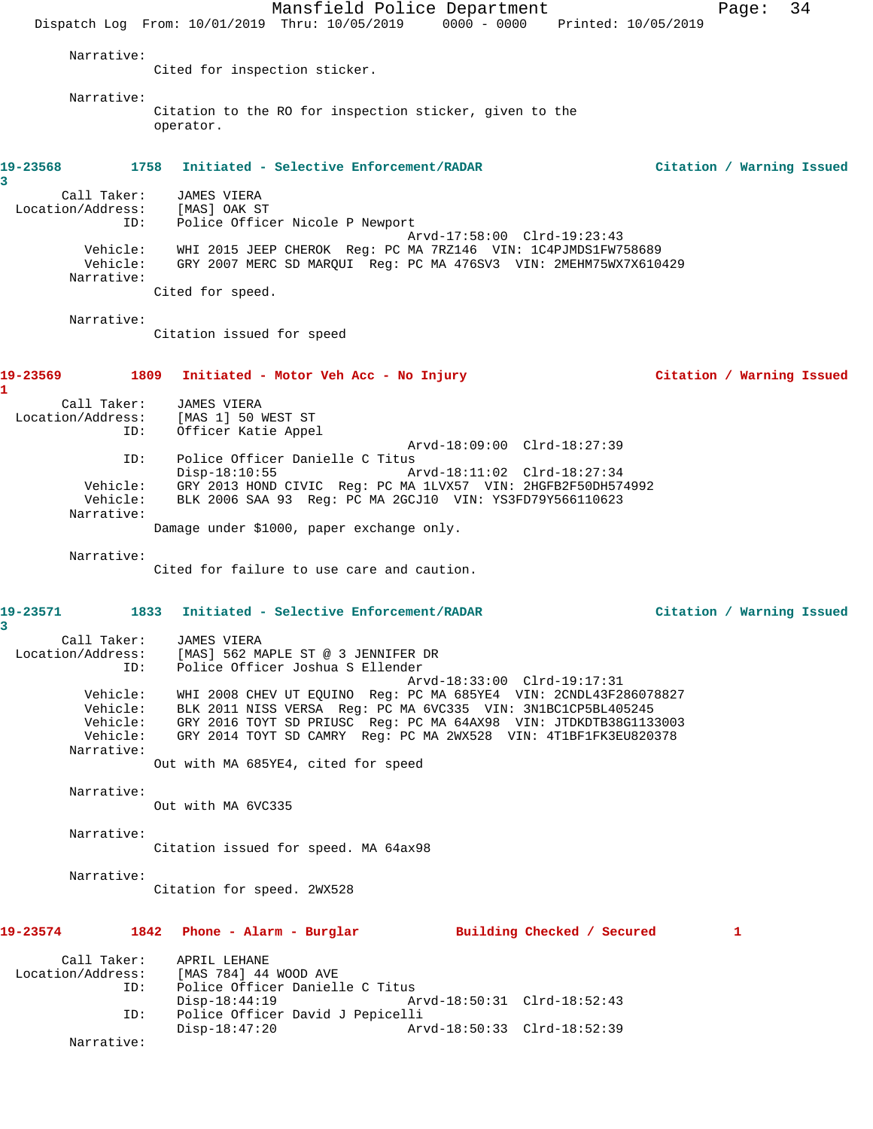Mansfield Police Department Page: 34 Dispatch Log From: 10/01/2019 Thru: 10/05/2019 0000 - 0000 Printed: 10/05/2019 Narrative: Cited for inspection sticker. Narrative: Citation to the RO for inspection sticker, given to the operator. **19-23568 1758 Initiated - Selective Enforcement/RADAR Citation / Warning Issued 3**  Call Taker: JAMES VIERA Location/Address: [MAS] OAK ST ID: Police Officer Nicole P Newport Arvd-17:58:00 Clrd-19:23:43 Vehicle: WHI 2015 JEEP CHEROK Reg: PC MA 7RZ146 VIN: 1C4PJMDS1FW758689 Vehicle: GRY 2007 MERC SD MARQUI Reg: PC MA 476SV3 VIN: 2MEHM75WX7X610429 Narrative: Cited for speed. Narrative: Citation issued for speed **19-23569 1809 Initiated - Motor Veh Acc - No Injury Citation / Warning Issued 1**  Call Taker: JAMES VIERA Location/Address: [MAS 1] 50 WEST ST ID: Officer Katie Appel Arvd-18:09:00 Clrd-18:27:39 ID: Police Officer Danielle C Titus Disp-18:10:55 Arvd-18:11:02 Clrd-18:27:34 Vehicle: GRY 2013 HOND CIVIC Reg: PC MA 1LVX57 VIN: 2HGFB2F50DH574992 Vehicle: BLK 2006 SAA 93 Reg: PC MA 2GCJ10 VIN: YS3FD79Y566110623 Narrative: Damage under \$1000, paper exchange only. Narrative: Cited for failure to use care and caution. **19-23571 1833 Initiated - Selective Enforcement/RADAR Citation / Warning Issued 3**  Call Taker: JAMES VIERA Location/Address: [MAS] 562 MAPLE ST @ 3 JENNIFER DR ID: Police Officer Joshua S Ellender Arvd-18:33:00 Clrd-19:17:31 Vehicle: WHI 2008 CHEV UT EQUINO Reg: PC MA 685YE4 VIN: 2CNDL43F286078827 Vehicle: BLK 2011 NISS VERSA Reg: PC MA 6VC335 VIN: 3N1BC1CP5BL405245 Vehicle: GRY 2016 TOYT SD PRIUSC Reg: PC MA 64AX98 VIN: JTDKDTB38G1133003 Vehicle: GRY 2014 TOYT SD CAMRY Reg: PC MA 2WX528 VIN: 4T1BF1FK3EU820378 Narrative: Out with MA 685YE4, cited for speed Narrative: Out with MA 6VC335 Narrative: Citation issued for speed. MA 64ax98 Narrative: Citation for speed. 2WX528 **19-23574 1842 Phone - Alarm - Burglar Building Checked / Secured 1** Call Taker: APRIL LEHANE Location/Address: [MAS 784] 44 WOOD AVE ID: Police Officer Danielle C Titus Disp-18:44:19 Arvd-18:50:31 Clrd-18:52:43 ID: Police Officer David J Pepicelli Arvd-18:50:33 Clrd-18:52:39 Narrative: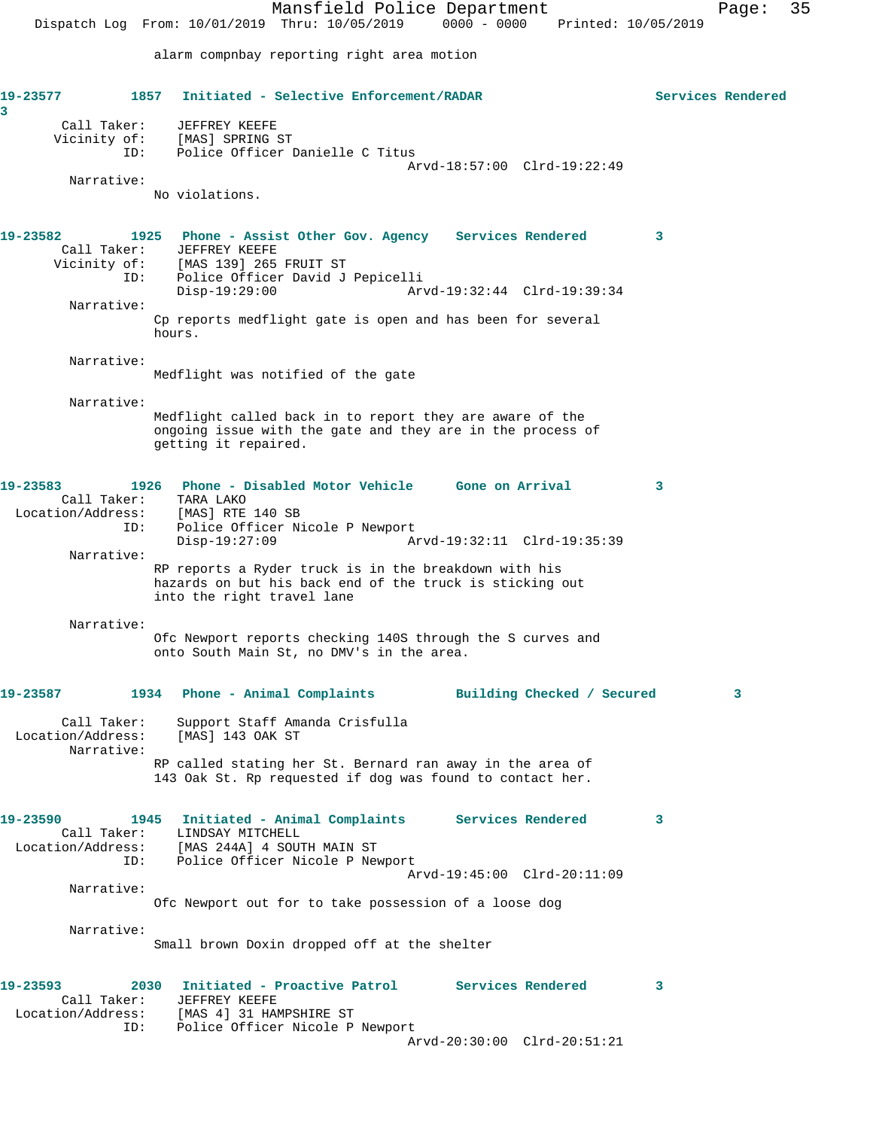Mansfield Police Department Page: 35 Dispatch Log From: 10/01/2019 Thru: 10/05/2019 0000 - 0000 Printed: 10/05/2019 alarm compnbay reporting right area motion **19-23577 1857 Initiated - Selective Enforcement/RADAR Services Rendered 3**  Call Taker: JEFFREY KEEFE Vicinity of: [MAS] SPRING ST ID: Police Officer Danielle C Titus Arvd-18:57:00 Clrd-19:22:49 Narrative: No violations. **19-23582 1925 Phone - Assist Other Gov. Agency Services Rendered 3**  Call Taker: JEFFREY KEEFE Vicinity of: [MAS 139] 265 FRUIT ST ID: Police Officer David J Pepicelli Disp-19:29:00 Arvd-19:32:44 Clrd-19:39:34 Narrative: Cp reports medflight gate is open and has been for several hours. Narrative: Medflight was notified of the gate Narrative: Medflight called back in to report they are aware of the ongoing issue with the gate and they are in the process of getting it repaired. **19-23583 1926 Phone - Disabled Motor Vehicle Gone on Arrival 3**  Call Taker: TARA LAKO Location/Address: [MAS] RTE 140 SB Police Officer Nicole P Newport<br>Disp-19:27:09 A Disp-19:27:09 Arvd-19:32:11 Clrd-19:35:39 Narrative: RP reports a Ryder truck is in the breakdown with his hazards on but his back end of the truck is sticking out into the right travel lane Narrative: Ofc Newport reports checking 140S through the S curves and onto South Main St, no DMV's in the area. **19-23587 1934 Phone - Animal Complaints Building Checked / Secured 3** Call Taker: Support Staff Amanda Crisfulla Location/Address: [MAS] 143 OAK ST Narrative: RP called stating her St. Bernard ran away in the area of 143 Oak St. Rp requested if dog was found to contact her. **19-23590 1945 Initiated - Animal Complaints Services Rendered 3**  Call Taker: LINDSAY MITCHELL Location/Address: [MAS 244A] 4 SOUTH MAIN ST ID: Police Officer Nicole P Newport Arvd-19:45:00 Clrd-20:11:09 Narrative: Ofc Newport out for to take possession of a loose dog Narrative: Small brown Doxin dropped off at the shelter **19-23593 2030 Initiated - Proactive Patrol Services Rendered 3**  Call Taker: JEFFREY KEEFE Location/Address: [MAS 4] 31 HAMPSHIRE ST ID: Police Officer Nicole P Newport Arvd-20:30:00 Clrd-20:51:21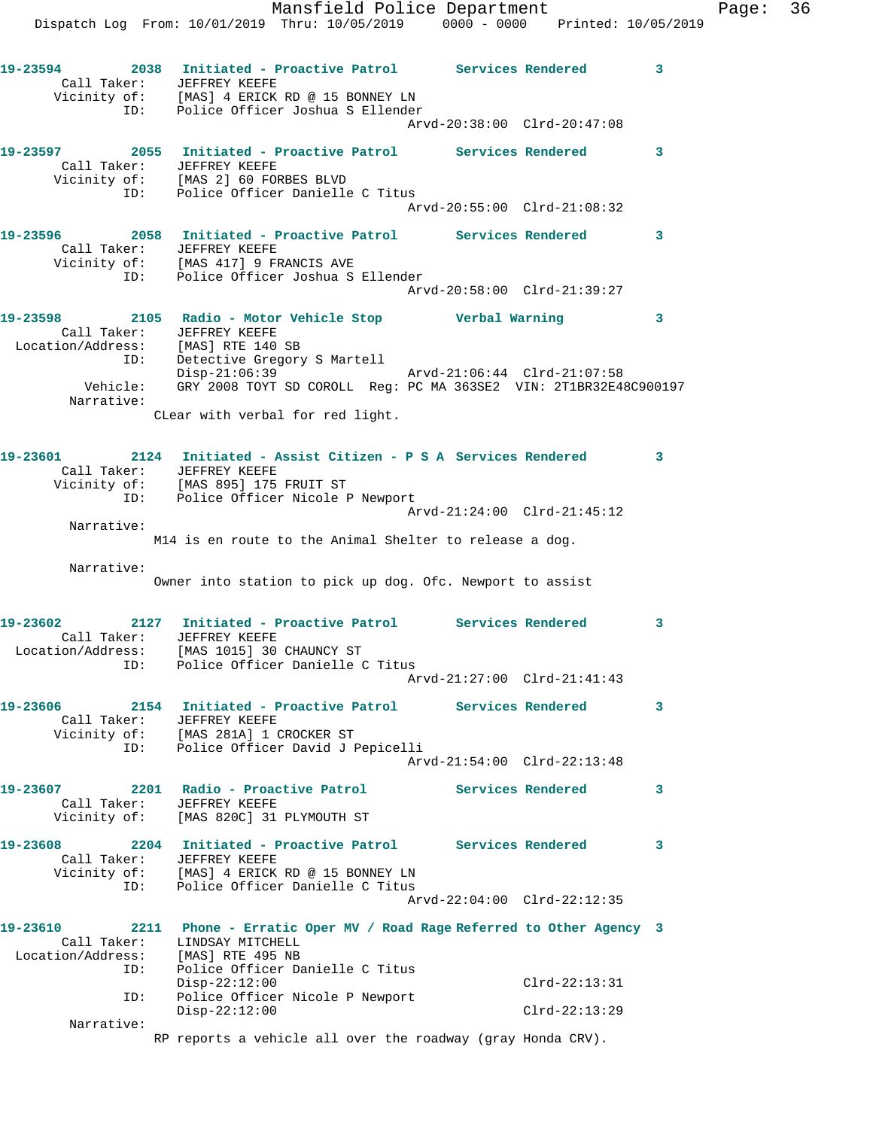Mansfield Police Department Fage: 36 Dispatch Log From: 10/01/2019 Thru: 10/05/2019 0000 - 0000 Printed: 10/05/2019 **19-23594 2038 Initiated - Proactive Patrol Services Rendered 3**  Call Taker: JEFFREY KEEFE Vicinity of: [MAS] 4 ERICK RD @ 15 BONNEY LN ID: Police Officer Joshua S Ellender Arvd-20:38:00 Clrd-20:47:08 **19-23597 2055 Initiated - Proactive Patrol Services Rendered 3**  Call Taker: JEFFREY KEEFE Vicinity of: [MAS 2] 60 FORBES BLVD ID: Police Officer Danielle C Titus Arvd-20:55:00 Clrd-21:08:32 **19-23596 2058 Initiated - Proactive Patrol Services Rendered 3**  Call Taker: JEFFREY KEEFE Vicinity of: [MAS 417] 9 FRANCIS AVE ID: Police Officer Joshua S Ellender Arvd-20:58:00 Clrd-21:39:27 **19-23598 2105 Radio - Motor Vehicle Stop Verbal Warning 3**  Call Taker: JEFFREY KEEFE Location/Address: [MAS] RTE 140 SB ID: Detective Gregory S Martell Disp-21:06:39 Arvd-21:06:44 Clrd-21:07:58 Vehicle: GRY 2008 TOYT SD COROLL Reg: PC MA 363SE2 VIN: 2T1BR32E48C900197 Narrative: CLear with verbal for red light. **19-23601 2124 Initiated - Assist Citizen - P S A Services Rendered 3**  Call Taker: JEFFREY KEEFE Vicinity of: [MAS 895] 175 FRUIT ST ID: Police Officer Nicole P Newport Arvd-21:24:00 Clrd-21:45:12 Narrative: M14 is en route to the Animal Shelter to release a dog. Narrative: Owner into station to pick up dog. Ofc. Newport to assist **19-23602 2127 Initiated - Proactive Patrol Services Rendered 3**  Call Taker: JEFFREY KEEFE Location/Address: [MAS 1015] 30 CHAUNCY ST ID: Police Officer Danielle C Titus Arvd-21:27:00 Clrd-21:41:43 **19-23606 2154 Initiated - Proactive Patrol Services Rendered 3**  Call Taker: JEFFREY KEEFE Vicinity of: [MAS 281A] 1 CROCKER ST ID: Police Officer David J Pepicelli Arvd-21:54:00 Clrd-22:13:48 **19-23607 2201 Radio - Proactive Patrol Services Rendered 3**  Call Taker: JEFFREY KEEFE Vicinity of: [MAS 820C] 31 PLYMOUTH ST **19-23608 2204 Initiated - Proactive Patrol Services Rendered 3**  Call Taker: JEFFREY KEEFE Vicinity of: [MAS] 4 ERICK RD @ 15 BONNEY LN ID: Police Officer Danielle C Titus Arvd-22:04:00 Clrd-22:12:35 **19-23610 2211 Phone - Erratic Oper MV / Road Rage Referred to Other Agency 3**  Call Taker: LINDSAY MITCHELL Location/Address: [MAS] RTE 495 NB ID: Police Officer Danielle C Titus Disp-22:12:00 Clrd-22:13:31 ID: Police Officer Nicole P Newport Disp-22:12:00 Clrd-22:13:29 Narrative: RP reports a vehicle all over the roadway (gray Honda CRV).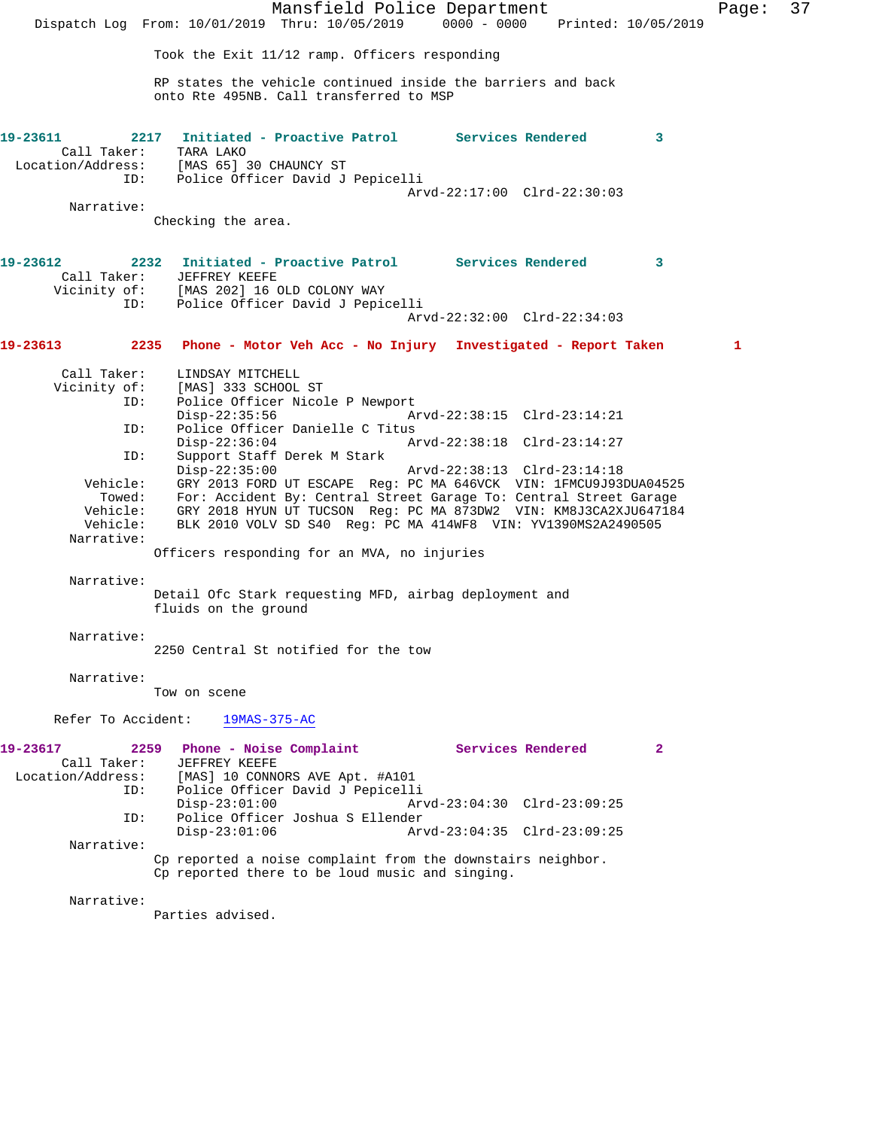|                                                                                                                                          | Mansfield Police Department<br>Dispatch Log From: 10/01/2019 Thru: 10/05/2019 0000 - 0000 Printed: 10/05/2019                                                                                                                                                                                                                                                                                                                                                                                                                                                                                                                                                                                                                                             | Page: | 37 |
|------------------------------------------------------------------------------------------------------------------------------------------|-----------------------------------------------------------------------------------------------------------------------------------------------------------------------------------------------------------------------------------------------------------------------------------------------------------------------------------------------------------------------------------------------------------------------------------------------------------------------------------------------------------------------------------------------------------------------------------------------------------------------------------------------------------------------------------------------------------------------------------------------------------|-------|----|
|                                                                                                                                          | Took the Exit 11/12 ramp. Officers responding                                                                                                                                                                                                                                                                                                                                                                                                                                                                                                                                                                                                                                                                                                             |       |    |
|                                                                                                                                          | RP states the vehicle continued inside the barriers and back<br>onto Rte 495NB. Call transferred to MSP                                                                                                                                                                                                                                                                                                                                                                                                                                                                                                                                                                                                                                                   |       |    |
| 19-23611<br>Call Taker:<br>ID:                                                                                                           | 2217 Initiated - Proactive Patrol Services Rendered<br>$\overline{\phantom{a}}$ 3<br>TARA LAKO<br>Location/Address: [MAS 65] 30 CHAUNCY ST<br>Police Officer David J Pepicelli                                                                                                                                                                                                                                                                                                                                                                                                                                                                                                                                                                            |       |    |
| Narrative:                                                                                                                               | Arvd-22:17:00 Clrd-22:30:03<br>Checking the area.                                                                                                                                                                                                                                                                                                                                                                                                                                                                                                                                                                                                                                                                                                         |       |    |
| 19-23612<br>ID:                                                                                                                          | 2232 Initiated - Proactive Patrol Services Rendered<br>$\mathbf{3}$<br>Call Taker: JEFFREY KEEFE<br>Vicinity of: [MAS 202] 16 OLD COLONY WAY<br>Police Officer David J Pepicelli<br>Arvd-22:32:00 Clrd-22:34:03                                                                                                                                                                                                                                                                                                                                                                                                                                                                                                                                           |       |    |
| 19-23613                                                                                                                                 | 2235 Phone - Motor Veh Acc - No Injury Investigated - Report Taken                                                                                                                                                                                                                                                                                                                                                                                                                                                                                                                                                                                                                                                                                        | 1     |    |
| Call Taker:<br>Vicinity of:<br>ID:<br>ID:<br>ID:<br>Vehicle:<br>Towed:<br>Vehicle:<br>Vehicle:<br>Narrative:<br>Narrative:<br>Narrative: | LINDSAY MITCHELL<br>[MAS] 333 SCHOOL ST<br>Police Officer Nicole P Newport<br>$Disp-22:35:56$<br>Arvd-22:38:15 Clrd-23:14:21<br>Police Officer Danielle C Titus<br>$Disp-22:36:04$<br>Arvd-22:38:18 Clrd-23:14:27<br>Support Staff Derek M Stark<br>$Disp-22:35:00$<br>Arvd-22:38:13 Clrd-23:14:18<br>GRY 2013 FORD UT ESCAPE Req: PC MA 646VCK VIN: 1FMCU9J93DUA04525<br>For: Accident By: Central Street Garage To: Central Street Garage<br>GRY 2018 HYUN UT TUCSON Req: PC MA 873DW2 VIN: KM8J3CA2XJU647184<br>BLK 2010 VOLV SD S40 Reg: PC MA 414WF8 VIN: YV1390MS2A2490505<br>Officers responding for an MVA, no injuries<br>Detail Ofc Stark requesting MFD, airbag deployment and<br>fluids on the ground<br>2250 Central St notified for the tow |       |    |
| Narrative:                                                                                                                               |                                                                                                                                                                                                                                                                                                                                                                                                                                                                                                                                                                                                                                                                                                                                                           |       |    |
|                                                                                                                                          | Tow on scene                                                                                                                                                                                                                                                                                                                                                                                                                                                                                                                                                                                                                                                                                                                                              |       |    |
| Refer To Accident:                                                                                                                       | $19MAS-375-AC$                                                                                                                                                                                                                                                                                                                                                                                                                                                                                                                                                                                                                                                                                                                                            |       |    |
| 19-23617<br>Call Taker:<br>Location/Address:<br>ID:<br>ID:<br>Narrative:                                                                 | Services Rendered<br>2259<br>Phone - Noise Complaint<br>$\mathbf{2}$<br>JEFFREY KEEFE<br>[MAS] 10 CONNORS AVE Apt. #A101<br>Police Officer David J Pepicelli<br>$Disp-23:01:00$<br>Arvd-23:04:30 Clrd-23:09:25<br>Police Officer Joshua S Ellender<br>$Disp-23:01:06$<br>Arvd-23:04:35 Clrd-23:09:25<br>Cp reported a noise complaint from the downstairs neighbor.                                                                                                                                                                                                                                                                                                                                                                                       |       |    |
| Narrative:                                                                                                                               | Cp reported there to be loud music and singing.<br>Parties advised.                                                                                                                                                                                                                                                                                                                                                                                                                                                                                                                                                                                                                                                                                       |       |    |
|                                                                                                                                          |                                                                                                                                                                                                                                                                                                                                                                                                                                                                                                                                                                                                                                                                                                                                                           |       |    |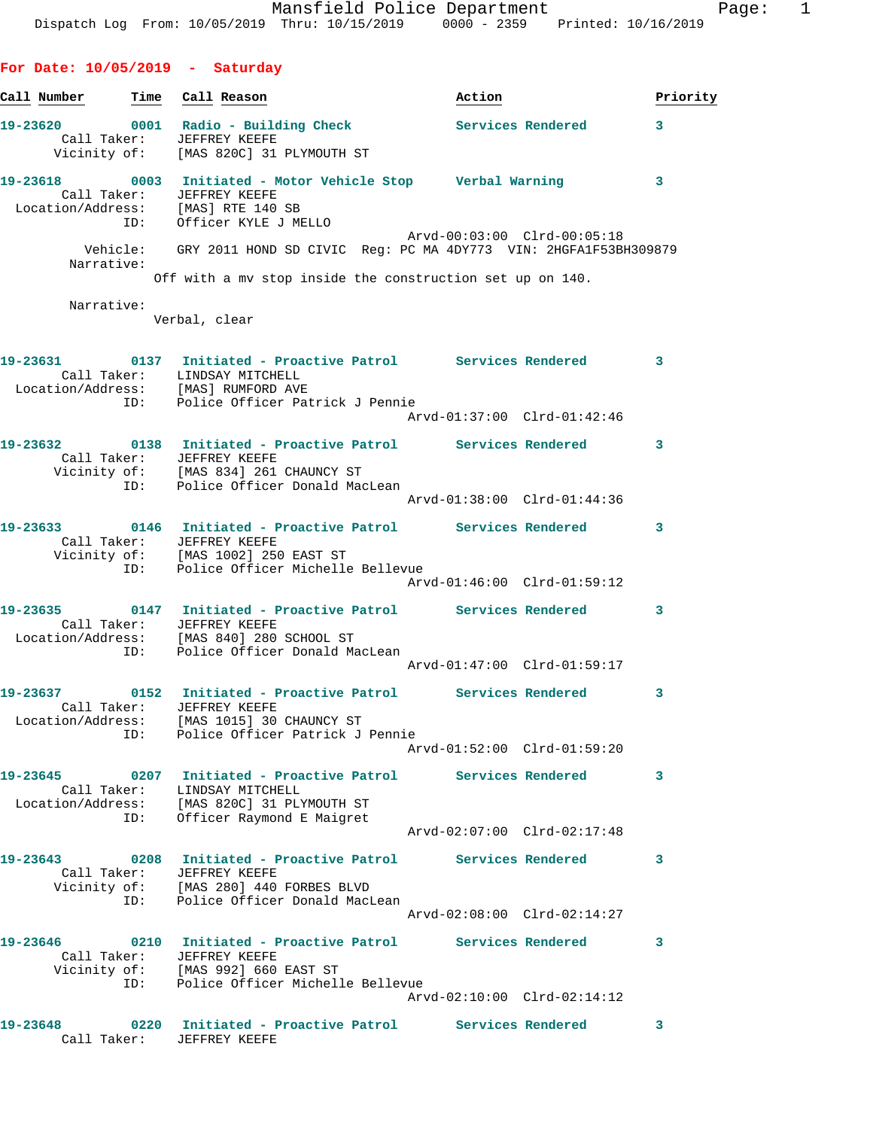**For Date: 10/05/2019 - Saturday Call Number Time Call Reason Action Priority 19-23620 0001 Radio - Building Check Services Rendered 3**  Call Taker: JEFFREY KEEFE Vicinity of: [MAS 820C] 31 PLYMOUTH ST **19-23618 0003 Initiated - Motor Vehicle Stop Verbal Warning 3**  Call Taker: JEFFREY KEEFE Location/Address: [MAS] RTE 140 SB ID: Officer KYLE J MELLO Arvd-00:03:00 Clrd-00:05:18 Vehicle: GRY 2011 HOND SD CIVIC Reg: PC MA 4DY773 VIN: 2HGFA1F53BH309879 Narrative: Off with a mv stop inside the construction set up on 140. Narrative: Verbal, clear **19-23631 0137 Initiated - Proactive Patrol Services Rendered 3**  Call Taker: LINDSAY MITCHELL Location/Address: [MAS] RUMFORD AVE ID: Police Officer Patrick J Pennie Arvd-01:37:00 Clrd-01:42:46 **19-23632 0138 Initiated - Proactive Patrol Services Rendered 3**  Call Taker: JEFFREY KEEFE Vicinity of: [MAS 834] 261 CHAUNCY ST ID: Police Officer Donald MacLean Arvd-01:38:00 Clrd-01:44:36 **19-23633 0146 Initiated - Proactive Patrol Services Rendered 3**  Call Taker: JEFFREY KEEFE Vicinity of: [MAS 1002] 250 EAST ST ID: Police Officer Michelle Bellevue Arvd-01:46:00 Clrd-01:59:12 **19-23635 0147 Initiated - Proactive Patrol Services Rendered 3**  Call Taker: JEFFREY KEEFE Location/Address: [MAS 840] 280 SCHOOL ST adress.<br>ID: Police Officer Donald MacLean Arvd-01:47:00 Clrd-01:59:17 **19-23637 0152 Initiated - Proactive Patrol Services Rendered 3**  Call Taker: JEFFREY KEEFE Location/Address: [MAS 1015] 30 CHAUNCY ST ID: Police Officer Patrick J Pennie Arvd-01:52:00 Clrd-01:59:20 **19-23645 0207 Initiated - Proactive Patrol Services Rendered 3**  Call Taker: LINDSAY MITCHELL Location/Address: [MAS 820C] 31 PLYMOUTH ST ID: Officer Raymond E Maigret Arvd-02:07:00 Clrd-02:17:48 **19-23643 0208 Initiated - Proactive Patrol Services Rendered 3**  Call Taker: JEFFREY KEEFE Vicinity of: [MAS 280] 440 FORBES BLVD ID: Police Officer Donald MacLean Arvd-02:08:00 Clrd-02:14:27 **19-23646 0210 Initiated - Proactive Patrol Services Rendered 3**  Call Taker: JEFFREY KEEFE Vicinity of: [MAS 992] 660 EAST ST ID: Police Officer Michelle Bellevue

Arvd-02:10:00 Clrd-02:14:12

**19-23648 0220 Initiated - Proactive Patrol Services Rendered 3**  Call Taker: JEFFREY KEEFE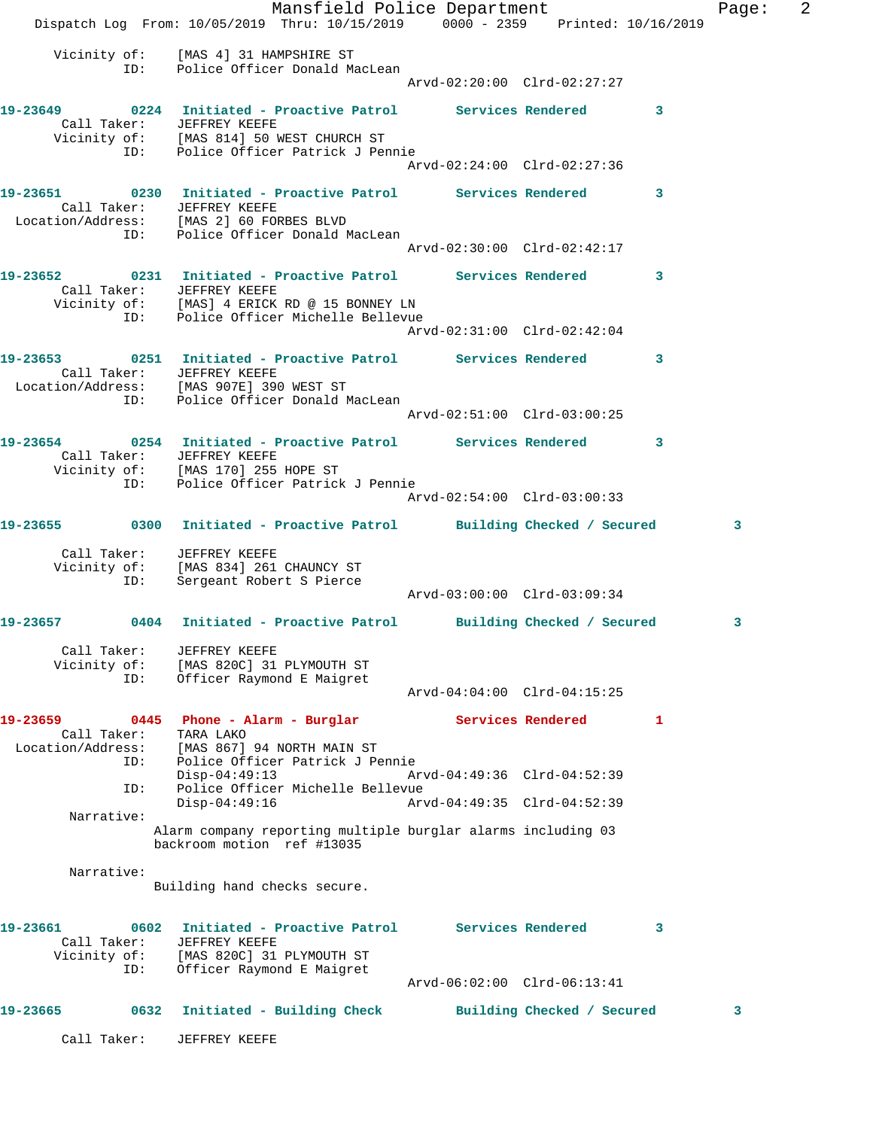Mansfield Police Department Fage: 2 Dispatch Log From: 10/05/2019 Thru: 10/15/2019 0000 - 2359 Printed: 10/16/2019 Vicinity of: [MAS 4] 31 HAMPSHIRE ST ID: Police Officer Donald MacLean Arvd-02:20:00 Clrd-02:27:27 **19-23649 0224 Initiated - Proactive Patrol Services Rendered 3**  Call Taker: JEFFREY KEEFE Vicinity of: [MAS 814] 50 WEST CHURCH ST ID: Police Officer Patrick J Pennie Arvd-02:24:00 Clrd-02:27:36 **19-23651 0230 Initiated - Proactive Patrol Services Rendered 3**  Call Taker: JEFFREY KEEFE Location/Address: [MAS 2] 60 FORBES BLVD ID: Police Officer Donald MacLean Arvd-02:30:00 Clrd-02:42:17 **19-23652 0231 Initiated - Proactive Patrol Services Rendered 3**  Call Taker: JEFFREY KEEFE Vicinity of: [MAS] 4 ERICK RD @ 15 BONNEY LN ID: Police Officer Michelle Bellevue Arvd-02:31:00 Clrd-02:42:04 **19-23653 0251 Initiated - Proactive Patrol Services Rendered 3**  Call Taker: JEFFREY KEEFE Location/Address: [MAS 907E] 390 WEST ST ID: Police Officer Donald MacLean Arvd-02:51:00 Clrd-03:00:25 **19-23654 0254 Initiated - Proactive Patrol Services Rendered 3**  Call Taker: JEFFREY KEEFE Vicinity of: [MAS 170] 255 HOPE ST ID: Police Officer Patrick J Pennie Arvd-02:54:00 Clrd-03:00:33 **19-23655 0300 Initiated - Proactive Patrol Building Checked / Secured 3** Call Taker: JEFFREY KEEFE Vicinity of: [MAS 834] 261 CHAUNCY ST ID: Sergeant Robert S Pierce Arvd-03:00:00 Clrd-03:09:34 **19-23657 0404 Initiated - Proactive Patrol Building Checked / Secured 3** Call Taker: JEFFREY KEEFE Vicinity of: [MAS 820C] 31 PLYMOUTH ST ID: Officer Raymond E Maigret Arvd-04:04:00 Clrd-04:15:25 **19-23659 0445 Phone - Alarm - Burglar Services Rendered 1**  Call Taker: TARA LAKO Location/Address: [MAS 867] 94 NORTH MAIN ST ID: Police Officer Patrick J Pennie Disp-04:49:13 Arvd-04:49:36 Clrd-04:52:39 ID: Police Officer Michelle Bellevue Disp-04:49:16 Arvd-04:49:35 Clrd-04:52:39 Narrative: Alarm company reporting multiple burglar alarms including 03 backroom motion ref #13035 Narrative: Building hand checks secure. **19-23661 0602 Initiated - Proactive Patrol Services Rendered 3**  Call Taker: JEFFREY KEEFE Vicinity of: [MAS 820C] 31 PLYMOUTH ST ID: Officer Raymond E Maigret Arvd-06:02:00 Clrd-06:13:41 **19-23665 0632 Initiated - Building Check Building Checked / Secured 3** Call Taker: JEFFREY KEEFE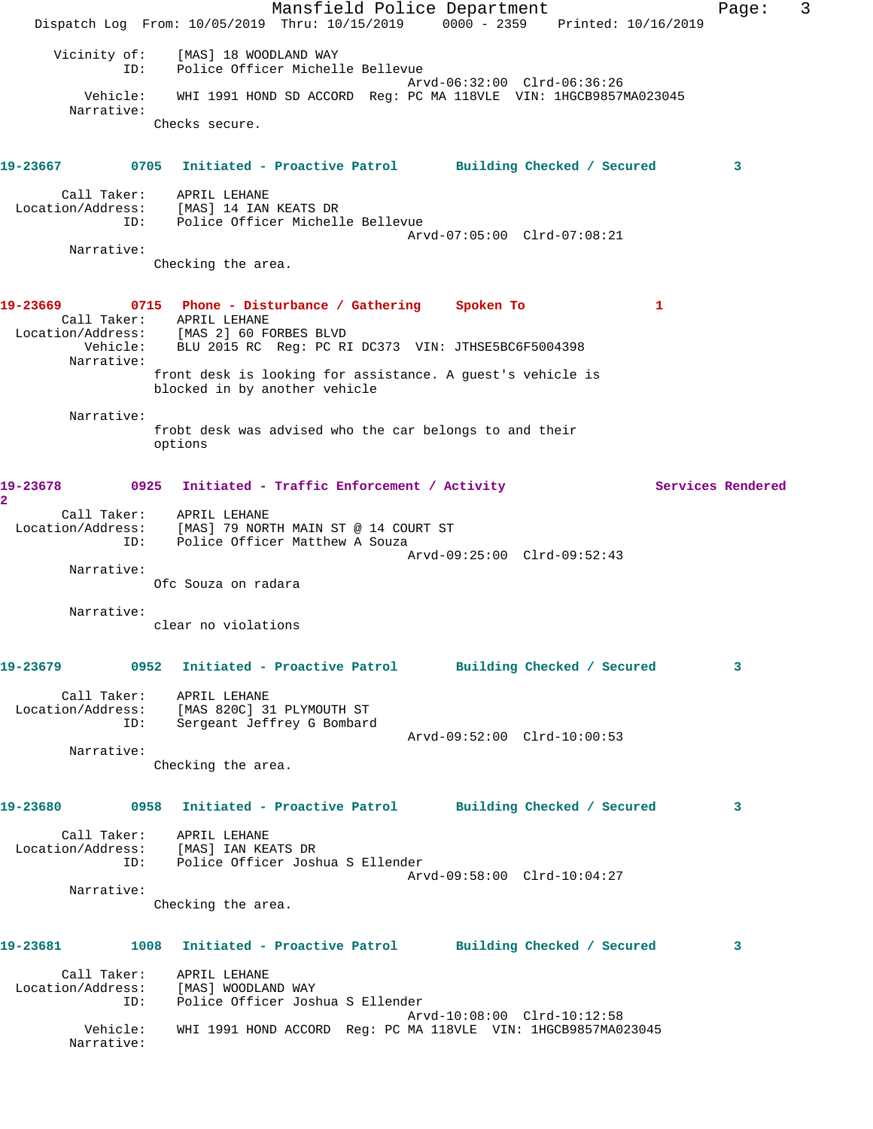Mansfield Police Department Fage: 3 Dispatch Log From: 10/05/2019 Thru: 10/15/2019 0000 - 2359 Printed: 10/16/2019 Vicinity of: [MAS] 18 WOODLAND WAY ID: Police Officer Michelle Bellevue Arvd-06:32:00 Clrd-06:36:26 Vehicle: WHI 1991 HOND SD ACCORD Reg: PC MA 118VLE VIN: 1HGCB9857MA023045 Narrative: Checks secure. **19-23667 0705 Initiated - Proactive Patrol Building Checked / Secured 3** Call Taker: APRIL LEHANE Location/Address: [MAS] 14 IAN KEATS DR ID: Police Officer Michelle Bellevue Arvd-07:05:00 Clrd-07:08:21 Narrative: Checking the area. **19-23669 0715 Phone - Disturbance / Gathering Spoken To 1**  Call Taker: APRIL LEHANE Location/Address: [MAS 2] 60 FORBES BLVD Vehicle: BLU 2015 RC Reg: PC RI DC373 VIN: JTHSE5BC6F5004398 Narrative: front desk is looking for assistance. A guest's vehicle is blocked in by another vehicle Narrative: frobt desk was advised who the car belongs to and their options 19-23678 0925 Initiated - Traffic Enforcement / Activity **Services Rendered 2**  Call Taker: APRIL LEHANE Location/Address: [MAS] 79 NORTH MAIN ST @ 14 COURT ST ID: Police Officer Matthew A Souza Arvd-09:25:00 Clrd-09:52:43 Narrative: Ofc Souza on radara Narrative: clear no violations **19-23679 0952 Initiated - Proactive Patrol Building Checked / Secured 3** Call Taker: APRIL LEHANE Location/Address: [MAS 820C] 31 PLYMOUTH ST ID: Sergeant Jeffrey G Bombard Arvd-09:52:00 Clrd-10:00:53 Narrative: Checking the area. **19-23680 0958 Initiated - Proactive Patrol Building Checked / Secured 3** Call Taker: APRIL LEHANE Location/Address: [MAS] IAN KEATS DR ID: Police Officer Joshua S Ellender Arvd-09:58:00 Clrd-10:04:27 Narrative: Checking the area. **19-23681 1008 Initiated - Proactive Patrol Building Checked / Secured 3** Call Taker: APRIL LEHANE Location/Address: [MAS] WOODLAND WAY ID: Police Officer Joshua S Ellender Arvd-10:08:00 Clrd-10:12:58 Vehicle: WHI 1991 HOND ACCORD Reg: PC MA 118VLE VIN: 1HGCB9857MA023045 Narrative: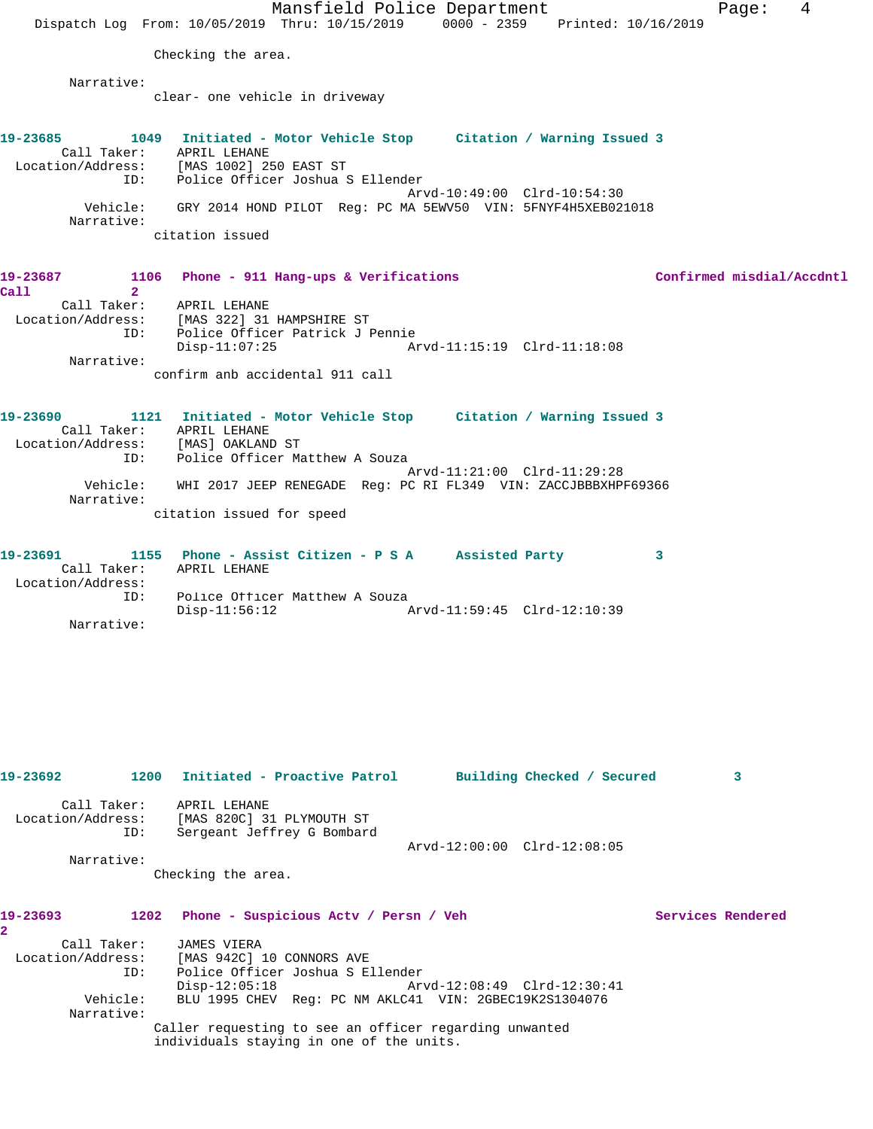Mansfield Police Department Fage: 4 Dispatch Log From: 10/05/2019 Thru: 10/15/2019 0000 - 2359 Printed: 10/16/2019 Checking the area. Narrative: clear- one vehicle in driveway **19-23685 1049 Initiated - Motor Vehicle Stop Citation / Warning Issued 3**  Call Taker: APRIL LEHANE Location/Address: [MAS 1002] 250 EAST ST ID: Police Officer Joshua S Ellender Arvd-10:49:00 Clrd-10:54:30 Vehicle: GRY 2014 HOND PILOT Reg: PC MA 5EWV50 VIN: 5FNYF4H5XEB021018 Narrative: citation issued 19-23687 1106 Phone - 911 Hang-ups & Verifications **19-23687** Confirmed misdial/Accdntl **Call 2**  Call Taker: APRIL LEHANE Location/Address: [MAS 322] 31 HAMPSHIRE ST ID: Police Officer Patrick J Pennie Disp-11:07:25 Arvd-11:15:19 Clrd-11:18:08 Narrative: confirm anb accidental 911 call **19-23690 1121 Initiated - Motor Vehicle Stop Citation / Warning Issued 3**  Call Taker: APRIL LEHANE Location/Address: [MAS] OAKLAND ST ID: Police Officer Matthew A Souza Arvd-11:21:00 Clrd-11:29:28 Vehicle: WHI 2017 JEEP RENEGADE Reg: PC RI FL349 VIN: ZACCJBBBXHPF69366 Narrative: citation issued for speed **19-23691 1155 Phone - Assist Citizen - P S A Assisted Party 3**  Call Taker: APRIL LEHANE Location/Address: ID: Police Officer Matthew A Souza<br>Disp-11:56:12 A Disp-11:56:12 Arvd-11:59:45 Clrd-12:10:39 Narrative: **19-23692 1200 Initiated - Proactive Patrol Building Checked / Secured 3** Call Taker: APRIL LEHANE Location/Address: [MAS 820C] 31 PLYMOUTH ST ID: Sergeant Jeffrey G Bombard Arvd-12:00:00 Clrd-12:08:05 Narrative: Checking the area. 19-23693 1202 Phone - Suspicious Actv / Persn / Veh Services Rendered **2**  Call Taker: JAMES VIERA Location/Address: [MAS 942C] 10 CONNORS AVE ID: Police Officer Joshua S Ellender Disp-12:05:18 Arvd-12:08:49 Clrd-12:30:41 Vehicle: BLU 1995 CHEV Reg: PC NM AKLC41 VIN: 2GBEC19K2S1304076 Narrative: Caller requesting to see an officer regarding unwanted individuals staying in one of the units.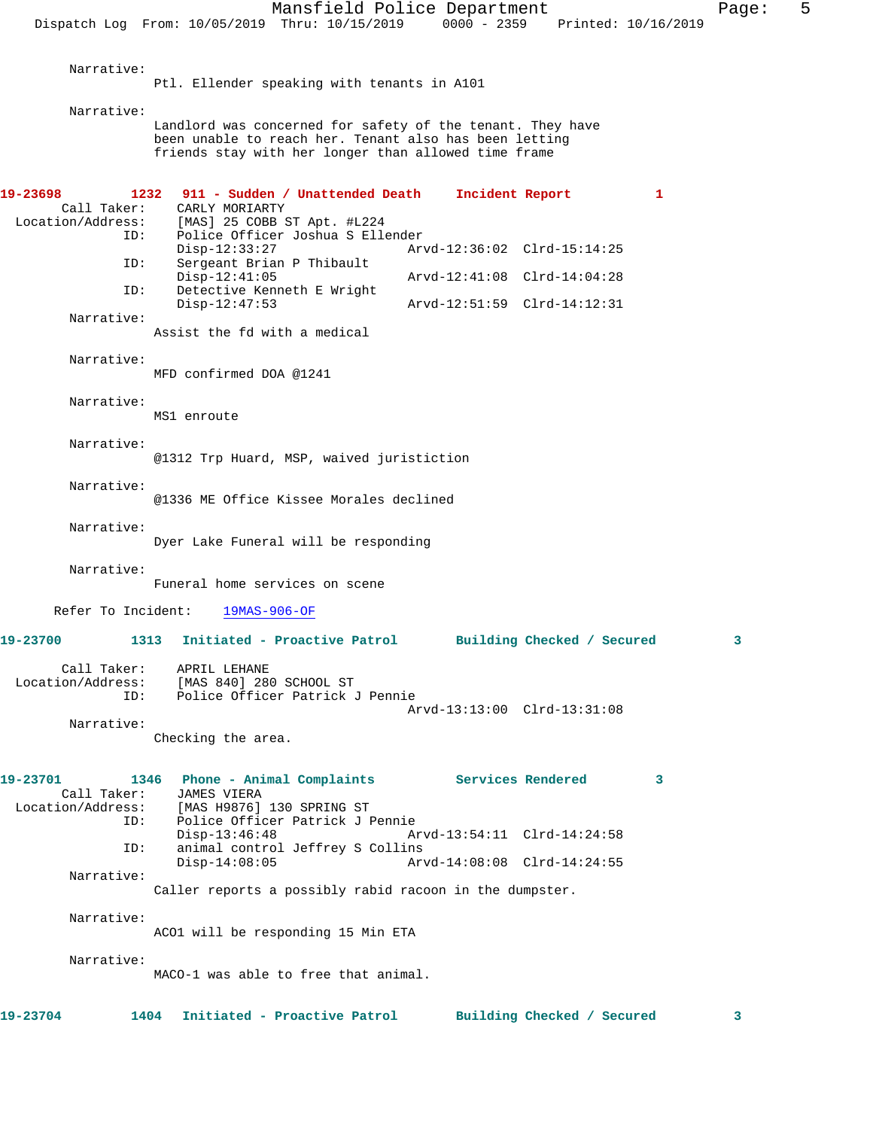Narrative: Ptl. Ellender speaking with tenants in A101 Narrative: Landlord was concerned for safety of the tenant. They have been unable to reach her. Tenant also has been letting friends stay with her longer than allowed time frame **19-23698 1232 911 - Sudden / Unattended Death Incident Report 1**  Call Taker: CARLY MORIARTY Location/Address: [MAS] 25 COBB ST Apt. #L224 ID: Police Officer Joshua S Ellender Disp-12:33:27 Arvd-12:36:02 Clrd-15:14:25<br>ID: Sergeant Brian P Thibault Sergeant Brian P Thibault<br>Disp-12:41:05 Disp-12:41:05 Arvd-12:41:08 Clrd-14:04:28 ID: Detective Kenneth E Wright Disp-12:47:53 Arvd-12:51:59 Clrd-14:12:31 Narrative: Assist the fd with a medical Narrative: MFD confirmed DOA @1241 Narrative: MS1 enroute Narrative: @1312 Trp Huard, MSP, waived juristiction Narrative: @1336 ME Office Kissee Morales declined Narrative: Dyer Lake Funeral will be responding Narrative: Funeral home services on scene Refer To Incident: 19MAS-906-OF **19-23700 1313 Initiated - Proactive Patrol Building Checked / Secured 3** Call Taker: APRIL LEHANE Location/Address: [MAS 840] 280 SCHOOL ST ID: Police Officer Patrick J Pennie Arvd-13:13:00 Clrd-13:31:08 Narrative: Checking the area. **19-23701 1346 Phone - Animal Complaints Services Rendered 3**  Call Taker: JAMES VIERA<br>Location/Address: [MAS H9876] ess: [MAS H9876] 130 SPRING ST<br>ID: Police Officer Patrick J F Police Officer Patrick J Pennie<br>Disp-13:46:48 Ar Arvd-13:54:11 Clrd-14:24:58 ID: animal control Jeffrey S Collins Disp-14:08:05 Arvd-14:08:08 Clrd-14:24:55 Narrative: Caller reports a possibly rabid racoon in the dumpster. Narrative: ACO1 will be responding 15 Min ETA Narrative: MACO-1 was able to free that animal. **19-23704 1404 Initiated - Proactive Patrol Building Checked / Secured 3**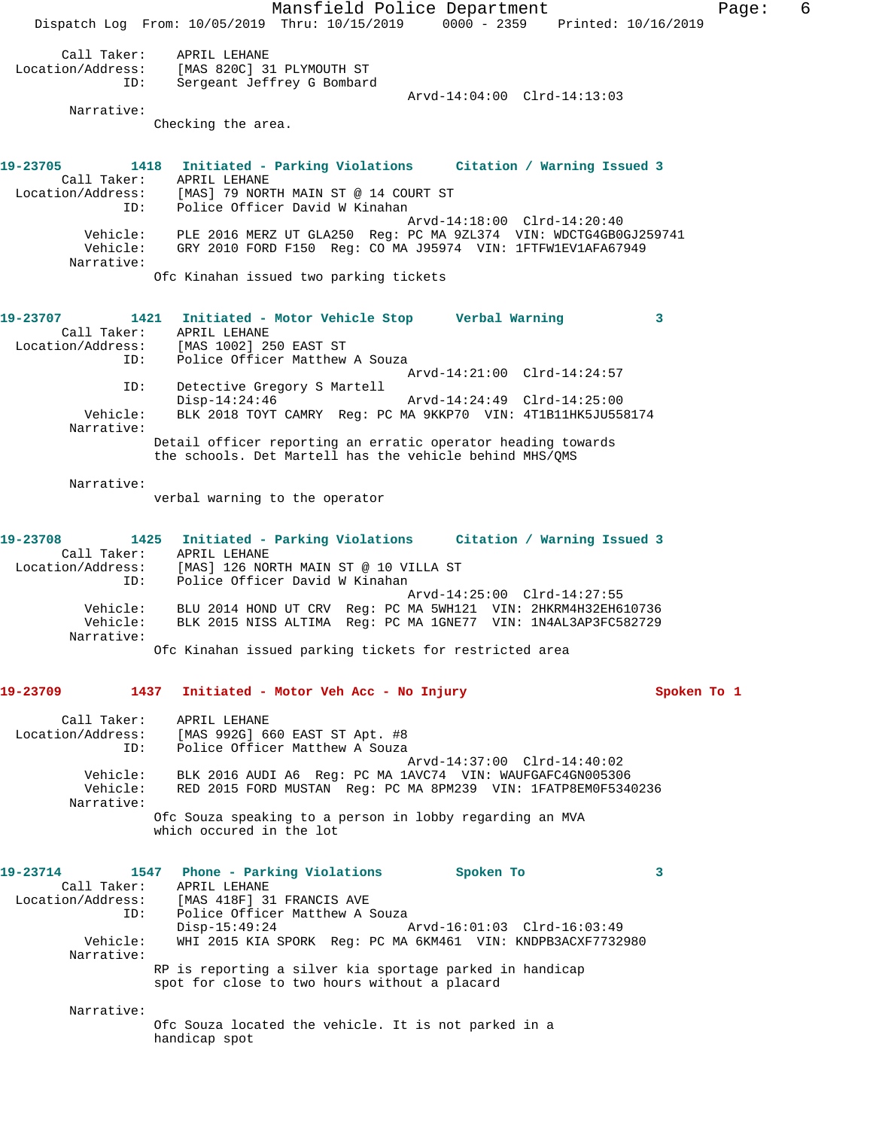Mansfield Police Department Fage: 6 Dispatch Log From: 10/05/2019 Thru: 10/15/2019 0000 - 2359 Printed: 10/16/2019 Call Taker: APRIL LEHANE Location/Address: [MAS 820C] 31 PLYMOUTH ST ID: Sergeant Jeffrey G Bombard Arvd-14:04:00 Clrd-14:13:03 Narrative: Checking the area. **19-23705 1418 Initiated - Parking Violations Citation / Warning Issued 3**  Call Taker: APRIL LEHANE Location/Address: [MAS] 79 NORTH MAIN ST @ 14 COURT ST ID: Police Officer David W Kinahan Arvd-14:18:00 Clrd-14:20:40 Vehicle: PLE 2016 MERZ UT GLA250 Reg: PC MA 9ZL374 VIN: WDCTG4GB0GJ259741 Vehicle: GRY 2010 FORD F150 Reg: CO MA J95974 VIN: 1FTFW1EV1AFA67949 Narrative: Ofc Kinahan issued two parking tickets **19-23707 1421 Initiated - Motor Vehicle Stop Verbal Warning 3**  Call Taker: APRIL LEHANE Location/Address: [MAS 1002] 250 EAST ST<br>ID: Police Officer Matthew Police Officer Matthew A Souza Arvd-14:21:00 Clrd-14:24:57 ID: Detective Gregory S Martell Disp-14:24:46 Arvd-14:24:49 Clrd-14:25:00 Vehicle: BLK 2018 TOYT CAMRY Reg: PC MA 9KKP70 VIN: 4T1B11HK5JU558174 Narrative: Detail officer reporting an erratic operator heading towards the schools. Det Martell has the vehicle behind MHS/QMS Narrative: verbal warning to the operator **19-23708 1425 Initiated - Parking Violations Citation / Warning Issued 3**  Call Taker: APRIL LEHANE Location/Address: [MAS] 126 NORTH MAIN ST @ 10 VILLA ST ID: Police Officer David W Kinahan<br>Arvd-14:25:00 Clrd-14:27:55 Arvd-14:25:00 Clrd-14:27:55 Vehicle: BLU 2014 HOND UT CRV Reg: PC MA 5WH121 VIN: 2HKRM4H32EH610736 Vehicle: BLK 2015 NISS ALTIMA Reg: PC MA 1GNE77 VIN: 1N4AL3AP3FC582729 Narrative: Ofc Kinahan issued parking tickets for restricted area **19-23709 1437 Initiated - Motor Veh Acc - No Injury Spoken To 1** Call Taker: APRIL LEHANE Location/Address: [MAS 992G] 660 EAST ST Apt. #8 ID: Police Officer Matthew A Souza Arvd-14:37:00 Clrd-14:40:02 Vehicle: BLK 2016 AUDI A6 Reg: PC MA 1AVC74 VIN: WAUFGAFC4GN005306 Vehicle: RED 2015 FORD MUSTAN Reg: PC MA 8PM239 VIN: 1FATP8EM0F5340236 Narrative: Ofc Souza speaking to a person in lobby regarding an MVA which occured in the lot 19-23714 1547 Phone - Parking Violations Spoken To 3<br>Call Taker: APRIL LEHANE Call Taker:<br>Location/Address: [MAS 418F] 31 FRANCIS AVE ID: Police Officer Matthew A Souza<br>Disp-15:49:24 Arvd-16:01:03 Clrd-16:03:49 Disp-15:49:24 Arvd-16:01:03 Clrd-16:03:49 Vehicle: WHI 2015 KIA SPORK Reg: PC MA 6KM461 VIN: KNDPB3ACXF7732980 Narrative: RP is reporting a silver kia sportage parked in handicap spot for close to two hours without a placard Narrative: Ofc Souza located the vehicle. It is not parked in a handicap spot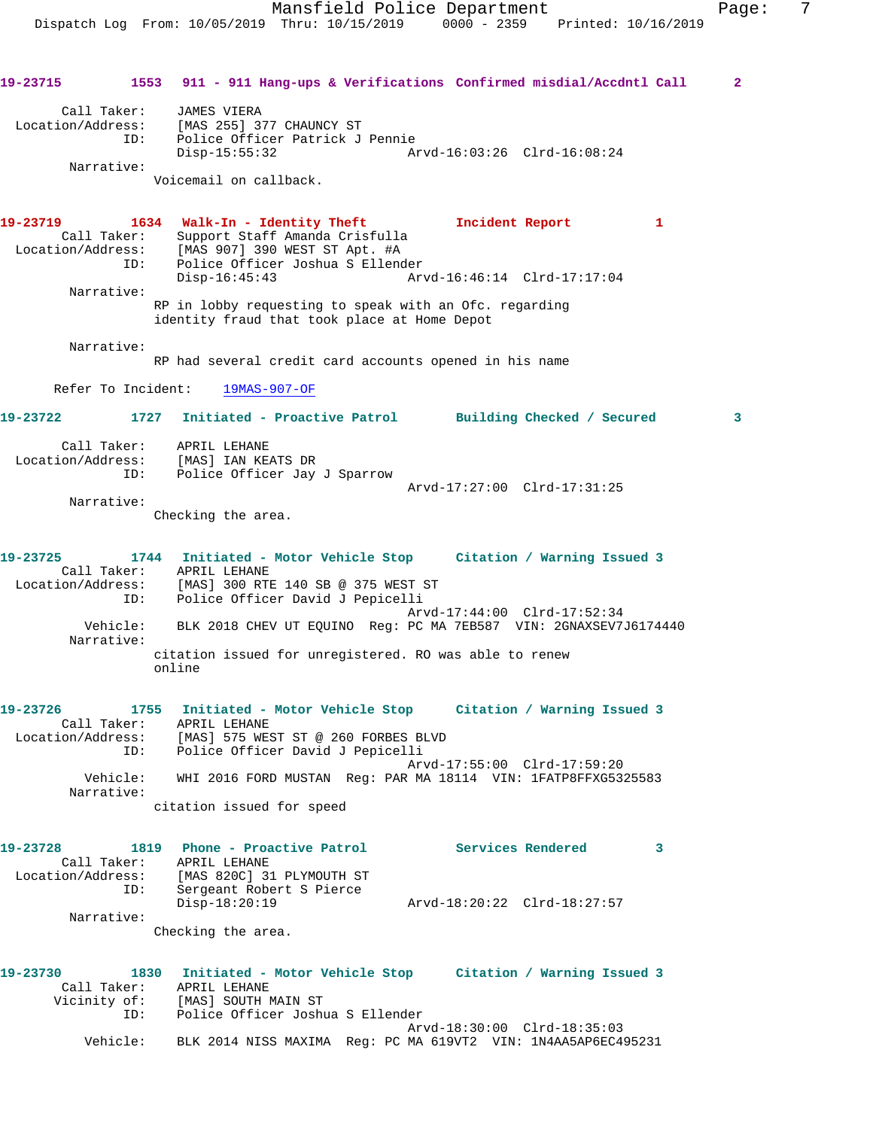Call Taker: JAMES VIERA Location/Address: [MAS 255] 377 CHAUNCY ST ID: Police Officer Patrick J Pennie Disp-15:55:32 Arvd-16:03:26 Clrd-16:08:24 Narrative: Voicemail on callback.

**19-23719 1634 Walk-In - Identity Theft Incident Report 1**  Call Taker: Support Staff Amanda Crisfulla Location/Address: [MAS 907] 390 WEST ST Apt. #A ID: Police Officer Joshua S Ellender Disp-16:45:43 Arvd-16:46:14 Clrd-17:17:04 Narrative:

RP in lobby requesting to speak with an Ofc. regarding identity fraud that took place at Home Depot

Narrative:

RP had several credit card accounts opened in his name

Refer To Incident: 19MAS-907-OF

**19-23722 1727 Initiated - Proactive Patrol Building Checked / Secured 3**

| Call Taker:       | APRIL LEHANE                 |                             |  |
|-------------------|------------------------------|-----------------------------|--|
| Location/Address: | [MAS] IAN KEATS DR           |                             |  |
| TD:               | Police Officer Jay J Sparrow |                             |  |
|                   |                              | Arvd-17:27:00 Clrd-17:31:25 |  |

Narrative:

Checking the area.

| 19-23725          |          | 1744 Initiated - Motor Vehicle Stop                              |  | Citation / Warning Issued 3 |  |
|-------------------|----------|------------------------------------------------------------------|--|-----------------------------|--|
| Call Taker:       |          | APRIL LEHANE                                                     |  |                             |  |
| Location/Address: |          | [MAS] 300 RTE 140 SB @ 375 WEST ST                               |  |                             |  |
|                   | ID:      | Police Officer David J Pepicelli                                 |  |                             |  |
|                   |          |                                                                  |  | Arvd-17:44:00 Clrd-17:52:34 |  |
|                   | Vehicle: | BLK 2018 CHEV UT EQUINO Req: PC MA 7EB587 VIN: 2GNAXSEV7J6174440 |  |                             |  |
| Narrative:        |          |                                                                  |  |                             |  |
|                   |          | citation issued for unregistered. RO was able to renew<br>online |  |                             |  |

**19-23726 1755 Initiated - Motor Vehicle Stop Citation / Warning Issued 3**  Call Taker: APRIL LEHANE Location/Address: [MAS] 575 WEST ST @ 260 FORBES BLVD ID: Police Officer David J Pepicelli Arvd-17:55:00 Clrd-17:59:20 Vehicle: WHI 2016 FORD MUSTAN Reg: PAR MA 18114 VIN: 1FATP8FFXG5325583 Narrative: citation issued for speed

| 19-23728          | 1819        | Phone - Proactive Patrol  |                             | Services Rendered |  |
|-------------------|-------------|---------------------------|-----------------------------|-------------------|--|
|                   | Call Taker: | APRIL LEHANE              |                             |                   |  |
| Location/Address: |             | [MAS 820C] 31 PLYMOUTH ST |                             |                   |  |
|                   | ID:         | Sergeant Robert S Pierce  |                             |                   |  |
|                   |             | Disp-18:20:19             | Arvd-18:20:22 Clrd-18:27:57 |                   |  |
|                   | Narrative:  |                           |                             |                   |  |

Checking the area.

| 19-23730 |              | 1830 Initiated - Motor Vehicle Stop<br>Citation / Warning Issued 3 |
|----------|--------------|--------------------------------------------------------------------|
|          | Call Taker:  | APRIL LEHANE                                                       |
|          | Vicinity of: | [MAS] SOUTH MAIN ST                                                |
|          | TD:          | Police Officer Joshua S Ellender                                   |
|          |              | Arvd-18:30:00 Clrd-18:35:03                                        |
|          | Vehicle:     | BLK 2014 NISS MAXIMA Req: PC MA 619VT2 VIN: 1N4AA5AP6EC495231      |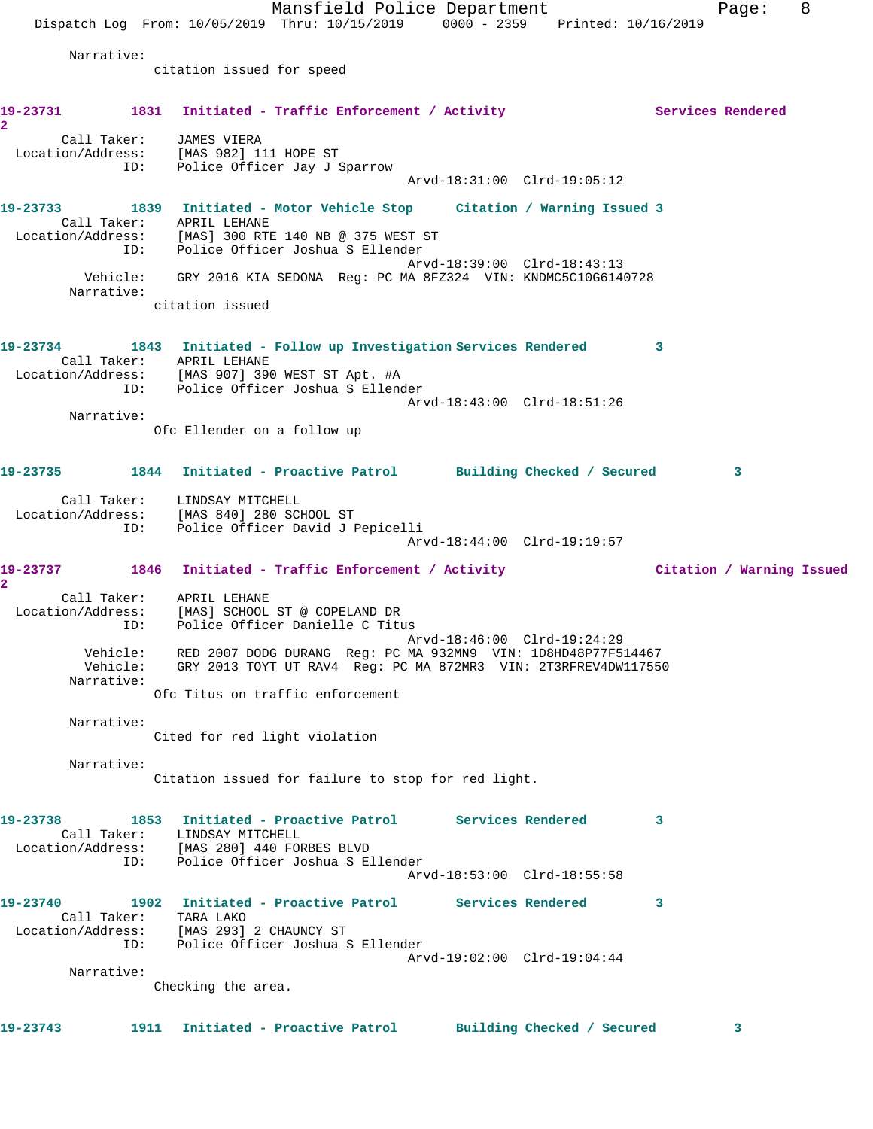Mansfield Police Department Fage: 8 Dispatch Log From: 10/05/2019 Thru: 10/15/2019 0000 - 2359 Printed: 10/16/2019 Narrative: citation issued for speed 19-23731 1831 Initiated - Traffic Enforcement / Activity **Services Rendered 2**  Call Taker: JAMES VIERA Location/Address: [MAS 982] 111 HOPE ST ID: Police Officer Jay J Sparrow Arvd-18:31:00 Clrd-19:05:12 **19-23733 1839 Initiated - Motor Vehicle Stop Citation / Warning Issued 3**  Call Taker: APRIL LEHANE Location/Address: [MAS] 300 RTE 140 NB @ 375 WEST ST ID: Police Officer Joshua S Ellender Arvd-18:39:00 Clrd-18:43:13 Vehicle: GRY 2016 KIA SEDONA Reg: PC MA 8FZ324 VIN: KNDMC5C10G6140728 Narrative: citation issued **19-23734 1843 Initiated - Follow up Investigation Services Rendered 3**  Call Taker: APRIL LEHANE Location/Address: [MAS 907] 390 WEST ST Apt. #A ID: Police Officer Joshua S Ellender Arvd-18:43:00 Clrd-18:51:26 Narrative: Ofc Ellender on a follow up **19-23735 1844 Initiated - Proactive Patrol Building Checked / Secured 3** Call Taker: LINDSAY MITCHELL Location/Address: [MAS 840] 280 SCHOOL ST ID: Police Officer David J Pepicelli Arvd-18:44:00 Clrd-19:19:57 **19-23737 1846 Initiated - Traffic Enforcement / Activity Citation / Warning Issued 2**  Call Taker: APRIL LEHANE Location/Address: [MAS] SCHOOL ST @ COPELAND DR ID: Police Officer Danielle C Titus Arvd-18:46:00 Clrd-19:24:29 Vehicle: RED 2007 DODG DURANG Reg: PC MA 932MN9 VIN: 1D8HD48P77F514467 Vehicle: GRY 2013 TOYT UT RAV4 Reg: PC MA 872MR3 VIN: 2T3RFREV4DW117550 Narrative: Ofc Titus on traffic enforcement Narrative: Cited for red light violation Narrative: Citation issued for failure to stop for red light. **19-23738 1853 Initiated - Proactive Patrol Services Rendered 3**  Call Taker: LINDSAY MITCHELL Location/Address: [MAS 280] 440 FORBES BLVD ID: Police Officer Joshua S Ellender Arvd-18:53:00 Clrd-18:55:58 **19-23740 1902 Initiated - Proactive Patrol Services Rendered 3**  Call Taker: TARA LAKO Location/Address: [MAS 293] 2 CHAUNCY ST ID: Police Officer Joshua S Ellender Arvd-19:02:00 Clrd-19:04:44 Narrative: Checking the area. **19-23743 1911 Initiated - Proactive Patrol Building Checked / Secured 3**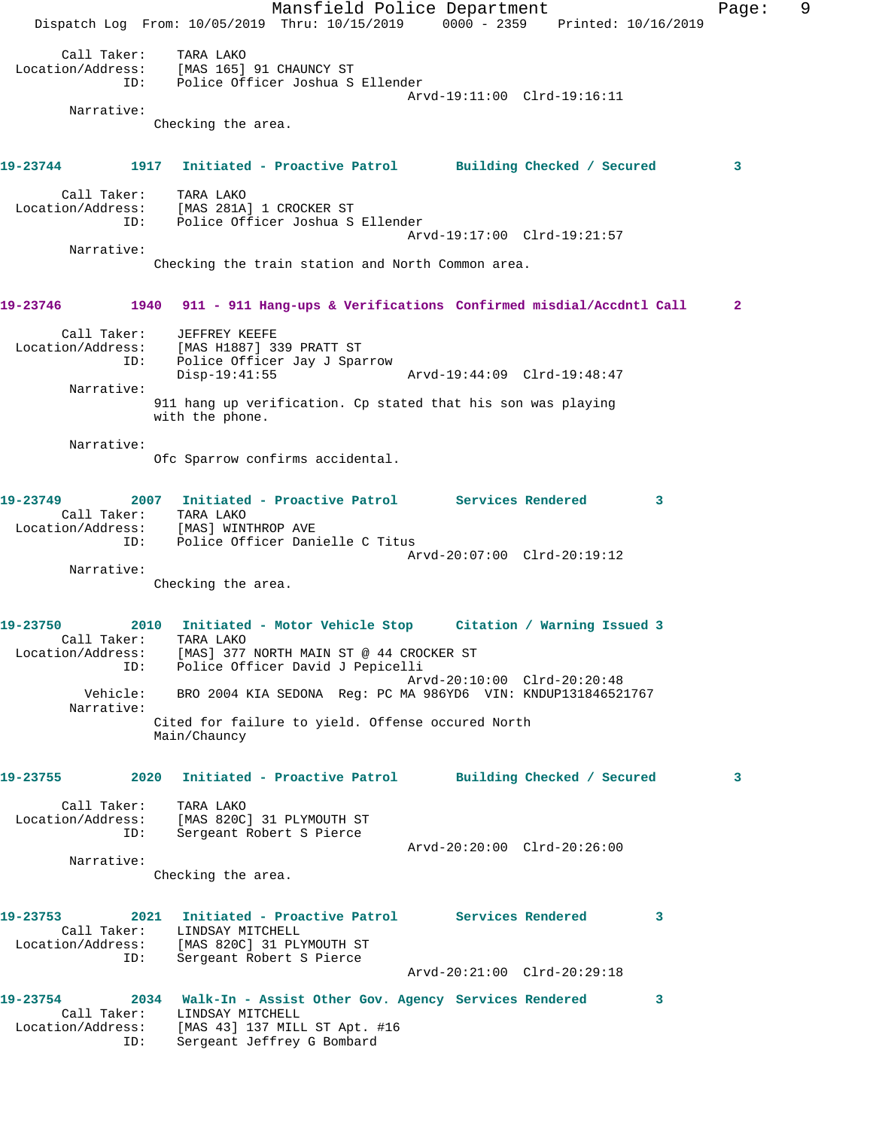Mansfield Police Department Fage: 9 Dispatch Log From: 10/05/2019 Thru: 10/15/2019 0000 - 2359 Printed: 10/16/2019 Call Taker: TARA LAKO Location/Address: [MAS 165] 91 CHAUNCY ST ID: Police Officer Joshua S Ellender Arvd-19:11:00 Clrd-19:16:11 Narrative: Checking the area. **19-23744 1917 Initiated - Proactive Patrol Building Checked / Secured 3** Call Taker: TARA LAKO Location/Address: [MAS 281A] 1 CROCKER ST ID: Police Officer Joshua S Ellender Arvd-19:17:00 Clrd-19:21:57 Narrative: Checking the train station and North Common area. **19-23746 1940 911 - 911 Hang-ups & Verifications Confirmed misdial/Accdntl Call 2** Call Taker: JEFFREY KEEFE Location/Address: [MAS H1887] 339 PRATT ST ID: Police Officer Jay J Sparrow Disp-19:41:55 Arvd-19:44:09 Clrd-19:48:47 Narrative: 911 hang up verification. Cp stated that his son was playing with the phone. Narrative: Ofc Sparrow confirms accidental. **19-23749 2007 Initiated - Proactive Patrol Services Rendered 3**  Call Taker: TARA LAKO Location/Address: [MAS] WINTHROP AVE ID: Police Officer Danielle C Titus Arvd-20:07:00 Clrd-20:19:12 Narrative: Checking the area. **19-23750 2010 Initiated - Motor Vehicle Stop Citation / Warning Issued 3**  Call Taker: TARA LAKO Location/Address: [MAS] 377 NORTH MAIN ST @ 44 CROCKER ST ID: Police Officer David J Pepicelli Arvd-20:10:00 Clrd-20:20:48 Vehicle: BRO 2004 KIA SEDONA Reg: PC MA 986YD6 VIN: KNDUP131846521767 Narrative: Cited for failure to yield. Offense occured North Main/Chauncy **19-23755 2020 Initiated - Proactive Patrol Building Checked / Secured 3** Call Taker: TARA LAKO Location/Address: [MAS 820C] 31 PLYMOUTH ST ID: Sergeant Robert S Pierce Arvd-20:20:00 Clrd-20:26:00 Narrative: Checking the area. **19-23753 2021 Initiated - Proactive Patrol Services Rendered 3**  Call Taker: LINDSAY MITCHELL Location/Address: [MAS 820C] 31 PLYMOUTH ST ID: Sergeant Robert S Pierce Arvd-20:21:00 Clrd-20:29:18 **19-23754 2034 Walk-In - Assist Other Gov. Agency Services Rendered 3**  Call Taker: LINDSAY MITCHELL Location/Address: [MAS 43] 137 MILL ST Apt. #16 ID: Sergeant Jeffrey G Bombard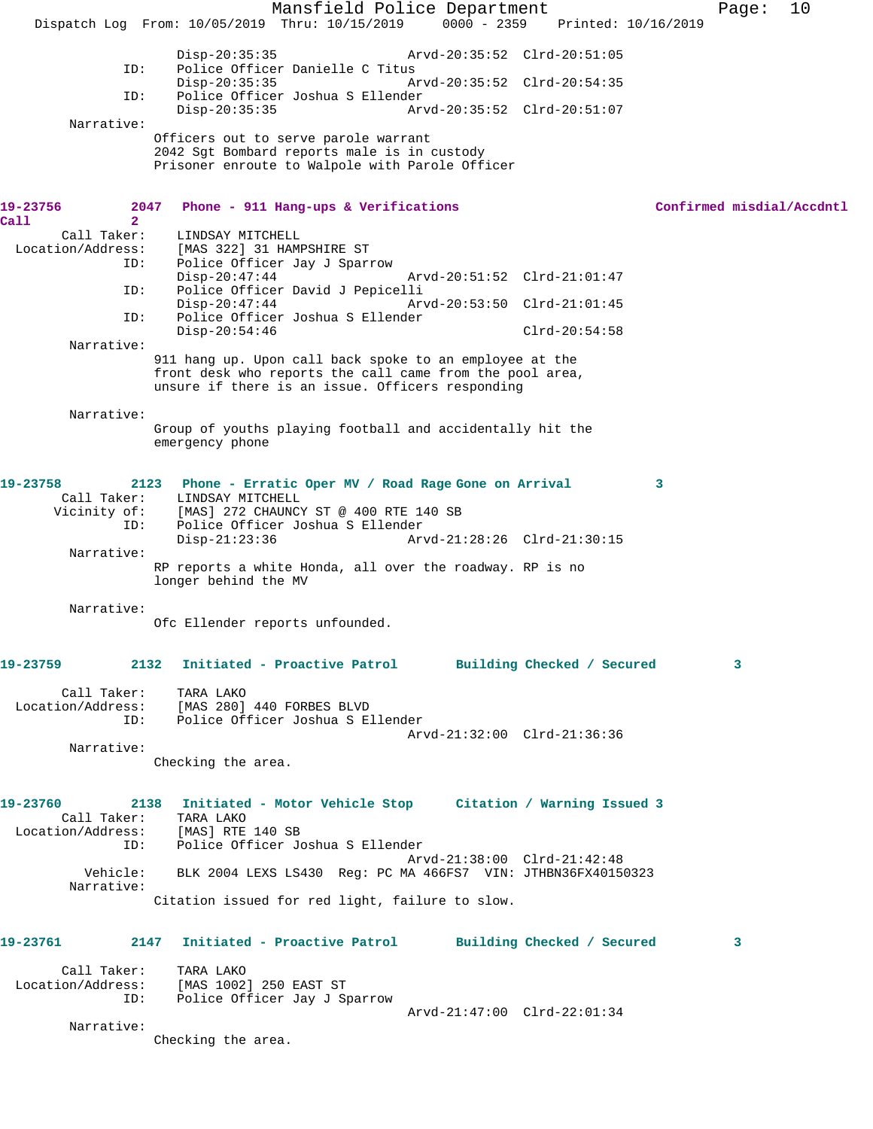Mansfield Police Department Page: 10 Dispatch Log From: 10/05/2019 Thru: 10/15/2019 0000 - 2359 Printed: 10/16/2019 Disp-20:35:35 Arvd-20:35:52 Clrd-20:51:05<br>ID: Police Officer Danielle C Titus Police Officer Danielle C Titus<br>Disp-20:35:35 Ar Arvd-20:35:52 Clrd-20:54:35 ID: Police Officer Joshua S Ellender Disp-20:35:35 Arvd-20:35:52 Clrd-20:51:07 Narrative: Officers out to serve parole warrant 2042 Sgt Bombard reports male is in custody Prisoner enroute to Walpole with Parole Officer **19-23756 2047 Phone - 911 Hang-ups & Verifications Confirmed misdial/Accdntl Call 2**  Call Taker: LINDSAY MITCHELL Location/Address: [MAS 322] 31 HAMPSHIRE ST ID: Police Officer Jay J Sparrow Disp-20:47:44 Arvd-20:51:52 Clrd-21:01:47 ID: Police Officer David J Pepicelli Disp-20:47:44 Arvd-20:53:50 Clrd-21:01:45 ID: Police Officer Joshua S Ellender Disp-20:54:46 Clrd-20:54:58 Narrative: 911 hang up. Upon call back spoke to an employee at the front desk who reports the call came from the pool area, unsure if there is an issue. Officers responding Narrative: Group of youths playing football and accidentally hit the emergency phone **19-23758 2123 Phone - Erratic Oper MV / Road Rage Gone on Arrival 3**  Call Taker: LINDSAY MITCHELL Vicinity of: [MAS] 272 CHAUNCY ST @ 400 RTE 140 SB ID: Police Officer Joshua S Ellender Disp-21:23:36 Arvd-21:28:26 Clrd-21:30:15 Narrative: RP reports a white Honda, all over the roadway. RP is no longer behind the MV Narrative: Ofc Ellender reports unfounded. **19-23759 2132 Initiated - Proactive Patrol Building Checked / Secured 3** Call Taker: TARA LAKO<br>Location/Address: [MAS 280] ess: [MAS 280] 440 FORBES BLVD<br>ID: Police Officer Joshua S F Police Officer Joshua S Ellender Arvd-21:32:00 Clrd-21:36:36 Narrative: Checking the area. **19-23760 2138 Initiated - Motor Vehicle Stop Citation / Warning Issued 3**  Call Taker: TARA LAKO Location/Address: [MAS] RTE 140 SB ID: Police Officer Joshua S Ellender Arvd-21:38:00 Clrd-21:42:48 Vehicle: BLK 2004 LEXS LS430 Reg: PC MA 466FS7 VIN: JTHBN36FX40150323 Narrative: Citation issued for red light, failure to slow. **19-23761 2147 Initiated - Proactive Patrol Building Checked / Secured 3** Call Taker: TARA LAKO Location/Address: [MAS 1002] 250 EAST ST ID: Police Officer Jay J Sparrow Arvd-21:47:00 Clrd-22:01:34 Narrative: Checking the area.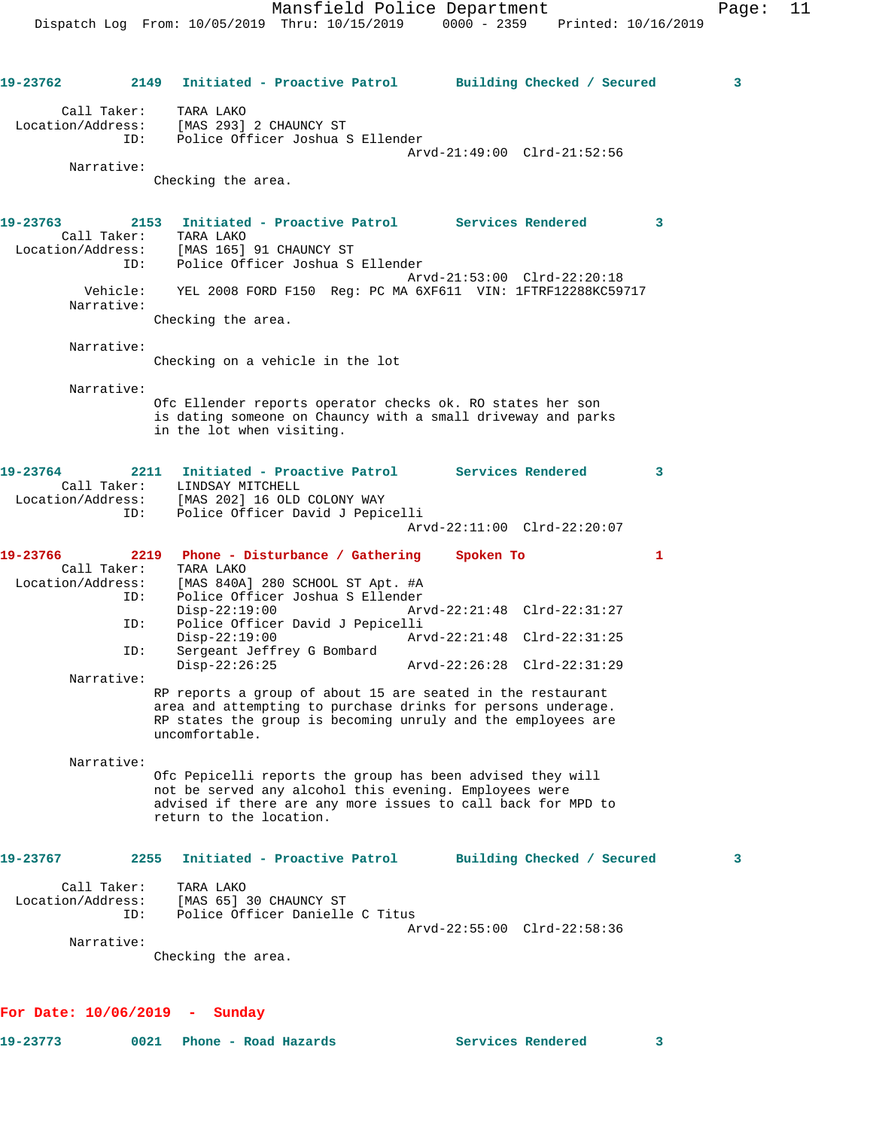**19-23762 2149 Initiated - Proactive Patrol Building Checked / Secured 3** Call Taker: TARA LAKO Location/Address: [MAS 293] 2 CHAUNCY ST ID: Police Officer Joshua S Ellender Arvd-21:49:00 Clrd-21:52:56 Narrative: Checking the area. **19-23763 2153 Initiated - Proactive Patrol Services Rendered 3**  Call Taker: TARA LAKO Location/Address: [MAS 165] 91 CHAUNCY ST ID: Police Officer Joshua S Ellender Arvd-21:53:00 Clrd-22:20:18 Vehicle: YEL 2008 FORD F150 Reg: PC MA 6XF611 VIN: 1FTRF12288KC59717 Narrative: Checking the area. Narrative: Checking on a vehicle in the lot Narrative: Ofc Ellender reports operator checks ok. RO states her son is dating someone on Chauncy with a small driveway and parks in the lot when visiting. **19-23764 2211 Initiated - Proactive Patrol Services Rendered 3**  Call Taker: LINDSAY MITCHELL Location/Address: [MAS 202] 16 OLD COLONY WAY ID: Police Officer David J Pepicelli Arvd-22:11:00 Clrd-22:20:07 **19-23766 2219 Phone - Disturbance / Gathering Spoken To 1**  Call Taker: TARA LAKO Location/Address: [MAS 840A] 280 SCHOOL ST Apt. #A ID: Police Officer Joshua S Ellender Disp-22:19:00 Arvd-22:21:48 Clrd-22:31:27 ID: Police Officer David J Pepicelli Disp-22:19:00 Arvd-22:21:48 Clrd-22:31:25 ID: Sergeant Jeffrey G Bombard Disp-22:26:25 Arvd-22:26:28 Clrd-22:31:29 Narrative: RP reports a group of about 15 are seated in the restaurant area and attempting to purchase drinks for persons underage. RP states the group is becoming unruly and the employees are uncomfortable. Narrative: Ofc Pepicelli reports the group has been advised they will not be served any alcohol this evening. Employees were advised if there are any more issues to call back for MPD to return to the location. **19-23767 2255 Initiated - Proactive Patrol Building Checked / Secured 3** Call Taker: TARA LAKO Location/Address: [MAS 65] 30 CHAUNCY ST ESS: [FILM CO] OF CHINERY DRILLER C Titus Arvd-22:55:00 Clrd-22:58:36 Narrative: Checking the area.

## **For Date: 10/06/2019 - Sunday**

**19-23773 0021 Phone - Road Hazards Services Rendered 3** 

$$
\mathbf{3}^{\top}
$$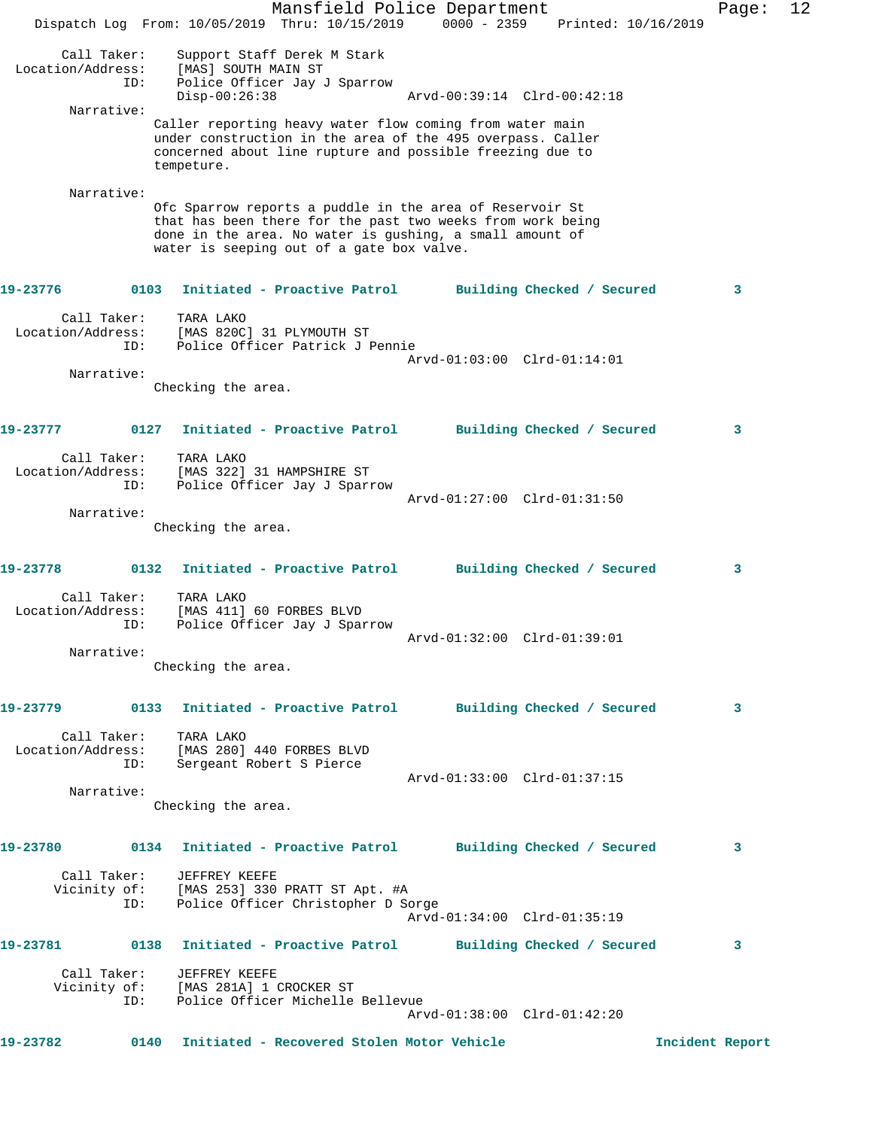|                   |                    | Dispatch Log From: 10/05/2019 Thru: 10/15/2019                                                                                                                                                                                  | Mansfield Police Department |                             |  | 0000 - 2359 Printed: 10/16/2019 | Page:           | 12 |
|-------------------|--------------------|---------------------------------------------------------------------------------------------------------------------------------------------------------------------------------------------------------------------------------|-----------------------------|-----------------------------|--|---------------------------------|-----------------|----|
| Location/Address: | Call Taker:<br>ID: | Support Staff Derek M Stark<br>[MAS] SOUTH MAIN ST<br>Police Officer Jay J Sparrow<br>$Disp-00:26:38$                                                                                                                           |                             | Arvd-00:39:14 Clrd-00:42:18 |  |                                 |                 |    |
|                   | Narrative:         |                                                                                                                                                                                                                                 |                             |                             |  |                                 |                 |    |
|                   |                    | Caller reporting heavy water flow coming from water main<br>under construction in the area of the 495 overpass. Caller<br>concerned about line rupture and possible freezing due to<br>tempeture.                               |                             |                             |  |                                 |                 |    |
|                   | Narrative:         | Ofc Sparrow reports a puddle in the area of Reservoir St<br>that has been there for the past two weeks from work being<br>done in the area. No water is gushing, a small amount of<br>water is seeping out of a gate box valve. |                             |                             |  |                                 |                 |    |
| 19-23776          |                    | 0103 Initiated - Proactive Patrol                                                                                                                                                                                               |                             | Building Checked / Secured  |  |                                 | 3               |    |
| Location/Address: | Call Taker:<br>ID: | TARA LAKO<br>[MAS 820C] 31 PLYMOUTH ST<br>Police Officer Patrick J Pennie                                                                                                                                                       |                             | Arvd-01:03:00 Clrd-01:14:01 |  |                                 |                 |    |
|                   | Narrative:         |                                                                                                                                                                                                                                 |                             |                             |  |                                 |                 |    |
|                   |                    | Checking the area.                                                                                                                                                                                                              |                             |                             |  |                                 |                 |    |
| 19-23777          | 0127               | Initiated - Proactive Patrol                                                                                                                                                                                                    |                             | Building Checked / Secured  |  |                                 | 3               |    |
|                   | Call Taker:        | TARA LAKO                                                                                                                                                                                                                       |                             |                             |  |                                 |                 |    |
| Location/Address: | ID:                | [MAS 322] 31 HAMPSHIRE ST<br>Police Officer Jay J Sparrow                                                                                                                                                                       |                             |                             |  |                                 |                 |    |
|                   |                    |                                                                                                                                                                                                                                 |                             | Arvd-01:27:00 Clrd-01:31:50 |  |                                 |                 |    |
|                   | Narrative:         | Checking the area.                                                                                                                                                                                                              |                             |                             |  |                                 |                 |    |
|                   |                    |                                                                                                                                                                                                                                 |                             |                             |  |                                 |                 |    |
| 19-23778          | 0132               | Initiated - Proactive Patrol                                                                                                                                                                                                    |                             | Building Checked / Secured  |  |                                 | 3               |    |
| Location/Address: | Call Taker:<br>ID: | TARA LAKO<br>[MAS 411] 60 FORBES BLVD<br>Police Officer Jay J Sparrow                                                                                                                                                           |                             |                             |  |                                 |                 |    |
|                   | Narrative:         |                                                                                                                                                                                                                                 |                             | Arvd-01:32:00 Clrd-01:39:01 |  |                                 |                 |    |
|                   |                    | Checking the area.                                                                                                                                                                                                              |                             |                             |  |                                 |                 |    |
|                   |                    | 19-23779      0133  Initiated - Proactive Patrol     Building Checked / Secured                                                                                                                                                 |                             |                             |  |                                 | 3               |    |
|                   | Call Taker:<br>ID: | TARA LAKO<br>Location/Address: [MAS 280] 440 FORBES BLVD<br>Sergeant Robert S Pierce                                                                                                                                            |                             |                             |  |                                 |                 |    |
|                   | Narrative:         |                                                                                                                                                                                                                                 |                             | Arvd-01:33:00 Clrd-01:37:15 |  |                                 |                 |    |
|                   |                    | Checking the area.                                                                                                                                                                                                              |                             |                             |  |                                 |                 |    |
| 19-23780          |                    | 0134 Initiated - Proactive Patrol Building Checked / Secured                                                                                                                                                                    |                             |                             |  |                                 | 3               |    |
|                   | Call Taker:<br>ID: | JEFFREY KEEFE<br>Vicinity of: [MAS 253] 330 PRATT ST Apt. #A<br>Police Officer Christopher D Sorge                                                                                                                              |                             | Arvd-01:34:00 Clrd-01:35:19 |  |                                 |                 |    |
|                   |                    | 19-23781 0138 Initiated - Proactive Patrol Building Checked / Secured                                                                                                                                                           |                             |                             |  |                                 | 3               |    |
|                   | Call Taker:        | JEFFREY KEEFE<br>Vicinity of: [MAS 281A] 1 CROCKER ST                                                                                                                                                                           |                             |                             |  |                                 |                 |    |
|                   | ID:                | Police Officer Michelle Bellevue                                                                                                                                                                                                |                             | Arvd-01:38:00 Clrd-01:42:20 |  |                                 |                 |    |
| 19-23782          |                    | 0140 Initiated - Recovered Stolen Motor Vehicle                                                                                                                                                                                 |                             |                             |  |                                 | Incident Report |    |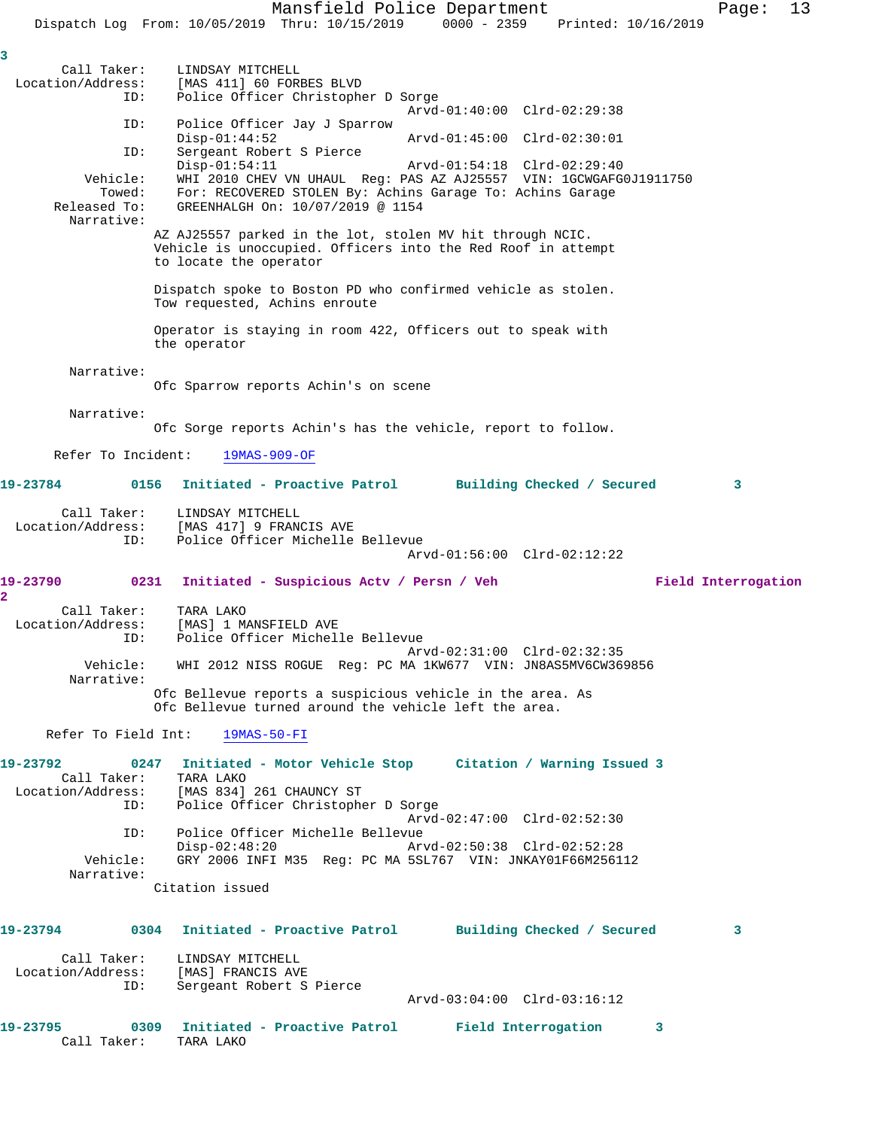Mansfield Police Department Page: 13 Dispatch Log From: 10/05/2019 Thru: 10/15/2019 0000 - 2359 Printed: 10/16/2019 **3**  Call Taker: LINDSAY MITCHELL<br>Location/Address: [MAS 411] 60 FORI [MAS 411] 60 FORBES BLVD ID: Police Officer Christopher D Sorge Arvd-01:40:00 Clrd-02:29:38 ID: Police Officer Jay J Sparrow Disp-01:44:52 Arvd-01:45:00 Clrd-02:30:01 ID: Sergeant Robert S Pierce Disp-01:54:11 Arvd-01:54:18 Clrd-02:29:40 Vehicle: WHI 2010 CHEV VN UHAUL Reg: PAS AZ AJ25557 VIN: 1GCWGAFG0J1911750 Towed: For: RECOVERED STOLEN By: Achins Garage To: Achins Garage Released To: GREENHALGH On:  $10/07/2019$  @ 1154 Released To: GREENHALGH On: 10/07/2019 @ 1154 Narrative: AZ AJ25557 parked in the lot, stolen MV hit through NCIC. Vehicle is unoccupied. Officers into the Red Roof in attempt to locate the operator Dispatch spoke to Boston PD who confirmed vehicle as stolen. Tow requested, Achins enroute Operator is staying in room 422, Officers out to speak with the operator Narrative: Ofc Sparrow reports Achin's on scene Narrative: Ofc Sorge reports Achin's has the vehicle, report to follow. Refer To Incident: 19MAS-909-OF **19-23784 0156 Initiated - Proactive Patrol Building Checked / Secured 3** Call Taker: LINDSAY MITCHELL<br>Location/Address: [MAS 417] 9 FRAN [MAS 417] 9 FRANCIS AVE ID: Police Officer Michelle Bellevue Arvd-01:56:00 Clrd-02:12:22 **19-23790 0231 Initiated - Suspicious Actv / Persn / Veh Field Interrogation 2**  Call Taker: TARA LAKO<br>ion/Address: [MAS] 1 MANSFIELD AVE Location/Address:<br>ID: Police Officer Michelle Bellevue Arvd-02:31:00 Clrd-02:32:35 Vehicle: WHI 2012 NISS ROGUE Reg: PC MA 1KW677 VIN: JN8AS5MV6CW369856 Narrative: Ofc Bellevue reports a suspicious vehicle in the area. As Ofc Bellevue turned around the vehicle left the area. Refer To Field Int: 19MAS-50-FI **19-23792 0247 Initiated - Motor Vehicle Stop Citation / Warning Issued 3**  Call Taker: TARA LAKO<br>Location/Address: [MAS 834] ss: [MAS 834] 261 CHAUNCY ST<br>ID: Police Officer Christophe Police Officer Christopher D Sorge Arvd-02:47:00 Clrd-02:52:30 ID: Police Officer Michelle Bellevue Disp-02:48:20 Arvd-02:50:38 Clrd-02:52:28<br>Vehicle: GRY 2006 INFI M35 Req: PC MA 5SL767 VIN: JNKAY01F66M2561 GRY 2006 INFI M35 Reg: PC MA 5SL767 VIN: JNKAY01F66M256112 Narrative: Citation issued **19-23794 0304 Initiated - Proactive Patrol Building Checked / Secured 3** Call Taker: LINDSAY MITCHELL Location/Address: [MAS] FRANCIS AVE<br>TD: Sergeant Robert S Sergeant Robert S Pierce Arvd-03:04:00 Clrd-03:16:12 **19-23795 0309 Initiated - Proactive Patrol Field Interrogation 3**  Call Taker: TARA LAKO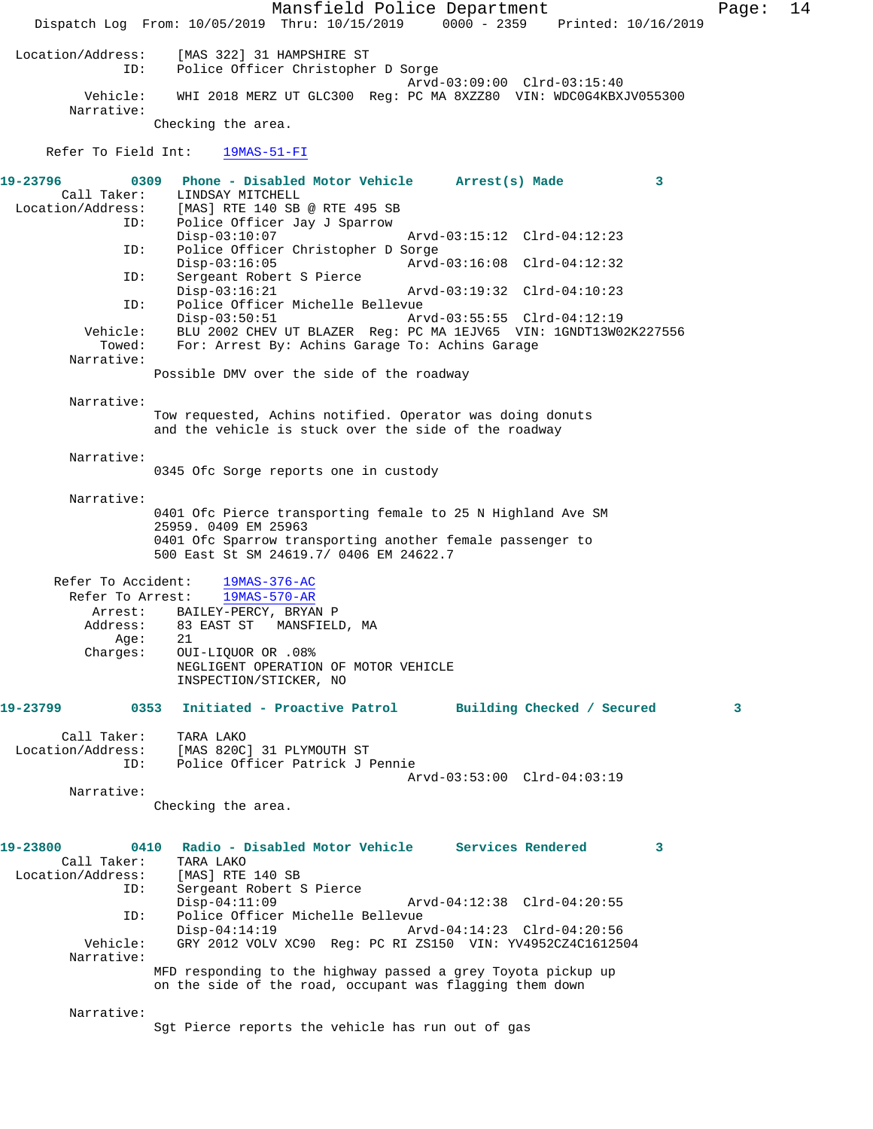Mansfield Police Department Page: 14 Dispatch Log From: 10/05/2019 Thru: 10/15/2019 0000 - 2359 Printed: 10/16/2019 Location/Address: [MAS 322] 31 HAMPSHIRE ST Police Officer Christopher D Sorge Arvd-03:09:00 Clrd-03:15:40 Vehicle: WHI 2018 MERZ UT GLC300 Reg: PC MA 8XZZ80 VIN: WDC0G4KBXJV055300 Narrative: Checking the area. Refer To Field Int: 19MAS-51-FI **19-23796 0309 Phone - Disabled Motor Vehicle Arrest(s) Made 3**  Call Taker: LINDSAY MITCHELL<br>Location/Address: [MAS] RTE 140 SB ess: [MAS] RTE 140 SB @ RTE 495 SB<br>ID: Police Officer Jav J Sparrow Police Officer Jay J Sparrow<br>Disp-03:10:07 Disp-03:10:07 Arvd-03:15:12 Clrd-04:12:23 ID: Police Officer Christopher D Sorge Disp-03:16:05 Arvd-03:16:08 Clrd-04:12:32 ID: Sergeant Robert S Pierce Disp-03:16:21 Arvd-03:19:32 Clrd-04:10:23<br>TD: Police Officer Michelle Bellevue Police Officer Michelle Bellevue Disp-03:50:51 Arvd-03:55:55 Clrd-04:12:19 Vehicle: BLU 2002 CHEV UT BLAZER Reg: PC MA 1EJV65 VIN: 1GNDT13W02K227556 Towed: For: Arrest By: Achins Garage To: Achins Garage Narrative: Possible DMV over the side of the roadway Narrative: Tow requested, Achins notified. Operator was doing donuts and the vehicle is stuck over the side of the roadway Narrative: 0345 Ofc Sorge reports one in custody Narrative: 0401 Ofc Pierce transporting female to 25 N Highland Ave SM 25959. 0409 EM 25963 0401 Ofc Sparrow transporting another female passenger to 500 East St SM 24619.7/ 0406 EM 24622.7 Refer To Accident: 19MAS-376-AC Refer To Arrest: 19MAS-570-AR Arrest: BAILEY-PERCY, BRYAN P<br>Address: 83 EAST ST MANSFIEL 83 EAST ST MANSFIELD, MA Age: 21 Charges: OUI-LIQUOR OR .08% NEGLIGENT OPERATION OF MOTOR VEHICLE INSPECTION/STICKER, NO **19-23799 0353 Initiated - Proactive Patrol Building Checked / Secured 3** Call Taker: TARA LAKO<br>Location/Address: [MAS 820C] ess: [MAS 820C] 31 PLYMOUTH ST<br>ID: Police Officer Patrick J I Police Officer Patrick J Pennie Arvd-03:53:00 Clrd-04:03:19 Narrative: Checking the area. **19-23800 0410 Radio - Disabled Motor Vehicle Services Rendered 3**  Call Taker: TARA LAKO Location/Address: [MAS] RTE 140 SB<br>ID: Sergeant Robert S Sergeant Robert S Pierce<br>Disp-04:11:09 Arvd-04:12:38 Clrd-04:20:55 ID: Police Officer Michelle Bellevue Disp-04:14:19 Arvd-04:14:23 Clrd-04:20:56 Vehicle: GRY 2012 VOLV XC90 Reg: PC RI ZS150 VIN: YV4952CZ4C1612504 Narrative: MFD responding to the highway passed a grey Toyota pickup up on the side of the road, occupant was flagging them down Narrative: Sgt Pierce reports the vehicle has run out of gas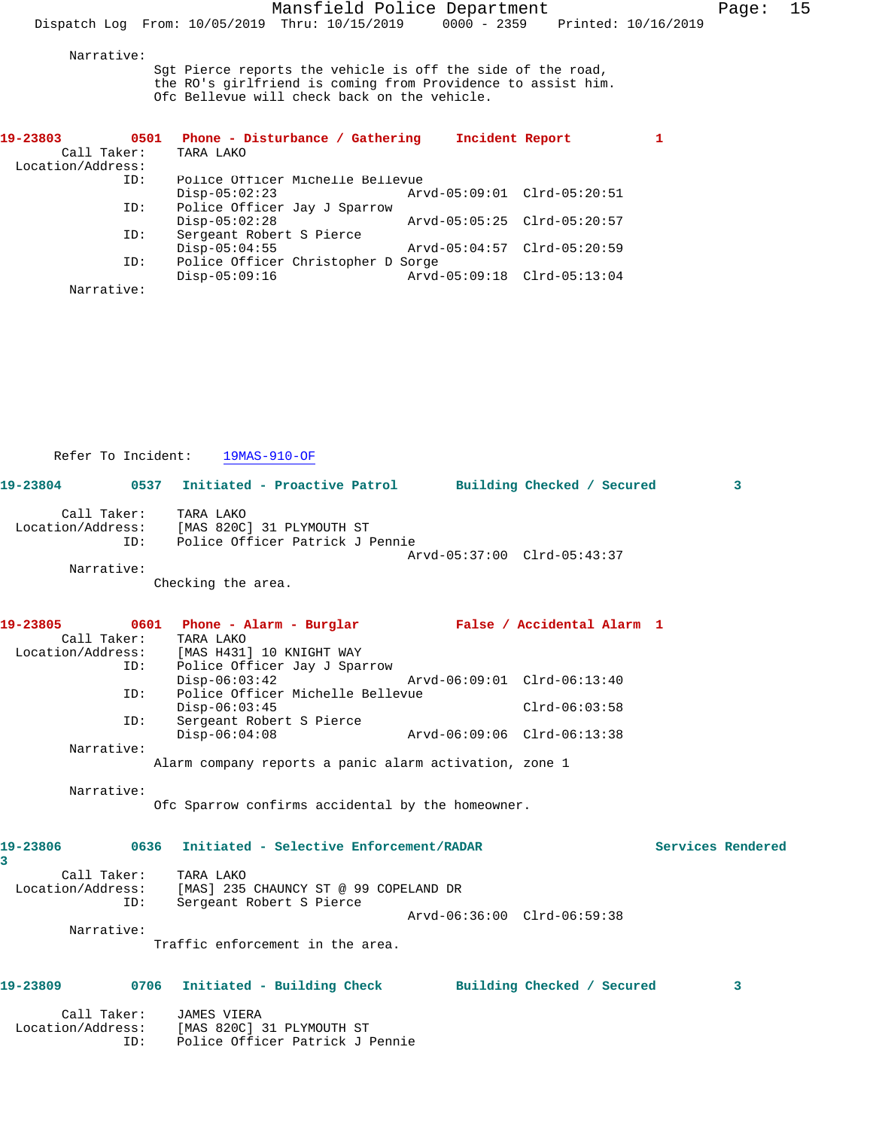Narrative:

Sgt Pierce reports the vehicle is off the side of the road, the RO's girlfriend is coming from Providence to assist him. Ofc Bellevue will check back on the vehicle.

| 19-23803<br>0501  | Phone - Disturbance / Gathering    | Incident Report             |  |
|-------------------|------------------------------------|-----------------------------|--|
| Call Taker:       | TARA LAKO                          |                             |  |
| Location/Address: |                                    |                             |  |
| ID:               | Police Officer Michelle Bellevue   |                             |  |
|                   | $Disp-05:02:23$                    | Arvd-05:09:01 Clrd-05:20:51 |  |
| ID:               | Police Officer Jay J Sparrow       |                             |  |
|                   | $Disp-05:02:28$                    | Arvd-05:05:25 Clrd-05:20:57 |  |
| ID:               | Sergeant Robert S Pierce           |                             |  |
|                   | $Disp-05:04:55$                    | Arvd-05:04:57 Clrd-05:20:59 |  |
| ID:               | Police Officer Christopher D Sorge |                             |  |
|                   | $Disp-05:09:16$                    | Arvd-05:09:18 Clrd-05:13:04 |  |
| Narrative:        |                                    |                             |  |

Refer To Incident: 19MAS-910-OF **19-23804 0537 Initiated - Proactive Patrol Building Checked / Secured 3** Call Taker: TARA LAKO Location/Address: [MAS 820C] 31 PLYMOUTH ST ID: Police Officer Patrick J Pennie Arvd-05:37:00 Clrd-05:43:37 Narrative: Checking the area. **19-23805 0601 Phone - Alarm - Burglar False / Accidental Alarm 1**  Call Taker: TARA LAKO Location/Address: [MAS H431] 10 KNIGHT WAY ID: Police Officer Jay J Sparrow Disp-06:03:42 Arvd-06:09:01 Clrd-06:13:40 ID: Police Officer Michelle Bellevue Disp-06:03:45 Clrd-06:03:58<br>ID: Sergeant Robert S Pierce Sergeant Robert S Pierce<br>Disp-06:04:08 Disp-06:04:08 Arvd-06:09:06 Clrd-06:13:38 Narrative: Alarm company reports a panic alarm activation, zone 1 Narrative: Ofc Sparrow confirms accidental by the homeowner.

| 19-23806          | 0636 | Initiated - Selective Enforcement/RADAR | Services Rendered |
|-------------------|------|-----------------------------------------|-------------------|
|                   |      |                                         |                   |
| Call Taker:       |      | TARA LAKO                               |                   |
| Location/Address: |      | [MAS] 235 CHAUNCY ST @ 99 COPELAND DR   |                   |
|                   | ID:  | Sergeant Robert S Pierce                |                   |
|                   |      | Arvd-06:36:00 Clrd-06:59:38             |                   |
| Narrative:        |      |                                         |                   |
|                   |      | Traffic enforcement in the area.        |                   |

**19-23809 0706 Initiated - Building Check Building Checked / Secured 3** Call Taker: JAMES VIERA Location/Address: [MAS 820C] 31 PLYMOUTH ST ID: Police Officer Patrick J Pennie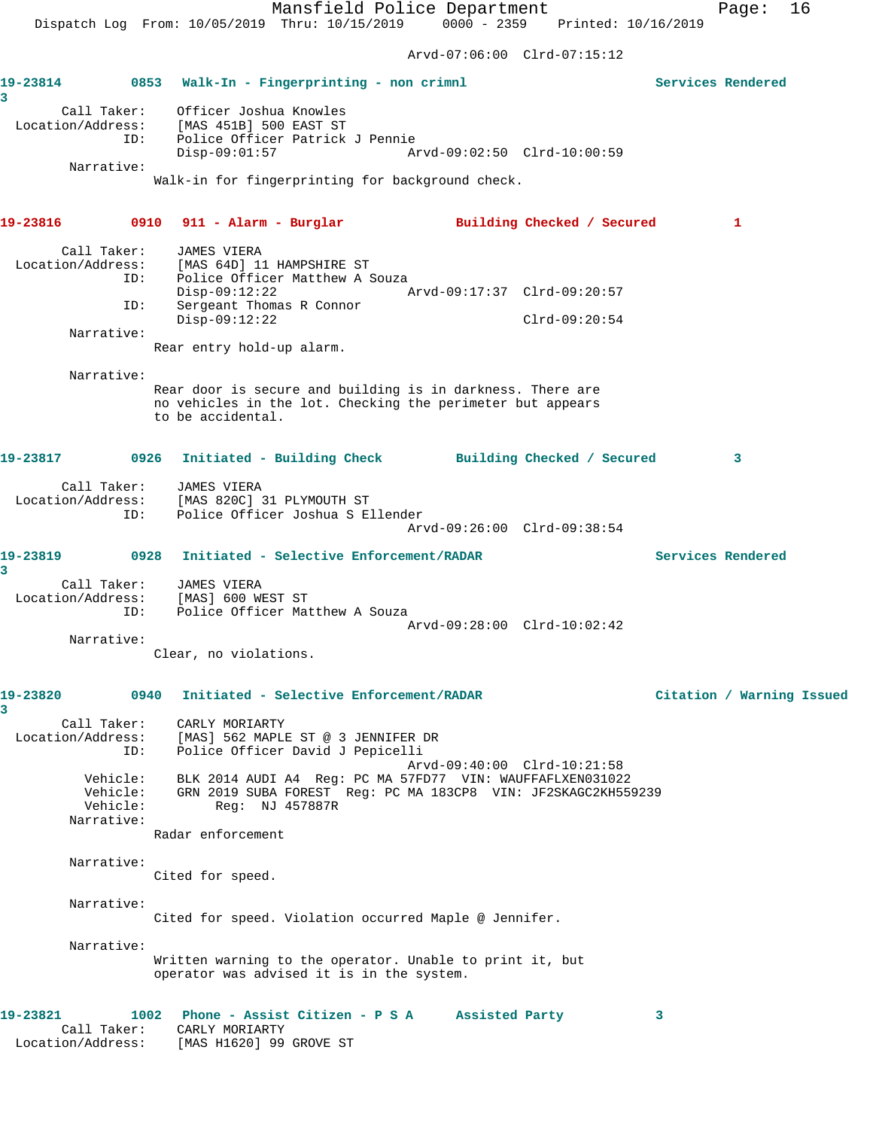Arvd-07:06:00 Clrd-07:15:12 **19-23814 0853 Walk-In - Fingerprinting - non crimnl Services Rendered 3**  Call Taker: Officer Joshua Knowles Location/Address: [MAS 451B] 500 EAST ST ID: Police Officer Patrick J Pennie Disp-09:01:57 Arvd-09:02:50 Clrd-10:00:59 Narrative: Walk-in for fingerprinting for background check. **19-23816 0910 911 - Alarm - Burglar Building Checked / Secured 1** Call Taker: JAMES VIERA Location/Address: [MAS 64D] 11 HAMPSHIRE ST ID: Police Officer Matthew A Souza Disp-09:12:22 Arvd-09:17:37 Clrd-09:20:57 ID: Sergeant Thomas R Connor Disp-09:12:22 Clrd-09:20:54 Narrative: Rear entry hold-up alarm. Narrative: Rear door is secure and building is in darkness. There are no vehicles in the lot. Checking the perimeter but appears to be accidental. **19-23817 0926 Initiated - Building Check Building Checked / Secured 3** Call Taker: JAMES VIERA Location/Address: [MAS 820C] 31 PLYMOUTH ST ID: Police Officer Joshua S Ellender Arvd-09:26:00 Clrd-09:38:54 **19-23819 0928 Initiated - Selective Enforcement/RADAR Services Rendered 3**  Call Taker: JAMES VIERA Location/Address: [MAS] 600 WEST ST ID: Police Officer Matthew A Souza Arvd-09:28:00 Clrd-10:02:42 Narrative: Clear, no violations. **19-23820 0940 Initiated - Selective Enforcement/RADAR Citation / Warning Issued 3**  Call Taker: CARLY MORIARTY Location/Address: [MAS] 562 MAPLE ST @ 3 JENNIFER DR ID: Police Officer David J Pepicelli Arvd-09:40:00 Clrd-10:21:58 Vehicle: BLK 2014 AUDI A4 Reg: PC MA 57FD77 VIN: WAUFFAFLXEN031022 Vehicle: GRN 2019 SUBA FOREST Reg: PC MA 183CP8 VIN: JF2SKAGC2KH559239 Vehicle: Reg: NJ 457887R Narrative: Radar enforcement Narrative: Cited for speed. Narrative: Cited for speed. Violation occurred Maple @ Jennifer. Narrative: Written warning to the operator. Unable to print it, but operator was advised it is in the system. **19-23821 1002 Phone - Assist Citizen - P S A Assisted Party 3**  Call Taker: CARLY MORIARTY

Location/Address: [MAS H1620] 99 GROVE ST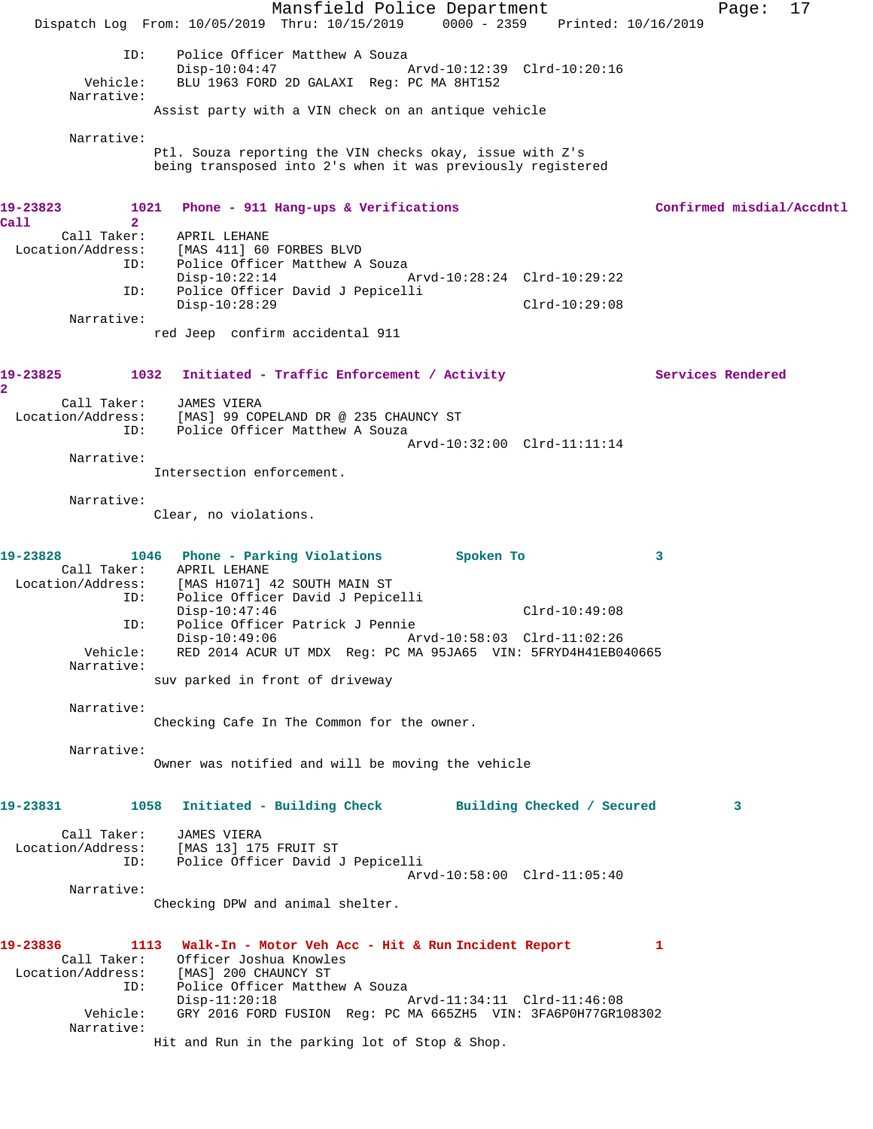Mansfield Police Department Fage: 17 Dispatch Log From: 10/05/2019 Thru: 10/15/2019 0000 - 2359 Printed: 10/16/2019 ID: Police Officer Matthew A Souza<br>Disp-10:04:47 A Disp-10:04:47 Arvd-10:12:39 Clrd-10:20:16 Vehicle: BLU 1963 FORD 2D GALAXI Reg: PC MA 8HT152 Narrative: Assist party with a VIN check on an antique vehicle Narrative: Ptl. Souza reporting the VIN checks okay, issue with Z's being transposed into 2's when it was previously registered **19-23823 1021 Phone - 911 Hang-ups & Verifications Confirmed misdial/Accdntl Call 2**  Call Taker: APRIL LEHANE Location/Address: [MAS 411] 60 FORBES BLVD<br>ID: Police Officer Matthew A Police Officer Matthew A Souza Disp-10:22:14 Arvd-10:28:24 Clrd-10:29:22 ID: Police Officer David J Pepicelli Disp-10:28:29 Clrd-10:29:08 Narrative: red Jeep confirm accidental 911 19-23825 1032 Initiated - Traffic Enforcement / Activity **Services Rendered 2**  Call Taker: JAMES VIERA Location/Address: [MAS] 99 COPELAND DR @ 235 CHAUNCY ST ID: Police Officer Matthew A Souza Arvd-10:32:00 Clrd-11:11:14 Narrative: Intersection enforcement. Narrative: Clear, no violations. 19-23828 1046 Phone - Parking Violations Spoken To 3 Call Taker: APRIL LEHANE Location/Address: [MAS H1071] 42 SOUTH MAIN ST ID: Police Officer David J Pepicelli Disp-10:47:46 Clrd-10:49:08 ID: Police Officer Patrick J Pennie Disp-10:49:06 Arvd-10:58:03 Clrd-11:02:26 Vehicle: RED 2014 ACUR UT MDX Reg: PC MA 95JA65 VIN: 5FRYD4H41EB040665 Narrative: suv parked in front of driveway Narrative: Checking Cafe In The Common for the owner. Narrative: Owner was notified and will be moving the vehicle **19-23831 1058 Initiated - Building Check Building Checked / Secured 3** Call Taker: JAMES VIERA Location/Address: [MAS 13] 175 FRUIT ST ID: Police Officer David J Pepicelli Arvd-10:58:00 Clrd-11:05:40 Narrative: Checking DPW and animal shelter. **19-23836 1113 Walk-In - Motor Veh Acc - Hit & Run Incident Report 1**  Call Taker: Officer Joshua Knowles Location/Address: [MAS] 200 CHAUNCY ST ID: Police Officer Matthew A Souza Disp-11:20:18 Arvd-11:34:11 Clrd-11:46:08 Vehicle: GRY 2016 FORD FUSION Reg: PC MA 665ZH5 VIN: 3FA6P0H77GR108302 Narrative: Hit and Run in the parking lot of Stop & Shop.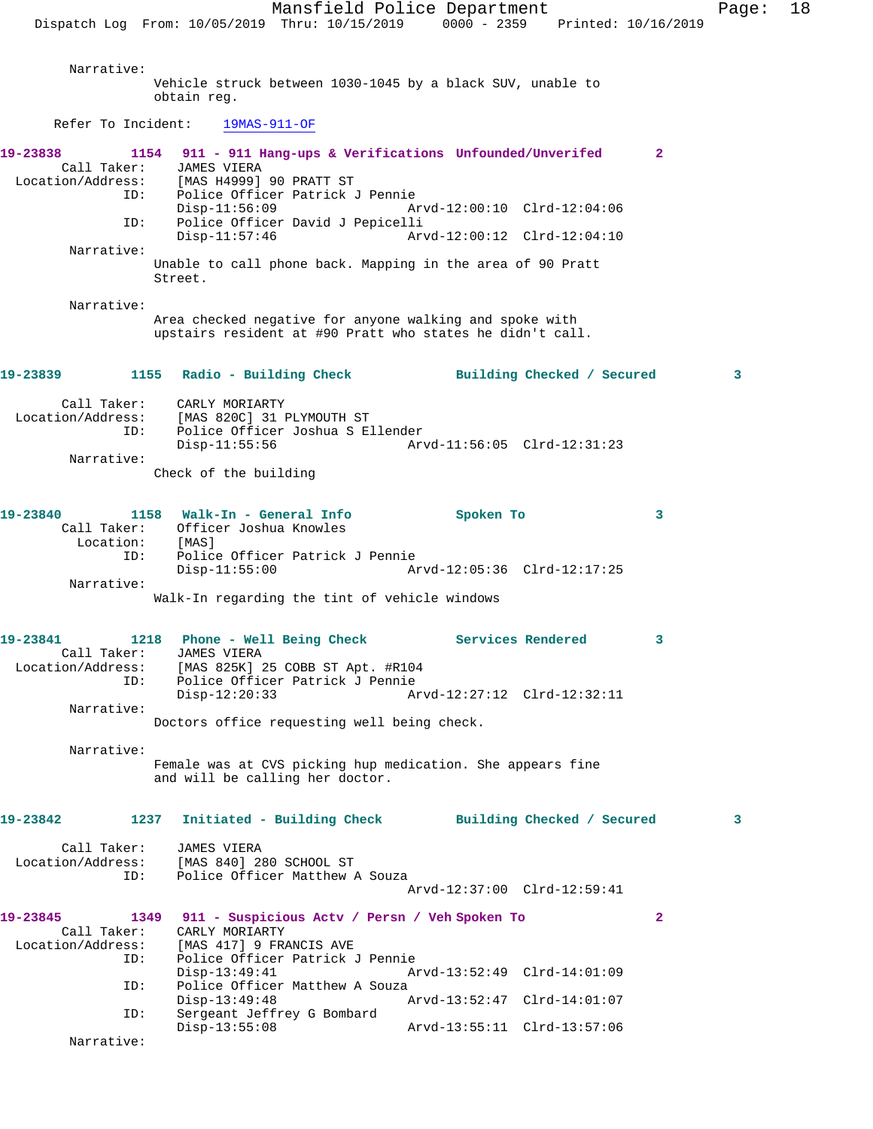Mansfield Police Department Fage: 18 Dispatch Log From: 10/05/2019 Thru: 10/15/2019 0000 - 2359 Printed: 10/16/2019 Narrative: Vehicle struck between 1030-1045 by a black SUV, unable to obtain reg. Refer To Incident: 19MAS-911-OF **19-23838 1154 911 - 911 Hang-ups & Verifications Unfounded/Unverifed 2**  Call Taker: JAMES VIERA Location/Address: [MAS H4999] 90 PRATT ST Police Officer Patrick J Pennie<br>Disp-11:56:09 A Arvd-12:00:10 Clrd-12:04:06 ID: Police Officer David J Pepicelli Arvd-12:00:12 Clrd-12:04:10 Narrative: Unable to call phone back. Mapping in the area of 90 Pratt Street. Narrative: Area checked negative for anyone walking and spoke with upstairs resident at #90 Pratt who states he didn't call. **19-23839 1155 Radio - Building Check Building Checked / Secured 3** Call Taker: CARLY MORIARTY Location/Address: [MAS 820C] 31 PLYMOUTH ST ID: Police Officer Joshua S Ellender Disp-11:55:56 Arvd-11:56:05 Clrd-12:31:23 Narrative: Check of the building **19-23840 1158 Walk-In - General Info Spoken To 3**  Call Taker: Officer Joshua Knowles<br>Location: [MAS] Location:<br>ID: ID: Police Officer Patrick J Pennie Arvd-12:05:36 Clrd-12:17:25 Narrative: Walk-In regarding the tint of vehicle windows 19-23841 1218 Phone - Well Being Check Services Rendered 3 Call Taker: JAMES VIERA Location/Address: [MAS 825K] 25 COBB ST Apt. #R104 ID: Police Officer Patrick J Pennie Disp-12:20:33 Arvd-12:27:12 Clrd-12:32:11 Narrative: Doctors office requesting well being check. Narrative: Female was at CVS picking hup medication. She appears fine and will be calling her doctor. **19-23842 1237 Initiated - Building Check Building Checked / Secured 3** Call Taker: JAMES VIERA Location/Address: [MAS 840] 280 SCHOOL ST ID: Police Officer Matthew A Souza Arvd-12:37:00 Clrd-12:59:41 **19-23845 1349 911 - Suspicious Actv / Persn / Veh Spoken To 2**  Call Taker: CARLY MORIARTY<br>Location/Address: [MAS 417] 9 FR [MAS 417] 9 FRANCIS AVE ID: Police Officer Patrick J Pennie Disp-13:49:41 Arvd-13:52:49 Clrd-14:01:09<br>ID: Police Officer Matthew A Souza Police Officer Matthew A Souza Disp-13:49:48 Arvd-13:52:47 Clrd-14:01:07 ID: Sergeant Jeffrey G Bombard Disp-13:55:08 Arvd-13:55:11 Clrd-13:57:06 Narrative: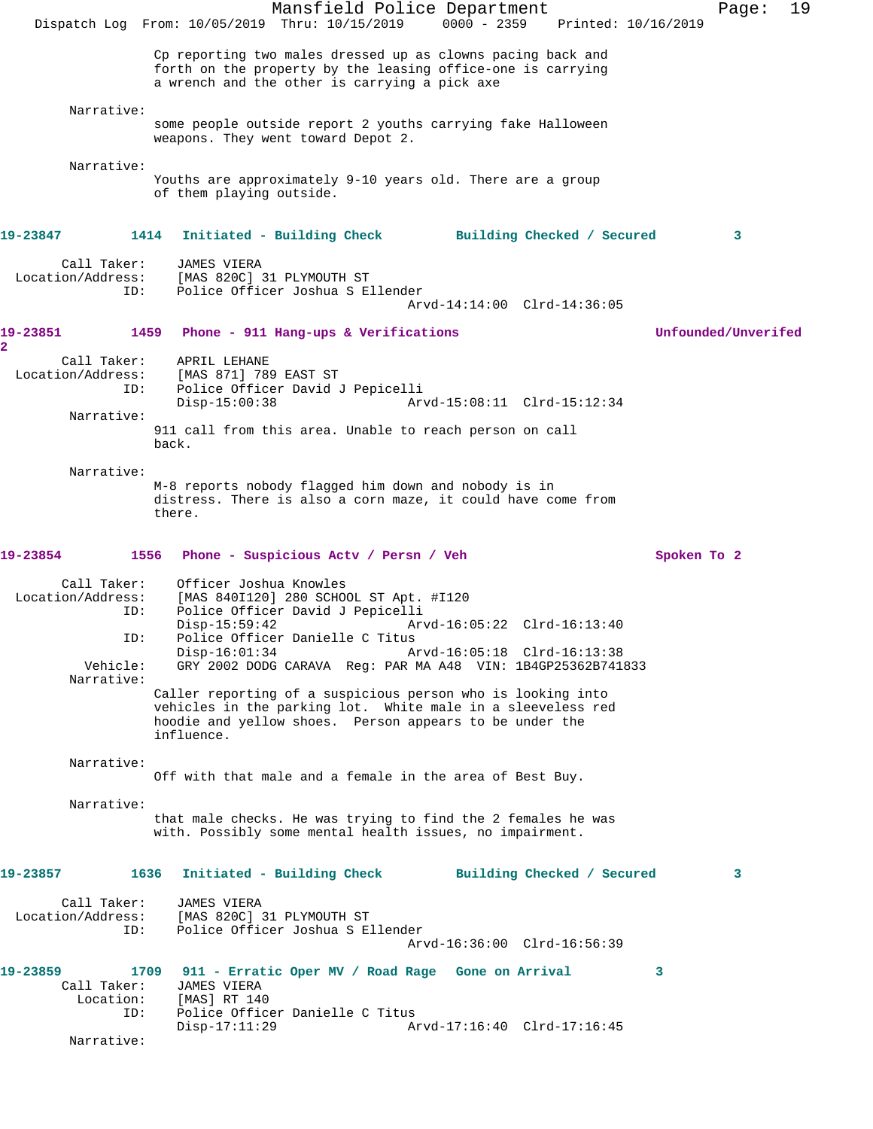Mansfield Police Department Fage: 19 Dispatch Log From: 10/05/2019 Thru: 10/15/2019 0000 - 2359 Printed: 10/16/2019 Cp reporting two males dressed up as clowns pacing back and forth on the property by the leasing office-one is carrying a wrench and the other is carrying a pick axe Narrative: some people outside report 2 youths carrying fake Halloween weapons. They went toward Depot 2. Narrative: Youths are approximately 9-10 years old. There are a group of them playing outside. **19-23847 1414 Initiated - Building Check Building Checked / Secured 3** Call Taker: JAMES VIERA Location/Address: [MAS 820C] 31 PLYMOUTH ST<br>TD: Police Officer Joshua S Police Officer Joshua S Ellender Arvd-14:14:00 Clrd-14:36:05 **19-23851 1459 Phone - 911 Hang-ups & Verifications Unfounded/Unverifed 2**  Call Taker: APRIL LEHANE<br>Location/Address: [MAS 871] 789 ess: [MAS 871] 789 EAST ST<br>ID: Police Officer David d ID: Police Officer David J Pepicelli Disp-15:00:38 Arvd-15:08:11 Clrd-15:12:34 Narrative: 911 call from this area. Unable to reach person on call back. Narrative: M-8 reports nobody flagged him down and nobody is in distress. There is also a corn maze, it could have come from there. **19-23854 1556 Phone - Suspicious Actv / Persn / Veh Spoken To 2** Call Taker: Officer Joshua Knowles Location/Address: [MAS 840I120] 280 SCHOOL ST Apt. #I120 ID: Police Officer David J Pepicelli Disp-15:59:42 Arvd-16:05:22 Clrd-16:13:40 ID: Police Officer Danielle C Titus Disp-16:01:34 Arvd-16:05:18 Clrd-16:13:38<br>Vehicle: GRY 2002 DODG CARAVA Reg: PAR MA A48 VIN: 1B4GP25362B741 GRY 2002 DODG CARAVA Reg: PAR MA A48 VIN: 1B4GP25362B741833 Narrative: Caller reporting of a suspicious person who is looking into vehicles in the parking lot. White male in a sleeveless red hoodie and yellow shoes. Person appears to be under the influence. Narrative: Off with that male and a female in the area of Best Buy. Narrative: that male checks. He was trying to find the 2 females he was with. Possibly some mental health issues, no impairment. **19-23857 1636 Initiated - Building Check Building Checked / Secured 3** Call Taker: JAMES VIERA<br>Location/Address: [MAS 820C] [MAS 820C] 31 PLYMOUTH ST ID: Police Officer Joshua S Ellender Arvd-16:36:00 Clrd-16:56:39 **19-23859 1709 911 - Erratic Oper MV / Road Rage Gone on Arrival 3**  Call Taker: JAMES VIERA<br>Location: [MAS] RT 140 Location: ID: Police Officer Danielle C Titus<br>Disp-17:11:29 A Arvd-17:16:40 Clrd-17:16:45 Narrative: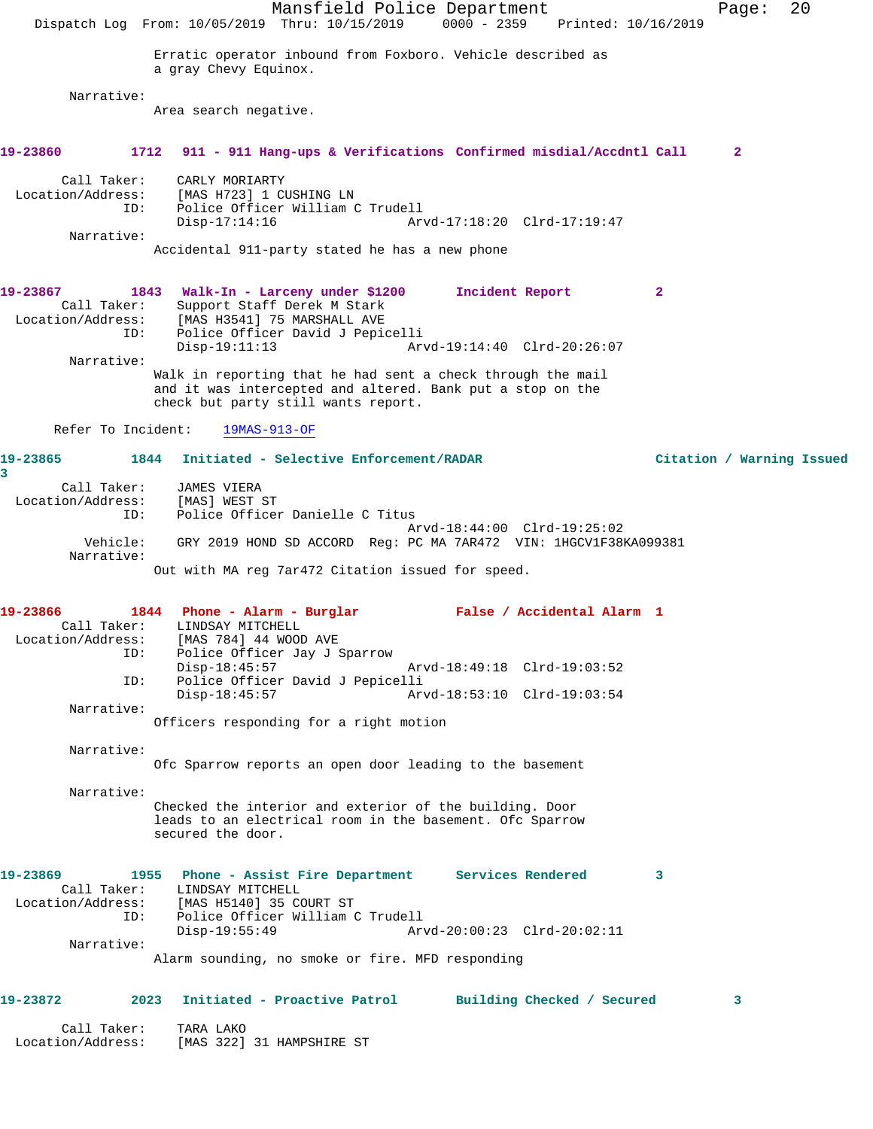Mansfield Police Department Page: 20 Dispatch Log From: 10/05/2019 Thru: 10/15/2019 0000 - 2359 Printed: 10/16/2019 Erratic operator inbound from Foxboro. Vehicle described as a gray Chevy Equinox. Narrative: Area search negative. **19-23860 1712 911 - 911 Hang-ups & Verifications Confirmed misdial/Accdntl Call 2** Call Taker: CARLY MORIARTY Location/Address: [MAS H723] 1 CUSHING LN ID: Police Officer William C Trudell Disp-17:14:16 Arvd-17:18:20 Clrd-17:19:47 Narrative: Accidental 911-party stated he has a new phone **19-23867 1843 Walk-In - Larceny under \$1200 Incident Report 2**  Call Taker: Support Staff Derek M Stark Location/Address: [MAS H3541] 75 MARSHALL AVE ID: Police Officer David J Pepicelli Disp-19:11:13 Arvd-19:14:40 Clrd-20:26:07 Narrative: Walk in reporting that he had sent a check through the mail and it was intercepted and altered. Bank put a stop on the check but party still wants report. Refer To Incident: 19MAS-913-OF **19-23865 1844 Initiated - Selective Enforcement/RADAR Citation / Warning Issued 3**  Call Taker: JAMES VIERA Location/Address: [MAS] WEST ST ID: Police Officer Danielle C Titus Arvd-18:44:00 Clrd-19:25:02 GRY 2019 HOND SD ACCORD Reg: PC MA 7AR472 VIN: 1HGCV1F38KA099381 Narrative: Out with MA reg 7ar472 Citation issued for speed. **19-23866 1844 Phone - Alarm - Burglar False / Accidental Alarm 1**  Call Taker: LINDSAY MITCHELL<br>Location/Address: [MAS 784] 44 WOOD  $[MAS 784] 44 WOOD AVE$ ID: Police Officer Jay J Sparrow<br>Disp-18:45:57 Disp-18:45:57 Arvd-18:49:18 Clrd-19:03:52 ID: Police Officer David J Pepicelli Disp-18:45:57 Arvd-18:53:10 Clrd-19:03:54 Narrative: Officers responding for a right motion Narrative: Ofc Sparrow reports an open door leading to the basement Narrative: Checked the interior and exterior of the building. Door leads to an electrical room in the basement. Ofc Sparrow secured the door. **19-23869 1955 Phone - Assist Fire Department Services Rendered 3**  Call Taker: LINDSAY MITCHELL Location/Address: [MAS H5140] 35 COURT ST ID: Police Officer William C Trudell Disp-19:55:49 Arvd-20:00:23 Clrd-20:02:11 Narrative: Alarm sounding, no smoke or fire. MFD responding **19-23872 2023 Initiated - Proactive Patrol Building Checked / Secured 3** Call Taker: TARA LAKO Location/Address: [MAS 322] 31 HAMPSHIRE ST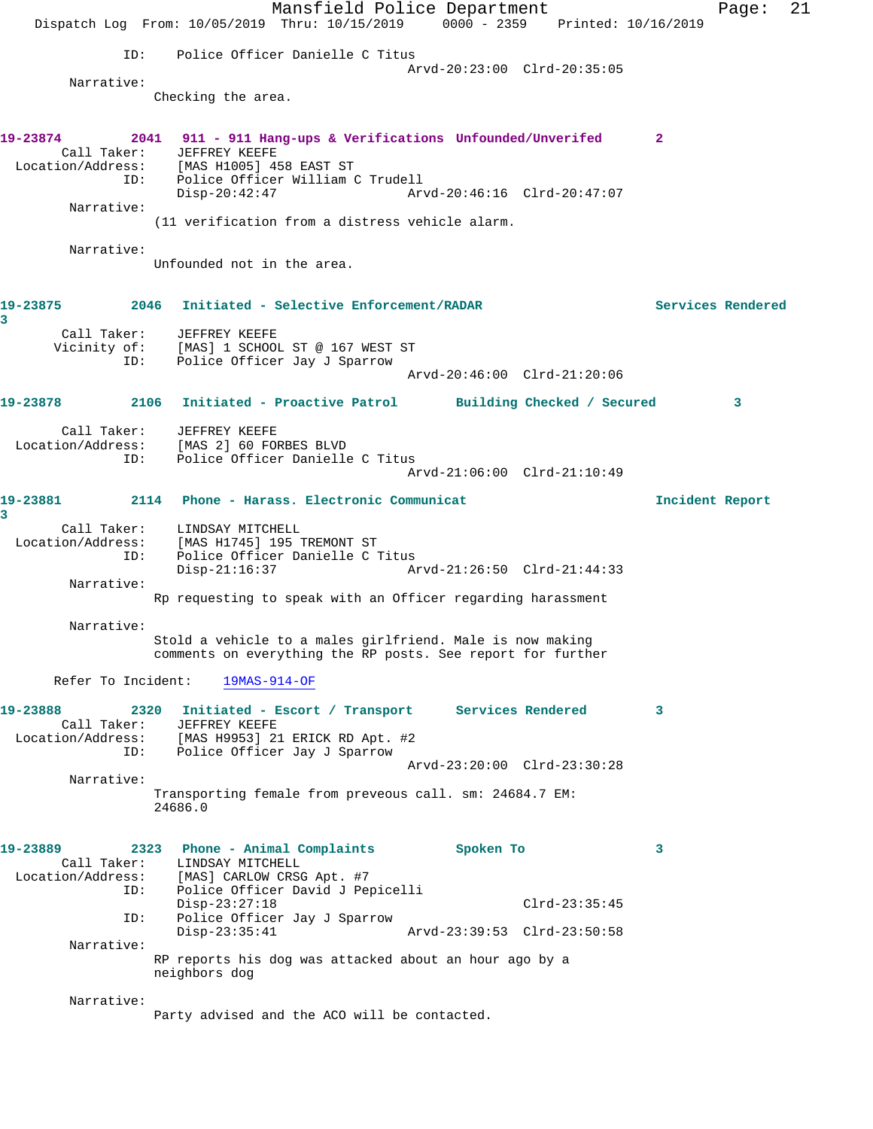Mansfield Police Department Page: 21 Dispatch Log From: 10/05/2019 Thru: 10/15/2019 0000 - 2359 Printed: 10/16/2019 ID: Police Officer Danielle C Titus Arvd-20:23:00 Clrd-20:35:05 Narrative: Checking the area. **19-23874 2041 911 - 911 Hang-ups & Verifications Unfounded/Unverifed 2**  Call Taker: JEFFREY KEEFE Location/Address: [MAS H1005] 458 EAST ST ID: Police Officer William C Trudell Disp-20:42:47 Arvd-20:46:16 Clrd-20:47:07 Narrative: (11 verification from a distress vehicle alarm. Narrative: Unfounded not in the area. **19-23875 2046 Initiated - Selective Enforcement/RADAR Services Rendered 3**  Call Taker: JEFFREY KEEFE Vicinity of: [MAS] 1 SCHOOL ST @ 167 WEST ST ID: Police Officer Jay J Sparrow Arvd-20:46:00 Clrd-21:20:06 **19-23878 2106 Initiated - Proactive Patrol Building Checked / Secured 3** Call Taker: JEFFREY KEEFE Location/Address: [MAS 2] 60 FORBES BLVD ID: Police Officer Danielle C Titus Arvd-21:06:00 Clrd-21:10:49 **19-23881 2114 Phone - Harass. Electronic Communicat Incident Report 3**  Call Taker: LINDSAY MITCHELL Location/Address: [MAS H1745] 195 TREMONT ST ID: Police Officer Danielle C Titus Disp-21:16:37 Arvd-21:26:50 Clrd-21:44:33 Narrative: Rp requesting to speak with an Officer regarding harassment Narrative: Stold a vehicle to a males girlfriend. Male is now making comments on everything the RP posts. See report for further Refer To Incident: 19MAS-914-OF **19-23888 2320 Initiated - Escort / Transport Services Rendered 3**  Call Taker: JEFFREY KEEFE<br>ion/Address: [MAS H9953] 21 ERICK RD Apt. #2 Location/Address: [MAS H9953] 21 ERICK RD Apt. #2 ID: Police Officer Jay J Sparrow Arvd-23:20:00 Clrd-23:30:28 Narrative: Transporting female from preveous call. sm: 24684.7 EM: 24686.0 **19-23889 2323 Phone - Animal Complaints Spoken To 3**  Call Taker: LINDSAY MITCHELL Location/Address: [MAS] CARLOW CRSG Apt. #7 ID: Police Officer David J Pepicelli Disp-23:27:18 Clrd-23:35:45<br>ID: Police Officer Jay J Sparrow Police Officer Jay J Sparrow<br>Disp-23:35:41 Disp-23:35:41 Arvd-23:39:53 Clrd-23:50:58 Narrative: RP reports his dog was attacked about an hour ago by a neighbors dog Narrative: Party advised and the ACO will be contacted.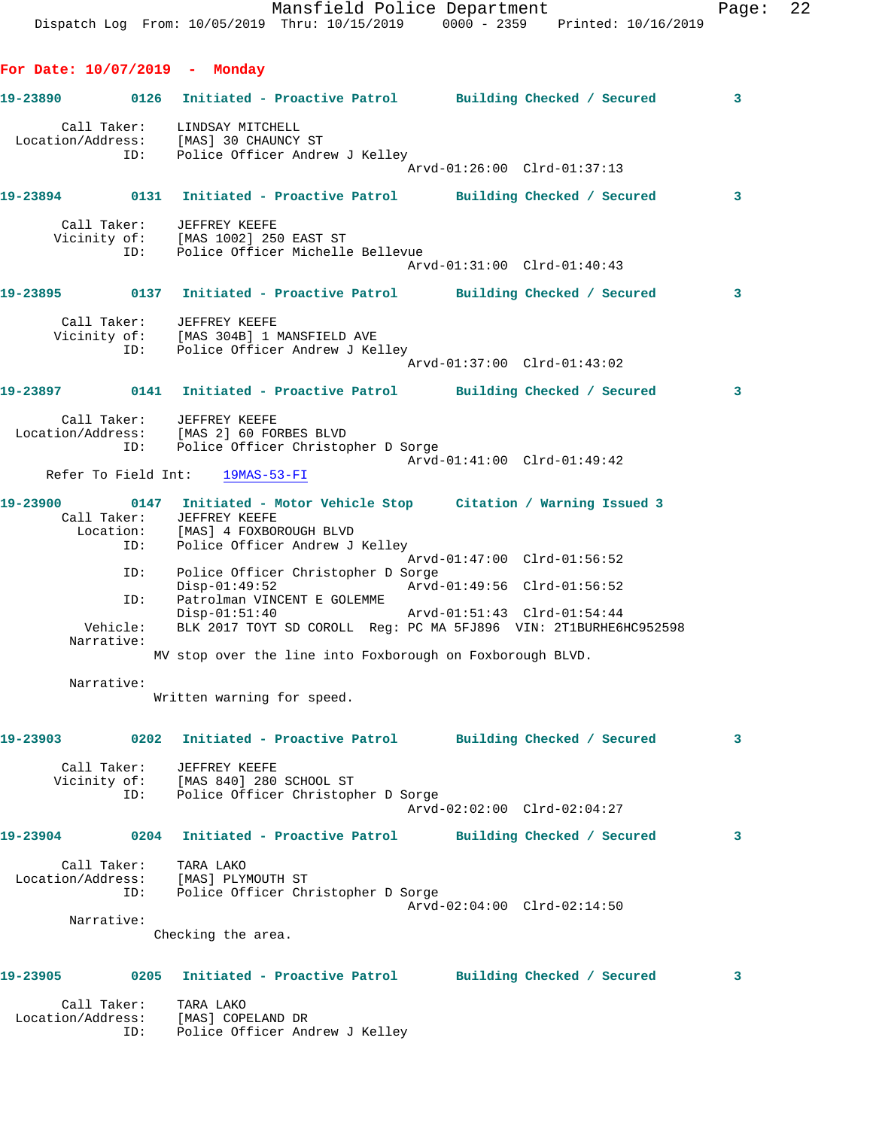**For Date: 10/07/2019 - Monday**

**19-23890 0126 Initiated - Proactive Patrol Building Checked / Secured 3** Call Taker: LINDSAY MITCHELL Location/Address: [MAS] 30 CHAUNCY ST ID: Police Officer Andrew J Kelley Arvd-01:26:00 Clrd-01:37:13 **19-23894 0131 Initiated - Proactive Patrol Building Checked / Secured 3** Call Taker: JEFFREY KEEFE Vicinity of: [MAS 1002] 250 EAST ST ID: Police Officer Michelle Bellevue Arvd-01:31:00 Clrd-01:40:43 **19-23895 0137 Initiated - Proactive Patrol Building Checked / Secured 3** Call Taker: JEFFREY KEEFE Vicinity of: [MAS 304B] 1 MANSFIELD AVE ID: Police Officer Andrew J Kelley Arvd-01:37:00 Clrd-01:43:02 **19-23897 0141 Initiated - Proactive Patrol Building Checked / Secured 3** Call Taker: JEFFREY KEEFE Location/Address: [MAS 2] 60 FORBES BLVD ID: Police Officer Christopher D Sorge Arvd-01:41:00 Clrd-01:49:42 Refer To Field Int: 19MAS-53-FI **19-23900 0147 Initiated - Motor Vehicle Stop Citation / Warning Issued 3**  Call Taker: JEFFREY KEEFE Location: [MAS] 4 FOXBOROUGH BLVD ID: Police Officer Andrew J Kelley Arvd-01:47:00 Clrd-01:56:52 ID: Police Officer Christopher D Sorge Disp-01:49:52 Arvd-01:49:56 Clrd-01:56:52 The Teach of the UNICENT E GOLEMME<br>Disp-01:51:40 Disp-01:51:40 Arvd-01:51:43 Clrd-01:54:44 Vehicle: BLK 2017 TOYT SD COROLL Reg: PC MA 5FJ896 VIN: 2T1BURHE6HC952598 Narrative: MV stop over the line into Foxborough on Foxborough BLVD. Narrative: Written warning for speed. **19-23903 0202 Initiated - Proactive Patrol Building Checked / Secured 3** Call Taker: JEFFREY KEEFE Vicinity of: [MAS 840] 280 SCHOOL ST ID: Police Officer Christopher D Sorge Arvd-02:02:00 Clrd-02:04:27 **19-23904 0204 Initiated - Proactive Patrol Building Checked / Secured 3** Call Taker: TARA LAKO Location/Address: [MAS] PLYMOUTH ST ID: Police Officer Christopher D Sorge Arvd-02:04:00 Clrd-02:14:50 Narrative: Checking the area. **19-23905 0205 Initiated - Proactive Patrol Building Checked / Secured 3** Call Taker: TARA LAKO Location/Address: [MAS] COPELAND DR ID: Police Officer Andrew J Kelley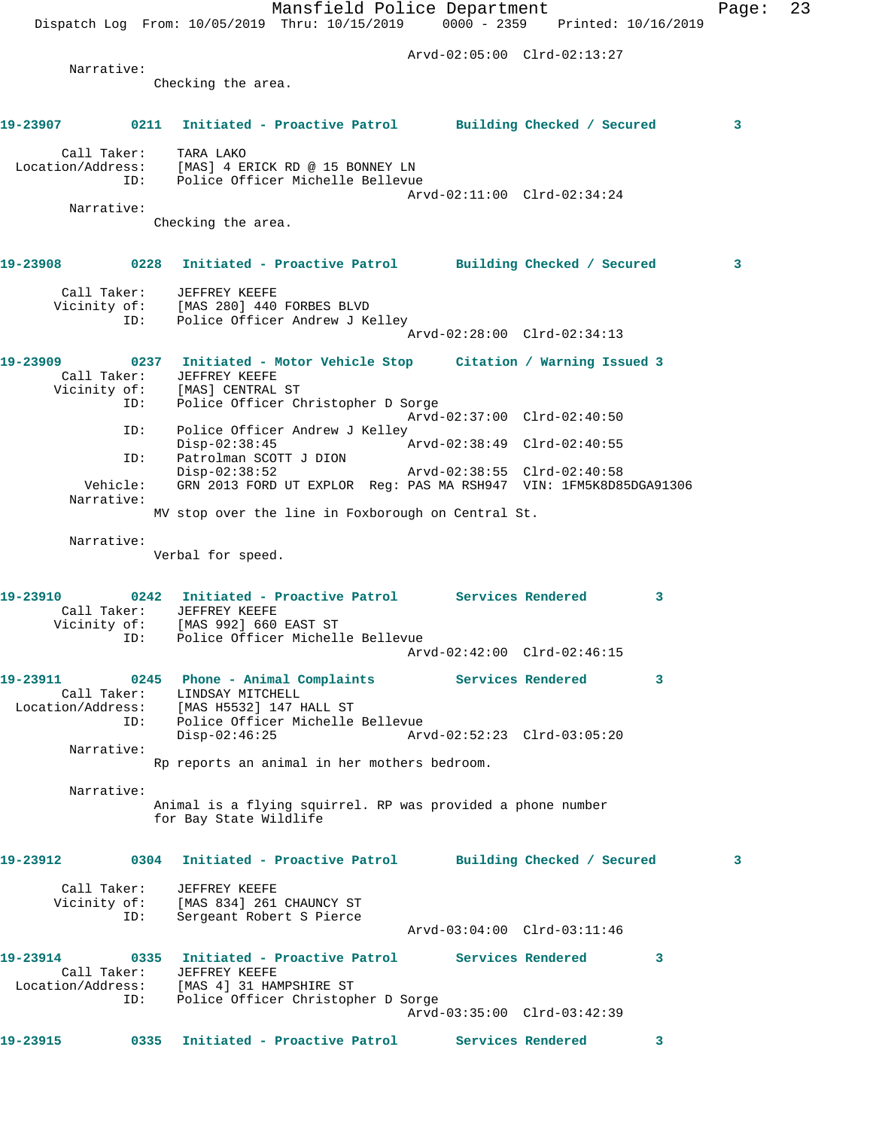Mansfield Police Department Page: 23 Dispatch Log From: 10/05/2019 Thru: 10/15/2019 0000 - 2359 Printed: 10/16/2019 Arvd-02:05:00 Clrd-02:13:27 Narrative: Checking the area. **19-23907 0211 Initiated - Proactive Patrol Building Checked / Secured 3** Call Taker: TARA LAKO Location/Address: [MAS] 4 ERICK RD @ 15 BONNEY LN ID: Police Officer Michelle Bellevue Arvd-02:11:00 Clrd-02:34:24 Narrative: Checking the area. **19-23908 0228 Initiated - Proactive Patrol Building Checked / Secured 3** Call Taker: JEFFREY KEEFE Vicinity of: [MAS 280] 440 FORBES BLVD ID: Police Officer Andrew J Kelley Arvd-02:28:00 Clrd-02:34:13 **19-23909 0237 Initiated - Motor Vehicle Stop Citation / Warning Issued 3**  Call Taker: JEFFREY KEEFE Vicinity of: [MAS] CENTRAL ST ID: Police Officer Christopher D Sorge Arvd-02:37:00 Clrd-02:40:50 ID: Police Officer Andrew J Kelley<br>Disp-02:38:45 Arvd-02:38:49 Clrd-02:40:55 Disp-02:38:45 Arvd-02:38:49 Clrd-02:40:55 ID: Patrolman SCOTT J DION Disp-02:38:52 Arvd-02:38:55 Clrd-02:40:58 Vehicle: GRN 2013 FORD UT EXPLOR Reg: PAS MA RSH947 VIN: 1FM5K8D85DGA91306 Narrative: MV stop over the line in Foxborough on Central St. Narrative: Verbal for speed. **19-23910 0242 Initiated - Proactive Patrol Services Rendered 3**  Call Taker: JEFFREY KEEFE Vicinity of: [MAS 992] 660 EAST ST ID: Police Officer Michelle Bellevue Arvd-02:42:00 Clrd-02:46:15 **19-23911 0245 Phone - Animal Complaints Services Rendered 3**  Call Taker: LINDSAY MITCHELL Location/Address: [MAS H5532] 147 HALL ST ID: Police Officer Michelle Bellevue Disp-02:46:25 Arvd-02:52:23 Clrd-03:05:20 Narrative: Rp reports an animal in her mothers bedroom. Narrative: Animal is a flying squirrel. RP was provided a phone number for Bay State Wildlife **19-23912 0304 Initiated - Proactive Patrol Building Checked / Secured 3** Call Taker: JEFFREY KEEFE Vicinity of: [MAS 834] 261 CHAUNCY ST ID: Sergeant Robert S Pierce Arvd-03:04:00 Clrd-03:11:46 **19-23914 0335 Initiated - Proactive Patrol Services Rendered 3**  Call Taker: JEFFREY KEEFE Location/Address: [MAS 4] 31 HAMPSHIRE ST ID: Police Officer Christopher D Sorge Arvd-03:35:00 Clrd-03:42:39 **19-23915 0335 Initiated - Proactive Patrol Services Rendered 3**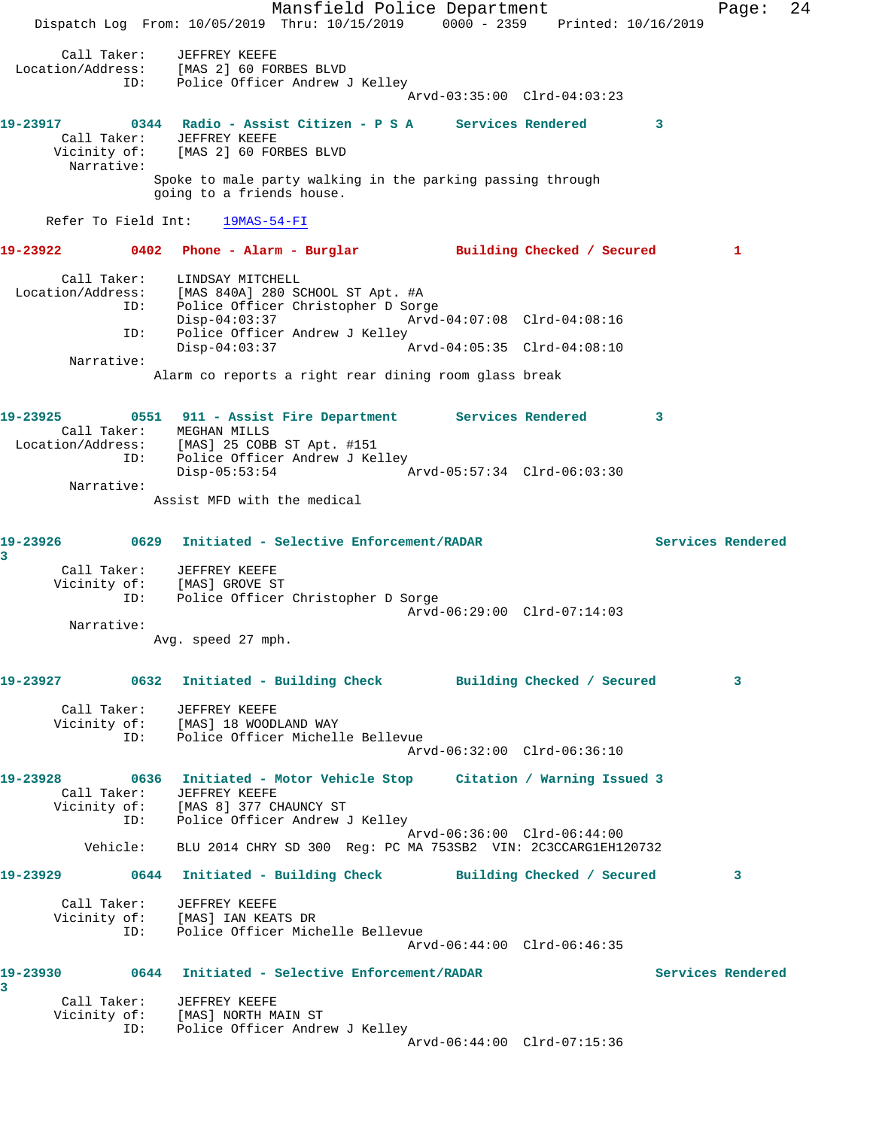Mansfield Police Department Fage: 24 Dispatch Log From: 10/05/2019 Thru: 10/15/2019 0000 - 2359 Printed: 10/16/2019 Call Taker: JEFFREY KEEFE Location/Address: [MAS 2] 60 FORBES BLVD ID: Police Officer Andrew J Kelley Arvd-03:35:00 Clrd-04:03:23 **19-23917 0344 Radio - Assist Citizen - P S A Services Rendered 3**  Call Taker: JEFFREY KEEFE Vicinity of: [MAS 2] 60 FORBES BLVD Narrative: Spoke to male party walking in the parking passing through going to a friends house. Refer To Field Int: 19MAS-54-FI **19-23922 0402 Phone - Alarm - Burglar Building Checked / Secured 1** Call Taker: LINDSAY MITCHELL Location/Address: [MAS 840A] 280 SCHOOL ST Apt. #A ID: Police Officer Christopher D Sorge Disp-04:03:37 Arvd-04:07:08 Clrd-04:08:16 ID: Police Officer Andrew J Kelley<br>Disp-04:03:37 Disp-04:03:37 Arvd-04:05:35 Clrd-04:08:10 Narrative: Alarm co reports a right rear dining room glass break **19-23925 0551 911 - Assist Fire Department Services Rendered 3**  Call Taker: MEGHAN MILLS Location/Address: [MAS] 25 COBB ST Apt. #151 ID: Police Officer Andrew J Kelley Disp-05:53:54 Arvd-05:57:34 Clrd-06:03:30 Narrative: Assist MFD with the medical **19-23926 0629 Initiated - Selective Enforcement/RADAR Services Rendered 3**  Call Taker: JEFFREY KEEFE Vicinity of: [MAS] GROVE ST ID: Police Officer Christopher D Sorge Arvd-06:29:00 Clrd-07:14:03 Narrative: Avg. speed 27 mph. **19-23927 0632 Initiated - Building Check Building Checked / Secured 3** Call Taker: JEFFREY KEEFE Vicinity of: [MAS] 18 WOODLAND WAY ID: Police Officer Michelle Bellevue Arvd-06:32:00 Clrd-06:36:10 **19-23928 0636 Initiated - Motor Vehicle Stop Citation / Warning Issued 3**  Call Taker: JEFFREY KEEFE Vicinity of: [MAS 8] 377 CHAUNCY ST ID: Police Officer Andrew J Kelley Arvd-06:36:00 Clrd-06:44:00 Vehicle: BLU 2014 CHRY SD 300 Reg: PC MA 753SB2 VIN: 2C3CCARG1EH120732 **19-23929 0644 Initiated - Building Check Building Checked / Secured 3** Call Taker: JEFFREY KEEFE Vicinity of: [MAS] IAN KEATS DR ID: Police Officer Michelle Bellevue Arvd-06:44:00 Clrd-06:46:35 **19-23930 0644 Initiated - Selective Enforcement/RADAR Services Rendered 3**  Call Taker: JEFFREY KEEFE Vicinity of: [MAS] NORTH MAIN ST ID: Police Officer Andrew J Kelley Arvd-06:44:00 Clrd-07:15:36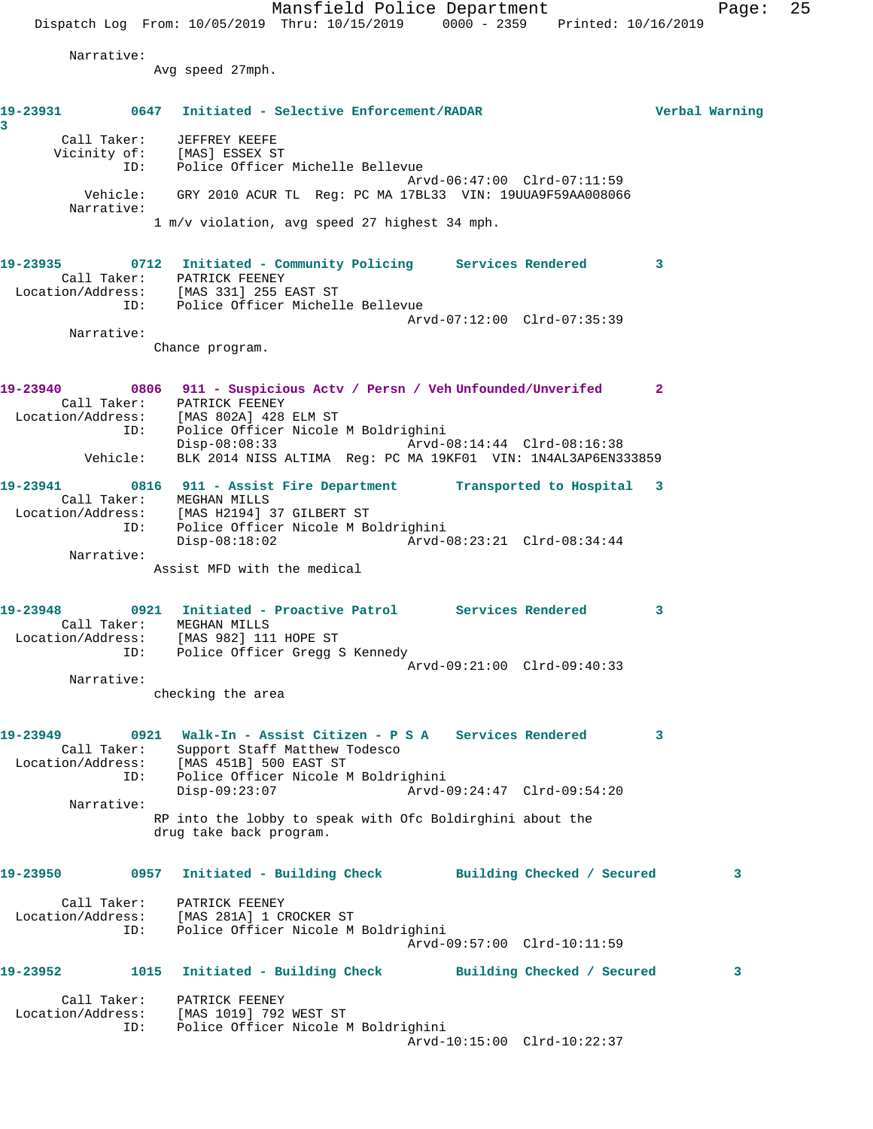Mansfield Police Department Fage: 25 Dispatch Log From: 10/05/2019 Thru: 10/15/2019 0000 - 2359 Printed: 10/16/2019 Narrative: Avg speed 27mph. **19-23931 0647 Initiated - Selective Enforcement/RADAR Verbal Warning 3**  Call Taker: JEFFREY KEEFE Vicinity of: [MAS] ESSEX ST ID: Police Officer Michelle Bellevue Arvd-06:47:00 Clrd-07:11:59 Vehicle: GRY 2010 ACUR TL Reg: PC MA 17BL33 VIN: 19UUA9F59AA008066 Narrative: 1 m/v violation, avg speed 27 highest 34 mph. **19-23935 0712 Initiated - Community Policing Services Rendered 3**  Call Taker: PATRICK FEENEY Location/Address: [MAS 331] 255 EAST ST ID: Police Officer Michelle Bellevue Arvd-07:12:00 Clrd-07:35:39 Narrative: Chance program. **19-23940 0806 911 - Suspicious Actv / Persn / Veh Unfounded/Unverifed 2**  Call Taker: PATRICK FEENEY Location/Address: [MAS 802A] 428 ELM ST ID: Police Officer Nicole M Boldrighini Disp-08:08:33 Arvd-08:14:44 Clrd-08:16:38 Vehicle: BLK 2014 NISS ALTIMA Reg: PC MA 19KF01 VIN: 1N4AL3AP6EN333859 **19-23941 0816 911 - Assist Fire Department Transported to Hospital 3**  Call Taker: MEGHAN MILLS Location/Address: [MAS H2194] 37 GILBERT ST ID: Police Officer Nicole M Boldrighini Disp-08:18:02 Arvd-08:23:21 Clrd-08:34:44 Narrative: Assist MFD with the medical **19-23948 0921 Initiated - Proactive Patrol Services Rendered 3**  Call Taker: MEGHAN MILLS Location/Address: [MAS 982] 111 HOPE ST ID: Police Officer Gregg S Kennedy Arvd-09:21:00 Clrd-09:40:33 Narrative: checking the area **19-23949 0921 Walk-In - Assist Citizen - P S A Services Rendered 3**  Call Taker: Support Staff Matthew Todesco Location/Address: [MAS 451B] 500 EAST ST ID: Police Officer Nicole M Boldrighini Disp-09:23:07 Arvd-09:24:47 Clrd-09:54:20 Narrative: RP into the lobby to speak with Ofc Boldirghini about the drug take back program. **19-23950 0957 Initiated - Building Check Building Checked / Secured 3** Call Taker: PATRICK FEENEY Location/Address: [MAS 281A] 1 CROCKER ST ID: Police Officer Nicole M Boldrighini Arvd-09:57:00 Clrd-10:11:59 **19-23952 1015 Initiated - Building Check Building Checked / Secured 3** Call Taker: PATRICK FEENEY Location/Address: [MAS 1019] 792 WEST ST ID: Police Officer Nicole M Boldrighini Arvd-10:15:00 Clrd-10:22:37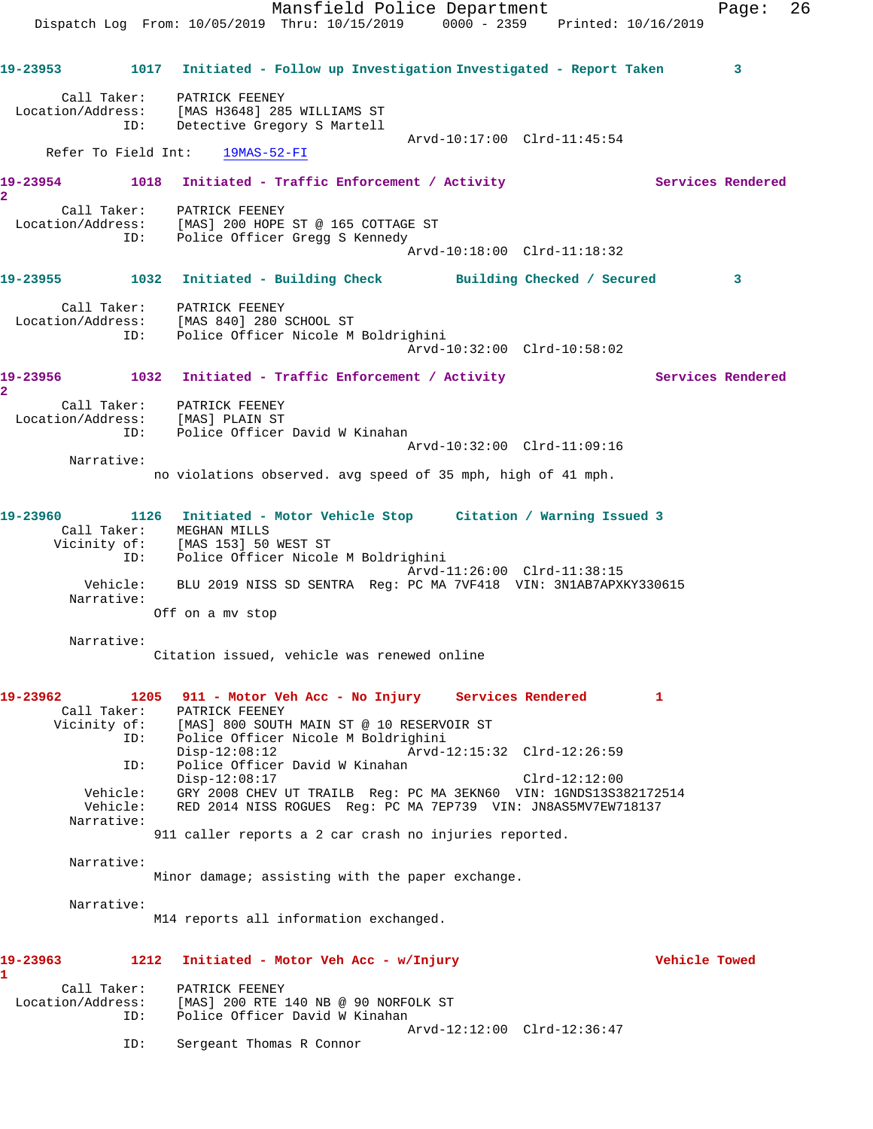Mansfield Police Department Fage: 26 Dispatch Log From: 10/05/2019 Thru: 10/15/2019 0000 - 2359 Printed: 10/16/2019 **19-23953 1017 Initiated - Follow up Investigation Investigated - Report Taken 3** Call Taker: PATRICK FEENEY Location/Address: [MAS H3648] 285 WILLIAMS ST ID: Detective Gregory S Martell Arvd-10:17:00 Clrd-11:45:54 Refer To Field Int: 19MAS-52-FI 19-23954 1018 Initiated - Traffic Enforcement / Activity **Services Rendered 2**  Call Taker: PATRICK FEENEY Location/Address: [MAS] 200 HOPE ST @ 165 COTTAGE ST ID: Police Officer Gregg S Kennedy Arvd-10:18:00 Clrd-11:18:32 **19-23955 1032 Initiated - Building Check Building Checked / Secured 3** Call Taker: PATRICK FEENEY Location/Address: [MAS 840] 280 SCHOOL ST ID: Police Officer Nicole M Boldrighini Arvd-10:32:00 Clrd-10:58:02 19-23956 1032 Initiated - Traffic Enforcement / Activity **Services Rendered 2**  Call Taker: PATRICK FEENEY Location/Address: [MAS] PLAIN ST ID: Police Officer David W Kinahan Arvd-10:32:00 Clrd-11:09:16 Narrative: no violations observed. avg speed of 35 mph, high of 41 mph. **19-23960 1126 Initiated - Motor Vehicle Stop Citation / Warning Issued 3**  Call Taker: MEGHAN MILLS Vicinity of: [MAS 153] 50 WEST ST ID: Police Officer Nicole M Boldrighini Arvd-11:26:00 Clrd-11:38:15 Vehicle: BLU 2019 NISS SD SENTRA Reg: PC MA 7VF418 VIN: 3N1AB7APXKY330615 Narrative: Off on a mv stop Narrative: Citation issued, vehicle was renewed online **19-23962 1205 911 - Motor Veh Acc - No Injury Services Rendered 1**  Call Taker: PATRICK FEENEY Vicinity of: [MAS] 800 SOUTH MAIN ST @ 10 RESERVOIR ST<br>ID: Police Officer Nicole M Boldrighini Police Officer Nicole M Boldrighini<br>Disp-12:08:12 Arvd-1 Disp-12:08:12 Arvd-12:15:32 Clrd-12:26:59<br>ID: Police Officer David W Kinahan Police Officer David W Kinahan Disp-12:08:17 Clrd-12:12:00 Vehicle: GRY 2008 CHEV UT TRAILB Reg: PC MA 3EKN60 VIN: 1GNDS13S382172514 Vehicle: RED 2014 NISS ROGUES Reg: PC MA 7EP739 VIN: JN8AS5MV7EW718137 Narrative: 911 caller reports a 2 car crash no injuries reported. Narrative: Minor damage; assisting with the paper exchange. Narrative: M14 reports all information exchanged. **19-23963 1212 Initiated - Motor Veh Acc - w/Injury Vehicle Towed 1**  Call Taker: PATRICK FEENEY Location/Address: [MAS] 200 RTE 140 NB @ 90 NORFOLK ST ID: Police Officer David W Kinahan Arvd-12:12:00 Clrd-12:36:47 ID: Sergeant Thomas R Connor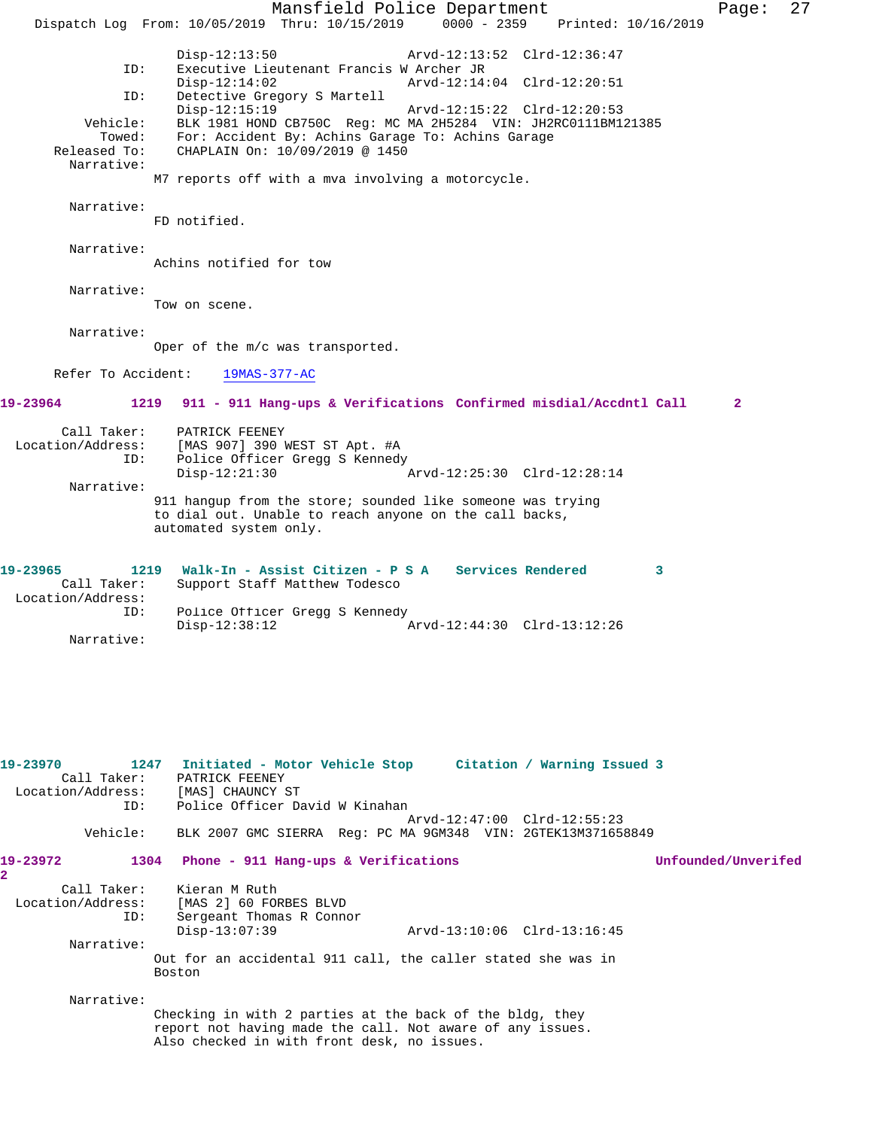Mansfield Police Department Page: 27 Dispatch Log From: 10/05/2019 Thru: 10/15/2019 0000 - 2359 Printed: 10/16/2019 Disp-12:13:50 Arvd-12:13:52 Clrd-12:36:47<br>TD: Executive Lieutepant Francis W Archer JR Executive Lieutenant Francis W Archer JR Disp-12:14:02 Arvd-12:14:04 Clrd-12:20:51 ID: Detective Gregory S Martell Arvd-12:15:22 Clrd-12:20:53 Vehicle: BLK 1981 HOND CB750C Reg: MC MA 2H5284 VIN: JH2RC0111BM121385 Towed: For: Accident By: Achins Garage To: Achins Garage Released To: CHAPLAIN On:  $10/09/2019 \text{ } \textcircled$  1450 CHAPLAIN On: 10/09/2019 @ 1450 Narrative: M7 reports off with a mva involving a motorcycle. Narrative: FD notified. Narrative: Achins notified for tow Narrative: Tow on scene. Narrative: Oper of the m/c was transported. Refer To Accident: 19MAS-377-AC **19-23964 1219 911 - 911 Hang-ups & Verifications Confirmed misdial/Accdntl Call 2** Call Taker: PATRICK FEENEY Location/Address: [MAS 907] 390 WEST ST Apt. #A ID: Police Officer Gregg S Kennedy Disp-12:21:30 Arvd-12:25:30 Clrd-12:28:14 Narrative: 911 hangup from the store; sounded like someone was trying to dial out. Unable to reach anyone on the call backs, automated system only. **19-23965 1219 Walk-In - Assist Citizen - P S A Services Rendered 3**  Call Taker: Support Staff Matthew Todesco Location/Address: ID: Police Officer Gregg S Kennedy<br>Disp-12:38:12 Disp-12:38:12 Arvd-12:44:30 Clrd-13:12:26 Narrative: **19-23970 1247 Initiated - Motor Vehicle Stop Citation / Warning Issued 3**  Call Taker: PATRICK FEENEY Location/Address: [MAS] CHAUNCY ST Police Officer David W Kinahan Arvd-12:47:00 Clrd-12:55:23 Vehicle: BLK 2007 GMC SIERRA Reg: PC MA 9GM348 VIN: 2GTEK13M371658849 **19-23972 1304 Phone - 911 Hang-ups & Verifications Unfounded/Unverifed 2**  Call Taker: Kieran M Ruth Location/Address: [MAS 2] 60 FORBES BLVD<br>ID: Sergeant Thomas R Conno Sergeant Thomas R Connor<br>Disp-13:07:39 Disp-13:07:39 Arvd-13:10:06 Clrd-13:16:45 Narrative: Out for an accidental 911 call, the caller stated she was in Boston Narrative: Checking in with 2 parties at the back of the bldg, they report not having made the call. Not aware of any issues. Also checked in with front desk, no issues.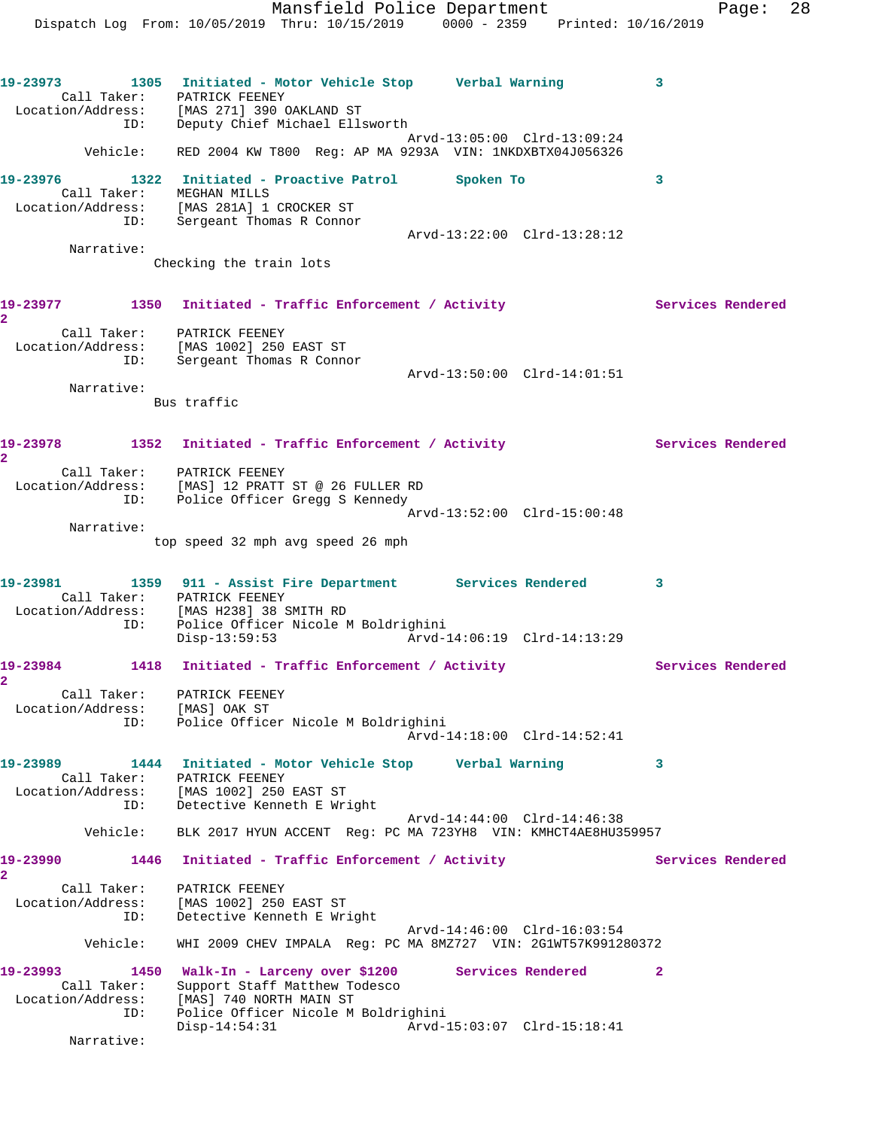**19-23976 1322 Initiated - Proactive Patrol Spoken To 3**  Call Taker: MEGHAN MILLS Location/Address: [MAS 281A] 1 CROCKER ST ID: Sergeant Thomas R Connor Arvd-13:22:00 Clrd-13:28:12 Narrative:

Checking the train lots

## 19-23977 1350 Initiated - Traffic Enforcement / Activity Services Rendered **2**  Call Taker: PATRICK FEENEY Location/Address: [MAS 1002] 250 EAST ST ID: Sergeant Thomas R Connor

1 MAS 1002 230 Arvd-13:50:00 Clrd-14:01:51<br>Sergeant Thomas R Connor<br>Arvd-13:50:00 Clrd-14:01:51

 Narrative: Bus traffic

19-23978 1352 Initiated - Traffic Enforcement / Activity **Services Rendered** 

**2** 

 Call Taker: PATRICK FEENEY Location/Address: [MAS] 12 PRATT ST @ 26 FULLER RD ID: Police Officer Gregg S Kennedy

 Arvd-13:52:00 Clrd-15:00:48 Narrative:

top speed 32 mph avg speed 26 mph

## **19-23981 1359 911 - Assist Fire Department Services Rendered 3**  Call Taker: PATRICK FEENEY Location/Address: [MAS H238] 38 SMITH RD ID: Police Officer Nicole M Boldrighini Disp-13:59:53 Arvd-14:06:19 Clrd-14:13:29

19-23984 1418 Initiated - Traffic Enforcement / Activity **Services Rendered** 

- **2**  Call Taker: PATRICK FEENEY Location/Address: [MAS] OAK ST ID: Police Officer Nicole M Boldrighini Arvd-14:18:00 Clrd-14:52:41
- **19-23989 1444 Initiated Motor Vehicle Stop Verbal Warning 3**  Call Taker: PATRICK FEENEY Location/Address: [MAS 1002] 250 EAST ST ID: Detective Kenneth E Wright Arvd-14:44:00 Clrd-14:46:38 Vehicle: BLK 2017 HYUN ACCENT Reg: PC MA 723YH8 VIN: KMHCT4AE8HU359957

19-23990 1446 Initiated - Traffic Enforcement / Activity **Services Rendered 2**  Call Taker: PATRICK FEENEY

 Location/Address: [MAS 1002] 250 EAST ST ID: Detective Kenneth E Wright Arvd-14:46:00 Clrd-16:03:54 Vehicle: WHI 2009 CHEV IMPALA Reg: PC MA 8MZ727 VIN: 2G1WT57K991280372

**19-23993 1450 Walk-In - Larceny over \$1200 Services Rendered 2**  Call Taker: Support Staff Matthew Todesco Location/Address: [MAS] 740 NORTH MAIN ST ID: Police Officer Nicole M Boldrighini Disp-14:54:31 Arvd-15:03:07 Clrd-15:18:41

Narrative: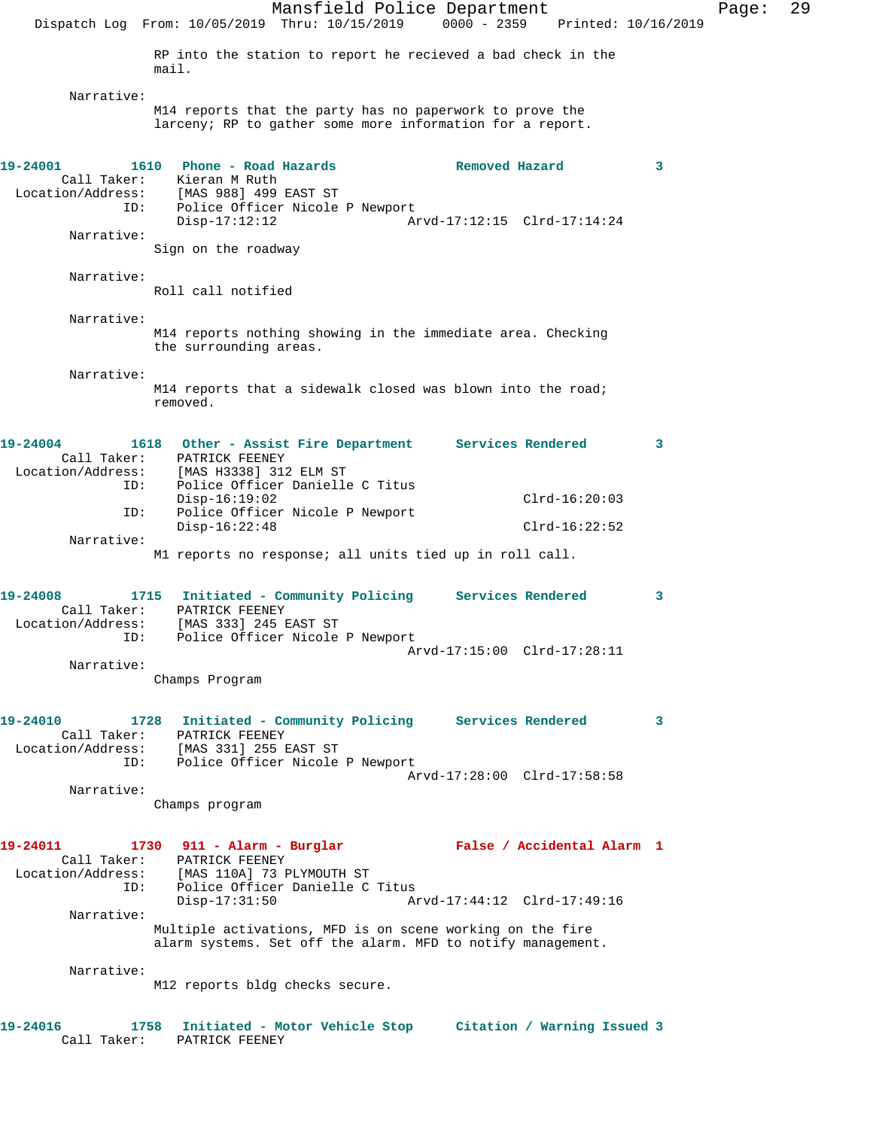Mansfield Police Department Page: 29 Dispatch Log From: 10/05/2019 Thru: 10/15/2019 0000 - 2359 Printed: 10/16/2019 RP into the station to report he recieved a bad check in the mail. Narrative: M14 reports that the party has no paperwork to prove the larceny; RP to gather some more information for a report. **19-24001 1610 Phone - Road Hazards Removed Hazard 3**  Call Taker: Kieran M Ruth Location/Address: [MAS 988] 499 EAST ST ID: Police Officer Nicole P Newport<br>Disp-17:12:12<br>Ar Disp-17:12:12 Arvd-17:12:15 Clrd-17:14:24 Narrative: Sign on the roadway Narrative: Roll call notified Narrative: M14 reports nothing showing in the immediate area. Checking the surrounding areas. Narrative: M14 reports that a sidewalk closed was blown into the road; removed. **19-24004 1618 Other - Assist Fire Department Services Rendered 3**  Call Taker: PATRICK FEENEY Location/Address: [MAS H3338] 312 ELM ST ID: Police Officer Danielle C Titus Disp-16:19:02 Clrd-16:20:03 ID: Police Officer Nicole P Newport Disp-16:22:48 Clrd-16:22:52 Narrative: M1 reports no response; all units tied up in roll call. **19-24008 1715 Initiated - Community Policing Services Rendered 3**  Call Taker: PATRICK FEENEY Location/Address: [MAS 333] 245 EAST ST ID: Police Officer Nicole P Newport Arvd-17:15:00 Clrd-17:28:11 Narrative: Champs Program **19-24010 1728 Initiated - Community Policing Services Rendered 3**  Call Taker: PATRICK FEENEY Location/Address: [MAS 331] 255 EAST ST ID: Police Officer Nicole P Newport Arvd-17:28:00 Clrd-17:58:58 Narrative: Champs program **19-24011 1730 911 - Alarm - Burglar False / Accidental Alarm 1**  Call Taker: PATRICK FEENEY<br>Location/Address: [MAS 110A] 73 B ess: [MAS 110A] 73 PLYMOUTH ST<br>ID: Police Officer Danielle C Police Officer Danielle C Titus<br>Disp-17:31:50 Ar Disp-17:31:50 Arvd-17:44:12 Clrd-17:49:16 Narrative: Multiple activations, MFD is on scene working on the fire alarm systems. Set off the alarm. MFD to notify management. Narrative: M12 reports bldg checks secure. **19-24016 1758 Initiated - Motor Vehicle Stop Citation / Warning Issued 3** 

Call Taker: PATRICK FEENEY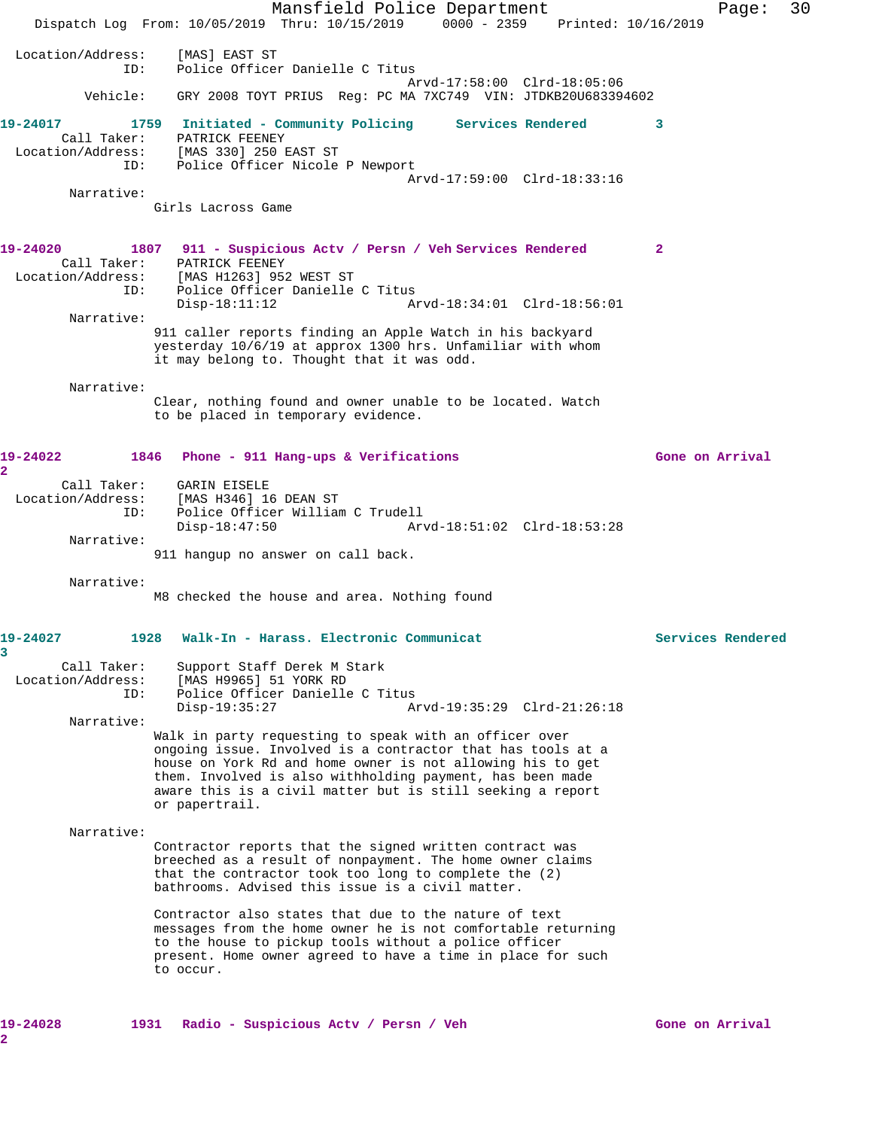Mansfield Police Department Page: 30 Dispatch Log From: 10/05/2019 Thru: 10/15/2019 0000 - 2359 Printed: 10/16/2019 Location/Address: [MAS] EAST ST ID: Police Officer Danielle C Titus Arvd-17:58:00 Clrd-18:05:06 Vehicle: GRY 2008 TOYT PRIUS Reg: PC MA 7XC749 VIN: JTDKB20U683394602 **19-24017 1759 Initiated - Community Policing Services Rendered 3**  Call Taker: PATRICK FEENEY Location/Address: [MAS 330] 250 EAST ST ID: Police Officer Nicole P Newport Arvd-17:59:00 Clrd-18:33:16 Narrative: Girls Lacross Game **19-24020 1807 911 - Suspicious Actv / Persn / Veh Services Rendered 2**  Call Taker: PATRICK FEENEY Location/Address: [MAS H1263] 952 WEST ST ID: Police Officer Danielle C Titus<br>Disp-18:11:12 A Disp-18:11:12 Arvd-18:34:01 Clrd-18:56:01 Narrative: 911 caller reports finding an Apple Watch in his backyard yesterday 10/6/19 at approx 1300 hrs. Unfamiliar with whom it may belong to. Thought that it was odd. Narrative: Clear, nothing found and owner unable to be located. Watch to be placed in temporary evidence. **19-24022 1846 Phone - 911 Hang-ups & Verifications Gone on Arrival 2**  Call Taker: GARIN EISELE Location/Address: [MAS H346] 16 DEAN ST ID: Police Officer William C Trudell Disp-18:47:50 Arvd-18:51:02 Clrd-18:53:28 Narrative: 911 hangup no answer on call back. Narrative: M8 checked the house and area. Nothing found **19-24027 1928 Walk-In - Harass. Electronic Communicat Services Rendered 3**  Call Taker: Support Staff Derek M Stark Location/Address: [MAS H9965] 51 YORK RD ID: Police Officer Danielle C Titus Disp-19:35:27 Arvd-19:35:29 Clrd-21:26:18 Narrative: Walk in party requesting to speak with an officer over ongoing issue. Involved is a contractor that has tools at a house on York Rd and home owner is not allowing his to get them. Involved is also withholding payment, has been made aware this is a civil matter but is still seeking a report or papertrail. Narrative: Contractor reports that the signed written contract was breeched as a result of nonpayment. The home owner claims that the contractor took too long to complete the (2) bathrooms. Advised this issue is a civil matter. Contractor also states that due to the nature of text messages from the home owner he is not comfortable returning to the house to pickup tools without a police officer present. Home owner agreed to have a time in place for such to occur. **19-24028 1931 Radio - Suspicious Actv / Persn / Veh Gone on Arrival**

**2**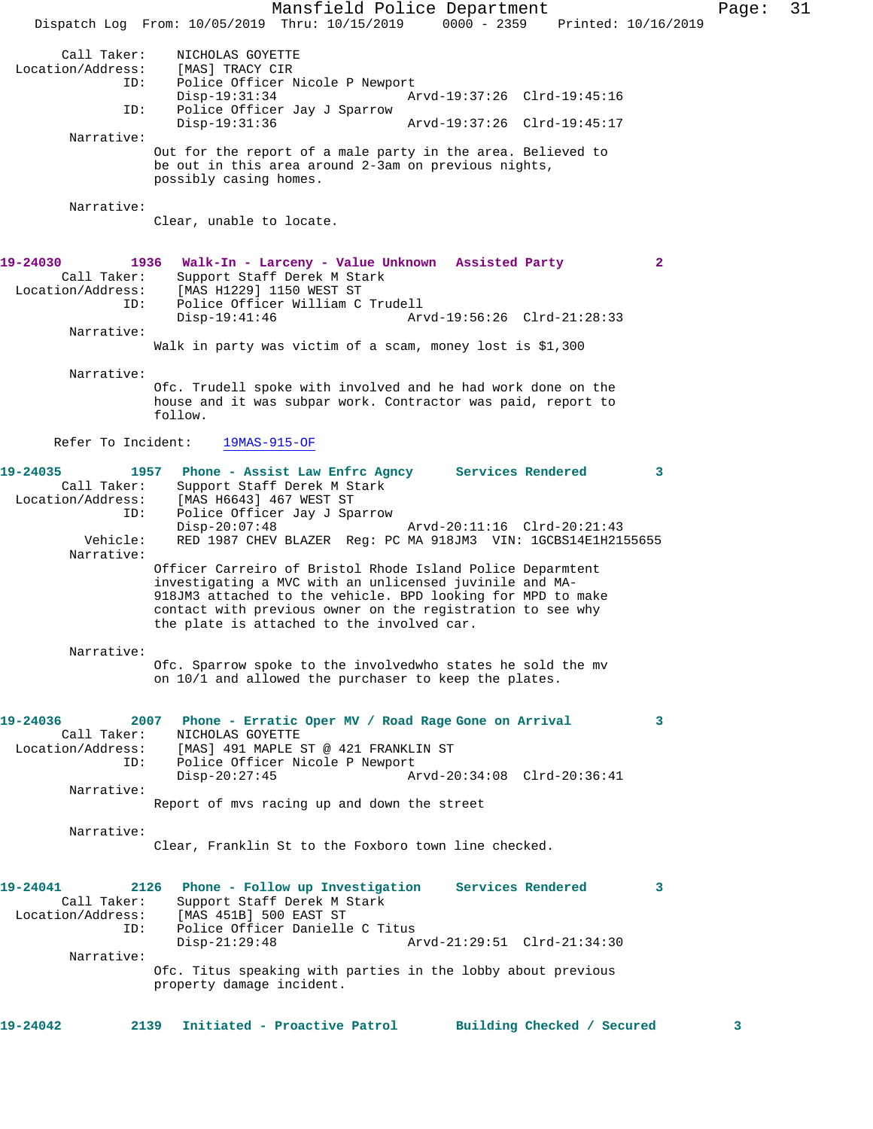Mansfield Police Department Page: 31 Dispatch Log From: 10/05/2019 Thru: 10/15/2019 0000 - 2359 Printed: 10/16/2019 Call Taker: NICHOLAS GOYETTE<br>on/Address: [MAS] TRACY CIR Location/Address:<br>ID: Police Officer Nicole P Newport Disp-19:31:34 Arvd-19:37:26 Clrd-19:45:16<br>ID: Police Officer Jav J Sparrow Police Officer Jay J Sparrow Disp-19:31:36 Arvd-19:37:26 Clrd-19:45:17 Narrative: Out for the report of a male party in the area. Believed to be out in this area around 2-3am on previous nights, possibly casing homes. Narrative: Clear, unable to locate. **19-24030 1936 Walk-In - Larceny - Value Unknown Assisted Party 2**  Call Taker: Support Staff Derek M Stark Location/Address: [MAS H1229] 1150 WEST ST ID: Police Officer William C Trudell Disp-19:41:46 Arvd-19:56:26 Clrd-21:28:33 Narrative: Walk in party was victim of a scam, money lost is \$1,300 Narrative: Ofc. Trudell spoke with involved and he had work done on the house and it was subpar work. Contractor was paid, report to follow. Refer To Incident: 19MAS-915-OF **19-24035 1957 Phone - Assist Law Enfrc Agncy Services Rendered 3**  Call Taker: Support Staff Derek M Stark Location/Address: [MAS H6643] 467 WEST ST ID: Police Officer Jay J Sparrow Disp-20:07:48 Arvd-20:11:16 Clrd-20:21:43 Vehicle: RED 1987 CHEV BLAZER Reg: PC MA 918JM3 VIN: 1GCBS14E1H2155655 Narrative: Officer Carreiro of Bristol Rhode Island Police Deparmtent investigating a MVC with an unlicensed juvinile and MA-918JM3 attached to the vehicle. BPD looking for MPD to make contact with previous owner on the registration to see why the plate is attached to the involved car. Narrative: Ofc. Sparrow spoke to the involvedwho states he sold the mv on 10/1 and allowed the purchaser to keep the plates. **19-24036 2007 Phone - Erratic Oper MV / Road Rage Gone on Arrival 3**  Call Taker: NICHOLAS GOYETTE Location/Address: [MAS] 491 MAPLE ST @ 421 FRANKLIN ST ID: Police Officer Nicole P Newport<br>Disp-20:27:45 Am Disp-20:27:45 Arvd-20:34:08 Clrd-20:36:41 Narrative: Report of mvs racing up and down the street Narrative: Clear, Franklin St to the Foxboro town line checked. **19-24041 2126 Phone - Follow up Investigation Services Rendered 3**  Support Staff Derek M Stark Location/Address: [MAS 451B] 500 EAST ST ID: Police Officer Danielle C Titus Disp-21:29:48 Arvd-21:29:51 Clrd-21:34:30 Narrative: Ofc. Titus speaking with parties in the lobby about previous property damage incident. **19-24042 2139 Initiated - Proactive Patrol Building Checked / Secured 3**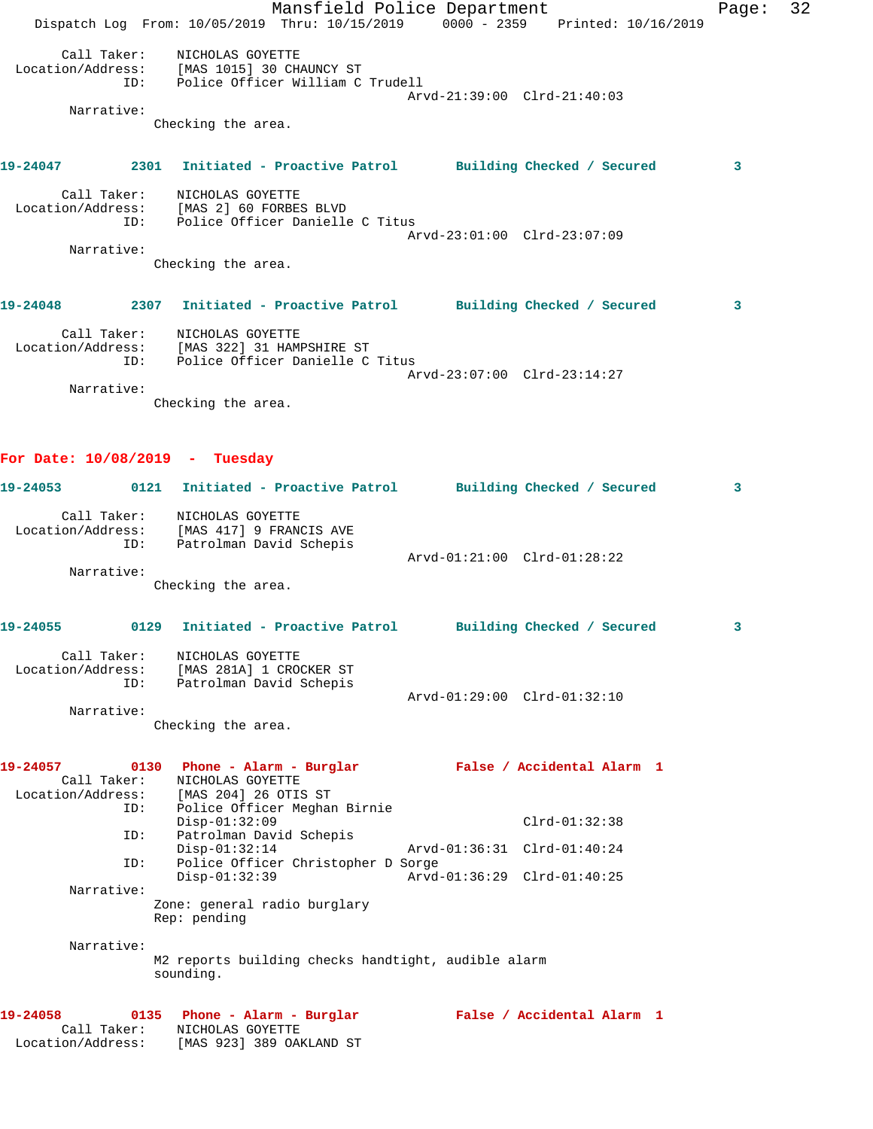Mansfield Police Department Fage: 32 Dispatch Log From: 10/05/2019 Thru: 10/15/2019 0000 - 2359 Printed: 10/16/2019 Call Taker: NICHOLAS GOYETTE Location/Address: [MAS 1015] 30 CHAUNCY ST ID: Police Officer William C Trudell Arvd-21:39:00 Clrd-21:40:03 Narrative: Checking the area. **19-24047 2301 Initiated - Proactive Patrol Building Checked / Secured 3** Call Taker: NICHOLAS GOYETTE Location/Address: [MAS 2] 60 FORBES BLVD ID: Police Officer Danielle C Titus Arvd-23:01:00 Clrd-23:07:09 Narrative: Checking the area. **19-24048 2307 Initiated - Proactive Patrol Building Checked / Secured 3** Call Taker: NICHOLAS GOYETTE Location/Address: [MAS 322] 31 HAMPSHIRE ST ID: Police Officer Danielle C Titus Arvd-23:07:00 Clrd-23:14:27 Narrative: Checking the area. **For Date: 10/08/2019 - Tuesday 19-24053 0121 Initiated - Proactive Patrol Building Checked / Secured 3** Call Taker: NICHOLAS GOYETTE Location/Address: [MAS 417] 9 FRANCIS AVE ID: Patrolman David Schepis Arvd-01:21:00 Clrd-01:28:22 Narrative: Checking the area. **19-24055 0129 Initiated - Proactive Patrol Building Checked / Secured 3** Call Taker: NICHOLAS GOYETTE Location/Address: [MAS 281A] 1 CROCKER ST ID: Patrolman David Schepis Arvd-01:29:00 Clrd-01:32:10 Narrative: Checking the area. **19-24057 0130 Phone - Alarm - Burglar False / Accidental Alarm 1**  Call Taker: NICHOLAS GOYETTE Location/Address: [MAS 204] 26 OTIS ST ID: Police Officer Meghan Birnie Disp-01:32:09 Clrd-01:32:38 ID: Patrolman David Schepis Disp-01:32:14 Arvd-01:36:31 Clrd-01:40:24 ID: Police Officer Christopher D Sorge Disp-01:32:39 Arvd-01:36:29 Clrd-01:40:25 Narrative: Zone: general radio burglary Rep: pending Narrative: M2 reports building checks handtight, audible alarm sounding. **19-24058 0135 Phone - Alarm - Burglar False / Accidental Alarm 1**  Call Taker: NICHOLAS GOYETTE Location/Address: [MAS 923] 389 OAKLAND ST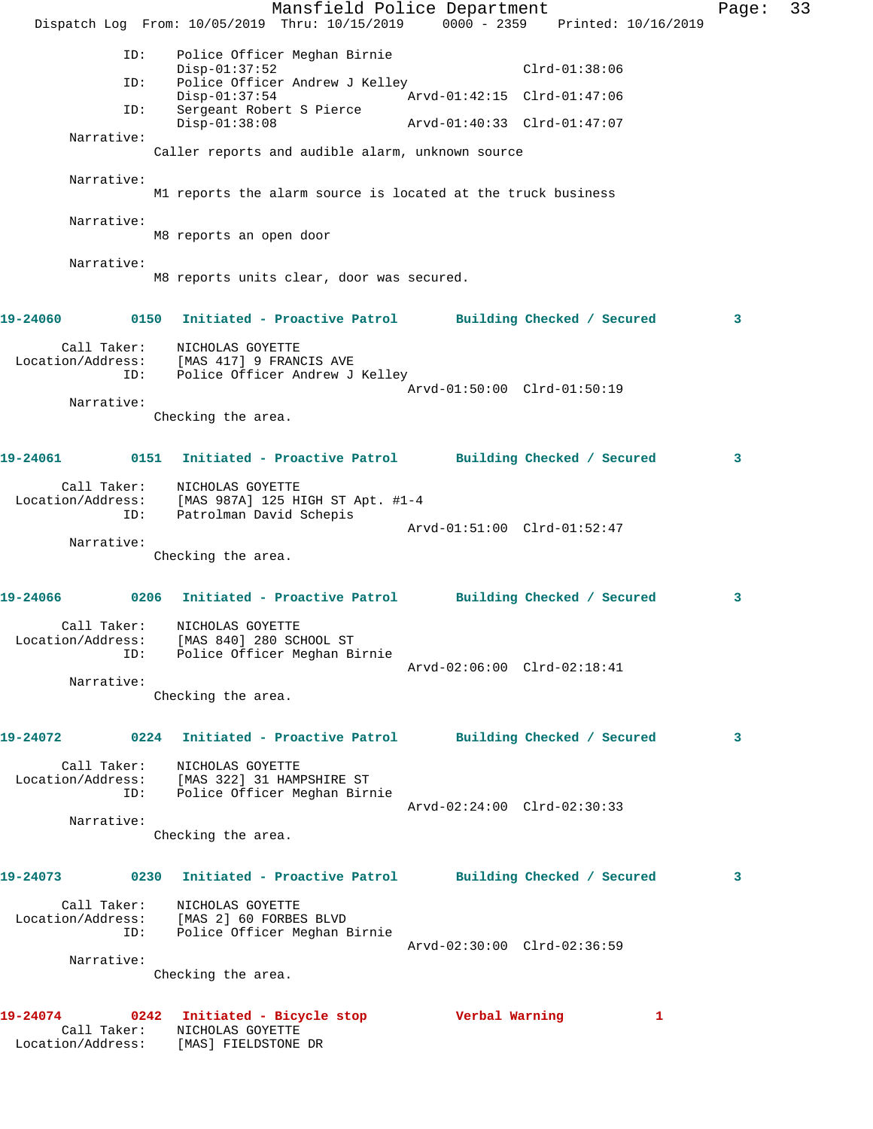Mansfield Police Department Fage: 33 Dispatch Log From: 10/05/2019 Thru: 10/15/2019 0000 - 2359 Printed: 10/16/2019 ID: Police Officer Meghan Birnie Disp-01:37:52 Clrd-01:38:06<br>ID: Police Officer Andrew J Kelley<br>Disp-01:37:54 Arvd-01:42:15 Clrd-01:47:06 ID: Police Officer Andrew J Kelley Disp-01:37:54 Arvd-01:42:15 Clrd-01:47:06 ID: Sergeant Robert S Pierce Disp-01:38:08 Arvd-01:40:33 Clrd-01:47:07 Narrative: Caller reports and audible alarm, unknown source Narrative: M1 reports the alarm source is located at the truck business Narrative: M8 reports an open door Narrative: M8 reports units clear, door was secured. **19-24060 0150 Initiated - Proactive Patrol Building Checked / Secured 3** Call Taker: NICHOLAS GOYETTE Location/Address: [MAS 417] 9 FRANCIS AVE ID: Police Officer Andrew J Kelley Arvd-01:50:00 Clrd-01:50:19 Narrative: Checking the area. **19-24061 0151 Initiated - Proactive Patrol Building Checked / Secured 3** Call Taker: NICHOLAS GOYETTE Location/Address: [MAS 987A] 125 HIGH ST Apt. #1-4 ID: Patrolman David Schepis Arvd-01:51:00 Clrd-01:52:47 Narrative: Checking the area. **19-24066 0206 Initiated - Proactive Patrol Building Checked / Secured 3** Call Taker: NICHOLAS GOYETTE Location/Address: [MAS 840] 280 SCHOOL ST ID: Police Officer Meghan Birnie Arvd-02:06:00 Clrd-02:18:41 Narrative: Checking the area. **19-24072 0224 Initiated - Proactive Patrol Building Checked / Secured 3** Call Taker: NICHOLAS GOYETTE Location/Address: [MAS 322] 31 HAMPSHIRE ST ID: Police Officer Meghan Birnie Arvd-02:24:00 Clrd-02:30:33 Narrative: Checking the area. **19-24073 0230 Initiated - Proactive Patrol Building Checked / Secured 3** Call Taker: NICHOLAS GOYETTE Location/Address: [MAS 2] 60 FORBES BLVD ID: Police Officer Meghan Birnie Arvd-02:30:00 Clrd-02:36:59 Narrative: Checking the area. **19-24074 0242 Initiated - Bicycle stop Verbal Warning 1**  Call Taker: NICHOLAS GOYETTE Location/Address: [MAS] FIELDSTONE DR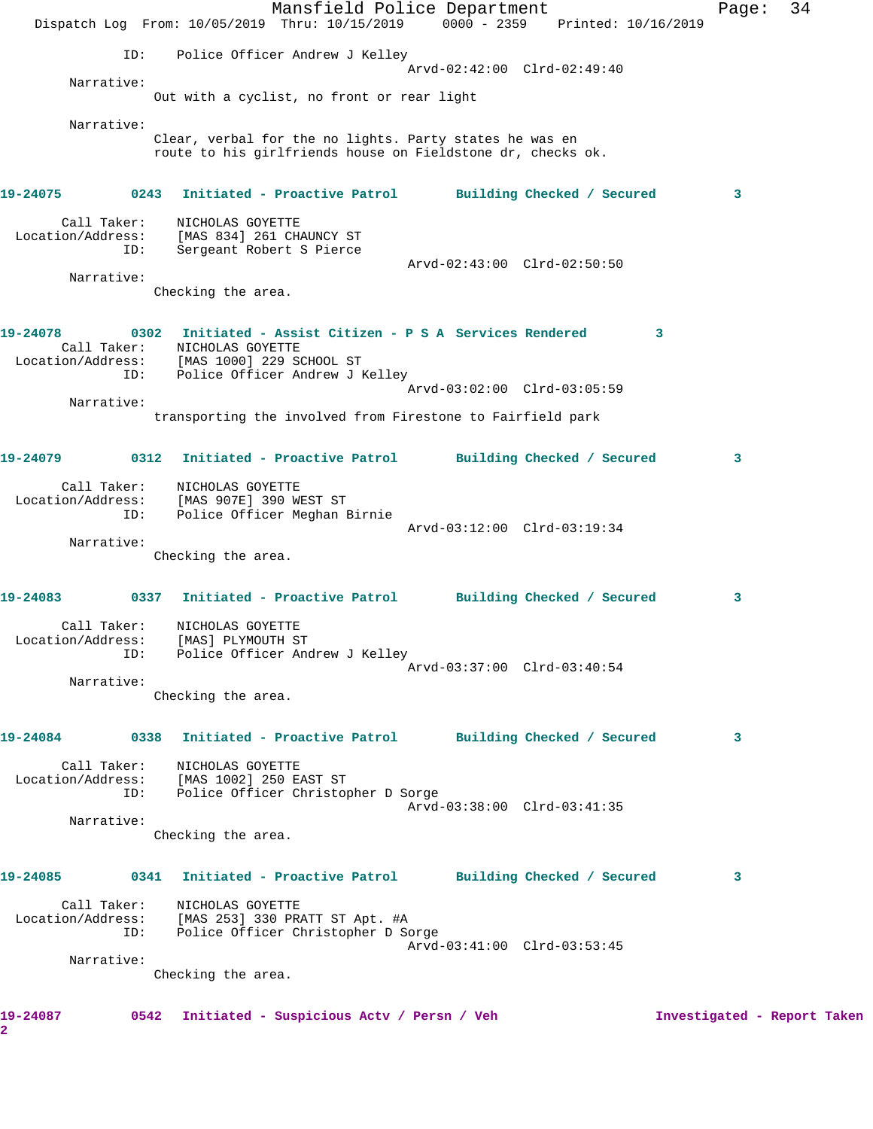Mansfield Police Department Page: 34 Dispatch Log From: 10/05/2019 Thru: 10/15/2019 0000 - 2359 Printed: 10/16/2019 ID: Police Officer Andrew J Kelley Arvd-02:42:00 Clrd-02:49:40 Narrative: Out with a cyclist, no front or rear light Narrative: Clear, verbal for the no lights. Party states he was en route to his girlfriends house on Fieldstone dr, checks ok. **19-24075 0243 Initiated - Proactive Patrol Building Checked / Secured 3** Call Taker: NICHOLAS GOYETTE Location/Address: [MAS 834] 261 CHAUNCY ST ID: Sergeant Robert S Pierce Arvd-02:43:00 Clrd-02:50:50 Narrative: Checking the area. **19-24078 0302 Initiated - Assist Citizen - P S A Services Rendered 3**  Call Taker: NICHOLAS GOYETTE Location/Address: [MAS 1000] 229 SCHOOL ST ID: Police Officer Andrew J Kelley Arvd-03:02:00 Clrd-03:05:59 Narrative: transporting the involved from Firestone to Fairfield park **19-24079 0312 Initiated - Proactive Patrol Building Checked / Secured 3** Call Taker: NICHOLAS GOYETTE Location/Address: [MAS 907E] 390 WEST ST ID: Police Officer Meghan Birnie Arvd-03:12:00 Clrd-03:19:34 Narrative: Checking the area. **19-24083 0337 Initiated - Proactive Patrol Building Checked / Secured 3** Call Taker: NICHOLAS GOYETTE Location/Address: [MAS] PLYMOUTH ST ID: Police Officer Andrew J Kelley Arvd-03:37:00 Clrd-03:40:54 Narrative: Checking the area. **19-24084 0338 Initiated - Proactive Patrol Building Checked / Secured 3** Call Taker: NICHOLAS GOYETTE Location/Address: [MAS 1002] 250 EAST ST ID: Police Officer Christopher D Sorge Arvd-03:38:00 Clrd-03:41:35 Narrative: Checking the area. **19-24085 0341 Initiated - Proactive Patrol Building Checked / Secured 3** Call Taker: NICHOLAS GOYETTE Location/Address: [MAS 253] 330 PRATT ST Apt. #A ID: Police Officer Christopher D Sorge Arvd-03:41:00 Clrd-03:53:45 Narrative: Checking the area. **19-24087 0542 Initiated - Suspicious Actv / Persn / Veh Investigated - Report Taken 2**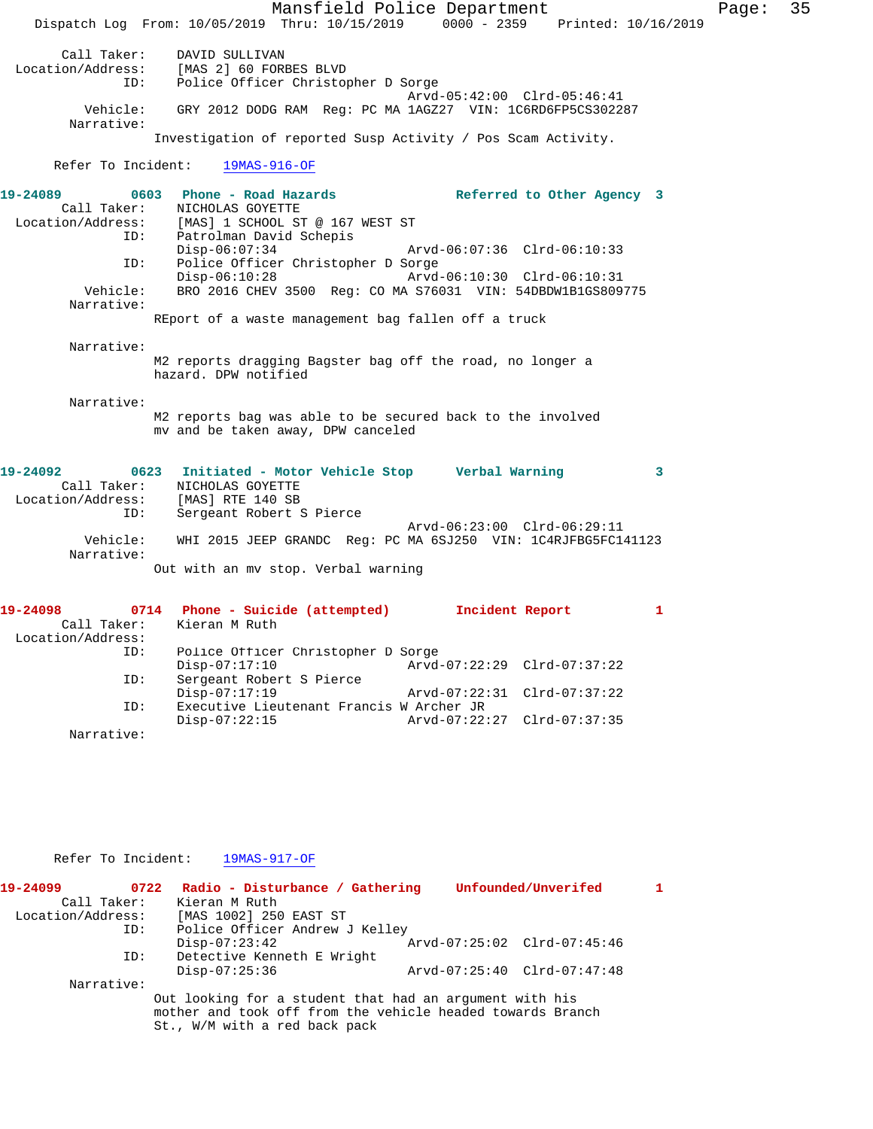Mansfield Police Department Fage: 35 Dispatch Log From: 10/05/2019 Thru: 10/15/2019 0000 - 2359 Printed: 10/16/2019 Call Taker: DAVID SULLIVAN Location/Address: [MAS 2] 60 FORBES BLVD ID: Police Officer Christopher D Sorge Arvd-05:42:00 Clrd-05:46:41<br>Vehicle: GRY 2012 DODG RAM Reg: PC MA 1AGZ27 VIN: 1C6RD6FP5CS3022 GRY 2012 DODG RAM Reg: PC MA 1AGZ27 VIN: 1C6RD6FP5CS302287 Narrative: Investigation of reported Susp Activity / Pos Scam Activity. Refer To Incident: 19MAS-916-OF **19-24089 0603 Phone - Road Hazards Referred to Other Agency 3**  Call Taker: NICHOLAS GOYETTE Location/Address: [MAS] 1 SCHOOL ST @ 167 WEST ST ID: Patrolman David Schepis<br>Disp-06:07:34 Disp-06:07:34 Arvd-06:07:36 Clrd-06:10:33 ID: Police Officer Christopher D Sorge Disp-06:10:28 Arvd-06:10:30 Clrd-06:10:31 Vehicle: BRO 2016 CHEV 3500 Reg: CO MA S76031 VIN: 54DBDW1B1GS809775 Narrative: REport of a waste management bag fallen off a truck Narrative: M2 reports dragging Bagster bag off the road, no longer a hazard. DPW notified Narrative: M2 reports bag was able to be secured back to the involved mv and be taken away, DPW canceled **19-24092 0623 Initiated - Motor Vehicle Stop Verbal Warning 3**  Call Taker: NICHOLAS GOYETTE Location/Address: [MAS] RTE 140 SB ID: Sergeant Robert S Pierce Arvd-06:23:00 Clrd-06:29:11<br>Vehicle: WHI 2015 JEEP GRANDC Reg: PC MA 6SJ250 VIN: 1C4RJFBG5FC14 WHI 2015 JEEP GRANDC Reg: PC MA 6SJ250 VIN: 1C4RJFBG5FC141123 Narrative: Out with an mv stop. Verbal warning **19-24098 0714 Phone - Suicide (attempted) Incident Report 1**  Kieran M Ruth Location/Address: ID: Police Officer Christopher D Sorge Disp-07:17:10 Arvd-07:22:29 Clrd-07:37:22<br>TD: Sergeant Robert S Pierce Sergeant Robert S Pierce<br>Disp-07:17:19 Disp-07:17:19 <br>D: Executive Lieutenant Francis W Archer JR<br>D: Executive Lieutenant Francis W Archer JR Executive Lieutenant Francis W Archer JR<br>Disp-07:22:15 Arvd-07:22 Disp-07:22:15 Arvd-07:22:27 Clrd-07:37:35

Refer To Incident: 19MAS-917-OF

Narrative:

| 19-24099          | 0722       | Radio - Disturbance / Gathering                            |  | Unfounded/Unverifed         |  |
|-------------------|------------|------------------------------------------------------------|--|-----------------------------|--|
| Call Taker:       |            | Kieran M Ruth                                              |  |                             |  |
| Location/Address: |            | [MAS 1002] 250 EAST ST                                     |  |                             |  |
|                   | ID:        | Police Officer Andrew J Kelley                             |  |                             |  |
|                   |            | $Disp-07:23:42$                                            |  | Arvd-07:25:02 Clrd-07:45:46 |  |
|                   | ID:        | Detective Kenneth E Wright                                 |  |                             |  |
|                   |            | $Disp-07:25:36$                                            |  | Arvd-07:25:40 Clrd-07:47:48 |  |
|                   | Narrative: |                                                            |  |                             |  |
|                   |            | Out looking for a student that had an argument with his    |  |                             |  |
|                   |            | mother and took off from the vehicle headed towards Branch |  |                             |  |
|                   |            | St., W/M with a red back pack                              |  |                             |  |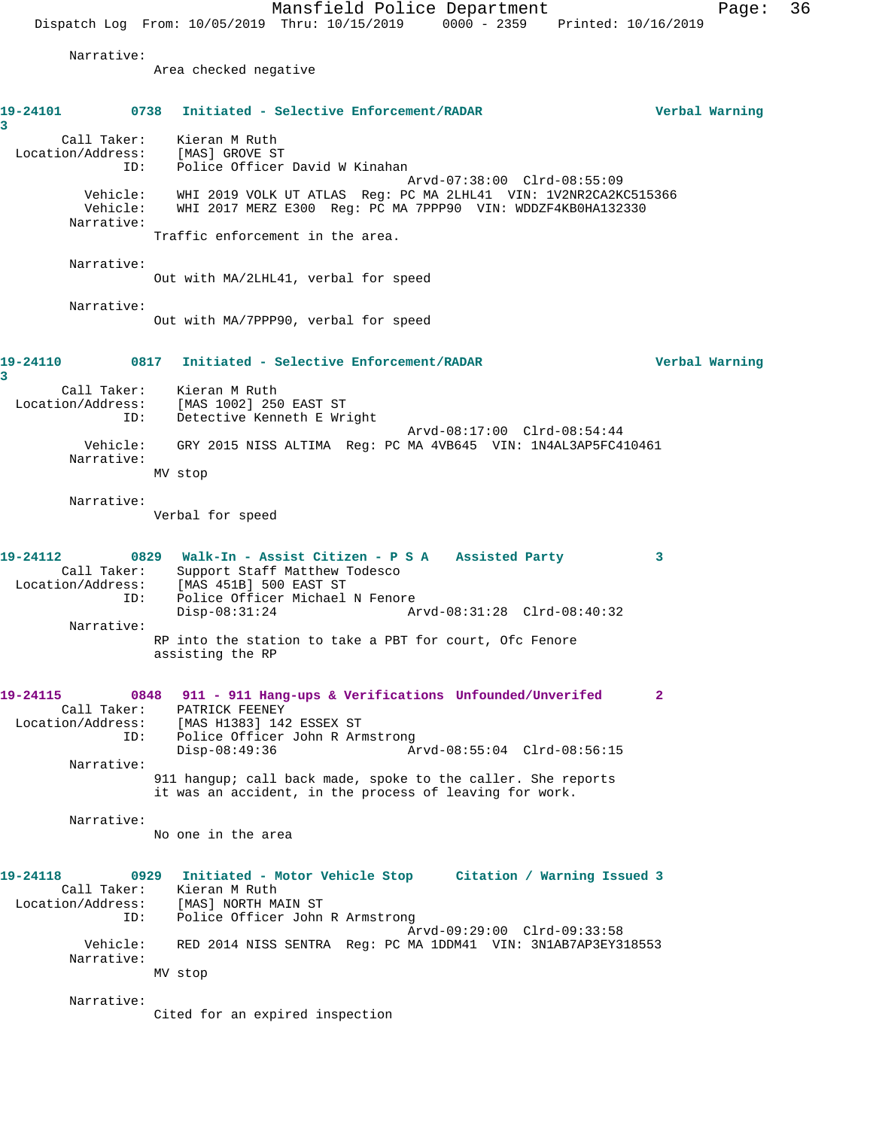Mansfield Police Department Page: 36 Dispatch Log From: 10/05/2019 Thru: 10/15/2019 0000 - 2359 Printed: 10/16/2019 Narrative: Area checked negative **19-24101 0738 Initiated - Selective Enforcement/RADAR Verbal Warning 3**  Call Taker: Kieran M Ruth Location/Address: [MAS] GROVE ST ID: Police Officer David W Kinahan Arvd-07:38:00 Clrd-08:55:09 Vehicle: WHI 2019 VOLK UT ATLAS Reg: PC MA 2LHL41 VIN: 1V2NR2CA2KC515366 Vehicle: WHI 2017 MERZ E300 Reg: PC MA 7PPP90 VIN: WDDZF4KB0HA132330 Narrative: Traffic enforcement in the area. Narrative: Out with MA/2LHL41, verbal for speed Narrative: Out with MA/7PPP90, verbal for speed **19-24110 0817 Initiated - Selective Enforcement/RADAR Verbal Warning 3**  Call Taker: Kieran M Ruth Location/Address: [MAS 1002] 250 EAST ST ID: Detective Kenneth E Wright Arvd-08:17:00 Clrd-08:54:44 Vehicle: GRY 2015 NISS ALTIMA Reg: PC MA 4VB645 VIN: 1N4AL3AP5FC410461 Narrative: MV stop Narrative: Verbal for speed **19-24112 0829 Walk-In - Assist Citizen - P S A Assisted Party 3**  Call Taker: Support Staff Matthew Todesco Location/Address: [MAS 451B] 500 EAST ST ID: Police Officer Michael N Fenore Disp-08:31:24 Arvd-08:31:28 Clrd-08:40:32 Narrative: RP into the station to take a PBT for court, Ofc Fenore assisting the RP **19-24115 0848 911 - 911 Hang-ups & Verifications Unfounded/Unverifed 2**  Call Taker: PATRICK FEENEY Location/Address: [MAS H1383] 142 ESSEX ST ID: Police Officer John R Armstrong Disp-08:49:36 Arvd-08:55:04 Clrd-08:56:15 Narrative: 911 hangup; call back made, spoke to the caller. She reports it was an accident, in the process of leaving for work. Narrative: No one in the area **19-24118 0929 Initiated - Motor Vehicle Stop Citation / Warning Issued 3**  Call Taker: Kieran M Ruth<br>ion/Address: [MAS] NORTH MAIN ST Location/Address:<br>ID: Police Officer John R Armstrong Arvd-09:29:00 Clrd-09:33:58 Vehicle: RED 2014 NISS SENTRA Reg: PC MA 1DDM41 VIN: 3N1AB7AP3EY318553 Narrative: MV stop Narrative: Cited for an expired inspection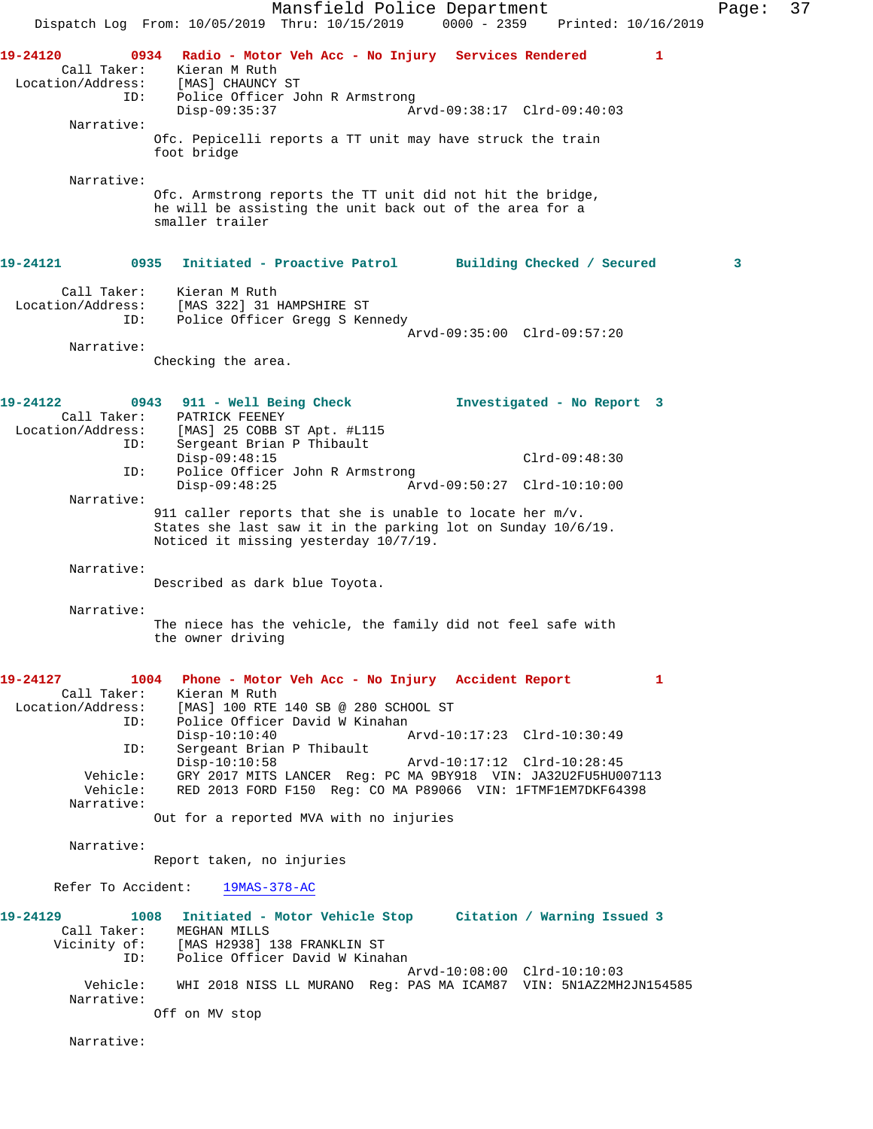Mansfield Police Department Page: 37 Dispatch Log From: 10/05/2019 Thru: 10/15/2019 0000 - 2359 Printed: 10/16/2019 **19-24120 0934 Radio - Motor Veh Acc - No Injury Services Rendered 1**  Call Taker: Kieran M Ruth Location/Address: [MAS] CHAUNCY ST ID: Police Officer John R Armstrong Disp-09:35:37 Arvd-09:38:17 Clrd-09:40:03 Narrative: Ofc. Pepicelli reports a TT unit may have struck the train foot bridge Narrative: Ofc. Armstrong reports the TT unit did not hit the bridge, he will be assisting the unit back out of the area for a smaller trailer **19-24121 0935 Initiated - Proactive Patrol Building Checked / Secured 3** Call Taker: Kieran M Ruth Location/Address: [MAS 322] 31 HAMPSHIRE ST ID: Police Officer Gregg S Kennedy Arvd-09:35:00 Clrd-09:57:20 Narrative: Checking the area. **19-24122 0943 911 - Well Being Check Investigated - No Report 3**  Call Taker: PATRICK FEENEY Location/Address: [MAS] 25 COBB ST Apt. #L115 Sergeant Brian P Thibault Disp-09:48:15 Clrd-09:48:30<br>TD: Police Officer John R Armstrong Clrd-09:48:30 Police Officer John R Armstrong<br>Disp-09:48:25 Ar Disp-09:48:25 Arvd-09:50:27 Clrd-10:10:00 Narrative: 911 caller reports that she is unable to locate her m/v. States she last saw it in the parking lot on Sunday 10/6/19. Noticed it missing yesterday 10/7/19. Narrative: Described as dark blue Toyota. Narrative: The niece has the vehicle, the family did not feel safe with the owner driving **19-24127 1004 Phone - Motor Veh Acc - No Injury Accident Report 1**  Call Taker: Kieran M Ruth<br>Location/Address: [MAS] 100 RTE ess: [MAS] 100 RTE 140 SB @ 280 SCHOOL ST<br>ID: Police Officer David W Kinahan Police Officer David W Kinahan Disp-10:10:40 Arvd-10:17:23 Clrd-10:30:49 ID: Sergeant Brian P Thibault Disp-10:10:58 Arvd-10:17:12 Clrd-10:28:45 Vehicle: GRY 2017 MITS LANCER Reg: PC MA 9BY918 VIN: JA32U2FU5HU007113 Vehicle: RED 2013 FORD F150 Reg: CO MA P89066 VIN: 1FTMF1EM7DKF64398 Narrative: Out for a reported MVA with no injuries Narrative: Report taken, no injuries Refer To Accident: 19MAS-378-AC **19-24129 1008 Initiated - Motor Vehicle Stop Citation / Warning Issued 3**  Call Taker: MEGHAN MILLS Vicinity of: [MAS H2938] 138 FRANKLIN ST ID: Police Officer David W Kinahan Arvd-10:08:00 Clrd-10:10:03 Vehicle: WHI 2018 NISS LL MURANO Reg: PAS MA ICAM87 VIN: 5N1AZ2MH2JN154585 Narrative: Off on MV stop Narrative: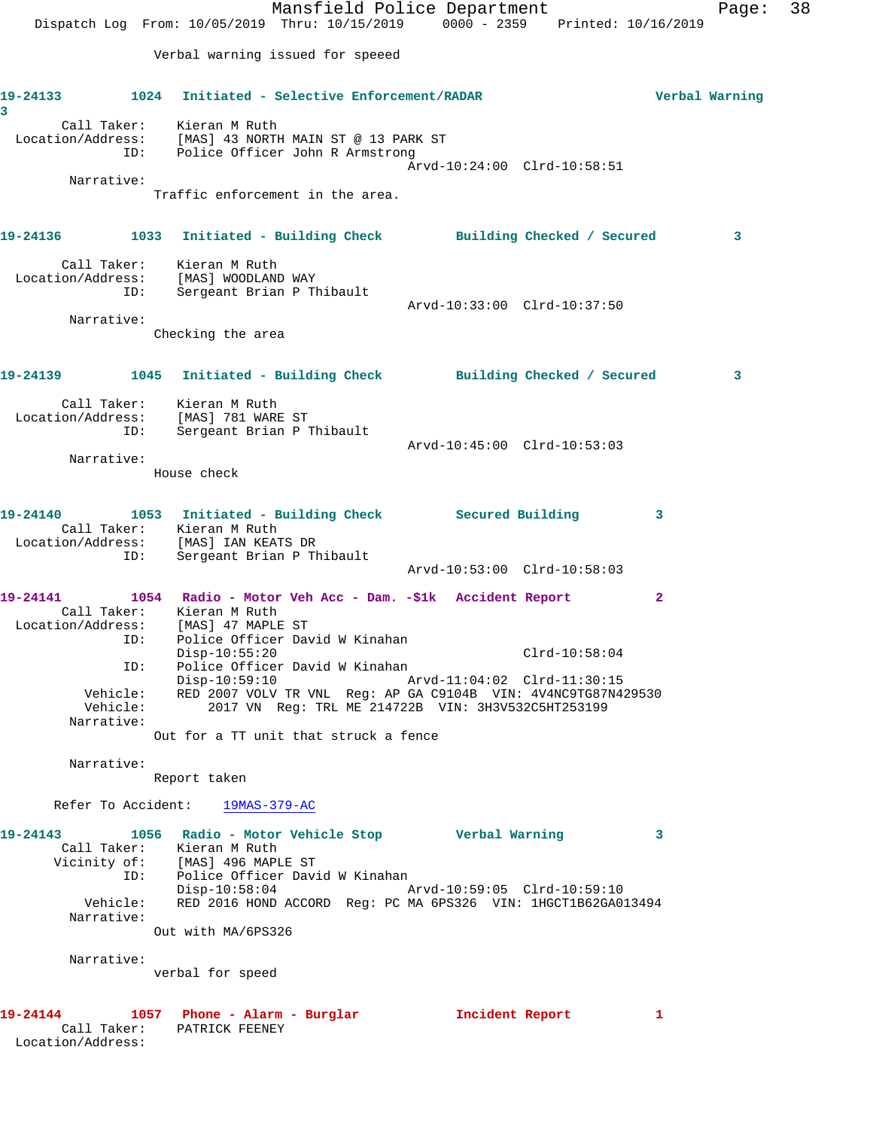Mansfield Police Department Fage: 38 Dispatch Log From: 10/05/2019 Thru: 10/15/2019 0000 - 2359 Printed: 10/16/2019 Verbal warning issued for speeed **19-24133 1024 Initiated - Selective Enforcement/RADAR Verbal Warning 3**  Call Taker: Kieran M Ruth Location/Address: [MAS] 43 NORTH MAIN ST @ 13 PARK ST ID: Police Officer John R Armstrong Arvd-10:24:00 Clrd-10:58:51 Narrative: Traffic enforcement in the area. **19-24136 1033 Initiated - Building Check Building Checked / Secured 3** Call Taker: Kieran M Ruth Location/Address: [MAS] WOODLAND WAY ID: Sergeant Brian P Thibault Arvd-10:33:00 Clrd-10:37:50 Narrative: Checking the area **19-24139 1045 Initiated - Building Check Building Checked / Secured 3** Call Taker: Kieran M Ruth Location/Address: [MAS] 781 WARE ST ID: Sergeant Brian P Thibault Arvd-10:45:00 Clrd-10:53:03 Narrative: House check **19-24140 1053 Initiated - Building Check Secured Building 3**  Call Taker: Kieran M Ruth Location/Address: [MAS] IAN KEATS DR ID: Sergeant Brian P Thibault Arvd-10:53:00 Clrd-10:58:03 **19-24141 1054 Radio - Motor Veh Acc - Dam. -\$1k Accident Report 2**  Call Taker: Kieran M Ruth Location/Address: [MAS] 47 MAPLE ST ID: Police Officer David W Kinahan Disp-10:55:20 Clrd-10:58:04 ID: Police Officer David W Kinahan<br>Disp-10:59:10 Arvd-11:04:02 Clrd-11:30:15 Disp-10:59:10 Arvd-11:04:02 Clrd-11:30:15 Vehicle: RED 2007 VOLV TR VNL Reg: AP GA C9104B VIN: 4V4NC9TG87N429530 Vehicle: 2017 VN Reg: TRL ME 214722B VIN: 3H3V532C5HT253199 Narrative: Out for a TT unit that struck a fence Narrative: Report taken Refer To Accident: 19MAS-379-AC **19-24143 1056 Radio - Motor Vehicle Stop Verbal Warning 3**  Call Taker: Kieran M Ruth Vicinity of: [MAS] 496 MAPLE ST ID: Police Officer David W Kinahan Disp-10:58:04 Arvd-10:59:05 Clrd-10:59:10 Vehicle: RED 2016 HOND ACCORD Reg: PC MA 6PS326 VIN: 1HGCT1B62GA013494 Narrative: Out with MA/6PS326 Narrative: verbal for speed **19-24144 1057 Phone - Alarm - Burglar Incident Report 1**  Call Taker: PATRICK FEENEY Location/Address: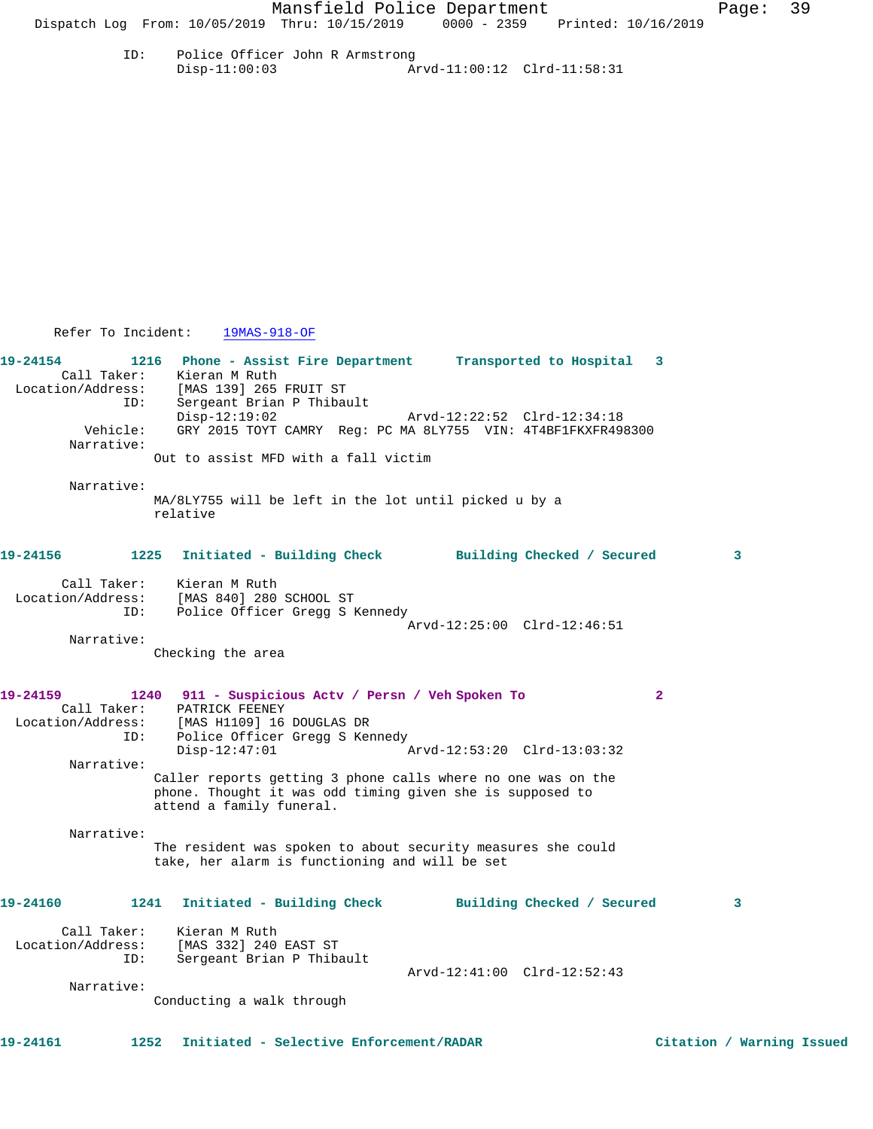ID: Police Officer John R Armstrong Disp-11:00:03 Arvd-11:00:12 Clrd-11:58:31

Refer To Incident: 19MAS-918-OF

**19-24154 1216 Phone - Assist Fire Department Transported to Hospital 3**  Call Taker: Kieran M Ruth<br>Location/Address: [MAS 139] 265 [MAS 139] 265 FRUIT ST ID: Sergeant Brian P Thibault Disp-12:19:02 Arvd-12:22:52 Clrd-12:34:18<br>Vehicle: GRY 2015 TOYT CAMRY Reg: PC MA 8LY755 VIN: 4T4BF1FKXFR49; GRY 2015 TOYT CAMRY Reg: PC MA 8LY755 VIN: 4T4BF1FKXFR498300 Narrative: Out to assist MFD with a fall victim Narrative: MA/8LY755 will be left in the lot until picked u by a relative **19-24156 1225 Initiated - Building Check Building Checked / Secured 3** Call Taker: Kieran M Ruth Location/Address: [MAS 840] 280 SCHOOL ST ID: Police Officer Gregg S Kennedy Arvd-12:25:00 Clrd-12:46:51 Narrative: Checking the area **19-24159 1240 911 - Suspicious Actv / Persn / Veh Spoken To 2**  Call Taker: PATRICK FEENEY<br>Location/Address: [MAS H1109] 16<br>ID: Police Officer [MAS H1109] 16 DOUGLAS DR Police Officer Gregg S Kennedy<br>Disp-12:47:01 Disp-12:47:01 Arvd-12:53:20 Clrd-13:03:32 Narrative: Caller reports getting 3 phone calls where no one was on the phone. Thought it was odd timing given she is supposed to attend a family funeral. Narrative: The resident was spoken to about security measures she could take, her alarm is functioning and will be set **19-24160 1241 Initiated - Building Check Building Checked / Secured 3** Call Taker: Kieran M Ruth Location/Address: [MAS 332] 240 EAST ST ID: Sergeant Brian P Thibault Arvd-12:41:00 Clrd-12:52:43 Narrative:

Conducting a walk through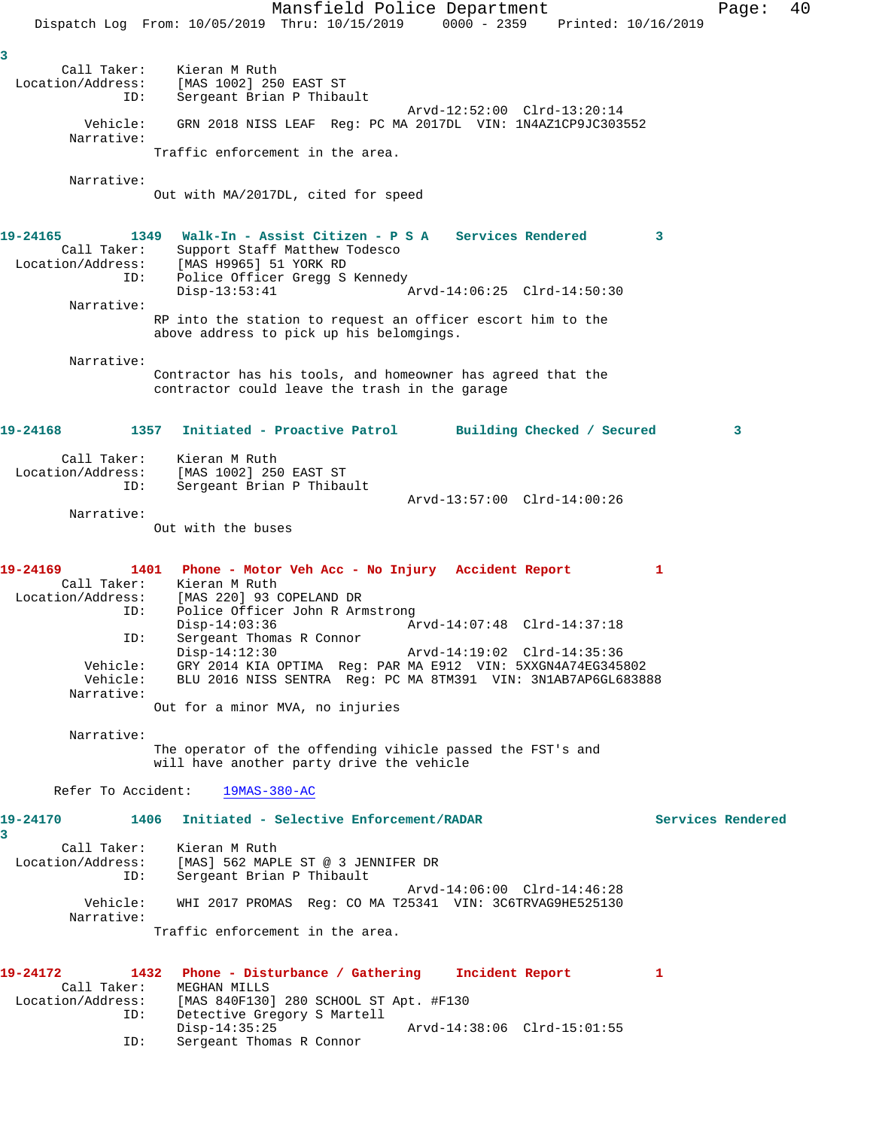Mansfield Police Department Fage: 40 Dispatch Log From: 10/05/2019 Thru: 10/15/2019 0000 - 2359 Printed: 10/16/2019 **3**  Call Taker: Kieran M Ruth Location/Address: [MAS 1002] 250 EAST ST ID: Sergeant Brian P Thibault Arvd-12:52:00 Clrd-13:20:14 Vehicle: GRN 2018 NISS LEAF Reg: PC MA 2017DL VIN: 1N4AZ1CP9JC303552 Narrative: Traffic enforcement in the area. Narrative: Out with MA/2017DL, cited for speed **19-24165 1349 Walk-In - Assist Citizen - P S A Services Rendered 3**  Call Taker: Support Staff Matthew Todesco Location/Address: [MAS H9965] 51 YORK RD ID: Police Officer Gregg S Kennedy Disp-13:53:41 Arvd-14:06:25 Clrd-14:50:30 Narrative: RP into the station to request an officer escort him to the above address to pick up his belomgings. Narrative: Contractor has his tools, and homeowner has agreed that the contractor could leave the trash in the garage **19-24168 1357 Initiated - Proactive Patrol Building Checked / Secured 3** Call Taker: Kieran M Ruth Location/Address: [MAS 1002] 250 EAST ST ID: Sergeant Brian P Thibault Arvd-13:57:00 Clrd-14:00:26 Narrative: Out with the buses **19-24169 1401 Phone - Motor Veh Acc - No Injury Accident Report 1**  Call Taker: Kieran M Ruth Location/Address: [MAS 220] 93 COPELAND DR ID: Police Officer John R Armstrong Disp-14:03:36 <br>ID: Sergeant Thomas R Connor <br>Arvd-14:07:48 Clrd-14:37:18 Sergeant Thomas R Connor<br>Disp-14:12:30 Disp-14:12:30 Arvd-14:19:02 Clrd-14:35:36 Vehicle: GRY 2014 KIA OPTIMA Reg: PAR MA E912 VIN: 5XXGN4A74EG345802 Vehicle: BLU 2016 NISS SENTRA Reg: PC MA 8TM391 VIN: 3N1AB7AP6GL683888 Narrative: Out for a minor MVA, no injuries Narrative: The operator of the offending vihicle passed the FST's and will have another party drive the vehicle Refer To Accident: 19MAS-380-AC **19-24170 1406 Initiated - Selective Enforcement/RADAR Services Rendered 3**  Call Taker: Kieran M Ruth Location/Address: [MAS] 562 MAPLE ST @ 3 JENNIFER DR ID: Sergeant Brian P Thibault Arvd-14:06:00 Clrd-14:46:28 Vehicle: WHI 2017 PROMAS Reg: CO MA T25341 VIN: 3C6TRVAG9HE525130 Narrative: Traffic enforcement in the area. **19-24172 1432 Phone - Disturbance / Gathering Incident Report 1**  Call Taker: MEGHAN MILLS Location/Address: [MAS 840F130] 280 SCHOOL ST Apt. #F130 ID: Detective Gregory S Martell Disp-14:35:25 Arvd-14:38:06 Clrd-15:01:55 ID: Sergeant Thomas R Connor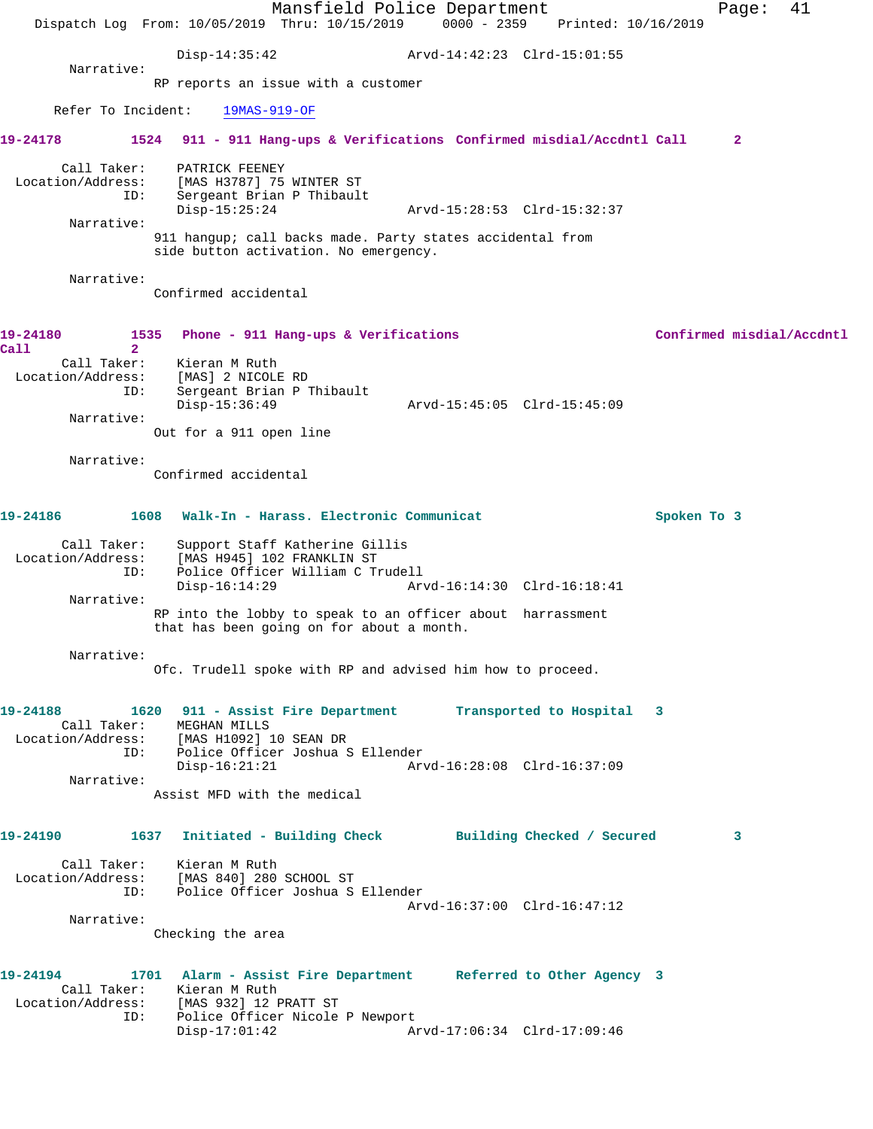|                                                                     | Dispatch Log From: 10/05/2019 Thru: 10/15/2019                                                                       | Mansfield Police Department                                        | $0000 - 2359$ | Printed: 10/16/2019                                                                           |             | 41<br>Page:               |
|---------------------------------------------------------------------|----------------------------------------------------------------------------------------------------------------------|--------------------------------------------------------------------|---------------|-----------------------------------------------------------------------------------------------|-------------|---------------------------|
|                                                                     | Disp-14:35:42                                                                                                        |                                                                    |               |                                                                                               |             |                           |
| Narrative:                                                          | RP reports an issue with a customer                                                                                  |                                                                    |               |                                                                                               |             |                           |
| Refer To Incident:                                                  | $19MAS-919-OF$                                                                                                       |                                                                    |               |                                                                                               |             |                           |
| 19-24178                                                            |                                                                                                                      |                                                                    |               | 1524 911 - 911 Hang-ups & Verifications Confirmed misdial/Accdntl Call                        |             | $\mathbf{2}$              |
| Call Taker:<br>Location/Address:<br>ID:                             | PATRICK FEENEY<br>[MAS H3787] 75 WINTER ST<br>Sergeant Brian P Thibault<br>$Disp-15:25:24$                           |                                                                    |               |                                                                                               |             |                           |
| Narrative:                                                          | 911 hangup; call backs made. Party states accidental from<br>side button activation. No emergency.                   |                                                                    |               |                                                                                               |             |                           |
| Narrative:                                                          | Confirmed accidental                                                                                                 |                                                                    |               |                                                                                               |             |                           |
| 19-24180<br>1535<br>Call<br>$\overline{2}$                          |                                                                                                                      | Phone - 911 Hang-ups & Verifications                               |               |                                                                                               |             | Confirmed misdial/Accdntl |
| Call Taker:<br>Location/Address:<br>ID:                             | Kieran M Ruth<br>[MAS] 2 NICOLE RD<br>Sergeant Brian P Thibault<br>Disp-15:36:49                                     |                                                                    |               | Arvd-15:45:05 Clrd-15:45:09                                                                   |             |                           |
| Narrative:                                                          | Out for a 911 open line                                                                                              |                                                                    |               |                                                                                               |             |                           |
| Narrative:                                                          | Confirmed accidental                                                                                                 |                                                                    |               |                                                                                               |             |                           |
| 19-24186                                                            | 1608 Walk-In - Harass. Electronic Communicat                                                                         |                                                                    |               |                                                                                               | Spoken To 3 |                           |
| Call Taker:<br>Location/Address:<br>ID:                             | [MAS H945] 102 FRANKLIN ST<br>$Disp-16:14:29$                                                                        | Support Staff Katherine Gillis<br>Police Officer William C Trudell |               | Arvd-16:14:30 Clrd-16:18:41                                                                   |             |                           |
| Narrative:                                                          | RP into the lobby to speak to an officer about harrassment<br>that has been going on for about a month.              |                                                                    |               |                                                                                               |             |                           |
| Narrative:                                                          | Ofc. Trudell spoke with RP and advised him how to proceed.                                                           |                                                                    |               |                                                                                               |             |                           |
| 19-24188<br>Location/Address: [MAS H1092] 10 SEAN DR<br>ID:         | 1620 911 - Assist Fire Department<br>Call Taker: MEGHAN MILLS<br>Police Officer Joshua S Ellender<br>$Disp-16:21:21$ |                                                                    |               | Transported to Hospital 3                                                                     |             |                           |
| Narrative:                                                          | Assist MFD with the medical                                                                                          |                                                                    |               |                                                                                               |             |                           |
| 19-24190 1637 Initiated - Building Check Building Checked / Secured |                                                                                                                      |                                                                    |               |                                                                                               |             | 3                         |
| Location/Address: [MAS 840] 280 SCHOOL ST<br>ID:                    | Call Taker: Kieran M Ruth<br>Police Officer Joshua S Ellender                                                        |                                                                    |               | Arvd-16:37:00 Clrd-16:47:12                                                                   |             |                           |
| Narrative:                                                          | Checking the area                                                                                                    |                                                                    |               |                                                                                               |             |                           |
| 19-24194<br>Location/Address: [MAS 932] 12 PRATT ST<br>ID:          | Call Taker: Kieran M Ruth<br>Police Officer Nicole P Newport<br>$Disp-17:01:42$                                      |                                                                    |               | 1701 Alarm - Assist Fire Department Referred to Other Agency 3<br>Arvd-17:06:34 Clrd-17:09:46 |             |                           |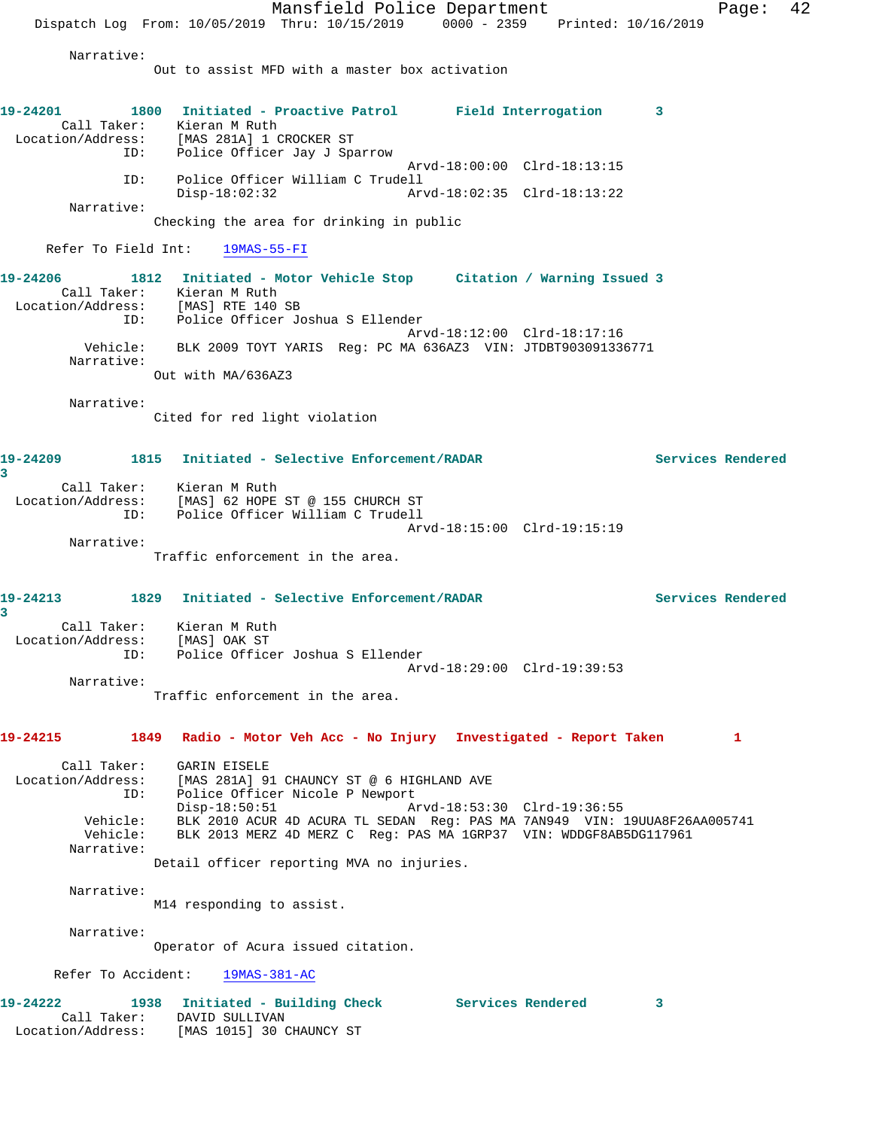Mansfield Police Department Fage: 42 Dispatch Log From: 10/05/2019 Thru: 10/15/2019 0000 - 2359 Printed: 10/16/2019 Narrative: Out to assist MFD with a master box activation **19-24201 1800 Initiated - Proactive Patrol Field Interrogation 3**  Call Taker: Kieran M Ruth Location/Address: [MAS 281A] 1 CROCKER ST ID: Police Officer Jay J Sparrow Arvd-18:00:00 Clrd-18:13:15 ID: Police Officer William C Trudell Disp-18:02:32 Arvd-18:02:35 Clrd-18:13:22 Narrative: Checking the area for drinking in public Refer To Field Int: 19MAS-55-FI **19-24206 1812 Initiated - Motor Vehicle Stop Citation / Warning Issued 3**  Call Taker: Kieran M Ruth Location/Address: [MAS] RTE 140 SB ID: Police Officer Joshua S Ellender Arvd-18:12:00 Clrd-18:17:16 Vehicle: BLK 2009 TOYT YARIS Reg: PC MA 636AZ3 VIN: JTDBT903091336771 Narrative: Out with MA/636AZ3 Narrative: Cited for red light violation **19-24209 1815 Initiated - Selective Enforcement/RADAR Services Rendered 3**  Call Taker: Kieran M Ruth Location/Address: [MAS] 62 HOPE ST @ 155 CHURCH ST ID: Police Officer William C Trudell Arvd-18:15:00 Clrd-19:15:19 Narrative: Traffic enforcement in the area. **19-24213 1829 Initiated - Selective Enforcement/RADAR Services Rendered 3**  Call Taker: Kieran M Ruth Location/Address: [MAS] OAK ST ID: Police Officer Joshua S Ellender Arvd-18:29:00 Clrd-19:39:53 Narrative: Traffic enforcement in the area. **19-24215 1849 Radio - Motor Veh Acc - No Injury Investigated - Report Taken 1** Call Taker: GARIN EISELE<br>Location/Address: [MAS 281A] 9 [MAS 281A] 91 CHAUNCY ST @ 6 HIGHLAND AVE ID: Police Officer Nicole P Newport<br>Disp-18:50:51 Am Disp-18:50:51 Arvd-18:53:30 Clrd-19:36:55 Vehicle: BLK 2010 ACUR 4D ACURA TL SEDAN Reg: PAS MA 7AN949 VIN: 19UUA8F26AA005741 Vehicle: BLK 2013 MERZ 4D MERZ C Reg: PAS MA 1GRP37 VIN: WDDGF8AB5DG117961 Narrative: Detail officer reporting MVA no injuries. Narrative: M14 responding to assist. Narrative: Operator of Acura issued citation. Refer To Accident: 19MAS-381-AC **19-24222 1938 Initiated - Building Check Services Rendered 3**  Call Taker: DAVID SULLIVAN Location/Address: [MAS 1015] 30 CHAUNCY ST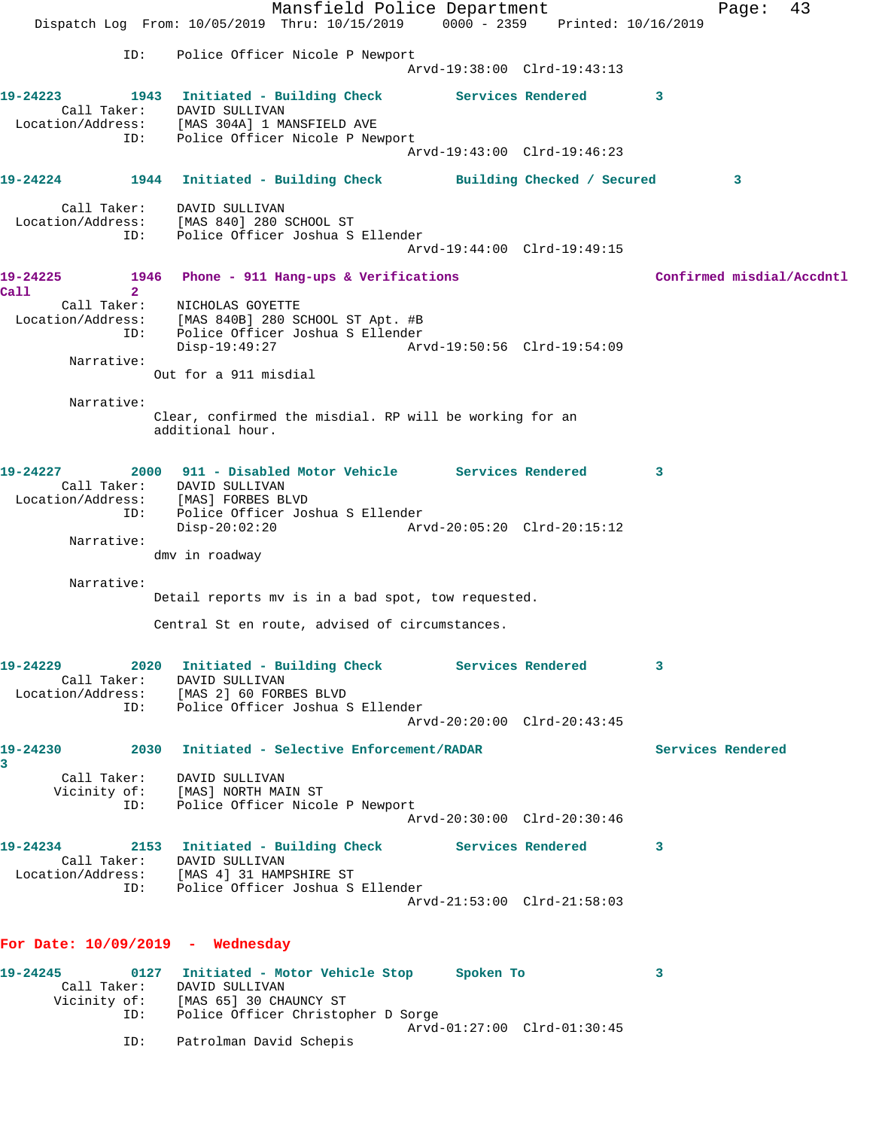Mansfield Police Department Fage: 43 Dispatch Log From: 10/05/2019 Thru: 10/15/2019 0000 - 2359 Printed: 10/16/2019 ID: Police Officer Nicole P Newport Arvd-19:38:00 Clrd-19:43:13 **19-24223 1943 Initiated - Building Check Services Rendered 3**  Call Taker: DAVID SULLIVAN Location/Address: [MAS 304A] 1 MANSFIELD AVE ID: Police Officer Nicole P Newport Arvd-19:43:00 Clrd-19:46:23 **19-24224 1944 Initiated - Building Check Building Checked / Secured 3** Call Taker: DAVID SULLIVAN Location/Address: [MAS 840] 280 SCHOOL ST ID: Police Officer Joshua S Ellender Arvd-19:44:00 Clrd-19:49:15 **19-24225 1946 Phone - 911 Hang-ups & Verifications Confirmed misdial/Accdntl Call 2**  Call Taker: NICHOLAS GOYETTE Location/Address: [MAS 840B] 280 SCHOOL ST Apt. #B ID: Police Officer Joshua S Ellender Disp-19:49:27 Arvd-19:50:56 Clrd-19:54:09 Narrative: Out for a 911 misdial Narrative: Clear, confirmed the misdial. RP will be working for an additional hour. **19-24227 2000 911 - Disabled Motor Vehicle Services Rendered 3**  Call Taker: DAVID SULLIVAN Location/Address: [MAS] FORBES BLVD ID: Police Officer Joshua S Ellender Disp-20:02:20 Arvd-20:05:20 Clrd-20:15:12 Narrative: dmv in roadway Narrative: Detail reports mv is in a bad spot, tow requested. Central St en route, advised of circumstances. **19-24229 2020 Initiated - Building Check Services Rendered 3**  Call Taker: DAVID SULLIVAN Location/Address: [MAS 2] 60 FORBES BLVD ID: Police Officer Joshua S Ellender Arvd-20:20:00 Clrd-20:43:45 **19-24230 2030 Initiated - Selective Enforcement/RADAR Services Rendered 3**  Call Taker: DAVID SULLIVAN Vicinity of: [MAS] NORTH MAIN ST ID: Police Officer Nicole P Newport Arvd-20:30:00 Clrd-20:30:46 **19-24234 2153 Initiated - Building Check Services Rendered 3**  Call Taker: DAVID SULLIVAN Location/Address: [MAS 4] 31 HAMPSHIRE ST ID: Police Officer Joshua S Ellender Arvd-21:53:00 Clrd-21:58:03 **For Date: 10/09/2019 - Wednesday 19-24245 0127 Initiated - Motor Vehicle Stop Spoken To 3**  Call Taker: DAVID SULLIVAN Vicinity of: [MAS 65] 30 CHAUNCY ST ID: Police Officer Christopher D Sorge Arvd-01:27:00 Clrd-01:30:45

ID: Patrolman David Schepis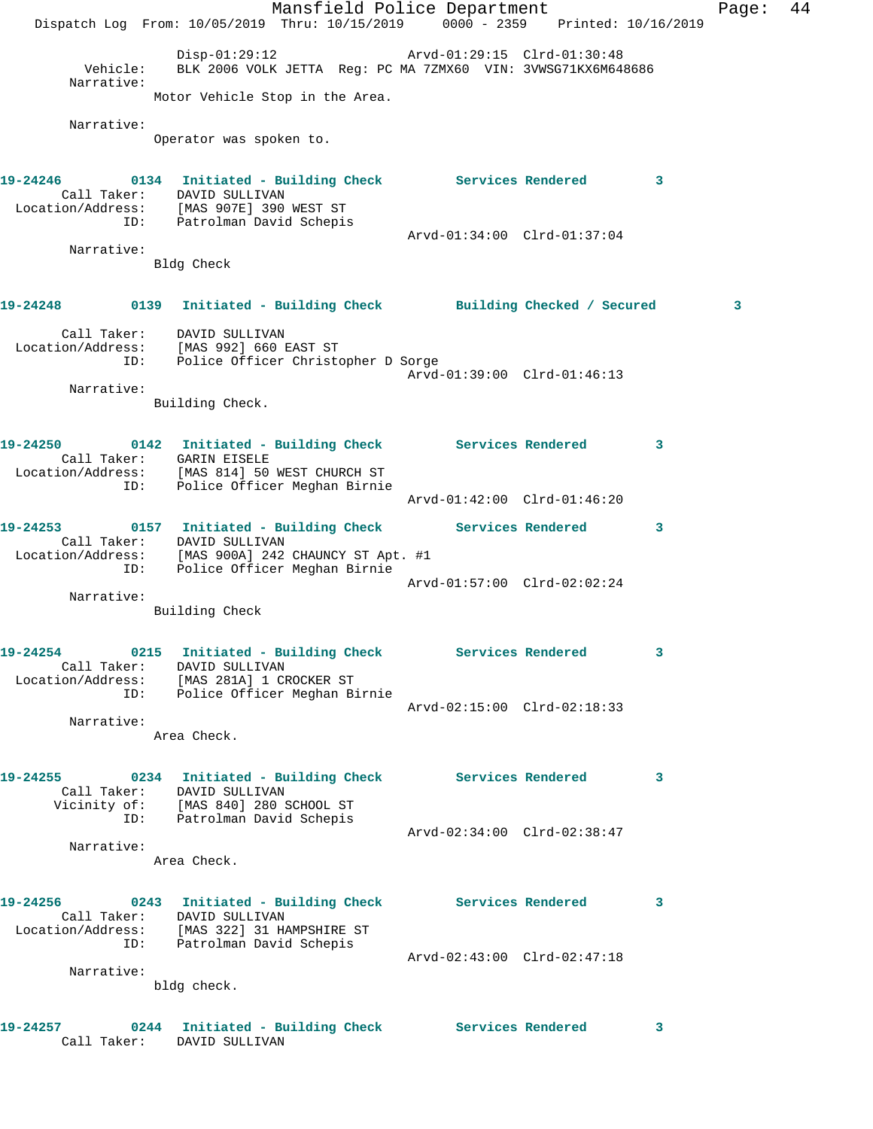Mansfield Police Department Fage: 44 Dispatch Log From: 10/05/2019 Thru: 10/15/2019 0000 - 2359 Printed: 10/16/2019 Disp-01:29:12 Arvd-01:29:15 Clrd-01:30:48 Vehicle: BLK 2006 VOLK JETTA Reg: PC MA 7ZMX60 VIN: 3VWSG71KX6M648686 Narrative: Motor Vehicle Stop in the Area. Narrative: Operator was spoken to. **19-24246 0134 Initiated - Building Check Services Rendered 3**  Call Taker: DAVID SULLIVAN Location/Address: [MAS 907E] 390 WEST ST ID: Patrolman David Schepis Arvd-01:34:00 Clrd-01:37:04 Narrative: Bldg Check **19-24248 0139 Initiated - Building Check Building Checked / Secured 3** Call Taker: DAVID SULLIVAN Location/Address: [MAS 992] 660 EAST ST ID: Police Officer Christopher D Sorge Arvd-01:39:00 Clrd-01:46:13 Narrative: Building Check. **19-24250 0142 Initiated - Building Check Services Rendered 3**  Call Taker: GARIN EISELE Location/Address: [MAS 814] 50 WEST CHURCH ST ID: Police Officer Meghan Birnie Arvd-01:42:00 Clrd-01:46:20 **19-24253 0157 Initiated - Building Check Services Rendered 3**  Call Taker: DAVID SULLIVAN Location/Address: [MAS 900A] 242 CHAUNCY ST Apt. #1 ID: Police Officer Meghan Birnie Arvd-01:57:00 Clrd-02:02:24 Narrative: Building Check **19-24254 0215 Initiated - Building Check Services Rendered 3**  Call Taker: DAVID SULLIVAN Location/Address: [MAS 281A] 1 CROCKER ST ID: Police Officer Meghan Birnie Arvd-02:15:00 Clrd-02:18:33 Narrative: Area Check. **19-24255 0234 Initiated - Building Check Services Rendered 3**  Call Taker: DAVID SULLIVAN Vicinity of: [MAS 840] 280 SCHOOL ST ID: Patrolman David Schepis Arvd-02:34:00 Clrd-02:38:47 Narrative: Area Check. **19-24256 0243 Initiated - Building Check Services Rendered 3**  Call Taker: DAVID SULLIVAN Location/Address: [MAS 322] 31 HAMPSHIRE ST ID: Patrolman David Schepis Arvd-02:43:00 Clrd-02:47:18 Narrative: bldg check. **19-24257 0244 Initiated - Building Check Services Rendered 3**  Call Taker: DAVID SULLIVAN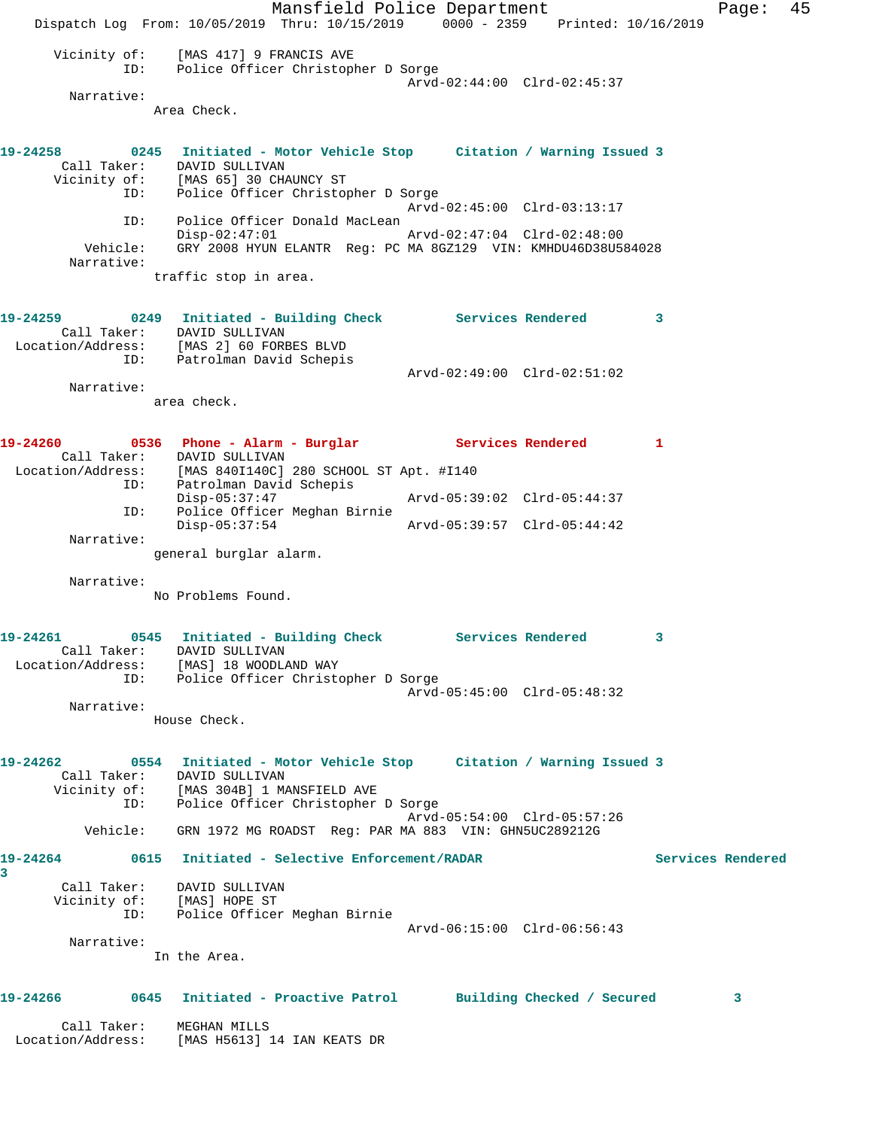Mansfield Police Department Fage: 45 Dispatch Log From: 10/05/2019 Thru: 10/15/2019 0000 - 2359 Printed: 10/16/2019 Vicinity of: [MAS 417] 9 FRANCIS AVE ID: Police Officer Christopher D Sorge Arvd-02:44:00 Clrd-02:45:37 Narrative: Area Check. **19-24258 0245 Initiated - Motor Vehicle Stop Citation / Warning Issued 3**  Call Taker: DAVID SULLIVAN Vicinity of: [MAS 65] 30 CHAUNCY ST ID: Police Officer Christopher D Sorge Arvd-02:45:00 Clrd-03:13:17 ID: Police Officer Donald MacLean Disp-02:47:01 Arvd-02:47:04 Clrd-02:48:00 Vehicle: GRY 2008 HYUN ELANTR Reg: PC MA 8GZ129 VIN: KMHDU46D38U584028 Narrative: traffic stop in area. **19-24259 0249 Initiated - Building Check Services Rendered 3**  Call Taker: DAVID SULLIVAN Location/Address: [MAS 2] 60 FORBES BLVD ID: Patrolman David Schepis Arvd-02:49:00 Clrd-02:51:02 Narrative: area check. **19-24260 0536 Phone - Alarm - Burglar Services Rendered 1**  Call Taker: DAVID SULLIVAN Location/Address: [MAS 840I140C] 280 SCHOOL ST Apt. #I140 ID: Patrolman David Schepis Disp-05:37:47 Arvd-05:39:02 Clrd-05:44:37 ID: Police Officer Meghan Birnie Disp-05:37:54 Arvd-05:39:57 Clrd-05:44:42 Narrative: general burglar alarm. Narrative: No Problems Found. **19-24261 0545 Initiated - Building Check Services Rendered 3**  Call Taker: DAVID SULLIVAN Location/Address: [MAS] 18 WOODLAND WAY ID: Police Officer Christopher D Sorge Arvd-05:45:00 Clrd-05:48:32 Narrative: House Check. **19-24262 0554 Initiated - Motor Vehicle Stop Citation / Warning Issued 3**  Call Taker: DAVID SULLIVAN Vicinity of: [MAS 304B] 1 MANSFIELD AVE ID: Police Officer Christopher D Sorge Arvd-05:54:00 Clrd-05:57:26 Vehicle: GRN 1972 MG ROADST Reg: PAR MA 883 VIN: GHN5UC289212G **19-24264 0615 Initiated - Selective Enforcement/RADAR Services Rendered 3**  Call Taker: DAVID SULLIVAN Vicinity of: [MAS] HOPE ST ID: Police Officer Meghan Birnie Arvd-06:15:00 Clrd-06:56:43 Narrative: In the Area. **19-24266 0645 Initiated - Proactive Patrol Building Checked / Secured 3** Call Taker: MEGHAN MILLS Location/Address: [MAS H5613] 14 IAN KEATS DR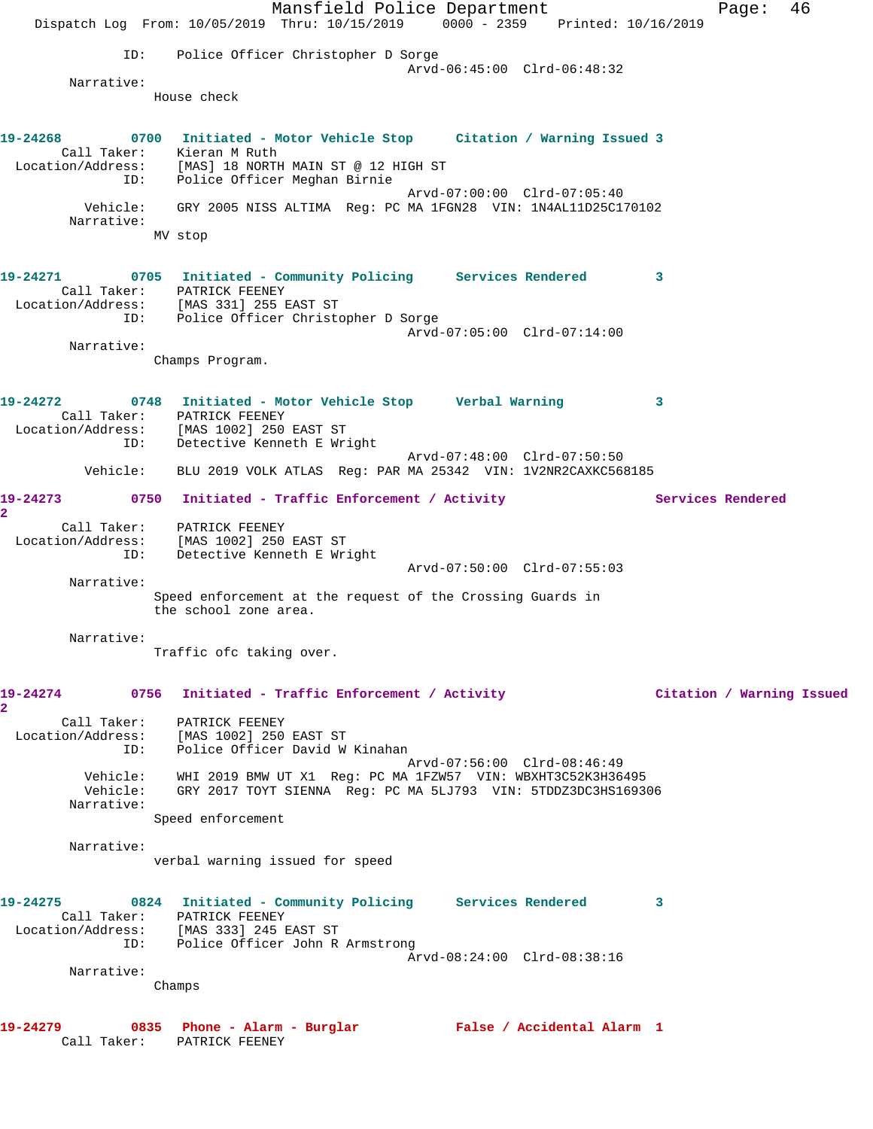Mansfield Police Department Fage: 46 Dispatch Log From: 10/05/2019 Thru: 10/15/2019 0000 - 2359 Printed: 10/16/2019 ID: Police Officer Christopher D Sorge Arvd-06:45:00 Clrd-06:48:32 Narrative: House check **19-24268 0700 Initiated - Motor Vehicle Stop Citation / Warning Issued 3**  Call Taker: Kieran M Ruth Location/Address: [MAS] 18 NORTH MAIN ST @ 12 HIGH ST ID: Police Officer Meghan Birnie Arvd-07:00:00 Clrd-07:05:40 Vehicle: GRY 2005 NISS ALTIMA Reg: PC MA 1FGN28 VIN: 1N4AL11D25C170102 Narrative: MV stop **19-24271 0705 Initiated - Community Policing Services Rendered 3**  Call Taker: PATRICK FEENEY Location/Address: [MAS 331] 255 EAST ST ID: Police Officer Christopher D Sorge Arvd-07:05:00 Clrd-07:14:00 Narrative: Champs Program. **19-24272 0748 Initiated - Motor Vehicle Stop Verbal Warning 3**  Call Taker: PATRICK FEENEY Location/Address: [MAS 1002] 250 EAST ST ID: Detective Kenneth E Wright Arvd-07:48:00 Clrd-07:50:50 Vehicle: BLU 2019 VOLK ATLAS Reg: PAR MA 25342 VIN: 1V2NR2CAXKC568185 19-24273 0750 Initiated - Traffic Enforcement / Activity **Services Rendered 2**  Call Taker: PATRICK FEENEY Location/Address: [MAS 1002] 250 EAST ST ID: Detective Kenneth E Wright Arvd-07:50:00 Clrd-07:55:03 Narrative: Speed enforcement at the request of the Crossing Guards in the school zone area. Narrative: Traffic ofc taking over. **19-24274 0756 Initiated - Traffic Enforcement / Activity Citation / Warning Issued 2**  Call Taker: PATRICK FEENEY Location/Address: [MAS 1002] 250 EAST ST ID: Police Officer David W Kinahan<br>ID: Police Officer David W Kinahan<br>Arvd-07:56:00 Clrd-08:46:49 Arvd-07:56:00 Clrd-08:46:49 Vehicle: WHI 2019 BMW UT X1 Reg: PC MA 1FZW57 VIN: WBXHT3C52K3H36495 Vehicle: GRY 2017 TOYT SIENNA Reg: PC MA 5LJ793 VIN: 5TDDZ3DC3HS169306 Narrative: Speed enforcement Narrative: verbal warning issued for speed **19-24275 0824 Initiated - Community Policing Services Rendered 3**  Call Taker: PATRICK FEENEY Location/Address: [MAS 333] 245 EAST ST ID: Police Officer John R Armstrong Arvd-08:24:00 Clrd-08:38:16 Narrative: Champs **19-24279 0835 Phone - Alarm - Burglar False / Accidental Alarm 1**  Call Taker: PATRICK FEENEY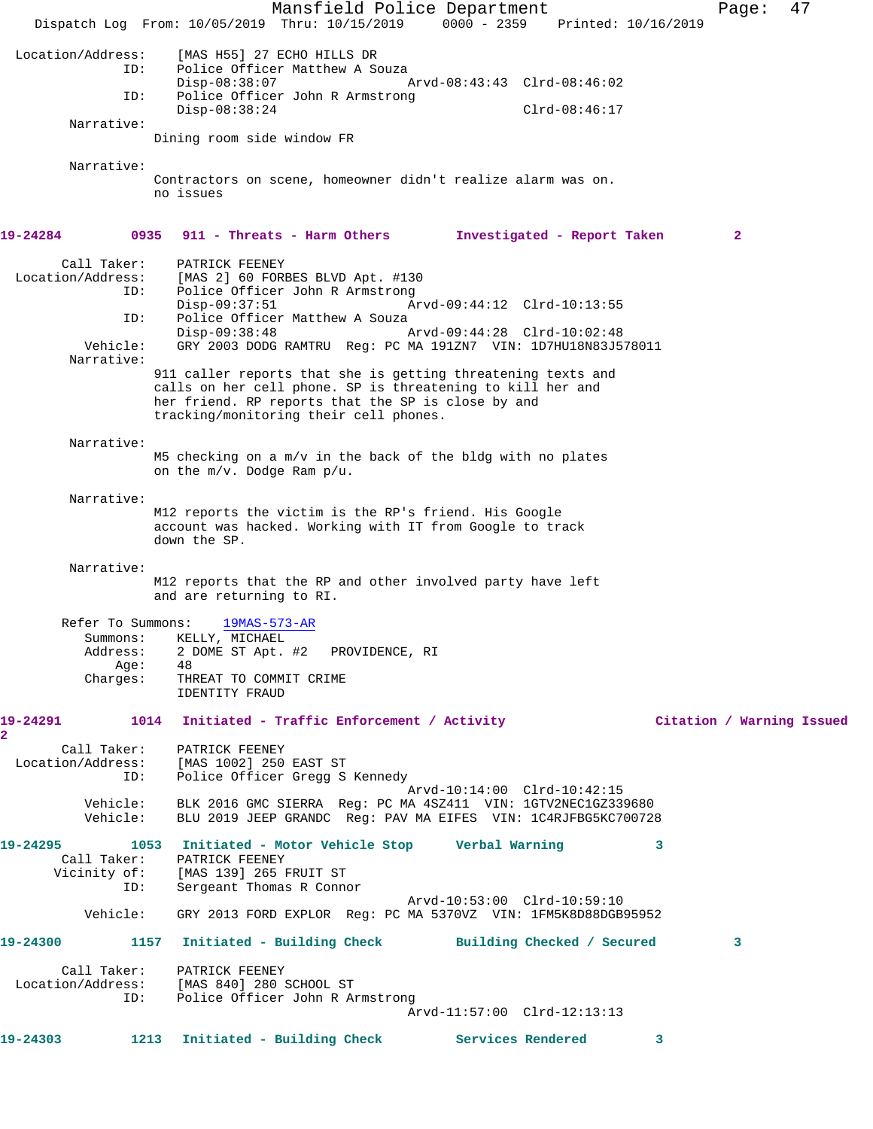Mansfield Police Department Fage: 47 Dispatch Log From: 10/05/2019 Thru: 10/15/2019 0000 - 2359 Printed: 10/16/2019 Location/Address: [MAS H55] 27 ECHO HILLS DR Police Officer Matthew A Souza<br>Disp-08:38:07 Disp-08:38:07 Arvd-08:43:43 Clrd-08:46:02 ID: Police Officer John R Armstrong Disp-08:38:24 Clrd-08:46:17 Narrative: Dining room side window FR Narrative: Contractors on scene, homeowner didn't realize alarm was on. no issues **19-24284 0935 911 - Threats - Harm Others Investigated - Report Taken 2** Call Taker: PATRICK FEENEY Location/Address: [MAS 2] 60 FORBES BLVD Apt. #130 ID: Police Officer John R Armstrong Disp-09:37:51 Arvd-09:44:12 Clrd-10:13:55 ID: Police Officer Matthew A Souza<br>Disp-09:38:48 Disp-09:38:48 Arvd-09:44:28 Clrd-10:02:48 Vehicle: GRY 2003 DODG RAMTRU Reg: PC MA 191ZN7 VIN: 1D7HU18N83J578011 Narrative: 911 caller reports that she is getting threatening texts and calls on her cell phone. SP is threatening to kill her and her friend. RP reports that the SP is close by and tracking/monitoring their cell phones. Narrative: M5 checking on a m/v in the back of the bldg with no plates on the m/v. Dodge Ram p/u. Narrative: M12 reports the victim is the RP's friend. His Google account was hacked. Working with IT from Google to track down the SP. Narrative: M12 reports that the RP and other involved party have left and are returning to RI. Refer To Summons: 19MAS-573-AR Summons: KELLY, MICHAEL Address: 2 DOME ST Apt. #2 PROVIDENCE, RI Age: 48 Charges: THREAT TO COMMIT CRIME IDENTITY FRAUD **19-24291 1014 Initiated - Traffic Enforcement / Activity Citation / Warning Issued 2**  Call Taker: PATRICK FEENEY Location/Address: [MAS 1002] 250 EAST ST ID: Police Officer Gregg S Kennedy Arvd-10:14:00 Clrd-10:42:15 Vehicle: BLK 2016 GMC SIERRA Reg: PC MA 4SZ411 VIN: 1GTV2NEC1GZ339680 Vehicle: BLU 2019 JEEP GRANDC Reg: PAV MA EIFES VIN: 1C4RJFBG5KC700728 **19-24295 1053 Initiated - Motor Vehicle Stop Verbal Warning 3**  Call Taker: PATRICK FEENEY<br>Vicinity of: [MAS 139] 265 I<br>ID: Sergeant Thomas [MAS 139] 265 FRUIT ST Sergeant Thomas R Connor Arvd-10:53:00 Clrd-10:59:10 Vehicle: GRY 2013 FORD EXPLOR Reg: PC MA 5370VZ VIN: 1FM5K8D88DGB95952 **19-24300 1157 Initiated - Building Check Building Checked / Secured 3** Call Taker: PATRICK FEENEY Location/Address: [MAS 840] 280 SCHOOL ST ID: Police Officer John R Armstrong Arvd-11:57:00 Clrd-12:13:13 **19-24303 1213 Initiated - Building Check Services Rendered 3**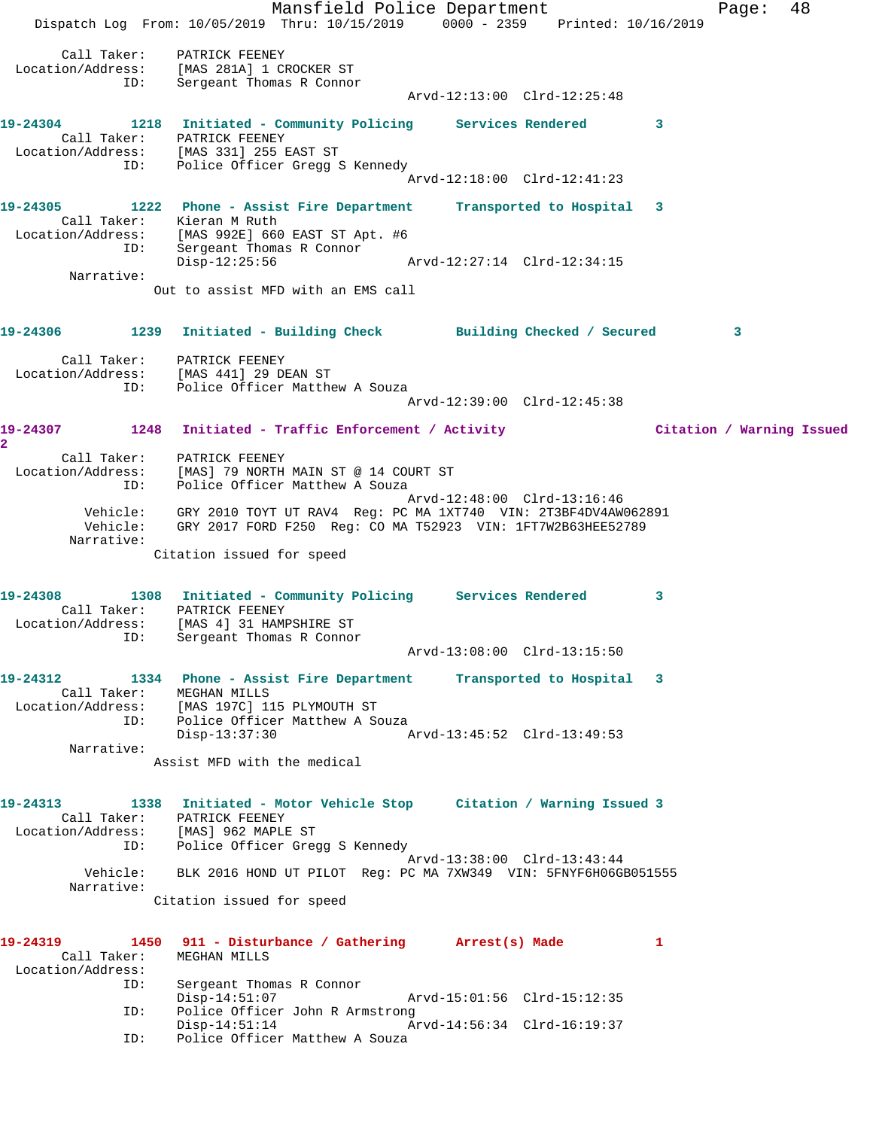Mansfield Police Department Fage: 48 Dispatch Log From: 10/05/2019 Thru: 10/15/2019 0000 - 2359 Printed: 10/16/2019 Call Taker: PATRICK FEENEY Location/Address: [MAS 281A] 1 CROCKER ST ID: Sergeant Thomas R Connor Arvd-12:13:00 Clrd-12:25:48 **19-24304 1218 Initiated - Community Policing Services Rendered 3**  Call Taker: PATRICK FEENEY Location/Address: [MAS 331] 255 EAST ST ID: Police Officer Gregg S Kennedy Arvd-12:18:00 Clrd-12:41:23 **19-24305 1222 Phone - Assist Fire Department Transported to Hospital 3**  Call Taker: Kieran M Ruth Location/Address: [MAS 992E] 660 EAST ST Apt. #6 ID: Sergeant Thomas R Connor Disp-12:25:56 Arvd-12:27:14 Clrd-12:34:15 Narrative: Out to assist MFD with an EMS call **19-24306 1239 Initiated - Building Check Building Checked / Secured 3** Call Taker: PATRICK FEENEY Location/Address: [MAS 441] 29 DEAN ST ID: Police Officer Matthew A Souza Arvd-12:39:00 Clrd-12:45:38 **19-24307 1248 Initiated - Traffic Enforcement / Activity Citation / Warning Issued 2**  Call Taker: PATRICK FEENEY Location/Address: [MAS] 79 NORTH MAIN ST @ 14 COURT ST ID: Police Officer Matthew A Souza Arvd-12:48:00 Clrd-13:16:46 Vehicle: GRY 2010 TOYT UT RAV4 Reg: PC MA 1XT740 VIN: 2T3BF4DV4AW062891 Vehicle: GRY 2017 FORD F250 Reg: CO MA T52923 VIN: 1FT7W2B63HEE52789 Narrative: Citation issued for speed **19-24308 1308 Initiated - Community Policing Services Rendered 3**  Call Taker: PATRICK FEENEY Location/Address: [MAS 4] 31 HAMPSHIRE ST ID: Sergeant Thomas R Connor Arvd-13:08:00 Clrd-13:15:50 **19-24312 1334 Phone - Assist Fire Department Transported to Hospital 3**  Call Taker: MEGHAN MILLS Location/Address: [MAS 197C] 115 PLYMOUTH ST ID: Police Officer Matthew A Souza Disp-13:37:30 Arvd-13:45:52 Clrd-13:49:53 Narrative: Assist MFD with the medical **19-24313 1338 Initiated - Motor Vehicle Stop Citation / Warning Issued 3**  Call Taker: PATRICK FEENEY Location/Address: [MAS] 962 MAPLE ST ID: Police Officer Gregg S Kennedy Arvd-13:38:00 Clrd-13:43:44 Vehicle: BLK 2016 HOND UT PILOT Reg: PC MA 7XW349 VIN: 5FNYF6H06GB051555 Narrative: Citation issued for speed **19-24319 1450 911 - Disturbance / Gathering Arrest(s) Made 1**  Call Taker: MEGHAN MILLS Location/Address: Sergeant Thomas R Connor<br>Disp-14:51:07 Disp-14:51:07 Arvd-15:01:56 Clrd-15:12:35 ID: Police Officer John R Armstrong Disp-14:51:14 Arvd-14:56:34 Clrd-16:19:37 ID: Police Officer Matthew A Souza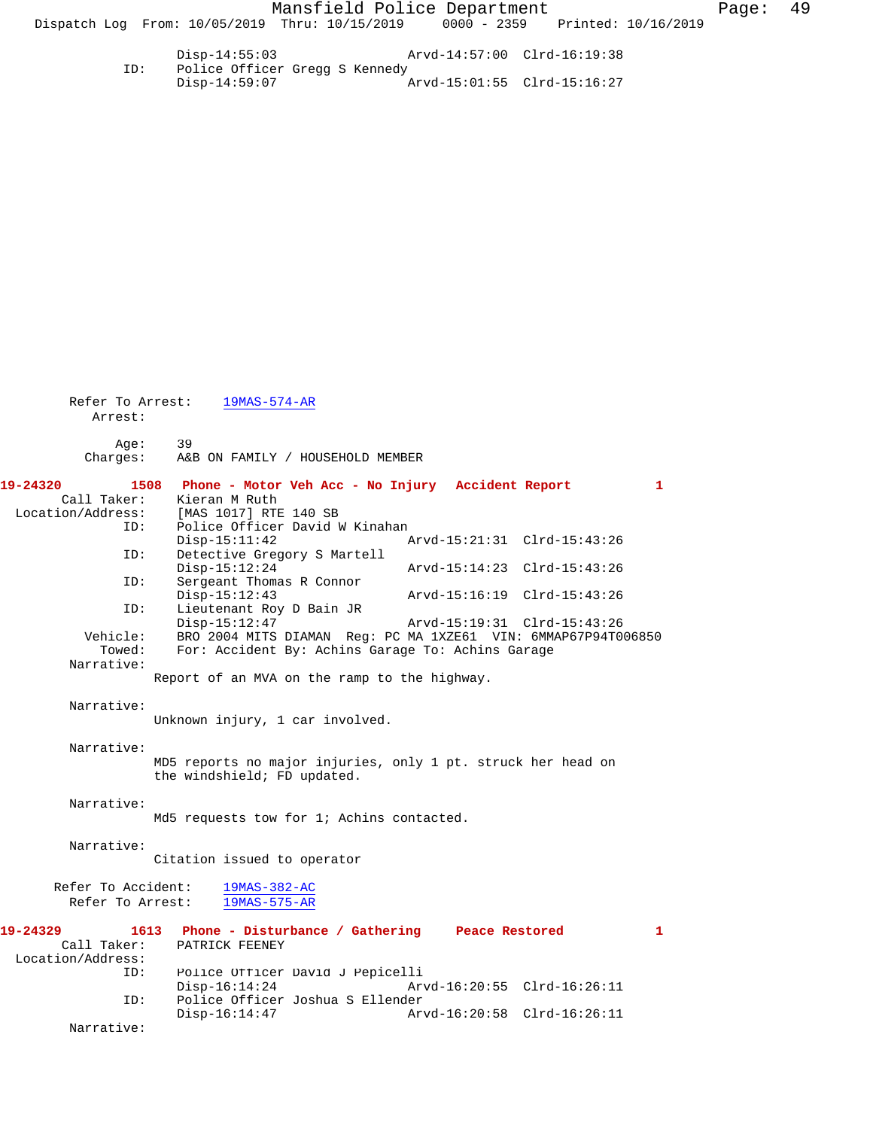Disp-14:55:03 Arvd-14:57:00 Clrd-16:19:38<br>ID: Police Officer Gregg S Kennedy Police Officer Gregg S Kennedy<br>Disp-14:59:07 Arvd-15:01:55 Clrd-15:16:27

| Refer To Arrest:<br>Arrest: | $19MAS-574-AR$                                                                              |  |
|-----------------------------|---------------------------------------------------------------------------------------------|--|
| Age:                        | 39                                                                                          |  |
| Charges:                    | A&B ON FAMILY / HOUSEHOLD MEMBER                                                            |  |
| 19-24320                    | 1508 Phone - Motor Veh Acc - No Injury Accident Report<br>$\mathbf{1}$                      |  |
| Call Taker:                 | Kieran M Ruth                                                                               |  |
| Location/Address:           | [MAS 1017] RTE 140 SB                                                                       |  |
| ID:                         | Police Officer David W Kinahan<br>Arvd-15:21:31 Clrd-15:43:26<br>$Disp-15:11:42$            |  |
| ID:                         | Detective Gregory S Martell<br>$Disp-15:12:24$<br>Arvd-15:14:23 Clrd-15:43:26               |  |
| ID:                         | Sergeant Thomas R Connor                                                                    |  |
| ID:                         | $Disp-15:12:43$<br>Arvd-15:16:19 Clrd-15:43:26<br>Lieutenant Roy D Bain JR                  |  |
|                             | $Disp-15:12:47$<br>Arvd-15:19:31 Clrd-15:43:26                                              |  |
| Vehicle:                    | BRO 2004 MITS DIAMAN Req: PC MA 1XZE61 VIN: 6MMAP67P94T006850                               |  |
| Towed:                      | For: Accident By: Achins Garage To: Achins Garage                                           |  |
| Narrative:                  |                                                                                             |  |
|                             | Report of an MVA on the ramp to the highway.                                                |  |
| Narrative:                  | Unknown injury, 1 car involved.                                                             |  |
| Narrative:                  |                                                                                             |  |
|                             | MD5 reports no major injuries, only 1 pt. struck her head on<br>the windshield; FD updated. |  |
|                             |                                                                                             |  |
| Narrative:                  |                                                                                             |  |
|                             | Md5 requests tow for 1; Achins contacted.                                                   |  |
| Narrative:                  |                                                                                             |  |
|                             | Citation issued to operator                                                                 |  |
| Refer To Accident:          | $19MAS-382-AC$                                                                              |  |
| Refer To Arrest:            | 19MAS-575-AR                                                                                |  |
|                             |                                                                                             |  |
| 19-24329                    | 1613<br>Phone - Disturbance / Gathering Peace Restored<br>$\mathbf{1}$                      |  |
| Call Taker:                 | PATRICK FEENEY                                                                              |  |
| Location/Address:           |                                                                                             |  |
| ID:                         | Police Officer David J Pepicelli                                                            |  |
|                             | $Disp-16:14:24$<br>Arvd-16:20:55 Clrd-16:26:11                                              |  |
| ID:                         | Police Officer Joshua S Ellender                                                            |  |
| Narrative:                  | $Disp-16:14:47$<br>Arvd-16:20:58 Clrd-16:26:11                                              |  |
|                             |                                                                                             |  |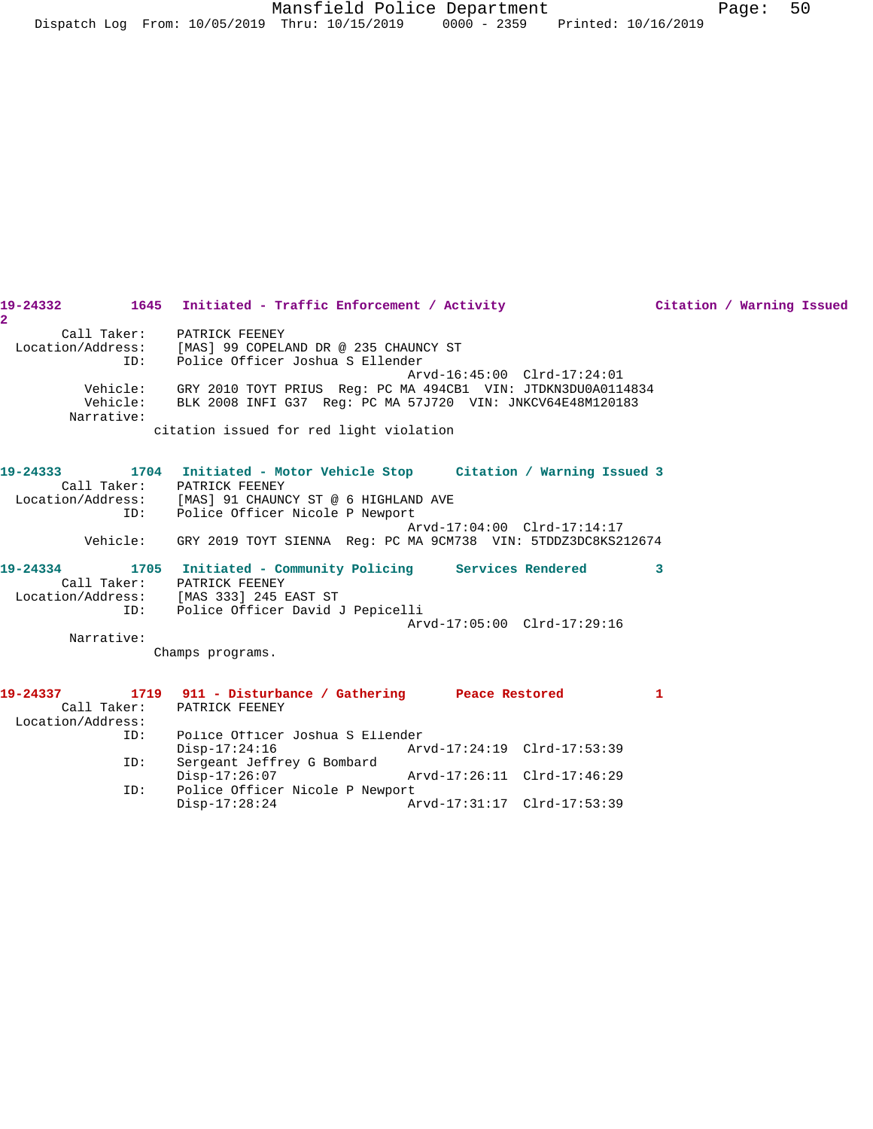| 19-24332             | 1645 Initiated - Traffic Enforcement / Activity                     | Citation / Warning Issued   |
|----------------------|---------------------------------------------------------------------|-----------------------------|
| $\overline{2}$       |                                                                     |                             |
| Call Taker:          | PATRICK FEENEY                                                      |                             |
|                      | Location/Address: [MAS] 99 COPELAND DR @ 235 CHAUNCY ST             |                             |
| ID:                  | Police Officer Joshua S Ellender                                    |                             |
|                      |                                                                     | Arvd-16:45:00 Clrd-17:24:01 |
| Vehicle:<br>Vehicle: | GRY 2010 TOYT PRIUS Req: PC MA 494CB1 VIN: JTDKN3DU0A0114834        |                             |
| Narrative:           | BLK 2008 INFI G37 Req: PC MA 57J720 VIN: JNKCV64E48M120183          |                             |
|                      | citation issued for red light violation                             |                             |
|                      |                                                                     |                             |
| 19-24333             | 1704 Initiated - Motor Vehicle Stop     Citation / Warning Issued 3 |                             |
|                      | Call Taker: PATRICK FEENEY                                          |                             |
|                      | Location/Address: [MAS] 91 CHAUNCY ST @ 6 HIGHLAND AVE              |                             |
| ID:                  | Police Officer Nicole P Newport                                     |                             |
|                      |                                                                     | Arvd-17:04:00 Clrd-17:14:17 |
| Vehicle:             | GRY 2019 TOYT SIENNA Req: PC MA 9CM738 VIN: 5TDDZ3DC8KS212674       |                             |
| 19-24334             | 1705 Initiated - Community Policing Services Rendered               | 3                           |
|                      | Call Taker: PATRICK FEENEY                                          |                             |
|                      | Location/Address: [MAS 333] 245 EAST ST                             |                             |
|                      | ID: Police Officer David J Pepicelli                                |                             |
|                      |                                                                     | Arvd-17:05:00 Clrd-17:29:16 |
| Narrative:           |                                                                     |                             |
|                      | Champs programs.                                                    |                             |
| 19-24337             | 1719 911 - Disturbance / Gathering Peace Restored                   | 1                           |
| Call Taker:          | PATRICK FEENEY                                                      |                             |
| Location/Address:    |                                                                     |                             |
| ID:                  | Police Officer Joshua S Ellender                                    |                             |
|                      | $Disp-17:24:16$                                                     | Arvd-17:24:19 Clrd-17:53:39 |

Disp-17:26:07 Arvd-17:26:11 Clrd-17:46:29<br>ID: Police Officer Nicole P Newport

Disp-17:28:24 Arvd-17:31:17 Clrd-17:53:39

Police Officer Nicole P Newport<br>Disp-17:28:24 Am

ID: Sergeant Jeffrey G Bombard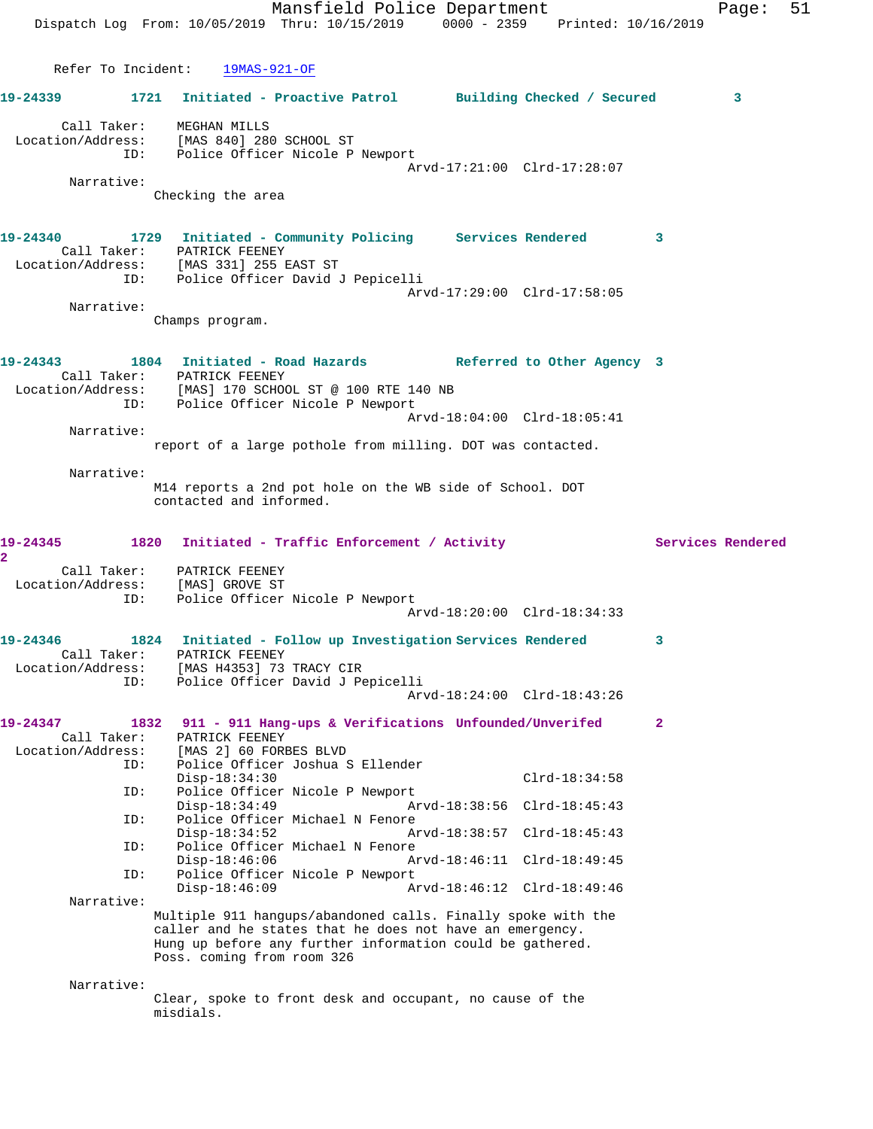Mansfield Police Department Page: 51 Dispatch Log From: 10/05/2019 Thru: 10/15/2019 0000 - 2359 Printed: 10/16/2019 Refer To Incident: 19MAS-921-OF **19-24339 1721 Initiated - Proactive Patrol Building Checked / Secured 3** Call Taker: MEGHAN MILLS Location/Address: [MAS 840] 280 SCHOOL ST ID: Police Officer Nicole P Newport Arvd-17:21:00 Clrd-17:28:07 Narrative: Checking the area **19-24340 1729 Initiated - Community Policing Services Rendered 3**  Call Taker: PATRICK FEENEY Location/Address: [MAS 331] 255 EAST ST ID: Police Officer David J Pepicelli Arvd-17:29:00 Clrd-17:58:05 Narrative: Champs program. **19-24343 1804 Initiated - Road Hazards Referred to Other Agency 3**  Call Taker: PATRICK FEENEY Location/Address: [MAS] 170 SCHOOL ST @ 100 RTE 140 NB ID: Police Officer Nicole P Newport Arvd-18:04:00 Clrd-18:05:41 Narrative: report of a large pothole from milling. DOT was contacted. Narrative: M14 reports a 2nd pot hole on the WB side of School. DOT contacted and informed. 19-24345 1820 Initiated - Traffic Enforcement / Activity **Services Rendered 2**  Call Taker: PATRICK FEENEY Location/Address: [MAS] GROVE ST ID: Police Officer Nicole P Newport Arvd-18:20:00 Clrd-18:34:33 **19-24346 1824 Initiated - Follow up Investigation Services Rendered 3**  Call Taker: PATRICK FEENEY Location/Address: [MAS H4353] 73 TRACY CIR ID: Police Officer David J Pepicelli Arvd-18:24:00 Clrd-18:43:26 **19-24347 1832 911 - 911 Hang-ups & Verifications Unfounded/Unverifed 2**  Call Taker: PATRICK FEENEY Location/Address: [MAS 2] 60 FORBES BLVD ID: Police Officer Joshua S Ellender Disp-18:34:30 Clrd-18:34:58<br>ID: Police Officer Nicole P Newport ID: Police Officer Nicole P Newport Disp-18:34:49 Arvd-18:38:56 Clrd-18:45:43 ID: Police Officer Michael N Fenore<br>Disp-18:34:52 A Disp-18:34:52 Arvd-18:38:57 Clrd-18:45:43<br>ID: Police Officer Michael N Fenore Police Officer Michael N Fenore<br>Disp-18:46:06 A Disp-18:46:06 Arvd-18:46:11 Clrd-18:49:45 ID: Police Officer Nicole P Newport<br>Disp-18:46:09 A Disp-18:46:09 Arvd-18:46:12 Clrd-18:49:46 Narrative: Multiple 911 hangups/abandoned calls. Finally spoke with the caller and he states that he does not have an emergency. Hung up before any further information could be gathered. Poss. coming from room 326 Narrative: Clear, spoke to front desk and occupant, no cause of the misdials.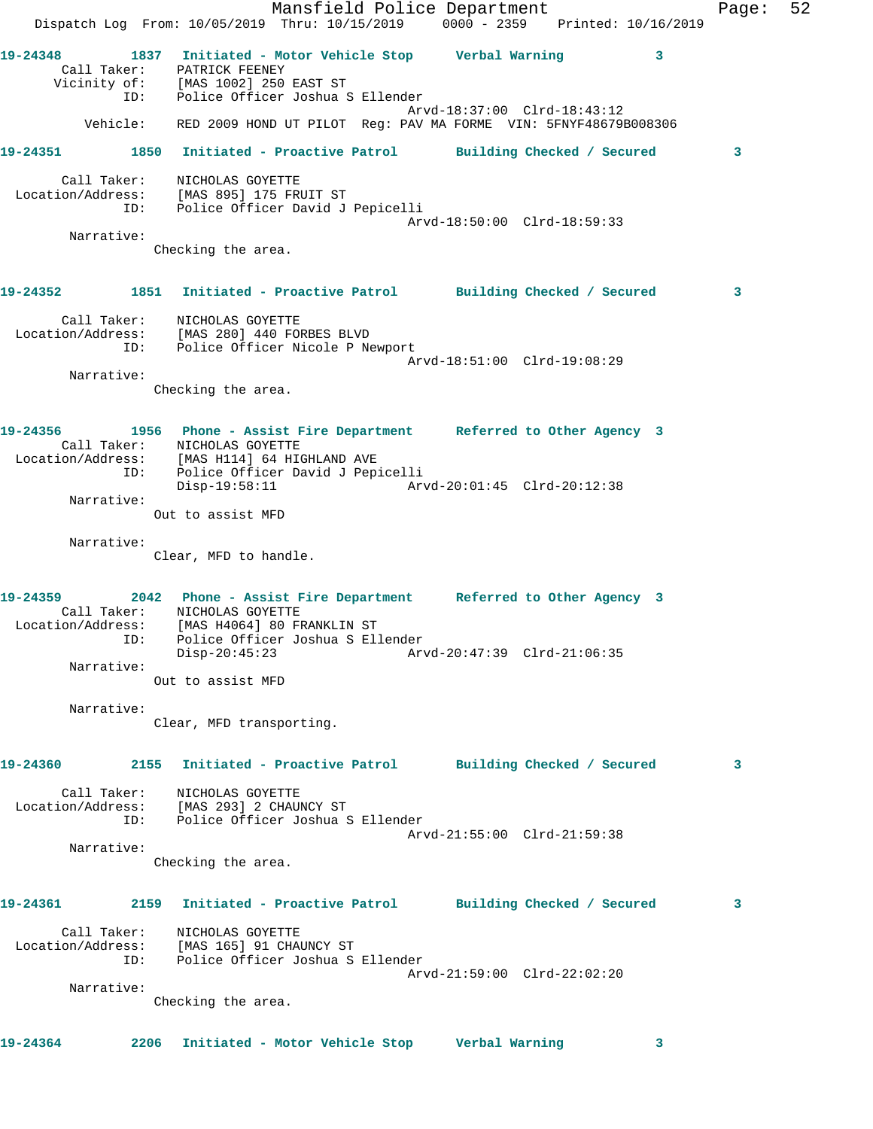Mansfield Police Department Fage: 52 Dispatch Log From: 10/05/2019 Thru: 10/15/2019 0000 - 2359 Printed: 10/16/2019 **19-24348 1837 Initiated - Motor Vehicle Stop Verbal Warning 3**  Call Taker: PATRICK FEENEY Vicinity of: [MAS 1002] 250 EAST ST ID: Police Officer Joshua S Ellender Arvd-18:37:00 Clrd-18:43:12 Vehicle: RED 2009 HOND UT PILOT Reg: PAV MA FORME VIN: 5FNYF48679B008306 **19-24351 1850 Initiated - Proactive Patrol Building Checked / Secured 3** Call Taker: NICHOLAS GOYETTE Location/Address: [MAS 895] 175 FRUIT ST ID: Police Officer David J Pepicelli Arvd-18:50:00 Clrd-18:59:33 Narrative: Checking the area. **19-24352 1851 Initiated - Proactive Patrol Building Checked / Secured 3** Call Taker: NICHOLAS GOYETTE Location/Address: [MAS 280] 440 FORBES BLVD ID: Police Officer Nicole P Newport Arvd-18:51:00 Clrd-19:08:29 Narrative: Checking the area. **19-24356 1956 Phone - Assist Fire Department Referred to Other Agency 3**  Call Taker: NICHOLAS GOYETTE Location/Address: [MAS H114] 64 HIGHLAND AVE ID: Police Officer David J Pepicelli Disp-19:58:11 Arvd-20:01:45 Clrd-20:12:38 Narrative: Out to assist MFD Narrative: Clear, MFD to handle. **19-24359 2042 Phone - Assist Fire Department Referred to Other Agency 3**  Call Taker: NICHOLAS GOYETTE Location/Address: [MAS H4064] 80 FRANKLIN ST ID: Police Officer Joshua S Ellender Disp-20:45:23 Arvd-20:47:39 Clrd-21:06:35 Narrative: Out to assist MFD Narrative: Clear, MFD transporting. **19-24360 2155 Initiated - Proactive Patrol Building Checked / Secured 3** Call Taker: NICHOLAS GOYETTE Location/Address: [MAS 293] 2 CHAUNCY ST ID: Police Officer Joshua S Ellender Arvd-21:55:00 Clrd-21:59:38 Narrative: Checking the area. **19-24361 2159 Initiated - Proactive Patrol Building Checked / Secured 3** Call Taker: NICHOLAS GOYETTE Location/Address: [MAS 165] 91 CHAUNCY ST ID: Police Officer Joshua S Ellender Arvd-21:59:00 Clrd-22:02:20 Narrative: Checking the area. **19-24364 2206 Initiated - Motor Vehicle Stop Verbal Warning 3**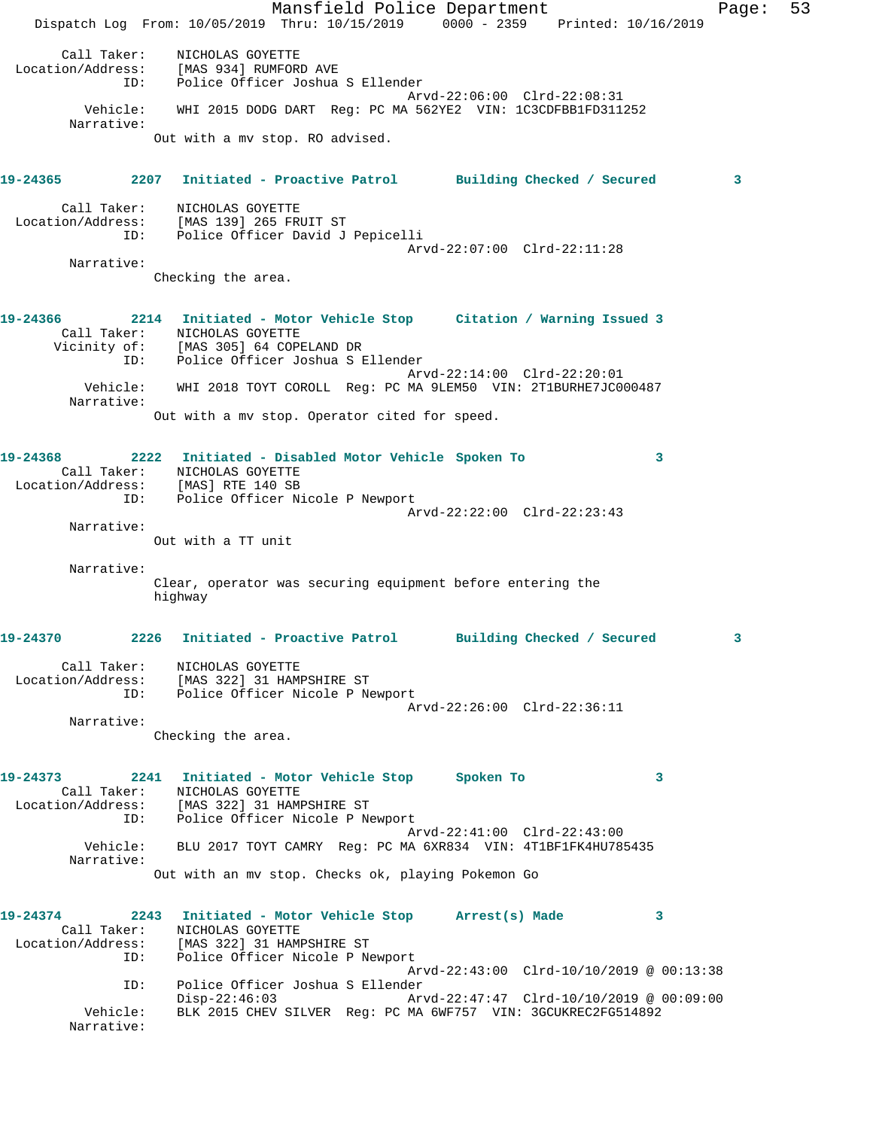Mansfield Police Department Fage: 53 Dispatch Log From: 10/05/2019 Thru: 10/15/2019 0000 - 2359 Printed: 10/16/2019 Call Taker: NICHOLAS GOYETTE Location/Address: [MAS 934] RUMFORD AVE ID: Police Officer Joshua S Ellender Arvd-22:06:00 Clrd-22:08:31 Vehicle: WHI 2015 DODG DART Reg: PC MA 562YE2 VIN: 1C3CDFBB1FD311252 Narrative: Out with a mv stop. RO advised. **19-24365 2207 Initiated - Proactive Patrol Building Checked / Secured 3** Call Taker: NICHOLAS GOYETTE Location/Address: [MAS 139] 265 FRUIT ST ID: Police Officer David J Pepicelli Arvd-22:07:00 Clrd-22:11:28 Narrative: Checking the area. **19-24366 2214 Initiated - Motor Vehicle Stop Citation / Warning Issued 3**  Call Taker: NICHOLAS GOYETTE Vicinity of: [MAS 305] 64 COPELAND DR ID: Police Officer Joshua S Ellender Arvd-22:14:00 Clrd-22:20:01 Vehicle: WHI 2018 TOYT COROLL Reg: PC MA 9LEM50 VIN: 2T1BURHE7JC000487 Narrative: Out with a mv stop. Operator cited for speed. **19-24368 2222 Initiated - Disabled Motor Vehicle Spoken To 3**  Call Taker: NICHOLAS GOYETTE Location/Address: [MAS] RTE 140 SB ID: Police Officer Nicole P Newport Arvd-22:22:00 Clrd-22:23:43 Narrative: Out with a TT unit Narrative: Clear, operator was securing equipment before entering the highway **19-24370 2226 Initiated - Proactive Patrol Building Checked / Secured 3** Call Taker: NICHOLAS GOYETTE Location/Address: [MAS 322] 31 HAMPSHIRE ST ID: Police Officer Nicole P Newport Arvd-22:26:00 Clrd-22:36:11 Narrative: Checking the area. **19-24373 2241 Initiated - Motor Vehicle Stop Spoken To 3**  Call Taker: NICHOLAS GOYETTE Location/Address: [MAS 322] 31 HAMPSHIRE ST ID: Police Officer Nicole P Newport Arvd-22:41:00 Clrd-22:43:00 Vehicle: BLU 2017 TOYT CAMRY Reg: PC MA 6XR834 VIN: 4T1BF1FK4HU785435 Narrative: Out with an mv stop. Checks ok, playing Pokemon Go **19-24374 2243 Initiated - Motor Vehicle Stop Arrest(s) Made 3**  Call Taker: NICHOLAS GOYETTE Location/Address: [MAS 322] 31 HAMPSHIRE ST ID: Police Officer Nicole P Newport Arvd-22:43:00 Clrd-10/10/2019 @ 00:13:38 ID: Police Officer Joshua S Ellender Disp-22:46:03 Arvd-22:47:47 Clrd-10/10/2019 @ 00:09:00 Vehicle: BLK 2015 CHEV SILVER Reg: PC MA 6WF757 VIN: 3GCUKREC2FG514892 Narrative: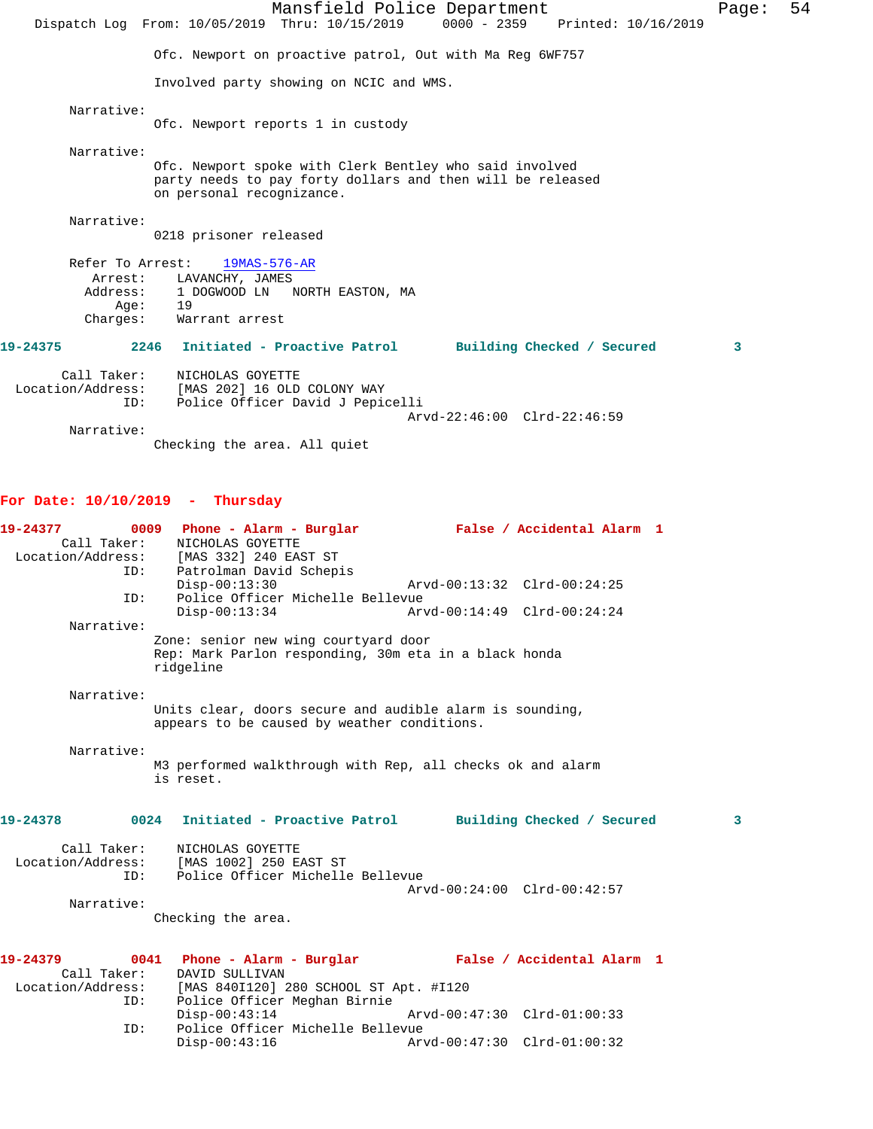Mansfield Police Department Fage: 54 Dispatch Log From: 10/05/2019 Thru: 10/15/2019 0000 - 2359 Printed: 10/16/2019 Ofc. Newport on proactive patrol, Out with Ma Reg 6WF757 Involved party showing on NCIC and WMS. Narrative: Ofc. Newport reports 1 in custody Narrative: Ofc. Newport spoke with Clerk Bentley who said involved party needs to pay forty dollars and then will be released on personal recognizance. Narrative: 0218 prisoner released Refer To Arrest: 19MAS-576-AR Arrest: LAVANCHY, JAMES Address: 1 DOGWOOD LN NORTH EASTON, MA Age: 19 Charges: Warrant arrest **19-24375 2246 Initiated - Proactive Patrol Building Checked / Secured 3** Call Taker: NICHOLAS GOYETTE Location/Address: [MAS 202] 16 OLD COLONY WAY ID: Police Officer David J Pepicelli Arvd-22:46:00 Clrd-22:46:59

Narrative:

Checking the area. All quiet

## **For Date: 10/10/2019 - Thursday**

| 19-24377<br>Call Taker: | NICHOLAS GOYETTE<br>Location/Address: [MAS 332] 240 EAST ST                                                | 0009 Phone - Alarm - Burglar Mark False / Accidental Alarm 1                 |
|-------------------------|------------------------------------------------------------------------------------------------------------|------------------------------------------------------------------------------|
| ID:                     | Patrolman David Schepis<br>$Disp-00:13:30$                                                                 | Arvd-00:13:32 Clrd-00:24:25                                                  |
| ID:                     | Police Officer Michelle Bellevue                                                                           |                                                                              |
|                         | $Disp-00:13:34$                                                                                            | Arvd-00:14:49 Clrd-00:24:24                                                  |
| Narrative:              |                                                                                                            |                                                                              |
|                         | Zone: senior new wing courtyard door<br>Rep: Mark Parlon responding, 30m eta in a black honda<br>ridgeline |                                                                              |
| Narrative:              |                                                                                                            |                                                                              |
|                         | Units clear, doors secure and audible alarm is sounding,                                                   |                                                                              |
|                         | appears to be caused by weather conditions.                                                                |                                                                              |
| Narrative:              |                                                                                                            |                                                                              |
|                         | is reset.                                                                                                  | M3 performed walkthrough with Rep, all checks ok and alarm                   |
| 19-24378                |                                                                                                            | 0024 Initiated - Proactive Patrol Building Checked / Secured<br>$\mathbf{3}$ |
| Call Taker:             | NICHOLAS GOYETTE                                                                                           |                                                                              |
|                         | Location/Address: [MAS 1002] 250 EAST ST                                                                   |                                                                              |
| ID:                     | Police Officer Michelle Bellevue                                                                           |                                                                              |
| Narrative:              |                                                                                                            | Arvd-00:24:00 Clrd-00:42:57                                                  |
|                         | Checking the area.                                                                                         |                                                                              |
|                         |                                                                                                            |                                                                              |
| 19-24379                | 0041                                                                                                       | Phone - Alarm - Burglar - False / Accidental Alarm 1                         |
| Call Taker:             | DAVID SULLIVAN                                                                                             |                                                                              |
|                         | Location/Address: [MAS 840I120] 280 SCHOOL ST Apt. #I120                                                   |                                                                              |
| ID:                     | Police Officer Meghan Birnie                                                                               |                                                                              |
|                         | $Disp-00:43:14$                                                                                            | Arvd-00:47:30 Clrd-01:00:33                                                  |
| ID:                     | Police Officer Michelle Bellevue<br>$Disp-00:43:16$                                                        | Arvd-00:47:30 Clrd-01:00:32                                                  |
|                         |                                                                                                            |                                                                              |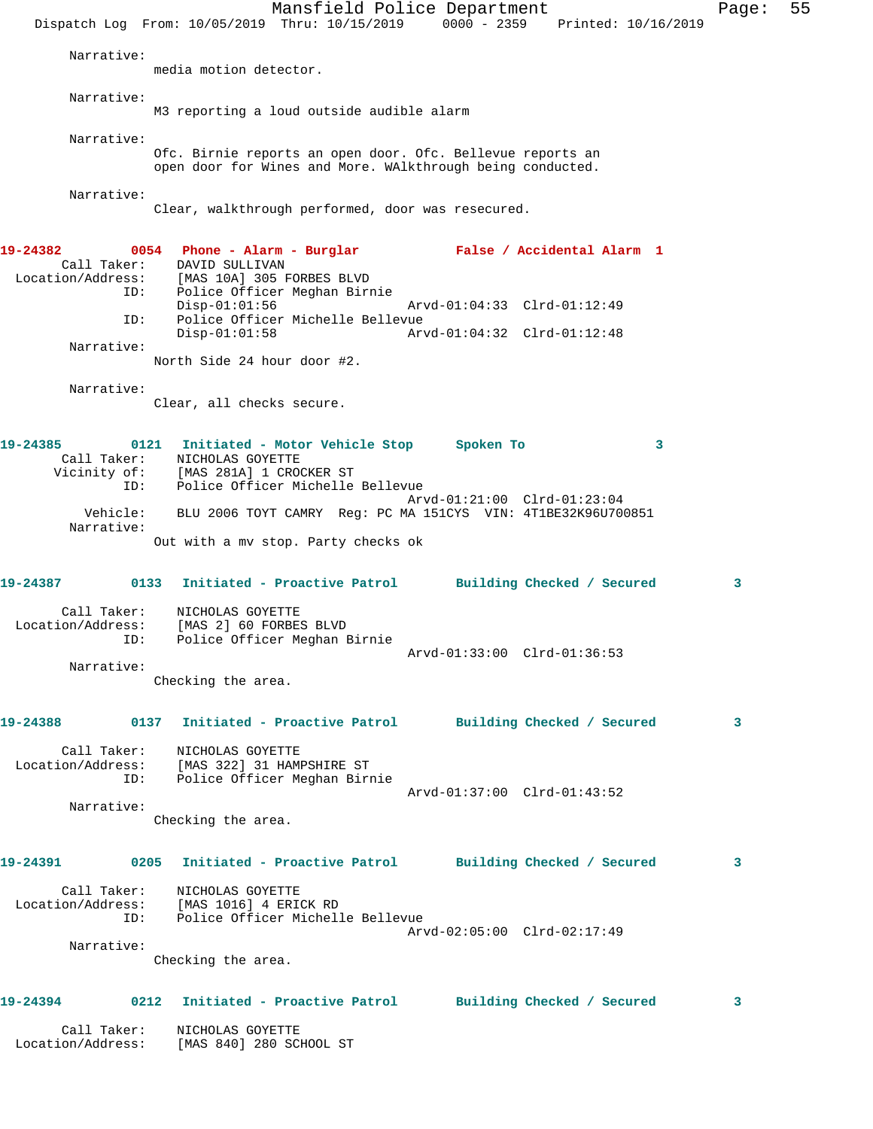Mansfield Police Department Fage: 55 Dispatch Log From: 10/05/2019 Thru: 10/15/2019 0000 - 2359 Printed: 10/16/2019 Narrative: media motion detector. Narrative: M3 reporting a loud outside audible alarm Narrative: Ofc. Birnie reports an open door. Ofc. Bellevue reports an open door for Wines and More. WAlkthrough being conducted. Narrative: Clear, walkthrough performed, door was resecured. **19-24382 0054 Phone - Alarm - Burglar False / Accidental Alarm 1**  Call Taker: DAVID SULLIVAN Location/Address: [MAS 10A] 305 FORBES BLVD ID: Police Officer Meghan Birnie Disp-01:01:56 Arvd-01:04:33 Clrd-01:12:49 ID: Police Officer Michelle Bellevue Disp-01:01:58 Arvd-01:04:32 Clrd-01:12:48 Narrative: North Side 24 hour door #2. Narrative: Clear, all checks secure. **19-24385 0121 Initiated - Motor Vehicle Stop Spoken To 3**  Call Taker: NICHOLAS GOYETTE Vicinity of: [MAS 281A] 1 CROCKER ST ID: Police Officer Michelle Bellevue Arvd-01:21:00 Clrd-01:23:04 Vehicle: BLU 2006 TOYT CAMRY Reg: PC MA 151CYS VIN: 4T1BE32K96U700851 Narrative: Out with a mv stop. Party checks ok **19-24387 0133 Initiated - Proactive Patrol Building Checked / Secured 3** Call Taker: NICHOLAS GOYETTE Location/Address: [MAS 2] 60 FORBES BLVD ID: Police Officer Meghan Birnie Arvd-01:33:00 Clrd-01:36:53 Narrative: Checking the area. **19-24388 0137 Initiated - Proactive Patrol Building Checked / Secured 3** Call Taker: NICHOLAS GOYETTE Location/Address: [MAS 322] 31 HAMPSHIRE ST ID: Police Officer Meghan Birnie Arvd-01:37:00 Clrd-01:43:52 Narrative: Checking the area. **19-24391 0205 Initiated - Proactive Patrol Building Checked / Secured 3** Call Taker: NICHOLAS GOYETTE Location/Address: [MAS 1016] 4 ERICK RD ID: Police Officer Michelle Bellevue Arvd-02:05:00 Clrd-02:17:49 Narrative: Checking the area. **19-24394 0212 Initiated - Proactive Patrol Building Checked / Secured 3** Call Taker: NICHOLAS GOYETTE Location/Address: [MAS 840] 280 SCHOOL ST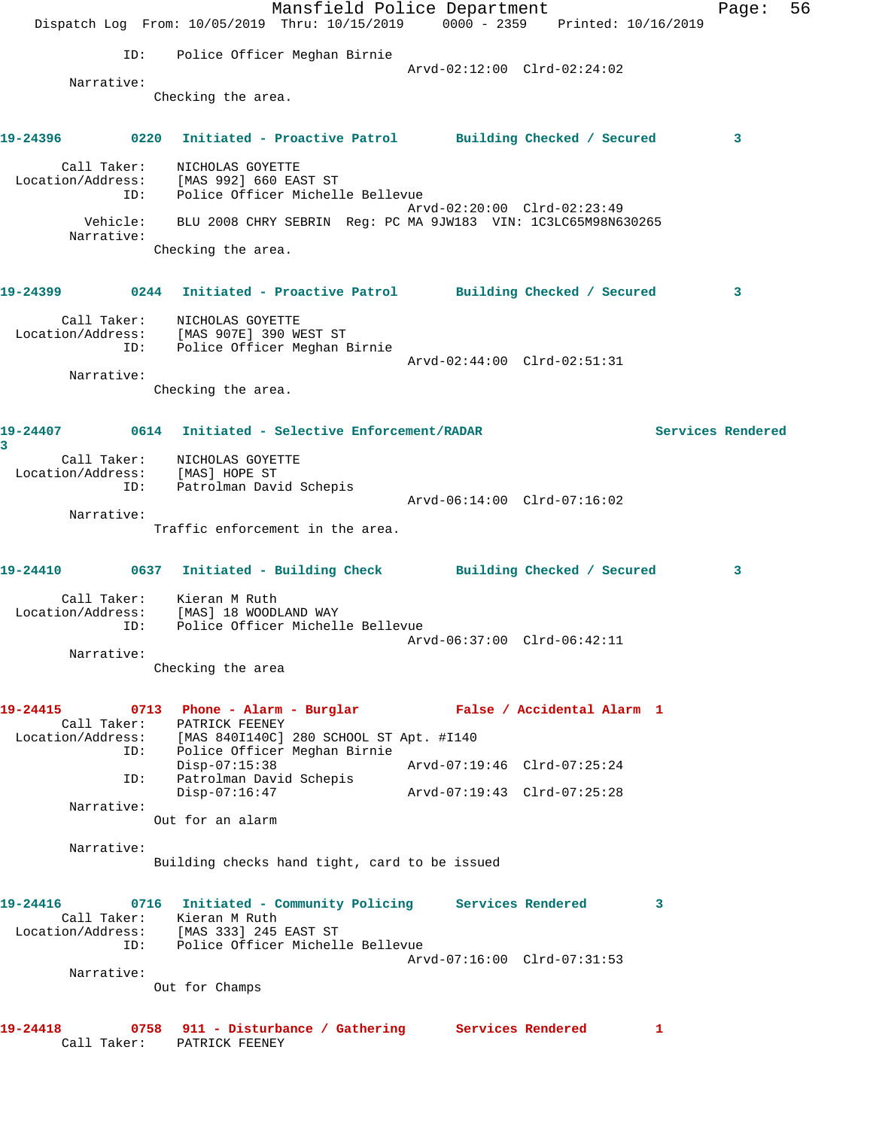|          |             | Dispatch Log From: 10/05/2019 Thru: 10/15/2019 0000 - 2359 Printed: 10/16/2019                                                                                        | Mansfield Police Department |                             |  |                   | Page: | 56 |
|----------|-------------|-----------------------------------------------------------------------------------------------------------------------------------------------------------------------|-----------------------------|-----------------------------|--|-------------------|-------|----|
|          | ID:         | Police Officer Meghan Birnie                                                                                                                                          |                             |                             |  |                   |       |    |
|          | Narrative:  |                                                                                                                                                                       |                             | Arvd-02:12:00 Clrd-02:24:02 |  |                   |       |    |
|          |             | Checking the area.                                                                                                                                                    |                             |                             |  |                   |       |    |
|          |             | 19-24396      0220  Initiated - Proactive Patrol     Building Checked / Secured                                                                                       |                             |                             |  |                   | 3     |    |
|          | Call Taker: | NICHOLAS GOYETTE<br>Location/Address: [MAS 992] 660 EAST ST<br>ID: Police Officer Michelle Bellevue                                                                   |                             |                             |  |                   |       |    |
|          | Narrative:  | Vehicle: BLU 2008 CHRY SEBRIN Reg: PC MA 9JW183 VIN: 1C3LC65M98N630265                                                                                                |                             | Arvd-02:20:00 Clrd-02:23:49 |  |                   |       |    |
|          |             | Checking the area.                                                                                                                                                    |                             |                             |  |                   |       |    |
|          |             | 19-24399      0244 Initiated - Proactive Patrol     Building Checked / Secured                                                                                        |                             |                             |  |                   | 3     |    |
|          | Call Taker: | NICHOLAS GOYETTE<br>Location/Address: [MAS 907E] 390 WEST ST<br>ID: Police Officer Meghan Birnie                                                                      |                             |                             |  |                   |       |    |
|          |             |                                                                                                                                                                       |                             | Arvd-02:44:00 Clrd-02:51:31 |  |                   |       |    |
|          | Narrative:  | Checking the area.                                                                                                                                                    |                             |                             |  |                   |       |    |
| 3        |             |                                                                                                                                                                       |                             |                             |  | Services Rendered |       |    |
|          |             | Call Taker: NICHOLAS GOYETTE<br>Location/Address: [MAS] HOPE ST                                                                                                       |                             |                             |  |                   |       |    |
|          | ID:         | Patrolman David Schepis                                                                                                                                               |                             | Arvd-06:14:00 Clrd-07:16:02 |  |                   |       |    |
|          | Narrative:  | Traffic enforcement in the area.                                                                                                                                      |                             |                             |  |                   |       |    |
|          |             | 19-24410 0637 Initiated - Building Check Building Checked / Secured                                                                                                   |                             |                             |  |                   | 3     |    |
|          | ID:         | Call Taker: Kieran M Ruth<br>Location/Address: [MAS] 18 WOODLAND WAY<br>Police Officer Michelle Bellevue                                                              |                             |                             |  |                   |       |    |
|          |             |                                                                                                                                                                       |                             |                             |  |                   |       |    |
|          | Narrative:  | Checking the area                                                                                                                                                     |                             |                             |  |                   |       |    |
| 19-24415 |             | 0713 Phone - Alarm - Burglar Malse / Accidental Alarm 1<br>Call Taker: PATRICK FEENEY                                                                                 |                             |                             |  |                   |       |    |
|          |             | Location/Address: [MAS 840I140C] 280 SCHOOL ST Apt. #I140<br>ID: Police Officer Meghan Birnie<br>Police Officer Meghan Birnie                                         |                             |                             |  |                   |       |    |
|          | ID:         | $Disp-07:15:38$<br>Patrolman David Schepis                                                                                                                            |                             | Arvd-07:19:46 Clrd-07:25:24 |  |                   |       |    |
|          | Narrative:  | $Disp-07:16:47$                                                                                                                                                       |                             | Arvd-07:19:43 Clrd-07:25:28 |  |                   |       |    |
|          |             | Out for an alarm                                                                                                                                                      |                             |                             |  |                   |       |    |
|          | Narrative:  | Building checks hand tight, card to be issued                                                                                                                         |                             |                             |  |                   |       |    |
| 19-24416 |             | 0716 Initiated - Community Policing Services Rendered<br>Call Taker: Kieran M Ruth<br>Location/Address: [MAS 333] 245 EAST ST<br>ID: Police Officer Michelle Bellevue |                             |                             |  | 3                 |       |    |
|          | Narrative:  |                                                                                                                                                                       |                             | Arvd-07:16:00 Clrd-07:31:53 |  |                   |       |    |
|          |             | Out for Champs                                                                                                                                                        |                             |                             |  |                   |       |    |
| 19-24418 |             | 0758 911 - Disturbance / Gathering Services Rendered<br>Call Taker: PATRICK FEENEY                                                                                    |                             |                             |  | 1                 |       |    |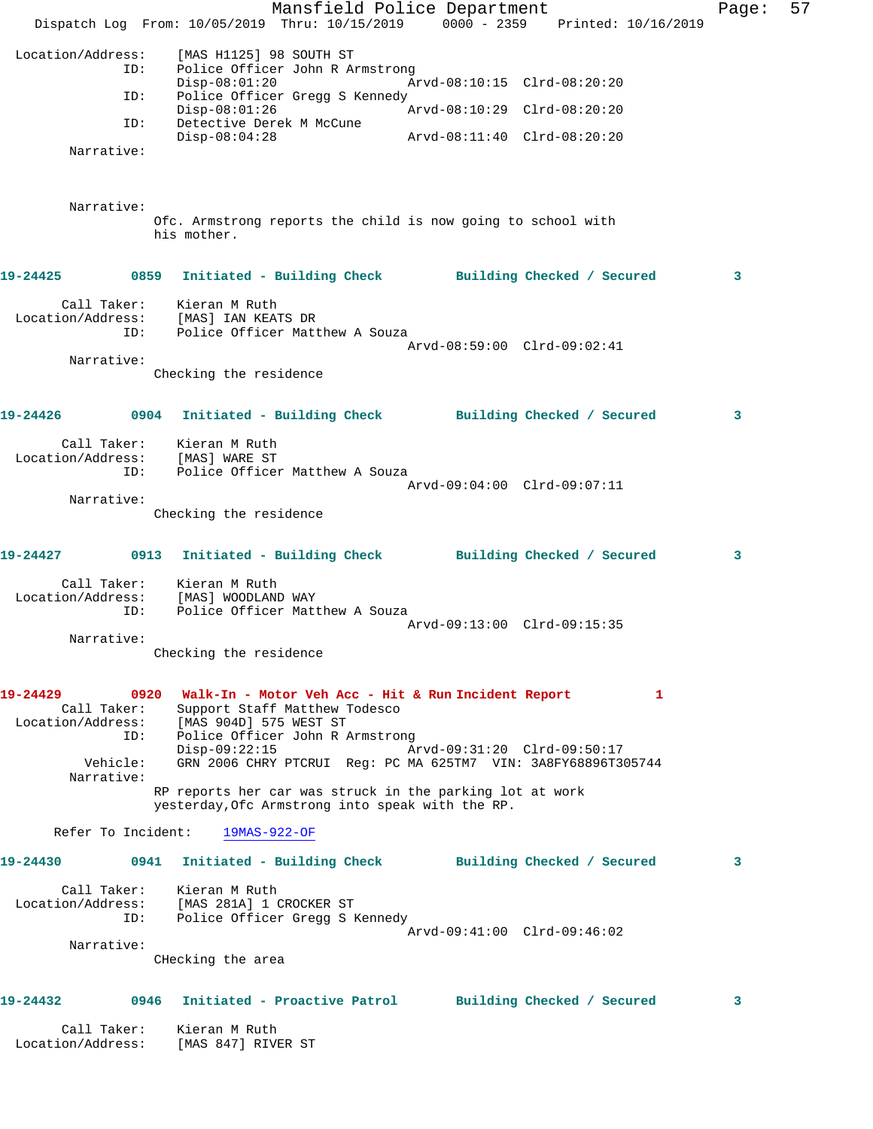|                               |                        | Dispatch Log From: 10/05/2019 Thru: 10/15/2019                                                                                                                            | Mansfield Police Department |                             |  | 0000 - 2359 Printed: 10/16/2019 | Page: | 57 |
|-------------------------------|------------------------|---------------------------------------------------------------------------------------------------------------------------------------------------------------------------|-----------------------------|-----------------------------|--|---------------------------------|-------|----|
| Location/Address:             | ID:                    | [MAS H1125] 98 SOUTH ST<br>Police Officer John R Armstrong                                                                                                                |                             |                             |  |                                 |       |    |
|                               | ID:                    | $Disp-08:01:20$<br>Police Officer Gregg S Kennedy                                                                                                                         |                             | Arvd-08:10:15 Clrd-08:20:20 |  |                                 |       |    |
|                               | ID:                    | $Disp-08:01:26$<br>Detective Derek M McCune                                                                                                                               |                             | Arvd-08:10:29 Clrd-08:20:20 |  |                                 |       |    |
|                               | Narrative:             | $Disp-08:04:28$                                                                                                                                                           |                             | Arvd-08:11:40 Clrd-08:20:20 |  |                                 |       |    |
|                               |                        |                                                                                                                                                                           |                             |                             |  |                                 |       |    |
|                               | Narrative:             | Ofc. Armstrong reports the child is now going to school with<br>his mother.                                                                                               |                             |                             |  |                                 |       |    |
| 19-24425                      |                        | 0859 Initiated - Building Check Building Checked / Secured                                                                                                                |                             |                             |  |                                 | 3     |    |
| Location/Address:             | Call Taker:<br>ID:     | Kieran M Ruth<br>[MAS] IAN KEATS DR<br>Police Officer Matthew A Souza                                                                                                     |                             |                             |  |                                 |       |    |
|                               |                        |                                                                                                                                                                           |                             | Arvd-08:59:00 Clrd-09:02:41 |  |                                 |       |    |
|                               | Narrative:             | Checking the residence                                                                                                                                                    |                             |                             |  |                                 |       |    |
| 19-24426                      |                        | 0904 Initiated - Building Check Building Checked / Secured                                                                                                                |                             |                             |  |                                 | 3     |    |
| Location/Address:             | Call Taker:<br>ID:     | Kieran M Ruth<br>[MAS] WARE ST<br>Police Officer Matthew A Souza                                                                                                          |                             |                             |  |                                 |       |    |
|                               | Narrative:             |                                                                                                                                                                           |                             | Arvd-09:04:00 Clrd-09:07:11 |  |                                 |       |    |
|                               |                        | Checking the residence                                                                                                                                                    |                             |                             |  |                                 |       |    |
| 19-24427                      |                        | 0913 Initiated - Building Check Building Checked / Secured                                                                                                                |                             |                             |  |                                 | 3     |    |
| Location/Address:             | Call Taker:<br>ID:     | Kieran M Ruth<br>[MAS] WOODLAND WAY<br>Police Officer Matthew A Souza                                                                                                     |                             |                             |  |                                 |       |    |
|                               | Narrative:             |                                                                                                                                                                           |                             | Arvd-09:13:00 Clrd-09:15:35 |  |                                 |       |    |
|                               |                        | Checking the residence                                                                                                                                                    |                             |                             |  |                                 |       |    |
| 19-24429<br>Location/Address: | Call Taker:<br>ID:     | 0920 Walk-In - Motor Veh Acc - Hit & Run Incident Report<br>Support Staff Matthew Todesco<br>[MAS 904D] 575 WEST ST<br>Police Officer John R Armstrong<br>$Disp-09:22:15$ |                             | Arvd-09:31:20 Clrd-09:50:17 |  | 1                               |       |    |
|                               | Vehicle:<br>Narrative: | GRN 2006 CHRY PTCRUI Req: PC MA 625TM7 VIN: 3A8FY68896T305744                                                                                                             |                             |                             |  |                                 |       |    |
|                               |                        | RP reports her car was struck in the parking lot at work<br>yesterday, Ofc Armstrong into speak with the RP.                                                              |                             |                             |  |                                 |       |    |
|                               | Refer To Incident:     | 19MAS-922-OF                                                                                                                                                              |                             |                             |  |                                 |       |    |
| 19-24430                      |                        | 0941 Initiated - Building Check Building Checked / Secured                                                                                                                |                             |                             |  |                                 | 3     |    |
|                               | Call Taker:<br>ID:     | Kieran M Ruth<br>Location/Address: [MAS 281A] 1 CROCKER ST<br>Police Officer Gregg S Kennedy                                                                              |                             |                             |  |                                 |       |    |
|                               | Narrative:             |                                                                                                                                                                           |                             | Arvd-09:41:00 Clrd-09:46:02 |  |                                 |       |    |
|                               |                        | CHecking the area                                                                                                                                                         |                             |                             |  |                                 |       |    |
| 19-24432                      |                        | 0946 Initiated - Proactive Patrol                                                                                                                                         |                             | Building Checked / Secured  |  |                                 | 3     |    |
| Location/Address:             | Call Taker:            | Kieran M Ruth<br>[MAS 847] RIVER ST                                                                                                                                       |                             |                             |  |                                 |       |    |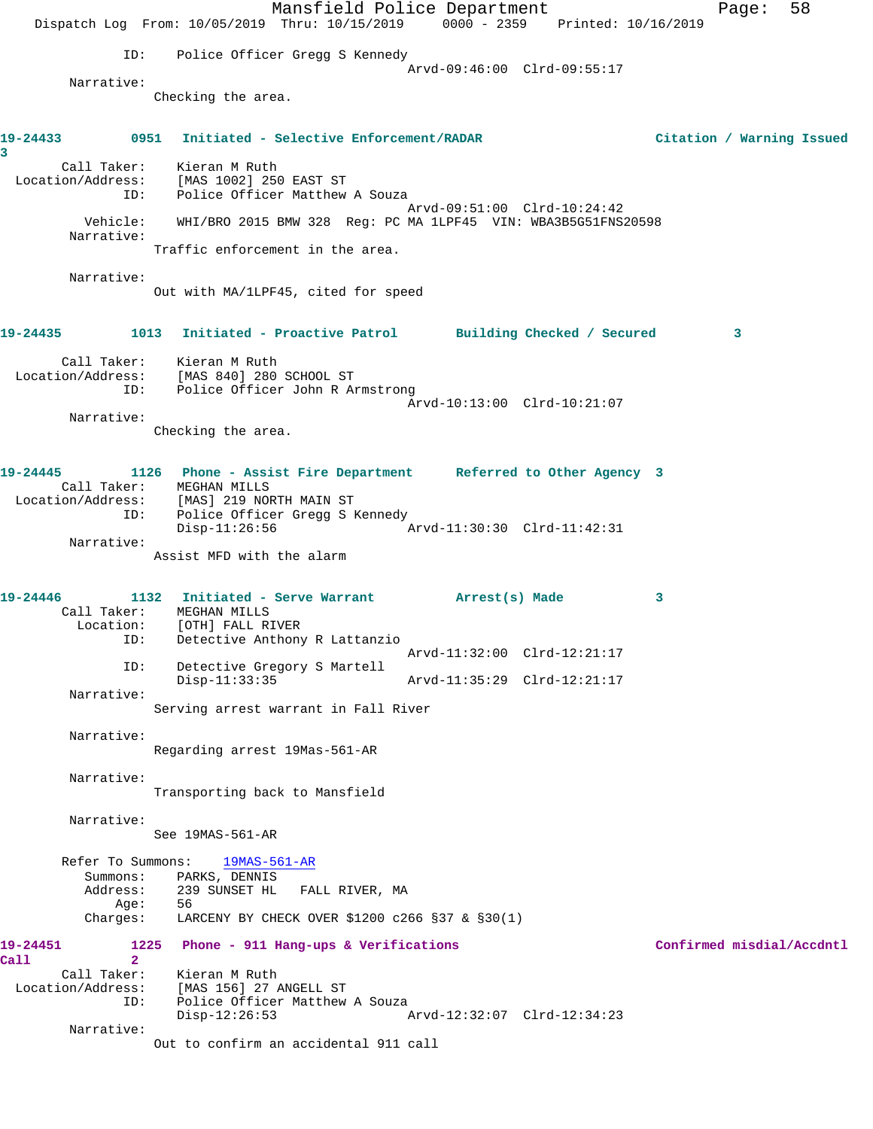Mansfield Police Department Fage: 58 Dispatch Log From: 10/05/2019 Thru: 10/15/2019 0000 - 2359 Printed: 10/16/2019 ID: Police Officer Gregg S Kennedy Arvd-09:46:00 Clrd-09:55:17 Narrative: Checking the area. **19-24433 0951 Initiated - Selective Enforcement/RADAR Citation / Warning Issued 3**  Call Taker: Kieran M Ruth Location/Address: [MAS 1002] 250 EAST ST ID: Police Officer Matthew A Souza Arvd-09:51:00 Clrd-10:24:42 Vehicle: WHI/BRO 2015 BMW 328 Reg: PC MA 1LPF45 VIN: WBA3B5G51FNS20598 Narrative: Traffic enforcement in the area. Narrative: Out with MA/1LPF45, cited for speed **19-24435 1013 Initiated - Proactive Patrol Building Checked / Secured 3** Call Taker: Kieran M Ruth Location/Address: [MAS 840] 280 SCHOOL ST ID: Police Officer John R Armstrong Arvd-10:13:00 Clrd-10:21:07 Narrative: Checking the area. **19-24445 1126 Phone - Assist Fire Department Referred to Other Agency 3**  Call Taker: MEGHAN MILLS Location/Address: [MAS] 219 NORTH MAIN ST ID: Police Officer Gregg S Kennedy<br>Disp-11:26:56 A Disp-11:26:56 Arvd-11:30:30 Clrd-11:42:31 Narrative: Assist MFD with the alarm **19-24446 1132 Initiated - Serve Warrant Arrest(s) Made 3**  Call Taker: MEGHAN MILLS Location: [OTH] FALL RIVER ID: Detective Anthony R Lattanzio Arvd-11:32:00 Clrd-12:21:17 ID: Detective Gregory S Martell Disp-11:33:35 Arvd-11:35:29 Clrd-12:21:17 Narrative: Serving arrest warrant in Fall River Narrative: Regarding arrest 19Mas-561-AR Narrative: Transporting back to Mansfield Narrative: See 19MAS-561-AR Refer To Summons: 19MAS-561-AR Summons: PARKS, DENNIS Address: 239 SUNSET HL FALL RIVER, MA Age: 56 Charges: LARCENY BY CHECK OVER \$1200 c266 §37 & §30(1) **19-24451 1225 Phone - 911 Hang-ups & Verifications Confirmed misdial/Accdntl Call 2**  Call Taker: Kieran M Ruth Location/Address: [MAS 156] 27 ANGELL ST ID: Police Officer Matthew A Souza<br>Disp-12:26:53 Disp-12:26:53 Arvd-12:32:07 Clrd-12:34:23 Narrative: Out to confirm an accidental 911 call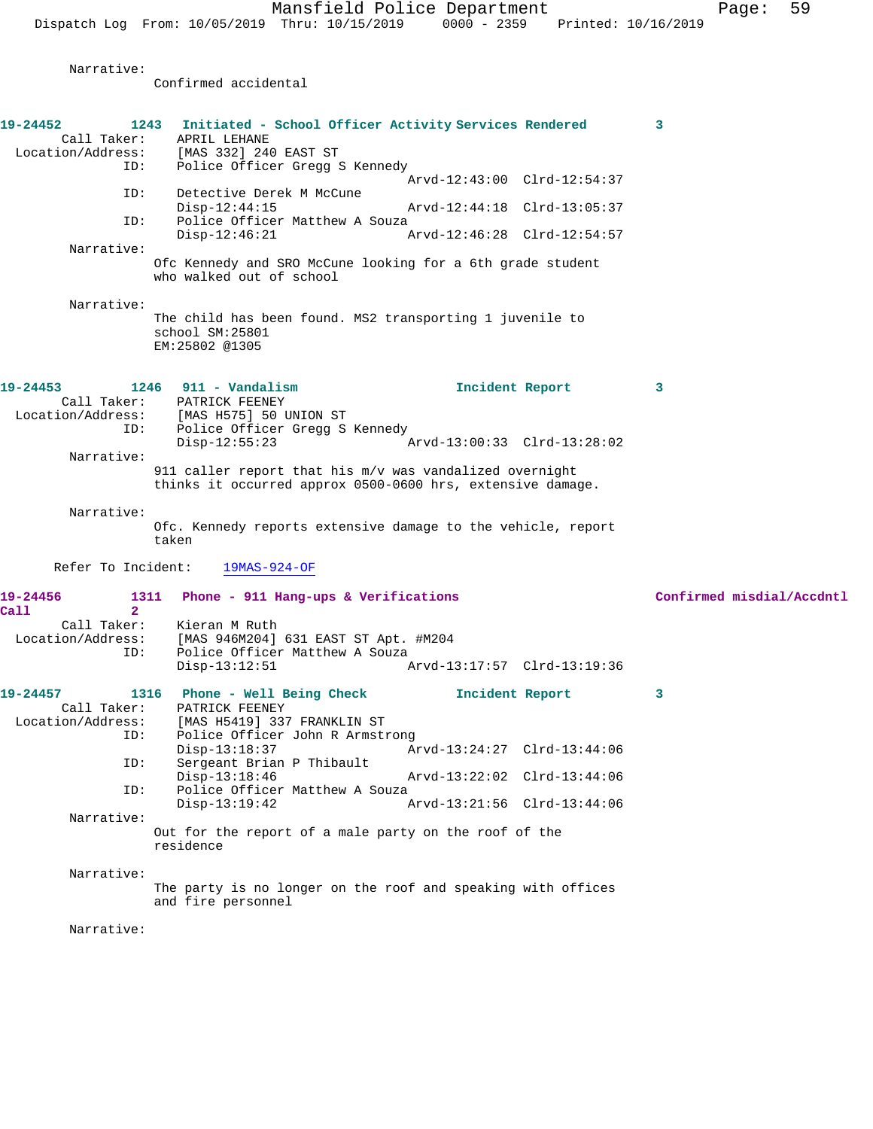Narrative:

Confirmed accidental

| 19-24452<br>1243<br>Call Taker:<br>Location/Address:<br>ID:       | Initiated - School Officer Activity Services Rendered<br>APRIL LEHANE<br>[MAS 332] 240 EAST ST<br>Police Officer Gregg S Kennedy                                                                                                                                                                                                                        | 3                         |
|-------------------------------------------------------------------|---------------------------------------------------------------------------------------------------------------------------------------------------------------------------------------------------------------------------------------------------------------------------------------------------------------------------------------------------------|---------------------------|
| ID:<br>ID:                                                        | Arvd-12:43:00 Clrd-12:54:37<br>Detective Derek M McCune<br>$Disp-12:44:15$<br>Arvd-12:44:18 Clrd-13:05:37<br>Police Officer Matthew A Souza<br>Arvd-12:46:28 Clrd-12:54:57<br>$Disp-12:46:21$                                                                                                                                                           |                           |
| Narrative:                                                        | Ofc Kennedy and SRO McCune looking for a 6th grade student<br>who walked out of school                                                                                                                                                                                                                                                                  |                           |
| Narrative:                                                        | The child has been found. MS2 transporting 1 juvenile to<br>school SM:25801<br>EM:25802 @1305                                                                                                                                                                                                                                                           |                           |
| 19-24453<br>Location/Address:<br>ID:<br>Narrative:                | $1246$ 911 - Vandalism<br>Incident Report<br>Call Taker: PATRICK FEENEY<br>[MAS H575] 50 UNION ST<br>Police Officer Gregg S Kennedy<br>$Disp-12:55:23$<br>Arvd-13:00:33 Clrd-13:28:02<br>911 caller report that his m/v was vandalized overnight<br>thinks it occurred approx 0500-0600 hrs, extensive damage.                                          | 3                         |
| Narrative:                                                        | Ofc. Kennedy reports extensive damage to the vehicle, report<br>taken                                                                                                                                                                                                                                                                                   |                           |
| Refer To Incident:<br>19-24456                                    | $19MAS-924-OF$<br>1311 Phone - 911 Hang-ups & Verifications                                                                                                                                                                                                                                                                                             | Confirmed misdial/Accdntl |
| $\overline{2}$<br>Call<br>Call Taker:<br>Location/Address:<br>ID: | Kieran M Ruth<br>[MAS 946M204] 631 EAST ST Apt. #M204<br>Police Officer Matthew A Souza<br>$Disp-13:12:51$<br>Arvd-13:17:57 Clrd-13:19:36                                                                                                                                                                                                               |                           |
| 19-24457<br>Call Taker:<br>Location/Address:<br>ID:<br>ID:<br>ID: | 1316 Phone - Well Being Check<br>Incident Report<br>PATRICK FEENEY<br>[MAS H5419] 337 FRANKLIN ST<br>Police Officer John R Armstrong<br>Disp-13:18:37<br>Arvd-13:24:27 Clrd-13:44:06<br>Sergeant Brian P Thibault<br>$Disp-13:18:46$<br>Arvd-13:22:02 Clrd-13:44:06<br>Police Officer Matthew A Souza<br>$Disp-13:19:42$<br>Arvd-13:21:56 Clrd-13:44:06 | 3                         |
| Narrative:                                                        | Out for the report of a male party on the roof of the<br>residence                                                                                                                                                                                                                                                                                      |                           |
| Narrative:                                                        | The party is no longer on the roof and speaking with offices<br>and fire personnel                                                                                                                                                                                                                                                                      |                           |
| Narrative:                                                        |                                                                                                                                                                                                                                                                                                                                                         |                           |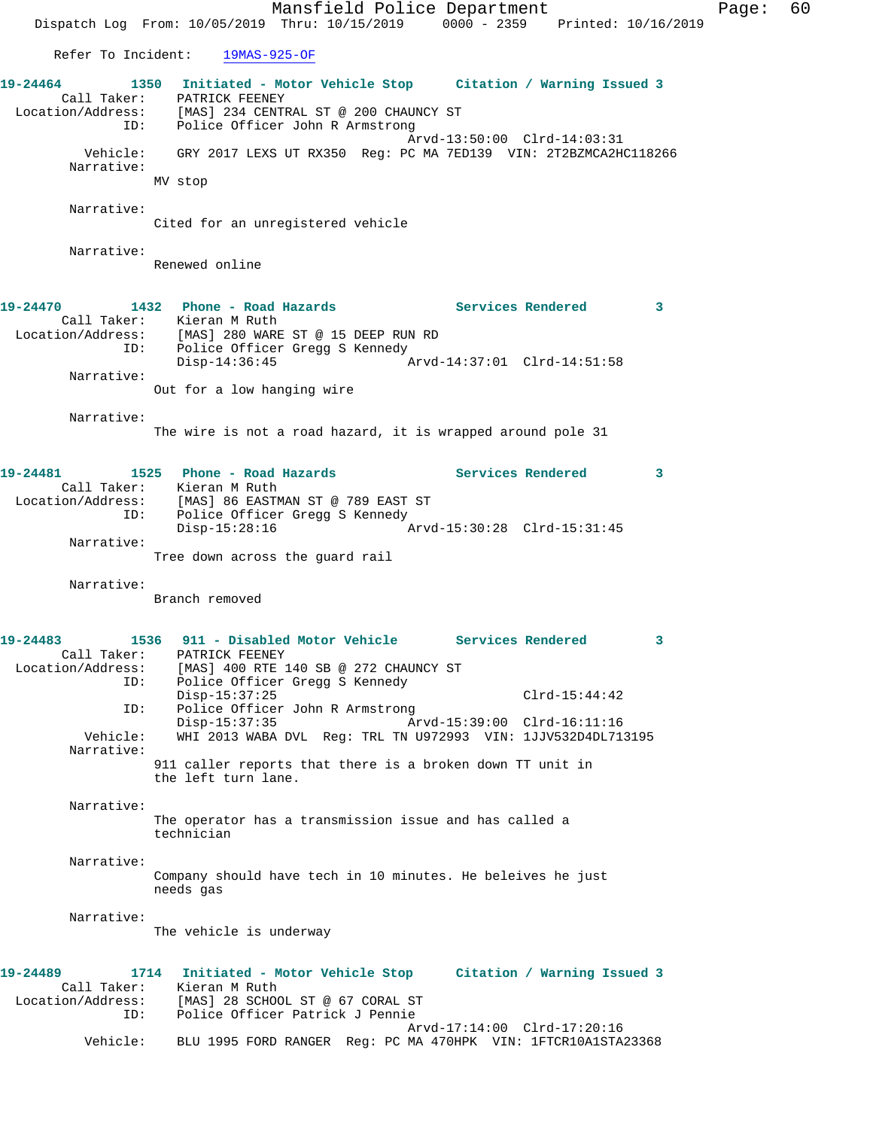Mansfield Police Department Fage: 60 Dispatch Log From: 10/05/2019 Thru: 10/15/2019 0000 - 2359 Printed: 10/16/2019 Refer To Incident: 19MAS-925-OF **19-24464 1350 Initiated - Motor Vehicle Stop Citation / Warning Issued 3**  Call Taker: PATRICK FEENEY Location/Address: [MAS] 234 CENTRAL ST @ 200 CHAUNCY ST ID: Police Officer John R Armstrong Arvd-13:50:00 Clrd-14:03:31 Vehicle: GRY 2017 LEXS UT RX350 Reg: PC MA 7ED139 VIN: 2T2BZMCA2HC118266 Narrative: MV stop Narrative: Cited for an unregistered vehicle Narrative: Renewed online **19-24470 1432 Phone - Road Hazards Services Rendered 3**  Call Taker: Kieran M Ruth Location/Address: [MAS] 280 WARE ST @ 15 DEEP RUN RD ID: Police Officer Gregg S Kennedy<br>Disp-14:36:45  $\bar{P}_{AYd-14:37:01}$  Clrd-14:51:58 Narrative: Out for a low hanging wire Narrative: The wire is not a road hazard, it is wrapped around pole 31 **19-24481 1525 Phone - Road Hazards Services Rendered 3**  Call Taker: Kieran M Ruth Location/Address: [MAS] 86 EASTMAN ST @ 789 EAST ST ID: Police Officer Gregg S Kennedy<br>Disp-15:28:16  $\sigma$ Arvd-15:30:28 Clrd-15:31:45 Narrative: Tree down across the guard rail Narrative: Branch removed **19-24483 1536 911 - Disabled Motor Vehicle Services Rendered 3**  Call Taker: PATRICK FEENEY Location/Address: [MAS] 400 RTE 140 SB @ 272 CHAUNCY ST ID: Police Officer Gregg S Kennedy Disp-15:37:25 Clrd-15:44:42 ID: Police Officer John R Armstrong Disp-15:37:35 Arvd-15:39:00 Clrd-16:11:16 Vehicle: WHI 2013 WABA DVL Reg: TRL TN U972993 VIN: 1JJV532D4DL713195 Narrative: 911 caller reports that there is a broken down TT unit in the left turn lane. Narrative: The operator has a transmission issue and has called a technician Narrative: Company should have tech in 10 minutes. He beleives he just needs gas Narrative: The vehicle is underway **19-24489 1714 Initiated - Motor Vehicle Stop Citation / Warning Issued 3**  Call Taker: Kieran M Ruth Location/Address: [MAS] 28 SCHOOL ST @ 67 CORAL ST ID: Police Officer Patrick J Pennie Arvd-17:14:00 Clrd-17:20:16 Vehicle: BLU 1995 FORD RANGER Reg: PC MA 470HPK VIN: 1FTCR10A1STA23368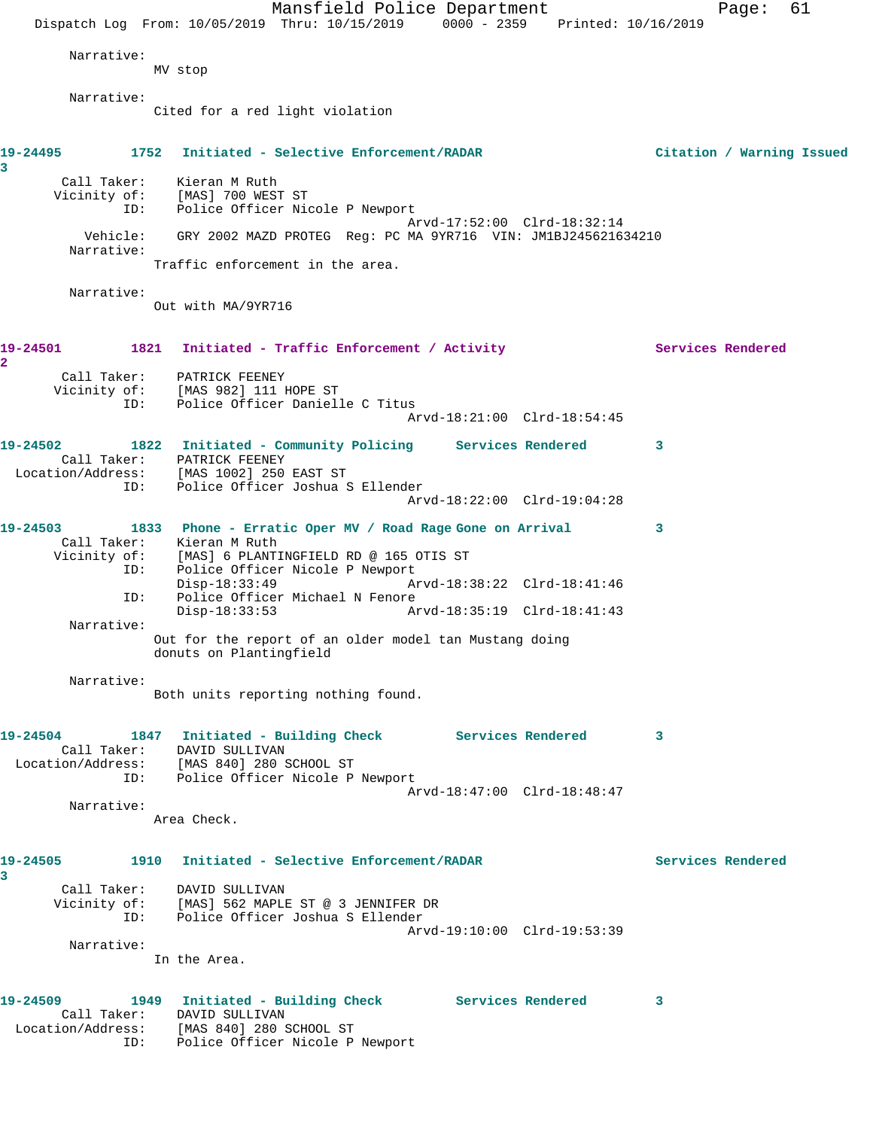|                                                                                                         | Dispatch Log From: 10/05/2019 Thru: 10/15/2019 0000 - 2359 Printed: 10/16/2019                                                                                                                                                                                                                                   | Mansfield Police Department |                                                            | Page:                     | 61 |
|---------------------------------------------------------------------------------------------------------|------------------------------------------------------------------------------------------------------------------------------------------------------------------------------------------------------------------------------------------------------------------------------------------------------------------|-----------------------------|------------------------------------------------------------|---------------------------|----|
| Narrative:                                                                                              | MV stop                                                                                                                                                                                                                                                                                                          |                             |                                                            |                           |    |
| Narrative:                                                                                              | Cited for a red light violation                                                                                                                                                                                                                                                                                  |                             |                                                            |                           |    |
| 19-24495<br>3                                                                                           | 1752 Initiated - Selective Enforcement/RADAR                                                                                                                                                                                                                                                                     |                             |                                                            | Citation / Warning Issued |    |
| ID:                                                                                                     | Call Taker: Kieran M Ruth<br>Vicinity of: [MAS] 700 WEST ST<br>Police Officer Nicole P Newport                                                                                                                                                                                                                   |                             |                                                            |                           |    |
| Vehicle:<br>Narrative:                                                                                  | GRY 2002 MAZD PROTEG Reg: PC MA 9YR716 VIN: JM1BJ245621634210                                                                                                                                                                                                                                                    |                             | Arvd-17:52:00 Clrd-18:32:14                                |                           |    |
|                                                                                                         | Traffic enforcement in the area.                                                                                                                                                                                                                                                                                 |                             |                                                            |                           |    |
| Narrative:                                                                                              | Out with MA/9YR716                                                                                                                                                                                                                                                                                               |                             |                                                            |                           |    |
| 19-24501<br>2                                                                                           | 1821 Initiated - Traffic Enforcement / Activity                                                                                                                                                                                                                                                                  |                             |                                                            | Services Rendered         |    |
| Vicinity of:<br>ID:                                                                                     | Call Taker: PATRICK FEENEY<br>[MAS 982] 111 HOPE ST<br>Police Officer Danielle C Titus                                                                                                                                                                                                                           |                             | Arvd-18:21:00 Clrd-18:54:45                                |                           |    |
| 19-24502<br>Location/Address:<br>ID:                                                                    | 1822 Initiated - Community Policing Services Rendered<br>Call Taker: PATRICK FEENEY<br>[MAS 1002] 250 EAST ST<br>Police Officer Joshua S Ellender                                                                                                                                                                |                             | Arvd-18:22:00 Clrd-19:04:28                                | 3                         |    |
| 19-24503<br>ID:<br>ID:<br>Narrative:                                                                    | 1833 Phone - Erratic Oper MV / Road Rage Gone on Arrival<br>Call Taker: Kieran M Ruth<br>Vicinity of: [MAS] 6 PLANTINGFIELD RD @ 165 OTIS ST<br>Police Officer Nicole P Newport<br>$Disp-18:33:49$<br>Police Officer Michael N Fenore<br>Disp-18:33:53<br>Out for the report of an older model tan Mustang doing |                             | Arvd-18:38:22 Clrd-18:41:46<br>Arvd-18:35:19 Clrd-18:41:43 | 3                         |    |
| Narrative:                                                                                              | donuts on Plantingfield                                                                                                                                                                                                                                                                                          |                             |                                                            |                           |    |
|                                                                                                         | Both units reporting nothing found.                                                                                                                                                                                                                                                                              |                             |                                                            |                           |    |
| 19-24504 1847 Initiated - Building Check Services Rendered<br>Location/Address: [MAS 840] 280 SCHOOL ST | Call Taker: DAVID SULLIVAN<br>ID: Police Officer Nicole P Newport                                                                                                                                                                                                                                                |                             |                                                            | 3                         |    |
| Narrative:                                                                                              | Area Check.                                                                                                                                                                                                                                                                                                      |                             | Arvd-18:47:00 Clrd-18:48:47                                |                           |    |
| 19-24505<br>3                                                                                           | 1910 Initiated - Selective Enforcement/RADAR                                                                                                                                                                                                                                                                     |                             |                                                            | Services Rendered         |    |
|                                                                                                         | Call Taker: DAVID SULLIVAN<br>Vicinity of: [MAS] 562 MAPLE ST @ 3 JENNIFER DR<br>ID: Police Officer Joshua S Ellender                                                                                                                                                                                            |                             |                                                            |                           |    |
| Narrative:                                                                                              | In the Area.                                                                                                                                                                                                                                                                                                     |                             | Arvd-19:10:00 Clrd-19:53:39                                |                           |    |
| 19-24509<br>Location/Address: [MAS 840] 280 SCHOOL ST<br>ID: Police Officer Nicole P Newport            | 1949 Initiated - Building Check Services Rendered<br>Call Taker: DAVID SULLIVAN                                                                                                                                                                                                                                  |                             |                                                            | 3                         |    |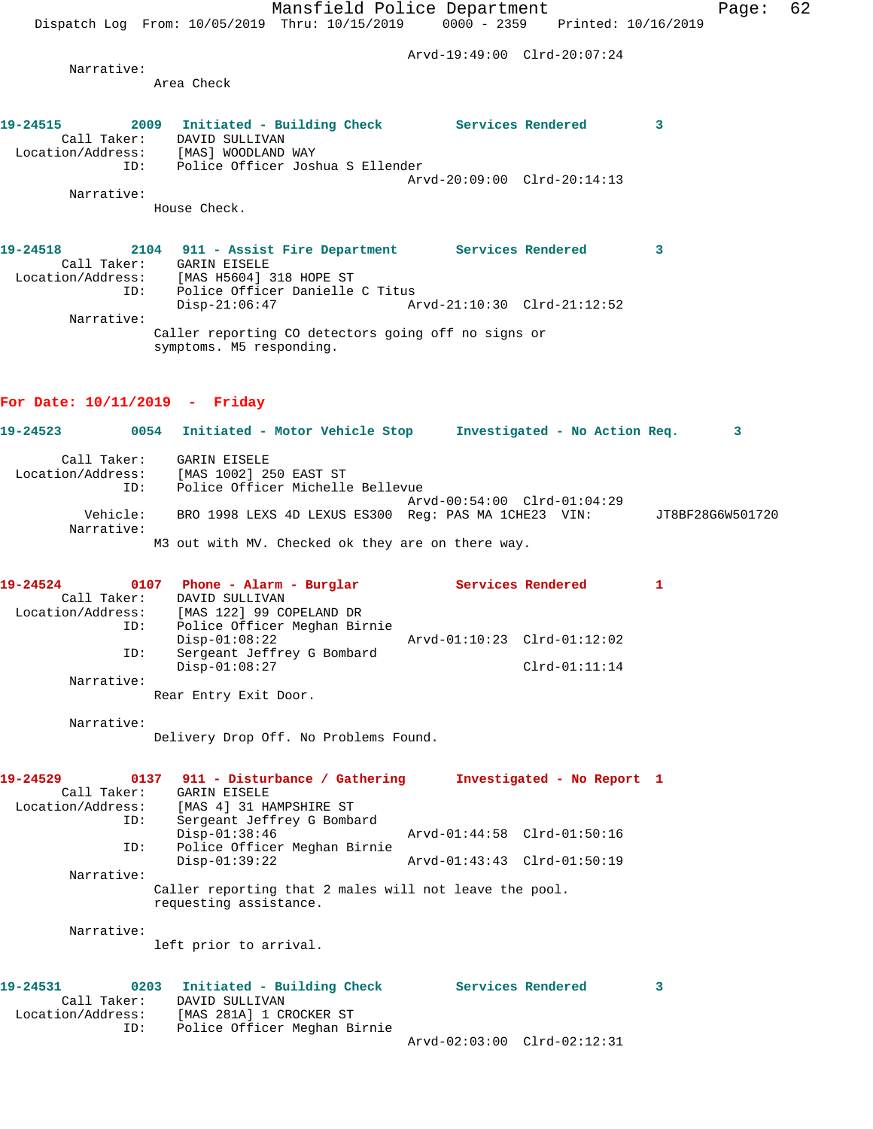**19-24515 2009 Initiated - Building Check Services Rendered 3** 

Dispatch Log From: 10/05/2019 Thru: 10/15/2019 0000 - 2359 Printed: 10/16/2019

Arvd-19:49:00 Clrd-20:07:24

Arvd-20:09:00 Clrd-20:14:13

 Narrative: Area Check

ID: Police Officer Joshua S Ellender

 Call Taker: DAVID SULLIVAN Location/Address: [MAS] WOODLAND WAY

| Narrative:                                   |                                                                                                                                                                                           |                             |                  |
|----------------------------------------------|-------------------------------------------------------------------------------------------------------------------------------------------------------------------------------------------|-----------------------------|------------------|
|                                              | House Check.                                                                                                                                                                              |                             |                  |
| 19-24518                                     | 2104 911 - Assist Fire Department Services Rendered 3<br>Call Taker: GARIN EISELE<br>Location/Address: [MAS H5604] 318 HOPE ST<br>Police Officer Danielle C Titus<br>ID:<br>Disp-21:06:47 | Arvd-21:10:30 Clrd-21:12:52 |                  |
| Narrative:                                   | Caller reporting CO detectors going off no signs or<br>symptoms. M5 responding.                                                                                                           |                             |                  |
| For Date: $10/11/2019$ - Friday              |                                                                                                                                                                                           |                             |                  |
| 19-24523                                     | 0054 Initiated - Motor Vehicle Stop Investigated - No Action Req. 3                                                                                                                       |                             |                  |
| Call Taker:<br>Location/Address:<br>ID:      | GARIN EISELE<br>[MAS 1002] 250 EAST ST<br>Police Officer Michelle Bellevue                                                                                                                | Arvd-00:54:00 Clrd-01:04:29 |                  |
| Narrative:                                   | Vehicle: BRO 1998 LEXS 4D LEXUS ES300 Reg: PAS MA 1CHE23 VIN:                                                                                                                             |                             | JT8BF28G6W501720 |
|                                              | M3 out with MV. Checked ok they are on there way.                                                                                                                                         |                             |                  |
| 19-24524                                     | 0107 Phone - Alarm - Burglar Services Rendered<br>Call Taker: DAVID SULLIVAN<br>Location/Address: [MAS 122] 99 COPELAND DR                                                                |                             | 1                |
| ID:                                          | Police Officer Meghan Birnie<br>$Disp-01:08:22$                                                                                                                                           | Arvd-01:10:23 Clrd-01:12:02 |                  |
| ID:<br>Narrative:                            | Sergeant Jeffrey G Bombard<br>$Disp-01:08:27$                                                                                                                                             | $Clrd-01:11:14$             |                  |
|                                              | Rear Entry Exit Door.                                                                                                                                                                     |                             |                  |
| Narrative:                                   | Delivery Drop Off. No Problems Found.                                                                                                                                                     |                             |                  |
| 19-24529<br>Call Taker:                      | 0137 911 - Disturbance / Gathering<br>GARIN EISELE<br>Location/Address: [MAS 4] 31 HAMPSHIRE ST                                                                                           | Investigated - No Report 1  |                  |
| ID:                                          | Sergeant Jeffrey G Bombard<br>$Disp-01:38:46$                                                                                                                                             | Arvd-01:44:58 Clrd-01:50:16 |                  |
| ID:<br>Narrative:                            | Police Officer Meghan Birnie<br>$Disp-01:39:22$                                                                                                                                           | Arvd-01:43:43 Clrd-01:50:19 |                  |
|                                              | Caller reporting that 2 males will not leave the pool.<br>requesting assistance.                                                                                                          |                             |                  |
| Narrative:                                   | left prior to arrival.                                                                                                                                                                    |                             |                  |
| 19-24531<br>Call Taker:<br>Location/Address: | 0203<br>Initiated - Building Check<br>DAVID SULLIVAN<br>[MAS 281A] 1 CROCKER ST                                                                                                           | Services Rendered           | 3                |
| ID:                                          | Police Officer Meghan Birnie                                                                                                                                                              | Arvd-02:03:00 Clrd-02:12:31 |                  |
|                                              |                                                                                                                                                                                           |                             |                  |
|                                              |                                                                                                                                                                                           |                             |                  |
|                                              |                                                                                                                                                                                           |                             |                  |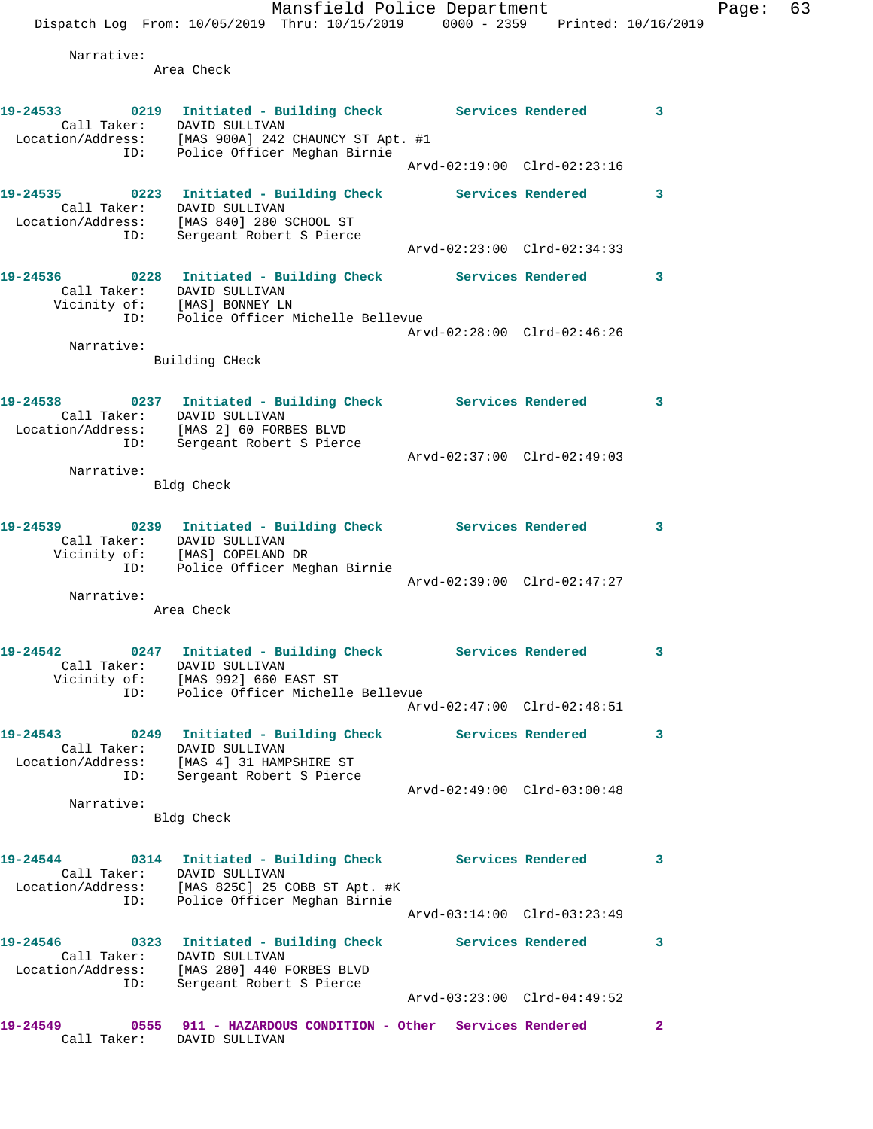Mansfield Police Department Fage: 63 Dispatch Log From: 10/05/2019 Thru: 10/15/2019 0000 - 2359 Printed: 10/16/2019 Narrative: Area Check **19-24533 0219 Initiated - Building Check Services Rendered 3**  Call Taker: DAVID SULLIVAN Location/Address: [MAS 900A] 242 CHAUNCY ST Apt. #1 ID: Police Officer Meghan Birnie Arvd-02:19:00 Clrd-02:23:16

**19-24535 0223 Initiated - Building Check Services Rendered 3**  Call Taker: DAVID SULLIVAN Location/Address: [MAS 840] 280 SCHOOL ST ID: Sergeant Robert S Pierce Arvd-02:23:00 Clrd-02:34:33 **19-24536 0228 Initiated - Building Check Services Rendered 3**  Call Taker: DAVID SULLIVAN

 Vicinity of: [MAS] BONNEY LN ID: Police Officer Michelle Bellevue Arvd-02:28:00 Clrd-02:46:26 Narrative:

Building CHeck

| 19-24538          |             | 0237 Initiated - Building Check |                             | Services Rendered | 3 |
|-------------------|-------------|---------------------------------|-----------------------------|-------------------|---|
|                   | Call Taker: | DAVID SULLIVAN                  |                             |                   |   |
| Location/Address: |             | [MAS 2] 60 FORBES BLVD          |                             |                   |   |
|                   | ID:         | Sergeant Robert S Pierce        |                             |                   |   |
|                   |             |                                 | Arvd-02:37:00 Clrd-02:49:03 |                   |   |

 Narrative: Bldg Check

| 19-24539     |     | 0239 Initiated - Building Check |                             | Services Rendered |  |
|--------------|-----|---------------------------------|-----------------------------|-------------------|--|
| Call Taker:  |     | DAVID SULLIVAN                  |                             |                   |  |
| Vicinity of: |     | [MAS] COPELAND DR               |                             |                   |  |
|              | ID: | Police Officer Meghan Birnie    |                             |                   |  |
|              |     |                                 | Arvd-02:39:00 Clrd-02:47:27 |                   |  |

Narrative:

Area Check

## **19-24542 0247 Initiated - Building Check Services Rendered 3**  Call Taker: DAVID SULLIVAN Vicinity of: [MAS 992] 660 EAST ST ID: Police Officer Michelle Bellevue Arvd-02:47:00 Clrd-02:48:51

**19-24543 0249 Initiated - Building Check Services Rendered 3**  Call Taker: DAVID SULLIVAN Location/Address: [MAS 4] 31 HAMPSHIRE ST ID: Sergeant Robert S Pierce Arvd-02:49:00 Clrd-03:00:48

> Narrative: Bldg Check

19-24544 0314 Initiated - Building Check Services Rendered 3 Call Taker: DAVID SULLIVAN Location/Address: [MAS 825C] 25 COBB ST Apt. #K ID: Police Officer Meghan Birnie Arvd-03:14:00 Clrd-03:23:49 **19-24546 0323 Initiated - Building Check Services Rendered 3**  Call Taker: DAVID SULLIVAN Location/Address: [MAS 280] 440 FORBES BLVD

 ID: Sergeant Robert S Pierce Arvd-03:23:00 Clrd-04:49:52 **19-24549 0555 911 - HAZARDOUS CONDITION - Other Services Rendered 2**  Call Taker: DAVID SULLIVAN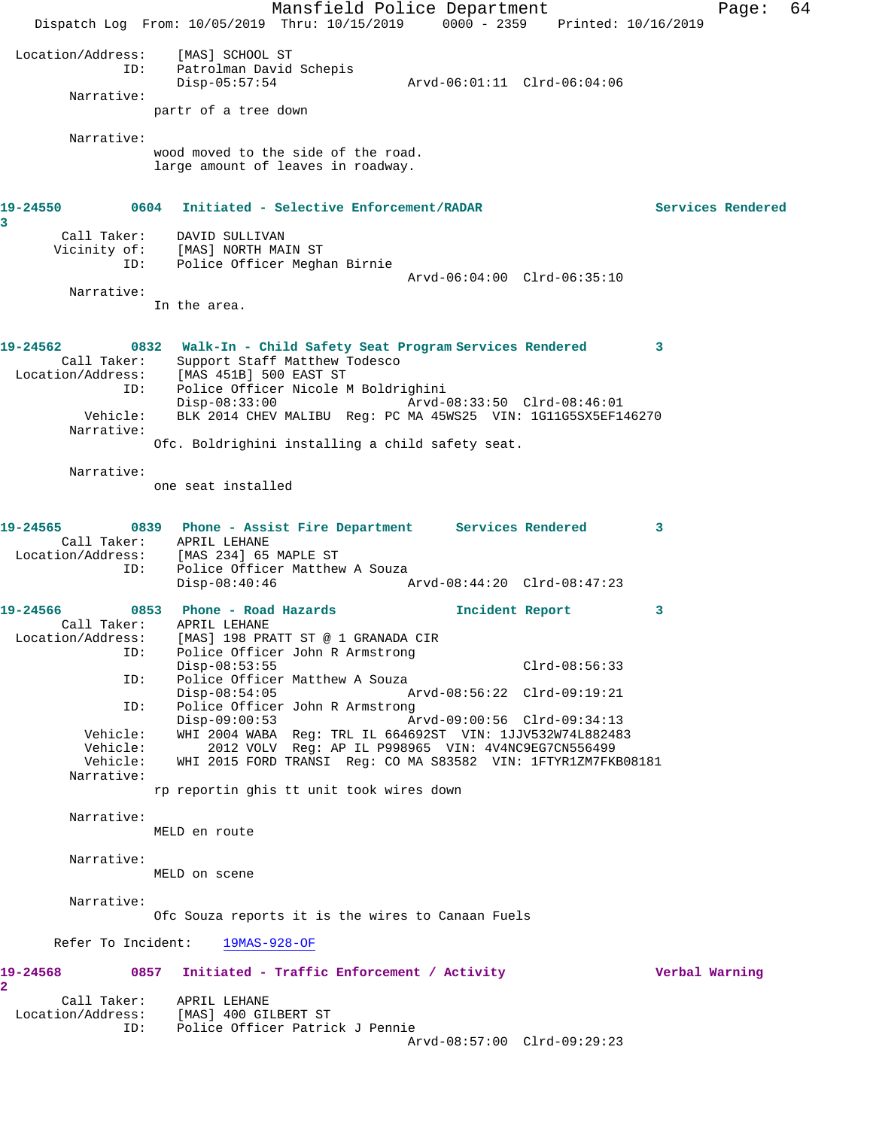Mansfield Police Department Fage: 64 Dispatch Log From: 10/05/2019 Thru: 10/15/2019 0000 - 2359 Printed: 10/16/2019 Location/Address: [MAS] SCHOOL ST ID: Patrolman David Schepis Disp-05:57:54 Arvd-06:01:11 Clrd-06:04:06 Narrative: partr of a tree down Narrative: wood moved to the side of the road. large amount of leaves in roadway. **19-24550 0604 Initiated - Selective Enforcement/RADAR Services Rendered 3**  Call Taker: DAVID SULLIVAN Vicinity of: [MAS] NORTH MAIN ST ID: Police Officer Meghan Birnie Arvd-06:04:00 Clrd-06:35:10 Narrative: In the area. **19-24562 0832 Walk-In - Child Safety Seat Program Services Rendered 3**  Call Taker: Support Staff Matthew Todesco Location/Address: [MAS 451B] 500 EAST ST ID: Police Officer Nicole M Boldrighini Disp-08:33:00 Arvd-08:33:50 Clrd-08:46:01 Vehicle: BLK 2014 CHEV MALIBU Reg: PC MA 45WS25 VIN: 1G11G5SX5EF146270 Narrative: Ofc. Boldrighini installing a child safety seat. Narrative: one seat installed **19-24565 0839 Phone - Assist Fire Department Services Rendered 3**  Call Taker: APRIL LEHANE<br>Fion/Address: [MAS 234] 65 Location/Address: [MAS 234] 65 MAPLE ST ID: Police Officer Matthew A Souza<br>Disp-08:40:46 A Disp-08:40:46 Arvd-08:44:20 Clrd-08:47:23 **19-24566 0853 Phone - Road Hazards Incident Report 3**  Call Taker: APRIL LEHANE Location/Address: [MAS] 198 PRATT ST @ 1 GRANADA CIR ID: Police Officer John R Armstrong Disp-08:53:55 Clrd-08:56:33 ID: Police Officer Matthew A Souza<br>Disp-08:54:05 Disp-08:54:05 Arvd-08:56:22 Clrd-09:19:21<br>ID: Police Officer John R Armstrong Police Officer John R Armstrong<br>Disp-09:00:53 Ar Disp-09:00:53 Arvd-09:00:56 Clrd-09:34:13 Vehicle: WHI 2004 WABA Reg: TRL IL 664692ST VIN: 1JJV532W74L882483 Vehicle: 2012 VOLV Reg: AP IL P998965 VIN: 4V4NC9EG7CN556499 Vehicle: WHI 2015 FORD TRANSI Reg: CO MA S83582 VIN: 1FTYR1ZM7FKB08181 Narrative: rp reportin ghis tt unit took wires down Narrative: MELD en route Narrative: MELD on scene Narrative: Ofc Souza reports it is the wires to Canaan Fuels Refer To Incident: 19MAS-928-OF **19-24568 0857 Initiated - Traffic Enforcement / Activity Verbal Warning 2**  Call Taker: APRIL LEHANE Location/Address: [MAS] 400 GILBERT ST ID: Police Officer Patrick J Pennie Arvd-08:57:00 Clrd-09:29:23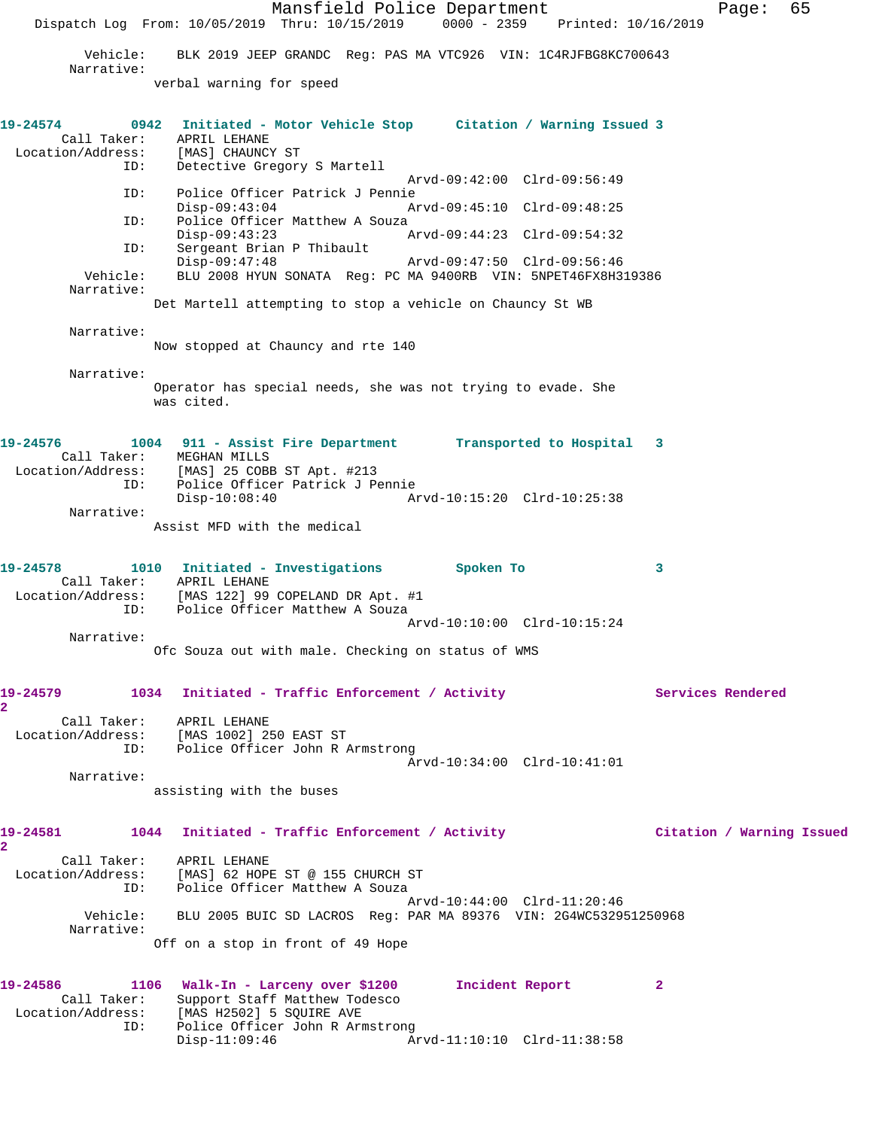Mansfield Police Department Fage: 65 Dispatch Log From: 10/05/2019 Thru: 10/15/2019 0000 - 2359 Printed: 10/16/2019 Vehicle: BLK 2019 JEEP GRANDC Reg: PAS MA VTC926 VIN: 1C4RJFBG8KC700643 Narrative: verbal warning for speed **19-24574 0942 Initiated - Motor Vehicle Stop Citation / Warning Issued 3**  Call Taker: APRIL LEHANE Location/Address: [MAS] CHAUNCY ST ID: Detective Gregory S Martell Arvd-09:42:00 Clrd-09:56:49 ID: Police Officer Patrick J Pennie Disp-09:43:04 Arvd-09:45:10 Clrd-09:48:25 ID: Police Officer Matthew A Souza<br>Disp-09:43:23 Disp-09:43:23 Arvd-09:44:23 Clrd-09:54:32 ID: Sergeant Brian P Thibault Disp-09:47:48 Arvd-09:47:50 Clrd-09:56:46 Vehicle: BLU 2008 HYUN SONATA Reg: PC MA 9400RB VIN: 5NPET46FX8H319386 Narrative: Det Martell attempting to stop a vehicle on Chauncy St WB Narrative: Now stopped at Chauncy and rte 140 Narrative: Operator has special needs, she was not trying to evade. She was cited. **19-24576 1004 911 - Assist Fire Department Transported to Hospital 3**  Call Taker: MEGHAN MILLS Location/Address: [MAS] 25 COBB ST Apt. #213 ID: Police Officer Patrick J Pennie Disp-10:08:40 Arvd-10:15:20 Clrd-10:25:38 Narrative: Assist MFD with the medical **19-24578 1010 Initiated - Investigations Spoken To 3**  Call Taker: APRIL LEHANE Location/Address: [MAS 122] 99 COPELAND DR Apt. #1 ID: Police Officer Matthew A Souza Arvd-10:10:00 Clrd-10:15:24 Narrative: Ofc Souza out with male. Checking on status of WMS 19-24579 1034 Initiated - Traffic Enforcement / Activity **Services Rendered 2**  Call Taker: APRIL LEHANE Location/Address: [MAS 1002] 250 EAST ST ID: Police Officer John R Armstrong Arvd-10:34:00 Clrd-10:41:01 Narrative: assisting with the buses **19-24581 1044 Initiated - Traffic Enforcement / Activity Citation / Warning Issued 2**  Call Taker: APRIL LEHANE Location/Address: [MAS] 62 HOPE ST @ 155 CHURCH ST ID: Police Officer Matthew A Souza Arvd-10:44:00 Clrd-11:20:46 Vehicle: BLU 2005 BUIC SD LACROS Reg: PAR MA 89376 VIN: 2G4WC532951250968 Narrative: Off on a stop in front of 49 Hope **19-24586 1106 Walk-In - Larceny over \$1200 Incident Report 2**  Call Taker: Support Staff Matthew Todesco Location/Address: [MAS H2502] 5 SQUIRE AVE ID: Police Officer John R Armstrong<br>Disp-11:09:46 A

Arvd-11:10:10 Clrd-11:38:58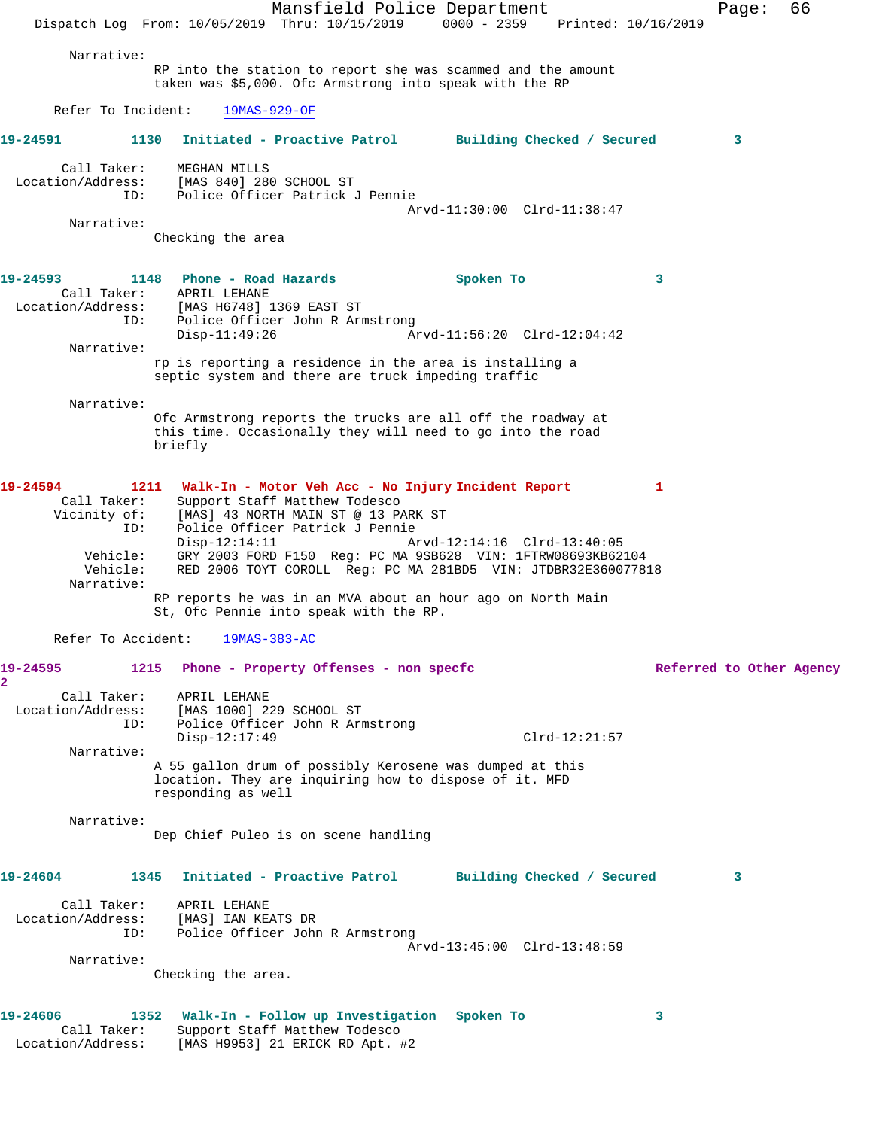Mansfield Police Department Fage: 66 Dispatch Log From: 10/05/2019 Thru: 10/15/2019 0000 - 2359 Printed: 10/16/2019 Narrative: RP into the station to report she was scammed and the amount taken was \$5,000. Ofc Armstrong into speak with the RP Refer To Incident: 19MAS-929-OF **19-24591 1130 Initiated - Proactive Patrol Building Checked / Secured 3** Call Taker: MEGHAN MILLS Location/Address: [MAS 840] 280 SCHOOL ST ID: Police Officer Patrick J Pennie Arvd-11:30:00 Clrd-11:38:47 Narrative: Checking the area **19-24593 1148 Phone - Road Hazards Spoken To 3**  Call Taker: APRIL LEHANE Location/Address: [MAS H6748] 1369 EAST ST ID: Police Officer John R Armstrong<br>Disp-11:49:26 A Disp-11:49:26 Arvd-11:56:20 Clrd-12:04:42 Narrative: rp is reporting a residence in the area is installing a septic system and there are truck impeding traffic Narrative: Ofc Armstrong reports the trucks are all off the roadway at this time. Occasionally they will need to go into the road briefly **19-24594 1211 Walk-In - Motor Veh Acc - No Injury Incident Report 1**  Call Taker: Support Staff Matthew Todesco Vicinity of: [MAS] 43 NORTH MAIN ST @ 13 PARK ST ID: Police Officer Patrick J Pennie Arvd-12:14:16 Clrd-13:40:05 Vehicle: GRY 2003 FORD F150 Reg: PC MA 9SB628 VIN: 1FTRW08693KB62104 Vehicle: RED 2006 TOYT COROLL Reg: PC MA 281BD5 VIN: JTDBR32E360077818 Narrative: RP reports he was in an MVA about an hour ago on North Main St, Ofc Pennie into speak with the RP. Refer To Accident: 19MAS-383-AC **19-24595 1215 Phone - Property Offenses - non specfc Referred to Other Agency 2**  Call Taker: APRIL LEHANE Location/Address: [MAS 1000] 229 SCHOOL ST ID: Police Officer John R Armstrong Disp-12:17:49 Clrd-12:21:57 Narrative: A 55 gallon drum of possibly Kerosene was dumped at this location. They are inquiring how to dispose of it. MFD responding as well Narrative: Dep Chief Puleo is on scene handling **19-24604 1345 Initiated - Proactive Patrol Building Checked / Secured 3** Call Taker: APRIL LEHANE Location/Address: [MAS] IAN KEATS DR Police Officer John R Armstrong Arvd-13:45:00 Clrd-13:48:59 Narrative: Checking the area. **19-24606 1352 Walk-In - Follow up Investigation Spoken To 3**  Call Taker: Support Staff Matthew Todesco Location/Address: [MAS H9953] 21 ERICK RD Apt. #2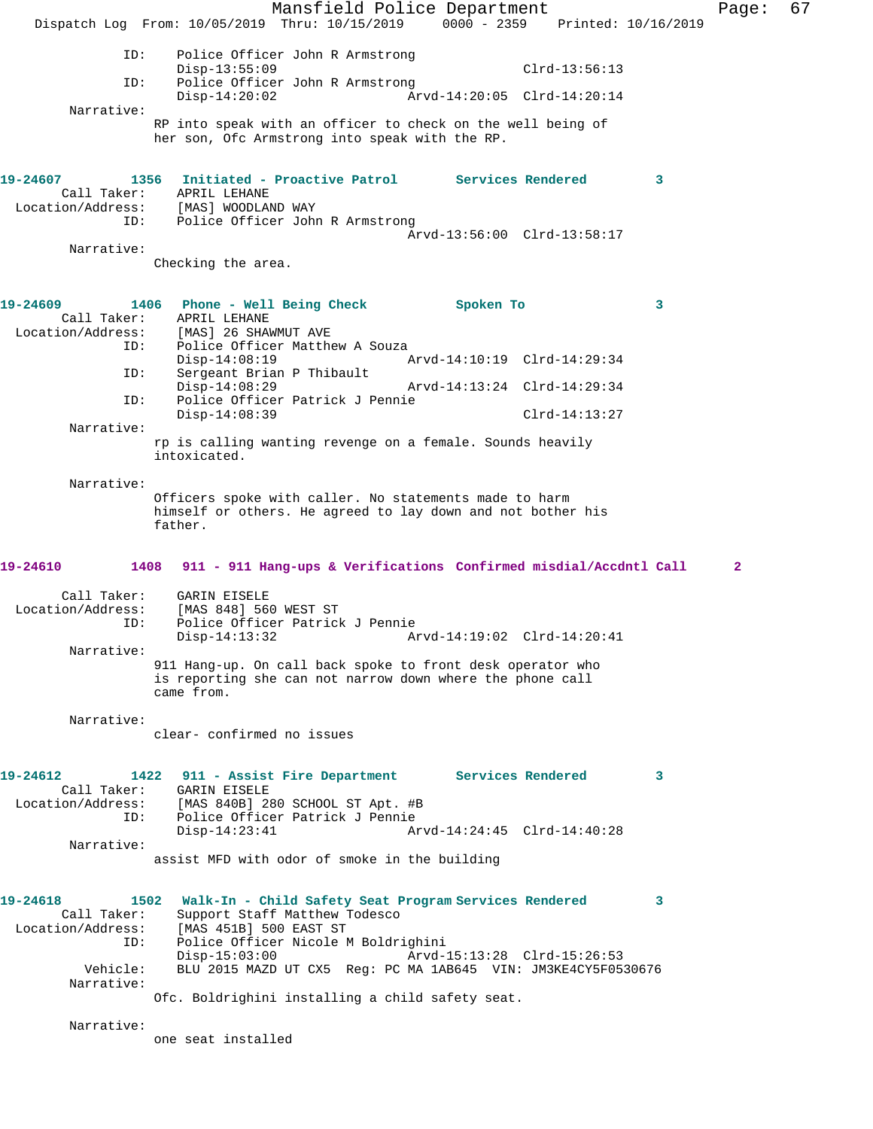Mansfield Police Department Fage: 67 Dispatch Log From: 10/05/2019 Thru: 10/15/2019 0000 - 2359 Printed: 10/16/2019 ID: Police Officer John R Armstrong Disp-13:55:09 Clrd-13:56:13 ID: Police Officer John R Armstrong Disp-14:20:02 Arvd-14:20:05 Clrd-14:20:14 Narrative: RP into speak with an officer to check on the well being of her son, Ofc Armstrong into speak with the RP. **19-24607 1356 Initiated - Proactive Patrol Services Rendered 3**  Call Taker: APRIL LEHANE Location/Address: [MAS] WOODLAND WAY ID: Police Officer John R Armstrong Arvd-13:56:00 Clrd-13:58:17 Narrative: Checking the area. **19-24609 1406 Phone - Well Being Check Spoken To 3**  Call Taker: APRIL LEHANE<br>Location/Address: [MAS] 26 SHAN [MAS] 26 SHAWMUT AVE ID: Police Officer Matthew A Souza<br>Disp-14:08:19 1 Disp-14:08:19 Arvd-14:10:19 Clrd-14:29:34<br>ID: Sergeant Brian P Thibault Sergeant Brian P Thibault<br>Disp-14:08:29 Disp-14:08:29 Arvd-14:13:24 Clrd-14:29:34<br>ID: Police Officer Patrick J Pennie Police Officer Patrick J Pennie Disp-14:08:39 Clrd-14:13:27 Narrative: rp is calling wanting revenge on a female. Sounds heavily intoxicated. Narrative: Officers spoke with caller. No statements made to harm himself or others. He agreed to lay down and not bother his father. **19-24610 1408 911 - 911 Hang-ups & Verifications Confirmed misdial/Accdntl Call 2** Call Taker: GARIN EISELE<br>.on/Address: [MAS 848] 560 WEST ST Location/Address:<br>ID: Police Officer Patrick J Pennie Disp-14:13:32 Arvd-14:19:02 Clrd-14:20:41 Narrative: 911 Hang-up. On call back spoke to front desk operator who is reporting she can not narrow down where the phone call came from. Narrative: clear- confirmed no issues **19-24612 1422 911 - Assist Fire Department Services Rendered 3**  Call Taker: GARIN EISELE Location/Address: [MAS 840B] 280 SCHOOL ST Apt. #B ID: Police Officer Patrick J Pennie Disp-14:23:41 Arvd-14:24:45 Clrd-14:40:28 Narrative: assist MFD with odor of smoke in the building **19-24618 1502 Walk-In - Child Safety Seat Program Services Rendered 3**  Call Taker: Support Staff Matthew Todesco Location/Address: [MAS 451B] 500 EAST ST Police Officer Nicole M Boldrighini<br>Disp-15:03:00 Arvd-Disp-15:03:00 Arvd-15:13:28 Clrd-15:26:53<br>Vehicle: BLU 2015 MAZD UT CX5 Reg: PC MA 1AB645 VIN: JM3KE4CY5F05 BLU 2015 MAZD UT CX5 Reg: PC MA 1AB645 VIN: JM3KE4CY5F0530676 Narrative: Ofc. Boldrighini installing a child safety seat. Narrative: one seat installed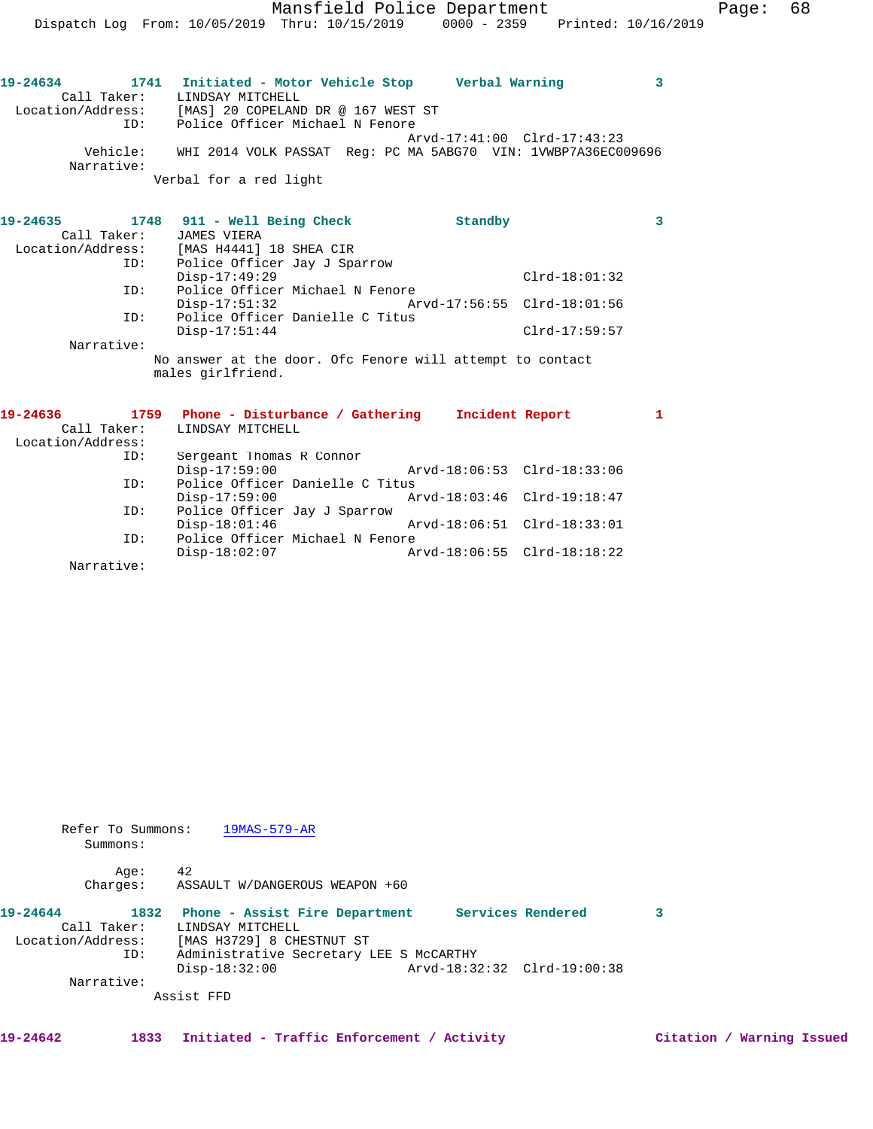**19-24634 1741 Initiated - Motor Vehicle Stop Verbal Warning 3**  Call Taker: LINDSAY MITCHELL Location/Address: [MAS] 20 COPELAND DR @ 167 WEST ST ID: Police Officer Michael N Fenore Arvd-17:41:00 Clrd-17:43:23 Vehicle: WHI 2014 VOLK PASSAT Reg: PC MA 5ABG70 VIN: 1VWBP7A36EC009696 Narrative: Verbal for a red light

**19-24635 1748 911 - Well Being Check Standby 3**  Call Taker: JAMES VIERA Location/Address: [MAS H4441] 18 SHEA CIR ID: Police Officer Jay J Sparrow Disp-17:49:29 Clrd-18:01:32 ID: Police Officer Michael N Fenore<br>Disp-17:51:32 Arv Disp-17:51:32 Arvd-17:56:55 Clrd-18:01:56 ID: Police Officer Danielle C Titus Disp-17:51:44 Clrd-17:59:57 Narrative: No answer at the door. Ofc Fenore will attempt to contact males girlfriend.

| 19-24636          | 1759 | Phone - Disturbance / Gathering | Incident Report             |  |
|-------------------|------|---------------------------------|-----------------------------|--|
| Call Taker:       |      | LINDSAY MITCHELL                |                             |  |
| Location/Address: |      |                                 |                             |  |
|                   | ID:  | Sergeant Thomas R Connor        |                             |  |
|                   |      | $Disp-17:59:00$                 | Arvd-18:06:53 Clrd-18:33:06 |  |
|                   | ID:  | Police Officer Danielle C Titus |                             |  |
|                   |      | $Disp-17:59:00$                 | Arvd-18:03:46 Clrd-19:18:47 |  |
|                   | ID:  | Police Officer Jay J Sparrow    |                             |  |
|                   |      | $Disp-18:01:46$                 | Arvd-18:06:51 Clrd-18:33:01 |  |
|                   | ID:  | Police Officer Michael N Fenore |                             |  |
|                   |      | $Disp-18:02:07$                 | Arvd-18:06:55 Clrd-18:18:22 |  |
| Narrative:        |      |                                 |                             |  |

 Refer To Summons: 19MAS-579-AR Summons:

 Age: 42 Charges: ASSAULT W/DANGEROUS WEAPON +60

| 19-24644          |     | 1832 Phone - Assist Fire Department     |  | Services Rendered           |  |
|-------------------|-----|-----------------------------------------|--|-----------------------------|--|
| Call Taker:       |     | LINDSAY MITCHELL                        |  |                             |  |
| Location/Address: |     | [MAS H3729] 8 CHESTNUT ST               |  |                             |  |
|                   | ID: | Administrative Secretary LEE S McCARTHY |  |                             |  |
|                   |     | $Disp-18:32:00$                         |  | Arvd-18:32:32 Clrd-19:00:38 |  |
| Narrative:        |     |                                         |  |                             |  |
|                   |     | Assist FFD                              |  |                             |  |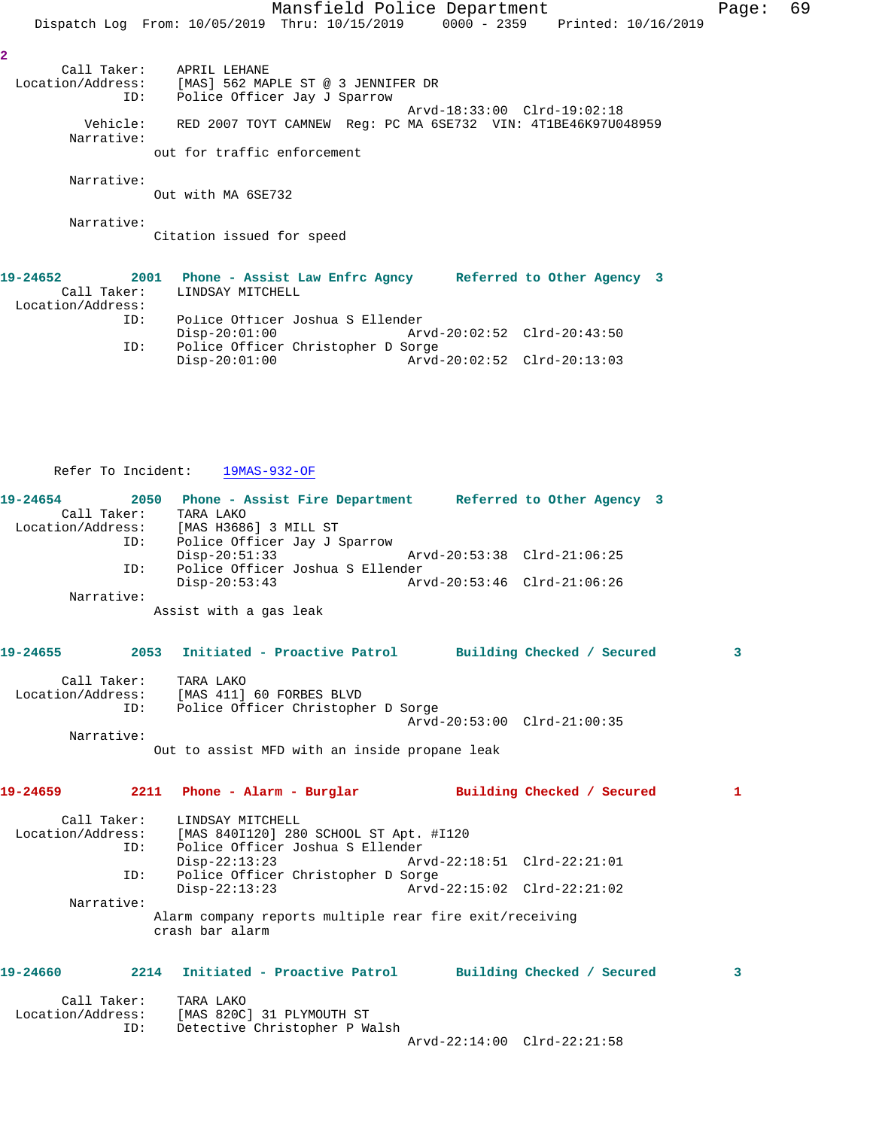Mansfield Police Department Fage: 69 Dispatch Log From: 10/05/2019 Thru: 10/15/2019 0000 - 2359 Printed: 10/16/2019 **2**  Call Taker: APRIL LEHANE Location/Address: [MAS] 562 MAPLE ST @ 3 JENNIFER DR ID: Police Officer Jay J Sparrow Arvd-18:33:00 Clrd-19:02:18 Vehicle: RED 2007 TOYT CAMNEW Reg: PC MA 6SE732 VIN: 4T1BE46K97U048959 Narrative: out for traffic enforcement Narrative: Out with MA 6SE732 Narrative: Citation issued for speed **19-24652 2001 Phone - Assist Law Enfrc Agncy Referred to Other Agency 3**  Call Taker: LINDSAY MITCHELL Location/Address:<br>ID:

| TD: | Police Officer Joshua S Ellender   |  |
|-----|------------------------------------|--|
|     | Disp-20:01:00                      |  |
| TD: | Police Officer Christopher D Sorge |  |
|     | Disp-20:01:00                      |  |

## Refer To Incident: 19MAS-932-OF

| 19-24654<br>Call Taker: | TARA LAKO<br>Location/Address: [MAS H3686] 3 MILL ST                                | 2050 Phone - Assist Fire Department Referred to Other Agency 3 |              |
|-------------------------|-------------------------------------------------------------------------------------|----------------------------------------------------------------|--------------|
| ID:<br>ID:              | Police Officer Jay J Sparrow<br>$Disp-20:51:33$<br>Police Officer Joshua S Ellender | Arvd-20:53:38 Clrd-21:06:25                                    |              |
|                         | $Disp-20:53:43$                                                                     | $Arvd - 20:53:46 \text{ Clrd} - 21:06:26$                      |              |
| Narrative:              |                                                                                     |                                                                |              |
|                         | Assist with a gas leak                                                              |                                                                |              |
| 19-24655                |                                                                                     | 2053 Initiated - Proactive Patrol Building Checked / Secured   | 3            |
| Call Taker:             | TARA LAKO                                                                           |                                                                |              |
|                         | Location/Address: [MAS 411] 60 FORBES BLVD                                          |                                                                |              |
| ID:                     | Police Officer Christopher D Sorge                                                  |                                                                |              |
| Narrative:              |                                                                                     | Arvd-20:53:00 Clrd-21:00:35                                    |              |
|                         | Out to assist MFD with an inside propane leak                                       |                                                                |              |
| 19-24659                |                                                                                     | 2211 Phone - Alarm - Burglar Manus Building Checked / Secured  | $\mathbf{1}$ |
| Call Taker:             | LINDSAY MITCHELL                                                                    |                                                                |              |
|                         | Location/Address: [MAS 840I120] 280 SCHOOL ST Apt. #I120                            |                                                                |              |
| ID:                     | Police Officer Joshua S Ellender                                                    |                                                                |              |
| ID:                     | $Disp-22:13:23$                                                                     | Arvd-22:18:51 Clrd-22:21:01                                    |              |
|                         | Police Officer Christopher D Sorge<br>$Disp-22:13:23$                               | Arvd-22:15:02 Clrd-22:21:02                                    |              |
| Narrative:              |                                                                                     |                                                                |              |
|                         | Alarm company reports multiple rear fire exit/receiving<br>crash bar alarm          |                                                                |              |
|                         |                                                                                     |                                                                |              |

## **19-24660 2214 Initiated - Proactive Patrol Building Checked / Secured 3**

| Call Taker:       | TARA LAKO                     |                             |  |
|-------------------|-------------------------------|-----------------------------|--|
| Location/Address: | [MAS 820C] 31 PLYMOUTH ST     |                             |  |
| TD:               | Detective Christopher P Walsh |                             |  |
|                   |                               | Arvd-22:14:00 Clrd-22:21:58 |  |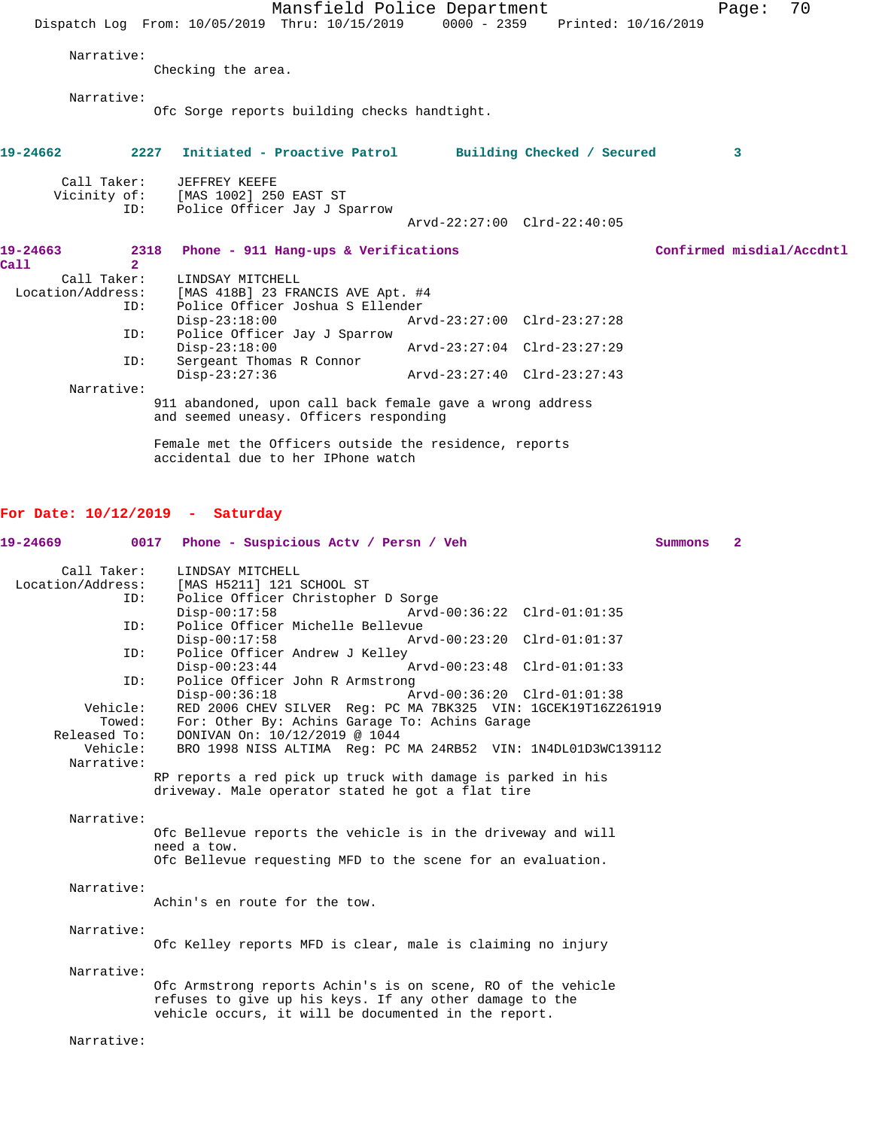Mansfield Police Department Fage: 70 Dispatch Log From: 10/05/2019 Thru: 10/15/2019 0000 - 2359 Printed: 10/16/2019 Narrative: Checking the area. Narrative: Ofc Sorge reports building checks handtight. **19-24662 2227 Initiated - Proactive Patrol Building Checked / Secured 3** Call Taker: JEFFREY KEEFE<br>Vicinity of: [MAS 1002] 250 [MAS 1002] 250 EAST ST ID: Police Officer Jay J Sparrow Arvd-22:27:00 Clrd-22:40:05 **19-24663 2318 Phone - 911 Hang-ups & Verifications Confirmed misdial/Accdntl Call 2**  Call Taker: LINDSAY MITCHELL<br>Location/Address: [MAS 418B] 23 FRA [MAS 418B] 23 FRANCIS AVE Apt. #4 ID: Police Officer Joshua S Ellender Disp-23:18:00 Arvd-23:27:00 Clrd-23:27:28 ID: Police Officer Jay J Sparrow Disp-23:18:00 Arvd-23:27:04 Clrd-23:27:29<br>ID: Sergeant Thomas R Connor Sergeant Thomas R Connor<br>Disp-23:27:36 Disp-23:27:36 Arvd-23:27:40 Clrd-23:27:43 Narrative: 911 abandoned, upon call back female gave a wrong address and seemed uneasy. Officers responding Female met the Officers outside the residence, reports accidental due to her IPhone watch **For Date: 10/12/2019 - Saturday 19-24669 0017 Phone - Suspicious Actv / Persn / Veh Summons 2** Call Taker: LINDSAY MITCHELL<br>Location/Address: [MAS H5211] 121 : [MAS H5211] 121 SCHOOL ST ID: Police Officer Christopher D Sorge Disp-00:17:58 Arvd-00:36:22 Clrd-01:01:35<br>ID: Police Officer Michelle Bellevue Police Officer Michelle Bellevue<br>Disp-00:17:58 Arv Disp-00:17:58 Arvd-00:23:20 Clrd-01:01:37 ID: Police Officer Andrew J Kelley<br>Disp-00:23:44 Disp-00:23:44 Arvd-00:23:48 Clrd-01:01:33<br>ID: Police Officer John R Armstrong Police Officer John R Armstrong Disp-00:36:18 Arvd-00:36:20 Clrd-01:01:38<br>Vehicle: RED 2006 CHEV SILVER Req: PC MA 7BK325 VIN: 1GCEK19T16Z2 RED 2006 CHEV SILVER Reg: PC MA 7BK325 VIN: 1GCEK19T16Z261919 Towed: For: Other By: Achins Garage To: Achins Garage Released To: DONIVAN On: 10/12/2019 @ 1044 Vehicle: BRO 1998 NISS ALTIMA Reg: PC MA 24RB52 VIN: 1N4DL01D3WC139112 Narrative: RP reports a red pick up truck with damage is parked in his driveway. Male operator stated he got a flat tire Narrative: Ofc Bellevue reports the vehicle is in the driveway and will need a tow. Ofc Bellevue requesting MFD to the scene for an evaluation. Narrative: Achin's en route for the tow. Narrative: Ofc Kelley reports MFD is clear, male is claiming no injury Narrative: Ofc Armstrong reports Achin's is on scene, RO of the vehicle refuses to give up his keys. If any other damage to the vehicle occurs, it will be documented in the report. Narrative: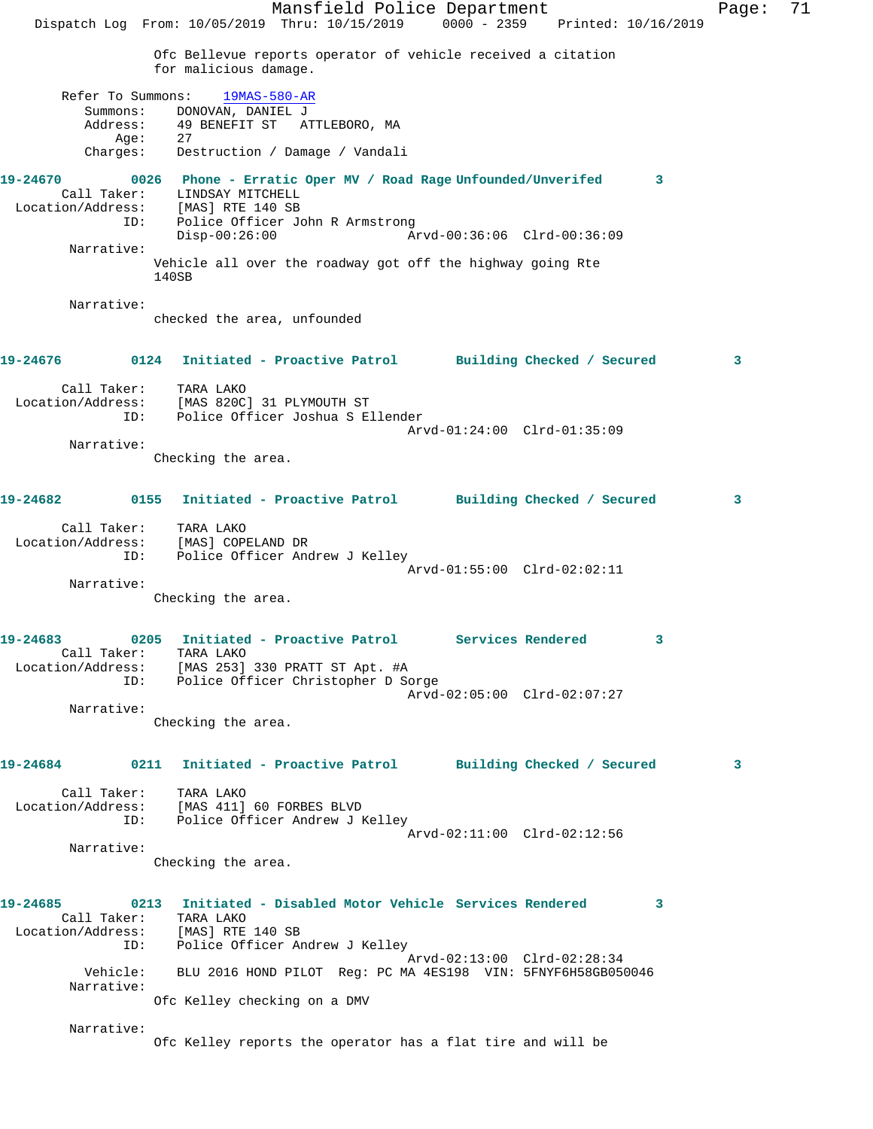Mansfield Police Department Page: 71 Dispatch Log From: 10/05/2019 Thru: 10/15/2019 0000 - 2359 Printed: 10/16/2019 Ofc Bellevue reports operator of vehicle received a citation for malicious damage. Refer To Summons: 19MAS-580-AR Summons: DONOVAN, DANIEL J Address: 49 BENEFIT ST ATTLEBORO, MA<br>Age: 27 Age: Charges: Destruction / Damage / Vandali **19-24670 0026 Phone - Erratic Oper MV / Road Rage Unfounded/Unverifed 3**  Call Taker: LINDSAY MITCHELL Location/Address: [MAS] RTE 140 SB ID: Police Officer John R Armstrong<br>Disp-00:26:00 A Disp-00:26:00 Arvd-00:36:06 Clrd-00:36:09 Narrative: Vehicle all over the roadway got off the highway going Rte 140SB Narrative: checked the area, unfounded **19-24676 0124 Initiated - Proactive Patrol Building Checked / Secured 3** Call Taker: TARA LAKO Location/Address: [MAS 820C] 31 PLYMOUTH ST ID: Police Officer Joshua S Ellender Arvd-01:24:00 Clrd-01:35:09 Narrative: Checking the area. **19-24682 0155 Initiated - Proactive Patrol Building Checked / Secured 3** Call Taker: TARA LAKO Location/Address: [MAS] COPELAND DR ID: Police Officer Andrew J Kelley Arvd-01:55:00 Clrd-02:02:11 Narrative: Checking the area. **19-24683 0205 Initiated - Proactive Patrol Services Rendered 3**  Call Taker: TARA LAKO Location/Address: [MAS 253] 330 PRATT ST Apt. #A ID: Police Officer Christopher D Sorge Arvd-02:05:00 Clrd-02:07:27 Narrative: Checking the area. **19-24684 0211 Initiated - Proactive Patrol Building Checked / Secured 3** Call Taker: TARA LAKO Location/Address: [MAS 411] 60 FORBES BLVD ID: Police Officer Andrew J Kelley Arvd-02:11:00 Clrd-02:12:56 Narrative: Checking the area. **19-24685 0213 Initiated - Disabled Motor Vehicle Services Rendered 3**  Call Taker: TARA LAKO<br>ion/Address: [MAS] RTE 140 SB Location/Address: ID: Police Officer Andrew J Kelley Arvd-02:13:00 Clrd-02:28:34 Vehicle: BLU 2016 HOND PILOT Reg: PC MA 4ES198 VIN: 5FNYF6H58GB050046 Narrative: Ofc Kelley checking on a DMV Narrative: Ofc Kelley reports the operator has a flat tire and will be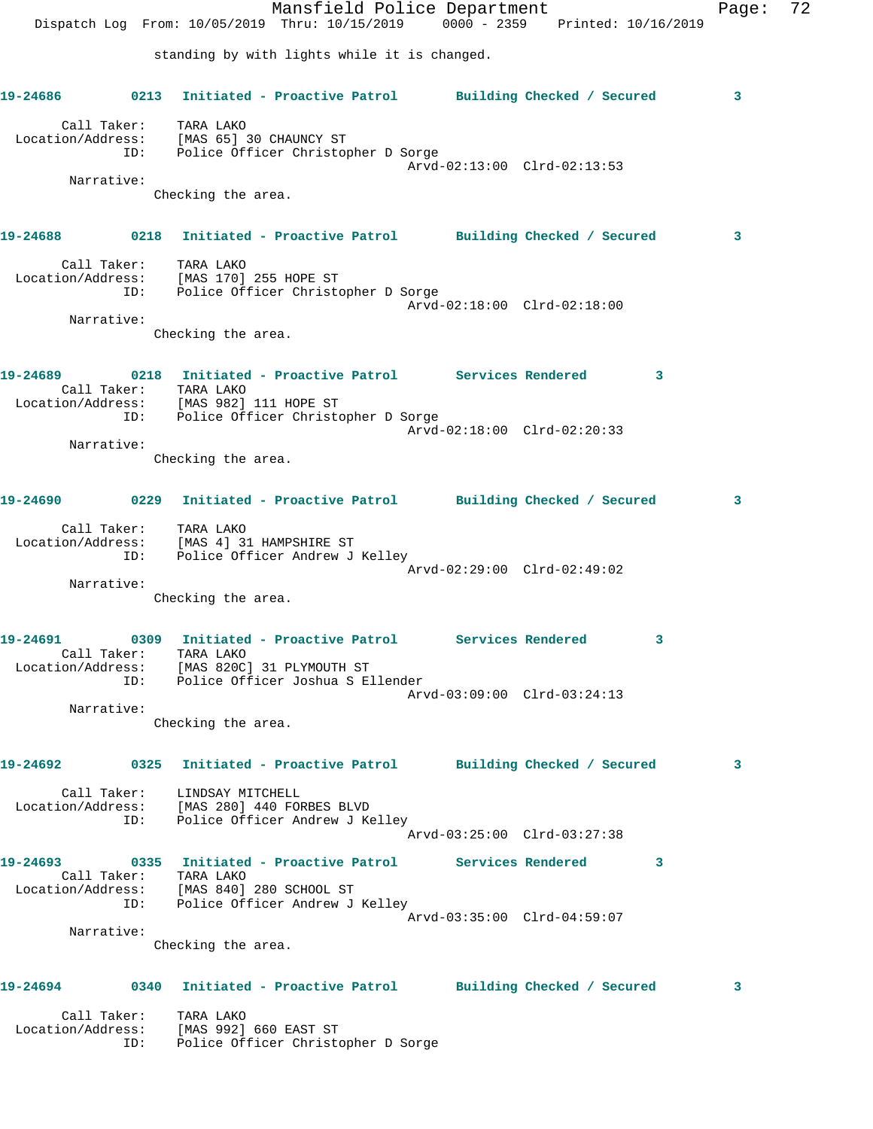|                   |             |                                                                             | Mansfield Police Department<br>Dispatch Log From: 10/05/2019 Thru: 10/15/2019 0000 - 2359 Printed: 10/16/2019 |                             |          | Page: | 72 |
|-------------------|-------------|-----------------------------------------------------------------------------|---------------------------------------------------------------------------------------------------------------|-----------------------------|----------|-------|----|
|                   |             |                                                                             | standing by with lights while it is changed.                                                                  |                             |          |       |    |
| 19-24686          |             |                                                                             | 0213 Initiated - Proactive Patrol Building Checked / Secured                                                  |                             |          | 3     |    |
|                   |             | Call Taker: TARA LAKO                                                       | Location/Address: [MAS 65] 30 CHAUNCY ST<br>ID: Police Officer Christopher D Sorge                            |                             |          |       |    |
|                   | Narrative:  |                                                                             |                                                                                                               | Arvd-02:13:00 Clrd-02:13:53 |          |       |    |
|                   |             | Checking the area.                                                          |                                                                                                               |                             |          |       |    |
|                   |             |                                                                             | 19-24688 6218 Initiated - Proactive Patrol Building Checked / Secured                                         |                             |          | 3     |    |
|                   |             | Call Taker: TARA LAKO                                                       |                                                                                                               |                             |          |       |    |
|                   | ID:         | Location/Address: [MAS 170] 255 HOPE ST                                     | Police Officer Christopher D Sorge                                                                            |                             |          |       |    |
|                   | Narrative:  |                                                                             |                                                                                                               | Arvd-02:18:00 Clrd-02:18:00 |          |       |    |
|                   |             | Checking the area.                                                          |                                                                                                               |                             |          |       |    |
| 19-24689          |             |                                                                             | 0218 Initiated - Proactive Patrol Services Rendered                                                           |                             | $\sim$ 3 |       |    |
|                   |             | Call Taker: TARA LAKO                                                       | Location/Address: [MAS 982] 111 HOPE ST<br>ID: Police Officer Christopher D Sorge                             |                             |          |       |    |
|                   |             |                                                                             |                                                                                                               | Arvd-02:18:00 Clrd-02:20:33 |          |       |    |
|                   | Narrative:  | Checking the area.                                                          |                                                                                                               |                             |          |       |    |
|                   |             |                                                                             |                                                                                                               |                             |          |       |    |
| 19-24690          |             |                                                                             | 0229 Initiated - Proactive Patrol Building Checked / Secured                                                  |                             |          | 3     |    |
| Location/Address: | ID:         | Call Taker: TARA LAKO<br>[MAS 4] 31 HAMPSHIRE ST                            | Police Officer Andrew J Kelley                                                                                |                             |          |       |    |
|                   | Narrative:  |                                                                             |                                                                                                               | Arvd-02:29:00 Clrd-02:49:02 |          |       |    |
|                   |             | Checking the area.                                                          |                                                                                                               |                             |          |       |    |
|                   |             |                                                                             |                                                                                                               |                             |          |       |    |
| L9-24691          | Call Taker: | TARA LAKO<br>Location/Address: [MAS 820C] 31 PLYMOUTH ST                    | 0309 Initiated - Proactive Patrol Services Rendered                                                           |                             |          |       |    |
|                   |             |                                                                             | ID: Police Officer Joshua S Ellender                                                                          | Arvd-03:09:00 Clrd-03:24:13 |          |       |    |
|                   | Narrative:  |                                                                             |                                                                                                               |                             |          |       |    |
|                   |             | Checking the area.                                                          |                                                                                                               |                             |          |       |    |
|                   |             |                                                                             | 19-24692      0325  Initiated - Proactive Patrol     Building Checked / Secured                               |                             |          | 3     |    |
|                   |             | Call Taker: LINDSAY MITCHELL<br>Location/Address: [MAS 280] 440 FORBES BLVD |                                                                                                               |                             |          |       |    |
|                   |             |                                                                             | ID: Police Officer Andrew J Kelley                                                                            | Arvd-03:25:00 Clrd-03:27:38 |          |       |    |
|                   |             | Call Taker: TARA LAKO                                                       | 19-24693 0335 Initiated - Proactive Patrol Services Rendered                                                  |                             | $\sim$ 3 |       |    |
|                   |             | Location/Address: [MAS 840] 280 SCHOOL ST                                   | ID: Police Officer Andrew J Kelley                                                                            |                             |          |       |    |
|                   |             |                                                                             |                                                                                                               | Arvd-03:35:00 Clrd-04:59:07 |          |       |    |
|                   | Narrative:  | Checking the area.                                                          |                                                                                                               |                             |          |       |    |
|                   |             |                                                                             | 19-24694 0340 Initiated - Proactive Patrol Building Checked / Secured                                         |                             |          | 3     |    |
|                   |             | Call Taker: TARA LAKO                                                       | Location/Address: [MAS 992] 660 EAST ST<br>ID: Police Officer Christopher D Sorge                             |                             |          |       |    |
|                   |             |                                                                             |                                                                                                               |                             |          |       |    |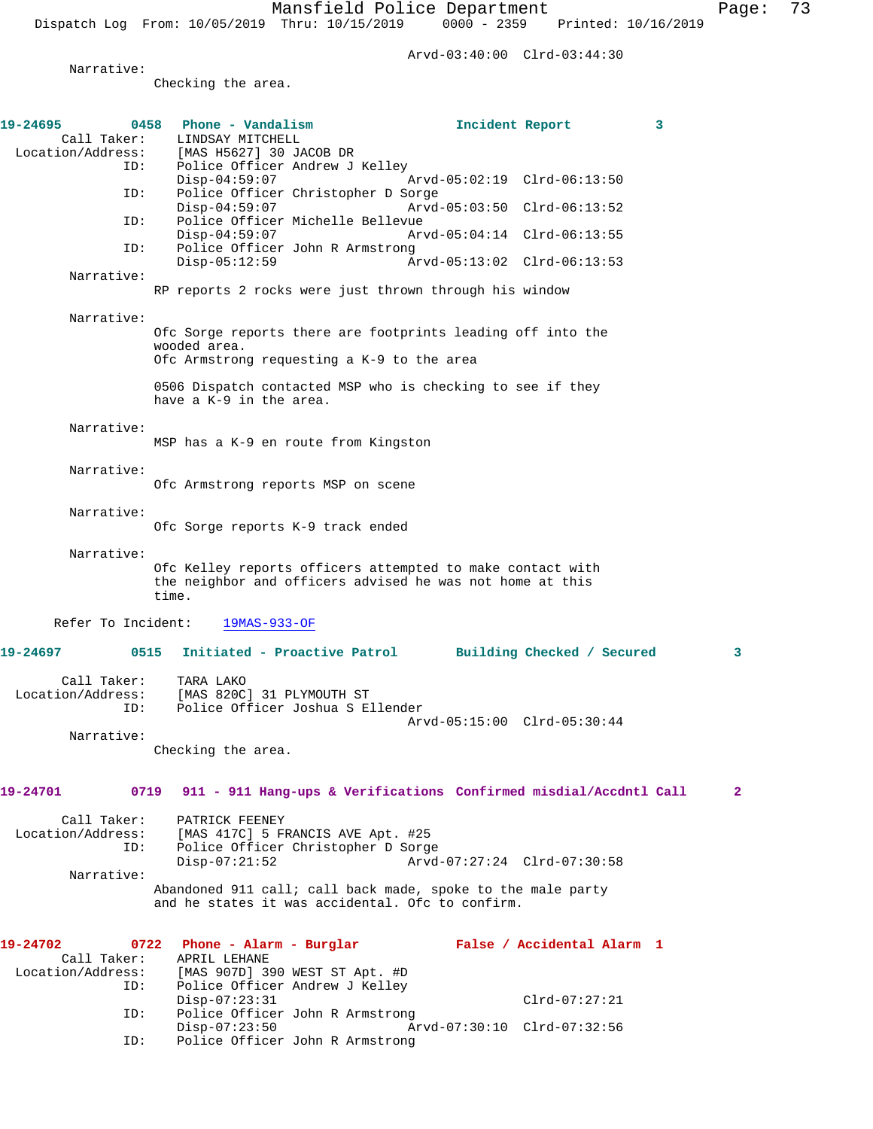Arvd-03:40:00 Clrd-03:44:30

Narrative:

Checking the area.

| 19-24695<br>Location/Address: | 0458<br>Call Taker: | Phone - Vandalism<br>LINDSAY MITCHELL<br>[MAS H5627] 30 JACOB DR                                                                 | Incident Report             |                            | 3            |
|-------------------------------|---------------------|----------------------------------------------------------------------------------------------------------------------------------|-----------------------------|----------------------------|--------------|
|                               | ID:                 | Police Officer Andrew J Kelley<br>$Disp-04:59:07$                                                                                | Arvd-05:02:19 Clrd-06:13:50 |                            |              |
|                               | ID:                 | Police Officer Christopher D Sorge<br>$Disp-04:59:07$                                                                            | Arvd-05:03:50 Clrd-06:13:52 |                            |              |
|                               | ID:                 | Police Officer Michelle Bellevue<br>$Disp-04:59:07$                                                                              | Arvd-05:04:14 Clrd-06:13:55 |                            |              |
|                               | ID:                 | Police Officer John R Armstrong<br>$Disp-05:12:59$                                                                               | Arvd-05:13:02 Clrd-06:13:53 |                            |              |
|                               | Narrative:          | RP reports 2 rocks were just thrown through his window                                                                           |                             |                            |              |
|                               | Narrative:          | Ofc Sorge reports there are footprints leading off into the<br>wooded area.<br>Ofc Armstrong requesting a K-9 to the area        |                             |                            |              |
|                               |                     | 0506 Dispatch contacted MSP who is checking to see if they<br>have a K-9 in the area.                                            |                             |                            |              |
|                               | Narrative:          | MSP has a K-9 en route from Kingston                                                                                             |                             |                            |              |
|                               | Narrative:          | Ofc Armstrong reports MSP on scene                                                                                               |                             |                            |              |
|                               | Narrative:          | Ofc Sorge reports K-9 track ended                                                                                                |                             |                            |              |
|                               | Narrative:          | Ofc Kelley reports officers attempted to make contact with<br>the neighbor and officers advised he was not home at this<br>time. |                             |                            |              |
|                               | Refer To Incident:  | $19MAS-933-OF$                                                                                                                   |                             |                            |              |
| 19-24697                      | 0515                | Initiated - Proactive Patrol                                                                                                     |                             | Building Checked / Secured | 3            |
| Location/Address:             | Call Taker:<br>ID:  | TARA LAKO<br>[MAS 820C] 31 PLYMOUTH ST<br>Police Officer Joshua S Ellender                                                       | Arvd-05:15:00 Clrd-05:30:44 |                            |              |
|                               | Narrative:          | Checking the area.                                                                                                               |                             |                            |              |
| 19-24701                      | 0719                | 911 - 911 Hang-ups & Verifications Confirmed misdial/Accdntl Call                                                                |                             |                            | $\mathbf{2}$ |
| Location/Address:             | Call Taker:<br>ID:  | PATRICK FEENEY<br>[MAS 417C] 5 FRANCIS AVE Apt. #25<br>Police Officer Christopher D Sorge<br>$Disp-07:21:52$                     | Arvd-07:27:24 Clrd-07:30:58 |                            |              |
|                               | Narrative:          | Abandoned 911 call; call back made, spoke to the male party<br>and he states it was accidental. Ofc to confirm.                  |                             |                            |              |
| 19-24702                      | 0722<br>Call Taker: | Phone - Alarm - Burglar<br>APRIL LEHANE                                                                                          |                             | False / Accidental Alarm 1 |              |
| Location/Address:             | ID:                 | [MAS 907D] 390 WEST ST Apt. #D<br>Police Officer Andrew J Kelley<br>$Disp-07:23:31$                                              |                             | $Clrd-07:27:21$            |              |
|                               | ID:                 | Police Officer John R Armstrong<br>$Disp-07:23:50$                                                                               | Arvd-07:30:10 Clrd-07:32:56 |                            |              |
|                               | ID:                 | Police Officer John R Armstrong                                                                                                  |                             |                            |              |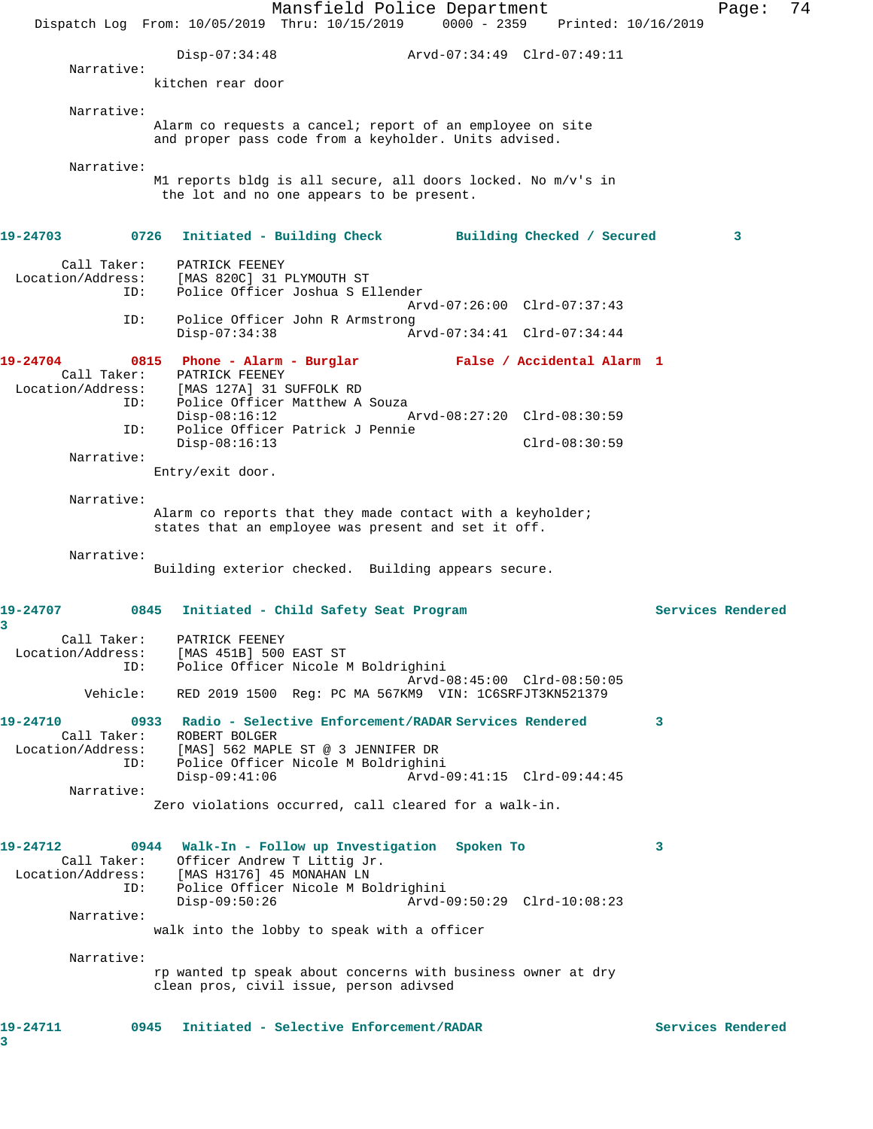Mansfield Police Department Page: 74 Dispatch Log From: 10/05/2019 Thru: 10/15/2019 0000 - 2359 Printed: 10/16/2019 Disp-07:34:48 Arvd-07:34:49 Clrd-07:49:11 Narrative: kitchen rear door Narrative: Alarm co requests a cancel; report of an employee on site and proper pass code from a keyholder. Units advised. Narrative: M1 reports bldg is all secure, all doors locked. No m/v's in the lot and no one appears to be present. **19-24703 0726 Initiated - Building Check Building Checked / Secured 3** Call Taker: PATRICK FEENEY Location/Address: [MAS 820C] 31 PLYMOUTH ST ID: Police Officer Joshua S Ellender Arvd-07:26:00 Clrd-07:37:43 ID: Police Officer John R Armstrong Disp-07:34:38 Arvd-07:34:41 Clrd-07:34:44 **19-24704 0815 Phone - Alarm - Burglar False / Accidental Alarm 1**  Call Taker: PATRICK FEENEY Location/Address: [MAS 127A] 31 SUFFOLK RD ID: Police Officer Matthew A Souza<br>Disp-08:16:12 A Disp-08:16:12 Arvd-08:27:20 Clrd-08:30:59 ID: Police Officer Patrick J Pennie Clrd-08:30:59 Narrative: Entry/exit door. Narrative: Alarm co reports that they made contact with a keyholder; states that an employee was present and set it off. Narrative: Building exterior checked. Building appears secure. **19-24707 0845 Initiated - Child Safety Seat Program Services Rendered 3**  Call Taker: PATRICK FEENEY Location/Address: [MAS 451B] 500 EAST ST ID: Police Officer Nicole M Boldrighini Arvd-08:45:00 Clrd-08:50:05 Vehicle: RED 2019 1500 Reg: PC MA 567KM9 VIN: 1C6SRFJT3KN521379 **19-24710 0933 Radio - Selective Enforcement/RADAR Services Rendered 3**  Call Taker: ROBERT BOLGER Location/Address: [MAS] 562 MAPLE ST @ 3 JENNIFER DR ID: Police Officer Nicole M Boldrighini Disp-09:41:06 Arvd-09:41:15 Clrd-09:44:45 Narrative: Zero violations occurred, call cleared for a walk-in. **19-24712 0944 Walk-In - Follow up Investigation Spoken To 3**  Call Taker: Officer Andrew T Littig Jr. Location/Address: [MAS H3176] 45 MONAHAN LN ID: Police Officer Nicole M Boldrighini Disp-09:50:26 Arvd-09:50:29 Clrd-10:08:23 Narrative: walk into the lobby to speak with a officer Narrative: rp wanted tp speak about concerns with business owner at dry clean pros, civil issue, person adivsed **19-24711 0945 Initiated - Selective Enforcement/RADAR Services Rendered 3**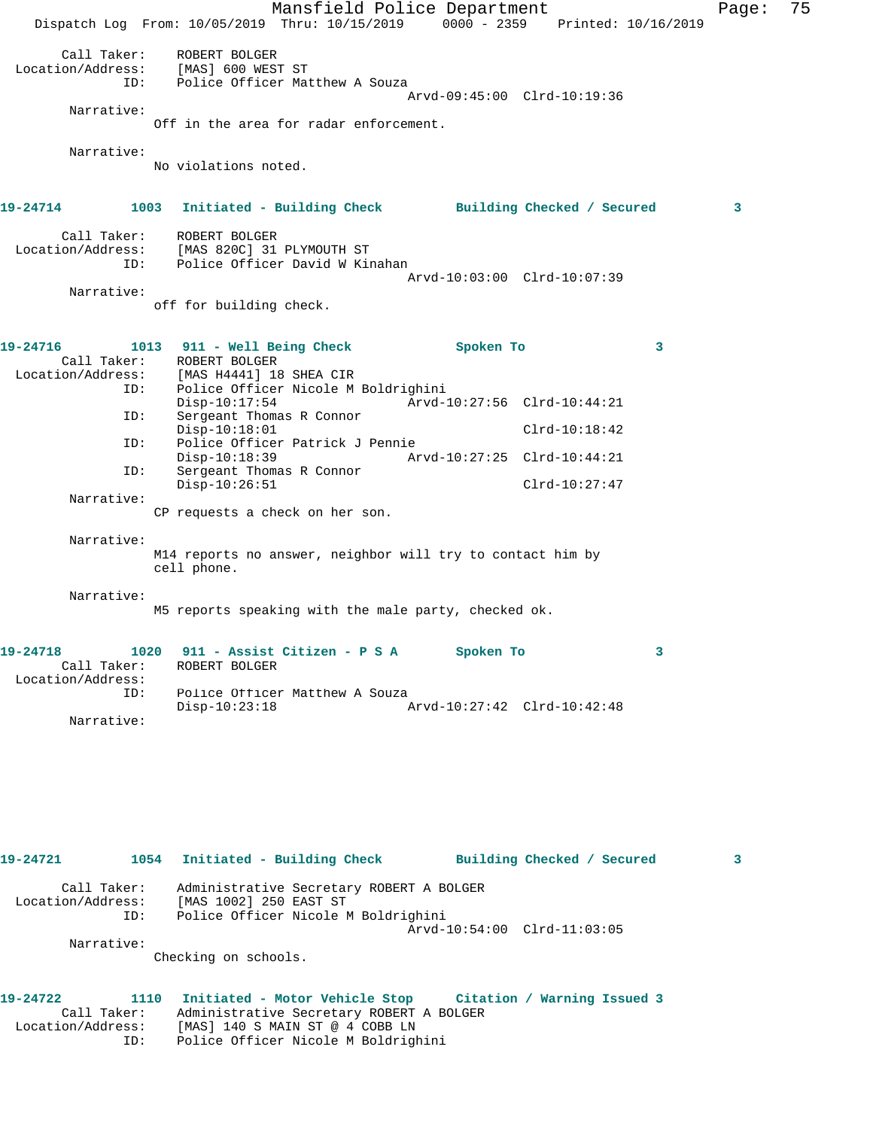Mansfield Police Department Fage: 75 Dispatch Log From: 10/05/2019 Thru: 10/15/2019 0000 - 2359 Printed: 10/16/2019 Call Taker: ROBERT BOLGER Location/Address: [MAS] 600 WEST ST ID: Police Officer Matthew A Souza Arvd-09:45:00 Clrd-10:19:36 Narrative: Off in the area for radar enforcement. Narrative: No violations noted. **19-24714 1003 Initiated - Building Check Building Checked / Secured 3** Call Taker: ROBERT BOLGER Location/Address: [MAS 820C] 31 PLYMOUTH ST ID: Police Officer David W Kinahan Arvd-10:03:00 Clrd-10:07:39 Narrative: off for building check. **19-24716 1013 911 - Well Being Check Spoken To 3**  Call Taker: ROBERT BOLGER<br>Location/Address: [MAS H4441] 18 [MAS H4441] 18 SHEA CIR ID: Police Officer Nicole M Boldrighini Disp-10:17:54 Arvd-10:27:56 Clrd-10:44:21 ID: Sergeant Thomas R Connor Disp-10:18:01 Clrd-10:18:42<br>TD: Police Officer Patrick J Pennie Police Officer Patrick J Pennie Disp-10:18:39 Arvd-10:27:25 Clrd-10:44:21 ID: Sergeant Thomas R Connor Disp-10:26:51 Clrd-10:27:47 Narrative: CP requests a check on her son. Narrative: M14 reports no answer, neighbor will try to contact him by cell phone. Narrative: M5 reports speaking with the male party, checked ok. **19-24718 1020 911 - Assist Citizen - P S A Spoken To 3**  Call Taker: ROBERT BOLGER Location/Address: ID: Police Officer Matthew A Souza Disp-10:23:18 Arvd-10:27:42 Clrd-10:42:48 Narrative:

**19-24721 1054 Initiated - Building Check Building Checked / Secured 3** Call Taker: Administrative Secretary ROBERT A BOLGER Location/Address: [MAS 1002] 250 EAST ST ID: Police Officer Nicole M Boldrighini Arvd-10:54:00 Clrd-11:03:05 Narrative: Checking on schools.

**19-24722 1110 Initiated - Motor Vehicle Stop Citation / Warning Issued 3**  Call Taker: Administrative Secretary ROBERT A BOLGER Location/Address: [MAS] 140 S MAIN ST @ 4 COBB LN ID: Police Officer Nicole M Boldrighini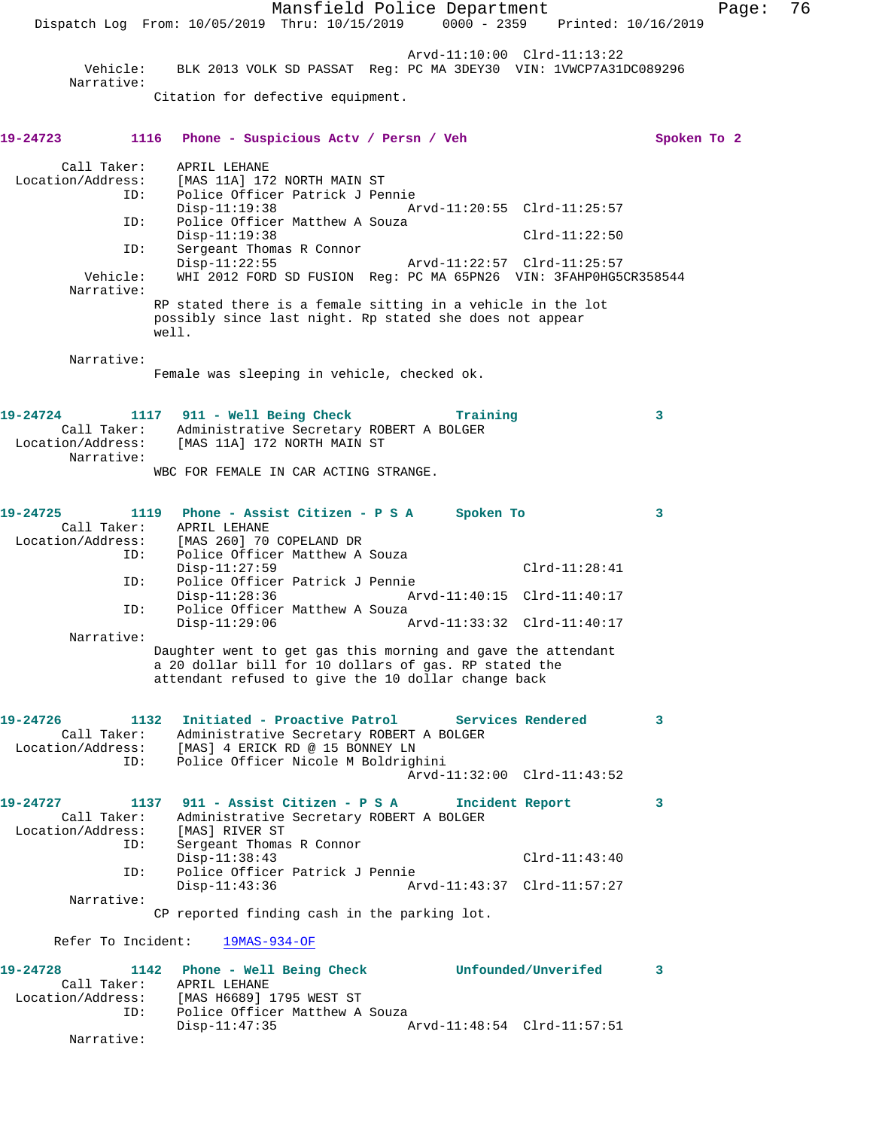Mansfield Police Department Fage: 76 Dispatch Log From: 10/05/2019 Thru: 10/15/2019 0000 - 2359 Printed: 10/16/2019 Arvd-11:10:00 Clrd-11:13:22 Vehicle: BLK 2013 VOLK SD PASSAT Reg: PC MA 3DEY30 VIN: 1VWCP7A31DC089296 Narrative: Citation for defective equipment. **19-24723 1116 Phone - Suspicious Actv / Persn / Veh Spoken To 2** Call Taker: APRIL LEHANE Location/Address: [MAS 11A] 172 NORTH MAIN ST ID: Police Officer Patrick J Pennie Disp-11:19:38 Arvd-11:20:55 Clrd-11:25:57 ID: Police Officer Matthew A Souza Disp-11:19:38 Clrd-11:22:50 ID: Sergeant Thomas R Connor Disp-11:22:55 Arvd-11:22:57 Clrd-11:25:57 Vehicle: WHI 2012 FORD SD FUSION Reg: PC MA 65PN26 VIN: 3FAHP0HG5CR358544 Narrative: RP stated there is a female sitting in a vehicle in the lot possibly since last night. Rp stated she does not appear well. Narrative: Female was sleeping in vehicle, checked ok. **19-24724 1117 911 - Well Being Check Training 3**  Call Taker: Administrative Secretary ROBERT A BOLGER Location/Address: [MAS 11A] 172 NORTH MAIN ST Narrative: WBC FOR FEMALE IN CAR ACTING STRANGE. **19-24725 1119 Phone - Assist Citizen - P S A Spoken To 3**  Call Taker: APRIL LEHANE Location/Address: [MAS 260] 70 COPELAND DR ID: Police Officer Matthew A Souza Disp-11:27:59 Clrd-11:28:41<br>ID: Police Officer Patrick J Pennie Police Officer Patrick J Pennie Disp-11:28:36 Arvd-11:40:15 Clrd-11:40:17<br>TD: Police Officer Matthew A Souza Police Officer Matthew A Souza Disp-11:29:06 Arvd-11:33:32 Clrd-11:40:17 Narrative: Daughter went to get gas this morning and gave the attendant a 20 dollar bill for 10 dollars of gas. RP stated the attendant refused to give the 10 dollar change back **19-24726 1132 Initiated - Proactive Patrol Services Rendered 3**  Call Taker: Administrative Secretary ROBERT A BOLGER Location/Address: [MAS] 4 ERICK RD @ 15 BONNEY LN ID: Police Officer Nicole M Boldrighini Arvd-11:32:00 Clrd-11:43:52 **19-24727 1137 911 - Assist Citizen - P S A Incident Report 3**  Call Taker: Administrative Secretary ROBERT A BOLGER Location/Address: [MAS] RIVER ST ID: Sergeant Thomas R Connor Disp-11:38:43 Clrd-11:43:40 ID: Police Officer Patrick J Pennie Disp-11:43:36 Arvd-11:43:37 Clrd-11:57:27 Narrative: CP reported finding cash in the parking lot. Refer To Incident: 19MAS-934-OF **19-24728 1142 Phone - Well Being Check Unfounded/Unverifed 3**  Call Taker: APRIL LEHANE Location/Address: [MAS H6689] 1795 WEST ST ID: Police Officer Matthew A Souza Disp-11:47:35 Arvd-11:48:54 Clrd-11:57:51 Narrative: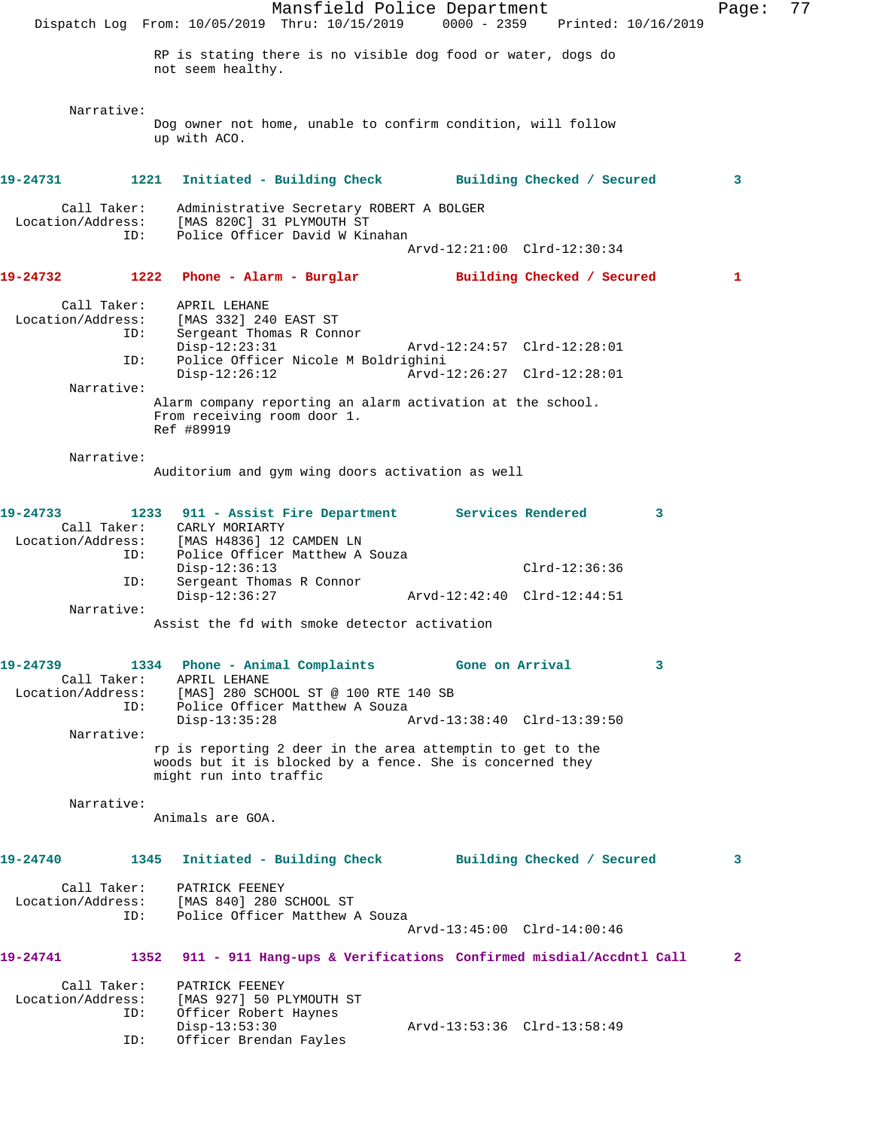Mansfield Police Department Page: 77 Dispatch Log From: 10/05/2019 Thru: 10/15/2019 0000 - 2359 Printed: 10/16/2019 RP is stating there is no visible dog food or water, dogs do not seem healthy. Narrative: Dog owner not home, unable to confirm condition, will follow up with ACO. **19-24731 1221 Initiated - Building Check Building Checked / Secured 3** Call Taker: Administrative Secretary ROBERT A BOLGER Location/Address: [MAS 820C] 31 PLYMOUTH ST ID: Police Officer David W Kinahan Arvd-12:21:00 Clrd-12:30:34 **19-24732 1222 Phone - Alarm - Burglar Building Checked / Secured 1** Call Taker: APRIL LEHANE Location/Address: [MAS 332] 240 EAST ST ID: Sergeant Thomas R Connor Disp-12:23:31 Arvd-12:24:57 Clrd-12:28:01<br>ID: Police Officer Nicole M Boldrighini Police Officer Nicole M Boldrighini<br>Disp-12:26:12 Arvd- Disp-12:26:12 Arvd-12:26:27 Clrd-12:28:01 Narrative: Alarm company reporting an alarm activation at the school. From receiving room door 1. Ref #89919 Narrative: Auditorium and gym wing doors activation as well **19-24733 1233 911 - Assist Fire Department Services Rendered 3**  Call Taker: CARLY MORIARTY<br>Location/Address: [MAS H4836] 12 ess: [MAS H4836] 12 CAMDEN LN<br>ID: Police Officer Matthew A Police Officer Matthew A Souza Disp-12:36:13 Clrd-12:36:36<br>ID: Sergeant Thomas R Connor Sergeant Thomas R Connor<br>Disp-12:36:27 Disp-12:36:27 Arvd-12:42:40 Clrd-12:44:51 Narrative: Assist the fd with smoke detector activation **19-24739 1334 Phone - Animal Complaints Gone on Arrival 3**  Call Taker: APRIL LEHANE<br>Location/Address: [MAS] 280 SCI ess: [MAS] 280 SCHOOL ST @ 100 RTE 140 SB<br>ID: Police Officer Matthew A Souza Police Officer Matthew A Souza<br>Disp-13:35:28 / Disp-13:35:28 Arvd-13:38:40 Clrd-13:39:50 Narrative: rp is reporting 2 deer in the area attemptin to get to the woods but it is blocked by a fence. She is concerned they might run into traffic Narrative: Animals are GOA. **19-24740 1345 Initiated - Building Check Building Checked / Secured 3** Call Taker: PATRICK FEENEY Location/Address: [MAS 840] 280 SCHOOL ST<br>ID: Police Officer Matthew 1 Police Officer Matthew A Souza Arvd-13:45:00 Clrd-14:00:46 **19-24741 1352 911 - 911 Hang-ups & Verifications Confirmed misdial/Accdntl Call 2** Call Taker: PATRICK FEENEY Location/Address: [MAS 927] 50 PLYMOUTH ST Officer Robert Haynes<br>Disp-13:53:30 Disp-13:53:30 Arvd-13:53:36 Clrd-13:58:49<br>TD: Officer Brendan Favles Officer Brendan Fayles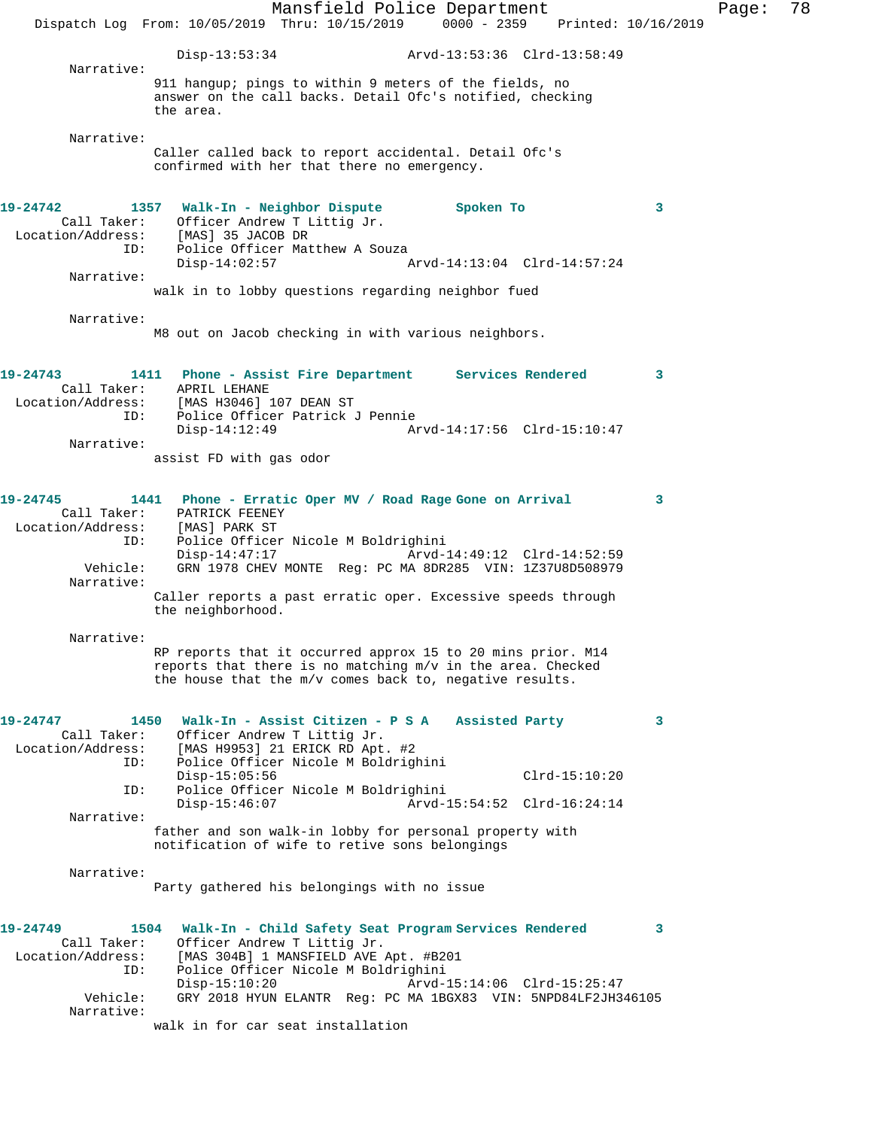Mansfield Police Department Page: 78 Dispatch Log From: 10/05/2019 Thru: 10/15/2019 0000 - 2359 Printed: 10/16/2019 Disp-13:53:34 Arvd-13:53:36 Clrd-13:58:49 Narrative: 911 hangup; pings to within 9 meters of the fields, no answer on the call backs. Detail Ofc's notified, checking the area. Narrative: Caller called back to report accidental. Detail Ofc's confirmed with her that there no emergency. **19-24742 1357 Walk-In - Neighbor Dispute Spoken To 3**  Call Taker: Officer Andrew T Littig Jr. Location/Address: [MAS] 35 JACOB DR ID: Police Officer Matthew A Souza<br>Disp-14:02:57 Arvd-14:13:04 Clrd-14:57:24 Narrative: walk in to lobby questions regarding neighbor fued Narrative: M8 out on Jacob checking in with various neighbors. **19-24743 1411 Phone - Assist Fire Department Services Rendered 3**  Call Taker: APRIL LEHANE Location/Address: [MAS H3046] 107 DEAN ST ID: Police Officer Patrick J Pennie Disp-14:12:49 Arvd-14:17:56 Clrd-15:10:47 Narrative: assist FD with gas odor **19-24745 1441 Phone - Erratic Oper MV / Road Rage Gone on Arrival 3**  Call Taker: PATRICK FEENEY Location/Address: [MAS] PARK ST ID: Police Officer Nicole M Boldrighini Disp-14:47:17 Arvd-14:49:12 Clrd-14:52:59 Vehicle: GRN 1978 CHEV MONTE Reg: PC MA 8DR285 VIN: 1Z37U8D508979 Narrative: Caller reports a past erratic oper. Excessive speeds through the neighborhood. Narrative: RP reports that it occurred approx 15 to 20 mins prior. M14 reports that there is no matching m/v in the area. Checked the house that the m/v comes back to, negative results. **19-24747 1450 Walk-In - Assist Citizen - P S A Assisted Party 3**  Call Taker: Officer Andrew T Littig Jr. Location/Address: [MAS H9953] 21 ERICK RD Apt. #2 ID: Police Officer Nicole M Boldrighini Disp-15:05:56 Clrd-15:10:20<br>ID: Police Officer Nicole M Boldrighini Police Officer Nicole M Boldrighini Disp-15:46:07 Arvd-15:54:52 Clrd-16:24:14 Narrative: father and son walk-in lobby for personal property with notification of wife to retive sons belongings Narrative: Party gathered his belongings with no issue **19-24749 1504 Walk-In - Child Safety Seat Program Services Rendered 3**  Call Taker: Officer Andrew T Littig Jr. Location/Address: [MAS 304B] 1 MANSFIELD AVE Apt. #B201 ID: Police Officer Nicole M Boldrighini Disp-15:10:20 Arvd-15:14:06 Clrd-15:25:47 Vehicle: GRY 2018 HYUN ELANTR Reg: PC MA 1BGX83 VIN: 5NPD84LF2JH346105 Narrative: walk in for car seat installation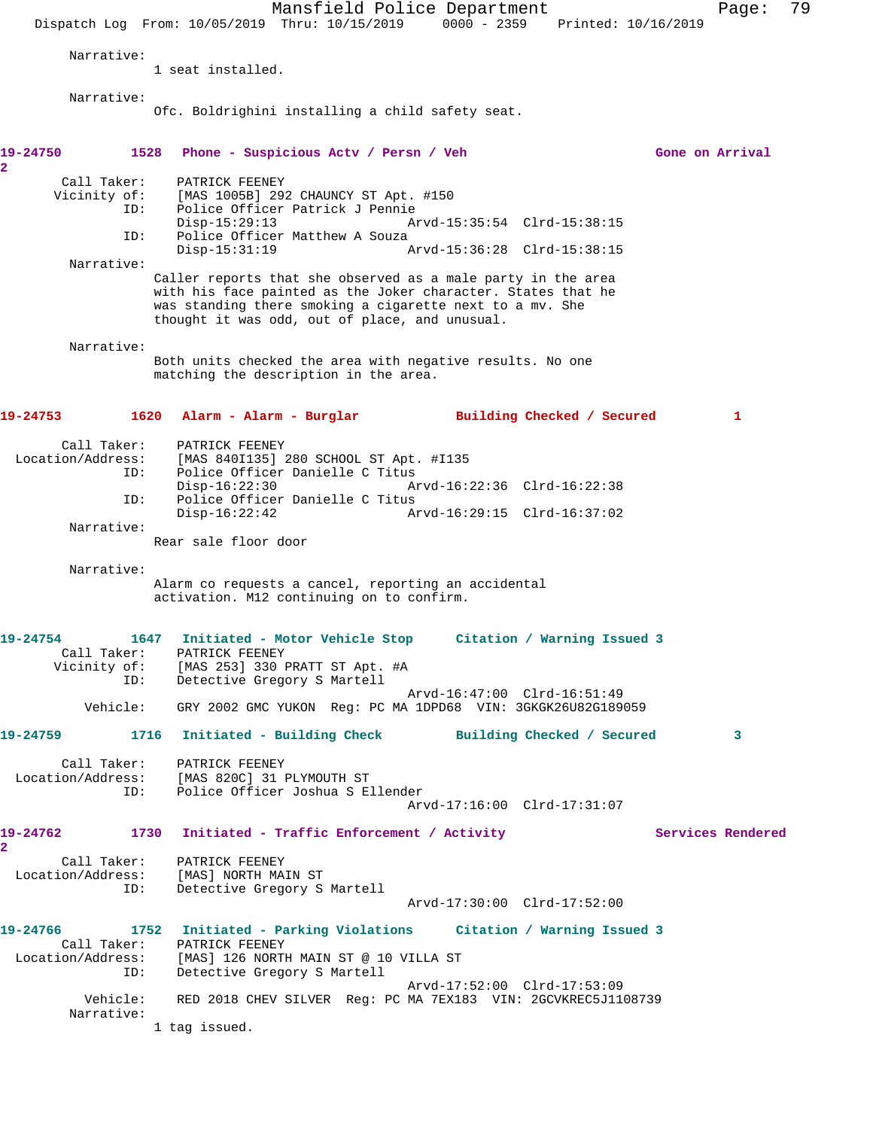Mansfield Police Department Fage: 79 Dispatch Log From: 10/05/2019 Thru: 10/15/2019 0000 - 2359 Printed: 10/16/2019 Narrative: 1 seat installed. Narrative: Ofc. Boldrighini installing a child safety seat. **19-24750 1528 Phone - Suspicious Actv / Persn / Veh Gone on Arrival 2**  Call Taker: PATRICK FEENEY<br>Vicinity of: [MAS 1005B] 292 [MAS 1005B] 292 CHAUNCY ST Apt. #150 ID: Police Officer Patrick J Pennie Disp-15:29:13 Arvd-15:35:54 Clrd-15:38:15 ID: Police Officer Matthew A Souza<br>Disp-15:31:19 Arvd-15:36:28 Clrd-15:38:15 Narrative: Caller reports that she observed as a male party in the area with his face painted as the Joker character. States that he was standing there smoking a cigarette next to a mv. She thought it was odd, out of place, and unusual. Narrative: Both units checked the area with negative results. No one matching the description in the area. **19-24753 1620 Alarm - Alarm - Burglar Building Checked / Secured 1** Call Taker: PATRICK FEENEY<br>1. Location/Address: [MAS 8401135] ess: [MAS 840I135] 280 SCHOOL ST Apt. #I135<br>ID: Police Officer Danielle C Titus Police Officer Danielle C Titus<br>Disp-16:22:30 A Disp-16:22:30 Arvd-16:22:36 Clrd-16:22:38 ID: Police Officer Danielle C Titus Disp-16:22:42 Arvd-16:29:15 Clrd-16:37:02 Narrative: Rear sale floor door Narrative: Alarm co requests a cancel, reporting an accidental activation. M12 continuing on to confirm. **19-24754 1647 Initiated - Motor Vehicle Stop Citation / Warning Issued 3**  Call Taker: PATRICK FEENEY Vicinity of: [MAS 253] 330 PRATT ST Apt. #A ID: Detective Gregory S Martell Arvd-16:47:00 Clrd-16:51:49 Vehicle: GRY 2002 GMC YUKON Reg: PC MA 1DPD68 VIN: 3GKGK26U82G189059 **19-24759 1716 Initiated - Building Check Building Checked / Secured 3** Call Taker: PATRICK FEENEY Location/Address: [MAS 820C] 31 PLYMOUTH ST ID: Police Officer Joshua S Ellender Arvd-17:16:00 Clrd-17:31:07 19-24762 1730 Initiated - Traffic Enforcement / Activity **Services Rendered 2**  Call Taker: PATRICK FEENEY Location/Address: [MAS] NORTH MAIN ST ID: Detective Gregory S Martell Arvd-17:30:00 Clrd-17:52:00 **19-24766 1752 Initiated - Parking Violations Citation / Warning Issued 3**  Call Taker: PATRICK FEENEY Location/Address: [MAS] 126 NORTH MAIN ST @ 10 VILLA ST ID: Detective Gregory S Martell Arvd-17:52:00 Clrd-17:53:09 Vehicle: RED 2018 CHEV SILVER Reg: PC MA 7EX183 VIN: 2GCVKREC5J1108739 Narrative: 1 tag issued.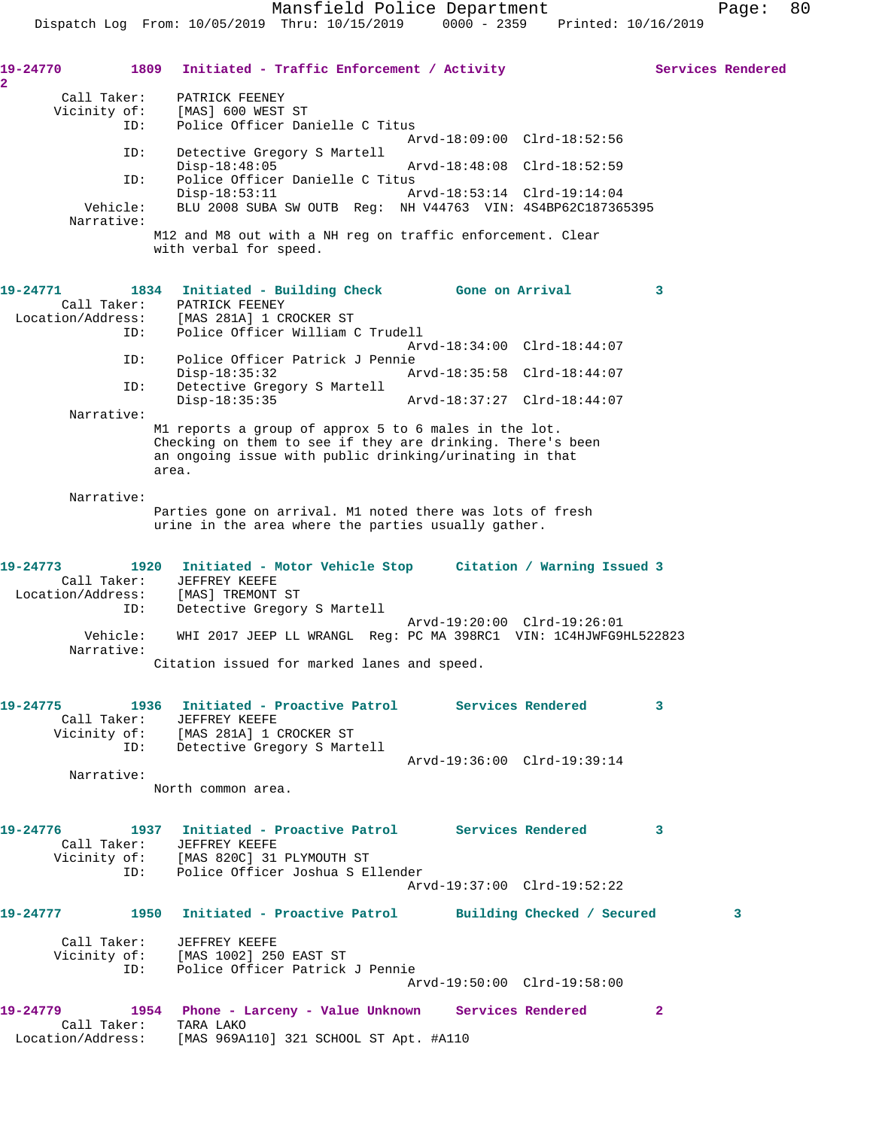19-24770 1809 Initiated - Traffic Enforcement / Activity Services Rendered **2**  Call Taker: PATRICK FEENEY Vicinity of: [MAS] 600 WEST ST ID: Police Officer Danielle C Titus Arvd-18:09:00 Clrd-18:52:56 ID: Detective Gregory S Martell Disp-18:48:05 Arvd-18:48:08 Clrd-18:52:59<br>ID: Police Officer Danielle C Titus Police Officer Danielle C Titus<br>Disp-18:53:11 A Disp-18:53:11 Arvd-18:53:14 Clrd-19:14:04 Vehicle: BLU 2008 SUBA SW OUTB Reg: NH V44763 VIN: 4S4BP62C187365395 Narrative: M12 and M8 out with a NH reg on traffic enforcement. Clear with verbal for speed. **19-24771 1834 Initiated - Building Check Gone on Arrival 3**  Call Taker: PATRICK FEENEY Location/Address: [MAS 281A] 1 CROCKER ST ID: Police Officer William C Trudell Arvd-18:34:00 Clrd-18:44:07 ID: Police Officer Patrick J Pennie Disp-18:35:32 Arvd-18:35:58 Clrd-18:44:07 ID: Detective Gregory S Martell Disp-18:35:35 Arvd-18:37:27 Clrd-18:44:07 Narrative: M1 reports a group of approx 5 to 6 males in the lot. Checking on them to see if they are drinking. There's been an ongoing issue with public drinking/urinating in that area. Narrative: Parties gone on arrival. M1 noted there was lots of fresh urine in the area where the parties usually gather. **19-24773 1920 Initiated - Motor Vehicle Stop Citation / Warning Issued 3**  Call Taker: JEFFREY KEEFE Location/Address: [MAS] TREMONT ST ID: Detective Gregory S Martell Arvd-19:20:00 Clrd-19:26:01 Vehicle: WHI 2017 JEEP LL WRANGL Reg: PC MA 398RC1 VIN: 1C4HJWFG9HL522823 Narrative: Citation issued for marked lanes and speed. **19-24775 1936 Initiated - Proactive Patrol Services Rendered 3**  Call Taker: JEFFREY KEEFE Vicinity of: [MAS 281A] 1 CROCKER ST ID: Detective Gregory S Martell Arvd-19:36:00 Clrd-19:39:14 Narrative: North common area. **19-24776 1937 Initiated - Proactive Patrol Services Rendered 3**  Call Taker: JEFFREY KEEFE Vicinity of: [MAS 820C] 31 PLYMOUTH ST ID: Police Officer Joshua S Ellender Arvd-19:37:00 Clrd-19:52:22 **19-24777 1950 Initiated - Proactive Patrol Building Checked / Secured 3** Call Taker: JEFFREY KEEFE Vicinity of: [MAS 1002] 250 EAST ST ID: Police Officer Patrick J Pennie Arvd-19:50:00 Clrd-19:58:00 **19-24779 1954 Phone - Larceny - Value Unknown Services Rendered 2**  Call Taker: TARA LAKO Location/Address: [MAS 969A110] 321 SCHOOL ST Apt. #A110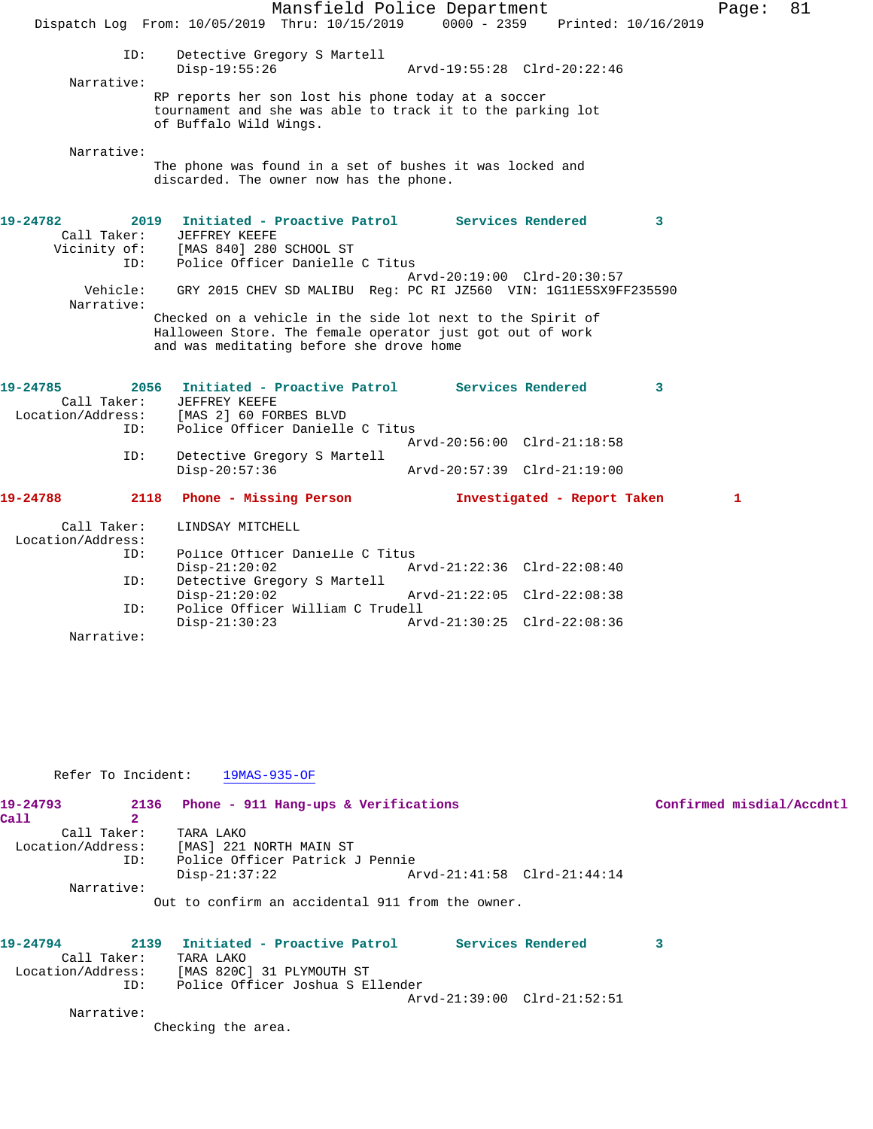|                         |      |                                                                                                                                                                     | Mansfield Police Department |                             |                         | Page: | 81 |
|-------------------------|------|---------------------------------------------------------------------------------------------------------------------------------------------------------------------|-----------------------------|-----------------------------|-------------------------|-------|----|
|                         |      | Dispatch Log From: 10/05/2019 Thru: 10/15/2019                                                                                                                      | $0000 - 2359$               |                             | Printed: 10/16/2019     |       |    |
|                         | ID:  | Detective Gregory S Martell                                                                                                                                         |                             |                             |                         |       |    |
|                         |      | $Disp-19:55:26$                                                                                                                                                     |                             | Arvd-19:55:28 Clrd-20:22:46 |                         |       |    |
| Narrative:              |      |                                                                                                                                                                     |                             |                             |                         |       |    |
|                         |      | RP reports her son lost his phone today at a soccer<br>tournament and she was able to track it to the parking lot<br>of Buffalo Wild Wings.                         |                             |                             |                         |       |    |
| Narrative:              |      |                                                                                                                                                                     |                             |                             |                         |       |    |
|                         |      | The phone was found in a set of bushes it was locked and<br>discarded. The owner now has the phone.                                                                 |                             |                             |                         |       |    |
| 19-24782<br>Call Taker: |      | 2019 Initiated - Proactive Patrol Services Rendered<br><b>JEFFREY KEEFE</b><br>Vicinity of: [MAS 840] 280 SCHOOL ST                                                 |                             |                             | $\mathbf{3}$            |       |    |
|                         | ID:  | Police Officer Danielle C Titus                                                                                                                                     |                             |                             |                         |       |    |
|                         |      |                                                                                                                                                                     |                             | Arvd-20:19:00 Clrd-20:30:57 |                         |       |    |
| Vehicle:                |      | GRY 2015 CHEV SD MALIBU Req: PC RI JZ560 VIN: 1G11E5SX9FF235590                                                                                                     |                             |                             |                         |       |    |
| Narrative:              |      |                                                                                                                                                                     |                             |                             |                         |       |    |
|                         |      | Checked on a vehicle in the side lot next to the Spirit of<br>Halloween Store. The female operator just got out of work<br>and was meditating before she drove home |                             |                             |                         |       |    |
| 19-24785                |      | 2056 Initiated - Proactive Patrol Services Rendered                                                                                                                 |                             |                             | $\overline{\mathbf{3}}$ |       |    |
| Call Taker:             |      | JEFFREY KEEFE                                                                                                                                                       |                             |                             |                         |       |    |
|                         |      | Location/Address: [MAS 2] 60 FORBES BLVD                                                                                                                            |                             |                             |                         |       |    |
|                         | ID:  | Police Officer Danielle C Titus                                                                                                                                     |                             |                             |                         |       |    |
|                         | ID:  |                                                                                                                                                                     |                             | Arvd-20:56:00 Clrd-21:18:58 |                         |       |    |
|                         |      | Detective Gregory S Martell<br>$Disp-20:57:36$                                                                                                                      |                             | Arvd-20:57:39 Clrd-21:19:00 |                         |       |    |
| 19-24788                | 2118 | Phone - Missing Person                                                                                                                                              |                             | Investigated - Report Taken |                         | 1     |    |
| Call Taker:             |      | LINDSAY MITCHELL                                                                                                                                                    |                             |                             |                         |       |    |
| Location/Address:       |      |                                                                                                                                                                     |                             |                             |                         |       |    |
|                         | ID:  | Police Officer Danielle C Titus                                                                                                                                     |                             |                             |                         |       |    |
|                         |      | $Disp-21:20:02$                                                                                                                                                     |                             | Arvd-21:22:36 Clrd-22:08:40 |                         |       |    |
|                         | ID:  | Detective Gregory S Martell                                                                                                                                         |                             |                             |                         |       |    |
|                         |      | $Disp-21:20:02$                                                                                                                                                     |                             | Arvd-21:22:05 Clrd-22:08:38 |                         |       |    |
|                         | ID:  | Police Officer William C Trudell                                                                                                                                    |                             |                             |                         |       |    |
|                         |      | $Disp-21:30:23$                                                                                                                                                     |                             | Arvd-21:30:25 Clrd-22:08:36 |                         |       |    |
| Narrative:              |      |                                                                                                                                                                     |                             |                             |                         |       |    |

Refer To Incident: 19MAS-935-OF

| 19-24793          |            | 2136 Phone - 911 Hang-ups & Verifications        |                             | Confirmed misdial/Accdntl |
|-------------------|------------|--------------------------------------------------|-----------------------------|---------------------------|
| Call              |            |                                                  |                             |                           |
| Call Taker:       |            | TARA LAKO                                        |                             |                           |
| Location/Address: |            | [MAS] 221 NORTH MAIN ST                          |                             |                           |
|                   | ID:        | Police Officer Patrick J Pennie                  |                             |                           |
|                   |            | $Disp-21:37:22$                                  | Arvd-21:41:58 Clrd-21:44:14 |                           |
|                   | Narrative: |                                                  |                             |                           |
|                   |            | Out to confirm an accidental 911 from the owner. |                             |                           |

| 19-24794<br>2139  |                    | Initiated - Proactive Patrol     |                             | Services Rendered |  |
|-------------------|--------------------|----------------------------------|-----------------------------|-------------------|--|
| Call Taker:       | TARA LAKO          |                                  |                             |                   |  |
| Location/Address: |                    | [MAS 820C] 31 PLYMOUTH ST        |                             |                   |  |
| ID:               |                    | Police Officer Joshua S Ellender |                             |                   |  |
|                   |                    |                                  | Arvd-21:39:00 Clrd-21:52:51 |                   |  |
| Narrative:        |                    |                                  |                             |                   |  |
|                   | Checking the area. |                                  |                             |                   |  |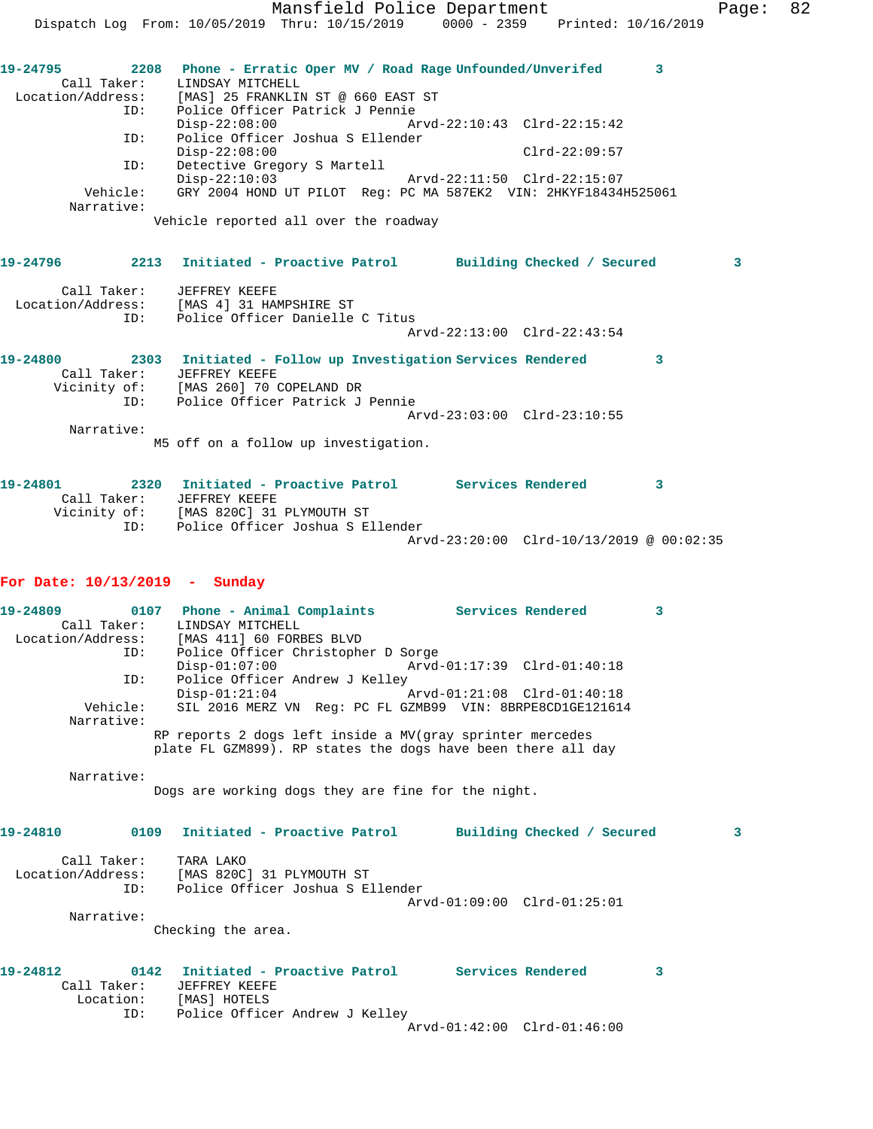| Call Taker:       | LINDSAY MITCHELL                                                |                             |                 |
|-------------------|-----------------------------------------------------------------|-----------------------------|-----------------|
| Location/Address: | [MAS] 25 FRANKLIN ST @ 660 EAST ST                              |                             |                 |
| ID:               | Police Officer Patrick J Pennie                                 |                             |                 |
|                   | $Disp-22:08:00$                                                 | Arvd-22:10:43 Clrd-22:15:42 |                 |
| ID:               | Police Officer Joshua S Ellender                                |                             |                 |
|                   | $Disp-22:08:00$                                                 |                             | $Clrd-22:09:57$ |
| ID:               | Detective Gregory S Martell                                     |                             |                 |
|                   | $Disp-22:10:03$                                                 | Arvd-22:11:50 Clrd-22:15:07 |                 |
| Vehicle:          | GRY 2004 HOND UT PILOT Req: PC MA 587EK2 VIN: 2HKYF18434H525061 |                             |                 |
| Narrative:        |                                                                 |                             |                 |
|                   |                                                                 |                             |                 |

Vehicle reported all over the roadway

## **19-24796 2213 Initiated - Proactive Patrol Building Checked / Secured 3** Call Taker: JEFFREY KEEFE Location/Address: [MAS 4] 31 HAMPSHIRE ST ID: Police Officer Danielle C Titus

Arvd-22:13:00 Clrd-22:43:54

**19-24800 2303 Initiated - Follow up Investigation Services Rendered 3**  Call Taker: JEFFREY KEEFE Vicinity of: [MAS 260] 70 COPELAND DR ID: Police Officer Patrick J Pennie Arvd-23:03:00 Clrd-23:10:55 Narrative:

M5 off on a follow up investigation.

**19-24801 2320 Initiated - Proactive Patrol Services Rendered 3**  Call Taker: JEFFREY KEEFE Vicinity of: [MAS 820C] 31 PLYMOUTH ST ID: Police Officer Joshua S Ellender Arvd-23:20:00 Clrd-10/13/2019 @ 00:02:35

## **For Date: 10/13/2019 - Sunday**

19-24809 0107 Phone - Animal Complaints Services Rendered 3 Call Taker: LINDSAY MITCHELL Location/Address: [MAS 411] 60 FORBES BLVD ID: Police Officer Christopher D Sorge<br>Disp-01:07:00 Arvd- Disp-01:07:00 Arvd-01:17:39 Clrd-01:40:18 ID: Police Officer Andrew J Kelley<br>Disp-01:21:04 Arvd-01:21:08 Clrd-01:40:18 Disp-01:21:04 Arvd-01:21:08 Clrd-01:40:18 Vehicle: SIL 2016 MERZ VN Reg: PC FL GZMB99 VIN: 8BRPE8CD1GE121614 Narrative: RP reports 2 dogs left inside a MV(gray sprinter mercedes plate FL GZM899). RP states the dogs have been there all day

Narrative:

Dogs are working dogs they are fine for the night.

## **19-24810 0109 Initiated - Proactive Patrol Building Checked / Secured 3** Call Taker: TARA LAKO

 Location/Address: [MAS 820C] 31 PLYMOUTH ST ID: Police Officer Joshua S Ellender Arvd-01:09:00 Clrd-01:25:01 Narrative:

Checking the area.

| 19-24812 |             | 0142 Initiated - Proactive Patrol |                             | Services Rendered |  |
|----------|-------------|-----------------------------------|-----------------------------|-------------------|--|
|          | Call Taker: | JEFFREY KEEFE                     |                             |                   |  |
|          | Location:   | [MAS] HOTELS                      |                             |                   |  |
|          | ID:         | Police Officer Andrew J Kelley    |                             |                   |  |
|          |             |                                   | Arvd-01:42:00 Clrd-01:46:00 |                   |  |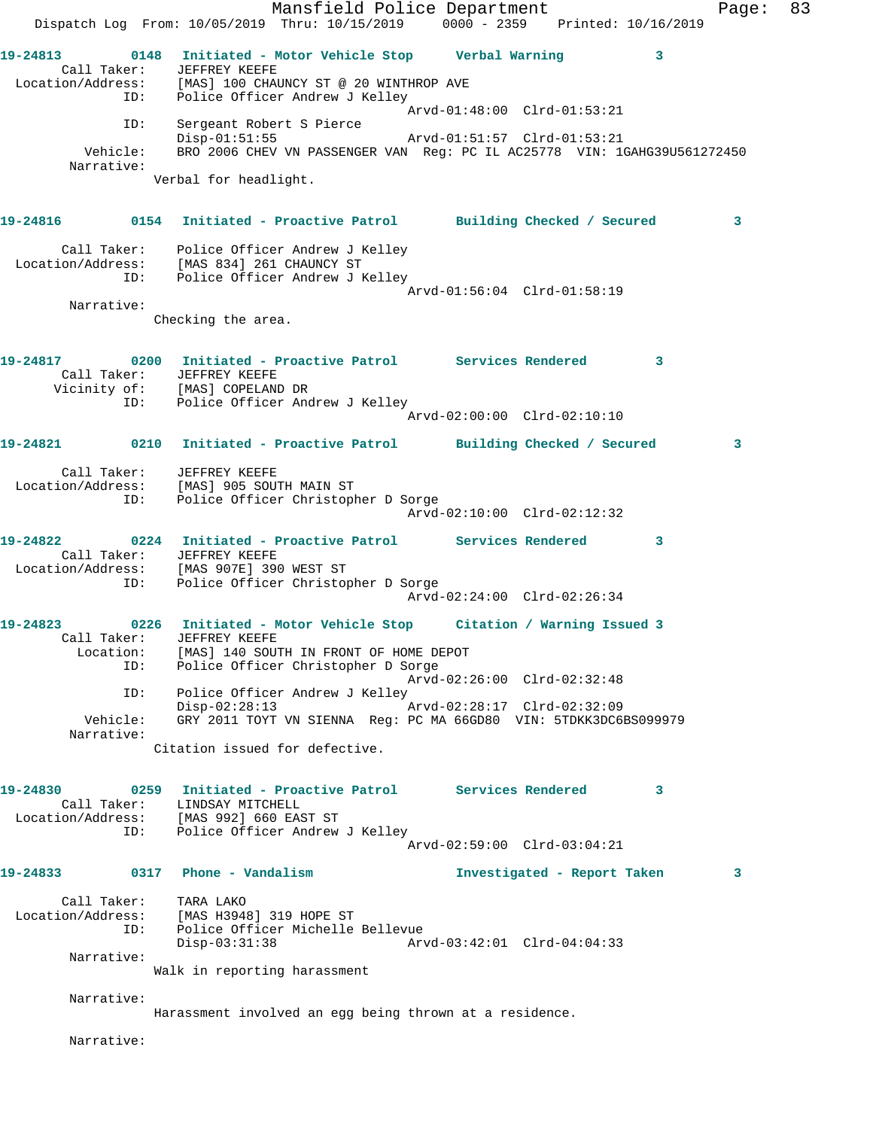Mansfield Police Department Fage: 83 Dispatch Log From: 10/05/2019 Thru: 10/15/2019 0000 - 2359 Printed: 10/16/2019 **19-24813 0148 Initiated - Motor Vehicle Stop Verbal Warning 3**  Call Taker: JEFFREY KEEFE Location/Address: [MAS] 100 CHAUNCY ST @ 20 WINTHROP AVE ID: Police Officer Andrew J Kelley Arvd-01:48:00 Clrd-01:53:21 ID: Sergeant Robert S Pierce Disp-01:51:55 Arvd-01:51:57 Clrd-01:53:21 Vehicle: BRO 2006 CHEV VN PASSENGER VAN Reg: PC IL AC25778 VIN: 1GAHG39U561272450 Narrative: Verbal for headlight. **19-24816 0154 Initiated - Proactive Patrol Building Checked / Secured 3** Call Taker: Police Officer Andrew J Kelley Location/Address: [MAS 834] 261 CHAUNCY ST ID: Police Officer Andrew J Kelley Arvd-01:56:04 Clrd-01:58:19 Narrative: Checking the area. **19-24817 0200 Initiated - Proactive Patrol Services Rendered 3**  Call Taker: JEFFREY KEEFE Vicinity of: [MAS] COPELAND DR ID: Police Officer Andrew J Kelley Arvd-02:00:00 Clrd-02:10:10 **19-24821 0210 Initiated - Proactive Patrol Building Checked / Secured 3** Call Taker: JEFFREY KEEFE Location/Address: [MAS] 905 SOUTH MAIN ST ID: Police Officer Christopher D Sorge Arvd-02:10:00 Clrd-02:12:32 **19-24822 0224 Initiated - Proactive Patrol Services Rendered 3**  Call Taker: JEFFREY KEEFE Location/Address: [MAS 907E] 390 WEST ST ID: Police Officer Christopher D Sorge Arvd-02:24:00 Clrd-02:26:34 **19-24823 0226 Initiated - Motor Vehicle Stop Citation / Warning Issued 3**  Call Taker: JEFFREY KEEFE Location: [MAS] 140 SOUTH IN FRONT OF HOME DEPOT ID: Police Officer Christopher D Sorge Arvd-02:26:00 Clrd-02:32:48 ID: Police Officer Andrew J Kelley<br>Disp-02:28:13 Disp-02:28:13 Arvd-02:28:17 Clrd-02:32:09 Vehicle: GRY 2011 TOYT VN SIENNA Reg: PC MA 66GD80 VIN: 5TDKK3DC6BS099979 Narrative: Citation issued for defective. **19-24830 0259 Initiated - Proactive Patrol Services Rendered 3**  Call Taker: LINDSAY MITCHELL Location/Address: [MAS 992] 660 EAST ST ID: Police Officer Andrew J Kelley Arvd-02:59:00 Clrd-03:04:21 **19-24833 0317 Phone - Vandalism Investigated - Report Taken 3** Call Taker: TARA LAKO Location/Address: [MAS H3948] 319 HOPE ST ID: Police Officer Michelle Bellevue<br>Disp-03:31:38 Arv Disp-03:31:38 Arvd-03:42:01 Clrd-04:04:33 Narrative: Walk in reporting harassment Narrative: Harassment involved an egg being thrown at a residence. Narrative: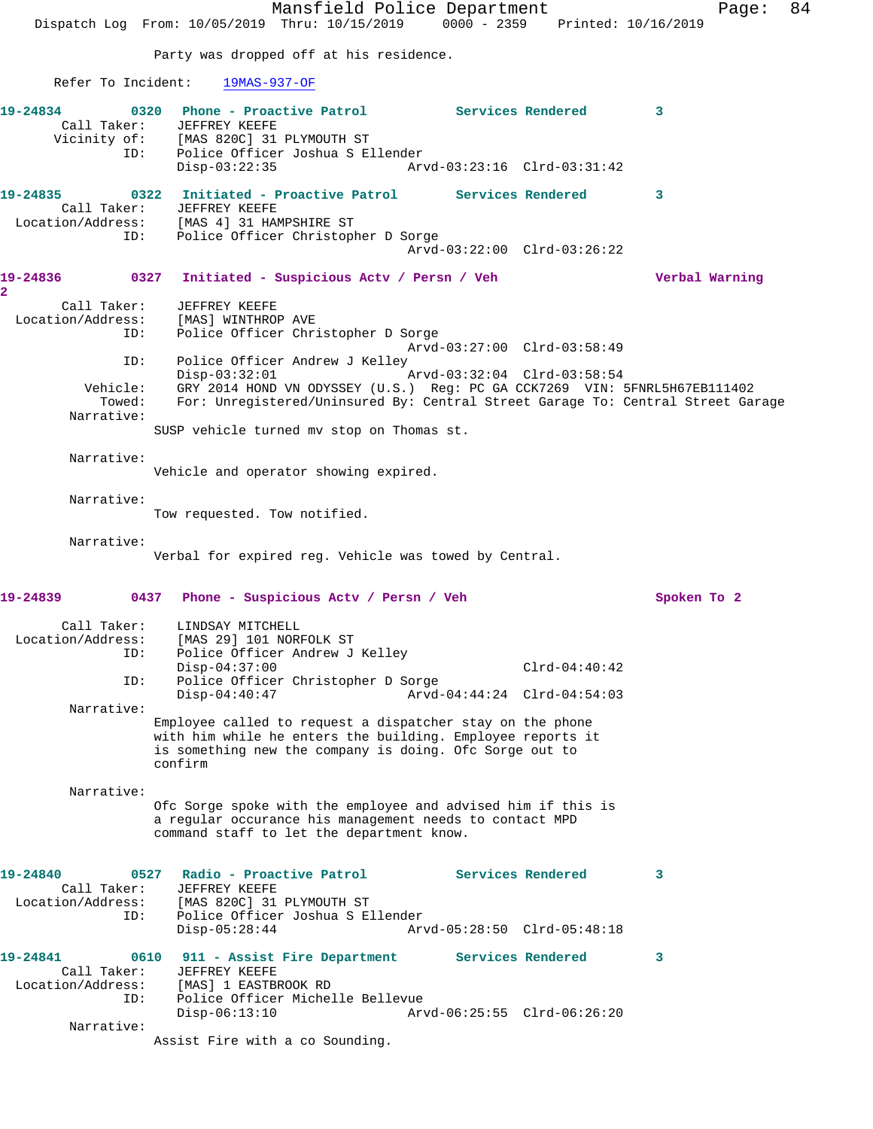Mansfield Police Department Page: 84 Dispatch Log From: 10/05/2019 Thru: 10/15/2019 0000 - 2359 Printed: 10/16/2019 Party was dropped off at his residence. Refer To Incident: 19MAS-937-OF **19-24834 0320 Phone - Proactive Patrol Services Rendered 3**  Call Taker: JEFFREY KEEFE Vicinity of: [MAS 820C] 31 PLYMOUTH ST ID: Police Officer Joshua S Ellender Disp-03:22:35 Arvd-03:23:16 Clrd-03:31:42 **19-24835 0322 Initiated - Proactive Patrol Services Rendered 3**  Call Taker: JEFFREY KEEFE Location/Address: [MAS 4] 31 HAMPSHIRE ST ID: Police Officer Christopher D Sorge Arvd-03:22:00 Clrd-03:26:22 **19-24836 0327 Initiated - Suspicious Actv / Persn / Veh Verbal Warning 2**  Call Taker: JEFFREY KEEFE Location/Address: [MAS] WINTHROP AVE ID: Police Officer Christopher D Sorge Arvd-03:27:00 Clrd-03:58:49 ID: Police Officer Andrew J Kelley D: Police Ulliver<br>Disp-03:32:01<br>Clear Clare Marver ODYS Vehicle: GRY 2014 HOND VN ODYSSEY (U.S.) Reg: PC GA CCK7269 VIN: 5FNRL5H67EB111402 Towed: For: Unregistered/Uninsured By: Central Street Garage To: Central Street Garage Narrative: SUSP vehicle turned mv stop on Thomas st. Narrative: Vehicle and operator showing expired. Narrative: Tow requested. Tow notified. Narrative: Verbal for expired reg. Vehicle was towed by Central. **19-24839 0437 Phone - Suspicious Actv / Persn / Veh Spoken To 2** Call Taker: LINDSAY MITCHELL<br>Location/Address: [MAS 29] 101 NORI ESS: [MAS 29] 101 NORFOLK ST<br>ID: Police Officer Andrew T Police Officer Andrew J Kelley Disp-04:37:00 Clrd-04:40:42 ID: Police Officer Christopher D Sorge Disp-04:40:47 Arvd-04:44:24 Clrd-04:54:03 Narrative: Employee called to request a dispatcher stay on the phone with him while he enters the building. Employee reports it is something new the company is doing. Ofc Sorge out to confirm Narrative: Ofc Sorge spoke with the employee and advised him if this is a regular occurance his management needs to contact MPD command staff to let the department know. **19-24840 0527 Radio - Proactive Patrol Services Rendered 3**  Call Taker: JEFFREY KEEFE<br>Location/Address: [MAS 820C] 31 ress: [MAS 820C] 31 PLYMOUTH ST<br> ID: Police Officer Joshua S E] Police Officer Joshua S Ellender Disp-05:28:44 Arvd-05:28:50 Clrd-05:48:18 **19-24841 0610 911 - Assist Fire Department Services Rendered 3**  Call Taker: JEFFREY KEEFE Location/Address: [MAS] 1 EASTBROOK RD ID: Police Officer Michelle Bellevue Disp-06:13:10 Arvd-06:25:55 Clrd-06:26:20 Narrative: Assist Fire with a co Sounding.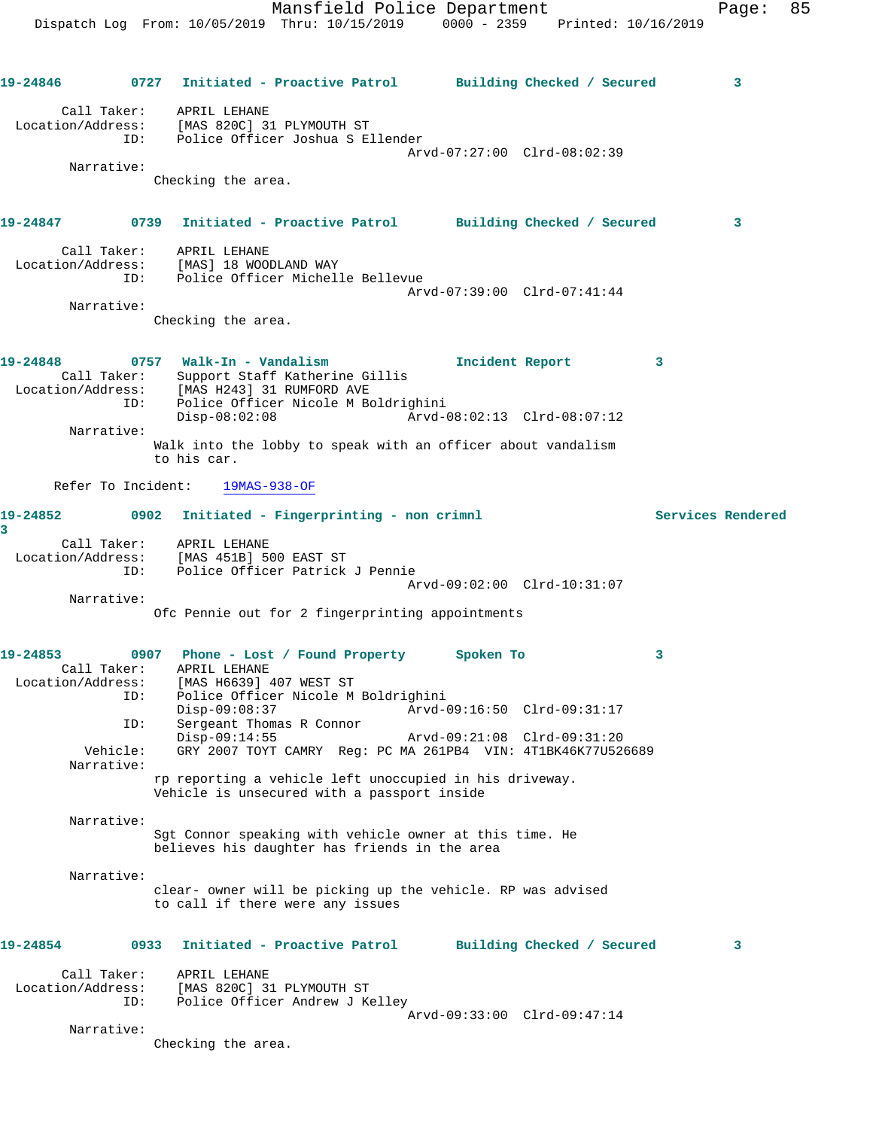Mansfield Police Department Fage: 85 Dispatch Log From: 10/05/2019 Thru: 10/15/2019 0000 - 2359 Printed: 10/16/2019 **19-24846 0727 Initiated - Proactive Patrol Building Checked / Secured 3** Call Taker: APRIL LEHANE Location/Address: [MAS 820C] 31 PLYMOUTH ST ID: Police Officer Joshua S Ellender Arvd-07:27:00 Clrd-08:02:39 Narrative: Checking the area. **19-24847 0739 Initiated - Proactive Patrol Building Checked / Secured 3** Call Taker: APRIL LEHANE Location/Address: [MAS] 18 WOODLAND WAY ID: Police Officer Michelle Bellevue Arvd-07:39:00 Clrd-07:41:44 Narrative: Checking the area. **19-24848 0757 Walk-In - Vandalism Incident Report 3**  Call Taker: Support Staff Katherine Gillis Location/Address: [MAS H243] 31 RUMFORD AVE ID: Police Officer Nicole M Boldrighini<br>Disp-08:02:08 Arvd-0 Disp-08:02:08 Arvd-08:02:13 Clrd-08:07:12 Narrative: Walk into the lobby to speak with an officer about vandalism to his car. Refer To Incident: 19MAS-938-OF **19-24852 0902 Initiated - Fingerprinting - non crimnl Services Rendered 3**  Call Taker: APRIL LEHANE Location/Address: [MAS 451B] 500 EAST ST ID: Police Officer Patrick J Pennie Arvd-09:02:00 Clrd-10:31:07 Narrative: Ofc Pennie out for 2 fingerprinting appointments **19-24853 0907 Phone - Lost / Found Property Spoken To 3**  Call Taker: APRIL LEHANE Location/Address: [MAS H6639] 407 WEST ST ID: Police Officer Nicole M Boldrighini Disp-09:08:37 Arvd-09:16:50 Clrd-09:31:17 ID: Sergeant Thomas R Connor Disp-09:14:55 Arvd-09:21:08 Clrd-09:31:20 Vehicle: GRY 2007 TOYT CAMRY Reg: PC MA 261PB4 VIN: 4T1BK46K77U526689 Narrative: rp reporting a vehicle left unoccupied in his driveway. Vehicle is unsecured with a passport inside Narrative: Sgt Connor speaking with vehicle owner at this time. He believes his daughter has friends in the area Narrative: clear- owner will be picking up the vehicle. RP was advised to call if there were any issues **19-24854 0933 Initiated - Proactive Patrol Building Checked / Secured 3** Call Taker: APRIL LEHANE Location/Address: [MAS 820C] 31 PLYMOUTH ST ID: Police Officer Andrew J Kelley Arvd-09:33:00 Clrd-09:47:14 Narrative:

Checking the area.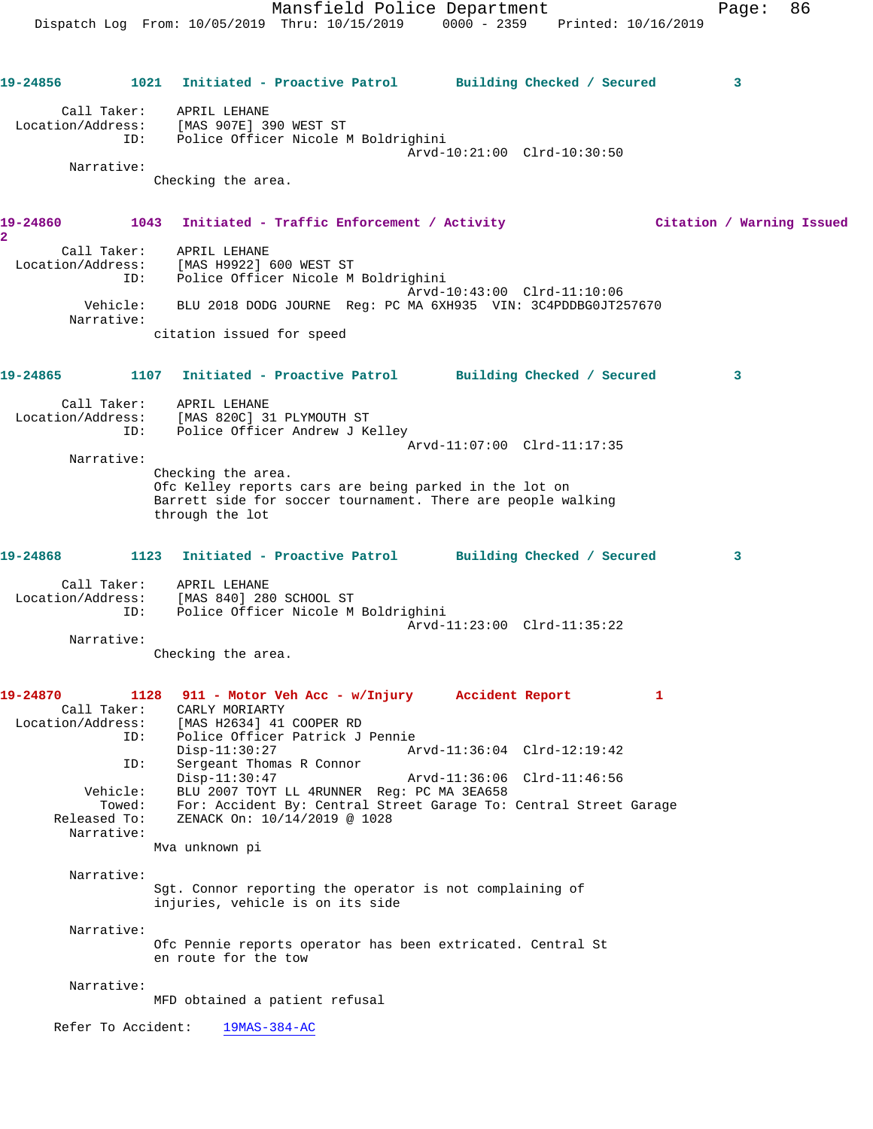Dispatch Log From: 10/05/2019 Thru: 10/15/2019 0000 - 2359 Printed: 10/16/2019 **19-24856 1021 Initiated - Proactive Patrol Building Checked / Secured 3** Call Taker: APRIL LEHANE Location/Address: [MAS 907E] 390 WEST ST ID: Police Officer Nicole M Boldrighini Arvd-10:21:00 Clrd-10:30:50 Narrative: Checking the area. **19-24860 1043 Initiated - Traffic Enforcement / Activity Citation / Warning Issued 2**  Call Taker: APRIL LEHANE Location/Address: [MAS H9922] 600 WEST ST ID: Police Officer Nicole M Boldrighini Arvd-10:43:00 Clrd-11:10:06 Vehicle: BLU 2018 DODG JOURNE Reg: PC MA 6XH935 VIN: 3C4PDDBG0JT257670 Narrative: citation issued for speed **19-24865 1107 Initiated - Proactive Patrol Building Checked / Secured 3** Call Taker: APRIL LEHANE Location/Address: [MAS 820C] 31 PLYMOUTH ST ID: Police Officer Andrew J Kelley Arvd-11:07:00 Clrd-11:17:35 Narrative: Checking the area. Ofc Kelley reports cars are being parked in the lot on Barrett side for soccer tournament. There are people walking through the lot **19-24868 1123 Initiated - Proactive Patrol Building Checked / Secured 3** Call Taker: APRIL LEHANE Location/Address: [MAS 840] 280 SCHOOL ST ID: Police Officer Nicole M Boldrighini Arvd-11:23:00 Clrd-11:35:22 Narrative: Checking the area. **19-24870 1128 911 - Motor Veh Acc - w/Injury Accident Report 1**  Call Taker: CARLY MORIARTY Location/Address: [MAS H2634] 41 COOPER RD ID: Police Officer Patrick J Pennie Disp-11:30:27 Arvd-11:36:04 Clrd-12:19:42 ID: Sergeant Thomas R Connor Disp-11:30:47 Arvd-11:36:06 Clrd-11:46:56 Vehicle: BLU 2007 TOYT LL 4RUNNER Reg: PC MA 3EA658 Towed: For: Accident By: Central Street Garage To: Central Street Garage Released To: ZENACK On: 10/14/2019 @ 1028 Narrative: Mva unknown pi Narrative: Sgt. Connor reporting the operator is not complaining of injuries, vehicle is on its side Narrative: Ofc Pennie reports operator has been extricated. Central St en route for the tow Narrative: MFD obtained a patient refusal Refer To Accident: 19MAS-384-AC

Mansfield Police Department Fage: 86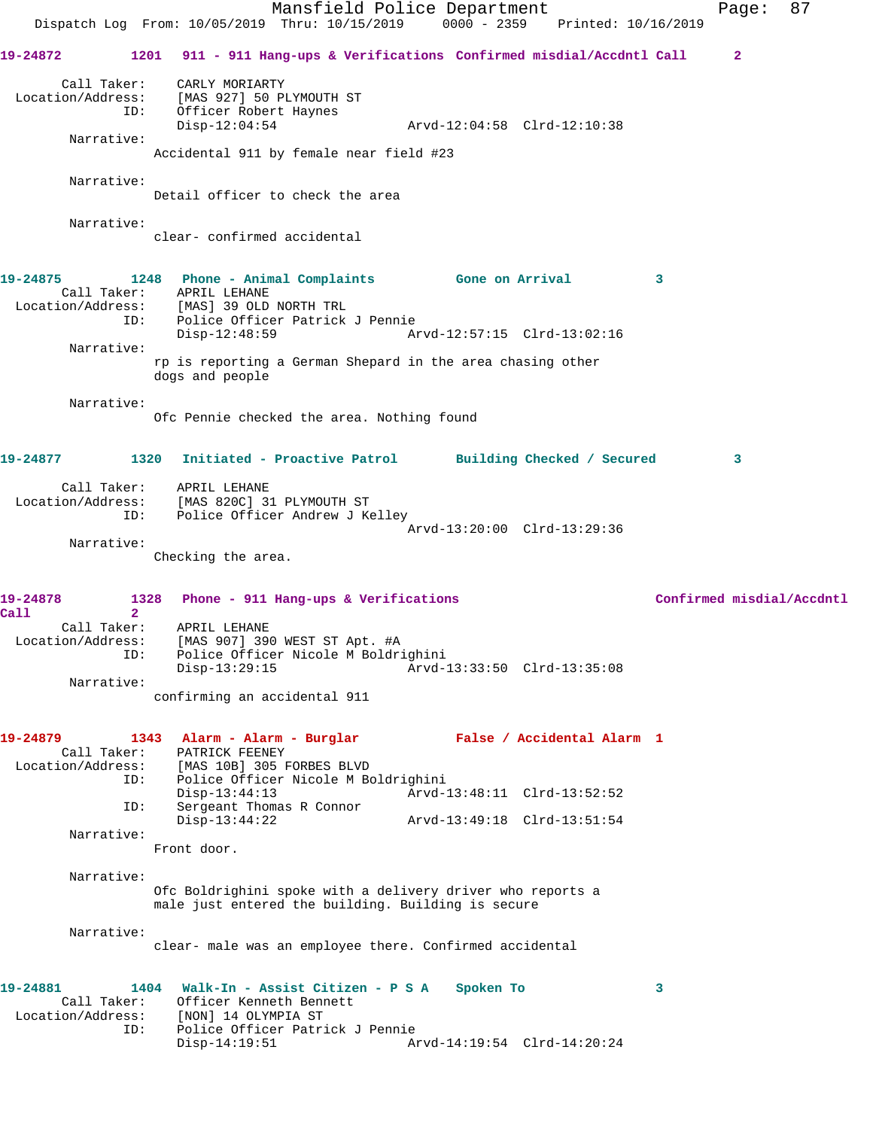Mansfield Police Department Form Page: 87 Dispatch Log From: 10/05/2019 Thru: 10/15/2019 0000 - 2359 Printed: 10/16/2019 **19-24872 1201 911 - 911 Hang-ups & Verifications Confirmed misdial/Accdntl Call 2** Call Taker: CARLY MORIARTY Location/Address: [MAS 927] 50 PLYMOUTH ST ID: Officer Robert Haynes Disp-12:04:54 Arvd-12:04:58 Clrd-12:10:38 Narrative: Accidental 911 by female near field #23 Narrative: Detail officer to check the area Narrative: clear- confirmed accidental **19-24875 1248 Phone - Animal Complaints Gone on Arrival 3**  Call Taker: APRIL LEHANE Location/Address: [MAS] 39 OLD NORTH TRL ID: Police Officer Patrick J Pennie Disp-12:48:59 Arvd-12:57:15 Clrd-13:02:16 Narrative: rp is reporting a German Shepard in the area chasing other dogs and people Narrative: Ofc Pennie checked the area. Nothing found **19-24877 1320 Initiated - Proactive Patrol Building Checked / Secured 3** Call Taker: APRIL LEHANE Location/Address: [MAS 820C] 31 PLYMOUTH ST ID: Police Officer Andrew J Kelley Arvd-13:20:00 Clrd-13:29:36 Narrative: Checking the area. 19-24878 1328 Phone - 911 Hang-ups & Verifications **19-24878** Confirmed misdial/Accdntl **Call 2**  Call Taker: APRIL LEHANE Location/Address: [MAS 907] 390 WEST ST Apt. #A ID: Police Officer Nicole M Boldrighini Disp-13:29:15 Arvd-13:33:50 Clrd-13:35:08 Narrative: confirming an accidental 911 **19-24879 1343 Alarm - Alarm - Burglar False / Accidental Alarm 1**  Call Taker: PATRICK FEENEY Location/Address: [MAS 10B] 305 FORBES BLVD ID: Police Officer Nicole M Boldrighini Disp-13:44:13 Arvd-13:48:11 Clrd-13:52:52 ID: Sergeant Thomas R Connor Disp-13:44:22 Arvd-13:49:18 Clrd-13:51:54 Narrative: Front door. Narrative: Ofc Boldrighini spoke with a delivery driver who reports a male just entered the building. Building is secure Narrative: clear- male was an employee there. Confirmed accidental **19-24881 1404 Walk-In - Assist Citizen - P S A Spoken To 3**  Call Taker: Officer Kenneth Bennett Location/Address: [NON] 14 OLYMPIA ST ID: Police Officer Patrick J Pennie Disp-14:19:51 Arvd-14:19:54 Clrd-14:20:24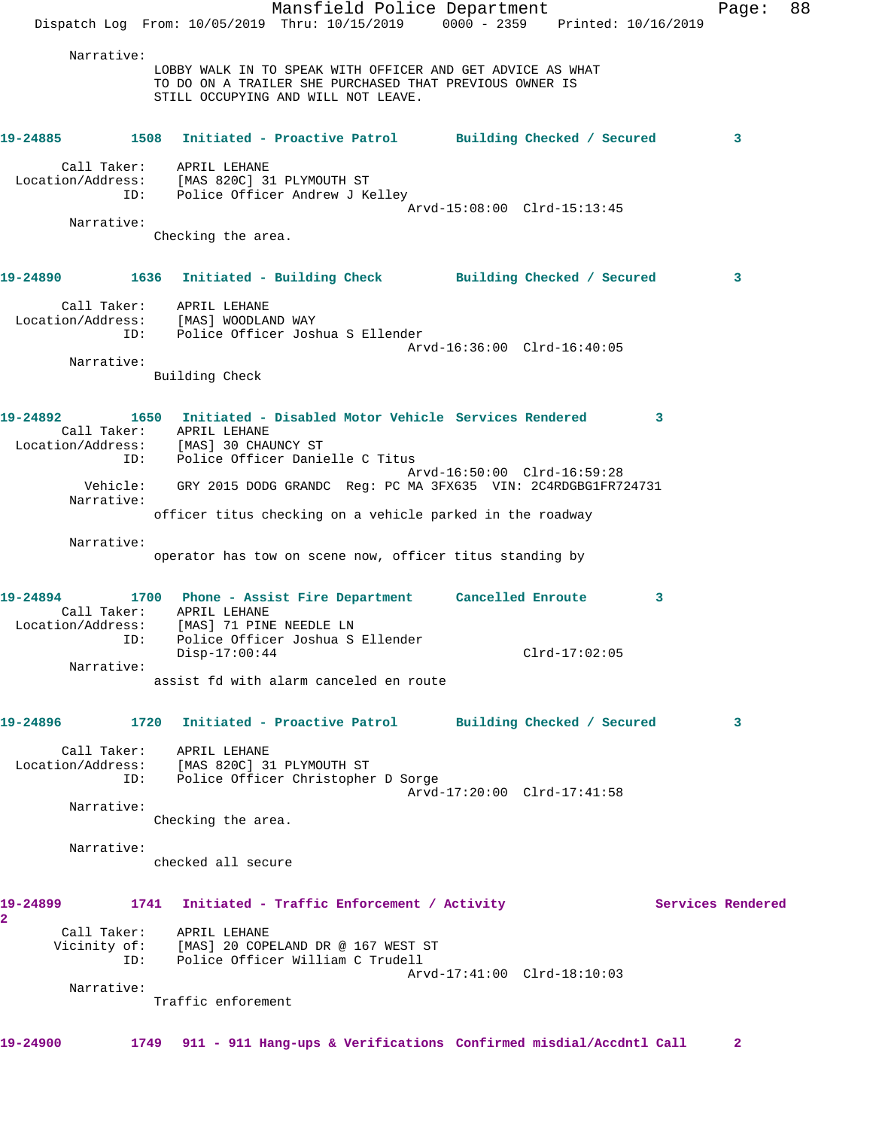|                   |             |                                                       | Mansfield Police Department                                                                                           |                             |                 |                   | Page:        | 88 |
|-------------------|-------------|-------------------------------------------------------|-----------------------------------------------------------------------------------------------------------------------|-----------------------------|-----------------|-------------------|--------------|----|
|                   |             |                                                       | Dispatch Log From: 10/05/2019 Thru: 10/15/2019 0000 - 2359 Printed: 10/16/2019                                        |                             |                 |                   |              |    |
|                   | Narrative:  |                                                       | LOBBY WALK IN TO SPEAK WITH OFFICER AND GET ADVICE AS WHAT<br>TO DO ON A TRAILER SHE PURCHASED THAT PREVIOUS OWNER IS |                             |                 |                   |              |    |
|                   |             |                                                       | STILL OCCUPYING AND WILL NOT LEAVE.                                                                                   |                             |                 |                   |              |    |
|                   |             |                                                       | 19-24885 1508 Initiated - Proactive Patrol Building Checked / Secured                                                 |                             |                 |                   | 3            |    |
|                   |             | Call Taker: APRIL LEHANE                              |                                                                                                                       |                             |                 |                   |              |    |
|                   |             |                                                       | Location/Address: [MAS 820C] 31 PLYMOUTH ST<br>ID: Police Officer Andrew J Kelley                                     |                             |                 |                   |              |    |
|                   | Narrative:  |                                                       |                                                                                                                       | Arvd-15:08:00 Clrd-15:13:45 |                 |                   |              |    |
|                   |             | Checking the area.                                    |                                                                                                                       |                             |                 |                   |              |    |
|                   |             |                                                       |                                                                                                                       |                             |                 |                   |              |    |
|                   |             |                                                       | 19-24890 1636 Initiated - Building Check Building Checked / Secured                                                   |                             |                 |                   | 3            |    |
|                   |             | Call Taker: APRIL LEHANE                              |                                                                                                                       |                             |                 |                   |              |    |
|                   | ID:         | Location/Address: [MAS] WOODLAND WAY                  | Police Officer Joshua S Ellender                                                                                      |                             |                 |                   |              |    |
|                   |             |                                                       |                                                                                                                       | Arvd-16:36:00 Clrd-16:40:05 |                 |                   |              |    |
|                   | Narrative:  | Building Check                                        |                                                                                                                       |                             |                 |                   |              |    |
|                   |             |                                                       |                                                                                                                       |                             |                 |                   |              |    |
|                   |             |                                                       | 19-24892 1650 Initiated - Disabled Motor Vehicle Services Rendered 3                                                  |                             |                 |                   |              |    |
|                   |             | Call Taker: APRIL LEHANE                              |                                                                                                                       |                             |                 |                   |              |    |
|                   | ID:         | Location/Address: [MAS] 30 CHAUNCY ST                 | Police Officer Danielle C Titus                                                                                       |                             |                 |                   |              |    |
|                   |             |                                                       |                                                                                                                       | Arvd-16:50:00 Clrd-16:59:28 |                 |                   |              |    |
|                   |             |                                                       | Vehicle: GRY 2015 DODG GRANDC Reg: PC MA 3FX635 VIN: 2C4RDGBG1FR724731                                                |                             |                 |                   |              |    |
|                   | Narrative:  |                                                       | officer titus checking on a vehicle parked in the roadway                                                             |                             |                 |                   |              |    |
|                   |             |                                                       |                                                                                                                       |                             |                 |                   |              |    |
|                   | Narrative:  |                                                       | operator has tow on scene now, officer titus standing by                                                              |                             |                 |                   |              |    |
|                   |             |                                                       |                                                                                                                       |                             |                 |                   |              |    |
| 19-24894          |             |                                                       | 1700 Phone - Assist Fire Department Cancelled Enroute 3                                                               |                             |                 |                   |              |    |
|                   |             | Call Taker: APRIL LEHANE                              |                                                                                                                       |                             |                 |                   |              |    |
|                   |             | Location/Address: [MAS] 71 PINE NEEDLE LN             | ID: Police Officer Joshua S Ellender                                                                                  |                             |                 |                   |              |    |
|                   |             | $Disp-17:00:44$                                       |                                                                                                                       |                             | $Clrd-17:02:05$ |                   |              |    |
|                   | Narrative:  |                                                       | assist fd with alarm canceled en route                                                                                |                             |                 |                   |              |    |
|                   |             |                                                       |                                                                                                                       |                             |                 |                   |              |    |
| 19-24896          | 1720        |                                                       | Initiated - Proactive Patrol Building Checked / Secured                                                               |                             |                 |                   | 3            |    |
|                   |             |                                                       |                                                                                                                       |                             |                 |                   |              |    |
| Location/Address: |             | Call Taker: APRIL LEHANE<br>[MAS 820C] 31 PLYMOUTH ST |                                                                                                                       |                             |                 |                   |              |    |
|                   | ID:         |                                                       | Police Officer Christopher D Sorge                                                                                    |                             |                 |                   |              |    |
|                   | Narrative:  |                                                       |                                                                                                                       | Arvd-17:20:00 Clrd-17:41:58 |                 |                   |              |    |
|                   |             | Checking the area.                                    |                                                                                                                       |                             |                 |                   |              |    |
|                   | Narrative:  |                                                       |                                                                                                                       |                             |                 |                   |              |    |
|                   |             | checked all secure                                    |                                                                                                                       |                             |                 |                   |              |    |
|                   |             |                                                       |                                                                                                                       |                             |                 |                   |              |    |
| 19-24899<br>2     |             |                                                       | 1741 Initiated - Traffic Enforcement / Activity                                                                       |                             |                 | Services Rendered |              |    |
|                   | Call Taker: | APRIL LEHANE                                          |                                                                                                                       |                             |                 |                   |              |    |
|                   | ID:         |                                                       | Vicinity of: [MAS] 20 COPELAND DR @ 167 WEST ST<br>Police Officer William C Trudell                                   |                             |                 |                   |              |    |
|                   |             |                                                       |                                                                                                                       | Arvd-17:41:00 Clrd-18:10:03 |                 |                   |              |    |
|                   | Narrative:  |                                                       |                                                                                                                       |                             |                 |                   |              |    |
|                   |             | Traffic enforement                                    |                                                                                                                       |                             |                 |                   |              |    |
|                   |             |                                                       |                                                                                                                       |                             |                 |                   |              |    |
| 19-24900          |             |                                                       | 1749 911 - 911 Hang-ups & Verifications Confirmed misdial/Accdntl Call                                                |                             |                 |                   | $\mathbf{2}$ |    |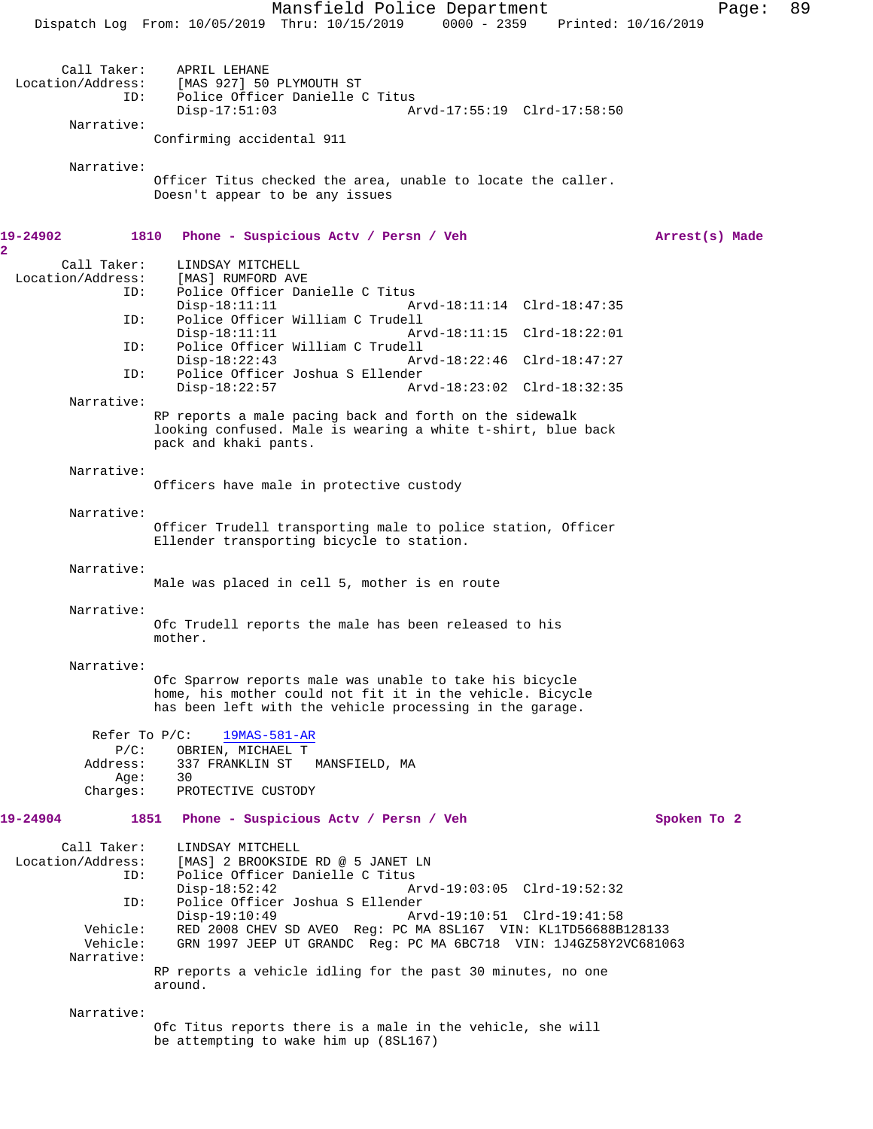Mansfield Police Department Page: 89 Dispatch Log From: 10/05/2019 Thru: 10/15/2019 0000 - 2359 Printed: 10/16/2019 Call Taker: APRIL LEHANE<br>Location/Address: [MAS 927] 50 ess: [MAS 927] 50 PLYMOUTH ST<br>ID: Police Officer Danielle ( Police Officer Danielle C Titus Disp-17:51:03 Arvd-17:55:19 Clrd-17:58:50 Narrative: Confirming accidental 911 Narrative: Officer Titus checked the area, unable to locate the caller. Doesn't appear to be any issues **19-24902 1810 Phone - Suspicious Actv / Persn / Veh Arrest(s) Made** Call Taker: LINDSAY MITCHELL<br>.on/Address: [MAS] RUMFORD AVE Location/Address: ID: Police Officer Danielle C Titus<br>Disp-18:11:11 A: Disp-18:11:11 Arvd-18:11:14 Clrd-18:47:35<br>ID: Police Officer William C Trudell Police Officer William C Trudell Disp-18:11:11 Arvd-18:11:15 Clrd-18:22:01<br>ID: Police Officer William C Trudell Police Officer William C Trudell<br>Disp-18:22:43 Ar Disp-18:22:43 Arvd-18:22:46 Clrd-18:47:27<br>TD: Police Officer Joshua S Ellender Police Officer Joshua S Ellender<br>Disp-18:22:57 Ar Arvd-18:23:02 Clrd-18:32:35 Narrative: RP reports a male pacing back and forth on the sidewalk looking confused. Male is wearing a white t-shirt, blue back pack and khaki pants. Narrative: Officers have male in protective custody Narrative: Officer Trudell transporting male to police station, Officer Ellender transporting bicycle to station. Narrative: Male was placed in cell 5, mother is en route Narrative: Ofc Trudell reports the male has been released to his mother. Narrative: Ofc Sparrow reports male was unable to take his bicycle home, his mother could not fit it in the vehicle. Bicycle has been left with the vehicle processing in the garage. Refer To P/C: 19MAS-581-AR P/C: OBRIEN, MICHAEL T Address: 337 FRANKLIN ST MANSFIELD, MA Age: 30<br>Charges: PR PROTECTIVE CUSTODY **19-24904 1851 Phone - Suspicious Actv / Persn / Veh Spoken To 2** Call Taker: LINDSAY MITCHELL Location/Address: [MAS] 2 BROOKSIDE RD @ 5 JANET LN ID: Police Officer Danielle C Titus Disp-18:52:42 Arvd-19:03:05 Clrd-19:52:32<br>ID: Police Officer Joshua S Ellender Police Officer Joshua S Ellender<br>Disp-19:10:49 Ar Arvd-19:10:51 Clrd-19:41:58 Vehicle: RED 2008 CHEV SD AVEO Reg: PC MA 8SL167 VIN: KL1TD56688B128133 Vehicle: GRN 1997 JEEP UT GRANDC Reg: PC MA 6BC718 VIN: 1J4GZ58Y2VC681063 Narrative: RP reports a vehicle idling for the past 30 minutes, no one around. Narrative: Ofc Titus reports there is a male in the vehicle, she will

be attempting to wake him up (8SL167)

**2**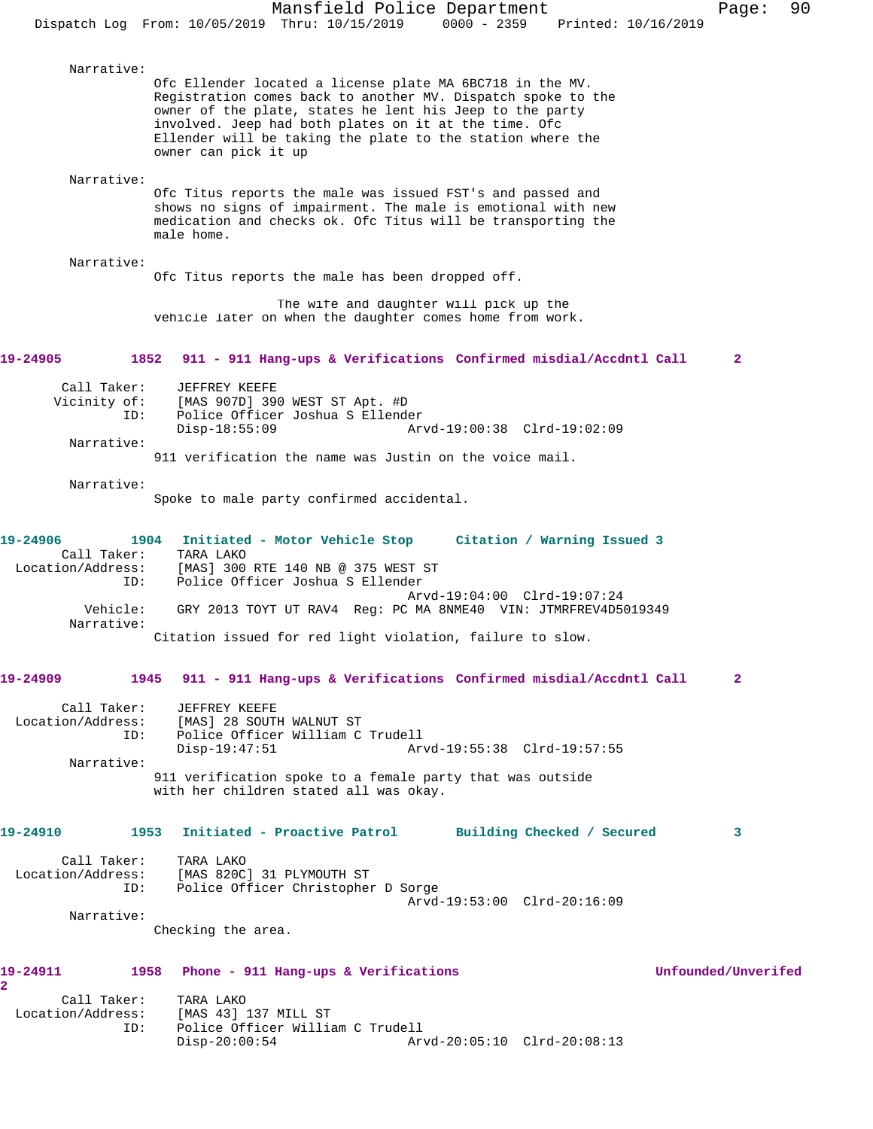Narrative: Ofc Ellender located a license plate MA 6BC718 in the MV. Registration comes back to another MV. Dispatch spoke to the owner of the plate, states he lent his Jeep to the party involved. Jeep had both plates on it at the time. Ofc Ellender will be taking the plate to the station where the owner can pick it up Narrative: Ofc Titus reports the male was issued FST's and passed and shows no signs of impairment. The male is emotional with new medication and checks ok. Ofc Titus will be transporting the male home. Narrative: Ofc Titus reports the male has been dropped off. The wife and daughter will pick up the vehicle later on when the daughter comes home from work. **19-24905 1852 911 - 911 Hang-ups & Verifications Confirmed misdial/Accdntl Call 2** Call Taker: JEFFREY KEEFE Vicinity of: [MAS 907D] 390 WEST ST Apt. #D<br>ID: Police Officer Joshua S Ellende Police Officer Joshua S Ellender<br>Disp-18:55:09 Ar Disp-18:55:09 Arvd-19:00:38 Clrd-19:02:09 Narrative: 911 verification the name was Justin on the voice mail. Narrative: Spoke to male party confirmed accidental. **19-24906 1904 Initiated - Motor Vehicle Stop Citation / Warning Issued 3**  Call Taker:<br>Location/Address: [MAS] 300 RTE 140 NB @ 375 WEST ST ID: Police Officer Joshua S Ellender Arvd-19:04:00 Clrd-19:07:24<br>Vehicle: GRY 2013 TOYT UT RAV4 Req: PC MA 8NME40 VIN: JTMRFREV4D5 GRY 2013 TOYT UT RAV4 Req: PC MA 8NME40 VIN: JTMRFREV4D5019349 Narrative: Citation issued for red light violation, failure to slow. **19-24909 1945 911 - 911 Hang-ups & Verifications Confirmed misdial/Accdntl Call 2** Call Taker: JEFFREY KEEFE<br>Location/Address: [MAS] 28 SOUTI ess: [MAS] 28 SOUTH WALNUT ST<br>ID: Police Officer William C Police Officer William C Trudell<br>Disp-19:47:51 Ar Disp-19:47:51 Arvd-19:55:38 Clrd-19:57:55 Narrative: 911 verification spoke to a female party that was outside with her children stated all was okay. **19-24910 1953 Initiated - Proactive Patrol Building Checked / Secured 3** Call Taker: TARA LAKO Location/Address: [MAS 820C] 31 PLYMOUTH ST Police Officer Christopher D Sorge Arvd-19:53:00 Clrd-20:16:09 Narrative: Checking the area. **19-24911 1958 Phone - 911 Hang-ups & Verifications Unfounded/Unverifed 2**  Call Taker: TARA LAKO Location/Address: [MAS 43] 137 MILL ST<br>ID: Police Officer Willia Police Officer William C Trudell<br>Disp-20:00:54 Ar Disp-20:00:54 Arvd-20:05:10 Clrd-20:08:13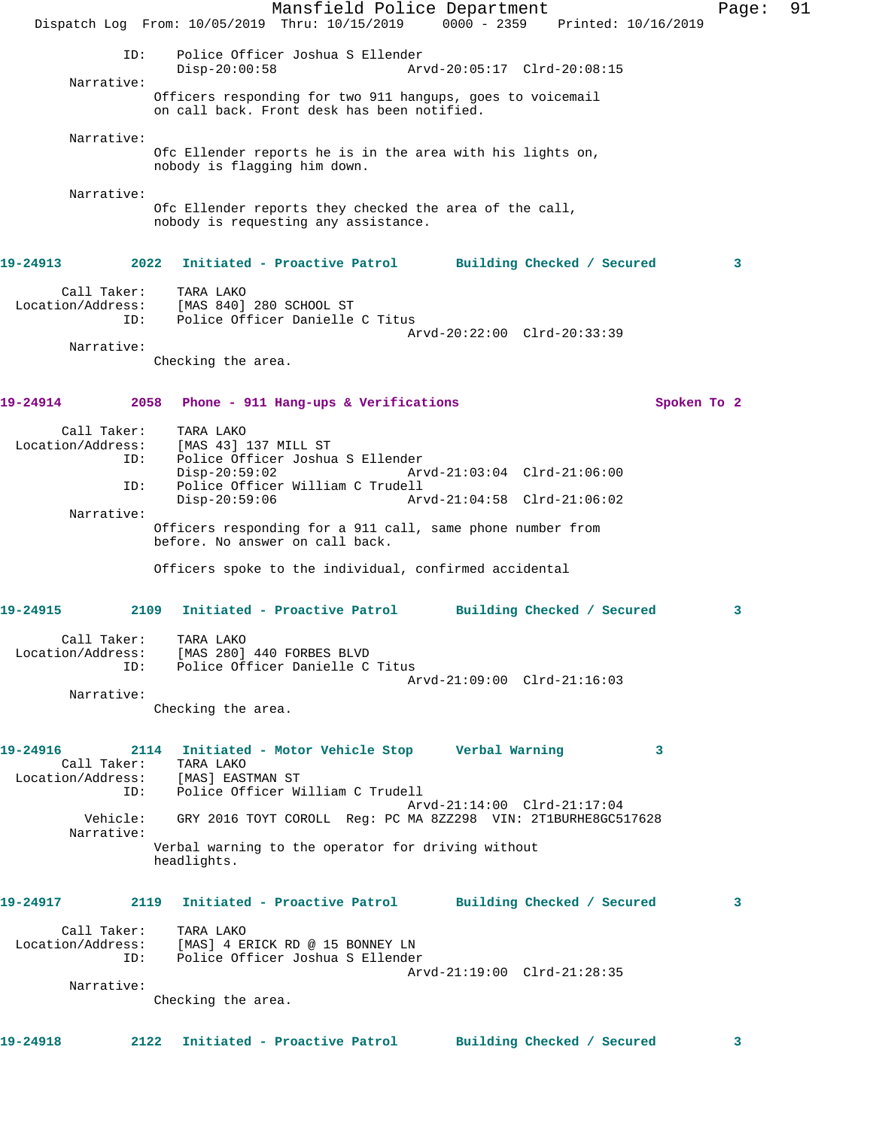Mansfield Police Department Fage: 91 Dispatch Log From: 10/05/2019 Thru: 10/15/2019 0000 - 2359 Printed: 10/16/2019 ID: Police Officer Joshua S Ellender Disp-20:00:58 Arvd-20:05:17 Clrd-20:08:15 Narrative: Officers responding for two 911 hangups, goes to voicemail on call back. Front desk has been notified. Narrative: Ofc Ellender reports he is in the area with his lights on, nobody is flagging him down. Narrative: Ofc Ellender reports they checked the area of the call, nobody is requesting any assistance. **19-24913 2022 Initiated - Proactive Patrol Building Checked / Secured 3** Call Taker: TARA LAKO Location/Address: [MAS 840] 280 SCHOOL ST ID: Police Officer Danielle C Titus Arvd-20:22:00 Clrd-20:33:39 Narrative: Checking the area. **19-24914 2058 Phone - 911 Hang-ups & Verifications Spoken To 2** Call Taker: TARA LAKO<br>Location/Address: [MAS 43] ess: [MAS 43] 137 MILL ST<br>ID: Police Officer Joshua Police Officer Joshua S Ellender Disp-20:59:02 Arvd-21:03:04 Clrd-21:06:00 ID: Police Officer William C Trudell Disp-20:59:06 Arvd-21:04:58 Clrd-21:06:02 Narrative: Officers responding for a 911 call, same phone number from before. No answer on call back. Officers spoke to the individual, confirmed accidental **19-24915 2109 Initiated - Proactive Patrol Building Checked / Secured 3** Call Taker: TARA LAKO Location/Address: [MAS 280] 440 FORBES BLVD ID: Police Officer Danielle C Titus Arvd-21:09:00 Clrd-21:16:03 Narrative: Checking the area. **19-24916 2114 Initiated - Motor Vehicle Stop Verbal Warning 3**  Call Taker: TARA LAKO Location/Address: [MAS] EASTMAN ST ID: Police Officer William C Trudell Arvd-21:14:00 Clrd-21:17:04 Vehicle: GRY 2016 TOYT COROLL Reg: PC MA 8ZZ298 VIN: 2T1BURHE8GC517628 Narrative: Verbal warning to the operator for driving without headlights. **19-24917 2119 Initiated - Proactive Patrol Building Checked / Secured 3** Call Taker: TARA LAKO Location/Address: [MAS] 4 ERICK RD @ 15 BONNEY LN ID: Police Officer Joshua S Ellender Arvd-21:19:00 Clrd-21:28:35 Narrative: Checking the area. **19-24918 2122 Initiated - Proactive Patrol Building Checked / Secured 3**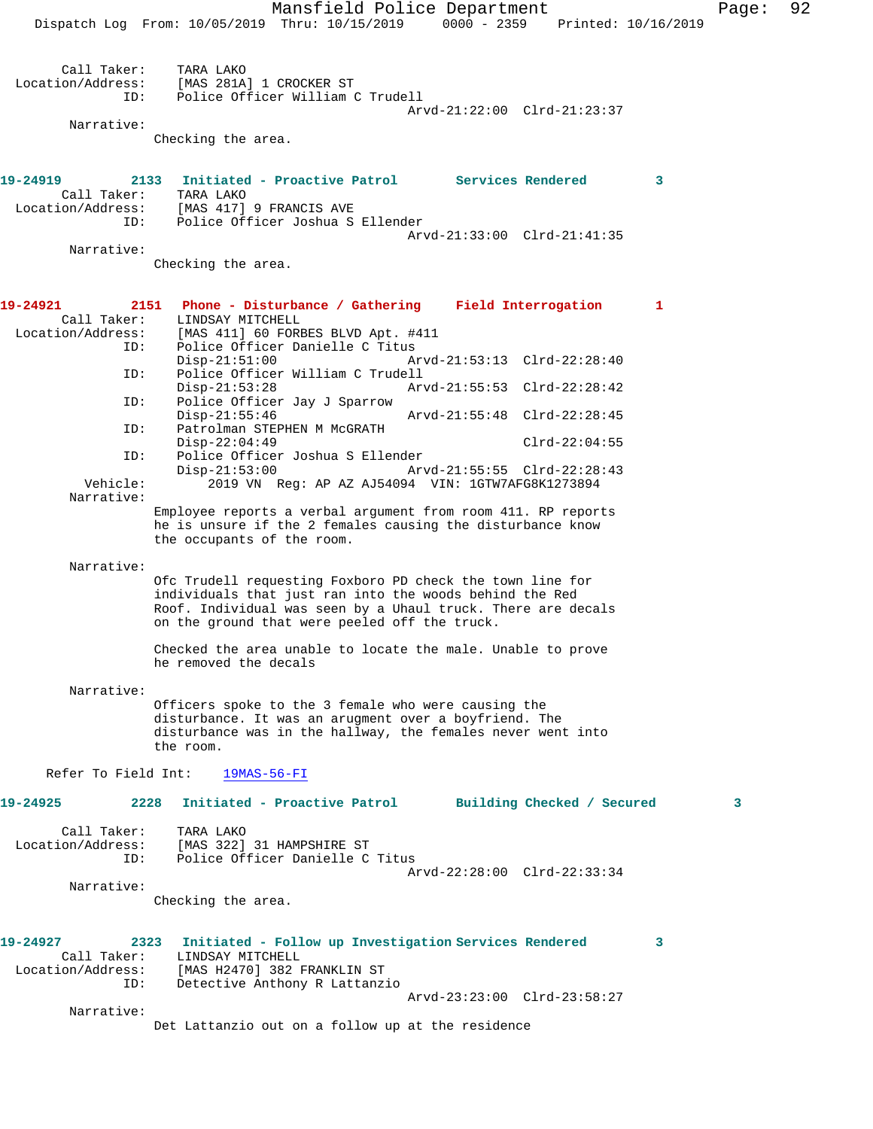Mansfield Police Department Page: 92 Dispatch Log From: 10/05/2019 Thru: 10/15/2019 0000 - 2359 Printed: 10/16/2019 Call Taker: TARA LAKO<br>Location/Address: [MAS 281A] لمصدر المصدر المصدر<br>Stas: [MAS 281A] 1 CROCKER ST<br>ID: Police Officer William O Police Officer William C Trudell Arvd-21:22:00 Clrd-21:23:37 Narrative: Checking the area. **19-24919 2133 Initiated - Proactive Patrol Services Rendered 3**  Call Taker: TARA LAKO<br>Location/Address: [MAS 417] [MAS 417] 9 FRANCIS AVE ID: Police Officer Joshua S Ellender Arvd-21:33:00 Clrd-21:41:35 Narrative: Checking the area. **19-24921 2151 Phone - Disturbance / Gathering Field Interrogation 1**  LINDSAY MITCHELL Location/Address: [MAS 411] 60 FORBES BLVD Apt. #411 Police Officer Danielle C Titus<br>Disp-21:51:00 A Disp-21:51:00 Arvd-21:53:13 Clrd-22:28:40<br>ID: Police Officer William C Trudell Police Officer William C Trudell<br>Disp-21:53:28 Ar Disp-21:53:28 Arvd-21:55:53 Clrd-22:28:42 ID: Police Officer Jay J Sparrow Disp-21:55:46 Arvd-21:55:48 Clrd-22:28:45<br>ID: Patrolman STEPHEN M McGRATH Patrolman STEPHEN M McGRATH Disp-22:04:49 Clrd-22:04:55 ID: Police Officer Joshua S Ellender Disp-21:53:00 Arvd-21:55:55 Clrd-22:28:43<br>Vehicle: 2019 VN Req: AP AZ AJ54094 VIN: 1GTW7AFG8K1273894 2019 VN Reg: AP AZ AJ54094 VIN: 1GTW7AFG8K1273894 Narrative: Employee reports a verbal argument from room 411. RP reports he is unsure if the 2 females causing the disturbance know the occupants of the room. Narrative: Ofc Trudell requesting Foxboro PD check the town line for individuals that just ran into the woods behind the Red Roof. Individual was seen by a Uhaul truck. There are decals on the ground that were peeled off the truck. Checked the area unable to locate the male. Unable to prove he removed the decals Narrative: Officers spoke to the 3 female who were causing the disturbance. It was an arugment over a boyfriend. The disturbance was in the hallway, the females never went into the room. Refer To Field Int: 19MAS-56-FI **19-24925 2228 Initiated - Proactive Patrol Building Checked / Secured 3** Call Taker: TARA LAKO Location/Address: [MAS 322] 31 HAMPSHIRE ST Police Officer Danielle C Titus Arvd-22:28:00 Clrd-22:33:34 Narrative: Checking the area. **19-24927 2323 Initiated - Follow up Investigation Services Rendered 3**  Call Taker: LINDSAY MITCHELL Location/Address: [MAS H2470] 382 FRANKLIN ST ID: Detective Anthony R Lattanzio Arvd-23:23:00 Clrd-23:58:27 Narrative: Det Lattanzio out on a follow up at the residence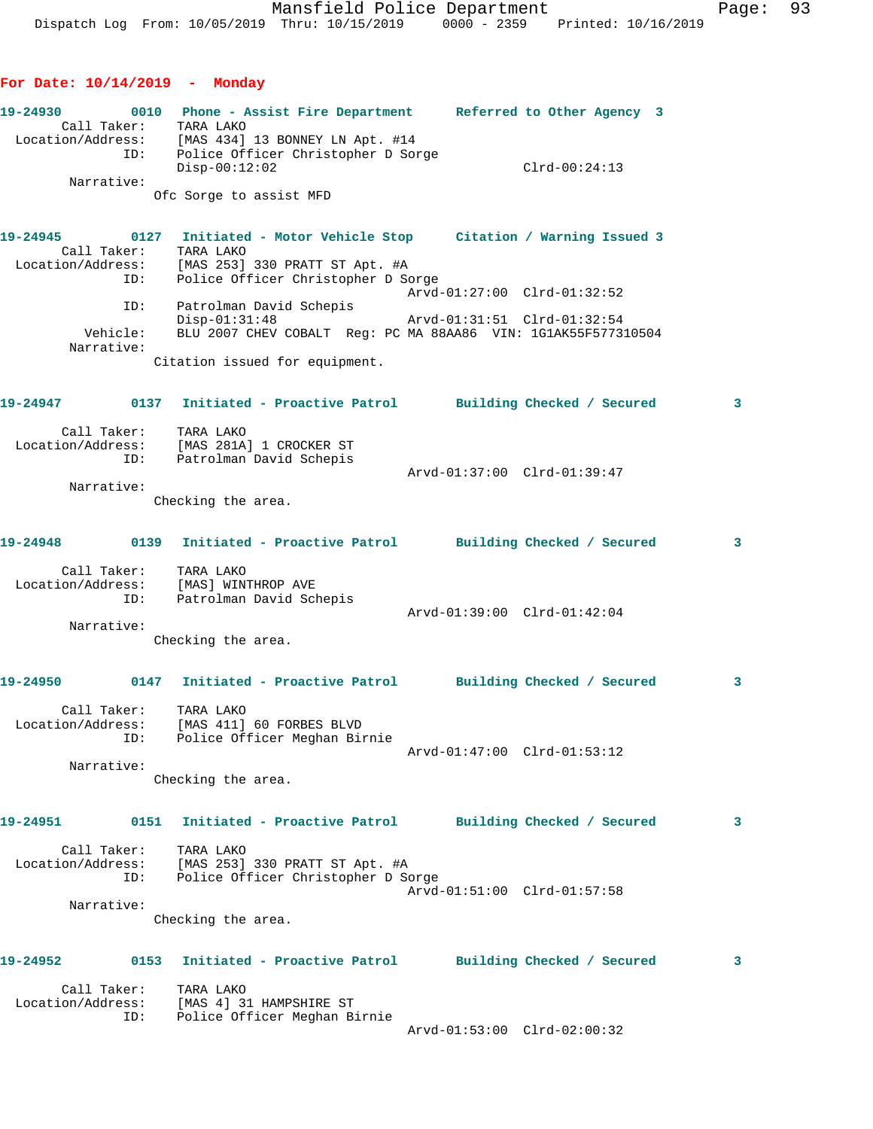**For Date: 10/14/2019 - Monday**

**19-24930 0010 Phone - Assist Fire Department Referred to Other Agency 3**  Call Taker: TARA LAKO Location/Address: [MAS 434] 13 BONNEY LN Apt. #14 ID: Police Officer Christopher D Sorge Disp-00:12:02 Clrd-00:24:13 Narrative: Ofc Sorge to assist MFD **19-24945 0127 Initiated - Motor Vehicle Stop Citation / Warning Issued 3**  Call Taker: TARA LAKO Location/Address: [MAS 253] 330 PRATT ST Apt. #A ID: Police Officer Christopher D Sorge Arvd-01:27:00 Clrd-01:32:52 ID: Patrolman David Schepis Disp-01:31:48 Arvd-01:31:51 Clrd-01:32:54 Vehicle: BLU 2007 CHEV COBALT Reg: PC MA 88AA86 VIN: 1G1AK55F577310504 Narrative: Citation issued for equipment. **19-24947 0137 Initiated - Proactive Patrol Building Checked / Secured 3** Call Taker: TARA LAKO Location/Address: [MAS 281A] 1 CROCKER ST ID: Patrolman David Schepis Arvd-01:37:00 Clrd-01:39:47 Narrative: Checking the area. **19-24948 0139 Initiated - Proactive Patrol Building Checked / Secured 3** Call Taker: TARA LAKO Location/Address: [MAS] WINTHROP AVE ID: Patrolman David Schepis Arvd-01:39:00 Clrd-01:42:04 Narrative: Checking the area. **19-24950 0147 Initiated - Proactive Patrol Building Checked / Secured 3** Call Taker: TARA LAKO Location/Address: [MAS 411] 60 FORBES BLVD ID: Police Officer Meghan Birnie Arvd-01:47:00 Clrd-01:53:12 Narrative: Checking the area. **19-24951 0151 Initiated - Proactive Patrol Building Checked / Secured 3** Call Taker: TARA LAKO Location/Address: [MAS 253] 330 PRATT ST Apt. #A ID: Police Officer Christopher D Sorge Arvd-01:51:00 Clrd-01:57:58 Narrative: Checking the area. **19-24952 0153 Initiated - Proactive Patrol Building Checked / Secured 3** Call Taker: TARA LAKO Location/Address: [MAS 4] 31 HAMPSHIRE ST ID: Police Officer Meghan Birnie Arvd-01:53:00 Clrd-02:00:32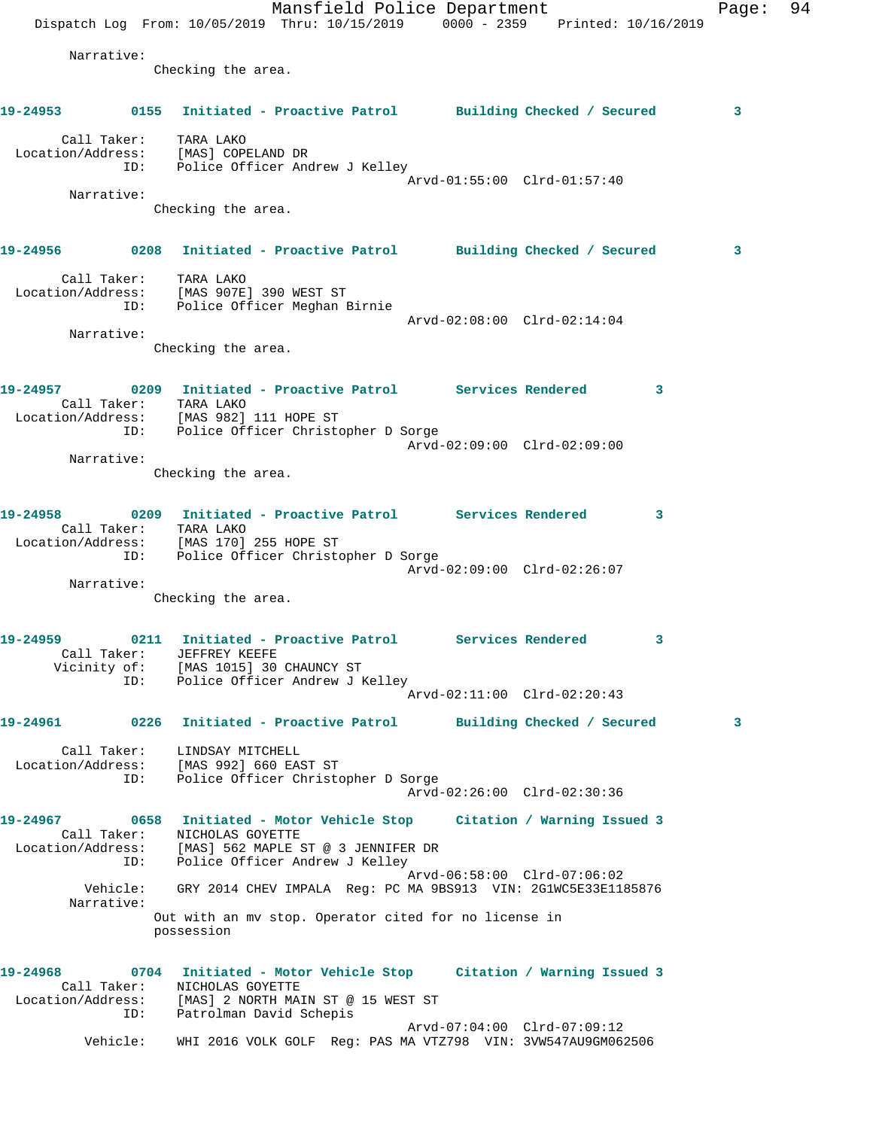Mansfield Police Department Page: 94 Dispatch Log From: 10/05/2019 Thru: 10/15/2019 0000 - 2359 Printed: 10/16/2019 Narrative: Checking the area. **19-24953 0155 Initiated - Proactive Patrol Building Checked / Secured 3** Call Taker: TARA LAKO Location/Address: [MAS] COPELAND DR ID: Police Officer Andrew J Kelley Arvd-01:55:00 Clrd-01:57:40 Narrative: Checking the area. **19-24956 0208 Initiated - Proactive Patrol Building Checked / Secured 3** Call Taker: TARA LAKO Location/Address: [MAS 907E] 390 WEST ST ID: Police Officer Meghan Birnie Arvd-02:08:00 Clrd-02:14:04 Narrative: Checking the area. **19-24957 0209 Initiated - Proactive Patrol Services Rendered 3**  Call Taker: TARA LAKO Location/Address: [MAS 982] 111 HOPE ST ID: Police Officer Christopher D Sorge Arvd-02:09:00 Clrd-02:09:00 Narrative: Checking the area. **19-24958 0209 Initiated - Proactive Patrol Services Rendered 3**  Call Taker: TARA LAKO Location/Address: [MAS 170] 255 HOPE ST ID: Police Officer Christopher D Sorge Arvd-02:09:00 Clrd-02:26:07 Narrative: Checking the area. **19-24959 0211 Initiated - Proactive Patrol Services Rendered 3**  Call Taker: JEFFREY KEEFE Vicinity of: [MAS 1015] 30 CHAUNCY ST ID: Police Officer Andrew J Kelley Arvd-02:11:00 Clrd-02:20:43 **19-24961 0226 Initiated - Proactive Patrol Building Checked / Secured 3** Call Taker: LINDSAY MITCHELL Location/Address: [MAS 992] 660 EAST ST ID: Police Officer Christopher D Sorge Arvd-02:26:00 Clrd-02:30:36 **19-24967 0658 Initiated - Motor Vehicle Stop Citation / Warning Issued 3**  Call Taker: NICHOLAS GOYETTE Location/Address: [MAS] 562 MAPLE ST @ 3 JENNIFER DR ID: Police Officer Andrew J Kelley Arvd-06:58:00 Clrd-07:06:02 Vehicle: GRY 2014 CHEV IMPALA Reg: PC MA 9BS913 VIN: 2G1WC5E33E1185876 Narrative: Out with an mv stop. Operator cited for no license in possession **19-24968 0704 Initiated - Motor Vehicle Stop Citation / Warning Issued 3**  Call Taker: NICHOLAS GOYETTE Location/Address: [MAS] 2 NORTH MAIN ST @ 15 WEST ST ID: Patrolman David Schepis Arvd-07:04:00 Clrd-07:09:12 Vehicle: WHI 2016 VOLK GOLF Reg: PAS MA VTZ798 VIN: 3VW547AU9GM062506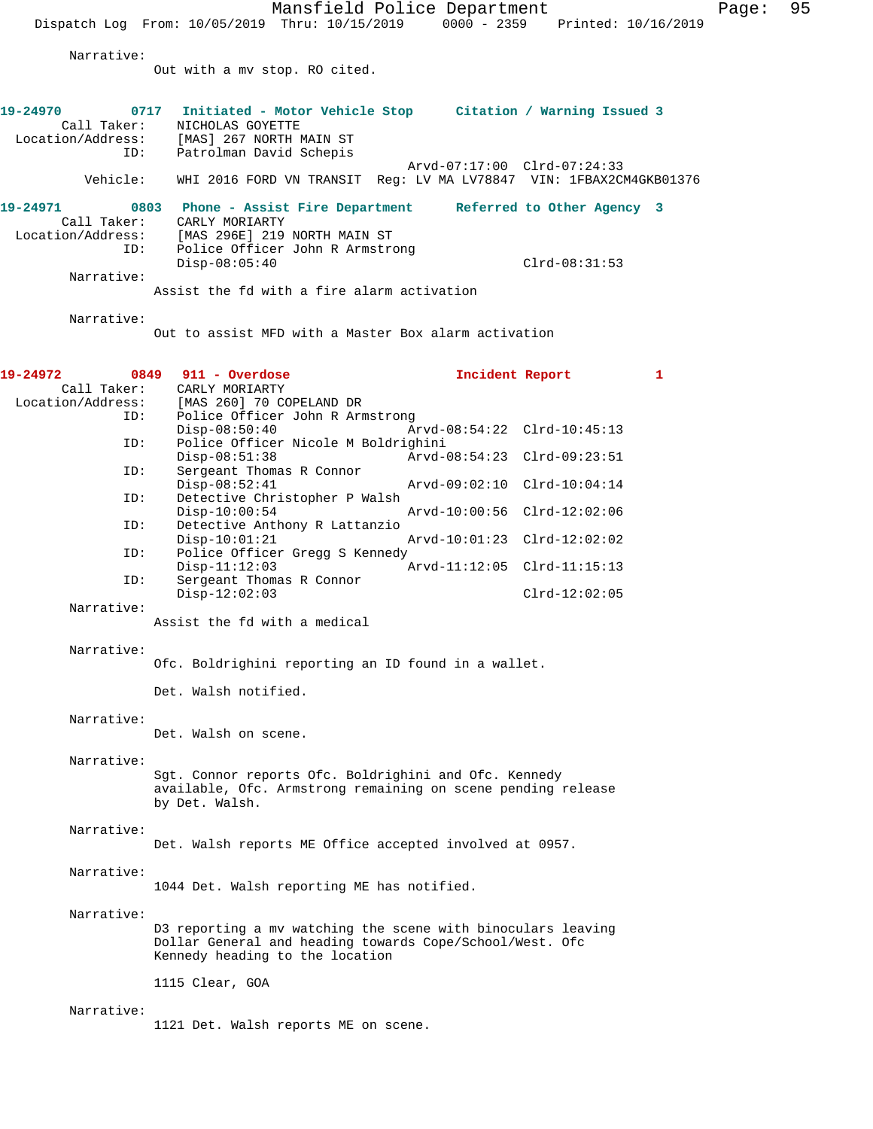Mansfield Police Department Page: 95 Dispatch Log From: 10/05/2019 Thru: 10/15/2019 0000 - 2359 Printed: 10/16/2019 Narrative: Out with a mv stop. RO cited. **19-24970 0717 Initiated - Motor Vehicle Stop Citation / Warning Issued 3**  Call Taker: NICHOLAS GOYETTE Location/Address: [MAS] 267 NORTH MAIN ST ID: Patrolman David Schepis Arvd-07:17:00 Clrd-07:24:33 Vehicle: WHI 2016 FORD VN TRANSIT Reg: LV MA LV78847 VIN: 1FBAX2CM4GKB01376 **19-24971 0803 Phone - Assist Fire Department Referred to Other Agency 3**  CARLY MORIARTY Location/Address: [MAS 296E] 219 NORTH MAIN ST Police Officer John R Armstrong Disp-08:05:40 Clrd-08:31:53 Narrative: Assist the fd with a fire alarm activation Narrative: Out to assist MFD with a Master Box alarm activation **19-24972 0849 911 - Overdose Incident Report 1**  Call Taker: CARLY MORIARTY<br>Location/Address: [MAS 260] 70 CC [MAS 260] 70 COPELAND DR ID: Police Officer John R Armstrong<br>Disp-08:50:40 Disp-08:50:40 Arvd-08:54:22 Clrd-10:45:13<br>ID: Police Officer Nicole M Boldrighini Police Officer Nicole M Boldrighini Disp-08:51:38 Arvd-08:54:23 Clrd-09:23:51<br>ID: Sergeant Thomas R Connor Sergeant Thomas R Connor<br>Disp-08:52:41 Disp-08:52:41 Arvd-09:02:10 Clrd-10:04:14 ID: Detective Christopher P Walsh Disp-10:00:54 Arvd-10:00:56 Clrd-12:02:06 ID: Detective Anthony R Lattanzio Disp-10:01:21 Arvd-10:01:23 Clrd-12:02:02 ID: Police Officer Gregg S Kennedy Disp-11:12:03 Arvd-11:12:05 Clrd-11:15:13<br>ID: Sergeant Thomas R Connor Sergeant Thomas R Connor Disp-12:02:03 Clrd-12:02:05 Narrative: Assist the fd with a medical Narrative: Ofc. Boldrighini reporting an ID found in a wallet. Det. Walsh notified. Narrative: Det. Walsh on scene. Narrative: Sgt. Connor reports Ofc. Boldrighini and Ofc. Kennedy available, Ofc. Armstrong remaining on scene pending release by Det. Walsh. Narrative: Det. Walsh reports ME Office accepted involved at 0957. Narrative: 1044 Det. Walsh reporting ME has notified. Narrative: D3 reporting a mv watching the scene with binoculars leaving Dollar General and heading towards Cope/School/West. Ofc Kennedy heading to the location 1115 Clear, GOA Narrative: 1121 Det. Walsh reports ME on scene.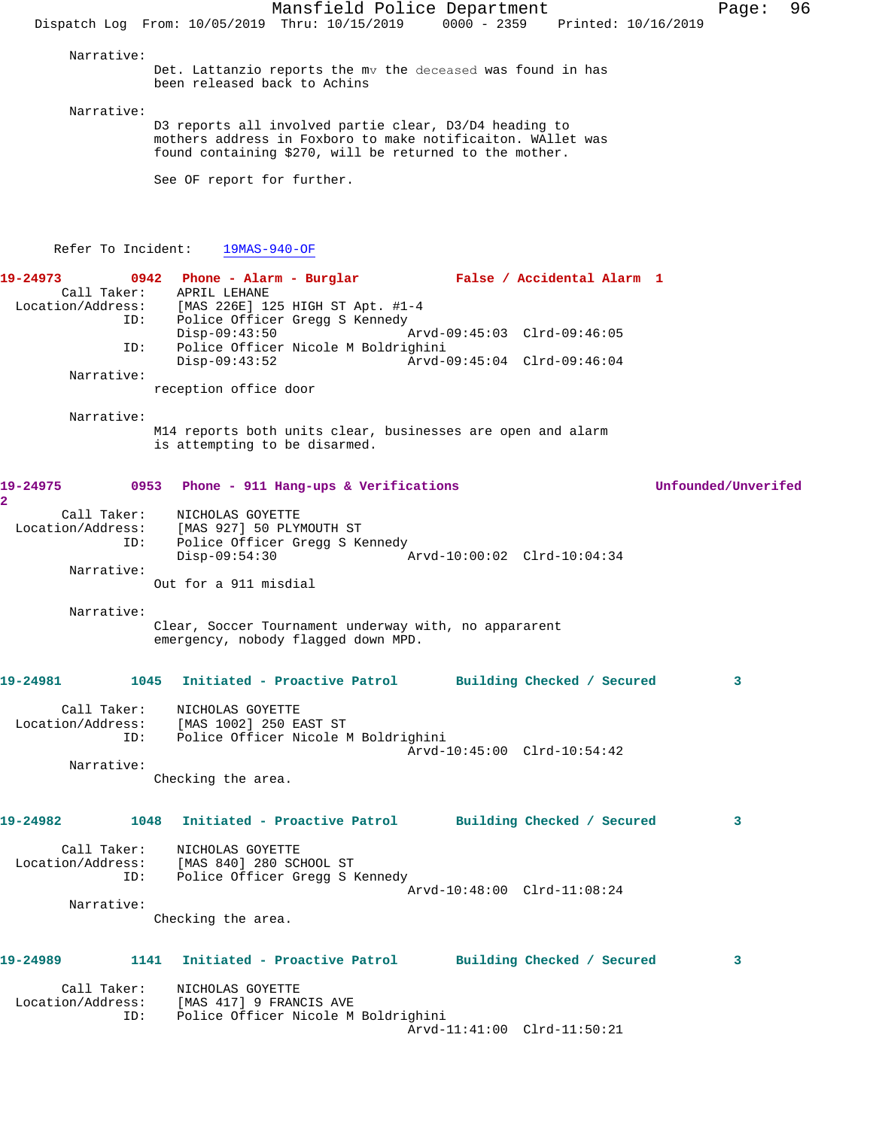Mansfield Police Department Fage: 96 Dispatch Log From: 10/05/2019 Thru: 10/15/2019 0000 - 2359 Printed: 10/16/2019 Narrative: Det. Lattanzio reports the mv the deceased was found in has been released back to Achins Narrative: D3 reports all involved partie clear, D3/D4 heading to mothers address in Foxboro to make notificaiton. WAllet was found containing \$270, will be returned to the mother. See OF report for further. Refer To Incident: 19MAS-940-OF **19-24973 0942 Phone - Alarm - Burglar False / Accidental Alarm 1**  Call Taker: APRIL LEHANE Location/Address: [MAS 226E] 125 HIGH ST Apt. #1-4 ID: Police Officer Gregg S Kennedy<br>Disp-09:43:50 Disp-09:43:50 Arvd-09:45:03 Clrd-09:46:05 ID: Police Officer Nicole M Boldrighini Disp-09:43:52 Arvd-09:45:04 Clrd-09:46:04 Narrative: reception office door Narrative: M14 reports both units clear, businesses are open and alarm is attempting to be disarmed. **19-24975 0953 Phone - 911 Hang-ups & Verifications Unfounded/Unverifed 2**  Call Taker: NICHOLAS GOYETTE Location/Address: [MAS 927] 50 PLYMOUTH ST<br>ID: Police Officer Gregg S Ke Police Officer Gregg S Kennedy<br>Disp-09:54:30 Disp-09:54:30 Arvd-10:00:02 Clrd-10:04:34 Narrative: Out for a 911 misdial Narrative: Clear, Soccer Tournament underway with, no appararent emergency, nobody flagged down MPD. **19-24981 1045 Initiated - Proactive Patrol Building Checked / Secured 3** Call Taker: NICHOLAS GOYETTE Location/Address: [MAS 1002] 250 EAST ST ID: Police Officer Nicole M Boldrighini Arvd-10:45:00 Clrd-10:54:42 Narrative: Checking the area. **19-24982 1048 Initiated - Proactive Patrol Building Checked / Secured 3** Call Taker: NICHOLAS GOYETTE Location/Address: [MAS 840] 280 SCHOOL ST ID: Police Officer Gregg S Kennedy Arvd-10:48:00 Clrd-11:08:24 Narrative: Checking the area. **19-24989 1141 Initiated - Proactive Patrol Building Checked / Secured 3** Call Taker: NICHOLAS GOYETTE Location/Address: [MAS 417] 9 FRANCIS AVE<br>ID: Police Officer Nicole M Police Officer Nicole M Boldrighini Arvd-11:41:00 Clrd-11:50:21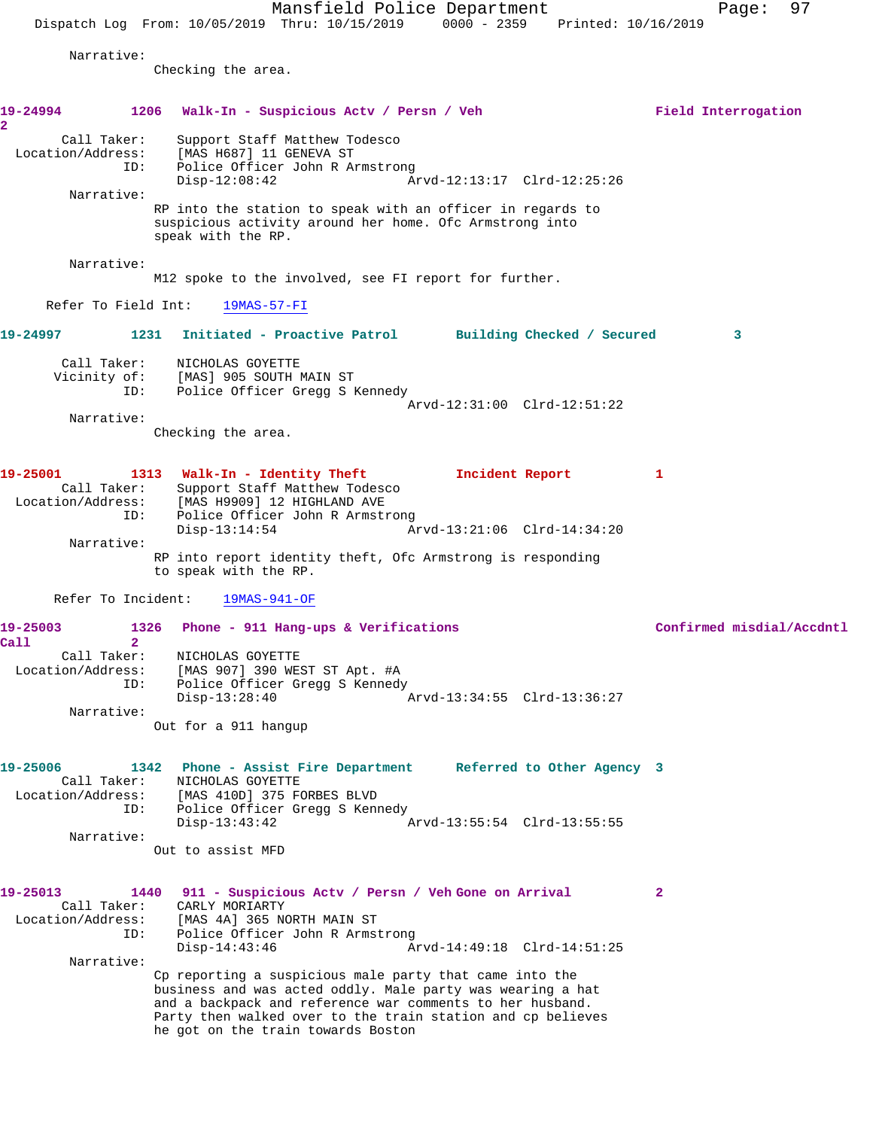Mansfield Police Department Page: 97 Dispatch Log From: 10/05/2019 Thru: 10/15/2019 0000 - 2359 Printed: 10/16/2019 Narrative: Checking the area. **19-24994 1206 Walk-In - Suspicious Actv / Persn / Veh Field Interrogation 2**  Call Taker: Support Staff Matthew Todesco Location/Address: [MAS H687] 11 GENEVA ST ID: Police Officer John R Armstrong<br>Disp-12:08:42 A Disp-12:08:42 Arvd-12:13:17 Clrd-12:25:26 Narrative: RP into the station to speak with an officer in regards to suspicious activity around her home. Ofc Armstrong into speak with the RP. Narrative: M12 spoke to the involved, see FI report for further. Refer To Field Int: 19MAS-57-FI **19-24997 1231 Initiated - Proactive Patrol Building Checked / Secured 3** Call Taker: NICHOLAS GOYETTE Vicinity of: [MAS] 905 SOUTH MAIN ST ID: Police Officer Gregg S Kennedy Arvd-12:31:00 Clrd-12:51:22 Narrative: Checking the area. **19-25001 1313 Walk-In - Identity Theft Incident Report 1**  Call Taker: Support Staff Matthew Todesco Location/Address: [MAS H9909] 12 HIGHLAND AVE ID: Police Officer John R Armstrong Disp-13:14:54 Arvd-13:21:06 Clrd-14:34:20 Narrative: RP into report identity theft, Ofc Armstrong is responding to speak with the RP. Refer To Incident: 19MAS-941-OF 19-25003 1326 Phone - 911 Hang-ups & Verifications **19-25003** Confirmed misdial/Accdntl **Call 2**  Call Taker: NICHOLAS GOYETTE Location/Address: [MAS 907] 390 WEST ST Apt. #A ID: Police Officer Gregg S Kennedy Disp-13:28:40 Arvd-13:34:55 Clrd-13:36:27 Narrative: Out for a 911 hangup **19-25006 1342 Phone - Assist Fire Department Referred to Other Agency 3**  Call Taker: NICHOLAS GOYETTE Location/Address: [MAS 410D] 375 FORBES BLVD ID: Police Officer Gregg S Kennedy Disp-13:43:42 Arvd-13:55:54 Clrd-13:55:55 Narrative: Out to assist MFD **19-25013 1440 911 - Suspicious Actv / Persn / Veh Gone on Arrival 2**  Call Taker: CARLY MORIARTY Location/Address: [MAS 4A] 365 NORTH MAIN ST Police Officer John R Armstrong<br>Disp-14:43:46 Ar Disp-14:43:46 Arvd-14:49:18 Clrd-14:51:25 Narrative: Cp reporting a suspicious male party that came into the business and was acted oddly. Male party was wearing a hat and a backpack and reference war comments to her husband. Party then walked over to the train station and cp believes he got on the train towards Boston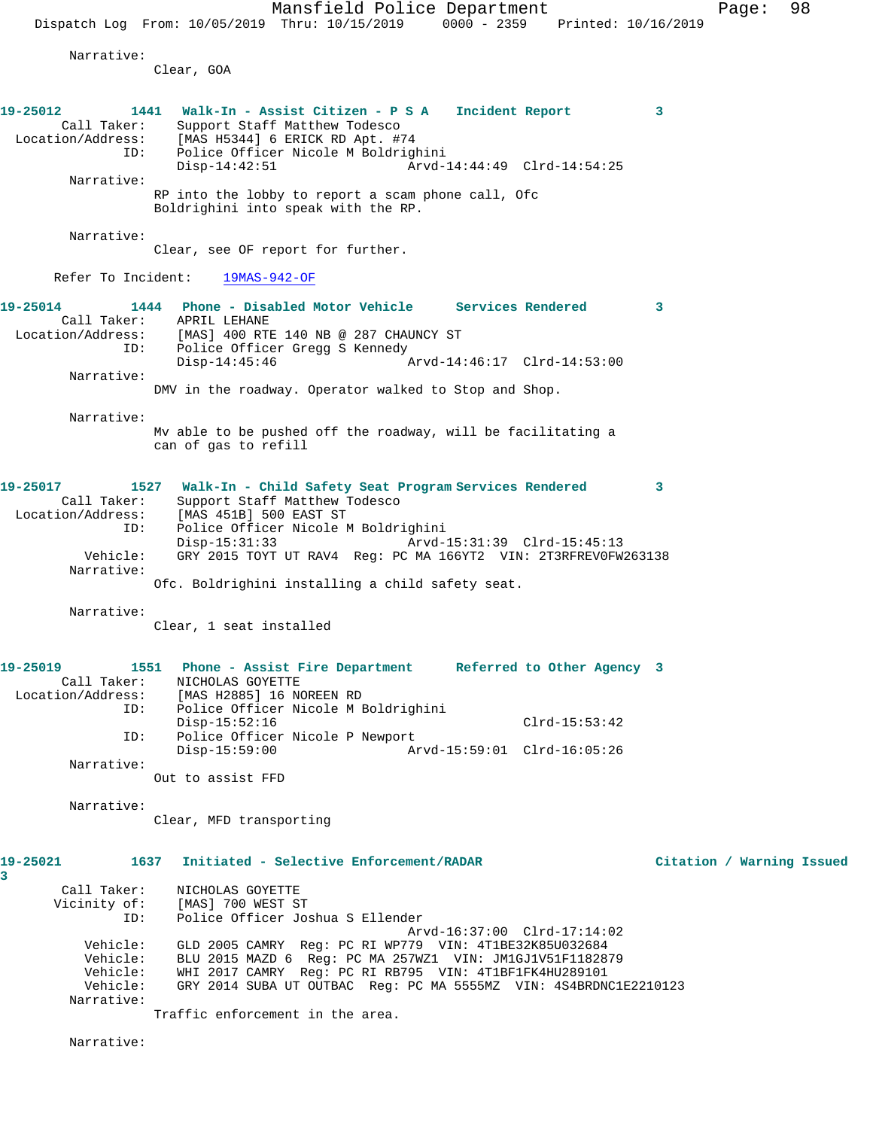Mansfield Police Department Fage: 98 Dispatch Log From: 10/05/2019 Thru: 10/15/2019 0000 - 2359 Printed: 10/16/2019 Narrative: Clear, GOA **19-25012 1441 Walk-In - Assist Citizen - P S A Incident Report 3**  Call Taker: Support Staff Matthew Todesco Location/Address: [MAS H5344] 6 ERICK RD Apt. #74 ID: Police Officer Nicole M Boldrighini Disp-14:42:51 Arvd-14:44:49 Clrd-14:54:25 Narrative: RP into the lobby to report a scam phone call, Ofc Boldrighini into speak with the RP. Narrative: Clear, see OF report for further. Refer To Incident: 19MAS-942-OF **19-25014 1444 Phone - Disabled Motor Vehicle Services Rendered 3**  Call Taker: APRIL LEHANE Location/Address: [MAS] 400 RTE 140 NB @ 287 CHAUNCY ST ID: Police Officer Gregg S Kennedy<br>Disp-14:45:46  $\sigma$ Arvd-14:46:17 Clrd-14:53:00 Narrative: DMV in the roadway. Operator walked to Stop and Shop. Narrative: Mv able to be pushed off the roadway, will be facilitating a can of gas to refill **19-25017 1527 Walk-In - Child Safety Seat Program Services Rendered 3**  Call Taker: Support Staff Matthew Todesco Location/Address: [MAS 451B] 500 EAST ST ID: Police Officer Nicole M Boldrighini Disp-15:31:33 Arvd-15:31:39 Clrd-15:45:13 Vehicle: GRY 2015 TOYT UT RAV4 Reg: PC MA 166YT2 VIN: 2T3RFREV0FW263138 Narrative: Ofc. Boldrighini installing a child safety seat. Narrative: Clear, 1 seat installed **19-25019 1551 Phone - Assist Fire Department Referred to Other Agency 3**  Call Taker: NICHOLAS GOYETTE Location/Address: [MAS H2885] 16 NOREEN RD ID: Police Officer Nicole M Boldrighini Disp-15:52:16 Clrd-15:53:42<br>ID: Police Officer Nicole P Newport Police Officer Nicole P Newport<br>Disp-15:59:00 Ar Disp-15:59:00 Arvd-15:59:01 Clrd-16:05:26 Narrative: Out to assist FFD Narrative: Clear, MFD transporting **19-25021 1637 Initiated - Selective Enforcement/RADAR Citation / Warning Issued 3**  Call Taker: NICHOLAS GOYETTE Vicinity of: [MAS] 700 WEST ST ID: Police Officer Joshua S Ellender Arvd-16:37:00 Clrd-17:14:02 Vehicle: GLD 2005 CAMRY Reg: PC RI WP779 VIN: 4T1BE32K85U032684 Vehicle: BLU 2015 MAZD 6 Reg: PC MA 257WZ1 VIN: JM1GJ1V51F1182879 Vehicle: WHI 2017 CAMRY Reg: PC RI RB795 VIN: 4T1BF1FK4HU289101 Vehicle: GRY 2014 SUBA UT OUTBAC Reg: PC MA 5555MZ VIN: 4S4BRDNC1E2210123 Narrative: Traffic enforcement in the area.

Narrative: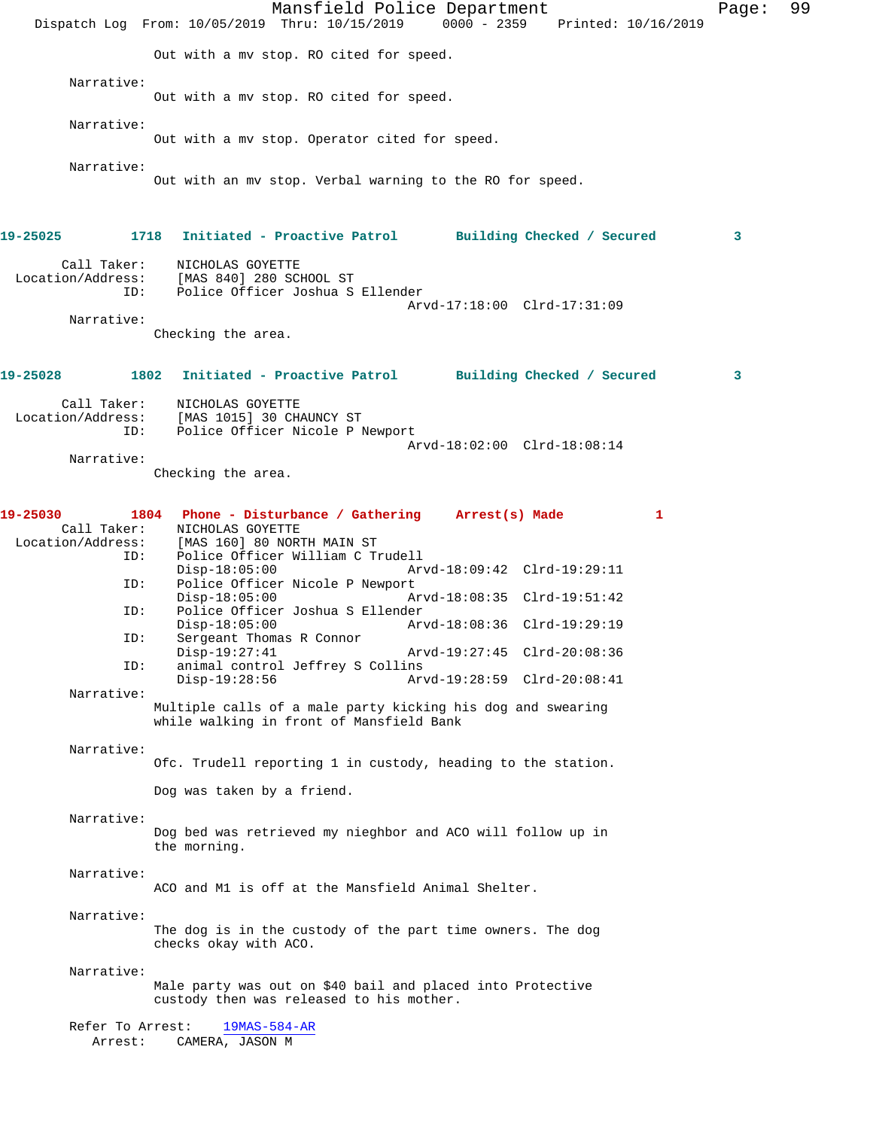Mansfield Police Department Page: 99 Dispatch Log From: 10/05/2019 Thru: 10/15/2019 0000 - 2359 Printed: 10/16/2019 Out with a mv stop. RO cited for speed. Narrative: Out with a mv stop. RO cited for speed. Narrative: Out with a mv stop. Operator cited for speed. Narrative: Out with an mv stop. Verbal warning to the RO for speed. **19-25025 1718 Initiated - Proactive Patrol Building Checked / Secured 3** Call Taker: NICHOLAS GOYETTE Location/Address: [MAS 840] 280 SCHOOL ST ID: Police Officer Joshua S Ellender Arvd-17:18:00 Clrd-17:31:09 Narrative: Checking the area. **19-25028 1802 Initiated - Proactive Patrol Building Checked / Secured 3** Call Taker: NICHOLAS GOYETTE Location/Address: [MAS 1015] 30 CHAUNCY ST ID: Police Officer Nicole P Newport Arvd-18:02:00 Clrd-18:08:14 Narrative: Checking the area. **19-25030 1804 Phone - Disturbance / Gathering Arrest(s) Made 1**  Call Taker: NICHOLAS GOYETTE Location/Address: [MAS 160] 80 NORTH MAIN ST<br>ID: Police Officer William C T Police Officer William C Trudell<br>Disp-18:05:00 Ar Disp-18:05:00 Arvd-18:09:42 Clrd-19:29:11<br>ID: Police Officer Nicole P Newport Police Officer Nicole P Newport<br>Disp-18:05:00 A Disp-18:05:00 Arvd-18:08:35 Clrd-19:51:42 ID: Police Officer Joshua S Ellender Disp-18:05:00 Arvd-18:08:36 Clrd-19:29:19 ID: Sergeant Thomas R Connor<br>Disp-19:27:41 Disp-19:27:41 Arvd-19:27:45 Clrd-20:08:36<br>ID: animal control Jeffrey S Collins animal control Jeffrey S Collins Disp-19:28:56 Arvd-19:28:59 Clrd-20:08:41 Narrative: Multiple calls of a male party kicking his dog and swearing while walking in front of Mansfield Bank Narrative: Ofc. Trudell reporting 1 in custody, heading to the station. Dog was taken by a friend. Narrative: Dog bed was retrieved my nieghbor and ACO will follow up in the morning. Narrative: ACO and M1 is off at the Mansfield Animal Shelter. Narrative: The dog is in the custody of the part time owners. The dog checks okay with ACO. Narrative: Male party was out on \$40 bail and placed into Protective custody then was released to his mother. Refer To Arrest: 19MAS-584-AR Arrest: CAMERA, JASON M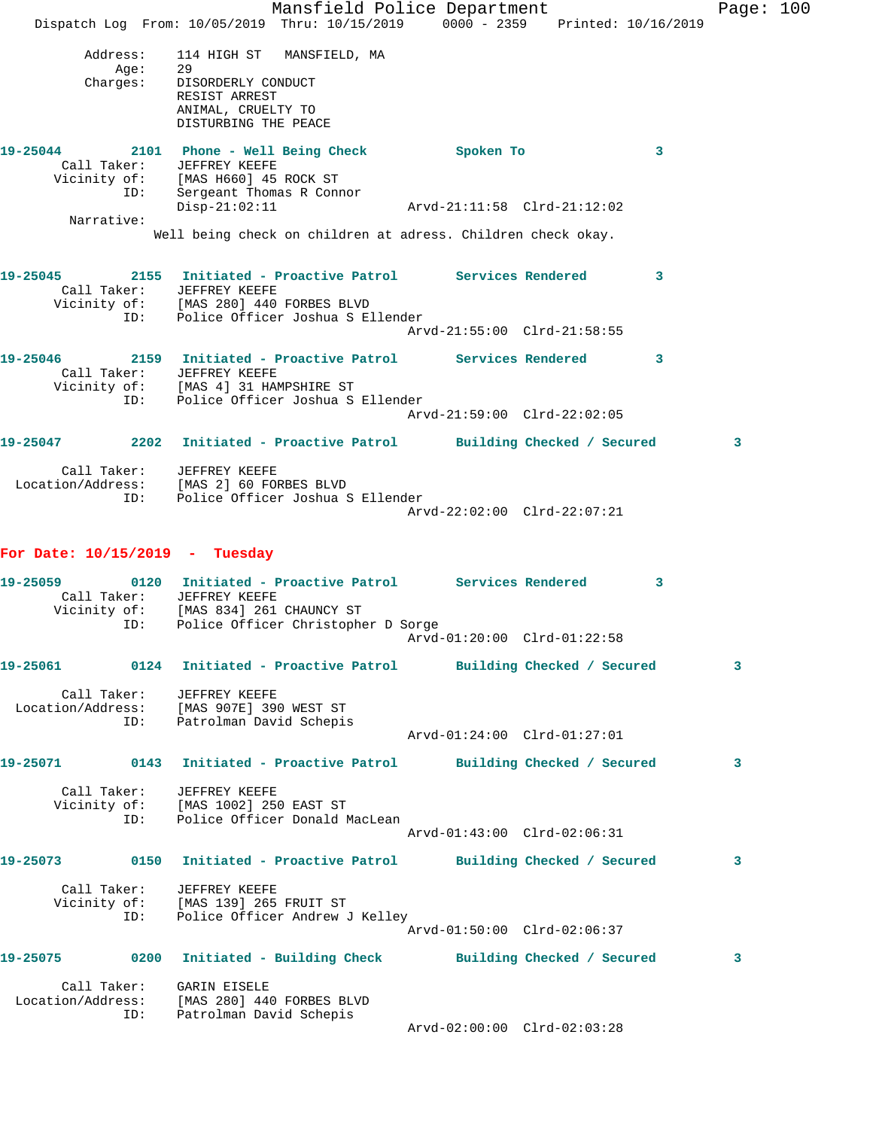|                                      | Mansfield Police Department<br>Dispatch Log From: 10/05/2019 Thru: 10/15/2019 0000 - 2359 Printed: 10/16/2019                                                                                                        |                             |              | Page: $100$ |  |
|--------------------------------------|----------------------------------------------------------------------------------------------------------------------------------------------------------------------------------------------------------------------|-----------------------------|--------------|-------------|--|
| Address:<br>Aqe:<br>Aye:<br>:Charges | 114 HIGH ST MANSFIELD, MA<br>- 29<br>DISORDERLY CONDUCT<br>RESIST ARREST<br>ANIMAL, CRUELTY TO<br>DISTURBING THE PEACE                                                                                               |                             |              |             |  |
|                                      | 19-25044 2101 Phone - Well Being Check<br>Call Taker: JEFFREY KEEFE<br>Vicinity of: [MAS H660] 45 ROCK ST                                                                                                            | Spoken To                   | $\mathbf{3}$ |             |  |
| ID:                                  | Sergeant Thomas R Connor<br>$Disp-21:02:11$                                                                                                                                                                          | Arvd-21:11:58 Clrd-21:12:02 |              |             |  |
| Narrative:                           | Well being check on children at adress. Children check okay.                                                                                                                                                         |                             |              |             |  |
| 19-25045<br>ID:                      | 2155 Initiated - Proactive Patrol Services Rendered<br>Call Taker: JEFFREY KEEFE<br>Vicinity of: [MAS 280] 440 FORBES BLVD<br>Police Officer Joshua S Ellender                                                       |                             | $\sim$ 3     |             |  |
|                                      |                                                                                                                                                                                                                      | Arvd-21:55:00 Clrd-21:58:55 |              |             |  |
| 19-25046                             | 2159 Initiated - Proactive Patrol Services Rendered 3<br>Call Taker: JEFFREY KEEFE<br>Vicinity of: [MAS 4] 31 HAMPSHIRE ST<br>ID: Police Officer Joshua S<br>Police Officer Joshua S Ellender                        | Arvd-21:59:00 Clrd-22:02:05 |              |             |  |
|                                      | 19-25047 2202 Initiated - Proactive Patrol Building Checked / Secured                                                                                                                                                |                             |              | 3           |  |
| ID:                                  | Call Taker: JEFFREY KEEFE<br>Location/Address: [MAS 2] 60 FORBES BLVD<br>Police Officer Joshua S Ellender                                                                                                            | Arvd-22:02:00 Clrd-22:07:21 |              |             |  |
| For Date: $10/15/2019$ - Tuesday     |                                                                                                                                                                                                                      |                             |              |             |  |
| 19-25059                             | 0120 Initiated - Proactive Patrol Services Rendered 3<br>Call Taker: JEFFREY KEEFE<br>Vicinity of: [MAS 834] 261 CHAUNCY ST<br>ID: Police Officer Christopher D Sorge                                                |                             |              |             |  |
|                                      | 19-25061 0124 Initiated - Proactive Patrol Building Checked / Secured                                                                                                                                                |                             |              | 3           |  |
| ID:                                  | Call Taker: JEFFREY KEEFE<br>Location/Address: [MAS 907E] 390 WEST ST<br>Patrolman David Schepis                                                                                                                     | Arvd-01:24:00 Clrd-01:27:01 |              |             |  |
|                                      |                                                                                                                                                                                                                      |                             |              |             |  |
| ID:                                  | 19-25071      0143   Initiated - Proactive Patrol     Building Checked / Secured<br>Call Taker: JEFFREY KEEFE<br>Vicinity of: [MAS 1002] 250 EAST ST<br>ID: Police Officer Donald N<br>Police Officer Donald MacLean | Arvd-01:43:00 Clrd-02:06:31 |              | 3           |  |
|                                      | 19-25073 0150 Initiated - Proactive Patrol Building Checked / Secured                                                                                                                                                |                             |              | 3           |  |
|                                      | Call Taker: JEFFREY KEEFE<br>Vicinity of: [MAS 139] 265 FRUIT ST<br>ID: Police Officer Andrew J Kelley                                                                                                               | Arvd-01:50:00 Clrd-02:06:37 |              |             |  |
|                                      | 19-25075 0200 Initiated - Building Check Building Checked / Secured                                                                                                                                                  |                             |              | 3           |  |
| Call Taker: GARIN EISELE<br>ID:      | Location/Address: [MAS 280] 440 FORBES BLVD<br>Patrolman David Schepis                                                                                                                                               |                             |              |             |  |
|                                      |                                                                                                                                                                                                                      | Arvd-02:00:00 Clrd-02:03:28 |              |             |  |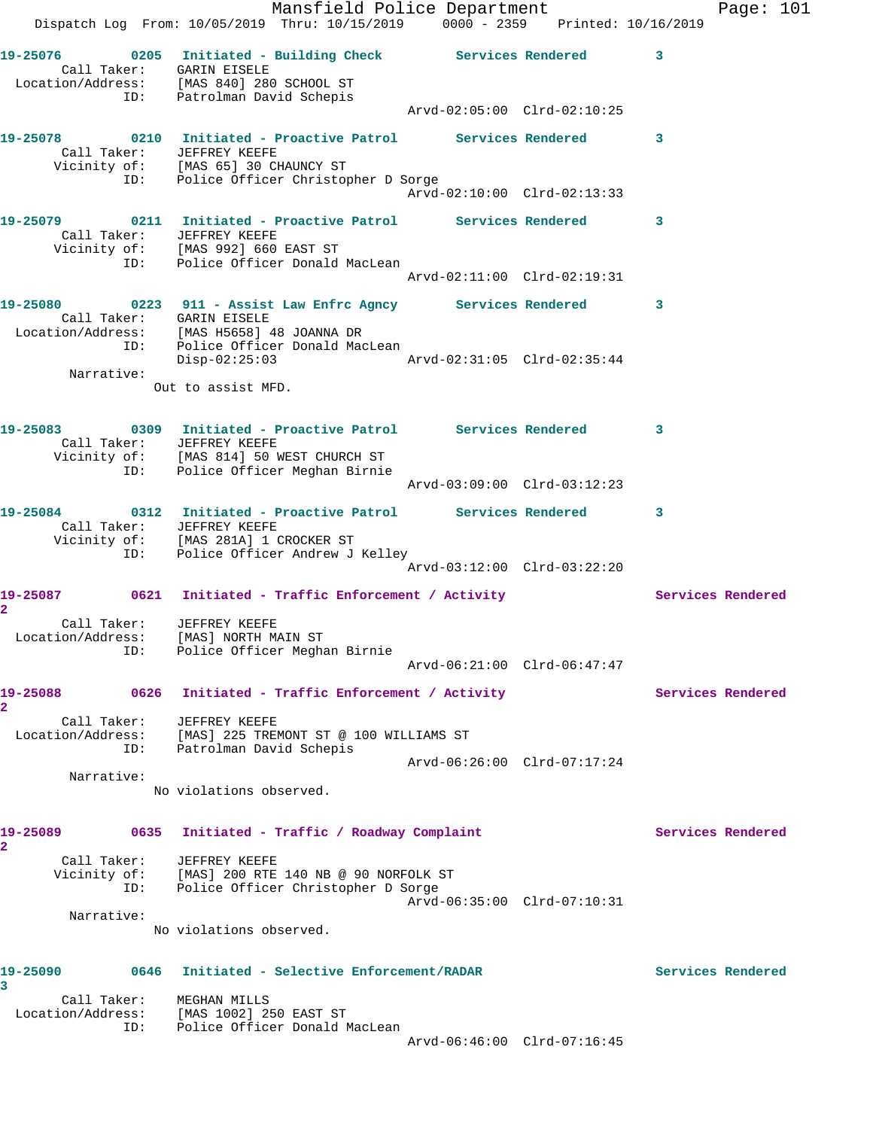Mansfield Police Department Fage: 101 Dispatch Log From: 10/05/2019 Thru: 10/15/2019 0000 - 2359 Printed: 10/16/2019 **19-25076 0205 Initiated - Building Check Services Rendered 3**  Call Taker: GARIN EISELE Location/Address: [MAS 840] 280 SCHOOL ST ID: Patrolman David Schepis Arvd-02:05:00 Clrd-02:10:25 **19-25078 0210 Initiated - Proactive Patrol Services Rendered 3**  Call Taker: JEFFREY KEEFE Vicinity of: [MAS 65] 30 CHAUNCY ST ID: Police Officer Christopher D Sorge Arvd-02:10:00 Clrd-02:13:33 **19-25079 0211 Initiated - Proactive Patrol Services Rendered 3**  Call Taker: JEFFREY KEEFE Vicinity of: [MAS 992] 660 EAST ST ID: Police Officer Donald MacLean Arvd-02:11:00 Clrd-02:19:31 **19-25080 0223 911 - Assist Law Enfrc Agncy Services Rendered 3**  Call Taker: GARIN EISELE Location/Address: [MAS H5658] 48 JOANNA DR ID: Police Officer Donald MacLean Disp-02:25:03 Arvd-02:31:05 Clrd-02:35:44 Narrative: Out to assist MFD. **19-25083 0309 Initiated - Proactive Patrol Services Rendered 3**  Call Taker: JEFFREY KEEFE Vicinity of: [MAS 814] 50 WEST CHURCH ST ID: Police Officer Meghan Birnie Arvd-03:09:00 Clrd-03:12:23 **19-25084 0312 Initiated - Proactive Patrol Services Rendered 3**  Call Taker: JEFFREY KEEFE Vicinity of: [MAS 281A] 1 CROCKER ST ID: Police Officer Andrew J Kelley Arvd-03:12:00 Clrd-03:22:20 19-25087 0621 Initiated - Traffic Enforcement / Activity **Services Rendered 2**  Call Taker: JEFFREY KEEFE Location/Address: [MAS] NORTH MAIN ST ID: Police Officer Meghan Birnie Arvd-06:21:00 Clrd-06:47:47 19-25088 0626 Initiated - Traffic Enforcement / Activity **Services Rendered 2**  Call Taker: JEFFREY KEEFE Location/Address: [MAS] 225 TREMONT ST @ 100 WILLIAMS ST ID: Patrolman David Schepis Arvd-06:26:00 Clrd-07:17:24 Narrative: No violations observed. 19-25089 **0635** Initiated - Traffic / Roadway Complaint Services Rendered **2**  Call Taker: JEFFREY KEEFE Vicinity of: [MAS] 200 RTE 140 NB @ 90 NORFOLK ST ID: Police Officer Christopher D Sorge Arvd-06:35:00 Clrd-07:10:31 Narrative: No violations observed. **19-25090 0646 Initiated - Selective Enforcement/RADAR Services Rendered 3**  Call Taker: MEGHAN MILLS Location/Address: [MAS 1002] 250 EAST ST ID: Police Officer Donald MacLean Arvd-06:46:00 Clrd-07:16:45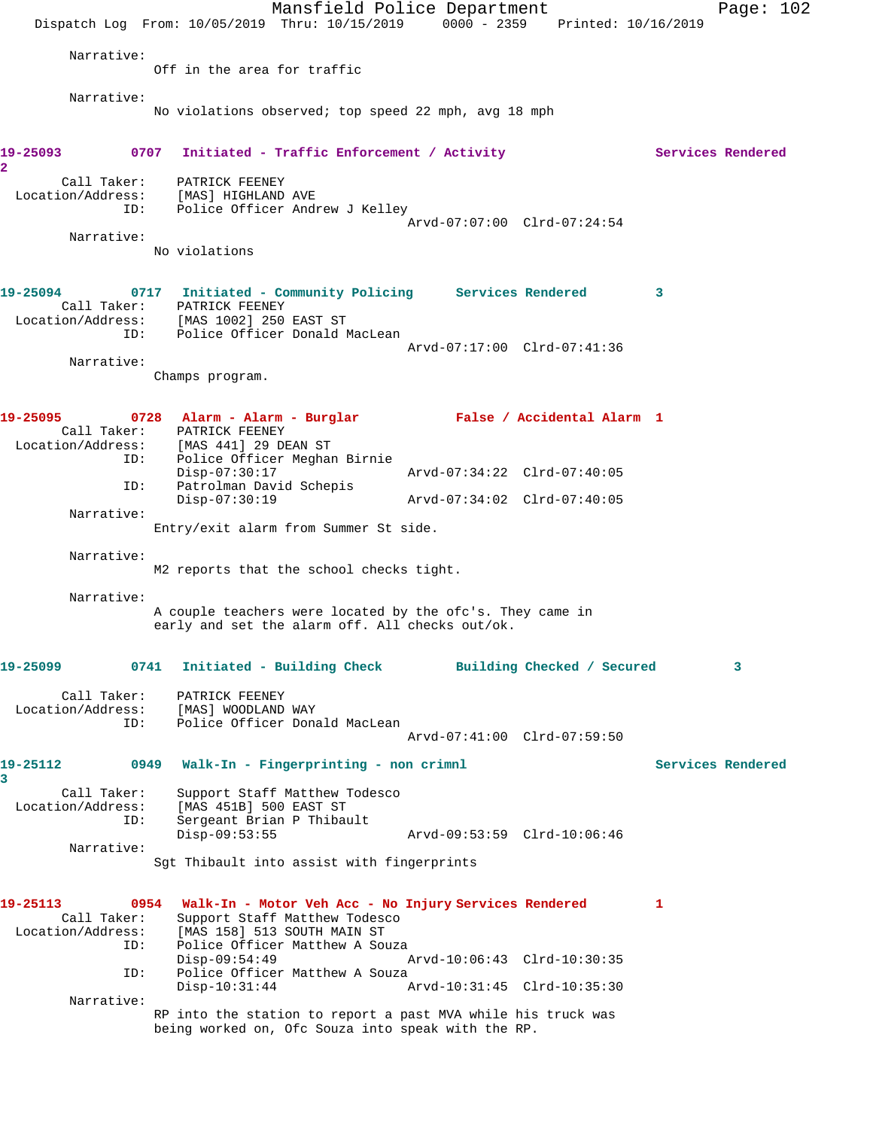Mansfield Police Department Page: 102 Dispatch Log From: 10/05/2019 Thru: 10/15/2019 0000 - 2359 Printed: 10/16/2019 Narrative: Off in the area for traffic Narrative: No violations observed; top speed 22 mph, avg 18 mph 19-25093 0707 Initiated - Traffic Enforcement / Activity **Services Rendered 2**  Call Taker: PATRICK FEENEY Location/Address: [MAS] HIGHLAND AVE ID: Police Officer Andrew J Kelley Arvd-07:07:00 Clrd-07:24:54 Narrative: No violations **19-25094 0717 Initiated - Community Policing Services Rendered 3**  Call Taker: PATRICK FEENEY Location/Address: [MAS 1002] 250 EAST ST ID: Police Officer Donald MacLean Arvd-07:17:00 Clrd-07:41:36 Narrative: Champs program. **19-25095 0728 Alarm - Alarm - Burglar False / Accidental Alarm 1**  Call Taker: PATRICK FEENEY Location/Address: [MAS 441] 29 DEAN ST ID: Police Officer Meghan Birnie Disp-07:30:17 Arvd-07:34:22 Clrd-07:40:05 ID: Patrolman David Schepis Disp-07:30:19 Arvd-07:34:02 Clrd-07:40:05 Narrative: Entry/exit alarm from Summer St side. Narrative: M2 reports that the school checks tight. Narrative: A couple teachers were located by the ofc's. They came in early and set the alarm off. All checks out/ok. **19-25099 0741 Initiated - Building Check Building Checked / Secured 3** Call Taker: PATRICK FEENEY Location/Address: [MAS] WOODLAND WAY ID: Police Officer Donald MacLean Arvd-07:41:00 Clrd-07:59:50 **19-25112 0949 Walk-In - Fingerprinting - non crimnl Services Rendered 3**  Call Taker: Support Staff Matthew Todesco Location/Address: [MAS 451B] 500 EAST ST ID: Sergeant Brian P Thibault Disp-09:53:55 Arvd-09:53:59 Clrd-10:06:46 Narrative: Sgt Thibault into assist with fingerprints **19-25113 0954 Walk-In - Motor Veh Acc - No Injury Services Rendered 1**  Call Taker: Support Staff Matthew Todesco Location/Address: [MAS 158] 513 SOUTH MAIN ST ID: Police Officer Matthew A Souza<br>Disp-09:54:49 Disp-09:54:49 Arvd-10:06:43 Clrd-10:30:35 ID: Police Officer Matthew A Souza<br>Disp-10:31:44 A Arvd-10:31:45 Clrd-10:35:30 Narrative: RP into the station to report a past MVA while his truck was being worked on, Ofc Souza into speak with the RP.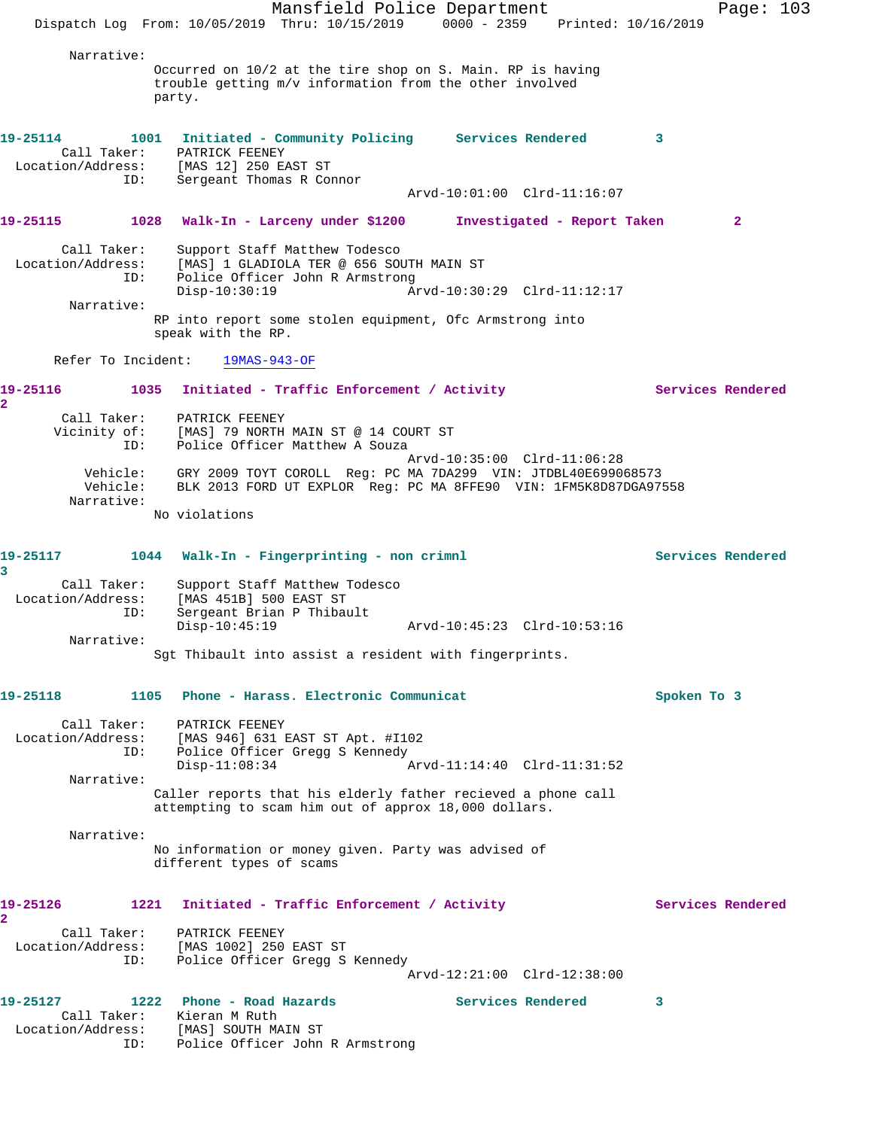Mansfield Police Department Page: 103 Dispatch Log From: 10/05/2019 Thru: 10/15/2019 0000 - 2359 Printed: 10/16/2019 Narrative: Occurred on 10/2 at the tire shop on S. Main. RP is having trouble getting m/v information from the other involved party. **19-25114 1001 Initiated - Community Policing Services Rendered 3**  Call Taker: PATRICK FEENEY Location/Address: [MAS 12] 250 EAST ST ID: Sergeant Thomas R Connor Arvd-10:01:00 Clrd-11:16:07 **19-25115 1028 Walk-In - Larceny under \$1200 Investigated - Report Taken 2** Call Taker: Support Staff Matthew Todesco Location/Address: [MAS] 1 GLADIOLA TER @ 656 SOUTH MAIN ST ID: Police Officer John R Armstrong Disp-10:30:19 Arvd-10:30:29 Clrd-11:12:17 Narrative: RP into report some stolen equipment, Ofc Armstrong into speak with the RP. Refer To Incident: 19MAS-943-OF 19-25116 1035 Initiated - Traffic Enforcement / Activity **Services Rendered 2**  Call Taker: PATRICK FEENEY Vicinity of: [MAS] 79 NORTH MAIN ST @ 14 COURT ST ID: Police Officer Matthew A Souza Arvd-10:35:00 Clrd-11:06:28 Vehicle: GRY 2009 TOYT COROLL Reg: PC MA 7DA299 VIN: JTDBL40E699068573 Vehicle: BLK 2013 FORD UT EXPLOR Reg: PC MA 8FFE90 VIN: 1FM5K8D87DGA97558 Narrative: No violations **19-25117 1044 Walk-In - Fingerprinting - non crimnl Services Rendered 3**  Call Taker: Support Staff Matthew Todesco Location/Address: [MAS 451B] 500 EAST ST ID: Sergeant Brian P Thibault Disp-10:45:19 Arvd-10:45:23 Clrd-10:53:16 Narrative: Sgt Thibault into assist a resident with fingerprints. **19-25118 1105 Phone - Harass. Electronic Communicat Spoken To 3** Call Taker: PATRICK FEENEY Location/Address: [MAS 946] 631 EAST ST Apt. #I102 ID: Police Officer Gregg S Kennedy Disp-11:08:34 Arvd-11:14:40 Clrd-11:31:52 Narrative: Caller reports that his elderly father recieved a phone call attempting to scam him out of approx 18,000 dollars. Narrative: No information or money given. Party was advised of different types of scams 19-25126 1221 Initiated - Traffic Enforcement / Activity **Services Rendered 2**  Call Taker: PATRICK FEENEY Location/Address: [MAS 1002] 250 EAST ST ID: Police Officer Gregg S Kennedy Arvd-12:21:00 Clrd-12:38:00 19-25127 1222 Phone - Road Hazards **Services Rendered** 3 Call Taker: Kieran M Ruth Location/Address: [MAS] SOUTH MAIN ST ID: Police Officer John R Armstrong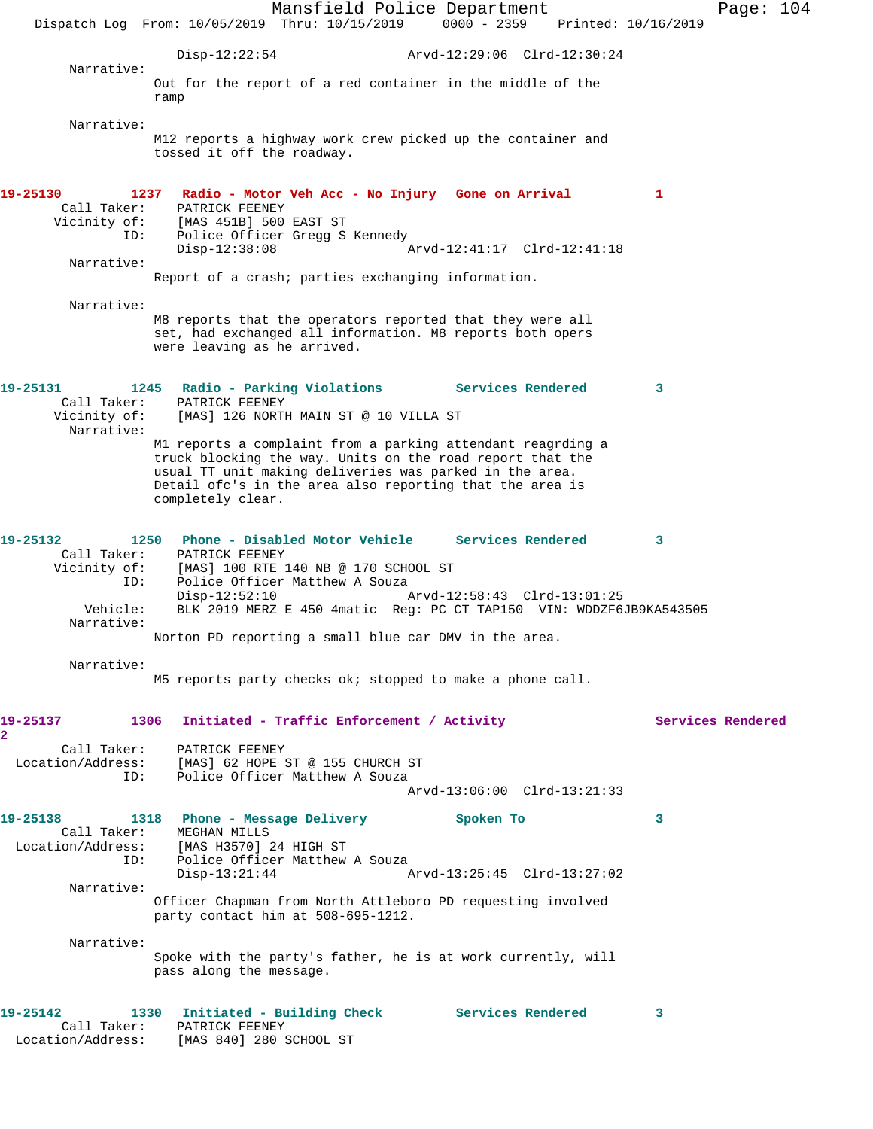Mansfield Police Department Page: 104 Dispatch Log From: 10/05/2019 Thru: 10/15/2019 0000 - 2359 Printed: 10/16/2019 Disp-12:22:54 Arvd-12:29:06 Clrd-12:30:24 Narrative: Out for the report of a red container in the middle of the ramp Narrative: M12 reports a highway work crew picked up the container and tossed it off the roadway. **19-25130 1237 Radio - Motor Veh Acc - No Injury Gone on Arrival 1**  Call Taker: PATRICK FEENEY Vicinity of: [MAS 451B] 500 EAST ST ID: Police Officer Gregg S Kennedy<br>Disp-12:38:08  $Arvd-12:41:17$   $Clrd-12:41:18$  Narrative: Report of a crash; parties exchanging information. Narrative: M8 reports that the operators reported that they were all set, had exchanged all information. M8 reports both opers were leaving as he arrived. **19-25131 1245 Radio - Parking Violations Services Rendered 3**  Call Taker: PATRICK FEENEY Vicinity of: [MAS] 126 NORTH MAIN ST @ 10 VILLA ST Narrative: M1 reports a complaint from a parking attendant reagrding a truck blocking the way. Units on the road report that the usual TT unit making deliveries was parked in the area. Detail ofc's in the area also reporting that the area is completely clear. **19-25132 1250 Phone - Disabled Motor Vehicle Services Rendered 3**  Call Taker: PATRICK FEENEY Vicinity of: [MAS] 100 RTE 140 NB @ 170 SCHOOL ST ID: Police Officer Matthew A Souza<br>Disp-12:52:10 Disp-12:52:10 Arvd-12:58:43 Clrd-13:01:25<br>Vehicle: BLK 2019 MERZ E 450 4matic Req: PC CT TAP150 VIN: WDDZF6 BLK 2019 MERZ E 450 4matic Reg: PC CT TAP150 VIN: WDDZF6JB9KA543505 Narrative: Norton PD reporting a small blue car DMV in the area. Narrative: M5 reports party checks ok; stopped to make a phone call. 19-25137 1306 Initiated - Traffic Enforcement / Activity **Services Rendered 2**  Call Taker: PATRICK FEENEY Location/Address: [MAS] 62 HOPE ST @ 155 CHURCH ST ID: Police Officer Matthew A Souza Arvd-13:06:00 Clrd-13:21:33 **19-25138 1318 Phone - Message Delivery Spoken To 3**  Call Taker: MEGHAN MILLS Location/Address: [MAS H3570] 24 HIGH ST ID: Police Officer Matthew A Souza<br>Disp-13:21:44 Disp-13:21:44 Arvd-13:25:45 Clrd-13:27:02 Narrative: Officer Chapman from North Attleboro PD requesting involved party contact him at 508-695-1212. Narrative: Spoke with the party's father, he is at work currently, will pass along the message. **19-25142 1330 Initiated - Building Check Services Rendered 3**  Call Taker: PATRICK FEENEY Location/Address: [MAS 840] 280 SCHOOL ST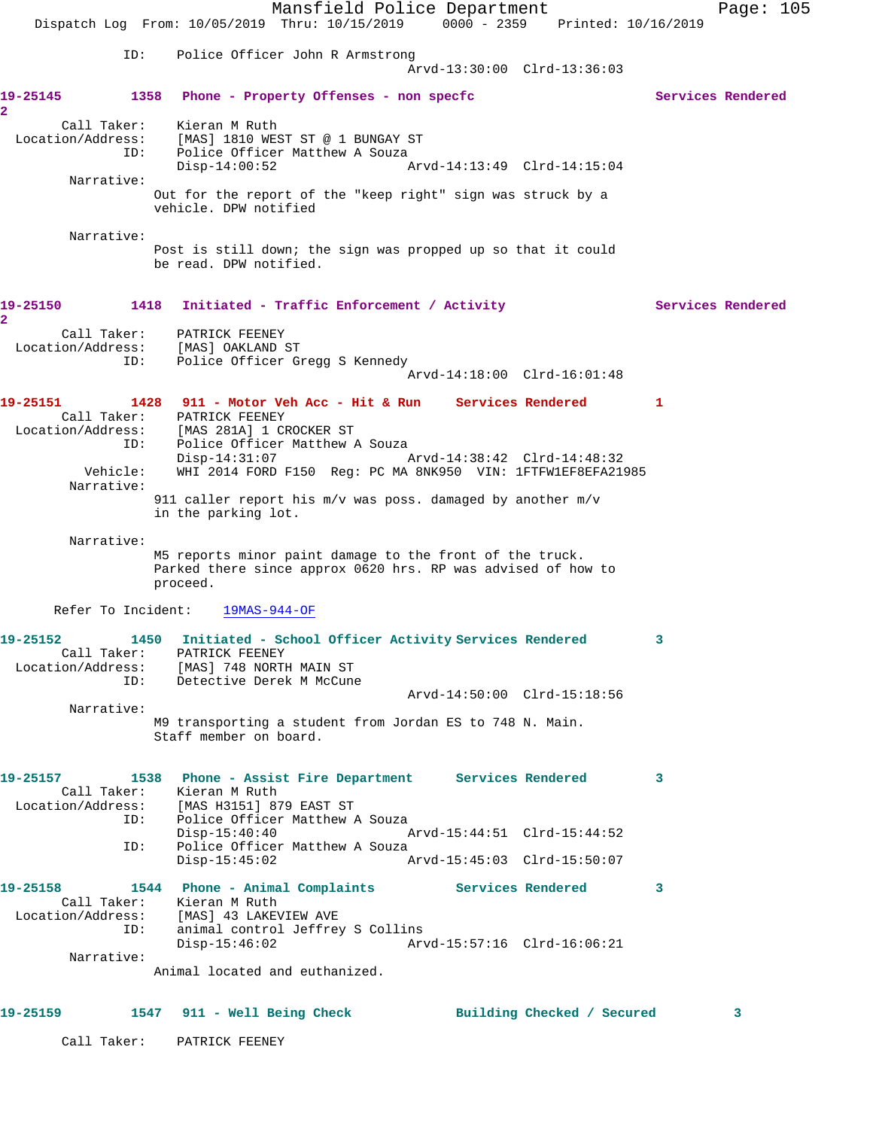Mansfield Police Department Page: 105 Dispatch Log From: 10/05/2019 Thru: 10/15/2019 0000 - 2359 Printed: 10/16/2019 ID: Police Officer John R Armstrong Arvd-13:30:00 Clrd-13:36:03 **19-25145 1358 Phone - Property Offenses - non specfc Services Rendered 2**  Call Taker: Kieran M Ruth Location/Address: [MAS] 1810 WEST ST @ 1 BUNGAY ST ID: Police Officer Matthew A Souza Disp-14:00:52 Arvd-14:13:49 Clrd-14:15:04 Narrative: Out for the report of the "keep right" sign was struck by a vehicle. DPW notified Narrative: Post is still down; the sign was propped up so that it could be read. DPW notified. 19-25150 1418 Initiated - Traffic Enforcement / Activity **Services Rendered 2**  Call Taker: PATRICK FEENEY Location/Address: [MAS] OAKLAND ST ID: Police Officer Gregg S Kennedy Arvd-14:18:00 Clrd-16:01:48 **19-25151 1428 911 - Motor Veh Acc - Hit & Run Services Rendered 1**  Call Taker: PATRICK FEENEY Location/Address: [MAS 281A] 1 CROCKER ST ID: Police Officer Matthew A Souza Disp-14:31:07 Arvd-14:38:42 Clrd-14:48:32 Vehicle: WHI 2014 FORD F150 Reg: PC MA 8NK950 VIN: 1FTFW1EF8EFA21985 Narrative: 911 caller report his m/v was poss. damaged by another m/v in the parking lot. Narrative: M5 reports minor paint damage to the front of the truck. Parked there since approx 0620 hrs. RP was advised of how to proceed. Refer To Incident: 19MAS-944-OF **19-25152 1450 Initiated - School Officer Activity Services Rendered 3**  Call Taker: PATRICK FEENEY Location/Address: [MAS] 748 NORTH MAIN ST ID: Detective Derek M McCune Arvd-14:50:00 Clrd-15:18:56 Narrative: M9 transporting a student from Jordan ES to 748 N. Main. Staff member on board. **19-25157 1538 Phone - Assist Fire Department Services Rendered 3**  Call Taker: Kieran M Ruth Location/Address: [MAS H3151] 879 EAST ST ID: Police Officer Matthew A Souza Disp-15:40:40 Arvd-15:44:51 Clrd-15:44:52 ID: Police Officer Matthew A Souza Disp-15:45:02 Arvd-15:45:03 Clrd-15:50:07 **19-25158 1544 Phone - Animal Complaints Services Rendered 3**  Call Taker: Kieran M Ruth Location/Address: [MAS] 43 LAKEVIEW AVE ID: animal control Jeffrey S Collins Disp-15:46:02 Arvd-15:57:16 Clrd-16:06:21 Narrative: Animal located and euthanized. **19-25159 1547 911 - Well Being Check Building Checked / Secured 3** Call Taker: PATRICK FEENEY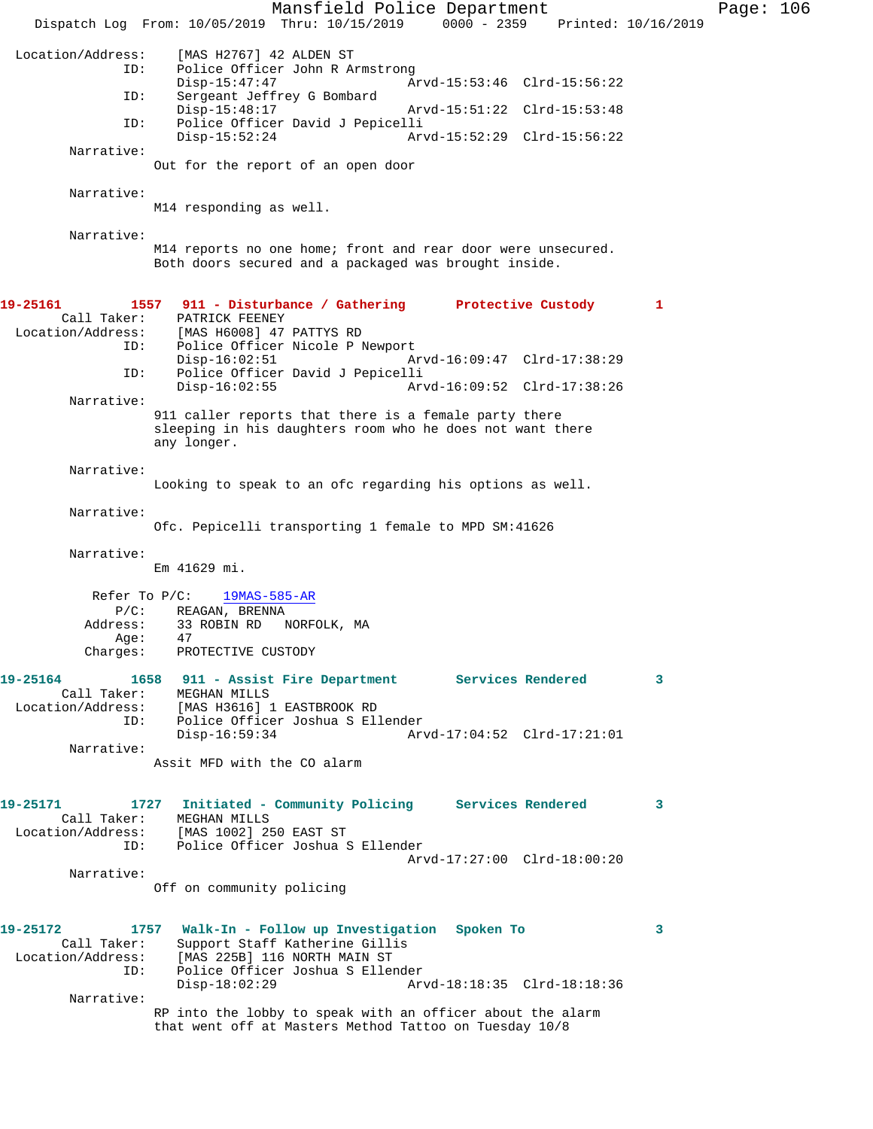Mansfield Police Department Page: 106 Dispatch Log From: 10/05/2019 Thru: 10/15/2019 0000 - 2359 Printed: 10/16/2019 Location/Address: [MAS H2767] 42 ALDEN ST Police Officer John R Armstrong<br>Disp-15:47:47 Ar Arvd-15:53:46 Clrd-15:56:22 ID: Sergeant Jeffrey G Bombard Arvd-15:51:22 Clrd-15:53:48 ID: Police Officer David J Pepicelli Disp-15:52:24 Arvd-15:52:29 Clrd-15:56:22 Narrative: Out for the report of an open door Narrative: M14 responding as well. Narrative: M14 reports no one home; front and rear door were unsecured. Both doors secured and a packaged was brought inside. **19-25161 1557 911 - Disturbance / Gathering Protective Custody 1**  Call Taker: PATRICK FEENEY Location/Address: [MAS H6008] 47 PATTYS RD ID: Police Officer Nicole P Newport Disp-16:02:51 Arvd-16:09:47 Clrd-17:38:29<br>TD: Police Officer David J Pepicelli Police Officer David J Pepicelli<br>Disp-16:02:55 Ar Disp-16:02:55 Arvd-16:09:52 Clrd-17:38:26 Narrative: 911 caller reports that there is a female party there sleeping in his daughters room who he does not want there any longer. Narrative: Looking to speak to an ofc regarding his options as well. Narrative: Ofc. Pepicelli transporting 1 female to MPD SM:41626 Narrative: Em 41629 mi. Refer To P/C: 19MAS-585-AR P/C: REAGAN, BRENNA<br>Address: 33 ROBIN RD N 33 ROBIN RD NORFOLK, MA<br>47 Age: Charges: PROTECTIVE CUSTODY **19-25164 1658 911 - Assist Fire Department Services Rendered 3**  Call Taker: MEGHAN MILLS Location/Address: [MAS H3616] 1 EASTBROOK RD<br>ID: Police Officer Joshua S El ID: Police Officer Joshua S Ellender Disp-16:59:34 Arvd-17:04:52 Clrd-17:21:01 Narrative: Assit MFD with the CO alarm **19-25171 1727 Initiated - Community Policing Services Rendered 3**  Call Taker: MEGHAN MILLS Location/Address: [MAS 1002] 250 EAST ST ID: Police Officer Joshua S Ellender Arvd-17:27:00 Clrd-18:00:20 Narrative: Off on community policing **19-25172 1757 Walk-In - Follow up Investigation Spoken To 3**  Call Taker: Support Staff Katherine Gillis<br>Location/Address: [MAS 225B] 116 NORTH MAIN ST ess: [MAS 225B] 116 NORTH MAIN ST<br>ID: Police Officer Joshua S Eller Police Officer Joshua S Ellender<br>Disp-18:02:29 Ar Disp-18:02:29 Arvd-18:18:35 Clrd-18:18:36 Narrative: RP into the lobby to speak with an officer about the alarm that went off at Masters Method Tattoo on Tuesday 10/8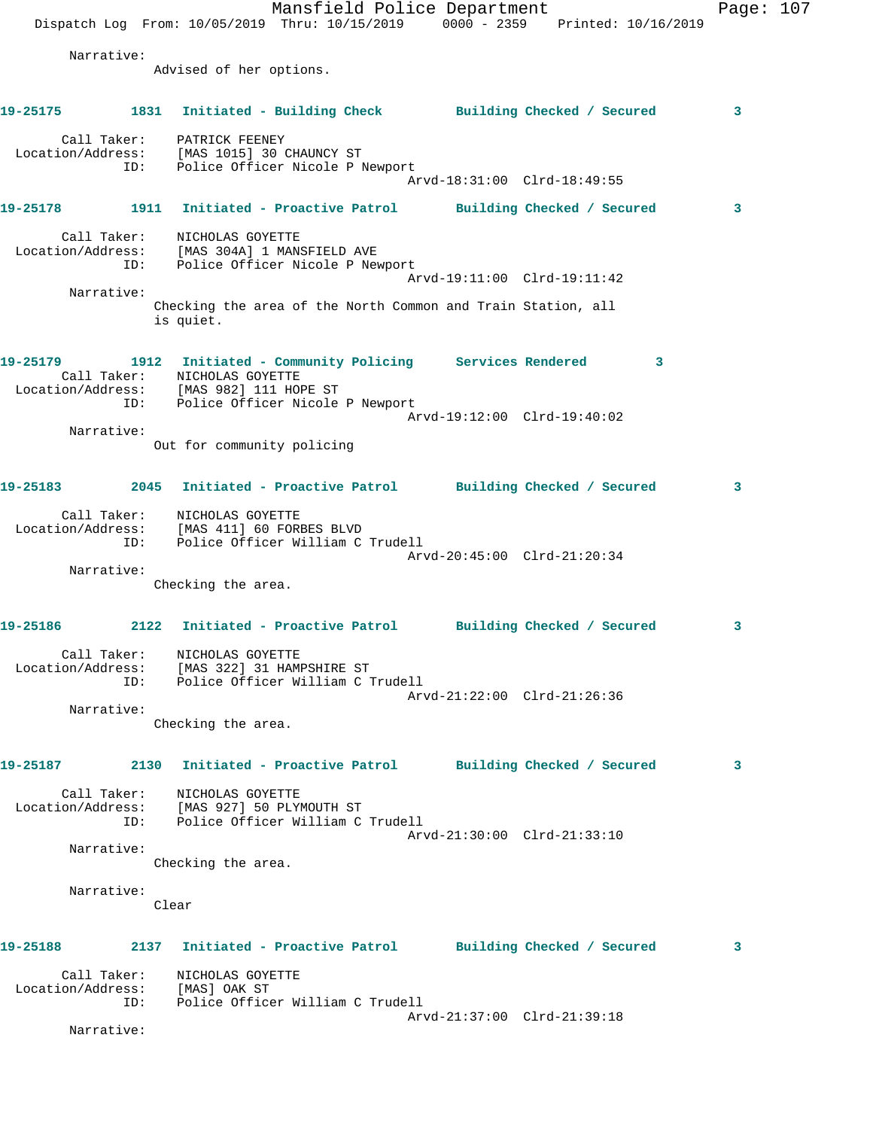|                                                                       |     | Dispatch Log From: 10/05/2019 Thru: 10/15/2019 0000 - 2359 Printed: 10/16/2019                                                   |  | Mansfield Police Department |   | Page: 107 |  |
|-----------------------------------------------------------------------|-----|----------------------------------------------------------------------------------------------------------------------------------|--|-----------------------------|---|-----------|--|
| Narrative:                                                            |     | Advised of her options.                                                                                                          |  |                             |   |           |  |
| 19-25175 1831 Initiated - Building Check Building Checked / Secured   |     |                                                                                                                                  |  |                             |   | 3         |  |
|                                                                       |     | Call Taker: PATRICK FEENEY<br>Location/Address: [MAS 1015] 30 CHAUNCY ST<br>ID: Police Officer Nicole P Newport                  |  | Arvd-18:31:00 Clrd-18:49:55 |   |           |  |
| 19-25178                                                              |     | 1911 Initiated - Proactive Patrol Building Checked / Secured                                                                     |  |                             |   | 3         |  |
|                                                                       |     | Call Taker: NICHOLAS GOYETTE<br>Location/Address: [MAS 304A] 1 MANSFIELD AVE<br>ID: Police Officer Nicole P Newport              |  | Arvd-19:11:00 Clrd-19:11:42 |   |           |  |
| Narrative:                                                            |     | Checking the area of the North Common and Train Station, all<br>is quiet.                                                        |  |                             |   |           |  |
| 19-25179                                                              |     | 1912 Initiated - Community Policing Services Rendered<br>Call Taker: NICHOLAS GOYETTE<br>Location/Address: [MAS 982] 111 HOPE ST |  |                             | 3 |           |  |
|                                                                       |     | ID: Police Officer Nicole P Newport                                                                                              |  | Arvd-19:12:00 Clrd-19:40:02 |   |           |  |
| Narrative:                                                            |     | Out for community policing                                                                                                       |  |                             |   |           |  |
| 19-25183 2045 Initiated - Proactive Patrol Building Checked / Secured |     |                                                                                                                                  |  |                             |   | 3         |  |
|                                                                       | ID: | Call Taker: NICHOLAS GOYETTE<br>Location/Address: [MAS 411] 60 FORBES BLVD<br>Police Officer William C Trudell                   |  |                             |   |           |  |
| Narrative:                                                            |     | Checking the area.                                                                                                               |  | Arvd-20:45:00 Clrd-21:20:34 |   |           |  |
| 19-25186                                                              |     | 2122 Initiated - Proactive Patrol Building Checked / Secured                                                                     |  |                             |   | 3         |  |
|                                                                       |     | Call Taker: NICHOLAS GOYETTE<br>Location/Address: [MAS 322] 31 HAMPSHIRE ST<br>ID: Police Officer William C Trudell              |  | Arvd-21:22:00 Clrd-21:26:36 |   |           |  |
| Narrative:                                                            |     | Checking the area.                                                                                                               |  |                             |   |           |  |
| 19-25187                                                              |     | 2130 Initiated - Proactive Patrol Building Checked / Secured                                                                     |  |                             |   | 3         |  |
|                                                                       |     | Call Taker: NICHOLAS GOYETTE<br>Location/Address: [MAS 927] 50 PLYMOUTH ST<br>ID: Police Officer William C Trudell               |  | Arvd-21:30:00 Clrd-21:33:10 |   |           |  |
| Narrative:                                                            |     | Checking the area.                                                                                                               |  |                             |   |           |  |
| Narrative:                                                            |     | Clear                                                                                                                            |  |                             |   |           |  |
| 19-25188                                                              |     | 2137 Initiated - Proactive Patrol Building Checked / Secured                                                                     |  |                             |   | 3         |  |
|                                                                       |     | Call Taker: NICHOLAS GOYETTE<br>Location/Address: [MAS] OAK ST<br>ID: Police Officer William C Trudell                           |  |                             |   |           |  |
| Narrative:                                                            |     |                                                                                                                                  |  | Arvd-21:37:00 Clrd-21:39:18 |   |           |  |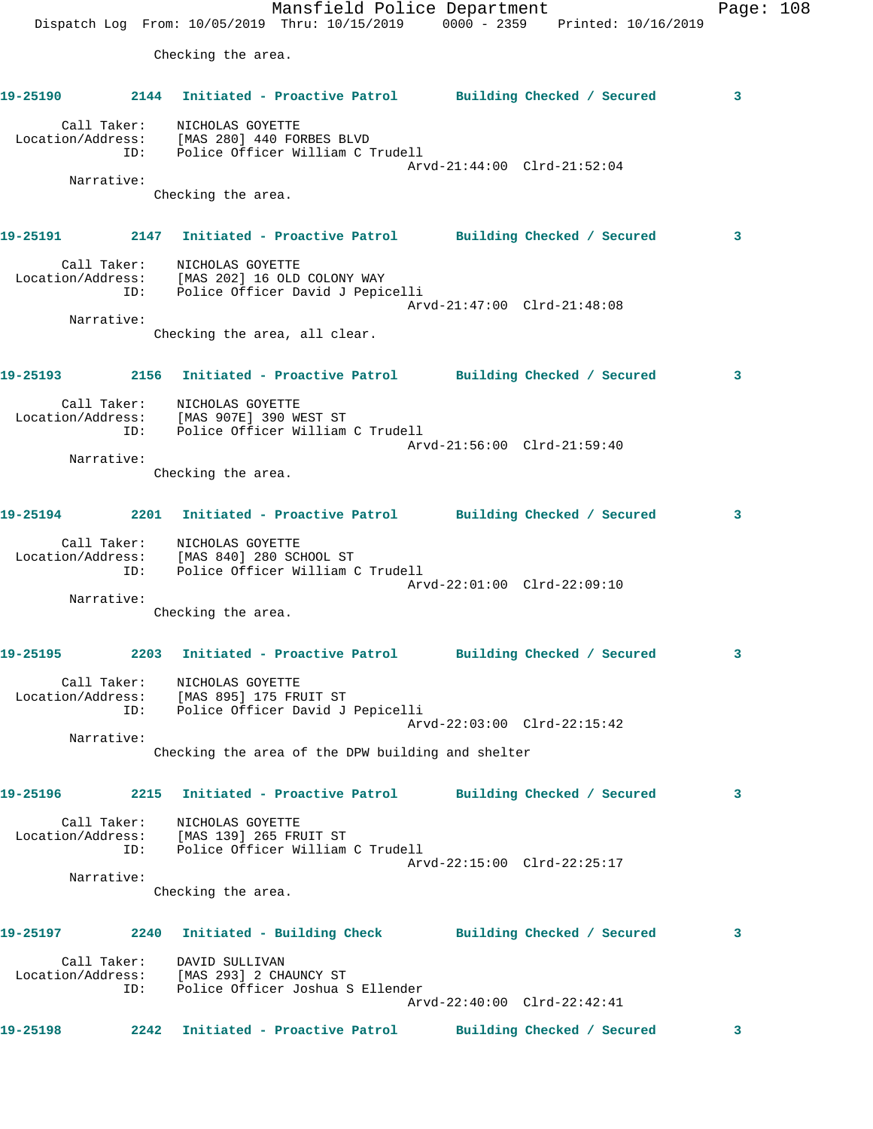Mansfield Police Department Fage: 108 Dispatch Log From: 10/05/2019 Thru: 10/15/2019 0000 - 2359 Printed: 10/16/2019 Checking the area. **19-25190 2144 Initiated - Proactive Patrol Building Checked / Secured 3** Call Taker: NICHOLAS GOYETTE Location/Address: [MAS 280] 440 FORBES BLVD ID: Police Officer William C Trudell Arvd-21:44:00 Clrd-21:52:04 Narrative: Checking the area. **19-25191 2147 Initiated - Proactive Patrol Building Checked / Secured 3** Call Taker: NICHOLAS GOYETTE Location/Address: [MAS 202] 16 OLD COLONY WAY ID: Police Officer David J Pepicelli Arvd-21:47:00 Clrd-21:48:08 Narrative: Checking the area, all clear. **19-25193 2156 Initiated - Proactive Patrol Building Checked / Secured 3** Call Taker: NICHOLAS GOYETTE Location/Address: [MAS 907E] 390 WEST ST ID: Police Officer William C Trudell Arvd-21:56:00 Clrd-21:59:40 Narrative: Checking the area. **19-25194 2201 Initiated - Proactive Patrol Building Checked / Secured 3** Call Taker: NICHOLAS GOYETTE Location/Address: [MAS 840] 280 SCHOOL ST ID: Police Officer William C Trudell Arvd-22:01:00 Clrd-22:09:10 Narrative: Checking the area. **19-25195 2203 Initiated - Proactive Patrol Building Checked / Secured 3** Call Taker: NICHOLAS GOYETTE Location/Address: [MAS 895] 175 FRUIT ST ID: Police Officer David J Pepicelli Arvd-22:03:00 Clrd-22:15:42 Narrative: Checking the area of the DPW building and shelter **19-25196 2215 Initiated - Proactive Patrol Building Checked / Secured 3** Call Taker: NICHOLAS GOYETTE Location/Address: [MAS 139] 265 FRUIT ST ID: Police Officer William C Trudell Arvd-22:15:00 Clrd-22:25:17 Narrative: Checking the area. **19-25197 2240 Initiated - Building Check Building Checked / Secured 3** Call Taker: DAVID SULLIVAN Location/Address: [MAS 293] 2 CHAUNCY ST ID: Police Officer Joshua S Ellender Arvd-22:40:00 Clrd-22:42:41 **19-25198 2242 Initiated - Proactive Patrol Building Checked / Secured 3**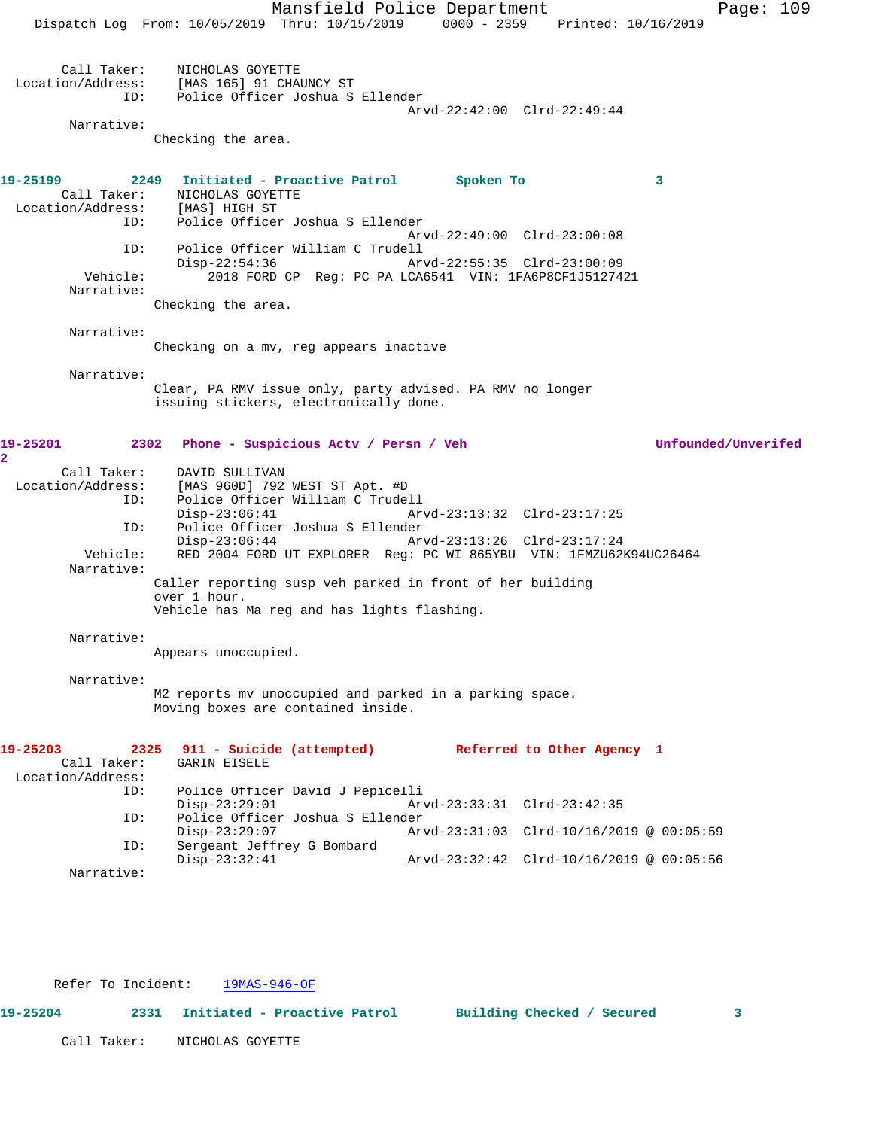Mansfield Police Department Page: 109 Dispatch Log From: 10/05/2019 Thru: 10/15/2019 0000 - 2359 Printed: 10/16/2019 Call Taker: NICHOLAS GOYETTE Location/Address: [MAS 165] 91 CHAUNCY ST ID: Police Officer Joshua S Ellender Arvd-22:42:00 Clrd-22:49:44 Narrative: Checking the area. **19-25199 2249 Initiated - Proactive Patrol Spoken To 3**  Call Taker: NICHOLAS GOYETTE Location/Address: [MAS] HIGH ST ID: Police Officer Joshua S Ellender Arvd-22:49:00 Clrd-23:00:08 ID: Police Officer William C Trudell Disp-22:54:36 Arvd-22:55:35 Clrd-23:00:09 Vehicle: 2018 FORD CP Reg: PC PA LCA6541 VIN: 1FA6P8CF1J5127421 Narrative: Checking the area. Narrative: Checking on a mv, reg appears inactive Narrative: Clear, PA RMV issue only, party advised. PA RMV no longer issuing stickers, electronically done. **19-25201 2302 Phone - Suspicious Actv / Persn / Veh Unfounded/Unverifed** Call Taker: DAVID SULLIVAN Location/Address: [MAS 960D] 792 WEST ST Apt. #D ID: Police Officer William C Trudell Disp-23:06:41 Arvd-23:13:32 Clrd-23:17:25<br>ID: Police Officer Joshua S Ellender Police Officer Joshua S Ellender<br>Disp-23:06:44 Ar Disp-23:06:44 Arvd-23:13:26 Clrd-23:17:24 Vehicle: RED 2004 FORD UT EXPLORER Reg: PC WI 865YBU VIN: 1FMZU62K94UC26464 Narrative: Caller reporting susp veh parked in front of her building over 1 hour. Vehicle has Ma reg and has lights flashing. Narrative: Appears unoccupied. Narrative: M2 reports mv unoccupied and parked in a parking space. Moving boxes are contained inside. **19-25203 2325 911 - Suicide (attempted) Referred to Other Agency 1**  Call Taker: GARIN EISELE Location/Address: Police Officer David J Pepicelli Disp-23:29:01 Arvd-23:33:31 Clrd-23:42:35 ID: Police Officer Joshua S Ellender Disp-23:29:07 Arvd-23:31:03 Clrd-10/16/2019 @ 00:05:59<br>ID: Sergeant Jeffrey G Bombard Sergeant Jeffrey G Bombard<br>Disp-23:32:41 Disp-23:32:41 Arvd-23:32:42 Clrd-10/16/2019 @ 00:05:56 Narrative:

Refer To Incident: 19MAS-946-OF

**2** 

Call Taker: NICHOLAS GOYETTE

**19-25204 2331 Initiated - Proactive Patrol Building Checked / Secured 3**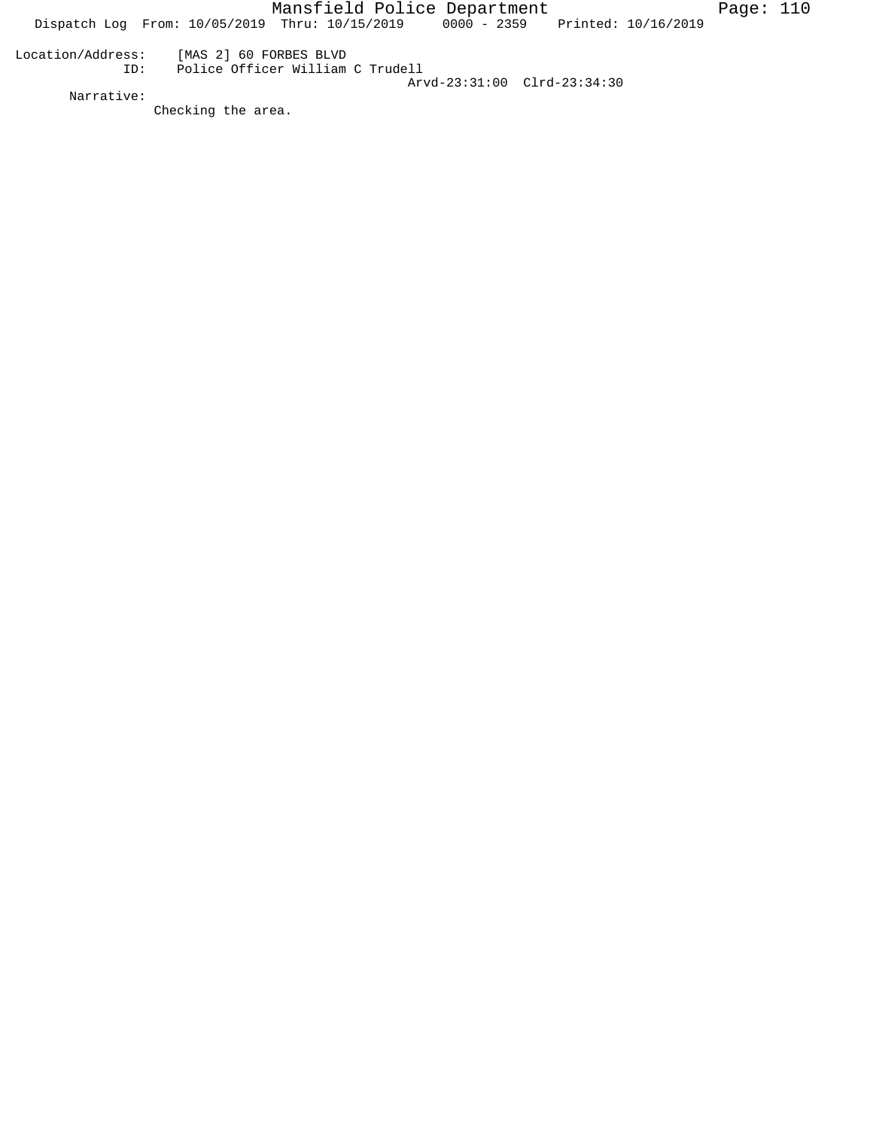Mansfield Police Department Fage: 110 Dispatch Log From:  $10/05/2019$  Thru:  $10/15/2019$  0000 - 2359 Printed:  $10/16/2019$  Location/Address: [MAS 2] 60 FORBES BLVD ID: Police Officer William C Trudell Arvd-23:31:00 Clrd-23:34:30

Checking the area.

Narrative: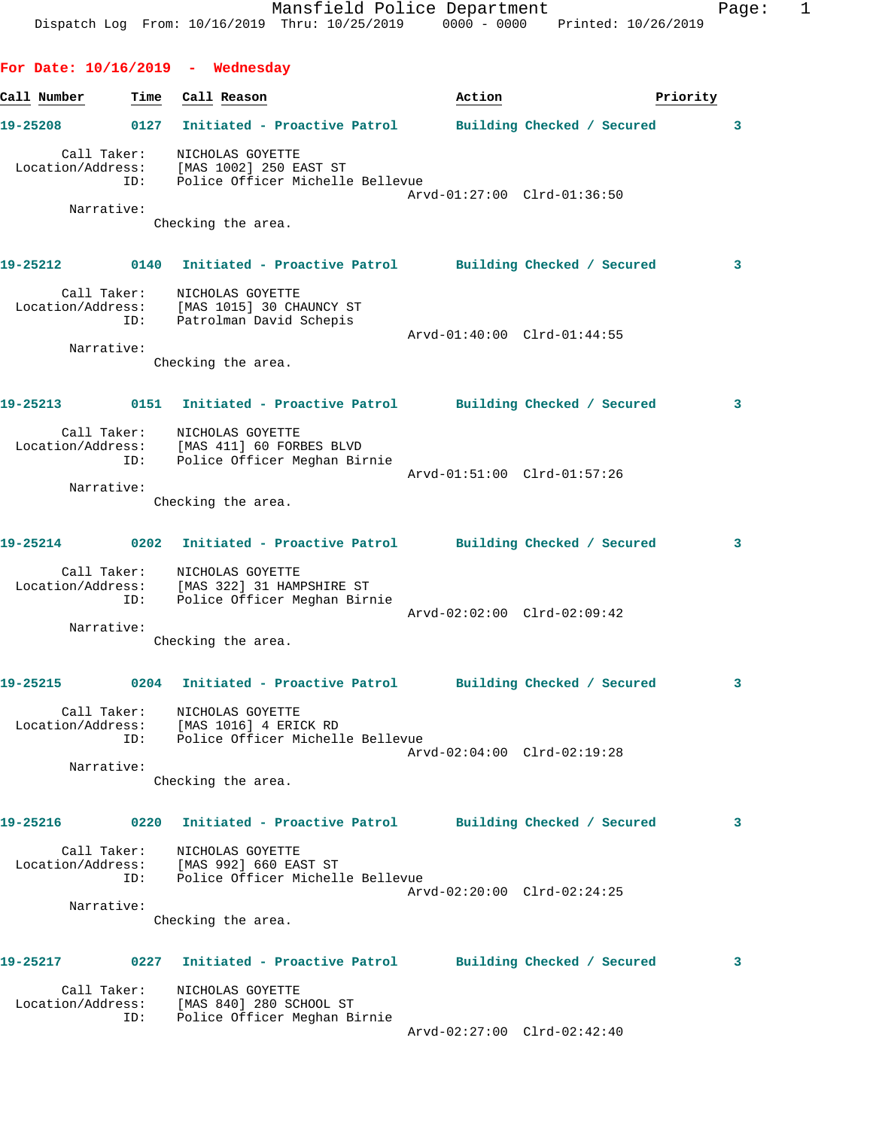| Call Number | Time               | Call Reason                                                                                                     | Action                      | Priority                   |  |
|-------------|--------------------|-----------------------------------------------------------------------------------------------------------------|-----------------------------|----------------------------|--|
|             |                    | 19-25208 0127 Initiated - Proactive Patrol                                                                      |                             | Building Checked / Secured |  |
|             | Call Taker:        | NICHOLAS GOYETTE<br>Location/Address: [MAS 1002] 250 EAST ST<br>ID: Police Officer Michelle Bellevue            | Arvd-01:27:00 Clrd-01:36:50 |                            |  |
|             | Narrative:         |                                                                                                                 |                             |                            |  |
|             |                    | Checking the area.                                                                                              |                             |                            |  |
|             |                    | 19-25212 0140 Initiated - Proactive Patrol Building Checked / Secured                                           |                             |                            |  |
|             | Call Taker:        | NICHOLAS GOYETTE<br>Location/Address: [MAS 1015] 30 CHAUNCY ST<br>ID: Patrolman David Schepis                   |                             |                            |  |
|             | Narrative:         | Checking the area.                                                                                              | Arvd-01:40:00 Clrd-01:44:55 |                            |  |
|             |                    | 19-25213 0151 Initiated - Proactive Patrol Building Checked / Secured                                           |                             |                            |  |
|             |                    | Call Taker: NICHOLAS GOYETTE<br>Location/Address: [MAS 411] 60 FORBES BLVD<br>ID: Police Officer Meghan Birnie  | Arvd-01:51:00 Clrd-01:57:26 |                            |  |
|             | Narrative:         |                                                                                                                 |                             |                            |  |
|             |                    | Checking the area.                                                                                              |                             |                            |  |
|             |                    | 19-25214 0202 Initiated - Proactive Patrol Building Checked / Secured                                           |                             |                            |  |
|             |                    | Call Taker: NICHOLAS GOYETTE<br>Location/Address: [MAS 322] 31 HAMPSHIRE ST<br>ID: Police Officer Meghan Birnie | Arvd-02:02:00 Clrd-02:09:42 |                            |  |
|             | Narrative:         | Checking the area.                                                                                              |                             |                            |  |
|             |                    |                                                                                                                 |                             |                            |  |
| 19-25215    |                    | 0204 Initiated - Proactive Patrol Building Checked / Secured                                                    |                             |                            |  |
|             | Call Taker:<br>ID: | NICHOLAS GOYETTE<br>Location/Address: [MAS 1016] 4 ERICK RD<br>Police Officer Michelle Bellevue                 | Arvd-02:04:00 Clrd-02:19:28 |                            |  |
|             | Narrative:         |                                                                                                                 |                             |                            |  |
|             |                    | Checking the area.                                                                                              |                             |                            |  |
| 19-25216    |                    | 0220 Initiated - Proactive Patrol Building Checked / Secured                                                    |                             |                            |  |
|             |                    | Call Taker: NICHOLAS GOYETTE<br>Location/Address: [MAS 992] 660 EAST ST<br>ID: Police Officer Michelle Bellevue | Arvd-02:20:00 Clrd-02:24:25 |                            |  |
|             | Narrative:         |                                                                                                                 |                             |                            |  |
|             |                    | Checking the area.                                                                                              |                             |                            |  |
|             |                    | 19-25217 		 0227 Initiated - Proactive Patrol 		 Building Checked / Secured                                     |                             |                            |  |
|             | ID:                | Call Taker: NICHOLAS GOYETTE<br>Location/Address: [MAS 840] 280 SCHOOL ST<br>Police Officer Meghan Birnie       |                             |                            |  |
|             |                    |                                                                                                                 | Arvd-02:27:00 Clrd-02:42:40 |                            |  |

Mansfield Police Department Fage: 1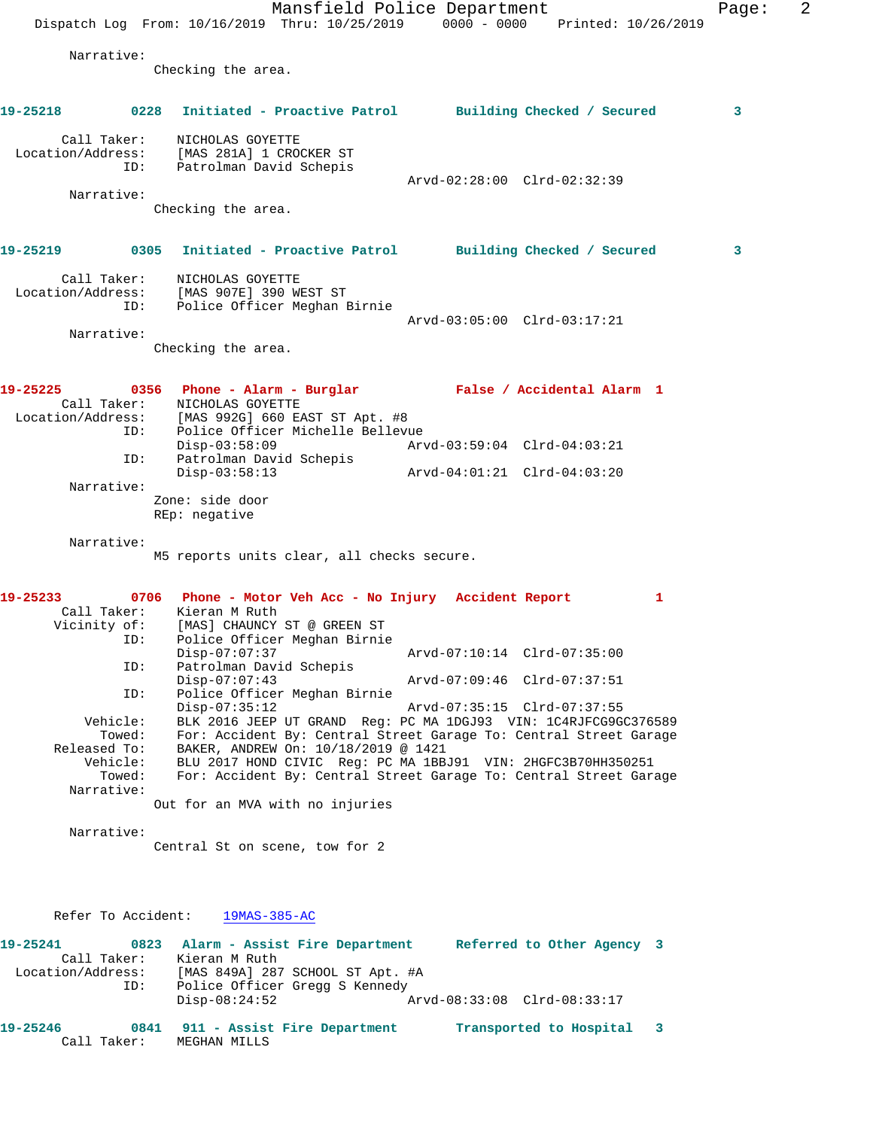Mansfield Police Department Fage: 2 Dispatch Log From: 10/16/2019 Thru: 10/25/2019 0000 - 0000 Printed: 10/26/2019 Narrative: Checking the area. **19-25218 0228 Initiated - Proactive Patrol Building Checked / Secured 3** Call Taker: NICHOLAS GOYETTE Location/Address: [MAS 281A] 1 CROCKER ST ID: Patrolman David Schepis Arvd-02:28:00 Clrd-02:32:39 Narrative: Checking the area. **19-25219 0305 Initiated - Proactive Patrol Building Checked / Secured 3** Call Taker: NICHOLAS GOYETTE Location/Address: [MAS 907E] 390 WEST ST ID: Police Officer Meghan Birnie Arvd-03:05:00 Clrd-03:17:21 Narrative: Checking the area. **19-25225 0356 Phone - Alarm - Burglar False / Accidental Alarm 1**  Call Taker: NICHOLAS GOYETTE Location/Address: [MAS 992G] 660 EAST ST Apt. #8 ID: Police Officer Michelle Bellevue<br>Disp-03:58:09 Mrvd-03:59:04 Clrd-04:03:21 Disp-03:58:09 Arvd-03:59:04 Clrd-04:03:21 ID: Patrolman David Schepis Disp-03:58:13 Arvd-04:01:21 Clrd-04:03:20 Narrative: Zone: side door REp: negative Narrative: M5 reports units clear, all checks secure. **19-25233 0706 Phone - Motor Veh Acc - No Injury Accident Report 1**  Call Taker: Kieran M Ruth Vicinity of: [MAS] CHAUNCY ST @ GREEN ST ID: Police Officer Meghan Birnie MAS] CHAUNCY SI W SIND ...<br>Police Officer Meghan Birnie<br>Arvd-07:10:14 Clrd-07:35:00 ID: Patrolman David Schepis<br>Disp-07:07:43 Disp-07:07:43 Arvd-07:09:46 Clrd-07:37:51 ID: Police Officer Meghan Birnie Disp-07:35:12 Arvd-07:35:15 Clrd-07:37:55 Vehicle: BLK 2016 JEEP UT GRAND Reg: PC MA 1DGJ93 VIN: 1C4RJFCG9GC376589 Towed: For: Accident By: Central Street Garage To: Central Street Garage Released To: BAKER, ANDREW On: 10/18/2019 @ 1421 Vehicle: BLU 2017 HOND CIVIC Reg: PC MA 1BBJ91 VIN: 2HGFC3B70HH350251 Towed: For: Accident By: Central Street Garage To: Central Street Garage Narrative: Out for an MVA with no injuries Narrative: Central St on scene, tow for 2 Refer To Accident: 19MAS-385-AC **19-25241 0823 Alarm - Assist Fire Department Referred to Other Agency 3**  Call Taker: Kieran M Ruth Location/Address: [MAS 849A] 287 SCHOOL ST Apt. #A ID: Police Officer Gregg S Kennedy Disp-08:24:52 Arvd-08:33:08 Clrd-08:33:17 **19-25246 0841 911 - Assist Fire Department Transported to Hospital 3**  Call Taker: MEGHAN MILLS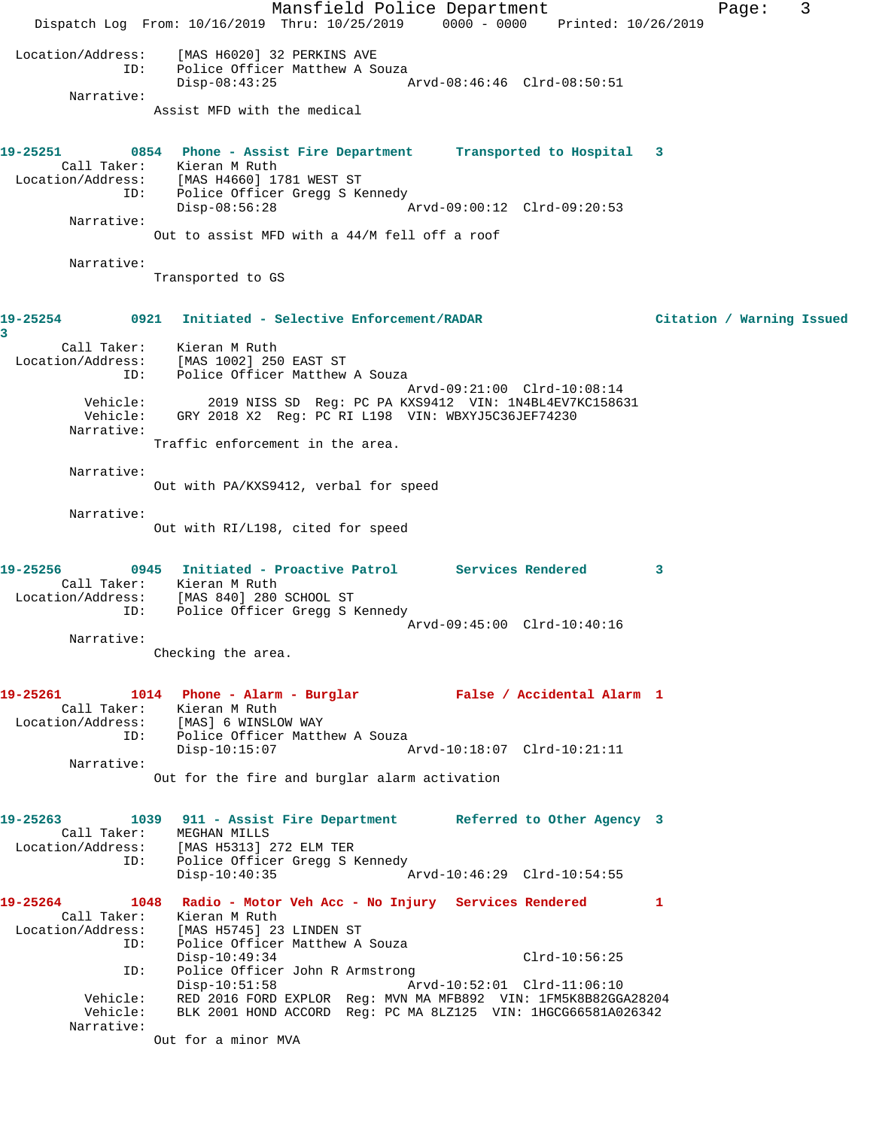Mansfield Police Department Fage: 3 Dispatch Log From: 10/16/2019 Thru: 10/25/2019 0000 - 0000 Printed: 10/26/2019 Location/Address: [MAS H6020] 32 PERKINS AVE ID: Police Officer Matthew A Souza Disp-08:43:25 Arvd-08:46:46 Clrd-08:50:51 Narrative: Assist MFD with the medical **19-25251 0854 Phone - Assist Fire Department Transported to Hospital 3**  Call Taker: Kieran M Ruth Location/Address: [MAS H4660] 1781 WEST ST ID: Police Officer Gregg S Kennedy Disp-08:56:28 Arvd-09:00:12 Clrd-09:20:53 Narrative: Out to assist MFD with a 44/M fell off a roof Narrative: Transported to GS **19-25254 0921 Initiated - Selective Enforcement/RADAR Citation / Warning Issued 3**  Call Taker: Kieran M Ruth Location/Address: [MAS 1002] 250 EAST ST ID: Police Officer Matthew A Souza Arvd-09:21:00 Clrd-10:08:14 Vehicle: 2019 NISS SD Reg: PC PA KXS9412 VIN: 1N4BL4EV7KC158631 Vehicle: GRY 2018 X2 Reg: PC RI L198 VIN: WBXYJ5C36JEF74230 Narrative: Traffic enforcement in the area. Narrative: Out with PA/KXS9412, verbal for speed Narrative: Out with RI/L198, cited for speed **19-25256 0945 Initiated - Proactive Patrol Services Rendered 3**  Call Taker: Kieran M Ruth Location/Address: [MAS 840] 280 SCHOOL ST ID: Police Officer Gregg S Kennedy Arvd-09:45:00 Clrd-10:40:16 Narrative: Checking the area. **19-25261 1014 Phone - Alarm - Burglar False / Accidental Alarm 1**  Call Taker: Kieran M Ruth Location/Address: [MAS] 6 WINSLOW WAY ID: Police Officer Matthew A Souza Disp-10:15:07 Arvd-10:18:07 Clrd-10:21:11 Narrative: Out for the fire and burglar alarm activation **19-25263 1039 911 - Assist Fire Department Referred to Other Agency 3**  Call Taker: MEGHAN MILLS Location/Address: [MAS H5313] 272 ELM TER ID: Police Officer Gregg S Kennedy<br>Disp-10:40:35 Disp-10:40:35 Arvd-10:46:29 Clrd-10:54:55 **19-25264 1048 Radio - Motor Veh Acc - No Injury Services Rendered 1**  Call Taker: Kieran M Ruth Location/Address: [MAS H5745] 23 LINDEN ST ID: Police Officer Matthew A Souza Disp-10:49:34 Clrd-10:56:25 ID: Police Officer John R Armstrong<br>Disp-10:51:58 Arvd-10:52:01 Clrd-11:06:10 Disp-10:51:58 Arvd-10:52:01 Clrd-11:06:10 Vehicle: RED 2016 FORD EXPLOR Reg: MVN MA MFB892 VIN: 1FM5K8B82GGA28204 Vehicle: BLK 2001 HOND ACCORD Reg: PC MA 8LZ125 VIN: 1HGCG66581A026342 Narrative: Out for a minor MVA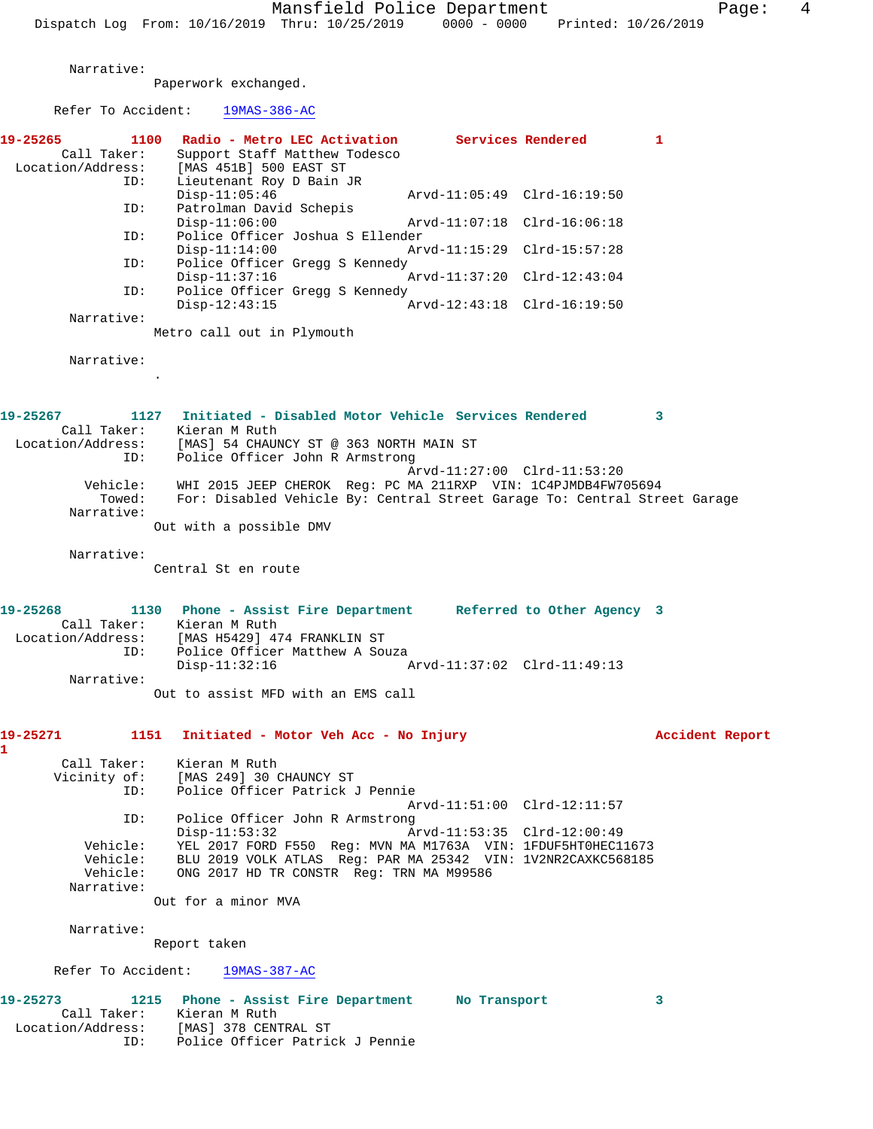Narrative:

Paperwork exchanged.

| Refer To Accident: | $19MAS-386-AC$                                                                               |                 |
|--------------------|----------------------------------------------------------------------------------------------|-----------------|
| 19-25265           | Services Rendered<br>1100<br>Radio - Metro LEC Activation                                    | 1               |
| Call Taker:        | Support Staff Matthew Todesco                                                                |                 |
| Location/Address:  | [MAS 451B] 500 EAST ST                                                                       |                 |
| ID:                | Lieutenant Roy D Bain JR                                                                     |                 |
|                    | $Disp-11:05:46$<br>Arvd-11:05:49 Clrd-16:19:50                                               |                 |
| ID:                | Patrolman David Schepis                                                                      |                 |
|                    | $Disp-11:06:00$<br>Arvd-11:07:18 Clrd-16:06:18                                               |                 |
| ID:                | Police Officer Joshua S Ellender                                                             |                 |
|                    | Arvd-11:15:29 Clrd-15:57:28<br>$Disp-11:14:00$                                               |                 |
| ID:                | Police Officer Gregg S Kennedy                                                               |                 |
|                    | Arvd-11:37:20 Clrd-12:43:04<br>$Disp-11:37:16$                                               |                 |
| ID:                | Police Officer Gregg S Kennedy                                                               |                 |
|                    | $Disp-12:43:15$<br>Arvd-12:43:18 Clrd-16:19:50                                               |                 |
| Narrative:         |                                                                                              |                 |
|                    | Metro call out in Plymouth                                                                   |                 |
|                    |                                                                                              |                 |
| Narrative:         |                                                                                              |                 |
|                    |                                                                                              |                 |
|                    |                                                                                              |                 |
|                    |                                                                                              |                 |
| 19-25267           | 1127 Initiated - Disabled Motor Vehicle Services Rendered                                    | 3               |
| Call Taker:        | Kieran M Ruth                                                                                |                 |
| Location/Address:  | [MAS] 54 CHAUNCY ST @ 363 NORTH MAIN ST                                                      |                 |
| ID:                | Police Officer John R Armstrong                                                              |                 |
| Vehicle:           | Arvd-11:27:00 Clrd-11:53:20<br>WHI 2015 JEEP CHEROK Req: PC MA 211RXP VIN: 1C4PJMDB4FW705694 |                 |
| Towed:             |                                                                                              |                 |
| Narrative:         | For: Disabled Vehicle By: Central Street Garage To: Central Street Garage                    |                 |
|                    |                                                                                              |                 |
|                    | Out with a possible DMV                                                                      |                 |
| Narrative:         |                                                                                              |                 |
|                    | Central St en route                                                                          |                 |
|                    |                                                                                              |                 |
|                    |                                                                                              |                 |
| 19-25268           | 1130 Phone - Assist Fire Department Referred to Other Agency 3                               |                 |
|                    | Call Taker: Kieran M Ruth                                                                    |                 |
| Location/Address:  | [MAS H5429] 474 FRANKLIN ST                                                                  |                 |
| ID:                | Police Officer Matthew A Souza                                                               |                 |
|                    | Arvd-11:37:02 Clrd-11:49:13<br>$Disp-11:32:16$                                               |                 |
| Narrative:         |                                                                                              |                 |
|                    | Out to assist MFD with an EMS call                                                           |                 |
|                    |                                                                                              |                 |
| 19-25271           | 1151                                                                                         |                 |
| 1                  | Initiated - Motor Veh Acc - No Injury                                                        | Accident Report |
|                    |                                                                                              |                 |
| Call Taker:        | Kieran M Ruth                                                                                |                 |
| Vicinity of:       | [MAS 249] 30 CHAUNCY ST<br>Police Officer Patrick J Pennie                                   |                 |
| ID:                |                                                                                              |                 |
|                    | Arvd-11:51:00 Clrd-12:11:57                                                                  |                 |
| ID:                | Police Officer John R Armstrong                                                              |                 |
|                    | $Disp-11:53:32$<br>Arvd-11:53:35 Clrd-12:00:49                                               |                 |
| Vehicle:           | YEL 2017 FORD F550 Req: MVN MA M1763A VIN: 1FDUF5HT0HEC11673                                 |                 |
| Vehicle:           | BLU 2019 VOLK ATLAS Req: PAR MA 25342 VIN: 1V2NR2CAXKC568185                                 |                 |
| Vehicle:           | ONG 2017 HD TR CONSTR Req: TRN MA M99586                                                     |                 |
| Narrative:         |                                                                                              |                 |
|                    | Out for a minor MVA                                                                          |                 |
|                    |                                                                                              |                 |

Narrative:

Report taken

Refer To Accident: 19MAS-387-AC

| 19-25273<br>1215  | Phone - Assist Fire Department  | No Transport |  |
|-------------------|---------------------------------|--------------|--|
| Call Taker:       | Kieran M Ruth                   |              |  |
| Location/Address: | [MAS] 378 CENTRAL ST            |              |  |
| ID:               | Police Officer Patrick J Pennie |              |  |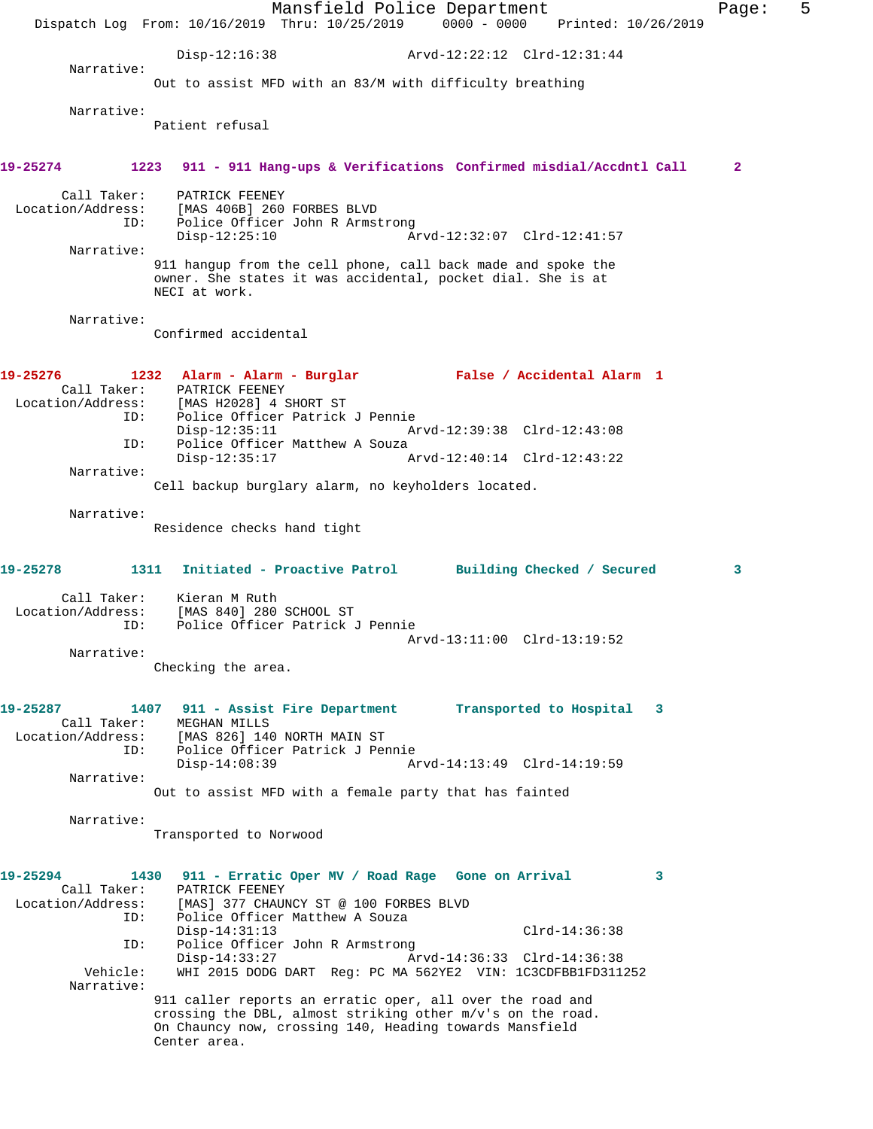Mansfield Police Department Fage: 5 Dispatch Log From: 10/16/2019 Thru: 10/25/2019 0000 - 0000 Printed: 10/26/2019 Disp-12:16:38 Arvd-12:22:12 Clrd-12:31:44 Narrative: Out to assist MFD with an 83/M with difficulty breathing Narrative: Patient refusal **19-25274 1223 911 - 911 Hang-ups & Verifications Confirmed misdial/Accdntl Call 2** Call Taker: PATRICK FEENEY Location/Address: [MAS 406B] 260 FORBES BLVD<br>ID: Police Officer John R Armst Police Officer John R Armstrong<br>Disp-12:25:10 Ar Disp-12:25:10 Arvd-12:32:07 Clrd-12:41:57 Narrative: 911 hangup from the cell phone, call back made and spoke the owner. She states it was accidental, pocket dial. She is at NECI at work. Narrative: Confirmed accidental **19-25276 1232 Alarm - Alarm - Burglar False / Accidental Alarm 1**  Call Taker: PATRICK FEENEY Location/Address: [MAS H2028] 4 SHORT ST ID: Police Officer Patrick J Pennie Disp-12:35:11 Arvd-12:39:38 Clrd-12:43:08 ID: Police Officer Matthew A Souza Disp-12:35:17 Arvd-12:40:14 Clrd-12:43:22 Narrative: Cell backup burglary alarm, no keyholders located. Narrative: Residence checks hand tight **19-25278 1311 Initiated - Proactive Patrol Building Checked / Secured 3** Call Taker: Kieran M Ruth Location/Address: [MAS 840] 280 SCHOOL ST ID: Police Officer Patrick J Pennie Arvd-13:11:00 Clrd-13:19:52 Narrative: Checking the area. **19-25287 1407 911 - Assist Fire Department Transported to Hospital 3**  Call Taker: MEGHAN MILLS<br>Location/Address: [MAS 826] 140 ess: [MAS 826] 140 NORTH MAIN ST<br>ID: Police Officer Patrick J Per ID: Police Officer Patrick J Pennie Disp-14:08:39 Arvd-14:13:49 Clrd-14:19:59 Narrative: Out to assist MFD with a female party that has fainted Narrative: Transported to Norwood **19-25294 1430 911 - Erratic Oper MV / Road Rage Gone on Arrival 3**  Call Taker: PATRICK FEENEY<br>Location/Address: [MAS] 377 CHAUI ess: [MAS] 377 CHAUNCY ST @ 100 FORBES BLVD<br>ID: Police Officer Matthew A Souza Police Officer Matthew A Souza Disp-14:31:13 Clrd-14:36:38 ID: Police Officer John R Armstrong Disp-14:33:27 <br>Vehicle: WHI 2015 DODG DART Req: PC MA 562YE2 VIN: 1C3CDFBB1FD3112 WHI 2015 DODG DART Reg: PC MA 562YE2 VIN: 1C3CDFBB1FD311252 Narrative: 911 caller reports an erratic oper, all over the road and crossing the DBL, almost striking other m/v's on the road. On Chauncy now, crossing 140, Heading towards Mansfield Center area.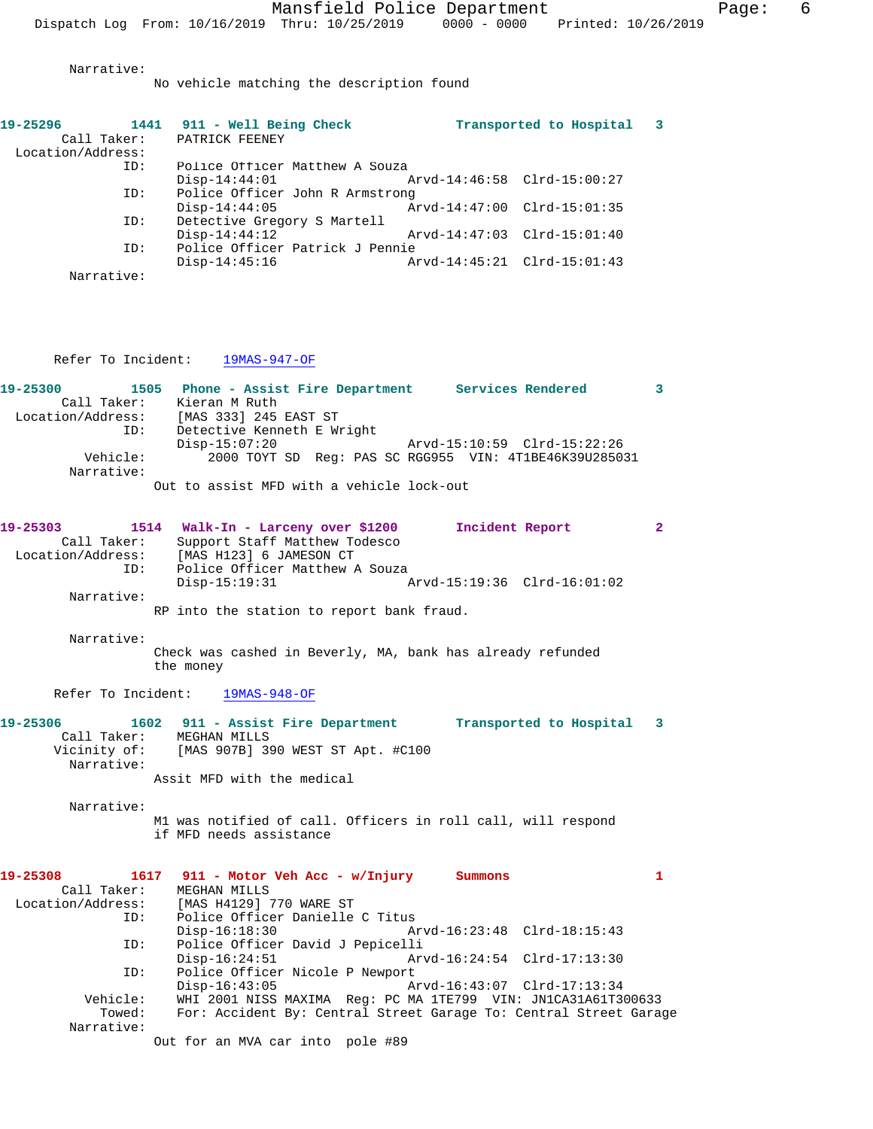No vehicle matching the description found

| 19-25296          |            | 1441 911 - Well Being Check     |                             | Transported to Hospital     |  |
|-------------------|------------|---------------------------------|-----------------------------|-----------------------------|--|
| Call Taker:       |            | PATRICK FEENEY                  |                             |                             |  |
| Location/Address: |            |                                 |                             |                             |  |
|                   | ID:        | Police Officer Matthew A Souza  |                             |                             |  |
|                   |            | $Disp-14:44:01$                 | Arvd-14:46:58 Clrd-15:00:27 |                             |  |
|                   | ID:        | Police Officer John R Armstrong |                             |                             |  |
|                   |            | $Disp-14:44:05$                 |                             | Arvd-14:47:00 Clrd-15:01:35 |  |
|                   | ID:        | Detective Gregory S Martell     |                             |                             |  |
|                   |            | $Disp-14:44:12$                 |                             | Arvd-14:47:03 Clrd-15:01:40 |  |
|                   | ID:        | Police Officer Patrick J Pennie |                             |                             |  |
|                   |            | $Disp-14:45:16$                 | Arvd-14:45:21 Clrd-15:01:43 |                             |  |
|                   | Narrative: |                                 |                             |                             |  |

Refer To Incident: 19MAS-947-OF

| 19-25300          |            | 1505 Phone - Assist Fire Department<br>Services Rendered |  |
|-------------------|------------|----------------------------------------------------------|--|
| Call Taker:       |            | Kieran M Ruth                                            |  |
| Location/Address: |            | [MAS 333] 245 EAST ST                                    |  |
|                   | ID:        | Detective Kenneth E Wright                               |  |
|                   |            | $Disp-15:07:20$<br>Arvd-15:10:59 Clrd-15:22:26           |  |
|                   | Vehicle:   | 2000 TOYT SD Reg: PAS SC RGG955 VIN: 4T1BE46K39U285031   |  |
|                   | Narrative: |                                                          |  |
|                   |            | Out to assist MFD with a vehicle lock-out                |  |

| 19-25303          |             | 1514 Walk-In - Larceny over \$1200 | Incident Report             |  |
|-------------------|-------------|------------------------------------|-----------------------------|--|
|                   | Call Taker: | Support Staff Matthew Todesco      |                             |  |
| Location/Address: |             | [MAS H123] 6 JAMESON CT            |                             |  |
|                   | ID:         | Police Officer Matthew A Souza     |                             |  |
|                   |             | Disp-15:19:31                      | Arvd-15:19:36 Clrd-16:01:02 |  |
|                   | Narrative:  |                                    |                             |  |

RP into the station to report bank fraud.

Narrative:

Check was cashed in Beverly, MA, bank has already refunded the money

Refer To Incident: 19MAS-948-OF

#### **19-25306 1602 911 - Assist Fire Department Transported to Hospital 3**  Call Taker: MEGHAN MILLS Vicinity of: [MAS 907B] 390 WEST ST Apt. #C100 Narrative: Assit MFD with the medical

Narrative:

M1 was notified of call. Officers in roll call, will respond if MFD needs assistance

| 19-25308          | 1617 911 - Motor Veh Acc - w/Injury                               | Summons |  |
|-------------------|-------------------------------------------------------------------|---------|--|
| Call Taker:       | MEGHAN MILLS                                                      |         |  |
| Location/Address: | [MAS H4129] 770 WARE ST                                           |         |  |
| ID:               | Police Officer Danielle C Titus                                   |         |  |
|                   | $Disp-16:18:30$                                                   |         |  |
| ID:               | Police Officer David J Pepicelli                                  |         |  |
|                   | $Disp-16:24:51$                                                   |         |  |
| ID:               | Police Officer Nicole P Newport                                   |         |  |
|                   | $Disp-16:43:05$                                                   |         |  |
| Vehicle:          | WHI 2001 NISS MAXIMA Req: PC MA 1TE799 VIN: JN1CA31A61T300633     |         |  |
| Towed:            | For: Accident By: Central Street Garage To: Central Street Garage |         |  |
| Narrative:        |                                                                   |         |  |
|                   |                                                                   |         |  |

Out for an MVA car into pole #89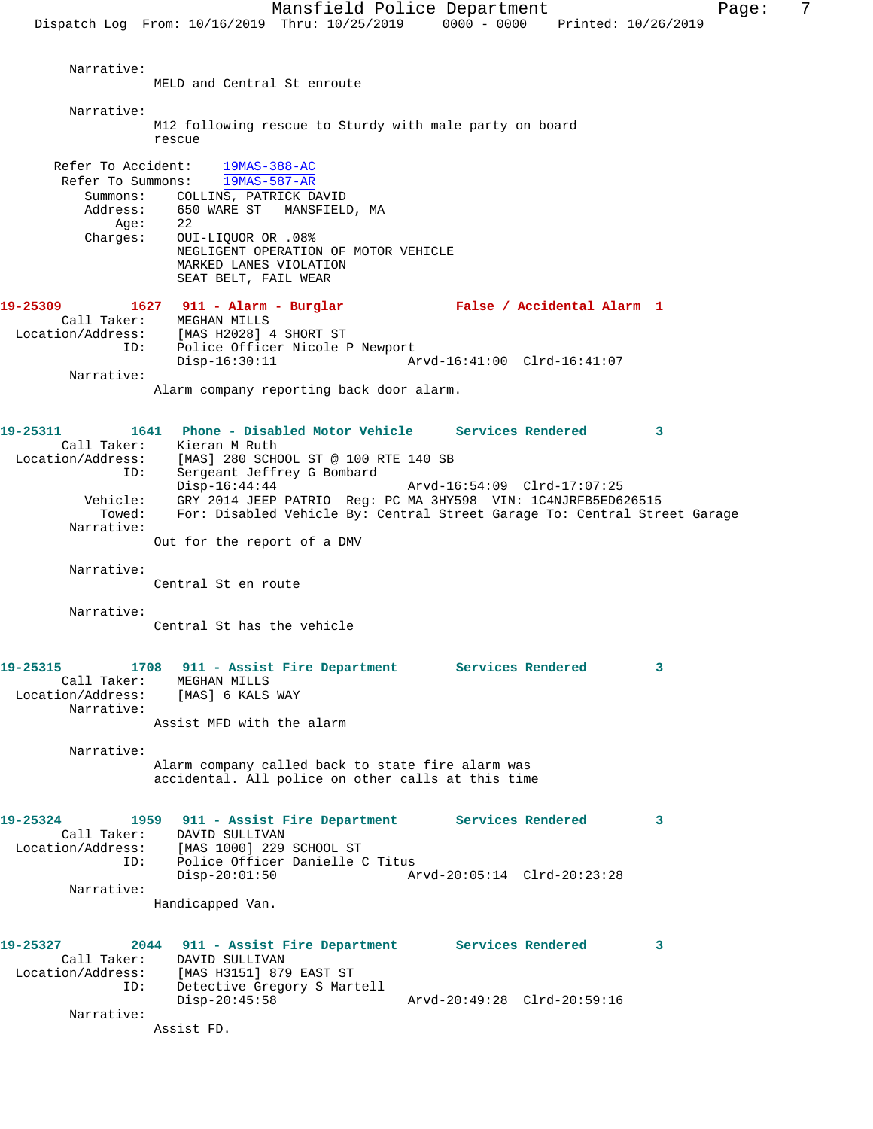Narrative: MELD and Central St enroute Narrative: M12 following rescue to Sturdy with male party on board rescue Refer To Accident: 19MAS-388-AC Refer To Summons: 19MAS-587-AR Summons: COLLINS, PATRICK DAVID<br>Address: 650 WARE ST MANSFIELD 650 WARE ST MANSFIELD, MA  $Aqe: 22$  Charges: OUI-LIQUOR OR .08% NEGLIGENT OPERATION OF MOTOR VEHICLE MARKED LANES VIOLATION SEAT BELT, FAIL WEAR **19-25309 1627 911 - Alarm - Burglar False / Accidental Alarm 1**  Call Taker: MEGHAN MILLS Location/Address: [MAS H2028] 4 SHORT ST ID: Police Officer Nicole P Newport<br>Disp-16:30:11 A Disp-16:30:11 Arvd-16:41:00 Clrd-16:41:07 Narrative: Alarm company reporting back door alarm. **19-25311 1641 Phone - Disabled Motor Vehicle Services Rendered 3**  Call Taker: Kieran M Ruth Location/Address: [MAS] 280 SCHOOL ST @ 100 RTE 140 SB ID: IMASJ 280 SCROUL SI WARD ID: Sergeant Jeffrey G Bombard<br>Disp-16:44:44 Disp-16:44:44 Arvd-16:54:09 Clrd-17:07:25 Vehicle: GRY 2014 JEEP PATRIO Reg: PC MA 3HY598 VIN: 1C4NJRFB5ED626515 Towed: For: Disabled Vehicle By: Central Street Garage To: Central Street Garage Narrative: Out for the report of a DMV Narrative: Central St en route Narrative: Central St has the vehicle **19-25315 1708 911 - Assist Fire Department Services Rendered 3**  Call Taker: MEGHAN MILLS Location/Address: [MAS] 6 KALS WAY Narrative: Assist MFD with the alarm Narrative: Alarm company called back to state fire alarm was accidental. All police on other calls at this time **19-25324 1959 911 - Assist Fire Department Services Rendered 3**  Call Taker: DAVID SULLIVAN Location/Address: [MAS 1000] 229 SCHOOL ST ID: Police Officer Danielle C Titus<br>Disp-20:01:50 A Arvd-20:05:14 Clrd-20:23:28 Narrative: Handicapped Van. **19-25327 2044 911 - Assist Fire Department Services Rendered 3**  Call Taker: DAVID SULLIVAN Location/Address: [MAS H3151] 879 EAST ST ID: Detective Gregory S Martell Disp-20:45:58 Arvd-20:49:28 Clrd-20:59:16 Narrative:

Assist FD.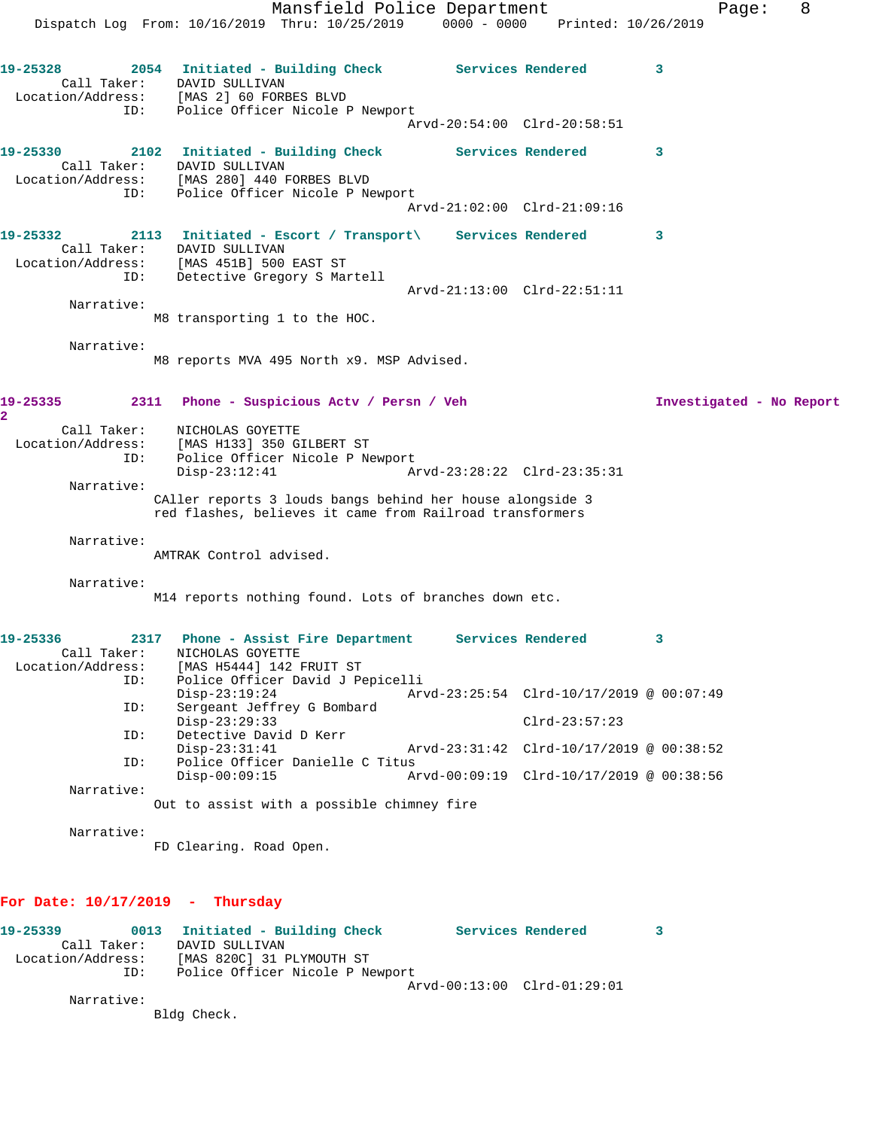Mansfield Police Department Form Page: 8 Dispatch Log From: 10/16/2019 Thru: 10/25/2019 0000 - 0000 Printed: 10/26/2019 **19-25328 2054 Initiated - Building Check Services Rendered 3**  Call Taker: DAVID SULLIVAN Location/Address: [MAS 2] 60 FORBES BLVD ID: Police Officer Nicole P Newport Arvd-20:54:00 Clrd-20:58:51 **19-25330 2102 Initiated - Building Check Services Rendered 3**  Call Taker: DAVID SULLIVAN Location/Address: [MAS 280] 440 FORBES BLVD ID: Police Officer Nicole P Newport Arvd-21:02:00 Clrd-21:09:16 **19-25332 2113 Initiated - Escort / Transport\ Services Rendered 3**  Call Taker: DAVID SULLIVAN Location/Address: [MAS 451B] 500 EAST ST ID: Detective Gregory S Martell Arvd-21:13:00 Clrd-22:51:11 Narrative: M8 transporting 1 to the HOC. Narrative: M8 reports MVA 495 North x9. MSP Advised. **19-25335 2311 Phone - Suspicious Actv / Persn / Veh Investigated - No Report 2**  Call Taker: NICHOLAS GOYETTE Location/Address: [MAS H133] 350 GILBERT ST ID: Police Officer Nicole P Newport Disp-23:12:41 Arvd-23:28:22 Clrd-23:35:31 Narrative: CAller reports 3 louds bangs behind her house alongside 3 red flashes, believes it came from Railroad transformers Narrative: AMTRAK Control advised. Narrative: M14 reports nothing found. Lots of branches down etc. **19-25336 2317 Phone - Assist Fire Department Services Rendered 3**  Call Taker: NICHOLAS GOYETTE Location/Address: [MAS H5444] 142 FRUIT ST ID: Police Officer David J Pepicelli Disp-23:19:24 Arvd-23:25:54 Clrd-10/17/2019 @ 00:07:49<br>ID: Sergeant Jeffrey G Bombard Sergeant Jeffrey G Bombard<br>Disp-23:29:33 Disp-23:29:33 Clrd-23:57:23 ID: Detective David D Kerr Disp-23:31:41 Arvd-23:31:42 Clrd-10/17/2019 @ 00:38:52 ID: Police Officer Danielle C Titus Disp-00:09:15 Arvd-00:09:19 Clrd-10/17/2019 @ 00:38:56 Narrative: Out to assist with a possible chimney fire Narrative: FD Clearing. Road Open.

#### **For Date: 10/17/2019 - Thursday**

| 19-25339          |             | 0013 Initiated - Building Check | Services Rendered           | 3 |
|-------------------|-------------|---------------------------------|-----------------------------|---|
|                   | Call Taker: | DAVID SULLIVAN                  |                             |   |
| Location/Address: |             | [MAS 820C] 31 PLYMOUTH ST       |                             |   |
|                   | ID:         | Police Officer Nicole P Newport |                             |   |
|                   |             |                                 | Arvd-00:13:00 Clrd-01:29:01 |   |
|                   |             |                                 |                             |   |

Narrative:

Bldg Check.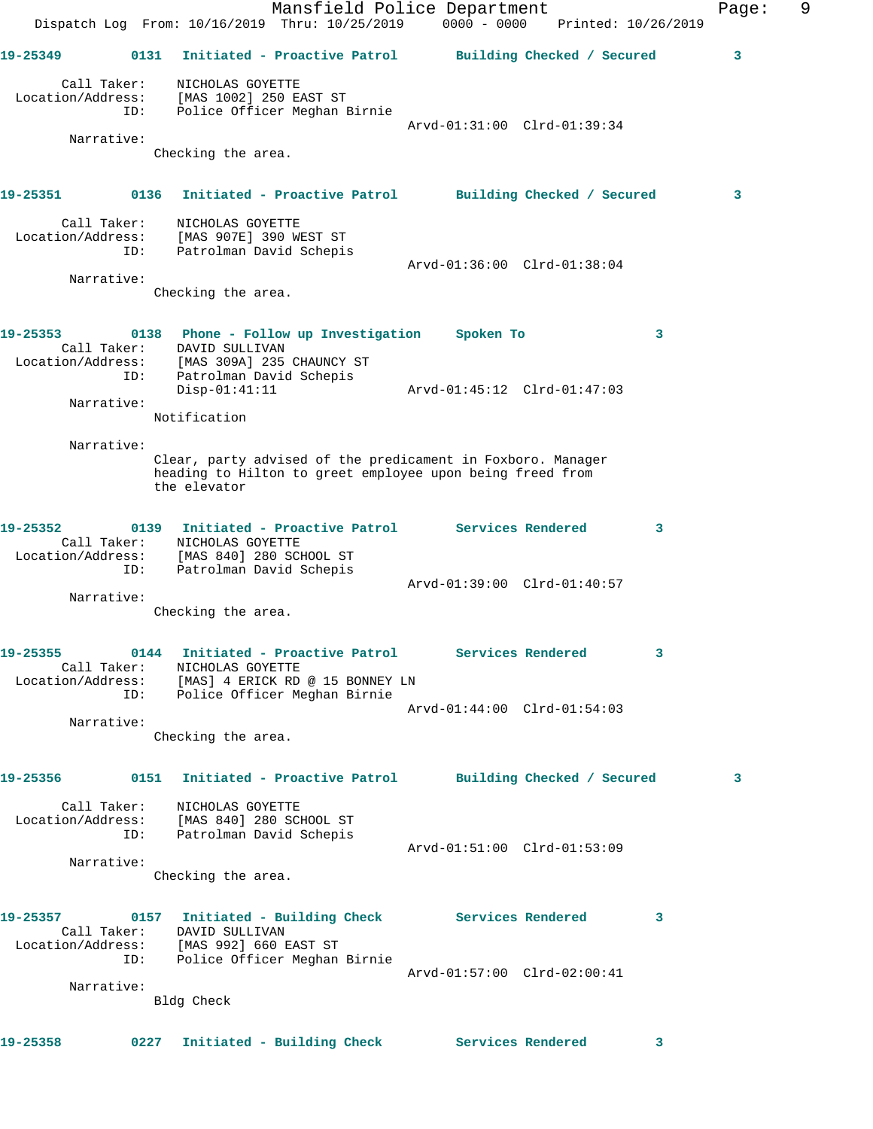|                   |      | Dispatch Log From: 10/16/2019 Thru: 10/25/2019                                                                                           | Mansfield Police Department<br>$0000 - 0000$ | Printed: 10/26/2019        | Page: | 9 |
|-------------------|------|------------------------------------------------------------------------------------------------------------------------------------------|----------------------------------------------|----------------------------|-------|---|
|                   |      |                                                                                                                                          |                                              |                            |       |   |
| 19-25349          | 0131 | Initiated - Proactive Patrol                                                                                                             |                                              | Building Checked / Secured | 3     |   |
| Call Taker:       |      | NICHOLAS GOYETTE                                                                                                                         |                                              |                            |       |   |
| Location/Address: | ID:  | [MAS 1002] 250 EAST ST<br>Police Officer Meghan Birnie                                                                                   |                                              |                            |       |   |
|                   |      |                                                                                                                                          | Arvd-01:31:00 Clrd-01:39:34                  |                            |       |   |
| Narrative:        |      | Checking the area.                                                                                                                       |                                              |                            |       |   |
| 19-25351          |      | 0136 Initiated - Proactive Patrol                                                                                                        |                                              | Building Checked / Secured | 3     |   |
| Call Taker:       |      | NICHOLAS GOYETTE                                                                                                                         |                                              |                            |       |   |
| Location/Address: |      | [MAS 907E] 390 WEST ST                                                                                                                   |                                              |                            |       |   |
|                   | ID:  | Patrolman David Schepis                                                                                                                  | Arvd-01:36:00 Clrd-01:38:04                  |                            |       |   |
| Narrative:        |      |                                                                                                                                          |                                              |                            |       |   |
|                   |      | Checking the area.                                                                                                                       |                                              |                            |       |   |
| 19-25353          |      | 0138 Phone - Follow up Investigation                                                                                                     | Spoken To                                    | 3                          |       |   |
| Call Taker:       |      | DAVID SULLIVAN                                                                                                                           |                                              |                            |       |   |
|                   | ID:  | Location/Address: [MAS 309A] 235 CHAUNCY ST                                                                                              |                                              |                            |       |   |
|                   |      | Patrolman David Schepis<br>$Disp-01:41:11$                                                                                               | Arvd-01:45:12 Clrd-01:47:03                  |                            |       |   |
| Narrative:        |      |                                                                                                                                          |                                              |                            |       |   |
|                   |      | Notification                                                                                                                             |                                              |                            |       |   |
| Narrative:        |      |                                                                                                                                          |                                              |                            |       |   |
|                   |      | Clear, party advised of the predicament in Foxboro. Manager<br>heading to Hilton to greet employee upon being freed from<br>the elevator |                                              |                            |       |   |
| 19-25352          |      | 0139 Initiated - Proactive Patrol Services Rendered                                                                                      |                                              | 3                          |       |   |
| Call Taker:       |      | NICHOLAS GOYETTE                                                                                                                         |                                              |                            |       |   |
|                   | ID:  | Location/Address: [MAS 840] 280 SCHOOL ST<br>Patrolman David Schepis                                                                     |                                              |                            |       |   |
|                   |      |                                                                                                                                          | Arvd-01:39:00 Clrd-01:40:57                  |                            |       |   |
| Narrative:        |      | Checking the area.                                                                                                                       |                                              |                            |       |   |
|                   |      |                                                                                                                                          |                                              |                            |       |   |
| 19-25355          |      | 0144 Initiated - Proactive Patrol Services Rendered                                                                                      |                                              | 3                          |       |   |
|                   |      | Call Taker: NICHOLAS GOYETTE<br>Location/Address: [MAS] 4 ERICK RD @ 15 BONNEY LN                                                        |                                              |                            |       |   |
|                   |      | ID: Police Officer Meghan Birnie                                                                                                         |                                              |                            |       |   |
|                   |      |                                                                                                                                          | Arvd-01:44:00 Clrd-01:54:03                  |                            |       |   |
| Narrative:        |      | Checking the area.                                                                                                                       |                                              |                            |       |   |
|                   |      |                                                                                                                                          |                                              |                            |       |   |
|                   |      | 19-25356 0151 Initiated - Proactive Patrol Building Checked / Secured                                                                    |                                              |                            | 3     |   |
|                   |      | Call Taker: NICHOLAS GOYETTE                                                                                                             |                                              |                            |       |   |
|                   |      | Location/Address: [MAS 840] 280 SCHOOL ST<br>ID: Patrolman David Schepis                                                                 |                                              |                            |       |   |
|                   |      |                                                                                                                                          | Arvd-01:51:00 Clrd-01:53:09                  |                            |       |   |
| Narrative:        |      |                                                                                                                                          |                                              |                            |       |   |
|                   |      | Checking the area.                                                                                                                       |                                              |                            |       |   |
|                   |      | 19-25357 0157 Initiated - Building Check Services Rendered                                                                               |                                              | 3                          |       |   |
|                   |      | Call Taker: DAVID SULLIVAN<br>Location/Address: [MAS 992] 660 EAST ST                                                                    |                                              |                            |       |   |
|                   |      | ID: Police Officer Meghan Birnie                                                                                                         |                                              |                            |       |   |
|                   |      |                                                                                                                                          | Arvd-01:57:00 Clrd-02:00:41                  |                            |       |   |
| Narrative:        |      | Bldg Check                                                                                                                               |                                              |                            |       |   |
|                   |      |                                                                                                                                          |                                              |                            |       |   |
| 19-25358          |      | 0227 Initiated - Building Check Services Rendered                                                                                        |                                              | 3                          |       |   |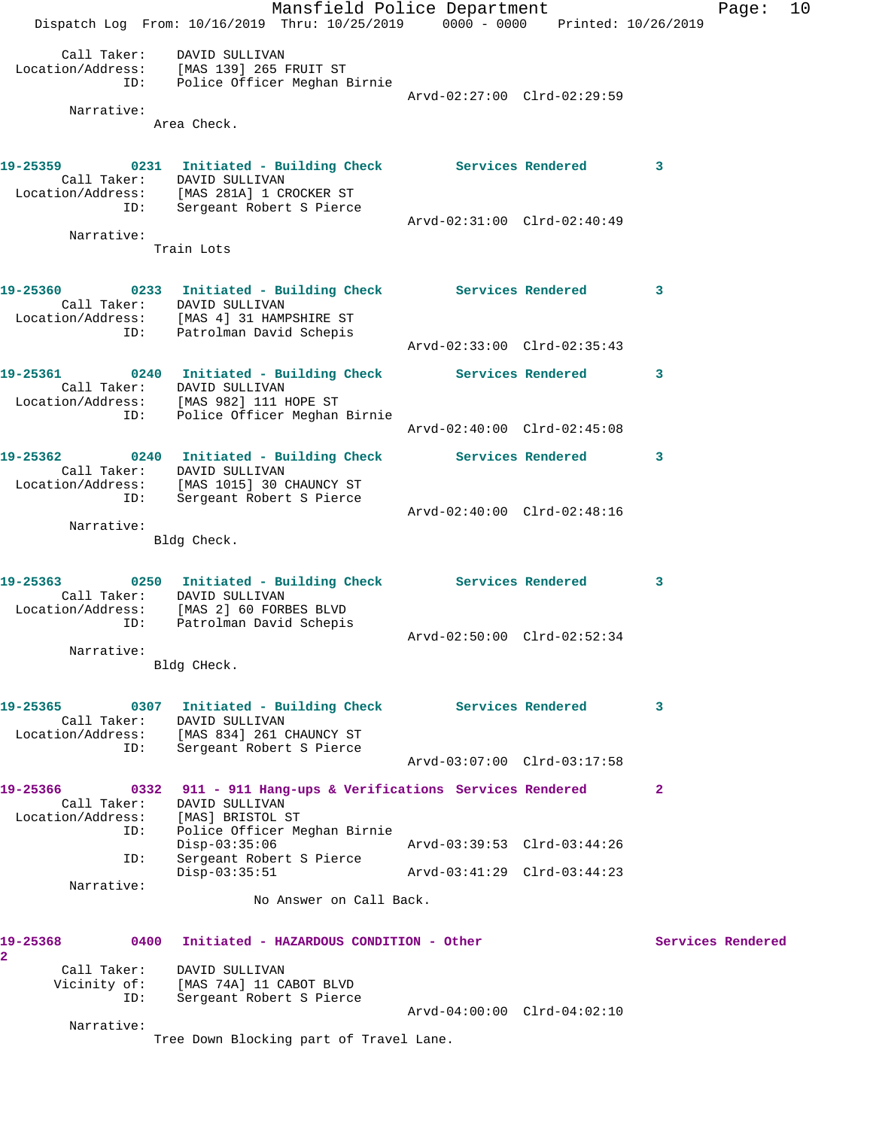|                                                      | Mansfield Police Department                                                                                                                                             |                             |              | Page:             | 10 |
|------------------------------------------------------|-------------------------------------------------------------------------------------------------------------------------------------------------------------------------|-----------------------------|--------------|-------------------|----|
|                                                      | Dispatch Log From: 10/16/2019 Thru: 10/25/2019 0000 - 0000 Printed: 10/26/2019                                                                                          |                             |              |                   |    |
|                                                      | Call Taker: DAVID SULLIVAN<br>Location/Address: [MAS 139] 265 FRUIT ST<br>ID: Police Officer Meghan Birnie                                                              |                             |              |                   |    |
|                                                      |                                                                                                                                                                         | Arvd-02:27:00 Clrd-02:29:59 |              |                   |    |
| Narrative:                                           | Area Check.                                                                                                                                                             |                             |              |                   |    |
|                                                      |                                                                                                                                                                         |                             |              |                   |    |
|                                                      | 19-25359 0231 Initiated - Building Check Services Rendered 3<br>Call Taker: DAVID SULLIVAN<br>Location/Address: [MAS 281A] 1 CROCKER ST<br>ID: Sergeant Robert S Pierce |                             |              |                   |    |
| Narrative:                                           |                                                                                                                                                                         | Arvd-02:31:00 Clrd-02:40:49 |              |                   |    |
|                                                      | Train Lots                                                                                                                                                              |                             |              |                   |    |
| 19-25360                                             | 0233 Initiated - Building Check Services Rendered 3<br>Call Taker: DAVID SULLIVAN<br>Location/Address: [MAS 4] 31 HAMPSHIRE ST<br>ID: Patrolman David Schepis           |                             |              |                   |    |
|                                                      |                                                                                                                                                                         | Arvd-02:33:00 Clrd-02:35:43 |              |                   |    |
| 19-25361                                             | 0240 Initiated - Building Check Services Rendered<br>Call Taker: DAVID SULLIVAN<br>Location/Address: [MAS 982] 111 HOPE ST                                              |                             | $\sim$ 3     |                   |    |
| ID:                                                  | Police Officer Meghan Birnie                                                                                                                                            | Arvd-02:40:00 Clrd-02:45:08 |              |                   |    |
| 19-25362                                             | 0240 Initiated - Building Check Services Rendered<br>Call Taker: DAVID SULLIVAN<br>Location/Address: [MAS 1015] 30 CHAUNCY ST                                           |                             | 3            |                   |    |
| ID:                                                  | Sergeant Robert S Pierce                                                                                                                                                | Arvd-02:40:00 Clrd-02:48:16 |              |                   |    |
| Narrative:                                           | Bldg Check.                                                                                                                                                             |                             |              |                   |    |
|                                                      |                                                                                                                                                                         |                             |              |                   |    |
| 19-25363<br>Call Taker:                              | 0250 Initiated - Building Check Services Rendered 3<br>DAVID SULLIVAN<br>Location/Address: [MAS 2] 60 FORBES BLVD<br>ID: Patrolman David Schepis                        |                             |              |                   |    |
| Narrative:                                           |                                                                                                                                                                         | Arvd-02:50:00 Clrd-02:52:34 |              |                   |    |
|                                                      | Bldg CHeck.                                                                                                                                                             |                             |              |                   |    |
| 19-25365<br>Call Taker:<br>Location/Address:         | 0307 Initiated - Building Check Services Rendered<br>DAVID SULLIVAN                                                                                                     |                             | 3            |                   |    |
| ID:                                                  | [MAS 834] 261 CHAUNCY ST<br>Sergeant Robert S Pierce                                                                                                                    | Arvd-03:07:00 Clrd-03:17:58 |              |                   |    |
|                                                      |                                                                                                                                                                         |                             |              |                   |    |
| 19-25366<br>0332<br>Call Taker:<br>Location/Address: | 911 - 911 Hang-ups & Verifications Services Rendered<br>DAVID SULLIVAN<br>[MAS] BRISTOL ST                                                                              |                             | $\mathbf{2}$ |                   |    |
| ID:                                                  | Police Officer Meghan Birnie<br>$Disp-03:35:06$                                                                                                                         | Arvd-03:39:53 Clrd-03:44:26 |              |                   |    |
| ID:                                                  | Sergeant Robert S Pierce<br>$Disp-03:35:51$                                                                                                                             | Arvd-03:41:29 Clrd-03:44:23 |              |                   |    |
| Narrative:                                           | No Answer on Call Back.                                                                                                                                                 |                             |              |                   |    |
| 19-25368<br>0400                                     | Initiated - HAZARDOUS CONDITION - Other                                                                                                                                 |                             |              | Services Rendered |    |
| $\overline{2}$<br>Call Taker:                        |                                                                                                                                                                         |                             |              |                   |    |
| Vicinity of:<br>ID:                                  | DAVID SULLIVAN<br>[MAS 74A] 11 CABOT BLVD<br>Sergeant Robert S Pierce                                                                                                   |                             |              |                   |    |
| Narrative:                                           |                                                                                                                                                                         | Arvd-04:00:00 Clrd-04:02:10 |              |                   |    |
|                                                      | Tree Down Blocking part of Travel Lane.                                                                                                                                 |                             |              |                   |    |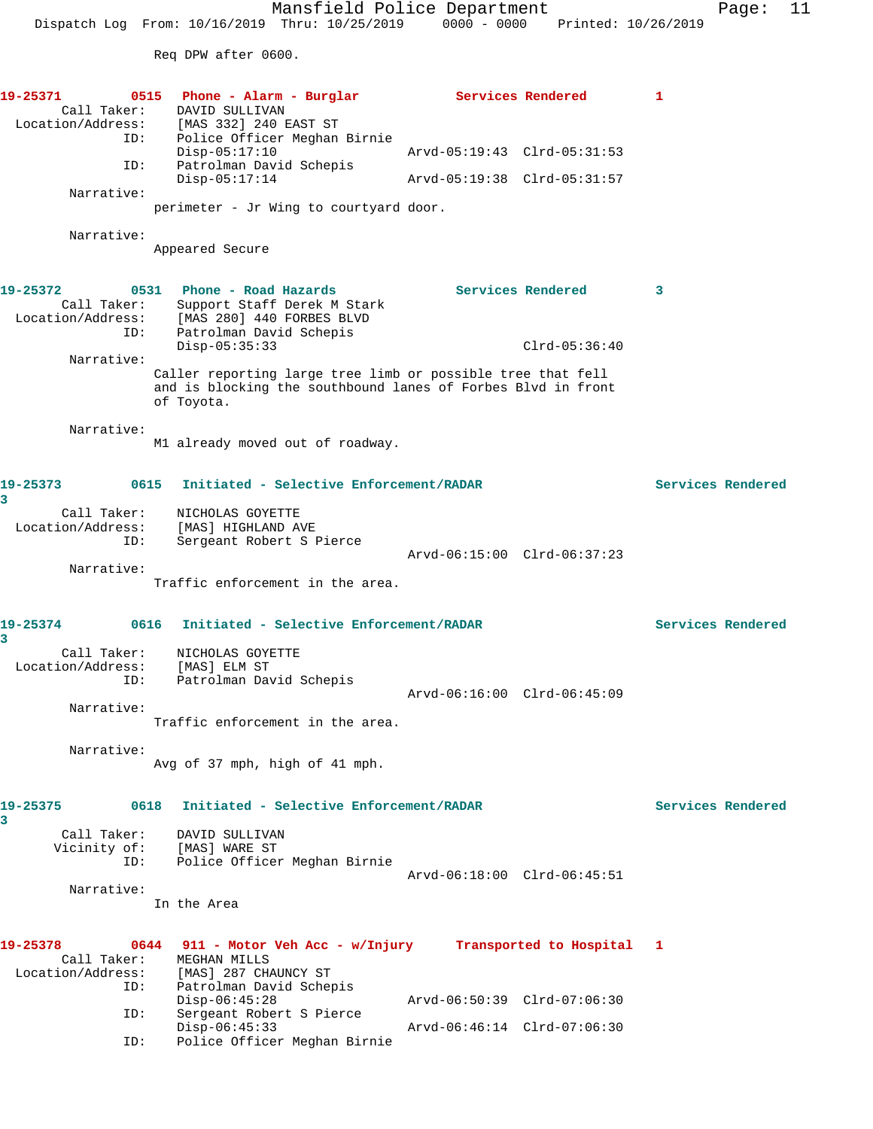Mansfield Police Department Fage: 11 Dispatch Log From: 10/16/2019 Thru: 10/25/2019 0000 - 0000 Printed: 10/26/2019 Req DPW after 0600. **19-25371 0515 Phone - Alarm - Burglar Services Rendered 1**  Call Taker: DAVID SULLIVAN Location/Address: [MAS 332] 240 EAST ST ID: Police Officer Meghan Birnie Disp-05:17:10 Arvd-05:19:43 Clrd-05:31:53 ID: Patrolman David Schepis Disp-05:17:14 Arvd-05:19:38 Clrd-05:31:57 Narrative: perimeter - Jr Wing to courtyard door. Narrative: Appeared Secure **19-25372 0531 Phone - Road Hazards Services Rendered 3**  Call Taker: Support Staff Derek M Stark Location/Address: [MAS 280] 440 FORBES BLVD ID: Patrolman David Schepis Disp-05:35:33 Clrd-05:36:40 Narrative: Caller reporting large tree limb or possible tree that fell and is blocking the southbound lanes of Forbes Blvd in front of Toyota. Narrative: M1 already moved out of roadway. **19-25373 0615 Initiated - Selective Enforcement/RADAR Services Rendered 3**  Call Taker: NICHOLAS GOYETTE Location/Address: [MAS] HIGHLAND AVE ID: Sergeant Robert S Pierce Prace Sergeant Robert S Pierce<br>Arvd-06:15:00 Clrd-06:37:23 Narrative: Traffic enforcement in the area. **19-25374 0616 Initiated - Selective Enforcement/RADAR Services Rendered 3**  Call Taker: NICHOLAS GOYETTE Location/Address: [MAS] ELM ST ID: Patrolman David Schepis Arvd-06:16:00 Clrd-06:45:09 Narrative: Traffic enforcement in the area. Narrative: Avg of 37 mph, high of 41 mph. **19-25375 0618 Initiated - Selective Enforcement/RADAR Services Rendered 3**  Call Taker: DAVID SULLIVAN Vicinity of: [MAS] WARE ST ID: Police Officer Meghan Birnie Arvd-06:18:00 Clrd-06:45:51 Narrative: In the Area **19-25378 0644 911 - Motor Veh Acc - w/Injury Transported to Hospital 1**  Call Taker: MEGHAN MILLS Location/Address: [MAS] 287 CHAUNCY ST<br>ID: Patrolman David Schep Patrolman David Schepis Disp-06:45:28 Arvd-06:50:39 Clrd-07:06:30 Disp-06:45:28<br>ID: Sergeant Robert S Pierce<br>Disp-06:45:33

ID: Police Officer Meghan Birnie

Disp-06:45:33 Arvd-06:46:14 Clrd-07:06:30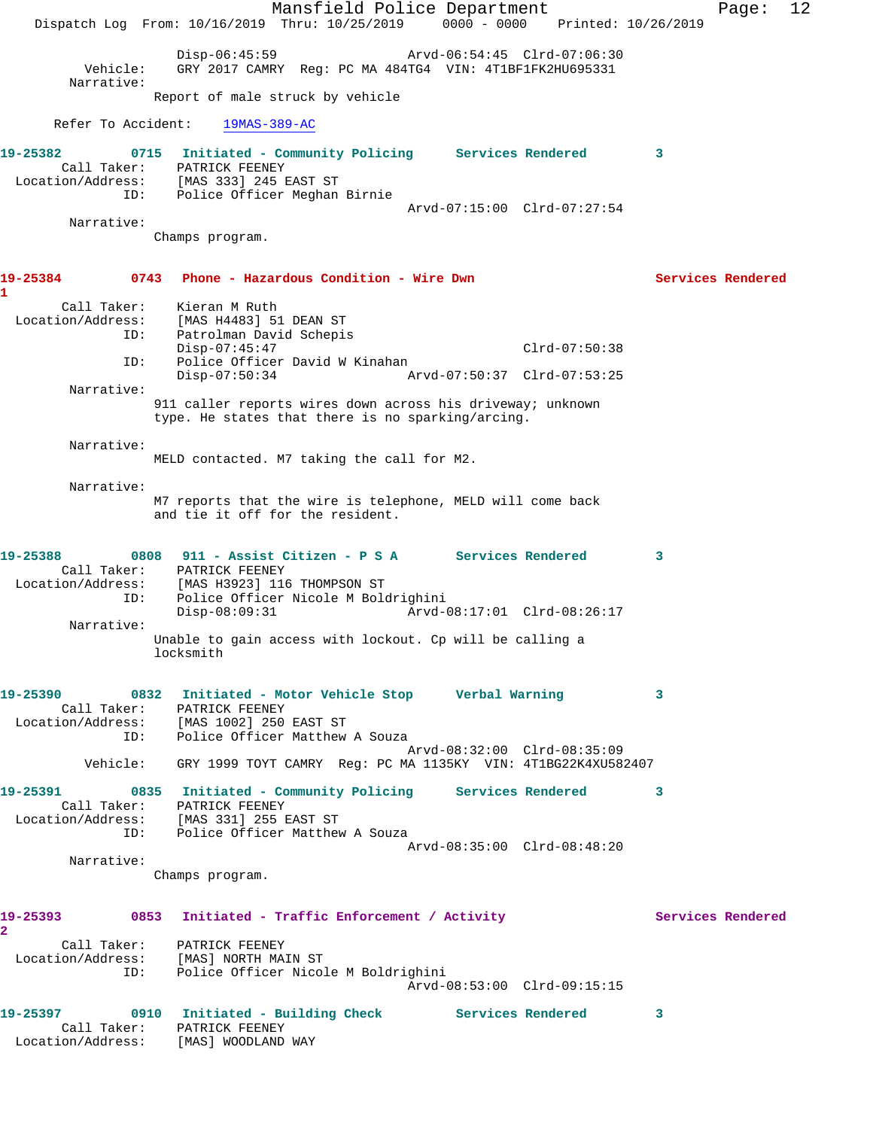|                                                                       |                                                                        | Mansfield Police Department<br>Dispatch Log From: 10/16/2019 Thru: 10/25/2019 0000 - 0000 Printed: 10/26/2019   |                             |                   | Page:             | 12 |
|-----------------------------------------------------------------------|------------------------------------------------------------------------|-----------------------------------------------------------------------------------------------------------------|-----------------------------|-------------------|-------------------|----|
|                                                                       |                                                                        |                                                                                                                 |                             |                   |                   |    |
| Vehicle:<br>Narrative:                                                | Disp-06:45:59                                                          | GRY 2017 CAMRY Req: PC MA 484TG4 VIN: 4T1BF1FK2HU695331                                                         | Arvd-06:54:45 Clrd-07:06:30 |                   |                   |    |
|                                                                       | Report of male struck by vehicle                                       |                                                                                                                 |                             |                   |                   |    |
| Refer To Accident:                                                    | 19MAS-389-AC                                                           |                                                                                                                 |                             |                   |                   |    |
| 19-25382                                                              |                                                                        | 0715 Initiated - Community Policing Services Rendered                                                           |                             | $\sim$ 3          |                   |    |
| Call Taker:                                                           | PATRICK FEENEY<br>Location/Address: [MAS 333] 245 EAST ST              |                                                                                                                 |                             |                   |                   |    |
| ID:                                                                   |                                                                        | Police Officer Meghan Birnie                                                                                    |                             |                   |                   |    |
| Narrative:                                                            |                                                                        |                                                                                                                 | Arvd-07:15:00 Clrd-07:27:54 |                   |                   |    |
|                                                                       | Champs program.                                                        |                                                                                                                 |                             |                   |                   |    |
| 19-25384                                                              |                                                                        | 0743 Phone - Hazardous Condition - Wire Dwn                                                                     |                             |                   | Services Rendered |    |
| 1                                                                     |                                                                        |                                                                                                                 |                             |                   |                   |    |
| Call Taker:<br>Location/Address:                                      | Kieran M Ruth<br>[MAS H4483] 51 DEAN ST                                |                                                                                                                 |                             |                   |                   |    |
| ID:                                                                   | Patrolman David Schepis<br>$Disp-07:45:47$                             |                                                                                                                 | $Clrd-07:50:38$             |                   |                   |    |
| ID:                                                                   |                                                                        | Police Officer David W Kinahan                                                                                  |                             |                   |                   |    |
| Narrative:                                                            | $Disp-07:50:34$                                                        |                                                                                                                 | Arvd-07:50:37 Clrd-07:53:25 |                   |                   |    |
|                                                                       |                                                                        | 911 caller reports wires down across his driveway; unknown<br>type. He states that there is no sparking/arcing. |                             |                   |                   |    |
| Narrative:                                                            |                                                                        |                                                                                                                 |                             |                   |                   |    |
|                                                                       |                                                                        | MELD contacted. M7 taking the call for M2.                                                                      |                             |                   |                   |    |
| Narrative:                                                            |                                                                        | M7 reports that the wire is telephone, MELD will come back                                                      |                             |                   |                   |    |
|                                                                       | and tie it off for the resident.                                       |                                                                                                                 |                             |                   |                   |    |
| 19-25388                                                              |                                                                        | 0808 911 - Assist Citizen - P S A Services Rendered                                                             |                             | 3                 |                   |    |
| Call Taker:                                                           | PATRICK FEENEY                                                         |                                                                                                                 |                             |                   |                   |    |
| Location/Address:<br>ID:                                              | [MAS H3923] 116 THOMPSON ST<br>$Disp-08:09:31$                         | Police Officer Nicole M Boldrighini                                                                             | Arvd-08:17:01 Clrd-08:26:17 |                   |                   |    |
| Narrative:                                                            |                                                                        |                                                                                                                 |                             |                   |                   |    |
|                                                                       | locksmith                                                              | Unable to gain access with lockout. Cp will be calling a                                                        |                             |                   |                   |    |
|                                                                       |                                                                        | 19-25390 0832 Initiated - Motor Vehicle Stop 6 Verbal Warning                                                   |                             | 3                 |                   |    |
|                                                                       | Call Taker: PATRICK FEENEY<br>Location/Address: [MAS 1002] 250 EAST ST |                                                                                                                 |                             |                   |                   |    |
|                                                                       | ID: Police Officer Matthew A Souza                                     |                                                                                                                 |                             |                   |                   |    |
|                                                                       |                                                                        | Vehicle: GRY 1999 TOYT CAMRY Reg: PC MA 1135KY VIN: 4T1BG22K4XU582407                                           | Arvd-08:32:00 Clrd-08:35:09 |                   |                   |    |
|                                                                       |                                                                        | 19-25391 0835 Initiated - Community Policing Services Rendered 3                                                |                             |                   |                   |    |
| Call Taker: PATRICK FEENEY<br>Location/Address: [MAS 331] 255 EAST ST |                                                                        |                                                                                                                 |                             |                   |                   |    |
|                                                                       | ID: Police Officer Matthew A Souza                                     |                                                                                                                 |                             |                   |                   |    |
| Narrative:                                                            |                                                                        |                                                                                                                 | Arvd-08:35:00 Clrd-08:48:20 |                   |                   |    |
|                                                                       | Champs program.                                                        |                                                                                                                 |                             |                   |                   |    |
|                                                                       |                                                                        | 19-25393 0853 Initiated - Traffic Enforcement / Activity                                                        |                             | Services Rendered |                   |    |
| $\overline{2}$                                                        |                                                                        |                                                                                                                 |                             |                   |                   |    |
|                                                                       | Call Taker: PATRICK FEENEY                                             |                                                                                                                 |                             |                   |                   |    |
|                                                                       |                                                                        | Location/Address: [MAS] NORTH MAIN ST<br>ID: Police Officer Nicole M Boldrighini                                | Arvd-08:53:00 Clrd-09:15:15 |                   |                   |    |
|                                                                       |                                                                        | 19-25397 0910 Initiated - Building Check Services Rendered                                                      |                             | 3                 |                   |    |
|                                                                       | Call Taker: PATRICK FEENEY<br>Location/Address: [MAS] WOODLAND WAY     |                                                                                                                 |                             |                   |                   |    |
|                                                                       |                                                                        |                                                                                                                 |                             |                   |                   |    |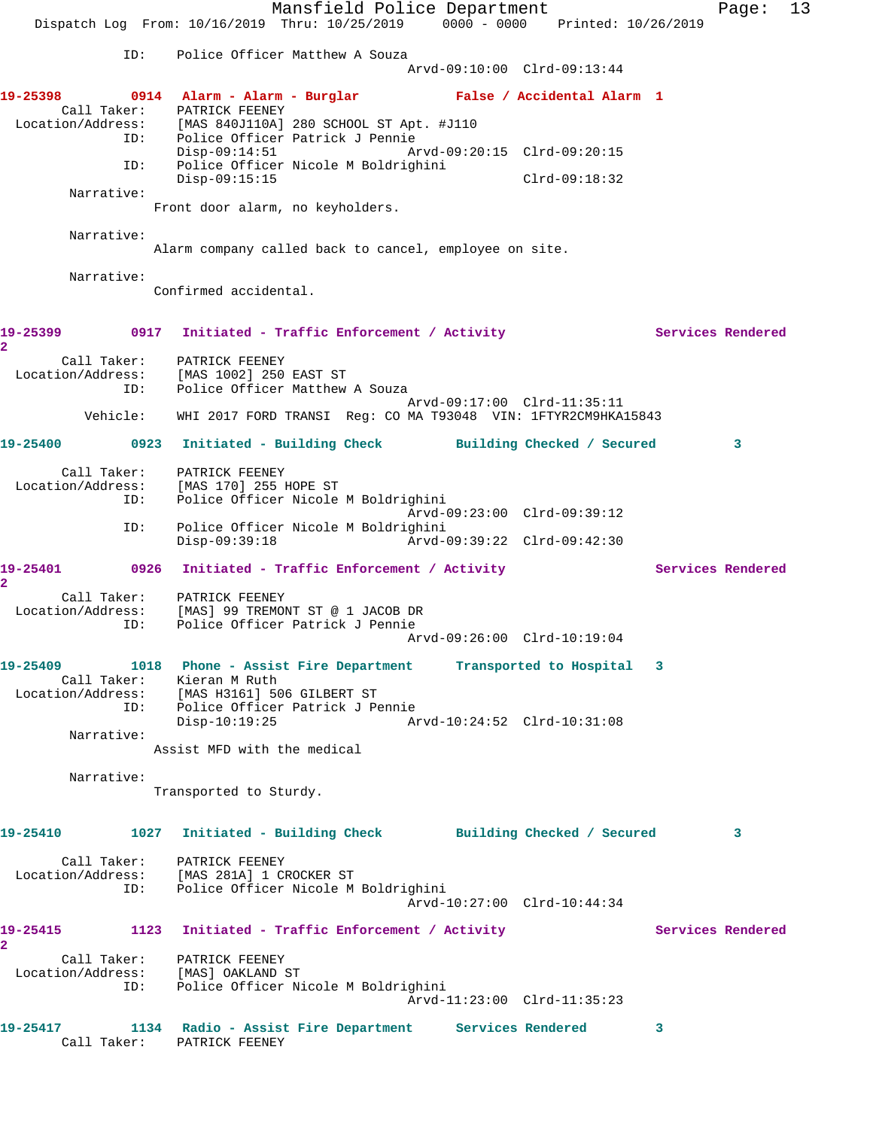Mansfield Police Department Fage: 13 Dispatch Log From: 10/16/2019 Thru: 10/25/2019 0000 - 0000 Printed: 10/26/2019 ID: Police Officer Matthew A Souza Arvd-09:10:00 Clrd-09:13:44 **19-25398 0914 Alarm - Alarm - Burglar False / Accidental Alarm 1**  Call Taker: PATRICK FEENEY Location/Address: [MAS 840J110A] 280 SCHOOL ST Apt. #J110 ID: Police Officer Patrick J Pennie Disp-09:14:51 Arvd-09:20:15 Clrd-09:20:15 ID: Police Officer Nicole M Boldrighini Disp-09:15:15 Clrd-09:18:32 Narrative: Front door alarm, no keyholders. Narrative: Alarm company called back to cancel, employee on site. Narrative: Confirmed accidental. 19-25399 0917 Initiated - Traffic Enforcement / Activity **Services Rendered 2**  Call Taker: PATRICK FEENEY Location/Address: [MAS 1002] 250 EAST ST ESS. تطلب العديد و المستوى .<br>ID: Police Officer Matthew A Souza Arvd-09:17:00 Clrd-11:35:11 Vehicle: WHI 2017 FORD TRANSI Reg: CO MA T93048 VIN: 1FTYR2CM9HKA15843 **19-25400 0923 Initiated - Building Check Building Checked / Secured 3** Call Taker: PATRICK FEENEY Location/Address: [MAS 170] 255 HOPE ST ID: Police Officer Nicole M Boldrighini Arvd-09:23:00 Clrd-09:39:12 ID: Police Officer Nicole M Boldrighini Disp-09:39:18 Arvd-09:39:22 Clrd-09:42:30 19-25401 0926 Initiated - Traffic Enforcement / Activity **Services Rendered 2**  Call Taker: PATRICK FEENEY Location/Address: [MAS] 99 TREMONT ST @ 1 JACOB DR ID: Police Officer Patrick J Pennie Arvd-09:26:00 Clrd-10:19:04 **19-25409 1018 Phone - Assist Fire Department Transported to Hospital 3**  Call Taker: Kieran M Ruth Location/Address: [MAS H3161] 506 GILBERT ST ID: Police Officer Patrick J Pennie Disp-10:19:25 Arvd-10:24:52 Clrd-10:31:08 Narrative: Assist MFD with the medical Narrative: Transported to Sturdy. **19-25410 1027 Initiated - Building Check Building Checked / Secured 3** Call Taker: PATRICK FEENEY Location/Address: [MAS 281A] 1 CROCKER ST ID: Police Officer Nicole M Boldrighini Arvd-10:27:00 Clrd-10:44:34 19-25415 1123 Initiated - Traffic Enforcement / Activity **Services Rendered 2**  Call Taker: PATRICK FEENEY Location/Address: [MAS] OAKLAND ST ID: Police Officer Nicole M Boldrighini Arvd-11:23:00 Clrd-11:35:23 **19-25417 1134 Radio - Assist Fire Department Services Rendered 3**  Call Taker: PATRICK FEENEY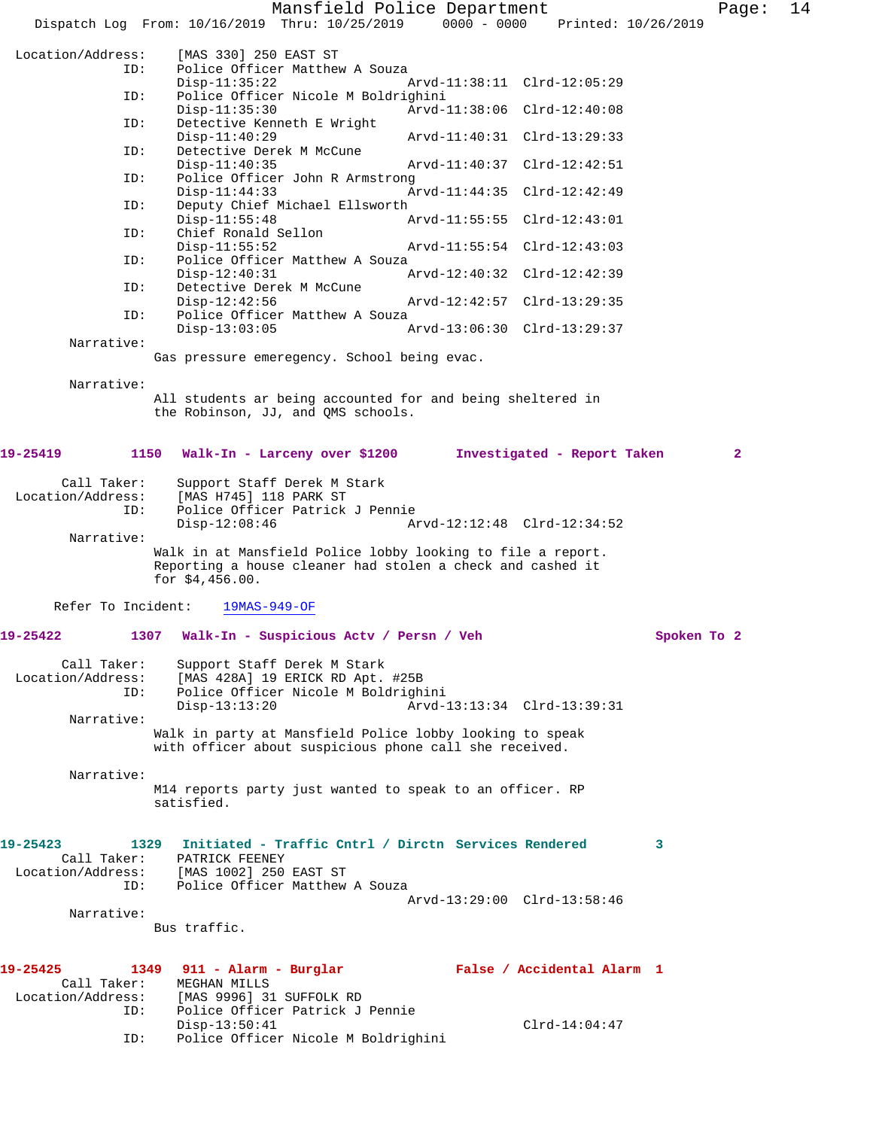|                                                 |                                                                                                                                               |                                                                         | Mansfield Police Department |                             |             | Page:        | 14 |
|-------------------------------------------------|-----------------------------------------------------------------------------------------------------------------------------------------------|-------------------------------------------------------------------------|-----------------------------|-----------------------------|-------------|--------------|----|
|                                                 | Dispatch Log From: 10/16/2019 Thru: 10/25/2019                                                                                                |                                                                         | $0000 - 0000$               | Printed: 10/26/2019         |             |              |    |
| Location/Address:<br>ID:                        | [MAS 330] 250 EAST ST                                                                                                                         | Police Officer Matthew A Souza                                          |                             |                             |             |              |    |
| ID:                                             | $Disp-11:35:22$                                                                                                                               | Police Officer Nicole M Boldrighini                                     |                             | Arvd-11:38:11 Clrd-12:05:29 |             |              |    |
|                                                 | $Disp-11:35:30$                                                                                                                               |                                                                         |                             | Arvd-11:38:06 Clrd-12:40:08 |             |              |    |
| ID:                                             | Detective Kenneth E Wright<br>$Disp-11:40:29$                                                                                                 |                                                                         |                             | Arvd-11:40:31 Clrd-13:29:33 |             |              |    |
| ID:                                             | Detective Derek M McCune<br>$Disp-11:40:35$                                                                                                   |                                                                         |                             | Arvd-11:40:37 Clrd-12:42:51 |             |              |    |
| ID:                                             | $Disp-11:44:33$                                                                                                                               | Police Officer John R Armstrong                                         |                             | Arvd-11:44:35 Clrd-12:42:49 |             |              |    |
| ID:                                             |                                                                                                                                               | Deputy Chief Michael Ellsworth                                          |                             |                             |             |              |    |
| ID:                                             | $Disp-11:55:48$<br>Chief Ronald Sellon                                                                                                        |                                                                         |                             | Arvd-11:55:55 Clrd-12:43:01 |             |              |    |
| ID:                                             | $Disp-11:55:52$                                                                                                                               | Police Officer Matthew A Souza                                          |                             | Arvd-11:55:54 Clrd-12:43:03 |             |              |    |
|                                                 | $Disp-12:40:31$                                                                                                                               |                                                                         |                             | Arvd-12:40:32 Clrd-12:42:39 |             |              |    |
| ID:                                             | Detective Derek M McCune<br>$Disp-12:42:56$                                                                                                   |                                                                         |                             | Arvd-12:42:57 Clrd-13:29:35 |             |              |    |
| ID:                                             | $Disp-13:03:05$                                                                                                                               | Police Officer Matthew A Souza                                          |                             | Arvd-13:06:30 Clrd-13:29:37 |             |              |    |
| Narrative:                                      |                                                                                                                                               |                                                                         |                             |                             |             |              |    |
|                                                 | Gas pressure emeregency. School being evac.                                                                                                   |                                                                         |                             |                             |             |              |    |
| Narrative:                                      |                                                                                                                                               |                                                                         |                             |                             |             |              |    |
|                                                 | All students ar being accounted for and being sheltered in<br>the Robinson, JJ, and QMS schools.                                              |                                                                         |                             |                             |             |              |    |
| 19-25419<br>1150                                |                                                                                                                                               | Walk-In - Larceny over \$1200                                           |                             | Investigated - Report Taken |             | $\mathbf{2}$ |    |
| Call Taker:<br>Location/Address:<br>ID:         | [MAS H745] 118 PARK ST                                                                                                                        | Support Staff Derek M Stark<br>Police Officer Patrick J Pennie          |                             |                             |             |              |    |
|                                                 | $Disp-12:08:46$                                                                                                                               |                                                                         |                             | Arvd-12:12:48 Clrd-12:34:52 |             |              |    |
| Narrative:                                      | Walk in at Mansfield Police lobby looking to file a report.<br>Reporting a house cleaner had stolen a check and cashed it<br>for $$4,456.00.$ |                                                                         |                             |                             |             |              |    |
| Refer To Incident:                              | $19MAS-949-OF$                                                                                                                                |                                                                         |                             |                             |             |              |    |
| 19-25422<br>1307                                |                                                                                                                                               | Walk-In - Suspicious Actv / Persn / Veh                                 |                             |                             | Spoken To 2 |              |    |
| Call Taker:<br>Location/Address:<br>ID:         | Support Staff Derek M Stark<br>$Disp-13:13:20$                                                                                                | [MAS 428A] 19 ERICK RD Apt. #25B<br>Police Officer Nicole M Boldrighini |                             | Arvd-13:13:34 Clrd-13:39:31 |             |              |    |
| Narrative:                                      |                                                                                                                                               |                                                                         |                             |                             |             |              |    |
|                                                 | Walk in party at Mansfield Police lobby looking to speak<br>with officer about suspicious phone call she received.                            |                                                                         |                             |                             |             |              |    |
| Narrative:                                      | M14 reports party just wanted to speak to an officer. RP<br>satisfied.                                                                        |                                                                         |                             |                             |             |              |    |
| 19-25423<br>Call Taker:                         | 1329 Initiated - Traffic Cntrl / Dirctn Services Rendered<br>PATRICK FEENEY                                                                   |                                                                         |                             |                             | 3           |              |    |
| Location/Address: [MAS 1002] 250 EAST ST<br>ID: |                                                                                                                                               | Police Officer Matthew A Souza                                          |                             |                             |             |              |    |
| Narrative:                                      |                                                                                                                                               |                                                                         |                             | Arvd-13:29:00 Clrd-13:58:46 |             |              |    |
|                                                 | Bus traffic.                                                                                                                                  |                                                                         |                             |                             |             |              |    |
| 19-25425<br>Call Taker:                         | 1349 911 - Alarm - Burglar<br>MEGHAN MILLS                                                                                                    |                                                                         |                             | False / Accidental Alarm 1  |             |              |    |
| Location/Address:<br>ID:                        | [MAS 9996] 31 SUFFOLK RD                                                                                                                      | Police Officer Patrick J Pennie                                         |                             |                             |             |              |    |
| ID:                                             | $Disp-13:50:41$                                                                                                                               | Police Officer Nicole M Boldrighini                                     |                             | $Clrd-14:04:47$             |             |              |    |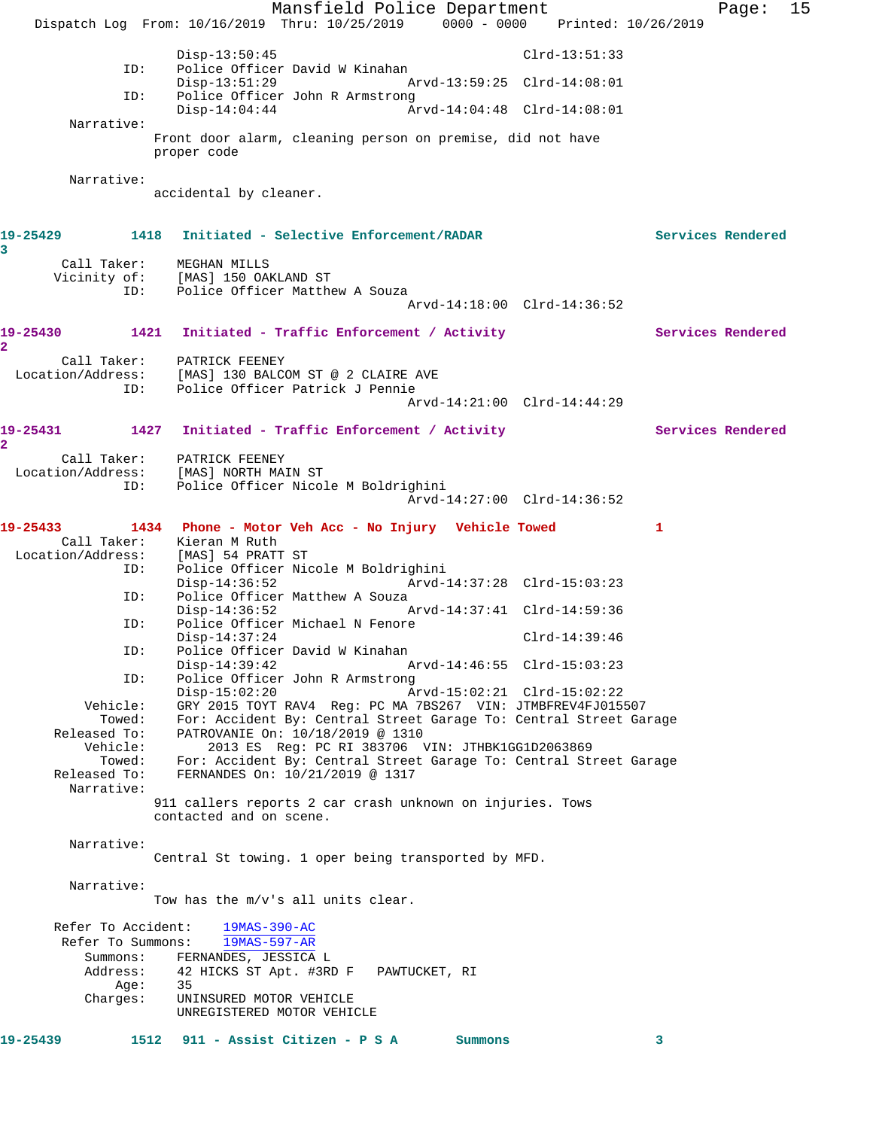Mansfield Police Department Fage: 15 Dispatch Log From: 10/16/2019 Thru: 10/25/2019 0000 - 0000 Printed: 10/26/2019 Disp-13:50:45 Clrd-13:51:33<br>ID: Police Officer David W Kinahan Police Officer David W Kinahan Disp-13:51:29 Arvd-13:59:25 Clrd-14:08:01 ID: Police Officer John R Armstrong<br>Disp-14:04:44 Ar Disp-14:04:44 Arvd-14:04:48 Clrd-14:08:01 Narrative: Front door alarm, cleaning person on premise, did not have proper code Narrative: accidental by cleaner. **19-25429 1418 Initiated - Selective Enforcement/RADAR Services Rendered 3**  Call Taker: MEGHAN MILLS Vicinity of: [MAS] 150 OAKLAND ST<br>ID: Police Officer Matth Police Officer Matthew A Souza Arvd-14:18:00 Clrd-14:36:52 19-25430 1421 Initiated - Traffic Enforcement / Activity **Services Rendered 2**  Call Taker: PATRICK FEENEY<br>Location/Address: [MAS] 130 BALCO [MAS] 130 BALCOM ST @ 2 CLAIRE AVE ID: Police Officer Patrick J Pennie Arvd-14:21:00 Clrd-14:44:29 **19-25431 1427 Initiated - Traffic Enforcement / Activity Services Rendered 2**  Call Taker: PATRICK FEENEY Location/Address: [MAS] NORTH MAIN ST ID: Police Officer Nicole M Boldrighini Arvd-14:27:00 Clrd-14:36:52 **19-25433 1434 Phone - Motor Veh Acc - No Injury Vehicle Towed 1**  Call Taker: Kieran M Ruth<br>ion/Address: [MAS] 54 PRATT ST Location/Address: ID: Police Officer Nicole M Boldrighini Disp-14:36:52 Arvd-14:37:28 Clrd-15:03:23 ID: Police Officer Matthew A Souza<br>Disp-14:36:52 Disp-14:36:52 Arvd-14:37:41 Clrd-14:59:36 ID: Police Officer Michael N Fenore Disp-14:37:24 Clrd-14:39:46<br>ID: Police Officer David W Kinahan Police Officer David W Kinahan<br>Disp-14:39:42 A Disp-14:39:42 Arvd-14:46:55 Clrd-15:03:23<br>ID: Police Officer John R Armstrong Police Officer John R Armstrong Disp-15:02:20 Arvd-15:02:21 Clrd-15:02:22<br>Vehicle: GRY 2015 TOYT RAV4 Req: PC MA 7BS267 VIN: JTMBFREV4FJ015 GRY 2015 TOYT RAV4 Reg: PC MA 7BS267 VIN: JTMBFREV4FJ015507 Towed: For: Accident By: Central Street Garage To: Central Street Garage Released To: PATROVANIE On: 10/18/2019 @ 1310 Vehicle: 2013 ES Reg: PC RI 383706 VIN: JTHBK1GG1D2063869 Towed: For: Accident By: Central Street Garage To: Central Street Garage Released To: FERNANDES On: 10/21/2019 @ 1317 Narrative: 911 callers reports 2 car crash unknown on injuries. Tows contacted and on scene. Narrative: Central St towing. 1 oper being transported by MFD. Narrative: Tow has the m/v's all units clear. Refer To Accident: 19MAS-390-AC Refer To Summons: 19MAS-597-AR Summons: FERNANDES, JESSICA L<br>Address: 42 HICKS ST Apt. #3RI Address: 42 HICKS ST Apt. #3RD F PAWTUCKET, RI  $Age:$  Charges: UNINSURED MOTOR VEHICLE UNREGISTERED MOTOR VEHICLE **19-25439 1512 911 - Assist Citizen - P S A Summons 3**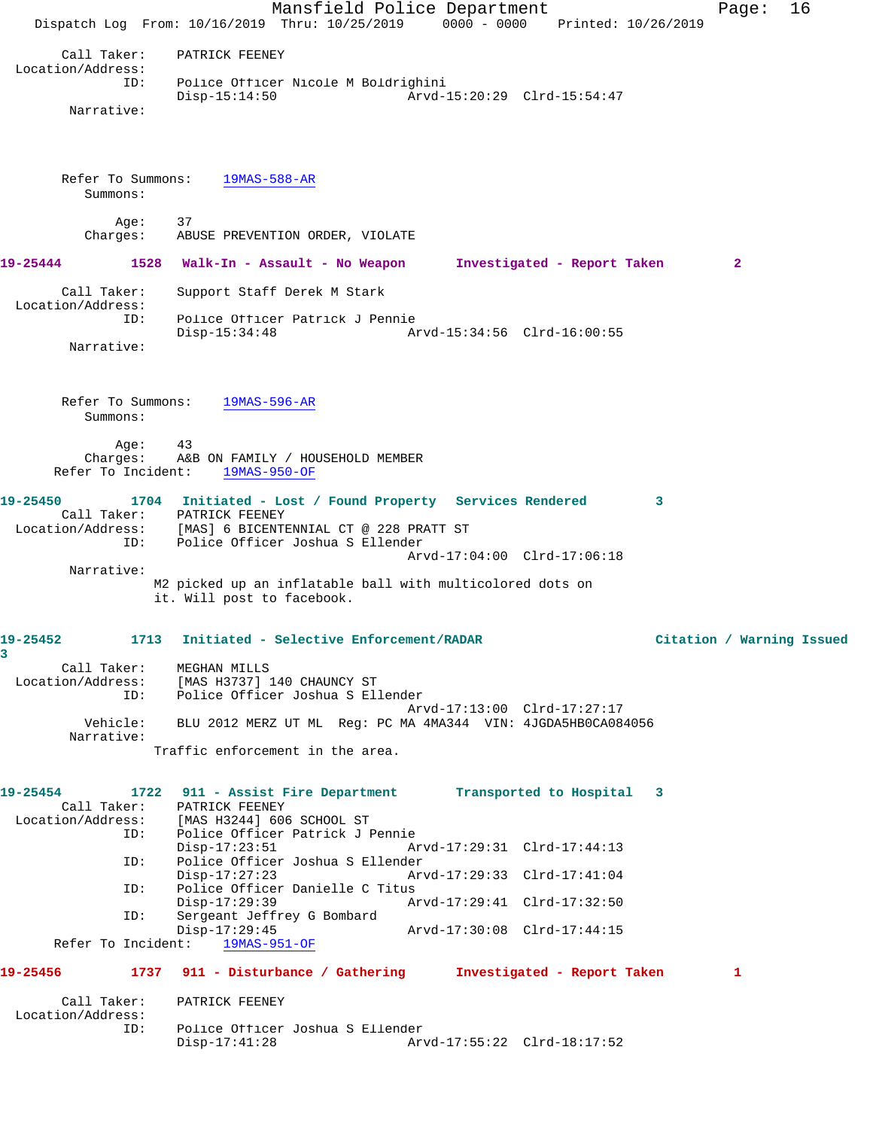Mansfield Police Department Fage: 16 Dispatch Log From: 10/16/2019 Thru: 10/25/2019 0000 - 0000 Printed: 10/26/2019 Call Taker: PATRICK FEENEY Location/Address: ID: Police Officer Nicole M Boldrighini Disp-15:14:50 Arvd-15:20:29 Clrd-15:54:47 Narrative: Refer To Summons: 19MAS-588-AR Summons: Age: 37 Charges: ABUSE PREVENTION ORDER, VIOLATE **19-25444 1528 Walk-In - Assault - No Weapon Investigated - Report Taken 2** Call Taker: Support Staff Derek M Stark Location/Address: ID: Police Officer Patrick J Pennie Disp-15:34:48 Arvd-15:34:56 Clrd-16:00:55 Narrative: Refer To Summons: 19MAS-596-AR Summons: Age: 43 Charges: A&B ON FAMILY / HOUSEHOLD MEMBER Refer To Incident: 19MAS-950-OF **19-25450 1704 Initiated - Lost / Found Property Services Rendered 3**  Call Taker: PATRICK FEENEY Location/Address: [MAS] 6 BICENTENNIAL CT @ 228 PRATT ST ID: Police Officer Joshua S Ellender Arvd-17:04:00 Clrd-17:06:18 Narrative: M2 picked up an inflatable ball with multicolored dots on it. Will post to facebook. **19-25452 1713 Initiated - Selective Enforcement/RADAR Citation / Warning Issued 3**  Call Taker: MEGHAN MILLS Location/Address: [MAS H3737] 140 CHAUNCY ST ID: Police Officer Joshua S Ellender Arvd-17:13:00 Clrd-17:27:17 Vehicle: BLU 2012 MERZ UT ML Reg: PC MA 4MA344 VIN: 4JGDA5HB0CA084056 Narrative: Traffic enforcement in the area. **19-25454 1722 911 - Assist Fire Department Transported to Hospital 3**  Call Taker: PATRICK FEENEY Location/Address: [MAS H3244] 606 SCHOOL ST ess: الاستحادة العديدة والعديدة Police Officer Patrick J Pennie<br>ID: Police Officer Patrick J Pennie<br>Ai Disp-17:23:51 Arvd-17:29:31 Clrd-17:44:13 ID: Police Officer Joshua S Ellender Disp-17:27:23 Arvd-17:29:33 Clrd-17:41:04<br>ID: Police Officer Danielle C Titus Police Officer Danielle C Titus<br>Disp-17:29:39 A Disp-17:29:39 **Arvd-17:29:41** Clrd-17:32:50<br>TD: Sergeant Jeffrey G Bombard Sergeant Jeffrey G Bombard<br>Disp-17:29:45 Disp-17:29:45 Arvd-17:30:08 Clrd-17:44:15 Refer To Incident: 19MAS-951-OF **19-25456 1737 911 - Disturbance / Gathering Investigated - Report Taken 1** Call Taker: PATRICK FEENEY Location/Address:<br>ID: Police Officer Joshua S Ellender<br>Disp-17:41:28 Ar Arvd-17:55:22 Clrd-18:17:52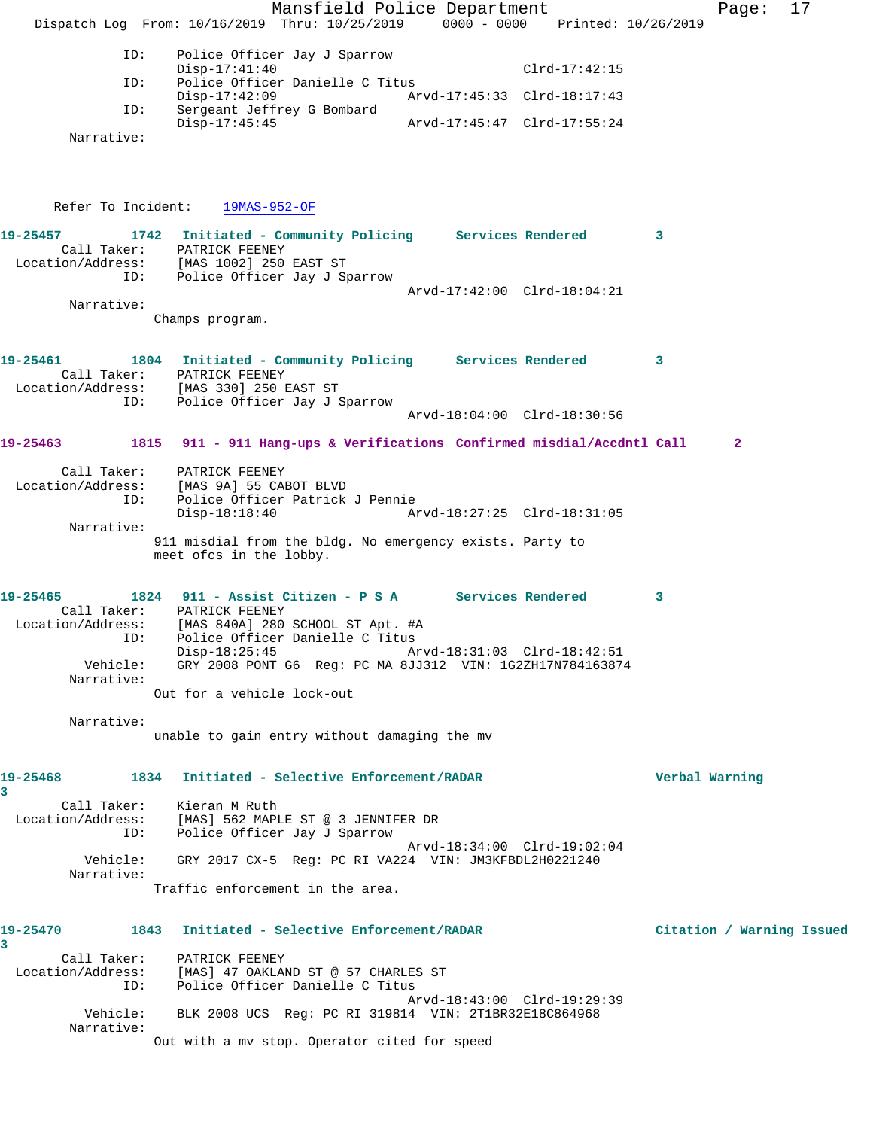Mansfield Police Department Fage: 17 Dispatch Log From: 10/16/2019 Thru: 10/25/2019 0000 - 0000 Printed: 10/26/2019 ID: Police Officer Jay J Sparrow Disp-17:41:40 Clrd-17:42:15 ID: Police Officer Danielle C Titus Disp-17:42:09 Arvd-17:45:33 Clrd-18:17:43 ID: Sergeant Jeffrey G Bombard Disp-17:45:45 Arvd-17:45:47 Clrd-17:55:24 Narrative: Refer To Incident: 19MAS-952-OF **19-25457 1742 Initiated - Community Policing Services Rendered 3**  Call Taker: PATRICK FEENEY Location/Address: [MAS 1002] 250 EAST ST ID: Police Officer Jay J Sparrow Arvd-17:42:00 Clrd-18:04:21 Narrative: Champs program. **19-25461 1804 Initiated - Community Policing Services Rendered 3**  Call Taker: PATRICK FEENEY Location/Address: [MAS 330] 250 EAST ST ID: Police Officer Jay J Sparrow Arvd-18:04:00 Clrd-18:30:56 **19-25463 1815 911 - 911 Hang-ups & Verifications Confirmed misdial/Accdntl Call 2** Call Taker: PATRICK FEENEY Location/Address: [MAS 9A] 55 CABOT BLVD ID: Police Officer Patrick J Pennie Disp-18:18:40 Arvd-18:27:25 Clrd-18:31:05 Narrative: 911 misdial from the bldg. No emergency exists. Party to meet ofcs in the lobby. **19-25465 1824 911 - Assist Citizen - P S A Services Rendered 3**  Call Taker: PATRICK FEENEY Location/Address: [MAS 840A] 280 SCHOOL ST Apt. #A ID: Police Officer Danielle C Titus Disp-18:25:45 Arvd-18:31:03 Clrd-18:42:51 Vehicle: GRY 2008 PONT G6 Reg: PC MA 8JJ312 VIN: 1G2ZH17N784163874 Narrative: Out for a vehicle lock-out Narrative: unable to gain entry without damaging the mv **19-25468 1834 Initiated - Selective Enforcement/RADAR Verbal Warning 3**  Call Taker: Kieran M Ruth Location/Address: [MAS] 562 MAPLE ST @ 3 JENNIFER DR ID: Police Officer Jay J Sparrow Arvd-18:34:00 Clrd-19:02:04 Vehicle: GRY 2017 CX-5 Reg: PC RI VA224 VIN: JM3KFBDL2H0221240 Narrative: Traffic enforcement in the area. **19-25470 1843 Initiated - Selective Enforcement/RADAR Citation / Warning Issued 3**  Call Taker: PATRICK FEENEY Location/Address: [MAS] 47 OAKLAND ST @ 57 CHARLES ST ID: Police Officer Danielle C Titus Arvd-18:43:00 Clrd-19:29:39 Vehicle: BLK 2008 UCS Reg: PC RI 319814 VIN: 2T1BR32E18C864968 Narrative: Out with a mv stop. Operator cited for speed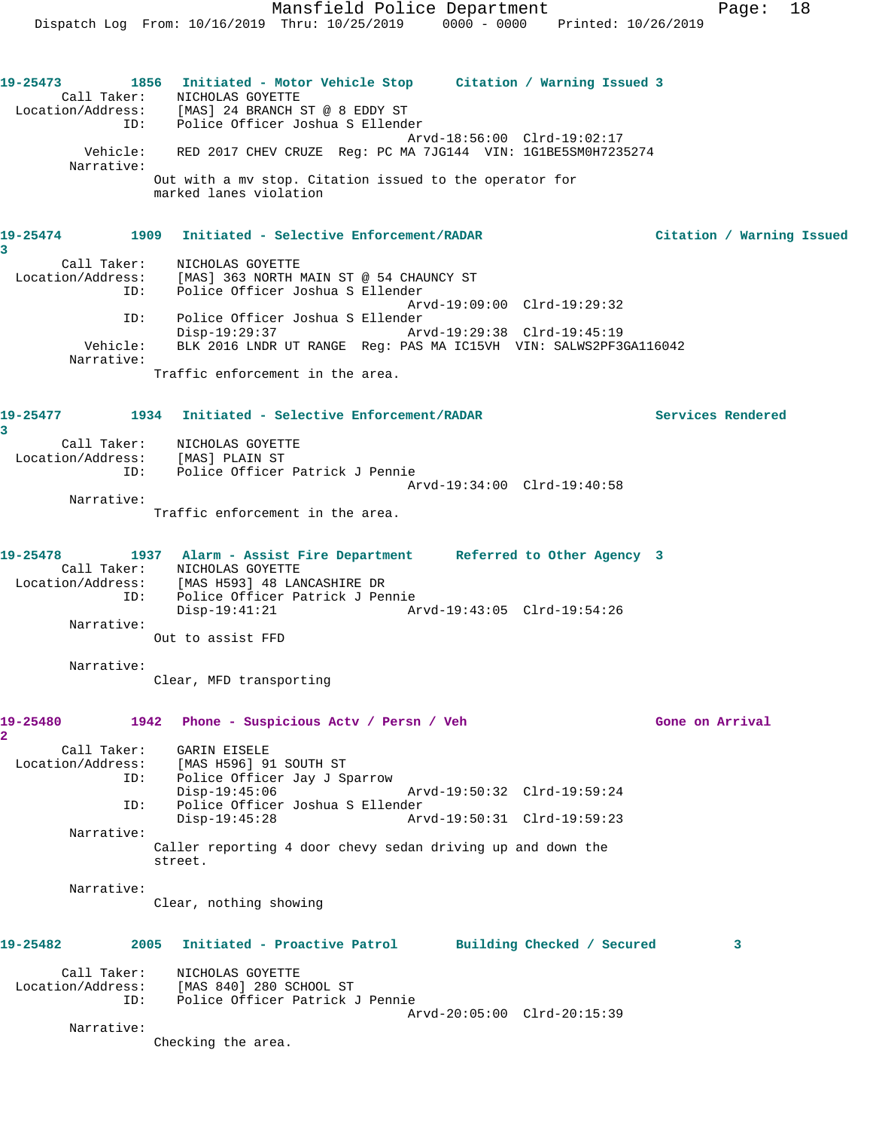Call Taker: NICHOLAS GOYETTE Location/Address: [MAS] 24 BRANCH ST @ 8 EDDY ST ID: Police Officer Joshua S Ellender Arvd-18:56:00 Clrd-19:02:17 Vehicle: RED 2017 CHEV CRUZE Reg: PC MA 7JG144 VIN: 1G1BE5SM0H7235274 Narrative: Out with a mv stop. Citation issued to the operator for marked lanes violation

## **19-25474 1909 Initiated - Selective Enforcement/RADAR Citation / Warning Issued**

**3**  Call Taker: NICHOLAS GOYETTE Location/Address: [MAS] 363 NORTH MAIN ST @ 54 CHAUNCY ST Police Officer Joshua S Ellender Arvd-19:09:00 Clrd-19:29:32 ID: Police Officer Joshua S Ellender Disp-19:29:37 Arvd-19:29:38 Clrd-19:45:19 Vehicle: BLK 2016 LNDR UT RANGE Reg: PAS MA IC15VH VIN: SALWS2PF3GA116042 Narrative:

Traffic enforcement in the area.

### **19-25477 1934 Initiated - Selective Enforcement/RADAR Services Rendered 3**  Call Taker: NICHOLAS GOYETTE

 Location/Address: [MAS] PLAIN ST ID: Police Officer Patrick J Pennie Arvd-19:34:00 Clrd-19:40:58 Narrative:

Traffic enforcement in the area.

| 19-25478          |     | 1937 Alarm - Assist Fire Department |  | Referred to Other Agency 3  |  |
|-------------------|-----|-------------------------------------|--|-----------------------------|--|
| Call Taker:       |     | NICHOLAS GOYETTE                    |  |                             |  |
| Location/Address: |     | [MAS H593] 48 LANCASHIRE DR         |  |                             |  |
|                   | ID: | Police Officer Patrick J Pennie     |  |                             |  |
|                   |     | Disp-19:41:21                       |  | Arvd-19:43:05 Clrd-19:54:26 |  |
| Narrative:        |     |                                     |  |                             |  |
|                   |     | Out to assist FFD                   |  |                             |  |

Narrative:

Clear, MFD transporting

## **19-25480 1942 Phone - Suspicious Actv / Persn / Veh Gone on Arrival 2**  Call Taker: GARIN EISELE Location/Address: [MAS H596] 91 SOUTH ST ID: Police Officer Jay J Sparrow Disp-19:45:06 Arvd-19:50:32 Clrd-19:59:24<br>TD: Police Officer Joshua S Ellender Police Officer Joshua S Ellender Disp-19:45:28 Arvd-19:50:31 Clrd-19:59:23 Narrative: Caller reporting 4 door chevy sedan driving up and down the street. Narrative: Clear, nothing showing

| 19-25482          | 2005        | Initiated - Proactive Patrol                |                             | Building Checked / Secured |  |
|-------------------|-------------|---------------------------------------------|-----------------------------|----------------------------|--|
| Location/Address: | Call Taker: | NICHOLAS GOYETTE<br>[MAS 840] 280 SCHOOL ST |                             |                            |  |
|                   | ID:         | Police Officer Patrick J Pennie             |                             |                            |  |
|                   |             |                                             | Arvd-20:05:00 Clrd-20:15:39 |                            |  |

Narrative:

Checking the area.

Mansfield Police Department Page: 18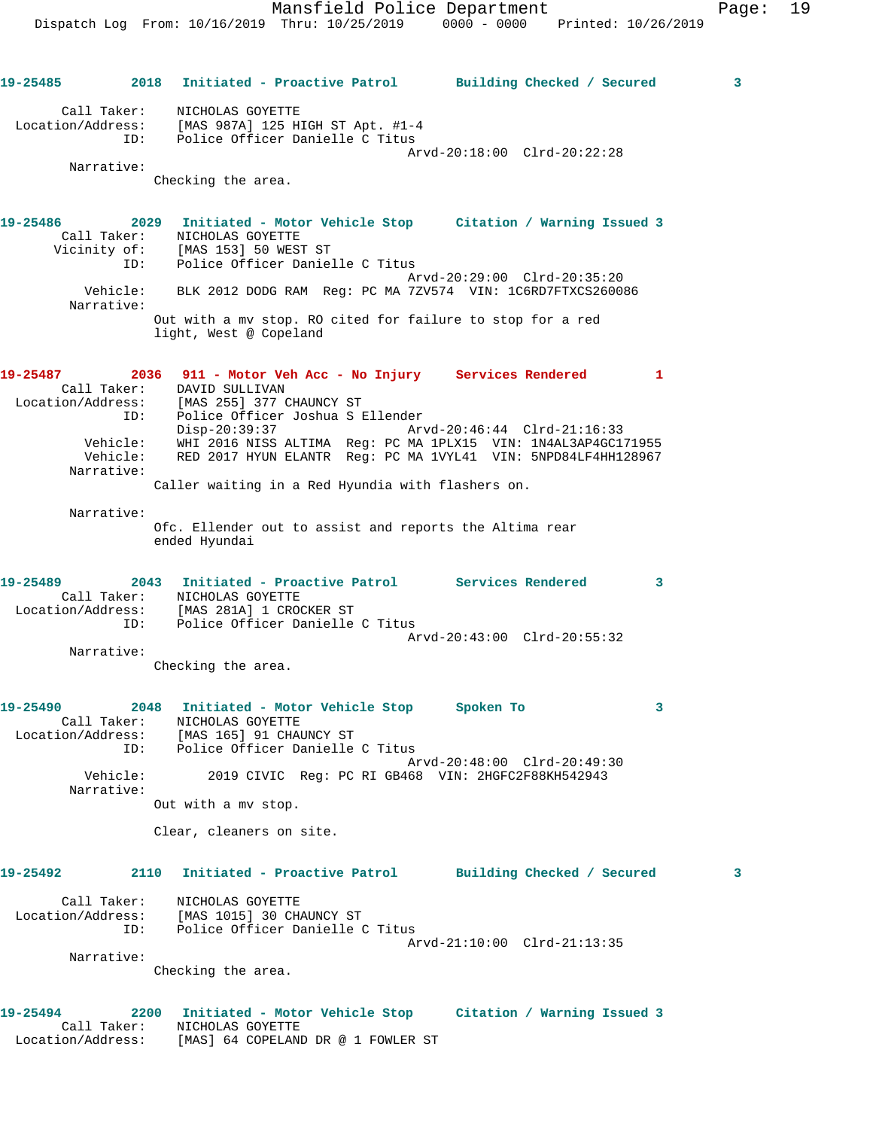**19-25485 2018 Initiated - Proactive Patrol Building Checked / Secured 3** Call Taker: NICHOLAS GOYETTE Location/Address: [MAS 987A] 125 HIGH ST Apt. #1-4 ID: Police Officer Danielle C Titus Arvd-20:18:00 Clrd-20:22:28 Narrative: Checking the area. **19-25486 2029 Initiated - Motor Vehicle Stop Citation / Warning Issued 3**  Call Taker: NICHOLAS GOYETTE Vicinity of: [MAS 153] 50 WEST ST ID: Police Officer Danielle C Titus Arvd-20:29:00 Clrd-20:35:20 Vehicle: BLK 2012 DODG RAM Reg: PC MA 7ZV574 VIN: 1C6RD7FTXCS260086 Narrative: Out with a mv stop. RO cited for failure to stop for a red light, West @ Copeland **19-25487 2036 911 - Motor Veh Acc - No Injury Services Rendered 1**  Call Taker: DAVID SULLIVAN Location/Address: [MAS 255] 377 CHAUNCY ST ID: Police Officer Joshua S Ellender Disp-20:39:37 Arvd-20:46:44 Clrd-21:16:33 Vehicle: WHI 2016 NISS ALTIMA Reg: PC MA 1PLX15 VIN: 1N4AL3AP4GC171955 Vehicle: RED 2017 HYUN ELANTR Reg: PC MA 1VYL41 VIN: 5NPD84LF4HH128967 Narrative: Caller waiting in a Red Hyundia with flashers on. Narrative: Ofc. Ellender out to assist and reports the Altima rear ended Hyundai **19-25489 2043 Initiated - Proactive Patrol Services Rendered 3**  Call Taker: NICHOLAS GOYETTE Location/Address: [MAS 281A] 1 CROCKER ST ID: Police Officer Danielle C Titus Arvd-20:43:00 Clrd-20:55:32 Narrative: Checking the area. **19-25490 2048 Initiated - Motor Vehicle Stop Spoken To 3**  Call Taker: NICHOLAS GOYETTE Location/Address: [MAS 165] 91 CHAUNCY ST ID: Police Officer Danielle C Titus Arvd-20:48:00 Clrd-20:49:30<br>Vehicle: 2019 CIVIC Reg: PC RI GB468 VIN: 2HGFC2F88KH542943 2019 CIVIC Reg: PC RI GB468 VIN: 2HGFC2F88KH542943 Narrative: Out with a mv stop. Clear, cleaners on site. **19-25492 2110 Initiated - Proactive Patrol Building Checked / Secured 3** Call Taker: NICHOLAS GOYETTE Location/Address: [MAS 1015] 30 CHAUNCY ST ID: Police Officer Danielle C Titus Arvd-21:10:00 Clrd-21:13:35 Narrative: Checking the area. **19-25494 2200 Initiated - Motor Vehicle Stop Citation / Warning Issued 3**  Call Taker: NICHOLAS GOYETTE Location/Address: [MAS] 64 COPELAND DR @ 1 FOWLER ST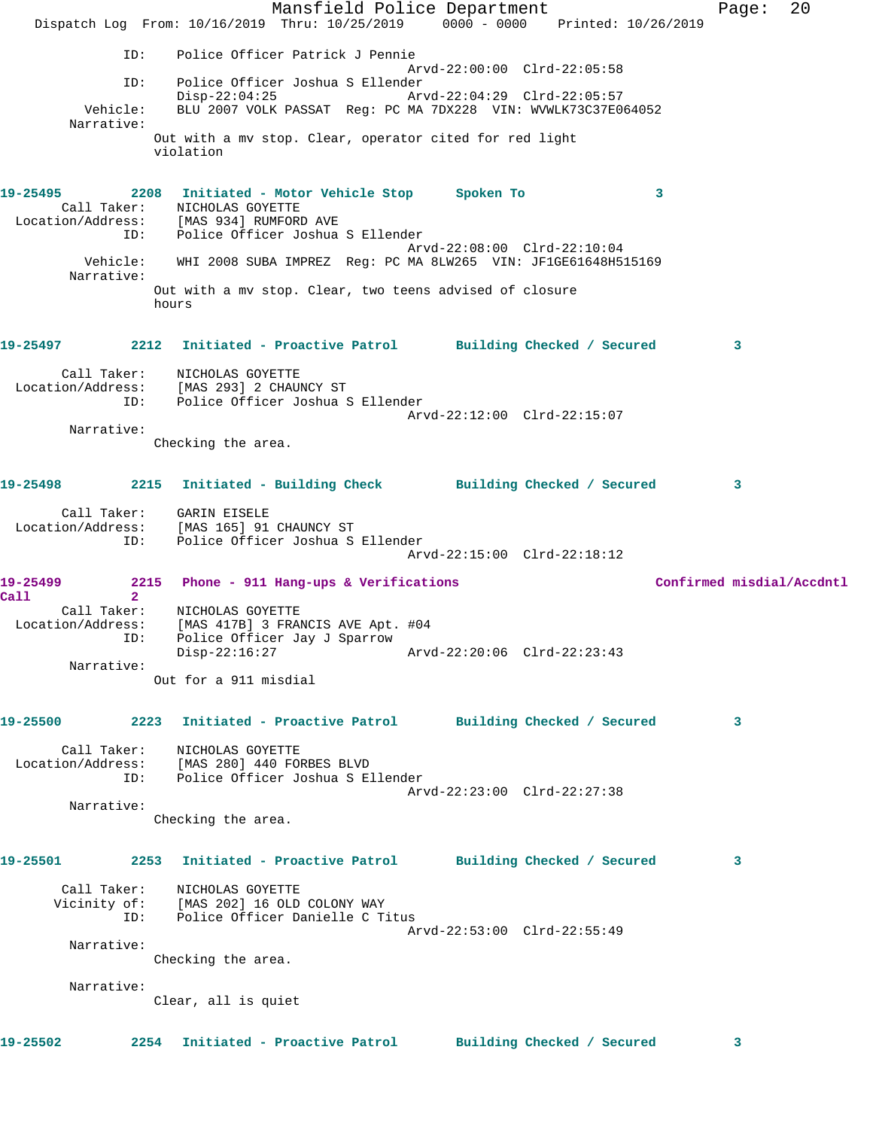Mansfield Police Department Page: 20 Dispatch Log From: 10/16/2019 Thru: 10/25/2019 0000 - 0000 Printed: 10/26/2019 ID: Police Officer Patrick J Pennie Arvd-22:00:00 Clrd-22:05:58 ID: Police Officer Joshua S Ellender Disp-22:04:25 Arvd-22:04:29 Clrd-22:05:57 Vehicle: BLU 2007 VOLK PASSAT Reg: PC MA 7DX228 VIN: WVWLK73C37E064052 Narrative: Out with a mv stop. Clear, operator cited for red light violation **19-25495 2208 Initiated - Motor Vehicle Stop Spoken To 3**  Call Taker: NICHOLAS GOYETTE Location/Address: [MAS 934] RUMFORD AVE ID: Police Officer Joshua S Ellender Arvd-22:08:00 Clrd-22:10:04 Vehicle: WHI 2008 SUBA IMPREZ Reg: PC MA 8LW265 VIN: JF1GE61648H515169 Narrative: Out with a mv stop. Clear, two teens advised of closure hours **19-25497 2212 Initiated - Proactive Patrol Building Checked / Secured 3** Call Taker: NICHOLAS GOYETTE Location/Address: [MAS 293] 2 CHAUNCY ST ID: Police Officer Joshua S Ellender Arvd-22:12:00 Clrd-22:15:07 Narrative: Checking the area. **19-25498 2215 Initiated - Building Check Building Checked / Secured 3** Call Taker: GARIN EISELE Location/Address: [MAS 165] 91 CHAUNCY ST ID: Police Officer Joshua S Ellender Arvd-22:15:00 Clrd-22:18:12 19-25499 2215 Phone - 911 Hang-ups & Verifications **Confirmed misdial/Accdntl Call 2**  Call Taker: NICHOLAS GOYETTE Location/Address: [MAS 417B] 3 FRANCIS AVE Apt. #04 ID: Police Officer Jay J Sparrow Disp-22:16:27 Arvd-22:20:06 Clrd-22:23:43 Narrative: Out for a 911 misdial **19-25500 2223 Initiated - Proactive Patrol Building Checked / Secured 3** Call Taker: NICHOLAS GOYETTE Location/Address: [MAS 280] 440 FORBES BLVD ID: Police Officer Joshua S Ellender Arvd-22:23:00 Clrd-22:27:38 Narrative: Checking the area. **19-25501 2253 Initiated - Proactive Patrol Building Checked / Secured 3** Call Taker: NICHOLAS GOYETTE Vicinity of: [MAS 202] 16 OLD COLONY WAY ID: Police Officer Danielle C Titus Arvd-22:53:00 Clrd-22:55:49 Narrative: Checking the area. Narrative: Clear, all is quiet **19-25502 2254 Initiated - Proactive Patrol Building Checked / Secured 3**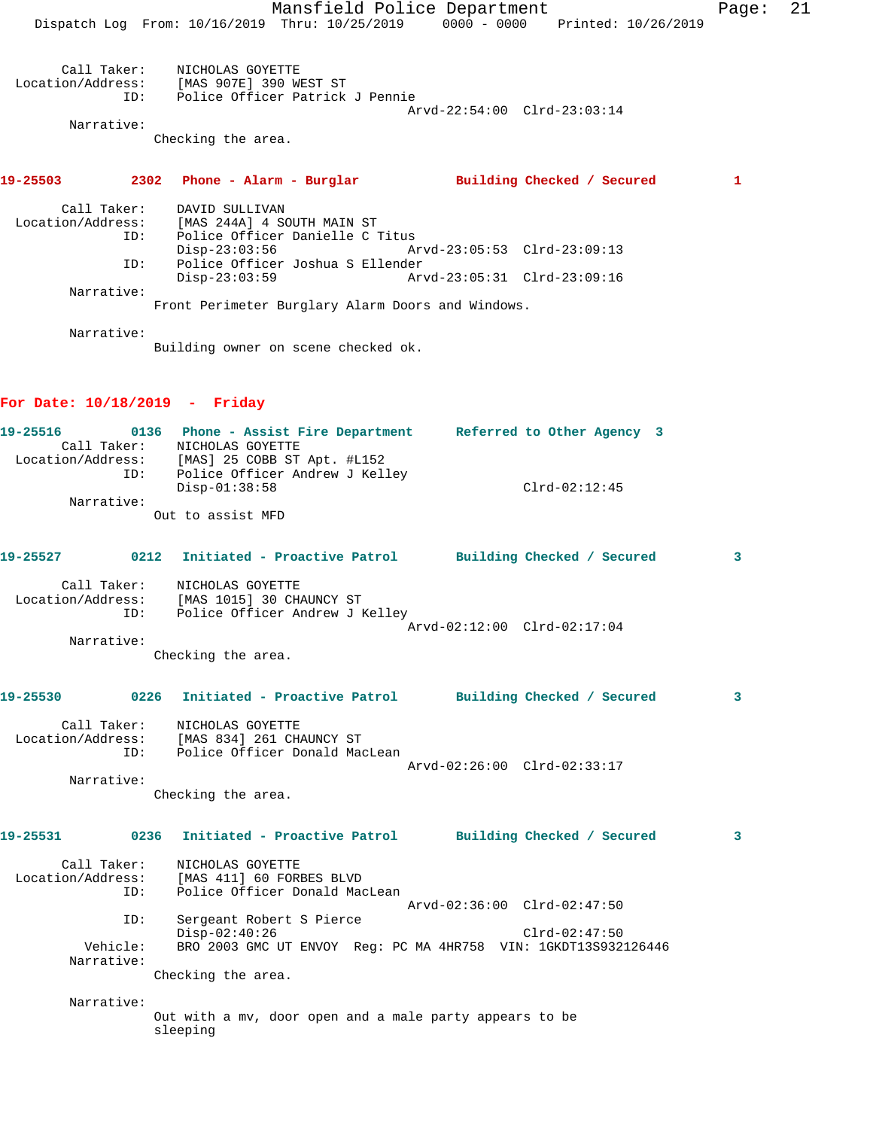Mansfield Police Department Page: 21 Dispatch Log From: 10/16/2019 Thru: 10/25/2019 0000 - 0000 Printed: 10/26/2019 Call Taker: NICHOLAS GOYETTE Location/Address: [MAS 907E] 390 WEST ST ID: Police Officer Patrick J Pennie Arvd-22:54:00 Clrd-23:03:14 Narrative: Checking the area. **19-25503 2302 Phone - Alarm - Burglar Building Checked / Secured 1** Call Taker: DAVID SULLIVAN Location/Address: [MAS 244A] 4 SOUTH MAIN ST ID: Police Officer Danielle C Titus Disp-23:03:56 Arvd-23:05:53 Clrd-23:09:13 ID: Police Officer Joshua S Ellender Disp-23:03:59 Arvd-23:05:31 Clrd-23:09:16 Narrative: Front Perimeter Burglary Alarm Doors and Windows.

Narrative:

Building owner on scene checked ok.

#### **For Date: 10/18/2019 - Friday**

| 19-25516          |     |                   | 0136 Phone - Assist Fire Department | Referred to Other Agency 3 |                 |  |
|-------------------|-----|-------------------|-------------------------------------|----------------------------|-----------------|--|
| Call Taker:       |     | NICHOLAS GOYETTE  |                                     |                            |                 |  |
| Location/Address: |     |                   | $[MAS]$ 25 COBB ST Apt. #L152       |                            |                 |  |
|                   | ID: |                   | Police Officer Andrew J Kelley      |                            |                 |  |
|                   |     | $Disp-01:38:58$   |                                     |                            | $Clrd-02:12:45$ |  |
| Narrative:        |     |                   |                                     |                            |                 |  |
|                   |     | Out to assist MFD |                                     |                            |                 |  |

| 19-25527                         | 0212 | Initiated - Proactive Patrol                                                   |  | Building Checked / Secured  |  |
|----------------------------------|------|--------------------------------------------------------------------------------|--|-----------------------------|--|
| Call Taker:<br>Location/Address: | ID:  | NICHOLAS GOYETTE<br>[MAS 1015] 30 CHAUNCY ST<br>Police Officer Andrew J Kelley |  |                             |  |
|                                  |      |                                                                                |  | Arvd-02:12:00 Clrd-02:17:04 |  |
| Narrative:                       |      |                                                                                |  |                             |  |
|                                  |      |                                                                                |  |                             |  |

Checking the area.

# **19-25530 0226 Initiated - Proactive Patrol Building Checked / Secured 3** Call Taker: NICHOLAS GOYETTE Location/Address: [MAS 834] 261 CHAUNCY ST ID: Police Officer Donald MacLean

Arvd-02:26:00 Clrd-02:33:17

 Narrative: Checking the area.

## **19-25531 0236 Initiated - Proactive Patrol Building Checked / Secured 3**

| Call Taker:<br>Location/Address:<br>ID: | NICHOLAS GOYETTE<br>[MAS 411] 60 FORBES BLVD<br>Police Officer Donald MacLean<br>Arvd-02:36:00 Clrd-02:47:50 |
|-----------------------------------------|--------------------------------------------------------------------------------------------------------------|
| ID:                                     | Sergeant Robert S Pierce                                                                                     |
|                                         | $Disp-02:40:26$<br>$Clrd-02:47:50$                                                                           |
| Vehicle:<br>Narrative:                  | BRO 2003 GMC UT ENVOY Req: PC MA 4HR758 VIN: 1GKDT13S932126446                                               |

Checking the area.

 Narrative: Out with a mv, door open and a male party appears to be sleeping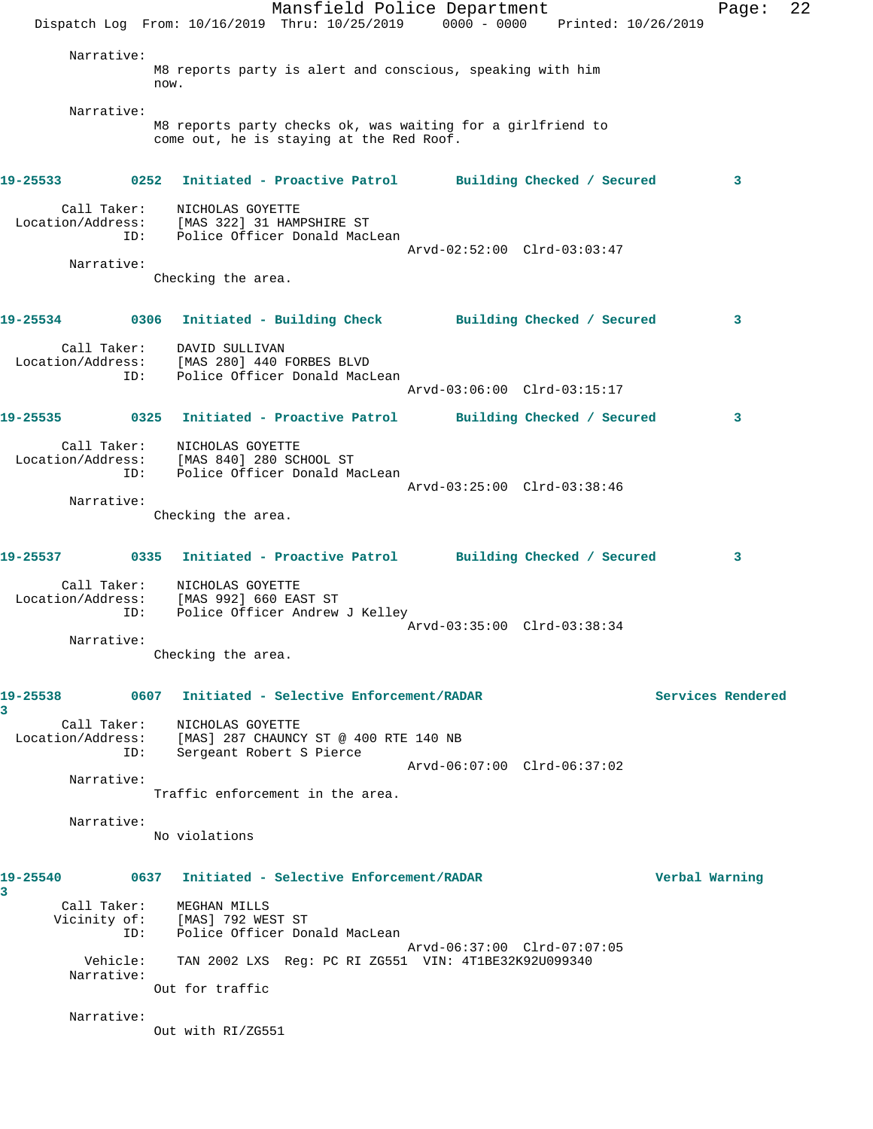|               |                          | Dispatch Log From: 10/16/2019 Thru: 10/25/2019 0000 - 0000 Printed: 10/26/2019                          | Mansfield Police Department                                                                             |                             |  |                | Page:             | 22 |
|---------------|--------------------------|---------------------------------------------------------------------------------------------------------|---------------------------------------------------------------------------------------------------------|-----------------------------|--|----------------|-------------------|----|
|               | Narrative:               | now.                                                                                                    | M8 reports party is alert and conscious, speaking with him                                              |                             |  |                |                   |    |
|               | Narrative:               |                                                                                                         |                                                                                                         |                             |  |                |                   |    |
|               |                          |                                                                                                         | M8 reports party checks ok, was waiting for a girlfriend to<br>come out, he is staying at the Red Roof. |                             |  |                |                   |    |
| 19-25533      |                          | 0252 Initiated - Proactive Patrol Building Checked / Secured                                            |                                                                                                         |                             |  |                | 3                 |    |
|               | ID:                      | Call Taker: NICHOLAS GOYETTE<br>Location/Address: [MAS 322] 31 HAMPSHIRE ST                             | Police Officer Donald MacLean                                                                           |                             |  |                |                   |    |
|               | Narrative:               |                                                                                                         |                                                                                                         | Arvd-02:52:00 Clrd-03:03:47 |  |                |                   |    |
|               |                          | Checking the area.                                                                                      |                                                                                                         |                             |  |                |                   |    |
|               |                          | 19-25534 0306 Initiated - Building Check Building Checked / Secured                                     |                                                                                                         |                             |  |                | 3                 |    |
|               | ID:                      | Call Taker: DAVID SULLIVAN<br>Location/Address: [MAS 280] 440 FORBES BLVD                               | Police Officer Donald MacLean                                                                           |                             |  |                |                   |    |
|               |                          |                                                                                                         |                                                                                                         | Arvd-03:06:00 Clrd-03:15:17 |  |                |                   |    |
| 19-25535      | Call Taker:              | 0325 Initiated - Proactive Patrol Building Checked / Secured<br>NICHOLAS GOYETTE                        |                                                                                                         |                             |  |                | 3                 |    |
|               | Location/Address:<br>ID: | [MAS 840] 280 SCHOOL ST                                                                                 | Police Officer Donald MacLean                                                                           |                             |  |                |                   |    |
|               | Narrative:               |                                                                                                         |                                                                                                         | Arvd-03:25:00 Clrd-03:38:46 |  |                |                   |    |
|               |                          | Checking the area.                                                                                      |                                                                                                         |                             |  |                |                   |    |
| 19-25537      |                          | 0335 Initiated - Proactive Patrol Building Checked / Secured                                            |                                                                                                         |                             |  |                | 3                 |    |
|               | ID:                      | Call Taker: NICHOLAS GOYETTE<br>Location/Address: [MAS 992] 660 EAST ST<br>TD: Police Officer Andrew    | Police Officer Andrew J Kelley                                                                          |                             |  |                |                   |    |
|               | Narrative:               |                                                                                                         |                                                                                                         | Arvd-03:35:00 Clrd-03:38:34 |  |                |                   |    |
|               |                          | Checking the area.                                                                                      |                                                                                                         |                             |  |                |                   |    |
| 19-25538<br>3 |                          | 0607 Initiated - Selective Enforcement/RADAR                                                            |                                                                                                         |                             |  |                | Services Rendered |    |
|               | Call Taker:<br>ID:       | NICHOLAS GOYETTE<br>Location/Address: [MAS] 287 CHAUNCY ST @ 400 RTE 140 NB<br>Sergeant Robert S Pierce |                                                                                                         |                             |  |                |                   |    |
|               | Narrative:               |                                                                                                         | Traffic enforcement in the area.                                                                        | Arvd-06:07:00 Clrd-06:37:02 |  |                |                   |    |
|               | Narrative:               | No violations                                                                                           |                                                                                                         |                             |  |                |                   |    |
|               |                          |                                                                                                         |                                                                                                         |                             |  |                |                   |    |
| 19-25540<br>3 |                          | 0637 Initiated - Selective Enforcement/RADAR                                                            |                                                                                                         |                             |  | Verbal Warning |                   |    |
|               | Call Taker:<br>ID:       | MEGHAN MILLS<br>Vicinity of: [MAS] 792 WEST ST                                                          | Police Officer Donald MacLean                                                                           |                             |  |                |                   |    |
|               | Vehicle:<br>Narrative:   |                                                                                                         | TAN 2002 LXS Req: PC RI ZG551 VIN: 4T1BE32K92U099340                                                    | Arvd-06:37:00 Clrd-07:07:05 |  |                |                   |    |
|               |                          | Out for traffic                                                                                         |                                                                                                         |                             |  |                |                   |    |
|               | Narrative:               | Out with RI/ZG551                                                                                       |                                                                                                         |                             |  |                |                   |    |
|               |                          |                                                                                                         |                                                                                                         |                             |  |                |                   |    |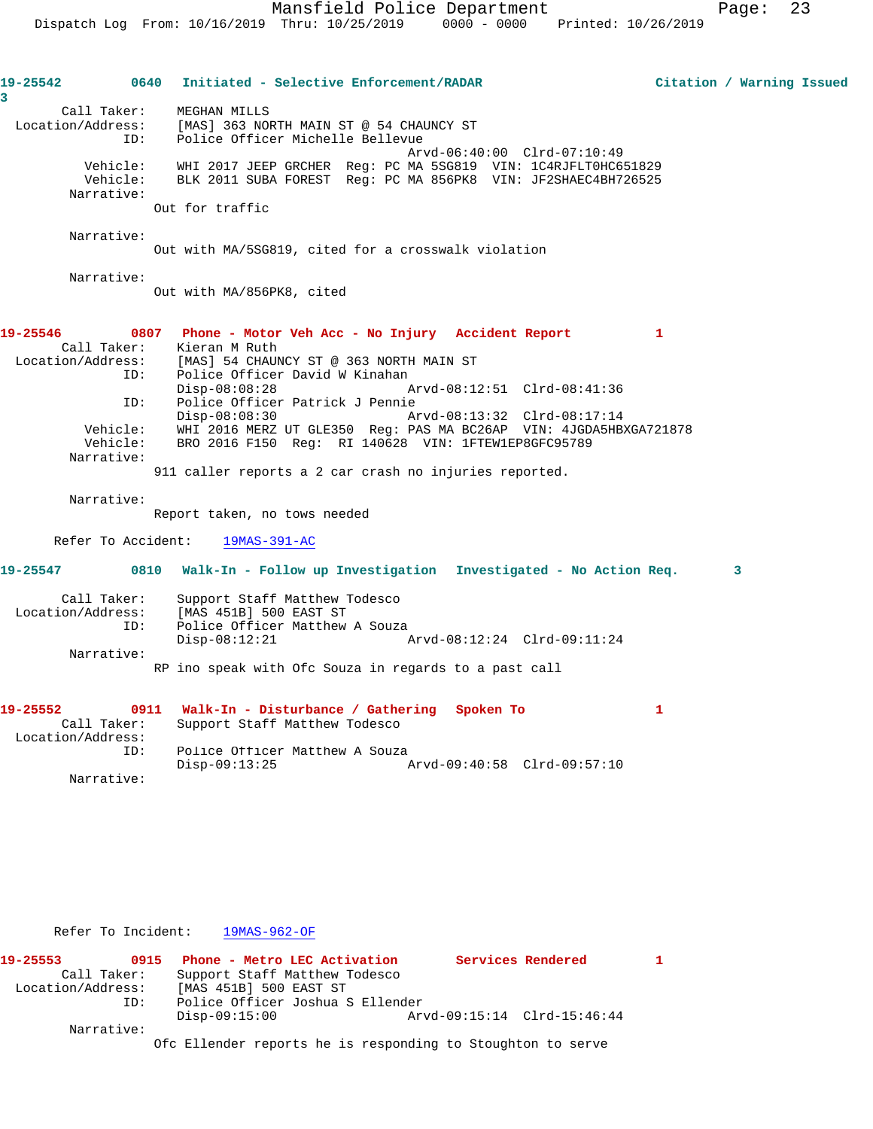| 19-25542<br>0640 Initiated - Selective Enforcement/RADAR<br>Citation / Warning Issued<br>3<br>Call Taker: MEGHAN MILLS<br>Location/Address: [MAS] 363 NORTH MAIN ST @ 54 CHAUNCY ST<br>Police Officer Michelle Bellevue<br>ID:<br>Arvd-06:40:00 Clrd-07:10:49<br>Vehicle: WHI 2017 JEEP GRCHER Req: PC MA 5SG819 VIN: 1C4RJFLT0HC651829<br>Vehicle:<br>BLK 2011 SUBA FOREST Reg: PC MA 856PK8 VIN: JF2SHAEC4BH726525<br>Narrative:<br>Out for traffic<br>Narrative:<br>Out with MA/5SG819, cited for a crosswalk violation<br>Narrative:<br>Out with MA/856PK8, cited<br>19-25546<br>0807 Phone - Motor Veh Acc - No Injury Accident Report<br>1<br>Call Taker:<br>Kieran M Ruth<br>Location/Address: [MAS] 54 CHAUNCY ST @ 363 NORTH MAIN ST<br>Police Officer David W Kinahan<br>ID:<br>$Disp-08:08:28$<br>Arvd-08:12:51 Clrd-08:41:36<br>ID: Police Officer Patrick J Pennie<br>$Disp-08:08:30$<br>Arvd-08:13:32 Clrd-08:17:14<br>Vehicle: WHI 2016 MERZ UT GLE350 Reg: PAS MA BC26AP VIN: 4JGDA5HBXGA721878<br>BRO 2016 F150 Req: RI 140628 VIN: 1FTEW1EP8GFC95789<br>Vehicle:<br>Narrative:<br>911 caller reports a 2 car crash no injuries reported.<br>Narrative:<br>Report taken, no tows needed<br>Refer To Accident:<br>$19MAS-391-AC$<br>0810 Walk-In - Follow up Investigation Investigated - No Action Req. 3<br>19-25547<br>Call Taker:<br>Support Staff Matthew Todesco<br>Location/Address: [MAS 451B] 500 EAST ST<br>Police Officer Matthew A Souza<br>ID:<br>$Disp-08:12:21$<br>Arvd-08:12:24 Clrd-09:11:24<br>Narrative:<br>RP ino speak with Ofc Souza in regards to a past call<br>19-25552<br>0911 Walk-In - Disturbance / Gathering Spoken To<br>1<br>Call Taker:<br>Support Staff Matthew Todesco<br>Location/Address:<br>Police Officer Matthew A Souza<br>TD:<br>$Disp-09:13:25$<br>Arvd-09:40:58 Clrd-09:57:10<br>Narrative: |  |  |
|---------------------------------------------------------------------------------------------------------------------------------------------------------------------------------------------------------------------------------------------------------------------------------------------------------------------------------------------------------------------------------------------------------------------------------------------------------------------------------------------------------------------------------------------------------------------------------------------------------------------------------------------------------------------------------------------------------------------------------------------------------------------------------------------------------------------------------------------------------------------------------------------------------------------------------------------------------------------------------------------------------------------------------------------------------------------------------------------------------------------------------------------------------------------------------------------------------------------------------------------------------------------------------------------------------------------------------------------------------------------------------------------------------------------------------------------------------------------------------------------------------------------------------------------------------------------------------------------------------------------------------------------------------------------------------------------------------------------------------------------------------------------------------------------------------------------------------------------------------|--|--|
|                                                                                                                                                                                                                                                                                                                                                                                                                                                                                                                                                                                                                                                                                                                                                                                                                                                                                                                                                                                                                                                                                                                                                                                                                                                                                                                                                                                                                                                                                                                                                                                                                                                                                                                                                                                                                                                         |  |  |
|                                                                                                                                                                                                                                                                                                                                                                                                                                                                                                                                                                                                                                                                                                                                                                                                                                                                                                                                                                                                                                                                                                                                                                                                                                                                                                                                                                                                                                                                                                                                                                                                                                                                                                                                                                                                                                                         |  |  |
|                                                                                                                                                                                                                                                                                                                                                                                                                                                                                                                                                                                                                                                                                                                                                                                                                                                                                                                                                                                                                                                                                                                                                                                                                                                                                                                                                                                                                                                                                                                                                                                                                                                                                                                                                                                                                                                         |  |  |
|                                                                                                                                                                                                                                                                                                                                                                                                                                                                                                                                                                                                                                                                                                                                                                                                                                                                                                                                                                                                                                                                                                                                                                                                                                                                                                                                                                                                                                                                                                                                                                                                                                                                                                                                                                                                                                                         |  |  |
|                                                                                                                                                                                                                                                                                                                                                                                                                                                                                                                                                                                                                                                                                                                                                                                                                                                                                                                                                                                                                                                                                                                                                                                                                                                                                                                                                                                                                                                                                                                                                                                                                                                                                                                                                                                                                                                         |  |  |
|                                                                                                                                                                                                                                                                                                                                                                                                                                                                                                                                                                                                                                                                                                                                                                                                                                                                                                                                                                                                                                                                                                                                                                                                                                                                                                                                                                                                                                                                                                                                                                                                                                                                                                                                                                                                                                                         |  |  |
|                                                                                                                                                                                                                                                                                                                                                                                                                                                                                                                                                                                                                                                                                                                                                                                                                                                                                                                                                                                                                                                                                                                                                                                                                                                                                                                                                                                                                                                                                                                                                                                                                                                                                                                                                                                                                                                         |  |  |
|                                                                                                                                                                                                                                                                                                                                                                                                                                                                                                                                                                                                                                                                                                                                                                                                                                                                                                                                                                                                                                                                                                                                                                                                                                                                                                                                                                                                                                                                                                                                                                                                                                                                                                                                                                                                                                                         |  |  |
|                                                                                                                                                                                                                                                                                                                                                                                                                                                                                                                                                                                                                                                                                                                                                                                                                                                                                                                                                                                                                                                                                                                                                                                                                                                                                                                                                                                                                                                                                                                                                                                                                                                                                                                                                                                                                                                         |  |  |
|                                                                                                                                                                                                                                                                                                                                                                                                                                                                                                                                                                                                                                                                                                                                                                                                                                                                                                                                                                                                                                                                                                                                                                                                                                                                                                                                                                                                                                                                                                                                                                                                                                                                                                                                                                                                                                                         |  |  |
|                                                                                                                                                                                                                                                                                                                                                                                                                                                                                                                                                                                                                                                                                                                                                                                                                                                                                                                                                                                                                                                                                                                                                                                                                                                                                                                                                                                                                                                                                                                                                                                                                                                                                                                                                                                                                                                         |  |  |
|                                                                                                                                                                                                                                                                                                                                                                                                                                                                                                                                                                                                                                                                                                                                                                                                                                                                                                                                                                                                                                                                                                                                                                                                                                                                                                                                                                                                                                                                                                                                                                                                                                                                                                                                                                                                                                                         |  |  |
|                                                                                                                                                                                                                                                                                                                                                                                                                                                                                                                                                                                                                                                                                                                                                                                                                                                                                                                                                                                                                                                                                                                                                                                                                                                                                                                                                                                                                                                                                                                                                                                                                                                                                                                                                                                                                                                         |  |  |
|                                                                                                                                                                                                                                                                                                                                                                                                                                                                                                                                                                                                                                                                                                                                                                                                                                                                                                                                                                                                                                                                                                                                                                                                                                                                                                                                                                                                                                                                                                                                                                                                                                                                                                                                                                                                                                                         |  |  |
|                                                                                                                                                                                                                                                                                                                                                                                                                                                                                                                                                                                                                                                                                                                                                                                                                                                                                                                                                                                                                                                                                                                                                                                                                                                                                                                                                                                                                                                                                                                                                                                                                                                                                                                                                                                                                                                         |  |  |
|                                                                                                                                                                                                                                                                                                                                                                                                                                                                                                                                                                                                                                                                                                                                                                                                                                                                                                                                                                                                                                                                                                                                                                                                                                                                                                                                                                                                                                                                                                                                                                                                                                                                                                                                                                                                                                                         |  |  |
|                                                                                                                                                                                                                                                                                                                                                                                                                                                                                                                                                                                                                                                                                                                                                                                                                                                                                                                                                                                                                                                                                                                                                                                                                                                                                                                                                                                                                                                                                                                                                                                                                                                                                                                                                                                                                                                         |  |  |

Refer To Incident: 19MAS-962-OF

**19-25553 0915 Phone - Metro LEC Activation Services Rendered 1**  Call Taker: Support Staff Matthew Todesco Location/Address: [MAS 451B] 500 EAST ST ID: Police Officer Joshua S Ellender Disp-09:15:00 Arvd-09:15:14 Clrd-15:46:44 Narrative: Ofc Ellender reports he is responding to Stoughton to serve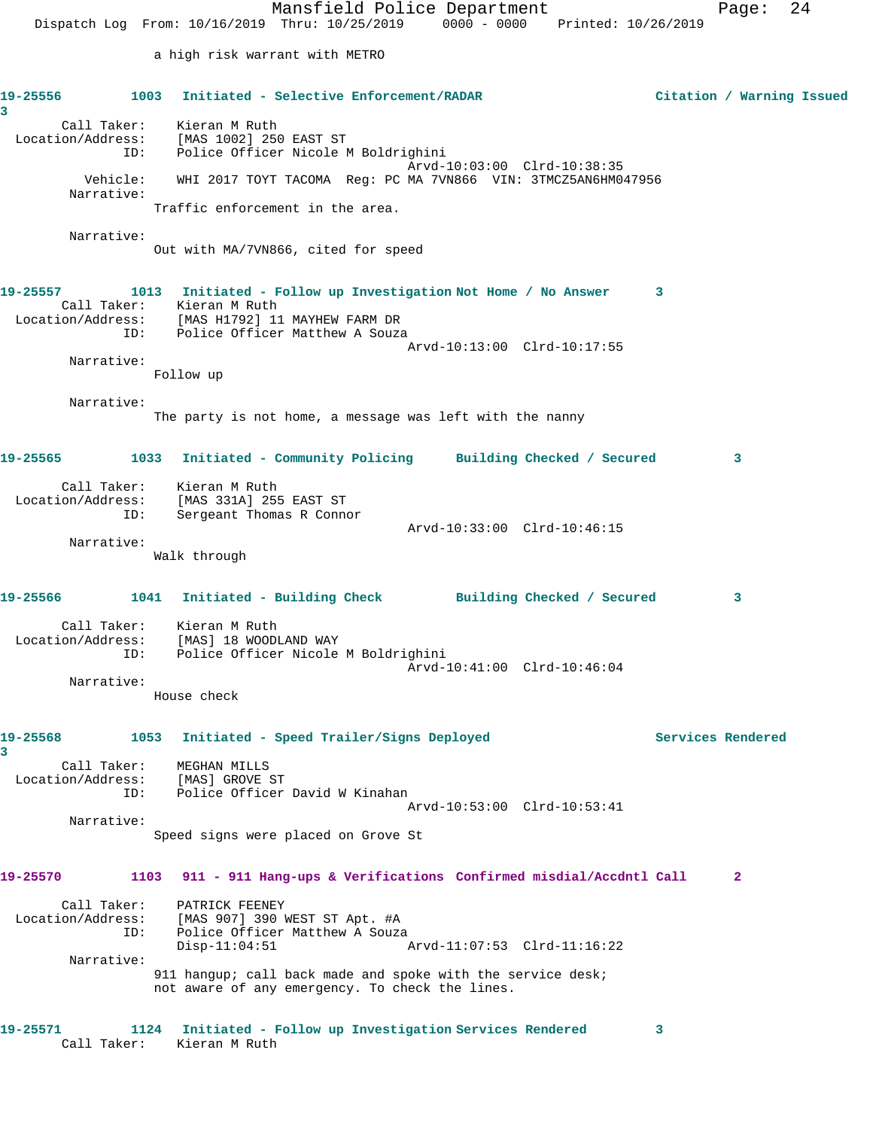Mansfield Police Department Fage: 24 Dispatch Log From: 10/16/2019 Thru: 10/25/2019 0000 - 0000 Printed: 10/26/2019 a high risk warrant with METRO **19-25556 1003 Initiated - Selective Enforcement/RADAR Citation / Warning Issued 3**  Call Taker: Kieran M Ruth Location/Address: [MAS 1002] 250 EAST ST ID: Police Officer Nicole M Boldrighini Arvd-10:03:00 Clrd-10:38:35 Vehicle: WHI 2017 TOYT TACOMA Reg: PC MA 7VN866 VIN: 3TMCZ5AN6HM047956 Narrative: Traffic enforcement in the area. Narrative: Out with MA/7VN866, cited for speed **19-25557 1013 Initiated - Follow up Investigation Not Home / No Answer 3**  Call Taker: Kieran M Ruth Location/Address: [MAS H1792] 11 MAYHEW FARM DR ID: Police Officer Matthew A Souza Arvd-10:13:00 Clrd-10:17:55 Narrative: Follow up Narrative: The party is not home, a message was left with the nanny **19-25565 1033 Initiated - Community Policing Building Checked / Secured 3** Call Taker: Kieran M Ruth Location/Address: [MAS 331A] 255 EAST ST ID: Sergeant Thomas R Connor Arvd-10:33:00 Clrd-10:46:15 Narrative: Walk through **19-25566 1041 Initiated - Building Check Building Checked / Secured 3** Call Taker: Kieran M Ruth Location/Address: [MAS] 18 WOODLAND WAY ID: Police Officer Nicole M Boldrighini Arvd-10:41:00 Clrd-10:46:04 Narrative: House check **19-25568 1053 Initiated - Speed Trailer/Signs Deployed Services Rendered 3**  Call Taker: MEGHAN MILLS Location/Address: [MAS] GROVE ST ID: Police Officer David W Kinahan Arvd-10:53:00 Clrd-10:53:41 Narrative: Speed signs were placed on Grove St **19-25570 1103 911 - 911 Hang-ups & Verifications Confirmed misdial/Accdntl Call 2** Call Taker: PATRICK FEENEY Location/Address: [MAS 907] 390 WEST ST Apt. #A ID: Police Officer Matthew A Souza Disp-11:04:51 Arvd-11:07:53 Clrd-11:16:22 Narrative: 911 hangup; call back made and spoke with the service desk; not aware of any emergency. To check the lines. **19-25571 1124 Initiated - Follow up Investigation Services Rendered 3** 

Call Taker: Kieran M Ruth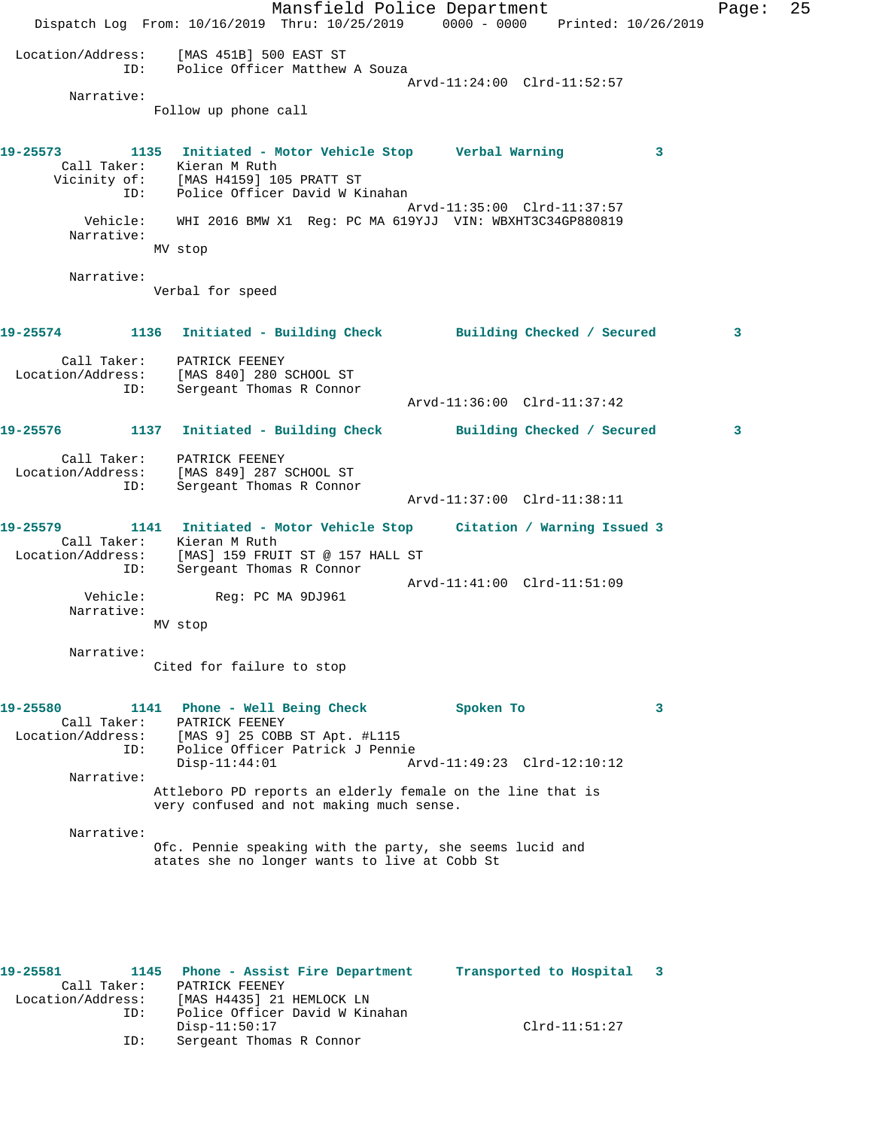Mansfield Police Department Fage: 25 Dispatch Log From: 10/16/2019 Thru: 10/25/2019 0000 - 0000 Printed: 10/26/2019 Location/Address: [MAS 451B] 500 EAST ST ID: Police Officer Matthew A Souza Arvd-11:24:00 Clrd-11:52:57 Narrative: Follow up phone call **19-25573 1135 Initiated - Motor Vehicle Stop Verbal Warning 3**  Call Taker: Kieran M Ruth Vicinity of: [MAS H4159] 105 PRATT ST ID: Police Officer David W Kinahan Arvd-11:35:00 Clrd-11:37:57 Vehicle: WHI 2016 BMW X1 Reg: PC MA 619YJJ VIN: WBXHT3C34GP880819 Narrative: MV stop Narrative: Verbal for speed **19-25574 1136 Initiated - Building Check Building Checked / Secured 3** Call Taker: PATRICK FEENEY Location/Address: [MAS 840] 280 SCHOOL ST ID: Sergeant Thomas R Connor Arvd-11:36:00 Clrd-11:37:42 **19-25576 1137 Initiated - Building Check Building Checked / Secured 3** Call Taker: PATRICK FEENEY Location/Address: [MAS 849] 287 SCHOOL ST ID: Sergeant Thomas R Connor Arvd-11:37:00 Clrd-11:38:11 **19-25579 1141 Initiated - Motor Vehicle Stop Citation / Warning Issued 3**  Call Taker: Kieran M Ruth Location/Address: [MAS] 159 FRUIT ST @ 157 HALL ST ID: Sergeant Thomas R Connor Arvd-11:41:00 Clrd-11:51:09 Vehicle: Reg: PC MA 9DJ961 Narrative: MV stop Narrative: Cited for failure to stop **19-25580 1141 Phone - Well Being Check Spoken To 3**  Call Taker: PATRICK FEENEY Location/Address: [MAS 9] 25 COBB ST Apt. #L115 ID: Police Officer Patrick J Pennie<br>Disp-11:44:01 Ar Disp-11:44:01 Arvd-11:49:23 Clrd-12:10:12 Narrative: Attleboro PD reports an elderly female on the line that is very confused and not making much sense. Narrative: Ofc. Pennie speaking with the party, she seems lucid and atates she no longer wants to live at Cobb St **19-25581 1145 Phone - Assist Fire Department Transported to Hospital 3** 

 Call Taker: PATRICK FEENEY Location/Address: [MAS H4435] 21 HEMLOCK LN ID: Police Officer David W Kinahan Disp-11:50:17 Clrd-11:51:27 ID: Sergeant Thomas R Connor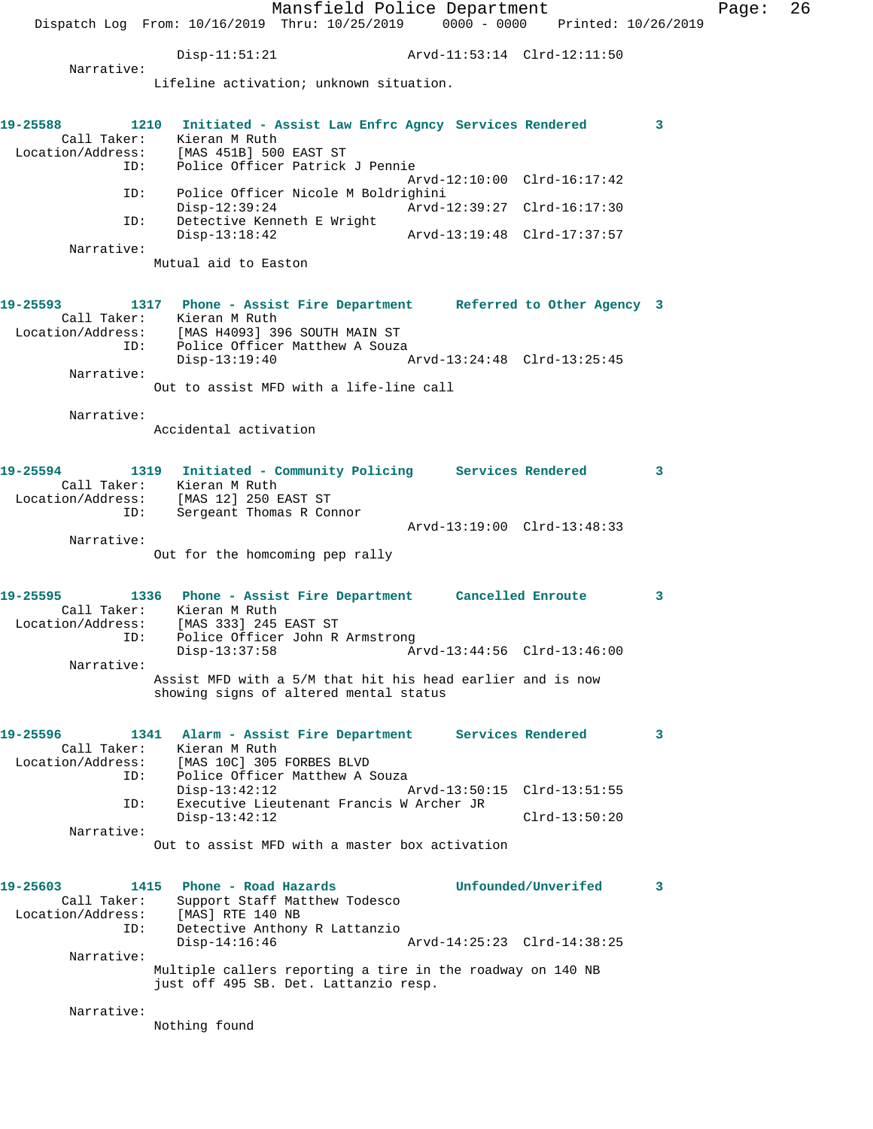Mansfield Police Department Fage: 26 Dispatch Log From: 10/16/2019 Thru: 10/25/2019 0000 - 0000 Printed: 10/26/2019 Disp-11:51:21 Arvd-11:53:14 Clrd-12:11:50 Narrative: Lifeline activation; unknown situation. **19-25588 1210 Initiated - Assist Law Enfrc Agncy Services Rendered 3**  Call Taker: Kieran M Ruth Location/Address: [MAS 451B] 500 EAST ST Police Officer Patrick J Pennie Arvd-12:10:00 Clrd-16:17:42<br>TD: Police Officer Nicole M Boldrighini ID: Police Officer Nicole M Boldrighini Disp-12:39:24 Arvd-12:39:27 Clrd-16:17:30<br>ID: Detective Kenneth E Wright Detective Kenneth E Wright<br>Disp-13:18:42 Disp-13:18:42 Arvd-13:19:48 Clrd-17:37:57 Narrative: Mutual aid to Easton **19-25593 1317 Phone - Assist Fire Department Referred to Other Agency 3**  Call Taker: Kieran M Ruth Location/Address: [MAS H4093] 396 SOUTH MAIN ST ID: Police Officer Matthew A Souza Disp-13:19:40 Arvd-13:24:48 Clrd-13:25:45 Narrative: Out to assist MFD with a life-line call Narrative: Accidental activation **19-25594 1319 Initiated - Community Policing Services Rendered 3**  Call Taker: Kieran M Ruth Location/Address: [MAS 12] 250 EAST ST ID: Sergeant Thomas R Connor Arvd-13:19:00 Clrd-13:48:33 Narrative: Out for the homcoming pep rally **19-25595 1336 Phone - Assist Fire Department Cancelled Enroute 3**  Call Taker: Kieran M Ruth Location/Address: [MAS 333] 245 EAST ST ess: [MAS 333] 245 EAST ST<br>ID: Police Officer John R Armstrong<br>Disp-13:37:58 Am Disp-13:37:58 Arvd-13:44:56 Clrd-13:46:00 Narrative: Assist MFD with a 5/M that hit his head earlier and is now showing signs of altered mental status **19-25596 1341 Alarm - Assist Fire Department Services Rendered 3**  Call Taker: Kieran M Ruth Location/Address: [MAS 10C] 305 FORBES BLVD ID: Police Officer Matthew A Souza<br>Disp-13:42:12 Disp-13:42:12 Arvd-13:50:15 Clrd-13:51:55<br>ID: Executive Lieutenant Francis W Archer JR ID: Executive Lieutenant Francis W Archer JR Disp-13:42:12 Clrd-13:50:20 Narrative: Out to assist MFD with a master box activation **19-25603 1415 Phone - Road Hazards Unfounded/Unverifed 3**  Call Taker: Support Staff Matthew Todesco Location/Address: [MAS] RTE 140 NB ID: Detective Anthony R Lattanzio Disp-14:16:46 Arvd-14:25:23 Clrd-14:38:25 Narrative: Multiple callers reporting a tire in the roadway on 140 NB just off 495 SB. Det. Lattanzio resp. Narrative: Nothing found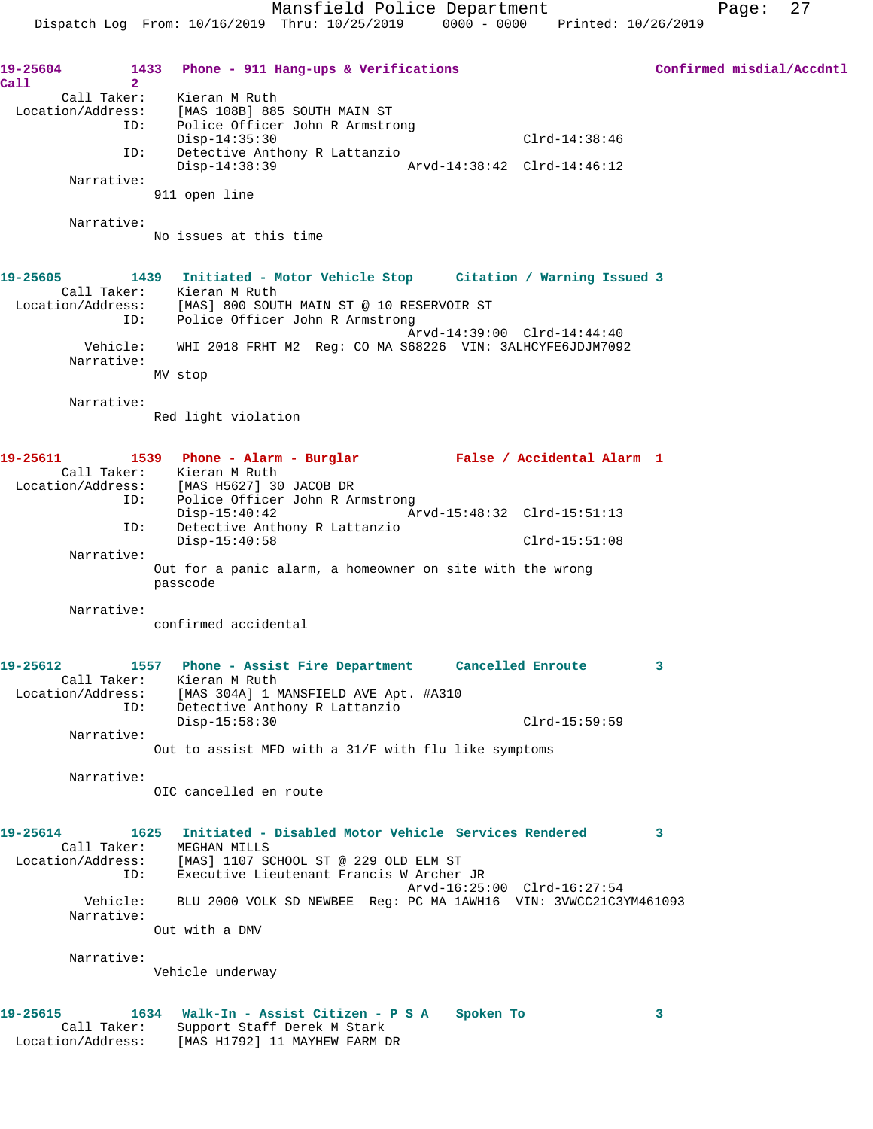19-25604 1433 Phone - 911 Hang-ups & Verifications **Confirmed misdial/Accdntl Call 2**  Call Taker: Kieran M Ruth Location/Address: [MAS 108B] 885 SOUTH MAIN ST ID: Police Officer John R Armstrong Disp-14:35:30 Clrd-14:38:46 ID: Detective Anthony R Lattanzio<br>Disp-14:38:39 Disp-14:38:39 Arvd-14:38:42 Clrd-14:46:12 Narrative: 911 open line Narrative: No issues at this time **19-25605 1439 Initiated - Motor Vehicle Stop Citation / Warning Issued 3**  Call Taker: Kieran M Ruth Location/Address: [MAS] 800 SOUTH MAIN ST @ 10 RESERVOIR ST ID: Police Officer John R Armstrong Arvd-14:39:00 Clrd-14:44:40 Vehicle: WHI 2018 FRHT M2 Reg: CO MA S68226 VIN: 3ALHCYFE6JDJM7092 Narrative: MV stop Narrative: Red light violation **19-25611 1539 Phone - Alarm - Burglar False / Accidental Alarm 1**  Call Taker: Kieran M Ruth Location/Address: [MAS H5627] 30 JACOB DR ID: Police Officer John R Armstrong Disp-15:40:42 Arvd-15:48:32 Clrd-15:51:13 ID: Detective Anthony R Lattanzio Disp-15:40:58 Clrd-15:51:08 Narrative: Out for a panic alarm, a homeowner on site with the wrong passcode Narrative: confirmed accidental **19-25612 1557 Phone - Assist Fire Department Cancelled Enroute 3**  Call Taker: Kieran M Ruth Location/Address: [MAS 304A] 1 MANSFIELD AVE Apt. #A310 ID: Detective Anthony R Lattanzio Disp-15:58:30 Clrd-15:59:59 Narrative: Out to assist MFD with a 31/F with flu like symptoms Narrative: OIC cancelled en route **19-25614 1625 Initiated - Disabled Motor Vehicle Services Rendered 3**  Call Taker: MEGHAN MILLS Location/Address: [MAS] 1107 SCHOOL ST @ 229 OLD ELM ST ID: Executive Lieutenant Francis W Archer JR Arvd-16:25:00 Clrd-16:27:54 Vehicle: BLU 2000 VOLK SD NEWBEE Reg: PC MA 1AWH16 VIN: 3VWCC21C3YM461093 Narrative: Out with a DMV Narrative: Vehicle underway **19-25615 1634 Walk-In - Assist Citizen - P S A Spoken To 3**  Call Taker: Support Staff Derek M Stark Location/Address: [MAS H1792] 11 MAYHEW FARM DR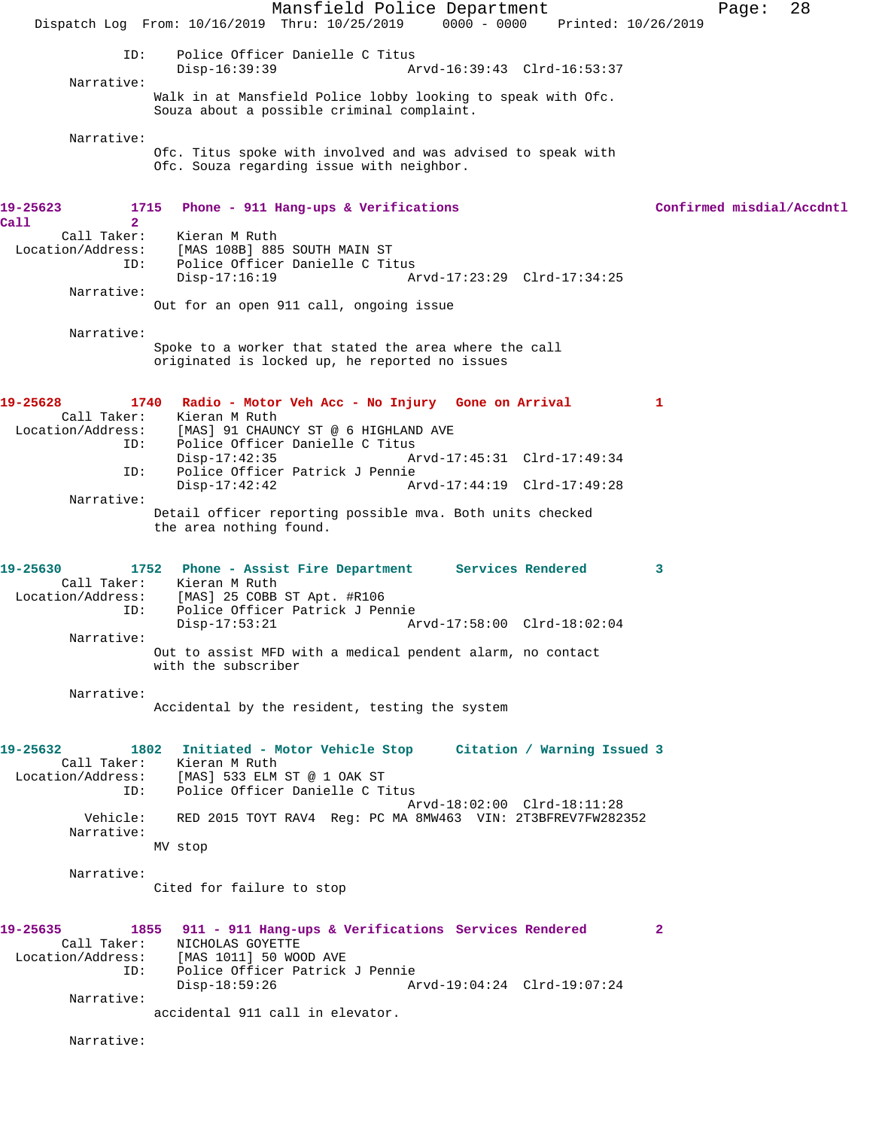Mansfield Police Department Page: 28 Dispatch Log From: 10/16/2019 Thru: 10/25/2019 0000 - 0000 Printed: 10/26/2019 ID: Police Officer Danielle C Titus Disp-16:39:39 Arvd-16:39:43 Clrd-16:53:37 Narrative: Walk in at Mansfield Police lobby looking to speak with Ofc. Souza about a possible criminal complaint. Narrative: Ofc. Titus spoke with involved and was advised to speak with Ofc. Souza regarding issue with neighbor. **19-25623 1715 Phone - 911 Hang-ups & Verifications Confirmed misdial/Accdntl Call 2**  Kieran M Ruth Location/Address: [MAS 108B] 885 SOUTH MAIN ST Police Officer Danielle C Titus Disp-17:16:19 Arvd-17:23:29 Clrd-17:34:25 Narrative: Out for an open 911 call, ongoing issue Narrative: Spoke to a worker that stated the area where the call originated is locked up, he reported no issues **19-25628 1740 Radio - Motor Veh Acc - No Injury Gone on Arrival 1**  Call Taker: Kieran M Ruth<br>Location/Address: [MAS] 91 CHAU ess: [MAS] 91 CHAUNCY ST @ 6 HIGHLAND AVE<br>ID: Police Officer Danielle C Titus Police Officer Danielle C Titus Disp-17:42:35 Arvd-17:45:31 Clrd-17:49:34 Police Officer Patrick J Pennie<br>Disp-17:42:42 Ar Disp-17:42:42 Arvd-17:44:19 Clrd-17:49:28 Narrative: Detail officer reporting possible mva. Both units checked the area nothing found. **19-25630 1752 Phone - Assist Fire Department Services Rendered 3**  Call Taker: Kieran M Ruth Location/Address: [MAS] 25 COBB ST Apt. #R106<br>ID: Police Officer Patrick J Per Police Officer Patrick J Pennie Disp-17:53:21 Arvd-17:58:00 Clrd-18:02:04 Narrative: Out to assist MFD with a medical pendent alarm, no contact with the subscriber Narrative: Accidental by the resident, testing the system **19-25632 1802 Initiated - Motor Vehicle Stop Citation / Warning Issued 3**  Call Taker: Kieran M Ruth Location/Address: [MAS] 533 ELM ST @ 1 OAK ST ID: Police Officer Danielle C Titus Arvd-18:02:00 Clrd-18:11:28<br>Vehicle: RED 2015 TOYT RAV4 Reg: PC MA 8MW463 VIN: 2T3BFREV7FW282 RED 2015 TOYT RAV4 Reg: PC MA 8MW463 VIN: 2T3BFREV7FW282352 Narrative: MV stop Narrative: Cited for failure to stop **19-25635 1855 911 - 911 Hang-ups & Verifications Services Rendered 2**  Call Taker: NICHOLAS GOYETTE Location/Address: [MAS 1011] 50 WOOD AVE Police Officer Patrick J Pennie<br>Disp-18:59:26 A Disp-18:59:26 Arvd-19:04:24 Clrd-19:07:24 Narrative: accidental 911 call in elevator. Narrative: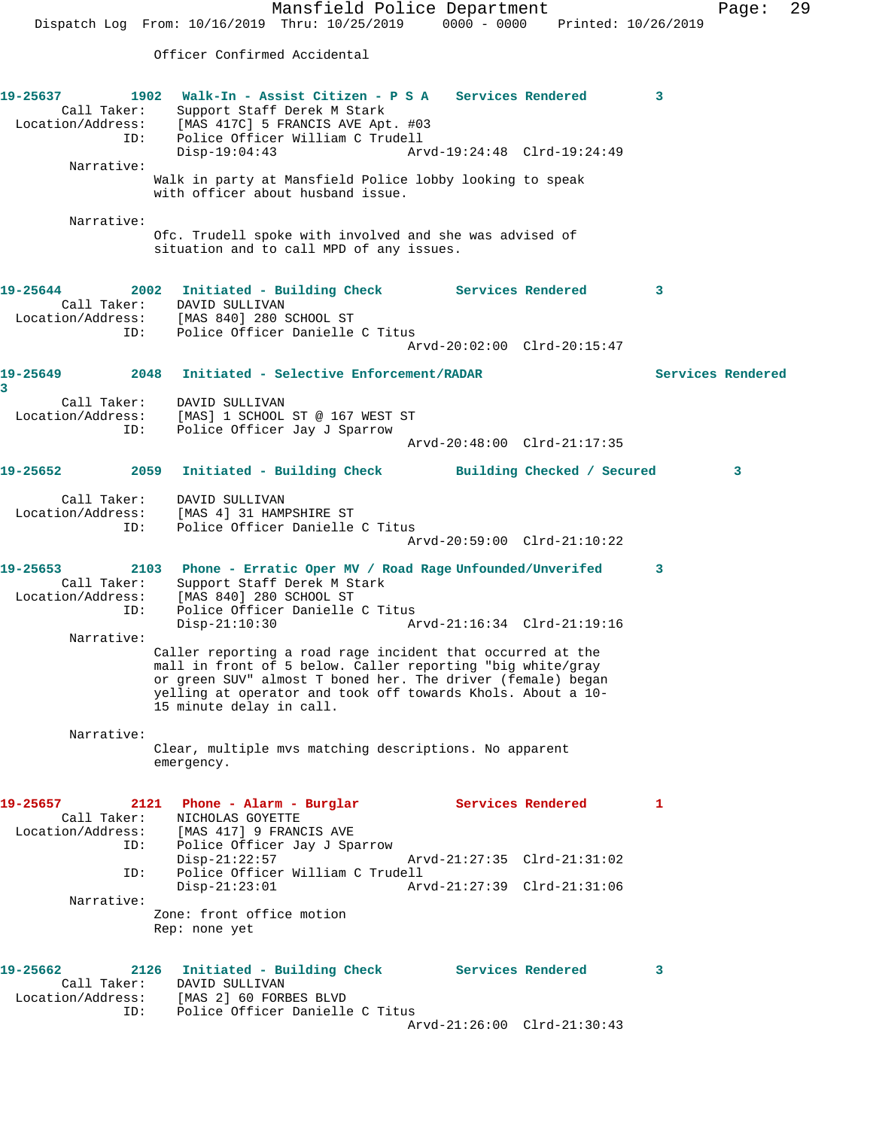Mansfield Police Department Page: 29 Dispatch Log From: 10/16/2019 Thru: 10/25/2019 0000 - 0000 Printed: 10/26/2019 Officer Confirmed Accidental **19-25637 1902 Walk-In - Assist Citizen - P S A Services Rendered 3**  Call Taker: Support Staff Derek M Stark Location/Address: [MAS 417C] 5 FRANCIS AVE Apt. #03 ID: Police Officer William C Trudell<br>Disp-19:04:43 Arv Disp-19:04:43 Arvd-19:24:48 Clrd-19:24:49 Narrative: Walk in party at Mansfield Police lobby looking to speak with officer about husband issue. Narrative: Ofc. Trudell spoke with involved and she was advised of situation and to call MPD of any issues. **19-25644 2002 Initiated - Building Check Services Rendered 3**  Call Taker: DAVID SULLIVAN Location/Address: [MAS 840] 280 SCHOOL ST ID: Police Officer Danielle C Titus Arvd-20:02:00 Clrd-20:15:47 **19-25649 2048 Initiated - Selective Enforcement/RADAR Services Rendered 3**  Call Taker: DAVID SULLIVAN Location/Address: [MAS] 1 SCHOOL ST @ 167 WEST ST ID: Police Officer Jay J Sparrow Arvd-20:48:00 Clrd-21:17:35 **19-25652 2059 Initiated - Building Check Building Checked / Secured 3** Call Taker: DAVID SULLIVAN Location/Address: [MAS 4] 31 HAMPSHIRE ST ID: Police Officer Danielle C Titus Arvd-20:59:00 Clrd-21:10:22 **19-25653 2103 Phone - Erratic Oper MV / Road Rage Unfounded/Unverifed 3**  Call Taker: Support Staff Derek M Stark Location/Address: [MAS 840] 280 SCHOOL ST ID: Police Officer Danielle C Titus Disp-21:10:30 Arvd-21:16:34 Clrd-21:19:16 Narrative: Caller reporting a road rage incident that occurred at the mall in front of 5 below. Caller reporting "big white/gray or green SUV" almost T boned her. The driver (female) began yelling at operator and took off towards Khols. About a 10- 15 minute delay in call. Narrative: Clear, multiple mvs matching descriptions. No apparent emergency. **19-25657 2121 Phone - Alarm - Burglar Services Rendered 1**  Call Taker: NICHOLAS GOYETTE Location/Address: [MAS 417] 9 FRANCIS AVE ID: Police Officer Jay J Sparrow<br>Disp-21:22:57<br>ID: Police Officer William C Trud<br>Disp-21:23:01 Disp-21:22:57 Arvd-21:27:35 Clrd-21:31:02 Police Officer William C Trudell Disp-21:23:01 Arvd-21:27:39 Clrd-21:31:06 Narrative: Zone: front office motion Rep: none yet **19-25662 2126 Initiated - Building Check Services Rendered 3**  Call Taker: DAVID SULLIVAN Location/Address: [MAS 2] 60 FORBES BLVD ID: Police Officer Danielle C Titus Arvd-21:26:00 Clrd-21:30:43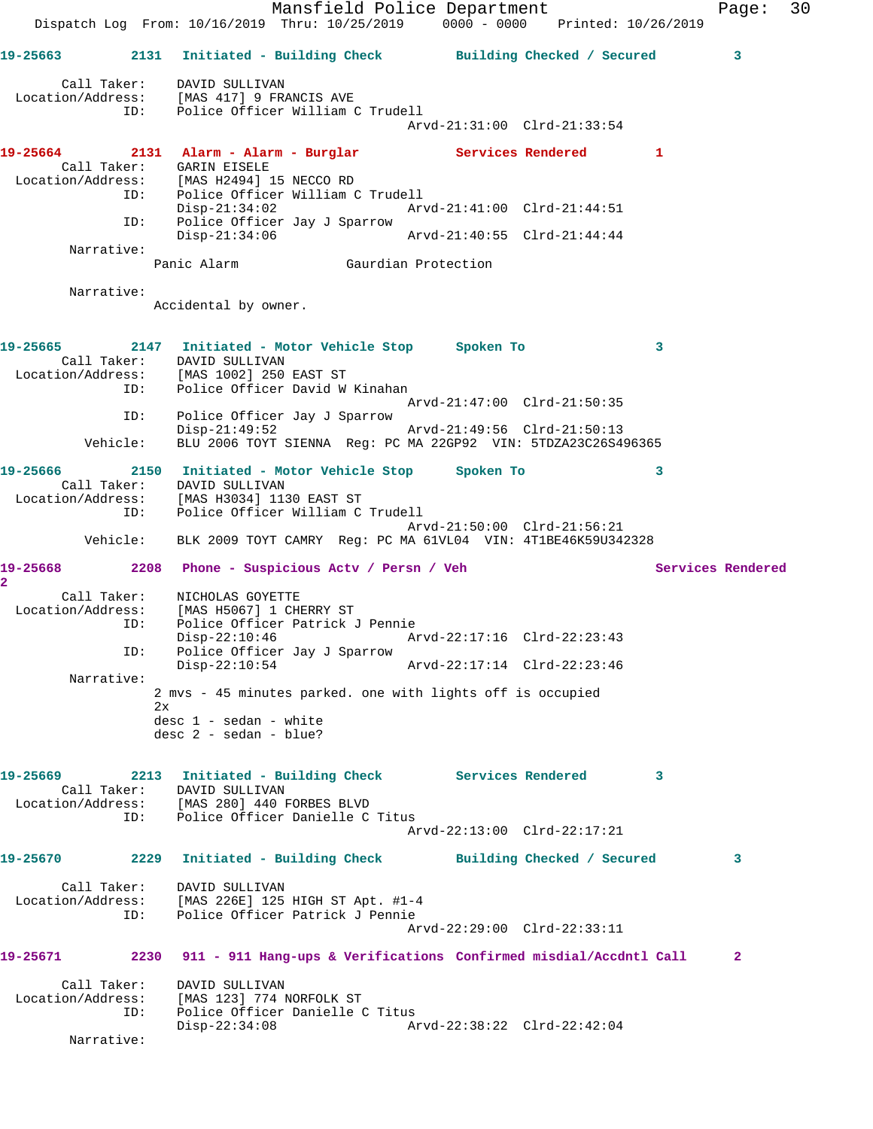Mansfield Police Department Fage: 30 Dispatch Log From: 10/16/2019 Thru: 10/25/2019 0000 - 0000 Printed: 10/26/2019 **19-25663 2131 Initiated - Building Check Building Checked / Secured 3** Call Taker: DAVID SULLIVAN Location/Address: [MAS 417] 9 FRANCIS AVE ID: Police Officer William C Trudell Arvd-21:31:00 Clrd-21:33:54 **19-25664 2131 Alarm - Alarm - Burglar Services Rendered 1**  Call Taker: GARIN EISELE Location/Address: [MAS H2494] 15 NECCO RD ID: Police Officer William C Trudell Disp-21:34:02 Arvd-21:41:00 Clrd-21:44:51 ID: Police Officer Jay J Sparrow<br>Disp-21:34:06 Disp-21:34:06 Arvd-21:40:55 Clrd-21:44:44 Narrative: Gaurdian Protection Narrative: Accidental by owner. **19-25665 2147 Initiated - Motor Vehicle Stop Spoken To 3**  Call Taker: DAVID SULLIVAN<br>Location/Address: [MAS 1002] 250 [MAS 1002] 250 EAST ST ID: Police Officer David W Kinahan Arvd-21:47:00 Clrd-21:50:35 ID: Police Officer Jay J Sparrow Disp-21:49:52 Arvd-21:49:56 Clrd-21:50:13 Vehicle: BLU 2006 TOYT SIENNA Reg: PC MA 22GP92 VIN: 5TDZA23C26S496365 **19-25666 2150 Initiated - Motor Vehicle Stop Spoken To 3**  Call Taker: DAVID SULLIVAN Location/Address: [MAS H3034] 1130 EAST ST ID: Police Officer William C Trudell Arvd-21:50:00 Clrd-21:56:21 Vehicle: BLK 2009 TOYT CAMRY Reg: PC MA 61VL04 VIN: 4T1BE46K59U342328 19-25668 2208 Phone - Suspicious Actv / Persn / Veh Services Rendered **2**  Call Taker: NICHOLAS GOYETTE Location/Address: [MAS H5067] 1 CHERRY ST ID: Police Officer Patrick J Pennie Disp-22:10:46 Arvd-22:17:16 Clrd-22:23:43 ID: Police Officer Jay J Sparrow Arvd-22:17:14 Clrd-22:23:46 Narrative: 2 mvs - 45 minutes parked. one with lights off is occupied 2x desc 1 - sedan - white desc 2 - sedan - blue? **19-25669 2213 Initiated - Building Check Services Rendered 3**  Call Taker: DAVID SULLIVAN Location/Address: [MAS 280] 440 FORBES BLVD ID: Police Officer Danielle C Titus Arvd-22:13:00 Clrd-22:17:21 **19-25670 2229 Initiated - Building Check Building Checked / Secured 3** Call Taker: DAVID SULLIVAN Location/Address: [MAS 226E] 125 HIGH ST Apt. #1-4 ID: Police Officer Patrick J Pennie Arvd-22:29:00 Clrd-22:33:11 **19-25671 2230 911 - 911 Hang-ups & Verifications Confirmed misdial/Accdntl Call 2** Call Taker: DAVID SULLIVAN Location/Address: [MAS 123] 774 NORFOLK ST ID: Police Officer Danielle C Titus Disp-22:34:08 Arvd-22:38:22 Clrd-22:42:04 Narrative: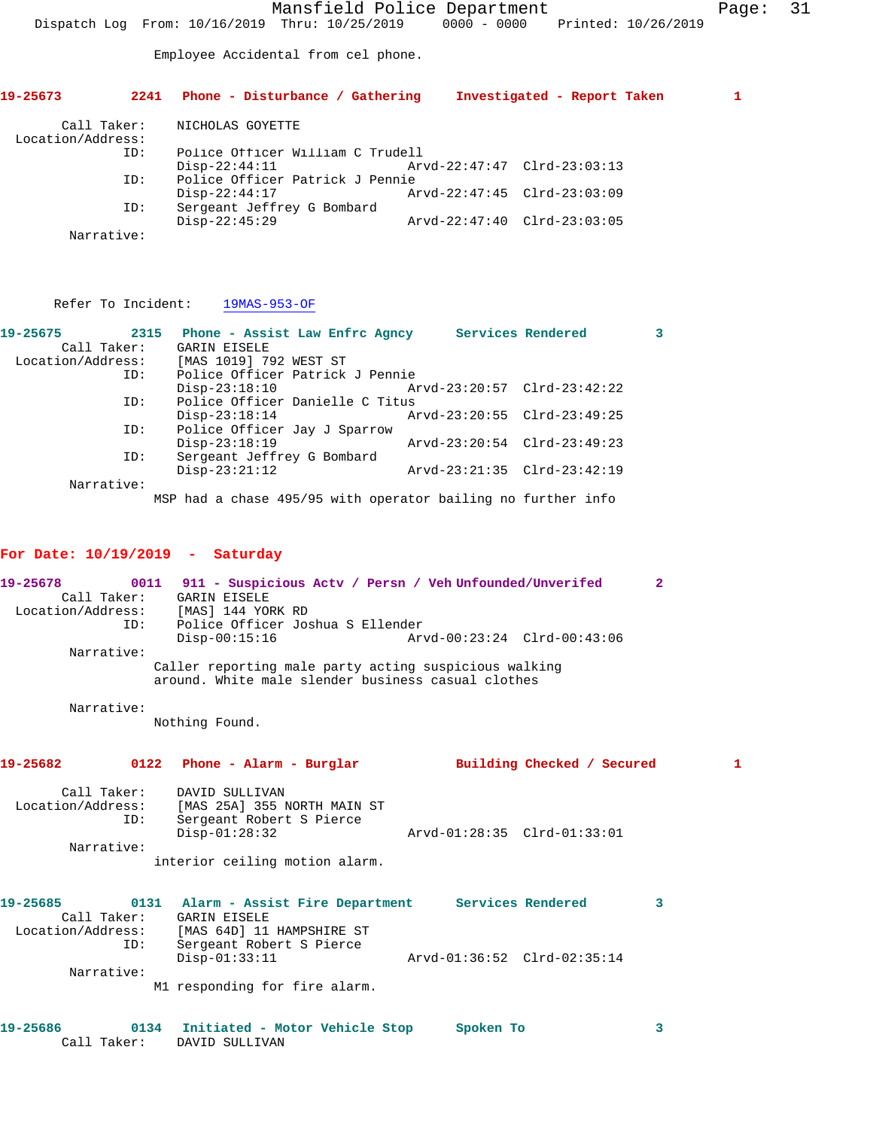Employee Accidental from cel phone.

| 19-25673                         | 2241       | Phone - Disturbance / Gathering                    | Investigated - Report Taken |  |
|----------------------------------|------------|----------------------------------------------------|-----------------------------|--|
| Call Taker:<br>Location/Address: |            | NICHOLAS GOYETTE                                   |                             |  |
|                                  | ID:        | Police Officer William C Trudell                   | Arvd-22:47:47 Clrd-23:03:13 |  |
|                                  | ID:        | $Disp-22:44:11$<br>Police Officer Patrick J Pennie |                             |  |
|                                  |            | $Disp-22:44:17$                                    | Arvd-22:47:45 Clrd-23:03:09 |  |
|                                  | ID:        | Sergeant Jeffrey G Bombard<br>$Disp-22:45:29$      | Arvd-22:47:40 Clrd-23:03:05 |  |
|                                  | Narrative: |                                                    |                             |  |

Refer To Incident: 19MAS-953-OF

| 19-25675          | 2315 Phone - Assist Law Enfrc Agncy                          |                             | Services Rendered |  |
|-------------------|--------------------------------------------------------------|-----------------------------|-------------------|--|
| Call Taker:       | <b>GARIN EISELE</b>                                          |                             |                   |  |
| Location/Address: | [MAS 1019] 792 WEST ST                                       |                             |                   |  |
| ID:               | Police Officer Patrick J Pennie                              |                             |                   |  |
|                   | $Disp-23:18:10$                                              | Arvd-23:20:57 Clrd-23:42:22 |                   |  |
| ID:               | Police Officer Danielle C Titus                              |                             |                   |  |
|                   | $Disp-23:18:14$                                              | Arvd-23:20:55 Clrd-23:49:25 |                   |  |
| ID:               | Police Officer Jay J Sparrow                                 |                             |                   |  |
|                   | $Disp-23:18:19$                                              | Arvd-23:20:54 Clrd-23:49:23 |                   |  |
| ID:               | Sergeant Jeffrey G Bombard                                   |                             |                   |  |
|                   | $Disp-23:21:12$                                              | Arvd-23:21:35 Clrd-23:42:19 |                   |  |
| Narrative:        |                                                              |                             |                   |  |
|                   | MSP had a chase 495/95 with operator bailing no further info |                             |                   |  |

## **For Date: 10/19/2019 - Saturday**

| 19-25678<br>ID:<br>Narrative: |      | 0011 911 - Suspicious Actv / Persn / Veh Unfounded/Unverifed<br>Call Taker: GARIN EISELE<br>Location/Address: [MAS] 144 YORK RD<br>Police Officer Joshua S Ellender<br>$Disp-00:15:16$<br>Caller reporting male party acting suspicious walking | Arvd-00:23:24 Clrd-00:43:06 |                            | $\overline{2}$ |
|-------------------------------|------|-------------------------------------------------------------------------------------------------------------------------------------------------------------------------------------------------------------------------------------------------|-----------------------------|----------------------------|----------------|
|                               |      | around. White male slender business casual clothes                                                                                                                                                                                              |                             |                            |                |
| Narrative:                    |      | Nothing Found.                                                                                                                                                                                                                                  |                             |                            |                |
| 19-25682                      |      | 0122 Phone - Alarm - Burglar                                                                                                                                                                                                                    |                             | Building Checked / Secured | 1              |
| Call Taker:<br>ID:            |      | DAVID SULLIVAN<br>Location/Address: [MAS 25A] 355 NORTH MAIN ST<br>Sergeant Robert S Pierce<br>$Disp-01:28:32$                                                                                                                                  | Arvd-01:28:35 Clrd-01:33:01 |                            |                |
| Narrative:                    |      |                                                                                                                                                                                                                                                 |                             |                            |                |
|                               |      | interior ceiling motion alarm.                                                                                                                                                                                                                  |                             |                            |                |
| 19-25685<br>ID:               |      | 0131 Alarm - Assist Fire Department Services Rendered<br>Call Taker: GARIN EISELE<br>Location/Address: [MAS 64D] 11 HAMPSHIRE ST<br>Sergeant Robert S Pierce                                                                                    |                             |                            | 3              |
|                               |      | $Disp-01:33:11$                                                                                                                                                                                                                                 | Arvd-01:36:52 Clrd-02:35:14 |                            |                |
| Narrative:                    |      |                                                                                                                                                                                                                                                 |                             |                            |                |
|                               |      | M1 responding for fire alarm.                                                                                                                                                                                                                   |                             |                            |                |
| 19-25686                      | 0134 | Initiated - Motor Vehicle Stop                                                                                                                                                                                                                  | Spoken To                   |                            | 3              |

| 19-25686 |             | 0134 Initiated - Motor Vehicle Stop | Spoken To |  |
|----------|-------------|-------------------------------------|-----------|--|
|          | Call Taker: | DAVID SULLIVAN                      |           |  |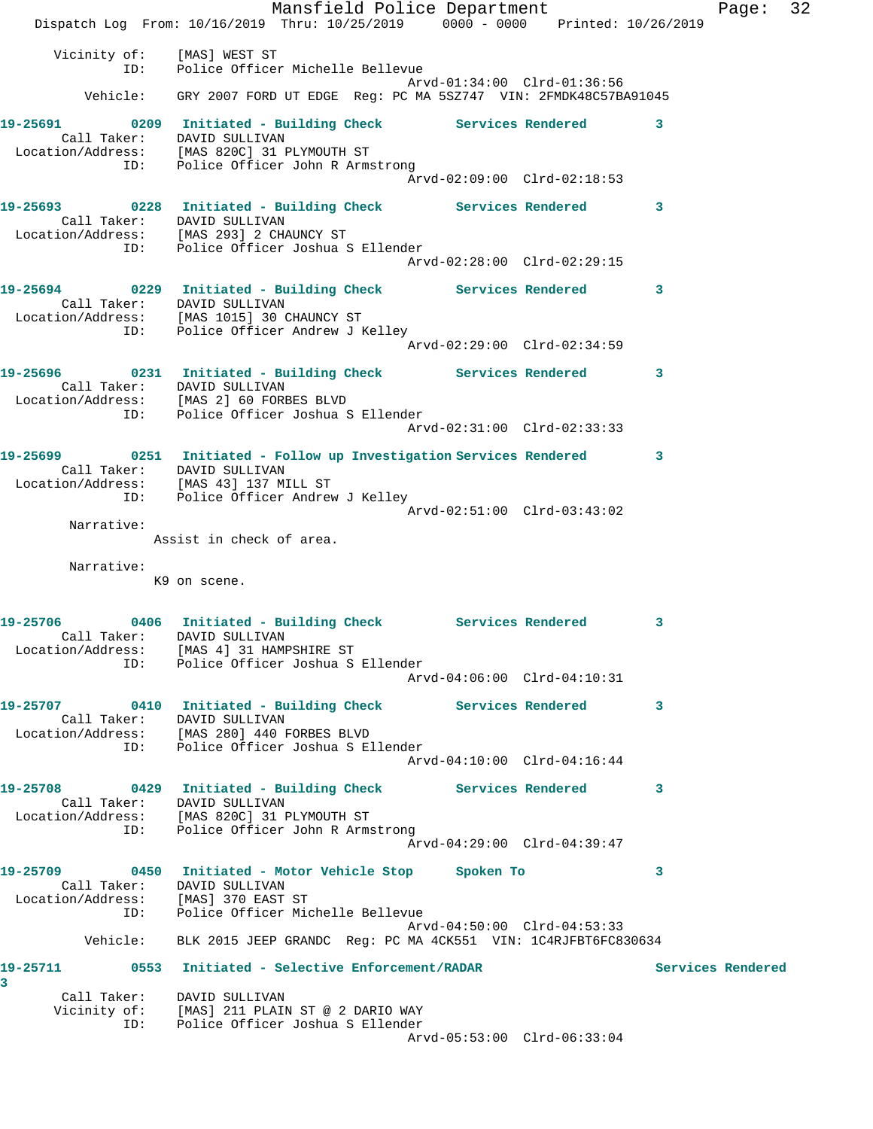Mansfield Police Department Franch Page: 32 Dispatch Log From: 10/16/2019 Thru: 10/25/2019 0000 - 0000 Printed: 10/26/2019 Vicinity of: [MAS] WEST ST ID: Police Officer Michelle Bellevue Arvd-01:34:00 Clrd-01:36:56 Vehicle: GRY 2007 FORD UT EDGE Reg: PC MA 5SZ747 VIN: 2FMDK48C57BA91045 19-25691 0209 Initiated - Building Check Services Rendered 3 Call Taker: DAVID SULLIVAN Location/Address: [MAS 820C] 31 PLYMOUTH ST ID: Police Officer John R Armstrong Arvd-02:09:00 Clrd-02:18:53 **19-25693 0228 Initiated - Building Check Services Rendered 3**  Call Taker: DAVID SULLIVAN Location/Address: [MAS 293] 2 CHAUNCY ST ID: Police Officer Joshua S Ellender Arvd-02:28:00 Clrd-02:29:15 **19-25694 0229 Initiated - Building Check Services Rendered 3**  Call Taker: DAVID SULLIVAN Location/Address: [MAS 1015] 30 CHAUNCY ST ID: Police Officer Andrew J Kelley Arvd-02:29:00 Clrd-02:34:59 **19-25696 0231 Initiated - Building Check Services Rendered 3**  Call Taker: DAVID SULLIVAN Location/Address: [MAS 2] 60 FORBES BLVD ID: Police Officer Joshua S Ellender Arvd-02:31:00 Clrd-02:33:33 **19-25699 0251 Initiated - Follow up Investigation Services Rendered 3**  Call Taker: DAVID SULLIVAN Location/Address: [MAS 43] 137 MILL ST ID: Police Officer Andrew J Kelley Arvd-02:51:00 Clrd-03:43:02 Narrative: Assist in check of area. Narrative: K9 on scene. **19-25706 0406 Initiated - Building Check Services Rendered 3**  Call Taker: DAVID SULLIVAN Location/Address: [MAS 4] 31 HAMPSHIRE ST ID: Police Officer Joshua S Ellender Arvd-04:06:00 Clrd-04:10:31 **19-25707 0410 Initiated - Building Check Services Rendered 3**  Call Taker: DAVID SULLIVAN Location/Address: [MAS 280] 440 FORBES BLVD ID: Police Officer Joshua S Ellender Arvd-04:10:00 Clrd-04:16:44 **19-25708 0429 Initiated - Building Check Services Rendered 3**  Call Taker: DAVID SULLIVAN Location/Address: [MAS 820C] 31 PLYMOUTH ST ID: Police Officer John R Armstrong Arvd-04:29:00 Clrd-04:39:47 **19-25709 0450 Initiated - Motor Vehicle Stop Spoken To 3**  Call Taker: DAVID SULLIVAN Location/Address: [MAS] 370 EAST ST ID: Police Officer Michelle Bellevue Arvd-04:50:00 Clrd-04:53:33 Vehicle: BLK 2015 JEEP GRANDC Reg: PC MA 4CK551 VIN: 1C4RJFBT6FC830634 **19-25711 0553 Initiated - Selective Enforcement/RADAR Services Rendered 3**  Call Taker: DAVID SULLIVAN Vicinity of: [MAS] 211 PLAIN ST @ 2 DARIO WAY ID: Police Officer Joshua S Ellender Arvd-05:53:00 Clrd-06:33:04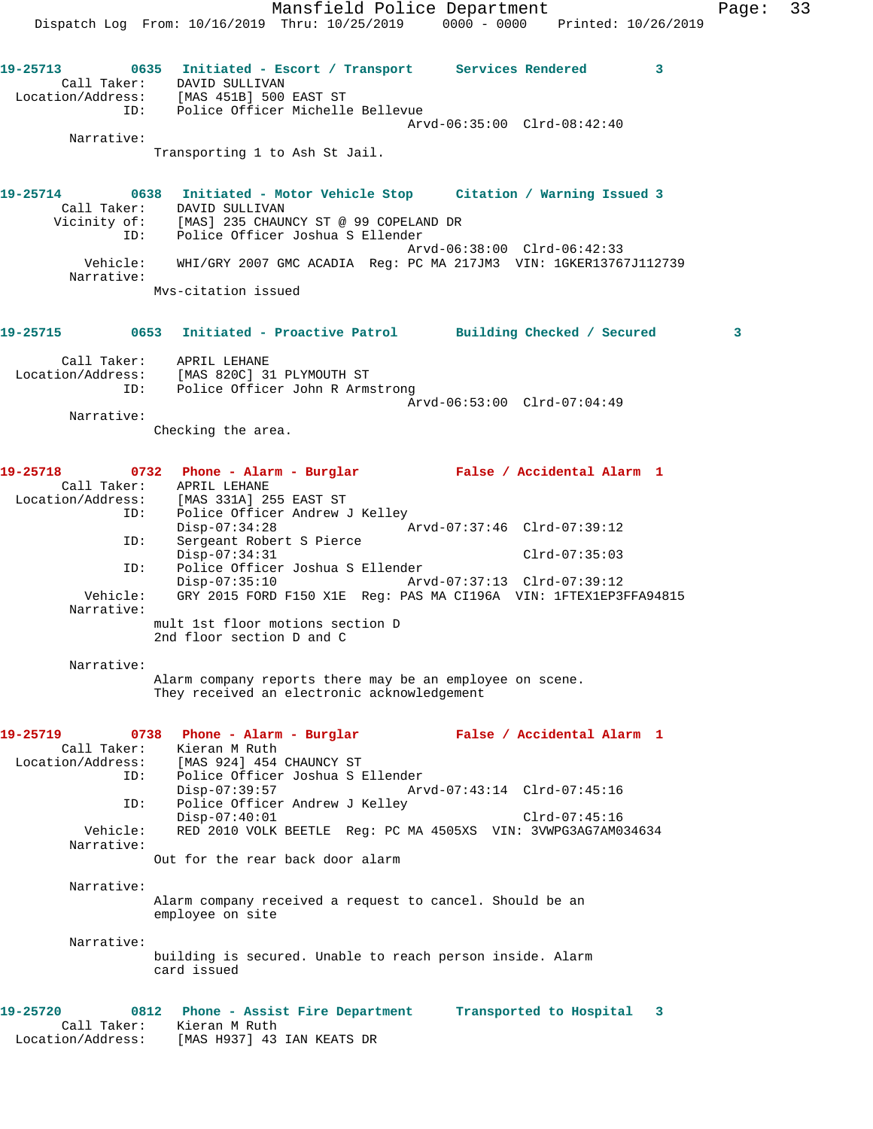Mansfield Police Department Fage: 33 Dispatch Log From: 10/16/2019 Thru: 10/25/2019 0000 - 0000 Printed: 10/26/2019 **19-25713 0635 Initiated - Escort / Transport Services Rendered 3**  Call Taker: DAVID SULLIVAN Location/Address: [MAS 451B] 500 EAST ST ID: Police Officer Michelle Bellevue Arvd-06:35:00 Clrd-08:42:40 Narrative: Transporting 1 to Ash St Jail. **19-25714 0638 Initiated - Motor Vehicle Stop Citation / Warning Issued 3**  Call Taker: DAVID SULLIVAN Vicinity of: [MAS] 235 CHAUNCY ST @ 99 COPELAND DR ID: Police Officer Joshua S Ellender Arvd-06:38:00 Clrd-06:42:33 Vehicle: WHI/GRY 2007 GMC ACADIA Reg: PC MA 217JM3 VIN: 1GKER13767J112739 Narrative: Mvs-citation issued **19-25715 0653 Initiated - Proactive Patrol Building Checked / Secured 3** Call Taker: APRIL LEHANE Location/Address: [MAS 820C] 31 PLYMOUTH ST ID: Police Officer John R Armstrong Arvd-06:53:00 Clrd-07:04:49 Narrative: Checking the area. **19-25718 0732 Phone - Alarm - Burglar False / Accidental Alarm 1**  Call Taker: APRIL LEHANE Location/Address: [MAS 331A] 255 EAST ST ID: Police Officer Andrew J Kelley<br>Disp-07:34:28 A Disp-07:34:28 <br>ID: Sergeant Robert S Pierce <br>ID: Sergeant Robert S Pierce Sergeant Robert S Pierce Disp-07:34:31 Clrd-07:35:03 ID: Police Officer Joshua S Ellender<br>Disp-07:35:10 Mrvd-07:37:13 Clrd-07:39:12 Disp-07:35:10 Vehicle: GRY 2015 FORD F150 X1E Reg: PAS MA CI196A VIN: 1FTEX1EP3FFA94815 Narrative: mult 1st floor motions section D 2nd floor section D and C Narrative:

> Alarm company reports there may be an employee on scene. They received an electronic acknowledgement

**19-25719 0738 Phone - Alarm - Burglar False / Accidental Alarm 1**  Call Taker: Kieran M Ruth Location/Address: [MAS 924] 454 CHAUNCY ST ID: Police Officer Joshua S Ellender Disp-07:39:57 Arvd-07:43:14 Clrd-07:45:16 ID: Police Officer Andrew J Kelley Disp-07:40:01 Clrd-07:45:16 Vehicle: RED 2010 VOLK BEETLE Reg: PC MA 4505XS VIN: 3VWPG3AG7AM034634 Narrative: Out for the rear back door alarm Narrative: Alarm company received a request to cancel. Should be an employee on site Narrative: building is secured. Unable to reach person inside. Alarm card issued **19-25720 0812 Phone - Assist Fire Department Transported to Hospital 3**  Call Taker: Kieran M Ruth

Location/Address: [MAS H937] 43 IAN KEATS DR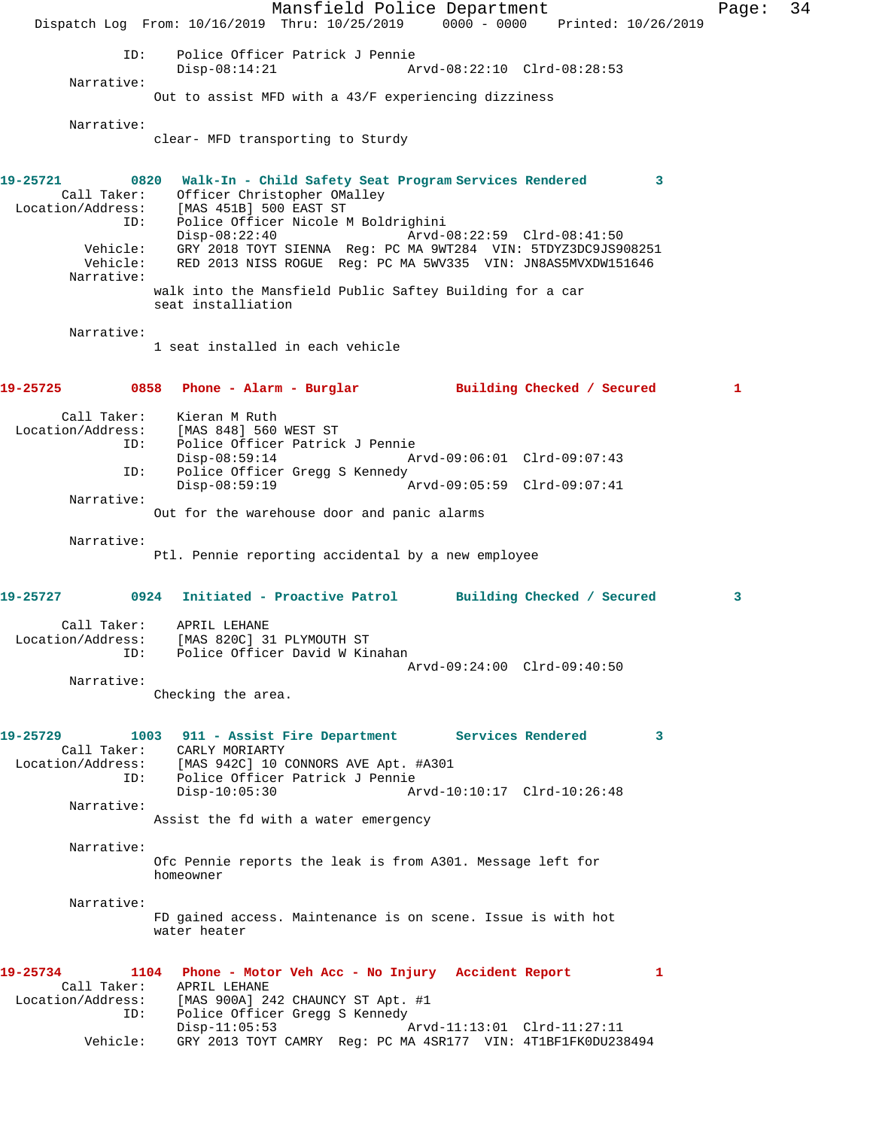Mansfield Police Department Page: 34 Dispatch Log From: 10/16/2019 Thru: 10/25/2019 0000 - 0000 Printed: 10/26/2019 ID: Police Officer Patrick J Pennie Disp-08:14:21 Arvd-08:22:10 Clrd-08:28:53 Narrative: Out to assist MFD with a 43/F experiencing dizziness Narrative: clear- MFD transporting to Sturdy **19-25721 0820 Walk-In - Child Safety Seat Program Services Rendered 3**  Call Taker: Officer Christopher OMalley Location/Address: [MAS 451B] 500 EAST ST ID: Police Officer Nicole M Boldrighini Disp-08:22:40 Arvd-08:22:59 Clrd-08:41:50 Vehicle: GRY 2018 TOYT SIENNA Reg: PC MA 9WT284 VIN: 5TDYZ3DC9JS908251 Vehicle: RED 2013 NISS ROGUE Reg: PC MA 5WV335 VIN: JN8AS5MVXDW151646 Narrative: walk into the Mansfield Public Saftey Building for a car seat installiation Narrative: 1 seat installed in each vehicle **19-25725 0858 Phone - Alarm - Burglar Building Checked / Secured 1** Call Taker: Kieran M Ruth<br>Location/Address: [MAS 848] 560 ess: [MAS 848] 560 WEST ST<br>ID: Police Officer Patricl Police Officer Patrick J Pennie Disp-08:59:14 Arvd-09:06:01 Clrd-09:07:43<br>TD: Police Officer Gread S Kennedy Police Officer Gregg S Kennedy<br>Disp-08:59:19 A Disp-08:59:19 Arvd-09:05:59 Clrd-09:07:41 Narrative: Out for the warehouse door and panic alarms Narrative: Ptl. Pennie reporting accidental by a new employee **19-25727 0924 Initiated - Proactive Patrol Building Checked / Secured 3** Call Taker: APRIL LEHANE Location/Address: [MAS 820C] 31 PLYMOUTH ST ID: Police Officer David W Kinahan Arvd-09:24:00 Clrd-09:40:50 Narrative: Checking the area. **19-25729 1003 911 - Assist Fire Department Services Rendered 3**  Call Taker: CARLY MORIARTY Location/Address: [MAS 942C] 10 CONNORS AVE Apt. #A301 ID: Police Officer Patrick J Pennie Disp-10:05:30 Arvd-10:10:17 Clrd-10:26:48 Narrative: Assist the fd with a water emergency Narrative: Ofc Pennie reports the leak is from A301. Message left for homeowner Narrative: FD gained access. Maintenance is on scene. Issue is with hot water heater **19-25734 1104 Phone - Motor Veh Acc - No Injury Accident Report 1**  Call Taker: APRIL LEHANE Location/Address: [MAS 900A] 242 CHAUNCY ST Apt. #1 ID: Police Officer Gregg S Kennedy<br>Disp-11:05:53 Arvd-11:13:01 Clrd-11:27:11 Vehicle: GRY 2013 TOYT CAMRY Reg: PC MA 4SR177 VIN: 4T1BF1FK0DU238494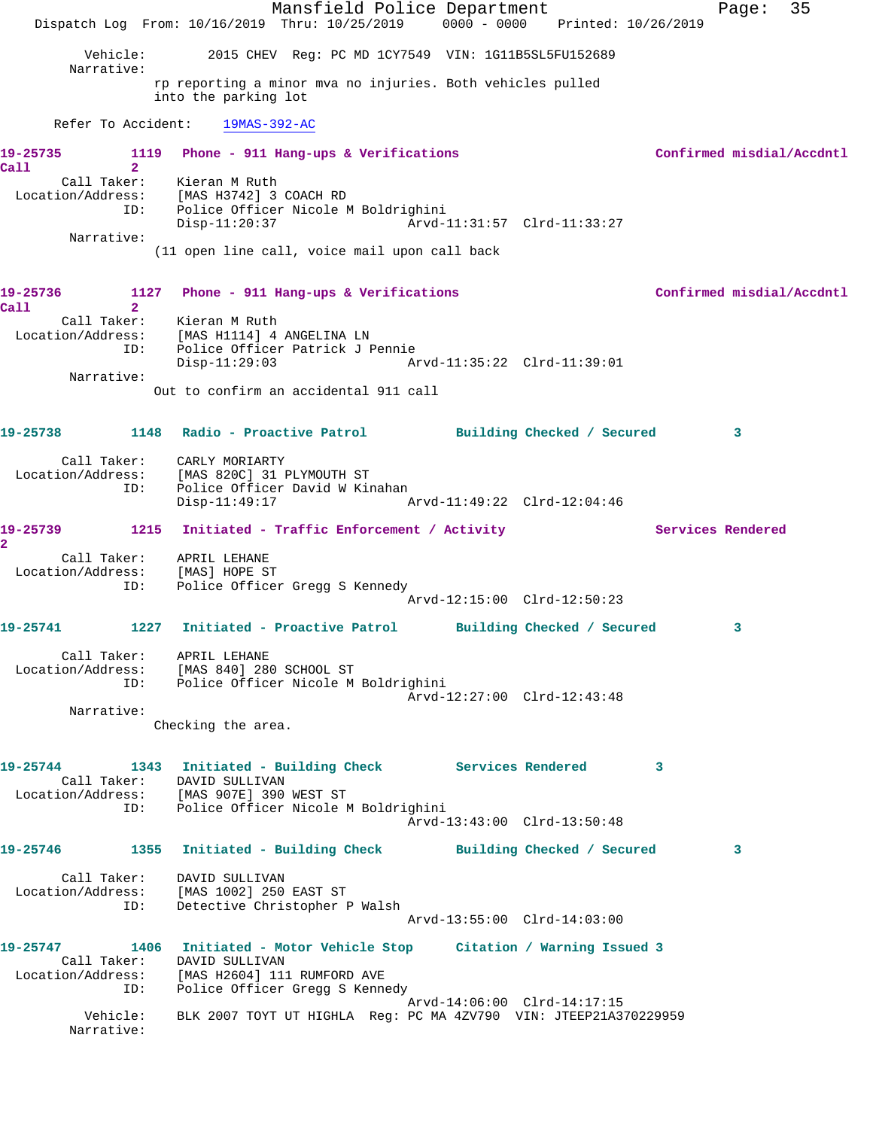Mansfield Police Department Fage: 35 Dispatch Log From: 10/16/2019 Thru: 10/25/2019 0000 - 0000 Printed: 10/26/2019 Vehicle: 2015 CHEV Reg: PC MD 1CY7549 VIN: 1G11B5SL5FU152689 Narrative: rp reporting a minor mva no injuries. Both vehicles pulled into the parking lot Refer To Accident: 19MAS-392-AC 19-25735 1119 Phone - 911 Hang-ups & Verifications **Confirmed misdial/Accdntl Call 2**  Call Taker: Kieran M Ruth Location/Address: [MAS H3742] 3 COACH RD ID: Police Officer Nicole M Boldrighini Disp-11:20:37 Arvd-11:31:57 Clrd-11:33:27 Narrative: (11 open line call, voice mail upon call back 19-25736 1127 Phone - 911 Hang-ups & Verifications **19-25736** Confirmed misdial/Accdntl **Call 2**  Call Taker: Kieran M Ruth Location/Address: [MAS H1114] 4 ANGELINA LN ID: Police Officer Patrick J Pennie Disp-11:29:03 Arvd-11:35:22 Clrd-11:39:01 Narrative: Out to confirm an accidental 911 call **19-25738 1148 Radio - Proactive Patrol Building Checked / Secured 3** Call Taker: CARLY MORIARTY Location/Address: [MAS 820C] 31 PLYMOUTH ST ID: Police Officer David W Kinahan Disp-11:49:17 Arvd-11:49:22 Clrd-12:04:46 19-25739 1215 Initiated - Traffic Enforcement / Activity **Services Rendered 2**  Call Taker: APRIL LEHANE Location/Address: [MAS] HOPE ST ID: Police Officer Gregg S Kennedy Arvd-12:15:00 Clrd-12:50:23 **19-25741 1227 Initiated - Proactive Patrol Building Checked / Secured 3** Call Taker: APRIL LEHANE Location/Address: [MAS 840] 280 SCHOOL ST ID: Police Officer Nicole M Boldrighini Arvd-12:27:00 Clrd-12:43:48 Narrative: Checking the area. **19-25744 1343 Initiated - Building Check Services Rendered 3**  Call Taker: DAVID SULLIVAN Location/Address: [MAS 907E] 390 WEST ST ID: Police Officer Nicole M Boldrighini Arvd-13:43:00 Clrd-13:50:48 **19-25746 1355 Initiated - Building Check Building Checked / Secured 3** Call Taker: DAVID SULLIVAN Location/Address: [MAS 1002] 250 EAST ST ID: Detective Christopher P Walsh Arvd-13:55:00 Clrd-14:03:00 **19-25747 1406 Initiated - Motor Vehicle Stop Citation / Warning Issued 3**  Call Taker: DAVID SULLIVAN Location/Address: [MAS H2604] 111 RUMFORD AVE ID: Police Officer Gregg S Kennedy Arvd-14:06:00 Clrd-14:17:15 Vehicle: BLK 2007 TOYT UT HIGHLA Reg: PC MA 4ZV790 VIN: JTEEP21A370229959 Narrative: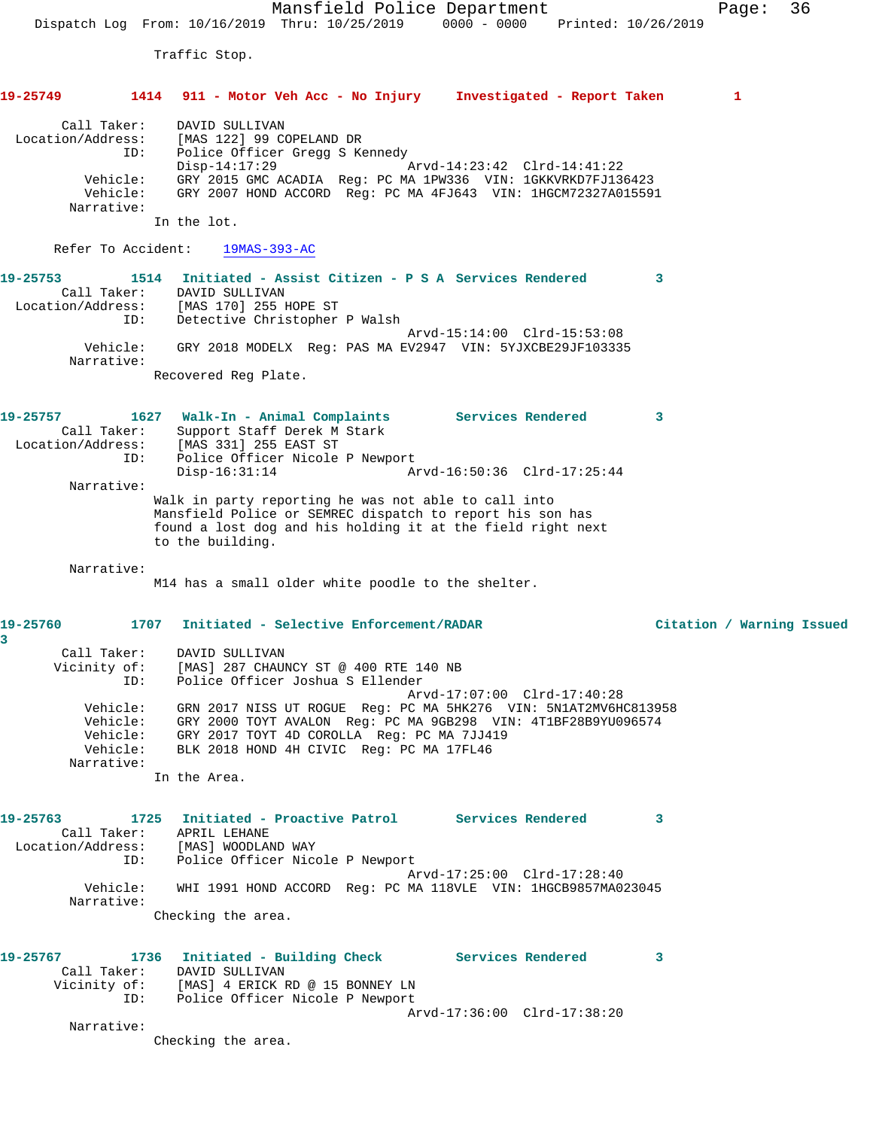Mansfield Police Department Page: 36 Dispatch Log From: 10/16/2019 Thru: 10/25/2019 0000 - 0000 Printed: 10/26/2019 Traffic Stop. **19-25749 1414 911 - Motor Veh Acc - No Injury Investigated - Report Taken 1** Call Taker: DAVID SULLIVAN Location/Address: [MAS 122] 99 COPELAND DR ID: Police Officer Gregg S Kennedy Disp-14:17:29 Arvd-14:23:42 Clrd-14:41:22 Vehicle: GRY 2015 GMC ACADIA Reg: PC MA 1PW336 VIN: 1GKKVRKD7FJ136423 Vehicle: GRY 2007 HOND ACCORD Reg: PC MA 4FJ643 VIN: 1HGCM72327A015591 Narrative: In the lot. Refer To Accident: 19MAS-393-AC **19-25753 1514 Initiated - Assist Citizen - P S A Services Rendered 3**  Call Taker: DAVID SULLIVAN Location/Address: [MAS 170] 255 HOPE ST ID: Detective Christopher P Walsh Arvd-15:14:00 Clrd-15:53:08 Vehicle: GRY 2018 MODELX Reg: PAS MA EV2947 VIN: 5YJXCBE29JF103335 Narrative: Recovered Reg Plate. **19-25757 1627 Walk-In - Animal Complaints Services Rendered 3**  Call Taker: Support Staff Derek M Stark Location/Address: [MAS 331] 255 EAST ST ID: Police Officer Nicole P Newport Disp-16:31:14 Arvd-16:50:36 Clrd-17:25:44 Narrative: Walk in party reporting he was not able to call into Mansfield Police or SEMREC dispatch to report his son has found a lost dog and his holding it at the field right next to the building. Narrative: M14 has a small older white poodle to the shelter. **19-25760 1707 Initiated - Selective Enforcement/RADAR Citation / Warning Issued 3**  Call Taker: DAVID SULLIVAN Vicinity of: [MAS] 287 CHAUNCY ST @ 400 RTE 140 NB ID: Police Officer Joshua S Ellender Arvd-17:07:00 Clrd-17:40:28 Vehicle: GRN 2017 NISS UT ROGUE Reg: PC MA 5HK276 VIN: 5N1AT2MV6HC813958 Vehicle: GRY 2000 TOYT AVALON Reg: PC MA 9GB298 VIN: 4T1BF28B9YU096574 Vehicle: GRY 2017 TOYT 4D COROLLA Reg: PC MA 7JJ419 Vehicle: BLK 2018 HOND 4H CIVIC Reg: PC MA 17FL46 Narrative: In the Area. **19-25763 1725 Initiated - Proactive Patrol Services Rendered 3**  Call Taker: APRIL LEHANE Location/Address: [MAS] WOODLAND WAY ID: Police Officer Nicole P Newport Arvd-17:25:00 Clrd-17:28:40 Vehicle: WHI 1991 HOND ACCORD Reg: PC MA 118VLE VIN: 1HGCB9857MA023045 Narrative: Checking the area. **19-25767 1736 Initiated - Building Check Services Rendered 3**  Call Taker: DAVID SULLIVAN Vicinity of: [MAS] 4 ERICK RD @ 15 BONNEY LN ID: Police Officer Nicole P Newport Arvd-17:36:00 Clrd-17:38:20

Narrative:

Checking the area.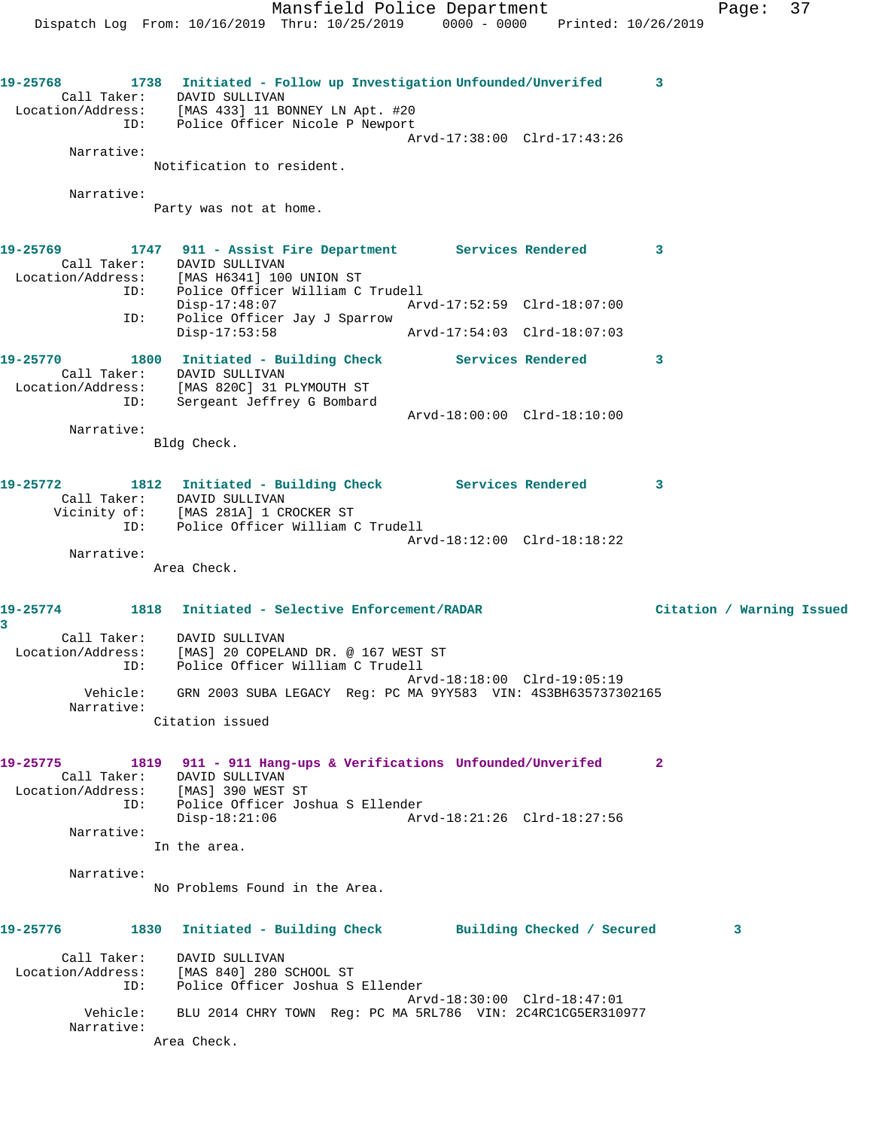Mansfield Police Department Fage: 37 Dispatch Log From: 10/16/2019 Thru: 10/25/2019 0000 - 0000 Printed: 10/26/2019 **19-25768 1738 Initiated - Follow up Investigation Unfounded/Unverifed 3**  Call Taker: DAVID SULLIVAN Location/Address: [MAS 433] 11 BONNEY LN Apt. #20 ID: Police Officer Nicole P Newport Arvd-17:38:00 Clrd-17:43:26 Narrative: Notification to resident. Narrative: Party was not at home. **19-25769 1747 911 - Assist Fire Department Services Rendered 3**  Call Taker: DAVID SULLIVAN Location/Address: [MAS H6341] 100 UNION ST ID: Police Officer William C Trudell Disp-17:48:07 Arvd-17:52:59 Clrd-18:07:00 ID: Police Officer Jay J Sparrow Disp-17:53:58 Arvd-17:54:03 Clrd-18:07:03 **19-25770 1800 Initiated - Building Check Services Rendered 3**  Call Taker: DAVID SULLIVAN Location/Address: [MAS 820C] 31 PLYMOUTH ST ID: Sergeant Jeffrey G Bombard Arvd-18:00:00 Clrd-18:10:00 Narrative: Bldg Check. **19-25772 1812 Initiated - Building Check Services Rendered 3**  Call Taker: DAVID SULLIVAN Vicinity of: [MAS 281A] 1 CROCKER ST ID: Police Officer William C Trudell Arvd-18:12:00 Clrd-18:18:22 Narrative: Area Check. **19-25774 1818 Initiated - Selective Enforcement/RADAR Citation / Warning Issued 3**  Call Taker: DAVID SULLIVAN Location/Address: [MAS] 20 COPELAND DR. @ 167 WEST ST ID: Police Officer William C Trudell Arvd-18:18:00 Clrd-19:05:19 Vehicle: GRN 2003 SUBA LEGACY Reg: PC MA 9YY583 VIN: 4S3BH635737302165 Narrative: Citation issued **19-25775 1819 911 - 911 Hang-ups & Verifications Unfounded/Unverifed 2**  Call Taker: DAVID SULLIVAN Location/Address: [MAS] 390 WEST ST ID: Police Officer Joshua S Ellender Disp-18:21:06 Arvd-18:21:26 Clrd-18:27:56 Narrative: In the area. Narrative: No Problems Found in the Area. **19-25776 1830 Initiated - Building Check Building Checked / Secured 3** Call Taker: DAVID SULLIVAN Location/Address: [MAS 840] 280 SCHOOL ST ID: Police Officer Joshua S Ellender Arvd-18:30:00 Clrd-18:47:01 Vehicle: BLU 2014 CHRY TOWN Reg: PC MA 5RL786 VIN: 2C4RC1CG5ER310977 Narrative:

Area Check.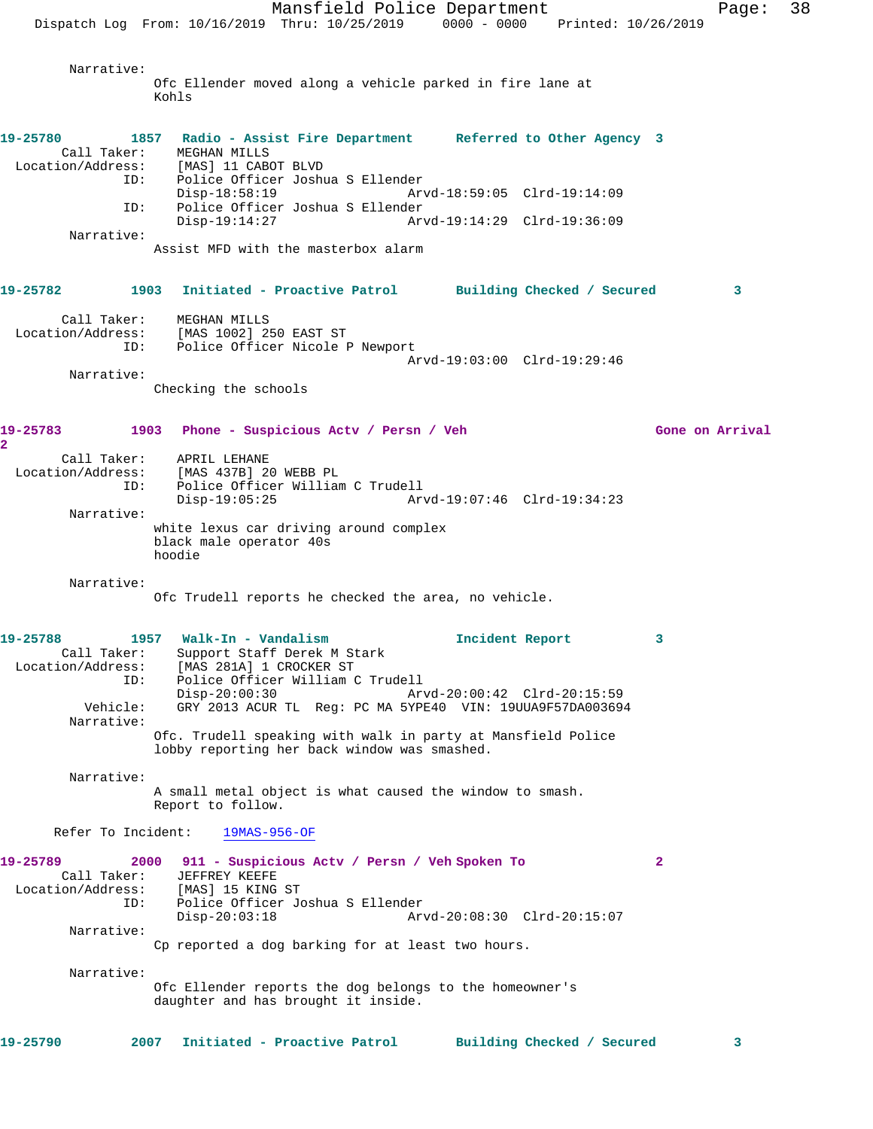Mansfield Police Department Fage: 38 Dispatch Log From: 10/16/2019 Thru: 10/25/2019 0000 - 0000 Printed: 10/26/2019 Narrative: Ofc Ellender moved along a vehicle parked in fire lane at Kohls **19-25780 1857 Radio - Assist Fire Department Referred to Other Agency 3**  Call Taker: MEGHAN MILLS Location/Address: [MAS] 11 CABOT BLVD ID: Police Officer Joshua S Ellender Disp-18:58:19 Arvd-18:59:05 Clrd-19:14:09 ID: Police Officer Joshua S Ellender Disp-19:14:27 Arvd-19:14:29 Clrd-19:36:09 Narrative: Assist MFD with the masterbox alarm **19-25782 1903 Initiated - Proactive Patrol Building Checked / Secured 3** Call Taker: MEGHAN MILLS Location/Address: [MAS 1002] 250 EAST ST ID: Police Officer Nicole P Newport Arvd-19:03:00 Clrd-19:29:46 Narrative: Checking the schools **19-25783 1903 Phone - Suspicious Actv / Persn / Veh Gone on Arrival 2**  Call Taker: APRIL LEHANE Location/Address: [MAS 437B] 20 WEBB PL ID: Police Officer William C Trudell Disp-19:05:25 Arvd-19:07:46 Clrd-19:34:23 Narrative: white lexus car driving around complex black male operator 40s hoodie Narrative: Ofc Trudell reports he checked the area, no vehicle. **19-25788 1957 Walk-In - Vandalism Incident Report 3**  Call Taker: Support Staff Derek M Stark Location/Address: [MAS 281A] 1 CROCKER ST ID: Police Officer William C Trudell Disp-20:00:30 Arvd-20:00:42 Clrd-20:15:59<br>Vehicle: GRY 2013 ACUR TL Reg: PC MA 5YPE40 VIN: 19UUA9F57DA003694 GRY 2013 ACUR TL Reg: PC MA 5YPE40 VIN: 19UUA9F57DA003694 Narrative: Ofc. Trudell speaking with walk in party at Mansfield Police lobby reporting her back window was smashed. Narrative: A small metal object is what caused the window to smash. Report to follow. Refer To Incident: 19MAS-956-OF **19-25789 2000 911 - Suspicious Actv / Persn / Veh Spoken To 2**  Call Taker: JEFFREY KEEFE Location/Address: [MAS] 15 KING ST<br>ID: Police Officer Jo Police Officer Joshua S Ellender Disp-20:03:18 Arvd-20:08:30 Clrd-20:15:07 Narrative: Cp reported a dog barking for at least two hours. Narrative: Ofc Ellender reports the dog belongs to the homeowner's daughter and has brought it inside. **19-25790 2007 Initiated - Proactive Patrol Building Checked / Secured 3**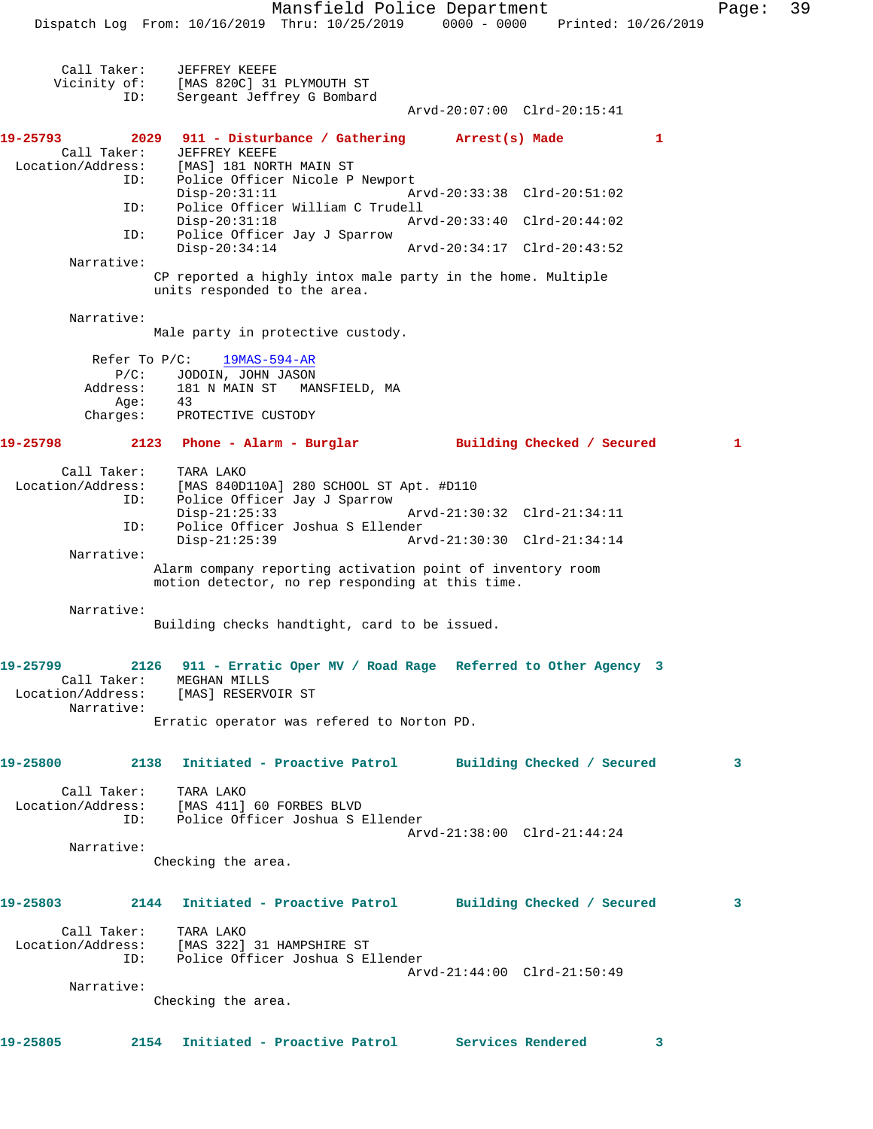Mansfield Police Department Fage: 39 Dispatch Log From: 10/16/2019 Thru: 10/25/2019 0000 - 0000 Printed: 10/26/2019 Call Taker: JEFFREY KEEFE Vicinity of: [MAS 820C] 31 PLYMOUTH ST ID: Sergeant Jeffrey G Bombard Arvd-20:07:00 Clrd-20:15:41 **19-25793 2029 911 - Disturbance / Gathering Arrest(s) Made 1**  Call Taker: JEFFREY KEEFE Location/Address: [MAS] 181 NORTH MAIN ST<br>ID: Police Officer Nicole P Police Officer Nicole P Newport<br>Disp-20:31:11 Ar Disp-20:31:11 Arvd-20:33:38 Clrd-20:51:02 ID: Police Officer William C Trudell Disp-20:31:18 Arvd-20:33:40 Clrd-20:44:02 ID: Police Officer Jay J Sparrow Disp-20:34:14 Arvd-20:34:17 Clrd-20:43:52 Narrative: CP reported a highly intox male party in the home. Multiple units responded to the area. Narrative: Male party in protective custody. Refer To P/C: 19MAS-594-AR P/C: JODOIN, JOHN JASON Address: 181 N MAIN ST MANSFIELD, MA Age: 43 Charges: PROTECTIVE CUSTODY **19-25798 2123 Phone - Alarm - Burglar Building Checked / Secured 1** Call Taker: TARA LAKO Location/Address: [MAS 840D110A] 280 SCHOOL ST Apt. #D110 ID: Police Officer Jay J Sparrow Disp-21:25:33 Arvd-21:30:32 Clrd-21:34:11<br>ID: Police Officer Joshua S Ellender Police Officer Joshua S Ellender Disp-21:25:39 Arvd-21:30:30 Clrd-21:34:14 Narrative: Alarm company reporting activation point of inventory room motion detector, no rep responding at this time. Narrative: Building checks handtight, card to be issued. **19-25799 2126 911 - Erratic Oper MV / Road Rage Referred to Other Agency 3**  Call Taker: MEGHAN MILLS Location/Address: [MAS] RESERVOIR ST Narrative: Erratic operator was refered to Norton PD. **19-25800 2138 Initiated - Proactive Patrol Building Checked / Secured 3** Call Taker: TARA LAKO Location/Address: [MAS 411] 60 FORBES BLVD ID: Police Officer Joshua S Ellender Arvd-21:38:00 Clrd-21:44:24 Narrative: Checking the area. **19-25803 2144 Initiated - Proactive Patrol Building Checked / Secured 3** Call Taker: TARA LAKO Location/Address: [MAS 322] 31 HAMPSHIRE ST ID: Police Officer Joshua S Ellender Arvd-21:44:00 Clrd-21:50:49 Narrative: Checking the area. **19-25805 2154 Initiated - Proactive Patrol Services Rendered 3**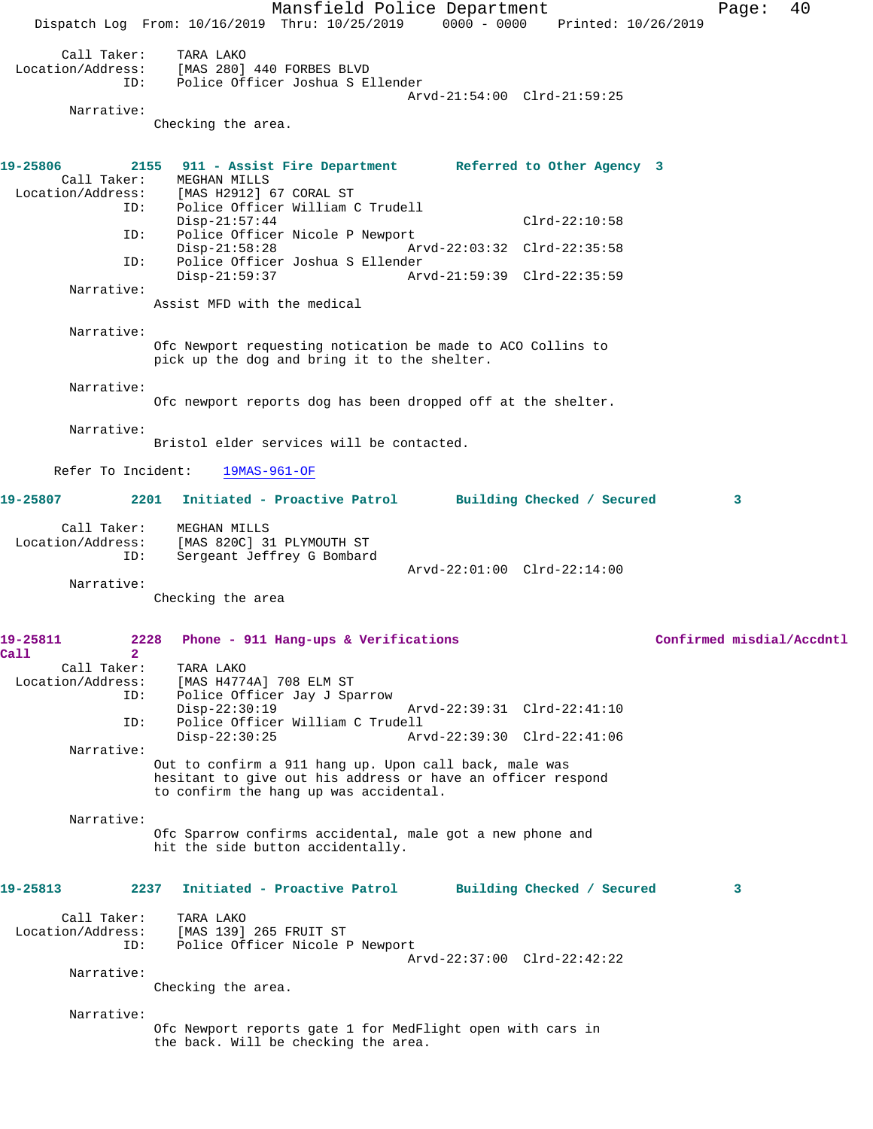Mansfield Police Department Page: 40 Dispatch Log From: 10/16/2019 Thru: 10/25/2019 0000 - 0000 Printed: 10/26/2019 Call Taker: TARA LAKO Location/Address: [MAS 280] 440 FORBES BLVD ID: Police Officer Joshua S Ellender Arvd-21:54:00 Clrd-21:59:25 Narrative: Checking the area. **19-25806 2155 911 - Assist Fire Department Referred to Other Agency 3**  Call Taker: MEGHAN MILLS<br>Location/Address: [MAS H2912] ( [MAS H2912] 67 CORAL ST ID: Police Officer William C Trudell Disp-21:57:44 Clrd-22:10:58 ID: Police Officer Nicole P Newport Arvd-22:03:32 Clrd-22:35:58 ID: Police Officer Joshua S Ellender Disp-21:59:37 Arvd-21:59:39 Clrd-22:35:59 Narrative: Assist MFD with the medical Narrative: Ofc Newport requesting notication be made to ACO Collins to pick up the dog and bring it to the shelter. Narrative: Ofc newport reports dog has been dropped off at the shelter. Narrative: Bristol elder services will be contacted. Refer To Incident: 19MAS-961-OF **19-25807 2201 Initiated - Proactive Patrol Building Checked / Secured 3** Call Taker: MEGHAN MILLS Location/Address: [MAS 820C] 31 PLYMOUTH ST ID: Sergeant Jeffrey G Bombard Arvd-22:01:00 Clrd-22:14:00 Narrative: Checking the area **19-25811 2228 Phone - 911 Hang-ups & Verifications Confirmed misdial/Accdntl Call 2**  Call Taker: TARA LAKO Location/Address: [MAS H4774A] 708 ELM ST ID: Police Officer Jay J Sparrow Disp-22:30:19 Arvd-22:39:31 Clrd-22:41:10<br>ID: Police Officer William C Trudell Police Officer William C Trudell<br>Disp-22:30:25 Arv Disp-22:30:25 Arvd-22:39:30 Clrd-22:41:06 Narrative: Out to confirm a 911 hang up. Upon call back, male was hesitant to give out his address or have an officer respond to confirm the hang up was accidental. Narrative: Ofc Sparrow confirms accidental, male got a new phone and hit the side button accidentally. **19-25813 2237 Initiated - Proactive Patrol Building Checked / Secured 3** Call Taker: TARA LAKO<br>Location/Address: [MAS 139] [MAS 139] 265 FRUIT ST ID: Police Officer Nicole P Newport Arvd-22:37:00 Clrd-22:42:22 Narrative: Checking the area. Narrative: Ofc Newport reports gate 1 for MedFlight open with cars in the back. Will be checking the area.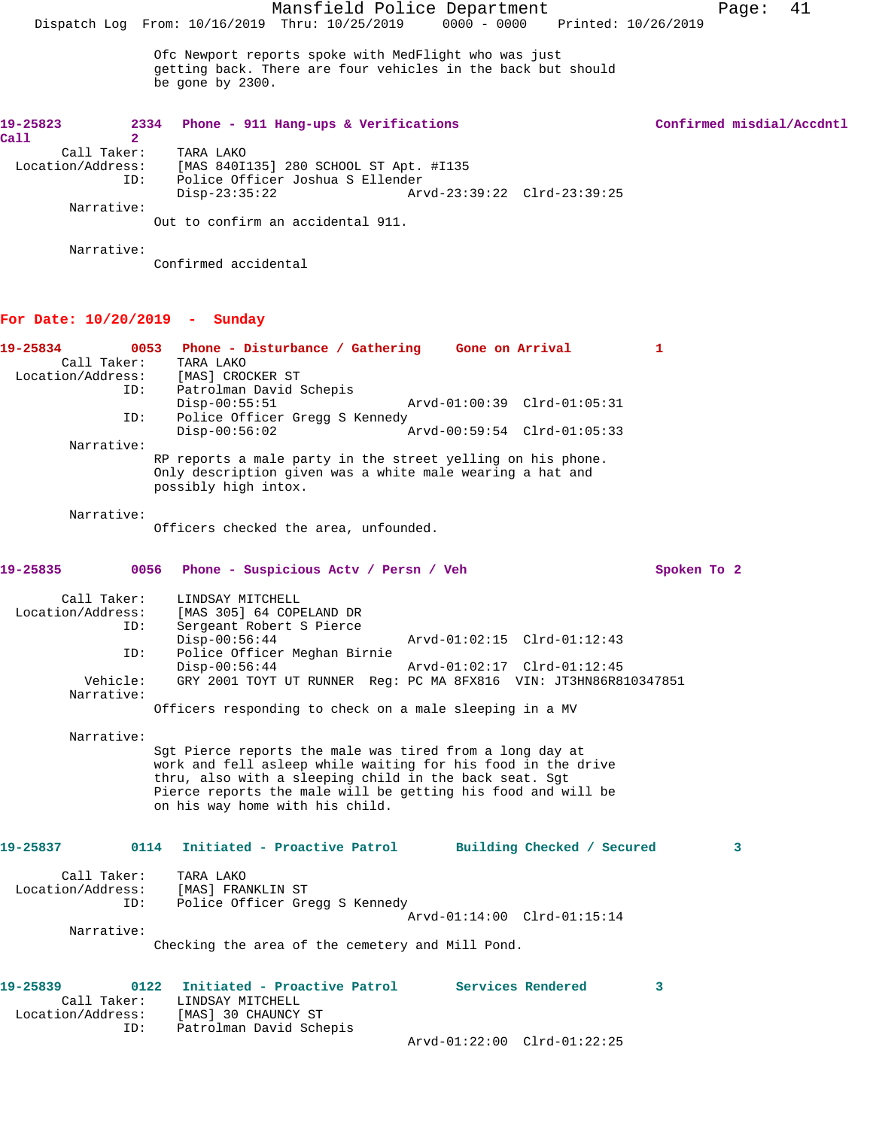Ofc Newport reports spoke with MedFlight who was just getting back. There are four vehicles in the back but should be gone by 2300.

| 19-25823          | 2334 | Phone - 911 Hang-ups & Verifications   |                             | Confirmed misdial/Accdntl |
|-------------------|------|----------------------------------------|-----------------------------|---------------------------|
| Call              |      |                                        |                             |                           |
| Call Taker:       |      | TARA LAKO                              |                             |                           |
| Location/Address: |      | [MAS 840I135] 280 SCHOOL ST Apt. #I135 |                             |                           |
|                   | ID:  | Police Officer Joshua S Ellender       |                             |                           |
|                   |      | Disp-23:35:22                          | Arvd-23:39:22 Clrd-23:39:25 |                           |
| Narrative:        |      |                                        |                             |                           |
|                   |      | Out to confirm an accidental 911.      |                             |                           |

Narrative:

Confirmed accidental

## **For Date: 10/20/2019 - Sunday**

| 19-25834<br>0053<br>Call Taker:<br>Location/Address:<br>ID:              | Phone - Disturbance / Gathering Gone on Arrival<br>TARA LAKO<br>[MAS] CROCKER ST<br>Patrolman David Schepis                                                                                                                                                                           |                                                            |                             | $\mathbf{1}$ |
|--------------------------------------------------------------------------|---------------------------------------------------------------------------------------------------------------------------------------------------------------------------------------------------------------------------------------------------------------------------------------|------------------------------------------------------------|-----------------------------|--------------|
|                                                                          | $Disp-00:55:51$                                                                                                                                                                                                                                                                       |                                                            | Arvd-01:00:39 Clrd-01:05:31 |              |
| ID:                                                                      | Police Officer Gregg S Kennedy<br>$Disp-00:56:02$                                                                                                                                                                                                                                     |                                                            | Arvd-00:59:54 Clrd-01:05:33 |              |
| Narrative:                                                               | RP reports a male party in the street yelling on his phone.<br>Only description given was a white male wearing a hat and<br>possibly high intox.                                                                                                                                      |                                                            |                             |              |
| Narrative:                                                               | Officers checked the area, unfounded.                                                                                                                                                                                                                                                 |                                                            |                             |              |
| 19-25835<br>0056                                                         | Phone - Suspicious Actv / Persn / Veh                                                                                                                                                                                                                                                 |                                                            |                             | Spoken To 2  |
| Call Taker:<br>Location/Address:<br>ID:<br>ID:<br>Vehicle:<br>Narrative: | LINDSAY MITCHELL<br>[MAS 305] 64 COPELAND DR<br>Sergeant Robert S Pierce<br>$Disp-00:56:44$<br>Police Officer Meghan Birnie<br>$Disp-00:56:44$<br>GRY 2001 TOYT UT RUNNER Req: PC MA 8FX816 VIN: JT3HN86R810347851<br>Officers responding to check on a male sleeping in a MV         | Arvd-01:02:15 Clrd-01:12:43<br>Arvd-01:02:17 Clrd-01:12:45 |                             |              |
| Narrative:                                                               | Sgt Pierce reports the male was tired from a long day at<br>work and fell asleep while waiting for his food in the drive<br>thru, also with a sleeping child in the back seat. Sgt<br>Pierce reports the male will be getting his food and will be<br>on his way home with his child. |                                                            |                             |              |
| 19-25837<br>Call Taker:<br>Location/Address:                             | 0114<br>Initiated - Proactive Patrol Building Checked / Secured<br>TARA LAKO<br>[MAS] FRANKLIN ST                                                                                                                                                                                     |                                                            |                             | $\mathbf{3}$ |
| ID:                                                                      | Police Officer Gregg S Kennedy                                                                                                                                                                                                                                                        |                                                            | Arvd-01:14:00 Clrd-01:15:14 |              |
| Narrative:                                                               | Checking the area of the cemetery and Mill Pond.                                                                                                                                                                                                                                      |                                                            |                             |              |
| 19-25839<br>0122<br>Call Taker:<br>Location/Address:<br>ID:              | Initiated - Proactive Patrol Services Rendered<br>LINDSAY MITCHELL<br>[MAS] 30 CHAUNCY ST<br>Patrolman David Schepis                                                                                                                                                                  |                                                            |                             | 3            |
|                                                                          |                                                                                                                                                                                                                                                                                       |                                                            | Arvd-01:22:00 Clrd-01:22:25 |              |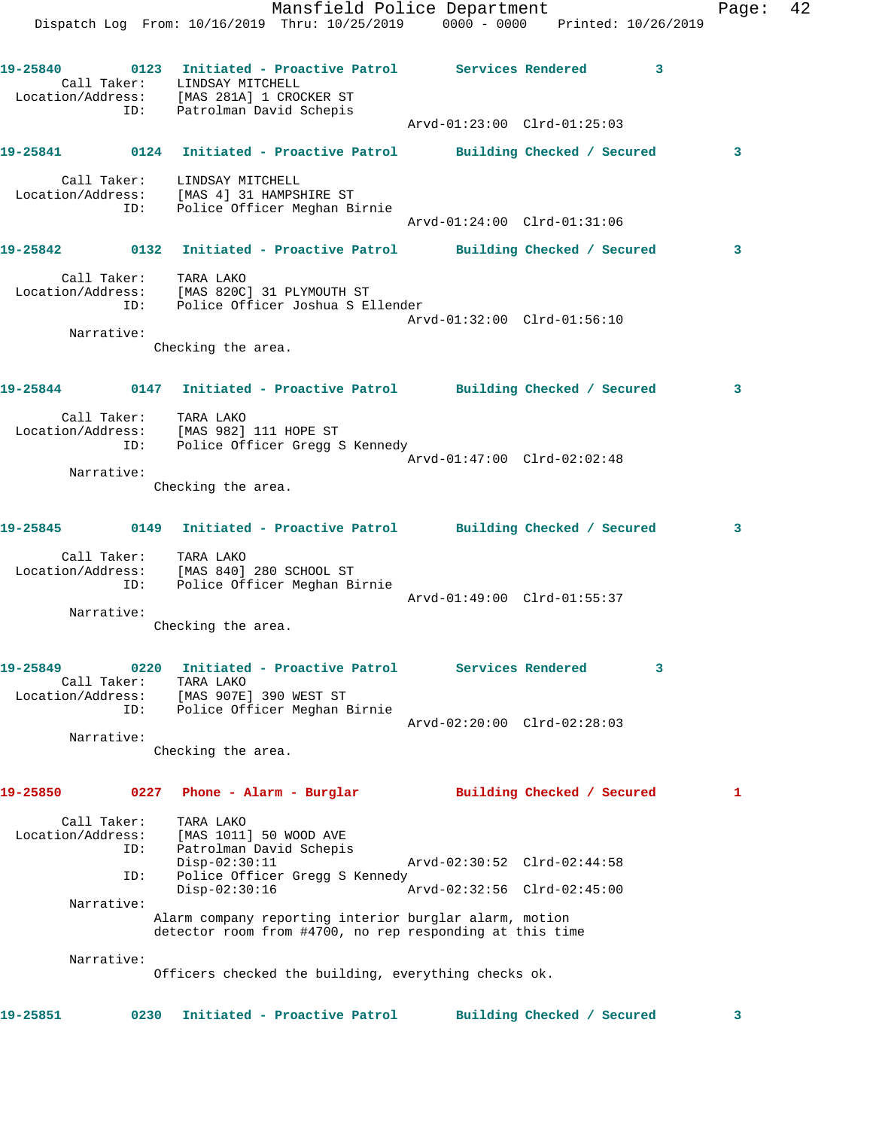|                               |                    | Mansfield Police Department<br>Dispatch Log From: 10/16/2019 Thru: 10/25/2019 0000 - 0000 Printed: 10/26/2019 |                             |                            | Page: | 42 |
|-------------------------------|--------------------|---------------------------------------------------------------------------------------------------------------|-----------------------------|----------------------------|-------|----|
|                               | ID:                | Call Taker: LINDSAY MITCHELL<br>Location/Address: [MAS 281A] 1 CROCKER ST<br>Patrolman David Schepis          |                             | $\overline{\mathbf{3}}$    |       |    |
|                               |                    |                                                                                                               | Arvd-01:23:00 Clrd-01:25:03 |                            |       |    |
|                               |                    | 19-25841    Q124    Initiated - Proactive Patrol    Building Checked / Secured                                |                             |                            | 3     |    |
|                               | ID:                | Call Taker: LINDSAY MITCHELL<br>Location/Address: [MAS 4] 31 HAMPSHIRE ST<br>Police Officer Meghan Birnie     | Arvd-01:24:00 Clrd-01:31:06 |                            |       |    |
|                               |                    | 19-25842 0132 Initiated - Proactive Patrol Building Checked / Secured                                         |                             |                            | 3     |    |
|                               |                    | Call Taker: TARA LAKO<br>Location/Address: [MAS 820C] 31 PLYMOUTH ST<br>ID: Police Officer Joshua S Ellender  |                             |                            |       |    |
|                               | Narrative:         | Checking the area.                                                                                            | Arvd-01:32:00 Clrd-01:56:10 |                            |       |    |
|                               |                    | 19-25844   0147   Initiated - Proactive Patrol   Building Checked / Secured                                   |                             |                            | 3     |    |
|                               |                    | Call Taker: TARA LAKO<br>Location/Address: [MAS 982] 111 HOPE ST<br>ID: Police Officer Gregg S Kennedy        |                             |                            |       |    |
|                               | Narrative:         |                                                                                                               | Arvd-01:47:00 Clrd-02:02:48 |                            |       |    |
|                               |                    | Checking the area.                                                                                            |                             |                            |       |    |
|                               |                    | 19-25845 0149 Initiated - Proactive Patrol Building Checked / Secured                                         |                             |                            | 3     |    |
|                               | ID:                | Call Taker: TARA LAKO<br>Location/Address: [MAS 840] 280 SCHOOL ST<br>Police Officer Meghan Birnie            | Arvd-01:49:00 Clrd-01:55:37 |                            |       |    |
|                               | Narrative:         | Checking the area.                                                                                            |                             |                            |       |    |
| 19-25849<br>Location/Address: | Call Taker:        | 0220 Initiated - Proactive Patrol Services Rendered<br>TARA LAKO<br>[MAS 907E] 390 WEST ST                    |                             | 3                          |       |    |
|                               | ID:<br>Narrative:  | Police Officer Meghan Birnie<br>Checking the area.                                                            | Arvd-02:20:00 Clrd-02:28:03 |                            |       |    |
|                               |                    |                                                                                                               |                             |                            |       |    |
| 19-25850                      |                    | 0227 Phone - Alarm - Burglar                                                                                  |                             | Building Checked / Secured | 1     |    |
| Location/Address:             | Call Taker:<br>ID: | TARA LAKO<br>[MAS 1011] 50 WOOD AVE<br>Patrolman David Schepis<br>$Disp-02:30:11$                             | Arvd-02:30:52 Clrd-02:44:58 |                            |       |    |
|                               | ID:                | Police Officer Gregg S Kennedy<br>$Disp-02:30:16$                                                             | Arvd-02:32:56 Clrd-02:45:00 |                            |       |    |
|                               | Narrative:         | Alarm company reporting interior burglar alarm, motion                                                        |                             |                            |       |    |
|                               |                    | detector room from #4700, no rep responding at this time                                                      |                             |                            |       |    |
|                               | Narrative:         | Officers checked the building, everything checks ok.                                                          |                             |                            |       |    |
| 19-25851                      | 0230               | Initiated - Proactive Patrol                                                                                  |                             | Building Checked / Secured | 3     |    |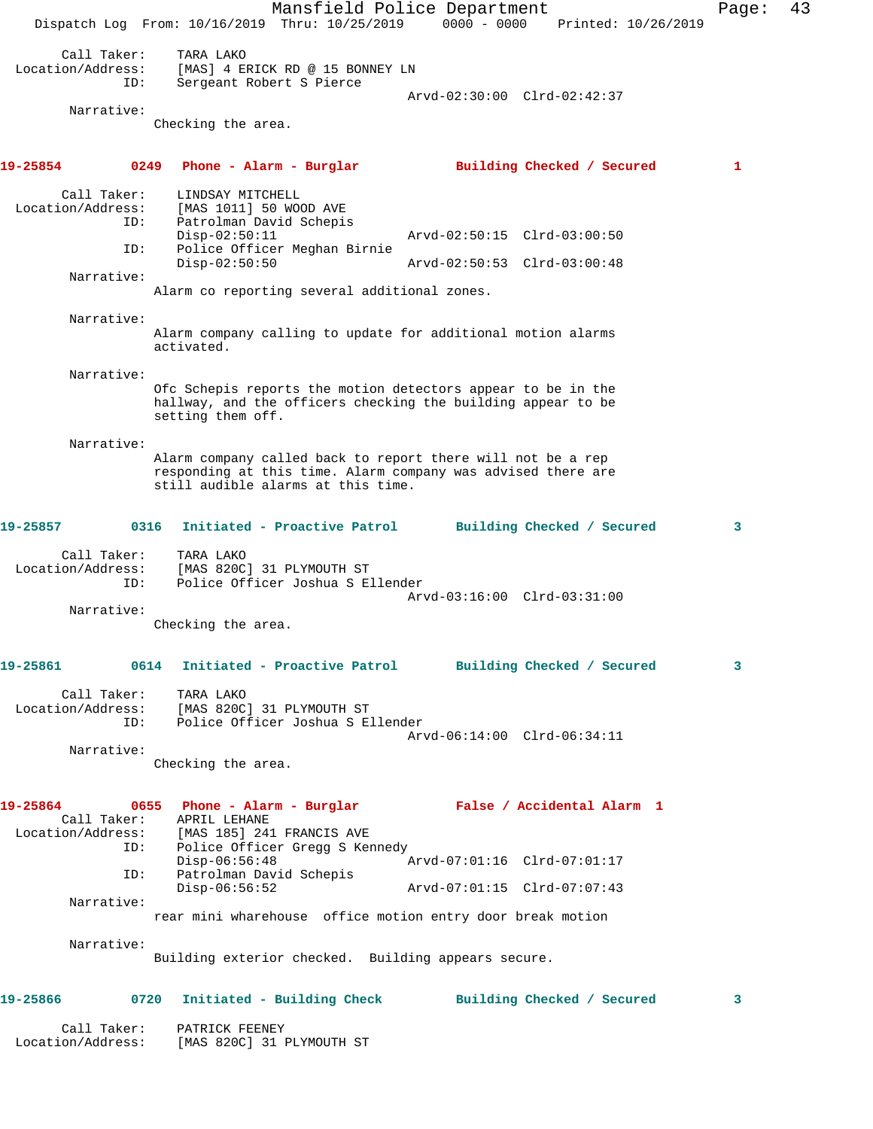Mansfield Police Department Fage: 43 Dispatch Log From: 10/16/2019 Thru: 10/25/2019 0000 - 0000 Printed: 10/26/2019 Call Taker: TARA LAKO Location/Address: [MAS] 4 ERICK RD @ 15 BONNEY LN ID: Sergeant Robert S Pierce Arvd-02:30:00 Clrd-02:42:37 Narrative: Checking the area. **19-25854 0249 Phone - Alarm - Burglar Building Checked / Secured 1** Call Taker: LINDSAY MITCHELL Location/Address: [MAS 1011] 50 WOOD AVE ID: Patrolman David Schepis<br>Disp-02:50:11 Disp-02:50:11 Arvd-02:50:15 Clrd-03:00:50 ID: Police Officer Meghan Birnie Disp-02:50:50 Arvd-02:50:53 Clrd-03:00:48 Narrative: Alarm co reporting several additional zones. Narrative: Alarm company calling to update for additional motion alarms activated. Narrative: Ofc Schepis reports the motion detectors appear to be in the hallway, and the officers checking the building appear to be setting them off. Narrative: Alarm company called back to report there will not be a rep responding at this time. Alarm company was advised there are still audible alarms at this time. **19-25857 0316 Initiated - Proactive Patrol Building Checked / Secured 3** Call Taker: TARA LAKO Location/Address: [MAS 820C] 31 PLYMOUTH ST ID: Police Officer Joshua S Ellender Arvd-03:16:00 Clrd-03:31:00 Narrative: Checking the area. **19-25861 0614 Initiated - Proactive Patrol Building Checked / Secured 3** Call Taker: TARA LAKO Location/Address: [MAS 820C] 31 PLYMOUTH ST ID: Police Officer Joshua S Ellender Arvd-06:14:00 Clrd-06:34:11 Narrative: Checking the area. **19-25864 0655 Phone - Alarm - Burglar False / Accidental Alarm 1**  Call Taker: APRIL LEHANE Location/Address: [MAS 185] 241 FRANCIS AVE ID: Police Officer Gregg S Kennedy<br>Disp-06:56:48 Disp-06:56:48 Arvd-07:01:16 Clrd-07:01:17 ID: Patrolman David Schepis Arvd-07:01:15 Clrd-07:07:43 Narrative: rear mini wharehouse office motion entry door break motion Narrative: Building exterior checked. Building appears secure. **19-25866 0720 Initiated - Building Check Building Checked / Secured 3** Call Taker: PATRICK FEENEY Location/Address: [MAS 820C] 31 PLYMOUTH ST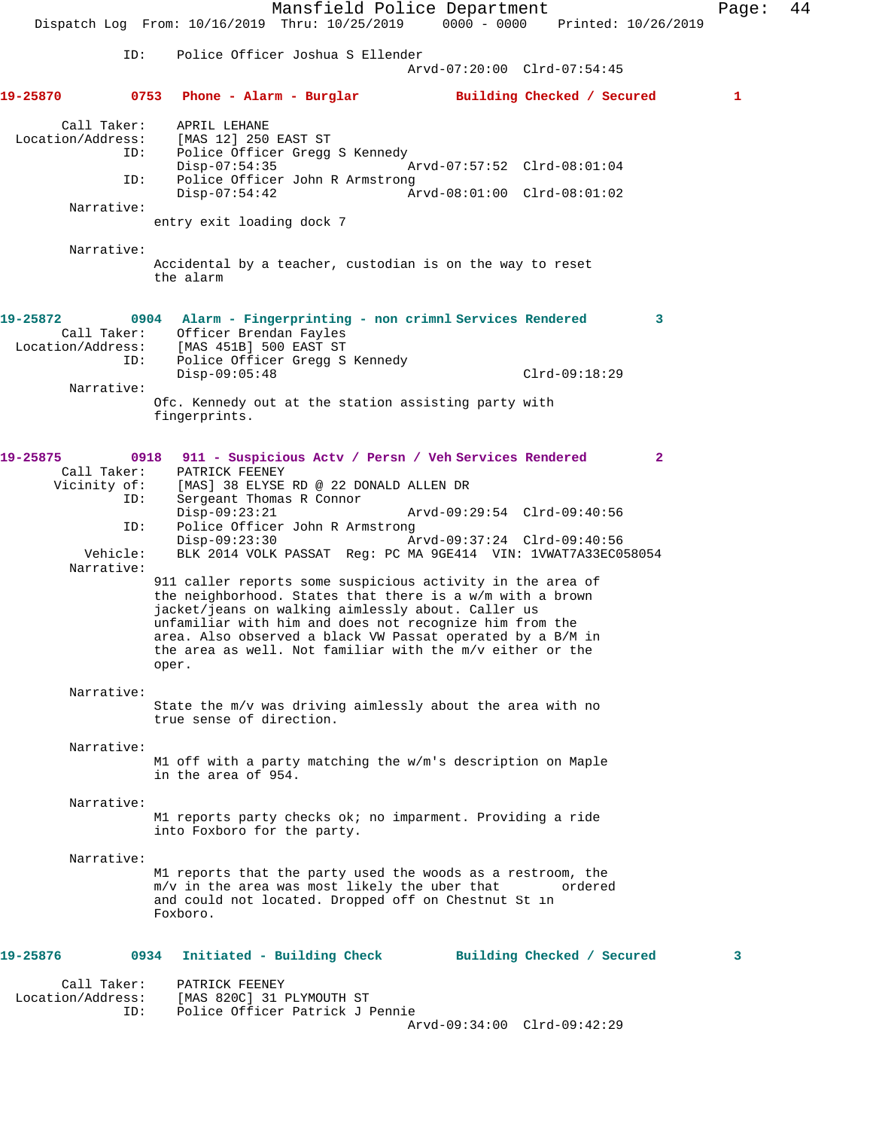Mansfield Police Department Page: 44 Dispatch Log From: 10/16/2019 Thru: 10/25/2019 0000 - 0000 Printed: 10/26/2019 ID: Police Officer Joshua S Ellender Arvd-07:20:00 Clrd-07:54:45 **19-25870 0753 Phone - Alarm - Burglar Building Checked / Secured 1** Call Taker: APRIL LEHANE Location/Address: [MAS 12] 250 EAST ST ID: Police Officer Gregg S Kennedy<br>Disp-07:54:35 Disp-07:54:35 Arvd-07:57:52 Clrd-08:01:04<br>ID: Police Officer John R Armstrong Police Officer John R Armstrong<br>Disp-07:54:42 A Disp-07:54:42 Arvd-08:01:00 Clrd-08:01:02 Narrative: entry exit loading dock 7 Narrative: Accidental by a teacher, custodian is on the way to reset the alarm **19-25872 0904 Alarm - Fingerprinting - non crimnl Services Rendered 3**  Call Taker: Officer Brendan Fayles<br>Location/Address: [MAS 451B] 500 EAST ST Location/Address: [MAS 451B] 500 EAST ST ID: Police Officer Gregg S Kennedy Disp-09:05:48 Clrd-09:18:29 Narrative: Ofc. Kennedy out at the station assisting party with fingerprints. **19-25875 0918 911 - Suspicious Actv / Persn / Veh Services Rendered 2**  Call Taker: PATRICK FEENEY<br>Vicinity of: [MAS] 38 ELYSE of: [MAS] 38 ELYSE RD @ 22 DONALD ALLEN DR<br>ID: Sergeant Thomas R Connor Sergeant Thomas R Connor Disp-09:23:21 Arvd-09:29:54 Clrd-09:40:56<br>ID: Police Officer John R Armstrong Police Officer John R Armstrong Disp-09:23:30 <br>
Disp-09:23:30 Arvd-09:37:24 Clrd-09:40:56<br>
Vehicle: BLK 2014 VOLK PASSAT Reg: PC MA 9GE414 VIN: 1VWAT7A33EC0! BLK 2014 VOLK PASSAT Reg: PC MA 9GE414 VIN: 1VWAT7A33EC058054 Narrative: 911 caller reports some suspicious activity in the area of the neighborhood. States that there is a w/m with a brown jacket/jeans on walking aimlessly about. Caller us unfamiliar with him and does not recognize him from the area. Also observed a black VW Passat operated by a B/M in the area as well. Not familiar with the m/v either or the oper. Narrative: State the m/v was driving aimlessly about the area with no true sense of direction. Narrative: M1 off with a party matching the w/m's description on Maple in the area of 954. Narrative: M1 reports party checks ok; no imparment. Providing a ride into Foxboro for the party. Narrative: M1 reports that the party used the woods as a restroom, the m/v in the area was most likely the uber that ordered and could not located. Dropped off on Chestnut St in Foxboro. **19-25876 0934 Initiated - Building Check Building Checked / Secured 3** Call Taker: PATRICK FEENEY Location/Address: [MAS 820C] 31 PLYMOUTH ST ID: Police Officer Patrick J Pennie

Arvd-09:34:00 Clrd-09:42:29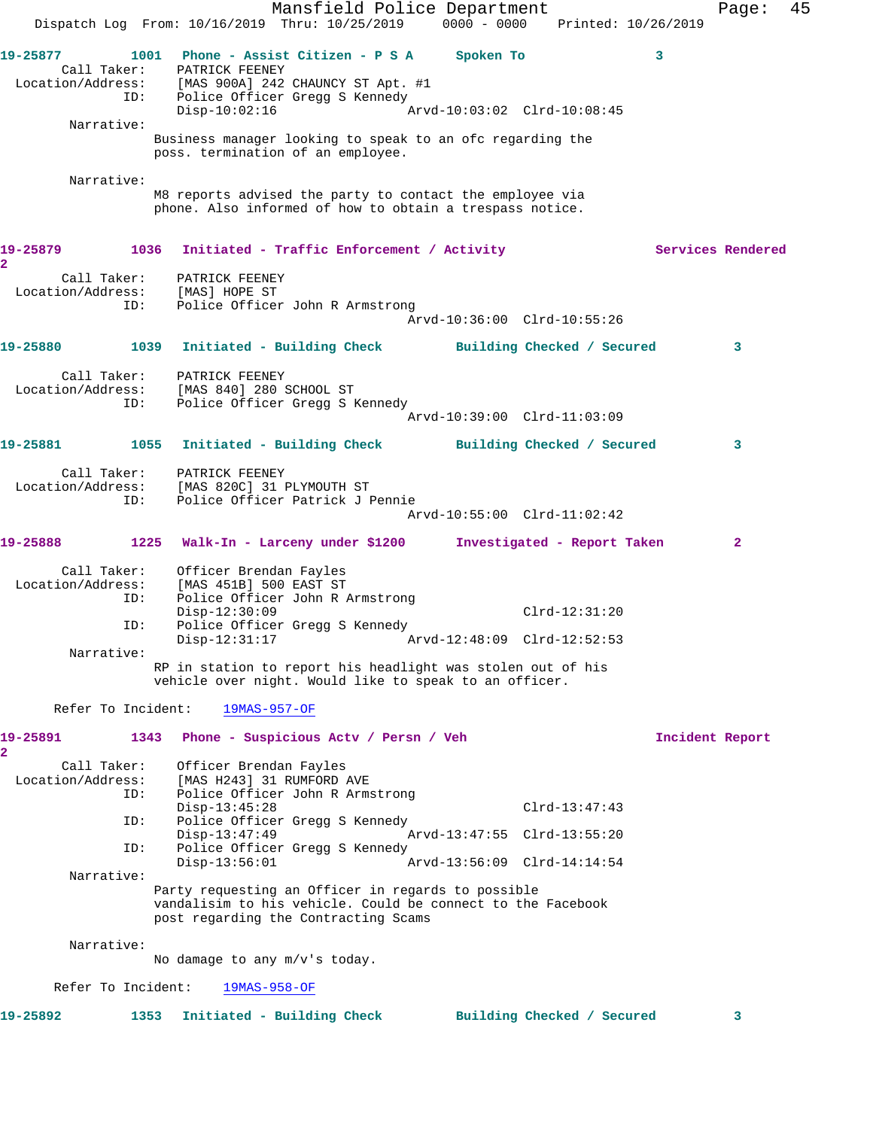Mansfield Police Department Fage: 45 Dispatch Log From: 10/16/2019 Thru: 10/25/2019 0000 - 0000 Printed: 10/26/2019 **19-25877 1001 Phone - Assist Citizen - P S A Spoken To 3**  Call Taker: PATRICK FEENEY Location/Address: [MAS 900A] 242 CHAUNCY ST Apt. #1 ID: Police Officer Gregg S Kennedy Disp-10:02:16 Arvd-10:03:02 Clrd-10:08:45 Narrative: Business manager looking to speak to an ofc regarding the poss. termination of an employee. Narrative: M8 reports advised the party to contact the employee via phone. Also informed of how to obtain a trespass notice. 19-25879 1036 Initiated - Traffic Enforcement / Activity **Services Rendered 2**  Call Taker: PATRICK FEENEY Location/Address: [MAS] HOPE ST ID: Police Officer John R Armstrong Arvd-10:36:00 Clrd-10:55:26 **19-25880 1039 Initiated - Building Check Building Checked / Secured 3** Call Taker: PATRICK FEENEY Location/Address: [MAS 840] 280 SCHOOL ST ID: Police Officer Gregg S Kennedy Arvd-10:39:00 Clrd-11:03:09 **19-25881 1055 Initiated - Building Check Building Checked / Secured 3** Call Taker: PATRICK FEENEY Location/Address: [MAS 820C] 31 PLYMOUTH ST ID: Police Officer Patrick J Pennie Arvd-10:55:00 Clrd-11:02:42 **19-25888 1225 Walk-In - Larceny under \$1200 Investigated - Report Taken 2** Call Taker: Officer Brendan Fayles Location/Address: [MAS 451B] 500 EAST ST ID: Police Officer John R Armstrong<br>Disp-12:30:09 Disp-12:30:09 Clrd-12:31:20 ID: Police Officer Gregg S Kennedy<br>Disp-12:31:17 Ar Disp-12:31:17 Arvd-12:48:09 Clrd-12:52:53 Narrative: RP in station to report his headlight was stolen out of his vehicle over night. Would like to speak to an officer. Refer To Incident: 19MAS-957-OF **19-25891 1343 Phone - Suspicious Actv / Persn / Veh Incident Report 2**  Call Taker: Officer Brendan Fayles Location/Address: [MAS H243] 31 RUMFORD AVE ID: Police Officer John R Armstrong Disp-13:45:28 Clrd-13:47:43 ID: Police Officer Gregg S Kennedy<br>Disp-13:47:49 Ar Disp-13:47:49 Arvd-13:47:55 Clrd-13:55:20 ID: Police Officer Gregg S Kennedy  $Nrvd-13:56:09$  Clrd-14:14:54 Narrative: Party requesting an Officer in regards to possible vandalisim to his vehicle. Could be connect to the Facebook post regarding the Contracting Scams Narrative: No damage to any m/v's today. Refer To Incident: 19MAS-958-OF **19-25892 1353 Initiated - Building Check Building Checked / Secured 3**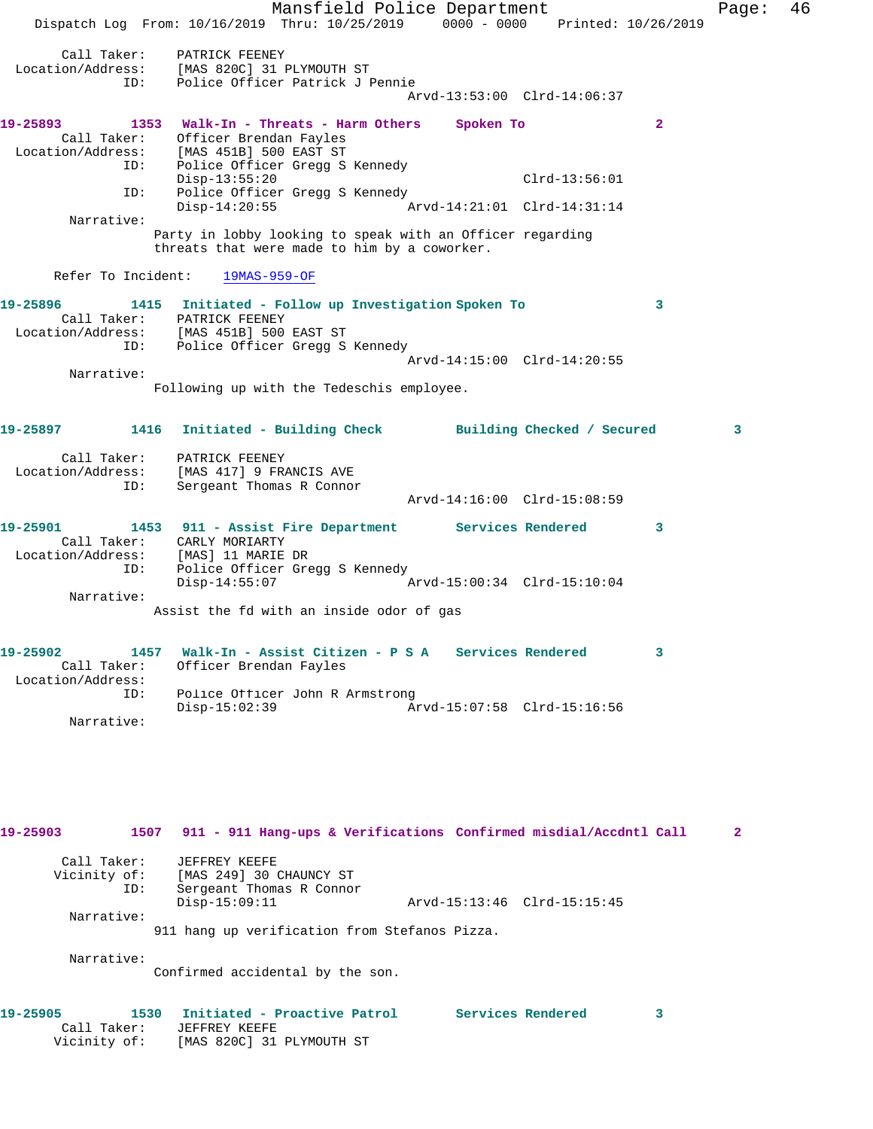Mansfield Police Department Fage: 46 Dispatch Log From: 10/16/2019 Thru: 10/25/2019 0000 - 0000 Printed: 10/26/2019 Call Taker: PATRICK FEENEY Location/Address: [MAS 820C] 31 PLYMOUTH ST ID: Police Officer Patrick J Pennie Arvd-13:53:00 Clrd-14:06:37 **19-25893 1353 Walk-In - Threats - Harm Others Spoken To 2**  Call Taker: Officer Brendan Fayles Location/Address: [MAS 451B] 500 EAST ST Police Officer Gregg S Kennedy Disp-13:55:20 Clrd-13:56:01 ID: Police Officer Gregg S Kennedy<br>Disp-14:20:55 Ar Disp-14:20:55 Arvd-14:21:01 Clrd-14:31:14 Narrative: Party in lobby looking to speak with an Officer regarding threats that were made to him by a coworker. Refer To Incident: 19MAS-959-OF **19-25896 1415 Initiated - Follow up Investigation Spoken To 3**  Call Taker: PATRICK FEENEY Location/Address: [MAS 451B] 500 EAST ST ID: Police Officer Gregg S Kennedy Arvd-14:15:00 Clrd-14:20:55 Narrative: Following up with the Tedeschis employee. **19-25897 1416 Initiated - Building Check Building Checked / Secured 3** Call Taker: PATRICK FEENEY Location/Address: [MAS 417] 9 FRANCIS AVE ID: Sergeant Thomas R Connor Arvd-14:16:00 Clrd-15:08:59 **19-25901 1453 911 - Assist Fire Department Services Rendered 3**  Call Taker: CARLY MORIARTY Location/Address: [MAS] 11 MARIE DR ID: Police Officer Gregg S Kennedy<br>Disp-14:55:07 A Disp-14:55:07 Arvd-15:00:34 Clrd-15:10:04 Narrative: Assist the fd with an inside odor of gas **19-25902 1457 Walk-In - Assist Citizen - P S A Services Rendered 3**  Call Taker: Officer Brendan Fayles Location/Address: ID: Police Officer John R Armstrong<br>Disp-15:02:39 Am Disp-15:02:39 Arvd-15:07:58 Clrd-15:16:56 Narrative: **19-25903 1507 911 - 911 Hang-ups & Verifications Confirmed misdial/Accdntl Call 2**

| Call Taker:  | JEFFREY KEEFE                                 |                             |  |
|--------------|-----------------------------------------------|-----------------------------|--|
| Vicinity of: | [MAS 249] 30 CHAUNCY ST                       |                             |  |
| ID:          | Sergeant Thomas R Connor                      |                             |  |
|              | $Disp-15:09:11$                               | Arvd-15:13:46 Clrd-15:15:45 |  |
| Narrative:   |                                               |                             |  |
|              | 911 hang up verification from Stefanos Pizza. |                             |  |
|              |                                               |                             |  |

Narrative:

Confirmed accidental by the son.

| 1530<br>19-25905 | Initiated - Proactive Patrol | Services Rendered |  |
|------------------|------------------------------|-------------------|--|
| Call Taker:      | JEFFREY KEEFE                |                   |  |
| Vicinity of:     | [MAS 820C] 31 PLYMOUTH ST    |                   |  |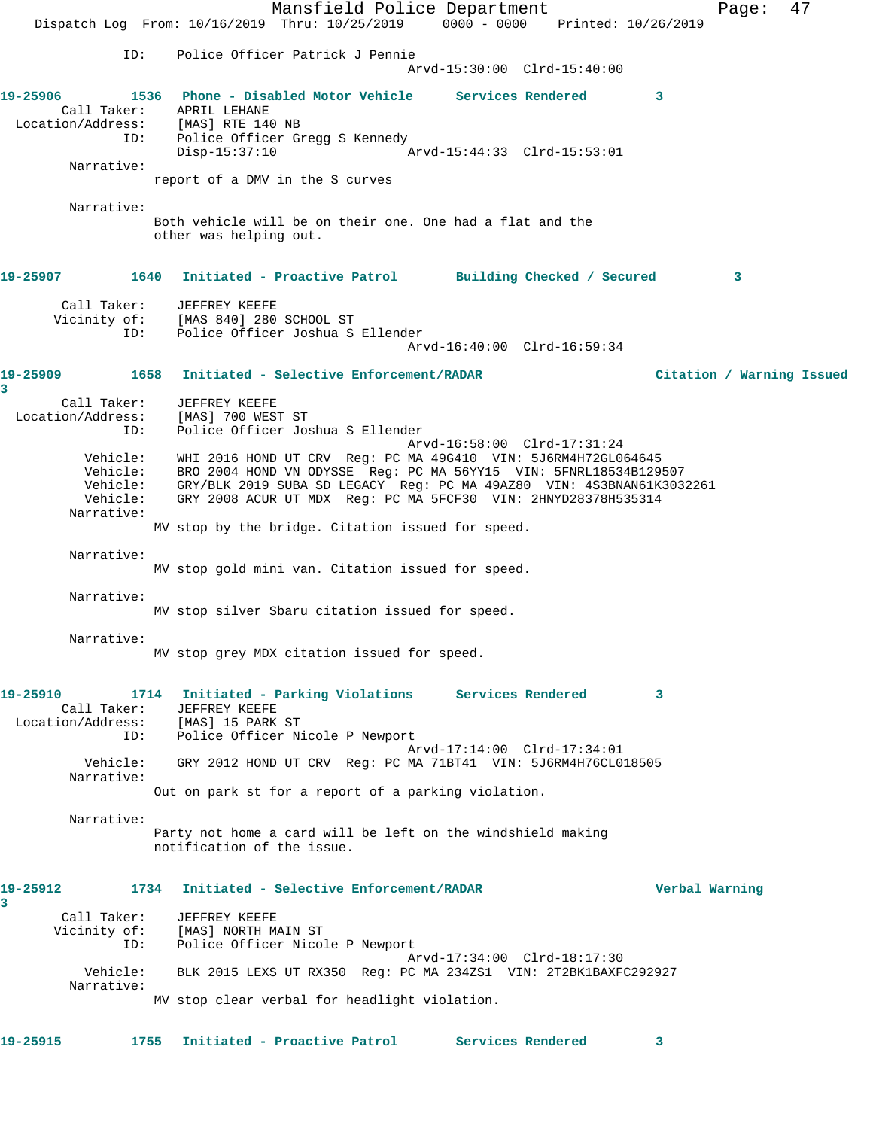Mansfield Police Department Fage: 47 Dispatch Log From: 10/16/2019 Thru: 10/25/2019 0000 - 0000 Printed: 10/26/2019 ID: Police Officer Patrick J Pennie Arvd-15:30:00 Clrd-15:40:00 **19-25906 1536 Phone - Disabled Motor Vehicle Services Rendered 3**  Call Taker: APRIL LEHANE Location/Address: [MAS] RTE 140 NB ID: Police Officer Gregg S Kennedy<br>Disp-15:37:10 Disp-15:37:10 Arvd-15:44:33 Clrd-15:53:01 Narrative: report of a DMV in the S curves Narrative: Both vehicle will be on their one. One had a flat and the other was helping out. **19-25907 1640 Initiated - Proactive Patrol Building Checked / Secured 3** Call Taker: JEFFREY KEEFE Vicinity of: [MAS 840] 280 SCHOOL ST ID: Police Officer Joshua S Ellender Arvd-16:40:00 Clrd-16:59:34 **19-25909 1658 Initiated - Selective Enforcement/RADAR Citation / Warning Issued 3**  Call Taker: JEFFREY KEEFE Location/Address: [MAS] 700 WEST ST ID: Police Officer Joshua S Ellender Arvd-16:58:00 Clrd-17:31:24 Vehicle: WHI 2016 HOND UT CRV Reg: PC MA 49G410 VIN: 5J6RM4H72GL064645 Vehicle: BRO 2004 HOND VN ODYSSE Reg: PC MA 56YY15 VIN: 5FNRL18534B129507 Vehicle: GRY/BLK 2019 SUBA SD LEGACY Reg: PC MA 49AZ80 VIN: 4S3BNAN61K3032261 Vehicle: GRY 2008 ACUR UT MDX Reg: PC MA 5FCF30 VIN: 2HNYD28378H535314 Narrative: MV stop by the bridge. Citation issued for speed. Narrative: MV stop gold mini van. Citation issued for speed. Narrative: MV stop silver Sbaru citation issued for speed. Narrative: MV stop grey MDX citation issued for speed. **19-25910 1714 Initiated - Parking Violations Services Rendered 3**  Call Taker: JEFFREY KEEFE<br>ion/Address: [MAS] 15 PARK ST Location/Address:<br>ID: Police Officer Nicole P Newport Arvd-17:14:00 Clrd-17:34:01 Vehicle: GRY 2012 HOND UT CRV Reg: PC MA 71BT41 VIN: 5J6RM4H76CL018505 Narrative: Out on park st for a report of a parking violation. Narrative: Party not home a card will be left on the windshield making notification of the issue. **19-25912 1734 Initiated - Selective Enforcement/RADAR Verbal Warning 3**  Call Taker: JEFFREY KEEFE Vicinity of: [MAS] NORTH MAIN ST ID: Police Officer Nicole P Newport Arvd-17:34:00 Clrd-18:17:30 Vehicle: BLK 2015 LEXS UT RX350 Reg: PC MA 234ZS1 VIN: 2T2BK1BAXFC292927 Narrative: MV stop clear verbal for headlight violation. **19-25915 1755 Initiated - Proactive Patrol Services Rendered 3**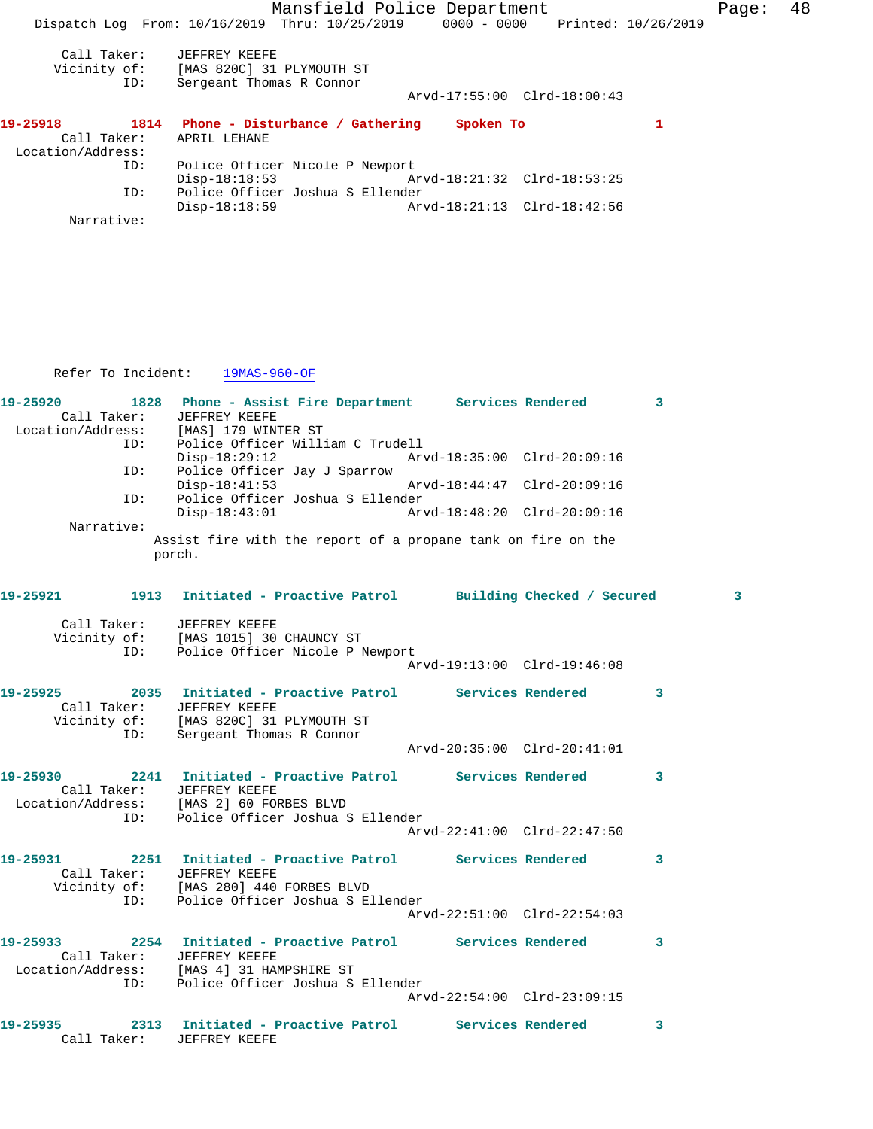Mansfield Police Department Fage: 48 Dispatch Log From: 10/16/2019 Thru: 10/25/2019 0000 - 0000 Printed: 10/26/2019 Call Taker: JEFFREY KEEFE Vicinity of: [MAS 820C] 31 PLYMOUTH ST ID: Sergeant Thomas R Connor Arvd-17:55:00 Clrd-18:00:43 **19-25918 1814 Phone - Disturbance / Gathering Spoken To 1**  Call Taker: APRIL LEHANE Location/Address: ID: Police Officer Nicole P Newport Disp-18:18:53 Arvd-18:21:32 Clrd-18:53:25 ID: Police Officer Joshua S Ellender Disp-18:18:59 Arvd-18:21:13 Clrd-18:42:56 Narrative:

Refer To Incident: 19MAS-960-OF

|                         | 19-25920              1828    Phone - Assist Fire Department        Services Rendered<br>Call Taker: JEFFREY KEEFE<br>Location/Address: [MAS] 179 WINTER ST<br>ID: Police Officer Will: |                             | $\overline{\mathbf{3}}$ |
|-------------------------|-----------------------------------------------------------------------------------------------------------------------------------------------------------------------------------------|-----------------------------|-------------------------|
|                         | Police Officer William C Trudell<br>$Disp-18:29:12$                                                                                                                                     | Arvd-18:35:00 Clrd-20:09:16 |                         |
| ID:                     | Police Officer Jay J Sparrow<br>$Disp-18:41:53$                                                                                                                                         |                             |                         |
| ID:                     | Police Officer Joshua S Ellender<br>$Disp-18:43:01$                                                                                                                                     | Arvd-18:48:20 Clrd-20:09:16 |                         |
| Narrative:              | Assist fire with the report of a propane tank on fire on the<br>porch.                                                                                                                  |                             |                         |
|                         | 19-25921 1913 Initiated - Proactive Patrol Building Checked / Secured                                                                                                                   |                             | 3                       |
|                         | Call Taker: JEFFREY KEEFE<br>Vicinity of: [MAS 1015] 30 CHAUNCY ST<br>ID:<br>Police Officer Nicole P Newport                                                                            |                             |                         |
|                         |                                                                                                                                                                                         | Arvd-19:13:00 Clrd-19:46:08 |                         |
|                         | 19-25925 2035 Initiated - Proactive Patrol Services Rendered<br>Call Taker: JEFFREY KEEFE<br>Vicinity of: [MAS 820C] 31 PLYMOUTH ST<br>Sergeant Thomas R Connor<br>ID:                  |                             | 3                       |
|                         |                                                                                                                                                                                         | Arvd-20:35:00 Clrd-20:41:01 |                         |
|                         | 19-25930 2241 Initiated - Proactive Patrol Services Rendered<br>Call Taker: JEFFREY KEEFE<br>Location/Address: [MAS 2] 60 FORBES BLVD<br>Police Officer Joshua S Ellender               |                             | 3                       |
|                         | ID:                                                                                                                                                                                     | Arvd-22:41:00 Clrd-22:47:50 |                         |
|                         | 19-25931 2251 Initiated - Proactive Patrol Services Rendered<br>Call Taker: JEFFREY KEEFE<br>Vicinity of: [MAS 280] 440 FORBES BLVD<br>ID: Police Officer Joshua S E.                   |                             | $\mathbf{3}$            |
| ID:                     | Police Officer Joshua S Ellender                                                                                                                                                        | Arvd-22:51:00 Clrd-22:54:03 |                         |
| 19-25933<br>Call Taker: | 2254 Initiated - Proactive Patrol Services Rendered<br>JEFFREY KEEFE<br>Location/Address: [MAS 4] 31 HAMPSHIRE ST<br>Police Officer Joshua S Ellender                                   |                             | 3                       |
| ID:                     |                                                                                                                                                                                         | Arvd-22:54:00 Clrd-23:09:15 |                         |
| Call Taker:             | 19-25935 2313 Initiated - Proactive Patrol Services Rendered<br>JEFFREY KEEFE                                                                                                           |                             | 3                       |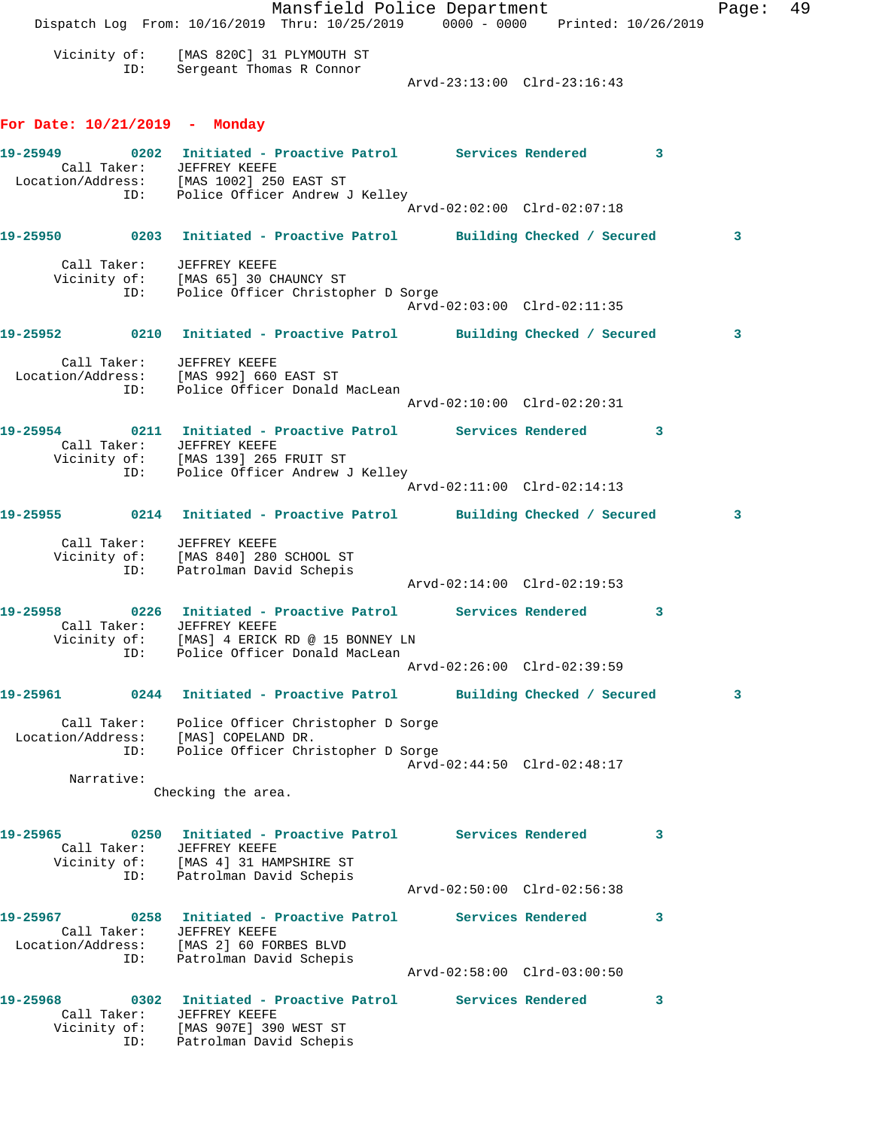Mansfield Police Department Form Page: 49 Dispatch Log From: 10/16/2019 Thru: 10/25/2019 0000 - 0000 Printed: 10/26/2019 Vicinity of: [MAS 820C] 31 PLYMOUTH ST ID: Sergeant Thomas R Connor Arvd-23:13:00 Clrd-23:16:43 **For Date: 10/21/2019 - Monday 19-25949 0202 Initiated - Proactive Patrol Services Rendered 3**  Call Taker: JEFFREY KEEFE Location/Address: [MAS 1002] 250 EAST ST ID: Police Officer Andrew J Kelley Arvd-02:02:00 Clrd-02:07:18 **19-25950 0203 Initiated - Proactive Patrol Building Checked / Secured 3** Call Taker: JEFFREY KEEFE Vicinity of: [MAS 65] 30 CHAUNCY ST ID: Police Officer Christopher D Sorge Arvd-02:03:00 Clrd-02:11:35 **19-25952 0210 Initiated - Proactive Patrol Building Checked / Secured 3** Call Taker: JEFFREY KEEFE Location/Address: [MAS 992] 660 EAST ST ID: Police Officer Donald MacLean Arvd-02:10:00 Clrd-02:20:31 **19-25954 0211 Initiated - Proactive Patrol Services Rendered 3**  Call Taker: JEFFREY KEEFE Vicinity of: [MAS 139] 265 FRUIT ST ID: Police Officer Andrew J Kelley Arvd-02:11:00 Clrd-02:14:13 **19-25955 0214 Initiated - Proactive Patrol Building Checked / Secured 3** Call Taker: JEFFREY KEEFE Vicinity of: [MAS 840] 280 SCHOOL ST ID: Patrolman David Schepis Arvd-02:14:00 Clrd-02:19:53 **19-25958 0226 Initiated - Proactive Patrol Services Rendered 3**  Call Taker: JEFFREY KEEFE Vicinity of: [MAS] 4 ERICK RD @ 15 BONNEY LN ID: Police Officer Donald MacLean Arvd-02:26:00 Clrd-02:39:59 **19-25961 0244 Initiated - Proactive Patrol Building Checked / Secured 3** Call Taker: Police Officer Christopher D Sorge Location/Address: [MAS] COPELAND DR. ID: Police Officer Christopher D Sorge Arvd-02:44:50 Clrd-02:48:17 Narrative: Checking the area. **19-25965 0250 Initiated - Proactive Patrol Services Rendered 3**  Call Taker: JEFFREY KEEFE Vicinity of: [MAS 4] 31 HAMPSHIRE ST ID: Patrolman David Schepis Arvd-02:50:00 Clrd-02:56:38 **19-25967 0258 Initiated - Proactive Patrol Services Rendered 3**  Call Taker: JEFFREY KEEFE Location/Address: [MAS 2] 60 FORBES BLVD ID: Patrolman David Schepis Arvd-02:58:00 Clrd-03:00:50 **19-25968 0302 Initiated - Proactive Patrol Services Rendered 3**  Call Taker: JEFFREY KEEFE Vicinity of: [MAS 907E] 390 WEST ST ID: Patrolman David Schepis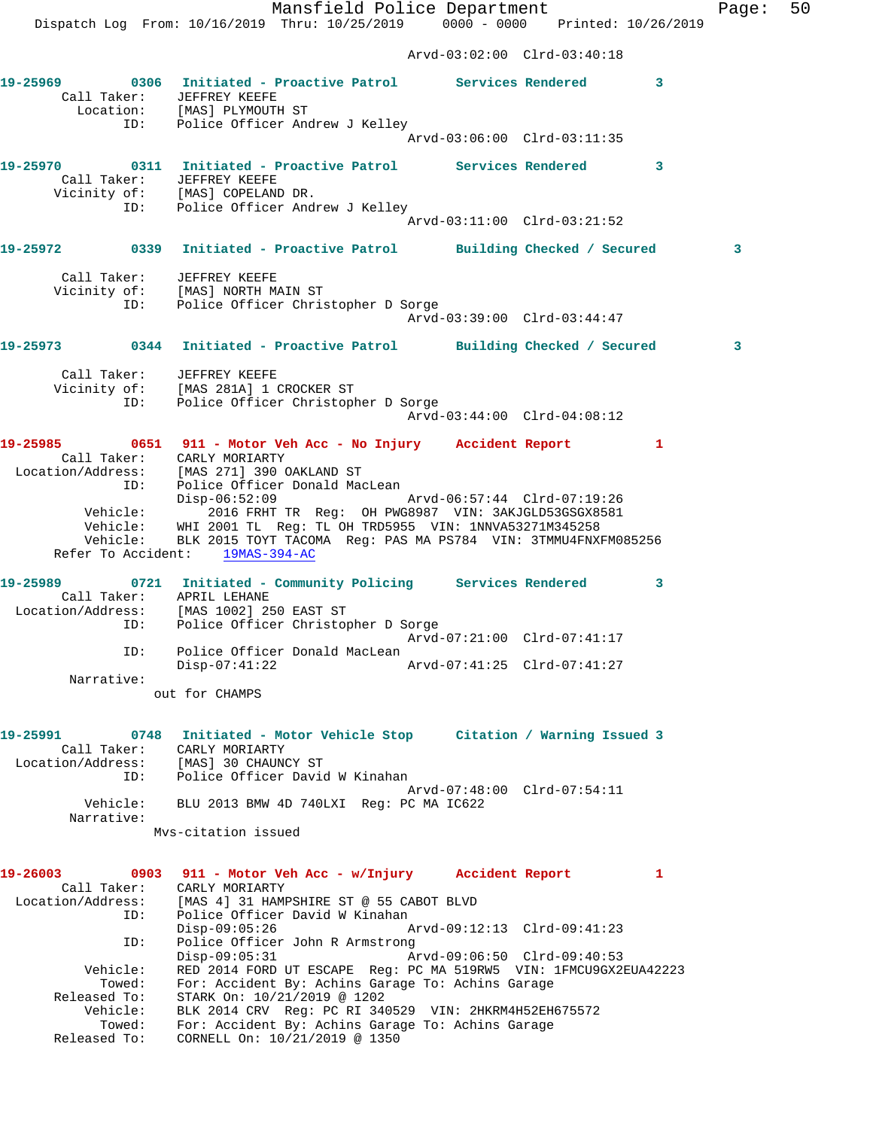Dispatch Log From: 10/16/2019 Thru: 10/25/2019 0000 - 0000 Printed: 10/26/2019 Arvd-03:02:00 Clrd-03:40:18 **19-25969 0306 Initiated - Proactive Patrol Services Rendered 3**  Call Taker: JEFFREY KEEFE Location: [MAS] PLYMOUTH ST ID: Police Officer Andrew J Kelley Arvd-03:06:00 Clrd-03:11:35 **19-25970 0311 Initiated - Proactive Patrol Services Rendered 3**  Call Taker: JEFFREY KEEFE Vicinity of: [MAS] COPELAND DR. ID: Police Officer Andrew J Kelley Arvd-03:11:00 Clrd-03:21:52 **19-25972 0339 Initiated - Proactive Patrol Building Checked / Secured 3** Call Taker: JEFFREY KEEFE Vicinity of: [MAS] NORTH MAIN ST ID: Police Officer Christopher D Sorge Arvd-03:39:00 Clrd-03:44:47 **19-25973 0344 Initiated - Proactive Patrol Building Checked / Secured 3** Call Taker: JEFFREY KEEFE Vicinity of: [MAS 281A] 1 CROCKER ST ID: Police Officer Christopher D Sorge Arvd-03:44:00 Clrd-04:08:12 **19-25985 0651 911 - Motor Veh Acc - No Injury Accident Report 1**  Call Taker: CARLY MORIARTY Location/Address: [MAS 271] 390 OAKLAND ST ID: Police Officer Donald MacLean Disp-06:52:09 Arvd-06:57:44 Clrd-07:19:26 Vehicle: 2016 FRHT TR Reg: OH PWG8987 VIN: 3AKJGLD53GSGX8581 Vehicle: WHI 2001 TL Reg: TL OH TRD5955 VIN: 1NNVA53271M345258 Vehicle: BLK 2015 TOYT TACOMA Reg: PAS MA PS784 VIN: 3TMMU4FNXFM085256 Refer To Accident: 19MAS-394-AC **19-25989 0721 Initiated - Community Policing Services Rendered 3**  Call Taker: APRIL LEHANE Location/Address: [MAS 1002] 250 EAST ST ID: Police Officer Christopher D Sorge Arvd-07:21:00 Clrd-07:41:17 ID: Police Officer Donald MacLean<br>Disp-07:41:22 Disp-07:41:22 Arvd-07:41:25 Clrd-07:41:27 Narrative: out for CHAMPS **19-25991 0748 Initiated - Motor Vehicle Stop Citation / Warning Issued 3**  Call Taker: CARLY MORIARTY Location/Address: [MAS] 30 CHAUNCY ST ID: Police Officer David W Kinahan Arvd-07:48:00 Clrd-07:54:11 Vehicle: BLU 2013 BMW 4D 740LXI Reg: PC MA IC622 Narrative: Mvs-citation issued **19-26003 0903 911 - Motor Veh Acc - w/Injury Accident Report 1**  Call Taker: CARLY MORIARTY Location/Address: [MAS 4] 31 HAMPSHIRE ST @ 55 CABOT BLVD ID: Police Officer David W Kinahan<br>Disp-09:05:26 A Disp-09:05:26 Arvd-09:12:13 Clrd-09:41:23 ID: Police Officer John R Armstrong<br>Disp-09:05:31 Arvd-09:06:50 Clrd-09:40:53 Disp-09:05:31 Arvd-09:06:50 Clrd-09:40:53 Vehicle: RED 2014 FORD UT ESCAPE Reg: PC MA 519RW5 VIN: 1FMCU9GX2EUA42223 Towed: For: Accident By: Achins Garage To: Achins Garage Released To: STARK On: 10/21/2019 @ 1202 Vehicle: BLK 2014 CRV Reg: PC RI 340529 VIN: 2HKRM4H52EH675572 Towed: For: Accident By: Achins Garage To: Achins Garage Released To: CORNELL On: 10/21/2019 @ 1350

Mansfield Police Department Fage: 50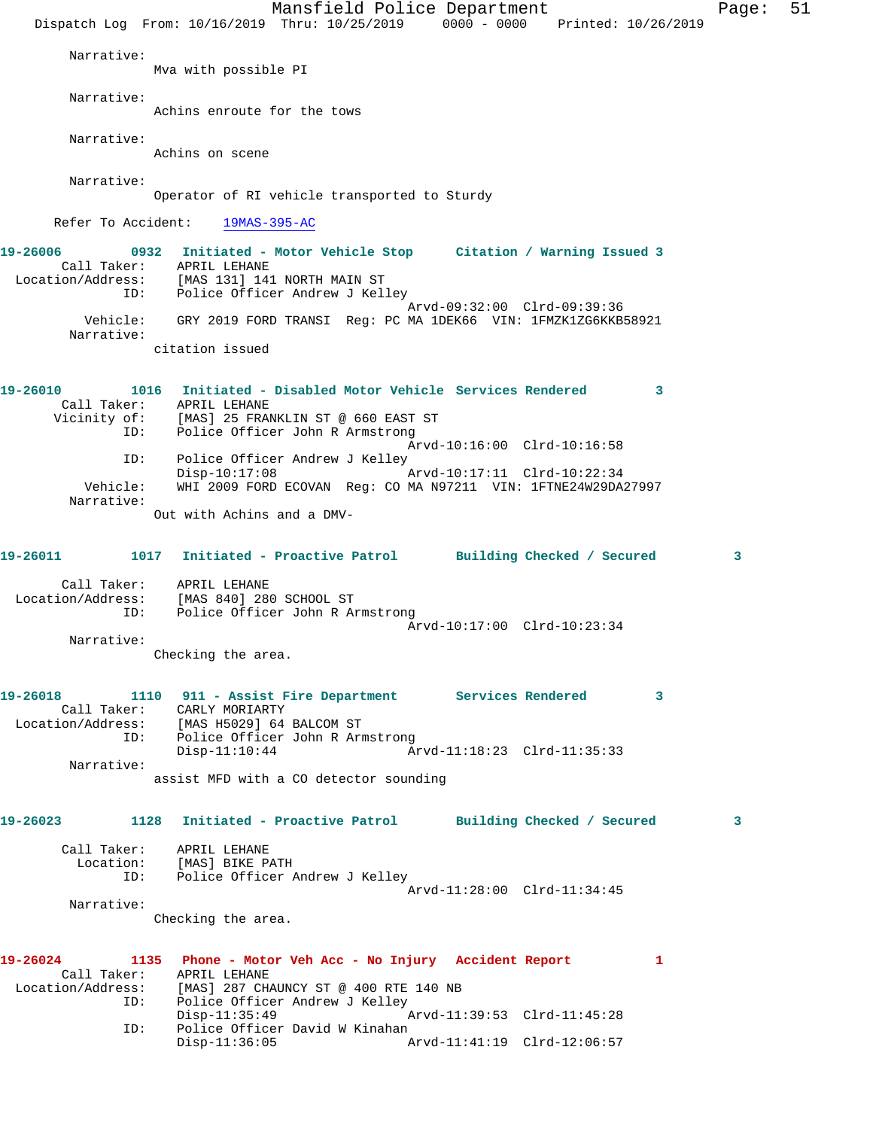Mansfield Police Department Page: 51 Dispatch Log From: 10/16/2019 Thru: 10/25/2019 0000 - 0000 Printed: 10/26/2019 Narrative: Mva with possible PI Narrative: Achins enroute for the tows Narrative: Achins on scene Narrative: Operator of RI vehicle transported to Sturdy Refer To Accident: 19MAS-395-AC **19-26006 0932 Initiated - Motor Vehicle Stop Citation / Warning Issued 3**  Call Taker: APRIL LEHANE Location/Address: [MAS 131] 141 NORTH MAIN ST ID: Police Officer Andrew J Kelley Arvd-09:32:00 Clrd-09:39:36 Vehicle: GRY 2019 FORD TRANSI Reg: PC MA 1DEK66 VIN: 1FMZK1ZG6KKB58921 Narrative: citation issued **19-26010 1016 Initiated - Disabled Motor Vehicle Services Rendered 3**  Call Taker: APRIL LEHANE Vicinity of: [MAS] 25 FRANKLIN ST @ 660 EAST ST ID: Police Officer John R Armstrong Arvd-10:16:00 Clrd-10:16:58 ID: Police Officer Andrew J Kelley Disp-10:17:08 Arvd-10:17:11 Clrd-10:22:34 Vehicle: WHI 2009 FORD ECOVAN Reg: CO MA N97211 VIN: 1FTNE24W29DA27997 Narrative: Out with Achins and a DMV-**19-26011 1017 Initiated - Proactive Patrol Building Checked / Secured 3** Call Taker: APRIL LEHANE Location/Address: [MAS 840] 280 SCHOOL ST ID: Police Officer John R Armstrong Arvd-10:17:00 Clrd-10:23:34 Narrative: Checking the area. **19-26018 1110 911 - Assist Fire Department Services Rendered 3**  Call Taker: CARLY MORIARTY Location/Address: [MAS H5029] 64 BALCOM ST ID: Police Officer John R Armstrong Disp-11:10:44 Arvd-11:18:23 Clrd-11:35:33 Narrative: assist MFD with a CO detector sounding **19-26023 1128 Initiated - Proactive Patrol Building Checked / Secured 3** Call Taker: APRIL LEHANE Location: [MAS] BIKE PATH ID: Police Officer Andrew J Kelley Arvd-11:28:00 Clrd-11:34:45 Narrative: Checking the area. **19-26024 1135 Phone - Motor Veh Acc - No Injury Accident Report 1**  Call Taker: APRIL LEHANE Location/Address: [MAS] 287 CHAUNCY ST @ 400 RTE 140 NB ID: Police Officer Andrew J Kelley Disp-11:35:49 Arvd-11:39:53 Clrd-11:45:28 ID: Police Officer David W Kinahan<br>Disp-11:36:05 A Arvd-11:41:19 Clrd-12:06:57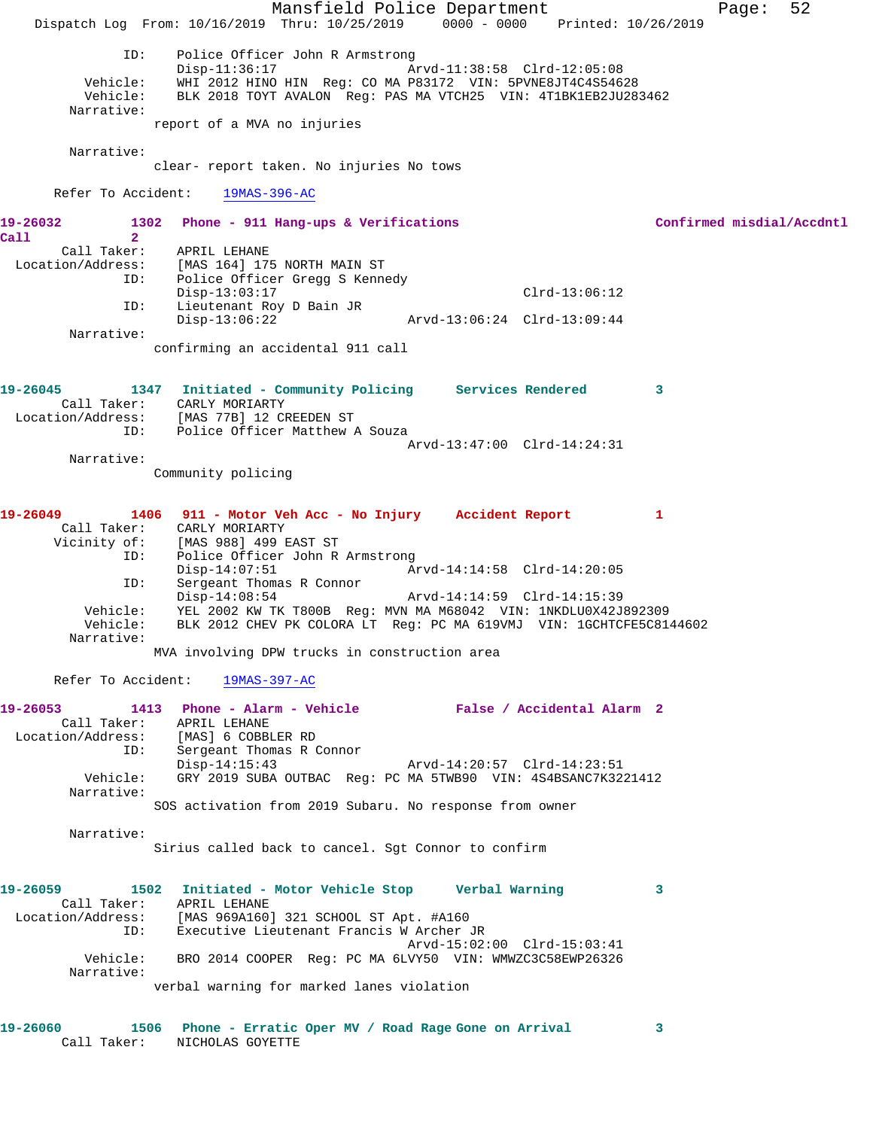Mansfield Police Department Fage: 52 Dispatch Log From: 10/16/2019 Thru: 10/25/2019 0000 - 0000 Printed: 10/26/2019 ID: Police Officer John R Armstrong Disp-11:36:17 Arvd-11:38:58 Clrd-12:05:08 Vehicle: WHI 2012 HINO HIN Reg: CO MA P83172 VIN: 5PVNE8JT4C4S54628 Vehicle: BLK 2018 TOYT AVALON Reg: PAS MA VTCH25 VIN: 4T1BK1EB2JU283462 Narrative: report of a MVA no injuries Narrative: clear- report taken. No injuries No tows Refer To Accident: 19MAS-396-AC **19-26032 1302 Phone - 911 Hang-ups & Verifications Confirmed misdial/Accdntl Call 2**  Call Taker: APRIL LEHANE Location/Address: [MAS 164] 175 NORTH MAIN ST ID: Police Officer Gregg S Kennedy Disp-13:03:17 Clrd-13:06:12 ID: Lieutenant Roy D Bain JR Disp-13:06:22 Arvd-13:06:24 Clrd-13:09:44 Narrative: confirming an accidental 911 call **19-26045 1347 Initiated - Community Policing Services Rendered 3**  Call Taker: CARLY MORIARTY Location/Address: [MAS 77B] 12 CREEDEN ST ID: Police Officer Matthew A Souza Arvd-13:47:00 Clrd-14:24:31 Narrative: Community policing **19-26049 1406 911 - Motor Veh Acc - No Injury Accident Report 1**  Call Taker: CARLY MORIARTY Vicinity of: [MAS 988] 499 EAST ST ID: Police Officer John R Armstrong Disp-14:07:51 Arvd-14:14:58 Clrd-14:20:05 ID: Sergeant Thomas R Connor<br>Disp-14:08:54 Disp-14:08:54 Arvd-14:14:59 Clrd-14:15:39 Vehicle: YEL 2002 KW TK T800B Reg: MVN MA M68042 VIN: 1NKDLU0X42J892309 Vehicle: BLK 2012 CHEV PK COLORA LT Reg: PC MA 619VMJ VIN: 1GCHTCFE5C8144602 Narrative: MVA involving DPW trucks in construction area Refer To Accident: 19MAS-397-AC **19-26053 1413 Phone - Alarm - Vehicle False / Accidental Alarm 2**  Call Taker: APRIL LEHANE<br>Location/Address: [MAS] 6 COBBLER RD Location/Address: [MAS] 6 COBBLER RD ID: Sergeant Thomas R Connor Disp-14:15:43 Arvd-14:20:57 Clrd-14:23:51 Vehicle: GRY 2019 SUBA OUTBAC Reg: PC MA 5TWB90 VIN: 4S4BSANC7K3221412 Narrative: SOS activation from 2019 Subaru. No response from owner Narrative: Sirius called back to cancel. Sgt Connor to confirm **19-26059 1502 Initiated - Motor Vehicle Stop Verbal Warning 3**  Call Taker: APRIL LEHANE Location/Address: [MAS 969A160] 321 SCHOOL ST Apt. #A160 ID: Executive Lieutenant Francis W Archer JR Arvd-15:02:00 Clrd-15:03:41 Vehicle: BRO 2014 COOPER Reg: PC MA 6LVY50 VIN: WMWZC3C58EWP26326 Narrative: verbal warning for marked lanes violation **19-26060 1506 Phone - Erratic Oper MV / Road Rage Gone on Arrival 3**  Call Taker: NICHOLAS GOYETTE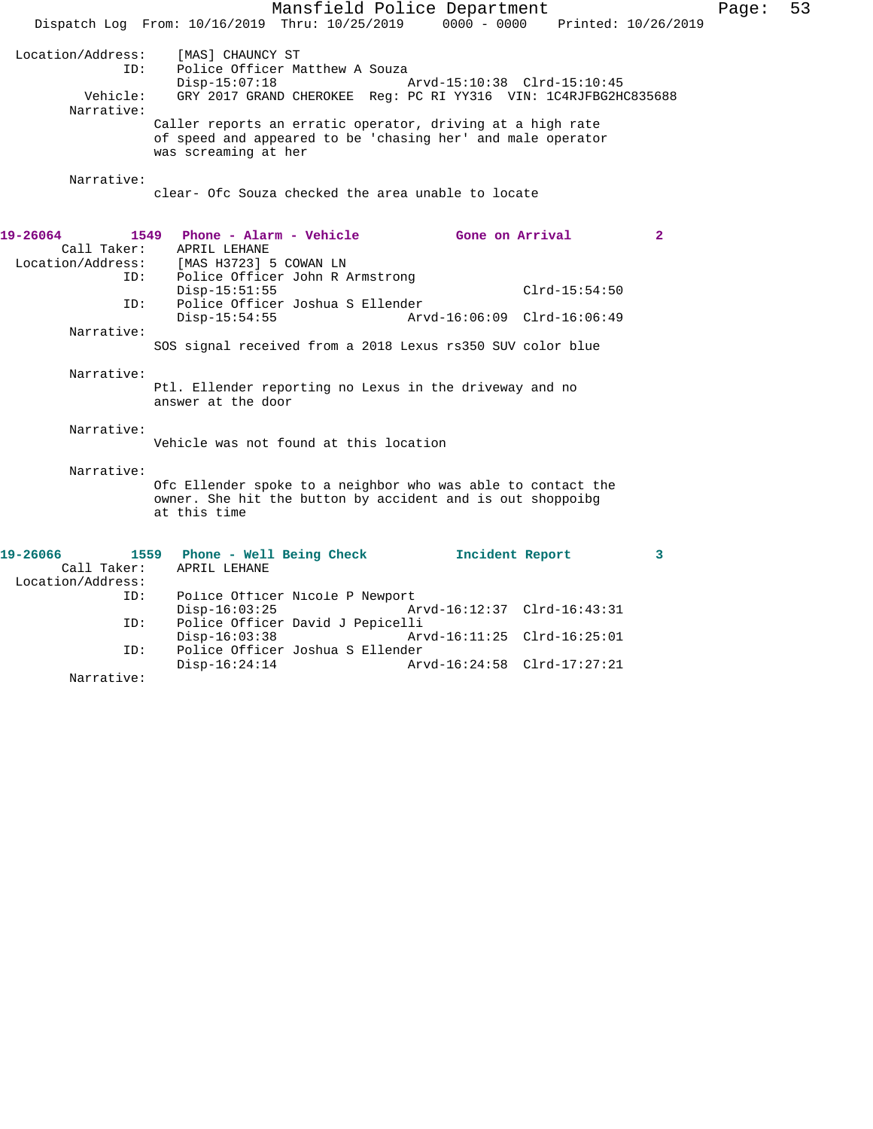|                   | Mansfield Police Department                                     |                             |                 |                         |
|-------------------|-----------------------------------------------------------------|-----------------------------|-----------------|-------------------------|
|                   | Dispatch Log From: 10/16/2019 Thru: 10/25/2019                  | $0000 - 0000$               |                 | Printed: 10/26/2019     |
|                   |                                                                 |                             |                 |                         |
| Location/Address: | [MAS] CHAUNCY ST                                                |                             |                 |                         |
| TD:               | Police Officer Matthew A Souza                                  |                             |                 |                         |
|                   | $Disp-15:07:18$                                                 | Arvd-15:10:38 Clrd-15:10:45 |                 |                         |
| Vehicle:          | GRY 2017 GRAND CHEROKEE Reg: PC RI YY316 VIN: 1C4RJFBG2HC835688 |                             |                 |                         |
| Narrative:        |                                                                 |                             |                 |                         |
|                   | Caller reports an erratic operator, driving at a high rate      |                             |                 |                         |
|                   | of speed and appeared to be 'chasing her' and male operator     |                             |                 |                         |
|                   | was screaming at her                                            |                             |                 |                         |
|                   |                                                                 |                             |                 |                         |
| Narrative:        |                                                                 |                             |                 |                         |
|                   | clear- Ofc Souza checked the area unable to locate              |                             |                 |                         |
|                   |                                                                 |                             |                 |                         |
|                   |                                                                 |                             |                 |                         |
| 19-26064          | Phone - Alarm - Vehicle<br>1549                                 | Gone on Arrival             |                 | $\overline{\mathbf{2}}$ |
| Call Taker:       | APRIL LEHANE                                                    |                             |                 |                         |
|                   | Location/Address: [MAS H3723] 5 COWAN LN                        |                             |                 |                         |
| ID:               | Police Officer John R Armstrong                                 |                             |                 |                         |
|                   | $Disp-15:51:55$                                                 |                             | $Clrd-15:54:50$ |                         |
| ID:               | Police Officer Joshua S Ellender                                |                             |                 |                         |
|                   | $Disp-15:54:55$                                                 | Arvd-16:06:09 Clrd-16:06:49 |                 |                         |
| Narrative:        |                                                                 |                             |                 |                         |
|                   | SOS signal received from a 2018 Lexus rs350 SUV color blue      |                             |                 |                         |
| Narrative:        |                                                                 |                             |                 |                         |
|                   | Ptl. Ellender reporting no Lexus in the driveway and no         |                             |                 |                         |
|                   | answer at the door                                              |                             |                 |                         |
|                   |                                                                 |                             |                 |                         |
| Narrative:        |                                                                 |                             |                 |                         |
|                   | Vehicle was not found at this location                          |                             |                 |                         |
|                   |                                                                 |                             |                 |                         |
| Narrative:        |                                                                 |                             |                 |                         |
|                   | Ofc Ellender spoke to a neighbor who was able to contact the    |                             |                 |                         |
|                   | owner. She hit the button by accident and is out shoppoibg      |                             |                 |                         |
|                   | at this time                                                    |                             |                 |                         |
|                   |                                                                 |                             |                 |                         |
|                   |                                                                 |                             |                 |                         |
| 19-26066          | 1559<br>Phone - Well Being Check                                | Incident Report             |                 | $\overline{\mathbf{3}}$ |
| Call Taker:       | APRIL LEHANE                                                    |                             |                 |                         |
| Location/Address: |                                                                 |                             |                 |                         |
| ID:               | Police Officer Nicole P Newport                                 |                             |                 |                         |
|                   | $Disp-16:03:25$                                                 | Arvd-16:12:37 Clrd-16:43:31 |                 |                         |
| ID:               | Police Officer David J Pepicelli                                |                             |                 |                         |
|                   | $Disp-16:03:38$                                                 | Arvd-16:11:25 Clrd-16:25:01 |                 |                         |
| ID:               | Police Officer Joshua S Ellender                                |                             |                 |                         |
|                   | $Disp-16:24:14$                                                 | Arvd-16:24:58 Clrd-17:27:21 |                 |                         |

Narrative:

Page: 53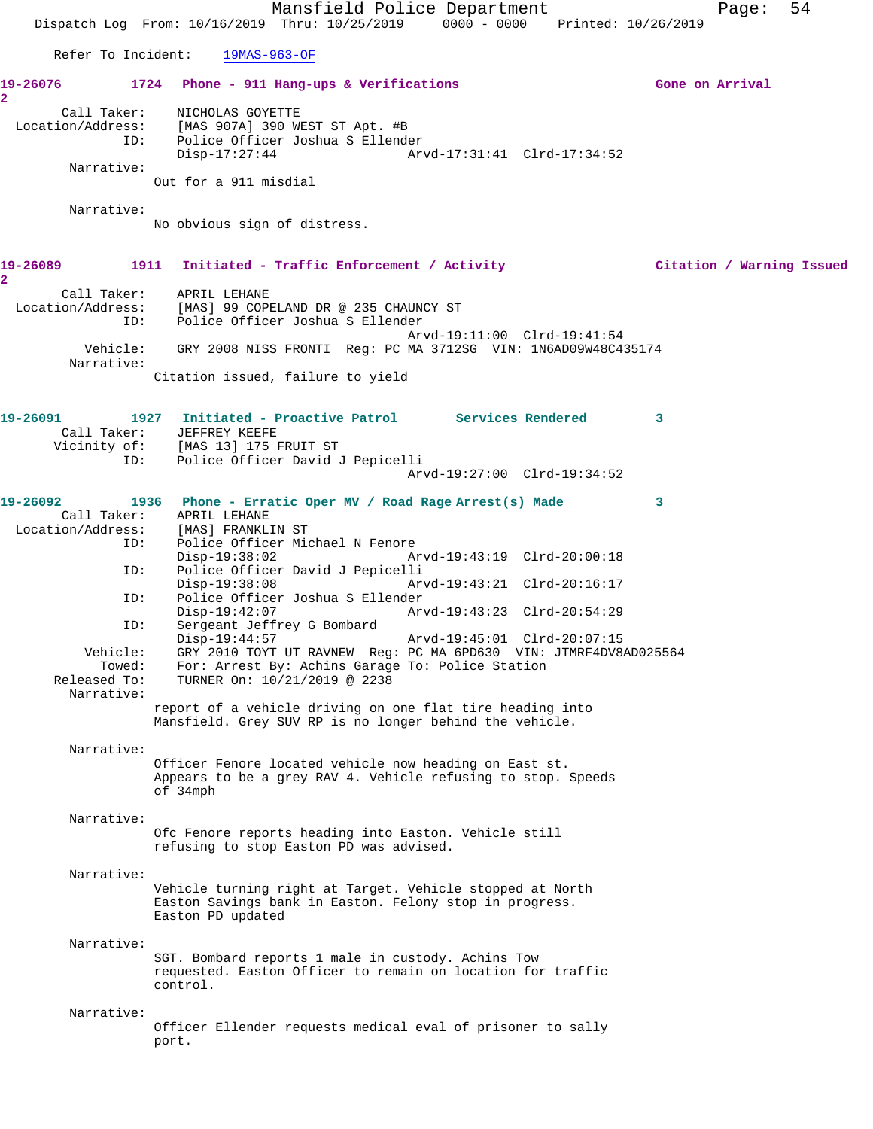Mansfield Police Department Fage: 54 Dispatch Log From: 10/16/2019 Thru: 10/25/2019 0000 - 0000 Printed: 10/26/2019 Refer To Incident: 19MAS-963-OF **19-26076 1724 Phone - 911 Hang-ups & Verifications Gone on Arrival 2**  Call Taker: NICHOLAS GOYETTE Location/Address: [MAS 907A] 390 WEST ST Apt. #B ID: Police Officer Joshua S Ellender Disp-17:27:44 Arvd-17:31:41 Clrd-17:34:52 Narrative: Out for a 911 misdial Narrative: No obvious sign of distress. **19-26089 1911 Initiated - Traffic Enforcement / Activity Citation / Warning Issued 2**  Call Taker: APRIL LEHANE Location/Address: [MAS] 99 COPELAND DR @ 235 CHAUNCY ST ID: Police Officer Joshua S Ellender Arvd-19:11:00 Clrd-19:41:54 Vehicle: GRY 2008 NISS FRONTI Reg: PC MA 3712SG VIN: 1N6AD09W48C435174 Narrative: Citation issued, failure to yield **19-26091 1927 Initiated - Proactive Patrol Services Rendered 3**  Call Taker: JEFFREY KEEFE Vicinity of: [MAS 13] 175 FRUIT ST ID: Police Officer David J Pepicelli Arvd-19:27:00 Clrd-19:34:52 **19-26092 1936 Phone - Erratic Oper MV / Road Rage Arrest(s) Made 3**  Call Taker: APRIL LEHANE Location/Address: [MAS] FRANKLIN ST<br>ID: Police Officer Mic Police Officer Michael N Fenore<br>Disp-19:38:02 Ar Arvd-19:43:19 Clrd-20:00:18 ID: Police Officer David J Pepicelli Disp-19:38:08 Arvd-19:43:21 Clrd-20:16:17 ID: Police Officer Joshua S Ellender Disp-19:42:07 Arvd-19:43:23 Clrd-20:54:29 ID: Sergeant Jeffrey G Bombard Disp-19:44:57 Arvd-19:45:01 Clrd-20:07:15 Vehicle: GRY 2010 TOYT UT RAVNEW Reg: PC MA 6PD630 VIN: JTMRF4DV8AD025564 Towed: For: Arrest By: Achins Garage To: Police Station<br>Released To: TURNER On:  $10/21/2019 \text{ } \textcircled{ } 2238$ TURNER On: 10/21/2019 @ 2238 Narrative: report of a vehicle driving on one flat tire heading into Mansfield. Grey SUV RP is no longer behind the vehicle. Narrative: Officer Fenore located vehicle now heading on East st. Appears to be a grey RAV 4. Vehicle refusing to stop. Speeds of 34mph Narrative: Ofc Fenore reports heading into Easton. Vehicle still refusing to stop Easton PD was advised. Narrative: Vehicle turning right at Target. Vehicle stopped at North Easton Savings bank in Easton. Felony stop in progress. Easton PD updated Narrative: SGT. Bombard reports 1 male in custody. Achins Tow requested. Easton Officer to remain on location for traffic control. Narrative: Officer Ellender requests medical eval of prisoner to sally port.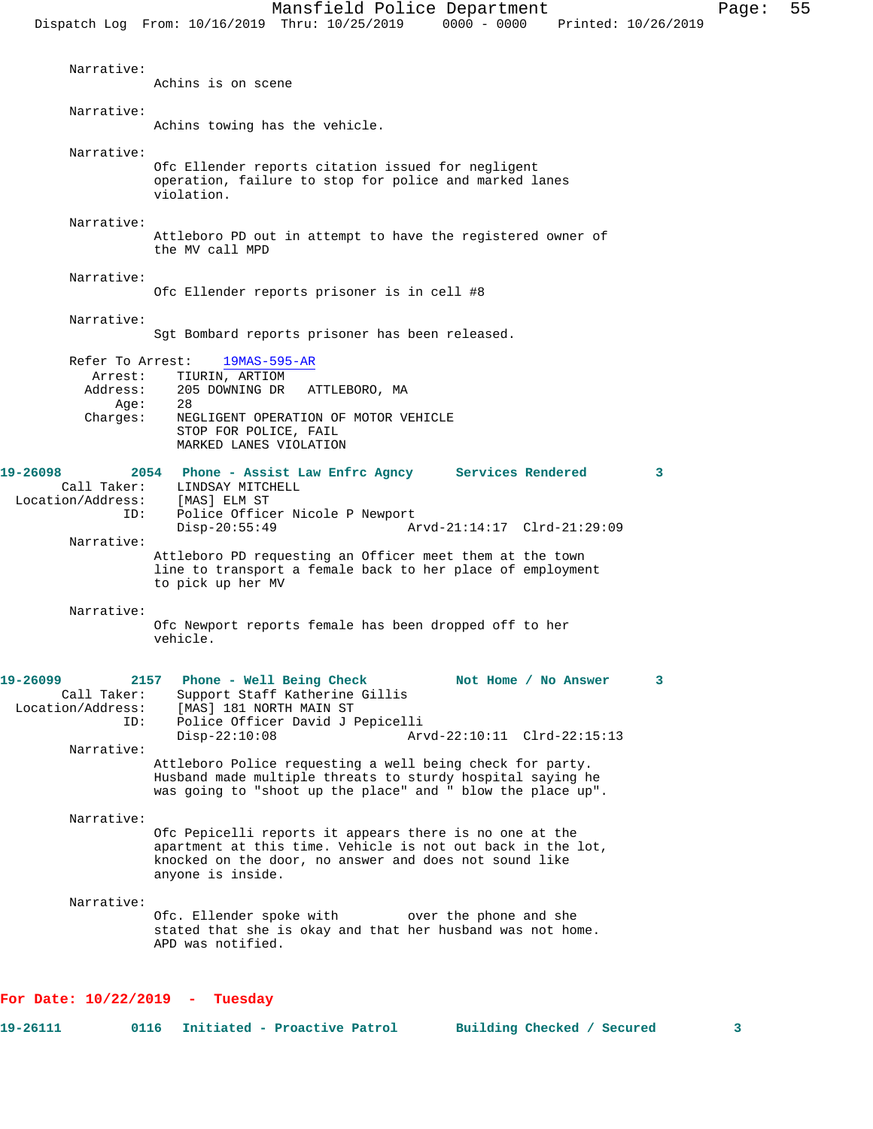Narrative: Achins is on scene Narrative: Achins towing has the vehicle. Narrative: Ofc Ellender reports citation issued for negligent operation, failure to stop for police and marked lanes violation. Narrative: Attleboro PD out in attempt to have the registered owner of the MV call MPD Narrative: Ofc Ellender reports prisoner is in cell #8 Narrative: Sgt Bombard reports prisoner has been released. Refer To Arrest: 19MAS-595-AR Arrest: TIURIN, ARTIOM<br>Address: 205 DOWNING DR 205 DOWNING DR ATTLEBORO, MA Age: 28 Charges: NEGLIGENT OPERATION OF MOTOR VEHICLE STOP FOR POLICE, FAIL MARKED LANES VIOLATION **19-26098 2054 Phone - Assist Law Enfrc Agncy Services Rendered 3**  Call Taker: LINDSAY MITCHELL Location/Address: [MAS] ELM ST ID: Police Officer Nicole P Newport<br>Disp-20:55:49 A Arvd-21:14:17 Clrd-21:29:09 Narrative: Attleboro PD requesting an Officer meet them at the town line to transport a female back to her place of employment to pick up her MV Narrative: Ofc Newport reports female has been dropped off to her vehicle. **19-26099 2157 Phone - Well Being Check Not Home / No Answer 3**  Call Taker: Support Staff Katherine Gillis<br>Location/Address: [MAS] 181 NORTH MAIN ST ess: [MAS] 181 NORTH MAIN ST<br>ID: Police Officer David J I Police Officer David J Pepicelli<br>Disp-22:10:08 Ar Disp-22:10:08 Arvd-22:10:11 Clrd-22:15:13 Narrative: Attleboro Police requesting a well being check for party. Husband made multiple threats to sturdy hospital saying he was going to "shoot up the place" and " blow the place up". Narrative: Ofc Pepicelli reports it appears there is no one at the apartment at this time. Vehicle is not out back in the lot, knocked on the door, no answer and does not sound like anyone is inside. Narrative: Ofc. Ellender spoke with over the phone and she stated that she is okay and that her husband was not home. APD was notified.

## **For Date: 10/22/2019 - Tuesday**

| 0116<br>19-26111 | Initiated - Proactive P |  |  |
|------------------|-------------------------|--|--|
|------------------|-------------------------|--|--|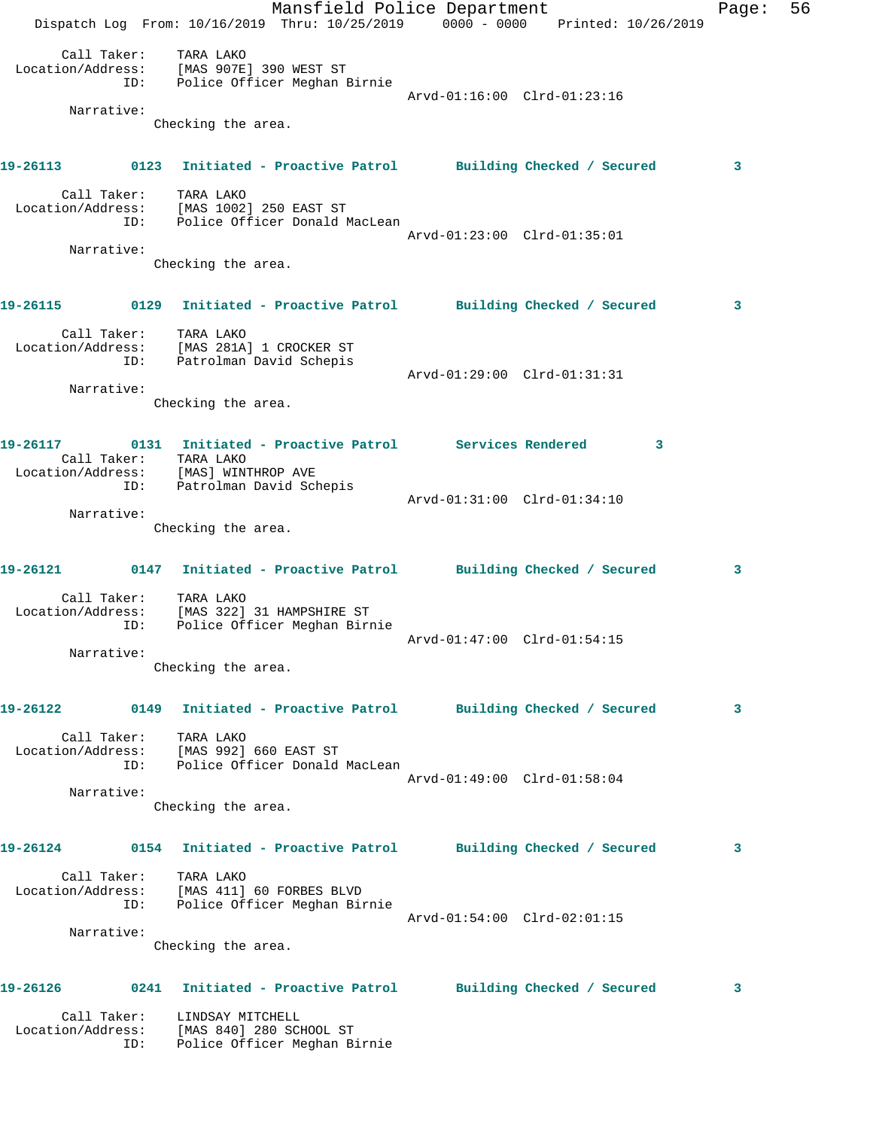Mansfield Police Department Fage: 56 Dispatch Log From: 10/16/2019 Thru: 10/25/2019 0000 - 0000 Printed: 10/26/2019 Call Taker: TARA LAKO Location/Address: [MAS 907E] 390 WEST ST ID: Police Officer Meghan Birnie Arvd-01:16:00 Clrd-01:23:16 Narrative: Checking the area. **19-26113 0123 Initiated - Proactive Patrol Building Checked / Secured 3** Call Taker: TARA LAKO Location/Address: [MAS 1002] 250 EAST ST ID: Police Officer Donald MacLean Arvd-01:23:00 Clrd-01:35:01 Narrative: Checking the area. **19-26115 0129 Initiated - Proactive Patrol Building Checked / Secured 3** Call Taker: TARA LAKO Location/Address: [MAS 281A] 1 CROCKER ST ID: Patrolman David Schepis Arvd-01:29:00 Clrd-01:31:31 Narrative: Checking the area. **19-26117 0131 Initiated - Proactive Patrol Services Rendered 3**  Call Taker: TARA LAKO Location/Address: [MAS] WINTHROP AVE ID: Patrolman David Schepis Arvd-01:31:00 Clrd-01:34:10 Narrative: Checking the area. **19-26121 0147 Initiated - Proactive Patrol Building Checked / Secured 3** Call Taker: TARA LAKO Location/Address: [MAS 322] 31 HAMPSHIRE ST ID: Police Officer Meghan Birnie Arvd-01:47:00 Clrd-01:54:15 Narrative: Checking the area. **19-26122 0149 Initiated - Proactive Patrol Building Checked / Secured 3** Call Taker: TARA LAKO Location/Address: [MAS 992] 660 EAST ST ID: Police Officer Donald MacLean Arvd-01:49:00 Clrd-01:58:04 Narrative: Checking the area. **19-26124 0154 Initiated - Proactive Patrol Building Checked / Secured 3** Call Taker: TARA LAKO Location/Address: [MAS 411] 60 FORBES BLVD ID: Police Officer Meghan Birnie Arvd-01:54:00 Clrd-02:01:15 Narrative: Checking the area. **19-26126 0241 Initiated - Proactive Patrol Building Checked / Secured 3** Call Taker: LINDSAY MITCHELL Location/Address: [MAS 840] 280 SCHOOL ST ID: Police Officer Meghan Birnie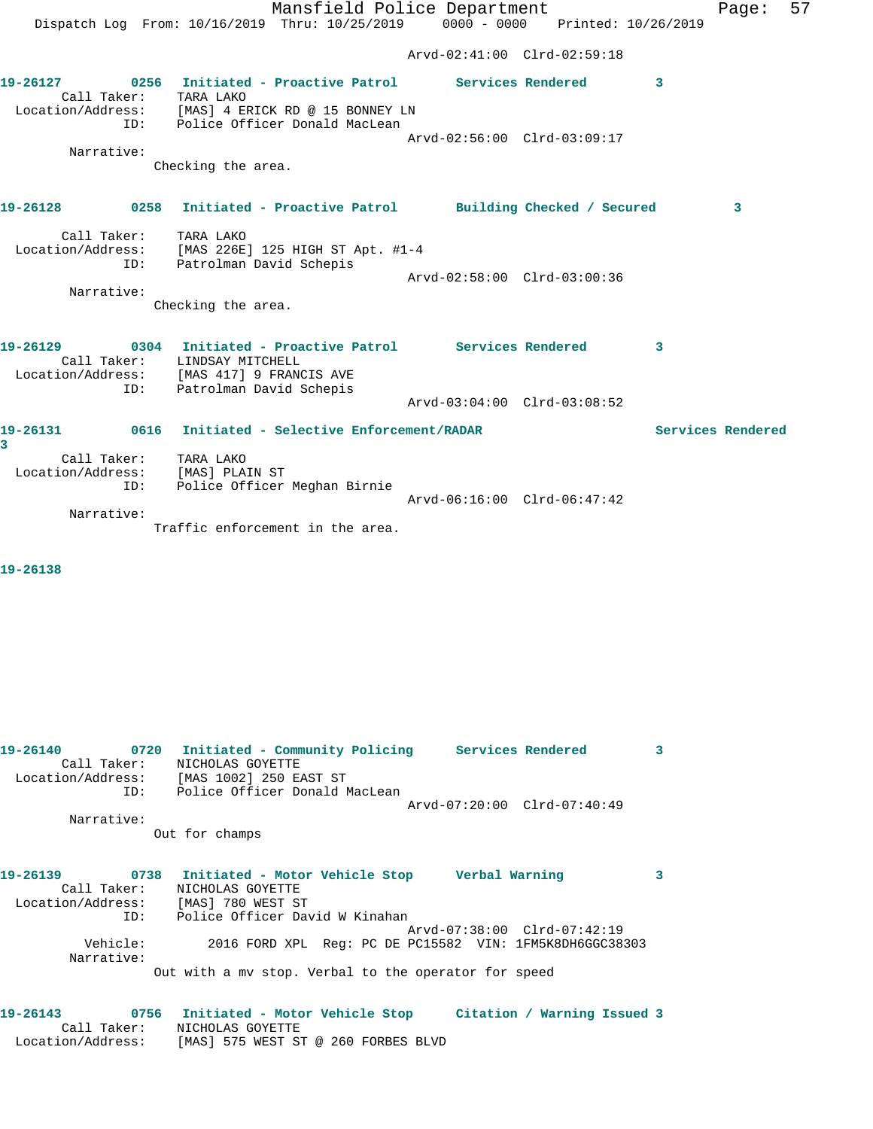Mansfield Police Department Fage: 57 Dispatch Log From: 10/16/2019 Thru: 10/25/2019 0000 - 0000 Printed: 10/26/2019 Arvd-02:41:00 Clrd-02:59:18 **19-26127 0256 Initiated - Proactive Patrol Services Rendered 3**  Call Taker: TARA LAKO Location/Address: [MAS] 4 ERICK RD @ 15 BONNEY LN ID: Police Officer Donald MacLean Arvd-02:56:00 Clrd-03:09:17 Narrative: Checking the area. **19-26128 0258 Initiated - Proactive Patrol Building Checked / Secured 3** Call Taker: TARA LAKO Location/Address: [MAS 226E] 125 HIGH ST Apt. #1-4 ID: Patrolman David Schepis Arvd-02:58:00 Clrd-03:00:36 Narrative: Checking the area. **19-26129 0304 Initiated - Proactive Patrol Services Rendered 3**  Call Taker: LINDSAY MITCHELL Location/Address: [MAS 417] 9 FRANCIS AVE ID: Patrolman David Schepis Arvd-03:04:00 Clrd-03:08:52 **19-26131 0616 Initiated - Selective Enforcement/RADAR Services Rendered 3**  Call Taker: TARA LAKO Location/Address: [MAS] PLAIN ST ID: Police Officer Meghan Birnie Arvd-06:16:00 Clrd-06:47:42 Narrative: Traffic enforcement in the area.

**19-26138** 

| 19-26140<br>0720                         | Initiated - Community Policing Services Rendered                    |                                                         |                             | 3 |
|------------------------------------------|---------------------------------------------------------------------|---------------------------------------------------------|-----------------------------|---|
| Call Taker:                              | NICHOLAS GOYETTE                                                    |                                                         |                             |   |
| Location/Address: [MAS 1002] 250 EAST ST |                                                                     |                                                         |                             |   |
|                                          | ID: Police Officer Donald MacLean                                   |                                                         |                             |   |
|                                          |                                                                     |                                                         | Arvd-07:20:00 Clrd-07:40:49 |   |
| Narrative:                               |                                                                     |                                                         |                             |   |
|                                          | Out for champs                                                      |                                                         |                             |   |
|                                          |                                                                     |                                                         |                             |   |
| 19-26139                                 | 0738 Initiated - Motor Vehicle Stop 6 Verbal Warning                |                                                         |                             | 3 |
| Call Taker:                              | NICHOLAS GOYETTE                                                    |                                                         |                             |   |
| Location/Address: [MAS] 780 WEST ST      |                                                                     |                                                         |                             |   |
| ID:                                      | Police Officer David W Kinahan                                      |                                                         |                             |   |
|                                          |                                                                     |                                                         | Arvd-07:38:00 Clrd-07:42:19 |   |
| Vehicle:                                 |                                                                     | 2016 FORD XPL Req: PC DE PC15582 VIN: 1FM5K8DH6GGC38303 |                             |   |
| Narrative:                               |                                                                     |                                                         |                             |   |
|                                          | Out with a my stop. Verbal to the operator for speed                |                                                         |                             |   |
|                                          |                                                                     |                                                         |                             |   |
| 19-26143                                 | 0756 Initiated - Motor Vehicle Stop     Citation / Warning Issued 3 |                                                         |                             |   |

Call Taker: NICHOLAS GOYETTE

Location/Address: [MAS] 575 WEST ST @ 260 FORBES BLVD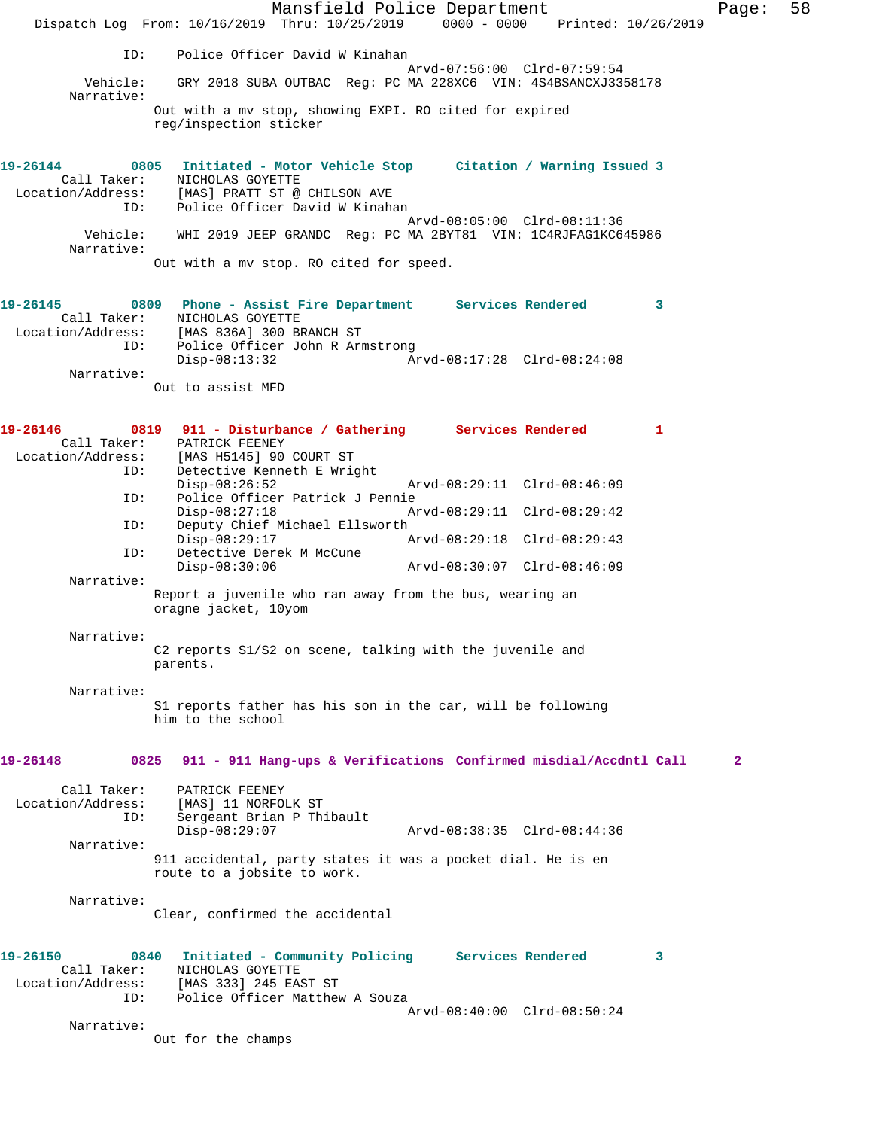Mansfield Police Department Fage: 58 Dispatch Log From: 10/16/2019 Thru: 10/25/2019 0000 - 0000 Printed: 10/26/2019 ID: Police Officer David W Kinahan Arvd-07:56:00 Clrd-07:59:54<br>Vehicle: GRY 2018 SUBA OUTBAC Reg: PC MA 228XC6 VIN: 4S4BSANCXJ33! GRY 2018 SUBA OUTBAC Reg: PC MA 228XC6 VIN: 4S4BSANCXJ3358178 Narrative: Out with a mv stop, showing EXPI. RO cited for expired reg/inspection sticker **19-26144 0805 Initiated - Motor Vehicle Stop Citation / Warning Issued 3**  Call Taker: NICHOLAS GOYETTE Location/Address: [MAS] PRATT ST @ CHILSON AVE ID: Police Officer David W Kinahan Arvd-08:05:00 Clrd-08:11:36 Vehicle: WHI 2019 JEEP GRANDC Reg: PC MA 2BYT81 VIN: 1C4RJFAG1KC645986 Narrative: Out with a mv stop. RO cited for speed. **19-26145 0809 Phone - Assist Fire Department Services Rendered 3**  Call Taker: NICHOLAS GOYETTE Location/Address: [MAS 836A] 300 BRANCH ST ID: Police Officer John R Armstrong Disp-08:13:32 Arvd-08:17:28 Clrd-08:24:08 Narrative: Out to assist MFD 19-26146 0819 911 - Disturbance / Gathering Services Rendered 1 Call Taker: PATRICK FEENEY Location/Address: [MAS H5145] 90 COURT ST Detective Kenneth E Wright<br>Disp-08:26:52 Disp-08:26:52 Arvd-08:29:11 Clrd-08:46:09 ID: Police Officer Patrick J Pennie Disp-08:27:18 Arvd-08:29:11 Clrd-08:29:42 ID: Deputy Chief Michael Ellsworth Disp-08:29:17 Arvd-08:29:18 Clrd-08:29:43 ID: Detective Derek M McCune Disp-08:30:06 Arvd-08:30:07 Clrd-08:46:09 Narrative: Report a juvenile who ran away from the bus, wearing an oragne jacket, 10yom Narrative: C2 reports S1/S2 on scene, talking with the juvenile and parents. Narrative: S1 reports father has his son in the car, will be following him to the school **19-26148 0825 911 - 911 Hang-ups & Verifications Confirmed misdial/Accdntl Call 2** Call Taker: PATRICK FEENEY Location/Address: [MAS] 11 NORFOLK ST ID: Sergeant Brian P Thibault<br>Disp-08:29:07 Disp-08:29:07 Arvd-08:38:35 Clrd-08:44:36 Narrative: 911 accidental, party states it was a pocket dial. He is en route to a jobsite to work. Narrative: Clear, confirmed the accidental **19-26150 0840 Initiated - Community Policing Services Rendered 3**  Call Taker: NICHOLAS GOYETTE Location/Address: [MAS 333] 245 EAST ST ID: Police Officer Matthew A Souza Arvd-08:40:00 Clrd-08:50:24 Narrative: Out for the champs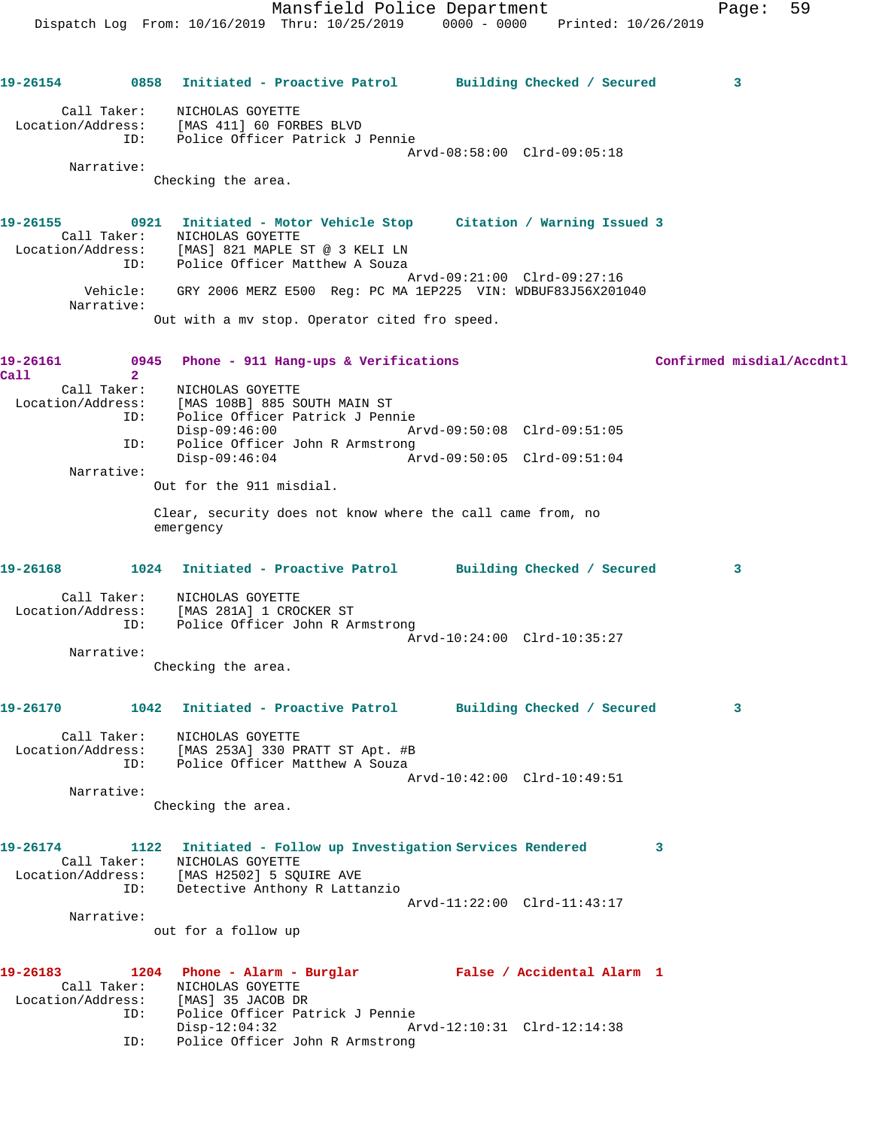**19-26154 0858 Initiated - Proactive Patrol Building Checked / Secured 3** Call Taker: NICHOLAS GOYETTE Location/Address: [MAS 411] 60 FORBES BLVD ID: Police Officer Patrick J Pennie Arvd-08:58:00 Clrd-09:05:18 Narrative: Checking the area. **19-26155 0921 Initiated - Motor Vehicle Stop Citation / Warning Issued 3**  Call Taker: NICHOLAS GOYETTE Location/Address: [MAS] 821 MAPLE ST @ 3 KELI LN ID: Police Officer Matthew A Souza Arvd-09:21:00 Clrd-09:27:16 Vehicle: GRY 2006 MERZ E500 Reg: PC MA 1EP225 VIN: WDBUF83J56X201040 Narrative: Out with a mv stop. Operator cited fro speed. **19-26161 0945 Phone - 911 Hang-ups & Verifications Confirmed misdial/Accdntl Call 2**  Call Taker: NICHOLAS GOYETTE Location/Address: [MAS 108B] 885 SOUTH MAIN ST ID: Police Officer Patrick J Pennie Disp-09:46:00 Arvd-09:50:08 Clrd-09:51:05 ID: Police Officer John R Armstrong Disp-09:46:04 Arvd-09:50:05 Clrd-09:51:04 Narrative: Out for the 911 misdial. Clear, security does not know where the call came from, no emergency **19-26168 1024 Initiated - Proactive Patrol Building Checked / Secured 3** Call Taker: NICHOLAS GOYETTE Location/Address: [MAS 281A] 1 CROCKER ST ID: Police Officer John R Armstrong Arvd-10:24:00 Clrd-10:35:27 Narrative: Checking the area. **19-26170 1042 Initiated - Proactive Patrol Building Checked / Secured 3** Call Taker: NICHOLAS GOYETTE Location/Address: [MAS 253A] 330 PRATT ST Apt. #B ID: Police Officer Matthew A Souza Arvd-10:42:00 Clrd-10:49:51 Narrative: Checking the area. **19-26174 1122 Initiated - Follow up Investigation Services Rendered 3**  Call Taker: NICHOLAS GOYETTE Location/Address: [MAS H2502] 5 SQUIRE AVE ID: Detective Anthony R Lattanzio Arvd-11:22:00 Clrd-11:43:17 Narrative: out for a follow up **19-26183 1204 Phone - Alarm - Burglar False / Accidental Alarm 1**  Call Taker: NICHOLAS GOYETTE Location/Address: [MAS] 35 JACOB DR ID: Police Officer Patrick J Pennie Disp-12:04:32 Arvd-12:10:31 Clrd-12:14:38 ID: Police Officer John R Armstrong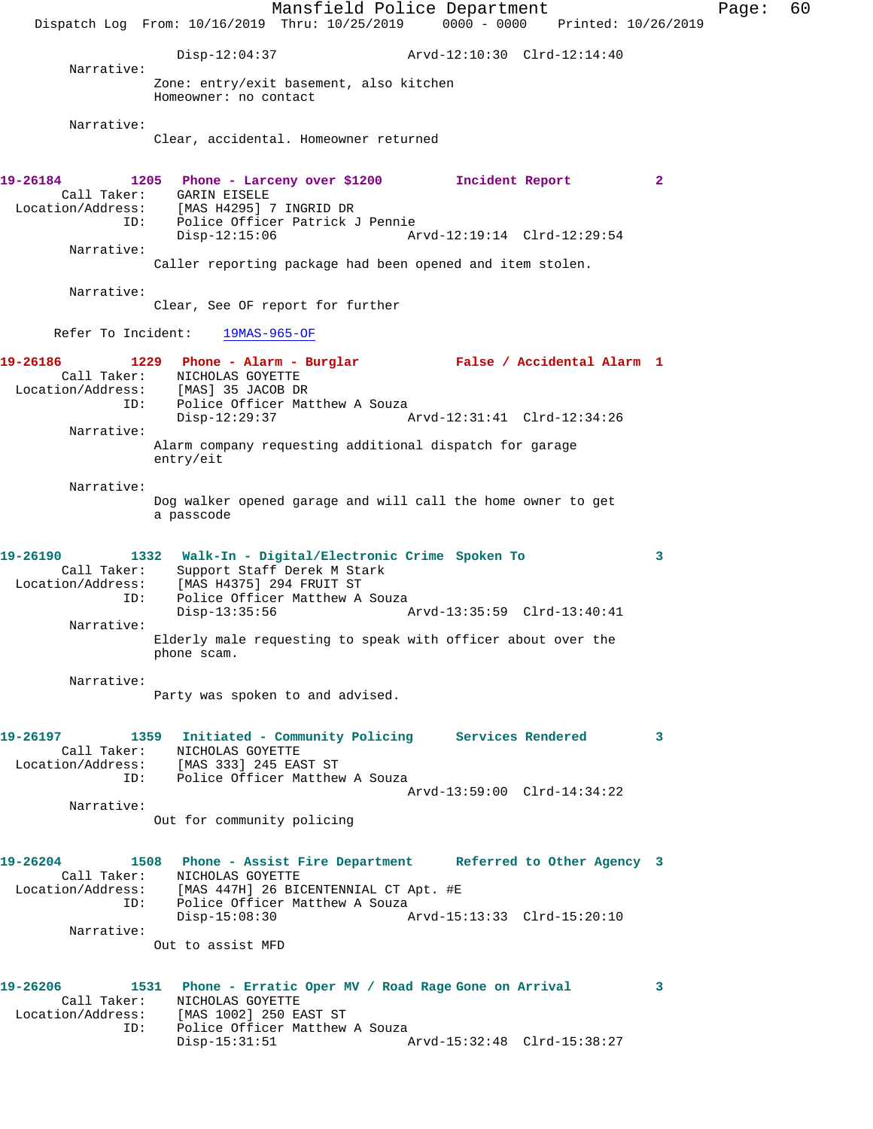Mansfield Police Department Fage: 60 Dispatch Log From: 10/16/2019 Thru: 10/25/2019 0000 - 0000 Printed: 10/26/2019 Disp-12:04:37 Arvd-12:10:30 Clrd-12:14:40 Narrative: Zone: entry/exit basement, also kitchen Homeowner: no contact Narrative: Clear, accidental. Homeowner returned **19-26184 1205 Phone - Larceny over \$1200 Incident Report 2**  Call Taker: GARIN EISELE Location/Address: [MAS H4295] 7 INGRID DR ID: Police Officer Patrick J Pennie Disp-12:15:06 Arvd-12:19:14 Clrd-12:29:54 Narrative: Caller reporting package had been opened and item stolen. Narrative: Clear, See OF report for further Refer To Incident: 19MAS-965-OF **19-26186 1229 Phone - Alarm - Burglar False / Accidental Alarm 1**  Call Taker: NICHOLAS GOYETTE Location/Address: [MAS] 35 JACOB DR ID: Police Officer Matthew A Souza<br>Disp-12:29:37 Disp-12:29:37 Arvd-12:31:41 Clrd-12:34:26 Narrative: Alarm company requesting additional dispatch for garage entry/eit Narrative: Dog walker opened garage and will call the home owner to get a passcode **19-26190 1332 Walk-In - Digital/Electronic Crime Spoken To 3**  Call Taker: Support Staff Derek M Stark Location/Address: [MAS H4375] 294 FRUIT ST ID: Police Officer Matthew A Souza<br>Disp-13:35:56 Disp-13:35:56 Arvd-13:35:59 Clrd-13:40:41 Narrative: Elderly male requesting to speak with officer about over the phone scam. Narrative: Party was spoken to and advised. **19-26197 1359 Initiated - Community Policing Services Rendered 3**  Call Taker: NICHOLAS GOYETTE Location/Address: [MAS 333] 245 EAST ST ID: Police Officer Matthew A Souza Arvd-13:59:00 Clrd-14:34:22 Narrative: Out for community policing **19-26204 1508 Phone - Assist Fire Department Referred to Other Agency 3**  Call Taker: NICHOLAS GOYETTE Location/Address: [MAS 447H] 26 BICENTENNIAL CT Apt. #E ID: Police Officer Matthew A Souza Disp-15:08:30 Arvd-15:13:33 Clrd-15:20:10 Narrative: Out to assist MFD **19-26206 1531 Phone - Erratic Oper MV / Road Rage Gone on Arrival 3**  Call Taker: NICHOLAS GOYETTE Location/Address: [MAS 1002] 250 EAST ST ID: Police Officer Matthew A Souza<br>Disp-15:31:51 Disp-15:31:51 Arvd-15:32:48 Clrd-15:38:27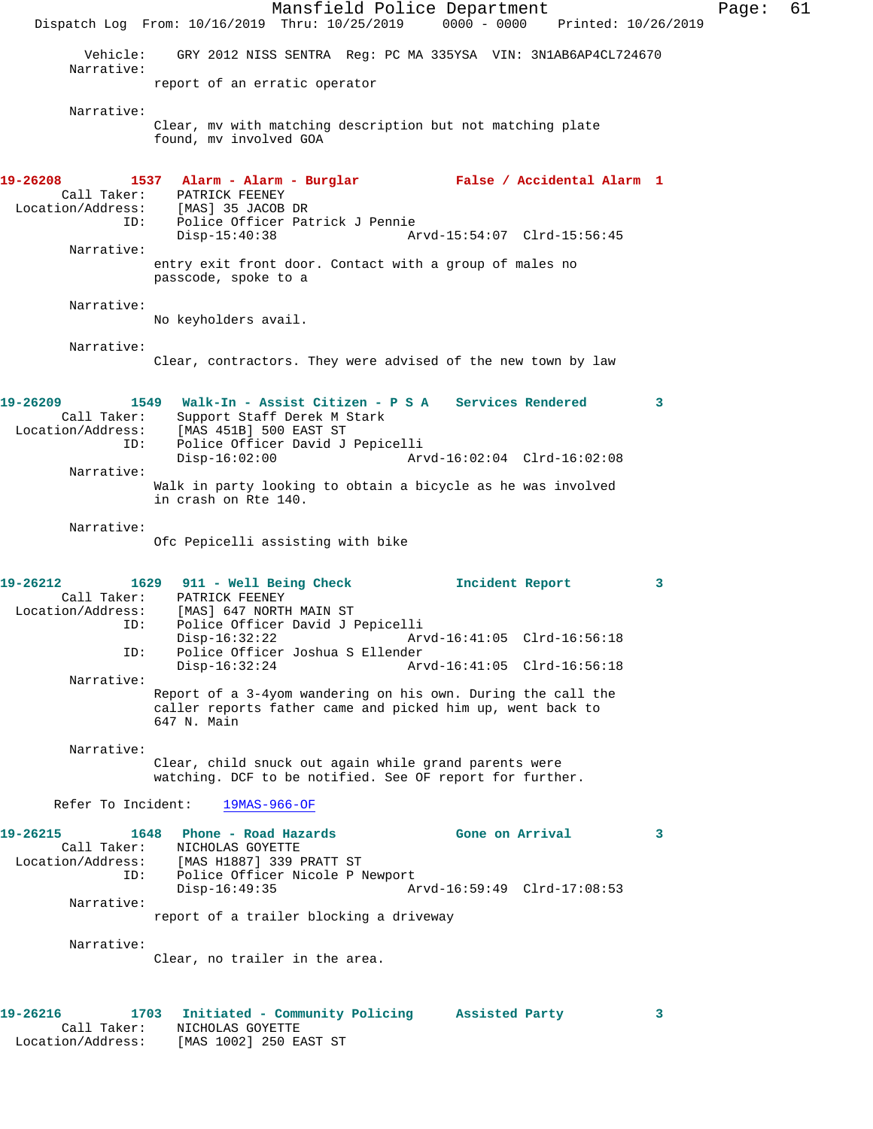Dispatch Log From: 10/16/2019 Thru: 10/25/2019 0000 - 0000 Printed: 10/26/2019 Vehicle: GRY 2012 NISS SENTRA Reg: PC MA 335YSA VIN: 3N1AB6AP4CL724670 Narrative: report of an erratic operator Narrative: Clear, mv with matching description but not matching plate found, mv involved GOA **19-26208 1537 Alarm - Alarm - Burglar False / Accidental Alarm 1**  Call Taker: PATRICK FEENEY Location/Address: [MAS] 35 JACOB DR ID: Police Officer Patrick J Pennie Disp-15:40:38 Arvd-15:54:07 Clrd-15:56:45 Narrative: entry exit front door. Contact with a group of males no passcode, spoke to a Narrative: No keyholders avail. Narrative: Clear, contractors. They were advised of the new town by law **19-26209 1549 Walk-In - Assist Citizen - P S A Services Rendered 3**  Call Taker: Support Staff Derek M Stark Location/Address: [MAS 451B] 500 EAST ST ID: Police Officer David J Pepicelli Disp-16:02:00 Arvd-16:02:04 Clrd-16:02:08 Narrative: Walk in party looking to obtain a bicycle as he was involved in crash on Rte 140. Narrative: Ofc Pepicelli assisting with bike **19-26212 1629 911 - Well Being Check Incident Report 3**  Call Taker: PATRICK FEENEY Location/Address: [MAS] 647 NORTH MAIN ST Police Officer David J Pepicelli Disp-16:32:22 Arvd-16:41:05 Clrd-16:56:18 ID: Police Officer Joshua S Ellender Arvd-16:41:05 Clrd-16:56:18 Narrative: Report of a 3-4yom wandering on his own. During the call the caller reports father came and picked him up, went back to 647 N. Main Narrative: Clear, child snuck out again while grand parents were watching. DCF to be notified. See OF report for further. Refer To Incident: 19MAS-966-OF **19-26215 1648 Phone - Road Hazards Gone on Arrival 3**  Call Taker: NICHOLAS GOYETTE Location/Address: [MAS H1887] 339 PRATT ST ID: Police Officer Nicole P Newport<br>Disp-16:49:35 Ar Arvd-16:59:49 Clrd-17:08:53 Narrative: report of a trailer blocking a driveway Narrative: Clear, no trailer in the area. **19-26216 1703 Initiated - Community Policing Assisted Party 3**  Call Taker: NICHOLAS GOYETTE

Location/Address: [MAS 1002] 250 EAST ST

Mansfield Police Department Fage: 61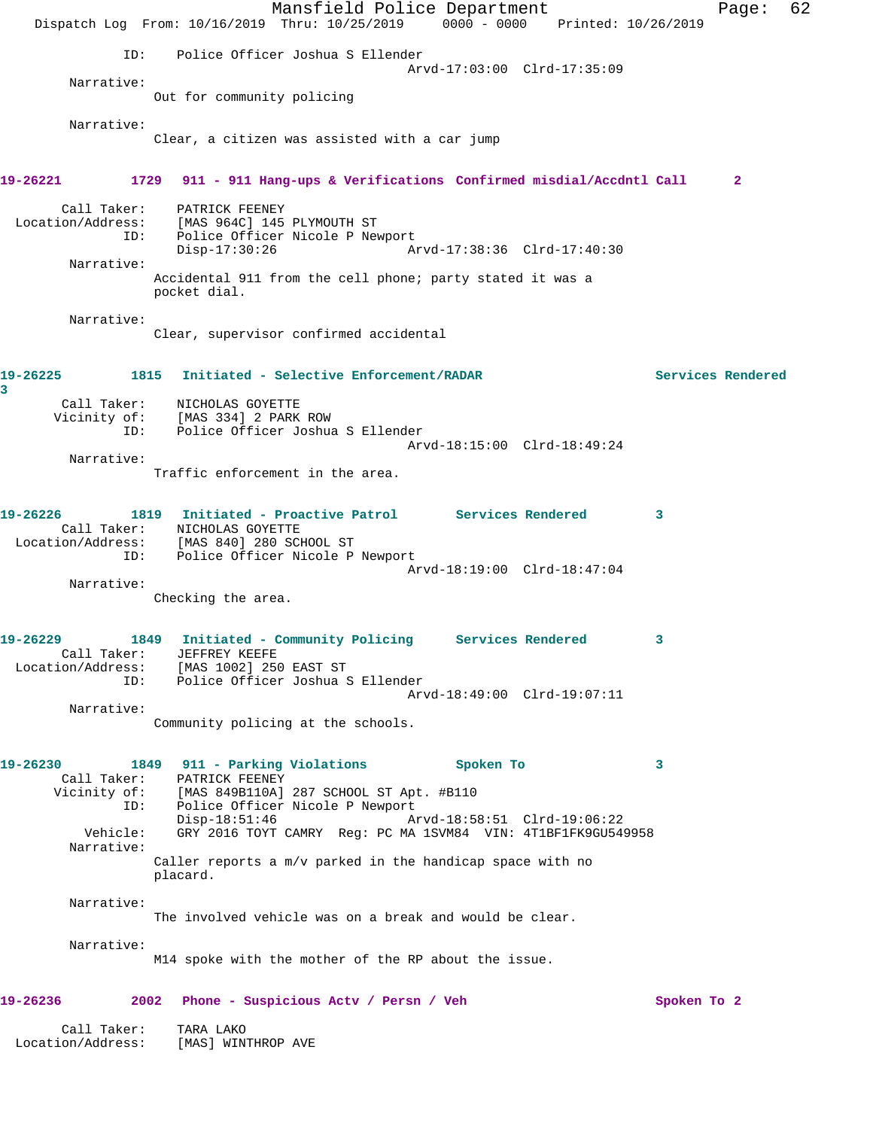|                                  | Dispatch Log From: 10/16/2019 Thru: 10/25/2019 0000 - 0000 Printed: 10/26/2019 | Mansfield Police Department |                             | Page:             | 62 |
|----------------------------------|--------------------------------------------------------------------------------|-----------------------------|-----------------------------|-------------------|----|
| ID:                              | Police Officer Joshua S Ellender                                               |                             |                             |                   |    |
|                                  |                                                                                |                             | Arvd-17:03:00 Clrd-17:35:09 |                   |    |
| Narrative:                       | Out for community policing                                                     |                             |                             |                   |    |
| Narrative:                       |                                                                                |                             |                             |                   |    |
|                                  | Clear, a citizen was assisted with a car jump                                  |                             |                             |                   |    |
| 19-26221                         | 1729 911 - 911 Hang-ups & Verifications Confirmed misdial/Accdntl Call         |                             |                             | $\mathbf{2}$      |    |
|                                  | Call Taker: PATRICK FEENEY                                                     |                             |                             |                   |    |
|                                  | Location/Address: [MAS 964C] 145 PLYMOUTH ST                                   |                             |                             |                   |    |
| ID:                              | Police Officer Nicole P Newport                                                |                             | Arvd-17:38:36 Clrd-17:40:30 |                   |    |
| Narrative:                       | $Disp-17:30:26$                                                                |                             |                             |                   |    |
|                                  | Accidental 911 from the cell phone; party stated it was a<br>pocket dial.      |                             |                             |                   |    |
| Narrative:                       |                                                                                |                             |                             |                   |    |
|                                  | Clear, supervisor confirmed accidental                                         |                             |                             |                   |    |
| 19-26225<br>3                    | 1815 Initiated - Selective Enforcement/RADAR                                   |                             |                             | Services Rendered |    |
| Call Taker:                      | NICHOLAS GOYETTE                                                               |                             |                             |                   |    |
|                                  | Vicinity of: [MAS 334] 2 PARK ROW<br>Police Officer Joshua S Ellender          |                             |                             |                   |    |
| ID:                              |                                                                                |                             | Arvd-18:15:00 Clrd-18:49:24 |                   |    |
| Narrative:                       |                                                                                |                             |                             |                   |    |
|                                  | Traffic enforcement in the area.                                               |                             |                             |                   |    |
| 19-26226                         | 1819 Initiated - Proactive Patrol Services Rendered                            |                             |                             | -3                |    |
|                                  | Call Taker: NICHOLAS GOYETTE                                                   |                             |                             |                   |    |
|                                  | Location/Address: [MAS 840] 280 SCHOOL ST                                      |                             |                             |                   |    |
| ID:                              | Police Officer Nicole P Newport                                                |                             | Arvd-18:19:00 Clrd-18:47:04 |                   |    |
| Narrative:                       |                                                                                |                             |                             |                   |    |
|                                  | Checking the area.                                                             |                             |                             |                   |    |
| 19-26229                         | 1849 Initiated - Community Policing Services Rendered                          |                             |                             |                   |    |
| Call Taker:                      | JEFFREY KEEFE<br>Location/Address: [MAS 1002] 250 EAST ST                      |                             |                             |                   |    |
|                                  | ID: Police Officer Joshua S Ellender                                           |                             |                             |                   |    |
| Narrative:                       |                                                                                |                             | Arvd-18:49:00 Clrd-19:07:11 |                   |    |
|                                  | Community policing at the schools.                                             |                             |                             |                   |    |
|                                  |                                                                                |                             |                             |                   |    |
| 19-26230                         | 1849 911 - Parking Violations<br>Call Taker: PATRICK FEENEY                    |                             | Spoken To                   | 3                 |    |
|                                  | Vicinity of: [MAS 849B110A] 287 SCHOOL ST Apt. #B110                           |                             |                             |                   |    |
|                                  | ID: Police Officer Nicole P Newport<br>Disp-18:51:46                           |                             | Arvd-18:58:51 Clrd-19:06:22 |                   |    |
| Vehicle:<br>Narrative:           | GRY 2016 TOYT CAMRY Reg: PC MA 1SVM84 VIN: 4T1BF1FK9GU549958                   |                             |                             |                   |    |
|                                  | Caller reports a m/v parked in the handicap space with no<br>placard.          |                             |                             |                   |    |
| Narrative:                       | The involved vehicle was on a break and would be clear.                        |                             |                             |                   |    |
|                                  |                                                                                |                             |                             |                   |    |
| Narrative:                       |                                                                                |                             |                             |                   |    |
|                                  | M14 spoke with the mother of the RP about the issue.                           |                             |                             |                   |    |
| 19-26236                         | 2002 Phone - Suspicious Acty / Persn / Veh                                     |                             |                             | Spoken To 2       |    |
| Call Taker:<br>Location/Address: | TARA LAKO<br>[MAS] WINTHROP AVE                                                |                             |                             |                   |    |
|                                  |                                                                                |                             |                             |                   |    |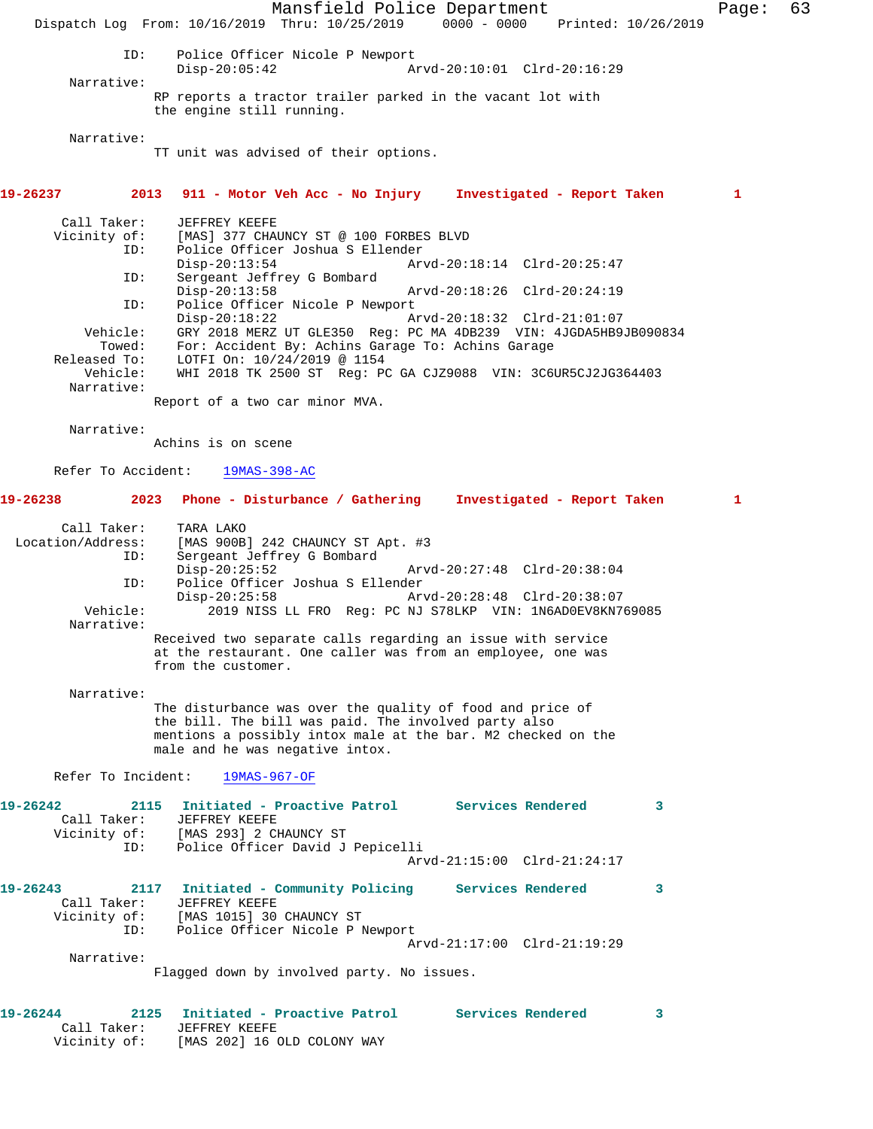Mansfield Police Department Fage: 63 Dispatch Log From: 10/16/2019 Thru: 10/25/2019 0000 - 0000 Printed: 10/26/2019 ID: Police Officer Nicole P Newport Disp-20:05:42 Arvd-20:10:01 Clrd-20:16:29 Narrative: RP reports a tractor trailer parked in the vacant lot with the engine still running. Narrative: TT unit was advised of their options. **19-26237 2013 911 - Motor Veh Acc - No Injury Investigated - Report Taken 1** Call Taker: JEFFREY KEEFE<br>Vicinity of: [MAS] 377 CHA of: [MAS] 377 CHAUNCY ST @ 100 FORBES BLVD<br>ID: Police Officer Joshua S Ellender Police Officer Joshua S Ellender<br>Disp-20:13:54 Arv Arvd-20:18:14 Clrd-20:25:47 ID: Sergeant Jeffrey G Bombard<br>Disp-20:13:58 Disp-20:13:58 Arvd-20:18:26 Clrd-20:24:19<br>ID: Police Officer Nicole P Newport Police Officer Nicole P Newport<br>Disp-20:18:22 A Disp-20:18:22 Arvd-20:18:32 Clrd-21:01:07 Vehicle: GRY 2018 MERZ UT GLE350 Reg: PC MA 4DB239 VIN: 4JGDA5HB9JB090834 Towed: For: Accident By: Achins Garage To: Achins Garage Released To: LOTFI On: 10/24/2019 @ 1154 Vehicle: WHI 2018 TK 2500 ST Reg: PC GA CJZ9088 VIN: 3C6UR5CJ2JG364403 Narrative: Report of a two car minor MVA. Narrative: Achins is on scene Refer To Accident: 19MAS-398-AC **19-26238 2023 Phone - Disturbance / Gathering Investigated - Report Taken 1** Call Taker: TARA LAKO Location/Address: [MAS 900B] 242 CHAUNCY ST Apt. #3 ID: Sergeant Jeffrey G Bombard Disp-20:25:52 Arvd-20:27:48 Clrd-20:38:04 ID: Police Officer Joshua S Ellender Disp-20:25:58 Arvd-20:28:48 Clrd-20:38:07<br>Vehicle: 2019 NISS LL FRO Req: PC NJ S78LKP VIN: 1N6AD0EV8KN7 2019 NISS LL FRO Reg: PC NJ S78LKP VIN: 1N6AD0EV8KN769085 Narrative: Received two separate calls regarding an issue with service at the restaurant. One caller was from an employee, one was from the customer. Narrative: The disturbance was over the quality of food and price of the bill. The bill was paid. The involved party also mentions a possibly intox male at the bar. M2 checked on the male and he was negative intox. Refer To Incident: 19MAS-967-OF **19-26242 2115 Initiated - Proactive Patrol Services Rendered 3**  Call Taker: JEFFREY KEEFE Vicinity of: [MAS 293] 2 CHAUNCY ST ID: Police Officer David J Pepicelli Arvd-21:15:00 Clrd-21:24:17 **19-26243 2117 Initiated - Community Policing Services Rendered 3**  Call Taker: JEFFREY KEEFE Vicinity of: [MAS 1015] 30 CHAUNCY ST ID: Police Officer Nicole P Newport Arvd-21:17:00 Clrd-21:19:29 Narrative: Flagged down by involved party. No issues. **19-26244 2125 Initiated - Proactive Patrol Services Rendered 3**  Call Taker: JEFFREY KEEFE Vicinity of: [MAS 202] 16 OLD COLONY WAY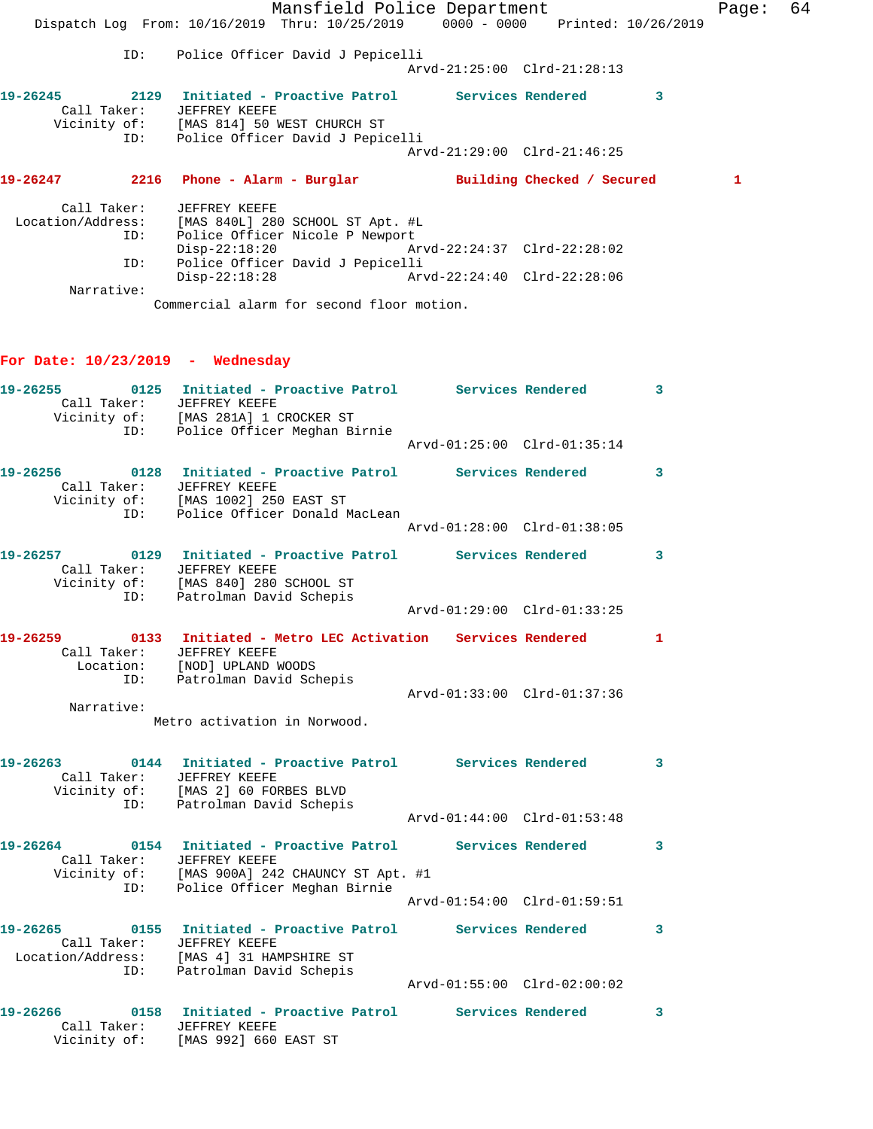|             | Mansfield Police Department                                                                       |                             |                            | Page: | -64 |
|-------------|---------------------------------------------------------------------------------------------------|-----------------------------|----------------------------|-------|-----|
|             | Dispatch Log From: 10/16/2019 Thru: 10/25/2019 0000 - 0000 Printed: 10/26/2019                    |                             |                            |       |     |
| ID:         | Police Officer David J Pepicelli                                                                  |                             |                            |       |     |
|             |                                                                                                   | Arvd-21:25:00 Clrd-21:28:13 |                            |       |     |
| Call Taker: | JEFFREY KEEFE<br>Vicinity of: [MAS 814] 50 WEST CHURCH ST<br>ID: Police Officer David J Pepicelli |                             | 3                          |       |     |
|             |                                                                                                   | Arvd-21:29:00 Clrd-21:46:25 |                            |       |     |
|             |                                                                                                   |                             | Building Checked / Secured | 1     |     |
|             | Call Taker: JEFFREY KEEFE                                                                         |                             |                            |       |     |
|             | Location/Address: [MAS 840L] 280 SCHOOL ST Apt. #L                                                |                             |                            |       |     |
| ID:         | Police Officer Nicole P Newport                                                                   |                             |                            |       |     |
|             | $Disp-22:18:20$                                                                                   |                             |                            |       |     |
| ID:         | Police Officer David J Pepicelli                                                                  |                             |                            |       |     |
|             | Disp-22:18:28 Arvd-22:24:40 Clrd-22:28:06                                                         |                             |                            |       |     |
| Narrative:  |                                                                                                   |                             |                            |       |     |
|             | Commercial alarm for second floor motion.                                                         |                             |                            |       |     |
|             |                                                                                                   |                             |                            |       |     |

## **For Date: 10/23/2019 - Wednesday**

|                   | ID: | 19-26255 0125 Initiated - Proactive Patrol Services Rendered 3<br>Call Taker: JEFFREY KEEFE<br>Vicinity of: [MAS 281A] 1 CROCKER ST<br>Police Officer Meghan Birnie           |                             |                            |
|-------------------|-----|-------------------------------------------------------------------------------------------------------------------------------------------------------------------------------|-----------------------------|----------------------------|
|                   |     |                                                                                                                                                                               | Arvd-01:25:00 Clrd-01:35:14 |                            |
|                   |     | 19-26256 0128 Initiated - Proactive Patrol Services Rendered 3<br>Call Taker: JEFFREY KEEFE<br>Vicinity of: [MAS 1002] 250 EAST ST<br>ID: Police Officer Donald MacLean       |                             |                            |
|                   |     |                                                                                                                                                                               |                             |                            |
|                   |     | 19-26257 		 0129 Initiated - Proactive Patrol Services Rendered 3<br>Call Taker: JEFFREY KEEFE<br>Vicinity of: [MAS 840] 280 SCHOOL ST<br>ID: Patrolman David Schepis         |                             |                            |
|                   |     |                                                                                                                                                                               | Arvd-01:29:00 Clrd-01:33:25 |                            |
|                   |     | 19-26259 		 0133 Initiated - Metro LEC Activation Services Rendered 1<br>Call Taker: JEFFREY KEEFE<br>Location: [NOD] UPLAND WOODS                                            |                             |                            |
| Narrative:        |     | ID: Patrolman David Schepis                                                                                                                                                   | Arvd-01:33:00 Clrd-01:37:36 |                            |
|                   |     | Metro activation in Norwood.                                                                                                                                                  |                             |                            |
|                   |     | 19-26263 0144 Initiated - Proactive Patrol Services Rendered 3<br>Call Taker: JEFFREY KEEFE<br>Vicinity of: [MAS 2] 60 FORBES BLVD<br>ID: Patrolman David Schepis             |                             |                            |
|                   |     |                                                                                                                                                                               | Arvd-01:44:00 Clrd-01:53:48 |                            |
|                   | ID: | 19-26264 0154 Initiated - Proactive Patrol Services Rendered 3<br>Call Taker: JEFFREY KEEFE<br>Vicinity of: [MAS 900A] 242 CHAUNCY ST Apt. #1<br>Police Officer Meghan Birnie |                             |                            |
|                   |     |                                                                                                                                                                               | Arvd-01:54:00 Clrd-01:59:51 |                            |
| Location/Address: | ID: | 19-26265   0155   Initiated - Proactive Patrol   Services Rendered<br>Call Taker: JEFFREY KEEFE<br>[MAS 4] 31 HAMPSHIRE ST<br>Patrolman David Schepis                         |                             | $\overline{\phantom{a}}$ 3 |
|                   |     |                                                                                                                                                                               |                             |                            |
| Vicinity of:      |     | 19-26266   0158   Initiated - Proactive Patrol   Services Rendered<br>Call Taker: JEFFREY KEEFE<br>[MAS 992] 660 EAST ST                                                      |                             | $\overline{\phantom{a}}$ 3 |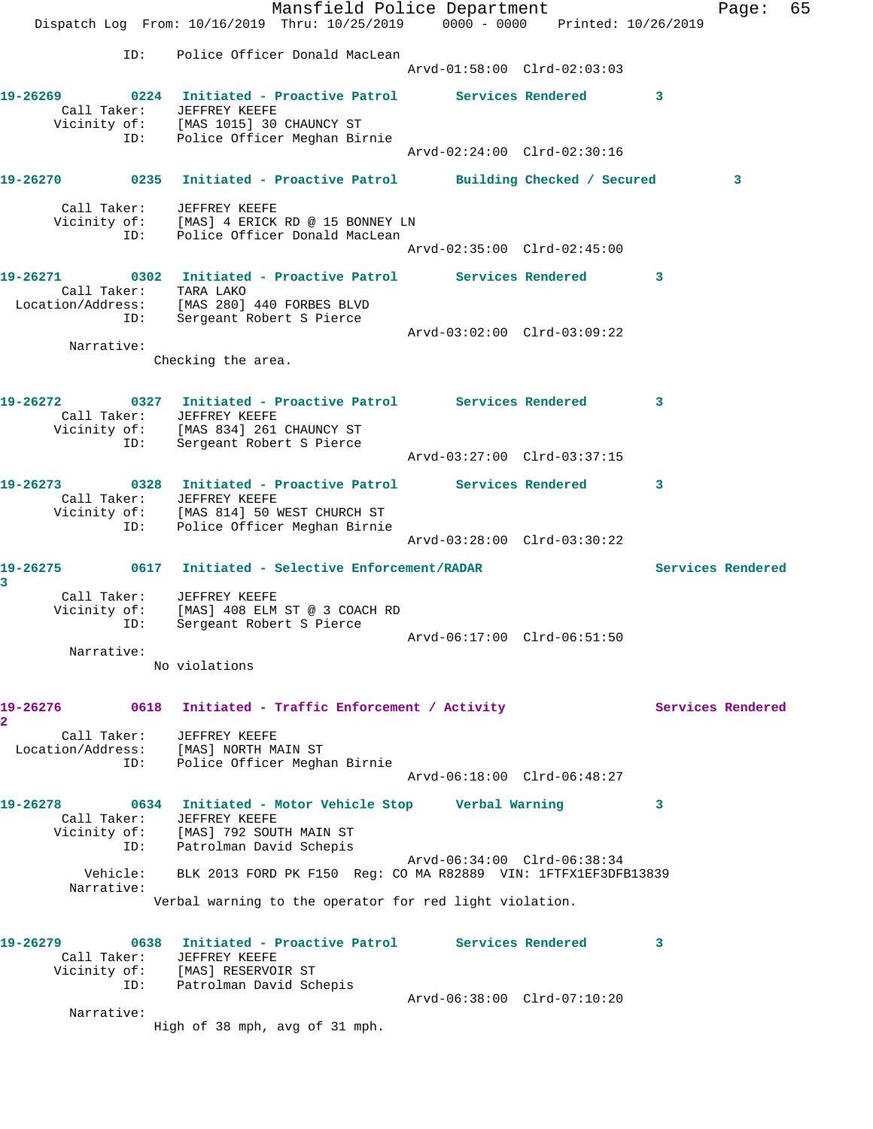|                         |                                                       | Mansfield Police Department<br>Dispatch Log From: 10/16/2019 Thru: 10/25/2019 0000 - 0000 Printed: 10/26/2019                                                            |  |  |                             |              | Page:             | 65 |
|-------------------------|-------------------------------------------------------|--------------------------------------------------------------------------------------------------------------------------------------------------------------------------|--|--|-----------------------------|--------------|-------------------|----|
|                         | ID:                                                   | Police Officer Donald MacLean                                                                                                                                            |  |  | Arvd-01:58:00 Clrd-02:03:03 |              |                   |    |
|                         |                                                       | 19-26269 0224 Initiated - Proactive Patrol Services Rendered 3<br>Call Taker: JEFFREY KEEFE<br>Vicinity of: [MAS 1015] 30 CHAUNCY ST<br>ID: Police Officer Meghan Birnie |  |  |                             |              |                   |    |
|                         |                                                       |                                                                                                                                                                          |  |  | Arvd-02:24:00 Clrd-02:30:16 |              |                   |    |
|                         |                                                       | 19-26270 0235 Initiated - Proactive Patrol Building Checked / Secured                                                                                                    |  |  |                             |              | 3                 |    |
|                         |                                                       | Call Taker: JEFFREY KEEFE<br>Vicinity of: [MAS] 4 ERICK RD @ 15 BONNEY LN<br>ID: Police Officer Donald MacLean                                                           |  |  |                             |              |                   |    |
|                         |                                                       |                                                                                                                                                                          |  |  | Arvd-02:35:00 Clrd-02:45:00 |              |                   |    |
|                         | ID:                                                   | 19-26271 0302 Initiated - Proactive Patrol Services Rendered<br>Call Taker: TARA LAKO<br>Location/Address: [MAS 280] 440 FORBES BLVD<br>Sergeant Robert S Pierce         |  |  |                             | 3            |                   |    |
| Narrative:              |                                                       |                                                                                                                                                                          |  |  | Arvd-03:02:00 Clrd-03:09:22 |              |                   |    |
|                         |                                                       | Checking the area.                                                                                                                                                       |  |  |                             |              |                   |    |
|                         | ID:                                                   | Call Taker: JEFFREY KEEFE<br>Vicinity of: [MAS 834] 261 CHAUNCY ST<br>ID: Sergeant Robert S Pierce<br>Sergeant Robert S Pierce                                           |  |  |                             | $\mathbf{3}$ |                   |    |
|                         |                                                       |                                                                                                                                                                          |  |  | Arvd-03:27:00 Clrd-03:37:15 |              |                   |    |
|                         | ID:                                                   | 19-26273 0328 Initiated - Proactive Patrol Services Rendered<br>Call Taker: JEFFREY KEEFE<br>Vicinity of: [MAS 814] 50 WEST CHURCH ST<br>Police Officer Meghan Birnie    |  |  | Arvd-03:28:00 Clrd-03:30:22 | 3            |                   |    |
|                         | 19-26275 0617 Initiated - Selective Enforcement/RADAR |                                                                                                                                                                          |  |  |                             |              | Services Rendered |    |
| 3<br>Narrative:         | ID:                                                   | Call Taker: JEFFREY KEEFE<br>Vicinity of: [MAS] 408 ELM ST @ 3 COACH RD<br>Sergeant Robert S Pierce                                                                      |  |  |                             |              |                   |    |
|                         |                                                       | No violations                                                                                                                                                            |  |  |                             |              |                   |    |
| 19-26276<br>2           |                                                       | 0618 Initiated - Traffic Enforcement / Activity                                                                                                                          |  |  |                             |              | Services Rendered |    |
| Call Taker:             | ID:                                                   | JEFFREY KEEFE<br>Location/Address: [MAS] NORTH MAIN ST<br>Police Officer Meghan Birnie                                                                                   |  |  | Arvd-06:18:00 Clrd-06:48:27 |              |                   |    |
| 19-26278                |                                                       | 0634 Initiated - Motor Vehicle Stop       Verbal Warning<br>Call Taker: JEFFREY KEEFE<br>Vicinity of: [MAS] 792 SOUTH MAIN ST<br>ID: Patrolman David Schepis             |  |  |                             | 3            |                   |    |
| Narrative:              | Vehicle:                                              | BLK 2013 FORD PK F150 Reg: CO MA R82889 VIN: 1FTFX1EF3DFB13839                                                                                                           |  |  | Arvd-06:34:00 Clrd-06:38:34 |              |                   |    |
|                         |                                                       | Verbal warning to the operator for red light violation.                                                                                                                  |  |  |                             |              |                   |    |
| 19-26279<br>Call Taker: | ID:                                                   | 0638 Initiated - Proactive Patrol Services Rendered<br>JEFFREY KEEFE<br>Vicinity of: [MAS] RESERVOIR ST<br>Patrolman David Schepis                                       |  |  |                             | 3            |                   |    |
| Narrative:              |                                                       |                                                                                                                                                                          |  |  | Arvd-06:38:00 Clrd-07:10:20 |              |                   |    |
|                         |                                                       | High of 38 mph, avg of 31 mph.                                                                                                                                           |  |  |                             |              |                   |    |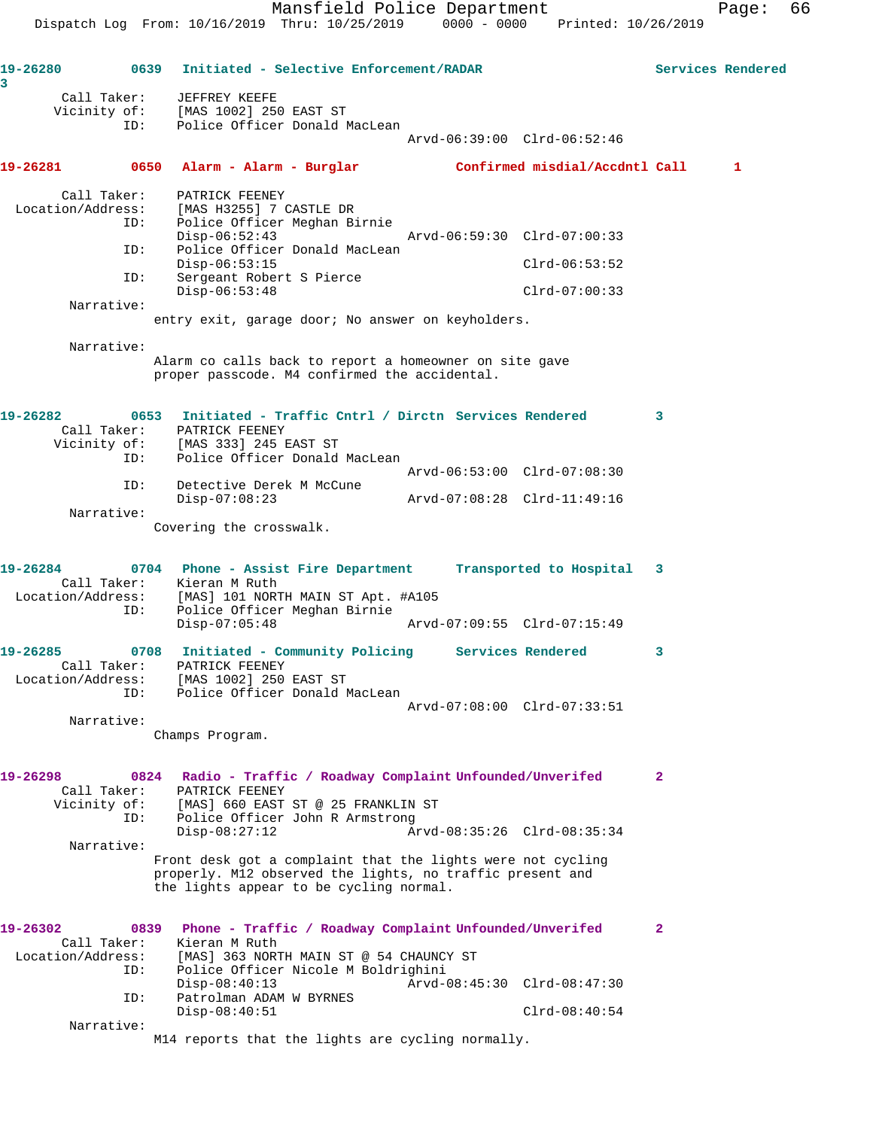**19-26280 0639 Initiated - Selective Enforcement/RADAR Services Rendered 3**  Call Taker: JEFFREY KEEFE Vicinity of: [MAS 1002] 250 EAST ST ID: Police Officer Donald MacLean Arvd-06:39:00 Clrd-06:52:46 **19-26281 0650 Alarm - Alarm - Burglar Confirmed misdial/Accdntl Call 1** Call Taker: PATRICK FEENEY Location/Address: [MAS H3255] 7 CASTLE DR ID: Police Officer Meghan Birnie<br>Disp-06:52:43 Disp-06:52:43 Arvd-06:59:30 Clrd-07:00:33 ID: Police Officer Donald MacLean Disp-06:53:15 Clrd-06:53:52 ID: Sergeant Robert S Pierce Disp-06:53:48 Clrd-07:00:33 Narrative: entry exit, garage door; No answer on keyholders. Narrative: Alarm co calls back to report a homeowner on site gave proper passcode. M4 confirmed the accidental. **19-26282 0653 Initiated - Traffic Cntrl / Dirctn Services Rendered 3**  Call Taker: PATRICK FEENEY Vicinity of: [MAS 333] 245 EAST ST ID: Police Officer Donald MacLean Arvd-06:53:00 Clrd-07:08:30 ID: Detective Derek M McCune Disp-07:08:23 Arvd-07:08:28 Clrd-11:49:16 Narrative: Covering the crosswalk. **19-26284 0704 Phone - Assist Fire Department Transported to Hospital 3**  Call Taker: Kieran M Ruth Location/Address: [MAS] 101 NORTH MAIN ST Apt. #A105 ID: Police Officer Meghan Birnie Disp-07:05:48 Arvd-07:09:55 Clrd-07:15:49 **19-26285 0708 Initiated - Community Policing Services Rendered 3**  Call Taker: PATRICK FEENEY Location/Address: [MAS 1002] 250 EAST ST ID: Police Officer Donald MacLean Arvd-07:08:00 Clrd-07:33:51 Narrative: Champs Program. **19-26298 0824 Radio - Traffic / Roadway Complaint Unfounded/Unverifed 2**  Call Taker: PATRICK FEENEY Vicinity of: [MAS] 660 EAST ST @ 25 FRANKLIN ST ID: Police Officer John R Armstrong<br>Disp-08:27:12 Ar Disp-08:27:12 Arvd-08:35:26 Clrd-08:35:34 Narrative: Front desk got a complaint that the lights were not cycling properly. M12 observed the lights, no traffic present and the lights appear to be cycling normal. **19-26302 0839 Phone - Traffic / Roadway Complaint Unfounded/Unverifed 2**  Call Taker: Kieran M Ruth Location/Address: [MAS] 363 NORTH MAIN ST @ 54 CHAUNCY ST ID: Police Officer Nicole M Boldrighini Disp-08:40:13 Arvd-08:45:30 Clrd-08:47:30 ID: Patrolman ADAM W BYRNES Disp-08:40:51 Clrd-08:40:54 Narrative: M14 reports that the lights are cycling normally.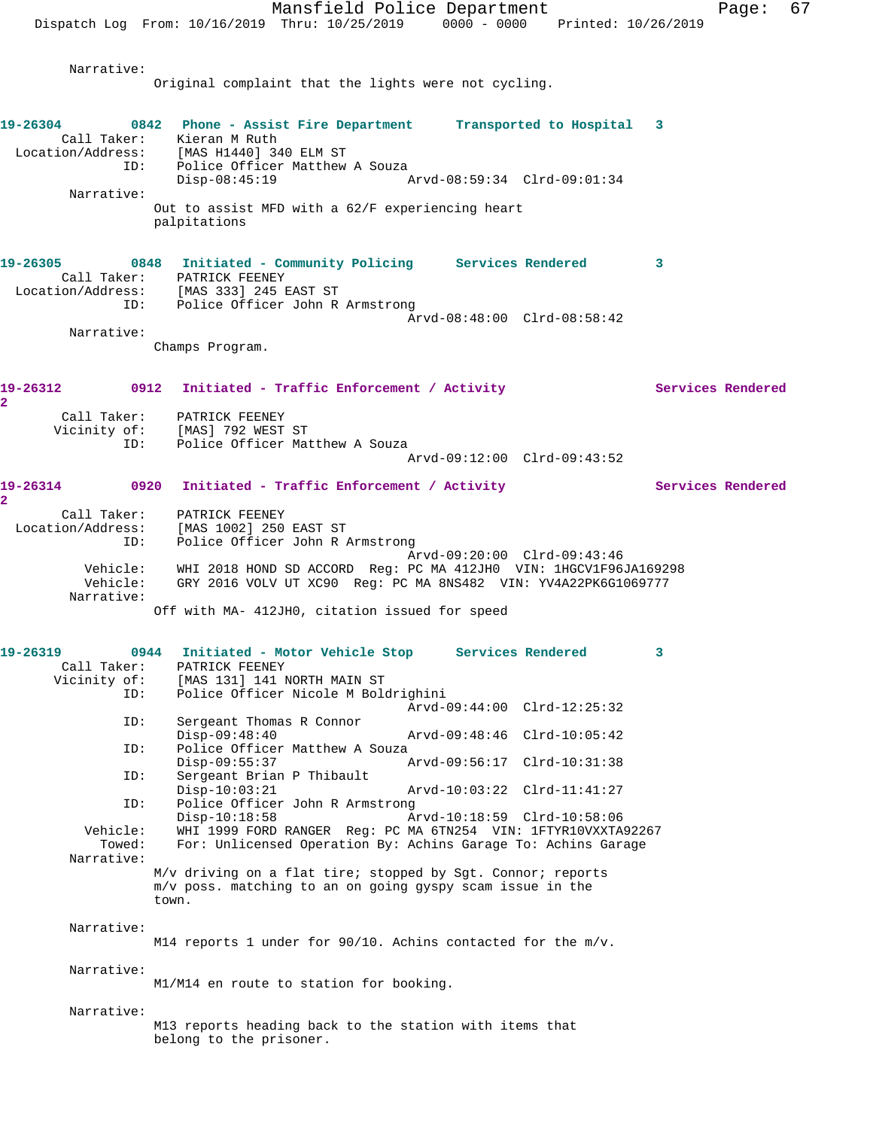Mansfield Police Department Fage: 67 Dispatch Log From: 10/16/2019 Thru: 10/25/2019 0000 - 0000 Printed: 10/26/2019 Narrative: Original complaint that the lights were not cycling. **19-26304 0842 Phone - Assist Fire Department Transported to Hospital 3**  Call Taker: Kieran M Ruth Location/Address: [MAS H1440] 340 ELM ST ID: Police Officer Matthew A Souza<br>Disp-08:45:19 Disp-08:45:19 Arvd-08:59:34 Clrd-09:01:34 Narrative: Out to assist MFD with a 62/F experiencing heart palpitations **19-26305 0848 Initiated - Community Policing Services Rendered 3**  Call Taker: PATRICK FEENEY Location/Address: [MAS 333] 245 EAST ST ID: Police Officer John R Armstrong Arvd-08:48:00 Clrd-08:58:42 Narrative: Champs Program. 19-26312 0912 Initiated - Traffic Enforcement / Activity **Services Rendered 2**  Call Taker: PATRICK FEENEY Vicinity of: [MAS] 792 WEST ST ID: Police Officer Matthew A Souza Arvd-09:12:00 Clrd-09:43:52 **19-26314 0920 Initiated - Traffic Enforcement / Activity Services Rendered 2**  Call Taker: PATRICK FEENEY Location/Address: [MAS 1002] 250 EAST ST<br>ID: Police Officer John R 2 Police Officer John R Armstrong Arvd-09:20:00 Clrd-09:43:46 Vehicle: WHI 2018 HOND SD ACCORD Reg: PC MA 412JH0 VIN: 1HGCV1F96JA169298 Vehicle: GRY 2016 VOLV UT XC90 Reg: PC MA 8NS482 VIN: YV4A22PK6G1069777 Narrative: Off with MA- 412JH0, citation issued for speed **19-26319 0944 Initiated - Motor Vehicle Stop Services Rendered 3**  Call Taker: PATRICK FEENEY<br>Vicinity of: [MAS 131] 141 J [MAS 131] 141 NORTH MAIN ST ID: Police Officer Nicole M Boldrighini Arvd-09:44:00 Clrd-12:25:32<br>ID: Sergeant Thomas R Connor Sergeant Thomas R Connor<br>Disp-09:48:40 Disp-09:48:40 Arvd-09:48:46 Clrd-10:05:42 ID: Police Officer Matthew A Souza Disp-09:55:37 Arvd-09:56:17 Clrd-10:31:38<br>TD: Sergeant Brian P Thibault Sergeant Brian P Thibault<br>Disp-10:03:21 Disp-10:03:21 Arvd-10:03:22 Clrd-11:41:27 ID: Police Officer John R Armstrong Disp-10:18:58 Arvd-10:18:59 Clrd-10:58:06<br>Vehicle: WHI 1999 FORD RANGER Req: PC MA 6TN254 VIN: 1FTYR10VXXTA ehicle: WHI 1999 FORD RANGER Reg: PC MA 6TN254 VIN: 1FTYR10VXXTA92267<br>Towed: For: Unlicensed Operation By: Achins Garage To: Achins Garage For: Unlicensed Operation By: Achins Garage To: Achins Garage Narrative: M/v driving on a flat tire; stopped by Sgt. Connor; reports m/v poss. matching to an on going gyspy scam issue in the town. Narrative: M14 reports 1 under for 90/10. Achins contacted for the m/v. Narrative: M1/M14 en route to station for booking. Narrative: M13 reports heading back to the station with items that belong to the prisoner.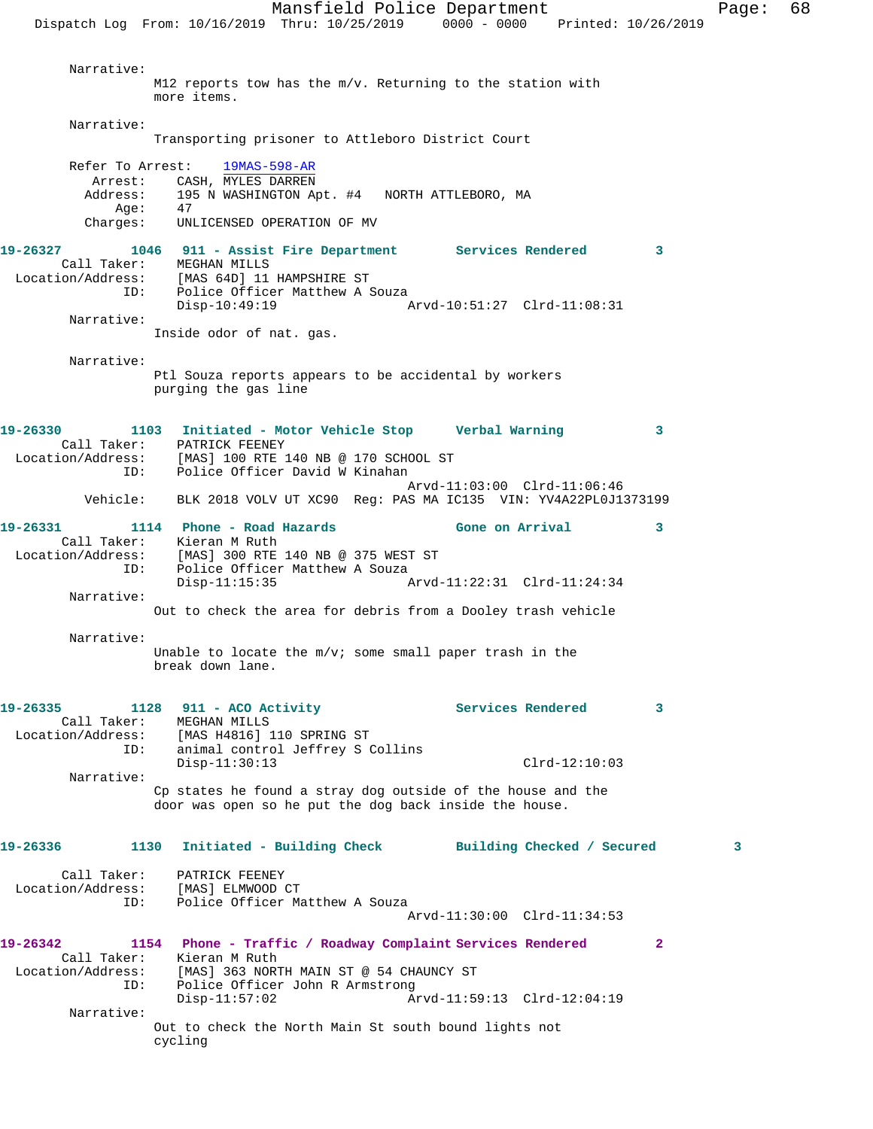Mansfield Police Department Fage: 68 Dispatch Log From: 10/16/2019 Thru: 10/25/2019 0000 - 0000 Printed: 10/26/2019 Narrative: M12 reports tow has the m/v. Returning to the station with more items. Narrative: Transporting prisoner to Attleboro District Court Refer To Arrest: 19MAS-598-AR Arrest: CASH, MYLES DARREN Address: 195 N WASHINGTON Apt. #4 NORTH ATTLEBORO, MA Age: Charges: UNLICENSED OPERATION OF MV **19-26327 1046 911 - Assist Fire Department Services Rendered 3**  Call Taker: MEGHAN MILLS Location/Address: [MAS 64D] 11 HAMPSHIRE ST ESS. IMAS UTED IT HOUR DILINE OF THE SOUZA Disp-10:49:19 Arvd-10:51:27 Clrd-11:08:31 Narrative: Inside odor of nat. gas. Narrative: Ptl Souza reports appears to be accidental by workers purging the gas line **19-26330 1103 Initiated - Motor Vehicle Stop Verbal Warning 3**  Call Taker: PATRICK FEENEY Location/Address: [MAS] 100 RTE 140 NB @ 170 SCHOOL ST ess. I'm you had to be a series of the police Officer David W Kinahan Arvd-11:03:00 Clrd-11:06:46 Vehicle: BLK 2018 VOLV UT XC90 Reg: PAS MA IC135 VIN: YV4A22PL0J1373199 19-26331 1114 Phone - Road Hazards **Gone on Arrival** 3 Call Taker: Kieran M Ruth Location/Address: [MAS] 300 RTE 140 NB @ 375 WEST ST ID: Police Officer Matthew A Souza<br>Disp-11:15:35 Arvd-11:22:31 Clrd-11:24:34 Narrative: Out to check the area for debris from a Dooley trash vehicle Narrative: Unable to locate the m/v; some small paper trash in the break down lane. 19-26335 1128 911 - ACO Activity **Services Rendered** 3 Call Taker: MEGHAN MILLS Location/Address: [MAS H4816] 110 SPRING ST ID: animal control Jeffrey S Collins Disp-11:30:13 Clrd-12:10:03 Narrative: Cp states he found a stray dog outside of the house and the door was open so he put the dog back inside the house. **19-26336 1130 Initiated - Building Check Building Checked / Secured 3** Call Taker: PATRICK FEENEY Location/Address: [MAS] ELMWOOD CT ID: Police Officer Matthew A Souza Arvd-11:30:00 Clrd-11:34:53 **19-26342 1154 Phone - Traffic / Roadway Complaint Services Rendered 2**  Call Taker: Kieran M Ruth Location/Address: [MAS] 363 NORTH MAIN ST @ 54 CHAUNCY ST ID: Police Officer John R Armstrong Disp-11:57:02 Arvd-11:59:13 Clrd-12:04:19 Narrative: Out to check the North Main St south bound lights not cycling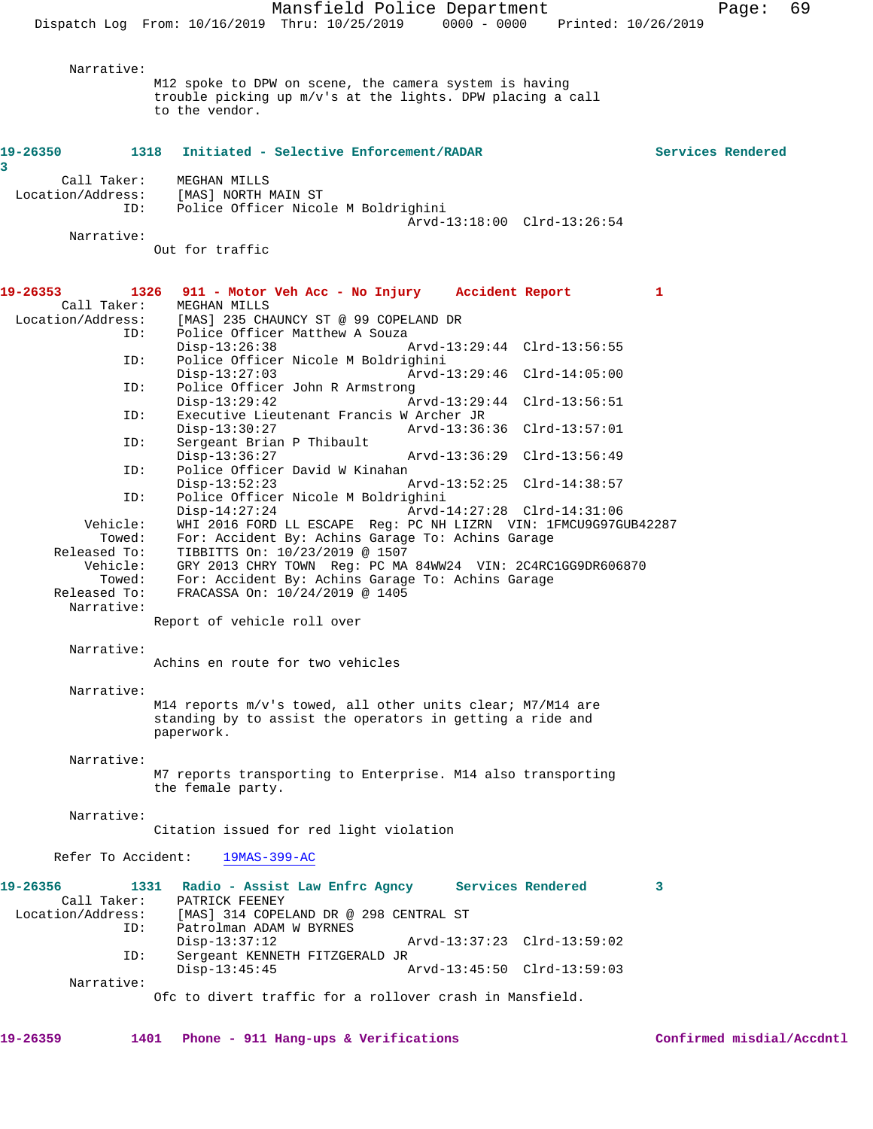Mansfield Police Department Page: 69 Dispatch Log From: 10/16/2019 Thru: 10/25/2019 0000 - 0000 Printed: 10/26/2019 Narrative: M12 spoke to DPW on scene, the camera system is having trouble picking up m/v's at the lights. DPW placing a call to the vendor. **19-26350 1318 Initiated - Selective Enforcement/RADAR Services Rendered 3**  Call Taker: MEGHAN MILLS<br>Location/Address: [MAS] NORTH 1 ess: [MAS] NORTH MAIN ST<br>ID: Police Officer Nico Police Officer Nicole M Boldrighini Arvd-13:18:00 Clrd-13:26:54 Narrative: Out for traffic **19-26353 1326 911 - Motor Veh Acc - No Injury Accident Report 1**  Call Taker:<br>Location/Address: [MAS] 235 CHAUNCY ST @ 99 COPELAND DR ID: Police Officer Matthew A Souza<br>Disp-13:26:38 Disp-13:26:38 Arvd-13:29:44 Clrd-13:56:55<br>ID: Police Officer Nicole M Boldrighini Police Officer Nicole M Boldrighini Disp-13:27:03 Arvd-13:29:46 Clrd-14:05:00 ID: Police Officer John R Armstrong Disp-13:29:42 Arvd-13:29:44 Clrd-13:56:51<br>TD: Executive Lieutenant Francis W Archer JR Executive Lieutenant Francis W Archer JR<br>Disp-13:30:27 Arvd-13:36 Disp-13:30:27 Arvd-13:36:36 Clrd-13:57:01 ID: Sergeant Brian P Thibault<br>Disp-13:36:27 Disp-13:36:27 Arvd-13:36:29 Clrd-13:56:49 ID: Police Officer David W Kinahan Disp-13:52:23 Arvd-13:52:25 Clrd-14:38:57<br>ID: Police Officer Nicole M Boldrighini Police Officer Nicole M Boldrighini<br>Disp-14:27:24 Arvd- Disp-14:27:24 Arvd-14:27:28 Clrd-14:31:06 Vehicle: WHI 2016 FORD LL ESCAPE Reg: PC NH LIZRN VIN: 1FMCU9G97GUB42287<br>Towed: For: Accident By: Achins Garage To: Achins Garage For: Accident By: Achins Garage To: Achins Garage Released To: TIBBITTS On: 10/23/2019 @ 1507<br>Vehicle: GRY 2013 CHRY TOWN Reg: PC MA ehicle: GRY 2013 CHRY TOWN Reg: PC MA 84WW24 VIN: 2C4RC1GG9DR606870<br>Towed: For: Accident By: Achins Garage To: Achins Garage Towed: For: Accident By: Achins Garage To: Achins Garage Released To: FRACASSA On:  $10/24/2019$  @ 1405 Released To: FRACASSA On: 10/24/2019 @ 1405 Narrative: Report of vehicle roll over Narrative: Achins en route for two vehicles Narrative: M14 reports m/v's towed, all other units clear; M7/M14 are standing by to assist the operators in getting a ride and paperwork. Narrative: M7 reports transporting to Enterprise. M14 also transporting the female party. Narrative: Citation issued for red light violation Refer To Accident: 19MAS-399-AC **19-26356 1331 Radio - Assist Law Enfrc Agncy Services Rendered 3**  Call Taker: PATRICK FEENEY<br>Location/Address: [MAS] 314 COPEI [MAS] 314 COPELAND DR @ 298 CENTRAL ST ID: Patrolman ADAM W BYRNES<br>Disp-13:37:12 Disp-13:37:12 Arvd-13:37:23 Clrd-13:59:02 ID: Sergeant KENNETH FITZGERALD JR Disp-13:45:45 Arvd-13:45:50 Clrd-13:59:03 Narrative: Ofc to divert traffic for a rollover crash in Mansfield.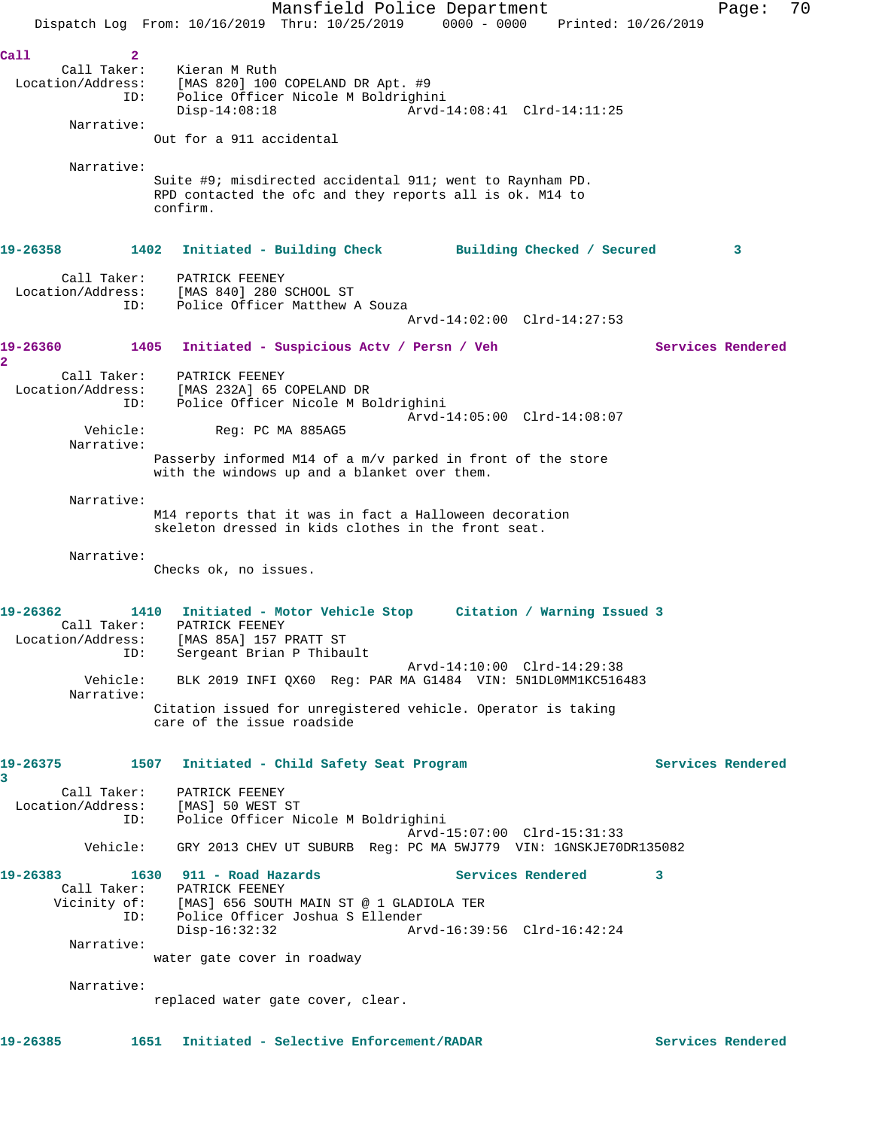Mansfield Police Department Fage: 70 Dispatch Log From: 10/16/2019 Thru: 10/25/2019 0000 - 0000 Printed: 10/26/2019 **Call 2**  Call Taker: Kieran M Ruth Location/Address: [MAS 820] 100 COPELAND DR Apt. #9 ID: Police Officer Nicole M Boldrighini Disp-14:08:18 Arvd-14:08:41 Clrd-14:11:25 Narrative: Out for a 911 accidental Narrative: Suite #9; misdirected accidental 911; went to Raynham PD. RPD contacted the ofc and they reports all is ok. M14 to confirm. **19-26358 1402 Initiated - Building Check Building Checked / Secured 3** Call Taker: PATRICK FEENEY Location/Address: [MAS 840] 280 SCHOOL ST ID: Police Officer Matthew A Souza Arvd-14:02:00 Clrd-14:27:53 **19-26360 1405 Initiated - Suspicious Actv / Persn / Veh Services Rendered 2**  Call Taker: PATRICK FEENEY Location/Address: [MAS 232A] 65 COPELAND DR ID: Police Officer Nicole M Boldrighini Arvd-14:05:00 Clrd-14:08:07 Vehicle: Reg: PC MA 885AG5 Narrative: Passerby informed M14 of a m/v parked in front of the store with the windows up and a blanket over them. Narrative: M14 reports that it was in fact a Halloween decoration skeleton dressed in kids clothes in the front seat. Narrative: Checks ok, no issues. **19-26362 1410 Initiated - Motor Vehicle Stop Citation / Warning Issued 3**  Call Taker: PATRICK FEENEY Location/Address: [MAS 85A] 157 PRATT ST ID: Sergeant Brian P Thibault Arvd-14:10:00 Clrd-14:29:38 Vehicle: BLK 2019 INFI QX60 Reg: PAR MA G1484 VIN: 5N1DL0MM1KC516483 Narrative: Citation issued for unregistered vehicle. Operator is taking care of the issue roadside 19-26375 1507 Initiated - Child Safety Seat Program **Services Rendered 3**  Call Taker: PATRICK FEENEY Location/Address: [MAS] 50 WEST ST ID: Police Officer Nicole M Boldrighini Arvd-15:07:00 Clrd-15:31:33 Vehicle: GRY 2013 CHEV UT SUBURB Reg: PC MA 5WJ779 VIN: 1GNSKJE70DR135082 19-26383 1630 911 - Road Hazards **Services Rendered** 3 Call Taker: PATRICK FEENEY<br>Vicinity of: [MAS] 656 SOUTH [MAS] 656 SOUTH MAIN ST @ 1 GLADIOLA TER ID: Police Officer Joshua S Ellender Disp-16:32:32 Arvd-16:39:56 Clrd-16:42:24 Narrative: water gate cover in roadway Narrative: replaced water gate cover, clear. **19-26385 1651 Initiated - Selective Enforcement/RADAR Services Rendered**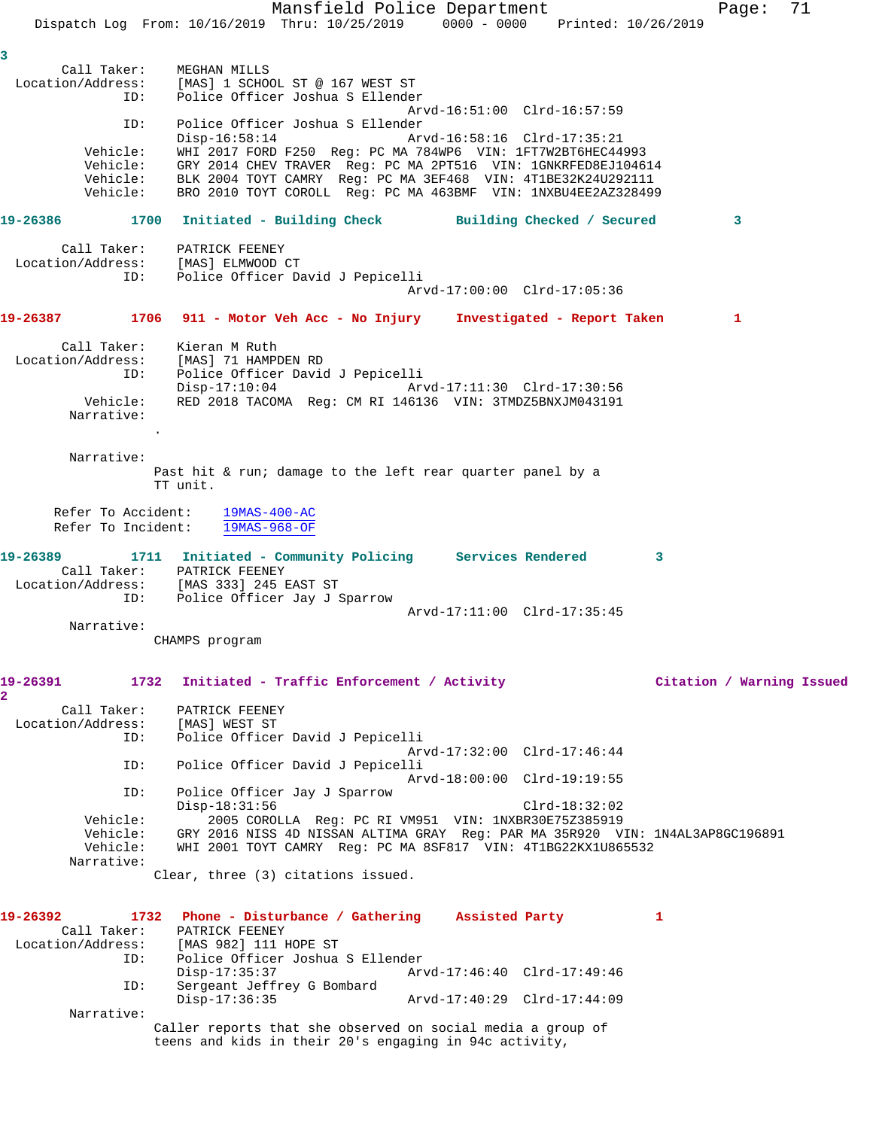Mansfield Police Department Fage: 71 Dispatch Log From: 10/16/2019 Thru: 10/25/2019 0000 - 0000 Printed: 10/26/2019 **3**  Call Taker: MEGHAN MILLS Location/Address: [MAS] 1 SCHOOL ST @ 167 WEST ST ID: Police Officer Joshua S Ellender Arvd-16:51:00 Clrd-16:57:59 ID: Police Officer Joshua S Ellender Disp-16:58:14 Arvd-16:58:16 Clrd-17:35:21 Vehicle: WHI 2017 FORD F250 Reg: PC MA 784WP6 VIN: 1FT7W2BT6HEC44993 Vehicle: GRY 2014 CHEV TRAVER Reg: PC MA 2PT516 VIN: 1GNKRFED8EJ104614 Vehicle: BLK 2004 TOYT CAMRY Reg: PC MA 3EF468 VIN: 4T1BE32K24U292111 Vehicle: BRO 2010 TOYT COROLL Reg: PC MA 463BMF VIN: 1NXBU4EE2AZ328499 **19-26386 1700 Initiated - Building Check Building Checked / Secured 3** Call Taker: PATRICK FEENEY Location/Address: [MAS] ELMWOOD CT ID: Police Officer David J Pepicelli Arvd-17:00:00 Clrd-17:05:36 **19-26387 1706 911 - Motor Veh Acc - No Injury Investigated - Report Taken 1** Call Taker: Kieran M Ruth Location/Address: [MAS] 71 HAMPDEN RD ID: Police Officer David J Pepicelli Disp-17:10:04 Arvd-17:11:30 Clrd-17:30:56 Vehicle: RED 2018 TACOMA Reg: CM RI 146136 VIN: 3TMDZ5BNXJM043191 Narrative: . Narrative: Past hit & run; damage to the left rear quarter panel by a TT unit. Refer To Accident: 19MAS-400-AC Refer To Incident: 19MAS-968-OF **19-26389 1711 Initiated - Community Policing Services Rendered 3**  Call Taker: PATRICK FEENEY Location/Address: [MAS 333] 245 EAST ST ID: Police Officer Jay J Sparrow Arvd-17:11:00 Clrd-17:35:45 Narrative: CHAMPS program **19-26391 1732 Initiated - Traffic Enforcement / Activity Citation / Warning Issued 2**  Call Taker: PATRICK FEENEY Location/Address: [MAS] WEST ST<br>TD: Police Officer Police Officer David J Pepicelli Arvd-17:32:00 Clrd-17:46:44<br>ID: Police Officer David J Pepicelli Police Officer David J Pepicelli Arvd-18:00:00 Clrd-19:19:55 ID: Police Officer Jay J Sparrow Disp-18:31:56 Clrd-18:32:02 Vehicle: 2005 COROLLA Reg: PC RI VM951 VIN: 1NXBR30E75Z385919 Vehicle: GRY 2016 NISS 4D NISSAN ALTIMA GRAY Reg: PAR MA 35R920 VIN: 1N4AL3AP8GC196891 Vehicle: WHI 2001 TOYT CAMRY Reg: PC MA 8SF817 VIN: 4T1BG22KX1U865532 Narrative: Clear, three (3) citations issued. **19-26392 1732 Phone - Disturbance / Gathering Assisted Party 1**  Call Taker: PATRICK FEENEY Location/Address: [MAS 982] 111 HOPE ST ID: Police Officer Joshua S Ellender Disp-17:35:37 Arvd-17:46:40 Clrd-17:49:46 ID: Sergeant Jeffrey G Bombard Disp-17:36:35 Arvd-17:40:29 Clrd-17:44:09 Narrative: Caller reports that she observed on social media a group of

teens and kids in their 20's engaging in 94c activity,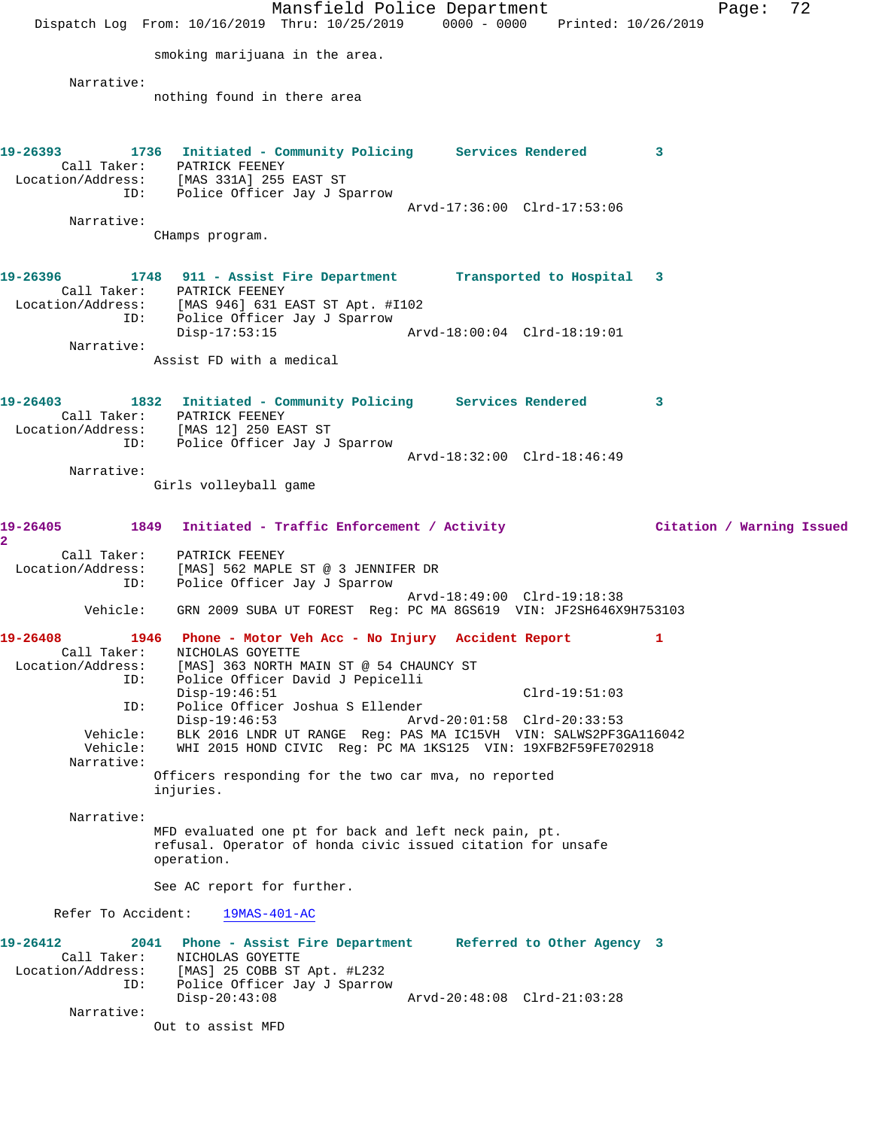Mansfield Police Department Page: 72 Dispatch Log From: 10/16/2019 Thru: 10/25/2019 0000 - 0000 Printed: 10/26/2019 smoking marijuana in the area. Narrative: nothing found in there area **19-26393 1736 Initiated - Community Policing Services Rendered 3**  Call Taker: PATRICK FEENEY Location/Address: [MAS 331A] 255 EAST ST ID: Police Officer Jay J Sparrow Arvd-17:36:00 Clrd-17:53:06 Narrative: CHamps program. **19-26396 1748 911 - Assist Fire Department Transported to Hospital 3**  Call Taker: PATRICK FEENEY Location/Address: [MAS 946] 631 EAST ST Apt. #I102 ID: Police Officer Jay J Sparrow Disp-17:53:15 Arvd-18:00:04 Clrd-18:19:01 Narrative: Assist FD with a medical **19-26403 1832 Initiated - Community Policing Services Rendered 3**  Call Taker: PATRICK FEENEY Location/Address: [MAS 12] 250 EAST ST ID: Police Officer Jay J Sparrow Arvd-18:32:00 Clrd-18:46:49 Narrative: Girls volleyball game **19-26405 1849 Initiated - Traffic Enforcement / Activity Citation / Warning Issued 2**  Call Taker: PATRICK FEENEY Location/Address: [MAS] 562 MAPLE ST @ 3 JENNIFER DR ID: Police Officer Jay J Sparrow Arvd-18:49:00 Clrd-19:18:38 Vehicle: GRN 2009 SUBA UT FOREST Reg: PC MA 8GS619 VIN: JF2SH646X9H753103 **19-26408 1946 Phone - Motor Veh Acc - No Injury Accident Report 1**  Call Taker: NICHOLAS GOYETTE Location/Address: [MAS] 363 NORTH MAIN ST @ 54 CHAUNCY ST ID: Police Officer David J Pepicelli Disp-19:46:51 Clrd-19:51:03 ID: Police Officer Joshua S Ellender Arvd-20:01:58 Clrd-20:33:53 Vehicle: BLK 2016 LNDR UT RANGE Reg: PAS MA IC15VH VIN: SALWS2PF3GA116042 Vehicle: WHI 2015 HOND CIVIC Reg: PC MA 1KS125 VIN: 19XFB2F59FE702918 Narrative: Officers responding for the two car mva, no reported injuries. Narrative: MFD evaluated one pt for back and left neck pain, pt. refusal. Operator of honda civic issued citation for unsafe operation. See AC report for further. Refer To Accident: 19MAS-401-AC **19-26412 2041 Phone - Assist Fire Department Referred to Other Agency 3**  Call Taker: NICHOLAS GOYETTE Location/Address: [MAS] 25 COBB ST Apt. #L232 ID: Police Officer Jay J Sparrow Disp-20:43:08 Arvd-20:48:08 Clrd-21:03:28 Narrative: Out to assist MFD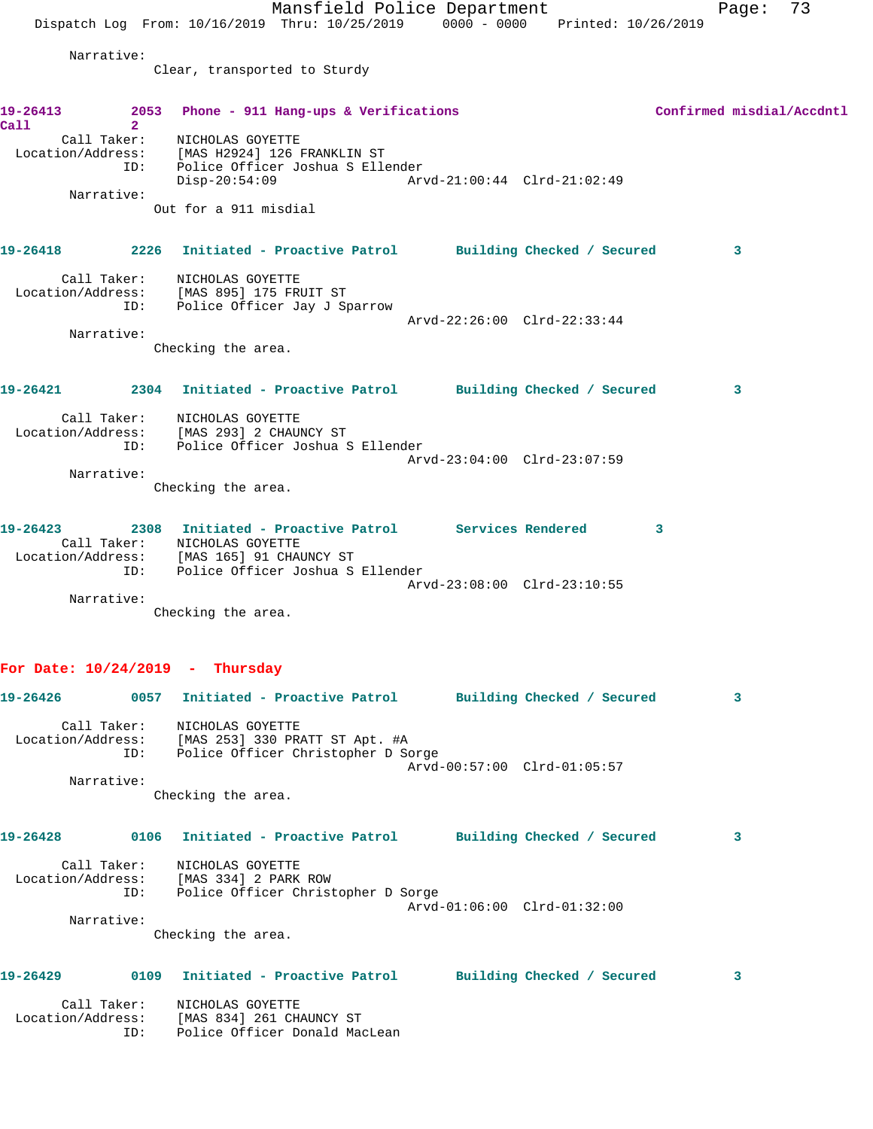|                   |                | Mansfield Police Department                                                                    |                             | Page:                     | 73 |
|-------------------|----------------|------------------------------------------------------------------------------------------------|-----------------------------|---------------------------|----|
|                   |                | Dispatch Log From: 10/16/2019 Thru: 10/25/2019 0000 - 0000 Printed: 10/26/2019                 |                             |                           |    |
|                   | Narrative:     |                                                                                                |                             |                           |    |
|                   |                | Clear, transported to Sturdy                                                                   |                             |                           |    |
|                   |                |                                                                                                |                             |                           |    |
|                   |                | 19-26413 2053 Phone - 911 Hang-ups & Verifications                                             |                             | Confirmed misdial/Accdntl |    |
| Call              | $\overline{2}$ | Call Taker: NICHOLAS GOYETTE                                                                   |                             |                           |    |
|                   |                | Location/Address: [MAS H2924] 126 FRANKLIN ST                                                  |                             |                           |    |
|                   |                | ID: Police Officer Joshua S Ellender<br>$Disp-20:54:09$                                        | Arvd-21:00:44 Clrd-21:02:49 |                           |    |
|                   | Narrative:     |                                                                                                |                             |                           |    |
|                   |                | Out for a 911 misdial                                                                          |                             |                           |    |
|                   |                | 19-26418 2226 Initiated - Proactive Patrol Building Checked / Secured                          |                             | $\sim$ 3                  |    |
|                   |                | Call Taker: NICHOLAS GOYETTE                                                                   |                             |                           |    |
|                   |                | Location/Address: [MAS 895] 175 FRUIT ST                                                       |                             |                           |    |
|                   |                | ID: Police Officer Jay J Sparrow                                                               |                             |                           |    |
|                   | Narrative:     |                                                                                                | Arvd-22:26:00 Clrd-22:33:44 |                           |    |
|                   |                | Checking the area.                                                                             |                             |                           |    |
|                   |                |                                                                                                |                             |                           |    |
|                   |                | 19-26421               2304   Initiated - Proactive Patrol          Building Checked / Secured |                             | $\mathbf{3}$              |    |
|                   |                | Call Taker: NICHOLAS GOYETTE                                                                   |                             |                           |    |
|                   |                | Location/Address: [MAS 293] 2 CHAUNCY ST                                                       |                             |                           |    |
|                   |                | ID: Police Officer Joshua S Ellender                                                           | Arvd-23:04:00 Clrd-23:07:59 |                           |    |
|                   | Narrative:     |                                                                                                |                             |                           |    |
|                   |                | Checking the area.                                                                             |                             |                           |    |
|                   |                |                                                                                                |                             |                           |    |
|                   |                | 19-26423 2308 Initiated - Proactive Patrol Services Rendered<br>Call Taker: NICHOLAS GOYETTE   |                             | 3                         |    |
|                   |                | Location/Address: [MAS 165] 91 CHAUNCY ST                                                      |                             |                           |    |
|                   | ID:            | Police Officer Joshua S Ellender                                                               | Arvd-23:08:00 Clrd-23:10:55 |                           |    |
|                   | Narrative:     |                                                                                                |                             |                           |    |
|                   |                | Checking the area.                                                                             |                             |                           |    |
|                   |                |                                                                                                |                             |                           |    |
|                   |                | For Date: $10/24/2019$ - Thursday                                                              |                             |                           |    |
| 19-26426          |                | 0057 Initiated - Proactive Patrol Building Checked / Secured                                   |                             | 3                         |    |
|                   |                |                                                                                                |                             |                           |    |
| Location/Address: | Call Taker:    | NICHOLAS GOYETTE<br>[MAS 253] 330 PRATT ST Apt. #A                                             |                             |                           |    |
|                   | ID:            | Police Officer Christopher D Sorge                                                             |                             |                           |    |
|                   | Narrative:     |                                                                                                | Arvd-00:57:00 Clrd-01:05:57 |                           |    |
|                   |                | Checking the area.                                                                             |                             |                           |    |
|                   |                |                                                                                                |                             |                           |    |
| 19-26428          |                | 0106 Initiated - Proactive Patrol Building Checked / Secured                                   |                             | 3                         |    |
|                   |                | Call Taker: NICHOLAS GOYETTE                                                                   |                             |                           |    |
|                   |                | Location/Address: [MAS 334] 2 PARK ROW<br>ID: Police Officer Christopher D Sorge               |                             |                           |    |
|                   |                |                                                                                                | Arvd-01:06:00 Clrd-01:32:00 |                           |    |
|                   | Narrative:     |                                                                                                |                             |                           |    |
|                   |                | Checking the area.                                                                             |                             |                           |    |
|                   |                |                                                                                                |                             |                           |    |
| 19-26429          | 0109           | Initiated - Proactive Patrol Building Checked / Secured                                        |                             | 3                         |    |
|                   | Call Taker:    | NICHOLAS GOYETTE                                                                               |                             |                           |    |
|                   | ID:            | Location/Address: [MAS 834] 261 CHAUNCY ST<br>Police Officer Donald MacLean                    |                             |                           |    |
|                   |                |                                                                                                |                             |                           |    |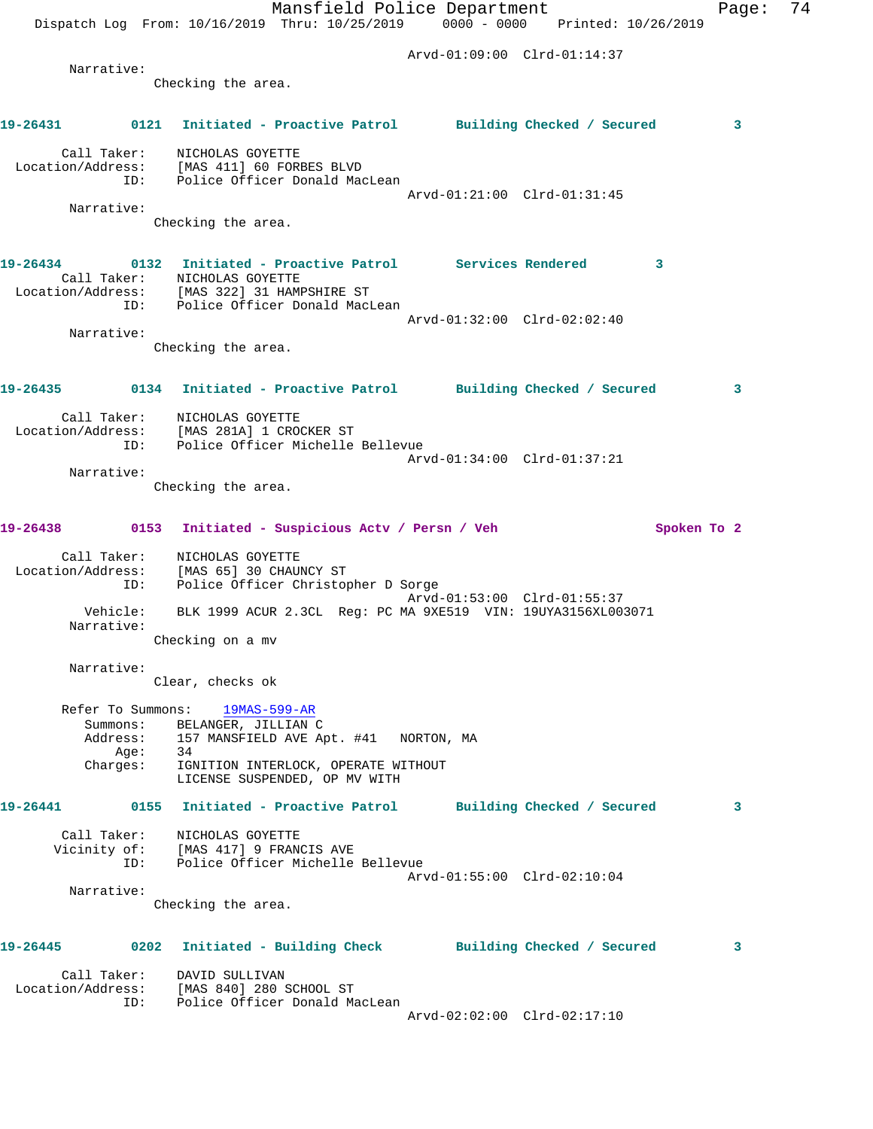|          |                        | Mansfield Police Department<br>Dispatch Log From: 10/16/2019 Thru: 10/25/2019 0000 - 0000 Printed: 10/26/2019                                                                         |                             | Page:       | 74 |
|----------|------------------------|---------------------------------------------------------------------------------------------------------------------------------------------------------------------------------------|-----------------------------|-------------|----|
|          |                        |                                                                                                                                                                                       | Arvd-01:09:00 Clrd-01:14:37 |             |    |
|          | Narrative:             | Checking the area.                                                                                                                                                                    |                             |             |    |
|          |                        |                                                                                                                                                                                       |                             |             |    |
|          |                        | 19-26431   0121 Initiated - Proactive Patrol   Building Checked / Secured                                                                                                             |                             | 3           |    |
|          | ID:                    | Call Taker: NICHOLAS GOYETTE<br>Location/Address: [MAS 411] 60 FORBES BLVD<br>Police Officer Donald MacLean                                                                           |                             |             |    |
|          | Narrative:             |                                                                                                                                                                                       | Arvd-01:21:00 Clrd-01:31:45 |             |    |
|          |                        | Checking the area.                                                                                                                                                                    |                             |             |    |
|          |                        | 19-26434 		 0132 Initiated - Proactive Patrol Services Rendered 3<br>Call Taker: NICHOLAS GOYETTE<br>Location/Address: [MAS 322] 31 HAMPSHIRE ST<br>ID: Police Officer Donald MacLean |                             |             |    |
|          | Narrative:             | Checking the area.                                                                                                                                                                    | Arvd-01:32:00 Clrd-02:02:40 |             |    |
|          |                        | 19-26435 0134 Initiated - Proactive Patrol Building Checked / Secured                                                                                                                 |                             | 3           |    |
|          | ID:                    | Call Taker: NICHOLAS GOYETTE<br>Location/Address: [MAS 281A] 1 CROCKER ST<br>Police Officer Michelle Bellevue                                                                         | Arvd-01:34:00 Clrd-01:37:21 |             |    |
|          | Narrative:             |                                                                                                                                                                                       |                             |             |    |
|          |                        | Checking the area.                                                                                                                                                                    |                             |             |    |
|          |                        | 19-26438 0153 Initiated - Suspicious Actv / Persn / Veh                                                                                                                               |                             | Spoken To 2 |    |
|          | ID:                    | Call Taker: NICHOLAS GOYETTE<br>Location/Address: [MAS 65] 30 CHAUNCY ST<br>Police Officer Christopher D Sorge                                                                        | Arvd-01:53:00 Clrd-01:55:37 |             |    |
|          | Vehicle:<br>Narrative: | BLK 1999 ACUR 2.3CL Reg: PC MA 9XE519 VIN: 19UYA3156XL003071<br>Checking on a mv                                                                                                      |                             |             |    |
|          |                        |                                                                                                                                                                                       |                             |             |    |
|          | Narrative:             | Clear, checks ok                                                                                                                                                                      |                             |             |    |
|          | Refer To Summons:      | 19MAS-599-AR<br>Summons: BELANGER, JILLIAN C                                                                                                                                          |                             |             |    |
|          | Aqe:<br>Charges:       | Address: 157 MANSFIELD AVE Apt. #41 NORTON, MA<br>- 34<br>IGNITION INTERLOCK, OPERATE WITHOUT                                                                                         |                             |             |    |
|          |                        | LICENSE SUSPENDED, OP MV WITH                                                                                                                                                         |                             |             |    |
| 19-26441 |                        | 0155 Initiated - Proactive Patrol Building Checked / Secured                                                                                                                          |                             | 3           |    |
|          |                        | Call Taker: NICHOLAS GOYETTE<br>Vicinity of: [MAS 417] 9 FRANCIS AVE<br>ID: Police Officer Michelle Bellevue                                                                          | Arvd-01:55:00 Clrd-02:10:04 |             |    |
|          | Narrative:             |                                                                                                                                                                                       |                             |             |    |
|          |                        | Checking the area.                                                                                                                                                                    |                             |             |    |
|          |                        | 19-26445 0202 Initiated - Building Check Building Checked / Secured                                                                                                                   |                             | 3           |    |
|          | ID:                    | Call Taker: DAVID SULLIVAN<br>Location/Address: [MAS 840] 280 SCHOOL ST<br>Police Officer Donald MacLean                                                                              |                             |             |    |
|          |                        |                                                                                                                                                                                       | Arvd-02:02:00 Clrd-02:17:10 |             |    |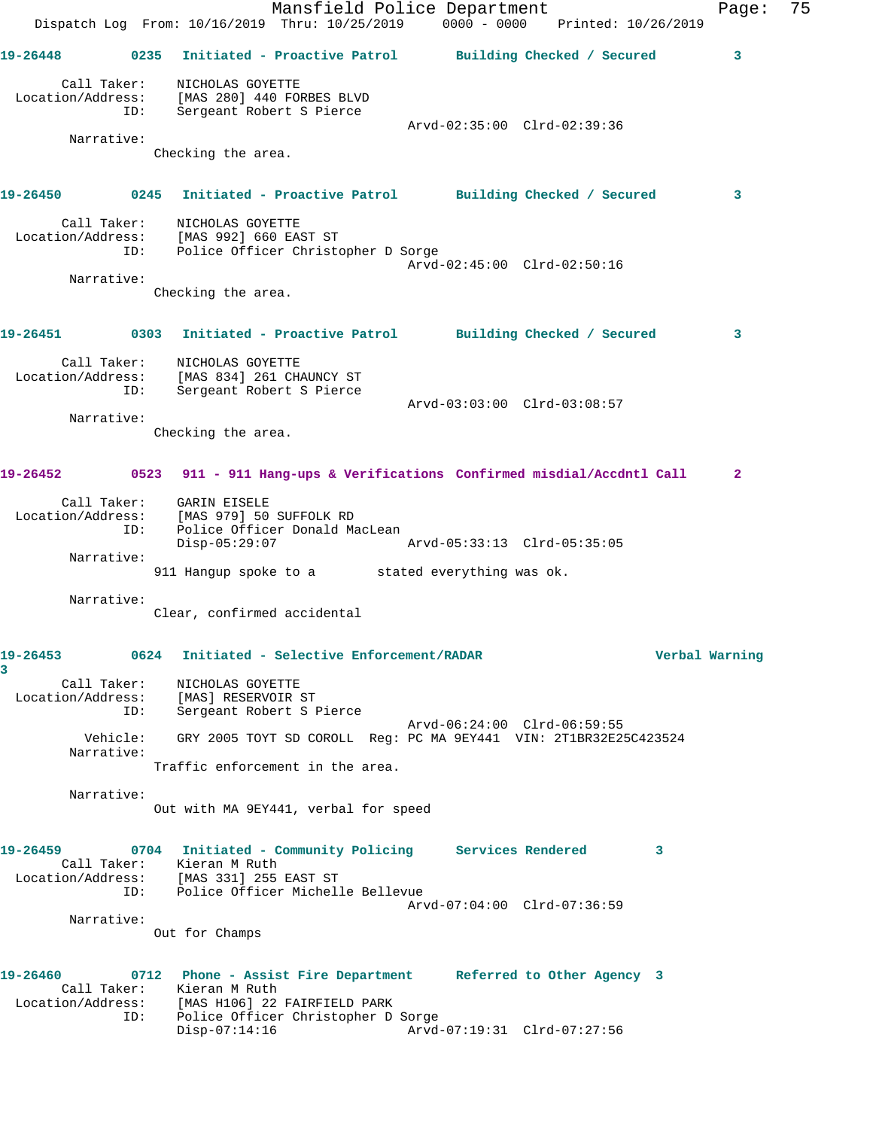Mansfield Police Department Fage: 75 Dispatch Log From: 10/16/2019 Thru: 10/25/2019 0000 - 0000 Printed: 10/26/2019 **19-26448 0235 Initiated - Proactive Patrol Building Checked / Secured 3** Call Taker: NICHOLAS GOYETTE Location/Address: [MAS 280] 440 FORBES BLVD ID: Sergeant Robert S Pierce Arvd-02:35:00 Clrd-02:39:36 Narrative: Checking the area. **19-26450 0245 Initiated - Proactive Patrol Building Checked / Secured 3** Call Taker: NICHOLAS GOYETTE Location/Address: [MAS 992] 660 EAST ST ID: Police Officer Christopher D Sorge Arvd-02:45:00 Clrd-02:50:16 Narrative: Checking the area. **19-26451 0303 Initiated - Proactive Patrol Building Checked / Secured 3** Call Taker: NICHOLAS GOYETTE Location/Address: [MAS 834] 261 CHAUNCY ST ID: Sergeant Robert S Pierce PAS 834) 201 CRAONCI DI<br>Sergeant Robert S Pierce<br>Arvd-03:03:00 Clrd-03:08:57 Narrative: Checking the area. **19-26452 0523 911 - 911 Hang-ups & Verifications Confirmed misdial/Accdntl Call 2** Call Taker: GARIN EISELE Location/Address: [MAS 979] 50 SUFFOLK RD ID: Police Officer Donald MacLean Disp-05:29:07 Arvd-05:33:13 Clrd-05:35:05 Narrative: 911 Hangup spoke to a stated everything was ok. Narrative: Clear, confirmed accidental **19-26453 0624 Initiated - Selective Enforcement/RADAR Verbal Warning 3**  Call Taker: NICHOLAS GOYETTE Location/Address: [MAS] RESERVOIR ST ID: Sergeant Robert S Pierce Arvd-06:24:00 Clrd-06:59:55 Vehicle: GRY 2005 TOYT SD COROLL Reg: PC MA 9EY441 VIN: 2T1BR32E25C423524 Narrative: Traffic enforcement in the area. Narrative: Out with MA 9EY441, verbal for speed **19-26459 0704 Initiated - Community Policing Services Rendered 3**  Call Taker: Kieran M Ruth Location/Address: [MAS 331] 255 EAST ST ID: Police Officer Michelle Bellevue Arvd-07:04:00 Clrd-07:36:59 Narrative: Out for Champs **19-26460 0712 Phone - Assist Fire Department Referred to Other Agency 3**  Call Taker: Kieran M Ruth Location/Address: [MAS H106] 22 FAIRFIELD PARK ID: Police Officer Christopher D Sorge Disp-07:14:16 Arvd-07:19:31 Clrd-07:27:56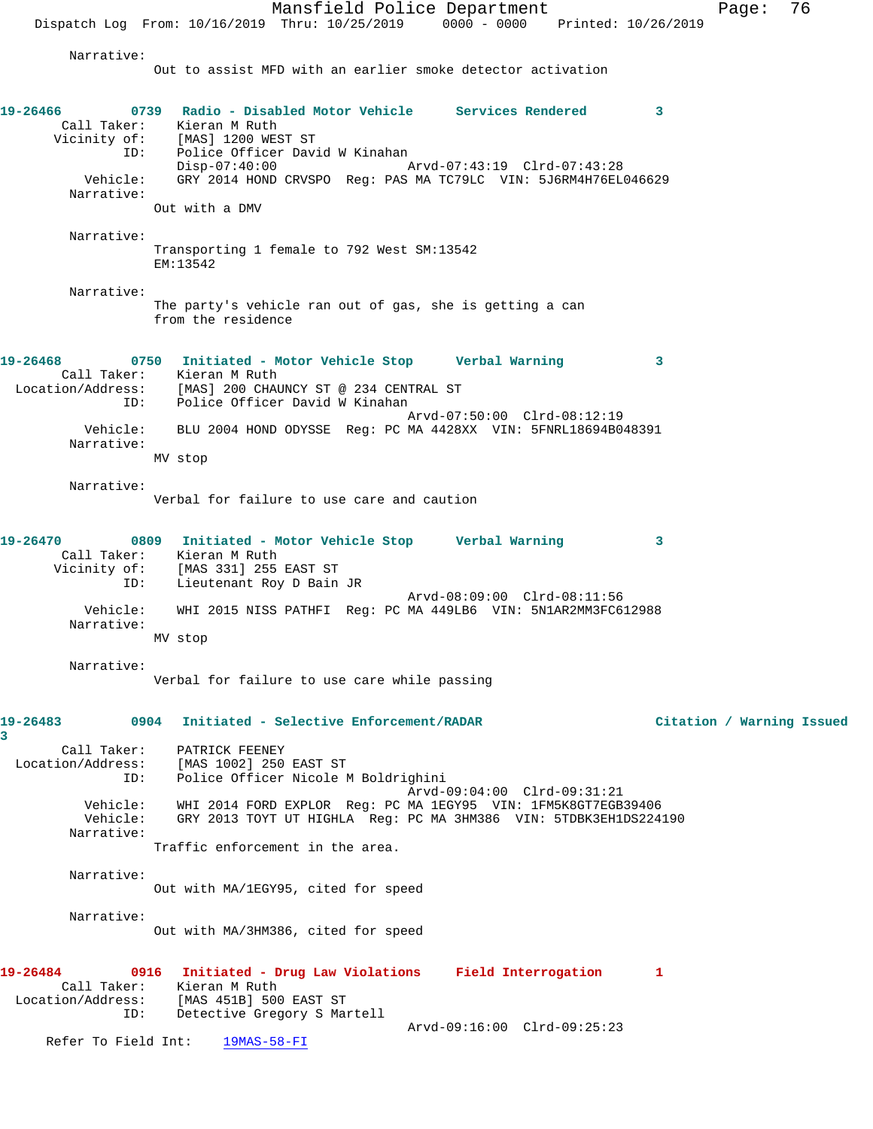Mansfield Police Department Fage: 76 Dispatch Log From: 10/16/2019 Thru: 10/25/2019 0000 - 0000 Printed: 10/26/2019 Narrative: Out to assist MFD with an earlier smoke detector activation **19-26466 0739 Radio - Disabled Motor Vehicle Services Rendered 3**  Call Taker: Kieran M Ruth Vicinity of: [MAS] 1200 WEST ST ID: Police Officer David W Kinahan Disp-07:40:00 Arvd-07:43:19 Clrd-07:43:28 Vehicle: GRY 2014 HOND CRVSPO Reg: PAS MA TC79LC VIN: 5J6RM4H76EL046629 Narrative: Out with a DMV Narrative: Transporting 1 female to 792 West SM:13542 EM:13542 Narrative: The party's vehicle ran out of gas, she is getting a can from the residence **19-26468 0750 Initiated - Motor Vehicle Stop Verbal Warning 3**  Call Taker: Kieran M Ruth Location/Address: [MAS] 200 CHAUNCY ST @ 234 CENTRAL ST ID: Police Officer David W Kinahan Arvd-07:50:00 Clrd-08:12:19 Vehicle: BLU 2004 HOND ODYSSE Reg: PC MA 4428XX VIN: 5FNRL18694B048391 Narrative: MV stop Narrative: Verbal for failure to use care and caution **19-26470 0809 Initiated - Motor Vehicle Stop Verbal Warning 3**  Call Taker: Kieran M Ruth Vicinity of: [MAS 331] 255 EAST ST ID: Lieutenant Roy D Bain JR Arvd-08:09:00 Clrd-08:11:56 Vehicle: WHI 2015 NISS PATHFI Reg: PC MA 449LB6 VIN: 5N1AR2MM3FC612988 Narrative: MV stop Narrative: Verbal for failure to use care while passing **19-26483 0904 Initiated - Selective Enforcement/RADAR Citation / Warning Issued 3**  Call Taker: PATRICK FEENEY Location/Address: [MAS 1002] 250 EAST ST ID: Police Officer Nicole M Boldrighini Arvd-09:04:00 Clrd-09:31:21 Vehicle: WHI 2014 FORD EXPLOR Reg: PC MA 1EGY95 VIN: 1FM5K8GT7EGB39406 Vehicle: GRY 2013 TOYT UT HIGHLA Reg: PC MA 3HM386 VIN: 5TDBK3EH1DS224190 Narrative: Traffic enforcement in the area. Narrative: Out with MA/1EGY95, cited for speed Narrative: Out with MA/3HM386, cited for speed **19-26484 0916 Initiated - Drug Law Violations Field Interrogation 1**  Call Taker: Kieran M Ruth Location/Address: [MAS 451B] 500 EAST ST ID: Detective Gregory S Martell

Arvd-09:16:00 Clrd-09:25:23

Refer To Field Int: 19MAS-58-FI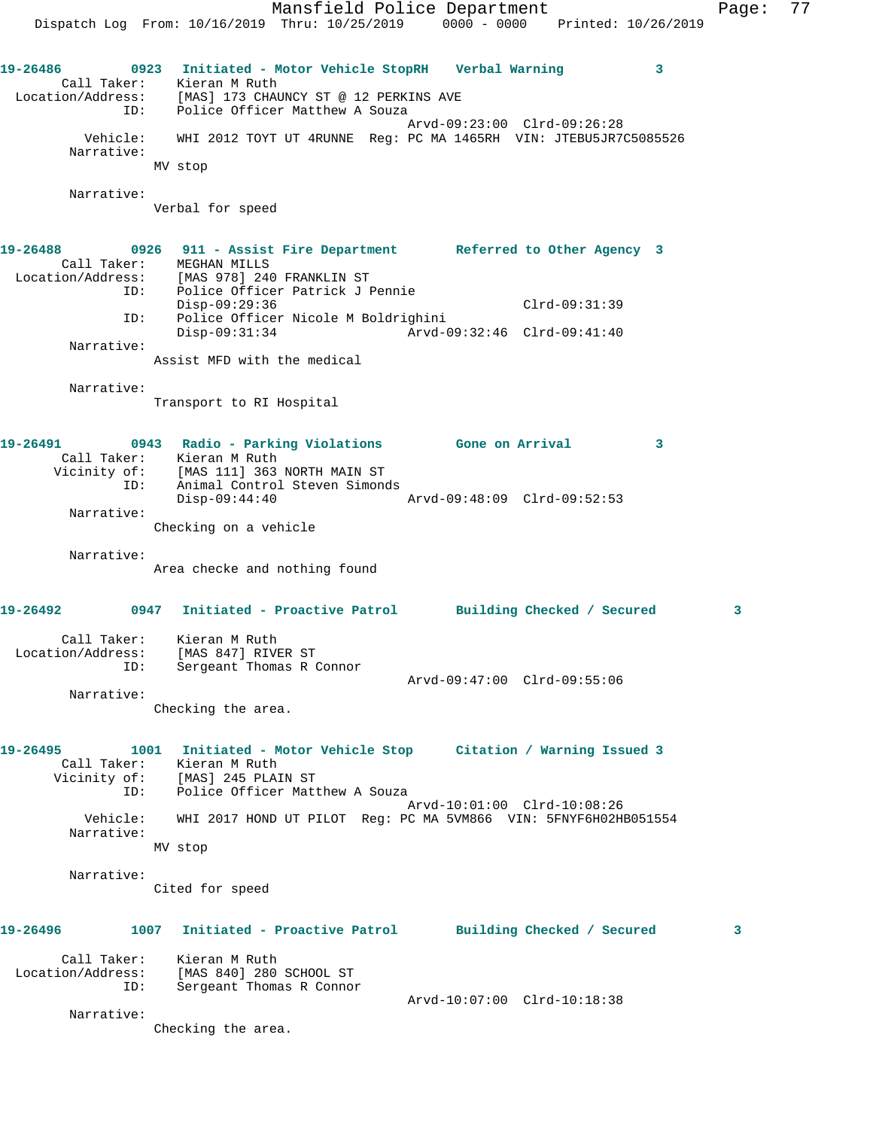Mansfield Police Department Fage: 77 Dispatch Log From: 10/16/2019 Thru: 10/25/2019 0000 - 0000 Printed: 10/26/2019 **19-26486 0923 Initiated - Motor Vehicle StopRH Verbal Warning 3**  Call Taker: Kieran M Ruth Location/Address: [MAS] 173 CHAUNCY ST @ 12 PERKINS AVE ID: Police Officer Matthew A Souza Arvd-09:23:00 Clrd-09:26:28 Vehicle: WHI 2012 TOYT UT 4RUNNE Reg: PC MA 1465RH VIN: JTEBU5JR7C5085526 Narrative: MV stop Narrative: Verbal for speed **19-26488 0926 911 - Assist Fire Department Referred to Other Agency 3**  Call Taker: MEGHAN MILLS Location/Address: [MAS 978] 240 FRANKLIN ST ID: Police Officer Patrick J Pennie Disp-09:29:36 Clrd-09:31:39 ID: Police Officer Nicole M Boldrighini Disp-09:31:34 Arvd-09:32:46 Clrd-09:41:40 Narrative: Assist MFD with the medical Narrative: Transport to RI Hospital **19-26491 0943 Radio - Parking Violations Gone on Arrival 3**  Call Taker: Kieran M Ruth Vicinity of: [MAS 111] 363 NORTH MAIN ST ID: Animal Control Steven Simonds<br>Disp-09:44:40 Disp-09:44:40 Arvd-09:48:09 Clrd-09:52:53 Narrative: Checking on a vehicle Narrative: Area checke and nothing found **19-26492 0947 Initiated - Proactive Patrol Building Checked / Secured 3** Call Taker: Kieran M Ruth Location/Address: [MAS 847] RIVER ST ID: Sergeant Thomas R Connor Arvd-09:47:00 Clrd-09:55:06 Narrative: Checking the area. **19-26495 1001 Initiated - Motor Vehicle Stop Citation / Warning Issued 3**  Call Taker: Kieran M Ruth Vicinity of: [MAS] 245 PLAIN ST ID: Police Officer Matthew A Souza Arvd-10:01:00 Clrd-10:08:26 Vehicle: WHI 2017 HOND UT PILOT Reg: PC MA 5VM866 VIN: 5FNYF6H02HB051554 Narrative: MV stop Narrative: Cited for speed **19-26496 1007 Initiated - Proactive Patrol Building Checked / Secured 3** Call Taker: Kieran M Ruth Location/Address: [MAS 840] 280 SCHOOL ST ID: Sergeant Thomas R Connor Arvd-10:07:00 Clrd-10:18:38 Narrative: Checking the area.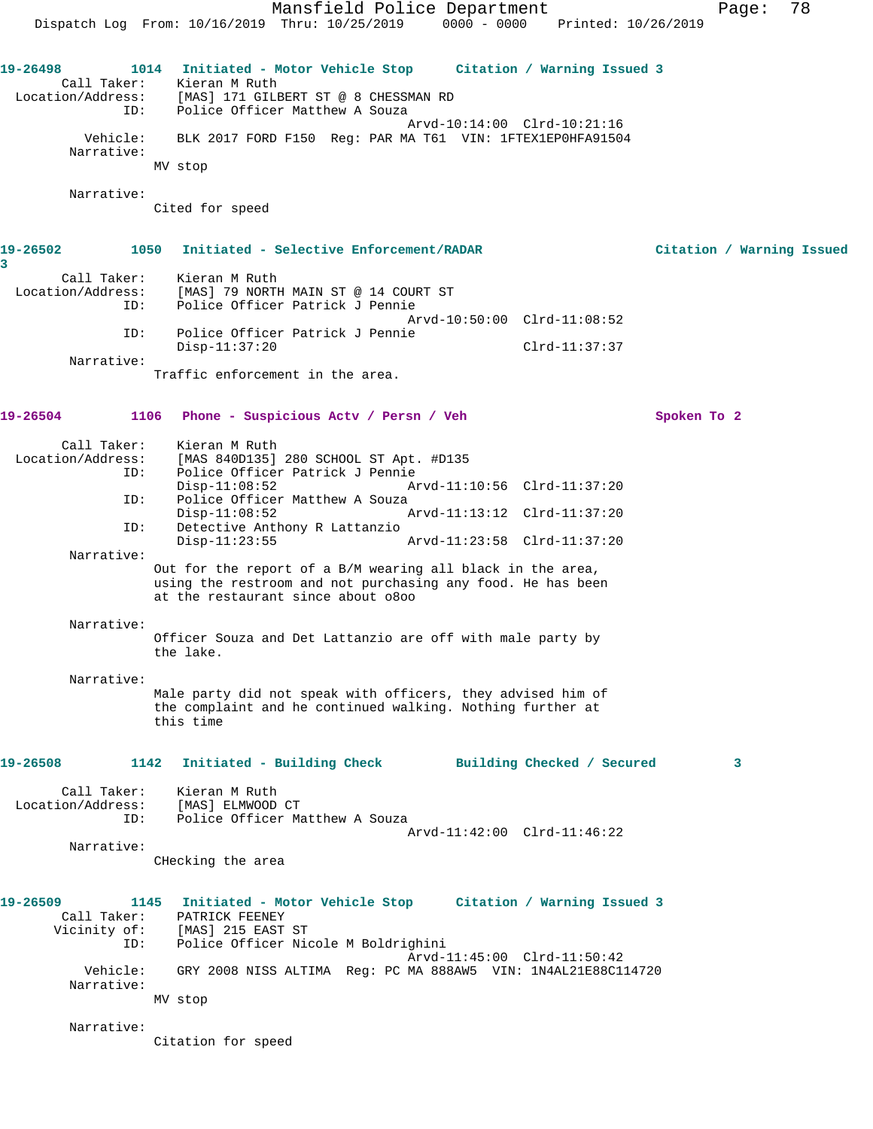Mansfield Police Department Fage: 78 Dispatch Log From: 10/16/2019 Thru: 10/25/2019 0000 - 0000 Printed: 10/26/2019 **19-26498 1014 Initiated - Motor Vehicle Stop Citation / Warning Issued 3**  Call Taker: Kieran M Ruth Location/Address: [MAS] 171 GILBERT ST @ 8 CHESSMAN RD ID: Police Officer Matthew A Souza Arvd-10:14:00 Clrd-10:21:16 Vehicle: BLK 2017 FORD F150 Reg: PAR MA T61 VIN: 1FTEX1EP0HFA91504 Narrative: MV stop Narrative: Cited for speed **19-26502 1050 Initiated - Selective Enforcement/RADAR Citation / Warning Issued 3**  Call Taker: Kieran M Ruth Location/Address: [MAS] 79 NORTH MAIN ST @ 14 COURT ST ID: Police Officer Patrick J Pennie Arvd-10:50:00 Clrd-11:08:52 ID: Police Officer Patrick J Pennie Disp-11:37:20 Clrd-11:37:37 Narrative: Traffic enforcement in the area. **19-26504 1106 Phone - Suspicious Actv / Persn / Veh Spoken To 2** Call Taker: Kieran M Ruth<br>Location/Address: [MAS 840D135] Exted: [MAS 840D135] 280 SCHOOL ST Apt. #D135<br>ID: Police Officer Patrick J Pennie Police Officer Patrick J Pennie<br>Disp-11:08:52 A Disp-11:08:52 Arvd-11:10:56 Clrd-11:37:20 ID: Police Officer Matthew A Souza<br>Disp-11:08:52 Disp-11:08:52 Arvd-11:13:12 Clrd-11:37:20<br>ID: Detective Anthony R Lattanzio Detective Anthony R Lattanzio<br>Disp-11:23:55 Disp-11:23:55 Arvd-11:23:58 Clrd-11:37:20 Narrative: Out for the report of a B/M wearing all black in the area, using the restroom and not purchasing any food. He has been at the restaurant since about o8oo Narrative: Officer Souza and Det Lattanzio are off with male party by the lake. Narrative: Male party did not speak with officers, they advised him of the complaint and he continued walking. Nothing further at this time **19-26508 1142 Initiated - Building Check Building Checked / Secured 3** Call Taker: Kieran M Ruth Location/Address: [MAS] ELMWOOD CT ID: Police Officer Matthew A Souza Arvd-11:42:00 Clrd-11:46:22 Narrative: CHecking the area **19-26509 1145 Initiated - Motor Vehicle Stop Citation / Warning Issued 3**  Call Taker: PATRICK FEENEY Vicinity of: [MAS] 215 EAST ST ID: Police Officer Nicole M Boldrighini Arvd-11:45:00 Clrd-11:50:42 Vehicle: GRY 2008 NISS ALTIMA Reg: PC MA 888AW5 VIN: 1N4AL21E88C114720 Narrative: MV stop Narrative: Citation for speed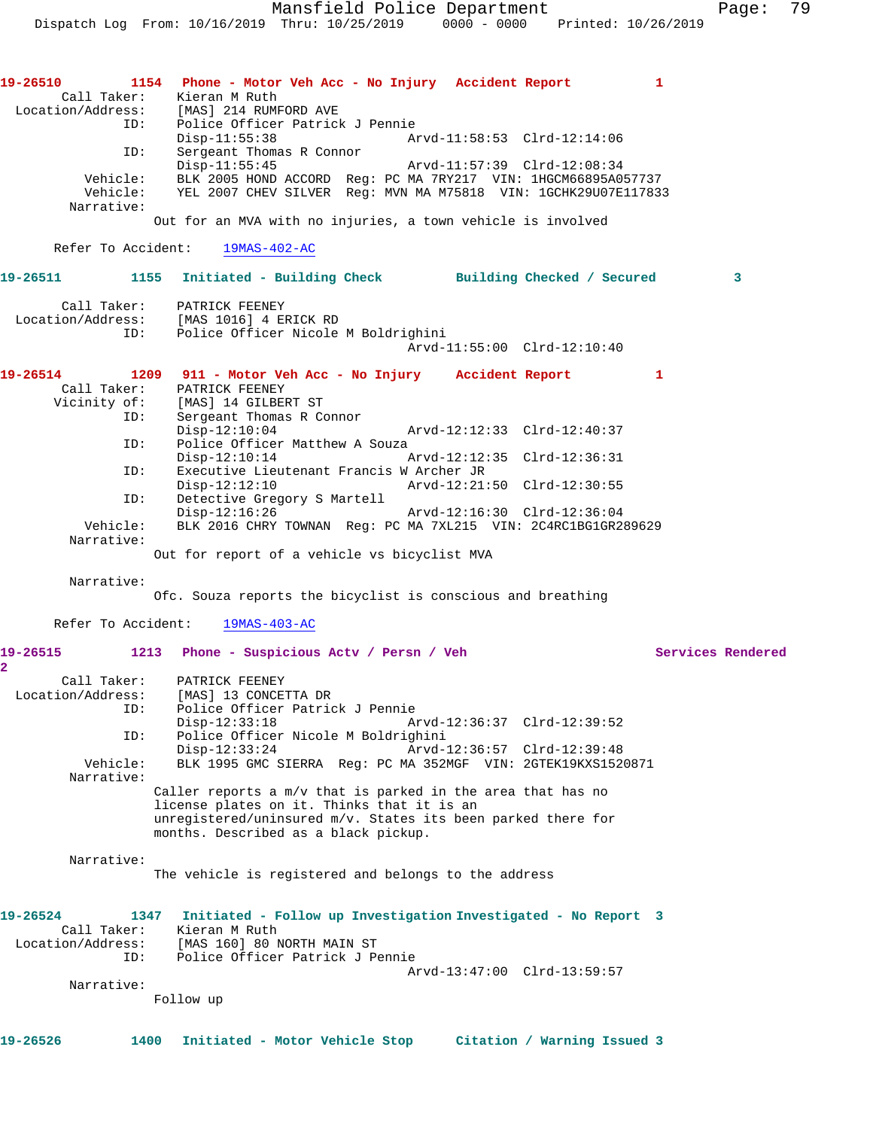| 19-26510                   | 1154 Phone - Motor Veh Acc - No Injury Accident Report                          |  |                             | $\mathbf{1}$      |
|----------------------------|---------------------------------------------------------------------------------|--|-----------------------------|-------------------|
| Call Taker:                | Kieran M Ruth                                                                   |  |                             |                   |
| Location/Address:          | [MAS] 214 RUMFORD AVE                                                           |  |                             |                   |
|                            | Police Officer Patrick J Pennie<br>ID:                                          |  |                             |                   |
| ID:                        | $Disp-11:55:38$<br>Sergeant Thomas R Connor                                     |  | Arvd-11:58:53 Clrd-12:14:06 |                   |
|                            | $Disp-11:55:45$                                                                 |  | Arvd-11:57:39 Clrd-12:08:34 |                   |
| Vehicle:                   | BLK 2005 HOND ACCORD Reg: PC MA 7RY217 VIN: 1HGCM66895A057737                   |  |                             |                   |
|                            | Vehicle: YEL 2007 CHEV SILVER Req: MVN MA M75818 VIN: 1GCHK29U07E117833         |  |                             |                   |
| Narrative:                 |                                                                                 |  |                             |                   |
|                            | Out for an MVA with no injuries, a town vehicle is involved                     |  |                             |                   |
| Refer To Accident:         | $19MAS-402-AC$                                                                  |  |                             |                   |
|                            |                                                                                 |  |                             |                   |
| 19-26511                   | 1155 Initiated - Building Check Building Checked / Secured                      |  |                             | 3                 |
| Call Taker:                | PATRICK FEENEY                                                                  |  |                             |                   |
|                            | Location/Address: [MAS 1016] 4 ERICK RD                                         |  |                             |                   |
|                            | Police Officer Nicole M Boldrighini<br>ID:                                      |  |                             |                   |
|                            |                                                                                 |  | Arvd-11:55:00 Clrd-12:10:40 |                   |
| 19-26514                   | 1209 911 - Motor Veh Acc - No Injury Accident Report                            |  |                             | 1                 |
| Call Taker:                | PATRICK FEENEY                                                                  |  |                             |                   |
| Vicinity of:               | [MAS] 14 GILBERT ST                                                             |  |                             |                   |
| ID:                        | Sergeant Thomas R Connor                                                        |  |                             |                   |
|                            | $Disp-12:10:04$                                                                 |  | Arvd-12:12:33 Clrd-12:40:37 |                   |
| ID:                        | Police Officer Matthew A Souza<br>$Disp-12:10:14$                               |  | Arvd-12:12:35 Clrd-12:36:31 |                   |
| ID:                        | Executive Lieutenant Francis W Archer JR                                        |  |                             |                   |
|                            | $Disp-12:12:10$                                                                 |  | Arvd-12:21:50 Clrd-12:30:55 |                   |
| ID:                        | Detective Gregory S Martell                                                     |  |                             |                   |
|                            | $Disp-12:16:26$                                                                 |  | Arvd-12:16:30 Clrd-12:36:04 |                   |
| Vehicle:                   | BLK 2016 CHRY TOWNAN Reg: PC MA 7XL215 VIN: 2C4RC1BG1GR289629                   |  |                             |                   |
| Narrative:                 |                                                                                 |  |                             |                   |
|                            | Out for report of a vehicle vs bicyclist MVA                                    |  |                             |                   |
| Narrative:                 |                                                                                 |  |                             |                   |
|                            | Ofc. Souza reports the bicyclist is conscious and breathing                     |  |                             |                   |
| Refer To Accident:         | $19MAS-403-AC$                                                                  |  |                             |                   |
|                            |                                                                                 |  |                             |                   |
| 19-26515<br>$\overline{2}$ | 1213 Phone - Suspicious Acty / Persn / Veh                                      |  |                             | Services Rendered |
| Call Taker:                | PATRICK FEENEY                                                                  |  |                             |                   |
| Location/Address:          | [MAS] 13 CONCETTA DR                                                            |  |                             |                   |
| ID:                        | Police Officer Patrick J Pennie                                                 |  |                             |                   |
|                            | $Disp-12:33:18$                                                                 |  | Arvd-12:36:37 Clrd-12:39:52 |                   |
| ID:                        | Police Officer Nicole M Boldrighini                                             |  |                             |                   |
| Vehicle:                   | $Disp-12:33:24$<br>BLK 1995 GMC SIERRA Req: PC MA 352MGF VIN: 2GTEK19KXS1520871 |  | Arvd-12:36:57 Clrd-12:39:48 |                   |
| Narrative:                 |                                                                                 |  |                             |                   |
|                            | Caller reports a m/v that is parked in the area that has no                     |  |                             |                   |
|                            | license plates on it. Thinks that it is an                                      |  |                             |                   |
|                            | unregistered/uninsured m/v. States its been parked there for                    |  |                             |                   |
|                            | months. Described as a black pickup.                                            |  |                             |                   |
| Narrative:                 |                                                                                 |  |                             |                   |
|                            | The vehicle is registered and belongs to the address                            |  |                             |                   |
|                            |                                                                                 |  |                             |                   |
|                            |                                                                                 |  |                             |                   |
| 19-26524                   | Initiated - Follow up Investigation Investigated - No Report 3<br>1347          |  |                             |                   |
| Call Taker:                | Kieran M Ruth                                                                   |  |                             |                   |
| Location/Address:<br>ID:   | [MAS 160] 80 NORTH MAIN ST<br>Police Officer Patrick J Pennie                   |  |                             |                   |
|                            |                                                                                 |  | Arvd-13:47:00 Clrd-13:59:57 |                   |
| Narrative:                 |                                                                                 |  |                             |                   |
|                            | Follow up                                                                       |  |                             |                   |
|                            |                                                                                 |  |                             |                   |
| 19-26526                   | 1400<br>Initiated - Motor Vehicle Stop                                          |  | Citation / Warning Issued 3 |                   |
|                            |                                                                                 |  |                             |                   |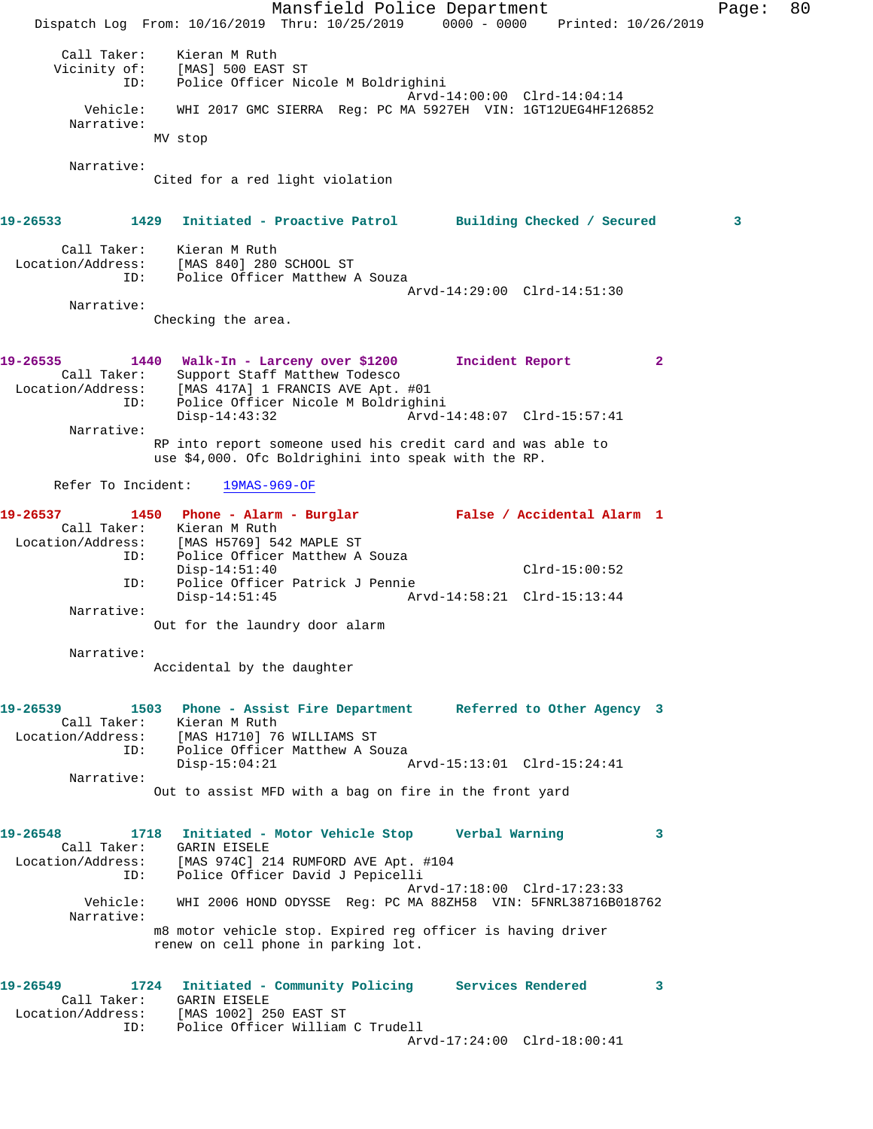|                                                     | Mansfield Police Department<br>Dispatch Log From: 10/16/2019 Thru: 10/25/2019 0000 - 0000 Printed: 10/26/2019                                                           | 80<br>Page: |
|-----------------------------------------------------|-------------------------------------------------------------------------------------------------------------------------------------------------------------------------|-------------|
| Call Taker:<br>Vicinity of:<br>ID:                  | Kieran M Ruth<br>[MAS] 500 EAST ST<br>Police Officer Nicole M Boldrighini<br>Arvd-14:00:00 Clrd-14:04:14                                                                |             |
| Vehicle:<br>Narrative:                              | WHI 2017 GMC SIERRA Req: PC MA 5927EH VIN: 1GT12UEG4HF126852<br>MV stop                                                                                                 |             |
| Narrative:                                          | Cited for a red light violation                                                                                                                                         |             |
| 19-26533                                            | 1429 Initiated - Proactive Patrol Building Checked / Secured                                                                                                            | 3           |
| Call Taker:<br>ID:                                  | Kieran M Ruth<br>Location/Address: [MAS 840] 280 SCHOOL ST<br>Police Officer Matthew A Souza<br>Arvd-14:29:00 Clrd-14:51:30                                             |             |
| Narrative:                                          |                                                                                                                                                                         |             |
|                                                     | Checking the area.                                                                                                                                                      |             |
| 19-26535<br>Call Taker:<br>Location/Address:<br>ID: | 1440 Walk-In - Larceny over \$1200<br>Incident Report<br>2<br>Support Staff Matthew Todesco<br>[MAS 417A] 1 FRANCIS AVE Apt. #01<br>Police Officer Nicole M Boldrighini |             |
| Narrative:                                          | $Disp-14:43:32$<br>Arvd-14:48:07 Clrd-15:57:41                                                                                                                          |             |
|                                                     | RP into report someone used his credit card and was able to<br>use \$4,000. Ofc Boldrighini into speak with the RP.                                                     |             |
| Refer To Incident:                                  | $19MAS-969-OF$                                                                                                                                                          |             |
| 19-26537                                            | 1450 Phone - Alarm - Burglar Malse / Accidental Alarm 1                                                                                                                 |             |
| Call Taker:<br>Location/Address:<br>ID:             | Kieran M Ruth<br>[MAS H5769] 542 MAPLE ST<br>Police Officer Matthew A Souza                                                                                             |             |
| ID:                                                 | $Disp-14:51:40$<br>$Clrd-15:00:52$<br>Police Officer Patrick J Pennie                                                                                                   |             |
|                                                     | $Disp-14:51:45$<br>Arvd-14:58:21 Clrd-15:13:44                                                                                                                          |             |
| Narrative:                                          | Out for the laundry door alarm                                                                                                                                          |             |
| Narrative:                                          | Accidental by the daughter                                                                                                                                              |             |
| 19-26539                                            | 1503 Phone - Assist Fire Department Referred to Other Agency 3                                                                                                          |             |
| Call Taker:                                         | Kieran M Ruth<br>Location/Address: [MAS H1710] 76 WILLIAMS ST                                                                                                           |             |
| ID:                                                 | Police Officer Matthew A Souza<br>$Disp-15:04:21$<br>Arvd-15:13:01 Clrd-15:24:41                                                                                        |             |
| Narrative:                                          | Out to assist MFD with a bag on fire in the front yard                                                                                                                  |             |
|                                                     |                                                                                                                                                                         |             |
| 19-26548<br>Call Taker:<br>Location/Address:        | 1718 Initiated - Motor Vehicle Stop Verbal Warning<br>3<br><b>GARIN EISELE</b>                                                                                          |             |
| ID:                                                 | [MAS 974C] 214 RUMFORD AVE Apt. #104<br>Police Officer David J Pepicelli                                                                                                |             |
| Vehicle:<br>Narrative:                              | Arvd-17:18:00 Clrd-17:23:33<br>WHI 2006 HOND ODYSSE Req: PC MA 88ZH58 VIN: 5FNRL38716B018762                                                                            |             |
|                                                     | m8 motor vehicle stop. Expired reg officer is having driver<br>renew on cell phone in parking lot.                                                                      |             |
| 19-26549<br>Call Taker:                             | 1724 Initiated - Community Policing Services Rendered<br>3<br>GARIN EISELE<br>Location/Address: [MAS 1002] 250 EAST ST                                                  |             |
| ID:                                                 | Police Officer William C Trudell<br>Arvd-17:24:00 Clrd-18:00:41                                                                                                         |             |
|                                                     |                                                                                                                                                                         |             |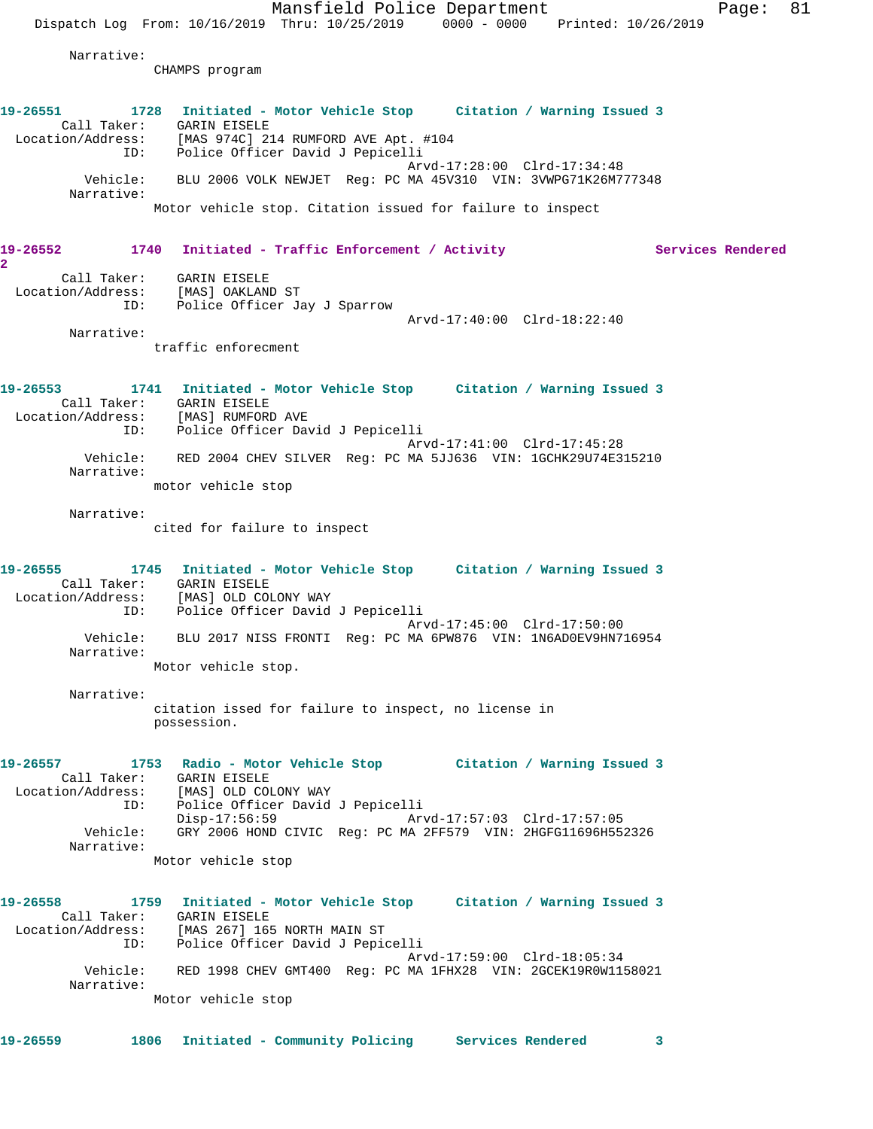Mansfield Police Department Page: 81 Dispatch Log From: 10/16/2019 Thru: 10/25/2019 0000 - 0000 Printed: 10/26/2019 Narrative: CHAMPS program **19-26551 1728 Initiated - Motor Vehicle Stop Citation / Warning Issued 3**  Call Taker: GARIN EISELE Location/Address: [MAS 974C] 214 RUMFORD AVE Apt. #104 ID: Police Officer David J Pepicelli Arvd-17:28:00 Clrd-17:34:48 Vehicle: BLU 2006 VOLK NEWJET Reg: PC MA 45V310 VIN: 3VWPG71K26M777348 Narrative: Motor vehicle stop. Citation issued for failure to inspect 19-26552 1740 Initiated - Traffic Enforcement / Activity Services Rendered **2**  Call Taker: GARIN EISELE Location/Address: [MAS] OAKLAND ST ID: Police Officer Jay J Sparrow Arvd-17:40:00 Clrd-18:22:40 Narrative: traffic enforecment **19-26553 1741 Initiated - Motor Vehicle Stop Citation / Warning Issued 3**  Call Taker: GARIN EISELE Location/Address: [MAS] RUMFORD AVE ID: Police Officer David J Pepicelli Arvd-17:41:00 Clrd-17:45:28 Vehicle: RED 2004 CHEV SILVER Reg: PC MA 5JJ636 VIN: 1GCHK29U74E315210 Narrative: motor vehicle stop Narrative: cited for failure to inspect **19-26555 1745 Initiated - Motor Vehicle Stop Citation / Warning Issued 3**  Call Taker: GARIN EISELE Location/Address: [MAS] OLD COLONY WAY ID: Police Officer David J Pepicelli Arvd-17:45:00 Clrd-17:50:00 Vehicle: BLU 2017 NISS FRONTI Reg: PC MA 6PW876 VIN: 1N6AD0EV9HN716954 Narrative: Motor vehicle stop. Narrative: citation issed for failure to inspect, no license in possession. **19-26557 1753 Radio - Motor Vehicle Stop Citation / Warning Issued 3**  Call Taker: GARIN EISELE Location/Address: [MAS] OLD COLONY WAY ID: Police Officer David J Pepicelli Disp-17:56:59 Arvd-17:57:03 Clrd-17:57:05 Vehicle: GRY 2006 HOND CIVIC Reg: PC MA 2FF579 VIN: 2HGFG11696H552326 Narrative: Motor vehicle stop **19-26558 1759 Initiated - Motor Vehicle Stop Citation / Warning Issued 3**  Call Taker: GARIN EISELE Location/Address: [MAS 267] 165 NORTH MAIN ST ID: Police Officer David J Pepicelli Arvd-17:59:00 Clrd-18:05:34 Vehicle: RED 1998 CHEV GMT400 Reg: PC MA 1FHX28 VIN: 2GCEK19R0W1158021 Narrative: Motor vehicle stop **19-26559 1806 Initiated - Community Policing Services Rendered 3**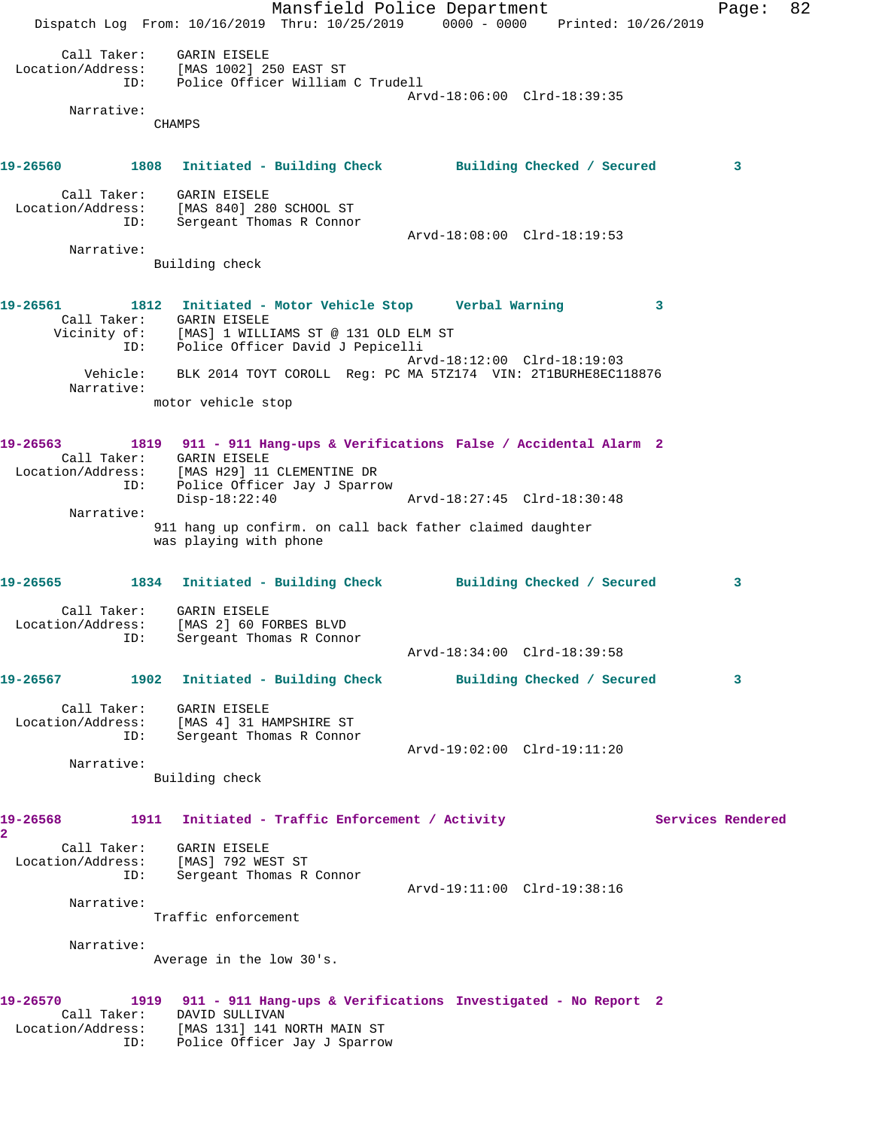Mansfield Police Department Fage: 82 Dispatch Log From: 10/16/2019 Thru: 10/25/2019 0000 - 0000 Printed: 10/26/2019 Call Taker: GARIN EISELE Location/Address: [MAS 1002] 250 EAST ST ID: Police Officer William C Trudell Arvd-18:06:00 Clrd-18:39:35 Narrative: CHAMPS **19-26560 1808 Initiated - Building Check Building Checked / Secured 3** Call Taker: GARIN EISELE Location/Address: [MAS 840] 280 SCHOOL ST ID: Sergeant Thomas R Connor Arvd-18:08:00 Clrd-18:19:53 Narrative: Building check **19-26561 1812 Initiated - Motor Vehicle Stop Verbal Warning 3**  Call Taker: GARIN EISELE Vicinity of: [MAS] 1 WILLIAMS ST @ 131 OLD ELM ST ID: Police Officer David J Pepicelli Arvd-18:12:00 Clrd-18:19:03 Vehicle: BLK 2014 TOYT COROLL Reg: PC MA 5TZ174 VIN: 2T1BURHE8EC118876 Narrative: motor vehicle stop **19-26563 1819 911 - 911 Hang-ups & Verifications False / Accidental Alarm 2**  Call Taker: GARIN EISELE Location/Address: [MAS H29] 11 CLEMENTINE DR ID: Police Officer Jay J Sparrow Disp-18:22:40 Arvd-18:27:45 Clrd-18:30:48 Narrative: 911 hang up confirm. on call back father claimed daughter was playing with phone **19-26565 1834 Initiated - Building Check Building Checked / Secured 3** Call Taker: GARIN EISELE Location/Address: [MAS 2] 60 FORBES BLVD ID: Sergeant Thomas R Connor Arvd-18:34:00 Clrd-18:39:58 **19-26567 1902 Initiated - Building Check Building Checked / Secured 3** Call Taker: GARIN EISELE Location/Address: [MAS 4] 31 HAMPSHIRE ST ID: Sergeant Thomas R Connor Arvd-19:02:00 Clrd-19:11:20 Narrative: Building check 19-26568 1911 Initiated - Traffic Enforcement / Activity **Services Rendered 2**  Call Taker: GARIN EISELE Location/Address: [MAS] 792 WEST ST ID: Sergeant Thomas R Connor Arvd-19:11:00 Clrd-19:38:16 Narrative: Traffic enforcement Narrative: Average in the low 30's. **19-26570 1919 911 - 911 Hang-ups & Verifications Investigated - No Report 2**  Call Taker: DAVID SULLIVAN Location/Address: [MAS 131] 141 NORTH MAIN ST ID: Police Officer Jay J Sparrow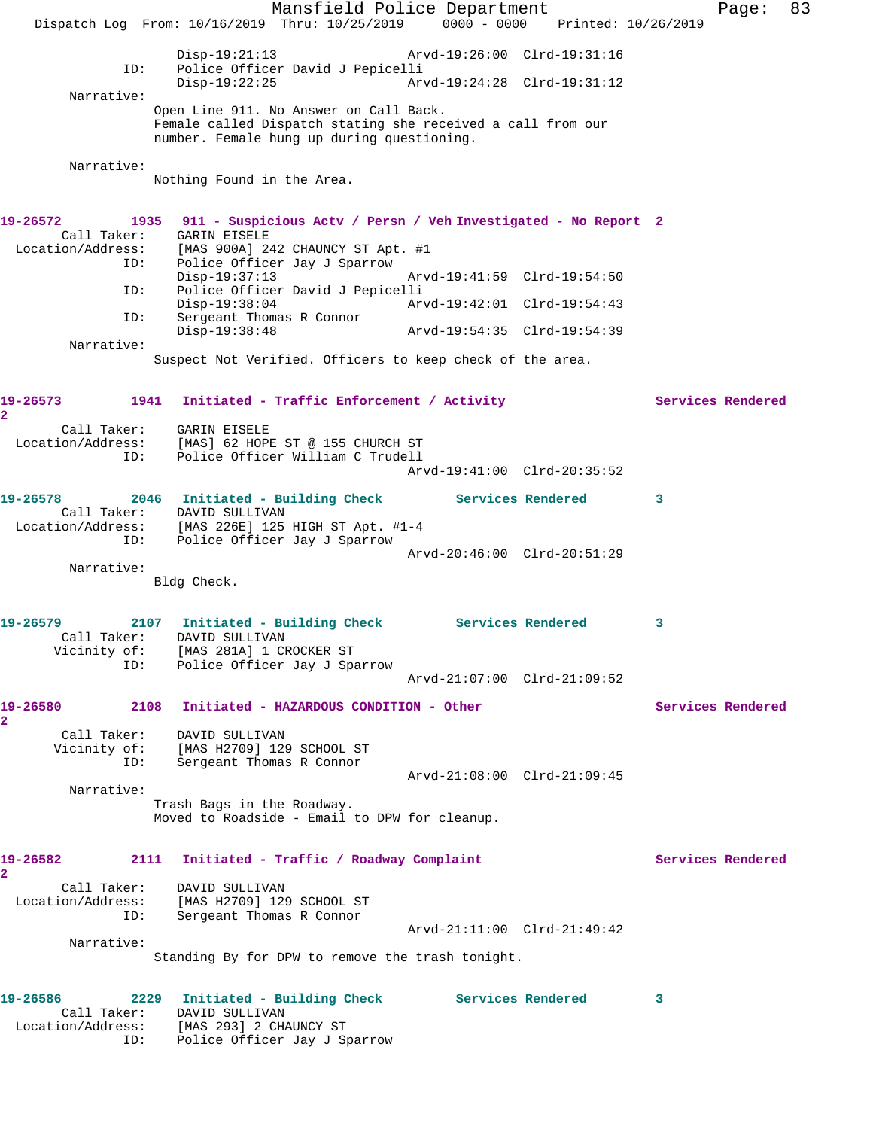Mansfield Police Department Fage: 83 Dispatch Log From: 10/16/2019 Thru: 10/25/2019 0000 - 0000 Printed: 10/26/2019 Disp-19:21:13 Arvd-19:26:00 Clrd-19:31:16 ID: Police Officer David J Pepicelli Disp-19:22:25 Arvd-19:24:28 Clrd-19:31:12 Narrative: Open Line 911. No Answer on Call Back. Female called Dispatch stating she received a call from our number. Female hung up during questioning. Narrative: Nothing Found in the Area. **19-26572 1935 911 - Suspicious Actv / Persn / Veh Investigated - No Report 2**  Call Taker: GARIN EISELE<br>Location/Address: [MAS 900A] 24 [MAS 900A] 242 CHAUNCY ST Apt. #1 ID: Police Officer Jay J Sparrow Disp-19:37:13 Arvd-19:41:59 Clrd-19:54:50 ID: Police Officer David J Pepicelli Disp-19:38:04 Arvd-19:42:01 Clrd-19:54:43 ID: Sergeant Thomas R Connor Arvd-19:54:35 Clrd-19:54:39 Narrative: Suspect Not Verified. Officers to keep check of the area. 19-26573 1941 Initiated - Traffic Enforcement / Activity **Services Rendered 2**  Call Taker: GARIN EISELE Location/Address: [MAS] 62 HOPE ST @ 155 CHURCH ST ID: Police Officer William C Trudell Arvd-19:41:00 Clrd-20:35:52 **19-26578 2046 Initiated - Building Check Services Rendered 3**  Call Taker: DAVID SULLIVAN<br>Location/Address: [MAS 226E] 125 [MAS 226E] 125 HIGH ST Apt. #1-4 ess: I'MAS 22001 123 HIGH STATES. Arvd-20:46:00 Clrd-20:51:29 Narrative: Bldg Check. **19-26579 2107 Initiated - Building Check Services Rendered 3**  Call Taker: DAVID SULLIVAN Vicinity of: [MAS 281A] 1 CROCKER ST ID: Police Officer Jay J Sparrow Arvd-21:07:00 Clrd-21:09:52 **19-26580 2108 Initiated - HAZARDOUS CONDITION - Other Services Rendered 2**  Call Taker: DAVID SULLIVAN Vicinity of: [MAS H2709] 129 SCHOOL ST ID: Sergeant Thomas R Connor Arvd-21:08:00 Clrd-21:09:45 Narrative: Trash Bags in the Roadway. Moved to Roadside - Email to DPW for cleanup. 19-26582 2111 Initiated - Traffic / Roadway Complaint **Services Rendered 2**  Call Taker: DAVID SULLIVAN Location/Address: [MAS H2709] 129 SCHOOL ST ID: Sergeant Thomas R Connor Arvd-21:11:00 Clrd-21:49:42 Narrative: Standing By for DPW to remove the trash tonight. **19-26586 2229 Initiated - Building Check Services Rendered 3**  Call Taker: DAVID SULLIVAN Location/Address: [MAS 293] 2 CHAUNCY ST

ID: Police Officer Jay J Sparrow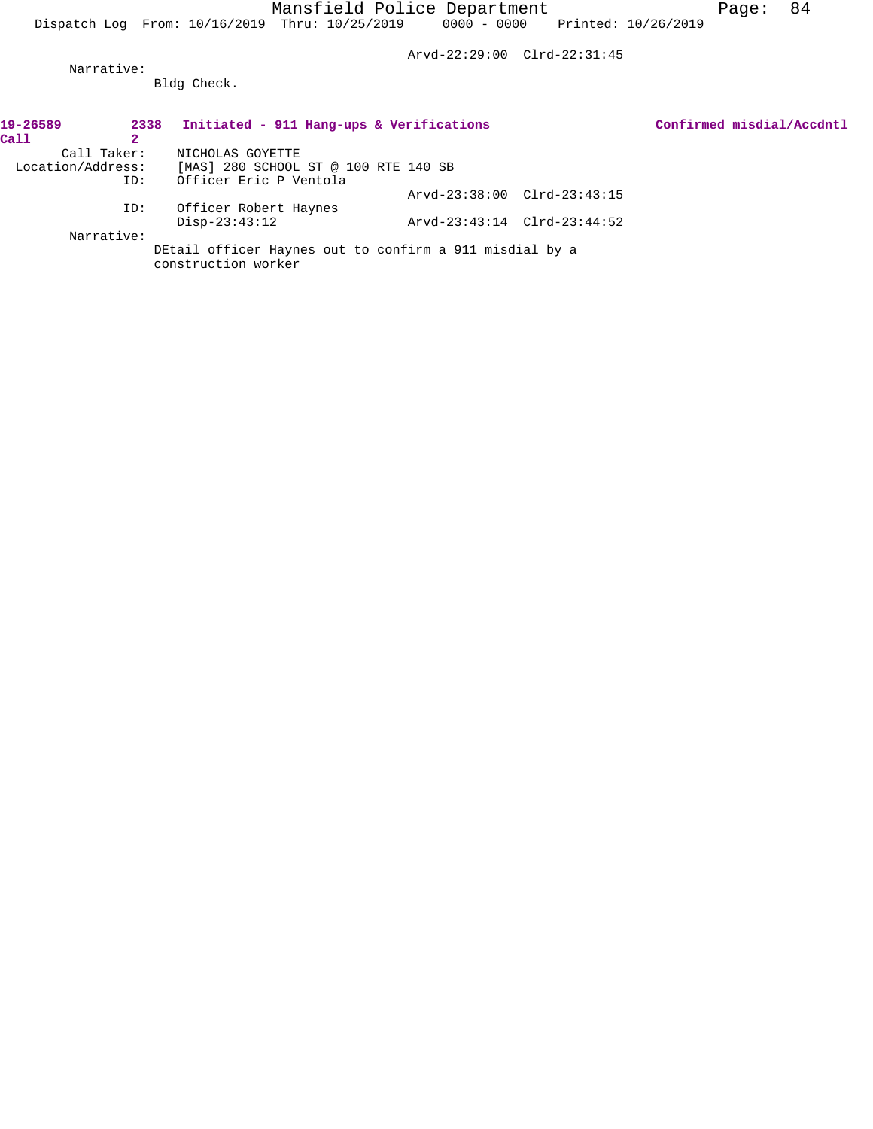Arvd-22:29:00 Clrd-22:31:45

 Narrative: Bldg Check.

| 19-26589          | 2338 | Initiated - 911 Hang-ups & Verifications                                       |                             |  | Confirmed misdial/Accdntl |
|-------------------|------|--------------------------------------------------------------------------------|-----------------------------|--|---------------------------|
| Call              | 2    |                                                                                |                             |  |                           |
| Call Taker:       |      | NICHOLAS GOYETTE                                                               |                             |  |                           |
| Location/Address: |      | [MAS] 280 SCHOOL ST @ 100 RTE 140 SB                                           |                             |  |                           |
|                   | ID:  | Officer Eric P Ventola                                                         |                             |  |                           |
|                   |      |                                                                                | Arvd-23:38:00 Clrd-23:43:15 |  |                           |
|                   | ID:  | Officer Robert Haynes                                                          |                             |  |                           |
|                   |      | $Disp-23:43:12$                                                                | Arvd-23:43:14 Clrd-23:44:52 |  |                           |
| Narrative:        |      |                                                                                |                             |  |                           |
|                   |      | DEtail officer Haynes out to confirm a 911 misdial by a<br>construction worker |                             |  |                           |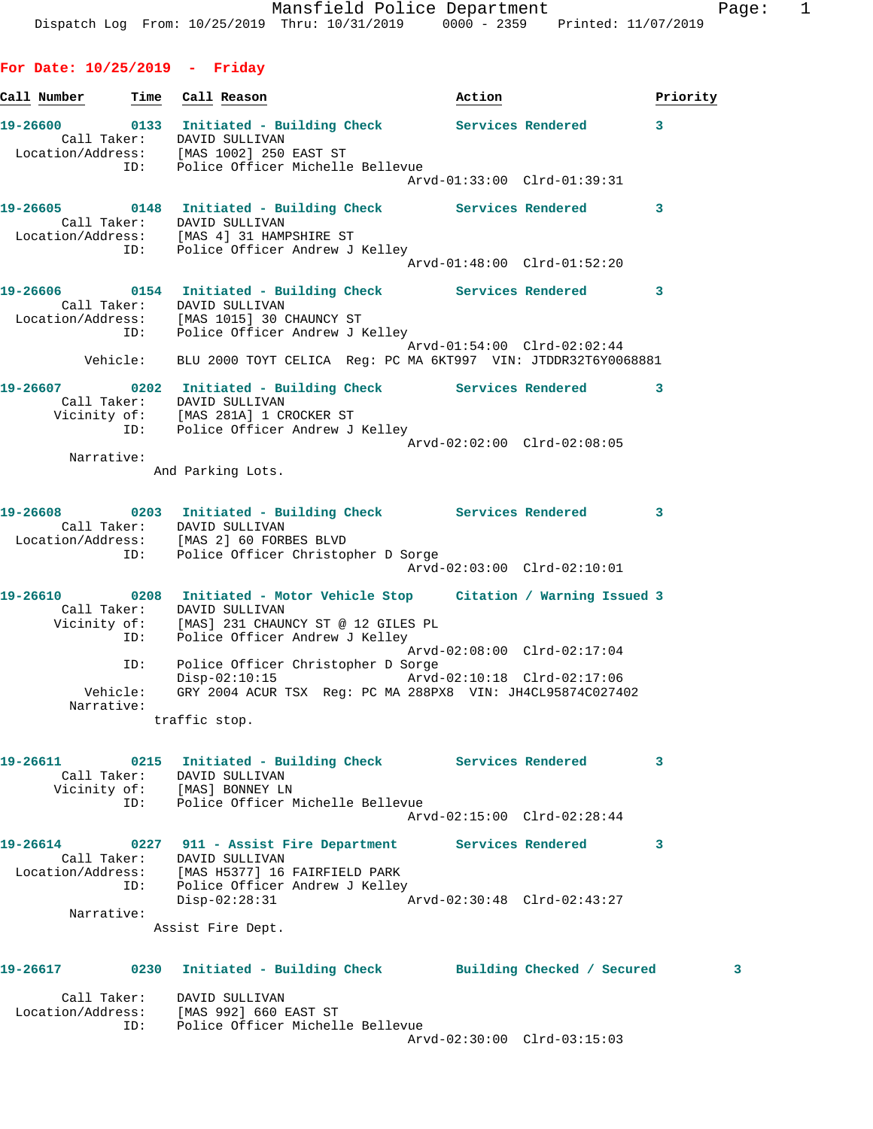**For Date: 10/25/2019 - Friday**

**Call Number Time Call Reason Action Priority 19-26600 0133 Initiated - Building Check Services Rendered 3**  Call Taker: DAVID SULLIVAN Location/Address: [MAS 1002] 250 EAST ST ID: Police Officer Michelle Bellevue Arvd-01:33:00 Clrd-01:39:31 **19-26605 0148 Initiated - Building Check Services Rendered 3**  Call Taker: DAVID SULLIVAN Location/Address: [MAS 4] 31 HAMPSHIRE ST ID: Police Officer Andrew J Kelley Arvd-01:48:00 Clrd-01:52:20 **19-26606 0154 Initiated - Building Check Services Rendered 3**  Call Taker: DAVID SULLIVAN Location/Address: [MAS 1015] 30 CHAUNCY ST ID: Police Officer Andrew J Kelley Arvd-01:54:00 Clrd-02:02:44 Vehicle: BLU 2000 TOYT CELICA Reg: PC MA 6KT997 VIN: JTDDR32T6Y0068881 **19-26607 0202 Initiated - Building Check Services Rendered 3**  Call Taker: DAVID SULLIVAN Vicinity of: [MAS 281A] 1 CROCKER ST ID: Police Officer Andrew J Kelley Arvd-02:02:00 Clrd-02:08:05 Narrative: And Parking Lots. **19-26608 0203 Initiated - Building Check Services Rendered 3**  Call Taker: DAVID SULLIVAN Location/Address: [MAS 2] 60 FORBES BLVD ID: Police Officer Christopher D Sorge Arvd-02:03:00 Clrd-02:10:01 **19-26610 0208 Initiated - Motor Vehicle Stop Citation / Warning Issued 3**  Call Taker: DAVID SULLIVAN Vicinity of: [MAS] 231 CHAUNCY ST @ 12 GILES PL ID: Police Officer Andrew J Kelley Arvd-02:08:00 Clrd-02:17:04 ID: Police Officer Christopher D Sorge Disp-02:10:15 Arvd-02:10:18 Clrd-02:17:06 Vehicle: GRY 2004 ACUR TSX Reg: PC MA 288PX8 VIN: JH4CL95874C027402 Narrative: traffic stop. **19-26611 0215 Initiated - Building Check Services Rendered 3**  Call Taker: DAVID SULLIVAN Vicinity of: [MAS] BONNEY LN ID: Police Officer Michelle Bellevue Arvd-02:15:00 Clrd-02:28:44 **19-26614 0227 911 - Assist Fire Department Services Rendered 3**  Call Taker: DAVID SULLIVAN Location/Address: [MAS H5377] 16 FAIRFIELD PARK ID: Police Officer Andrew J Kelley Disp-02:28:31 Arvd-02:30:48 Clrd-02:43:27 Narrative: Assist Fire Dept. **19-26617 0230 Initiated - Building Check Building Checked / Secured 3** Call Taker: DAVID SULLIVAN Location/Address: [MAS 992] 660 EAST ST ID: Police Officer Michelle Bellevue

Arvd-02:30:00 Clrd-03:15:03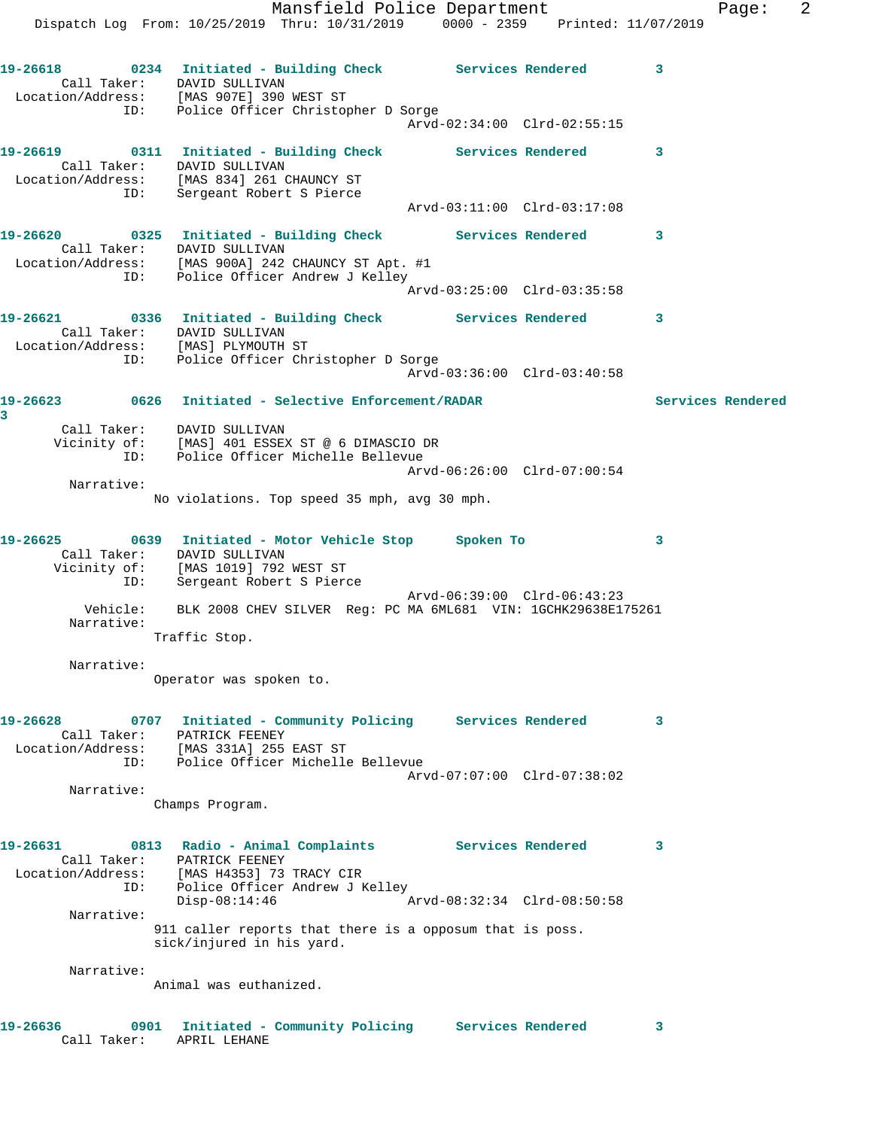Mansfield Police Department Fage: 2 Dispatch Log From: 10/25/2019 Thru: 10/31/2019 0000 - 2359 Printed: 11/07/2019 **19-26618 0234 Initiated - Building Check Services Rendered 3**  Call Taker: DAVID SULLIVAN Location/Address: [MAS 907E] 390 WEST ST ID: Police Officer Christopher D Sorge Arvd-02:34:00 Clrd-02:55:15 **19-26619 0311 Initiated - Building Check Services Rendered 3**  Call Taker: DAVID SULLIVAN Location/Address: [MAS 834] 261 CHAUNCY ST ID: Sergeant Robert S Pierce Arvd-03:11:00 Clrd-03:17:08 **19-26620 0325 Initiated - Building Check Services Rendered 3**  Call Taker: DAVID SULLIVAN Location/Address: [MAS 900A] 242 CHAUNCY ST Apt. #1 ID: Police Officer Andrew J Kelley Arvd-03:25:00 Clrd-03:35:58 **19-26621 0336 Initiated - Building Check Services Rendered 3**  Call Taker: DAVID SULLIVAN Location/Address: [MAS] PLYMOUTH ST ID: Police Officer Christopher D Sorge Arvd-03:36:00 Clrd-03:40:58 **19-26623 0626 Initiated - Selective Enforcement/RADAR Services Rendered 3**  Call Taker: DAVID SULLIVAN Vicinity of: [MAS] 401 ESSEX ST @ 6 DIMASCIO DR ID: Police Officer Michelle Bellevue Arvd-06:26:00 Clrd-07:00:54 Narrative: No violations. Top speed 35 mph, avg 30 mph. **19-26625 0639 Initiated - Motor Vehicle Stop Spoken To 3**  Call Taker: DAVID SULLIVAN Vicinity of: [MAS 1019] 792 WEST ST ID: Sergeant Robert S Pierce Arvd-06:39:00 Clrd-06:43:23 Vehicle: BLK 2008 CHEV SILVER Reg: PC MA 6ML681 VIN: 1GCHK29638E175261 Narrative: Traffic Stop. Narrative: Operator was spoken to. **19-26628 0707 Initiated - Community Policing Services Rendered 3**  Call Taker: PATRICK FEENEY Location/Address: [MAS 331A] 255 EAST ST ID: Police Officer Michelle Bellevue Arvd-07:07:00 Clrd-07:38:02 Narrative: Champs Program. **19-26631 0813 Radio - Animal Complaints Services Rendered 3**  Call Taker: PATRICK FEENEY Location/Address: [MAS H4353] 73 TRACY CIR ID: Police Officer Andrew J Kelley Disp-08:14:46 Arvd-08:32:34 Clrd-08:50:58 Narrative: 911 caller reports that there is a opposum that is poss. sick/injured in his yard. Narrative: Animal was euthanized. **19-26636 0901 Initiated - Community Policing Services Rendered 3** 

Call Taker: APRIL LEHANE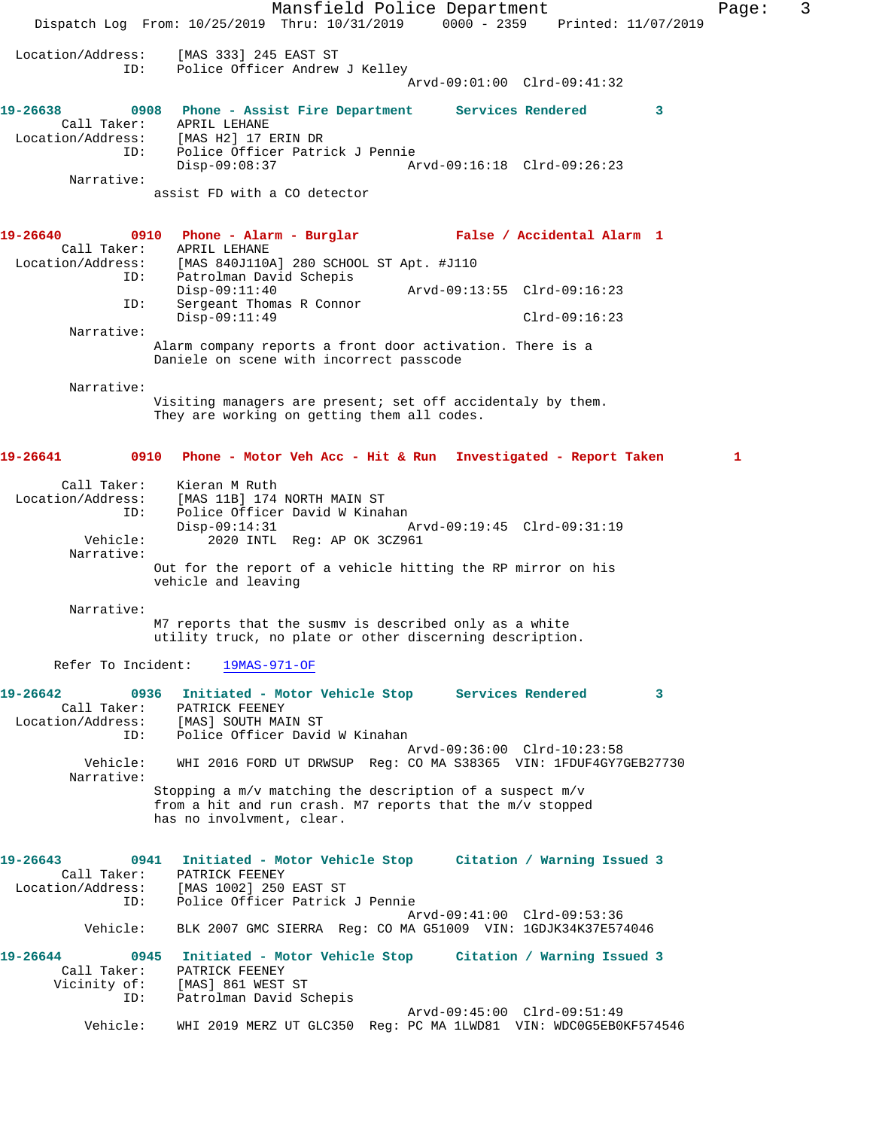Mansfield Police Department Fage: 3 Dispatch Log From: 10/25/2019 Thru: 10/31/2019 0000 - 2359 Printed: 11/07/2019 Location/Address: [MAS 333] 245 EAST ST ID: Police Officer Andrew J Kelley Arvd-09:01:00 Clrd-09:41:32 **19-26638 0908 Phone - Assist Fire Department Services Rendered 3**  Call Taker: APRIL LEHANE Location/Address: [MAS H2] 17 ERIN DR ID: Police Officer Patrick J Pennie Disp-09:08:37 Arvd-09:16:18 Clrd-09:26:23 Narrative: assist FD with a CO detector **19-26640 0910 Phone - Alarm - Burglar False / Accidental Alarm 1**  Call Taker: APRIL LEHANE<br>Location/Address: [MAS 840J1102 Location/Address: [MAS 840J110A] 280 SCHOOL ST Apt. #J110 ID: Patrolman David Schepis Disp-09:11:40 Arvd-09:13:55 Clrd-09:16:23 ID: Sergeant Thomas R Connor Disp-09:11:49 Clrd-09:16:23 Narrative: Alarm company reports a front door activation. There is a Daniele on scene with incorrect passcode Narrative: Visiting managers are present; set off accidentaly by them. They are working on getting them all codes. **19-26641 0910 Phone - Motor Veh Acc - Hit & Run Investigated - Report Taken 1** Call Taker: Kieran M Ruth Location/Address: [MAS 11B] 174 NORTH MAIN ST ID: Police Officer David W Kinahan Disp-09:14:31 Arvd-09:19:45 Clrd-09:31:19 Vehicle: 2020 INTL Reg: AP OK 3CZ961 Narrative: Out for the report of a vehicle hitting the RP mirror on his vehicle and leaving Narrative: M7 reports that the susmv is described only as a white utility truck, no plate or other discerning description. Refer To Incident: 19MAS-971-OF **19-26642 0936 Initiated - Motor Vehicle Stop Services Rendered 3**  Call Taker: PATRICK FEENEY Location/Address: [MAS] SOUTH MAIN ST ID: Police Officer David W Kinahan Arvd-09:36:00 Clrd-10:23:58 Vehicle: WHI 2016 FORD UT DRWSUP Reg: CO MA S38365 VIN: 1FDUF4GY7GEB27730 Narrative: Stopping a m/v matching the description of a suspect m/v from a hit and run crash. M7 reports that the m/v stopped has no involvment, clear. **19-26643 0941 Initiated - Motor Vehicle Stop Citation / Warning Issued 3**  Call Taker: PATRICK FEENEY<br>Location/Address: [MAS 1002] 250 [MAS 1002] 250 EAST ST ID: Police Officer Patrick J Pennie Arvd-09:41:00 Clrd-09:53:36 Vehicle: BLK 2007 GMC SIERRA Reg: CO MA G51009 VIN: 1GDJK34K37E574046 **19-26644 0945 Initiated - Motor Vehicle Stop Citation / Warning Issued 3**  Call Taker: PATRICK FEENEY Vicinity of: [MAS] 861 WEST ST ID: Patrolman David Schepis Arvd-09:45:00 Clrd-09:51:49 Vehicle: WHI 2019 MERZ UT GLC350 Reg: PC MA 1LWD81 VIN: WDC0G5EB0KF574546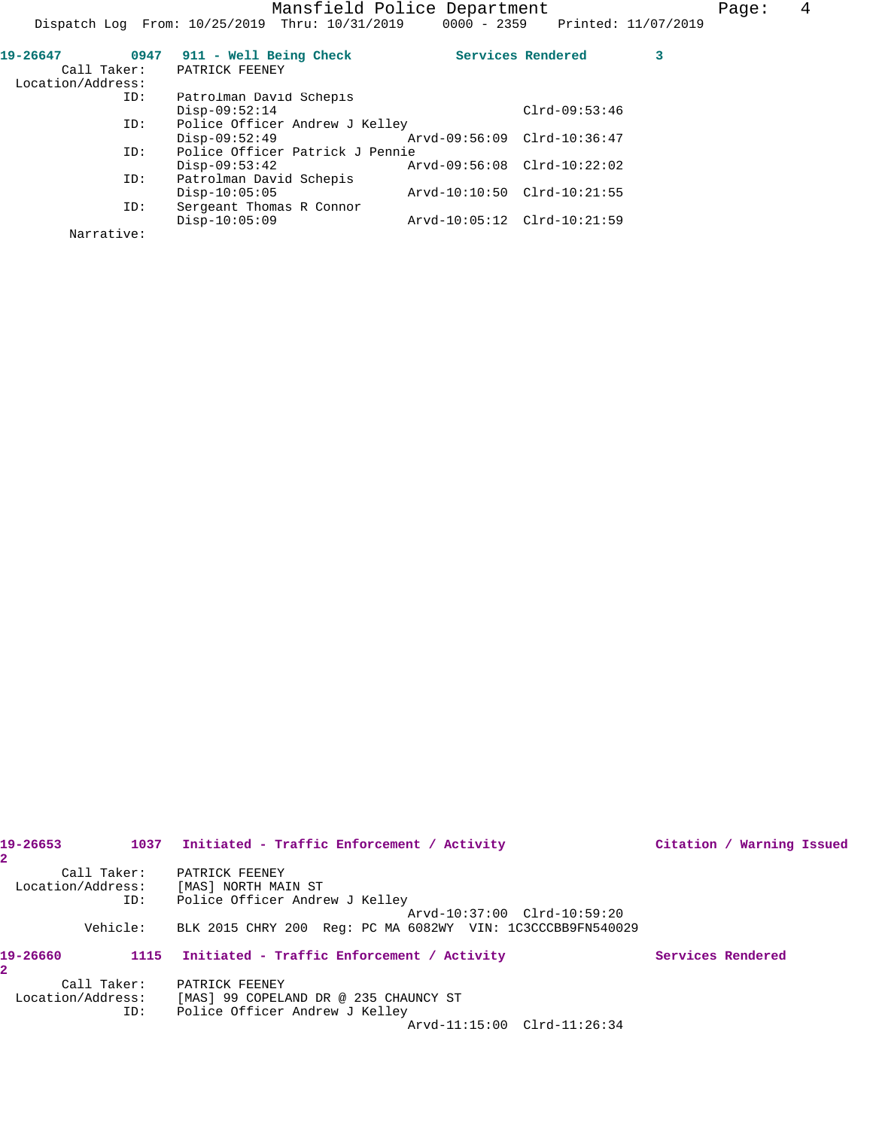| 19-26647<br>0947<br>Call Taker: | 911 - Well Being Check<br>PATRICK FEENEY |                             | Services Rendered |  |
|---------------------------------|------------------------------------------|-----------------------------|-------------------|--|
| Location/Address:               |                                          |                             |                   |  |
| ID:                             | Patrolman David Schepis                  |                             |                   |  |
|                                 | $Disp-09:52:14$                          |                             | $Clrd-09:53:46$   |  |
| ID:                             | Police Officer Andrew J Kelley           |                             |                   |  |
|                                 | $Disp-09:52:49$                          | Arvd-09:56:09 Clrd-10:36:47 |                   |  |
| ID:                             | Police Officer Patrick J Pennie          |                             |                   |  |
|                                 | $Disp-09:53:42$                          | Arvd-09:56:08 Clrd-10:22:02 |                   |  |
| ID:                             | Patrolman David Schepis                  |                             |                   |  |
|                                 | $Disp-10:05:05$                          | Arvd-10:10:50 Clrd-10:21:55 |                   |  |
| ID:                             | Sergeant Thomas R Connor                 |                             |                   |  |
|                                 | $Disp-10:05:09$                          | Arvd-10:05:12 Clrd-10:21:59 |                   |  |
| Narrative:                      |                                          |                             |                   |  |

| 19-26653<br>2.    |             | 1037 Initiated - Traffic Enforcement / Activity            | Citation / Warning Issued |  |
|-------------------|-------------|------------------------------------------------------------|---------------------------|--|
|                   | Call Taker: | PATRICK FEENEY                                             |                           |  |
| Location/Address: |             | [MAS] NORTH MAIN ST                                        |                           |  |
|                   | ID:         | Police Officer Andrew J Kelley                             |                           |  |
|                   |             | Arvd-10:37:00 Clrd-10:59:20                                |                           |  |
|                   | Vehicle:    | BLK 2015 CHRY 200 Req: PC MA 6082WY VIN: 1C3CCCBB9FN540029 |                           |  |
| 19-26660<br>2.    |             | 1115 Initiated - Traffic Enforcement / Activity            | Services Rendered         |  |
|                   | Call Taker: | PATRICK FEENEY                                             |                           |  |
| Location/Address: |             | [MAS] 99 COPELAND DR @ 235 CHAUNCY ST                      |                           |  |
|                   | ID:         | Police Officer Andrew J Kelley                             |                           |  |
|                   |             | Arvd-11:15:00 Clrd-11:26:34                                |                           |  |
|                   |             |                                                            |                           |  |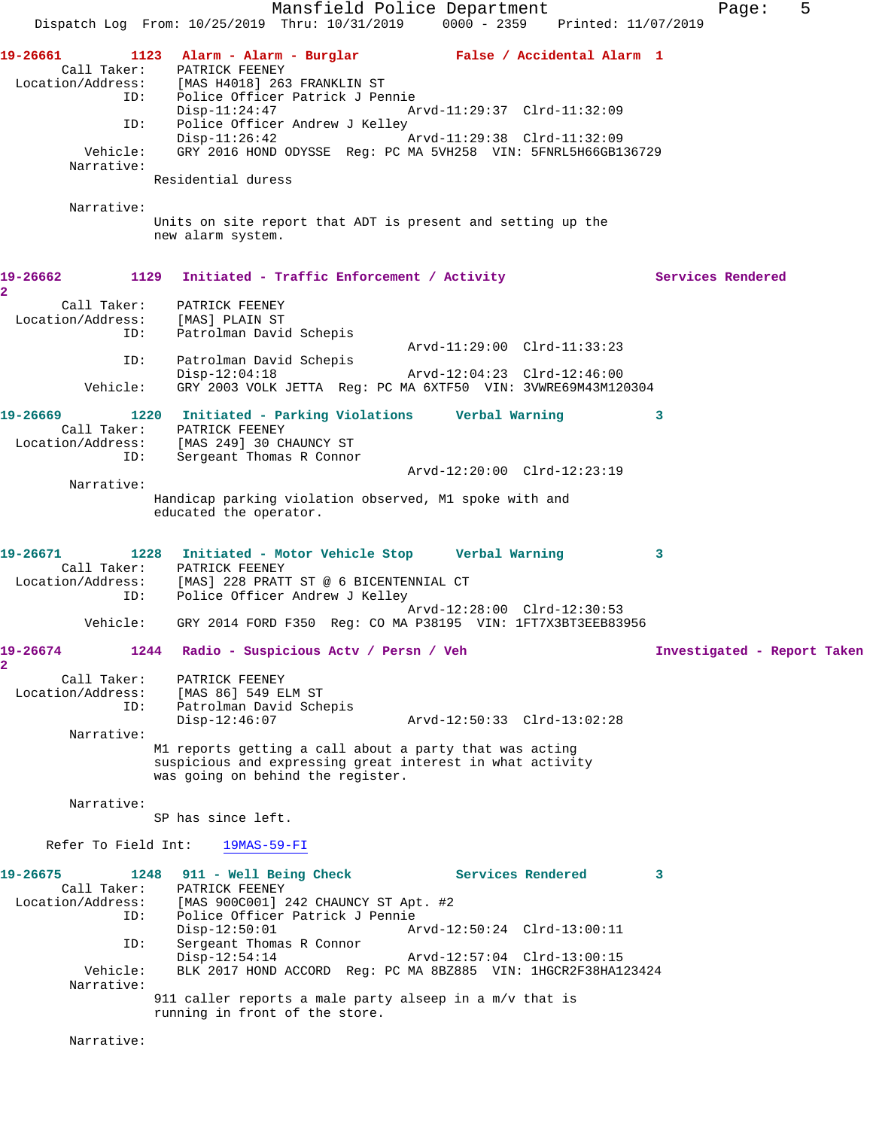Mansfield Police Department Fage: 5 Dispatch Log From: 10/25/2019 Thru: 10/31/2019 0000 - 2359 Printed: 11/07/2019 **19-26661 1123 Alarm - Alarm - Burglar False / Accidental Alarm 1**  Call Taker: PATRICK FEENEY<br>Location/Address: [MAS H4018] 263 Location/Address: [MAS H4018] 263 FRANKLIN ST Police Officer Patrick J Pennie Disp-11:24:47 Arvd-11:29:37 Clrd-11:32:09 ID: Police Officer Andrew J Kelley<br>Disp-11:26:42 Arvd-11:29:38 Clrd-11:32:09  $Disp-11:26:42$  Vehicle: GRY 2016 HOND ODYSSE Reg: PC MA 5VH258 VIN: 5FNRL5H66GB136729 Narrative: Residential duress Narrative: Units on site report that ADT is present and setting up the new alarm system. 19-26662 1129 Initiated - Traffic Enforcement / Activity **Services Rendered 2**  Call Taker: PATRICK FEENEY Location/Address: [MAS] PLAIN ST ID: Patrolman David Schepis Arvd-11:29:00 Clrd-11:33:23 ID: Patrolman David Schepis Disp-12:04:18 Arvd-12:04:23 Clrd-12:46:00 Vehicle: GRY 2003 VOLK JETTA Reg: PC MA 6XTF50 VIN: 3VWRE69M43M120304 **19-26669 1220 Initiated - Parking Violations Verbal Warning 3**  Call Taker: PATRICK FEENEY Location/Address: [MAS 249] 30 CHAUNCY ST ID: Sergeant Thomas R Connor Arvd-12:20:00 Clrd-12:23:19 Narrative: Handicap parking violation observed, M1 spoke with and educated the operator. **19-26671 1228 Initiated - Motor Vehicle Stop Verbal Warning 3**  Call Taker: PATRICK FEENEY Location/Address: [MAS] 228 PRATT ST @ 6 BICENTENNIAL CT ID: Police Officer Andrew J Kelley Arvd-12:28:00 Clrd-12:30:53 Vehicle: GRY 2014 FORD F350 Reg: CO MA P38195 VIN: 1FT7X3BT3EEB83956 **19-26674 1244 Radio - Suspicious Actv / Persn / Veh Investigated - Report Taken 2**  Call Taker: PATRICK FEENEY Location/Address: [MAS 86] 549 ELM ST ID: Patrolman David Schepis Disp-12:46:07 Arvd-12:50:33 Clrd-13:02:28 Narrative: M1 reports getting a call about a party that was acting suspicious and expressing great interest in what activity was going on behind the register. Narrative: SP has since left. Refer To Field Int: 19MAS-59-FI **19-26675 1248 911 - Well Being Check Services Rendered 3**  Call Taker: PATRICK FEENEY<br>Location/Address: [MAS 900C001] 2 ess: [MAS 900C001] 242 CHAUNCY ST Apt. #2<br>ID: Police Officer Patrick J Pennie Police Officer Patrick J Pennie Disp-12:50:01 Arvd-12:50:24 Clrd-13:00:11 ID: Sergeant Thomas R Connor<br>Disp-12:54:14 Disp-12:54:14 Arvd-12:57:04 Clrd-13:00:15<br>Vehicle: BLK 2017 HOND ACCORD Reg: PC MA 8BZ885 VIN: 1HGCR2F38HA1 BLK 2017 HOND ACCORD Reg: PC MA 8BZ885 VIN: 1HGCR2F38HA123424 Narrative: 911 caller reports a male party alseep in a m/v that is running in front of the store. Narrative: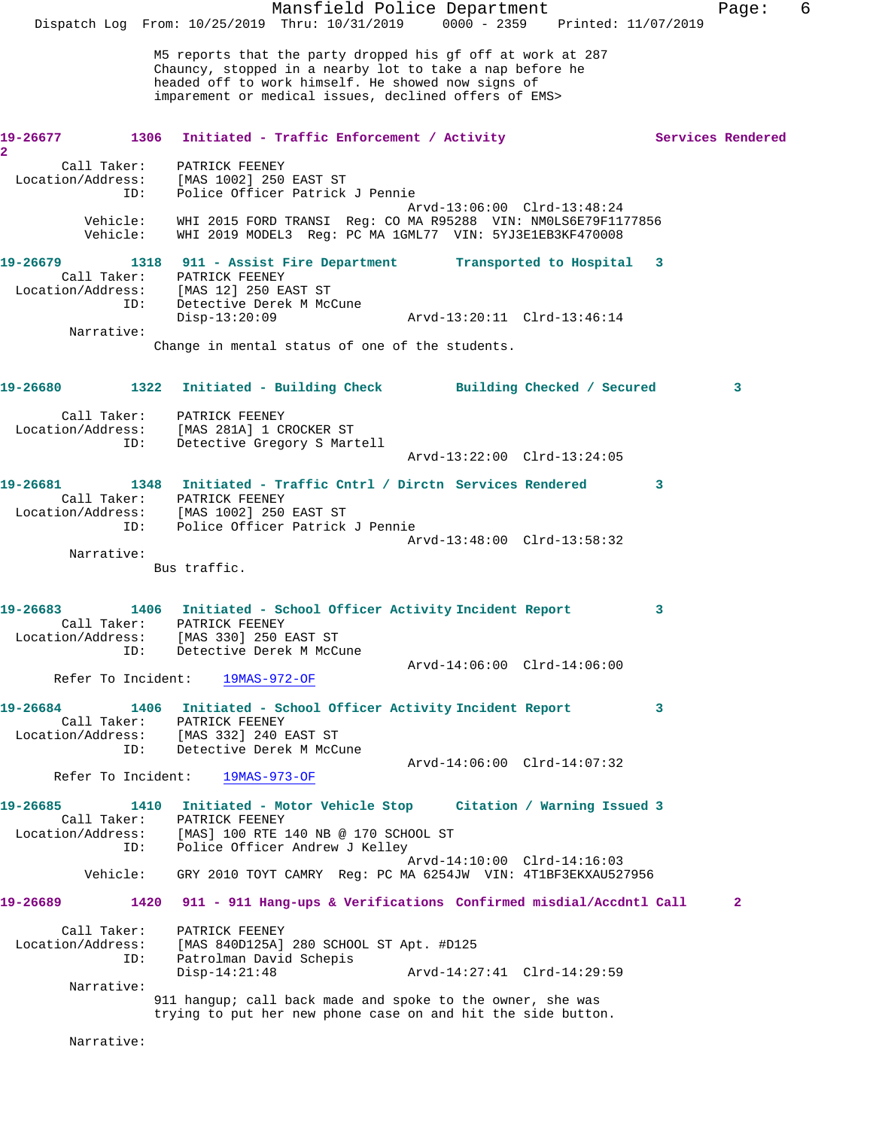|                                                                    |                 |                                                                                 | Mansfield Police Department<br>Dispatch Log From: 10/25/2019 Thru: 10/31/2019 0000 - 2359 Printed: 11/07/2019                                                                                                                          |                             |                           |   | Page:             | 6 |
|--------------------------------------------------------------------|-----------------|---------------------------------------------------------------------------------|----------------------------------------------------------------------------------------------------------------------------------------------------------------------------------------------------------------------------------------|-----------------------------|---------------------------|---|-------------------|---|
|                                                                    |                 |                                                                                 | M5 reports that the party dropped his gf off at work at 287<br>Chauncy, stopped in a nearby lot to take a nap before he<br>headed off to work himself. He showed now signs of<br>imparement or medical issues, declined offers of EMS> |                             |                           |   |                   |   |
| 19-26677<br>$\overline{\mathbf{2}}$                                |                 |                                                                                 | 1306 Initiated - Traffic Enforcement / Activity                                                                                                                                                                                        |                             |                           |   | Services Rendered |   |
| Call Taker:<br>Location/Address:                                   | ID:             | PATRICK FEENEY<br>[MAS 1002] 250 EAST ST                                        | Police Officer Patrick J Pennie                                                                                                                                                                                                        | Arvd-13:06:00 Clrd-13:48:24 |                           |   |                   |   |
| Vehicle:<br>Vehicle:                                               |                 |                                                                                 | WHI 2015 FORD TRANSI Reg: CO MA R95288 VIN: NM0LS6E79F1177856<br>WHI 2019 MODEL3 Reg: PC MA 1GML77 VIN: 5YJ3E1EB3KF470008                                                                                                              |                             |                           |   |                   |   |
| 19-26679<br>Location/Address:                                      | ID:             | Call Taker: PATRICK FEENEY<br>[MAS 12] 250 EAST ST<br>Detective Derek M McCune  | 1318 911 - Assist Fire Department                                                                                                                                                                                                      |                             | Transported to Hospital 3 |   |                   |   |
| Narrative:                                                         |                 | $Disp-13:20:09$                                                                 |                                                                                                                                                                                                                                        | Arvd-13:20:11 Clrd-13:46:14 |                           |   |                   |   |
|                                                                    |                 |                                                                                 | Change in mental status of one of the students.                                                                                                                                                                                        |                             |                           |   |                   |   |
| 19-26680                                                           |                 |                                                                                 | 1322 Initiated - Building Check Building Checked / Secured                                                                                                                                                                             |                             |                           |   | 3                 |   |
| Location/Address:                                                  | ID:             | Call Taker: PATRICK FEENEY<br>[MAS 281A] 1 CROCKER ST                           | Detective Gregory S Martell                                                                                                                                                                                                            |                             |                           |   |                   |   |
|                                                                    |                 |                                                                                 |                                                                                                                                                                                                                                        | Arvd-13:22:00 Clrd-13:24:05 |                           |   |                   |   |
| 19-26681                                                           |                 |                                                                                 | 1348 Initiated - Traffic Cntrl / Dirctn Services Rendered                                                                                                                                                                              |                             |                           | 3 |                   |   |
| Location/Address: [MAS 1002] 250 EAST ST                           |                 | Call Taker: PATRICK FEENEY                                                      |                                                                                                                                                                                                                                        |                             |                           |   |                   |   |
|                                                                    | ID:             |                                                                                 | Police Officer Patrick J Pennie                                                                                                                                                                                                        |                             |                           |   |                   |   |
| Narrative:                                                         |                 |                                                                                 |                                                                                                                                                                                                                                        | Arvd-13:48:00 Clrd-13:58:32 |                           |   |                   |   |
|                                                                    |                 | Bus traffic.                                                                    |                                                                                                                                                                                                                                        |                             |                           |   |                   |   |
| 19-26683<br>Call Taker:<br>Location/Address: [MAS 330] 250 EAST ST |                 | PATRICK FEENEY                                                                  | 1406 Initiated - School Officer Activity Incident Report                                                                                                                                                                               |                             |                           | 3 |                   |   |
|                                                                    | ID:             | Detective Derek M McCune                                                        |                                                                                                                                                                                                                                        | Arvd-14:06:00 Clrd-14:06:00 |                           |   |                   |   |
| Refer To Incident:                                                 |                 | 19MAS-972-OF                                                                    |                                                                                                                                                                                                                                        |                             |                           |   |                   |   |
| 19-26684<br>Location/Address:                                      | ID:             | Call Taker: PATRICK FEENEY<br>[MAS 332] 240 EAST ST<br>Detective Derek M McCune | 1406 Initiated - School Officer Activity Incident Report                                                                                                                                                                               |                             |                           | 3 |                   |   |
|                                                                    |                 |                                                                                 |                                                                                                                                                                                                                                        | Arvd-14:06:00 Clrd-14:07:32 |                           |   |                   |   |
| Refer To Incident:                                                 |                 | 19MAS-973-OF                                                                    |                                                                                                                                                                                                                                        |                             |                           |   |                   |   |
| 19-26685<br>Call Taker:                                            |                 | PATRICK FEENEY                                                                  | 1410 Initiated - Motor Vehicle Stop Citation / Warning Issued 3<br>Location/Address: [MAS] 100 RTE 140 NB @ 170 SCHOOL ST                                                                                                              |                             |                           |   |                   |   |
|                                                                    | ID:<br>Vehicle: |                                                                                 | Police Officer Andrew J Kelley<br>GRY 2010 TOYT CAMRY Req: PC MA 6254JW VIN: 4T1BF3EKXAU527956                                                                                                                                         | Arvd-14:10:00 Clrd-14:16:03 |                           |   |                   |   |
| 19-26689                                                           |                 |                                                                                 | 1420 911 - 911 Hang-ups & Verifications Confirmed misdial/Accdntl Call                                                                                                                                                                 |                             |                           |   | $\overline{a}$    |   |
| Call Taker:<br>Location/Address:                                   |                 | PATRICK FEENEY                                                                  | [MAS 840D125A] 280 SCHOOL ST Apt. #D125                                                                                                                                                                                                |                             |                           |   |                   |   |
|                                                                    | ID:             | Patrolman David Schepis<br>$Disp-14:21:48$                                      |                                                                                                                                                                                                                                        | Arvd-14:27:41 Clrd-14:29:59 |                           |   |                   |   |
| Narrative:                                                         |                 |                                                                                 |                                                                                                                                                                                                                                        |                             |                           |   |                   |   |
|                                                                    |                 |                                                                                 | 911 hangup; call back made and spoke to the owner, she was<br>trying to put her new phone case on and hit the side button.                                                                                                             |                             |                           |   |                   |   |
| Narrative:                                                         |                 |                                                                                 |                                                                                                                                                                                                                                        |                             |                           |   |                   |   |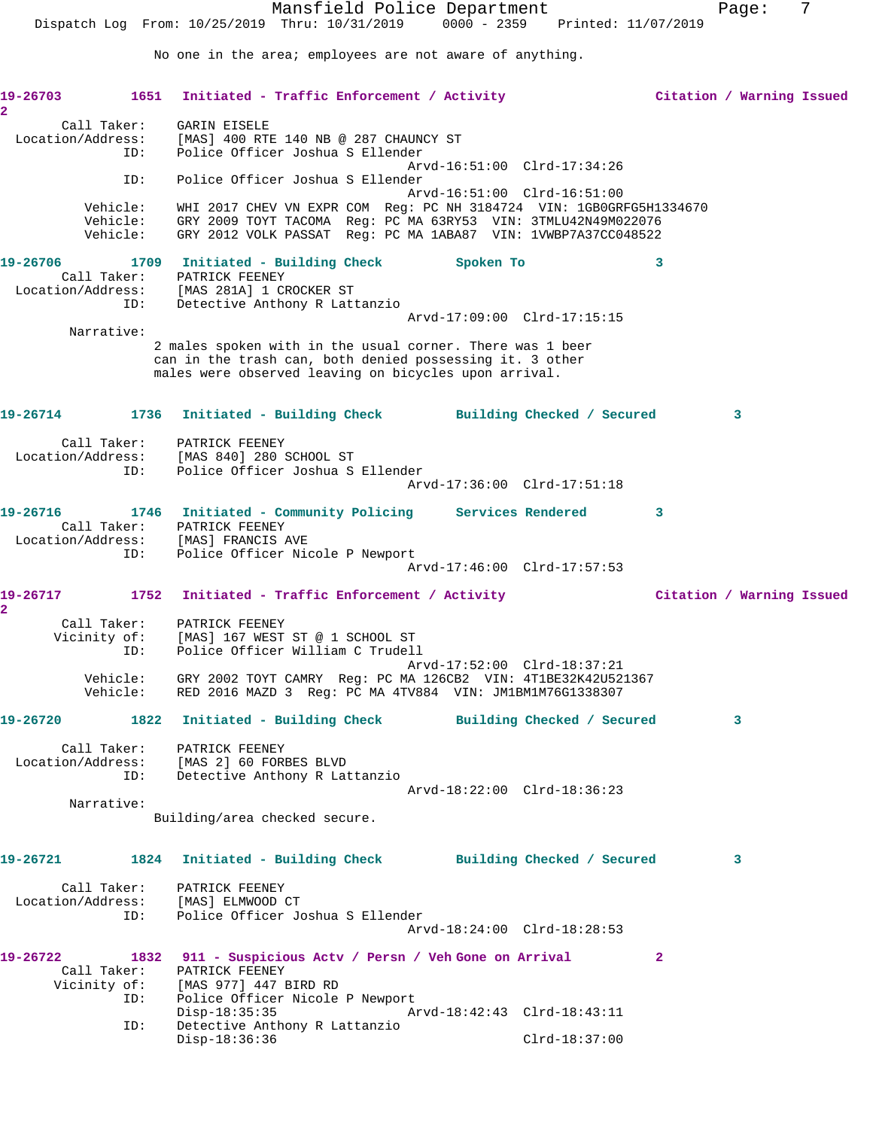Mansfield Police Department Fage: 7 Dispatch Log From: 10/25/2019 Thru: 10/31/2019 0000 - 2359 Printed: 11/07/2019 No one in the area; employees are not aware of anything. **19-26703 1651 Initiated - Traffic Enforcement / Activity Citation / Warning Issued 2**  Call Taker: GARIN EISELE Location/Address: [MAS] 400 RTE 140 NB @ 287 CHAUNCY ST ID: Police Officer Joshua S Ellender Arvd-16:51:00 Clrd-17:34:26 ID: Police Officer Joshua S Ellender Arvd-16:51:00 Clrd-16:51:00 Vehicle: WHI 2017 CHEV VN EXPR COM Reg: PC NH 3184724 VIN: 1GB0GRFG5H1334670 Vehicle: GRY 2009 TOYT TACOMA Reg: PC MA 63RY53 VIN: 3TMLU42N49M022076 Vehicle: GRY 2012 VOLK PASSAT Reg: PC MA 1ABA87 VIN: 1VWBP7A37CC048522 **19-26706 1709 Initiated - Building Check Spoken To 3**  Call Taker: PATRICK FEENEY Location/Address: [MAS 281A] 1 CROCKER ST ID: Detective Anthony R Lattanzio Arvd-17:09:00 Clrd-17:15:15 Narrative: 2 males spoken with in the usual corner. There was 1 beer can in the trash can, both denied possessing it. 3 other males were observed leaving on bicycles upon arrival. **19-26714 1736 Initiated - Building Check Building Checked / Secured 3** Call Taker: PATRICK FEENEY Location/Address: [MAS 840] 280 SCHOOL ST ID: Police Officer Joshua S Ellender Arvd-17:36:00 Clrd-17:51:18 **19-26716 1746 Initiated - Community Policing Services Rendered 3**  Call Taker: PATRICK FEENEY Location/Address: [MAS] FRANCIS AVE ID: Police Officer Nicole P Newport Arvd-17:46:00 Clrd-17:57:53 **19-26717 1752 Initiated - Traffic Enforcement / Activity Citation / Warning Issued 2**  Call Taker: PATRICK FEENEY Vicinity of: [MAS] 167 WEST ST @ 1 SCHOOL ST ID: Police Officer William C Trudell Arvd-17:52:00 Clrd-18:37:21 Vehicle: GRY 2002 TOYT CAMRY Reg: PC MA 126CB2 VIN: 4T1BE32K42U521367 Vehicle: RED 2016 MAZD 3 Reg: PC MA 4TV884 VIN: JM1BM1M76G1338307 **19-26720 1822 Initiated - Building Check Building Checked / Secured 3** Call Taker: PATRICK FEENEY Location/Address: [MAS 2] 60 FORBES BLVD ID: Detective Anthony R Lattanzio Arvd-18:22:00 Clrd-18:36:23 Narrative: Building/area checked secure. **19-26721 1824 Initiated - Building Check Building Checked / Secured 3** Call Taker: PATRICK FEENEY Location/Address: [MAS] ELMWOOD CT ID: Police Officer Joshua S Ellender Arvd-18:24:00 Clrd-18:28:53 **19-26722 1832 911 - Suspicious Actv / Persn / Veh Gone on Arrival 2**  Call Taker: PATRICK FEENEY Vicinity of: [MAS 977] 447 BIRD RD ID: Police Officer Nicole P Newport<br>Disp-18:35:35 Az Disp-18:35:35 Arvd-18:42:43 Clrd-18:43:11 ID: Detective Anthony R Lattanzio Disp-18:36:36 Clrd-18:37:00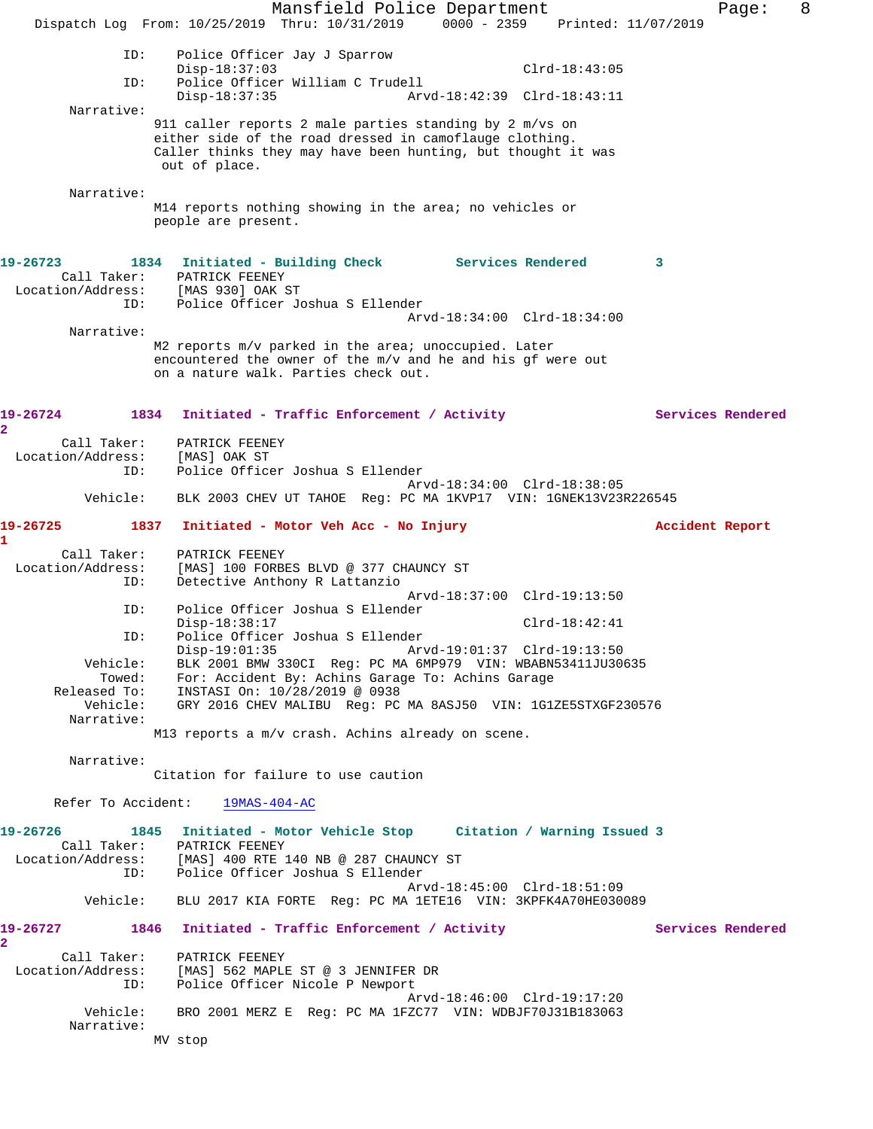Mansfield Police Department Form Page: 8 Dispatch Log From: 10/25/2019 Thru: 10/31/2019 0000 - 2359 Printed: 11/07/2019 ID: Police Officer Jay J Sparrow Disp-18:37:03 Clrd-18:43:05 ID: Police Officer William C Trudell Disp-18:37:35 Arvd-18:42:39 Clrd-18:43:11 Narrative: 911 caller reports 2 male parties standing by 2 m/vs on either side of the road dressed in camoflauge clothing. Caller thinks they may have been hunting, but thought it was out of place. Narrative: M14 reports nothing showing in the area; no vehicles or people are present. **19-26723 1834 Initiated - Building Check Services Rendered 3**  Call Taker: PATRICK FEENEY Location/Address: [MAS 930] OAK ST ID: Police Officer Joshua S Ellender Arvd-18:34:00 Clrd-18:34:00 Narrative: M2 reports m/v parked in the area; unoccupied. Later encountered the owner of the m/v and he and his gf were out on a nature walk. Parties check out. **19-26724 1834 Initiated - Traffic Enforcement / Activity Services Rendered 2**  Call Taker: PATRICK FEENEY Location/Address: [MAS] OAK ST ID: Police Officer Joshua S Ellender Arvd-18:34:00 Clrd-18:38:05 Vehicle: BLK 2003 CHEV UT TAHOE Reg: PC MA 1KVP17 VIN: 1GNEK13V23R226545 **19-26725 1837 Initiated - Motor Veh Acc - No Injury Accident Report 1**  Call Taker: PATRICK FEENEY Location/Address: [MAS] 100 FORBES BLVD @ 377 CHAUNCY ST ID: Detective Anthony R Lattanzio Arvd-18:37:00 Clrd-19:13:50<br>TD: Police Officer Joshua S Ellender Police Officer Joshua S Ellender Disp-18:38:17 Clrd-18:42:41 ID: Police Officer Joshua S Ellender Disp-19:01:35 Arvd-19:01:37 Clrd-19:13:50 Vehicle: BLK 2001 BMW 330CI Reg: PC MA 6MP979 VIN: WBABN53411JU30635 Towed: For: Accident By: Achins Garage To: Achins Garage Released To: INSTASI On: 10/28/2019 @ 0938 Vehicle: GRY 2016 CHEV MALIBU Reg: PC MA 8ASJ50 VIN: 1G1ZE5STXGF230576 Narrative: M13 reports a m/v crash. Achins already on scene. Narrative: Citation for failure to use caution Refer To Accident: 19MAS-404-AC **19-26726 1845 Initiated - Motor Vehicle Stop Citation / Warning Issued 3**  Call Taker: PATRICK FEENEY Location/Address: [MAS] 400 RTE 140 NB @ 287 CHAUNCY ST ID: Police Officer Joshua S Ellender Arvd-18:45:00 Clrd-18:51:09 Vehicle: BLU 2017 KIA FORTE Reg: PC MA 1ETE16 VIN: 3KPFK4A70HE030089 **19-26727 1846 Initiated - Traffic Enforcement / Activity Services Rendered 2**  Call Taker: PATRICK FEENEY Location/Address: [MAS] 562 MAPLE ST @ 3 JENNIFER DR ID: Police Officer Nicole P Newport Arvd-18:46:00 Clrd-19:17:20 Vehicle: BRO 2001 MERZ E Reg: PC MA 1FZC77 VIN: WDBJF70J31B183063 Narrative: MV stop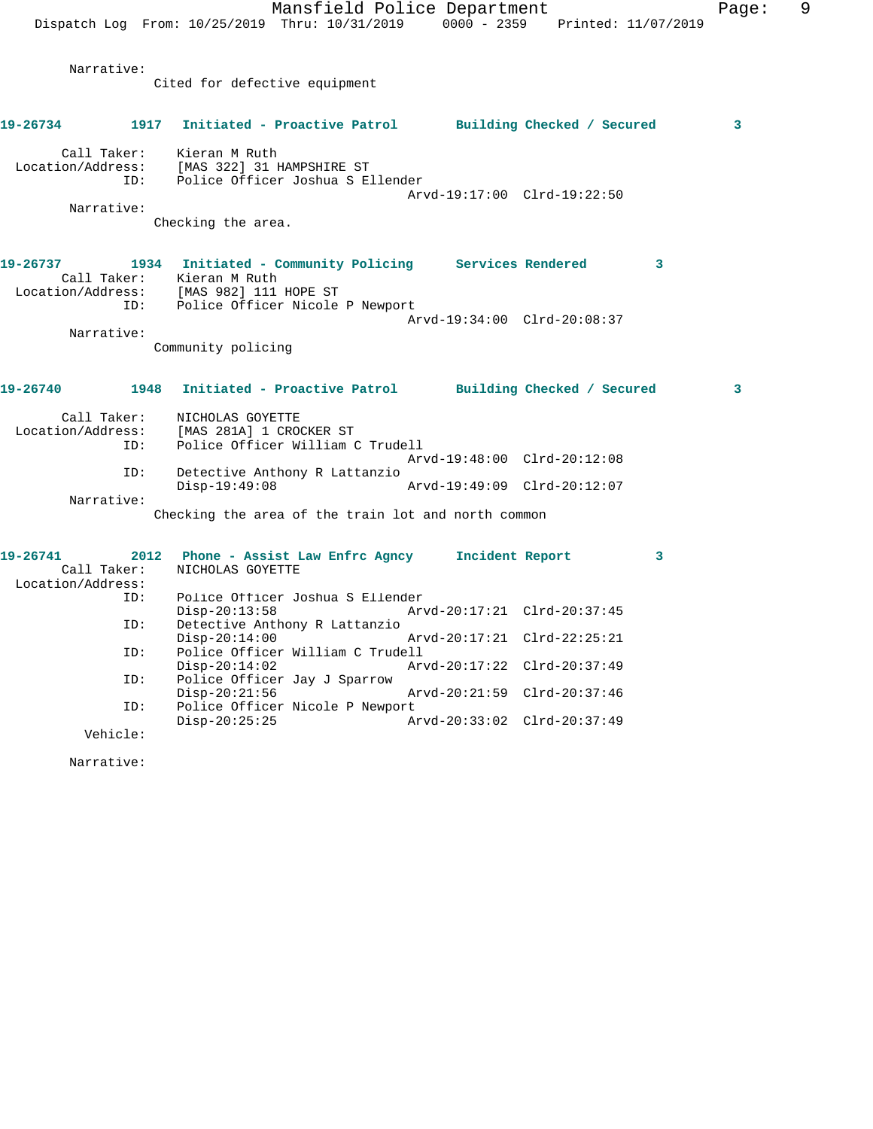Mansfield Police Department Fage: 9 Dispatch Log From: 10/25/2019 Thru: 10/31/2019 0000 - 2359 Printed: 11/07/2019 Narrative: Cited for defective equipment **19-26734 1917 Initiated - Proactive Patrol Building Checked / Secured 3** Call Taker: Kieran M Ruth Location/Address: [MAS 322] 31 HAMPSHIRE ST ID: Police Officer Joshua S Ellender Arvd-19:17:00 Clrd-19:22:50 Narrative: Checking the area. **19-26737 1934 Initiated - Community Policing Services Rendered 3**  Call Taker: Kieran M Ruth Location/Address: [MAS 982] 111 HOPE ST ID: Police Officer Nicole P Newport Arvd-19:34:00 Clrd-20:08:37 Narrative: Community policing **19-26740 1948 Initiated - Proactive Patrol Building Checked / Secured 3** Call Taker: NICHOLAS GOYETTE Location/Address: [MAS 281A] 1 CROCKER ST Police Officer William C Trudell Arvd-19:48:00 Clrd-20:12:08 ID: Detective Anthony R Lattanzio Disp-19:49:08 Arvd-19:49:09 Clrd-20:12:07 Narrative: Checking the area of the train lot and north common **19-26741 2012 Phone - Assist Law Enfrc Agncy Incident Report 3**  Call Taker: NICHOLAS GOYETTE Location/Address: ID: Police Officer Joshua S Ellender Disp-20:13:58 Arvd-20:17:21 Clrd-20:37:45<br>ID: Detective Anthony R Lattanzio Detective Anthony R Lattanzio Disp-20:14:00 Arvd-20:17:21 Clrd-22:25:21 ID: Police Officer William C Trudell Disp-20:14:02 Arvd-20:17:22 Clrd-20:37:49 ID: Police Officer Jay J Sparrow Disp-20:21:56 Arvd-20:21:59 Clrd-20:37:46<br>ID: Police Officer Nicole P Newport Police Officer Nicole P Newport<br>Disp-20:25:25 A Disp-20:25:25 Arvd-20:33:02 Clrd-20:37:49

Vehicle:

Narrative: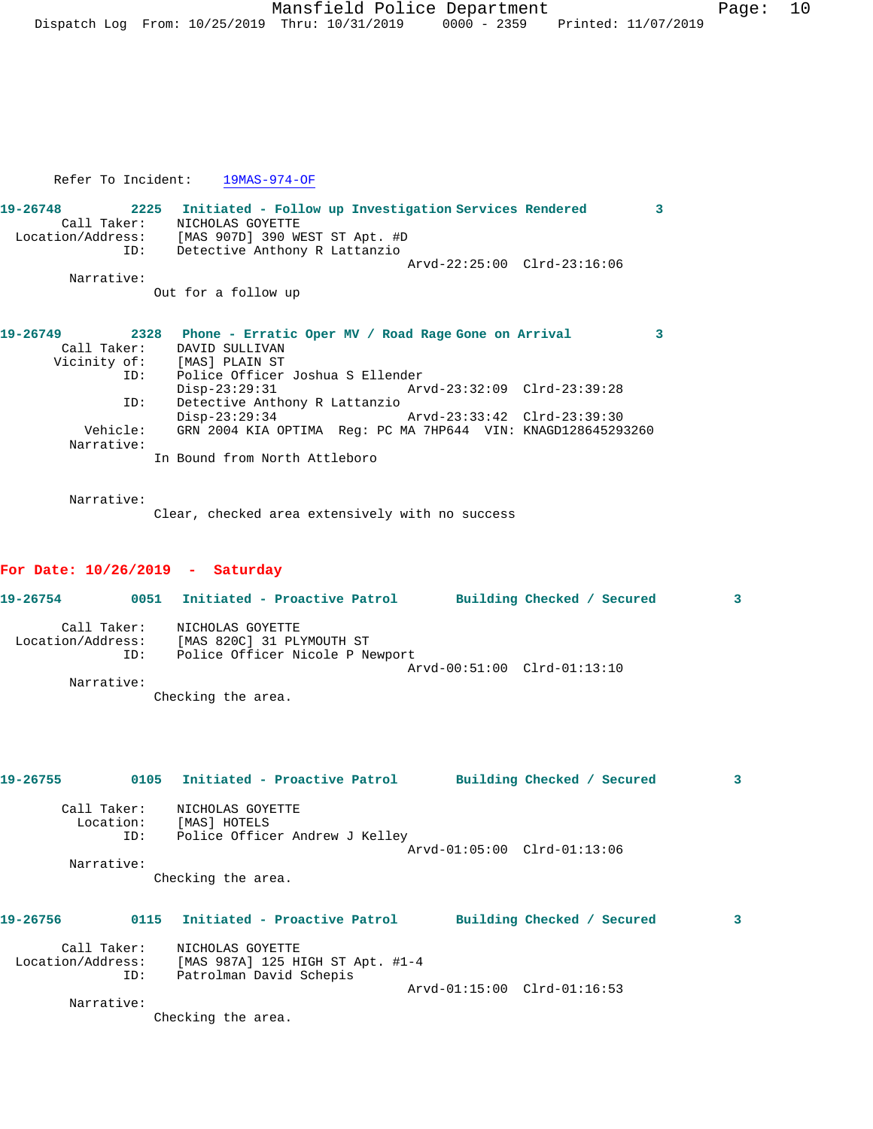Refer To Incident: 19MAS-974-OF

| 19-26748          | 2225 | Initiated - Follow up Investigation Services Rendered |                             |  |
|-------------------|------|-------------------------------------------------------|-----------------------------|--|
| Call Taker:       |      | NICHOLAS GOYETTE                                      |                             |  |
| Location/Address: |      | [MAS 907D] 390 WEST ST Apt. #D                        |                             |  |
|                   | ID:  | Detective Anthony R Lattanzio                         |                             |  |
|                   |      |                                                       | Arvd-22:25:00 Clrd-23:16:06 |  |
| Narrative:        |      |                                                       |                             |  |
|                   |      | Out for a follow up                                   |                             |  |
|                   |      |                                                       |                             |  |
|                   |      |                                                       |                             |  |
| 19-26749          | 2328 | Phone - Erratic Oper MV / Road Rage Gone on Arrival   |                             |  |
| Call Taker:       |      | DAVID SULLIVAN                                        |                             |  |
|                   |      | Vicinity of: [MAS] PLAIN ST                           |                             |  |
|                   | ID:  | Police Officer Joshua S Ellender                      |                             |  |
|                   |      | $Disp-23:29:31$                                       | Arvd-23:32:09 Clrd-23:39:28 |  |
|                   | ID:  | Detective Anthony R Lattanzio                         |                             |  |

 Disp-23:29:34 Arvd-23:33:42 Clrd-23:39:30 Vehicle: GRN 2004 KIA OPTIMA Reg: PC MA 7HP644 VIN: KNAGD128645293260 Narrative:

In Bound from North Attleboro

Narrative:

Clear, checked area extensively with no success

## **For Date: 10/26/2019 - Saturday**

| 19-26754                         | 0051 | Initiated - Proactive Patrol                  |  | Building Checked / Secured  | 3 |
|----------------------------------|------|-----------------------------------------------|--|-----------------------------|---|
| Call Taker:<br>Location/Address: |      | NICHOLAS GOYETTE<br>[MAS 820C] 31 PLYMOUTH ST |  |                             |   |
|                                  |      |                                               |  |                             |   |
|                                  | ID:  | Police Officer Nicole P Newport               |  |                             |   |
|                                  |      |                                               |  | Arvd-00:51:00 Clrd-01:13:10 |   |
| Narrative:                       |      |                                               |  |                             |   |
|                                  |      | Checking the area.                            |  |                             |   |

**19-26755 0105 Initiated - Proactive Patrol Building Checked / Secured 3** Call Taker: NICHOLAS GOYETTE Location: [MAS] HOTELS ID: Police Officer Andrew J Kelley Arvd-01:05:00 Clrd-01:13:06 Narrative: Checking the area. **19-26756 0115 Initiated - Proactive Patrol Building Checked / Secured 3** Call Taker: NICHOLAS GOYETTE Location/Address: [MAS 987A] 125 HIGH ST Apt. #1-4 ID: Patrolman David Schepis

Arvd-01:15:00 Clrd-01:16:53

Narrative:

Checking the area.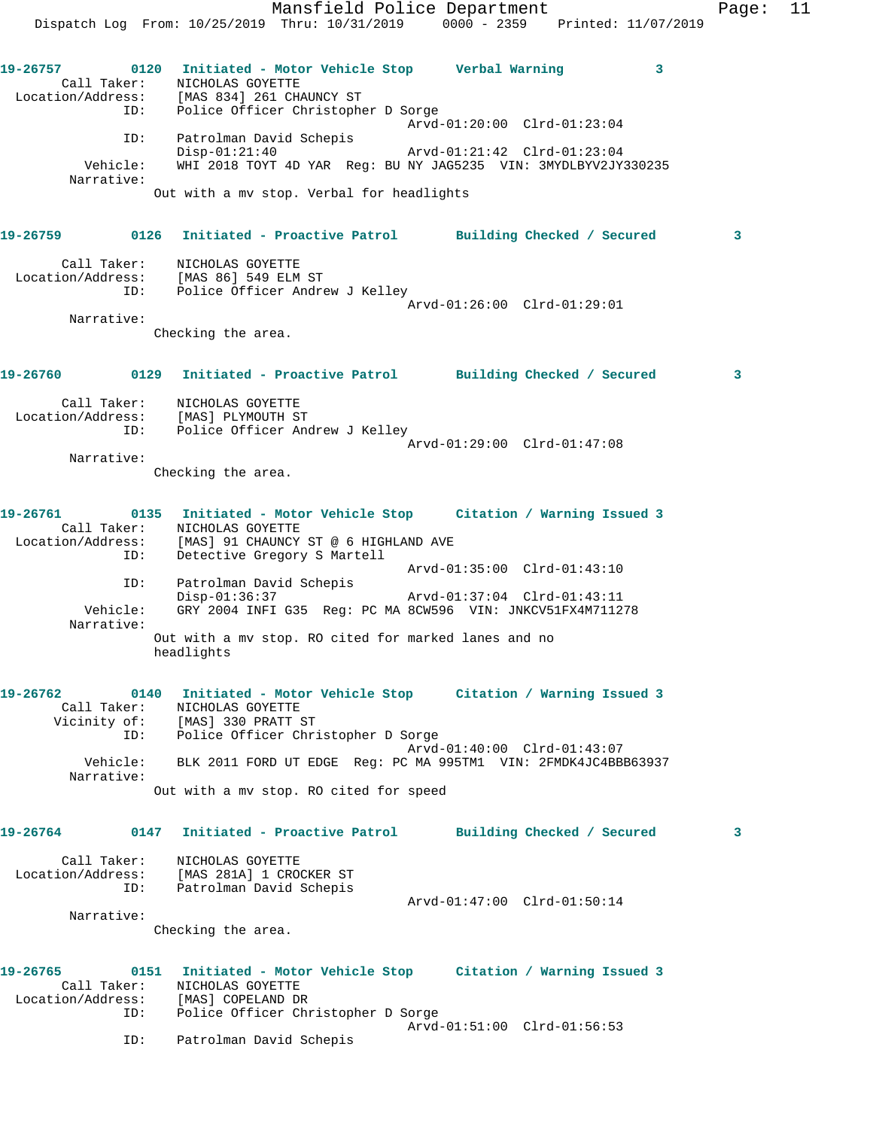Mansfield Police Department Fage: 11 Dispatch Log From: 10/25/2019 Thru: 10/31/2019 0000 - 2359 Printed: 11/07/2019 **19-26757 0120 Initiated - Motor Vehicle Stop Verbal Warning 3**  Call Taker: NICHOLAS GOYETTE Location/Address: [MAS 834] 261 CHAUNCY ST ID: Police Officer Christopher D Sorge Arvd-01:20:00 Clrd-01:23:04 ID: Patrolman David Schepis Disp-01:21:40 Arvd-01:21:42 Clrd-01:23:04 Vehicle: WHI 2018 TOYT 4D YAR Reg: BU NY JAG5235 VIN: 3MYDLBYV2JY330235 Narrative: Out with a mv stop. Verbal for headlights **19-26759 0126 Initiated - Proactive Patrol Building Checked / Secured 3** Call Taker: NICHOLAS GOYETTE Location/Address: [MAS 86] 549 ELM ST ID: Police Officer Andrew J Kelley Arvd-01:26:00 Clrd-01:29:01 Narrative: Checking the area. **19-26760 0129 Initiated - Proactive Patrol Building Checked / Secured 3** Call Taker: NICHOLAS GOYETTE Location/Address: [MAS] PLYMOUTH ST ID: Police Officer Andrew J Kelley Arvd-01:29:00 Clrd-01:47:08 Narrative: Checking the area. **19-26761 0135 Initiated - Motor Vehicle Stop Citation / Warning Issued 3**  Call Taker: NICHOLAS GOYETTE Location/Address: [MAS] 91 CHAUNCY ST @ 6 HIGHLAND AVE ID: Detective Gregory S Martell Arvd-01:35:00 Clrd-01:43:10 ID: Patrolman David Schepis Disp-01:36:37 Arvd-01:37:04 Clrd-01:43:11 Vehicle: GRY 2004 INFI G35 Reg: PC MA 8CW596 VIN: JNKCV51FX4M711278 Narrative: Out with a mv stop. RO cited for marked lanes and no headlights **19-26762 0140 Initiated - Motor Vehicle Stop Citation / Warning Issued 3**  Call Taker: NICHOLAS GOYETTE Vicinity of: [MAS] 330 PRATT ST ID: Police Officer Christopher D Sorge Arvd-01:40:00 Clrd-01:43:07 Vehicle: BLK 2011 FORD UT EDGE Reg: PC MA 995TM1 VIN: 2FMDK4JC4BBB63937 Narrative: Out with a mv stop. RO cited for speed **19-26764 0147 Initiated - Proactive Patrol Building Checked / Secured 3** Call Taker: NICHOLAS GOYETTE Location/Address: [MAS 281A] 1 CROCKER ST ID: Patrolman David Schepis Arvd-01:47:00 Clrd-01:50:14 Narrative: Checking the area. **19-26765 0151 Initiated - Motor Vehicle Stop Citation / Warning Issued 3**  Call Taker: NICHOLAS GOYETTE Location/Address: [MAS] COPELAND DR ID: Police Officer Christopher D Sorge Arvd-01:51:00 Clrd-01:56:53 ID: Patrolman David Schepis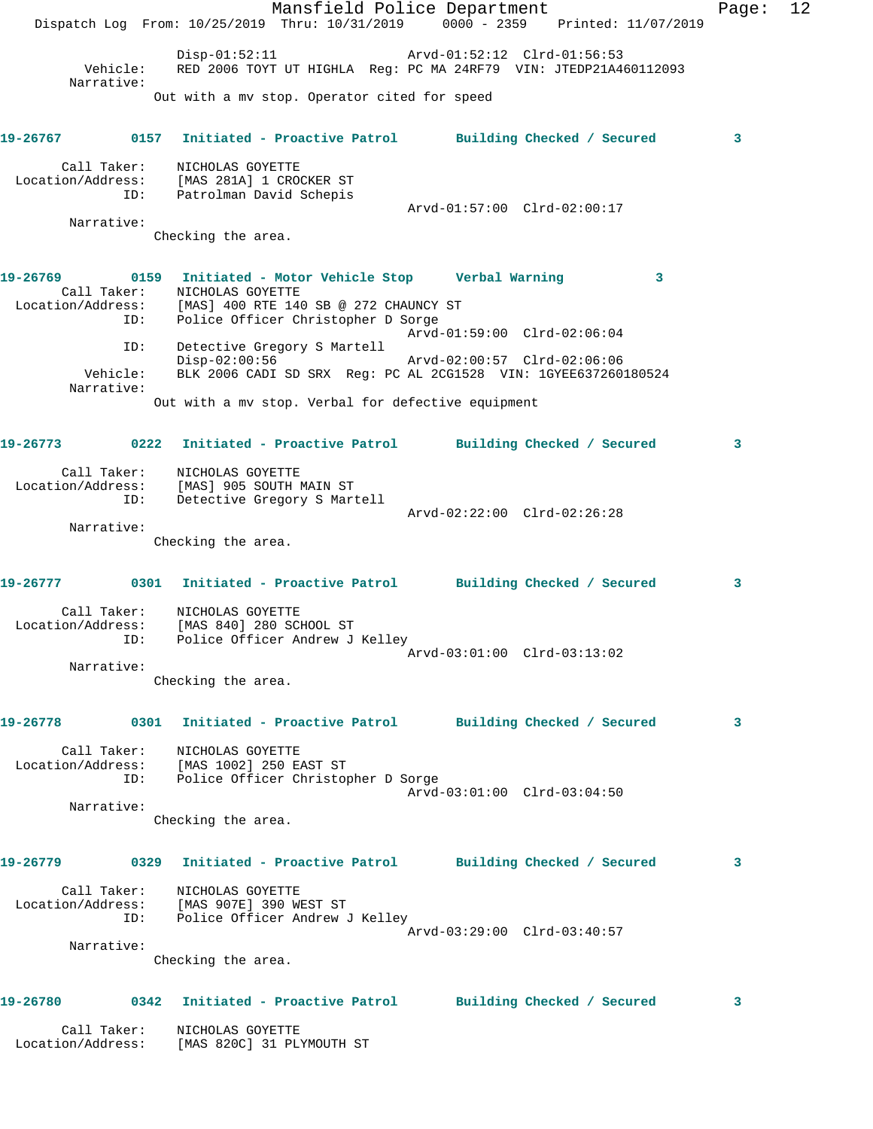Mansfield Police Department Fage: 12 Dispatch Log From: 10/25/2019 Thru: 10/31/2019 0000 - 2359 Printed: 11/07/2019 Disp-01:52:11 Arvd-01:52:12 Clrd-01:56:53 Vehicle: RED 2006 TOYT UT HIGHLA Reg: PC MA 24RF79 VIN: JTEDP21A460112093 Narrative: Out with a mv stop. Operator cited for speed **19-26767 0157 Initiated - Proactive Patrol Building Checked / Secured 3** Call Taker: NICHOLAS GOYETTE Location/Address: [MAS 281A] 1 CROCKER ST ID: Patrolman David Schepis Arvd-01:57:00 Clrd-02:00:17 Narrative: Checking the area. **19-26769 0159 Initiated - Motor Vehicle Stop Verbal Warning 3**  Call Taker: NICHOLAS GOYETTE Location/Address: [MAS] 400 RTE 140 SB @ 272 CHAUNCY ST ID: Police Officer Christopher D Sorge Arvd-01:59:00 Clrd-02:06:04 ID: Detective Gregory S Martell Disp-02:00:56 Arvd-02:00:57 Clrd-02:06:06 Vehicle: BLK 2006 CADI SD SRX Reg: PC AL 2CG1528 VIN: 1GYEE637260180524 Narrative: Out with a mv stop. Verbal for defective equipment **19-26773 0222 Initiated - Proactive Patrol Building Checked / Secured 3** Call Taker: NICHOLAS GOYETTE Location/Address: [MAS] 905 SOUTH MAIN ST ID: Detective Gregory S Martell Arvd-02:22:00 Clrd-02:26:28 Narrative: Checking the area. **19-26777 0301 Initiated - Proactive Patrol Building Checked / Secured 3** Call Taker: NICHOLAS GOYETTE Location/Address: [MAS 840] 280 SCHOOL ST ID: Police Officer Andrew J Kelley Arvd-03:01:00 Clrd-03:13:02 Narrative: Checking the area. **19-26778 0301 Initiated - Proactive Patrol Building Checked / Secured 3** Call Taker: NICHOLAS GOYETTE Location/Address: [MAS 1002] 250 EAST ST ID: Police Officer Christopher D Sorge Arvd-03:01:00 Clrd-03:04:50 Narrative: Checking the area. **19-26779 0329 Initiated - Proactive Patrol Building Checked / Secured 3** Call Taker: NICHOLAS GOYETTE Location/Address: [MAS 907E] 390 WEST ST ID: Police Officer Andrew J Kelley Arvd-03:29:00 Clrd-03:40:57 Narrative: Checking the area. **19-26780 0342 Initiated - Proactive Patrol Building Checked / Secured 3** Call Taker: NICHOLAS GOYETTE Location/Address: [MAS 820C] 31 PLYMOUTH ST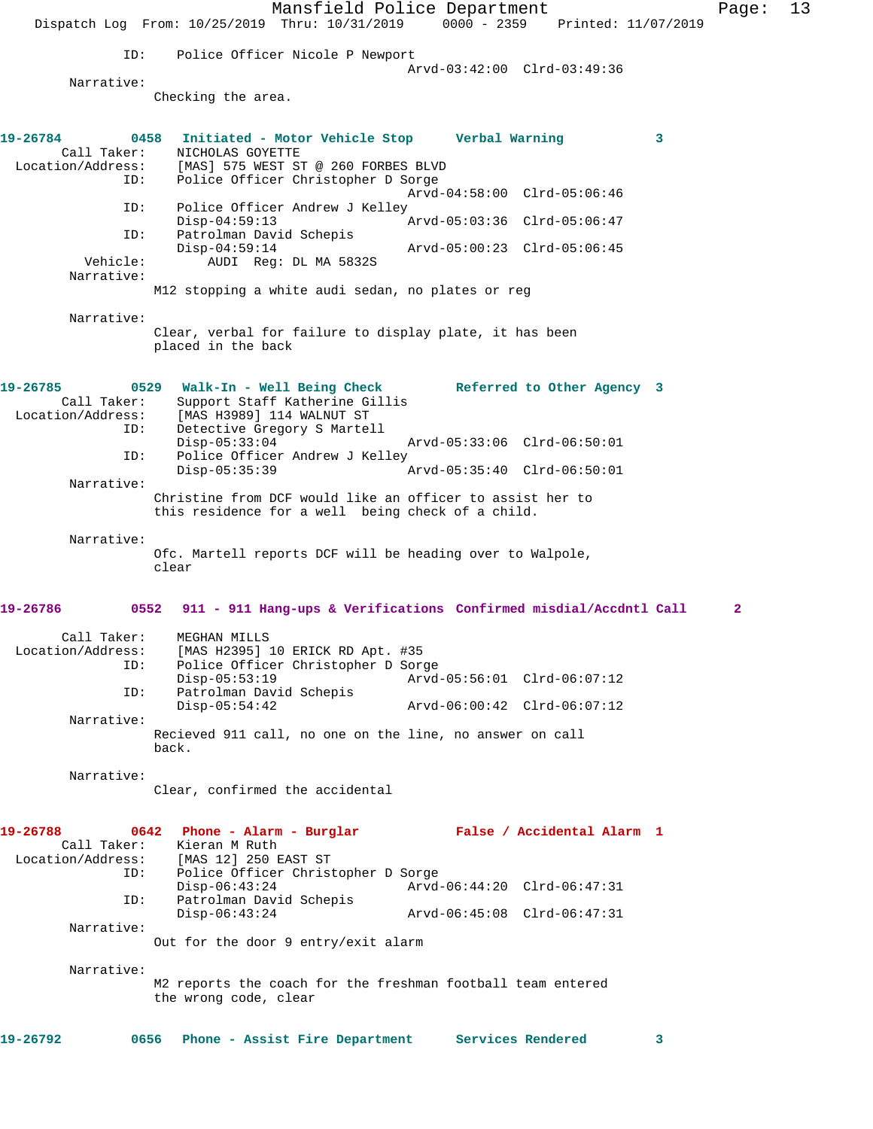Mansfield Police Department Page: 13 Dispatch Log From: 10/25/2019 Thru: 10/31/2019 0000 - 2359 Printed: 11/07/2019 ID: Police Officer Nicole P Newport Arvd-03:42:00 Clrd-03:49:36 Narrative: Checking the area. **19-26784 0458 Initiated - Motor Vehicle Stop Verbal Warning 3**  Call Taker: NICHOLAS GOYETTE<br>Location/Address: [MAS] 575 WEST ST ess: [MAS] 575 WEST ST @ 260 FORBES BLVD<br>ID: Police Officer Christopher D Sorge Police Officer Christopher D Sorge Arvd-04:58:00 Clrd-05:06:46 ID: Police Officer Andrew J Kelley<br>Disp-04:59:13 Disp-04:59:13 Arvd-05:03:36 Clrd-05:06:47 ID: Patrolman David Schepis Disp-04:59:14 Arvd-05:00:23 Clrd-05:06:45 Vehicle: AUDI Reg: DL MA 5832S Narrative: M12 stopping a white audi sedan, no plates or reg Narrative: Clear, verbal for failure to display plate, it has been placed in the back **19-26785 0529 Walk-In - Well Being Check Referred to Other Agency 3**  Call Taker: Support Staff Katherine Gillis<br>Location/Address: [MAS H3989] 114 WALNUT ST ess: [MAS H3989] 114 WALNUT ST<br>ID: Detective Gregory S Martel Detective Gregory S Martell Disp-05:33:04 Arvd-05:33:06 Clrd-06:50:01 ID: Police Officer Andrew J Kelley Disp-05:35:39 Arvd-05:35:40 Clrd-06:50:01 Narrative: Christine from DCF would like an officer to assist her to this residence for a well being check of a child. Narrative: Ofc. Martell reports DCF will be heading over to Walpole, clear **19-26786 0552 911 - 911 Hang-ups & Verifications Confirmed misdial/Accdntl Call 2** Call Taker: MEGHAN MILLS Location/Address: [MAS H2395] 10 ERICK RD Apt. #35 ID: Police Officer Christopher D Sorge Disp-05:53:19 Arvd-05:56:01 Clrd-06:07:12<br>
Disp-05:54:42 Arvd-06:00:42 Clrd-06:07:12<br>
Disp-05:54:42 Arvd-06:00:42 Clrd-06:07:12 Patrolman David Schepis Disp-05:54:42 Arvd-06:00:42 Clrd-06:07:12 Narrative: Recieved 911 call, no one on the line, no answer on call back. Narrative: Clear, confirmed the accidental **19-26788 0642 Phone - Alarm - Burglar False / Accidental Alarm 1**  Call Taker: Kieran M Ruth Location/Address: [MAS 12] 250 EAST ST Police Officer Christopher D Sorge Disp-06:43:24 Arvd-06:44:20 Clrd-06:47:31 ID: Patrolman David Schepis<br>Disp-06:43:24 Disp-06:43:24 Arvd-06:45:08 Clrd-06:47:31 Narrative: Out for the door 9 entry/exit alarm Narrative: M2 reports the coach for the freshman football team entered the wrong code, clear **19-26792 0656 Phone - Assist Fire Department Services Rendered 3**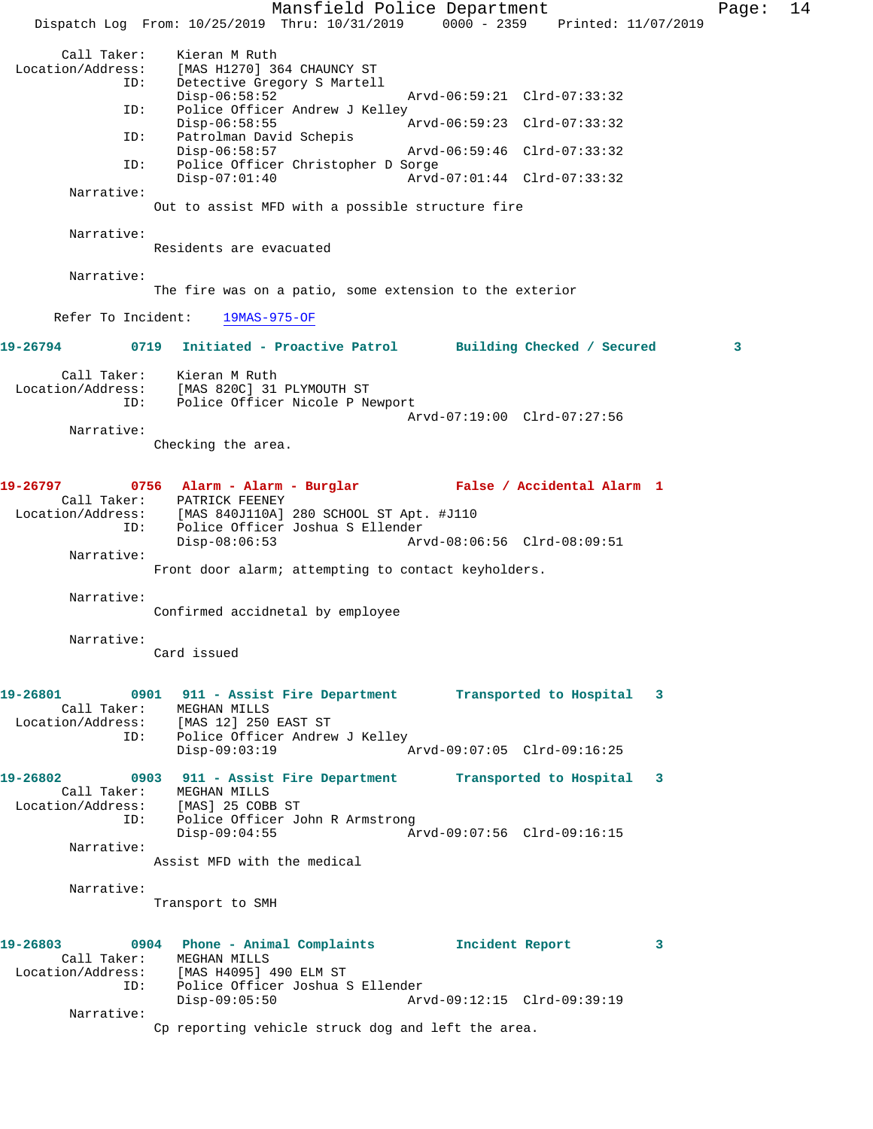Mansfield Police Department Fage: 14 Dispatch Log From: 10/25/2019 Thru: 10/31/2019 0000 - 2359 Printed: 11/07/2019 Call Taker: Kieran M Ruth Location/Address: [MAS H1270] 364 CHAUNCY ST ID: Detective Gregory S Martell Disp-06:58:52 Arvd-06:59:21 Clrd-07:33:32 ID: Police Officer Andrew J Kelley<br>Disp-06:58:55 Arvd-06:59:23 Clrd-07:33:32 ID: Patrolman David Schepis Disp-06:58:57 Arvd-06:59:46 Clrd-07:33:32<br>ID: Police Officer Christopher D Sorge Police Officer Christopher D Sorge<br>Disp-07:01:40 Arvd Disp-07:01:40 Arvd-07:01:44 Clrd-07:33:32 Narrative: Out to assist MFD with a possible structure fire Narrative: Residents are evacuated Narrative: The fire was on a patio, some extension to the exterior Refer To Incident: 19MAS-975-OF **19-26794 0719 Initiated - Proactive Patrol Building Checked / Secured 3** Call Taker: Kieran M Ruth Location/Address: [MAS 820C] 31 PLYMOUTH ST ID: Police Officer Nicole P Newport Arvd-07:19:00 Clrd-07:27:56 Narrative: Checking the area. **19-26797 0756 Alarm - Alarm - Burglar False / Accidental Alarm 1**  Call Taker: PATRICK FEENEY Location/Address: [MAS 840J110A] 280 SCHOOL ST Apt. #J110 ID: Police Officer Joshua S Ellender Disp-08:06:53 Arvd-08:06:56 Clrd-08:09:51 Narrative: Front door alarm; attempting to contact keyholders. Narrative: Confirmed accidnetal by employee Narrative: Card issued **19-26801 0901 911 - Assist Fire Department Transported to Hospital 3**  Call Taker: MEGHAN MILLS<br>tion/Address: [MAS 12] 250 EAST ST Location/Address:<br>ID: Police Officer Andrew J Kelley Disp-09:03:19 Arvd-09:07:05 Clrd-09:16:25 **19-26802 0903 911 - Assist Fire Department Transported to Hospital 3**  Call Taker: MEGHAN MILLS Location/Address: [MAS] 25 COBB ST ID: Police Officer John R Armstrong Disp-09:04:55 Arvd-09:07:56 Clrd-09:16:15 Narrative: Assist MFD with the medical Narrative: Transport to SMH **19-26803 0904 Phone - Animal Complaints Incident Report 3**  Call Taker: MEGHAN MILLS Location/Address: [MAS H4095] 490 ELM ST ID: Police Officer Joshua S Ellender Disp-09:05:50 Arvd-09:12:15 Clrd-09:39:19 Narrative: Cp reporting vehicle struck dog and left the area.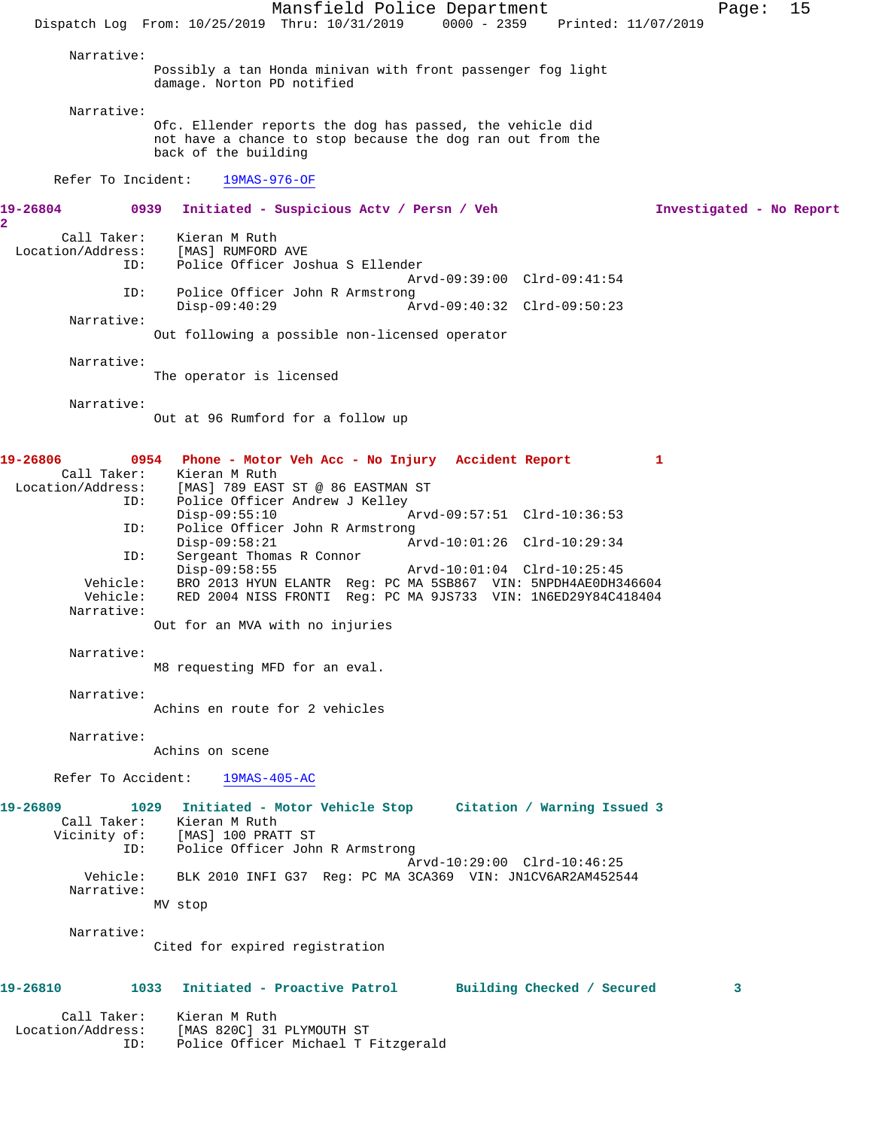|                                         | Mansfield Police Department<br>15<br>Page:                                                                                                      |
|-----------------------------------------|-------------------------------------------------------------------------------------------------------------------------------------------------|
|                                         | Dispatch Log From: 10/25/2019 Thru: 10/31/2019 0000 - 2359 Printed: 11/07/2019                                                                  |
| Narrative:                              |                                                                                                                                                 |
|                                         | Possibly a tan Honda minivan with front passenger fog light<br>damage. Norton PD notified                                                       |
| Narrative:                              |                                                                                                                                                 |
|                                         | Ofc. Ellender reports the dog has passed, the vehicle did<br>not have a chance to stop because the dog ran out from the<br>back of the building |
| Refer To Incident:                      | $19MAS-976-OF$                                                                                                                                  |
| 19-26804<br>$\overline{a}$              | 0939<br>Initiated - Suspicious Actv / Persn / Veh<br>Investigated - No Report                                                                   |
| Call Taker:<br>Location/Address:<br>ID: | Kieran M Ruth<br>[MAS] RUMFORD AVE<br>Police Officer Joshua S Ellender                                                                          |
| ID:                                     | Arvd-09:39:00 Clrd-09:41:54<br>Police Officer John R Armstrong                                                                                  |
|                                         | $Disp-09:40:29$<br>Arvd-09:40:32 Clrd-09:50:23                                                                                                  |
| Narrative:                              | Out following a possible non-licensed operator                                                                                                  |
| Narrative:                              | The operator is licensed                                                                                                                        |
| Narrative:                              |                                                                                                                                                 |
|                                         | Out at 96 Rumford for a follow up                                                                                                               |
| 19-26806                                | 0954 Phone - Motor Veh Acc - No Injury Accident Report<br>1                                                                                     |
| Call Taker:                             | Kieran M Ruth<br>Location/Address: [MAS] 789 EAST ST @ 86 EASTMAN ST                                                                            |
| ID:                                     | Police Officer Andrew J Kelley                                                                                                                  |
| ID:                                     | $Disp-09:55:10$<br>Arvd-09:57:51 Clrd-10:36:53<br>Police Officer John R Armstrong                                                               |
| ID:                                     | Disp-09:58:21<br>Arvd-10:01:26 Clrd-10:29:34<br>Sergeant Thomas R Connor                                                                        |
|                                         | Disp-09:58:55<br>Arvd-10:01:04 Clrd-10:25:45                                                                                                    |
| Vehicle:<br>Vehicle:<br>Narrative:      | BRO 2013 HYUN ELANTR Reg: PC MA 5SB867 VIN: 5NPDH4AE0DH346604<br>RED 2004 NISS FRONTI Reg: PC MA 9JS733 VIN: 1N6ED29Y84C418404                  |
|                                         | Out for an MVA with no injuries                                                                                                                 |
| Narrative:                              |                                                                                                                                                 |
|                                         | M8 requesting MFD for an eval.                                                                                                                  |
| Narrative:                              | Achins en route for 2 vehicles                                                                                                                  |
| Narrative:                              | Achins on scene                                                                                                                                 |
|                                         | Refer To Accident: 19MAS-405-AC                                                                                                                 |
| 19-26809                                | 1029 Initiated - Motor Vehicle Stop Citation / Warning Issued 3                                                                                 |
|                                         | Call Taker: Kieran M Ruth<br>Vicinity of: [MAS] 100 PRATT ST                                                                                    |
| ID:                                     | Police Officer John R Armstrong                                                                                                                 |
| Vehicle:                                | Arvd-10:29:00 Clrd-10:46:25<br>BLK 2010 INFI G37 Req: PC MA 3CA369 VIN: JN1CV6AR2AM452544                                                       |
| Narrative:                              | MV stop                                                                                                                                         |
| Narrative:                              |                                                                                                                                                 |
|                                         | Cited for expired registration                                                                                                                  |
| 19-26810                                | Initiated - Proactive Patrol<br>1033<br>Building Checked / Secured<br>3                                                                         |
| Call Taker:<br>Location/Address:        | Kieran M Ruth<br>[MAS 820C] 31 PLYMOUTH ST                                                                                                      |
| ID:                                     | Police Officer Michael T Fitzgerald                                                                                                             |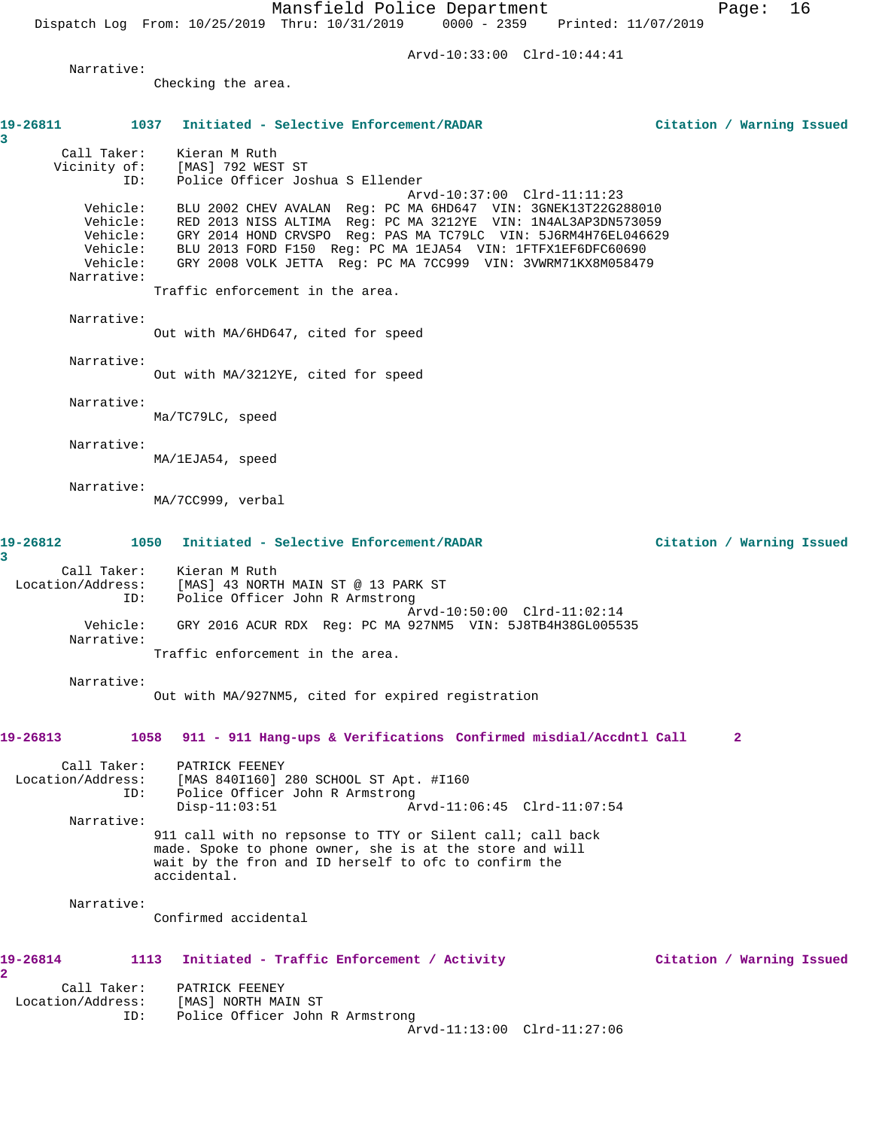Arvd-10:33:00 Clrd-10:44:41

Narrative:

Checking the area.

| 19-26811<br>3                                  | 1037<br>Initiated - Selective Enforcement/RADAR                                                                                                                                                                                                                                                                                                                                  | Citation / Warning Issued |   |  |
|------------------------------------------------|----------------------------------------------------------------------------------------------------------------------------------------------------------------------------------------------------------------------------------------------------------------------------------------------------------------------------------------------------------------------------------|---------------------------|---|--|
| Call Taker:<br>Vicinity of:<br>ID:             | Kieran M Ruth<br>[MAS] 792 WEST ST<br>Police Officer Joshua S Ellender                                                                                                                                                                                                                                                                                                           |                           |   |  |
| Vehicle:<br>Vehicle:<br>Vehicle:<br>Narrative: | Arvd-10:37:00 Clrd-11:11:23<br>BLU 2002 CHEV AVALAN Reg: PC MA 6HD647 VIN: 3GNEK13T22G288010<br>Vehicle: RED 2013 NISS ALTIMA Reg: PC MA 3212YE VIN: 1N4AL3AP3DN573059<br>Vehicle: GRY 2014 HOND CRVSPO Reg: PAS MA TC79LC VIN: 5J6RM4H76EL046629<br>BLU 2013 FORD F150 Reg: PC MA 1EJA54 VIN: 1FTFX1EF6DFC60690<br>GRY 2008 VOLK JETTA Reg: PC MA 7CC999 VIN: 3VWRM71KX8M058479 |                           |   |  |
|                                                | Traffic enforcement in the area.                                                                                                                                                                                                                                                                                                                                                 |                           |   |  |
| Narrative:                                     | Out with MA/6HD647, cited for speed                                                                                                                                                                                                                                                                                                                                              |                           |   |  |
| Narrative:                                     | Out with MA/3212YE, cited for speed                                                                                                                                                                                                                                                                                                                                              |                           |   |  |
| Narrative:                                     | Ma/TC79LC, speed                                                                                                                                                                                                                                                                                                                                                                 |                           |   |  |
| Narrative:                                     | MA/1EJA54, speed                                                                                                                                                                                                                                                                                                                                                                 |                           |   |  |
| Narrative:                                     | MA/7CC999, verbal                                                                                                                                                                                                                                                                                                                                                                |                           |   |  |
| 19-26812<br>3                                  | Initiated - Selective Enforcement/RADAR<br>1050                                                                                                                                                                                                                                                                                                                                  | Citation / Warning Issued |   |  |
| Location/Address:<br>ID:                       | Call Taker: Kieran M Ruth<br>[MAS] 43 NORTH MAIN ST @ 13 PARK ST<br>Police Officer John R Armstrong                                                                                                                                                                                                                                                                              |                           |   |  |
| Vehicle:<br>Narrative:                         | Arvd-10:50:00 Clrd-11:02:14<br>GRY 2016 ACUR RDX Reg: PC MA 927NM5 VIN: 5J8TB4H38GL005535<br>Traffic enforcement in the area.                                                                                                                                                                                                                                                    |                           |   |  |
| Narrative:                                     |                                                                                                                                                                                                                                                                                                                                                                                  |                           |   |  |
|                                                | Out with MA/927NM5, cited for expired registration                                                                                                                                                                                                                                                                                                                               |                           |   |  |
| 19-26813                                       | 1058 911 - 911 Hang-ups & Verifications Confirmed misdial/Accdntl Call                                                                                                                                                                                                                                                                                                           |                           | 2 |  |
| Call Taker:<br>Location/Address:<br>ID:        | PATRICK FEENEY<br>[MAS 840I160] 280 SCHOOL ST Apt. #I160<br>Police Officer John R Armstrong<br>Arvd-11:06:45 Clrd-11:07:54<br>$Disp-11:03:51$                                                                                                                                                                                                                                    |                           |   |  |
| Narrative:                                     | 911 call with no repsonse to TTY or Silent call; call back<br>made. Spoke to phone owner, she is at the store and will<br>wait by the fron and ID herself to ofc to confirm the<br>accidental.                                                                                                                                                                                   |                           |   |  |
| Narrative:                                     | Confirmed accidental                                                                                                                                                                                                                                                                                                                                                             |                           |   |  |
| 19-26814<br>2                                  | 1113<br>Initiated - Traffic Enforcement / Activity                                                                                                                                                                                                                                                                                                                               | Citation / Warning Issued |   |  |
| Call Taker:<br>Location/Address:<br>ID:        | PATRICK FEENEY<br>[MAS] NORTH MAIN ST<br>Police Officer John R Armstrong<br>Arvd-11:13:00 Clrd-11:27:06                                                                                                                                                                                                                                                                          |                           |   |  |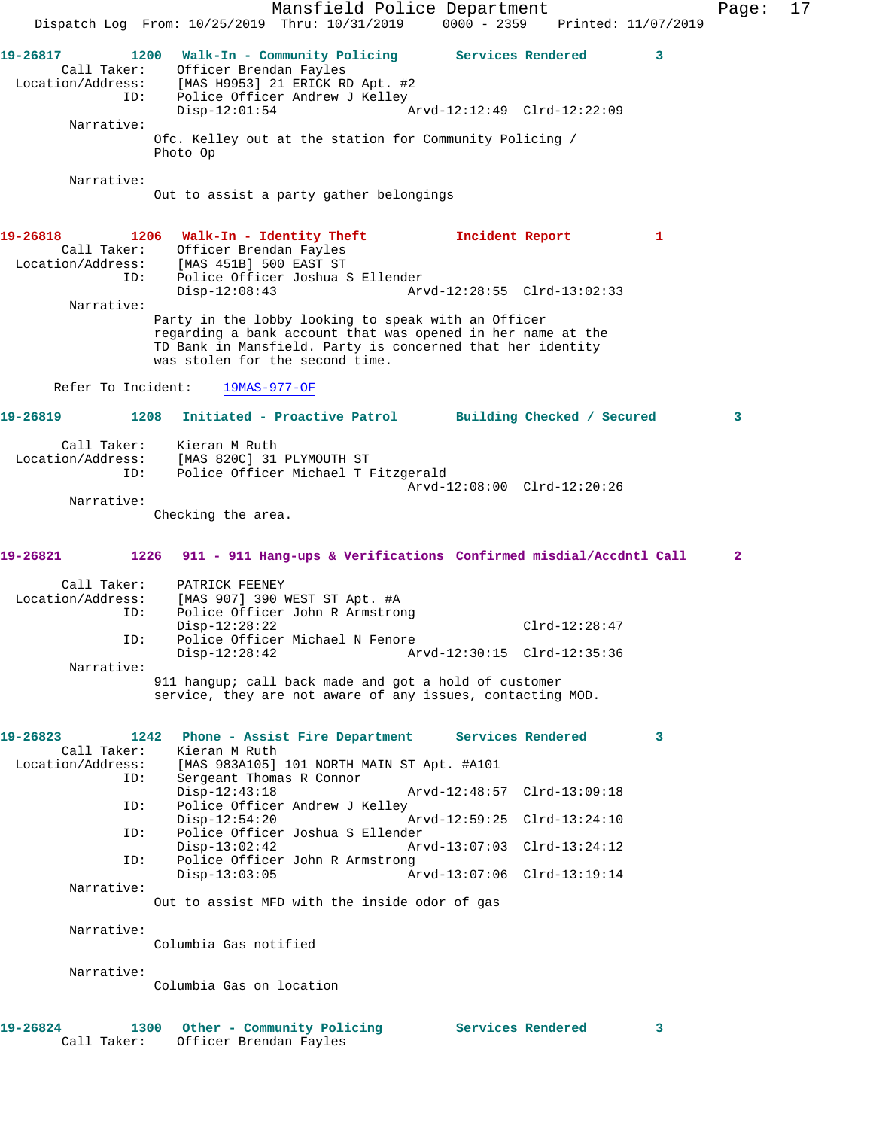Mansfield Police Department Page: 17 Dispatch Log From: 10/25/2019 Thru: 10/31/2019 0000 - 2359 Printed: 11/07/2019 **19-26817** 1200 Walk-In - Community Policing Services Rendered 3<br>Call Taker: Officer Brendan Fayles<br>Location/Address: [MAS H9953] 21 ERICK RD Apt. #2<br>Th: Police Officer Andress Inc. Call Taker: Officer Brendan Fayles Location/Address: [MAS H9953] 21 ERICK RD Apt. #2 ID: Police Officer Andrew J Kelley Disp-12:01:54 Arvd-12:12:49 Clrd-12:22:09 Narrative: Ofc. Kelley out at the station for Community Policing / Photo Op Narrative: Out to assist a party gather belongings **19-26818 1206 Walk-In - Identity Theft Incident Report 1**  Call Taker: Officer Brendan Fayles<br>Location/Address: [MAS 451B] 500 EAST ST  $[MAS 451B] 500 EAST ST$  ID: Police Officer Joshua S Ellender Disp-12:08:43 Arvd-12:28:55 Clrd-13:02:33 Narrative: Party in the lobby looking to speak with an Officer regarding a bank account that was opened in her name at the TD Bank in Mansfield. Party is concerned that her identity was stolen for the second time. Refer To Incident: 19MAS-977-OF **19-26819 1208 Initiated - Proactive Patrol Building Checked / Secured 3** Call Taker: Kieran M Ruth Location/Address: [MAS 820C] 31 PLYMOUTH ST ID: Police Officer Michael T Fitzgerald Arvd-12:08:00 Clrd-12:20:26 Narrative: Checking the area. **19-26821 1226 911 - 911 Hang-ups & Verifications Confirmed misdial/Accdntl Call 2** Call Taker: PATRICK FEENEY Location/Address: [MAS 907] 390 WEST ST Apt. #A ID: Police Officer John R Armstrong Disp-12:28:22 Clrd-12:28:47 ID: Police Officer Michael N Fenore Disp-12:28:42 Arvd-12:30:15 Clrd-12:35:36 Narrative: 911 hangup; call back made and got a hold of customer service, they are not aware of any issues, contacting MOD. **19-26823 1242 Phone - Assist Fire Department Services Rendered 3**  Call Taker: Kieran M Ruth Location/Address: [MAS 983A105] 101 NORTH MAIN ST Apt. #A101 ID: Sergeant Thomas R Connor<br>Disp-12:43:18 Disp-12:43:18 Arvd-12:48:57 Clrd-13:09:18 ID: Police Officer Andrew J Kelley Disp-12:54:20 Arvd-12:59:25 Clrd-13:24:10 ID: Police Officer Joshua S Ellender Disp-13:02:42 Arvd-13:07:03 Clrd-13:24:12<br>ID: Police Officer John R Armstrong Police Officer John R Armstrong Disp-13:03:05 Arvd-13:07:06 Clrd-13:19:14 Narrative: Out to assist MFD with the inside odor of gas Narrative: Columbia Gas notified Narrative: Columbia Gas on location 19-26824 1300 Other - Community Policing Services Rendered 3 Call Taker: Officer Brendan Fayles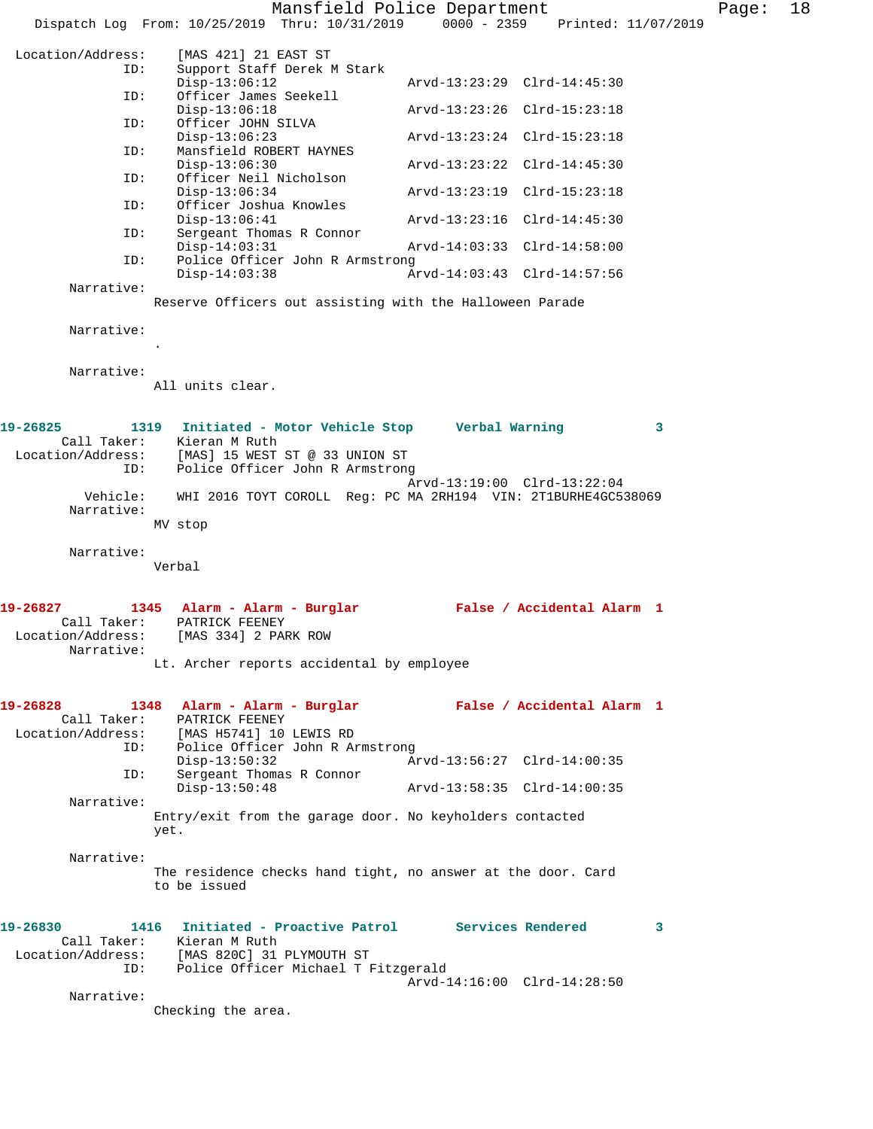Mansfield Police Department Form Page: 18 Dispatch Log From: 10/25/2019 Thru: 10/31/2019 0000 - 2359 Printed: 11/07/2019 Location/Address: [MAS 421] 21 EAST ST Support Staff Derek M Stark<br>Disp-13:06:12 Disp-13:06:12 Arvd-13:23:29 Clrd-14:45:30 ID: Officer James Seekell Disp-13:06:18 Arvd-13:23:26 Clrd-15:23:18 ID: Officer JOHN SILVA Disp-13:06:23 Arvd-13:23:24 Clrd-15:23:18<br>ID: Mansfield ROBERT HAYNES Mansfield ROBERT HAYNES<br>Disp-13:06:30 Disp-13:06:30 <br>
D: Officer Neil Nicholson <br>  $P = \frac{P}{Q}$  Arvd-13:23:22 Clrd-14:45:30 Officer Neil Nicholson Disp-13:06:34 Arvd-13:23:19 Clrd-15:23:18<br>ID: Officer Joshua Knowles Officer Joshua Knowles<br>Disp-13:06:41 Disp-13:06:41 Arvd-13:23:16 Clrd-14:45:30<br>ID: Sergeant Thomas R Connor Sergeant Thomas R Connor Disp-14:03:31 Arvd-14:03:33 Clrd-14:58:00 ID: Police Officer John R Armstrong Disp-14:03:38 Arvd-14:03:43 Clrd-14:57:56 Narrative: Reserve Officers out assisting with the Halloween Parade Narrative: . Narrative: All units clear. **19-26825 1319 Initiated - Motor Vehicle Stop Verbal Warning 3**  Call Taker: Kieran M Ruth Location/Address: [MAS] 15 WEST ST @ 33 UNION ST ID: Police Officer John R Armstrong Arvd-13:19:00 Clrd-13:22:04 WHI 2016 TOYT COROLL Reg: PC MA 2RH194 VIN: 2T1BURHE4GC538069 Narrative: MV stop Narrative: Verbal **19-26827 1345 Alarm - Alarm - Burglar False / Accidental Alarm 1**  Call Taker: PATRICK FEENEY Location/Address: [MAS 334] 2 PARK ROW Narrative: Lt. Archer reports accidental by employee **19-26828 1348 Alarm - Alarm - Burglar False / Accidental Alarm 1**  Call Taker: PATRICK FEENEY Location/Address: [MAS H5741] 10 LEWIS RD ID: Police Officer John R Armstrong Disp-13:50:32 Arvd-13:56:27 Clrd-14:00:35<br>ID: Sergeant Thomas R Connor Sergeant Thomas R Connor<br>Disp-13:50:48 Disp-13:50:48 Arvd-13:58:35 Clrd-14:00:35 Narrative: Entry/exit from the garage door. No keyholders contacted yet. Narrative: The residence checks hand tight, no answer at the door. Card to be issued **19-26830 1416 Initiated - Proactive Patrol Services Rendered 3**  Call Taker: Kieran M Ruth Location/Address: [MAS 820C] 31 PLYMOUTH ST ID: Police Officer Michael T Fitzgerald Arvd-14:16:00 Clrd-14:28:50 Narrative: Checking the area.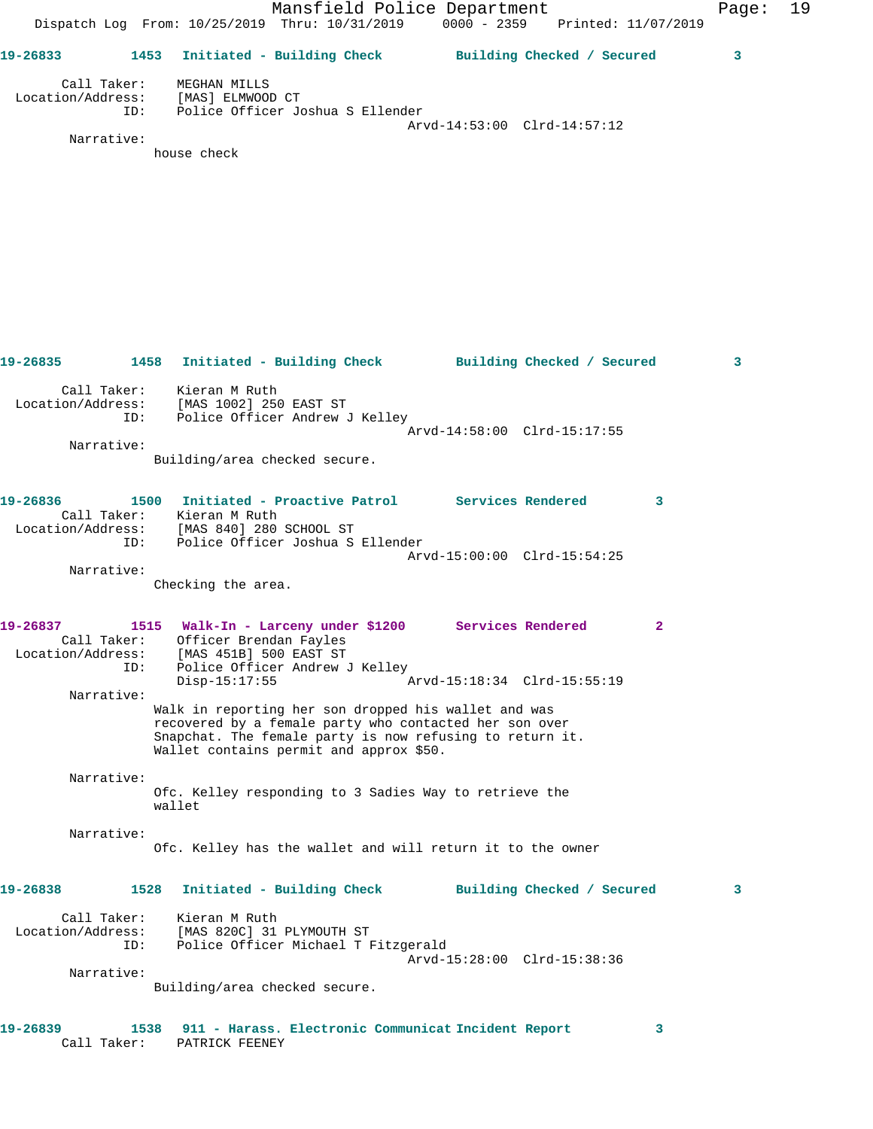|                               |                     |                                                                        | Mansfield Police Department<br>Dispatch Log From: 10/25/2019 Thru: 10/31/2019 0000 - 2359 Printed: 11/07/2019                                                                                                         |                             |                            | Page: | 19 |
|-------------------------------|---------------------|------------------------------------------------------------------------|-----------------------------------------------------------------------------------------------------------------------------------------------------------------------------------------------------------------------|-----------------------------|----------------------------|-------|----|
|                               |                     |                                                                        | 19-26833 1453 Initiated - Building Check Building Checked / Secured                                                                                                                                                   |                             |                            | 3     |    |
|                               | Call Taker:<br>ID:  | MEGHAN MILLS<br>Location/Address: [MAS] ELMWOOD CT                     | Police Officer Joshua S Ellender                                                                                                                                                                                      | Arvd-14:53:00 Clrd-14:57:12 |                            |       |    |
|                               | Narrative:          |                                                                        |                                                                                                                                                                                                                       |                             |                            |       |    |
|                               |                     | house check                                                            |                                                                                                                                                                                                                       |                             |                            |       |    |
|                               |                     |                                                                        | 19-26835 1458 Initiated - Building Check Building Checked / Secured                                                                                                                                                   |                             |                            | 3     |    |
|                               |                     | Call Taker: Kieran M Ruth                                              | Location/Address: [MAS 1002] 250 EAST ST<br>ID: Police Officer Andrew J Kelley                                                                                                                                        |                             |                            |       |    |
|                               | Narrative:          |                                                                        |                                                                                                                                                                                                                       | Arvd-14:58:00 Clrd-15:17:55 |                            |       |    |
|                               |                     |                                                                        | Building/area checked secure.                                                                                                                                                                                         |                             |                            |       |    |
| 19-26836                      | ID:                 | Call Taker: Kieran M Ruth<br>Location/Address: [MAS 840] 280 SCHOOL ST | 1500 Initiated - Proactive Patrol Services Rendered<br>Police Officer Joshua S Ellender                                                                                                                               |                             | 3                          |       |    |
|                               | Narrative:          |                                                                        |                                                                                                                                                                                                                       | Arvd-15:00:00 Clrd-15:54:25 |                            |       |    |
|                               |                     | Checking the area.                                                     |                                                                                                                                                                                                                       |                             |                            |       |    |
| 19-26837<br>Location/Address: | ID:                 | [MAS 451B] 500 EAST ST<br>$Disp-15:17:55$                              | 1515 Walk-In - Larceny under \$1200 Services Rendered<br>Call Taker: Officer Brendan Fayles<br>Police Officer Andrew J Kelley                                                                                         | Arvd-15:18:34 Clrd-15:55:19 | $\mathbf{2}$               |       |    |
|                               | Narrative:          |                                                                        | Walk in reporting her son dropped his wallet and was<br>recovered by a female party who contacted her son over<br>Snapchat. The female party is now refusing to return it.<br>Wallet contains permit and approx \$50. |                             |                            |       |    |
|                               | Narrative:          | wallet                                                                 | Ofc. Kelley responding to 3 Sadies Way to retrieve the                                                                                                                                                                |                             |                            |       |    |
|                               | Narrative:          |                                                                        | Ofc. Kelley has the wallet and will return it to the owner                                                                                                                                                            |                             |                            |       |    |
| 19-26838                      | 1528                |                                                                        | Initiated - Building Check                                                                                                                                                                                            |                             | Building Checked / Secured | 3     |    |
| Location/Address:             | Call Taker:<br>ID:  | Kieran M Ruth<br>[MAS 820C] 31 PLYMOUTH ST                             | Police Officer Michael T Fitzgerald                                                                                                                                                                                   | Arvd-15:28:00 Clrd-15:38:36 |                            |       |    |
|                               | Narrative:          |                                                                        | Building/area checked secure.                                                                                                                                                                                         |                             |                            |       |    |
| 19-26839                      | 1538<br>Call Taker: | PATRICK FEENEY                                                         | 911 - Harass. Electronic Communicat Incident Report                                                                                                                                                                   |                             |                            | 3     |    |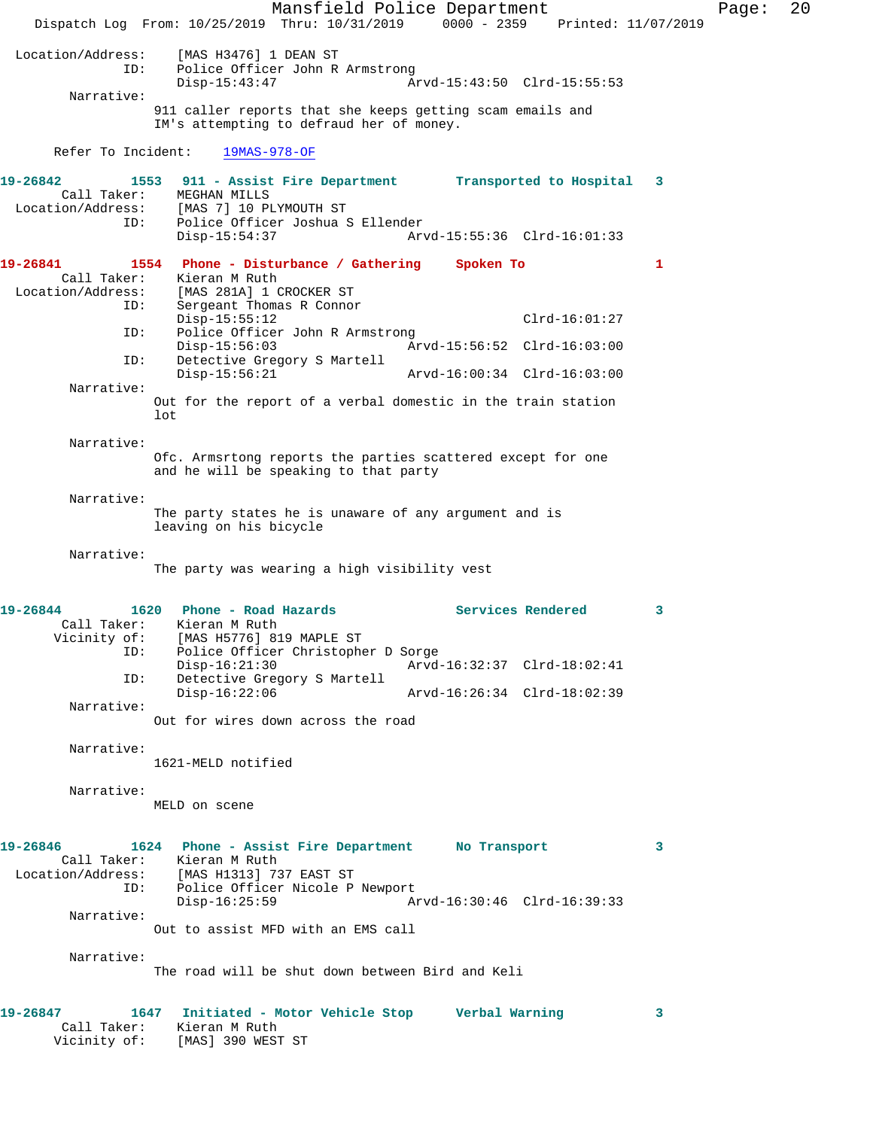Mansfield Police Department Page: 20 Dispatch Log From: 10/25/2019 Thru: 10/31/2019 0000 - 2359 Printed: 11/07/2019 Location/Address: [MAS H3476] 1 DEAN ST ID: Police Officer John R Armstrong<br>Disp-15:43:47 A Arvd-15:43:50 Clrd-15:55:53 Narrative: 911 caller reports that she keeps getting scam emails and IM's attempting to defraud her of money. Refer To Incident: 19MAS-978-OF **19-26842 1553 911 - Assist Fire Department Transported to Hospital 3**  Call Taker: MEGHAN MILLS Location/Address: [MAS 7] 10 PLYMOUTH ST ID: Police Officer Joshua S Ellender Disp-15:54:37 Arvd-15:55:36 Clrd-16:01:33 **19-26841 1554 Phone - Disturbance / Gathering Spoken To 1**  Call Taker: Kieran M Ruth Location/Address: [MAS 281A] 1 CROCKER ST ID: Sergeant Thomas R Connor Disp-15:55:12 Clrd-16:01:27 ID: Police Officer John R Armstrong<br>Disp-15:56:03 Ar Disp-15:56:03 Arvd-15:56:52 Clrd-16:03:00<br>ID: Detective Gregory S Martell Detective Gregory S Martell<br>Disp-15:56:21 Disp-15:56:21 Arvd-16:00:34 Clrd-16:03:00 Narrative: Out for the report of a verbal domestic in the train station lot Narrative: Ofc. Armsrtong reports the parties scattered except for one and he will be speaking to that party Narrative: The party states he is unaware of any argument and is leaving on his bicycle Narrative: The party was wearing a high visibility vest 19-26844 1620 Phone - Road Hazards **Services Rendered** 3 Call Taker: Kieran M Ruth Vicinity of: [MAS H5776] 819 MAPLE ST ID: Police Officer Christopher D Sorge Disp-16:21:30 Arvd-16:32:37 Clrd-18:02:41 ID: Detective Gregory S Martell Disp-16:22:06 Arvd-16:26:34 Clrd-18:02:39 Narrative: Out for wires down across the road Narrative: 1621-MELD notified Narrative: MELD on scene **19-26846 1624 Phone - Assist Fire Department No Transport 3**  Call Taker: Kieran M Ruth Location/Address: [MAS H1313] 737 EAST ST ID: Police Officer Nicole P Newport Disp-16:25:59 Arvd-16:30:46 Clrd-16:39:33 Narrative: Out to assist MFD with an EMS call Narrative: The road will be shut down between Bird and Keli **19-26847 1647 Initiated - Motor Vehicle Stop Verbal Warning 3**  Call Taker: Kieran M Ruth Vicinity of: [MAS] 390 WEST ST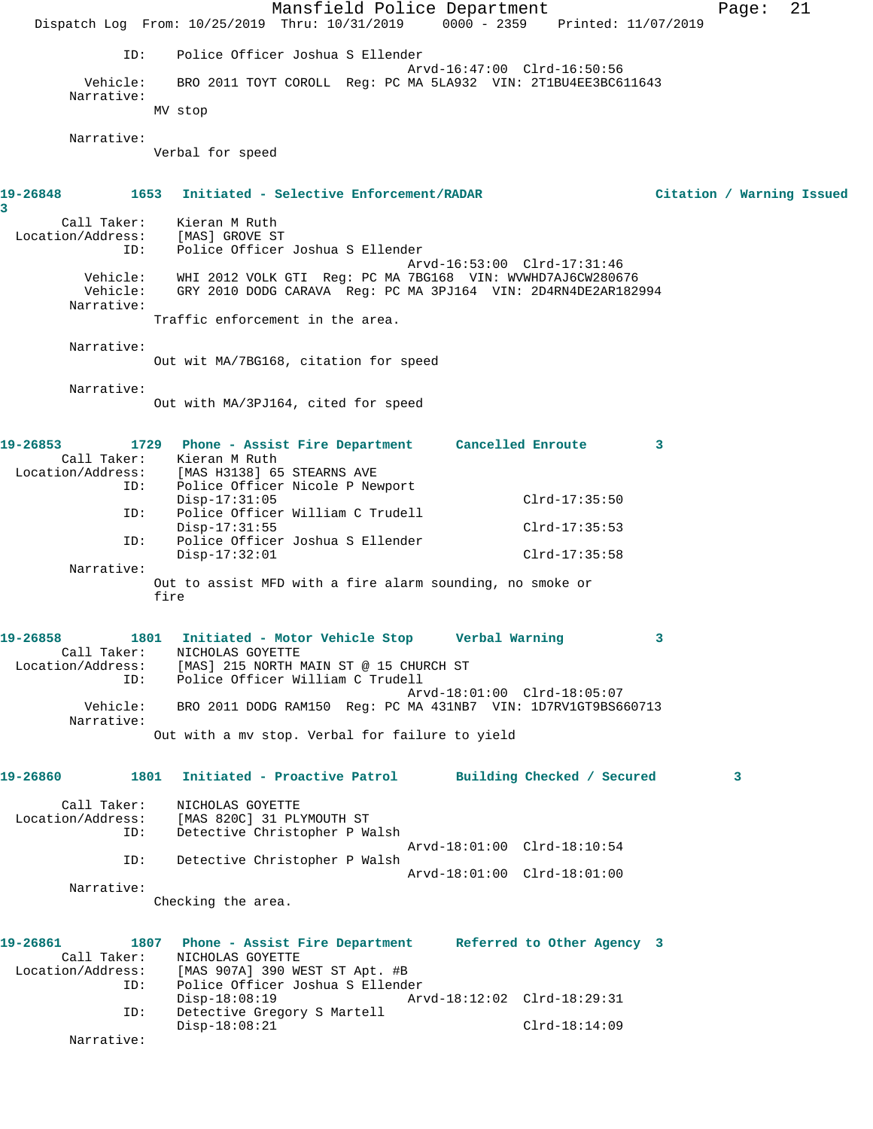|                                         | Mansfield Police Department<br>Dispatch Log From: 10/25/2019 Thru: 10/31/2019 0000 - 2359 Printed: 11/07/2019                                                                      |                             | 21<br>Page:               |  |  |  |  |  |
|-----------------------------------------|------------------------------------------------------------------------------------------------------------------------------------------------------------------------------------|-----------------------------|---------------------------|--|--|--|--|--|
| ID:                                     | Police Officer Joshua S Ellender                                                                                                                                                   |                             |                           |  |  |  |  |  |
| Vehicle:                                | Arvd-16:47:00 Clrd-16:50:56<br>BRO 2011 TOYT COROLL Reg: PC MA 5LA932 VIN: 2T1BU4EE3BC611643                                                                                       |                             |                           |  |  |  |  |  |
| Narrative:                              | MV stop                                                                                                                                                                            |                             |                           |  |  |  |  |  |
| Narrative:                              |                                                                                                                                                                                    |                             |                           |  |  |  |  |  |
|                                         | Verbal for speed                                                                                                                                                                   |                             |                           |  |  |  |  |  |
| 1653<br>19-26848<br>3                   | Initiated - Selective Enforcement/RADAR                                                                                                                                            |                             | Citation / Warning Issued |  |  |  |  |  |
| Call Taker:                             | Kieran M Ruth                                                                                                                                                                      |                             |                           |  |  |  |  |  |
| Location/Address:<br>ID:                | [MAS] GROVE ST<br>Police Officer Joshua S Ellender                                                                                                                                 |                             |                           |  |  |  |  |  |
| Narrative:                              | Arvd-16:53:00 Clrd-17:31:46<br>WHI 2012 VOLK GTI Reg: PC MA 7BG168 VIN: WVWHD7AJ6CW280676<br>Vehicle:<br>Vehicle:<br>GRY 2010 DODG CARAVA Req: PC MA 3PJ164 VIN: 2D4RN4DE2AR182994 |                             |                           |  |  |  |  |  |
|                                         | Traffic enforcement in the area.                                                                                                                                                   |                             |                           |  |  |  |  |  |
| Narrative:                              | Out wit MA/7BG168, citation for speed                                                                                                                                              |                             |                           |  |  |  |  |  |
| Narrative:                              | Out with MA/3PJ164, cited for speed                                                                                                                                                |                             |                           |  |  |  |  |  |
| 19-26853                                | 1729 Phone - Assist Fire Department Cancelled Enroute                                                                                                                              |                             | 3                         |  |  |  |  |  |
| Call Taker:<br>Location/Address:        | Kieran M Ruth<br>[MAS H3138] 65 STEARNS AVE                                                                                                                                        |                             |                           |  |  |  |  |  |
| ID:                                     | Police Officer Nicole P Newport                                                                                                                                                    |                             |                           |  |  |  |  |  |
| ID:                                     | $Disp-17:31:05$<br>Police Officer William C Trudell                                                                                                                                | $Clrd-17:35:50$             |                           |  |  |  |  |  |
| ID:                                     | $Disp-17:31:55$<br>Police Officer Joshua S Ellender                                                                                                                                | $Clrd-17:35:53$             |                           |  |  |  |  |  |
| Narrative:                              | $Disp-17:32:01$                                                                                                                                                                    | $Clrd-17:35:58$             |                           |  |  |  |  |  |
|                                         | Out to assist MFD with a fire alarm sounding, no smoke or<br>fire                                                                                                                  |                             |                           |  |  |  |  |  |
| 19-26858                                | 1801 Initiated - Motor Vehicle Stop                                                                                                                                                | Verbal Warning              |                           |  |  |  |  |  |
| Call Taker:                             | NICHOLAS GOYETTE<br>Location/Address: [MAS] 215 NORTH MAIN ST @ 15 CHURCH ST                                                                                                       |                             |                           |  |  |  |  |  |
|                                         | ID: Police Officer William C Trudell                                                                                                                                               | Arvd-18:01:00 Clrd-18:05:07 |                           |  |  |  |  |  |
| Vehicle:<br>Narrative:                  | BRO 2011 DODG RAM150 Req: PC MA 431NB7 VIN: 1D7RV1GT9BS660713                                                                                                                      |                             |                           |  |  |  |  |  |
|                                         | Out with a my stop. Verbal for failure to yield                                                                                                                                    |                             |                           |  |  |  |  |  |
| 19-26860<br>1801                        | Initiated - Proactive Patrol Building Checked / Secured                                                                                                                            |                             | 3                         |  |  |  |  |  |
| Call Taker:<br>Location/Address:<br>ID: | NICHOLAS GOYETTE<br>[MAS 820C] 31 PLYMOUTH ST<br>Detective Christopher P Walsh                                                                                                     |                             |                           |  |  |  |  |  |
| ID:                                     | Detective Christopher P Walsh                                                                                                                                                      | Arvd-18:01:00 Clrd-18:10:54 |                           |  |  |  |  |  |
| Narrative:                              |                                                                                                                                                                                    | Arvd-18:01:00 Clrd-18:01:00 |                           |  |  |  |  |  |
|                                         | Checking the area.                                                                                                                                                                 |                             |                           |  |  |  |  |  |
| 19-26861                                | 1807 Phone - Assist Fire Department Referred to Other Agency 3<br>Call Taker: NICHOLAS GOYETTE<br>Location/Address: [MAS 907A] 390 WEST ST Apt. #B                                 |                             |                           |  |  |  |  |  |
| ID:                                     | Police Officer Joshua S Ellender                                                                                                                                                   |                             |                           |  |  |  |  |  |
| ID:                                     | Disp-18:08:19<br>Detective Gregory S Martell                                                                                                                                       | Arvd-18:12:02 Clrd-18:29:31 |                           |  |  |  |  |  |
| Narrative:                              | $Disp-18:08:21$                                                                                                                                                                    | $Clrd-18:14:09$             |                           |  |  |  |  |  |
|                                         |                                                                                                                                                                                    |                             |                           |  |  |  |  |  |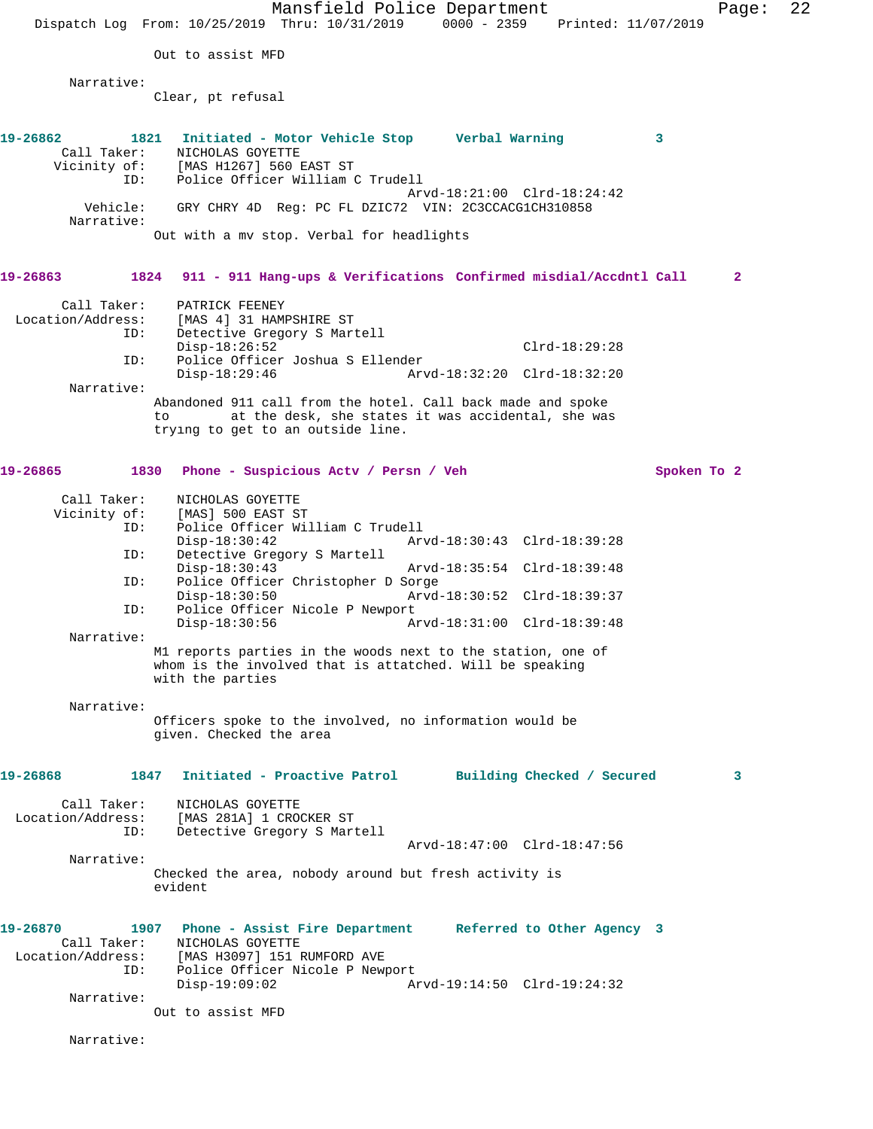Mansfield Police Department Page: 22 Dispatch Log From: 10/25/2019 Thru: 10/31/2019 0000 - 2359 Printed: 11/07/2019 Out to assist MFD Narrative: Clear, pt refusal **19-26862 1821 Initiated - Motor Vehicle Stop Verbal Warning 3**  Call Taker: NICHOLAS GOYETTE Vicinity of: [MAS H1267] 560 EAST ST ID: Police Officer William C Trudell Arvd-18:21:00 Clrd-18:24:42 Vehicle: GRY CHRY 4D Reg: PC FL DZIC72 VIN: 2C3CCACG1CH310858 Narrative: Out with a mv stop. Verbal for headlights **19-26863 1824 911 - 911 Hang-ups & Verifications Confirmed misdial/Accdntl Call 2** Call Taker: PATRICK FEENEY Location/Address: [MAS 4] 31 HAMPSHIRE ST ID: Detective Gregory S Martell Disp-18:26:52<sup>-</sup><br>ID: Police Officer Joshua S Ellender<br>D: Police Officer Joshua S Ellender Police Officer Joshua S Ellender<br>Disp-18:29:46 Arv Disp-18:29:46 Arvd-18:32:20 Clrd-18:32:20 Narrative: Abandoned 911 call from the hotel. Call back made and spoke to at the desk, she states it was accidental, she was trying to get to an outside line. 19-26865 1830 Phone - Suspicious Actv / Persn / Veh Spoken To 2 Call Taker: NICHOLAS GOYETTE Vicinity of: [MAS] 500 EAST ST<br>ID: Police Officer Wil Police Officer William C Trudell<br>Disp-18:30:42 Art Disp-18:30:42 Arvd-18:30:43 Clrd-18:39:28 ID: Detective Gregory S Martell Disp-18:30:43 Arvd-18:35:54 Clrd-18:39:48<br>TD: Police Officer Christopher D Sorge Police Officer Christopher D Sorge<br>Disp-18:30:50 Arvd-Disp-18:30:50 Arvd-18:30:52 Clrd-18:39:37<br>TD: Police Officer Nicole P Newport Police Officer Nicole P Newport Disp-18:30:56 Arvd-18:31:00 Clrd-18:39:48 Narrative: M1 reports parties in the woods next to the station, one of whom is the involved that is attatched. Will be speaking with the parties Narrative: Officers spoke to the involved, no information would be given. Checked the area **19-26868 1847 Initiated - Proactive Patrol Building Checked / Secured 3** Call Taker: NICHOLAS GOYETTE Location/Address: [MAS 281A] 1 CROCKER ST ID: Detective Gregory S Martell Arvd-18:47:00 Clrd-18:47:56 Narrative: Checked the area, nobody around but fresh activity is evident **19-26870 1907 Phone - Assist Fire Department Referred to Other Agency 3**  Call Taker: NICHOLAS GOYETTE Location/Address: [MAS H3097] 151 RUMFORD AVE ID: Police Officer Nicole P Newport Disp-19:09:02 Arvd-19:14:50 Clrd-19:24:32 Narrative: Out to assist MFD Narrative: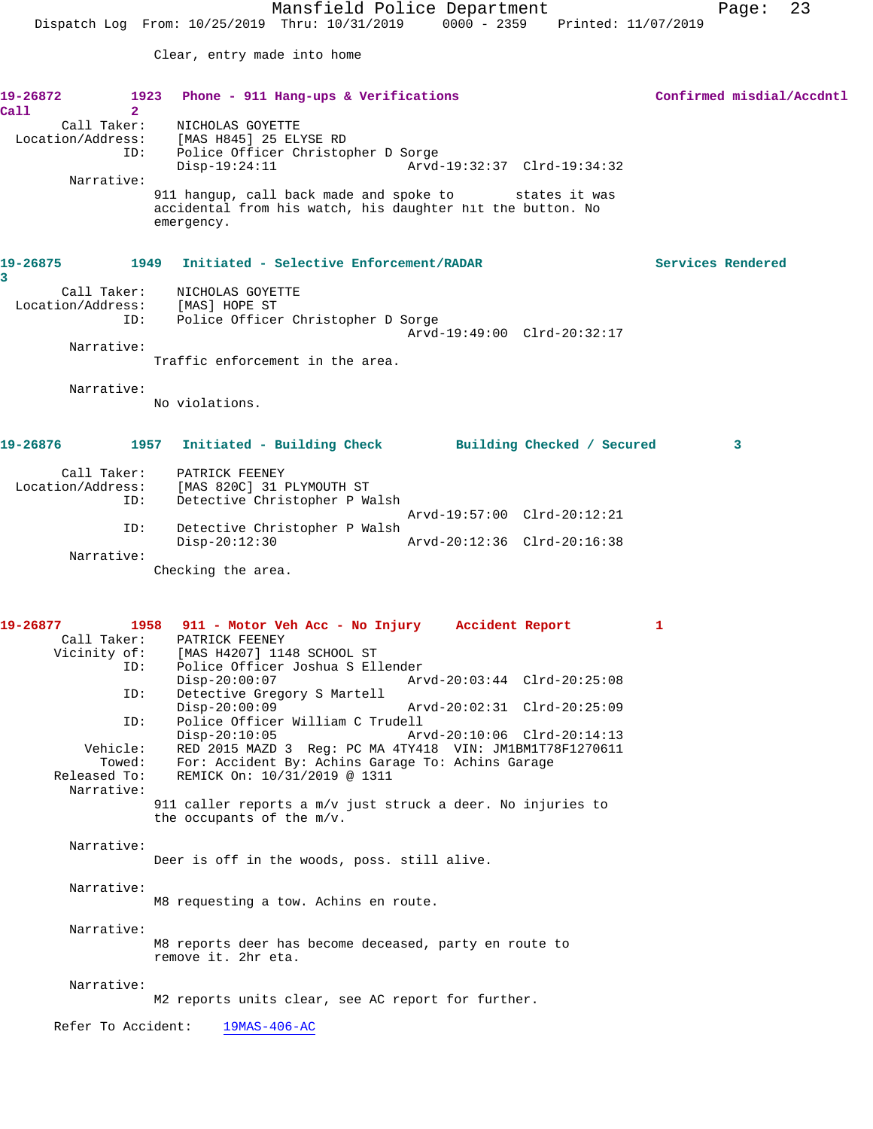Clear, entry made into home

| 19-26872      |                               | 1923 Phone - 911 Hang-ups & Verifications                                                                           | Confirmed misdial/Accdntl |
|---------------|-------------------------------|---------------------------------------------------------------------------------------------------------------------|---------------------------|
| Call          | 2 <sup>1</sup><br>Call Taker: | NICHOLAS GOYETTE                                                                                                    |                           |
|               |                               | Location/Address: [MAS H845] 25 ELYSE RD                                                                            |                           |
|               |                               | ID: Police Officer Christopher D Sorge                                                                              |                           |
|               |                               | $Disp-19:24:11$<br>Arvd-19:32:37 Clrd-19:34:32                                                                      |                           |
|               | Narrative:                    |                                                                                                                     |                           |
|               |                               | 911 hangup, call back made and spoke to states it was<br>accidental from his watch, his daughter hit the button. No |                           |
|               |                               | emergency.                                                                                                          |                           |
|               |                               |                                                                                                                     |                           |
| 19-26875<br>3 |                               | 1949 Initiated - Selective Enforcement/RADAR                                                                        | Services Rendered         |
|               | Call Taker:                   | NICHOLAS GOYETTE                                                                                                    |                           |
|               |                               | Location/Address: [MAS] HOPE ST                                                                                     |                           |
|               | ID:                           | Police Officer Christopher D Sorge                                                                                  |                           |
|               | Narrative:                    | Arvd-19:49:00 Clrd-20:32:17                                                                                         |                           |
|               |                               | Traffic enforcement in the area.                                                                                    |                           |
|               |                               |                                                                                                                     |                           |
|               | Narrative:                    |                                                                                                                     |                           |
|               |                               | No violations.                                                                                                      |                           |
| 19-26876 2012 |                               | 1957 Initiated - Building Check Building Checked / Secured                                                          | 3                         |
|               |                               |                                                                                                                     |                           |
|               | Call Taker:                   | PATRICK FEENEY                                                                                                      |                           |
|               | ID:                           | Location/Address: [MAS 820C] 31 PLYMOUTH ST<br>Detective Christopher P Walsh                                        |                           |
|               |                               | Arvd-19:57:00 Clrd-20:12:21                                                                                         |                           |
|               | ID:                           | Detective Christopher P Walsh                                                                                       |                           |
|               |                               | $Disp-20:12:30$<br>Arvd-20:12:36 Clrd-20:16:38                                                                      |                           |
|               | Narrative:                    | Checking the area.                                                                                                  |                           |
|               |                               |                                                                                                                     |                           |
| 19-26877      |                               |                                                                                                                     |                           |
|               |                               | 1958 911 - Motor Veh Acc - No Injury Accident Report<br>Call Taker: PATRICK FEENEY                                  | 1                         |
|               |                               | Vicinity of: [MAS H4207] 1148 SCHOOL ST                                                                             |                           |
|               | ID:                           | Police Officer Joshua S Ellender                                                                                    |                           |
|               |                               | $Disp-20:00:07$<br>Arvd-20:03:44 Clrd-20:25:08                                                                      |                           |
|               | ID:                           | Detective Gregory S Martell<br>$Disp-20:00:09$<br>Arvd-20:02:31 Clrd-20:25:09                                       |                           |
|               | ID:                           | Police Officer William C Trudell                                                                                    |                           |
|               |                               | $Disp-20:10:05$<br>Arvd-20:10:06 Clrd-20:14:13                                                                      |                           |
|               | Vehicle:                      | RED 2015 MAZD 3 Reg: PC MA 4TY418 VIN: JM1BM1T78F1270611                                                            |                           |
|               | Towed:                        | For: Accident By: Achins Garage To: Achins Garage                                                                   |                           |
| Released To:  | Narrative:                    | REMICK On: 10/31/2019 @ 1311                                                                                        |                           |
|               |                               | 911 caller reports a m/v just struck a deer. No injuries to                                                         |                           |
|               |                               | the occupants of the m/v.                                                                                           |                           |
|               | Narrative:                    |                                                                                                                     |                           |
|               |                               | Deer is off in the woods, poss. still alive.                                                                        |                           |
|               |                               |                                                                                                                     |                           |
|               | Narrative:                    |                                                                                                                     |                           |
|               |                               | M8 requesting a tow. Achins en route.                                                                               |                           |
|               | Narrative:                    |                                                                                                                     |                           |
|               |                               | M8 reports deer has become deceased, party en route to                                                              |                           |
|               |                               | remove it. 2hr eta.                                                                                                 |                           |
|               | Narrative:                    |                                                                                                                     |                           |
|               |                               | M2 reports units clear, see AC report for further.                                                                  |                           |
|               |                               |                                                                                                                     |                           |
|               | Refer To Accident:            | $19MAS-406-AC$                                                                                                      |                           |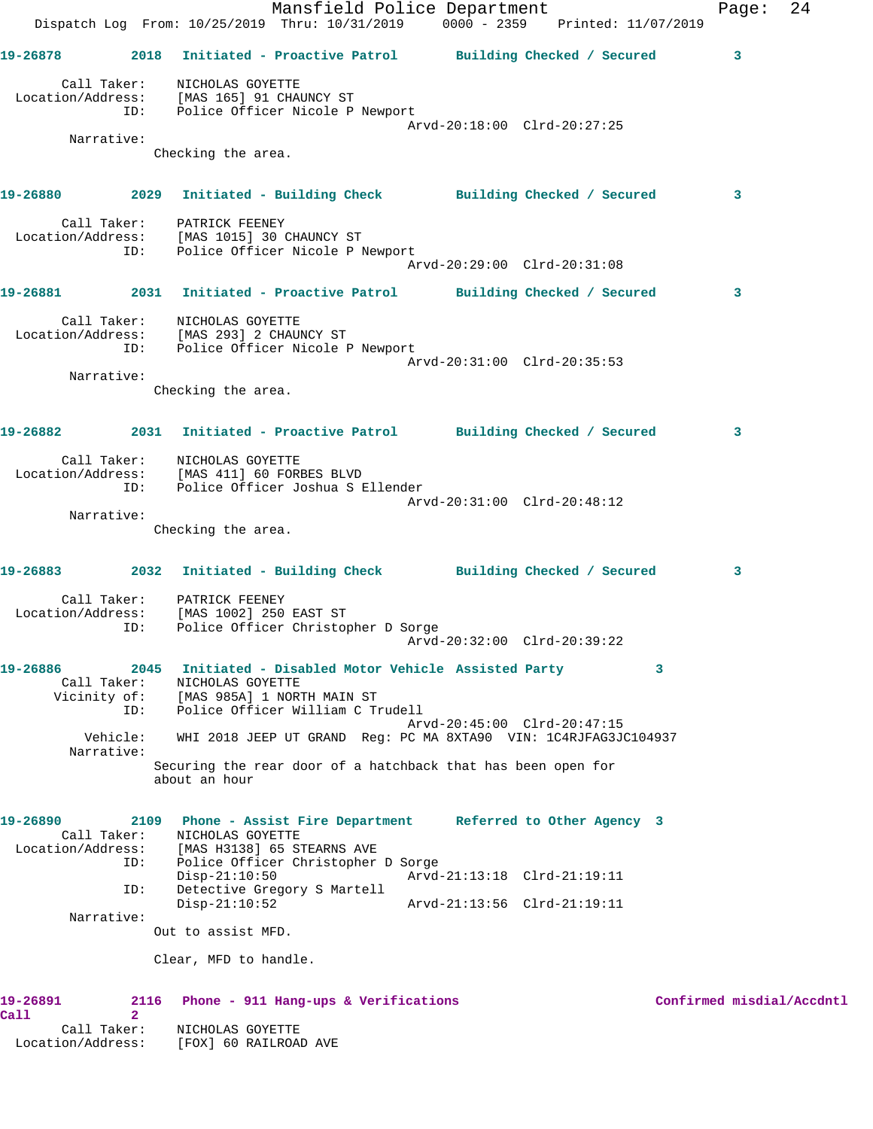|                                | Mansfield Police Department<br>Dispatch Log From: 10/25/2019 Thru: 10/31/2019 0000 - 2359 Printed: 11/07/2019                                                                               |                             | 24<br>Page:               |
|--------------------------------|---------------------------------------------------------------------------------------------------------------------------------------------------------------------------------------------|-----------------------------|---------------------------|
|                                | 19-26878 2018 Initiated - Proactive Patrol Building Checked / Secured                                                                                                                       |                             | 3                         |
|                                | Call Taker: NICHOLAS GOYETTE<br>Location/Address: [MAS 165] 91 CHAUNCY ST<br>ID: Police Officer Nicole P Newport                                                                            | Arvd-20:18:00 Clrd-20:27:25 |                           |
| Narrative:                     | Checking the area.                                                                                                                                                                          |                             |                           |
|                                | 19-26880 2029 Initiated - Building Check Building Checked / Secured                                                                                                                         |                             | $\overline{\mathbf{3}}$   |
|                                | Call Taker: PATRICK FEENEY<br>Location/Address: [MAS 1015] 30 CHAUNCY ST<br>ID: Police Officer Nicole P Newport                                                                             | Arvd-20:29:00 Clrd-20:31:08 |                           |
|                                | 19-26881 2031 Initiated - Proactive Patrol Building Checked / Secured                                                                                                                       |                             | 3                         |
|                                | Call Taker:<br>NICHOLAS GOYETTE<br>Location/Address: [MAS 293] 2 CHAUNCY ST<br>ID: Police Officer Nicole P Newport                                                                          |                             |                           |
| Narrative:                     |                                                                                                                                                                                             | Arvd-20:31:00 Clrd-20:35:53 |                           |
|                                | Checking the area.                                                                                                                                                                          |                             |                           |
|                                | 19-26882 2031 Initiated - Proactive Patrol Building Checked / Secured                                                                                                                       |                             | 3                         |
|                                | Call Taker: NICHOLAS GOYETTE<br>Location/Address: [MAS 411] 60 FORBES BLVD<br>ID: Police Officer Joshua S Ellender                                                                          | Arvd-20:31:00 Clrd-20:48:12 |                           |
| Narrative:                     | Checking the area.                                                                                                                                                                          |                             |                           |
|                                |                                                                                                                                                                                             |                             |                           |
|                                | 19-26883 2032 Initiated - Building Check Building Checked / Secured                                                                                                                         |                             | $\mathbf{3}$              |
| ID:                            | Call Taker: PATRICK FEENEY<br>Location/Address: [MAS 1002] 250 EAST ST<br>Police Officer Christopher D Sorge                                                                                | Arvd-20:32:00 Clrd-20:39:22 |                           |
| 19-26886<br>Call Taker:        | 2045 Initiated - Disabled Motor Vehicle Assisted Party<br>NICHOLAS GOYETTE<br>Vicinity of: [MAS 985A] 1 NORTH MAIN ST                                                                       |                             | 3                         |
| ID:<br>Vehicle:                | Police Officer William C Trudell<br>WHI 2018 JEEP UT GRAND Reg: PC MA 8XTA90 VIN: 1C4RJFAG3JC104937                                                                                         | Arvd-20:45:00 Clrd-20:47:15 |                           |
| Narrative:                     | Securing the rear door of a hatchback that has been open for<br>about an hour                                                                                                               |                             |                           |
| 19-26890<br>Call Taker:<br>ID: | 2109 Phone - Assist Fire Department Referred to Other Agency 3<br>NICHOLAS GOYETTE<br>Location/Address: [MAS H3138] 65 STEARNS AVE<br>Police Officer Christopher D Sorge<br>$Disp-21:10:50$ | Arvd-21:13:18 Clrd-21:19:11 |                           |
| ID:                            | Detective Gregory S Martell<br>$Disp-21:10:52$                                                                                                                                              | Arvd-21:13:56 Clrd-21:19:11 |                           |
| Narrative:                     | Out to assist MFD.                                                                                                                                                                          |                             |                           |
|                                | Clear, MFD to handle.                                                                                                                                                                       |                             |                           |
| 19-26891<br>2116               | Phone - 911 Hang-ups & Verifications                                                                                                                                                        |                             | Confirmed misdial/Accdntl |
| Call<br>$\mathbf{2}$           |                                                                                                                                                                                             |                             |                           |

 Call Taker: NICHOLAS GOYETTE Location/Address: [FOX] 60 RAILROAD AVE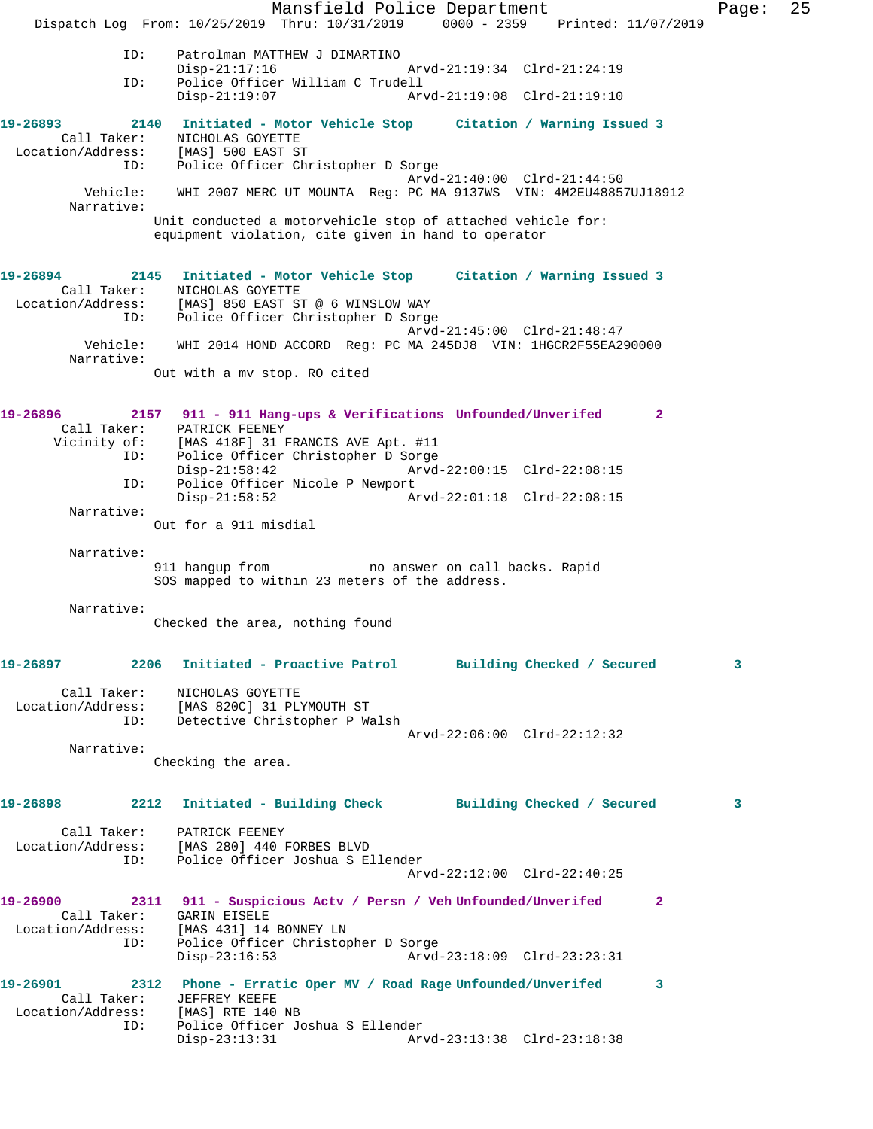Mansfield Police Department Fage: 25 Dispatch Log From: 10/25/2019 Thru: 10/31/2019 0000 - 2359 Printed: 11/07/2019 ID: Patrolman MATTHEW J DIMARTINO Disp-21:17:16 Arvd-21:19:34 Clrd-21:24:19 ID: Police Officer William C Trudell Disp-21:19:07 Arvd-21:19:08 Clrd-21:19:10 **19-26893 2140 Initiated - Motor Vehicle Stop Citation / Warning Issued 3**  Call Taker: NICHOLAS GOYETTE Location/Address: [MAS] 500 EAST ST ID: Police Officer Christopher D Sorge Arvd-21:40:00 Clrd-21:44:50 Vehicle: WHI 2007 MERC UT MOUNTA Reg: PC MA 9137WS VIN: 4M2EU48857UJ18912 Narrative: Unit conducted a motorvehicle stop of attached vehicle for: equipment violation, cite given in hand to operator **19-26894 2145 Initiated - Motor Vehicle Stop Citation / Warning Issued 3**  Call Taker: NICHOLAS GOYETTE Location/Address: [MAS] 850 EAST ST @ 6 WINSLOW WAY ID: Police Officer Christopher D Sorge Arvd-21:45:00 Clrd-21:48:47 Vehicle: WHI 2014 HOND ACCORD Reg: PC MA 245DJ8 VIN: 1HGCR2F55EA290000 Narrative: Out with a mv stop. RO cited **19-26896 2157 911 - 911 Hang-ups & Verifications Unfounded/Unverifed 2**  Call Taker: PATRICK FEENEY<br>Vicinity of: [MAS 418F] 31 I [MAS 418F] 31 FRANCIS AVE Apt. #11 ID: Police Officer Christopher D Sorge Disp-21:58:42 Arvd-22:00:15 Clrd-22:08:15 ID: Police Officer Nicole P Newport<br>Disp-21:58:52 Ar Disp-21:58:52 Arvd-22:01:18 Clrd-22:08:15 Narrative: Out for a 911 misdial Narrative: 911 hangup from no answer on call backs. Rapid SOS mapped to within 23 meters of the address. Narrative: Checked the area, nothing found **19-26897 2206 Initiated - Proactive Patrol Building Checked / Secured 3** Call Taker: NICHOLAS GOYETTE Location/Address: [MAS 820C] 31 PLYMOUTH ST ID: Detective Christopher P Walsh Arvd-22:06:00 Clrd-22:12:32 Narrative: Checking the area. **19-26898 2212 Initiated - Building Check Building Checked / Secured 3** Call Taker: PATRICK FEENEY Location/Address: [MAS 280] 440 FORBES BLVD ID: Police Officer Joshua S Ellender Arvd-22:12:00 Clrd-22:40:25 **19-26900 2311 911 - Suspicious Actv / Persn / Veh Unfounded/Unverifed 2**  Call Taker: GARIN EISELE Location/Address: [MAS 431] 14 BONNEY LN ID: Police Officer Christopher D Sorge<br>Disp-23:16:53 Arvd- Disp-23:16:53 Arvd-23:18:09 Clrd-23:23:31 **19-26901 2312 Phone - Erratic Oper MV / Road Rage Unfounded/Unverifed 3**  Call Taker: JEFFREY KEEFE Location/Address: [MAS] RTE 140 NB ID: Police Officer Joshua S Ellender Disp-23:13:31 Arvd-23:13:38 Clrd-23:18:38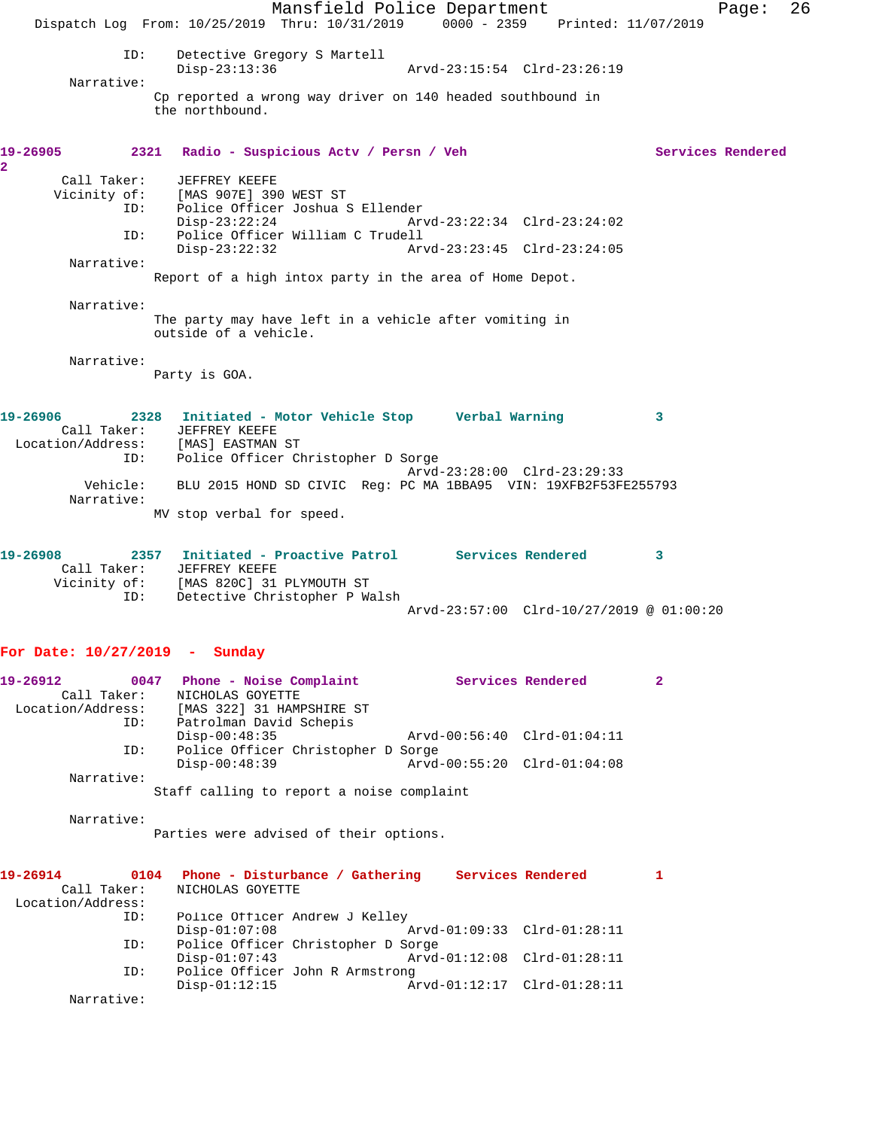Mansfield Police Department Page: 26 Dispatch Log From: 10/25/2019 Thru: 10/31/2019 0000 - 2359 Printed: 11/07/2019 ID: Detective Gregory S Martell<br>Disp-23:13:36 Disp-23:13:36 Arvd-23:15:54 Clrd-23:26:19 Narrative: Cp reported a wrong way driver on 140 headed southbound in the northbound. 19-26905 2321 Radio - Suspicious Actv / Persn / Veh Services Rendered **2**  Call Taker: JEFFREY KEEFE<br>Vicinity of: [MAS 907E] 390 of: [MAS 907E] 390 WEST ST<br>ID: Police Officer Joshua Police Officer Joshua S Ellender Disp-23:22:24 Arvd-23:22:34 Clrd-23:24:02 ID: Police Officer William C Trudell<br>Disp-23:22:32<br>Arv Disp-23:22:32 Arvd-23:23:45 Clrd-23:24:05 Narrative: Report of a high intox party in the area of Home Depot. Narrative: The party may have left in a vehicle after vomiting in outside of a vehicle. Narrative: Party is GOA. **19-26906 2328 Initiated - Motor Vehicle Stop Verbal Warning 3**  Call Taker: JEFFREY KEEFE Location/Address: [MAS] EASTMAN ST ID: Police Officer Christopher D Sorge Arvd-23:28:00 Clrd-23:29:33 Vehicle: BLU 2015 HOND SD CIVIC Reg: PC MA 1BBA95 VIN: 19XFB2F53FE255793 Narrative: MV stop verbal for speed. **19-26908 2357 Initiated - Proactive Patrol Services Rendered 3**  Call Taker: JEFFREY KEEFE Vicinity of: [MAS 820C] 31 PLYMOUTH ST ID: Detective Christopher P Walsh Arvd-23:57:00 Clrd-10/27/2019 @ 01:00:20 **For Date: 10/27/2019 - Sunday 19-26912 0047 Phone - Noise Complaint Services Rendered 2**  Call Taker: NICHOLAS GOYETTE Location/Address: [MAS 322] 31 HAMPSHIRE ST Patrolman David Schepis<br>Disp-00:48:35 Disp-00:48:35 Arvd-00:56:40 Clrd-01:04:11 ID: Police Officer Christopher D Sorge<br>Disp-00:48:39 Arvd- Disp-00:48:39 Arvd-00:55:20 Clrd-01:04:08 Narrative:

Staff calling to report a noise complaint

Narrative:

Parties were advised of their options.

| 19-26914<br>0104  | Phone - Disturbance / Gathering    |                             | Services Rendered |  |
|-------------------|------------------------------------|-----------------------------|-------------------|--|
| Call Taker:       | NICHOLAS GOYETTE                   |                             |                   |  |
| Location/Address: |                                    |                             |                   |  |
| ID:               | Police Officer Andrew J Kelley     |                             |                   |  |
|                   | $Disp-01:07:08$                    | Arvd-01:09:33 Clrd-01:28:11 |                   |  |
| ID:               | Police Officer Christopher D Sorge |                             |                   |  |
|                   | $Disp-01:07:43$                    | Arvd-01:12:08 Clrd-01:28:11 |                   |  |
| ID:               | Police Officer John R Armstrong    |                             |                   |  |
|                   | $Disp-01:12:15$                    | Arvd-01:12:17 Clrd-01:28:11 |                   |  |
| Narrative:        |                                    |                             |                   |  |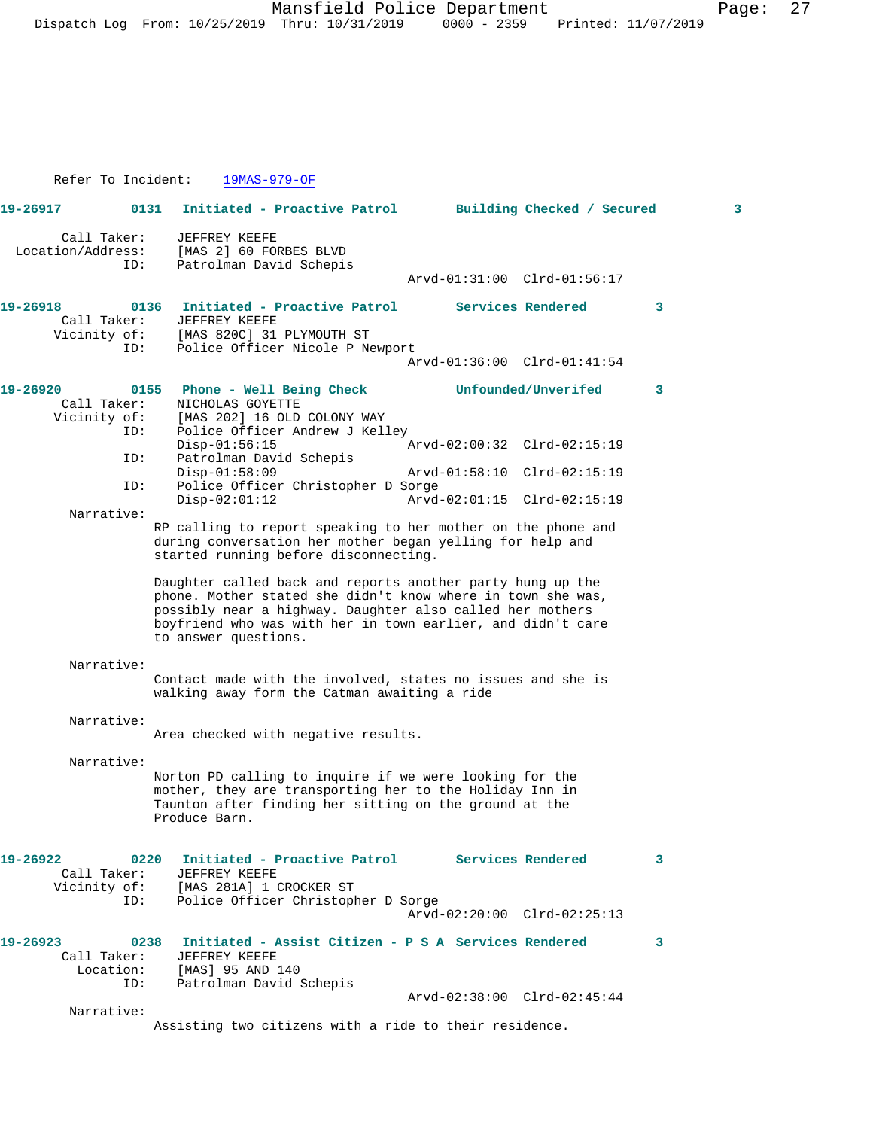Refer To Incident: 19MAS-979-OF **19-26917 0131 Initiated - Proactive Patrol Building Checked / Secured 3** Call Taker: JEFFREY KEEFE Location/Address: [MAS 2] 60 FORBES BLVD ID: Patrolman David Schepis Arvd-01:31:00 Clrd-01:56:17 **19-26918 0136 Initiated - Proactive Patrol Services Rendered 3**  Call Taker: JEFFREY KEEFE Vicinity of: [MAS 820C] 31 PLYMOUTH ST ID: Police Officer Nicole P Newport Arvd-01:36:00 Clrd-01:41:54 **19-26920 0155 Phone - Well Being Check Unfounded/Unverifed 3**  Call Taker: NICHOLAS GOYETTE<br>Vicinity of: [MAS 202] 16 OLD of: [MAS 202] 16 OLD COLONY WAY<br>ID: Police Officer Andrew J Kell Police Officer Andrew J Kelley<br>Disp-01:56:15 Disp-01:56:15 Arvd-02:00:32 Clrd-02:15:19 ID: Patrolman David Schepis Disp-01:58:09 Arvd-01:58:10 Clrd-02:15:19<br>ID: Police Officer Christopher D Sorge Police Officer Christopher D Sorge<br>Disp-02:01:12 Arvd Disp-02:01:12 Arvd-02:01:15 Clrd-02:15:19 Narrative: RP calling to report speaking to her mother on the phone and during conversation her mother began yelling for help and started running before disconnecting. Daughter called back and reports another party hung up the phone. Mother stated she didn't know where in town she was, possibly near a highway. Daughter also called her mothers boyfriend who was with her in town earlier, and didn't care to answer questions. Narrative: Contact made with the involved, states no issues and she is walking away form the Catman awaiting a ride Narrative: Area checked with negative results. Narrative: Norton PD calling to inquire if we were looking for the mother, they are transporting her to the Holiday Inn in Taunton after finding her sitting on the ground at the Produce Barn. **19-26922 0220 Initiated - Proactive Patrol Services Rendered 3**  Call Taker: JEFFREY KEEFE<br>Vicinity of: [MAS 281A] 1 of: [MAS 281A] 1 CROCKER ST<br>ID: Police Officer Christopl Police Officer Christopher D Sorge Arvd-02:20:00 Clrd-02:25:13 **19-26923 0238 Initiated - Assist Citizen - P S A Services Rendered 3**  Call Taker: JEFFREY KEEFE Location: [MAS] 95 AND 140 ID: Patrolman David Schepis Arvd-02:38:00 Clrd-02:45:44 Narrative: Assisting two citizens with a ride to their residence.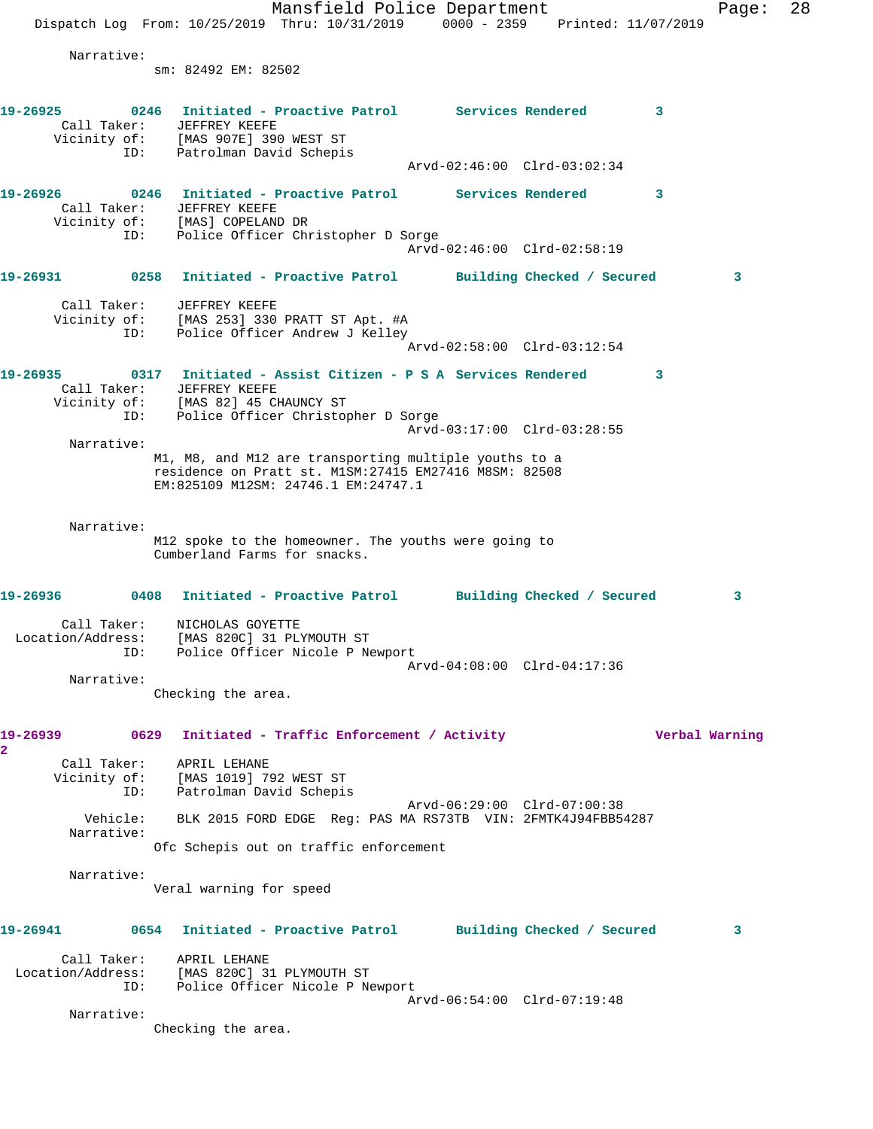Mansfield Police Department Page: 28 Dispatch Log From: 10/25/2019 Thru: 10/31/2019 0000 - 2359 Printed: 11/07/2019 Narrative: sm: 82492 EM: 82502 **19-26925 0246 Initiated - Proactive Patrol Services Rendered 3**  Call Taker: JEFFREY KEEFE Vicinity of: [MAS 907E] 390 WEST ST ID: Patrolman David Schepis Arvd-02:46:00 Clrd-03:02:34 **19-26926 0246 Initiated - Proactive Patrol Services Rendered 3**  Call Taker: JEFFREY KEEFE Vicinity of: [MAS] COPELAND DR ID: Police Officer Christopher D Sorge Arvd-02:46:00 Clrd-02:58:19 **19-26931 0258 Initiated - Proactive Patrol Building Checked / Secured 3** Call Taker: JEFFREY KEEFE Vicinity of: [MAS 253] 330 PRATT ST Apt. #A ID: Police Officer Andrew J Kelley Arvd-02:58:00 Clrd-03:12:54 **19-26935 0317 Initiated - Assist Citizen - P S A Services Rendered 3**  Call Taker: JEFFREY KEEFE Vicinity of: [MAS 82] 45 CHAUNCY ST ID: Police Officer Christopher D Sorge Arvd-03:17:00 Clrd-03:28:55 Narrative: M1, M8, and M12 are transporting multiple youths to a residence on Pratt st. M1SM:27415 EM27416 M8SM: 82508 EM:825109 M12SM: 24746.1 EM:24747.1 Narrative: M12 spoke to the homeowner. The youths were going to Cumberland Farms for snacks. **19-26936 0408 Initiated - Proactive Patrol Building Checked / Secured 3** Call Taker: NICHOLAS GOYETTE Location/Address: [MAS 820C] 31 PLYMOUTH ST ID: Police Officer Nicole P Newport Arvd-04:08:00 Clrd-04:17:36 Narrative: Checking the area. **19-26939 0629 Initiated - Traffic Enforcement / Activity Verbal Warning 2**  Call Taker: APRIL LEHANE Vicinity of: [MAS 1019] 792 WEST ST ID: Patrolman David Schepis Arvd-06:29:00 Clrd-07:00:38 Vehicle: BLK 2015 FORD EDGE Reg: PAS MA RS73TB VIN: 2FMTK4J94FBB54287 Narrative: Ofc Schepis out on traffic enforcement Narrative: Veral warning for speed **19-26941 0654 Initiated - Proactive Patrol Building Checked / Secured 3** Call Taker: APRIL LEHANE Location/Address: [MAS 820C] 31 PLYMOUTH ST ID: Police Officer Nicole P Newport Arvd-06:54:00 Clrd-07:19:48 Narrative: Checking the area.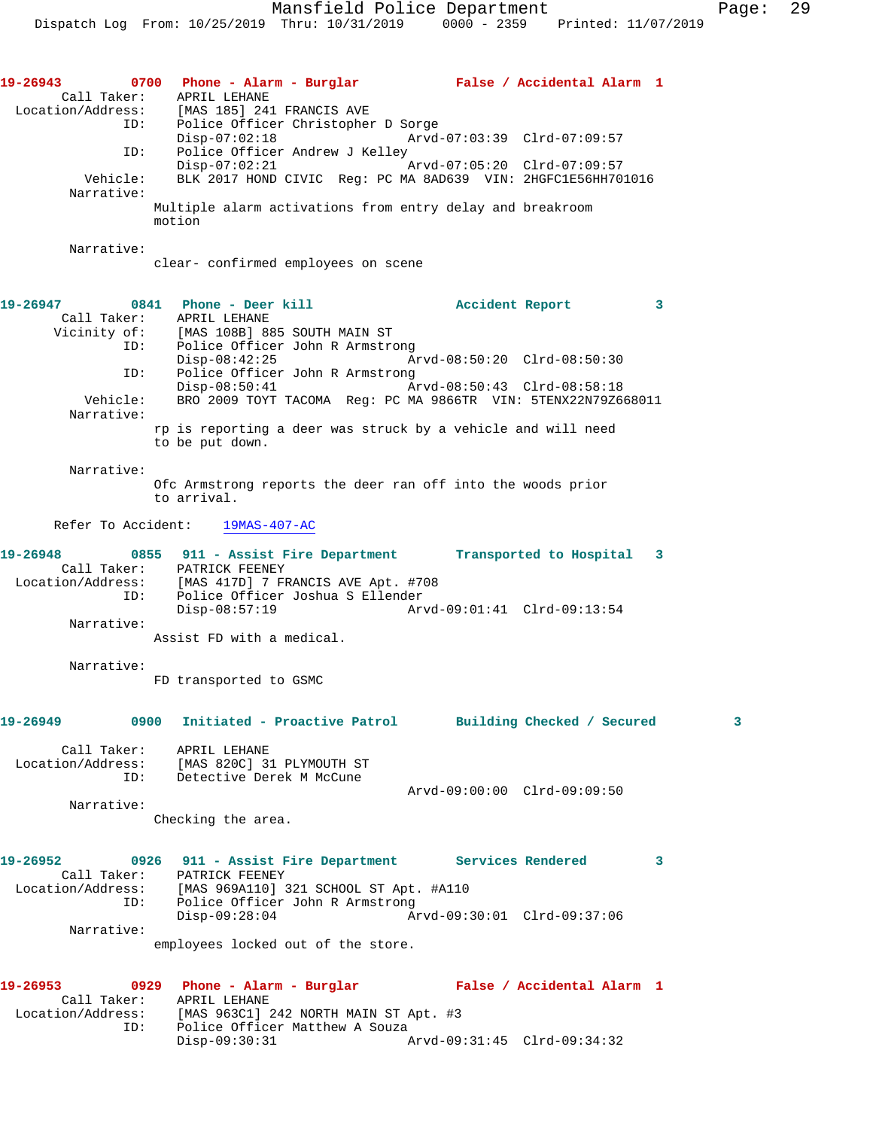**19-26943 0700 Phone - Alarm - Burglar False / Accidental Alarm 1**  Call Taker: APRIL LEHANE Location/Address: [MAS 185] 241 FRANCIS AVE ID: Police Officer Christopher D Sorge<br>Disp-07:02:18 Arvd- Disp-07:02:18 Arvd-07:03:39 Clrd-07:09:57 ID: Police Officer Andrew J Kelley<br>Disp-07:02:21 Disp-07:02:21 Arvd-07:05:20 Clrd-07:09:57 Vehicle: BLK 2017 HOND CIVIC Reg: PC MA 8AD639 VIN: 2HGFC1E56HH701016 Narrative: Multiple alarm activations from entry delay and breakroom motion Narrative: clear- confirmed employees on scene 19-26947 0841 Phone - Deer kill **Accident Report** 3 Call Taker: APRIL LEHANE Vicinity of: [MAS 108B] 885 SOUTH MAIN ST<br>ID: Police Officer John R Armstro Police Officer John R Armstrong<br>Disp-08:42:25 Ar Disp-08:42:25 Arvd-08:50:20 Clrd-08:50:30<br>TD: Police Officer John R Armstrong ID: Police Officer John R Armstrong Disp-08:50:41 Arvd-08:50:43 Clrd-08:58:18 Vehicle: BRO 2009 TOYT TACOMA Reg: PC MA 9866TR VIN: 5TENX22N79Z668011 Narrative: rp is reporting a deer was struck by a vehicle and will need to be put down. Narrative: Ofc Armstrong reports the deer ran off into the woods prior to arrival. Refer To Accident: 19MAS-407-AC **19-26948 0855 911 - Assist Fire Department Transported to Hospital 3**  Call Taker: PATRICK FEENEY Location/Address: [MAS 417D] 7 FRANCIS AVE Apt. #708 ID: Police Officer Joshua S Ellender Disp-08:57:19 Arvd-09:01:41 Clrd-09:13:54 Narrative: Assist FD with a medical. Narrative: FD transported to GSMC **19-26949 0900 Initiated - Proactive Patrol Building Checked / Secured 3** Call Taker: APRIL LEHANE Location/Address: [MAS 820C] 31 PLYMOUTH ST ID: Detective Derek M McCune Arvd-09:00:00 Clrd-09:09:50 Narrative: Checking the area. **19-26952 0926 911 - Assist Fire Department Services Rendered 3**  Call Taker: PATRICK FEENEY Location/Address: [MAS 969A110] 321 SCHOOL ST Apt. #A110 ID: Police Officer John R Armstrong Disp-09:28:04 Arvd-09:30:01 Clrd-09:37:06 Narrative: employees locked out of the store. **19-26953 0929 Phone - Alarm - Burglar False / Accidental Alarm 1**  Call Taker: APRIL LEHANE Location/Address: [MAS 963C1] 242 NORTH MAIN ST Apt. #3 ID: Police Officer Matthew A Souza Disp-09:30:31 Arvd-09:31:45 Clrd-09:34:32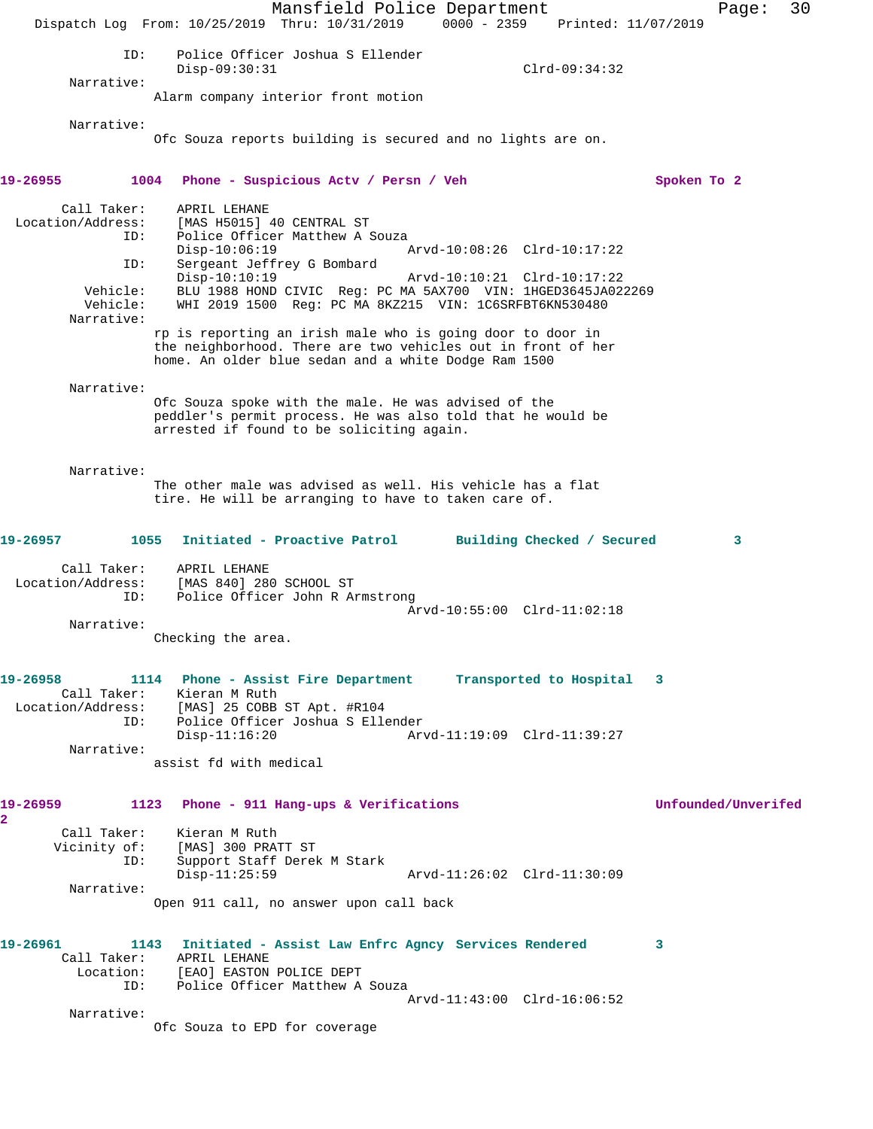Mansfield Police Department Page: 30 Dispatch Log From: 10/25/2019 Thru: 10/31/2019 0000 - 2359 Printed: 11/07/2019 ID: Police Officer Joshua S Ellender Disp-09:30:31 Clrd-09:34:32 Narrative: Alarm company interior front motion Narrative: Ofc Souza reports building is secured and no lights are on. **19-26955 1004 Phone - Suspicious Actv / Persn / Veh Spoken To 2** Call Taker: APRIL LEHANE Location/Address: [MAS H5015] 40 CENTRAL ST ID: Police Officer Matthew A Souza<br>Disp-10:06:19 1 Disp-10:06:19 Arvd-10:08:26 Clrd-10:17:22 ID: Sergeant Jeffrey G Bombard Disp-10:10:19 Arvd-10:10:21 Clrd-10:17:22 Vehicle: BLU 1988 HOND CIVIC Reg: PC MA 5AX700 VIN: 1HGED3645JA022269 Vehicle: WHI 2019 1500 Reg: PC MA 8KZ215 VIN: 1C6SRFBT6KN530480 Narrative: rp is reporting an irish male who is going door to door in the neighborhood. There are two vehicles out in front of her home. An older blue sedan and a white Dodge Ram 1500 Narrative: Ofc Souza spoke with the male. He was advised of the peddler's permit process. He was also told that he would be arrested if found to be soliciting again. Narrative: The other male was advised as well. His vehicle has a flat tire. He will be arranging to have to taken care of. **19-26957 1055 Initiated - Proactive Patrol Building Checked / Secured 3** Call Taker: APRIL LEHANE Location/Address: [MAS 840] 280 SCHOOL ST ID: Police Officer John R Armstrong Arvd-10:55:00 Clrd-11:02:18 Narrative: Checking the area. **19-26958 1114 Phone - Assist Fire Department Transported to Hospital 3**  Call Taker: Kieran M Ruth Location/Address: [MAS] 25 COBB ST Apt. #R104 ID: Police Officer Joshua S Ellender Disp-11:16:20 Arvd-11:19:09 Clrd-11:39:27 Narrative: assist fd with medical **19-26959 1123 Phone - 911 Hang-ups & Verifications Unfounded/Unverifed 2**  Call Taker: Kieran M Ruth Vicinity of: [MAS] 300 PRATT ST ID: Support Staff Derek M Stark Disp-11:25:59 Arvd-11:26:02 Clrd-11:30:09 Narrative: Open 911 call, no answer upon call back **19-26961 1143 Initiated - Assist Law Enfrc Agncy Services Rendered 3**  Call Taker: APRIL LEHANE Location: [EAO] EASTON POLICE DEPT ID: Police Officer Matthew A Souza Arvd-11:43:00 Clrd-16:06:52 Narrative: Ofc Souza to EPD for coverage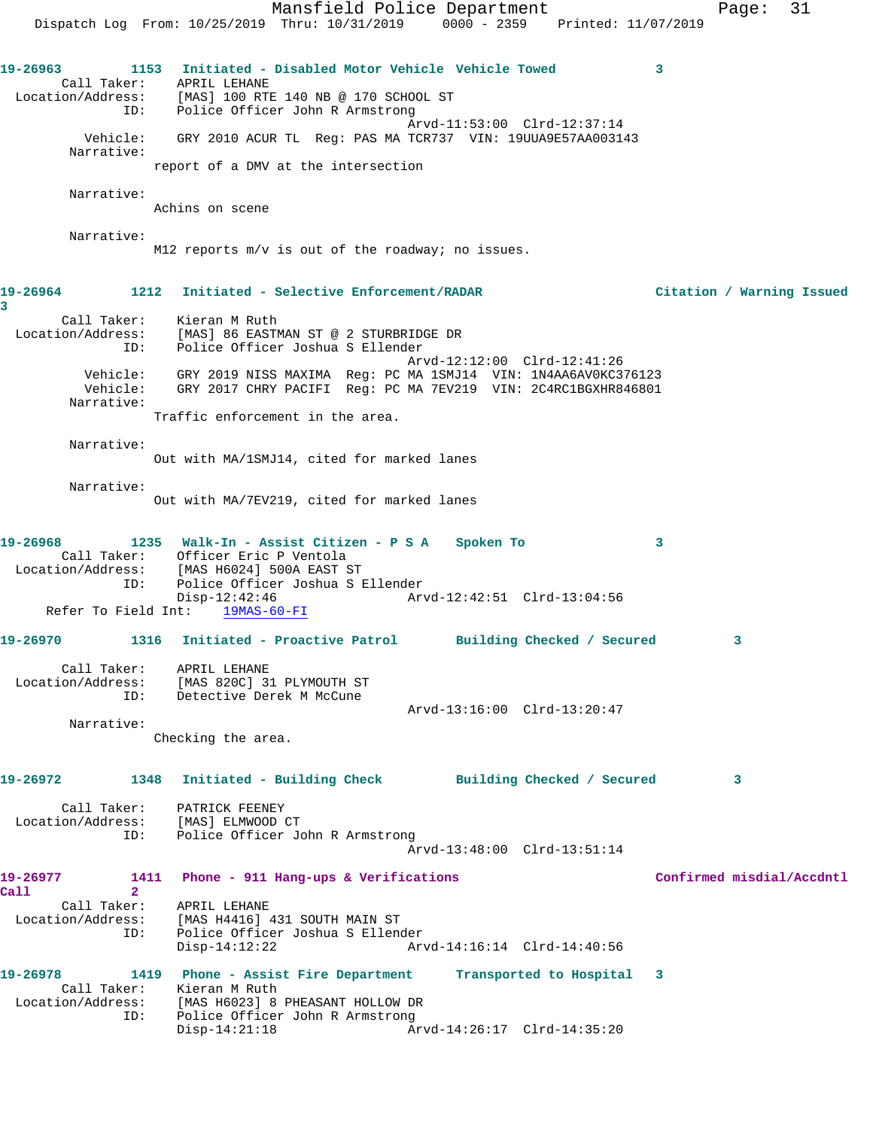Mansfield Police Department Fage: 31 Dispatch Log From: 10/25/2019 Thru: 10/31/2019 0000 - 2359 Printed: 11/07/2019 **19-26963 1153 Initiated - Disabled Motor Vehicle Vehicle Towed 3**  Call Taker: APRIL LEHANE Location/Address: [MAS] 100 RTE 140 NB @ 170 SCHOOL ST ID: Police Officer John R Armstrong Arvd-11:53:00 Clrd-12:37:14 Vehicle: GRY 2010 ACUR TL Reg: PAS MA TCR737 VIN: 19UUA9E57AA003143 Narrative: report of a DMV at the intersection Narrative: Achins on scene Narrative: M12 reports m/v is out of the roadway; no issues. **19-26964 1212 Initiated - Selective Enforcement/RADAR Citation / Warning Issued 3**  Call Taker: Kieran M Ruth Location/Address: [MAS] 86 EASTMAN ST @ 2 STURBRIDGE DR ID: Police Officer Joshua S Ellender Arvd-12:12:00 Clrd-12:41:26 Vehicle: GRY 2019 NISS MAXIMA Reg: PC MA 1SMJ14 VIN: 1N4AA6AV0KC376123 Vehicle: GRY 2017 CHRY PACIFI Reg: PC MA 7EV219 VIN: 2C4RC1BGXHR846801 Narrative: Traffic enforcement in the area. Narrative: Out with MA/1SMJ14, cited for marked lanes Narrative: Out with MA/7EV219, cited for marked lanes **19-26968 1235 Walk-In - Assist Citizen - P S A Spoken To 3**  Call Taker: Officer Eric P Ventola Location/Address: [MAS H6024] 500A EAST ST ID: Police Officer Joshua S Ellender Disp-12:42:46 Arvd-12:42:51 Clrd-13:04:56 Refer To Field Int: 19MAS-60-FI **19-26970 1316 Initiated - Proactive Patrol Building Checked / Secured 3** Call Taker: APRIL LEHANE Location/Address: [MAS 820C] 31 PLYMOUTH ST ID: Detective Derek M McCune Arvd-13:16:00 Clrd-13:20:47 Narrative: Checking the area. **19-26972 1348 Initiated - Building Check Building Checked / Secured 3** Call Taker: PATRICK FEENEY Location/Address: [MAS] ELMWOOD CT ID: Police Officer John R Armstrong Arvd-13:48:00 Clrd-13:51:14 **19-26977 1411 Phone - 911 Hang-ups & Verifications Confirmed misdial/Accdntl Call 2**  Call Taker: APRIL LEHANE Location/Address: [MAS H4416] 431 SOUTH MAIN ST<br>ID: Police Officer Joshua S Elleno Police Officer Joshua S Ellender Disp-14:12:22 Arvd-14:16:14 Clrd-14:40:56 **19-26978 1419 Phone - Assist Fire Department Transported to Hospital 3**  Call Taker: Kieran M Ruth Location/Address: [MAS H6023] 8 PHEASANT HOLLOW DR ID: Police Officer John R Armstrong Disp-14:21:18 Arvd-14:26:17 Clrd-14:35:20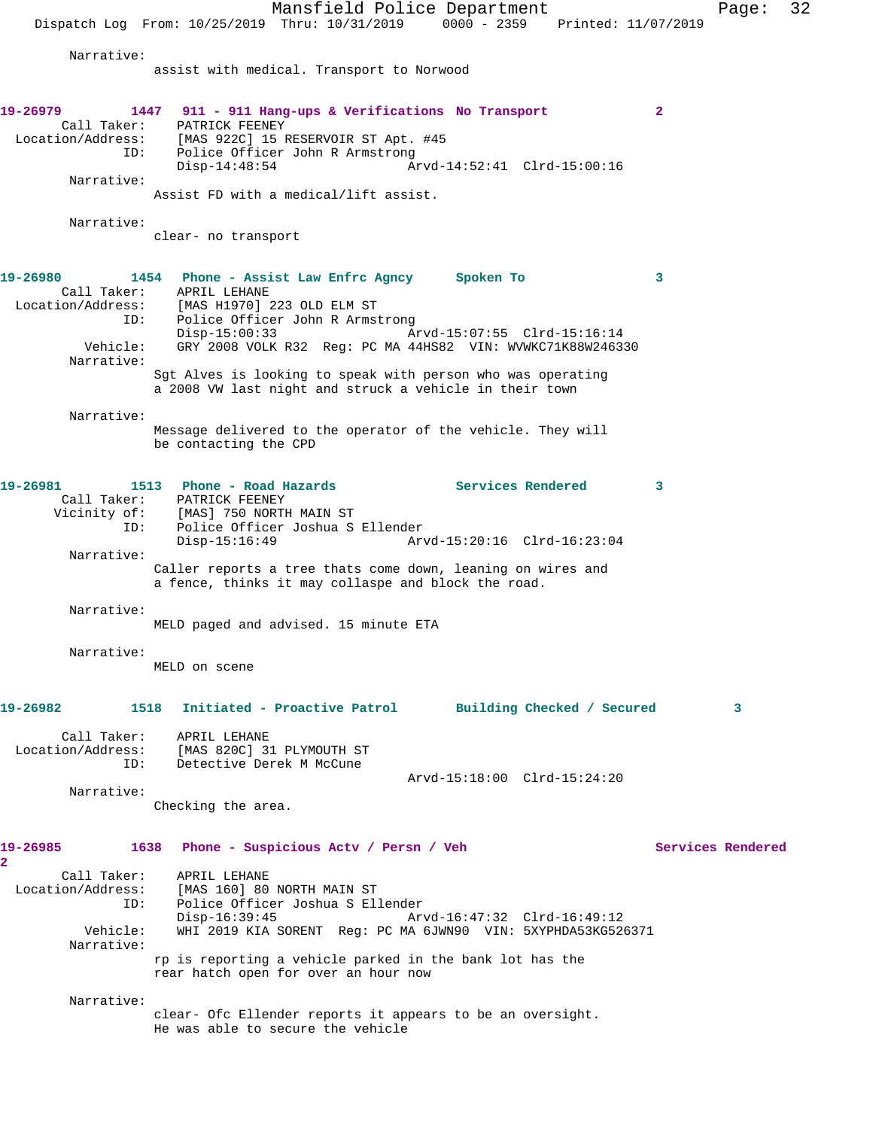Mansfield Police Department Page: 32 Dispatch Log From: 10/25/2019 Thru: 10/31/2019 0000 - 2359 Printed: 11/07/2019 Narrative: assist with medical. Transport to Norwood **19-26979 1447 911 - 911 Hang-ups & Verifications No Transport 2**  Call Taker: PATRICK FEENEY Location/Address: [MAS 922C] 15 RESERVOIR ST Apt. #45 ID: Police Officer John R Armstrong Disp-14:48:54 Arvd-14:52:41 Clrd-15:00:16 Narrative: Assist FD with a medical/lift assist. Narrative: clear- no transport **19-26980 1454 Phone - Assist Law Enfrc Agncy Spoken To 3**  Call Taker: APRIL LEHANE Location/Address: [MAS H1970] 223 OLD ELM ST ID: Police Officer John R Armstrong Disp-15:00:33 Arvd-15:07:55 Clrd-15:16:14 Vehicle: GRY 2008 VOLK R32 Reg: PC MA 44HS82 VIN: WVWKC71K88W246330 Narrative: Sgt Alves is looking to speak with person who was operating a 2008 VW last night and struck a vehicle in their town Narrative: Message delivered to the operator of the vehicle. They will be contacting the CPD **19-26981 1513 Phone - Road Hazards Services Rendered 3**  Call Taker: PATRICK FEENEY Vicinity of: [MAS] 750 NORTH MAIN ST ID: Police Officer Joshua S Ellender Disp-15:16:49 Arvd-15:20:16 Clrd-16:23:04 Narrative: Caller reports a tree thats come down, leaning on wires and a fence, thinks it may collaspe and block the road. Narrative: MELD paged and advised. 15 minute ETA Narrative: MELD on scene **19-26982 1518 Initiated - Proactive Patrol Building Checked / Secured 3** Call Taker: APRIL LEHANE Location/Address: [MAS 820C] 31 PLYMOUTH ST ID: Detective Derek M McCune Arvd-15:18:00 Clrd-15:24:20 Narrative: Checking the area. **19-26985 1638 Phone - Suspicious Actv / Persn / Veh Services Rendered 2**  Call Taker: APRIL LEHANE Location/Address: [MAS 160] 80 NORTH MAIN ST ID: Police Officer Joshua S Ellender Disp-16:39:45 Arvd-16:47:32 Clrd-16:49:12 Vehicle: WHI 2019 KIA SORENT Reg: PC MA 6JWN90 VIN: 5XYPHDA53KG526371 Narrative: rp is reporting a vehicle parked in the bank lot has the rear hatch open for over an hour now Narrative: clear- Ofc Ellender reports it appears to be an oversight. He was able to secure the vehicle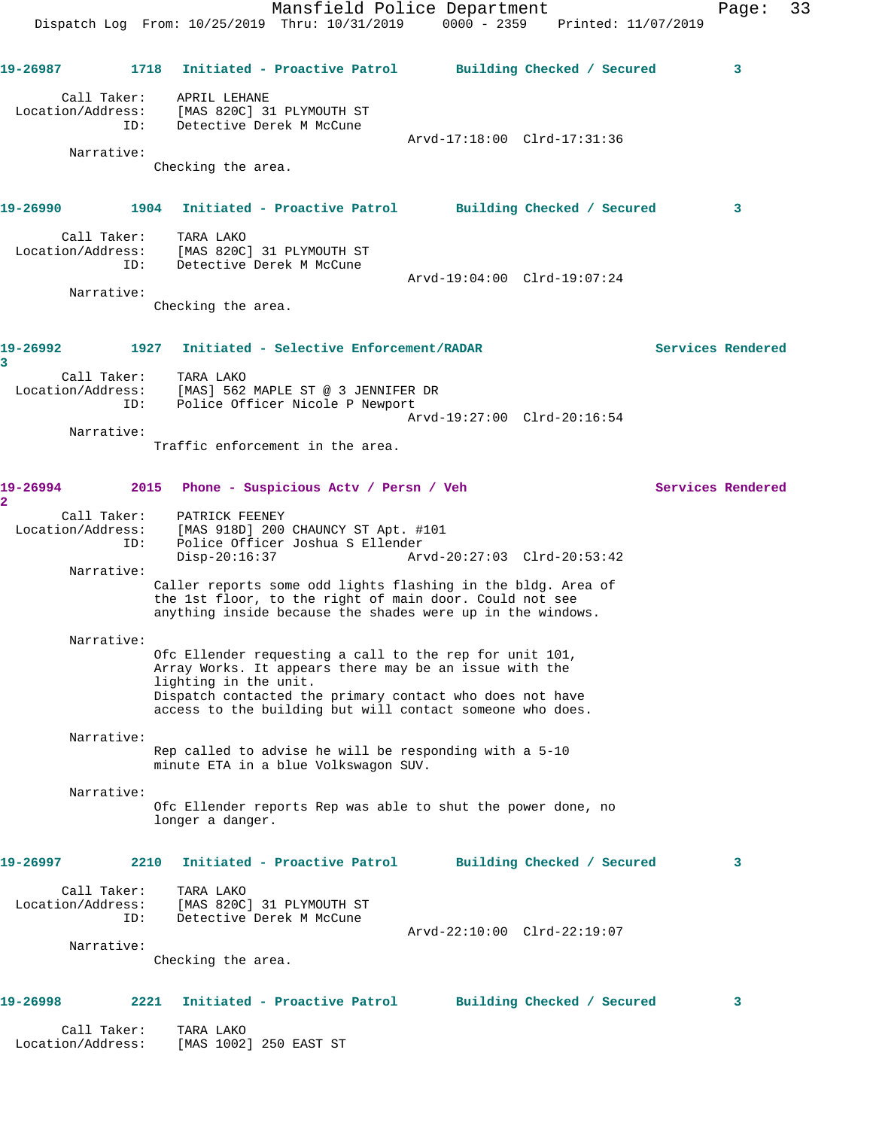Mansfield Police Department Form Page: 33 Dispatch Log From: 10/25/2019 Thru: 10/31/2019 0000 - 2359 Printed: 11/07/2019 **19-26987 1718 Initiated - Proactive Patrol Building Checked / Secured 3** Call Taker: APRIL LEHANE Location/Address: [MAS 820C] 31 PLYMOUTH ST ID: Detective Derek M McCune Arvd-17:18:00 Clrd-17:31:36 Narrative: Checking the area. **19-26990 1904 Initiated - Proactive Patrol Building Checked / Secured 3** Call Taker: TARA LAKO Location/Address: [MAS 820C] 31 PLYMOUTH ST ID: Detective Derek M McCune Arvd-19:04:00 Clrd-19:07:24 Narrative: Checking the area. **19-26992 1927 Initiated - Selective Enforcement/RADAR Services Rendered 3**  Call Taker: TARA LAKO Location/Address: [MAS] 562 MAPLE ST @ 3 JENNIFER DR ID: Police Officer Nicole P Newport Arvd-19:27:00 Clrd-20:16:54 Narrative: Traffic enforcement in the area. **19-26994 2015 Phone - Suspicious Actv / Persn / Veh Services Rendered 2**  Call Taker: PATRICK FEENEY Location/Address: [MAS 918D] 200 CHAUNCY ST Apt. #101 ID: Police Officer Joshua S Ellender Arvd-20:27:03 Clrd-20:53:42 Narrative: Caller reports some odd lights flashing in the bldg. Area of the 1st floor, to the right of main door. Could not see anything inside because the shades were up in the windows. Narrative: Ofc Ellender requesting a call to the rep for unit 101, Array Works. It appears there may be an issue with the lighting in the unit. Dispatch contacted the primary contact who does not have access to the building but will contact someone who does. Narrative: Rep called to advise he will be responding with a 5-10 minute ETA in a blue Volkswagon SUV. Narrative: Ofc Ellender reports Rep was able to shut the power done, no longer a danger. **19-26997 2210 Initiated - Proactive Patrol Building Checked / Secured 3** Call Taker: TARA LAKO Location/Address: [MAS 820C] 31 PLYMOUTH ST ID: Detective Derek M McCune Arvd-22:10:00 Clrd-22:19:07 Narrative: Checking the area. **19-26998 2221 Initiated - Proactive Patrol Building Checked / Secured 3** Call Taker: TARA LAKO Location/Address: [MAS 1002] 250 EAST ST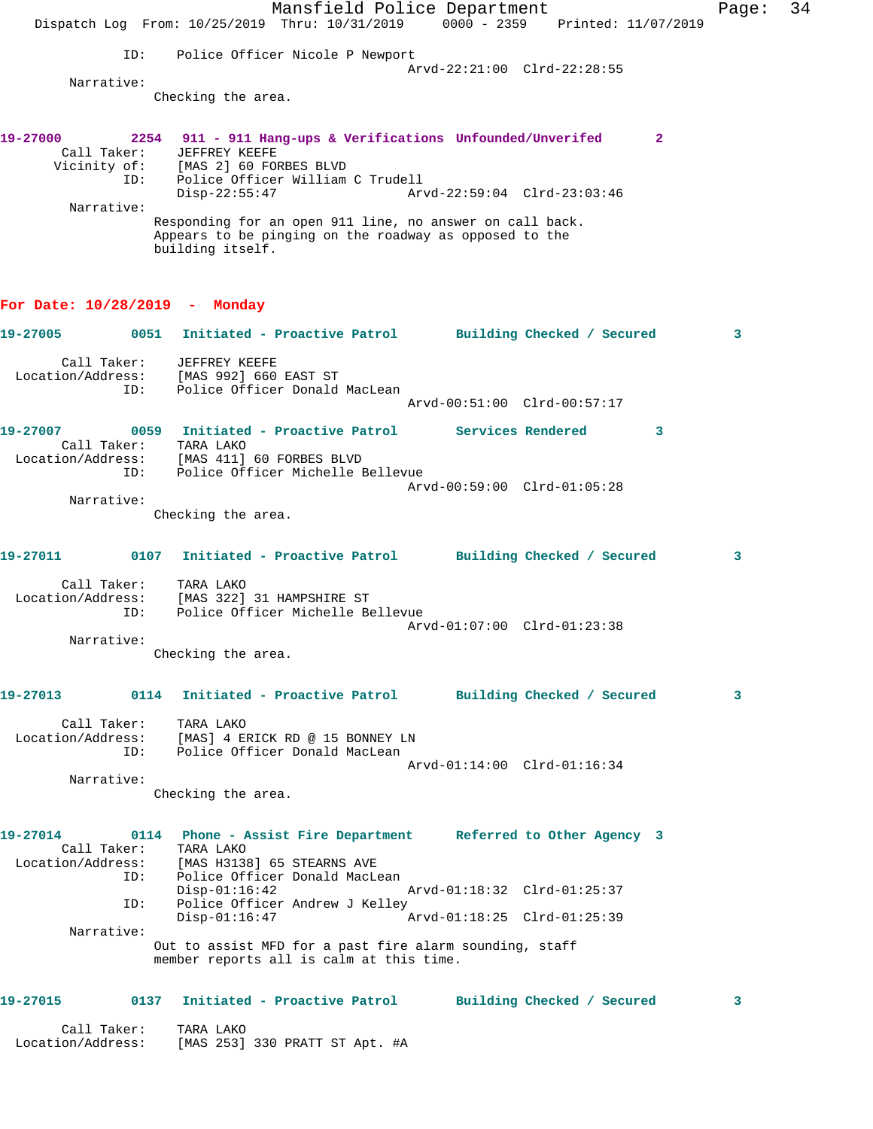|                                  | Dispatch Log From: 10/25/2019 Thru: 10/31/2019 0000 - 2359 Printed: 11/07/2019                                                                 | Mansfield Police Department      |  |                             |   | Page: | 34 |
|----------------------------------|------------------------------------------------------------------------------------------------------------------------------------------------|----------------------------------|--|-----------------------------|---|-------|----|
|                                  | ID:                                                                                                                                            | Police Officer Nicole P Newport  |  |                             |   |       |    |
| Narrative:                       |                                                                                                                                                |                                  |  | Arvd-22:21:00 Clrd-22:28:55 |   |       |    |
|                                  | Checking the area.                                                                                                                             |                                  |  |                             |   |       |    |
| 19-27000<br>Call Taker:          | 2254 911 - 911 Hang-ups & Verifications Unfounded/Unverifed<br>JEFFREY KEEFE<br>Vicinity of: [MAS 2] 60 FORBES BLVD<br>ID:                     | Police Officer William C Trudell |  |                             | 2 |       |    |
|                                  | $Disp-22:55:47$                                                                                                                                |                                  |  | Arvd-22:59:04 Clrd-23:03:46 |   |       |    |
| Narrative:                       | Responding for an open 911 line, no answer on call back.<br>Appears to be pinging on the roadway as opposed to the<br>building itself.         |                                  |  |                             |   |       |    |
| For Date: $10/28/2019$ - Monday  |                                                                                                                                                |                                  |  |                             |   |       |    |
| 19-27005                         | 0051 Initiated - Proactive Patrol Building Checked / Secured                                                                                   |                                  |  |                             |   | 3     |    |
| Call Taker:                      | JEFFREY KEEFE<br>Location/Address: [MAS 992] 660 EAST ST<br>ID:                                                                                | Police Officer Donald MacLean    |  | Arvd-00:51:00 Clrd-00:57:17 |   |       |    |
|                                  |                                                                                                                                                |                                  |  |                             |   |       |    |
| 19-27007<br>Location/Address:    | 0059 Initiated - Proactive Patrol Services Rendered<br>Call Taker: TARA LAKO<br>[MAS 411] 60 FORBES BLVD<br>ID:                                | Police Officer Michelle Bellevue |  |                             | 3 |       |    |
|                                  |                                                                                                                                                |                                  |  | Arvd-00:59:00 Clrd-01:05:28 |   |       |    |
| Narrative:                       | Checking the area.                                                                                                                             |                                  |  |                             |   |       |    |
| 19-27011                         | 0107 Initiated - Proactive Patrol Building Checked / Secured                                                                                   |                                  |  |                             |   | 3     |    |
| Call Taker:                      | TARA LAKO<br>Location/Address: [MAS 322] 31 HAMPSHIRE ST<br>ID:                                                                                | Police Officer Michelle Bellevue |  | Arvd-01:07:00 Clrd-01:23:38 |   |       |    |
| Narrative:                       |                                                                                                                                                |                                  |  |                             |   |       |    |
|                                  | Checking the area.                                                                                                                             |                                  |  |                             |   |       |    |
| 19-27013                         | 0114 Initiated - Proactive Patrol Building Checked / Secured                                                                                   |                                  |  |                             |   | 3     |    |
| Call Taker:                      | TARA LAKO<br>Location/Address: [MAS] 4 ERICK RD @ 15 BONNEY LN<br>ID:                                                                          | Police Officer Donald MacLean    |  |                             |   |       |    |
| Narrative:                       |                                                                                                                                                |                                  |  | Arvd-01:14:00 Clrd-01:16:34 |   |       |    |
|                                  | Checking the area.                                                                                                                             |                                  |  |                             |   |       |    |
| 19-27014                         | 0114 Phone - Assist Fire Department Referred to Other Agency 3<br>Call Taker: TARA LAKO<br>Location/Address: [MAS H3138] 65 STEARNS AVE<br>ID: | Police Officer Donald MacLean    |  |                             |   |       |    |
|                                  | $Disp-01:16:42$<br>ID:                                                                                                                         | Police Officer Andrew J Kelley   |  |                             |   |       |    |
| Narrative:                       | $Disp-01:16:47$                                                                                                                                |                                  |  | Arvd-01:18:25 Clrd-01:25:39 |   |       |    |
|                                  | Out to assist MFD for a past fire alarm sounding, staff<br>member reports all is calm at this time.                                            |                                  |  |                             |   |       |    |
| 19-27015                         | 0137 Initiated - Proactive Patrol Building Checked / Secured                                                                                   |                                  |  |                             |   | 3     |    |
| Call Taker:<br>Location/Address: | TARA LAKO<br>[MAS 253] 330 PRATT ST Apt. #A                                                                                                    |                                  |  |                             |   |       |    |
|                                  |                                                                                                                                                |                                  |  |                             |   |       |    |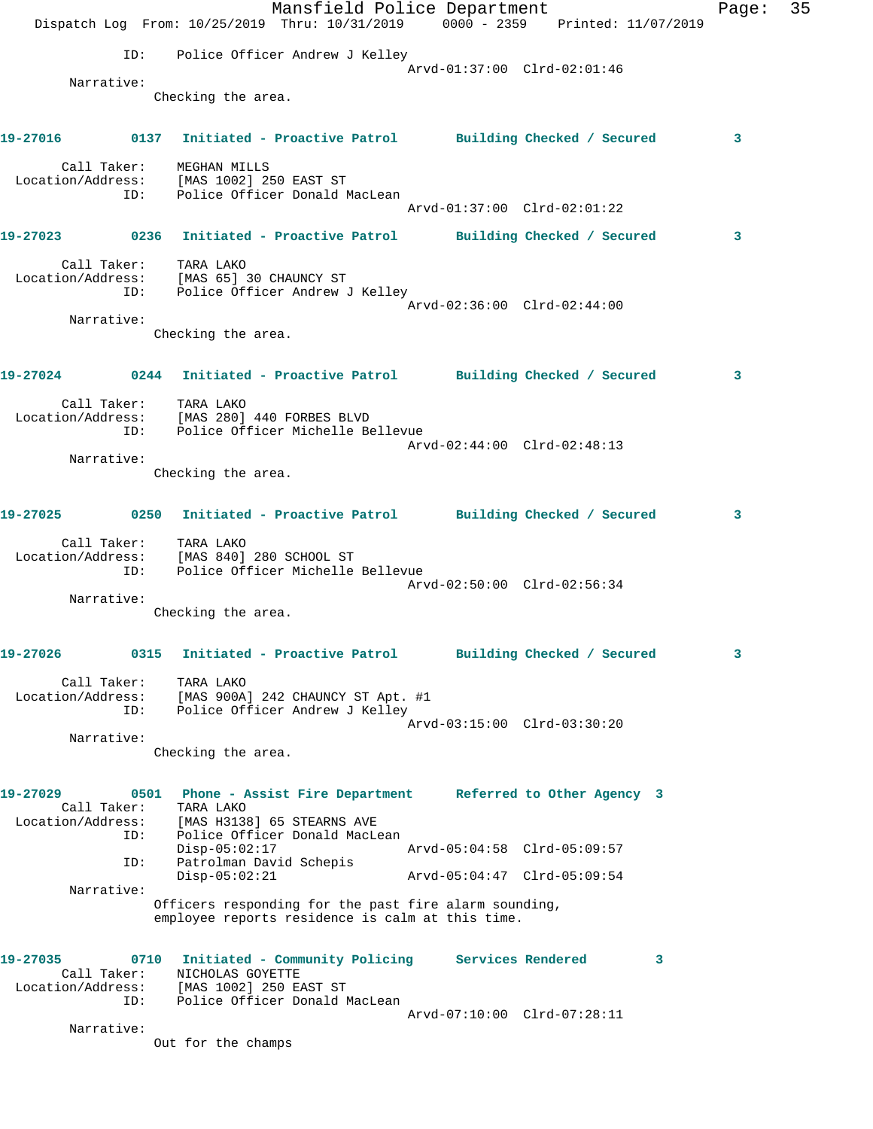|                                              |             |                                                                      | Mansfield Police Department<br>Dispatch Log From: 10/25/2019 Thru: 10/31/2019 0000 - 2359 Printed: 11/07/2019 |                             |                            |   | Page: | 35 |
|----------------------------------------------|-------------|----------------------------------------------------------------------|---------------------------------------------------------------------------------------------------------------|-----------------------------|----------------------------|---|-------|----|
|                                              | ID:         |                                                                      | Police Officer Andrew J Kelley                                                                                |                             |                            |   |       |    |
|                                              |             |                                                                      |                                                                                                               | Arvd-01:37:00 Clrd-02:01:46 |                            |   |       |    |
| Narrative:                                   |             | Checking the area.                                                   |                                                                                                               |                             |                            |   |       |    |
|                                              |             |                                                                      | 19-27016      0137 Initiated - Proactive Patrol     Building Checked / Secured                                |                             |                            |   | 3     |    |
|                                              | Call Taker: | MEGHAN MILLS<br>Location/Address: [MAS 1002] 250 EAST ST             |                                                                                                               |                             |                            |   |       |    |
|                                              |             |                                                                      | ID: Police Officer Donald MacLean                                                                             | Arvd-01:37:00 Clrd-02:01:22 |                            |   |       |    |
|                                              |             |                                                                      | 19-27023 0236 Initiated - Proactive Patrol Building Checked / Secured                                         |                             |                            |   | 3     |    |
|                                              |             | Call Taker: TARA LAKO<br>Location/Address: [MAS 65] 30 CHAUNCY ST    | ID: Police Officer Andrew J Kelley                                                                            |                             |                            |   |       |    |
| Narrative:                                   |             |                                                                      |                                                                                                               | Arvd-02:36:00 Clrd-02:44:00 |                            |   |       |    |
|                                              |             | Checking the area.                                                   |                                                                                                               |                             |                            |   |       |    |
|                                              |             |                                                                      | 19-27024 0244 Initiated - Proactive Patrol Building Checked / Secured                                         |                             |                            |   | 3     |    |
|                                              |             | Call Taker: TARA LAKO<br>Location/Address: [MAS 280] 440 FORBES BLVD | ID: Police Officer Michelle Bellevue                                                                          |                             |                            |   |       |    |
|                                              |             |                                                                      |                                                                                                               | Arvd-02:44:00 Clrd-02:48:13 |                            |   |       |    |
| Narrative:                                   |             | Checking the area.                                                   |                                                                                                               |                             |                            |   |       |    |
|                                              |             |                                                                      | 19-27025 0250 Initiated - Proactive Patrol Building Checked / Secured                                         |                             |                            |   | 3     |    |
|                                              |             | Call Taker: TARA LAKO                                                | Location/Address: [MAS 840] 280 SCHOOL ST<br>ID: Police Officer Michelle Bellevue                             | Arvd-02:50:00 Clrd-02:56:34 |                            |   |       |    |
| Narrative:                                   |             |                                                                      |                                                                                                               |                             |                            |   |       |    |
|                                              |             | Checking the area.                                                   |                                                                                                               |                             |                            |   |       |    |
| 19-27026                                     | 0315        |                                                                      | Initiated - Proactive Patrol                                                                                  |                             | Building Checked / Secured |   | 3     |    |
| Call Taker:<br>Location/Address:             | ID:         | TARA LAKO                                                            | [MAS 900A] 242 CHAUNCY ST Apt. #1<br>Police Officer Andrew J Kelley                                           |                             |                            |   |       |    |
|                                              |             |                                                                      |                                                                                                               | Arvd-03:15:00 Clrd-03:30:20 |                            |   |       |    |
| Narrative:                                   |             | Checking the area.                                                   |                                                                                                               |                             |                            |   |       |    |
| 19-27029<br>Call Taker:<br>Location/Address: |             | TARA LAKO<br>[MAS H3138] 65 STEARNS AVE                              | 0501 Phone - Assist Fire Department Referred to Other Agency 3                                                |                             |                            |   |       |    |
|                                              | ID:         | $Disp-05:02:17$                                                      | Police Officer Donald MacLean                                                                                 | Arvd-05:04:58 Clrd-05:09:57 |                            |   |       |    |
|                                              | ID:         | Patrolman David Schepis<br>$Disp-05:02:21$                           |                                                                                                               | Arvd-05:04:47 Clrd-05:09:54 |                            |   |       |    |
| Narrative:                                   |             |                                                                      |                                                                                                               |                             |                            |   |       |    |
|                                              |             |                                                                      | Officers responding for the past fire alarm sounding,<br>employee reports residence is calm at this time.     |                             |                            |   |       |    |
| 19-27035<br>Call Taker:<br>Location/Address: | 0710        | NICHOLAS GOYETTE<br>[MAS 1002] 250 EAST ST                           | Initiated - Community Policing Services Rendered                                                              |                             |                            | 3 |       |    |
|                                              | ID:         |                                                                      | Police Officer Donald MacLean                                                                                 | Arvd-07:10:00 Clrd-07:28:11 |                            |   |       |    |
| Narrative:                                   |             | Out for the champs                                                   |                                                                                                               |                             |                            |   |       |    |
|                                              |             |                                                                      |                                                                                                               |                             |                            |   |       |    |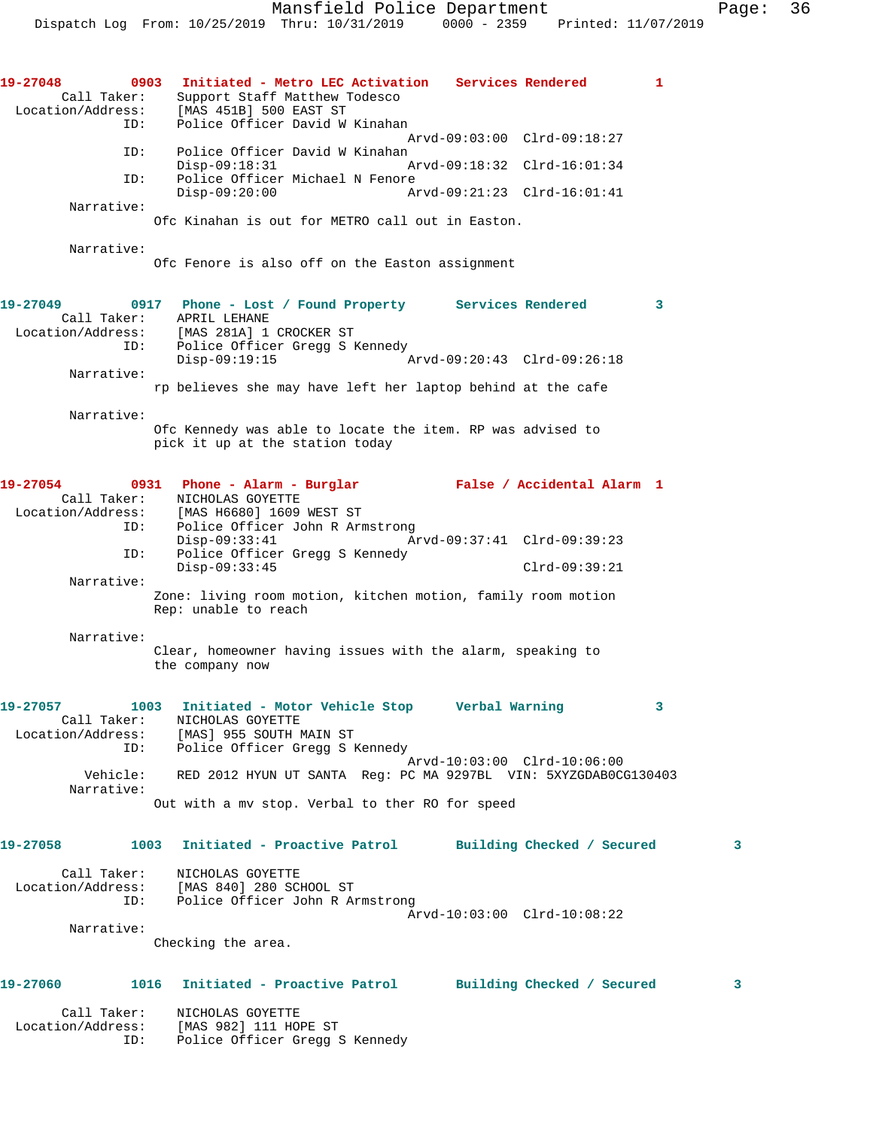**19-27048 0903 Initiated - Metro LEC Activation Services Rendered 1**  Call Taker: Support Staff Matthew Todesco Location/Address: [MAS 451B] 500 EAST ST ID: Police Officer David W Kinahan Arvd-09:03:00 Clrd-09:18:27 ID: Police Officer David W Kinahan<br>Disp-09:18:31 Disp-09:18:31 Arvd-09:18:32 Clrd-16:01:34 ID: Police Officer Michael N Fenore<br>Disp-09:20:00 A Disp-09:20:00 Arvd-09:21:23 Clrd-16:01:41 Narrative: Ofc Kinahan is out for METRO call out in Easton. Narrative: Ofc Fenore is also off on the Easton assignment **19-27049 0917 Phone - Lost / Found Property Services Rendered 3**  Call Taker: APRIL LEHANE Location/Address: [MAS 281A] 1 CROCKER ST ID: Police Officer Gregg S Kennedy Disp-09:19:15 Arvd-09:20:43 Clrd-09:26:18 Narrative: rp believes she may have left her laptop behind at the cafe Narrative: Ofc Kennedy was able to locate the item. RP was advised to pick it up at the station today **19-27054 0931 Phone - Alarm - Burglar False / Accidental Alarm 1**  Call Taker: NICHOLAS GOYETTE Location/Address: [MAS H6680] 1609 WEST ST ID: Police Officer John R Armstrong Disp-09:33:41 Arvd-09:37:41 Clrd-09:39:23 ID: Police Officer Gregg S Kennedy Disp-09:33:45 Clrd-09:39:21 Narrative: Zone: living room motion, kitchen motion, family room motion Rep: unable to reach Narrative: Clear, homeowner having issues with the alarm, speaking to the company now **19-27057 1003 Initiated - Motor Vehicle Stop Verbal Warning 3**  Call Taker: NICHOLAS GOYETTE Location/Address: [MAS] 955 SOUTH MAIN ST ID: Police Officer Gregg S Kennedy Arvd-10:03:00 Clrd-10:06:00 Vehicle: RED 2012 HYUN UT SANTA Reg: PC MA 9297BL VIN: 5XYZGDAB0CG130403 Narrative: Out with a mv stop. Verbal to ther RO for speed **19-27058 1003 Initiated - Proactive Patrol Building Checked / Secured 3** Call Taker: NICHOLAS GOYETTE<br>Location/Address: [MAS 840] 280 SCI ess: [MAS 840] 280 SCHOOL ST<br>ID: Police Officer John R A Police Officer John R Armstrong Arvd-10:03:00 Clrd-10:08:22 Narrative: Checking the area. **19-27060 1016 Initiated - Proactive Patrol Building Checked / Secured 3** Call Taker: NICHOLAS GOYETTE Location/Address: [MAS 982] 111 HOPE ST ID: Police Officer Gregg S Kennedy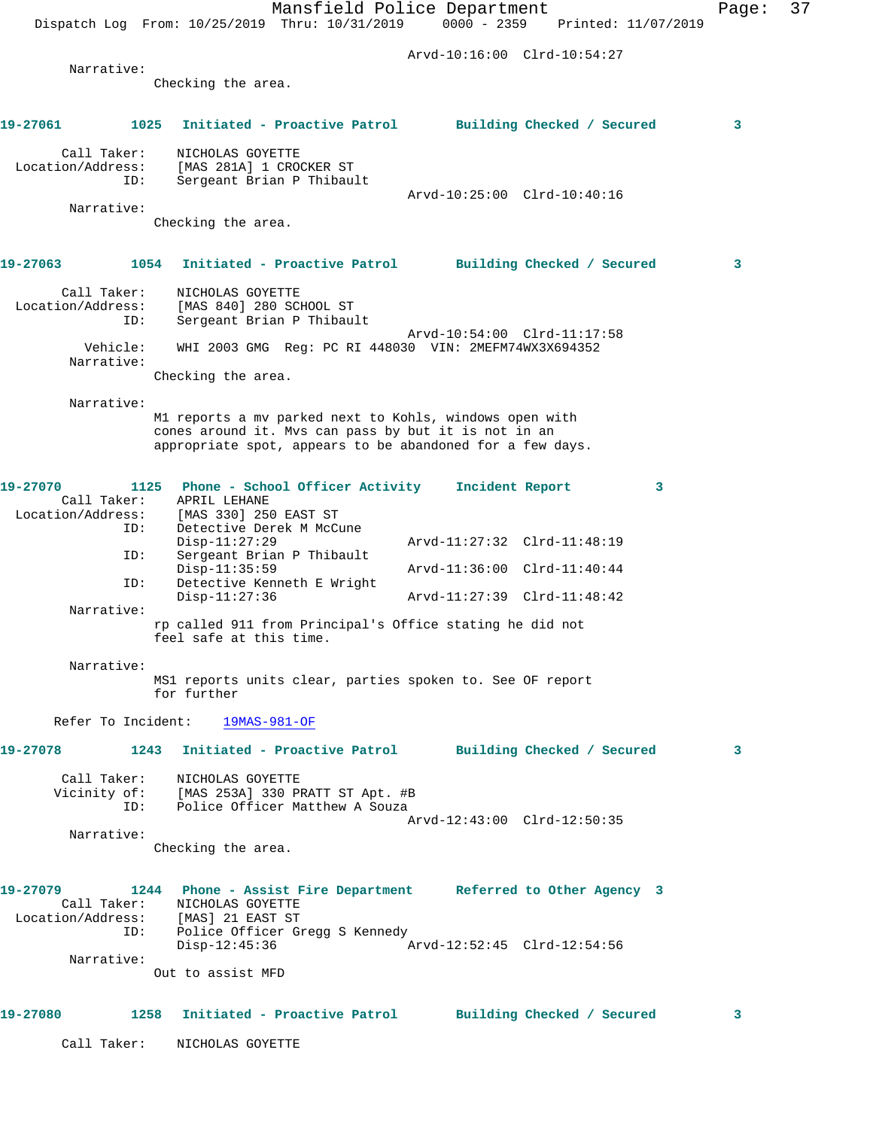|                                                                          |                                                   | Mansfield Police Department<br>Dispatch Log From: 10/25/2019 Thru: 10/31/2019 0000 - 2359 Printed: 11/07/2019 |                             |                 |                            |   | Page: | 37 |
|--------------------------------------------------------------------------|---------------------------------------------------|---------------------------------------------------------------------------------------------------------------|-----------------------------|-----------------|----------------------------|---|-------|----|
|                                                                          |                                                   |                                                                                                               | Arvd-10:16:00 Clrd-10:54:27 |                 |                            |   |       |    |
| Narrative:                                                               |                                                   |                                                                                                               |                             |                 |                            |   |       |    |
|                                                                          | Checking the area.                                |                                                                                                               |                             |                 |                            |   |       |    |
| 19-27061<br>1025                                                         |                                                   | Initiated - Proactive Patrol                                                                                  |                             |                 | Building Checked / Secured |   | 3     |    |
| Call Taker:<br>Location/Address:<br>ID:                                  | NICHOLAS GOYETTE<br>[MAS 281A] 1 CROCKER ST       | Sergeant Brian P Thibault                                                                                     |                             |                 |                            |   |       |    |
|                                                                          |                                                   |                                                                                                               | Arvd-10:25:00 Clrd-10:40:16 |                 |                            |   |       |    |
| Narrative:                                                               | Checking the area.                                |                                                                                                               |                             |                 |                            |   |       |    |
|                                                                          |                                                   |                                                                                                               |                             |                 |                            |   |       |    |
| 19-27063                                                                 |                                                   | 1054 Initiated - Proactive Patrol                                                                             |                             |                 | Building Checked / Secured |   | 3     |    |
| Call Taker:<br>Location/Address:<br>ID:                                  | NICHOLAS GOYETTE<br>[MAS 840] 280 SCHOOL ST       | Sergeant Brian P Thibault                                                                                     |                             |                 |                            |   |       |    |
| Vehicle:<br>Narrative:                                                   |                                                   | WHI 2003 GMG Req: PC RI 448030 VIN: 2MEFM74WX3X694352                                                         | Arvd-10:54:00 Clrd-11:17:58 |                 |                            |   |       |    |
|                                                                          | Checking the area.                                |                                                                                                               |                             |                 |                            |   |       |    |
| Narrative:                                                               |                                                   |                                                                                                               |                             |                 |                            |   |       |    |
|                                                                          |                                                   | M1 reports a mv parked next to Kohls, windows open with                                                       |                             |                 |                            |   |       |    |
|                                                                          |                                                   | cones around it. Mvs can pass by but it is not in an                                                          |                             |                 |                            |   |       |    |
|                                                                          |                                                   | appropriate spot, appears to be abandoned for a few days.                                                     |                             |                 |                            |   |       |    |
| 19-27070                                                                 | 1125                                              | Phone - School Officer Activity                                                                               |                             | Incident Report |                            | 3 |       |    |
| Call Taker:                                                              | APRIL LEHANE                                      |                                                                                                               |                             |                 |                            |   |       |    |
| Location/Address:<br>ID:                                                 | [MAS 330] 250 EAST ST<br>Detective Derek M McCune |                                                                                                               |                             |                 |                            |   |       |    |
|                                                                          | $Disp-11:27:29$                                   |                                                                                                               | Arvd-11:27:32 Clrd-11:48:19 |                 |                            |   |       |    |
| ID:                                                                      |                                                   | Sergeant Brian P Thibault                                                                                     |                             |                 |                            |   |       |    |
| ID:                                                                      | $Disp-11:35:59$                                   | Detective Kenneth E Wright                                                                                    | Arvd-11:36:00 Clrd-11:40:44 |                 |                            |   |       |    |
| Narrative:                                                               | $Disp-11:27:36$                                   |                                                                                                               | Arvd-11:27:39 Clrd-11:48:42 |                 |                            |   |       |    |
|                                                                          | feel safe at this time.                           | rp called 911 from Principal's Office stating he did not                                                      |                             |                 |                            |   |       |    |
| Narrative:                                                               |                                                   |                                                                                                               |                             |                 |                            |   |       |    |
|                                                                          | for further                                       | MS1 reports units clear, parties spoken to. See OF report                                                     |                             |                 |                            |   |       |    |
|                                                                          | Refer To Incident: 19MAS-981-OF                   |                                                                                                               |                             |                 |                            |   |       |    |
| 19-27078 1243 Initiated - Proactive Patrol Building Checked / Secured    |                                                   |                                                                                                               |                             |                 |                            |   | 3     |    |
|                                                                          | Call Taker: NICHOLAS GOYETTE                      |                                                                                                               |                             |                 |                            |   |       |    |
|                                                                          |                                                   | Vicinity of: [MAS 253A] 330 PRATT ST Apt. #B<br>ID: Police Officer Matthew A Souza                            |                             |                 |                            |   |       |    |
|                                                                          |                                                   |                                                                                                               | Arvd-12:43:00 Clrd-12:50:35 |                 |                            |   |       |    |
| Narrative:                                                               |                                                   |                                                                                                               |                             |                 |                            |   |       |    |
|                                                                          | Checking the area.                                |                                                                                                               |                             |                 |                            |   |       |    |
| 19-27079 1244 Phone - Assist Fire Department Referred to Other Agency 3  |                                                   |                                                                                                               |                             |                 |                            |   |       |    |
|                                                                          | Call Taker: NICHOLAS GOYETTE                      |                                                                                                               |                             |                 |                            |   |       |    |
| Location/Address: [MAS] 21 EAST ST<br>ID: Police Officer Gregg S Kennedy |                                                   |                                                                                                               |                             |                 |                            |   |       |    |
|                                                                          | Disp-12:45:36                                     |                                                                                                               | Arvd-12:52:45 Clrd-12:54:56 |                 |                            |   |       |    |
| Narrative:                                                               |                                                   |                                                                                                               |                             |                 |                            |   |       |    |
|                                                                          | Out to assist MFD                                 |                                                                                                               |                             |                 |                            |   |       |    |
| 19-27080 1258 Initiated - Proactive Patrol Building Checked / Secured    |                                                   |                                                                                                               |                             |                 |                            |   | 3     |    |
|                                                                          | Call Taker: NICHOLAS GOYETTE                      |                                                                                                               |                             |                 |                            |   |       |    |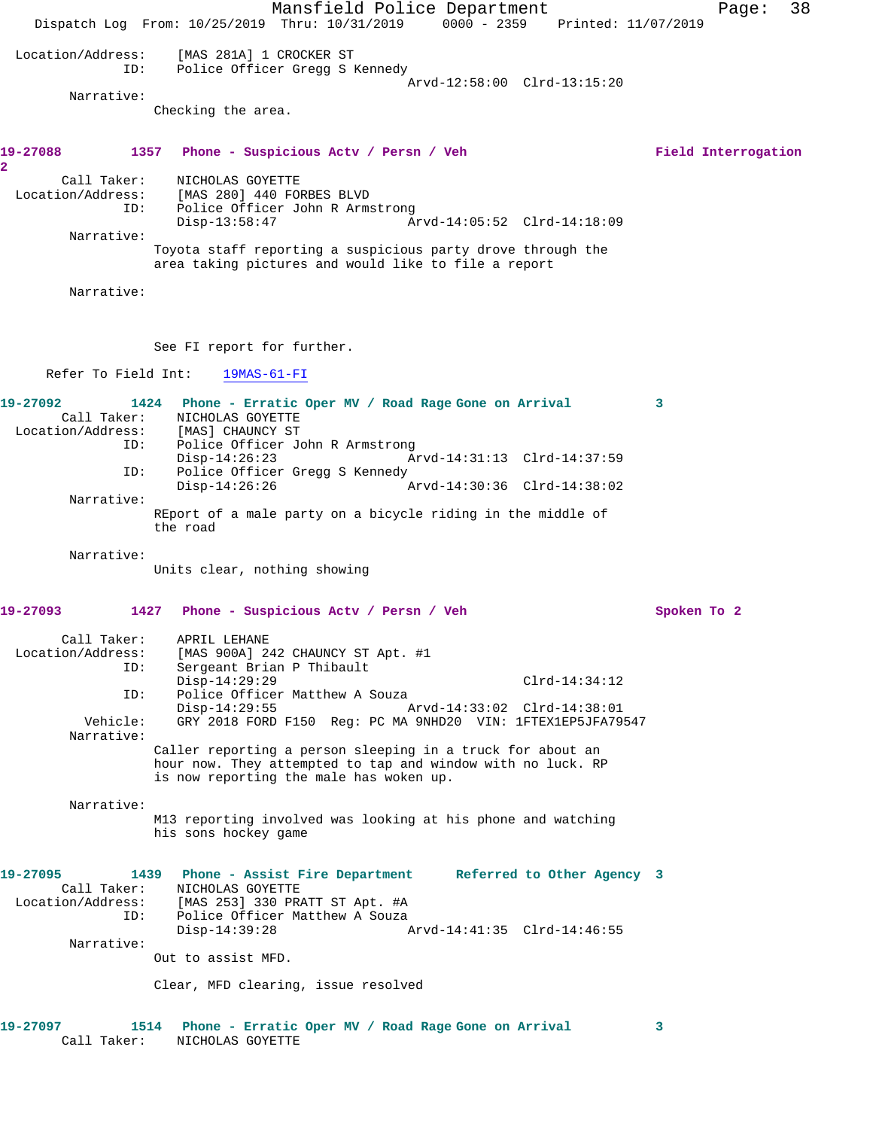Mansfield Police Department Page: 38 Dispatch Log From: 10/25/2019 Thru: 10/31/2019 0000 - 2359 Printed: 11/07/2019 Location/Address: [MAS 281A] 1 CROCKER ST<br>ID: Police Officer Gregg S B Police Officer Gregg S Kennedy Arvd-12:58:00 Clrd-13:15:20 Narrative: Checking the area. **19-27088 1357 Phone - Suspicious Actv / Persn / Veh Field Interrogation 2**  Call Taker: NICHOLAS GOYETTE Location/Address: [MAS 280] 440 FORBES BLVD ID: Police Officer John R Armstrong Disp-13:58:47 Arvd-14:05:52 Clrd-14:18:09 Narrative: Toyota staff reporting a suspicious party drove through the area taking pictures and would like to file a report Narrative: See FI report for further. Refer To Field Int: 19MAS-61-FI **19-27092 1424 Phone - Erratic Oper MV / Road Rage Gone on Arrival 3**  Call Taker: NICHOLAS GOYETTE Location/Address: [MAS] CHAUNCY ST<br>ID: Police Officer Jo Police Officer John R Armstrong<br>Disp-14:26:23 A Disp-14:26:23 Arvd-14:31:13 Clrd-14:37:59 ID: Police Officer Gregg S Kennedy<br>Disp-14:26:26 A Disp-14:26:26 Arvd-14:30:36 Clrd-14:38:02 Narrative: REport of a male party on a bicycle riding in the middle of the road Narrative: Units clear, nothing showing **19-27093 1427 Phone - Suspicious Actv / Persn / Veh Spoken To 2** Call Taker: APRIL LEHANE Location/Address: [MAS 900A] 242 CHAUNCY ST Apt. #1 ID: Sergeant Brian P Thibault Disp-14:29:29 Clrd-14:34:12 ID: Police Officer Matthew A Souza<br>Disp-14:29:55 Disp-14:29:55 <br>Vehicle: GRY 2018 FORD F150 Req: PC MA 9NHD20 VIN: 1FTEX1EP5JFA799 GRY 2018 FORD F150 Reg: PC MA 9NHD20 VIN: 1FTEX1EP5JFA79547 Narrative: Caller reporting a person sleeping in a truck for about an hour now. They attempted to tap and window with no luck. RP is now reporting the male has woken up. Narrative: M13 reporting involved was looking at his phone and watching his sons hockey game **19-27095 1439 Phone - Assist Fire Department Referred to Other Agency 3**  Call Taker: NICHOLAS GOYETTE Location/Address: [MAS 253] 330 PRATT ST Apt. #A ID: Police Officer Matthew A Souza Disp-14:39:28 Arvd-14:41:35 Clrd-14:46:55 Narrative: Out to assist MFD. Clear, MFD clearing, issue resolved **19-27097 1514 Phone - Erratic Oper MV / Road Rage Gone on Arrival 3** 

Call Taker: NICHOLAS GOYETTE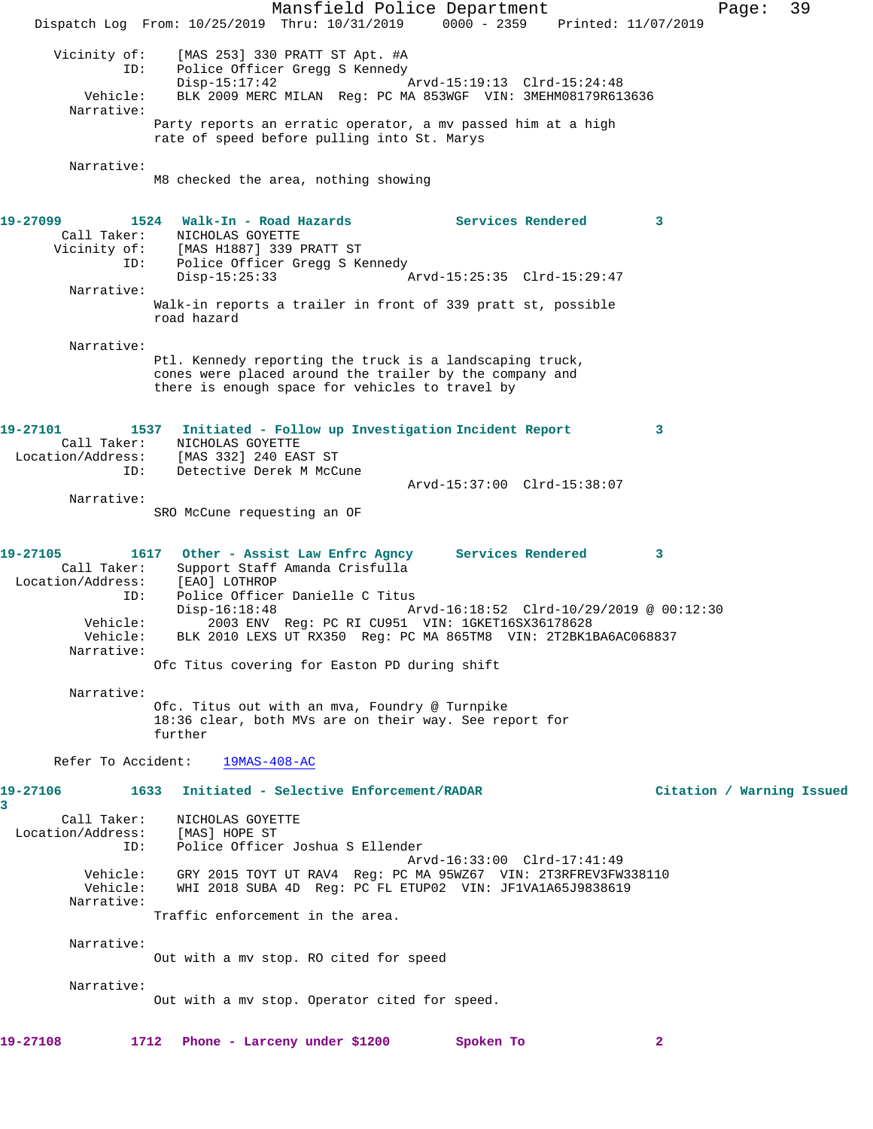Mansfield Police Department Fage: 39 Dispatch Log From: 10/25/2019 Thru: 10/31/2019 0000 - 2359 Printed: 11/07/2019 Vicinity of: [MAS 253] 330 PRATT ST Apt. #A ID: Police Officer Gregg S Kennedy<br>Disp-15:17:42 Arvd-15:19:13 Clrd-15:24:48 Vehicle: BLK 2009 MERC MILAN Reg: PC MA 853WGF VIN: 3MEHM08179R613636 Narrative: Party reports an erratic operator, a mv passed him at a high rate of speed before pulling into St. Marys Narrative: M8 checked the area, nothing showing 19-27099 **1524** Walk-In - Road Hazards **Services Rendered** 3 Call Taker: NICHOLAS GOYETTE Vicinity of: [MAS H1887] 339 PRATT ST ID: Police Officer Gregg S Kennedy Disp-15:25:33 Arvd-15:25:35 Clrd-15:29:47 Narrative: Walk-in reports a trailer in front of 339 pratt st, possible road hazard Narrative: Ptl. Kennedy reporting the truck is a landscaping truck, cones were placed around the trailer by the company and there is enough space for vehicles to travel by **19-27101 1537 Initiated - Follow up Investigation Incident Report 3**  Call Taker: NICHOLAS GOYETTE Location/Address: [MAS 332] 240 EAST ST ID: Detective Derek M McCune Arvd-15:37:00 Clrd-15:38:07 Narrative: SRO McCune requesting an OF **19-27105 1617 Other - Assist Law Enfrc Agncy Services Rendered 3**  Call Taker: Support Staff Amanda Crisfulla Location/Address: [EAO] LOTHROP ID: Police Officer Danielle C Titus<br>Disp-16:18:48 Mrvd-16:18:52 Clrd-10/29/2019 @ 00:12:30 Disp-16:18:48 Arvd-16:18:52 Clrd-10/29/2019 @ 00:12:30 Vehicle: 2003 ENV Reg: PC RI CU951 VIN: 1GKET16SX36178628 Vehicle: BLK 2010 LEXS UT RX350 Reg: PC MA 865TM8 VIN: 2T2BK1BA6AC068837 Narrative: Ofc Titus covering for Easton PD during shift Narrative: Ofc. Titus out with an mva, Foundry @ Turnpike 18:36 clear, both MVs are on their way. See report for further Refer To Accident: 19MAS-408-AC **19-27106 1633 Initiated - Selective Enforcement/RADAR Citation / Warning Issued 3**  Call Taker: NICHOLAS GOYETTE Location/Address: [MAS] HOPE ST ID: Police Officer Joshua S Ellender Arvd-16:33:00 Clrd-17:41:49 Vehicle: GRY 2015 TOYT UT RAV4 Reg: PC MA 95WZ67 VIN: 2T3RFREV3FW338110 Vehicle: WHI 2018 SUBA 4D Reg: PC FL ETUP02 VIN: JF1VA1A65J9838619 Narrative: Traffic enforcement in the area. Narrative: Out with a mv stop. RO cited for speed Narrative: Out with a mv stop. Operator cited for speed. **19-27108 1712 Phone - Larceny under \$1200 Spoken To 2**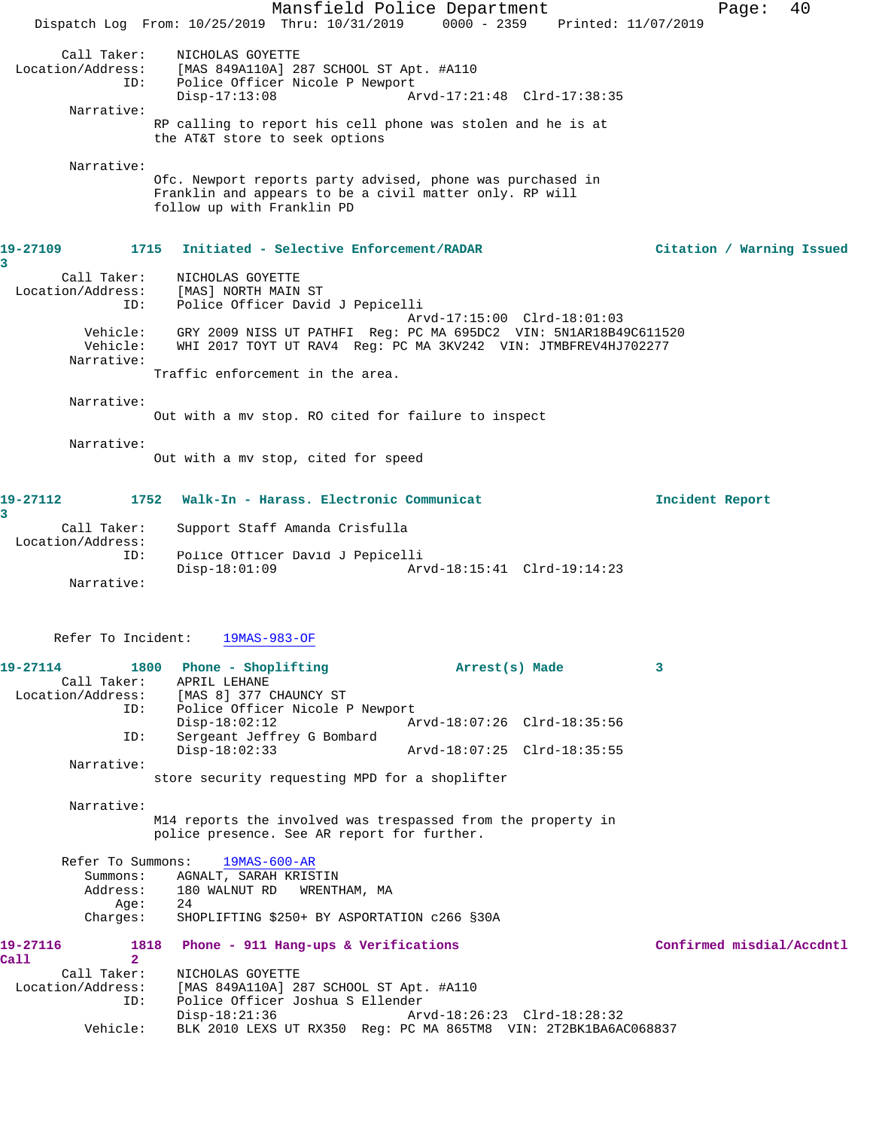Mansfield Police Department Form Page: 40 Dispatch Log From: 10/25/2019 Thru: 10/31/2019 0000 - 2359 Printed: 11/07/2019 Call Taker: NICHOLAS GOYETTE Location/Address: [MAS 849A110A] 287 SCHOOL ST Apt. #A110 ID: Police Officer Nicole P Newport Disp-17:13:08 Arvd-17:21:48 Clrd-17:38:35 Narrative: RP calling to report his cell phone was stolen and he is at the AT&T store to seek options Narrative: Ofc. Newport reports party advised, phone was purchased in Franklin and appears to be a civil matter only. RP will follow up with Franklin PD **19-27109 1715 Initiated - Selective Enforcement/RADAR Citation / Warning Issued 3**  Call Taker: NICHOLAS GOYETTE Location/Address: [MAS] NORTH MAIN ST ID: Police Officer David J Pepicelli Arvd-17:15:00 Clrd-18:01:03 Vehicle: GRY 2009 NISS UT PATHFI Reg: PC MA 695DC2 VIN: 5N1AR18B49C611520 Vehicle: WHI 2017 TOYT UT RAV4 Reg: PC MA 3KV242 VIN: JTMBFREV4HJ702277 Narrative: Traffic enforcement in the area. Narrative: Out with a mv stop. RO cited for failure to inspect Narrative: Out with a mv stop, cited for speed **19-27112 1752 Walk-In - Harass. Electronic Communicat Incident Report 3**  Call Taker: Support Staff Amanda Crisfulla Location/Address: ID: Police Officer David J Pepicelli Disp-18:01:09 Arvd-18:15:41 Clrd-19:14:23 Narrative: Refer To Incident: 19MAS-983-OF **19-27114 1800 Phone - Shoplifting Arrest(s) Made 3**  Call Taker: APRIL LEHANE Location/Address: [MAS 8] 377 CHAUNCY ST ID: Police Officer Nicole P Newport<br>Disp-18:02:12 Az Disp-18:02:12 Arvd-18:07:26 Clrd-18:35:56<br>ID: Sergeant Jeffrey G Bombard Sergeant Jeffrey G Bombard<br>Disp-18:02:33 Disp-18:02:33 Arvd-18:07:25 Clrd-18:35:55 Narrative: store security requesting MPD for a shoplifter Narrative: M14 reports the involved was trespassed from the property in police presence. See AR report for further. Refer To Summons: 19MAS-600-AR Summons: AGNALT, SARAH KRISTIN<br>Address: 180 WALNUT RD WRENT 180 WALNUT RD WRENTHAM, MA<br>24  $A$ qe: Charges: SHOPLIFTING \$250+ BY ASPORTATION c266 §30A **19-27116 1818 Phone - 911 Hang-ups & Verifications Confirmed misdial/Accdntl Call 2**  Call Taker: NICHOLAS GOYETTE Location/Address: [MAS 849A110A] 287 SCHOOL ST Apt. #A110 Police Officer Joshua S Ellender<br>Disp-18:21:36 Arv Arvd-18:26:23 Clrd-18:28:32 Vehicle: BLK 2010 LEXS UT RX350 Reg: PC MA 865TM8 VIN: 2T2BK1BA6AC068837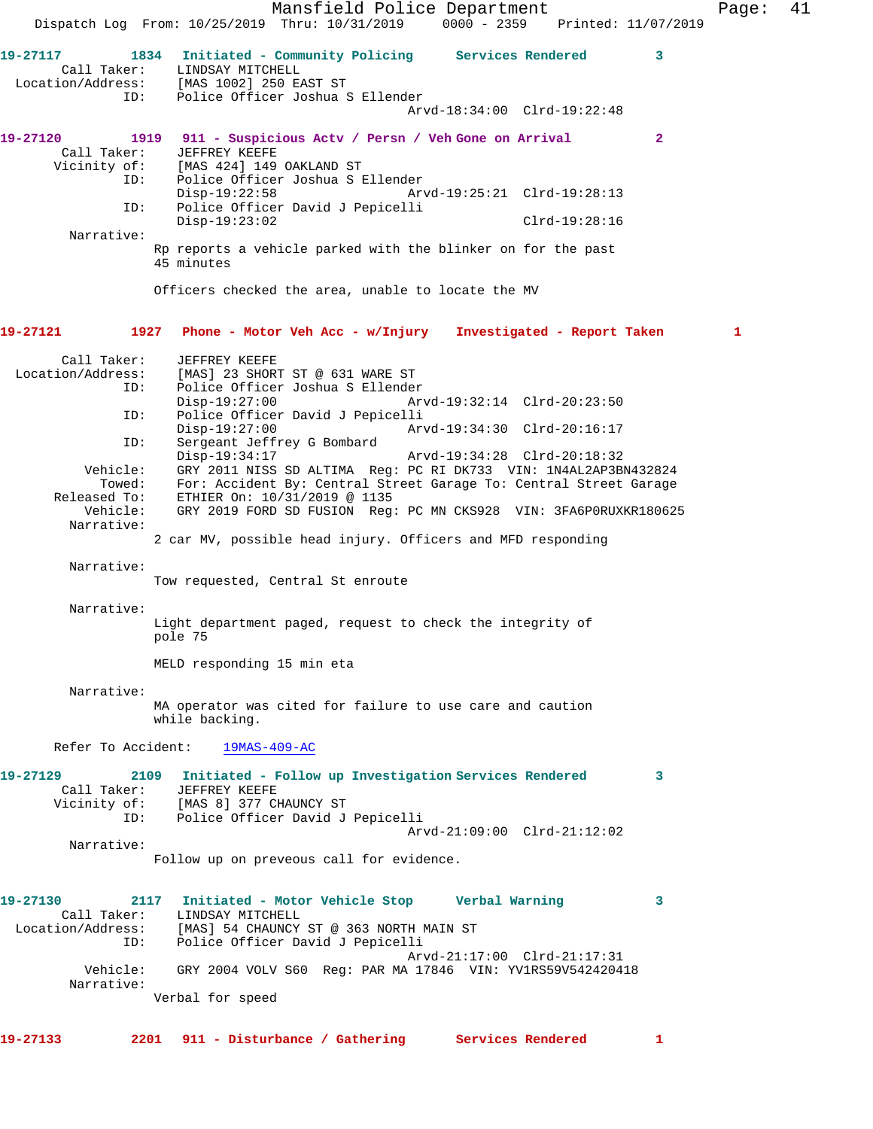Mansfield Police Department Fage: 41 Dispatch Log From: 10/25/2019 Thru: 10/31/2019 0000 - 2359 Printed: 11/07/2019 **19-27117 1834 Initiated - Community Policing Services Rendered 3**  Call Taker: LINDSAY MITCHELL Location/Address: [MAS 1002] 250 EAST ST ID: Police Officer Joshua S Ellender Arvd-18:34:00 Clrd-19:22:48 **19-27120 1919 911 - Suspicious Actv / Persn / Veh Gone on Arrival 2**  Call Taker: JEFFREY KEEFE Vicinity of: [MAS 424] 149 OAKLAND ST ID: Police Officer Joshua S Ellender Disp-19:22:58 Arvd-19:25:21 Clrd-19:28:13 ID: Police Officer David J Pepicelli Disp-19:23:02 Clrd-19:28:16 Narrative: Rp reports a vehicle parked with the blinker on for the past 45 minutes Officers checked the area, unable to locate the MV **19-27121 1927 Phone - Motor Veh Acc - w/Injury Investigated - Report Taken 1** Call Taker: JEFFREY KEEFE<br>Location/Address: [MAS] 23 SHOR [MAS] 23 SHORT ST @ 631 WARE ST ID: Police Officer Joshua S Ellender Disp-19:27:00 Arvd-19:32:14 Clrd-20:23:50 ID: Police Officer David J Pepicelli Disp-19:27:00 Arvd-19:34:30 Clrd-20:16:17 ID: Sergeant Jeffrey G Bombard<br>Disp-19:34:17 Disp-19:34:17 Arvd-19:34:28 Clrd-20:18:32 Vehicle: GRY 2011 NISS SD ALTIMA Reg: PC RI DK733 VIN: 1N4AL2AP3BN432824 Towed: For: Accident By: Central Street Garage To: Central Street Garage Released To: ETHIER On: 10/31/2019 @ 1135 Vehicle: GRY 2019 FORD SD FUSION Reg: PC MN CKS928 VIN: 3FA6P0RUXKR180625 Narrative: 2 car MV, possible head injury. Officers and MFD responding Narrative: Tow requested, Central St enroute Narrative: Light department paged, request to check the integrity of pole 75 MELD responding 15 min eta Narrative: MA operator was cited for failure to use care and caution while backing. Refer To Accident: 19MAS-409-AC **19-27129 2109 Initiated - Follow up Investigation Services Rendered 3**  Call Taker: JEFFREY KEEFE Vicinity of: [MAS 8] 377 CHAUNCY ST ID: Police Officer David J Pepicelli Arvd-21:09:00 Clrd-21:12:02 Narrative: Follow up on preveous call for evidence. **19-27130 2117 Initiated - Motor Vehicle Stop Verbal Warning 3**  Call Taker: LINDSAY MITCHELL Location/Address: [MAS] 54 CHAUNCY ST @ 363 NORTH MAIN ST ID: Police Officer David J Pepicelli Arvd-21:17:00 Clrd-21:17:31 Vehicle: GRY 2004 VOLV S60 Reg: PAR MA 17846 VIN: YV1RS59V542420418 Narrative: Verbal for speed **19-27133 2201 911 - Disturbance / Gathering Services Rendered 1**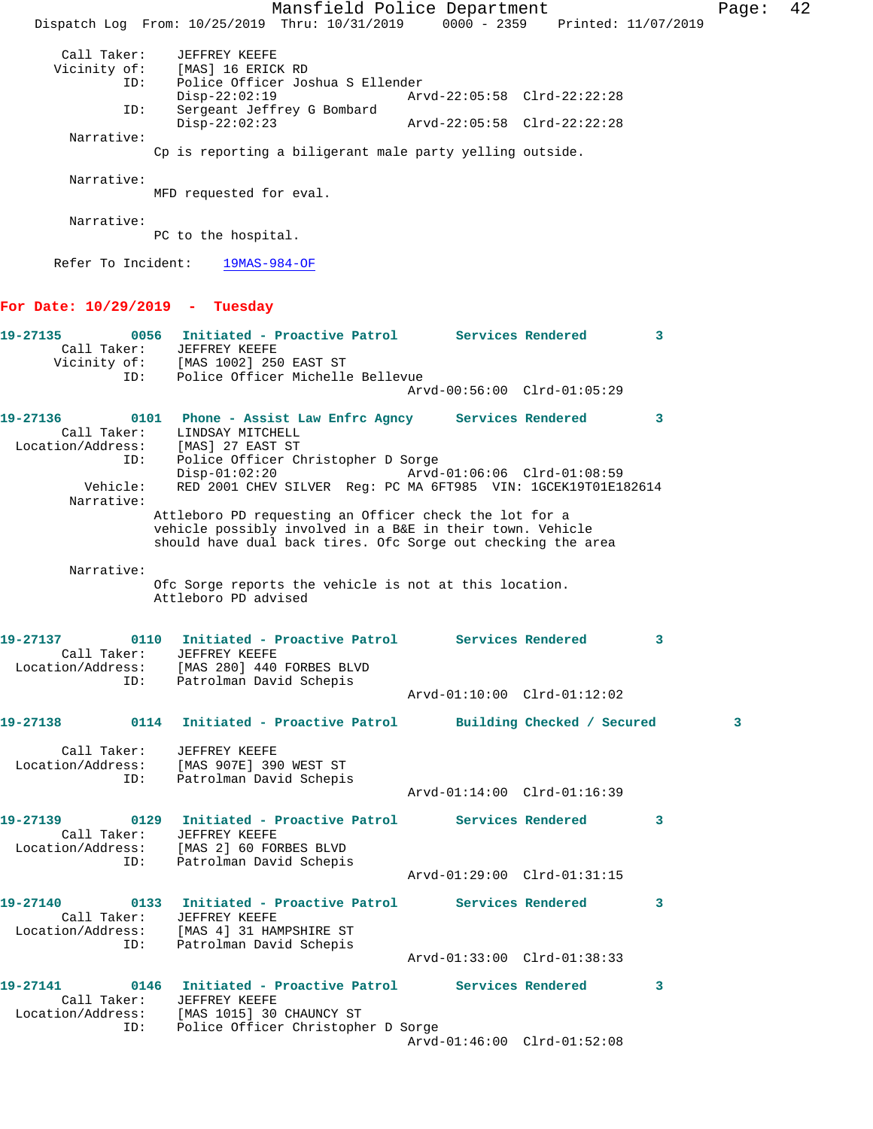Mansfield Police Department Fage: 42 Dispatch Log From: 10/25/2019 Thru: 10/31/2019 0000 - 2359 Printed: 11/07/2019 Call Taker: JEFFREY KEEFE Vicinity of: [MAS] 16 ERICK RD ID: Police Officer Joshua S Ellender Disp-22:02:19 Arvd-22:05:58 Clrd-22:22:28 ID: Sergeant Jeffrey G Bombard Disp-22:02:23 Arvd-22:05:58 Clrd-22:22:28 Narrative: Cp is reporting a biligerant male party yelling outside. Narrative: MFD requested for eval. Narrative: PC to the hospital. Refer To Incident: 19MAS-984-OF **For Date: 10/29/2019 - Tuesday 19-27135 0056 Initiated - Proactive Patrol Services Rendered 3**  Call Taker: JEFFREY KEEFE Vicinity of: [MAS 1002] 250 EAST ST ID: Police Officer Michelle Bellevue Arvd-00:56:00 Clrd-01:05:29 **19-27136 0101 Phone - Assist Law Enfrc Agncy Services Rendered 3**  Call Taker: LINDSAY MITCHELL Location/Address: [MAS] 27 EAST ST ID: Police Officer Christopher D Sorge Disp-01:02:20 Arvd-01:06:06 Clrd-01:08:59 Vehicle: RED 2001 CHEV SILVER Reg: PC MA 6FT985 VIN: 1GCEK19T01E182614 Narrative: Attleboro PD requesting an Officer check the lot for a vehicle possibly involved in a B&E in their town. Vehicle should have dual back tires. Ofc Sorge out checking the area Narrative: Ofc Sorge reports the vehicle is not at this location. Attleboro PD advised **19-27137 0110 Initiated - Proactive Patrol Services Rendered 3**  Call Taker: JEFFREY KEEFE Location/Address: [MAS 280] 440 FORBES BLVD ID: Patrolman David Schepis Arvd-01:10:00 Clrd-01:12:02 **19-27138 0114 Initiated - Proactive Patrol Building Checked / Secured 3** Call Taker: JEFFREY KEEFE Location/Address: [MAS 907E] 390 WEST ST ID: Patrolman David Schepis Arvd-01:14:00 Clrd-01:16:39 **19-27139 0129 Initiated - Proactive Patrol Services Rendered 3**  Call Taker: JEFFREY KEEFE Location/Address: [MAS 2] 60 FORBES BLVD ID: Patrolman David Schepis Arvd-01:29:00 Clrd-01:31:15 **19-27140 0133 Initiated - Proactive Patrol Services Rendered 3**  Call Taker: JEFFREY KEEFE Location/Address: [MAS 4] 31 HAMPSHIRE ST ID: Patrolman David Schepis Arvd-01:33:00 Clrd-01:38:33 **19-27141 0146 Initiated - Proactive Patrol Services Rendered 3**  Call Taker: JEFFREY KEEFE Location/Address: [MAS 1015] 30 CHAUNCY ST ID: Police Officer Christopher D Sorge Arvd-01:46:00 Clrd-01:52:08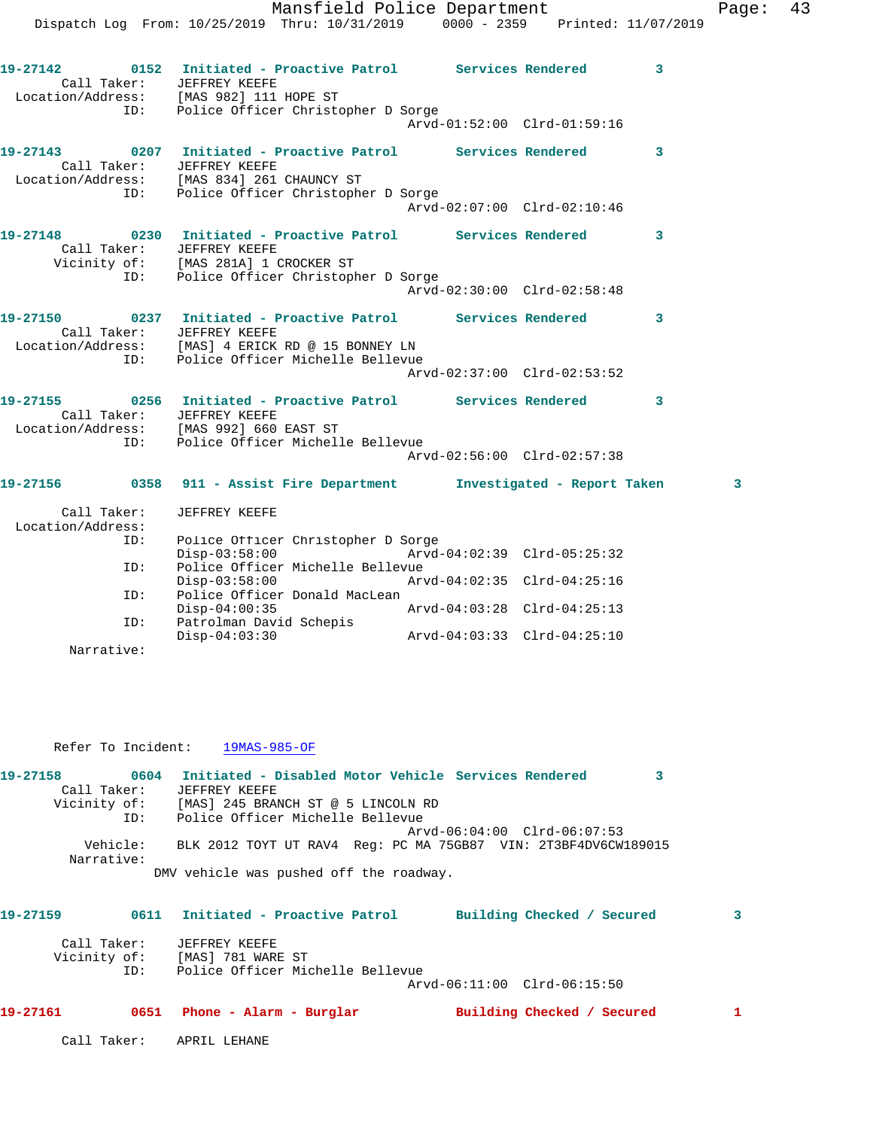|                                  | Mansfield Police Department<br>Dispatch Log From: 10/25/2019 Thru: 10/31/2019 0000 - 2359 Printed: 11/07/2019                                                                                   |                             |   | Page: | 43 |
|----------------------------------|-------------------------------------------------------------------------------------------------------------------------------------------------------------------------------------------------|-----------------------------|---|-------|----|
|                                  |                                                                                                                                                                                                 |                             |   |       |    |
| Call Taker: JEFFREY KEEFE        | 19-27142 0152 Initiated - Proactive Patrol Services Rendered 3<br>Location/Address: [MAS 982] 111 HOPE ST<br>ID: Police Officer Christopher D Sorge                                             |                             |   |       |    |
|                                  |                                                                                                                                                                                                 | Arvd-01:52:00 Clrd-01:59:16 |   |       |    |
|                                  | 19-27143                0207    Initiated - Proactive Patrol            Services Rendered<br>Call Taker: JEFFREY KEEFE<br>Location/Address: [MAS 834] 261 CHAUNCY ST                            |                             | 3 |       |    |
| ID:                              | Police Officer Christopher D Sorge                                                                                                                                                              | Arvd-02:07:00 Clrd-02:10:46 |   |       |    |
| Call Taker: JEFFREY KEEFE        | 19-27148 0230 Initiated - Proactive Patrol Services Rendered 3<br>Vicinity of: [MAS 281A] 1 CROCKER ST                                                                                          |                             |   |       |    |
| ID:                              | Police Officer Christopher D Sorge                                                                                                                                                              | Arvd-02:30:00 Clrd-02:58:48 |   |       |    |
| Call Taker: JEFFREY KEEFE        | 19-27150 0237 Initiated - Proactive Patrol Services Rendered 3<br>Location/Address: [MAS] 4 ERICK RD @ 15 BONNEY LN<br>ID: Police Officer Michelle Bellevue<br>Police Officer Michelle Bellevue |                             |   |       |    |
|                                  |                                                                                                                                                                                                 | Arvd-02:37:00 Clrd-02:53:52 |   |       |    |
|                                  | 19-27155             0256 Initiated - Proactive Patrol          Services Rendered            3<br>Call Taker: JEFFREY KEEFE<br>Location/Address: [MAS 992] 660 EAST ST                          |                             |   |       |    |
| ID:                              | Police Officer Michelle Bellevue                                                                                                                                                                | Arvd-02:56:00 Clrd-02:57:38 |   |       |    |
|                                  | 19-27156      0358   911 - Assist Fire Department      Investigated - Report Taken                                                                                                              |                             |   | 3     |    |
| Call Taker:<br>Location/Address: | JEFFREY KEEFE                                                                                                                                                                                   |                             |   |       |    |
| ID:                              | Police Officer Christopher D Sorge<br>$Disp-03:58:00$                                                                                                                                           | Arvd-04:02:39 Clrd-05:25:32 |   |       |    |
| ID:                              | Police Officer Michelle Bellevue<br>$Disp-03:58:00$                                                                                                                                             |                             |   |       |    |
| ID:                              | Police Officer Donald MacLean                                                                                                                                                                   |                             |   |       |    |

ID: Patrolman David Schepis<br>Disp-04:03:30 Narrative:

Refer To Incident: 19MAS-985-OF

| 19-27158     | 0604     |               | Initiated - Disabled Motor Vehicle Services Rendered           |  |                             |  |
|--------------|----------|---------------|----------------------------------------------------------------|--|-----------------------------|--|
| Call Taker:  |          | JEFFREY KEEFE |                                                                |  |                             |  |
| Vicinity of: |          |               | [MAS] 245 BRANCH ST @ 5 LINCOLN RD                             |  |                             |  |
|              | ID:      |               | Police Officer Michelle Bellevue                               |  |                             |  |
|              |          |               |                                                                |  | Arvd-06:04:00 Clrd-06:07:53 |  |
| Narrative:   | Vehicle: |               | BLK 2012 TOYT UT RAV4 Req: PC MA 75GB87 VIN: 2T3BF4DV6CW189015 |  |                             |  |
|              |          |               | DMV vehicle was pushed off the roadway.                        |  |                             |  |

Disp-04:03:30 Arvd-04:03:33 Clrd-04:25:10

Disp-04:00:35 Arvd-04:03:28 Clrd-04:25:13

| 19-27159     | 0611               | Initiated - Proactive Patrol                                           | Building Checked / Secured  | 3 |
|--------------|--------------------|------------------------------------------------------------------------|-----------------------------|---|
| Vicinity of: | Call Taker:<br>ID: | JEFFREY KEEFE<br>[MAS] 781 WARE ST<br>Police Officer Michelle Bellevue |                             |   |
|              |                    |                                                                        | Arvd-06:11:00 Clrd-06:15:50 |   |
| 19-27161     | 0651               | Phone - Alarm - Burglar                                                | Building Checked / Secured  |   |
|              | Call Taker:        | APRIL LEHANE                                                           |                             |   |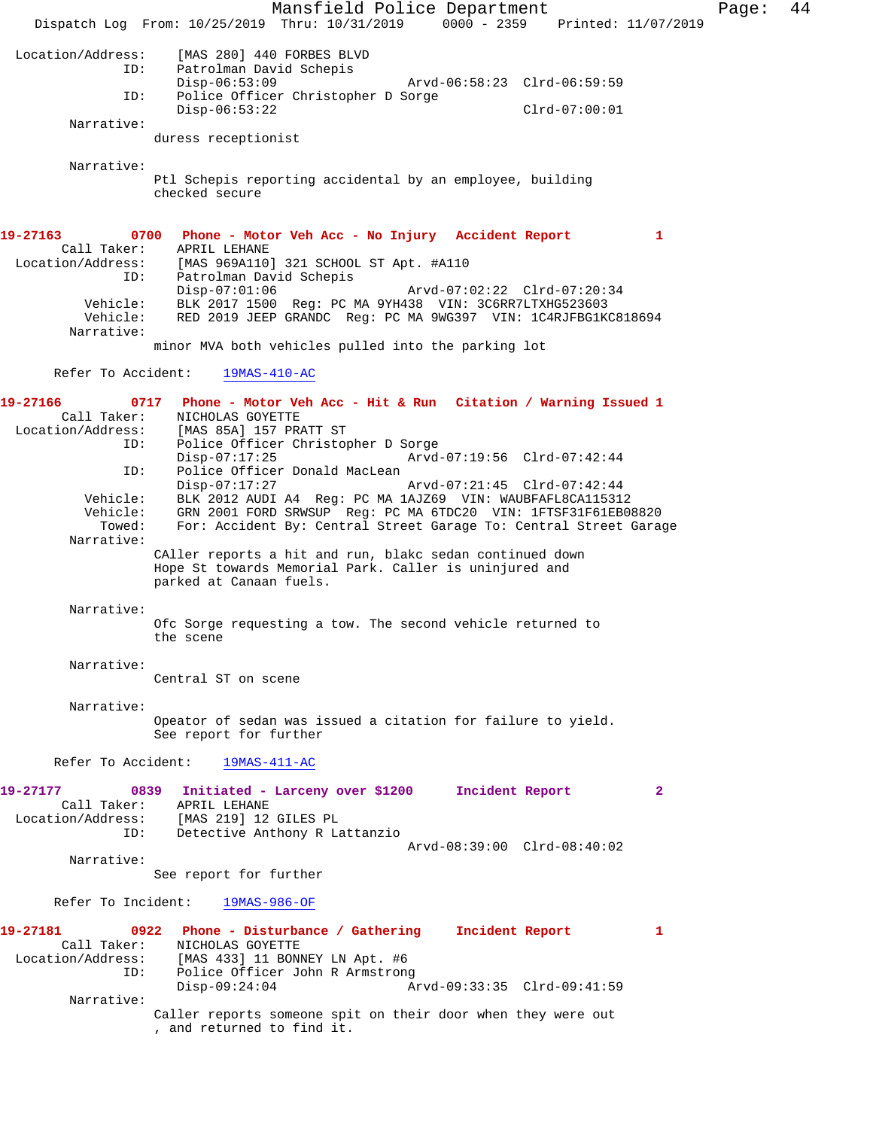Mansfield Police Department Fage: 44 Dispatch Log From: 10/25/2019 Thru: 10/31/2019 0000 - 2359 Printed: 11/07/2019 Location/Address: [MAS 280] 440 FORBES BLVD Patrolman David Schepis<br>Disp-06:53:09 Disp-06:53:09 Arvd-06:58:23 Clrd-06:59:59 ID: Police Officer Christopher D Sorge Disp-06:53:22 Clrd-07:00:01 Narrative: duress receptionist Narrative: Ptl Schepis reporting accidental by an employee, building checked secure **19-27163 0700 Phone - Motor Veh Acc - No Injury Accident Report 1**  Call Taker: APRIL LEHANE Location/Address: [MAS 969A110] 321 SCHOOL ST Apt. #A110 ID: Patrolman David Schepis Disp-07:01:06 Arvd-07:02:22 Clrd-07:20:34 Vehicle: BLK 2017 1500 Reg: PC MA 9YH438 VIN: 3C6RR7LTXHG523603 Vehicle: RED 2019 JEEP GRANDC Reg: PC MA 9WG397 VIN: 1C4RJFBG1KC818694 Narrative: minor MVA both vehicles pulled into the parking lot Refer To Accident: 19MAS-410-AC **19-27166 0717 Phone - Motor Veh Acc - Hit & Run Citation / Warning Issued 1**  Call Taker: NICHOLAS GOYETTE<br>Location/Address: [MAS 85A] 157 PR ess: [MAS 85A] 157 PRATT ST<br>ID: Police Officer Christop Police Officer Christopher D Sorge Disp-07:17:25 Arvd-07:19:56 Clrd-07:42:44 ID: Police Officer Donald MacLean<br>Disp-07:17:27 Disp-07:17:27 Arvd-07:21:45 Clrd-07:42:44 Vehicle: BLK 2012 AUDI A4 Reg: PC MA 1AJZ69 VIN: WAUBFAFL8CA115312 Vehicle: GRN 2001 FORD SRWSUP Reg: PC MA 6TDC20 VIN: 1FTSF31F61EB08820 Towed: For: Accident By: Central Street Garage To: Central Street Garage Narrative: CAller reports a hit and run, blakc sedan continued down Hope St towards Memorial Park. Caller is uninjured and parked at Canaan fuels. Narrative: Ofc Sorge requesting a tow. The second vehicle returned to the scene Narrative: Central ST on scene Narrative: Opeator of sedan was issued a citation for failure to yield. See report for further Refer To Accident: 19MAS-411-AC **19-27177 0839 Initiated - Larceny over \$1200 Incident Report 2**  Call Taker: APRIL LEHANE Location/Address: [MAS 219] 12 GILES PL ID: Detective Anthony R Lattanzio Arvd-08:39:00 Clrd-08:40:02 Narrative: See report for further Refer To Incident: 19MAS-986-OF **19-27181 0922 Phone - Disturbance / Gathering Incident Report 1**  Call Taker: NICHOLAS GOYETTE Location/Address: [MAS 433] 11 BONNEY LN Apt. #6 ID: Police Officer John R Armstrong<br>Disp-09:24:04 A: Disp-09:24:04 Arvd-09:33:35 Clrd-09:41:59 Narrative: Caller reports someone spit on their door when they were out , and returned to find it.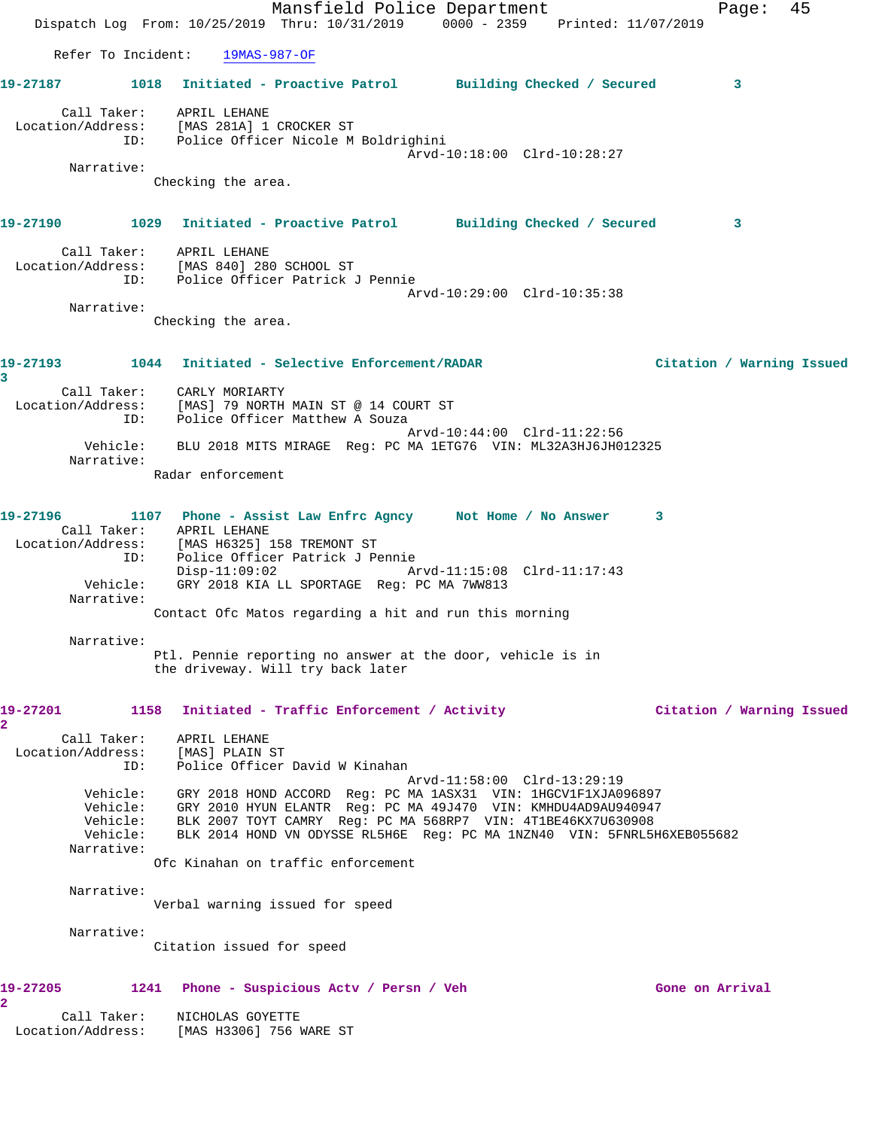Mansfield Police Department Fage: 45 Dispatch Log From: 10/25/2019 Thru: 10/31/2019 0000 - 2359 Printed: 11/07/2019 Refer To Incident: 19MAS-987-OF **19-27187 1018 Initiated - Proactive Patrol Building Checked / Secured 3** Call Taker: APRIL LEHANE Location/Address: [MAS 281A] 1 CROCKER ST ID: Police Officer Nicole M Boldrighini Arvd-10:18:00 Clrd-10:28:27 Narrative: Checking the area. **19-27190 1029 Initiated - Proactive Patrol Building Checked / Secured 3** Call Taker: APRIL LEHANE Location/Address: [MAS 840] 280 SCHOOL ST ID: Police Officer Patrick J Pennie Arvd-10:29:00 Clrd-10:35:38 Narrative: Checking the area. **19-27193 1044 Initiated - Selective Enforcement/RADAR Citation / Warning Issued 3**  Call Taker: CARLY MORIARTY Location/Address: [MAS] 79 NORTH MAIN ST @ 14 COURT ST ID: Police Officer Matthew A Souza Arvd-10:44:00 Clrd-11:22:56 Vehicle: BLU 2018 MITS MIRAGE Reg: PC MA 1ETG76 VIN: ML32A3HJ6JH012325 Narrative: Radar enforcement **19-27196 1107 Phone - Assist Law Enfrc Agncy Not Home / No Answer 3**  Call Taker: APRIL LEHANE Location/Address: [MAS H6325] 158 TREMONT ST ID: Police Officer Patrick J Pennie Disp-11:09:02 Arvd-11:15:08 Clrd-11:17:43 Vehicle: GRY 2018 KIA LL SPORTAGE Reg: PC MA 7WW813 Narrative: Contact Ofc Matos regarding a hit and run this morning Narrative: Ptl. Pennie reporting no answer at the door, vehicle is in the driveway. Will try back later **19-27201 1158 Initiated - Traffic Enforcement / Activity Citation / Warning Issued 2**  Call Taker: APRIL LEHANE Location/Address: [MAS] PLAIN ST ID: Police Officer David W Kinahan Arvd-11:58:00 Clrd-13:29:19 Vehicle: GRY 2018 HOND ACCORD Reg: PC MA 1ASX31 VIN: 1HGCV1F1XJA096897 Vehicle: GRY 2010 HYUN ELANTR Reg: PC MA 49J470 VIN: KMHDU4AD9AU940947 Vehicle: BLK 2007 TOYT CAMRY Reg: PC MA 568RP7 VIN: 4T1BE46KX7U630908 Vehicle: BLK 2014 HOND VN ODYSSE RL5H6E Reg: PC MA 1NZN40 VIN: 5FNRL5H6XEB055682 Narrative: Ofc Kinahan on traffic enforcement Narrative: Verbal warning issued for speed Narrative: Citation issued for speed **19-27205 1241 Phone - Suspicious Actv / Persn / Veh Gone on Arrival 2**  Call Taker: NICHOLAS GOYETTE Location/Address: [MAS H3306] 756 WARE ST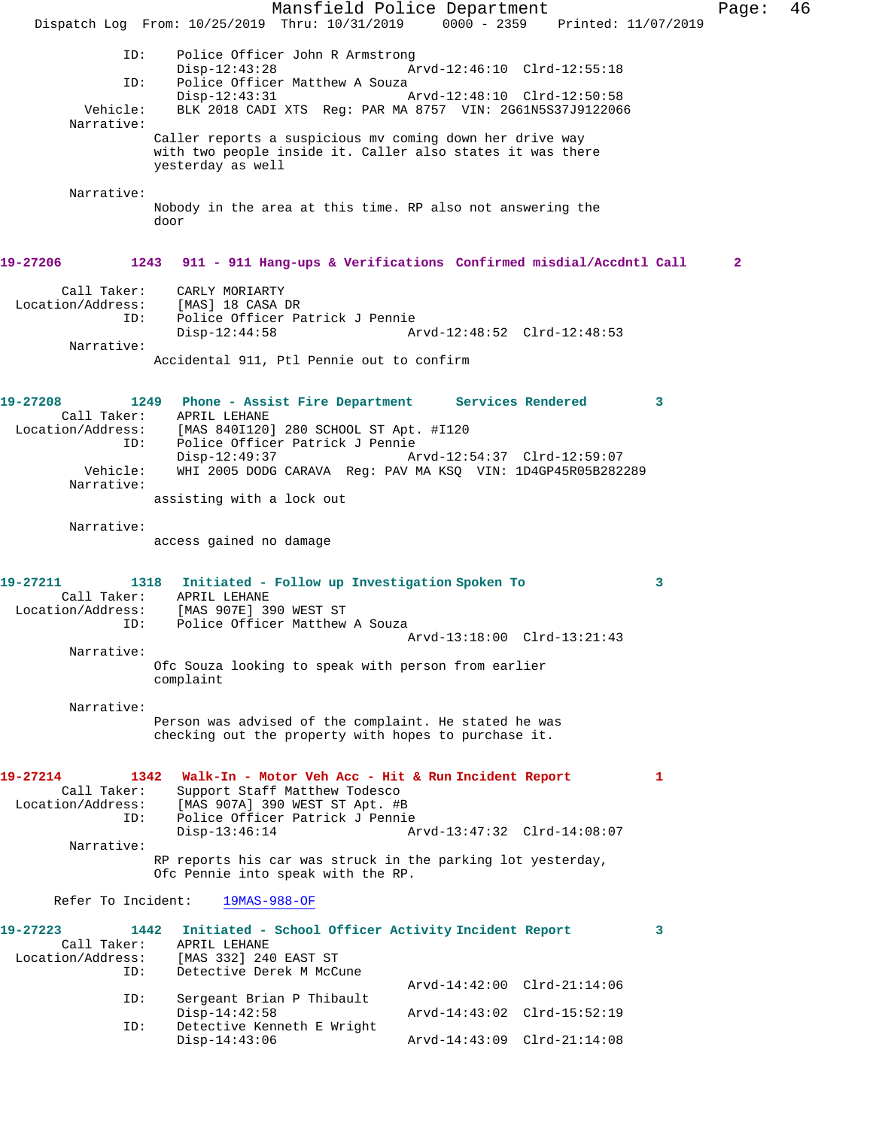Mansfield Police Department Fage: 46 Dispatch Log From: 10/25/2019 Thru: 10/31/2019 0000 - 2359 Printed: 11/07/2019 ID: Police Officer John R Armstrong Disp-12:43:28 Arvd-12:46:10 Clrd-12:55:18 ID: Police Officer Matthew A Souza Disp-12:43:31 Arvd-12:48:10 Clrd-12:50:58 Vehicle: BLK 2018 CADI XTS Reg: PAR MA 8757 VIN: 2G61N5S37J9122066 Narrative: Caller reports a suspicious mv coming down her drive way with two people inside it. Caller also states it was there yesterday as well Narrative: Nobody in the area at this time. RP also not answering the door **19-27206 1243 911 - 911 Hang-ups & Verifications Confirmed misdial/Accdntl Call 2** Call Taker: CARLY MORIARTY Location/Address: [MAS] 18 CASA DR ID: Police Officer Patrick J Pennie Disp-12:44:58 Arvd-12:48:52 Clrd-12:48:53 Narrative: Accidental 911, Ptl Pennie out to confirm **19-27208 1249 Phone - Assist Fire Department Services Rendered 3**  Call Taker: APRIL LEHANE<br>Location/Address: [MAS 840I120] ess: [MAS 840I120] 280 SCHOOL ST Apt. #I120<br>ID: Police Officer Patrick J Pennie Police Officer Patrick J Pennie Disp-12:49:37 Arvd-12:54:37 Clrd-12:59:07<br>Vehicle: WHI 2005 DODG CARAVA Reg: PAV MA KSO VIN: 1D4GP45R05B282 WHI 2005 DODG CARAVA Reg: PAV MA KSQ VIN: 1D4GP45R05B282289 Narrative: assisting with a lock out Narrative: access gained no damage **19-27211 1318 Initiated - Follow up Investigation Spoken To 3**  Call Taker: APRIL LEHANE Location/Address: [MAS 907E] 390 WEST ST ID: Police Officer Matthew A Souza Arvd-13:18:00 Clrd-13:21:43 Narrative: Ofc Souza looking to speak with person from earlier complaint Narrative: Person was advised of the complaint. He stated he was checking out the property with hopes to purchase it. **19-27214 1342 Walk-In - Motor Veh Acc - Hit & Run Incident Report 1**  Call Taker: Support Staff Matthew Todesco Location/Address: [MAS 907A] 390 WEST ST Apt. #B ID: Police Officer Patrick J Pennie Disp-13:46:14 Arvd-13:47:32 Clrd-14:08:07 Narrative: RP reports his car was struck in the parking lot yesterday, Ofc Pennie into speak with the RP. Refer To Incident: 19MAS-988-OF **19-27223 1442 Initiated - School Officer Activity Incident Report 3**  Call Taker: APRIL LEHANE Location/Address: [MAS 332] 240 EAST ST Detective Derek M McCune Arvd-14:42:00 Clrd-21:14:06 ID: Sergeant Brian P Thibault<br>Disp-14:42:58 Disp-14:42:58 Arvd-14:43:02 Clrd-15:52:19<br>ID: Detective Kenneth E Wright Detective Kenneth E Wright<br>Disp-14:43:06 Disp-14:43:06 Arvd-14:43:09 Clrd-21:14:08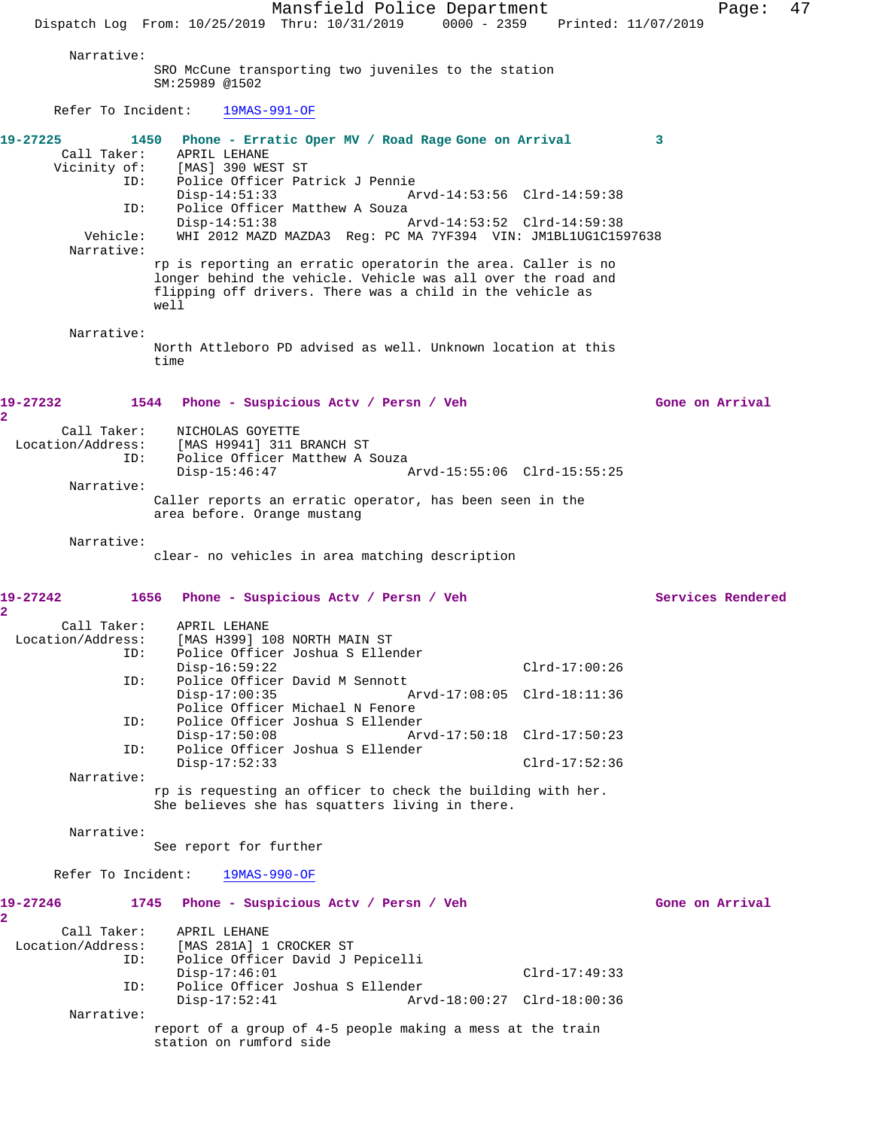Mansfield Police Department Page: 47 Dispatch Log From: 10/25/2019 Thru: 10/31/2019 0000 - 2359 Printed: 11/07/2019 Narrative: SRO McCune transporting two juveniles to the station SM:25989 @1502 Refer To Incident: 19MAS-991-OF **19-27225 1450 Phone - Erratic Oper MV / Road Rage Gone on Arrival 3**  Call Taker: APRIL LEHANE Vicinity of: [MAS] 390 WEST ST ID: Police Officer Patrick J Pennie Disp-14:51:33 Arvd-14:53:56 Clrd-14:59:38<br>TD: Police Officer Matthew A Souza Police Officer Matthew A Souza<br> $Disp-14:51:38$  Disp-14:51:38 Arvd-14:53:52 Clrd-14:59:38 Vehicle: WHI 2012 MAZD MAZDA3 Reg: PC MA 7YF394 VIN: JM1BL1UG1C1597638 Narrative: rp is reporting an erratic operatorin the area. Caller is no longer behind the vehicle. Vehicle was all over the road and flipping off drivers. There was a child in the vehicle as well Narrative: North Attleboro PD advised as well. Unknown location at this time **19-27232 1544 Phone - Suspicious Actv / Persn / Veh Gone on Arrival 2**  Call Taker: NICHOLAS GOYETTE<br>[ Location/Address: [MAS H9941] 311 [MAS H9941] 311 BRANCH ST ID: Police Officer Matthew A Souza Disp-15:46:47 Arvd-15:55:06 Clrd-15:55:25 Narrative: Caller reports an erratic operator, has been seen in the area before. Orange mustang Narrative: clear- no vehicles in area matching description **19-27242 1656 Phone - Suspicious Actv / Persn / Veh Services Rendered 2**  Call Taker: APRIL LEHANE<br>Location/Address: [MAS H399] 1 [MAS H399] 108 NORTH MAIN ST ID: Police Officer Joshua S Ellender Disp-16:59:22 Clrd-17:00:26<br>ID: Police Officer David M Sennott Police Officer David M Sennott Disp-17:00:35 Arvd-17:08:05 Clrd-18:11:36 Police Officer Michael N Fenore<br>ID: Police Officer Joshua S Ellender Police Officer Joshua S Ellender<br>Disp-17:50:08 Ar Disp-17:50:08 Arvd-17:50:18 Clrd-17:50:23<br>ID: Police Officer Joshua S Ellender Police Officer Joshua S Ellender Disp-17:52:33 Clrd-17:52:36 Narrative: rp is requesting an officer to check the building with her. She believes she has squatters living in there. Narrative: See report for further Refer To Incident: 19MAS-990-OF 19-27246 1745 Phone - Suspicious Actv / Persn / Veh Gone on Arrival **2**  Call Taker: APRIL LEHANE<br>Location/Address: [MAS 281A] 1 [MAS 281A] 1 CROCKER ST ID: Police Officer David J Pepicelli Disp-17:46:01 Clrd-17:49:33 ID: Police Officer Joshua S Ellender Arvd-18:00:27 Clrd-18:00:36 Narrative: report of a group of 4-5 people making a mess at the train station on rumford side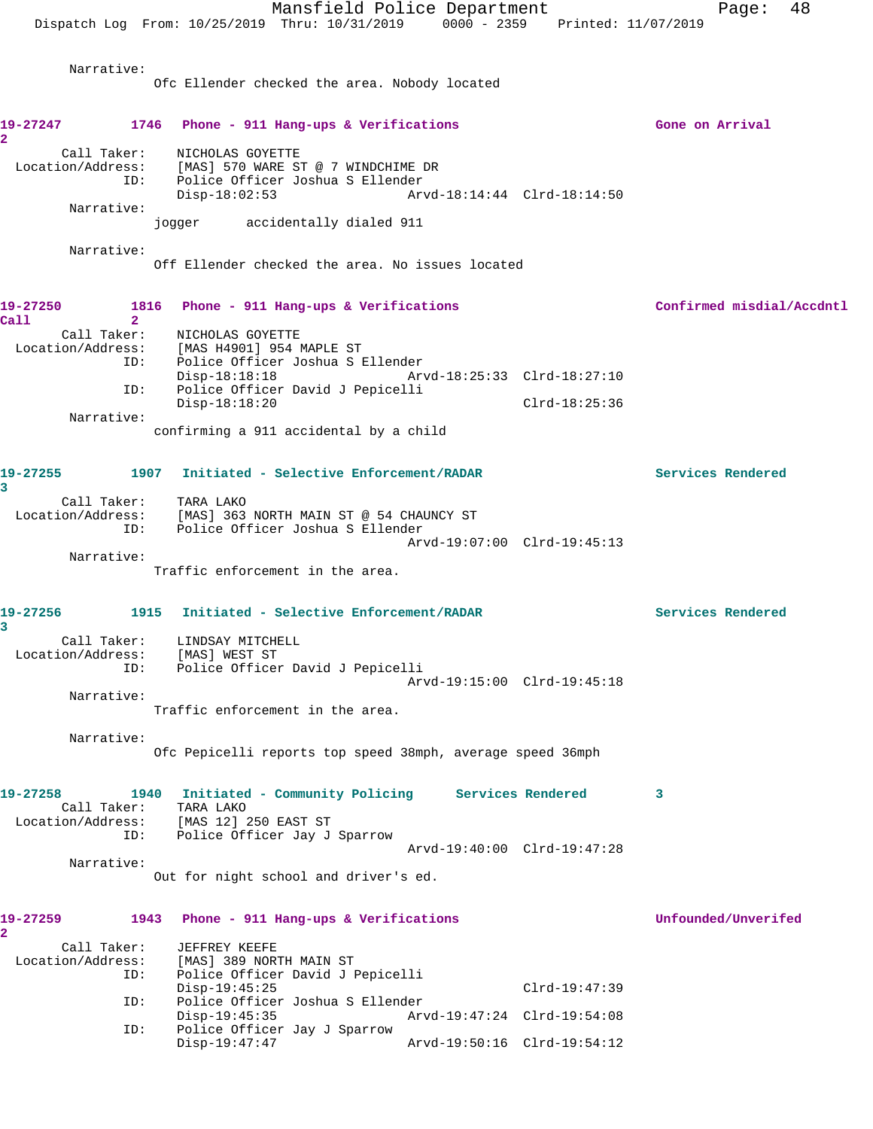Mansfield Police Department Fage: 48 Dispatch Log From: 10/25/2019 Thru: 10/31/2019 0000 - 2359 Printed: 11/07/2019 Narrative: Ofc Ellender checked the area. Nobody located 19-27247 1746 Phone - 911 Hang-ups & Verifications **1899 1899 Cone on Arrival**  Call Taker: NICHOLAS GOYETTE Location/Address: [MAS] 570 WARE ST @ 7 WINDCHIME DR ID: Police Officer Joshua S Ellender Disp-18:02:53 Arvd-18:14:44 Clrd-18:14:50 Narrative: jogger accidentally dialed 911 Narrative: Off Ellender checked the area. No issues located **19-27250 1816 Phone - 911 Hang-ups & Verifications Confirmed misdial/Accdntl**

**Call 2**  Call Taker: NICHOLAS GOYETTE Location/Address: [MAS H4901] 954 MAPLE ST ID: Police Officer Joshua S Ellender Disp-18:18:18 Arvd-18:25:33 Clrd-18:27:10 ID: Police Officer David J Pepicelli Disp-18:18:20 Clrd-18:25:36 Narrative:

**2** 

confirming a 911 accidental by a child

**19-27255 1907 Initiated - Selective Enforcement/RADAR Services Rendered 3**  Call Taker: TARA LAKO Location/Address: [MAS] 363 NORTH MAIN ST @ 54 CHAUNCY ST ID: Police Officer Joshua S Ellender Arvd-19:07:00 Clrd-19:45:13 Narrative:

Traffic enforcement in the area.

**19-27256 1915 Initiated - Selective Enforcement/RADAR Services Rendered 3**  Call Taker: LINDSAY MITCHELL Location/Address: [MAS] WEST ST ID: Police Officer David J Pepicelli Arvd-19:15:00 Clrd-19:45:18

Traffic enforcement in the area.

Narrative:

 Narrative: Ofc Pepicelli reports top speed 38mph, average speed 36mph

**19-27258 1940 Initiated - Community Policing Services Rendered 3**  Call Taker: TARA LAKO Location/Address: [MAS 12] 250 EAST ST ID: Police Officer Jay J Sparrow Arvd-19:40:00 Clrd-19:47:28 Narrative:

Out for night school and driver's ed.

## **19-27259 1943 Phone - 911 Hang-ups & Verifications Unfounded/Unverifed 2**  Call Taker: JEFFREY KEEFE<br>Location/Address: [MAS] 389 NOR [MAS] 389 NORTH MAIN ST ID: Police Officer David J Pepicelli Disp-19:45:25 Clrd-19:47:39 ID: Police Officer Joshua S Ellender Disp-19:45:35 Arvd-19:47:24 Clrd-19:54:08<br>ID: Police Officer Jay J Sparrow Police Officer Jay J Sparrow Disp-19:47:47 Arvd-19:50:16 Clrd-19:54:12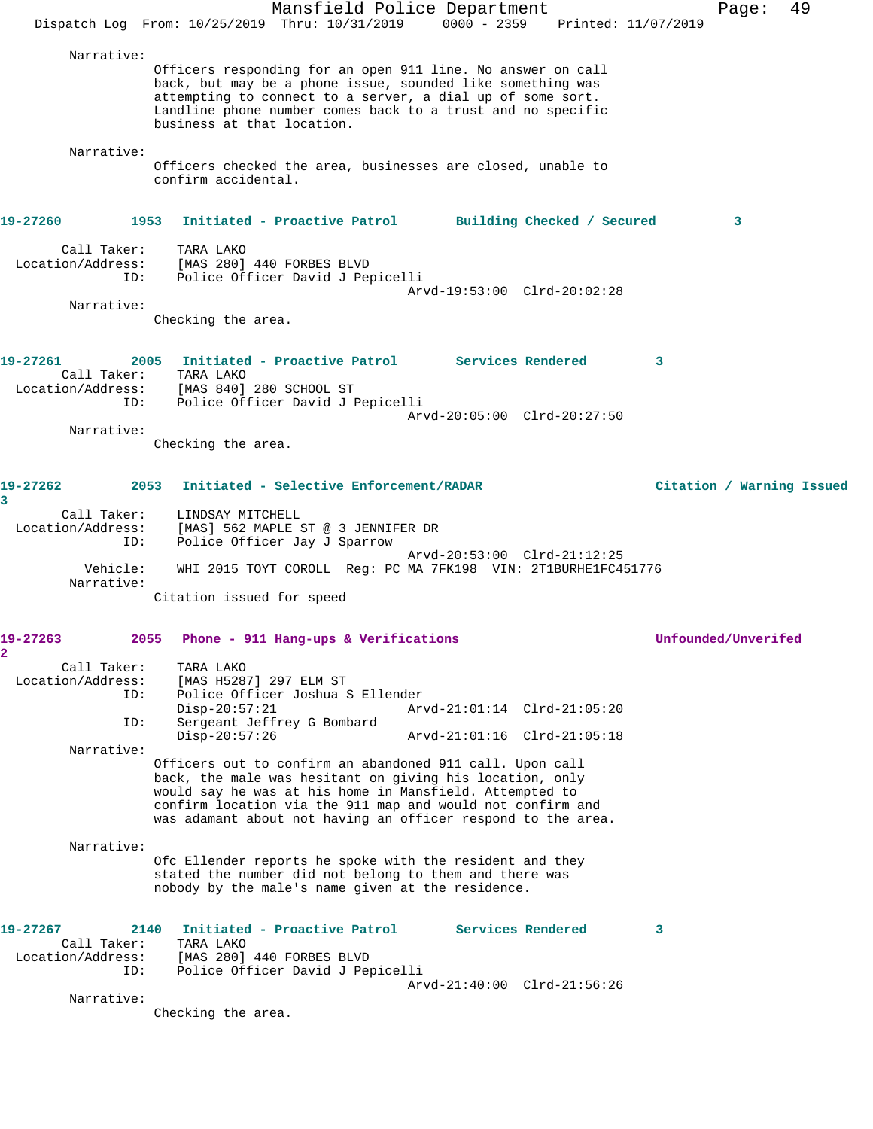|                                                     | Mansfield Police Department<br>Dispatch Log From: 10/25/2019 Thru: 10/31/2019 0000 - 2359 Printed: 11/07/2019                                                                                                                                                                                                 | 49<br>Page:               |
|-----------------------------------------------------|---------------------------------------------------------------------------------------------------------------------------------------------------------------------------------------------------------------------------------------------------------------------------------------------------------------|---------------------------|
| Narrative:                                          | Officers responding for an open 911 line. No answer on call<br>back, but may be a phone issue, sounded like something was<br>attempting to connect to a server, a dial up of some sort.<br>Landline phone number comes back to a trust and no specific<br>business at that location.                          |                           |
| Narrative:                                          | Officers checked the area, businesses are closed, unable to<br>confirm accidental.                                                                                                                                                                                                                            |                           |
| 19-27260                                            | 1953<br>Initiated - Proactive Patrol Building Checked / Secured                                                                                                                                                                                                                                               | 3                         |
| Call Taker:<br>Location/Address:<br>ID:             | TARA LAKO<br>[MAS 280] 440 FORBES BLVD<br>Police Officer David J Pepicelli<br>Arvd-19:53:00 Clrd-20:02:28                                                                                                                                                                                                     |                           |
| Narrative:                                          | Checking the area.                                                                                                                                                                                                                                                                                            |                           |
| 19-27261<br>Call Taker:<br>Location/Address:<br>ID: | 2005 Initiated - Proactive Patrol Services Rendered<br>TARA LAKO<br>[MAS 840] 280 SCHOOL ST<br>Police Officer David J Pepicelli                                                                                                                                                                               | 3                         |
| Narrative:                                          | Arvd-20:05:00 Clrd-20:27:50<br>Checking the area.                                                                                                                                                                                                                                                             |                           |
| 19-27262<br>3<br>Call Taker:                        | Initiated - Selective Enforcement/RADAR<br>2053<br>LINDSAY MITCHELL                                                                                                                                                                                                                                           | Citation / Warning Issued |
| Location/Address:<br>ID:                            | [MAS] 562 MAPLE ST @ 3 JENNIFER DR<br>Police Officer Jay J Sparrow<br>Arvd-20:53:00 Clrd-21:12:25                                                                                                                                                                                                             |                           |
| Vehicle:<br>Narrative:                              | WHI 2015 TOYT COROLL Reg: PC MA 7FK198 VIN: 2T1BURHE1FC451776<br>Citation issued for speed                                                                                                                                                                                                                    |                           |
| 19-27263<br>2                                       | 2055<br>Phone - 911 Hang-ups & Verifications                                                                                                                                                                                                                                                                  | Unfounded/Unverifed       |
| Call Taker:<br>Location/Address:<br>ID:             | TARA LAKO<br>[MAS H5287] 297 ELM ST<br>Police Officer Joshua S Ellender<br>$Disp-20:57:21$<br>Arvd-21:01:14 Clrd-21:05:20                                                                                                                                                                                     |                           |
| ID:<br>Narrative:                                   | Sergeant Jeffrey G Bombard<br>$Disp-20:57:26$<br>Arvd-21:01:16 Clrd-21:05:18                                                                                                                                                                                                                                  |                           |
|                                                     | Officers out to confirm an abandoned 911 call. Upon call<br>back, the male was hesitant on giving his location, only<br>would say he was at his home in Mansfield. Attempted to<br>confirm location via the 911 map and would not confirm and<br>was adamant about not having an officer respond to the area. |                           |
| Narrative:                                          | Ofc Ellender reports he spoke with the resident and they<br>stated the number did not belong to them and there was<br>nobody by the male's name given at the residence.                                                                                                                                       |                           |
| 19-27267<br>Call Taker:<br>Location/Address:<br>ID: | Services Rendered<br>2140<br>Initiated - Proactive Patrol<br>TARA LAKO<br>[MAS 280] 440 FORBES BLVD<br>Police Officer David J Pepicelli<br>Arvd-21:40:00 Clrd-21:56:26                                                                                                                                        | 3                         |
| Narrative:                                          | Checking the area.                                                                                                                                                                                                                                                                                            |                           |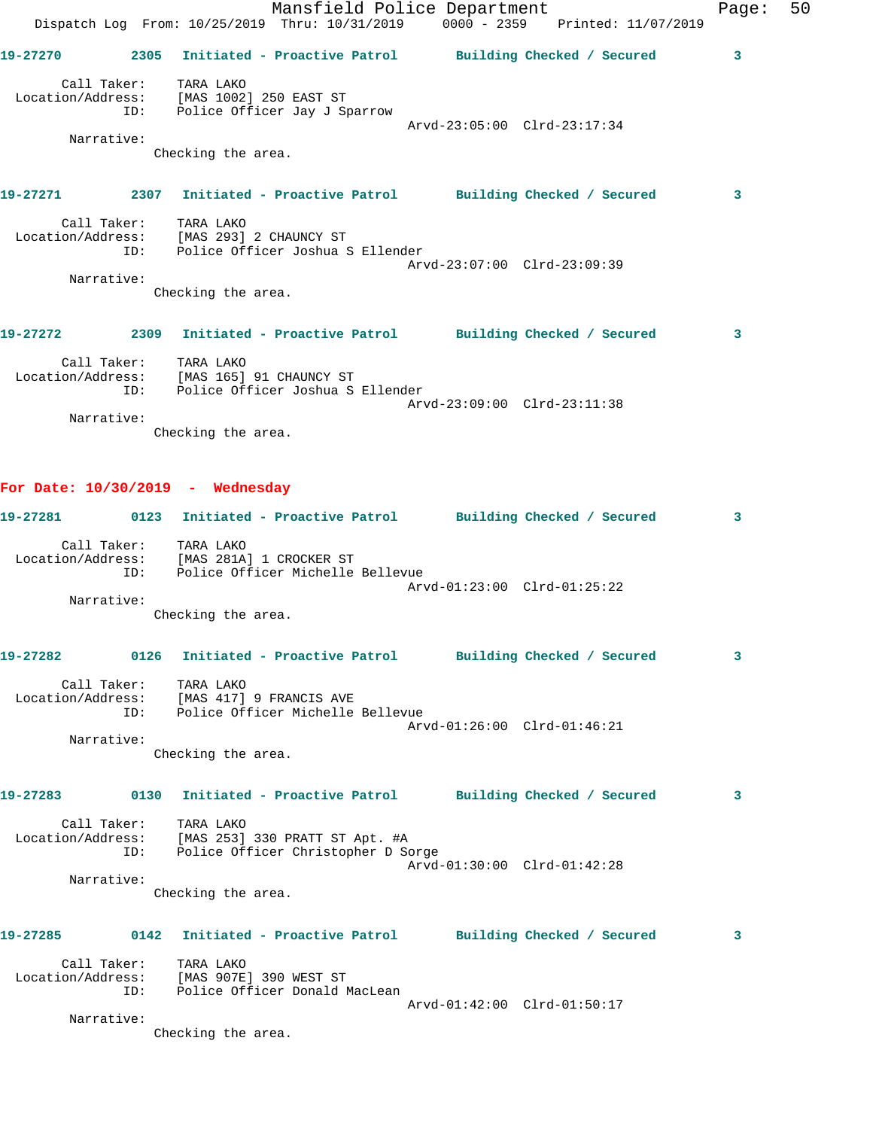|          |            | Dispatch Log From: 10/25/2019 Thru: 10/31/2019 0000 - 2359 Printed: 11/07/2019                             |                             |   |
|----------|------------|------------------------------------------------------------------------------------------------------------|-----------------------------|---|
|          |            | 19-27270 2305 Initiated - Proactive Patrol Building Checked / Secured 3                                    |                             |   |
|          |            | Call Taker: TARA LAKO<br>Location/Address: [MAS 1002] 250 EAST ST<br>ID: Police Officer Jay J Sparrow      |                             |   |
|          | Narrative: |                                                                                                            | Arvd-23:05:00 Clrd-23:17:34 |   |
|          |            | Checking the area.                                                                                         |                             |   |
|          |            | 19-27271 2307 Initiated - Proactive Patrol Building Checked / Secured                                      |                             | 3 |
|          |            | Call Taker: TARA LAKO                                                                                      |                             |   |
|          |            | Location/Address: [MAS 293] 2 CHAUNCY ST<br>ID: Police Officer Joshua S Ellender                           |                             |   |
|          | Narrative: |                                                                                                            | Arvd-23:07:00 Clrd-23:09:39 |   |
|          |            | Checking the area.                                                                                         |                             |   |
|          |            |                                                                                                            |                             |   |
|          |            | 19-27272 2309 Initiated - Proactive Patrol Building Checked / Secured                                      |                             | 3 |
|          |            | Call Taker: TARA LAKO<br>Location/Address: [MAS 165] 91 CHAUNCY ST<br>ID: Police Officer Joshua S Ellender |                             |   |
|          |            |                                                                                                            |                             |   |
|          | Narrative: |                                                                                                            | Arvd-23:09:00 Clrd-23:11:38 |   |
|          |            | Checking the area.                                                                                         |                             |   |
|          |            |                                                                                                            |                             |   |
|          |            |                                                                                                            |                             |   |
|          |            | For Date: $10/30/2019$ - Wednesday                                                                         |                             |   |
|          |            | 19-27281 0123 Initiated - Proactive Patrol Building Checked / Secured                                      |                             | 3 |
|          |            | Call Taker: TARA LAKO                                                                                      |                             |   |
|          |            | Location/Address: [MAS 281A] 1 CROCKER ST<br>ID: Police Officer Michelle Bellevue                          |                             |   |
|          |            |                                                                                                            | Arvd-01:23:00 Clrd-01:25:22 |   |
|          | Narrative: |                                                                                                            |                             |   |
|          |            | Checking the area.                                                                                         |                             |   |
|          |            |                                                                                                            |                             |   |
| 19-27282 |            | 0126 Initiated - Proactive Patrol Building Checked / Secured                                               |                             |   |
|          |            | Call Taker: TARA LAKO                                                                                      |                             |   |
|          |            | Location/Address: [MAS 417] 9 FRANCIS AVE                                                                  |                             |   |
|          |            | ID: Police Officer Michelle Bellevue                                                                       | Arvd-01:26:00 Clrd-01:46:21 |   |
|          | Narrative: |                                                                                                            |                             |   |
|          |            | Checking the area.                                                                                         |                             |   |
|          |            |                                                                                                            |                             |   |
|          |            | 19-27283 0130 Initiated - Proactive Patrol Building Checked / Secured                                      |                             | 3 |
|          |            | Call Taker: TARA LAKO<br>Location/Address: [MAS 253] 330 PRATT ST Apt. #A                                  |                             |   |
|          |            | ID: Police Officer Christopher D Sorge                                                                     |                             |   |
|          |            |                                                                                                            | Arvd-01:30:00 Clrd-01:42:28 |   |
|          | Narrative: |                                                                                                            |                             |   |
|          |            | Checking the area.                                                                                         |                             |   |
|          |            | 19-27285 0142 Initiated - Proactive Patrol Building Checked / Secured                                      |                             | 3 |
|          |            | Call Taker: TARA LAKO                                                                                      |                             |   |
|          |            | Location/Address: [MAS 907E] 390 WEST ST<br>ID: Police Officer Donald MacLean                              |                             |   |
|          |            |                                                                                                            | Arvd-01:42:00 Clrd-01:50:17 |   |
|          | Narrative: |                                                                                                            |                             |   |

Mansfield Police Department Fage: 50

Checking the area.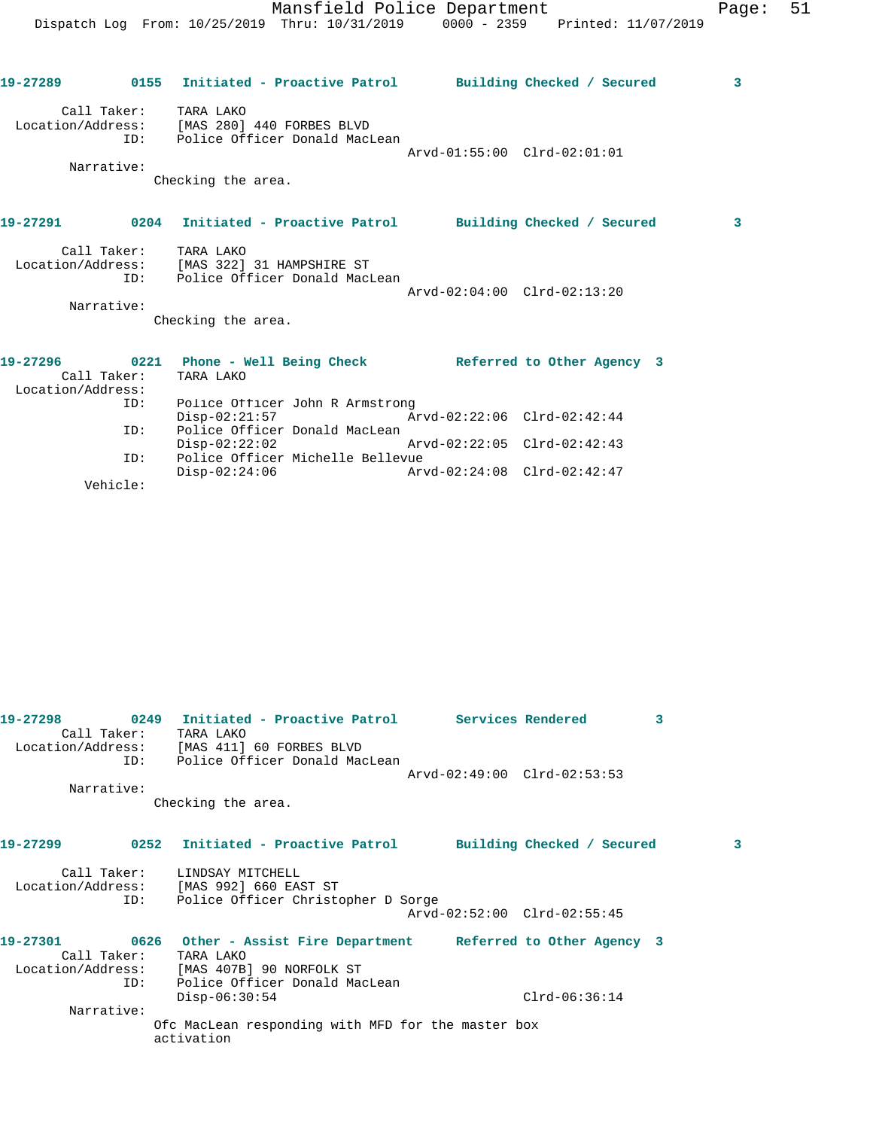|                               |                           | 19-27289      0155  Initiated - Proactive Patrol     Building Checked / Secured                                             |                             | $\overline{\mathbf{3}}$ |
|-------------------------------|---------------------------|-----------------------------------------------------------------------------------------------------------------------------|-----------------------------|-------------------------|
|                               | Call Taker:<br>Narrative: | TARA LAKO<br>Location/Address: [MAS 280] 440 FORBES BLVD<br>ID: Police Officer Donald MacLean                               | Arvd-01:55:00 Clrd-02:01:01 |                         |
|                               |                           | Checking the area.                                                                                                          |                             |                         |
|                               |                           | 19-27291      0204  Initiated - Proactive Patrol     Building Checked / Secured                                             |                             | $\mathbf{3}$            |
|                               | TD:<br>Narrative:         | Call Taker: TARA LAKO<br>Location/Address: [MAS 322] 31 HAMPSHIRE ST<br>Police Officer Donald MacLean<br>Checking the area. | Arvd-02:04:00 Clrd-02:13:20 |                         |
| 19-27296<br>Location/Address: | Call Taker:               | 0221 Phone - Well Being Check and Referred to Other Agency 3<br>TARA LAKO                                                   |                             |                         |
|                               | ID:                       | Police Officer John R Armstrong<br>$Disp-02:21:57$                                                                          | Arvd-02:22:06 Clrd-02:42:44 |                         |
|                               | ID:                       | Police Officer Donald MacLean<br>$Divd-02:22:05$ $C1rd-02:42:43$                                                            |                             |                         |
|                               | ID:<br>Vehicle:           | Police Officer Michelle Bellevue<br>$Disp-02:24:06$                                                                         | Arvd-02:24:08 Clrd-02:42:47 |                         |

| 19-27298    |            | 0249 Initiated - Proactive Patrol<br>Call Taker: TARA LAKO                                                    |                             | Services Rendered          | 3 |   |
|-------------|------------|---------------------------------------------------------------------------------------------------------------|-----------------------------|----------------------------|---|---|
|             |            | Location/Address: [MAS 411] 60 FORBES BLVD                                                                    |                             |                            |   |   |
|             |            | ID: Police Officer Donald MacLean                                                                             |                             |                            |   |   |
|             |            |                                                                                                               | Arvd-02:49:00 Clrd-02:53:53 |                            |   |   |
|             | Narrative: |                                                                                                               |                             |                            |   |   |
|             |            | Checking the area.                                                                                            |                             |                            |   |   |
| 19-27299    |            | 0252 Initiated - Proactive Patrol                                                                             |                             | Building Checked / Secured |   | 3 |
| ID:         |            | Call Taker: LINDSAY MITCHELL<br>Location/Address: [MAS 992] 660 EAST ST<br>Police Officer Christopher D Sorge |                             |                            |   |   |
|             |            |                                                                                                               | Arvd-02:52:00 Clrd-02:55:45 |                            |   |   |
| 19-27301    |            | 0626 Other - Assist Fire Department Referred to Other Agency 3                                                |                             |                            |   |   |
| Call Taker: |            | TARA LAKO                                                                                                     |                             |                            |   |   |
|             |            | Location/Address: [MAS 407B] 90 NORFOLK ST                                                                    |                             |                            |   |   |
|             | TD:        | Police Officer Donald MacLean                                                                                 |                             |                            |   |   |
|             |            | $Disp-06:30:54$                                                                                               |                             | $Clrd-06:36:14$            |   |   |
|             | Narrative: |                                                                                                               |                             |                            |   |   |
|             |            | Ofc MacLean responding with MFD for the master box                                                            |                             |                            |   |   |
|             |            | activation                                                                                                    |                             |                            |   |   |
|             |            |                                                                                                               |                             |                            |   |   |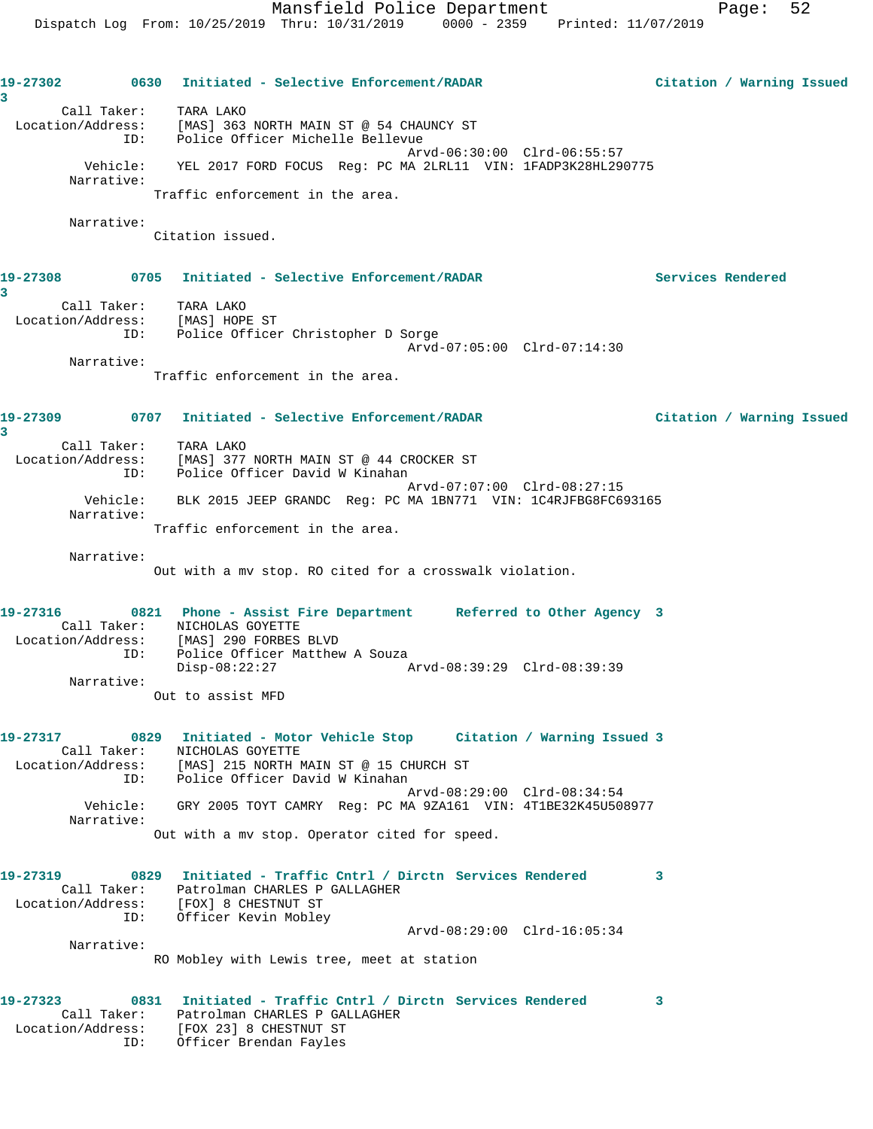| 3                               | 19-27302 0630 Initiated - Selective Enforcement/RADAR                                                                      | Citation / Warning Issued |
|---------------------------------|----------------------------------------------------------------------------------------------------------------------------|---------------------------|
| Call Taker: TARA LAKO<br>ID:    | Location/Address: [MAS] 363 NORTH MAIN ST @ 54 CHAUNCY ST<br>Police Officer Michelle Bellevue                              |                           |
| Vehicle:<br>Narrative:          | Arvd-06:30:00 Clrd-06:55:57<br>YEL 2017 FORD FOCUS Req: PC MA 2LRL11 VIN: 1FADP3K28HL290775                                |                           |
|                                 | Traffic enforcement in the area.                                                                                           |                           |
| Narrative:                      | Citation issued.                                                                                                           |                           |
|                                 |                                                                                                                            | Services Rendered         |
| 3<br>Call Taker:                | TARA LAKO                                                                                                                  |                           |
| Location/Address: [MAS] HOPE ST |                                                                                                                            |                           |
| ID:                             | Police Officer Christopher D Sorge<br>Arvd-07:05:00 Clrd-07:14:30                                                          |                           |
| Narrative:                      |                                                                                                                            |                           |
|                                 | Traffic enforcement in the area.                                                                                           |                           |
| 3                               | 19-27309                  0707     Initiated - Selective Enforcement/RADAR                                                 | Citation / Warning Issued |
| Call Taker: TARA LAKO           |                                                                                                                            |                           |
| ID:                             | Location/Address: [MAS] 377 NORTH MAIN ST @ 44 CROCKER ST<br>Police Officer David W Kinahan                                |                           |
| Vehicle:<br>Narrative:          | Arvd-07:07:00 Clrd-08:27:15<br>BLK 2015 JEEP GRANDC Reg: PC MA 1BN771 VIN: 1C4RJFBG8FC693165                               |                           |
|                                 | Traffic enforcement in the area.                                                                                           |                           |
| Narrative:                      |                                                                                                                            |                           |
|                                 | Out with a mv stop. RO cited for a crosswalk violation.                                                                    |                           |
| 19-27316                        | 0821 Phone - Assist Fire Department Referred to Other Agency 3                                                             |                           |
|                                 | Call Taker: NICHOLAS GOYETTE<br>Location/Address: [MAS] 290 FORBES BLVD                                                    |                           |
| ID:                             | Police Officer Matthew A Souza                                                                                             |                           |
| Narrative:                      | $Disp-08:22:27$<br>Arvd-08:39:29 Clrd-08:39:39                                                                             |                           |
|                                 | Out to assist MFD                                                                                                          |                           |
|                                 | 19-27317 0829 Initiated - Motor Vehicle Stop Citation / Warning Issued 3                                                   |                           |
| ID:                             | Call Taker: NICHOLAS GOYETTE<br>Location/Address: [MAS] 215 NORTH MAIN ST @ 15 CHURCH ST<br>Police Officer David W Kinahan |                           |
|                                 | Arvd-08:29:00 Clrd-08:34:54                                                                                                |                           |
| Narrative:                      | Vehicle: GRY 2005 TOYT CAMRY Req: PC MA 9ZA161 VIN: 4T1BE32K45U508977                                                      |                           |
|                                 | Out with a mv stop. Operator cited for speed.                                                                              |                           |
| 19-27319                        | 0829 Initiated - Traffic Cntrl / Dirctn Services Rendered                                                                  | 3                         |
|                                 | Call Taker: Patrolman CHARLES P GALLAGHER<br>Location/Address: [FOX] 8 CHESTNUT ST                                         |                           |
| ID:                             | Officer Kevin Mobley                                                                                                       |                           |
| Narrative:                      | Arvd-08:29:00 Clrd-16:05:34                                                                                                |                           |
|                                 | RO Mobley with Lewis tree, meet at station                                                                                 |                           |
| 19-27323<br>0831                | Initiated - Traffic Cntrl / Dirctn Services Rendered                                                                       | 3                         |
|                                 | Call Taker: Patrolman CHARLES P GALLAGHER<br>Location/Address: [FOX 23] 8 CHESTNUT ST                                      |                           |

ID: Officer Brendan Fayles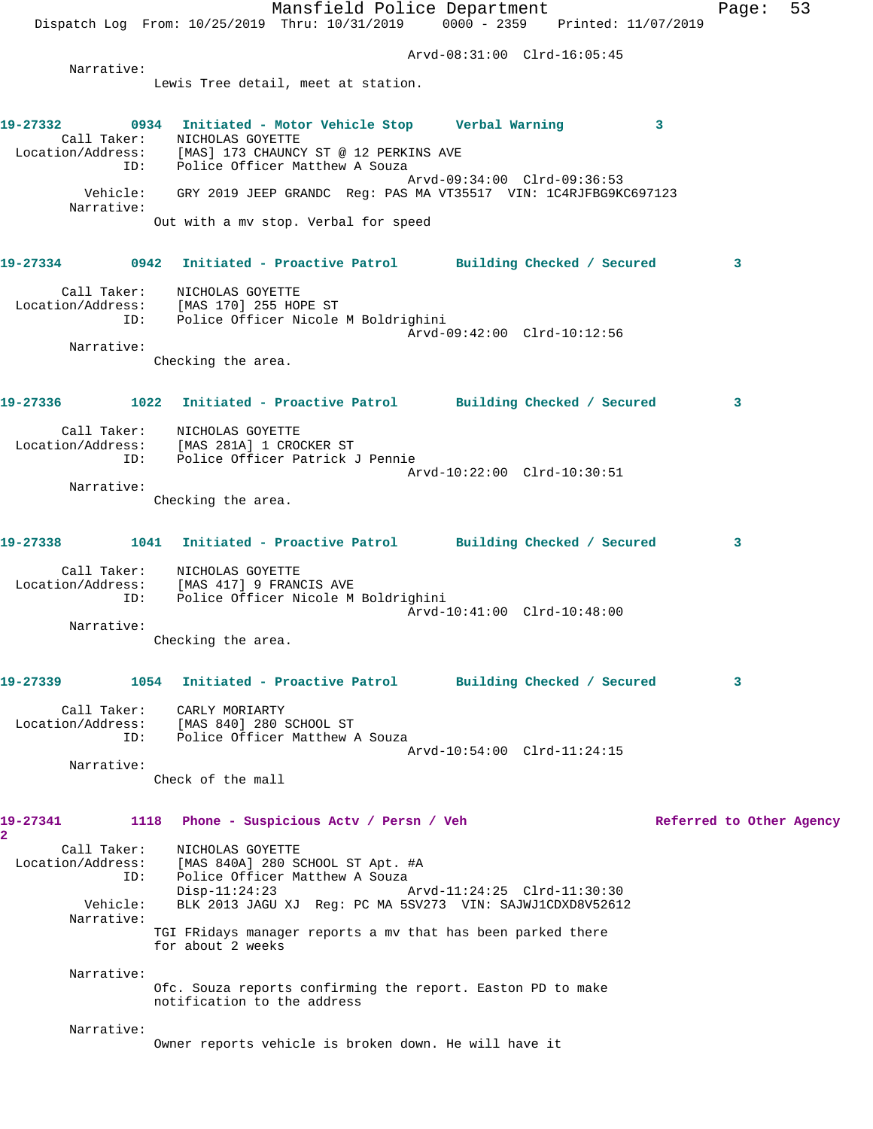Mansfield Police Department Fage: 53 Dispatch Log From: 10/25/2019 Thru: 10/31/2019 0000 - 2359 Printed: 11/07/2019 Arvd-08:31:00 Clrd-16:05:45 Narrative: Lewis Tree detail, meet at station. **19-27332 0934 Initiated - Motor Vehicle Stop Verbal Warning 3**  Call Taker: NICHOLAS GOYETTE Location/Address: [MAS] 173 CHAUNCY ST @ 12 PERKINS AVE ID: Police Officer Matthew A Souza Arvd-09:34:00 Clrd-09:36:53 Vehicle: GRY 2019 JEEP GRANDC Reg: PAS MA VT35517 VIN: 1C4RJFBG9KC697123 Narrative: Out with a mv stop. Verbal for speed **19-27334 0942 Initiated - Proactive Patrol Building Checked / Secured 3** Call Taker: NICHOLAS GOYETTE Location/Address: [MAS 170] 255 HOPE ST ID: Police Officer Nicole M Boldrighini Arvd-09:42:00 Clrd-10:12:56 Narrative: Checking the area. **19-27336 1022 Initiated - Proactive Patrol Building Checked / Secured 3** Call Taker: NICHOLAS GOYETTE Location/Address: [MAS 281A] 1 CROCKER ST ID: Police Officer Patrick J Pennie Arvd-10:22:00 Clrd-10:30:51 Narrative: Checking the area. **19-27338 1041 Initiated - Proactive Patrol Building Checked / Secured 3** Call Taker: NICHOLAS GOYETTE Location/Address: [MAS 417] 9 FRANCIS AVE ID: Police Officer Nicole M Boldrighini Arvd-10:41:00 Clrd-10:48:00 Narrative: Checking the area. **19-27339 1054 Initiated - Proactive Patrol Building Checked / Secured 3** Call Taker: CARLY MORIARTY Location/Address: [MAS 840] 280 SCHOOL ST ID: Police Officer Matthew A Souza Arvd-10:54:00 Clrd-11:24:15 Narrative: Check of the mall 19-27341 1118 Phone - Suspicious Actv / Persn / Veh Referred to Other Agency **2**  Call Taker: NICHOLAS GOYETTE Location/Address: [MAS 840A] 280 SCHOOL ST Apt. #A ID: Police Officer Matthew A Souza Disp-11:24:23 Arvd-11:24:25 Clrd-11:30:30 Vehicle: BLK 2013 JAGU XJ Reg: PC MA 5SV273 VIN: SAJWJ1CDXD8V52612 Narrative: TGI FRidays manager reports a mv that has been parked there for about 2 weeks Narrative: Ofc. Souza reports confirming the report. Easton PD to make notification to the address Narrative: Owner reports vehicle is broken down. He will have it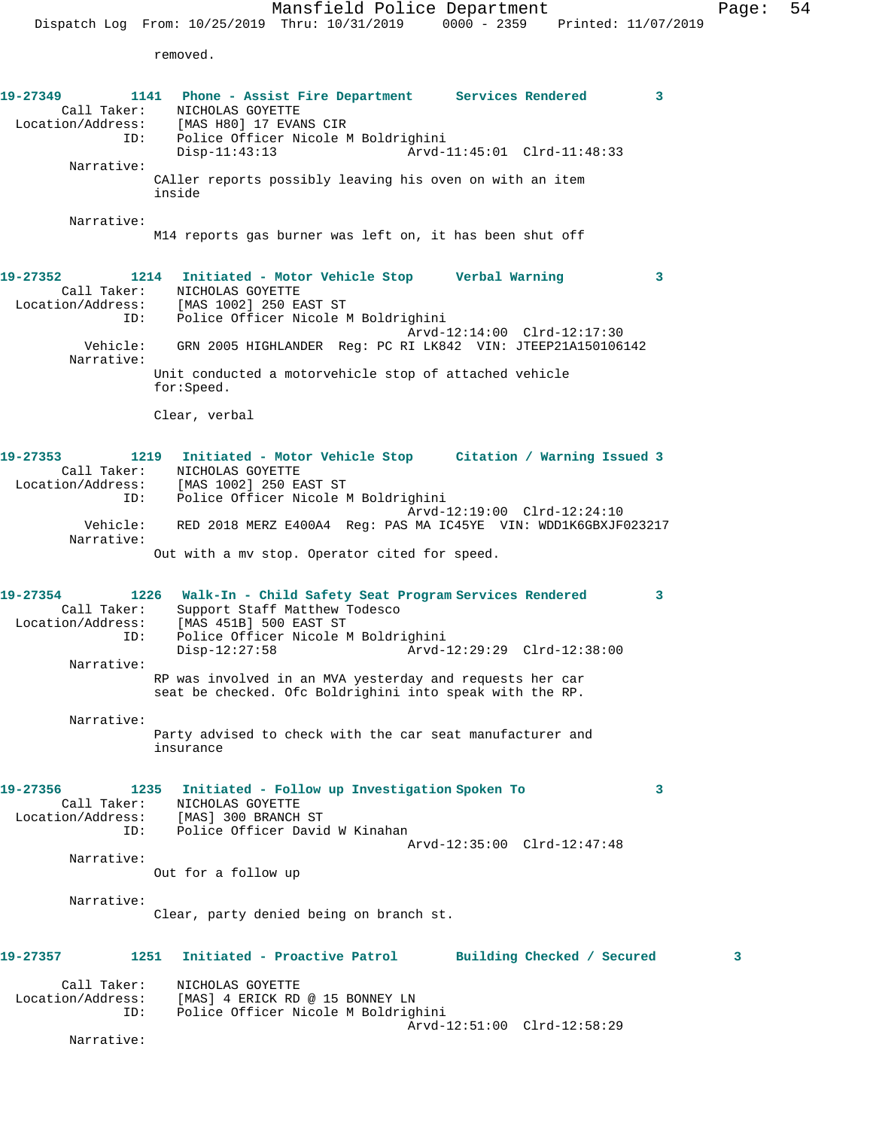Mansfield Police Department Page: 54 Dispatch Log From: 10/25/2019 Thru: 10/31/2019 0000 - 2359 Printed: 11/07/2019 removed. **19-27349 1141 Phone - Assist Fire Department Services Rendered 3**  Call Taker: NICHOLAS GOYETTE Location/Address: [MAS H80] 17 EVANS CIR ID: Police Officer Nicole M Boldrighini Disp-11:43:13 Arvd-11:45:01 Clrd-11:48:33 Narrative: CAller reports possibly leaving his oven on with an item inside Narrative: M14 reports gas burner was left on, it has been shut off **19-27352 1214 Initiated - Motor Vehicle Stop Verbal Warning 3**  Call Taker: NICHOLAS GOYETTE Location/Address: [MAS 1002] 250 EAST ST ID: Police Officer Nicole M Boldrighini Arvd-12:14:00 Clrd-12:17:30 Vehicle: GRN 2005 HIGHLANDER Reg: PC RI LK842 VIN: JTEEP21A150106142 Narrative: Unit conducted a motorvehicle stop of attached vehicle for:Speed. Clear, verbal **19-27353 1219 Initiated - Motor Vehicle Stop Citation / Warning Issued 3**  Call Taker: NICHOLAS GOYETTE Location/Address: [MAS 1002] 250 EAST ST ID: Police Officer Nicole M Boldrighini Arvd-12:19:00 Clrd-12:24:10 Vehicle: RED 2018 MERZ E400A4 Reg: PAS MA IC45YE VIN: WDD1K6GBXJF023217 Narrative: Out with a mv stop. Operator cited for speed. **19-27354 1226 Walk-In - Child Safety Seat Program Services Rendered 3**  Call Taker: Support Staff Matthew Todesco Location/Address: [MAS 451B] 500 EAST ST ID: Police Officer Nicole M Boldrighini Disp-12:27:58 Arvd-12:29:29 Clrd-12:38:00 Narrative: RP was involved in an MVA yesterday and requests her car seat be checked. Ofc Boldrighini into speak with the RP. Narrative: Party advised to check with the car seat manufacturer and insurance **19-27356 1235 Initiated - Follow up Investigation Spoken To 3**  Call Taker: NICHOLAS GOYETTE Location/Address: [MAS] 300 BRANCH ST ID: Police Officer David W Kinahan Arvd-12:35:00 Clrd-12:47:48 Narrative: Out for a follow up

Narrative:

Clear, party denied being on branch st.

## **19-27357 1251 Initiated - Proactive Patrol Building Checked / Secured 3** Call Taker: NICHOLAS GOYETTE Location/Address: [MAS] 4 ERICK RD @ 15 BONNEY LN ID: Police Officer Nicole M Boldrighini Arvd-12:51:00 Clrd-12:58:29

Narrative: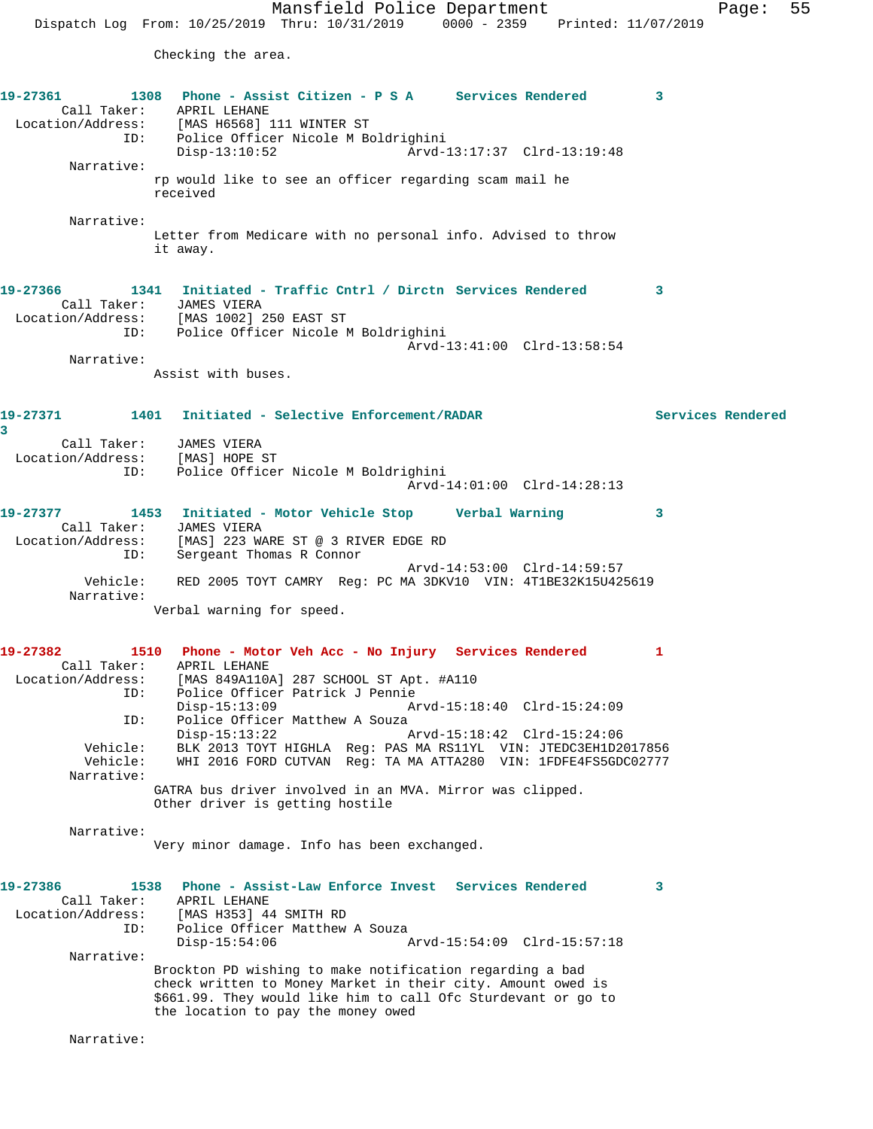Checking the area.

**19-27361 1308 Phone - Assist Citizen - P S A Services Rendered 3**  Call Taker: APRIL LEHANE Location/Address: [MAS H6568] 111 WINTER ST ID: Police Officer Nicole M Boldrighini Disp-13:10:52 Arvd-13:17:37 Clrd-13:19:48 Narrative: rp would like to see an officer regarding scam mail he received Narrative: Letter from Medicare with no personal info. Advised to throw it away. **19-27366 1341 Initiated - Traffic Cntrl / Dirctn Services Rendered 3**  Call Taker: JAMES VIERA Location/Address: [MAS 1002] 250 EAST ST ID: Police Officer Nicole M Boldrighini Arvd-13:41:00 Clrd-13:58:54 Narrative: Assist with buses. **19-27371 1401 Initiated - Selective Enforcement/RADAR Services Rendered 3**  Call Taker: JAMES VIERA Location/Address: [MAS] HOPE ST ID: Police Officer Nicole M Boldrighini Arvd-14:01:00 Clrd-14:28:13 **19-27377 1453 Initiated - Motor Vehicle Stop Verbal Warning 3**  Call Taker: JAMES VIERA Location/Address: [MAS] 223 WARE ST @ 3 RIVER EDGE RD ID: Sergeant Thomas R Connor Arvd-14:53:00 Clrd-14:59:57 Vehicle: RED 2005 TOYT CAMRY Reg: PC MA 3DKV10 VIN: 4T1BE32K15U425619 Narrative: Verbal warning for speed. **19-27382 1510 Phone - Motor Veh Acc - No Injury Services Rendered 1**  Call Taker: APRIL LEHANE Location/Address: [MAS 849A110A] 287 SCHOOL ST Apt. #A110 Police Officer Patrick J Pennie<br>Disp-15:13:09 Ar Disp-15:13:09 Arvd-15:18:40 Clrd-15:24:09<br>ID: Police Officer Matthew A Souza Police Officer Matthew A Souza<br>Disp-15:13:22 Arvd-15:18:42 Clrd-15:24:06 Vehicle: BLK 2013 TOYT HIGHLA Reg: PAS MA RS11YL VIN: JTEDC3EH1D2017856 Vehicle: WHI 2016 FORD CUTVAN Reg: TA MA ATTA280 VIN: 1FDFE4FS5GDC02777 Narrative: GATRA bus driver involved in an MVA. Mirror was clipped. Other driver is getting hostile Narrative: Very minor damage. Info has been exchanged. **19-27386 1538 Phone - Assist-Law Enforce Invest Services Rendered 3**  Call Taker: APRIL LEHANE<br>Location/Address: [MAS H353] 44 [MAS H353] 44 SMITH RD ID: Police Officer Matthew A Souza<br>Disp-15:54:06 P Disp-15:54:06 Arvd-15:54:09 Clrd-15:57:18 Narrative: Brockton PD wishing to make notification regarding a bad check written to Money Market in their city. Amount owed is \$661.99. They would like him to call Ofc Sturdevant or go to the location to pay the money owed

Narrative: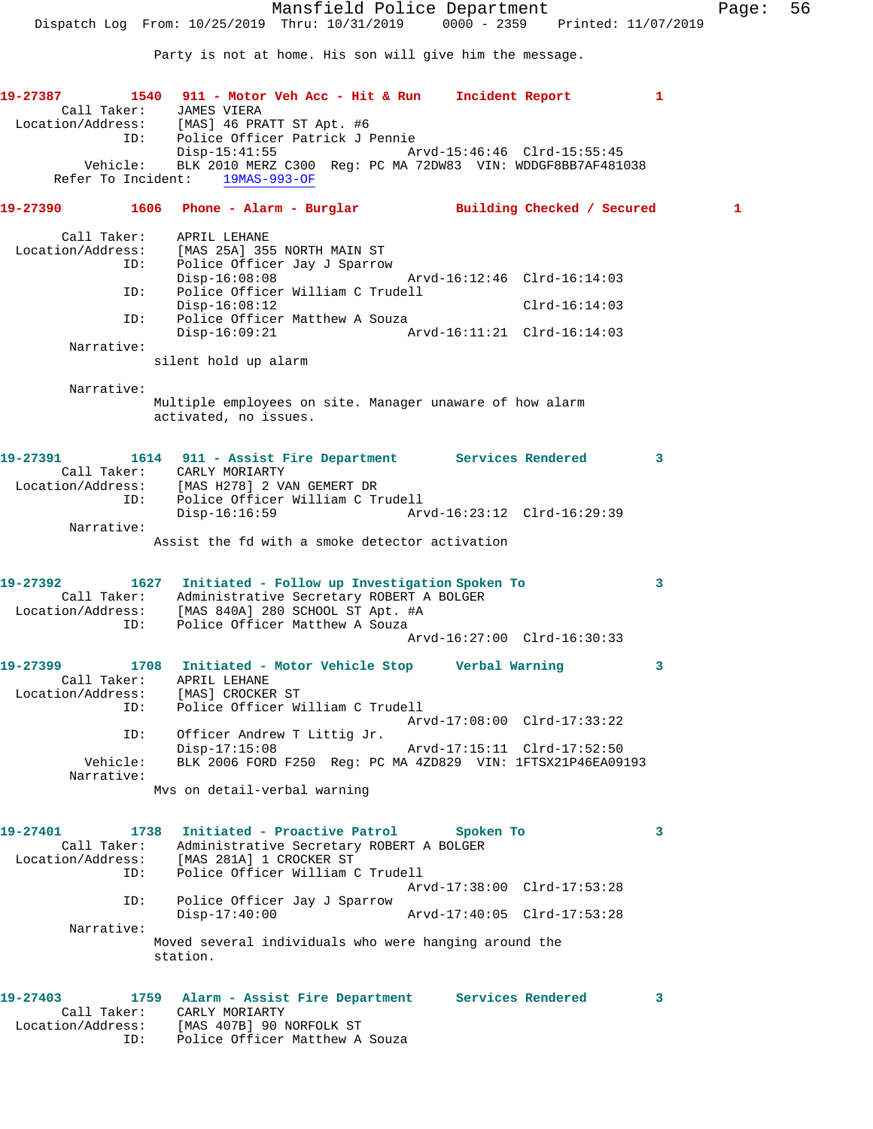Party is not at home. His son will give him the message.

**19-27387 1540 911 - Motor Veh Acc - Hit & Run Incident Report 1**  Call Taker: JAMES VIERA Location/Address: [MAS] 46 PRATT ST Apt. #6 ID: Police Officer Patrick J Pennie<br>Disp-15:41:55 Arvd-15:46:46 Clrd-15:55:45 Vehicle: BLK 2010 MERZ C300 Reg: PC MA 72DW83 VIN: WDDGF8BB7AF481038 Refer To Incident: 19MAS-993-OF **19-27390 1606 Phone - Alarm - Burglar Building Checked / Secured 1** Call Taker: APRIL LEHANE Location/Address: [MAS 25A] 355 NORTH MAIN ST ID: Police Officer Jay J Sparrow Disp-16:08:08 <br>ID: Police Officer William C Trudell<br>D: Police Officer William C Trudell Police Officer William C Trudell Disp-16:08:12 Clrd-16:14:03 ID: Police Officer Matthew A Souza<br>Disp-16:09:21 Ar Disp-16:09:21 Arvd-16:11:21 Clrd-16:14:03 Narrative: silent hold up alarm Narrative: Multiple employees on site. Manager unaware of how alarm activated, no issues. **19-27391 1614 911 - Assist Fire Department Services Rendered 3**  Call Taker: CARLY MORIARTY Location/Address: [MAS H278] 2 VAN GEMERT DR ID: Police Officer William C Trudell Disp-16:16:59 Arvd-16:23:12 Clrd-16:29:39 Narrative: Assist the fd with a smoke detector activation **19-27392 1627 Initiated - Follow up Investigation Spoken To 3**  Call Taker: Administrative Secretary ROBERT A BOLGER Location/Address: [MAS 840A] 280 SCHOOL ST Apt. #A ID: Police Officer Matthew A Souza Arvd-16:27:00 Clrd-16:30:33 **19-27399 1708 Initiated - Motor Vehicle Stop Verbal Warning 3**  Call Taker: APRIL LEHANE Location/Address: [MAS] CROCKER ST ID: Police Officer William C Trudell Arvd-17:08:00 Clrd-17:33:22 ID: Officer Andrew T Littig Jr.<br>Disp-17:15:08 Arvd-17:15:11 Clrd-17:52:50 Vehicle: BLK 2006 FORD F250 Reg: PC MA 4ZD829 VIN: 1FTSX21P46EA09193 Narrative: Mvs on detail-verbal warning **19-27401 1738 Initiated - Proactive Patrol Spoken To 3**  Call Taker: Administrative Secretary ROBERT A BOLGER Location/Address: [MAS 281A] 1 CROCKER ST ID: Police Officer William C Trudell Arvd-17:38:00 Clrd-17:53:28 ID: Police Officer Jay J Sparrow Disp-17:40:00 Arvd-17:40:05 Clrd-17:53:28 Narrative: Moved several individuals who were hanging around the station. **19-27403 1759 Alarm - Assist Fire Department Services Rendered 3**  Call Taker: CARLY MORIARTY Location/Address: [MAS 407B] 90 NORFOLK ST ID: Police Officer Matthew A Souza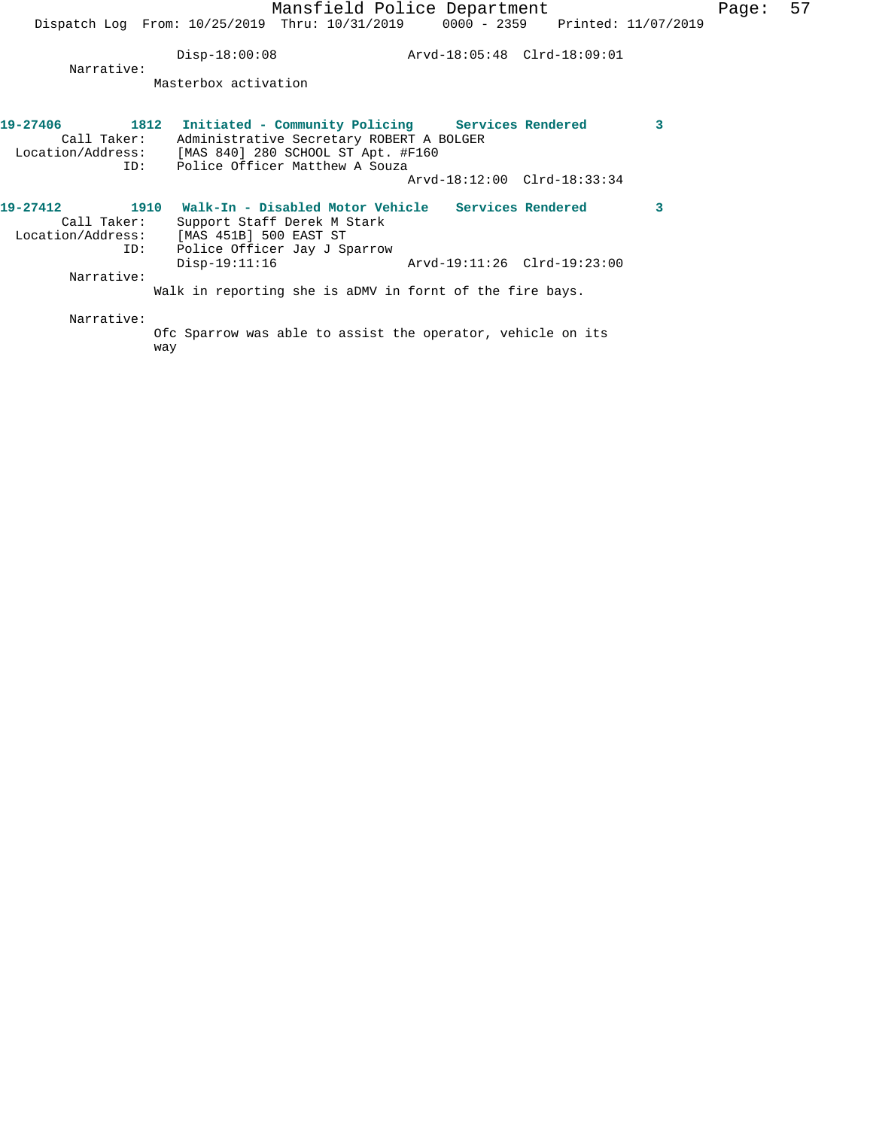Disp-18:00:08 Arvd-18:05:48 Clrd-18:09:01

 Narrative: Masterbox activation

| 19-27406<br>1812<br>Call Taker:<br>Location/Address:<br>ID: |             | Initiated - Community Policing Services Rendered<br>Administrative Secretary ROBERT A BOLGER<br>[MAS 840] 280 SCHOOL ST Apt. #F160<br>Police Officer Matthew A Souza |  |                             | 3 |
|-------------------------------------------------------------|-------------|----------------------------------------------------------------------------------------------------------------------------------------------------------------------|--|-----------------------------|---|
|                                                             |             |                                                                                                                                                                      |  | Arvd-18:12:00 Clrd-18:33:34 |   |
| 19-27412<br>Call Taker:<br>Location/Address:                | 1910<br>ID: | Walk-In - Disabled Motor Vehicle Services Rendered<br>Support Staff Derek M Stark<br>[MAS 451B] 500 EAST ST<br>Police Officer Jay J Sparrow                          |  |                             | 3 |
| Narrative:                                                  |             | $Disp-19:11:16$                                                                                                                                                      |  | Arvd-19:11:26 Clrd-19:23:00 |   |
|                                                             |             | Walk in reporting she is aDMV in fornt of the fire bays.                                                                                                             |  |                             |   |
| Narrative:                                                  |             | $0.5a$ Crowner was able to againt the enemator webigle on $1+a$                                                                                                      |  |                             |   |

Ofc Sparrow was able to assist the operator, vehicle on its way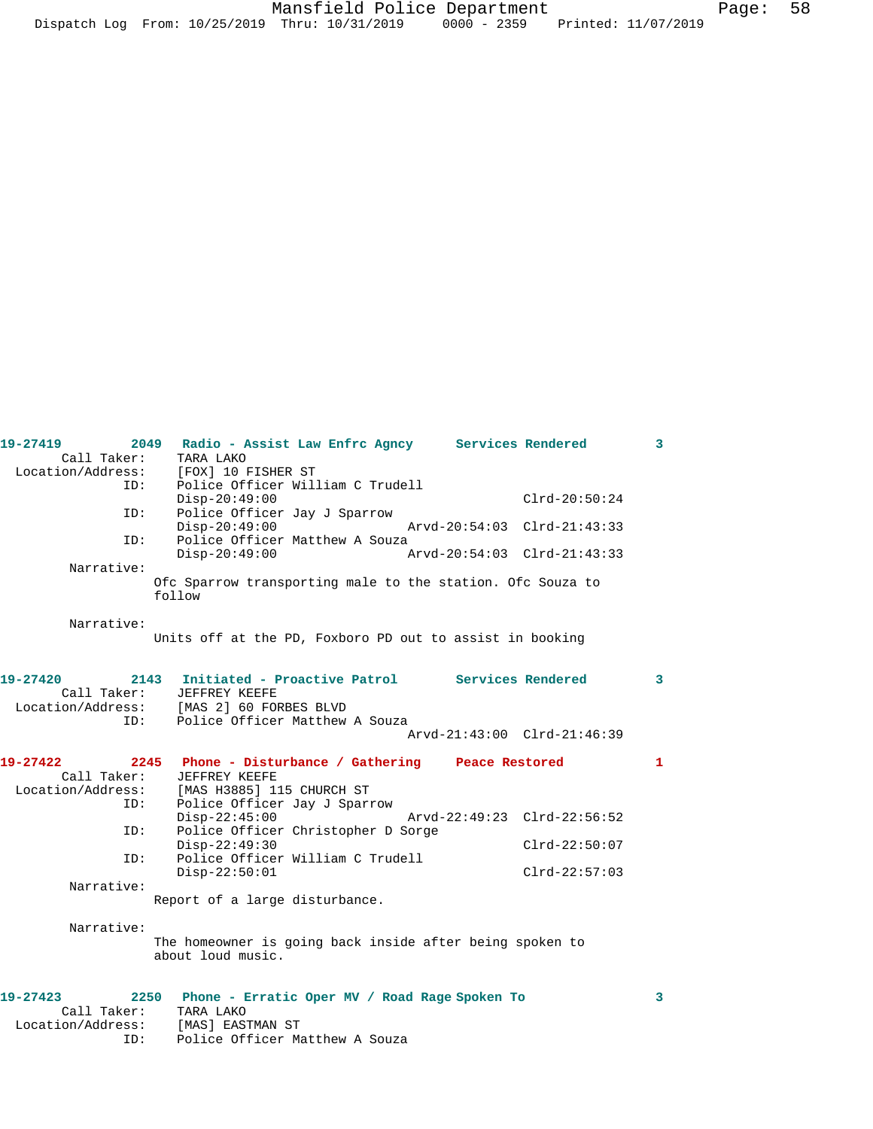| 19-27419                         | Radio - Assist Law Enfrc Agncy Services Rendered<br>2049                      |                             | 3            |
|----------------------------------|-------------------------------------------------------------------------------|-----------------------------|--------------|
| Call Taker:                      | TARA LAKO                                                                     |                             |              |
| Location/Address:                | [FOX] 10 FISHER ST                                                            |                             |              |
| ID:                              | Police Officer William C Trudell<br>$Disp-20:49:00$                           | $Clrd-20:50:24$             |              |
| ID:                              | Police Officer Jay J Sparrow<br>$Disp-20:49:00$                               | Arvd-20:54:03 Clrd-21:43:33 |              |
| ID:                              | Police Officer Matthew A Souza<br>$Disp-20:49:00$                             | Arvd-20:54:03 Clrd-21:43:33 |              |
| Narrative:                       |                                                                               |                             |              |
|                                  | Ofc Sparrow transporting male to the station. Ofc Souza to<br>follow          |                             |              |
|                                  |                                                                               |                             |              |
| Narrative:                       |                                                                               |                             |              |
|                                  | Units off at the PD, Foxboro PD out to assist in booking                      |                             |              |
|                                  |                                                                               |                             |              |
| 19-27420                         | Initiated - Proactive Patrol Services Rendered<br>2143                        |                             | 3            |
| Call Taker:                      | JEFFREY KEEFE                                                                 |                             |              |
| Location/Address:                | [MAS 2] 60 FORBES BLVD                                                        |                             |              |
| ID:                              | Police Officer Matthew A Souza                                                |                             |              |
|                                  |                                                                               | Arvd-21:43:00 Clrd-21:46:39 |              |
|                                  |                                                                               |                             |              |
|                                  |                                                                               |                             |              |
| 19-27422                         | 2245 Phone - Disturbance / Gathering Peace Restored<br>JEFFREY KEEFE          |                             | $\mathbf{1}$ |
| Call Taker:<br>Location/Address: | [MAS H3885] 115 CHURCH ST                                                     |                             |              |
| ID:                              |                                                                               |                             |              |
|                                  | Police Officer Jay J Sparrow<br>$Disp-22:45:00$                               | Arvd-22:49:23 Clrd-22:56:52 |              |
| ID:                              | Police Officer Christopher D Sorge                                            |                             |              |
|                                  | $Disp-22:49:30$                                                               | $Clrd-22:50:07$             |              |
| ID:                              | Police Officer William C Trudell                                              |                             |              |
|                                  | $Disp-22:50:01$                                                               | $Clrd-22:57:03$             |              |
| Narrative:                       |                                                                               |                             |              |
|                                  | Report of a large disturbance.                                                |                             |              |
|                                  |                                                                               |                             |              |
| Narrative:                       |                                                                               |                             |              |
|                                  | The homeowner is going back inside after being spoken to<br>about loud music. |                             |              |
|                                  |                                                                               |                             |              |
|                                  |                                                                               |                             |              |
| 19-27423                         | 2250 Phone - Erratic Oper MV / Road Rage Spoken To                            |                             | 3            |
| Call Taker:                      | TARA LAKO                                                                     |                             |              |
| Location/Address:<br>ID:         | [MAS] EASTMAN ST<br>Police Officer Matthew A Souza                            |                             |              |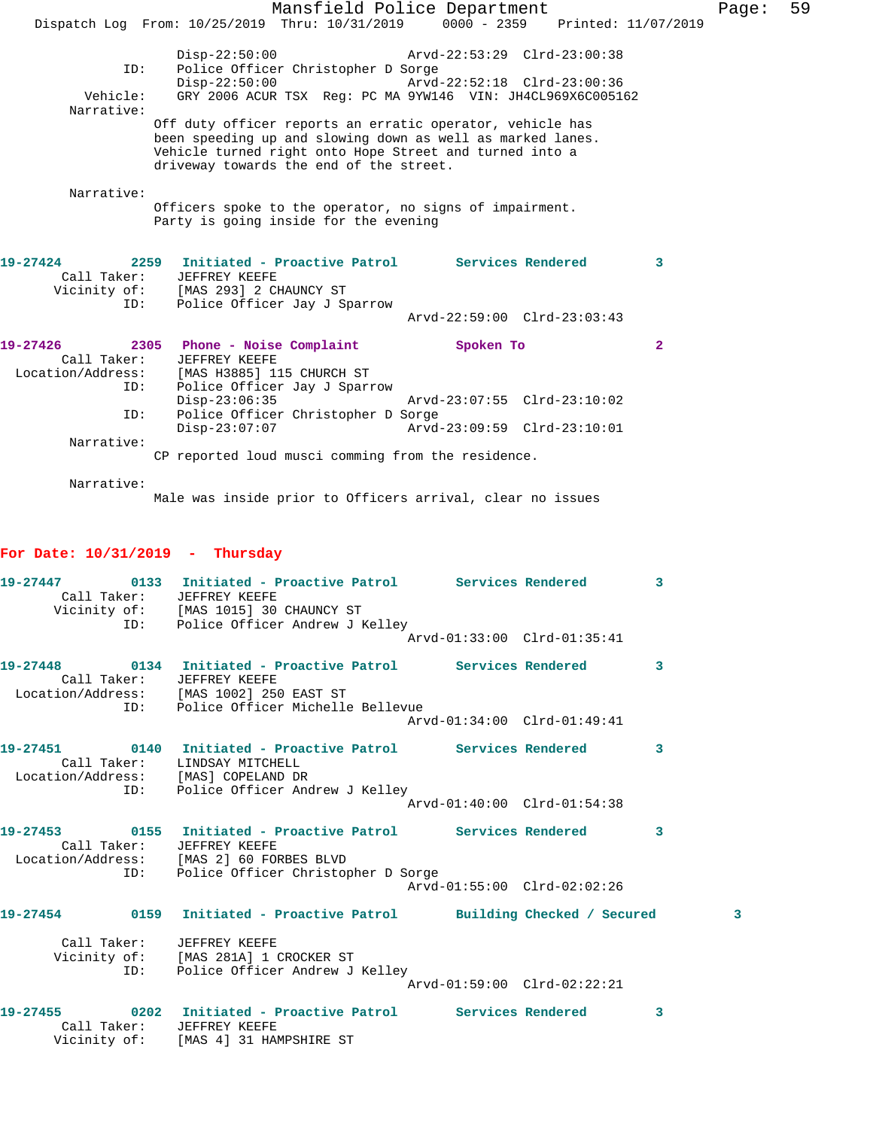|                   |                                                                                                                                                                                                                               | Mansfield Police Department |              | Page: | 59 |
|-------------------|-------------------------------------------------------------------------------------------------------------------------------------------------------------------------------------------------------------------------------|-----------------------------|--------------|-------|----|
|                   | Dispatch Log From: 10/25/2019 Thru: 10/31/2019 0000 - 2359 Printed: 11/07/2019                                                                                                                                                |                             |              |       |    |
| ID:               | Disp-22:50:00 Arvd-22:53:29 Clrd-23:00:38<br>Police Officer Christopher D Sorge                                                                                                                                               |                             |              |       |    |
|                   | Disp-22:50:00 Arvd-22:52:18 Clrd-23:00:36                                                                                                                                                                                     |                             |              |       |    |
|                   | Vehicle: GRY 2006 ACUR TSX Reg: PC MA 9YW146 VIN: JH4CL969X6C005162                                                                                                                                                           |                             |              |       |    |
| Narrative:        |                                                                                                                                                                                                                               |                             |              |       |    |
|                   | Off duty officer reports an erratic operator, vehicle has<br>been speeding up and slowing down as well as marked lanes.<br>Vehicle turned right onto Hope Street and turned into a<br>driveway towards the end of the street. |                             |              |       |    |
| Narrative:        |                                                                                                                                                                                                                               |                             |              |       |    |
|                   | Officers spoke to the operator, no signs of impairment.                                                                                                                                                                       |                             |              |       |    |
|                   | Party is going inside for the evening                                                                                                                                                                                         |                             |              |       |    |
|                   |                                                                                                                                                                                                                               |                             |              |       |    |
|                   |                                                                                                                                                                                                                               |                             |              |       |    |
| 19-27424          | 2259 Initiated - Proactive Patrol Services Rendered                                                                                                                                                                           |                             | 3            |       |    |
| Call Taker:       | JEFFREY KEEFE<br>Vicinity of: [MAS 293] 2 CHAUNCY ST                                                                                                                                                                          |                             |              |       |    |
| ID:               | Police Officer Jay J Sparrow                                                                                                                                                                                                  |                             |              |       |    |
|                   |                                                                                                                                                                                                                               | Arvd-22:59:00 Clrd-23:03:43 |              |       |    |
|                   |                                                                                                                                                                                                                               |                             |              |       |    |
| 19-27426          | 2305 Phone - Noise Complaint                                                                                                                                                                                                  | Spoken To                   | $\mathbf{2}$ |       |    |
| Call Taker:       | <b>JEFFREY KEEFE</b>                                                                                                                                                                                                          |                             |              |       |    |
| Location/Address: | [MAS H3885] 115 CHURCH ST                                                                                                                                                                                                     |                             |              |       |    |
| ID:               | Police Officer Jay J Sparrow                                                                                                                                                                                                  | Arvd-23:07:55 Clrd-23:10:02 |              |       |    |
| ID:               | $Disp-23:06:35$<br>Police Officer Christopher D Sorge                                                                                                                                                                         |                             |              |       |    |
|                   | $Disp-23:07:07$                                                                                                                                                                                                               | Arvd-23:09:59 Clrd-23:10:01 |              |       |    |
| Narrative:        |                                                                                                                                                                                                                               |                             |              |       |    |
|                   | CP reported loud musci comming from the residence.                                                                                                                                                                            |                             |              |       |    |
|                   |                                                                                                                                                                                                                               |                             |              |       |    |
| Narrative:        |                                                                                                                                                                                                                               |                             |              |       |    |

Male was inside prior to Officers arrival, clear no issues

## **For Date: 10/31/2019 - Thursday**

|  | 19-27447  0133  Initiated - Proactive Patrol Services Rendered<br>Call Taker: JEFFREY KEEFE<br>Vicinity of: [MAS 1015] 30 CHAUNCY ST<br>ID: Police Officer Andrew J Kelley              |                             | $\overline{\mathbf{3}}$ |
|--|-----------------------------------------------------------------------------------------------------------------------------------------------------------------------------------------|-----------------------------|-------------------------|
|  |                                                                                                                                                                                         | Arvd-01:33:00 Clrd-01:35:41 |                         |
|  | 19-27448      0134  Initiated - Proactive Patrol     Services Rendered<br>Call Taker: JEFFREY KEEFE<br>Location/Address: [MAS 1002] 250 EAST ST<br>ID: Police Officer Michelle Bellevue |                             | -3                      |
|  |                                                                                                                                                                                         | Arvd-01:34:00 Clrd-01:49:41 |                         |
|  | 19-27451 0140 Initiated - Proactive Patrol Services Rendered 3<br>Call Taker: LINDSAY MITCHELL<br>Location/Address: [MAS] COPELAND DR                                                   |                             |                         |
|  | ID: Police Officer Andrew J Kelley                                                                                                                                                      | Arvd-01:40:00 Clrd-01:54:38 |                         |
|  | Call Taker: JEFFREY KEEFE<br>Location/Address: [MAS 2] 60 FORBES BLVD<br>ID: Police Officer Christopher D Sorge                                                                         |                             | $\overline{\mathbf{3}}$ |
|  |                                                                                                                                                                                         | Arvd-01:55:00 Clrd-02:02:26 |                         |
|  | 19-27454 0159 Initiated - Proactive Patrol Building Checked / Secured                                                                                                                   |                             | 3                       |
|  | Call Taker: JEFFREY KEEFE<br>Vicinity of: [MAS 281A] 1 CROCKER ST<br>ID: Police Officer Andrew J Kelley                                                                                 |                             |                         |
|  |                                                                                                                                                                                         | Arvd-01:59:00 Clrd-02:22:21 |                         |
|  | 19-27455 0202 Initiated - Proactive Patrol Services Rendered<br>Call Taker: JEFFREY KEEFE<br>Vicinity of: [MAS 4] 31 HAMPSHIRE ST                                                       |                             | 3                       |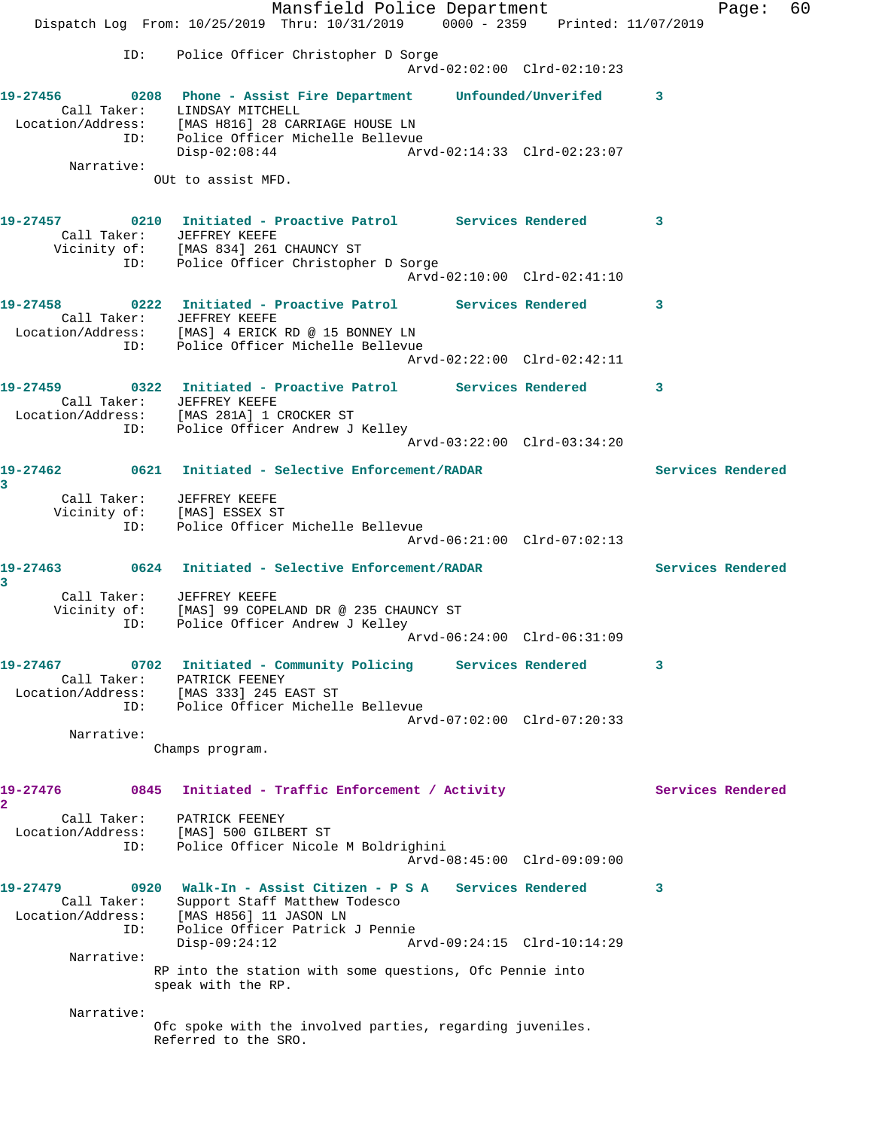Mansfield Police Department Fage: 60 Dispatch Log From: 10/25/2019 Thru: 10/31/2019 0000 - 2359 Printed: 11/07/2019 ID: Police Officer Christopher D Sorge Arvd-02:02:00 Clrd-02:10:23 **19-27456 0208 Phone - Assist Fire Department Unfounded/Unverifed 3**  Call Taker: LINDSAY MITCHELL Location/Address: [MAS H816] 28 CARRIAGE HOUSE LN ID: Police Officer Michelle Bellevue<br>Disp-02:08:44 Arv Disp-02:08:44 Arvd-02:14:33 Clrd-02:23:07 Narrative: OUt to assist MFD. **19-27457 0210 Initiated - Proactive Patrol Services Rendered 3**  Call Taker: JEFFREY KEEFE Vicinity of: [MAS 834] 261 CHAUNCY ST ID: Police Officer Christopher D Sorge Arvd-02:10:00 Clrd-02:41:10 **19-27458 0222 Initiated - Proactive Patrol Services Rendered 3**  Call Taker: JEFFREY KEEFE Location/Address: [MAS] 4 ERICK RD @ 15 BONNEY LN ID: Police Officer Michelle Bellevue Arvd-02:22:00 Clrd-02:42:11 **19-27459 0322 Initiated - Proactive Patrol Services Rendered 3**  Call Taker: JEFFREY KEEFE Location/Address: [MAS 281A] 1 CROCKER ST ID: Police Officer Andrew J Kelley Arvd-03:22:00 Clrd-03:34:20 **19-27462 0621 Initiated - Selective Enforcement/RADAR Services Rendered 3**  Call Taker: JEFFREY KEEFE Vicinity of: [MAS] ESSEX ST ID: Police Officer Michelle Bellevue Arvd-06:21:00 Clrd-07:02:13 **19-27463 0624 Initiated - Selective Enforcement/RADAR Services Rendered 3**  Call Taker: JEFFREY KEEFE Vicinity of: [MAS] 99 COPELAND DR @ 235 CHAUNCY ST ID: Police Officer Andrew J Kelley Arvd-06:24:00 Clrd-06:31:09 **19-27467 0702 Initiated - Community Policing Services Rendered 3**  Call Taker: PATRICK FEENEY Location/Address: [MAS 333] 245 EAST ST ID: Police Officer Michelle Bellevue Arvd-07:02:00 Clrd-07:20:33 Narrative: Champs program. 19-27476 0845 Initiated - Traffic Enforcement / Activity **Services Rendered 2**  Call Taker: PATRICK FEENEY Location/Address: [MAS] 500 GILBERT ST ID: Police Officer Nicole M Boldrighini Arvd-08:45:00 Clrd-09:09:00 **19-27479 0920 Walk-In - Assist Citizen - P S A Services Rendered 3**  Call Taker: Support Staff Matthew Todesco Location/Address: [MAS H856] 11 JASON LN ID: Police Officer Patrick J Pennie Disp-09:24:12 Arvd-09:24:15 Clrd-10:14:29 Narrative: RP into the station with some questions, Ofc Pennie into speak with the RP. Narrative: Ofc spoke with the involved parties, regarding juveniles. Referred to the SRO.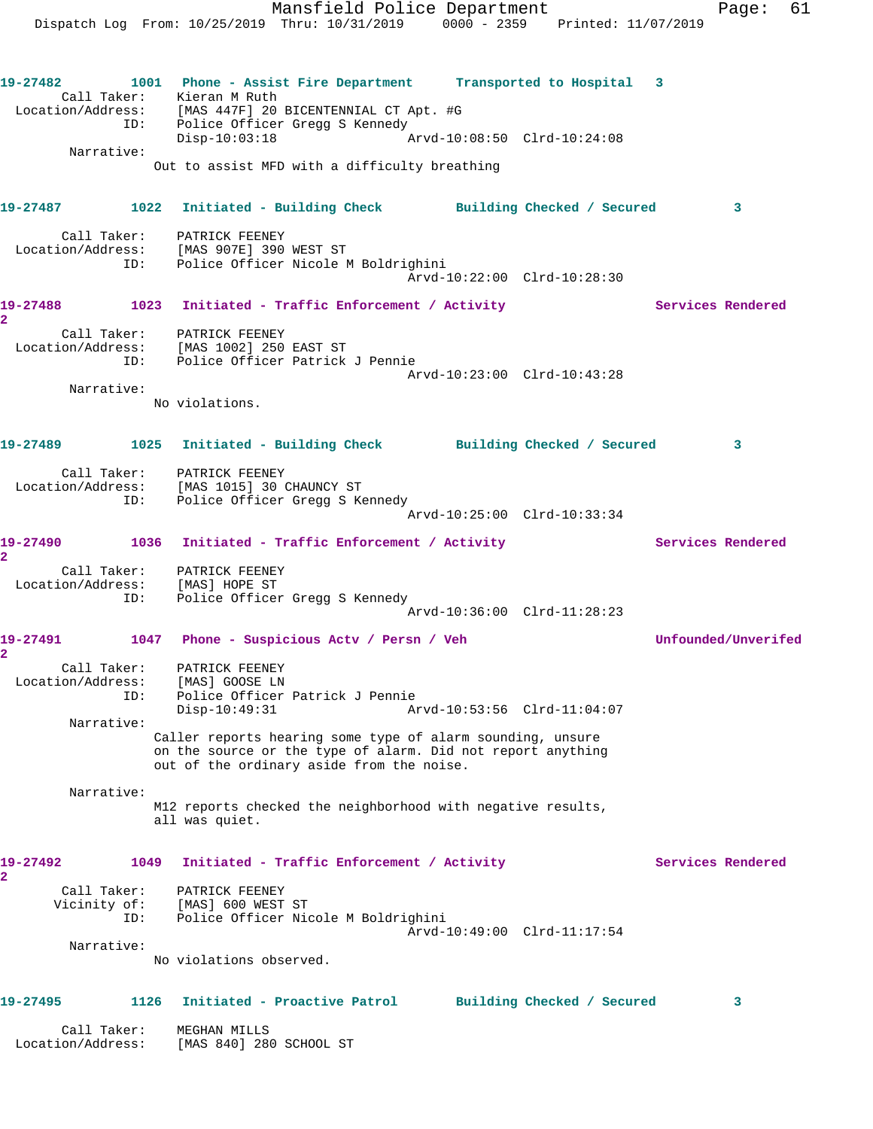Dispatch Log From: 10/25/2019 Thru: 10/31/2019 0000 - 2359 Printed: 11/07/2019 **19-27482 1001 Phone - Assist Fire Department Transported to Hospital 3**  Call Taker: Kieran M Ruth Location/Address: [MAS 447F] 20 BICENTENNIAL CT Apt. #G ID: Police Officer Gregg S Kennedy Disp-10:03:18 Arvd-10:08:50 Clrd-10:24:08 Narrative: Out to assist MFD with a difficulty breathing **19-27487 1022 Initiated - Building Check Building Checked / Secured 3** Call Taker: PATRICK FEENEY Location/Address: [MAS 907E] 390 WEST ST ID: Police Officer Nicole M Boldrighini Arvd-10:22:00 Clrd-10:28:30 19-27488 1023 Initiated - Traffic Enforcement / Activity **Services Rendered 2**  Call Taker: PATRICK FEENEY Location/Address: [MAS 1002] 250 EAST ST ID: Police Officer Patrick J Pennie Arvd-10:23:00 Clrd-10:43:28 Narrative: No violations. **19-27489 1025 Initiated - Building Check Building Checked / Secured 3** Call Taker: PATRICK FEENEY Location/Address: [MAS 1015] 30 CHAUNCY ST ID: Police Officer Gregg S Kennedy Arvd-10:25:00 Clrd-10:33:34 19-27490 1036 Initiated - Traffic Enforcement / Activity **Services Rendered 2**  Call Taker: PATRICK FEENEY Location/Address: [MAS] HOPE ST ID: Police Officer Gregg S Kennedy Arvd-10:36:00 Clrd-11:28:23 **19-27491 1047 Phone - Suspicious Actv / Persn / Veh Unfounded/Unverifed 2**  Call Taker: PATRICK FEENEY Location/Address: [MAS] GOOSE LN ID: Police Officer Patrick J Pennie Disp-10:49:31 Arvd-10:53:56 Clrd-11:04:07 Narrative: Caller reports hearing some type of alarm sounding, unsure on the source or the type of alarm. Did not report anything out of the ordinary aside from the noise. Narrative: M12 reports checked the neighborhood with negative results, all was quiet. 19-27492 1049 Initiated - Traffic Enforcement / Activity **Services Rendered 2**  Call Taker: PATRICK FEENEY Vicinity of: [MAS] 600 WEST ST ID: Police Officer Nicole M Boldrighini Arvd-10:49:00 Clrd-11:17:54 Narrative: No violations observed. **19-27495 1126 Initiated - Proactive Patrol Building Checked / Secured 3** Call Taker: MEGHAN MILLS Location/Address: [MAS 840] 280 SCHOOL ST

Mansfield Police Department Form Page: 61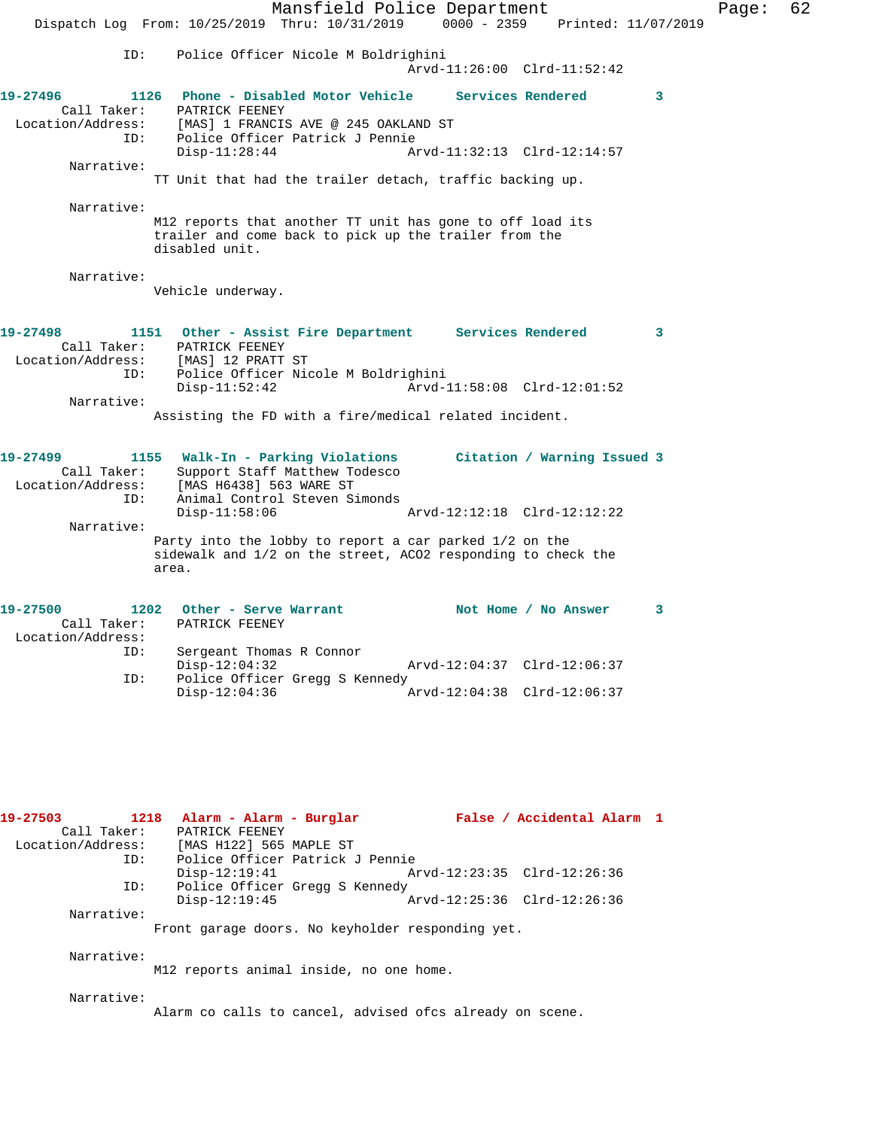Mansfield Police Department Page: 62 Dispatch Log From: 10/25/2019 Thru: 10/31/2019 0000 - 2359 Printed: 11/07/2019 ID: Police Officer Nicole M Boldrighini Arvd-11:26:00 Clrd-11:52:42 **19-27496 1126 Phone - Disabled Motor Vehicle Services Rendered 3**  Call Taker: PATRICK FEENEY Location/Address: [MAS] 1 FRANCIS AVE @ 245 OAKLAND ST ID: Police Officer Patrick J Pennie Arvd-11:32:13 Clrd-12:14:57 Narrative: TT Unit that had the trailer detach, traffic backing up. Narrative: M12 reports that another TT unit has gone to off load its trailer and come back to pick up the trailer from the disabled unit. Narrative: Vehicle underway. **19-27498 1151 Other - Assist Fire Department Services Rendered 3**  Call Taker: PATRICK FEENEY<br>Location/Address: [MAS] 12 PRATT ST Location/Address: [MAS] 12 PRATT ST ID: Police Officer Nicole M Boldrighini Disp-11:52:42 Arvd-11:58:08 Clrd-12:01:52 Narrative: Assisting the FD with a fire/medical related incident. **19-27499 1155 Walk-In - Parking Violations Citation / Warning Issued 3**  Call Taker: Support Staff Matthew Todesco Location/Address: [MAS H6438] 563 WARE ST ID: Animal Control Steven Simonds Disp-11:58:06 Arvd-12:12:18 Clrd-12:12:22 Narrative: Party into the lobby to report a car parked 1/2 on the sidewalk and 1/2 on the street, ACO2 responding to check the area. 19-27500 1202 Other - Serve Warrant Not Home / No Answer 3 Call Taker: PATRICK FEENEY Location/Address: Sergeant Thomas R Connor<br>Disp-12:04:32 Disp-12:04:32 Arvd-12:04:37 Clrd-12:06:37<br>TD: Police Officer Gread S Kennedy Police Officer Gregg S Kennedy Disp-12:04:36 Arvd-12:04:38 Clrd-12:06:37 **19-27503 1218 Alarm - Alarm - Burglar False / Accidental Alarm 1**  Call Taker: PATRICK FEENEY<br>Location/Address: [MAS H122] 565 [MAS H122] 565 MAPLE ST

 ID: Police Officer Patrick J Pennie Disp-12:19:41 Arvd-12:23:35 Clrd-12:26:36 ID: Police Officer Gregg S Kennedy<br>Disp-12:19:45 Disp-12:19:45 Arvd-12:25:36 Clrd-12:26:36 Narrative:

Front garage doors. No keyholder responding yet.

Narrative:

M12 reports animal inside, no one home.

Narrative:

Alarm co calls to cancel, advised ofcs already on scene.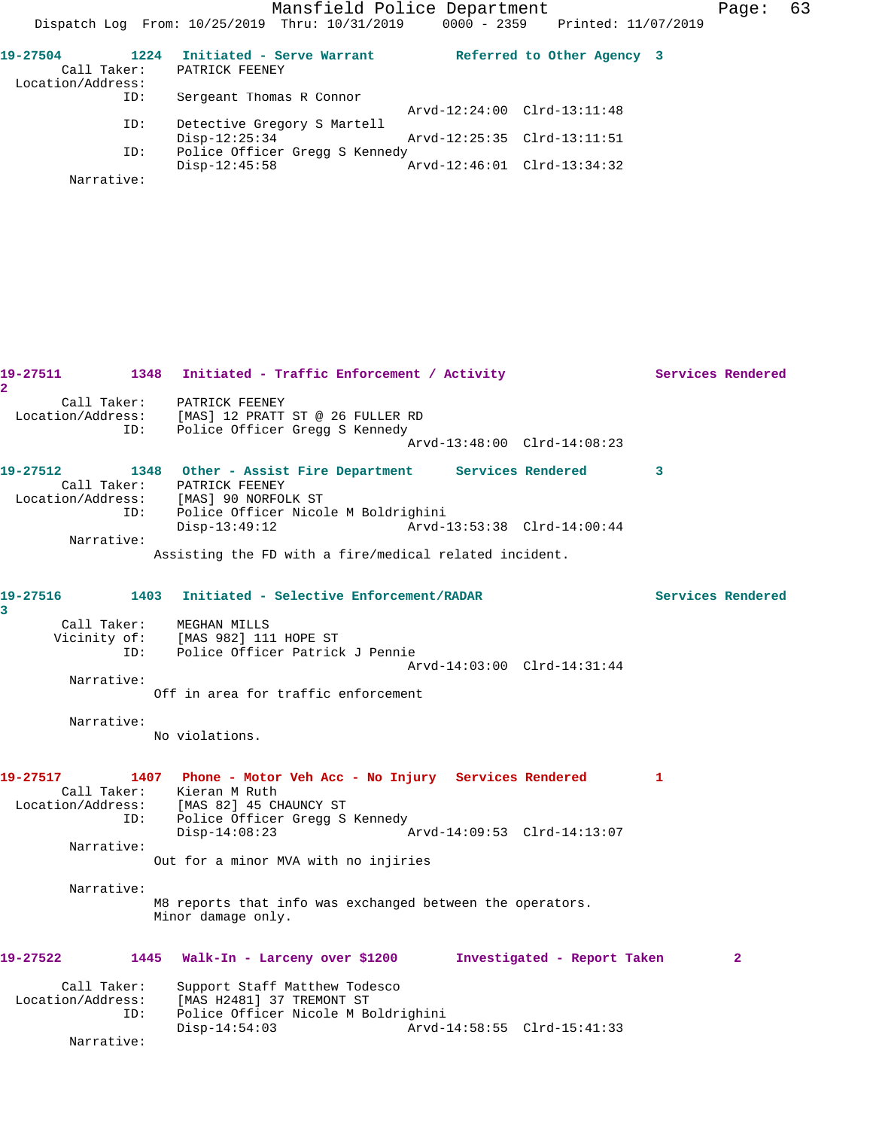Mansfield Police Department Page: 63

| 19-27504<br>Call Taker:<br>Location/Address: | 1224 | Initiated - Serve Warrant<br>PATRICK FEENEY |                             | Referred to Other Agency 3 |  |
|----------------------------------------------|------|---------------------------------------------|-----------------------------|----------------------------|--|
|                                              | ID:  | Sergeant Thomas R Connor                    |                             |                            |  |
|                                              |      |                                             | Arvd-12:24:00 Clrd-13:11:48 |                            |  |
|                                              | ID:  | Detective Gregory S Martell                 |                             |                            |  |
|                                              |      | $Disp-12:25:34$                             | Arvd-12:25:35 Clrd-13:11:51 |                            |  |
|                                              | ID:  | Police Officer Gregg S Kennedy              |                             |                            |  |
|                                              |      | $Disp-12:45:58$                             | Arvd-12:46:01 Clrd-13:34:32 |                            |  |
| Narrative:                                   |      |                                             |                             |                            |  |

19-27511 1348 Initiated - Traffic Enforcement / Activity **Services Rendered 2**  Call Taker: PATRICK FEENEY Location/Address: [MAS] 12 PRATT ST @ 26 FULLER RD ID: Police Officer Gregg S Kennedy Arvd-13:48:00 Clrd-14:08:23 **19-27512 1348 Other - Assist Fire Department Services Rendered 3**  Call Taker: PATRICK FEENEY Location/Address: [MAS] 90 NORFOLK ST ID: Police Officer Nicole M Boldrighini Disp-13:49:12 Arvd-13:53:38 Clrd-14:00:44 Narrative: Assisting the FD with a fire/medical related incident. **19-27516 1403 Initiated - Selective Enforcement/RADAR Services Rendered 3**  Call Taker: MEGHAN MILLS Vicinity of: [MAS 982] 111 HOPE ST ID: Police Officer Patrick J Pennie Arvd-14:03:00 Clrd-14:31:44 Narrative: Off in area for traffic enforcement Narrative: No violations. **19-27517 1407 Phone - Motor Veh Acc - No Injury Services Rendered 1**  Call Taker: Kieran M Ruth Location/Address: [MAS 82] 45 CHAUNCY ST ID: Police Officer Gregg S Kennedy Disp-14:08:23 Arvd-14:09:53 Clrd-14:13:07 Narrative: Out for a minor MVA with no injiries Narrative: M8 reports that info was exchanged between the operators. Minor damage only. **19-27522 1445 Walk-In - Larceny over \$1200 Investigated - Report Taken 2** Call Taker: Support Staff Matthew Todesco Location/Address: [MAS H2481] 37 TREMONT ST ID: Police Officer Nicole M Boldrighini Disp-14:54:03 Arvd-14:58:55 Clrd-15:41:33 Narrative: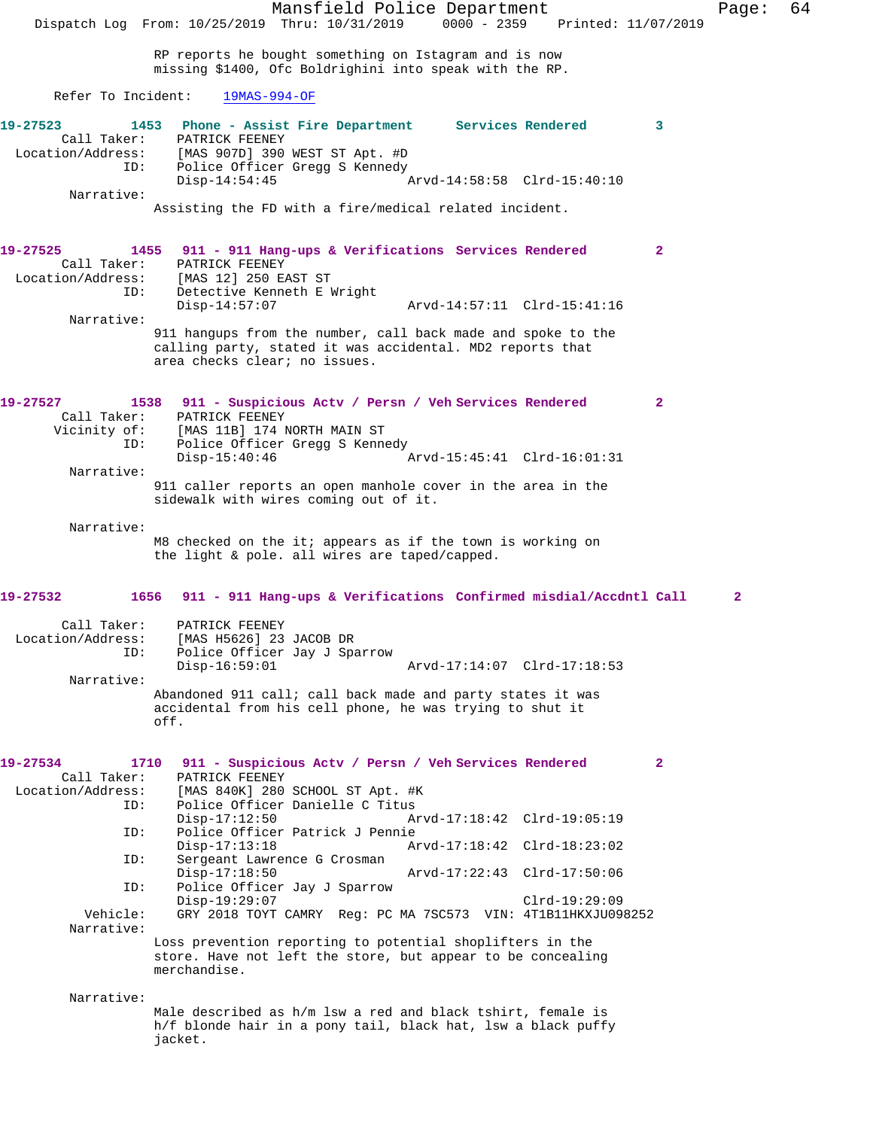Mansfield Police Department Page: 64 Dispatch Log From: 10/25/2019 Thru: 10/31/2019 RP reports he bought something on Istagram and is now missing \$1400, Ofc Boldrighini into speak with the RP. Refer To Incident: 19MAS-994-OF **19-27523 1453 Phone - Assist Fire Department Services Rendered 3**  PATRICK FEENEY Location/Address: [MAS 907D] 390 WEST ST Apt. #D Police Officer Gregg S Kennedy<br>Disp-14:54:45 Disp-14:54:45 Arvd-14:58:58 Clrd-15:40:10 Narrative: Assisting the FD with a fire/medical related incident. **19-27525 1455 911 - 911 Hang-ups & Verifications Services Rendered 2**  Call Taker: PATRICK FEENEY<br>Location/Address: [MAS 12] 250 E. [MAS 12] 250 EAST ST ID: Detective Kenneth E Wright Disp-14:57:07 Arvd-14:57:11 Clrd-15:41:16 Narrative: 911 hangups from the number, call back made and spoke to the calling party, stated it was accidental. MD2 reports that area checks clear; no issues. **19-27527 1538 911 - Suspicious Actv / Persn / Veh Services Rendered 2**  Call Taker: PATRICK FEENEY<br>Vicinity of: [MAS 11B] 174 J of: [MAS 11B] 174 NORTH MAIN ST<br>ID: Police Officer Gregg S Kenn Police Officer Gregg S Kennedy Disp-15:40:46 Arvd-15:45:41 Clrd-16:01:31 Narrative: 911 caller reports an open manhole cover in the area in the sidewalk with wires coming out of it. Narrative: M8 checked on the it; appears as if the town is working on the light & pole. all wires are taped/capped. **19-27532 1656 911 - 911 Hang-ups & Verifications Confirmed misdial/Accdntl Call 2** Call Taker: PATRICK FEENEY Location/Address: [MAS H5626] 23 JACOB DR ID: Police Officer Jay J Sparrow Arvd-17:14:07 Clrd-17:18:53 Narrative: Abandoned 911 call; call back made and party states it was accidental from his cell phone, he was trying to shut it off. **19-27534 1710 911 - Suspicious Actv / Persn / Veh Services Rendered 2**  Call Taker: PATRICK FEENEY<br>Location/Address: [MAS 840K] 280 SS: [MAS 840K] 280 SCHOOL ST Apt. #K<br>ID: Police Officer Danielle C Titus Police Officer Danielle C Titus Disp-17:12:50 Arvd-17:18:42 Clrd-19:05:19<br>ID: Police Officer Patrick J Pennie Police Officer Patrick J Pennie<br>Disp-17:13:18 A Disp-17:13:18 Arvd-17:18:42 Clrd-18:23:02 ID: Sergeant Lawrence G Crosman<br>Disp-17:18:50 Disp-17:18:50 Arvd-17:22:43 Clrd-17:50:06 ID: Police Officer Jay J Sparrow Disp-19:29:07<br>Vehicle: GRY 2018 TOYT CAMRY Reg: PC MA 7SC573 VIN: 4T1B11HKXJU09 GRY 2018 TOYT CAMRY Req: PC MA 7SC573 VIN: 4T1B11HKXJU098252 Narrative: Loss prevention reporting to potential shoplifters in the store. Have not left the store, but appear to be concealing merchandise. Narrative: Male described as h/m lsw a red and black tshirt, female is h/f blonde hair in a pony tail, black hat, lsw a black puffy jacket.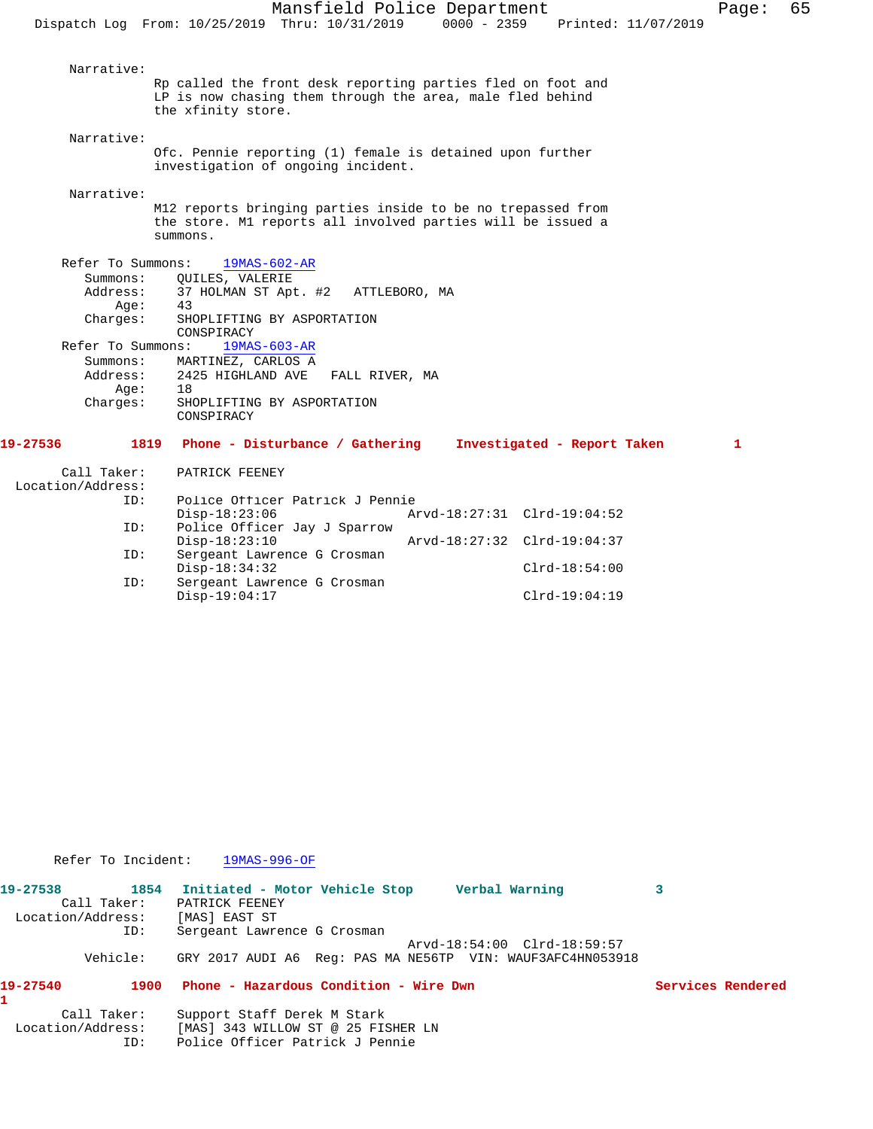Narrative: Rp called the front desk reporting parties fled on foot and LP is now chasing them through the area, male fled behind the xfinity store. Narrative: Ofc. Pennie reporting (1) female is detained upon further investigation of ongoing incident. Narrative: M12 reports bringing parties inside to be no trepassed from the store. M1 reports all involved parties will be issued a summons. Refer To Summons: 19MAS-602-AR Summons: QUILES, VALERIE<br>Address: 37 HOLMAN ST Apt 37 HOLMAN ST Apt. #2 ATTLEBORO, MA<br>43  $Age:$  Charges: SHOPLIFTING BY ASPORTATION CONSPIRACY Refer To Summons: 19MAS-603-AR Summons: MARTINEZ, CARLOS A<br>Address: 2425 HIGHLAND AVE FALL RIVER, MA 2425 HIGHLAND AVE<br>18 Age: Charges: SHOPLIFTING BY ASPORTATION CONSPIRACY **19-27536 1819 Phone - Disturbance / Gathering Investigated - Report Taken 1** Call Taker: PATRICK FEENEY Location/Address:<br>ID: Police Officer Patrick J Pennie Disp-18:23:06 Arvd-18:27:31 Clrd-19:04:52<br>ID: Police Officer Jay J Sparrow Police Officer Jay J Sparrow<br>Disp-18:23:10 Disp-18:23:10 Arvd-18:27:32 Clrd-19:04:37<br>TD: Sergeant Lawrence G Crosman Sergeant Lawrence G Crosman Disp-18:34:32 Clrd-18:54:00 ID: Sergeant Lawrence G Crosman

Disp-19:04:17 Clrd-19:04:19

Refer To Incident: 19MAS-996-OF

| 19-27538          |             | 1854 Initiated - Motor Vehicle Stop<br>Verbal Warning      |  |
|-------------------|-------------|------------------------------------------------------------|--|
|                   | Call Taker: | PATRICK FEENEY                                             |  |
| Location/Address: |             | [MAS] EAST ST                                              |  |
|                   | ID:         | Sergeant Lawrence G Crosman                                |  |
|                   |             | Arvd-18:54:00 Clrd-18:59:57                                |  |
|                   | Vehicle:    | GRY 2017 AUDI A6 Req: PAS MA NE56TP VIN: WAUF3AFC4HN053918 |  |

## **19-27540 1900 Phone - Hazardous Condition - Wire Dwn Services Rendered**

**1** 

Call Taker: Support Staff Derek M Stark<br>Location/Address: [MAS] 343 WILLOW ST @ 25 FI

[MAS] 343 WILLOW ST @ 25 FISHER LN ID: Police Officer Patrick J Pennie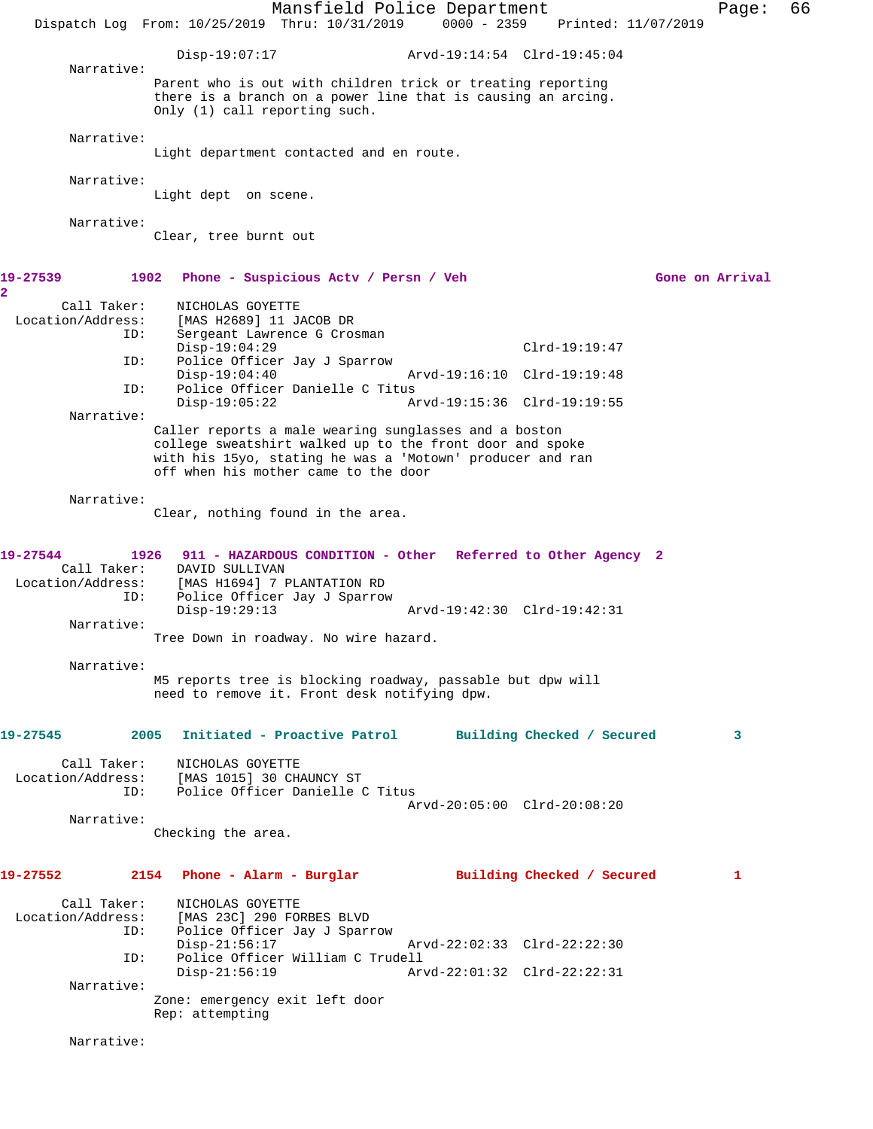Mansfield Police Department Fage: 66 Dispatch Log From: 10/25/2019 Thru: 10/31/2019 0000 - 2359 Printed: 11/07/2019 Disp-19:07:17 Arvd-19:14:54 Clrd-19:45:04 Narrative: Parent who is out with children trick or treating reporting there is a branch on a power line that is causing an arcing. Only (1) call reporting such. Narrative: Light department contacted and en route. Narrative: Light dept on scene. Narrative: Clear, tree burnt out **19-27539 1902 Phone - Suspicious Actv / Persn / Veh Gone on Arrival 2**  Call Taker: NICHOLAS GOYETTE<br>Location/Address: [MAS H2689] 11 J. [MAS H2689] 11 JACOB DR ID: Sergeant Lawrence G Crosman Disp-19:04:29 Clrd-19:19:47<br>ID: Police Officer Jay J Sparrow Police Officer Jay J Sparrow<br>Disp-19:04:40 Disp-19:04:40 Arvd-19:16:10 Clrd-19:19:48 ID: Police Officer Danielle C Titus Disp-19:05:22 Arvd-19:15:36 Clrd-19:19:55 Narrative: Caller reports a male wearing sunglasses and a boston college sweatshirt walked up to the front door and spoke with his 15yo, stating he was a 'Motown' producer and ran off when his mother came to the door Narrative: Clear, nothing found in the area. **19-27544 1926 911 - HAZARDOUS CONDITION - Other Referred to Other Agency 2**  Call Taker: DAVID SULLIVAN Location/Address: [MAS H1694] 7 PLANTATION RD ID: Police Officer Jay J Sparrow Disp-19:29:13 Arvd-19:42:30 Clrd-19:42:31 Narrative: Tree Down in roadway. No wire hazard. Narrative: M5 reports tree is blocking roadway, passable but dpw will need to remove it. Front desk notifying dpw. **19-27545 2005 Initiated - Proactive Patrol Building Checked / Secured 3** Call Taker: NICHOLAS GOYETTE Location/Address: [MAS 1015] 30 CHAUNCY ST Police Officer Danielle C Titus Arvd-20:05:00 Clrd-20:08:20 Narrative: Checking the area. **19-27552 2154 Phone - Alarm - Burglar Building Checked / Secured 1** Call Taker: NICHOLAS GOYETTE<br>Location/Address: [MAS 23C] 290 FOI [MAS 23C] 290 FORBES BLVD ID: Police Officer Jay J Sparrow Disp-21:56:17 Arvd-22:02:33 Clrd-22:22:30<br>ID: Police Officer William C Trudell ID: Police Officer William C Trudell Disp-21:56:19 Arvd-22:01:32 Clrd-22:22:31 Narrative: Zone: emergency exit left door Rep: attempting Narrative: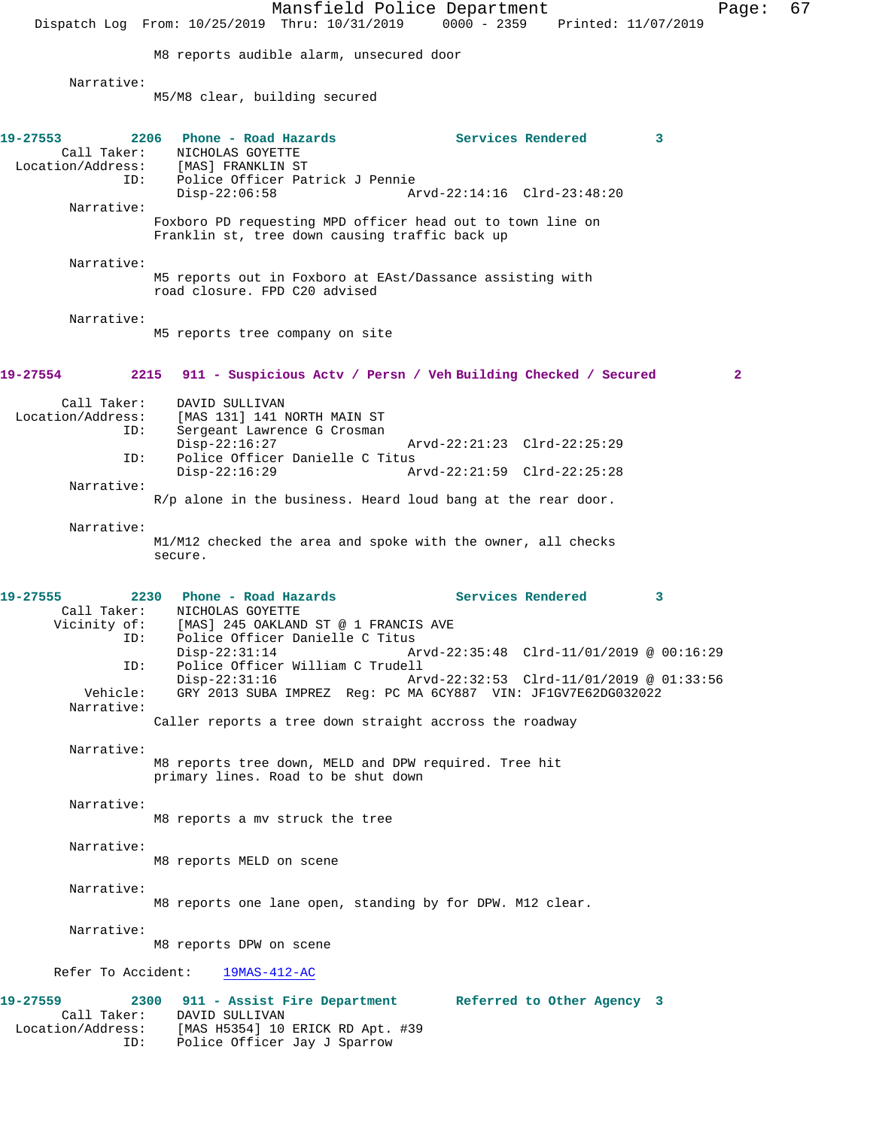Mansfield Police Department Page: 67 Dispatch Log From: 10/25/2019 Thru: 10/31/2019 0000 - 2359 Printed: 11/07/2019 M8 reports audible alarm, unsecured door Narrative: M5/M8 clear, building secured **19-27553 2206 Phone - Road Hazards Services Rendered 3**  Call Taker: NICHOLAS GOYETTE Location/Address: [MAS] FRANKLIN ST<br>ID: Police Officer Pat Police Officer Patrick J Pennie<br>Disp-22:06:58 Am Disp-22:06:58 Arvd-22:14:16 Clrd-23:48:20 Narrative: Foxboro PD requesting MPD officer head out to town line on Franklin st, tree down causing traffic back up Narrative: M5 reports out in Foxboro at EAst/Dassance assisting with road closure. FPD C20 advised Narrative: M5 reports tree company on site **19-27554 2215 911 - Suspicious Actv / Persn / Veh Building Checked / Secured 2** Call Taker: DAVID SULLIVAN<br>Location/Address: [MAS 131] 141 l [MAS 131] 141 NORTH MAIN ST ID: Sergeant Lawrence G Crosman<br>Disp-22:16:27 Disp-22:16:27 Arvd-22:21:23 Clrd-22:25:29 ID: Police Officer Danielle C Titus Disp-22:16:29 Arvd-22:21:59 Clrd-22:25:28 Narrative: R/p alone in the business. Heard loud bang at the rear door. Narrative: M1/M12 checked the area and spoke with the owner, all checks secure. **19-27555 2230 Phone - Road Hazards Services Rendered 3**  Call Taker: NICHOLAS GOYETTE<br>Vicinity of: [MAS] 245 OAKLAN [MAS] 245 OAKLAND ST @ 1 FRANCIS AVE ID: Police Officer Danielle C Titus<br>Disp-22:31:14 A Arvd-22:35:48 Clrd-11/01/2019 @ 00:16:29 ID: Police Officer William C Trudell Disp-22:31:16 Arvd-22:32:53 Clrd-11/01/2019 @ 01:33:56<br>Vehicle: GRY 2013 SUBA IMPREZ Reg: PC MA 6CY887 VIN: JF1GV7E62DG032022 Vehicle: GRY 2013 SUBA IMPREZ Reg: PC MA 6CY887 VIN: JF1GV7E62DG032022 Narrative: Caller reports a tree down straight accross the roadway Narrative: M8 reports tree down, MELD and DPW required. Tree hit primary lines. Road to be shut down Narrative: M8 reports a mv struck the tree Narrative: M8 reports MELD on scene Narrative: M8 reports one lane open, standing by for DPW. M12 clear. Narrative: M8 reports DPW on scene Refer To Accident: 19MAS-412-AC **19-27559 2300 911 - Assist Fire Department Referred to Other Agency 3**  Call Taker: DAVID SULLIVAN Location/Address: [MAS H5354] 10 ERICK RD Apt. #39 ID: Police Officer Jay J Sparrow